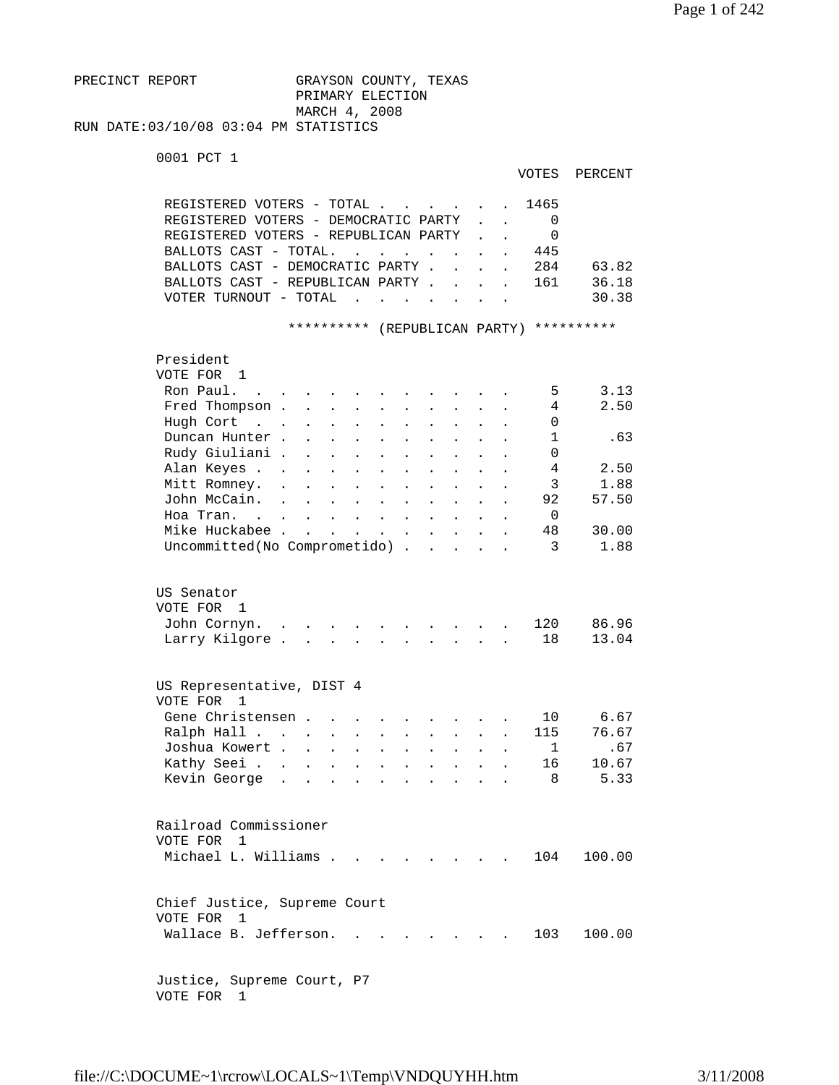```
PRECINCT REPORT GRAYSON COUNTY, TEXAS
                         PRIMARY ELECTION 
                         MARCH 4, 2008 
RUN DATE:03/10/08 03:04 PM STATISTICS
```

```
 0001 PCT 1
```

| VOTES | PERCENT |
|-------|---------|
|-------|---------|

| REGISTERED VOTERS - TOTAL.<br>REGISTERED VOTERS - DEMOCRATIC PARTY<br>REGISTERED VOTERS - REPUBLICAN PARTY<br>BALLOTS CAST - TOTAL.<br>BALLOTS CAST - DEMOCRATIC PARTY .<br>BALLOTS CAST - REPUBLICAN PARTY .<br>VOTER TURNOUT - TOTAL                   |                                                                                   | $\ddot{\phantom{a}}$<br>$\sim$ $\sim$<br>$\sim$<br>$\overline{a}$                                                                                                                                                      | $\ddot{\phantom{a}}$                                                                                                 |                                              | $\overline{a}$<br>$\ddot{\phantom{a}}$ | 1465<br>0<br>$\Omega$<br>445<br>284<br>161                                | 63.82<br>36.18<br>30.38                               |
|----------------------------------------------------------------------------------------------------------------------------------------------------------------------------------------------------------------------------------------------------------|-----------------------------------------------------------------------------------|------------------------------------------------------------------------------------------------------------------------------------------------------------------------------------------------------------------------|----------------------------------------------------------------------------------------------------------------------|----------------------------------------------|----------------------------------------|---------------------------------------------------------------------------|-------------------------------------------------------|
|                                                                                                                                                                                                                                                          | **********                                                                        |                                                                                                                                                                                                                        | (REPUBLICAN PARTY)                                                                                                   |                                              |                                        |                                                                           | **********                                            |
| President<br>VOTE FOR 1<br>Ron Paul.<br>$\sim$ $\sim$<br>Fred Thompson .<br>Hugh Cort<br>$\sim$ $\sim$ $\sim$<br>Duncan Hunter.<br>Rudy Giuliani .<br>Alan Keyes<br>Mitt Romney.<br>$\ddot{\phantom{a}}$<br>John McCain.<br>Hoa Tran. .<br>Mike Huckabee | $\ddot{\phantom{0}}$<br>$\mathbf{r}$ and $\mathbf{r}$ and $\mathbf{r}$            | $\ddot{\phantom{a}}$<br>$\ddot{\phantom{a}}$<br>$\ddot{\phantom{a}}$<br>$\sim 10$<br><b>Contractor</b><br>$\bullet$<br>$\mathbf{a}^{\prime}$ , $\mathbf{a}^{\prime}$ , $\mathbf{a}^{\prime}$ , $\mathbf{a}^{\prime}$ , | $\ddot{\phantom{a}}$<br>$\ddot{\phantom{a}}$<br>$\ddot{\phantom{0}}$<br>$\ddot{\phantom{a}}$<br>$\ddot{\phantom{0}}$ | $\ddot{\phantom{a}}$<br>$\ddot{\phantom{0}}$ |                                        | 5<br>4<br>0<br>$\mathbf{1}$<br>$\Omega$<br>4<br>3<br>92<br>$\Omega$<br>48 | 3.13<br>2.50<br>.63<br>2.50<br>1.88<br>57.50<br>30.00 |
| Uncommitted(No Comprometido).                                                                                                                                                                                                                            |                                                                                   |                                                                                                                                                                                                                        | $\ddot{\phantom{a}}$                                                                                                 |                                              |                                        | 3                                                                         | 1.88                                                  |
| US Senator<br>VOTE FOR 1<br>John Cornyn.<br>Larry Kilgore.                                                                                                                                                                                               |                                                                                   |                                                                                                                                                                                                                        | $\cdot$ $\cdot$ $\cdot$ $\cdot$                                                                                      |                                              |                                        | 120<br>18                                                                 | 86.96<br>13.04                                        |
| US Representative, DIST 4<br>VOTE FOR<br>1<br>Gene Christensen.<br>Ralph Hall<br>Joshua Kowert .<br>Kathy Seei.<br>Kevin George<br>$\ddot{\phantom{a}}$                                                                                                  | $\mathbf{r}$<br>$\ddot{\phantom{a}}$<br>$\mathbf{L}$<br>$\mathbf{L} = \mathbf{L}$ | $\ddot{\phantom{a}}$<br>$\ddot{\phantom{a}}$<br>$\ddot{\phantom{a}}$<br>$\sim$ $\sim$                                                                                                                                  | $\ddot{\phantom{a}}$                                                                                                 |                                              |                                        | 10<br>115<br>1<br>16<br>8                                                 | 6.67<br>76.67<br>.67<br>10.67<br>5.33                 |
| Railroad Commissioner<br>VOTE FOR 1<br>Michael L. Williams                                                                                                                                                                                               |                                                                                   |                                                                                                                                                                                                                        |                                                                                                                      |                                              |                                        | 104                                                                       | 100.00                                                |
| Chief Justice, Supreme Court<br>VOTE FOR<br>$\overline{1}$<br>Wallace B. Jefferson.                                                                                                                                                                      |                                                                                   |                                                                                                                                                                                                                        |                                                                                                                      |                                              |                                        | 103                                                                       | 100.00                                                |
| Justice, Supreme Court, P7                                                                                                                                                                                                                               |                                                                                   |                                                                                                                                                                                                                        |                                                                                                                      |                                              |                                        |                                                                           |                                                       |

VOTE FOR 1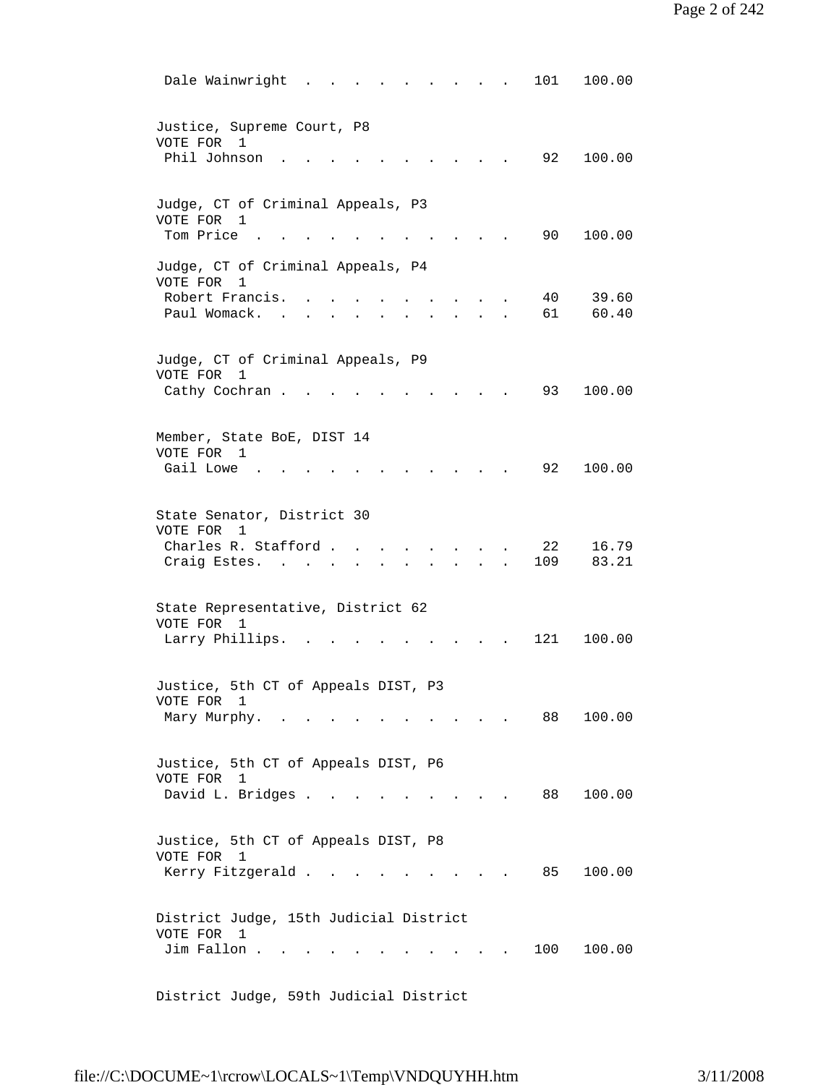| Dale Wainwright<br>101<br>100.00                                                      |
|---------------------------------------------------------------------------------------|
| Justice, Supreme Court, P8<br>VOTE FOR 1<br>Phil Johnson<br>92<br>100.00              |
| Judge, CT of Criminal Appeals, P3<br>VOTE FOR 1                                       |
| Tom Price<br>90<br>100.00                                                             |
| Judge, CT of Criminal Appeals, P4<br>VOTE FOR<br>1                                    |
| Robert Francis.<br>40<br>39.60<br>Paul Womack.<br>61<br>60.40                         |
| Judge, CT of Criminal Appeals, P9<br>VOTE FOR<br>$\mathbf{1}$                         |
| 100.00<br>Cathy Cochran.<br>93                                                        |
| Member, State BoE, DIST 14<br>VOTE FOR<br>- 1                                         |
| Gail Lowe.<br>92<br>100.00                                                            |
| State Senator, District 30<br>VOTE FOR 1                                              |
| Charles R. Stafford.<br>22<br>16.79<br>109<br>83.21<br>Craig Estes.                   |
| State Representative, District 62<br>VOTE FOR 1                                       |
| 121<br>Larry Phillips.<br>100.00                                                      |
| 5th CT of Appeals DIST,<br>Justice,<br>P <sub>3</sub><br>VOTE FOR 1                   |
| 88<br>100.00<br>Mary Murphy.                                                          |
| Justice, 5th CT of Appeals DIST, P6<br>VOTE FOR<br>1                                  |
| David L. Bridges<br>88<br>100.00<br>$\mathbf{r} = \mathbf{r} \times \mathbf{r}$       |
| Justice, 5th CT of Appeals DIST, P8<br>VOTE FOR 1<br>Kerry Fitzgerald<br>100.00<br>85 |
| District Judge, 15th Judicial District                                                |
| VOTE FOR 1<br>Jim Fallon<br>100<br>100.00                                             |

District Judge, 59th Judicial District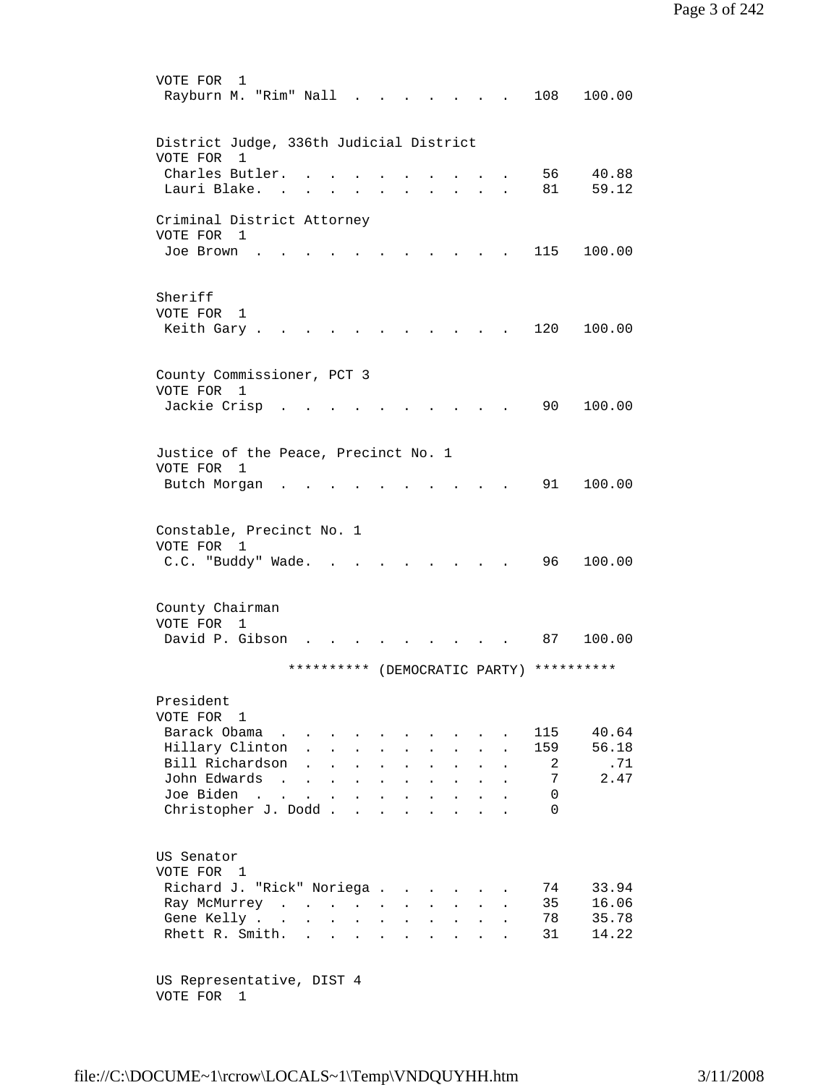| VOTE FOR<br>1<br>Rayburn M. "Rim" Nall   |                          |                                                                                          |                            |                      |                      |                                                                 |                                      |                                |                      | 108                           | 100.00       |
|------------------------------------------|--------------------------|------------------------------------------------------------------------------------------|----------------------------|----------------------|----------------------|-----------------------------------------------------------------|--------------------------------------|--------------------------------|----------------------|-------------------------------|--------------|
| District Judge, 336th Judicial District  |                          |                                                                                          |                            |                      |                      |                                                                 |                                      |                                |                      |                               |              |
| VOTE FOR 1                               |                          |                                                                                          |                            |                      |                      |                                                                 |                                      |                                |                      |                               |              |
| Charles Butler.                          |                          |                                                                                          |                            |                      |                      |                                                                 |                                      |                                |                      | 56                            | 40.88        |
| Lauri Blake.                             |                          |                                                                                          |                            |                      |                      |                                                                 |                                      |                                |                      | 81                            | 59.12        |
| Criminal District Attorney               |                          |                                                                                          |                            |                      |                      |                                                                 |                                      |                                |                      |                               |              |
| VOTE FOR 1                               |                          |                                                                                          |                            |                      |                      |                                                                 |                                      |                                |                      |                               |              |
| Joe Brown                                |                          |                                                                                          |                            |                      |                      |                                                                 |                                      |                                |                      | 115                           | 100.00       |
|                                          |                          |                                                                                          |                            |                      |                      |                                                                 |                                      |                                |                      |                               |              |
| Sheriff                                  |                          |                                                                                          |                            |                      |                      |                                                                 |                                      |                                |                      |                               |              |
| VOTE FOR<br>1                            |                          |                                                                                          |                            |                      |                      |                                                                 |                                      |                                |                      |                               |              |
| Keith Gary .                             |                          |                                                                                          |                            |                      |                      |                                                                 |                                      |                                |                      | 120                           | 100.00       |
|                                          |                          |                                                                                          |                            |                      |                      |                                                                 |                                      |                                |                      |                               |              |
|                                          |                          |                                                                                          |                            |                      |                      |                                                                 |                                      |                                |                      |                               |              |
| County Commissioner, PCT 3<br>VOTE FOR 1 |                          |                                                                                          |                            |                      |                      |                                                                 |                                      |                                |                      |                               |              |
| Jackie Crisp                             | <b>Contract Contract</b> |                                                                                          |                            |                      |                      |                                                                 |                                      |                                |                      | 90                            | 100.00       |
|                                          |                          |                                                                                          |                            |                      |                      |                                                                 |                                      |                                |                      |                               |              |
|                                          |                          |                                                                                          |                            |                      |                      |                                                                 |                                      |                                |                      |                               |              |
| Justice of the Peace, Precinct No. 1     |                          |                                                                                          |                            |                      |                      |                                                                 |                                      |                                |                      |                               |              |
| VOTE FOR 1                               |                          |                                                                                          |                            |                      |                      |                                                                 |                                      |                                |                      | 91                            | 100.00       |
| Butch Morgan                             |                          |                                                                                          |                            |                      |                      |                                                                 |                                      |                                |                      |                               |              |
|                                          |                          |                                                                                          |                            |                      |                      |                                                                 |                                      |                                |                      |                               |              |
| Constable, Precinct No. 1                |                          |                                                                                          |                            |                      |                      |                                                                 |                                      |                                |                      |                               |              |
| VOTE FOR 1                               |                          |                                                                                          |                            |                      |                      |                                                                 |                                      |                                |                      |                               |              |
| C.C. "Buddy" Wade.                       |                          | $\sim$                                                                                   |                            |                      |                      |                                                                 |                                      |                                |                      | 96                            | 100.00       |
|                                          |                          |                                                                                          |                            |                      |                      |                                                                 |                                      |                                |                      |                               |              |
| County Chairman                          |                          |                                                                                          |                            |                      |                      |                                                                 |                                      |                                |                      |                               |              |
| VOTE FOR 1                               |                          |                                                                                          |                            |                      |                      |                                                                 |                                      |                                |                      |                               |              |
| David P. Gibson                          |                          |                                                                                          |                            |                      |                      |                                                                 |                                      |                                |                      | 87                            | 100.00       |
|                                          |                          | **********                                                                               |                            |                      |                      |                                                                 |                                      |                                |                      | (DEMOCRATIC PARTY) ********** |              |
|                                          |                          |                                                                                          |                            |                      |                      |                                                                 |                                      |                                |                      |                               |              |
| President                                |                          |                                                                                          |                            |                      |                      |                                                                 |                                      |                                |                      |                               |              |
| VOTE FOR 1                               |                          |                                                                                          |                            |                      |                      |                                                                 |                                      |                                |                      |                               |              |
| Barack Obama                             |                          |                                                                                          |                            |                      |                      |                                                                 |                                      |                                |                      | 115                           | 40.64        |
| Hillary Clinton .<br>Bill Richardson     |                          | $\mathbf{L}$<br>$\mathbf{1} \times \mathbf{1} \times \mathbf{1} \times \mathbf{1}$       | $\mathcal{L}^{\text{max}}$ |                      | $\ddot{\phantom{0}}$ | $\ddot{\phantom{0}}$                                            | $\mathbf{L}$                         | $\ddot{\phantom{a}}$           |                      | 159<br>2                      | 56.18<br>.71 |
| John Edwards                             |                          |                                                                                          |                            | $\ddot{\phantom{a}}$ | $\ddot{\phantom{a}}$ | $\ddot{\phantom{a}}$<br>$\mathbf{L}^{\text{max}}$               | $\ddot{\phantom{a}}$<br>$\mathbf{L}$ | $\ddot{\phantom{a}}$<br>$\sim$ | $\ddot{\phantom{a}}$ | 7                             | 2.47         |
| Joe Biden                                |                          |                                                                                          |                            |                      |                      | $\mathbf{r}$ and $\mathbf{r}$ and $\mathbf{r}$ and $\mathbf{r}$ |                                      |                                |                      | 0                             |              |
| Christopher J. Dodd                      |                          |                                                                                          |                            |                      |                      |                                                                 |                                      |                                | $\ddot{\phantom{a}}$ | $\Omega$                      |              |
|                                          |                          |                                                                                          |                            |                      |                      |                                                                 |                                      |                                |                      |                               |              |
|                                          |                          |                                                                                          |                            |                      |                      |                                                                 |                                      |                                |                      |                               |              |
| US Senator<br>VOTE FOR 1                 |                          |                                                                                          |                            |                      |                      |                                                                 |                                      |                                |                      |                               |              |
| Richard J. "Rick" Noriega                |                          |                                                                                          |                            |                      |                      |                                                                 |                                      | $\sim$                         |                      | 74                            | 33.94        |
| Ray McMurrey                             |                          |                                                                                          |                            |                      |                      |                                                                 |                                      | $\mathbf{L}$                   |                      | 35                            | 16.06        |
| Gene Kelly                               |                          |                                                                                          |                            |                      |                      |                                                                 |                                      |                                |                      | 78                            | 35.78        |
| Rhett R. Smith.                          |                          | $\mathbf{r}$ , and $\mathbf{r}$ , and $\mathbf{r}$ , and $\mathbf{r}$ , and $\mathbf{r}$ |                            |                      |                      |                                                                 |                                      |                                |                      | 31                            | 14.22        |
|                                          |                          |                                                                                          |                            |                      |                      |                                                                 |                                      |                                |                      |                               |              |
| US Representative, DIST 4                |                          |                                                                                          |                            |                      |                      |                                                                 |                                      |                                |                      |                               |              |
|                                          |                          |                                                                                          |                            |                      |                      |                                                                 |                                      |                                |                      |                               |              |

VOTE FOR 1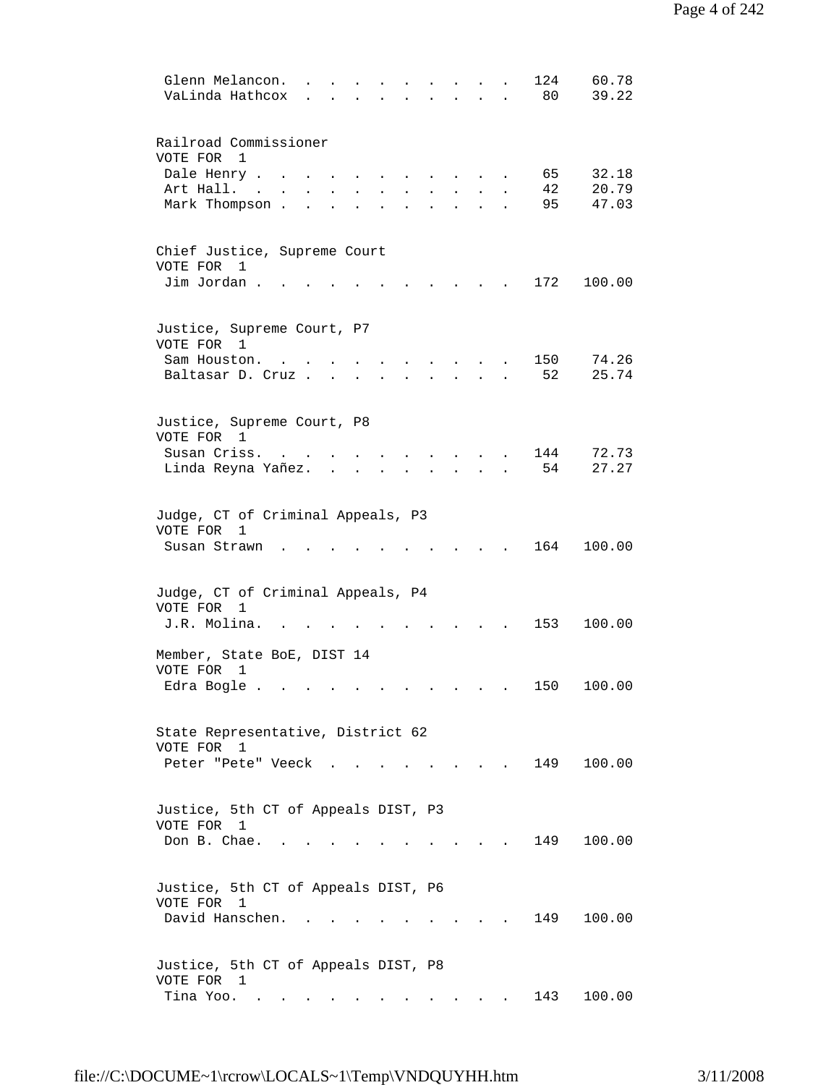| 124<br>60.78<br>Glenn Melancon.<br>39.22<br>VaLinda Hathcox<br>80                      |  |
|----------------------------------------------------------------------------------------|--|
| Railroad Commissioner<br>VOTE FOR<br>$\mathbf{1}$                                      |  |
| Dale Henry .<br>32.18<br>65<br>42                                                      |  |
| 20.79<br>Art Hall. .<br>95<br>47.03                                                    |  |
| Mark Thompson.                                                                         |  |
| Chief Justice, Supreme Court<br>VOTE FOR<br>1                                          |  |
| Jim Jordan.<br>172<br>100.00                                                           |  |
| Justice, Supreme Court, P7<br>VOTE FOR 1                                               |  |
| 74.26<br>150<br>Sam Houston.                                                           |  |
| 52<br>25.74<br>Baltasar D. Cruz.                                                       |  |
| Justice, Supreme Court, P8<br>VOTE FOR 1                                               |  |
| 144<br>72.73<br>Susan Criss.                                                           |  |
| 27.27<br>54<br>Linda Reyna Yañez.                                                      |  |
| Judge, CT of Criminal Appeals, P3<br>VOTE FOR<br>1<br>164<br>100.00<br>Susan Strawn    |  |
| Judge, CT of Criminal Appeals, P4<br>VOTE FOR<br>1                                     |  |
| J.R. Molina.<br>153<br>100.00                                                          |  |
| Member, State BoE, DIST 14<br>VOTE FOR<br>1<br>Edra Bogle.<br>150<br>100.00            |  |
|                                                                                        |  |
| State Representative, District 62<br>VOTE FOR 1<br>Peter "Pete" Veeck<br>149<br>100.00 |  |
|                                                                                        |  |
| Justice, 5th CT of Appeals DIST, P3<br>VOTE FOR 1<br>Don B. Chae.<br>149<br>100.00     |  |
| Justice, 5th CT of Appeals DIST, P6<br>VOTE FOR 1<br>David Hanschen.<br>149<br>100.00  |  |
| Justice, 5th CT of Appeals DIST, P8                                                    |  |
| VOTE FOR 1<br>Tina Yoo.<br>143<br>100.00                                               |  |
|                                                                                        |  |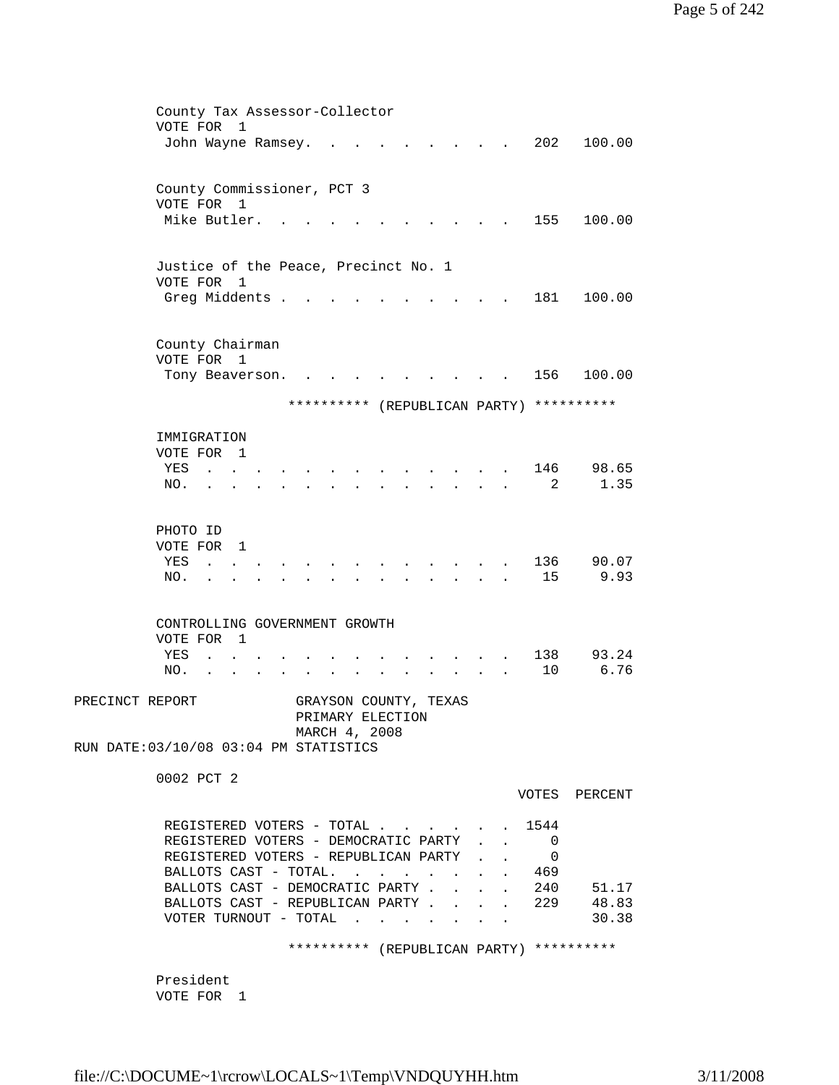| County Tax Assessor-Collector          |                                           |  |  |        |  |                             |                                          |
|----------------------------------------|-------------------------------------------|--|--|--------|--|-----------------------------|------------------------------------------|
| VOTE FOR<br>$\overline{1}$             |                                           |  |  |        |  |                             |                                          |
| John Wayne Ramsey.                     |                                           |  |  |        |  | 202                         | 100.00                                   |
|                                        |                                           |  |  |        |  |                             |                                          |
| County Commissioner, PCT 3             |                                           |  |  |        |  |                             |                                          |
| VOTE FOR 1                             |                                           |  |  |        |  |                             |                                          |
| Mike Butler.                           |                                           |  |  |        |  | 155                         | 100.00                                   |
|                                        |                                           |  |  |        |  |                             |                                          |
|                                        |                                           |  |  |        |  |                             |                                          |
| Justice of the Peace, Precinct No. 1   |                                           |  |  |        |  |                             |                                          |
| VOTE FOR 1<br>Greg Middents .          |                                           |  |  |        |  | 181                         | 100.00                                   |
|                                        |                                           |  |  |        |  |                             |                                          |
|                                        |                                           |  |  |        |  |                             |                                          |
| County Chairman                        |                                           |  |  |        |  |                             |                                          |
| VOTE FOR 1                             |                                           |  |  |        |  |                             |                                          |
| Tony Beaverson.                        | $\sim$ $\sim$                             |  |  |        |  |                             | 156 100.00                               |
|                                        |                                           |  |  |        |  |                             |                                          |
|                                        |                                           |  |  |        |  |                             | ********** (REPUBLICAN PARTY) ********** |
| IMMIGRATION                            |                                           |  |  |        |  |                             |                                          |
| VOTE FOR 1                             |                                           |  |  |        |  |                             |                                          |
| YES<br>$\mathbf{a}$ and $\mathbf{a}$   |                                           |  |  |        |  | 146                         | 98.65                                    |
| NO.<br>$\ddot{\phantom{a}}$            |                                           |  |  |        |  | 2                           | 1.35                                     |
|                                        |                                           |  |  |        |  |                             |                                          |
|                                        |                                           |  |  |        |  |                             |                                          |
| PHOTO ID                               |                                           |  |  |        |  |                             |                                          |
| VOTE FOR 1                             |                                           |  |  |        |  |                             |                                          |
| YES<br><b>Carl Carl Control</b>        |                                           |  |  |        |  | 136<br>15                   | 90.07<br>9.93                            |
| NO.                                    |                                           |  |  | $\sim$ |  |                             |                                          |
|                                        |                                           |  |  |        |  |                             |                                          |
| CONTROLLING GOVERNMENT GROWTH          |                                           |  |  |        |  |                             |                                          |
| VOTE FOR 1                             |                                           |  |  |        |  |                             |                                          |
| YES<br>$\mathbf{L}$                    |                                           |  |  |        |  | 138                         | 93.24                                    |
| NO.                                    |                                           |  |  |        |  | 10                          | 6.76                                     |
| PRECINCT REPORT                        |                                           |  |  |        |  |                             |                                          |
|                                        | GRAYSON COUNTY, TEXAS<br>PRIMARY ELECTION |  |  |        |  |                             |                                          |
|                                        | MARCH 4, 2008                             |  |  |        |  |                             |                                          |
| RUN DATE: 03/10/08 03:04 PM STATISTICS |                                           |  |  |        |  |                             |                                          |
|                                        |                                           |  |  |        |  |                             |                                          |
| 0002 PCT 2                             |                                           |  |  |        |  |                             |                                          |
|                                        |                                           |  |  |        |  |                             | VOTES PERCENT                            |
| REGISTERED VOTERS - TOTAL 1544         |                                           |  |  |        |  |                             |                                          |
| REGISTERED VOTERS - DEMOCRATIC PARTY 0 |                                           |  |  |        |  |                             |                                          |
| REGISTERED VOTERS - REPUBLICAN PARTY 0 |                                           |  |  |        |  |                             |                                          |
| BALLOTS CAST - TOTAL. 469              |                                           |  |  |        |  |                             |                                          |
| BALLOTS CAST - DEMOCRATIC PARTY.       |                                           |  |  |        |  | $\cdot$ $\cdot$ $\cdot$ 240 | 51.17                                    |
| BALLOTS CAST - REPUBLICAN PARTY        |                                           |  |  |        |  | . 229                       | 48.83                                    |
| VOTER TURNOUT - TOTAL                  |                                           |  |  |        |  |                             | 30.38                                    |
|                                        |                                           |  |  |        |  |                             |                                          |
|                                        |                                           |  |  |        |  |                             | ********** (REPUBLICAN PARTY) ********** |
| President                              |                                           |  |  |        |  |                             |                                          |
| VOTE FOR 1                             |                                           |  |  |        |  |                             |                                          |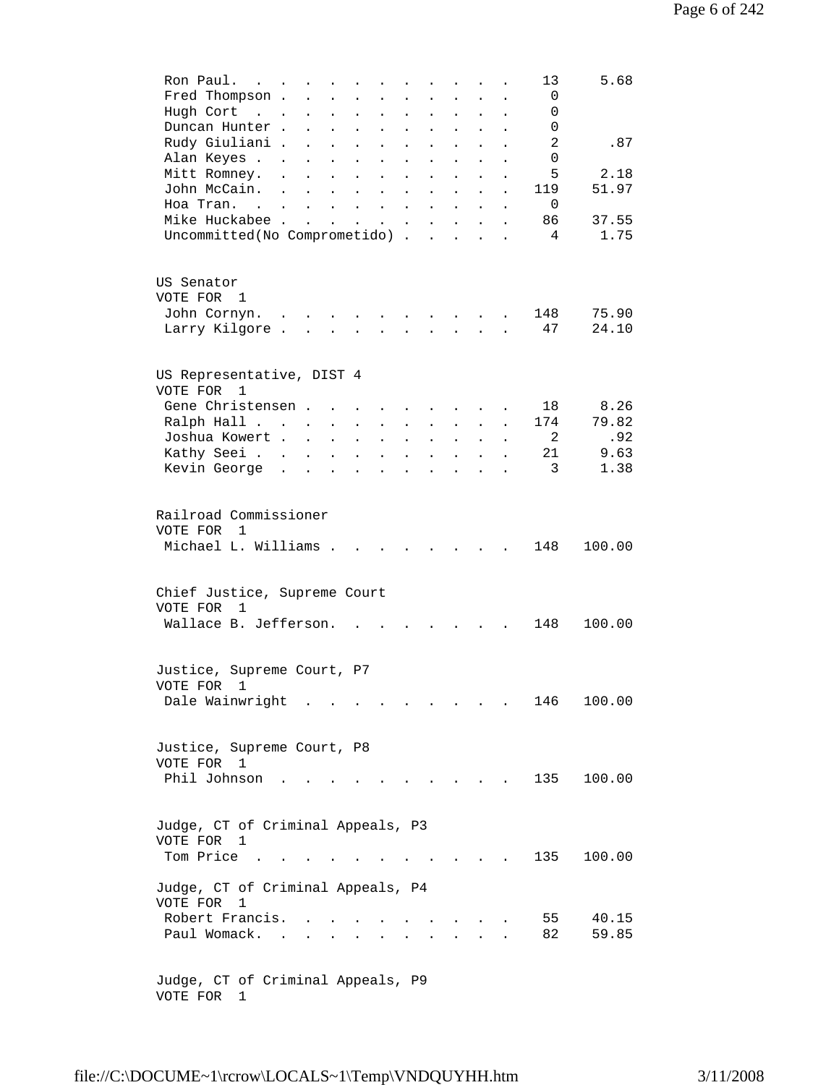| Ron Paul.<br>$\sim$ $\sim$ $\sim$<br>Fred Thompson .<br>Hugh Cort<br>$\sim$ $\sim$  | $\ddot{\phantom{a}}$<br>$\ddot{\phantom{a}}$ | $\ddot{\phantom{a}}$<br>$\ddot{\phantom{a}}$ | $\ddot{\phantom{a}}$<br>$\ddot{\phantom{a}}$ | $\ddot{\phantom{a}}$<br>$\ddot{\phantom{a}}$ | $\ddot{\phantom{a}}$<br>$\ddot{\phantom{a}}$ | $\ddot{\phantom{a}}$<br>$\mathbf{L}$ | $\ddot{\phantom{a}}$<br>$\ddot{\phantom{a}}$ | $\ddot{\phantom{a}}$<br>$\ddot{\phantom{a}}$ |                | 13<br>$\mathbf 0$<br>0 | 5.68          |
|-------------------------------------------------------------------------------------|----------------------------------------------|----------------------------------------------|----------------------------------------------|----------------------------------------------|----------------------------------------------|--------------------------------------|----------------------------------------------|----------------------------------------------|----------------|------------------------|---------------|
| Duncan Hunter.<br>Rudy Giuliani .                                                   | $\ddot{\phantom{a}}$<br>$\ddot{\phantom{0}}$ | $\ddot{\phantom{0}}$                         | $\ddot{\phantom{a}}$<br>$\bullet$            | $\ddot{\phantom{a}}$<br>$\bullet$            | $\ddot{\phantom{a}}$<br>$\ddot{\phantom{0}}$ | $\ddot{\phantom{a}}$<br>$\bullet$    | $\ddot{\phantom{a}}$                         | $\ddot{\phantom{a}}$<br>$\bullet$            |                | 0<br>2                 | .87           |
| Alan Keyes                                                                          |                                              |                                              | $\ddot{\phantom{a}}$                         | $\ddot{\phantom{0}}$                         | $\ddot{\phantom{0}}$                         | $\ddot{\phantom{0}}$                 |                                              |                                              |                | 0                      |               |
| Mitt Romney.                                                                        | $\bullet$                                    |                                              | $\ddot{\phantom{0}}$                         | $\ddot{\phantom{0}}$                         | $\ddot{\phantom{0}}$                         |                                      |                                              |                                              |                | 5                      | 2.18          |
| John McCain.                                                                        |                                              |                                              | $\ddot{\phantom{a}}$                         |                                              | $\ddot{\phantom{0}}$                         |                                      |                                              |                                              |                | 119                    | 51.97         |
| Hoa Tran. .                                                                         | $\ddot{\phantom{0}}$                         |                                              | $\ddot{\phantom{a}}$                         |                                              |                                              | $\ddot{\phantom{a}}$                 |                                              | $\ddot{\phantom{a}}$                         |                | $\Omega$               |               |
| Mike Huckabee .                                                                     | $\overline{a}$                               |                                              |                                              | $\ddot{\phantom{0}}$                         |                                              | $\ddot{\phantom{a}}$                 | $\ddot{\phantom{0}}$                         | $\ddot{\phantom{0}}$                         |                | 86<br>$\overline{4}$   | 37.55<br>1.75 |
| Uncommitted(No Comprometido) .                                                      |                                              |                                              |                                              |                                              |                                              | $\mathbf{r}$                         | $\mathbf{r}$                                 |                                              | $\overline{a}$ |                        |               |
| US Senator<br>VOTE FOR<br>1<br>John Cornyn.                                         | $\ddot{\phantom{0}}$                         |                                              |                                              |                                              |                                              |                                      |                                              |                                              |                | 148                    | 75.90         |
| Larry Kilgore.                                                                      | $\overline{a}$                               |                                              |                                              |                                              |                                              |                                      |                                              |                                              |                | 47                     | 24.10         |
|                                                                                     |                                              |                                              |                                              |                                              |                                              |                                      |                                              |                                              |                |                        |               |
| US Representative, DIST 4<br>VOTE FOR 1                                             |                                              |                                              |                                              |                                              |                                              |                                      |                                              |                                              |                |                        |               |
| Gene Christensen.                                                                   |                                              |                                              | $\sim$                                       |                                              |                                              |                                      |                                              |                                              |                | 18                     | 8.26          |
| Ralph Hall                                                                          |                                              | $\mathcal{L}^{\text{max}}$                   | $\bullet$                                    | $\bullet$                                    | $\ddot{\phantom{0}}$                         | $\bullet$                            |                                              | $\ddot{\phantom{0}}$                         |                | 174<br>2               | 79.82         |
| Joshua Kowert .<br>Kathy Seei                                                       | $\ddot{\phantom{a}}$                         | $\ddot{\phantom{a}}$                         | $\bullet$<br>$\ddot{\phantom{0}}$            | $\ddot{\phantom{a}}$                         | $\ddot{\phantom{0}}$                         |                                      |                                              | $\ddot{\phantom{0}}$                         |                | 21                     | .92<br>9.63   |
| Kevin George                                                                        | $\sim$                                       |                                              |                                              |                                              |                                              |                                      |                                              |                                              |                | 3                      | 1.38          |
|                                                                                     |                                              |                                              |                                              |                                              |                                              |                                      |                                              |                                              |                |                        |               |
| Railroad Commissioner<br>VOTE FOR<br>$\overline{1}$                                 |                                              |                                              |                                              |                                              |                                              |                                      |                                              |                                              |                |                        |               |
| Michael L. Williams.                                                                |                                              |                                              | $\sim$                                       |                                              | $\sim$ $\sim$ $\sim$                         |                                      | $\sim$ $\sim$                                | $\sim$ $\sim$                                |                | 148                    | 100.00        |
| Chief Justice, Supreme Court<br>VOTE FOR<br>$\overline{1}$<br>Wallace B. Jefferson. |                                              |                                              |                                              |                                              |                                              |                                      |                                              |                                              |                | 148                    | 100.00        |
|                                                                                     |                                              |                                              |                                              |                                              |                                              |                                      |                                              |                                              |                |                        |               |
| Justice, Supreme Court, P7<br>VOTE FOR 1                                            |                                              |                                              |                                              |                                              |                                              |                                      |                                              |                                              |                |                        |               |
| Dale Wainwright                                                                     |                                              |                                              |                                              |                                              |                                              |                                      |                                              |                                              |                | 146                    | 100.00        |
| Justice, Supreme Court, P8<br>VOTE FOR 1                                            |                                              |                                              |                                              |                                              |                                              |                                      |                                              |                                              |                |                        |               |
| Phil Johnson                                                                        |                                              |                                              |                                              |                                              |                                              |                                      |                                              |                                              |                | 135                    | 100.00        |
| Judge, CT of Criminal Appeals, P3<br>VOTE FOR 1<br>Tom Price.                       |                                              |                                              |                                              |                                              |                                              |                                      |                                              |                                              |                | 135                    | 100.00        |
|                                                                                     |                                              |                                              |                                              |                                              |                                              |                                      |                                              |                                              |                |                        |               |
| Judge, CT of Criminal Appeals, P4<br>VOTE FOR 1<br>Robert Francis.                  |                                              |                                              |                                              |                                              |                                              |                                      |                                              |                                              |                | 55                     | 40.15         |
| Paul Womack.                                                                        | $\sim$                                       |                                              |                                              |                                              |                                              |                                      |                                              |                                              |                | 82                     | 59.85         |
| Judge, CT of Criminal Appeals, P9<br>VOTE FOR 1                                     |                                              |                                              |                                              |                                              |                                              |                                      |                                              |                                              |                |                        |               |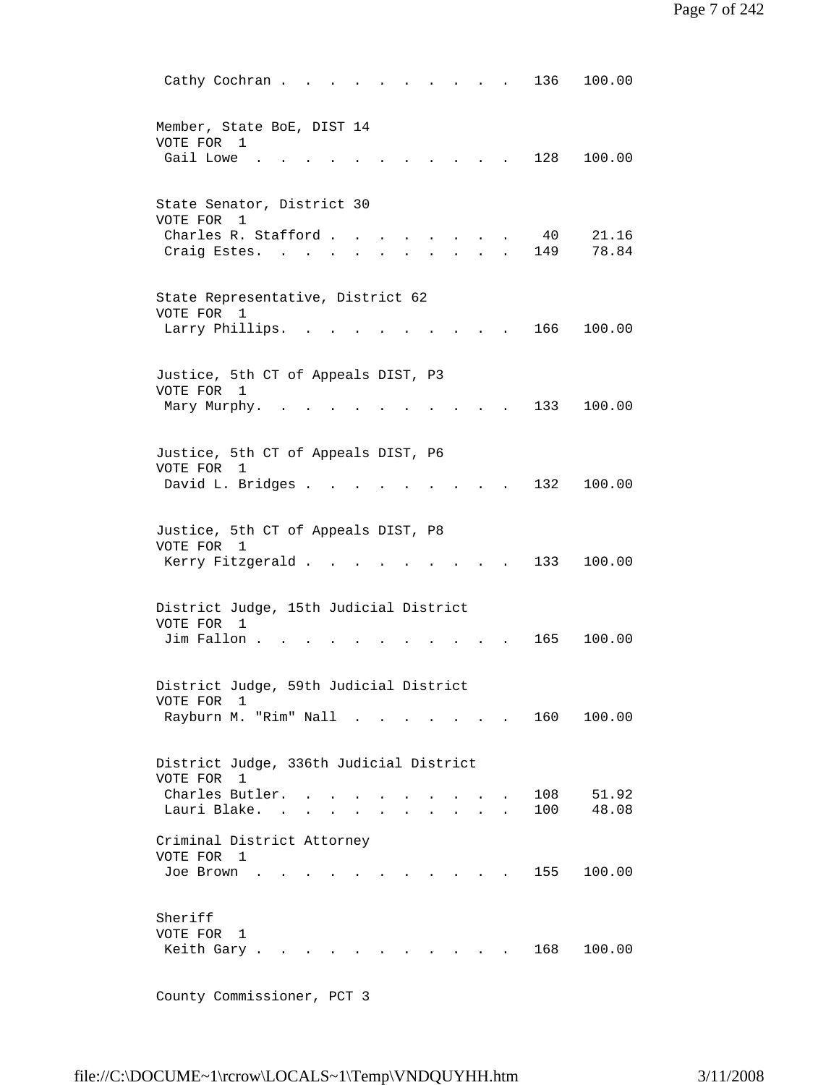Cathy Cochran . . . . . . . . . . 136 100.00 Member, State BoE, DIST 14 VOTE FOR 1 Gail Lowe . . . . . . . . . . . 128 100.00 State Senator, District 30 VOTE FOR 1 Charles R. Stafford . . . . . . . . 40 21.16<br>Craig Estes. . . . . . . . . . . 149 78.84 Craig Estes. . . . . . . . . . . State Representative, District 62 VOTE FOR 1 Larry Phillips. . . . . . . . . . 166 100.00 Justice, 5th CT of Appeals DIST, P3 VOTE FOR 1 Mary Murphy. . . . . . . . . . . 133 100.00 Justice, 5th CT of Appeals DIST, P6 VOTE FOR 1 David L. Bridges . . . . . . . . . 132 100.00 Justice, 5th CT of Appeals DIST, P8 VOTE FOR 1 Kerry Fitzgerald . . . . . . . . . 133 100.00 District Judge, 15th Judicial District VOTE FOR 1 Jim Fallon . . . . . . . . . . . 165 100.00 District Judge, 59th Judicial District VOTE FOR 1 Rayburn M. "Rim" Nall . . . . . . . 160 100.00 District Judge, 336th Judicial District VOTE FOR 1 Charles Butler. . . . . . . . . . . 108 51.92<br>Lauri Blake. . . . . . . . . . . 100 48.08 Lauri Blake. . . . . . . . . . . Criminal District Attorney VOTE FOR 1 Joe Brown . . . . . . . . . . . 155 100.00 Sheriff VOTE FOR 1 Keith Gary . . . . . . . . . . . 168 100.00

County Commissioner, PCT 3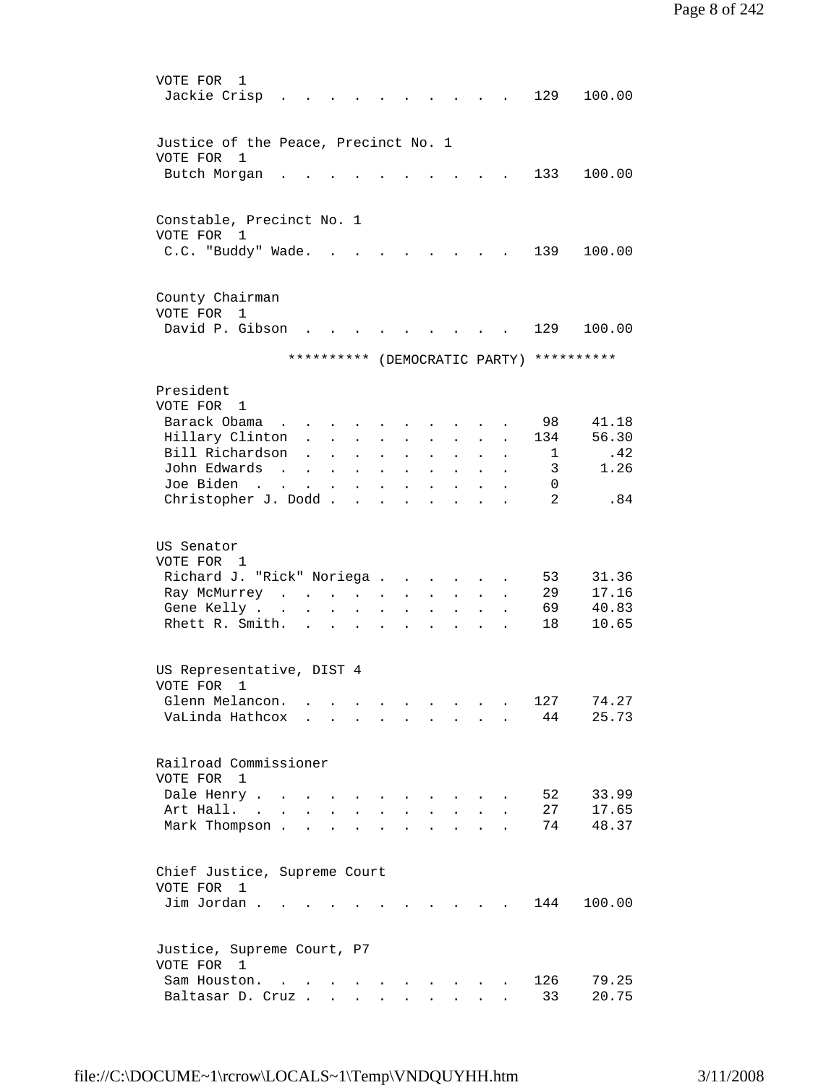VOTE FOR 1 Jackie Crisp . . . . . . . . . . 129 100.00 Justice of the Peace, Precinct No. 1 VOTE FOR 1 Butch Morgan . . . . . . . . . . 133 100.00 Constable, Precinct No. 1 VOTE FOR 1 C.C. "Buddy" Wade. . . . . . . . . 139 100.00 County Chairman VOTE FOR 1 David P. Gibson . . . . . . . . . 129 100.00 \*\*\*\*\*\*\*\*\*\* (DEMOCRATIC PARTY) \*\*\*\*\*\*\*\*\*\* President VOTE FOR 1 Barack Obama . . . . . . . . . . 98 41.18 Hillary Clinton . . . . . . . . . 134 56.30<br>
Bill Richardson . . . . . . . . . 1 .42<br>
John Edwards . . . . . . . . . . 3 1.26 Bill Richardson . . . . . . . . . John Edwards . . . . . . . . . . . 3<br>Joe Biden . . . . . . . . . . . 0 Joe Biden . . . . . . . . . . . . Christopher J. Dodd . . . . . . . . . 2 .84 US Senator VOTE FOR 1 Richard J. "Rick" Noriega . . . . . . 53 31.36<br>
Ray McMurrey . . . . . . . . . . . 29 17.16<br>
Gene Kelly . . . . . . . . . . . 69 40.83 Ray McMurrey . . . . . . Gene Kelly . . . . . . . . . . . Rhett R. Smith. . . . . . . . . . 18 10.65 US Representative, DIST 4 VOTE FOR 1 Glenn Melancon. . . . . . . . . . 127 74.27 VaLinda Hathcox . . . . . . . . . 44 25.73 Railroad Commissioner VOTE FOR 1 Dale Henry . . . . . . . . . . . . 52 33.99<br>Art Hall. . . . . . . . . . . . 27 17.65 Art Hall. . . . . . . . . . . . . Mark Thompson . . . . . . . . . . 74 48.37 Chief Justice, Supreme Court VOTE FOR 1 Jim Jordan . . . . . . . . . . . 144 100.00 Justice, Supreme Court, P7 VOTE FOR 1 Sam Houston. . . . . . . . . . . 126 79.25 Baltasar D. Cruz . . . . . . . . . . 33 20.75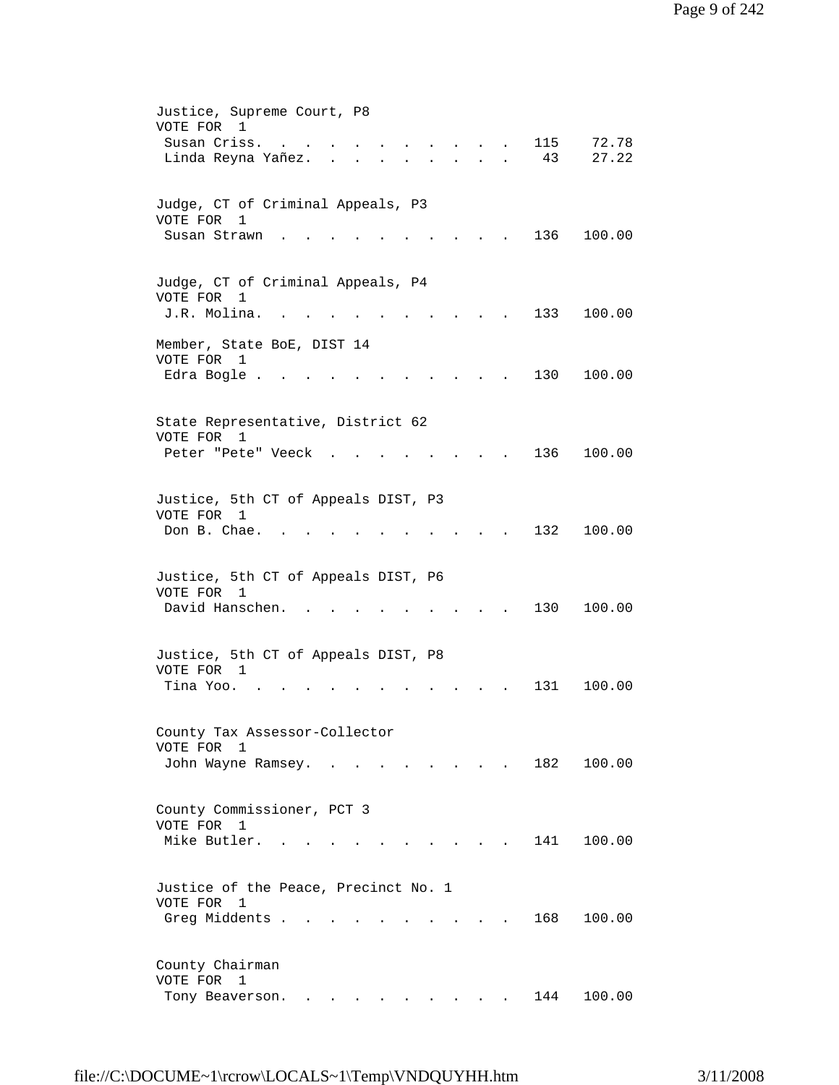| Justice, Supreme Court, P8<br>VOTE FOR<br>1<br>115<br>72.78<br>Susan Criss.<br>$\sim$ $\sim$<br>Linda Reyna Yañez.<br>43<br>27.22<br>$\mathbf{r} = \mathbf{r}$<br>$\mathbf{r} = \mathbf{r} \cdot \mathbf{r}$<br>$\sim$ |
|------------------------------------------------------------------------------------------------------------------------------------------------------------------------------------------------------------------------|
| Judge, CT of Criminal Appeals, P3                                                                                                                                                                                      |
| VOTE FOR<br>1<br>136<br>100.00<br>Susan Strawn                                                                                                                                                                         |
| Judge, CT of Criminal Appeals, P4<br>VOTE FOR<br>1<br>J.R. Molina.<br>133<br>100.00                                                                                                                                    |
| Member, State BoE, DIST 14<br>VOTE FOR 1<br>Edra Bogle .<br>130<br>100.00                                                                                                                                              |
| State Representative, District 62                                                                                                                                                                                      |
| VOTE FOR<br>1<br>136<br>100.00<br>Peter "Pete" Veeck                                                                                                                                                                   |
| Justice, 5th CT of Appeals DIST, P3<br>VOTE FOR 1<br>Don B. Chae.<br>132<br>100.00                                                                                                                                     |
| Justice, 5th CT of Appeals DIST, P6<br>VOTE FOR 1<br>David Hanschen.<br>130<br>100.00                                                                                                                                  |
| Justice, 5th CT of Appeals DIST, P8<br>VOTE FOR 1<br>Tina Yoo.<br>131<br>100.00                                                                                                                                        |
| County Tax Assessor-Collector<br>VOTE FOR<br>1<br>182<br>100.00<br>John Wayne Ramsey. .<br>$\mathbf{r}$ , $\mathbf{r}$ , $\mathbf{r}$ , $\mathbf{r}$<br>$\sim$<br><b>Service</b> State<br>$\ddot{\phantom{a}}$         |
| County Commissioner, PCT 3<br>VOTE FOR<br>1                                                                                                                                                                            |
| Mike Butler.<br>141<br>100.00                                                                                                                                                                                          |
| Justice of the Peace, Precinct No. 1<br>VOTE FOR 1<br>Greg Middents<br>168<br>100.00                                                                                                                                   |
| County Chairman<br>VOTE FOR<br>1<br>Tony Beaverson.<br>144<br>100.00                                                                                                                                                   |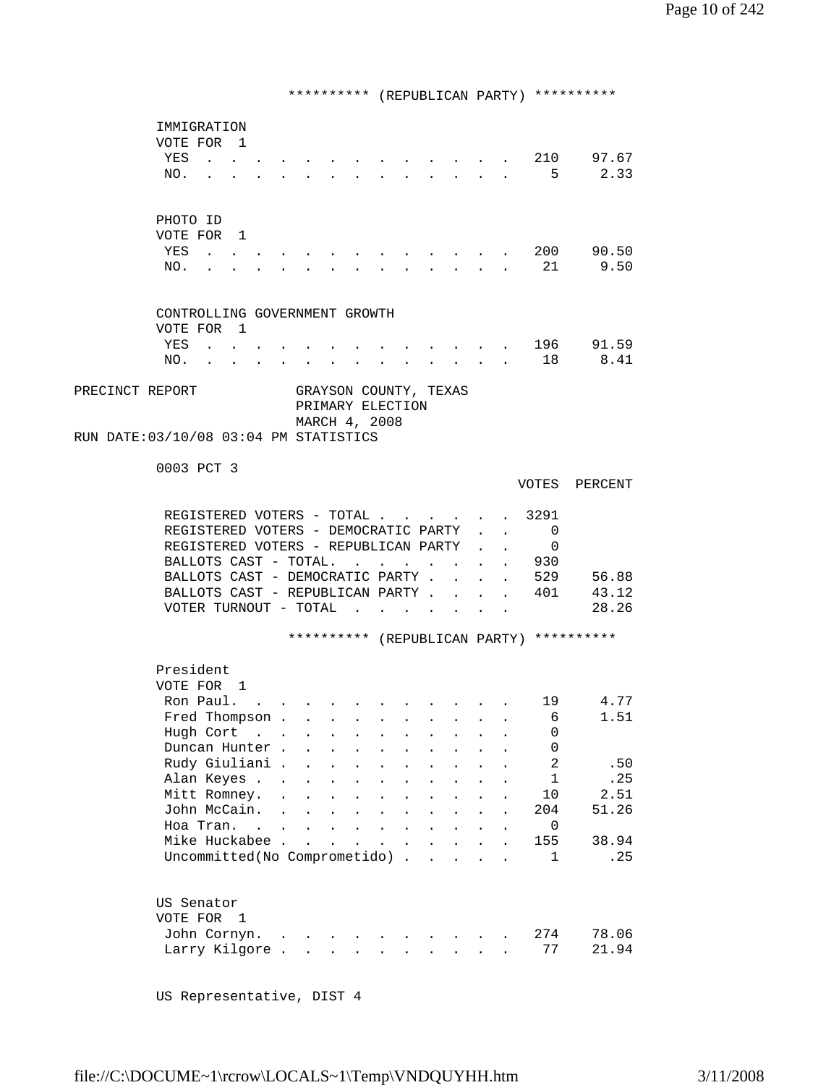\*\*\*\*\*\*\*\*\*\* (REPUBLICAN PARTY) \*\*\*\*\*\*\*\*\*\* IMMIGRATION VOTE FOR 1 YES . . . . . . . . . . . . . 210 97.67 NO. . . . . . . . . . . . . . 5 2.33 PHOTO ID VOTE FOR 1 YES . . . . . . . . . . . . . 200 90.50 NO. . . . . . . . . . . . . . 21 9.50 CONTROLLING GOVERNMENT GROWTH VOTE FOR 1<br>YES . . (a) . . . . . . . . . . . . . . 196 91.59<br>(a) . . . . . . . . . . . 18 8.41 NO. . . . . . . . . . . . . . 18 8.41 PRECINCT REPORT GRAYSON COUNTY, TEXAS PRIMARY ELECTION MARCH 4, 2008 RUN DATE:03/10/08 03:04 PM STATISTICS 0003 PCT 3 VOTES PERCENT REGISTERED VOTERS - TOTAL . . . . . . 3291 REGISTERED VOTERS - DEMOCRATIC PARTY . . 0 REGISTERED VOTERS - REPUBLICAN PARTY . . 0 BALLOTS CAST - TOTAL. . . . . . . . 930<br>BALLOTS CAST - DEMOCRATIC PARTY . . . . 529 BALLOTS CAST - DEMOCRATIC PARTY . . . . 529 56.88<br>BALLOTS CAST - REPUBLICAN PARTY . . . . 401 43.12 BALLOTS CAST - REPUBLICAN PARTY . . . . 401 VOTER TURNOUT - TOTAL . . . . . . . 28.26 \*\*\*\*\*\*\*\*\*\* (REPUBLICAN PARTY) \*\*\*\*\*\*\*\*\*\* President VOTE FOR 1 Ron Paul. . . . . . . . . . . . 19 4.77 Fred Thompson . . . . . . . . . . . 6 1.51 Hugh Cort . . . . . . . . . . . 0 Duncan Hunter . . . . . . . . . . . 0<br>Rudy Giuliani . . . . . . . . . . . 2 Rudy Giuliani . . . . . . . . . . . 2 .50<br>Alan Keves . . . . . . . . . . . . 1 .25 Alan Keyes . . . . . . . . . . . . 1 . 25<br>Mitt Romney. . . . . . . . . . . 10 2.51 Mitt Romney. . . . . . . . . . . . 10 2.51<br>John McCain. . . . . . . . . . 204 51.26 John McCain. . . . . . . . . . . 204<br>Hoa Tran. . . . . . . . . . . . . 0 Hoa Tran. . . . . . . . . . . . . Mike Huckabee . . . . . . . . . . . . 155 38.94<br>Uncommitted(No Comprometido) . . . . . 1 . 25 Uncommitted(No Comprometido) . . . . . 1 US Senator VOTE FOR 1 John Cornyn. . . . . . . . . . . 274 78.06 Larry Kilgore . . . . . . . . . . 77 21.94

US Representative, DIST 4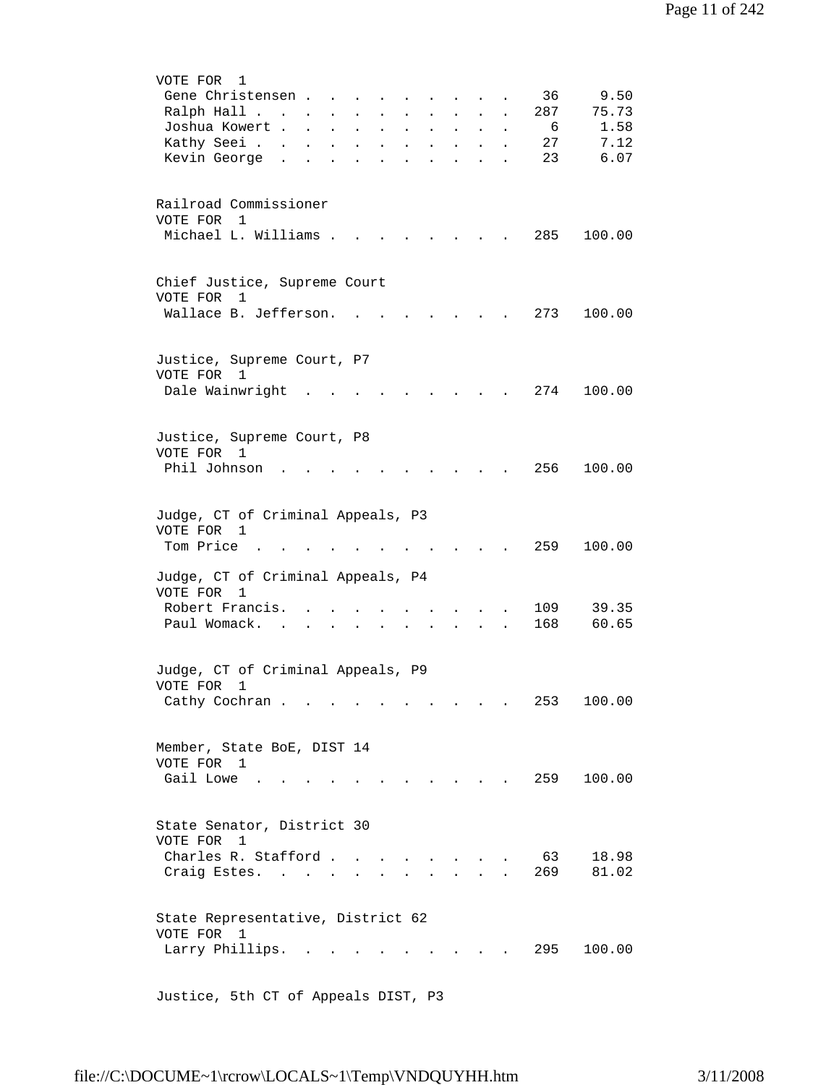| VOTE FOR 1<br>Gene Christensen<br>36<br>9.50<br>75.73<br>Ralph Hall<br>287<br>$\mathbf{1}$ $\mathbf{1}$ $\mathbf{1}$ $\mathbf{1}$ $\mathbf{1}$ $\mathbf{1}$ $\mathbf{1}$<br>$\sim 10^{-10}$<br>$\sim$<br>Joshua Kowert<br>1.58<br>6<br>$\ddot{\phantom{a}}$<br>$\mathbf{L}$<br>and a state of the state<br>$\ddot{\phantom{a}}$<br>7.12<br>Kathy Seei<br>27<br>$\sim$ 100 $\pm$<br>$\bullet$<br>$\sim$ 10 $\pm$<br>$\bullet$<br>$\mathbf{L} = \mathbf{L}$<br>$\mathbf{L} = \mathbf{0}$<br>$\ddot{\phantom{0}}$<br>23<br>6.07<br>Kevin George .<br>$\ddot{\phantom{a}}$<br>$\mathbf{L}^{\text{max}}$<br>$\ddot{\phantom{a}}$<br>$\ddot{\phantom{0}}$<br>$\ddot{\phantom{a}}$ |
|-----------------------------------------------------------------------------------------------------------------------------------------------------------------------------------------------------------------------------------------------------------------------------------------------------------------------------------------------------------------------------------------------------------------------------------------------------------------------------------------------------------------------------------------------------------------------------------------------------------------------------------------------------------------------------|
| Railroad Commissioner<br>VOTE FOR 1<br>Michael L. Williams .<br>285<br>100.00                                                                                                                                                                                                                                                                                                                                                                                                                                                                                                                                                                                               |
| Chief Justice, Supreme Court<br>VOTE FOR<br>1<br>Wallace B. Jefferson.<br>100.00<br>273                                                                                                                                                                                                                                                                                                                                                                                                                                                                                                                                                                                     |
| Justice, Supreme Court, P7<br>VOTE FOR 1<br>Dale Wainwright<br>274<br>100.00                                                                                                                                                                                                                                                                                                                                                                                                                                                                                                                                                                                                |
| Justice, Supreme Court, P8<br>VOTE FOR 1<br>Phil Johnson<br>256<br>100.00                                                                                                                                                                                                                                                                                                                                                                                                                                                                                                                                                                                                   |
| Judge, CT of Criminal Appeals, P3<br>VOTE FOR 1<br>Tom Price<br>100.00<br>259                                                                                                                                                                                                                                                                                                                                                                                                                                                                                                                                                                                               |
| Judge, CT of Criminal Appeals, P4<br>VOTE FOR<br>1<br>Robert Francis.<br>109<br>39.35<br>168<br>Paul Womack.<br>60.65                                                                                                                                                                                                                                                                                                                                                                                                                                                                                                                                                       |
| Judge, CT of Criminal Appeals, P9<br>VOTE FOR<br>1<br>Cathy Cochran<br>253<br>100.00<br>$\mathbf{L}$ and $\mathbf{L}$                                                                                                                                                                                                                                                                                                                                                                                                                                                                                                                                                       |
| Member, State BoE, DIST 14<br>VOTE FOR 1<br>Gail Lowe<br>259<br>100.00<br>and the state of the state of the state of                                                                                                                                                                                                                                                                                                                                                                                                                                                                                                                                                        |
| State Senator, District 30<br>VOTE FOR<br>1<br>Charles R. Stafford<br>18.98<br>63<br>$\ddot{\phantom{1}}$<br>269<br>81.02<br>Craig Estes.                                                                                                                                                                                                                                                                                                                                                                                                                                                                                                                                   |
| State Representative, District 62<br>VOTE FOR 1<br>295<br>100.00<br>Larry Phillips.                                                                                                                                                                                                                                                                                                                                                                                                                                                                                                                                                                                         |

Justice, 5th CT of Appeals DIST, P3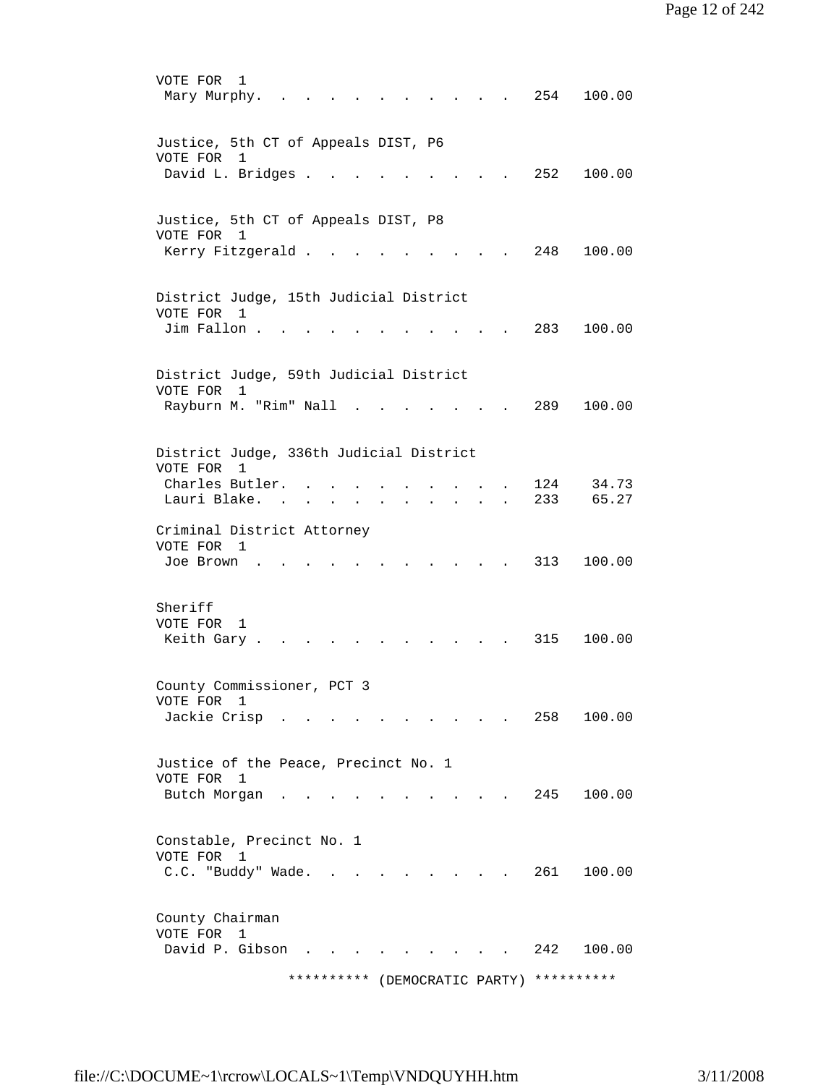VOTE FOR 1 Mary Murphy. . . . . . . . . . . 254 100.00 Justice, 5th CT of Appeals DIST, P6 VOTE FOR 1 David L. Bridges . . . . . . . . . 252 100.00 Justice, 5th CT of Appeals DIST, P8 VOTE FOR 1 Kerry Fitzgerald . . . . . . . . . 248 100.00 District Judge, 15th Judicial District VOTE FOR 1 Jim Fallon . . . . . . . . . . . 283 100.00 District Judge, 59th Judicial District VOTE FOR 1 Rayburn M. "Rim" Nall . . . . . . . 289 100.00 District Judge, 336th Judicial District VOTE FOR 1 Charles Butler. . . . . . . . . . 124 34.73 Lauri Blake. . . . . . . . . . . 233 65.27 Criminal District Attorney VOTE FOR 1 Joe Brown . . . . . . . . . . . 313 100.00 Sheriff VOTE FOR 1 Keith Gary . . . . . . . . . . . 315 100.00 County Commissioner, PCT 3 VOTE FOR 1 Jackie Crisp............ 258 100.00 Justice of the Peace, Precinct No. 1 VOTE FOR 1 Butch Morgan . . . . . . . . . . 245 100.00 Constable, Precinct No. 1 VOTE FOR 1 C.C. "Buddy" Wade. . . . . . . . . 261 100.00 County Chairman VOTE FOR 1 David P. Gibson . . . . . . . . . 242 100.00 \*\*\*\*\*\*\*\*\*\* (DEMOCRATIC PARTY) \*\*\*\*\*\*\*\*\*\*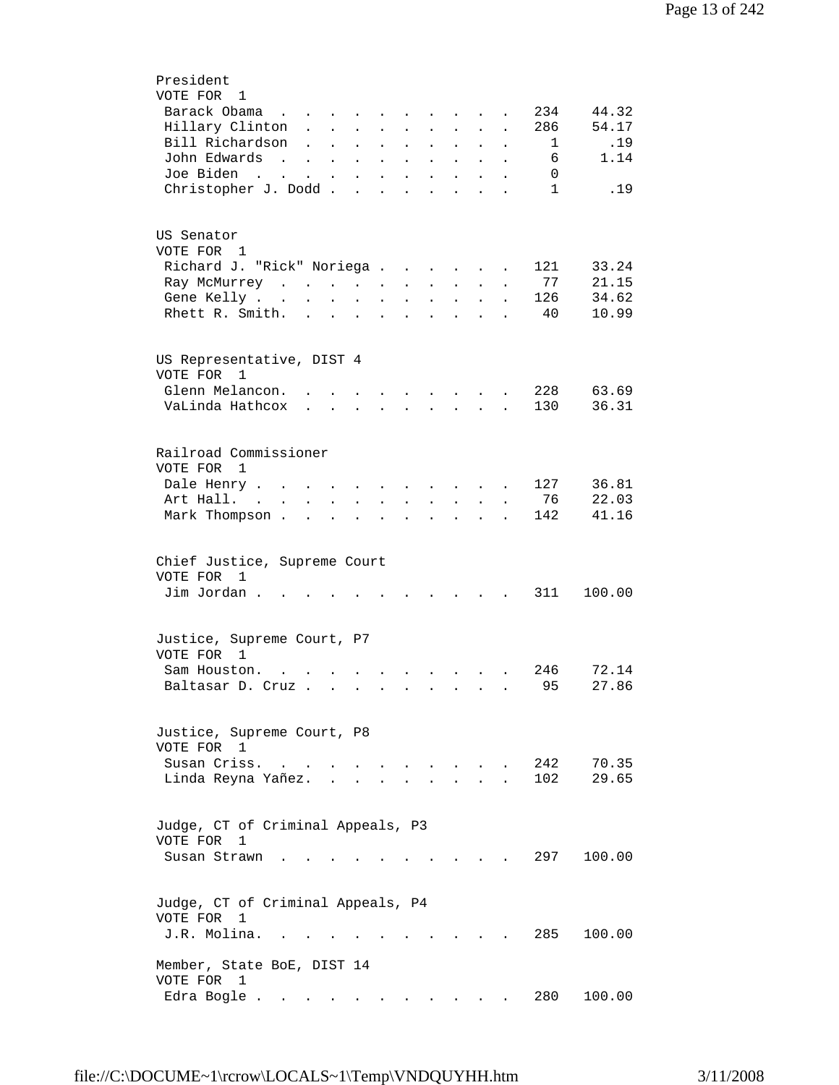| President                                                                                                                                                                                                                                            |
|------------------------------------------------------------------------------------------------------------------------------------------------------------------------------------------------------------------------------------------------------|
| VOTE FOR 1                                                                                                                                                                                                                                           |
| 44.32<br>Barack Obama<br>234<br>$\mathcal{A}$ is a set of the set of the set of the set of $\mathcal{A}$                                                                                                                                             |
| 54.17<br>Hillary Clinton<br>286<br>$\mathbf{L}$ and $\mathbf{L}$<br>$\mathbf{L}$<br>$\mathbf{L}$<br>$\ddot{\phantom{a}}$                                                                                                                             |
| Bill Richardson<br>.19<br>1<br>$\ddot{\phantom{0}}$<br>$\mathbf{L}$<br>$\mathbf{L}^{\text{max}}$<br>$\mathcal{L}^{\text{max}}$<br>$\mathbf{L}^{\text{max}}$<br>$\ddot{\phantom{a}}$<br>$\ddot{\phantom{0}}$<br>$\ddot{\phantom{0}}$<br>$\bullet$     |
| John Edwards<br>6<br>1.14<br><b>Contract Contract</b><br>$\mathbf{z} = \mathbf{z} + \mathbf{z}$ .<br>$\mathbf{L}^{\text{max}}$<br>$\ddot{\phantom{0}}$<br>$\mathbf{z} = \mathbf{z}$<br>$\bullet$<br>$\bullet$                                        |
| Joe Biden<br>0<br>$\mathcal{L}(\mathcal{A})$ . The contribution of $\mathcal{A}(\mathcal{A})$<br>$\mathbf{L}^{\text{max}}$ , and $\mathbf{L}^{\text{max}}$<br>$\mathbf{z} = \mathbf{z}$<br>$\ddot{\phantom{0}}$<br>$\bullet$<br>$\ddot{\phantom{a}}$ |
| Christopher J. Dodd<br>$\mathbf{1}$<br>.19<br><b>Contract Contract</b><br>$\ddot{\phantom{a}}$<br>$\ddot{\phantom{a}}$<br>$\sim$                                                                                                                     |
|                                                                                                                                                                                                                                                      |
|                                                                                                                                                                                                                                                      |
| US Senator                                                                                                                                                                                                                                           |
| VOTE FOR 1                                                                                                                                                                                                                                           |
|                                                                                                                                                                                                                                                      |
| Richard J. "Rick" Noriega<br>33.24<br>121                                                                                                                                                                                                            |
| 77<br>21.15<br>Ray McMurrey<br>$\mathcal{L}^{\text{max}}$<br>$\mathcal{L}^{\text{max}}$<br>$\bullet$ .<br><br><br><br><br><br><br><br><br><br><br><br><br>$\bullet$<br>$\ddot{\phantom{a}}$                                                          |
| 34.62<br>Gene Kelly<br>126<br>$\sim 10^{-10}$<br>$\ddot{\phantom{0}}$<br>$\blacksquare$<br>$\bullet$                                                                                                                                                 |
| Rhett R. Smith.<br>40<br>10.99<br>$\sim$ $\sim$<br>$\bullet$<br>$\ddot{\phantom{0}}$<br>$\ddot{\phantom{a}}$                                                                                                                                         |
|                                                                                                                                                                                                                                                      |
|                                                                                                                                                                                                                                                      |
| US Representative, DIST 4                                                                                                                                                                                                                            |
| VOTE FOR<br>1                                                                                                                                                                                                                                        |
| Glenn Melancon.<br>228<br>63.69<br>$\sim$ $\sim$ $\sim$<br>$\sim$ $\sim$ $\sim$ $\sim$ $\sim$                                                                                                                                                        |
| 36.31<br>VaLinda Hathcox<br>130<br>$\mathbf{r} = \mathbf{r} + \mathbf{r} + \mathbf{r}$<br>$\mathbf{r}$ , $\mathbf{r}$ , $\mathbf{r}$ , $\mathbf{r}$                                                                                                  |
|                                                                                                                                                                                                                                                      |
|                                                                                                                                                                                                                                                      |
| Railroad Commissioner                                                                                                                                                                                                                                |
| VOTE FOR<br>1                                                                                                                                                                                                                                        |
| 36.81<br>127<br>Dale Henry<br>$\mathbf{L}$<br>$\sim$<br>$\ddot{\phantom{a}}$<br>$\sim$ $\sim$ $\sim$ $\sim$ $\sim$ $\sim$                                                                                                                            |
| 22.03<br>Art Hall. .<br>76<br>$\mathbf{r}$<br>$\ddot{\phantom{a}}$<br>$\sim$<br>$\ddot{\phantom{0}}$<br>$\ddot{\phantom{a}}$<br>$\mathbf{r}$<br>$\ddot{\phantom{a}}$                                                                                 |
| 41.16<br>Mark Thompson.<br>142<br>$\mathbf{L}$ and $\mathbf{L}$<br>$\ddot{\phantom{a}}$<br>$\ddot{\phantom{a}}$<br>$\mathbf{r}$<br>$\ddot{\phantom{0}}$<br>$\ddot{\phantom{a}}$<br>$\overline{a}$<br>$\overline{a}$                                  |
|                                                                                                                                                                                                                                                      |
|                                                                                                                                                                                                                                                      |
|                                                                                                                                                                                                                                                      |
| Chief Justice, Supreme Court                                                                                                                                                                                                                         |
| VOTE FOR 1                                                                                                                                                                                                                                           |
| Jim Jordan.<br>311<br>100.00<br>$\sim$ $\sim$                                                                                                                                                                                                        |
|                                                                                                                                                                                                                                                      |
|                                                                                                                                                                                                                                                      |
| Justice, Supreme Court, P7                                                                                                                                                                                                                           |
| VOTE FOR 1                                                                                                                                                                                                                                           |
| 72.14<br>Sam Houston.<br>246<br>$\mathbf{r} = \mathbf{r}$                                                                                                                                                                                            |
| 95<br>27.86<br>Baltasar D. Cruz<br>$\sim$ $\sim$ $\sim$ $\sim$                                                                                                                                                                                       |
|                                                                                                                                                                                                                                                      |
|                                                                                                                                                                                                                                                      |
| Justice, Supreme Court, P8                                                                                                                                                                                                                           |
| VOTE FOR 1                                                                                                                                                                                                                                           |
| 242<br>70.35<br>Susan Criss.<br>$\mathbf{L}$ and $\mathbf{L}$                                                                                                                                                                                        |
| 102<br>29.65<br>Linda Reyna Yañez.                                                                                                                                                                                                                   |
|                                                                                                                                                                                                                                                      |
|                                                                                                                                                                                                                                                      |
| Judge, CT of Criminal Appeals, P3                                                                                                                                                                                                                    |
| VOTE FOR<br>1                                                                                                                                                                                                                                        |
|                                                                                                                                                                                                                                                      |
| 297 —<br>Susan Strawn<br>100.00                                                                                                                                                                                                                      |
|                                                                                                                                                                                                                                                      |
|                                                                                                                                                                                                                                                      |
| Judge, CT of Criminal Appeals, P4                                                                                                                                                                                                                    |
| VOTE FOR<br>1                                                                                                                                                                                                                                        |
| J.R. Molina.<br>285<br>100.00                                                                                                                                                                                                                        |
|                                                                                                                                                                                                                                                      |
| Member, State BoE, DIST 14                                                                                                                                                                                                                           |
| VOTE FOR<br>1                                                                                                                                                                                                                                        |
| 280<br>Edra Bogle .<br>100.00                                                                                                                                                                                                                        |
|                                                                                                                                                                                                                                                      |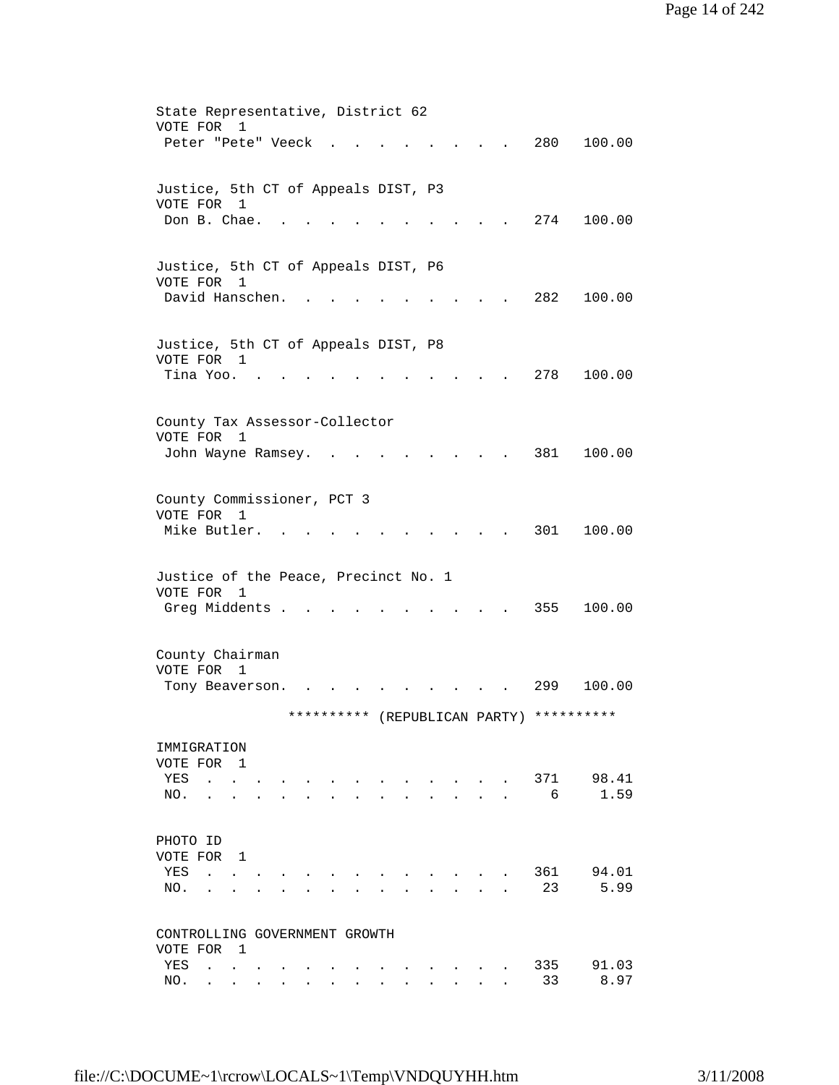| State Representative, District 62                                               |                                                                       |               |                                                  |                               |           |               |
|---------------------------------------------------------------------------------|-----------------------------------------------------------------------|---------------|--------------------------------------------------|-------------------------------|-----------|---------------|
| VOTE FOR<br>1<br>Peter "Pete" Veeck                                             |                                                                       |               |                                                  |                               | 280       | 100.00        |
|                                                                                 |                                                                       |               |                                                  |                               |           |               |
| Justice, 5th CT of Appeals DIST, P3<br>VOTE FOR 1                               |                                                                       |               |                                                  |                               |           |               |
| Don B. Chae.                                                                    |                                                                       |               |                                                  |                               | 274       | 100.00        |
|                                                                                 |                                                                       |               |                                                  |                               |           |               |
| Justice, 5th CT of Appeals DIST, P6<br>VOTE FOR 1                               |                                                                       |               |                                                  |                               |           |               |
| David Hanschen.                                                                 |                                                                       |               |                                                  |                               | 282       | 100.00        |
| Justice, 5th CT of Appeals DIST, P8                                             |                                                                       |               |                                                  |                               |           |               |
| VOTE FOR 1<br>Tina Yoo.                                                         |                                                                       |               |                                                  |                               | 278       | 100.00        |
|                                                                                 |                                                                       |               |                                                  |                               |           |               |
| County Tax Assessor-Collector                                                   |                                                                       |               |                                                  |                               |           |               |
| VOTE FOR<br>1<br>John Wayne Ramsey.                                             |                                                                       |               |                                                  |                               | 381       | 100.00        |
|                                                                                 |                                                                       |               |                                                  |                               |           |               |
| County Commissioner, PCT 3                                                      |                                                                       |               |                                                  |                               |           |               |
| VOTE FOR 1<br>Mike Butler.                                                      |                                                                       |               |                                                  |                               | 301       | 100.00        |
|                                                                                 |                                                                       |               |                                                  |                               |           |               |
| Justice of the Peace, Precinct No. 1<br>VOTE FOR 1                              |                                                                       |               |                                                  |                               |           |               |
| Greg Middents .                                                                 |                                                                       |               |                                                  |                               | 355       | 100.00        |
|                                                                                 |                                                                       |               |                                                  |                               |           |               |
| County Chairman<br>VOTE FOR 1                                                   |                                                                       |               |                                                  |                               |           |               |
| Tony Beaverson.                                                                 |                                                                       |               |                                                  |                               | 299       | 100.00        |
|                                                                                 |                                                                       | **********    |                                                  | (REPUBLICAN PARTY) ********** |           |               |
| IMMIGRATION                                                                     |                                                                       |               |                                                  |                               |           |               |
| VOTE FOR 1<br>YES<br>$\sim$                                                     |                                                                       |               |                                                  |                               | 371       | 98.41         |
| NO.                                                                             |                                                                       |               |                                                  |                               | 6         | 1.59          |
| PHOTO ID                                                                        |                                                                       |               |                                                  |                               |           |               |
| VOTE FOR 1                                                                      |                                                                       |               |                                                  |                               |           |               |
| YES<br>$\mathbf{r} = \mathbf{r}$<br>NO.<br>$\mathbf{L}$<br>$\ddot{\phantom{a}}$ |                                                                       |               |                                                  |                               | 361<br>23 | 94.01<br>5.99 |
|                                                                                 |                                                                       |               |                                                  |                               |           |               |
| CONTROLLING GOVERNMENT GROWTH<br>VOTE FOR 1                                     |                                                                       |               |                                                  |                               |           |               |
| YES<br><b>Carl Committee</b>                                                    | $\sim$                                                                | $\sim$ $\sim$ | $\sim$ $\sim$ $\sim$<br><b>Contract Contract</b> |                               | 335       | 91.03         |
| NO.                                                                             | $\mathbf{r}$ , and $\mathbf{r}$ , and $\mathbf{r}$ , and $\mathbf{r}$ |               | $\mathbf{r} = \mathbf{r}$<br>$\mathbf{L}$        |                               | 33        | 8.97          |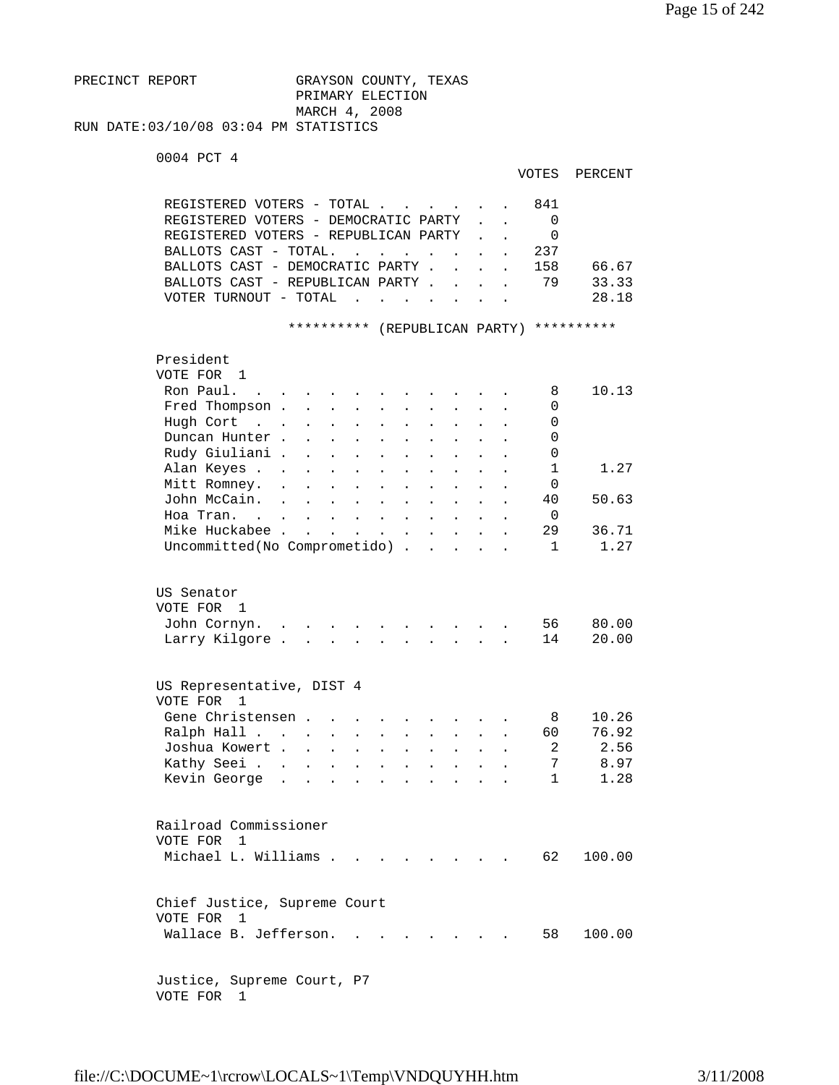```
PRECINCT REPORT GRAYSON COUNTY, TEXAS
                         PRIMARY ELECTION 
                         MARCH 4, 2008 
RUN DATE:03/10/08 03:04 PM STATISTICS
```

```
 0004 PCT 4
```

| VOTES | PERCENT |
|-------|---------|
|-------|---------|

| REGISTERED VOTERS - TOTAL.<br>REGISTERED VOTERS - DEMOCRATIC PARTY<br>REGISTERED VOTERS - REPUBLICAN PARTY<br>BALLOTS CAST - TOTAL.<br>BALLOTS CAST - DEMOCRATIC PARTY.<br>BALLOTS CAST - REPUBLICAN PARTY .<br>VOTER TURNOUT - TOTAL |                                                                           | $\mathbf{L}^{\text{max}}$ , and $\mathbf{L}^{\text{max}}$<br>$\ddot{\phantom{a}}$              | $\ddot{\phantom{a}}$                         |                      | 841<br>237<br>158<br>79 | $\Omega$<br>0<br>66.67<br>33.33<br>28.18                              |
|---------------------------------------------------------------------------------------------------------------------------------------------------------------------------------------------------------------------------------------|---------------------------------------------------------------------------|------------------------------------------------------------------------------------------------|----------------------------------------------|----------------------|-------------------------|-----------------------------------------------------------------------|
|                                                                                                                                                                                                                                       | **********                                                                |                                                                                                | (REPUBLICAN PARTY)                           |                      |                         | **********                                                            |
| President<br>VOTE FOR 1<br>Ron Paul.<br>$\sim$ $\sim$<br>Fred Thompson .<br>Hugh Cort<br>$\mathbf{r}$ . The set of $\mathbf{r}$<br>Duncan Hunter.<br>Rudy Giuliani .<br>Alan Keyes<br>Mitt Romney.<br>John McCain.<br>$\mathbf{r}$    | $\mathbf{L}$<br>$\ddot{\phantom{a}}$                                      | $\ddot{\phantom{a}}$<br>$\ddot{\phantom{a}}$                                                   | $\ddot{\phantom{a}}$<br>$\ddot{\phantom{a}}$ |                      | 40                      | 10.13<br>8<br>0<br>0<br>0<br>0<br>1<br>1.27<br>$\Omega$<br>50.63      |
| Hoa Tran. .<br>$\sim$ $\sim$ $\sim$<br>Mike Huckabee                                                                                                                                                                                  |                                                                           | $\sim$<br>$\ddot{\phantom{a}}$<br>$\mathbf{z} = \mathbf{z} + \mathbf{z}$ .<br>$\sim$ 100 $\mu$ | $\ddot{\phantom{a}}$<br>$\ddot{\phantom{0}}$ |                      | 29                      | 0<br>36.71                                                            |
| Uncommitted(No Comprometido)                                                                                                                                                                                                          |                                                                           |                                                                                                |                                              | $\ddot{\phantom{a}}$ |                         | $\mathbf{1}$<br>1.27                                                  |
| US Senator<br>VOTE FOR 1<br>John Cornyn.<br>Larry Kilgore.<br>$\mathbf{r}$                                                                                                                                                            |                                                                           | $\overline{a}$                                                                                 | $\mathcal{L}^{\text{max}}$<br>$\mathbf{L}$   |                      | 56<br>14                | 80.00<br>20.00                                                        |
| US Representative, DIST 4                                                                                                                                                                                                             |                                                                           |                                                                                                |                                              |                      |                         |                                                                       |
| VOTE FOR<br>-1<br>Gene Christensen.<br>Ralph Hall<br>Joshua Kowert .<br>Kathy Seei.<br>$\sim$<br>$\ddot{\phantom{a}}$<br>Kevin George<br>$\ddot{\phantom{a}}$<br>$\ddot{\phantom{a}}$                                                 | $\mathbf{r}$<br>$\ddot{\phantom{0}}$<br>$\ddot{\phantom{0}}$<br>$\bullet$ | $\ddot{\phantom{a}}$<br>$\ddot{\phantom{a}}$<br>$\ddot{\phantom{a}}$                           | $\ddot{\phantom{0}}$                         |                      | 60                      | 10.26<br>8<br>76.92<br>2<br>2.56<br>8.97<br>7<br>$\mathbf{1}$<br>1.28 |
| Railroad Commissioner<br>VOTE FOR 1<br>Michael L. Williams                                                                                                                                                                            |                                                                           |                                                                                                | and the contract of the con-                 |                      |                         | 62<br>100.00                                                          |
| Chief Justice, Supreme Court<br>VOTE FOR 1<br>Wallace B. Jefferson.                                                                                                                                                                   |                                                                           |                                                                                                |                                              |                      |                         | 58<br>100.00                                                          |
| Justice, Supreme Court, P7                                                                                                                                                                                                            |                                                                           |                                                                                                |                                              |                      |                         |                                                                       |

VOTE FOR 1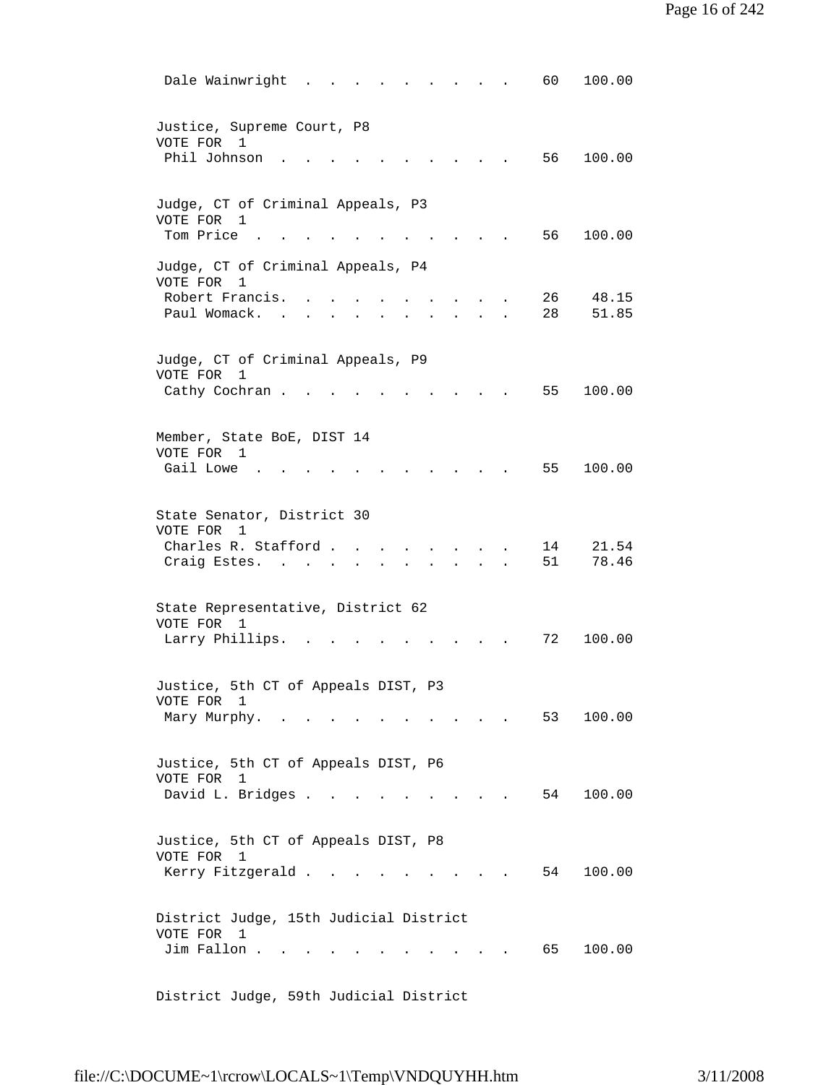| Justice, Supreme Court, P8<br>VOTE FOR<br>1<br>Phil Johnson<br>56<br>100.00                                                               |  |
|-------------------------------------------------------------------------------------------------------------------------------------------|--|
|                                                                                                                                           |  |
| Judge, CT of Criminal Appeals, P3<br>VOTE FOR 1<br>Tom Price<br>56<br>100.00                                                              |  |
| Judge, CT of Criminal Appeals, P4<br>VOTE FOR<br>1<br>Robert Francis.<br>26<br>48.15<br>28<br>Paul Womack.<br>51.85                       |  |
| Judge, CT of Criminal Appeals, P9<br>VOTE FOR<br>1<br>Cathy Cochran.<br>55<br>100.00                                                      |  |
| Member, State BoE, DIST 14<br>VOTE FOR 1<br>Gail Lowe<br>55<br>100.00                                                                     |  |
| State Senator, District 30<br>VOTE FOR<br>1<br>Charles R. Stafford .<br>21.54<br>14<br>78.46<br>51<br>Craig Estes. .<br><b>Contractor</b> |  |
| State Representative, District 62<br>VOTE FOR<br>1<br>Larry Phillips.<br>72<br>100.00                                                     |  |
| Justice, 5th CT of Appeals DIST, P3<br>VOTE FOR 1<br>Mary Murphy.<br>53<br>100.00                                                         |  |
| Justice, 5th CT of Appeals DIST, P6<br>VOTE FOR 1<br>David L. Bridges<br>54<br>100.00<br>$\cdots$ $\cdots$                                |  |
| Justice, 5th CT of Appeals DIST, P8<br>VOTE FOR 1<br>Kerry Fitzgerald<br>100.00<br>54<br>and the state of the state of                    |  |
| District Judge, 15th Judicial District<br>VOTE FOR<br>$\mathbf{1}$<br>Jim Fallon.<br>65<br>100.00                                         |  |

District Judge, 59th Judicial District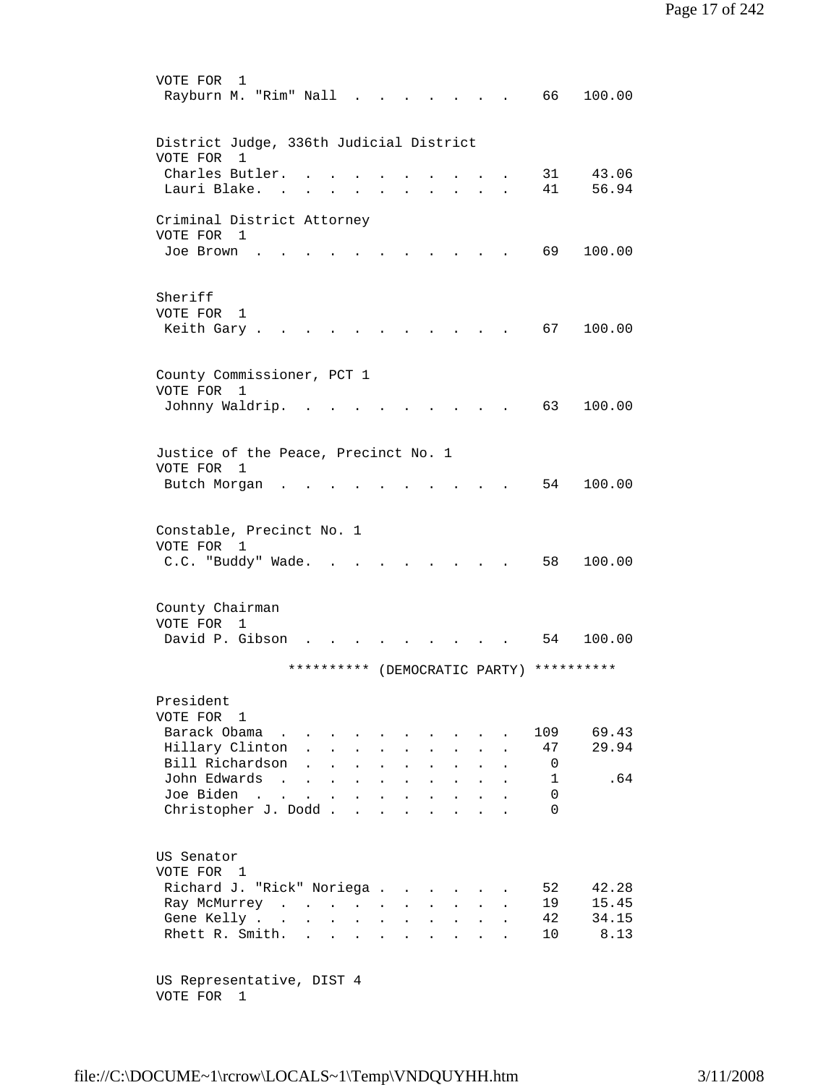| VOTE FOR<br>1<br>Rayburn M. "Rim" Nall   |                           |              | $\sim$                       |              |                      |                      |                                                   |                                |                                              | 66 —                          | 100.00 |
|------------------------------------------|---------------------------|--------------|------------------------------|--------------|----------------------|----------------------|---------------------------------------------------|--------------------------------|----------------------------------------------|-------------------------------|--------|
| District Judge, 336th Judicial District  |                           |              |                              |              |                      |                      |                                                   |                                |                                              |                               |        |
| VOTE FOR<br>1                            |                           |              |                              |              |                      |                      |                                                   |                                |                                              |                               |        |
| Charles Butler.                          |                           |              |                              |              |                      |                      |                                                   |                                |                                              | 31                            | 43.06  |
| Lauri Blake.                             |                           |              |                              |              |                      |                      |                                                   |                                |                                              | 41                            | 56.94  |
|                                          |                           |              |                              |              |                      |                      |                                                   |                                |                                              |                               |        |
| Criminal District Attorney<br>VOTE FOR 1 |                           |              |                              |              |                      |                      |                                                   |                                |                                              |                               |        |
| Joe Brown                                |                           |              |                              |              |                      |                      |                                                   |                                |                                              | 69 —                          | 100.00 |
|                                          |                           |              |                              |              |                      |                      |                                                   |                                |                                              |                               |        |
|                                          |                           |              |                              |              |                      |                      |                                                   |                                |                                              |                               |        |
| Sheriff<br>VOTE FOR<br>1                 |                           |              |                              |              |                      |                      |                                                   |                                |                                              |                               |        |
| Keith Gary .                             |                           |              |                              |              |                      |                      |                                                   |                                |                                              | 67 —                          | 100.00 |
|                                          |                           |              |                              |              |                      |                      |                                                   |                                |                                              |                               |        |
|                                          |                           |              |                              |              |                      |                      |                                                   |                                |                                              |                               |        |
| County Commissioner, PCT 1               |                           |              |                              |              |                      |                      |                                                   |                                |                                              |                               |        |
| VOTE FOR 1<br>Johnny Waldrip.            |                           |              |                              |              |                      |                      |                                                   |                                |                                              | 63                            | 100.00 |
|                                          | $\sim$ $\sim$             |              |                              |              |                      | $\sim$               |                                                   |                                |                                              |                               |        |
|                                          |                           |              |                              |              |                      |                      |                                                   |                                |                                              |                               |        |
| Justice of the Peace, Precinct No. 1     |                           |              |                              |              |                      |                      |                                                   |                                |                                              |                               |        |
| VOTE FOR 1                               |                           |              |                              |              |                      |                      |                                                   |                                |                                              |                               |        |
| Butch Morgan                             |                           |              |                              |              |                      |                      |                                                   |                                |                                              | 54                            | 100.00 |
|                                          |                           |              |                              |              |                      |                      |                                                   |                                |                                              |                               |        |
| Constable, Precinct No. 1                |                           |              |                              |              |                      |                      |                                                   |                                |                                              |                               |        |
| VOTE FOR 1                               |                           |              |                              |              |                      |                      |                                                   |                                |                                              |                               |        |
| C.C. "Buddy" Wade.                       |                           |              |                              |              |                      |                      |                                                   |                                |                                              | 58                            | 100.00 |
|                                          |                           |              |                              |              |                      |                      |                                                   |                                |                                              |                               |        |
| County Chairman                          |                           |              |                              |              |                      |                      |                                                   |                                |                                              |                               |        |
| VOTE FOR 1                               |                           |              |                              |              |                      |                      |                                                   |                                |                                              |                               |        |
| David P. Gibson                          |                           |              |                              |              |                      |                      |                                                   |                                |                                              | 54                            | 100.00 |
|                                          | **********                |              |                              |              |                      |                      |                                                   |                                |                                              | (DEMOCRATIC PARTY) ********** |        |
|                                          |                           |              |                              |              |                      |                      |                                                   |                                |                                              |                               |        |
| President                                |                           |              |                              |              |                      |                      |                                                   |                                |                                              |                               |        |
| VOTE FOR 1                               |                           |              |                              |              |                      |                      |                                                   |                                |                                              |                               |        |
| Barack Obama                             |                           |              |                              |              |                      |                      |                                                   |                                |                                              | 109                           | 69.43  |
| Hillary Clinton.<br>Bill Richardson      | $\mathbf{L} = \mathbf{L}$ | $\mathbf{L}$ | $\mathbf{r}$<br>$\mathbf{L}$ |              | $\ddot{\phantom{0}}$ |                      |                                                   |                                | $\ddot{\phantom{a}}$                         | 47<br>0                       | 29.94  |
| John Edwards                             |                           |              |                              | $\mathbf{L}$ | $\mathbf{L}$         | $\ddot{\phantom{a}}$ | $\ddot{\phantom{a}}$<br>$\mathbf{L}^{\text{max}}$ | $\ddot{\phantom{a}}$<br>$\sim$ | $\ddot{\phantom{a}}$<br>$\ddot{\phantom{a}}$ | $\mathbf{1}$                  | .64    |
| Joe Biden                                |                           |              |                              |              |                      |                      |                                                   |                                |                                              | 0                             |        |
| Christopher J. Dodd                      |                           |              |                              |              |                      |                      |                                                   |                                | $\ddot{\phantom{a}}$                         | $\Omega$                      |        |
|                                          |                           |              |                              |              |                      |                      |                                                   |                                |                                              |                               |        |
|                                          |                           |              |                              |              |                      |                      |                                                   |                                |                                              |                               |        |
| US Senator<br>VOTE FOR 1                 |                           |              |                              |              |                      |                      |                                                   |                                |                                              |                               |        |
| Richard J. "Rick" Noriega                |                           |              |                              |              |                      |                      | $\sim$ 100 $\mu$                                  |                                |                                              | 52                            | 42.28  |
| Ray McMurrey                             |                           |              |                              |              |                      |                      | $\mathbf{r} = \mathbf{r} + \mathbf{r}$ .          | $\sim$                         | $\ddot{\phantom{a}}$                         | 19                            | 15.45  |
| Gene Kelly                               |                           |              |                              |              |                      |                      |                                                   |                                |                                              | 42                            | 34.15  |
| Rhett R. Smith.                          |                           |              |                              |              |                      |                      |                                                   |                                |                                              | 10 <sup>°</sup>               | 8.13   |
|                                          |                           |              |                              |              |                      |                      |                                                   |                                |                                              |                               |        |
| US Representative, DIST 4                |                           |              |                              |              |                      |                      |                                                   |                                |                                              |                               |        |
|                                          |                           |              |                              |              |                      |                      |                                                   |                                |                                              |                               |        |

VOTE FOR 1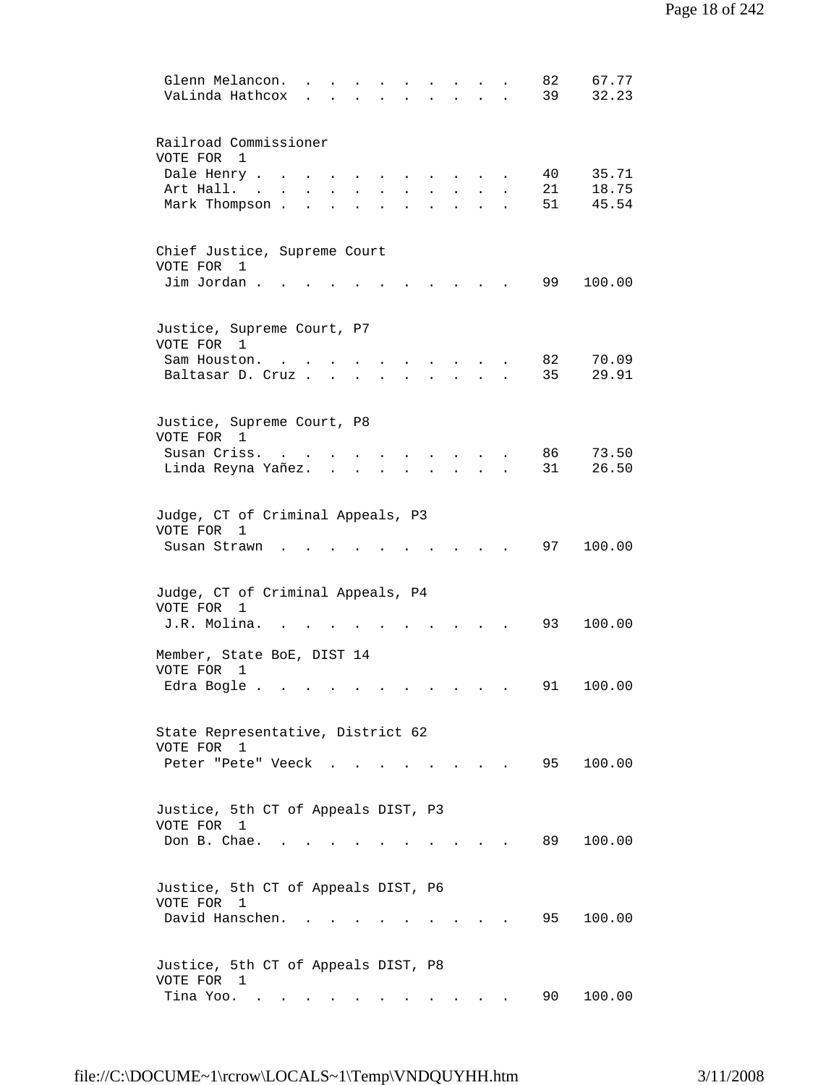| 67.77<br>Glenn Melancon.<br>82                                                                |  |
|-----------------------------------------------------------------------------------------------|--|
| 32.23<br>VaLinda Hathcox<br>39                                                                |  |
|                                                                                               |  |
| Railroad Commissioner                                                                         |  |
| VOTE FOR<br>1<br>Dale Henry .<br>35.71<br>40                                                  |  |
| 18.75<br>Art Hall. .<br>21                                                                    |  |
| 45.54<br>Mark Thompson.<br>51                                                                 |  |
|                                                                                               |  |
| Chief Justice, Supreme Court                                                                  |  |
| VOTE FOR 1                                                                                    |  |
| Jim Jordan.<br>99<br>100.00                                                                   |  |
|                                                                                               |  |
| Justice, Supreme Court, P7                                                                    |  |
| VOTE FOR 1                                                                                    |  |
| 70.09<br>82<br>Sam Houston.                                                                   |  |
| 29.91<br>35<br>Baltasar D. Cruz                                                               |  |
|                                                                                               |  |
| Justice, Supreme Court, P8                                                                    |  |
| VOTE FOR 1                                                                                    |  |
| 86<br>73.50<br>Susan Criss.                                                                   |  |
| 31<br>26.50<br>Linda Reyna Yañez.                                                             |  |
|                                                                                               |  |
| Judge, CT of Criminal Appeals, P3                                                             |  |
| VOTE FOR<br>1                                                                                 |  |
| 97<br>100.00<br>Susan Strawn                                                                  |  |
|                                                                                               |  |
| Judge, CT of Criminal Appeals, P4                                                             |  |
| VOTE FOR<br>1                                                                                 |  |
| J.R. Molina.<br>93<br>100.00                                                                  |  |
| Member, State BoE, DIST 14                                                                    |  |
| VOTE FOR<br>1                                                                                 |  |
| 100.00<br>Edra Bogle<br>91                                                                    |  |
|                                                                                               |  |
| State Representative, District 62                                                             |  |
| VOTE FOR 1                                                                                    |  |
| 95<br>100.00<br>Peter "Pete" Veeck                                                            |  |
|                                                                                               |  |
|                                                                                               |  |
| Justice, 5th CT of Appeals DIST, P3<br>VOTE FOR 1                                             |  |
| 89<br>100.00<br>Don B. Chae.                                                                  |  |
|                                                                                               |  |
|                                                                                               |  |
| Justice, 5th CT of Appeals DIST, P6<br>VOTE FOR 1                                             |  |
| David Hanschen.<br>95 —<br>100.00                                                             |  |
|                                                                                               |  |
|                                                                                               |  |
| Justice, 5th CT of Appeals DIST, P8<br>VOTE FOR 1                                             |  |
| Tina Yoo.<br>90 -<br>100.00<br>$\bullet$ . In the case of the $\sim$<br>$\bullet$ . $\bullet$ |  |
|                                                                                               |  |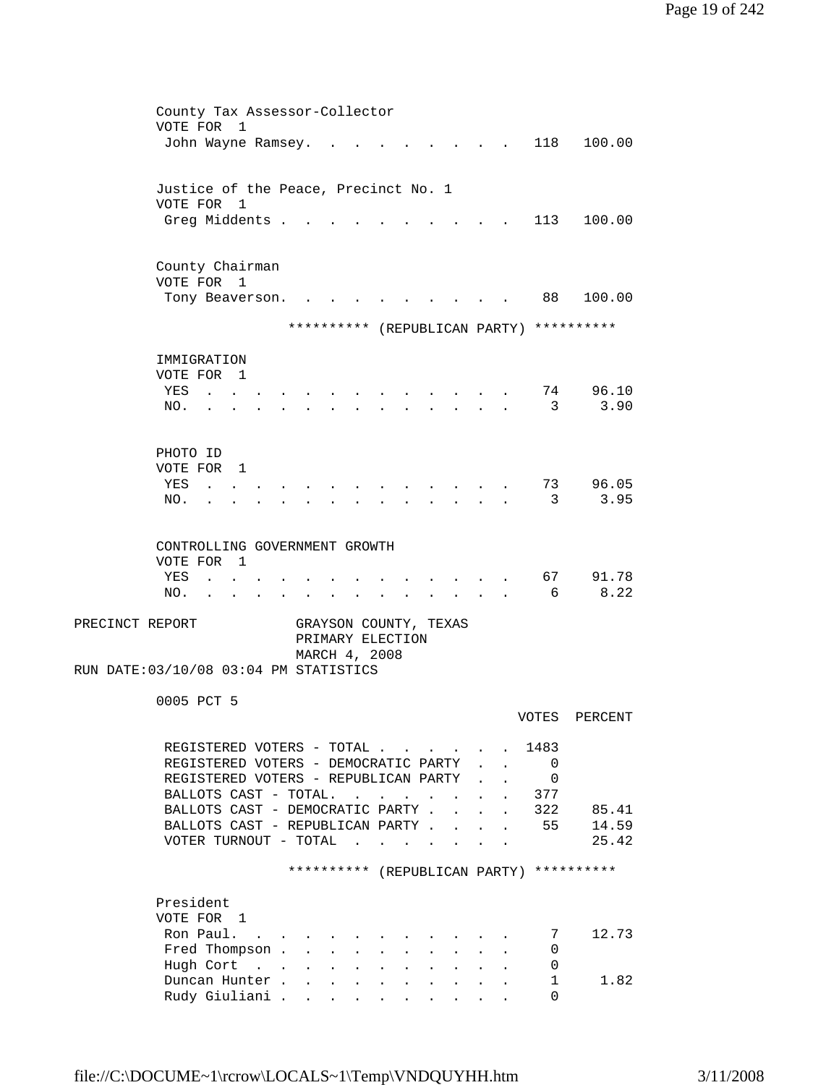| County Tax Assessor-Collector                                                                     |                      |                                         |         |
|---------------------------------------------------------------------------------------------------|----------------------|-----------------------------------------|---------|
| VOTE FOR<br>$\overline{1}$                                                                        |                      |                                         |         |
| John Wayne Ramsey.                                                                                |                      | 118                                     | 100.00  |
|                                                                                                   |                      |                                         |         |
| Justice of the Peace, Precinct No. 1                                                              |                      |                                         |         |
| VOTE FOR 1                                                                                        |                      |                                         |         |
| Greg Middents .                                                                                   |                      | 113                                     | 100.00  |
|                                                                                                   |                      |                                         |         |
|                                                                                                   |                      |                                         |         |
| County Chairman                                                                                   |                      |                                         |         |
| VOTE FOR 1                                                                                        |                      |                                         |         |
| Tony Beaverson.                                                                                   |                      | 88                                      | 100.00  |
| ********** (REPUBLICAN PARTY) **********                                                          |                      |                                         |         |
|                                                                                                   |                      |                                         |         |
| IMMIGRATION                                                                                       |                      |                                         |         |
| VOTE FOR 1                                                                                        |                      |                                         |         |
| YES<br><b>Contract Contract</b>                                                                   |                      | 74                                      | 96.10   |
| NO.                                                                                               |                      | 3                                       | 3.90    |
|                                                                                                   |                      |                                         |         |
|                                                                                                   |                      |                                         |         |
| PHOTO ID                                                                                          |                      |                                         |         |
| VOTE FOR 1<br>YES                                                                                 |                      | 73                                      | 96.05   |
| NO.                                                                                               |                      | 3                                       | 3.95    |
|                                                                                                   |                      |                                         |         |
|                                                                                                   |                      |                                         |         |
| CONTROLLING GOVERNMENT GROWTH                                                                     |                      |                                         |         |
| VOTE FOR<br>$\overline{1}$                                                                        |                      |                                         |         |
| YES                                                                                               |                      | 67                                      | 91.78   |
| NO.<br>$\sim$ $\sim$ $\sim$ $\sim$<br>$\overline{a}$<br>$\cdot$<br>$\bullet$<br>$\bullet$         |                      | - 6                                     | 8.22    |
| PRECINCT REPORT<br>GRAYSON COUNTY, TEXAS                                                          |                      |                                         |         |
| PRIMARY ELECTION                                                                                  |                      |                                         |         |
| MARCH 4, 2008                                                                                     |                      |                                         |         |
| RUN DATE: 03/10/08 03:04 PM STATISTICS                                                            |                      |                                         |         |
|                                                                                                   |                      |                                         |         |
| 0005 PCT 5                                                                                        |                      |                                         |         |
|                                                                                                   |                      | VOTES                                   | PERCENT |
|                                                                                                   |                      |                                         |         |
| REGISTERED VOTERS - TOTAL                                                                         |                      | 1483                                    |         |
| REGISTERED VOTERS - DEMOCRATIC PARTY<br>REGISTERED VOTERS - REPUBLICAN PARTY                      |                      | $\overline{\phantom{0}}$<br>$\mathbf 0$ |         |
| BALLOTS CAST - TOTAL.<br>$\mathbf{r}$                                                             | $\ddot{\phantom{a}}$ | 377<br>$\mathbf{A}$                     |         |
| BALLOTS CAST - DEMOCRATIC PARTY .<br>$\mathbf{r}$                                                 | $\mathbf{r}$         | 322<br>$\mathbf{L}$                     | 85.41   |
| BALLOTS CAST - REPUBLICAN PARTY                                                                   |                      | 55                                      | 14.59   |
| VOTER TURNOUT - TOTAL<br>$\mathbf{r}$ . The set of the set of $\mathbf{r}$                        |                      |                                         | 25.42   |
|                                                                                                   |                      |                                         |         |
| ********** (REPUBLICAN PARTY) **********                                                          |                      |                                         |         |
|                                                                                                   |                      |                                         |         |
| President<br>VOTE FOR 1                                                                           |                      |                                         |         |
| Ron Paul.                                                                                         |                      | 7                                       | 12.73   |
| $\sim$<br>Fred Thompson .<br>$\mathbf{L}$                                                         |                      | 0                                       |         |
| Hugh Cort<br>$\mathbf{L}$<br>$\mathbf{L}$<br>$\mathbf{L}$<br>$\mathbf{L}$<br>$\ddot{\phantom{a}}$ |                      | 0                                       |         |
| Duncan Hunter.<br>$\mathbf{r}$<br>$\mathbf{A}$<br>$\ddot{\phantom{a}}$                            |                      | 1                                       | 1.82    |
| Rudy Giuliani                                                                                     |                      | 0                                       |         |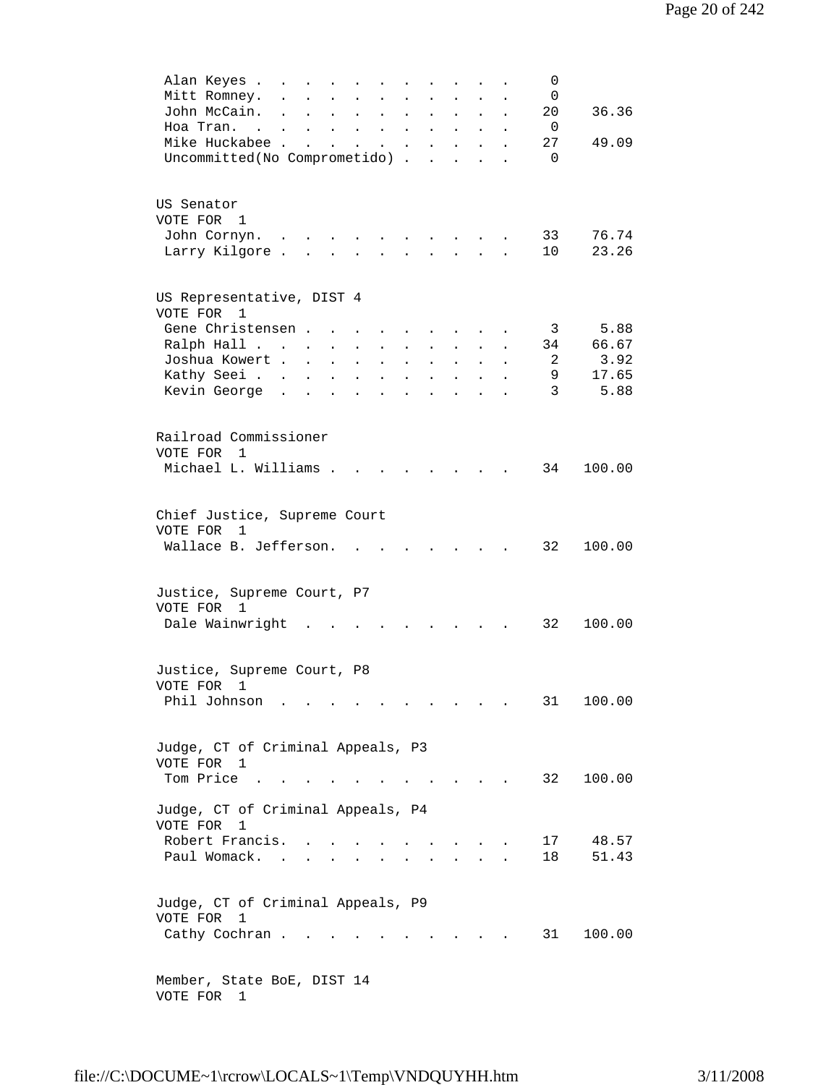| Alan Keyes .<br>0<br>$\mathbf{r}$ , and $\mathbf{r}$ , and $\mathbf{r}$ , and $\mathbf{r}$<br>$\ddot{\phantom{a}}$<br>$\sim 10^{-10}$                                                                                       |
|-----------------------------------------------------------------------------------------------------------------------------------------------------------------------------------------------------------------------------|
| Mitt Romney.<br>0<br>$\ddot{\phantom{a}}$<br>$\ddot{\phantom{0}}$<br>$\ddot{\phantom{a}}$<br>$\ddot{\phantom{a}}$<br>$\ddot{\phantom{a}}$<br>$\mathbf{L}$                                                                   |
| John McCain.<br>20<br>36.36<br>$\sim$<br>$\mathbf{r} = \mathbf{r} + \mathbf{r}$ .<br>$\mathbf{r}$ , $\mathbf{r}$ , $\mathbf{r}$ , $\mathbf{r}$<br>$\mathbf{L} = \mathbf{L}$<br>$\ddot{\phantom{a}}$<br>$\ddot{\phantom{a}}$ |
| Hoa Tran.<br>- 0<br>the contract of the contract of the contract of                                                                                                                                                         |
| Mike Huckabee<br>27<br>49.09<br>$\mathbf{z} = \mathbf{z} + \mathbf{z}$ . The $\mathbf{z}$<br>$\mathbf{z} = \mathbf{z} + \mathbf{z}$ , where $\mathbf{z} = \mathbf{z}$<br>$\bullet$                                          |
| Uncommitted (No Comprometido)<br>$\Omega$                                                                                                                                                                                   |
|                                                                                                                                                                                                                             |
|                                                                                                                                                                                                                             |
| US Senator                                                                                                                                                                                                                  |
| VOTE FOR 1                                                                                                                                                                                                                  |
| 33<br>76.74<br>John Cornyn.                                                                                                                                                                                                 |
| Larry Kilgore<br>10<br>23.26<br>$\mathbf{L}$                                                                                                                                                                                |
|                                                                                                                                                                                                                             |
|                                                                                                                                                                                                                             |
| US Representative, DIST 4                                                                                                                                                                                                   |
| VOTE FOR 1                                                                                                                                                                                                                  |
| 5.88<br>Gene Christensen.<br>$\overline{3}$<br>$\sim 10^{-11}$<br>$\sim$<br>$\sim$ $-$<br>$\sim$<br>$\sim 10^{-10}$<br>$\mathbf{z}$ , and $\mathbf{z}$ , and $\mathbf{z}$                                                   |
| 66.67<br>Ralph Hall<br>34<br>$\mathcal{L}^{\text{max}}$<br>$\ddot{\phantom{a}}$<br>$\ddot{\phantom{0}}$<br>$\ddot{\phantom{0}}$<br>$\ddot{\phantom{0}}$<br>$\ddot{\phantom{0}}$                                             |
| Joshua Kowert<br>3.92<br>-2<br>$\mathbf{r}$ , $\mathbf{r}$ , $\mathbf{r}$ , $\mathbf{r}$                                                                                                                                    |
| 17.65<br>Kathy Seei<br>9<br>$\mathbf{r} = \mathbf{r}$ and $\mathbf{r} = \mathbf{r}$<br>$\ddot{\phantom{0}}$                                                                                                                 |
| 3<br>5.88<br>Kevin George                                                                                                                                                                                                   |
| $\mathbf{L}^{\text{max}}$<br>$\mathcal{L}^{\text{max}}$<br>$\ddot{\phantom{a}}$                                                                                                                                             |
|                                                                                                                                                                                                                             |
|                                                                                                                                                                                                                             |
| Railroad Commissioner                                                                                                                                                                                                       |
| VOTE FOR 1                                                                                                                                                                                                                  |
| Michael L. Williams .<br>34<br>100.00                                                                                                                                                                                       |
|                                                                                                                                                                                                                             |
|                                                                                                                                                                                                                             |
| Chief Justice, Supreme Court                                                                                                                                                                                                |
| VOTE FOR<br>1                                                                                                                                                                                                               |
| Wallace B. Jefferson.<br>32<br>100.00<br>$\sim$<br><b>Contract Contract</b>                                                                                                                                                 |
|                                                                                                                                                                                                                             |
|                                                                                                                                                                                                                             |
| Justice, Supreme Court, P7                                                                                                                                                                                                  |
| VOTE FOR 1                                                                                                                                                                                                                  |
| Dale Wainwright<br>32<br>100.00                                                                                                                                                                                             |
|                                                                                                                                                                                                                             |
|                                                                                                                                                                                                                             |
| Justice, Supreme Court, P8                                                                                                                                                                                                  |
| VOTE FOR 1                                                                                                                                                                                                                  |
| Phil Johnson<br>100.00<br>31                                                                                                                                                                                                |
| and the contract of the contract of<br>$\sim 100$                                                                                                                                                                           |
|                                                                                                                                                                                                                             |
|                                                                                                                                                                                                                             |
| Judge, CT of Criminal Appeals, P3                                                                                                                                                                                           |
| VOTE FOR 1                                                                                                                                                                                                                  |
| Tom Price<br>32<br>100.00<br>$\sim$ $\sim$ $\sim$ $\sim$                                                                                                                                                                    |
|                                                                                                                                                                                                                             |
| Judge, CT of Criminal Appeals, P4                                                                                                                                                                                           |
| VOTE FOR<br>1                                                                                                                                                                                                               |
| Robert Francis.<br>17<br>48.57                                                                                                                                                                                              |
| Paul Womack.<br>18<br>51.43<br>$\sim$<br>and a strategic                                                                                                                                                                    |
|                                                                                                                                                                                                                             |
|                                                                                                                                                                                                                             |
| Judge, CT of Criminal Appeals, P9                                                                                                                                                                                           |
| VOTE FOR<br>1                                                                                                                                                                                                               |
| Cathy Cochran.<br>31<br>100.00                                                                                                                                                                                              |
|                                                                                                                                                                                                                             |
|                                                                                                                                                                                                                             |
| Member, State BoE, DIST 14                                                                                                                                                                                                  |
| VOTE FOR 1                                                                                                                                                                                                                  |
|                                                                                                                                                                                                                             |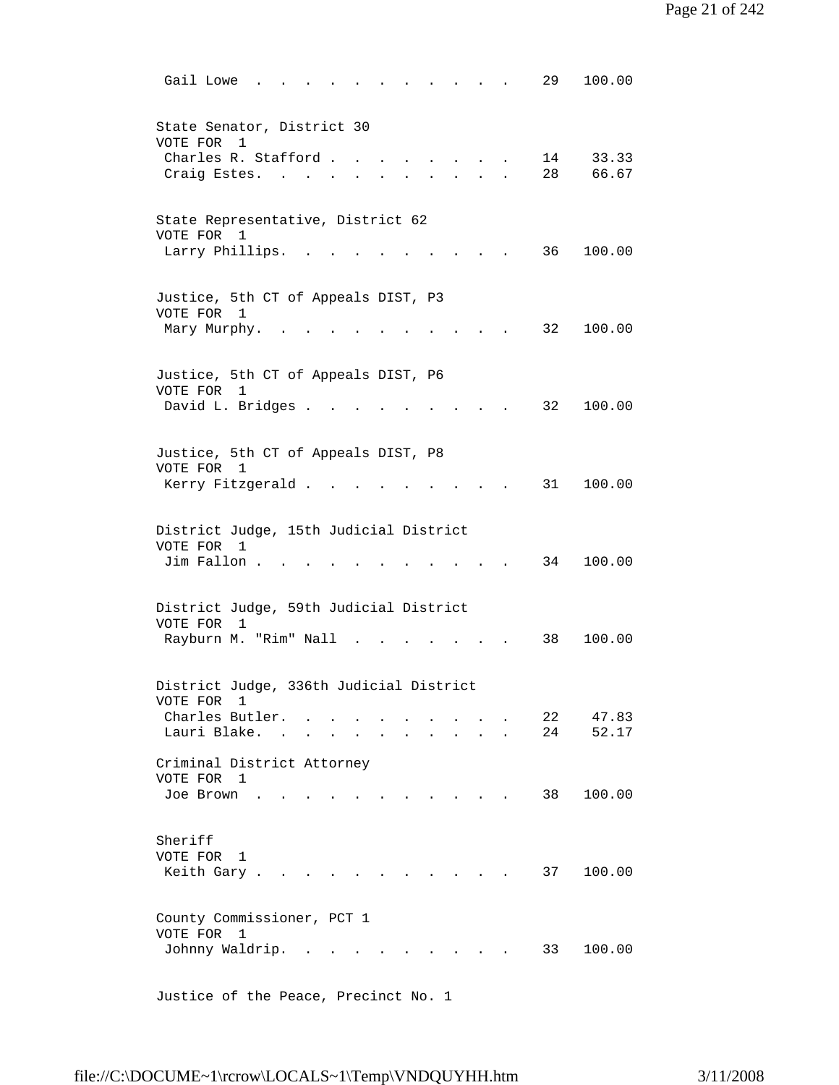| 100.00<br>29<br>Gail Lowe                                                                                                                                                                       |
|-------------------------------------------------------------------------------------------------------------------------------------------------------------------------------------------------|
| State Senator, District 30<br>VOTE FOR<br>1<br>Charles R. Stafford.<br>14<br>33.33                                                                                                              |
| 28<br>66.67<br>Craig Estes.<br>$\sim$                                                                                                                                                           |
| State Representative, District 62<br>VOTE FOR 1<br>Larry Phillips.<br>100.00<br>36 —<br><b>Contract Contract Contract</b>                                                                       |
| Justice, 5th CT of Appeals DIST, P3                                                                                                                                                             |
| VOTE FOR 1<br>32<br>100.00<br>Mary Murphy.                                                                                                                                                      |
| Justice, 5th CT of Appeals DIST, P6<br>VOTE FOR<br>1<br>David L. Bridges<br>32<br>100.00                                                                                                        |
| Justice, 5th CT of Appeals DIST, P8                                                                                                                                                             |
| VOTE FOR 1<br>Kerry Fitzgerald.<br>31<br>100.00                                                                                                                                                 |
| District Judge, 15th Judicial District<br>VOTE FOR 1<br>100.00<br>Jim Fallon<br>34                                                                                                              |
| District Judge, 59th Judicial District<br>VOTE FOR<br>$\mathbf{1}$                                                                                                                              |
| Rayburn M. "Rim" Nall<br>38<br>100.00<br>$\sim$                                                                                                                                                 |
| District Judge, 336th Judicial District<br>VOTE FOR<br>1                                                                                                                                        |
| Charles Butler.<br>22<br>47.83<br>Lauri Blake.<br>24<br>52.17<br>$\sim$                                                                                                                         |
| Criminal District Attorney<br>VOTE FOR 1<br>100.00<br>Joe Brown<br>38<br><b>Contract Contract</b>                                                                                               |
| Sheriff<br>VOTE FOR 1<br>37<br>100.00<br>Keith Gary.                                                                                                                                            |
| County Commissioner, PCT 1<br>VOTE FOR<br>1<br>Johnny Waldrip.<br>33<br>100.00<br>$\ddot{\phantom{0}}$<br>$\sim$ $\sim$ $\sim$<br>$\ddot{\phantom{a}}$<br>$\sim$<br>$\sim$ $\sim$ $\sim$ $\sim$ |
|                                                                                                                                                                                                 |

Justice of the Peace, Precinct No. 1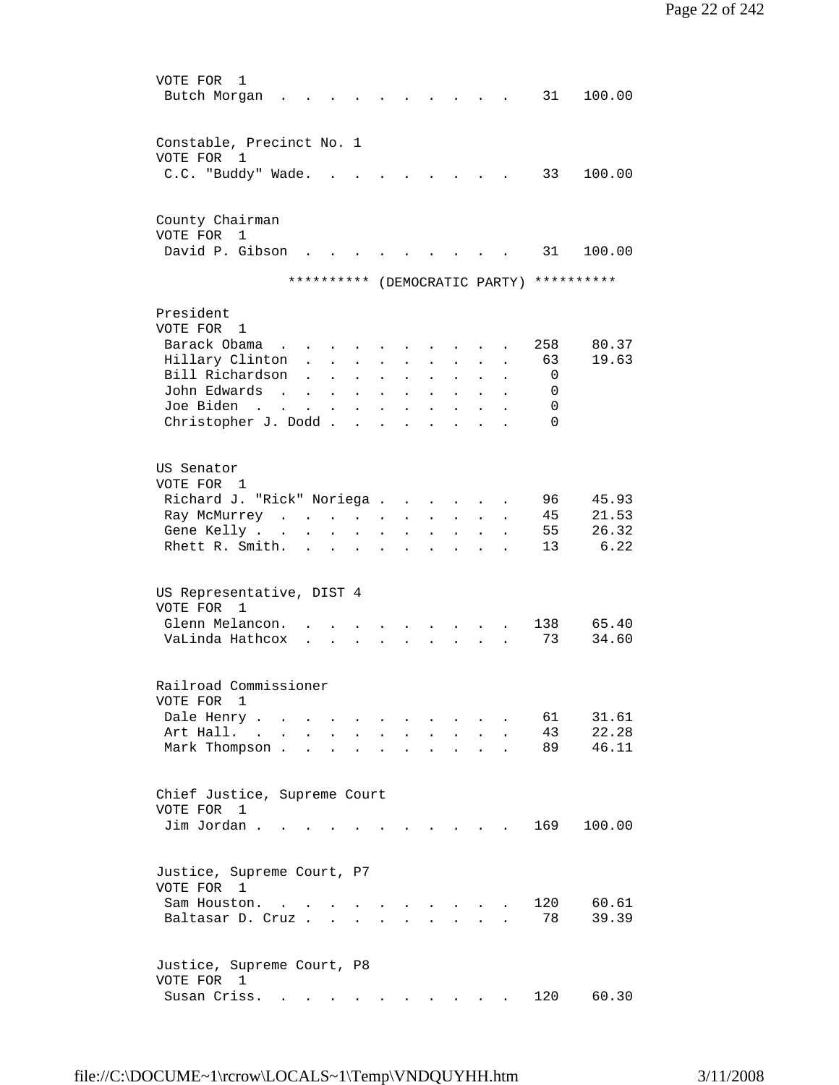| VOTE FOR<br>1<br>Butch Morgan                  |                                                                               |                                             |                      |                                          |                      |                                                                  |                                                         |                      |                      | 31                                       | 100.00         |
|------------------------------------------------|-------------------------------------------------------------------------------|---------------------------------------------|----------------------|------------------------------------------|----------------------|------------------------------------------------------------------|---------------------------------------------------------|----------------------|----------------------|------------------------------------------|----------------|
| Constable, Precinct No. 1                      |                                                                               |                                             |                      |                                          |                      |                                                                  |                                                         |                      |                      |                                          |                |
| VOTE FOR<br>1                                  |                                                                               |                                             |                      |                                          |                      |                                                                  |                                                         |                      |                      |                                          |                |
| C.C. "Buddy" Wade.                             |                                                                               |                                             |                      |                                          | $\mathbf{L}$         | $\sim$ $\sim$                                                    |                                                         |                      |                      | 33                                       | 100.00         |
| County Chairman                                |                                                                               |                                             |                      |                                          |                      |                                                                  |                                                         |                      |                      |                                          |                |
| VOTE FOR<br>$\mathbf{1}$<br>David P. Gibson    | $\mathbf{L}$                                                                  |                                             |                      |                                          |                      |                                                                  |                                                         |                      |                      | 31                                       | 100.00         |
|                                                |                                                                               |                                             |                      |                                          |                      |                                                                  |                                                         |                      |                      | ********** (DEMOCRATIC PARTY) ********** |                |
| President                                      |                                                                               |                                             |                      |                                          |                      |                                                                  |                                                         |                      |                      |                                          |                |
| VOTE FOR 1                                     |                                                                               |                                             |                      |                                          |                      |                                                                  |                                                         |                      |                      |                                          |                |
| Barack Obama                                   | $\mathbf{r} = \mathbf{r} + \mathbf{r} + \mathbf{r} + \mathbf{r} + \mathbf{r}$ |                                             |                      |                                          |                      |                                                                  |                                                         |                      |                      | 258                                      | 80.37<br>19.63 |
| Hillary Clinton<br>Bill Richardson             |                                                                               | $\mathbf{r} = \mathbf{r} \times \mathbf{r}$ |                      | $\mathbf{L}$                             | $\mathbf{r}$         | $\sim 10^{-10}$                                                  | $\mathbf{L}^{\text{max}}$                               | $\sim$               | $\ddot{\phantom{a}}$ | 63                                       |                |
| John Edwards                                   |                                                                               | $\mathbf{L}$                                | $\ddot{\phantom{a}}$ | $\sim 10^{-11}$                          | $\ddot{\phantom{a}}$ | $\sim$                                                           | $\sim$                                                  | $\ddot{\phantom{a}}$ |                      | 0                                        |                |
| $\sim$                                         |                                                                               | $\mathbf{r} = \mathbf{r} + \mathbf{r}$ .    |                      | $\mathbf{z} = \mathbf{z} + \mathbf{z}$ . |                      | <b>All Cards</b>                                                 | $\mathbf{L}^{\text{max}}$                               | $\bullet$            | $\bullet$            | 0                                        |                |
| Joe Biden<br>and the company of the second     |                                                                               |                                             |                      | $\mathbf{z} = \mathbf{z} + \mathbf{z}$ . |                      | <b>All Cards</b>                                                 | $\mathbf{A}^{(1)}$ and                                  | $\bullet$            |                      | 0<br>$\Omega$                            |                |
| Christopher J. Dodd                            |                                                                               |                                             |                      | <b>Contract Contract</b>                 |                      | $\mathbf{r} = \mathbf{r} + \mathbf{r}$ .                         | $\mathbf{L}^{\text{max}}$ and $\mathbf{L}^{\text{max}}$ |                      |                      |                                          |                |
| US Senator<br>VOTE FOR 1                       |                                                                               |                                             |                      |                                          |                      |                                                                  |                                                         |                      |                      |                                          |                |
| Richard J. "Rick" Noriega                      |                                                                               |                                             |                      |                                          |                      |                                                                  |                                                         |                      |                      | 96                                       | 45.93          |
| Ray McMurrey                                   |                                                                               |                                             |                      |                                          |                      | $\mathbf{r} = \mathbf{r} + \mathbf{r} + \mathbf{r} + \mathbf{r}$ |                                                         |                      |                      | 45                                       | 21.53          |
| Gene Kelly                                     |                                                                               |                                             |                      | $\ddot{\phantom{a}}$                     |                      | and a strong control of the strong                               |                                                         |                      |                      | 55                                       | 26.32          |
| Rhett R. Smith.                                |                                                                               |                                             |                      |                                          |                      | $\mathbf{r} = \mathbf{r}$ , and $\mathbf{r} = \mathbf{r}$        |                                                         |                      |                      | 13                                       | 6.22           |
| US Representative, DIST 4<br>VOTE FOR 1        |                                                                               |                                             |                      |                                          |                      |                                                                  |                                                         |                      |                      |                                          |                |
| Glenn Melancon.                                |                                                                               |                                             |                      |                                          |                      |                                                                  |                                                         |                      |                      | 138                                      | 65.40          |
| VaLinda Hathcox                                |                                                                               | $\mathbf{L}$                                |                      |                                          |                      |                                                                  |                                                         |                      |                      | 73                                       | 34.60          |
| Railroad Commissioner                          |                                                                               |                                             |                      |                                          |                      |                                                                  |                                                         |                      |                      |                                          |                |
| VOTE FOR 1<br>Dale Henry.                      |                                                                               |                                             |                      |                                          |                      |                                                                  |                                                         |                      |                      | 61                                       | 31.61          |
| <b>Contract Contract Street</b><br>Art Hall. . |                                                                               |                                             |                      |                                          |                      |                                                                  |                                                         |                      |                      | 43                                       | 22.28          |
| Mark Thompson.                                 |                                                                               |                                             |                      |                                          |                      |                                                                  |                                                         |                      |                      | 89                                       | 46.11          |
| Chief Justice, Supreme Court<br>VOTE FOR<br>1  |                                                                               |                                             |                      |                                          |                      |                                                                  |                                                         |                      |                      |                                          |                |
| Jim Jordan                                     |                                                                               |                                             |                      |                                          |                      |                                                                  |                                                         |                      |                      | 169                                      | 100.00         |
| Justice, Supreme Court, P7<br>VOTE FOR 1       |                                                                               |                                             |                      |                                          |                      |                                                                  |                                                         |                      |                      |                                          |                |
| Sam Houston.                                   |                                                                               |                                             |                      |                                          |                      | $\ddot{\phantom{a}}$                                             |                                                         |                      |                      | 120                                      | 60.61          |
| Baltasar D. Cruz                               |                                                                               |                                             |                      |                                          |                      |                                                                  |                                                         |                      |                      | 78                                       | 39.39          |
| Justice, Supreme Court, P8<br>VOTE FOR 1       |                                                                               |                                             |                      |                                          |                      |                                                                  |                                                         |                      |                      |                                          |                |
| Susan Criss.                                   |                                                                               |                                             |                      |                                          |                      |                                                                  |                                                         |                      |                      | 120                                      | 60.30          |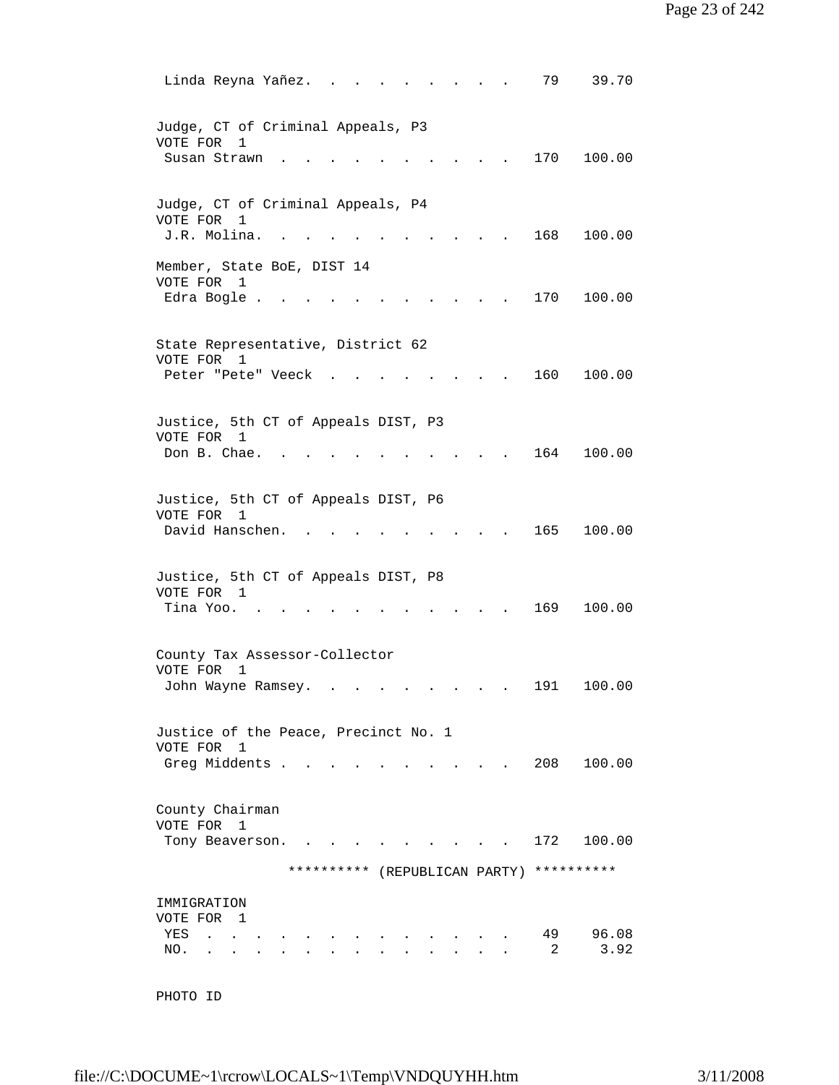```
Linda Reyna Yañez. . . . . . . . . 79 39.70
 Judge, CT of Criminal Appeals, P3 
 VOTE FOR 1 
Susan Strawn . . . . . . . . . . 170 100.00
 Judge, CT of Criminal Appeals, P4 
 VOTE FOR 1 
 J.R. Molina. . . . . . . . . . . 168 100.00 
 Member, State BoE, DIST 14 
 VOTE FOR 1 
Edra Bogle . . . . . . . . . . . 170 100.00
 State Representative, District 62 
 VOTE FOR 1 
Peter "Pete" Veeck . . . . . . . . 160 100.00
 Justice, 5th CT of Appeals DIST, P3 
 VOTE FOR 1 
Don B. Chae. . . . . . . . . . . 164 100.00
 Justice, 5th CT of Appeals DIST, P6 
 VOTE FOR 1 
David Hanschen. . . . . . . . . . 165 100.00
 Justice, 5th CT of Appeals DIST, P8 
VOTE FOR 1<br>Tina Yoo. . . . . .
                       \cdots . . . . . 169 100.00
 County Tax Assessor-Collector 
 VOTE FOR 1 
John Wayne Ramsey. . . . . . . . . 191 100.00
 Justice of the Peace, Precinct No. 1 
 VOTE FOR 1 
Greg Middents . . . . . . . . . . 208 100.00
 County Chairman 
 VOTE FOR 1 
Tony Beaverson. . . . . . . . . . 172 100.00
               ********** (REPUBLICAN PARTY) ********** 
 IMMIGRATION 
 VOTE FOR 1 
YES . . . . . . . . . . . . . . 49 96.08
NO. . . . . . . . . . . . . . . 2 3.92
```

```
 PHOTO ID
```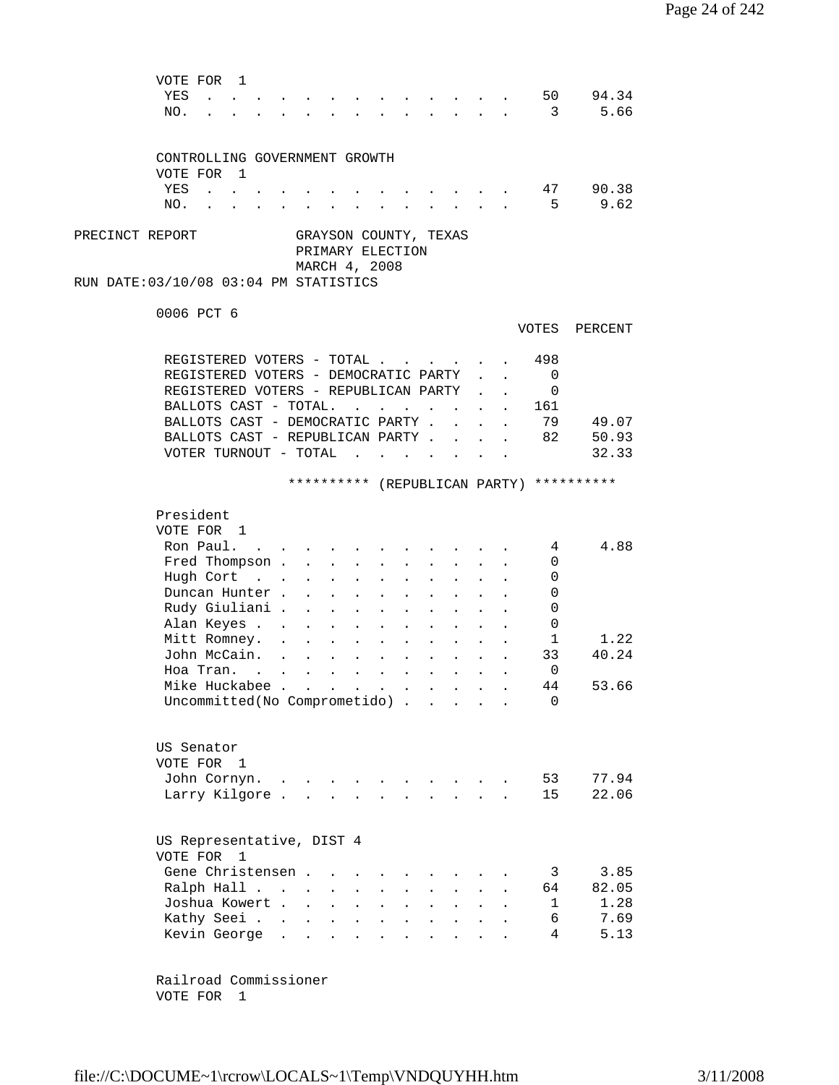| VOTE FOR<br>$\mathbf{1}$                                 |                                           |                               |                                                                                          |                                                    |                      |                      |                                                           |                      |        |                         |                                          |
|----------------------------------------------------------|-------------------------------------------|-------------------------------|------------------------------------------------------------------------------------------|----------------------------------------------------|----------------------|----------------------|-----------------------------------------------------------|----------------------|--------|-------------------------|------------------------------------------|
| YES                                                      |                                           |                               |                                                                                          |                                                    |                      |                      |                                                           |                      |        | 50                      | 94.34                                    |
| NO.                                                      |                                           |                               | $\mathbf{r}$ , and $\mathbf{r}$ , and $\mathbf{r}$ , and $\mathbf{r}$ , and $\mathbf{r}$ |                                                    |                      |                      |                                                           |                      |        | $\overline{\mathbf{3}}$ | 5.66                                     |
|                                                          |                                           |                               |                                                                                          |                                                    |                      |                      |                                                           |                      |        |                         |                                          |
|                                                          |                                           |                               |                                                                                          |                                                    |                      |                      |                                                           |                      |        |                         |                                          |
| CONTROLLING GOVERNMENT GROWTH                            |                                           |                               |                                                                                          |                                                    |                      |                      |                                                           |                      |        |                         |                                          |
| VOTE FOR 1                                               |                                           |                               |                                                                                          |                                                    |                      |                      |                                                           |                      |        |                         |                                          |
| YES<br>$\mathbf{r}$                                      |                                           |                               |                                                                                          |                                                    |                      |                      |                                                           |                      |        |                         | 47 90.38                                 |
| NO.                                                      |                                           |                               |                                                                                          |                                                    |                      |                      |                                                           |                      |        | $-5$                    | 9.62                                     |
| PRECINCT REPORT<br>RUN DATE:03/10/08 03:04 PM STATISTICS |                                           |                               | GRAYSON COUNTY, TEXAS<br>PRIMARY ELECTION<br>MARCH 4, 2008                               |                                                    |                      |                      |                                                           |                      |        |                         |                                          |
|                                                          |                                           |                               |                                                                                          |                                                    |                      |                      |                                                           |                      |        |                         |                                          |
| 0006 PCT 6                                               |                                           |                               |                                                                                          |                                                    |                      |                      |                                                           |                      |        |                         |                                          |
|                                                          |                                           |                               |                                                                                          |                                                    |                      |                      |                                                           |                      |        | VOTES                   | PERCENT                                  |
|                                                          |                                           |                               |                                                                                          |                                                    |                      |                      |                                                           |                      |        |                         |                                          |
| REGISTERED VOTERS - TOTAL                                |                                           |                               |                                                                                          |                                                    |                      |                      |                                                           |                      |        | 498                     |                                          |
| REGISTERED VOTERS - DEMOCRATIC PARTY                     |                                           |                               |                                                                                          |                                                    |                      |                      |                                                           |                      | $\sim$ | 0                       |                                          |
| REGISTERED VOTERS - REPUBLICAN PARTY                     |                                           |                               |                                                                                          |                                                    |                      |                      |                                                           |                      |        | 0                       |                                          |
| BALLOTS CAST - TOTAL.                                    |                                           |                               |                                                                                          | $\mathbf{r}$ , and $\mathbf{r}$ , and $\mathbf{r}$ |                      |                      | $\mathbf{r}$ , $\mathbf{r}$ , $\mathbf{r}$                |                      |        | 161                     |                                          |
| BALLOTS CAST - DEMOCRATIC PARTY .                        |                                           |                               |                                                                                          |                                                    |                      |                      | $\sim$                                                    |                      |        | 79                      | 49.07                                    |
| BALLOTS CAST - REPUBLICAN PARTY.                         |                                           |                               |                                                                                          |                                                    |                      |                      |                                                           |                      |        | 82                      | 50.93                                    |
| VOTER TURNOUT - TOTAL .                                  |                                           |                               |                                                                                          | $\mathbf{r}$                                       |                      |                      |                                                           |                      |        |                         | 32.33                                    |
|                                                          |                                           |                               |                                                                                          |                                                    |                      |                      |                                                           |                      |        |                         |                                          |
|                                                          |                                           |                               |                                                                                          |                                                    |                      |                      |                                                           |                      |        |                         | ********** (REPUBLICAN PARTY) ********** |
|                                                          |                                           |                               |                                                                                          |                                                    |                      |                      |                                                           |                      |        |                         |                                          |
| President                                                |                                           |                               |                                                                                          |                                                    |                      |                      |                                                           |                      |        |                         |                                          |
| VOTE FOR 1                                               |                                           |                               |                                                                                          |                                                    |                      |                      |                                                           |                      |        |                         |                                          |
| Ron Paul.                                                |                                           |                               |                                                                                          |                                                    |                      |                      |                                                           |                      |        | 4                       | 4.88                                     |
| Fred Thompson .                                          |                                           | $\sim 10^{-11}$               | $\bullet$                                                                                |                                                    |                      |                      |                                                           |                      |        | 0                       |                                          |
| Hugh Cort                                                | $\mathcal{L}(\mathcal{L}^{\text{max}})$ . |                               |                                                                                          |                                                    |                      |                      |                                                           |                      |        | 0                       |                                          |
| Duncan Hunter.                                           |                                           |                               |                                                                                          |                                                    |                      |                      |                                                           |                      |        | 0                       |                                          |
| Rudy Giuliani .                                          |                                           |                               |                                                                                          |                                                    |                      |                      |                                                           |                      |        | 0                       |                                          |
| Alan Keyes                                               |                                           |                               |                                                                                          |                                                    |                      |                      |                                                           |                      |        | 0                       |                                          |
| Mitt Romney.                                             | $\mathbf{L}$                              |                               | $\mathbf{A}$                                                                             | $\sim$ $\sim$                                      | $\ddot{\phantom{0}}$ | $\ddot{\phantom{0}}$ | $\ddot{\phantom{0}}$                                      | $\ddot{\phantom{a}}$ |        | $\mathbf{1}$            | 1.22                                     |
| John McCain.                                             |                                           | $\mathbf{L}$ and $\mathbf{L}$ | $\mathbf{r}$ , $\mathbf{r}$ , $\mathbf{r}$                                               |                                                    |                      |                      |                                                           |                      |        | 33                      | 40.24                                    |
| Hoa Tran.                                                | <b>Contract Contract Contract</b>         | $\mathbf{L}^{\text{max}}$     | $\mathbf{r} = \mathbf{r} + \mathbf{r} + \mathbf{r}$                                      |                                                    |                      |                      | $\mathbf{z} = \mathbf{z} + \mathbf{z}$ . The $\mathbf{z}$ | $\ddot{\phantom{0}}$ |        | 0                       |                                          |
| Mike Huckabee                                            |                                           |                               |                                                                                          |                                                    |                      |                      |                                                           |                      |        | 44                      | 53.66                                    |
| Uncommitted (No Comprometido)                            |                                           |                               |                                                                                          |                                                    |                      |                      |                                                           |                      |        | 0                       |                                          |
|                                                          |                                           |                               |                                                                                          |                                                    |                      |                      |                                                           |                      |        |                         |                                          |
|                                                          |                                           |                               |                                                                                          |                                                    |                      |                      |                                                           |                      |        |                         |                                          |
| US Senator                                               |                                           |                               |                                                                                          |                                                    |                      |                      |                                                           |                      |        |                         |                                          |
| VOTE FOR 1                                               |                                           |                               |                                                                                          |                                                    |                      |                      |                                                           |                      |        |                         |                                          |
| John Cornyn.                                             |                                           |                               |                                                                                          |                                                    |                      |                      |                                                           |                      |        | 53                      | 77.94                                    |
| Larry Kilgore                                            |                                           |                               | $\mathbf{A}$<br>$\mathbf{L}$                                                             |                                                    |                      |                      | $\mathbf{r}$                                              | $\mathbf{L}$         |        | 15                      | 22.06                                    |
|                                                          |                                           |                               |                                                                                          |                                                    |                      |                      |                                                           |                      |        |                         |                                          |
| US Representative, DIST 4<br>VOTE FOR 1                  |                                           |                               |                                                                                          |                                                    |                      |                      |                                                           |                      |        |                         |                                          |
| Gene Christensen.                                        |                                           |                               |                                                                                          |                                                    |                      |                      |                                                           |                      |        | 3                       | 3.85                                     |
| Ralph Hall                                               |                                           | $\bullet$                     |                                                                                          |                                                    |                      |                      |                                                           |                      |        | 64                      | 82.05                                    |
| Joshua Kowert .                                          |                                           | $\ddot{\phantom{a}}$          | $\ddot{\phantom{a}}$<br>$\ddot{\phantom{0}}$                                             | $\ddot{\phantom{a}}$                               | $\ddot{\phantom{0}}$ |                      |                                                           |                      |        | 1                       | 1.28                                     |
| Kathy Seei                                               |                                           | $\ddot{\phantom{a}}$          | $\ddot{\phantom{a}}$<br>$\ddot{\phantom{a}}$                                             | $\ddot{\phantom{a}}$                               | $\ddot{\phantom{0}}$ | $\ddot{\phantom{a}}$ | $\ddot{\phantom{a}}$                                      |                      |        | 6                       | 7.69                                     |
| Kevin George                                             | $\sim$ $\sim$                             | $\ddot{\phantom{a}}$          | $\ddot{\phantom{a}}$<br>$\ddot{\phantom{a}}$                                             |                                                    | $\ddot{\phantom{a}}$ | $\ddot{\phantom{a}}$ | $\ddot{\phantom{a}}$                                      |                      |        | 4                       | 5.13                                     |
|                                                          |                                           |                               |                                                                                          |                                                    |                      |                      |                                                           |                      |        |                         |                                          |
|                                                          |                                           |                               |                                                                                          |                                                    |                      |                      |                                                           |                      |        |                         |                                          |
|                                                          |                                           |                               |                                                                                          |                                                    |                      |                      |                                                           |                      |        |                         |                                          |

 Railroad Commissioner VOTE FOR 1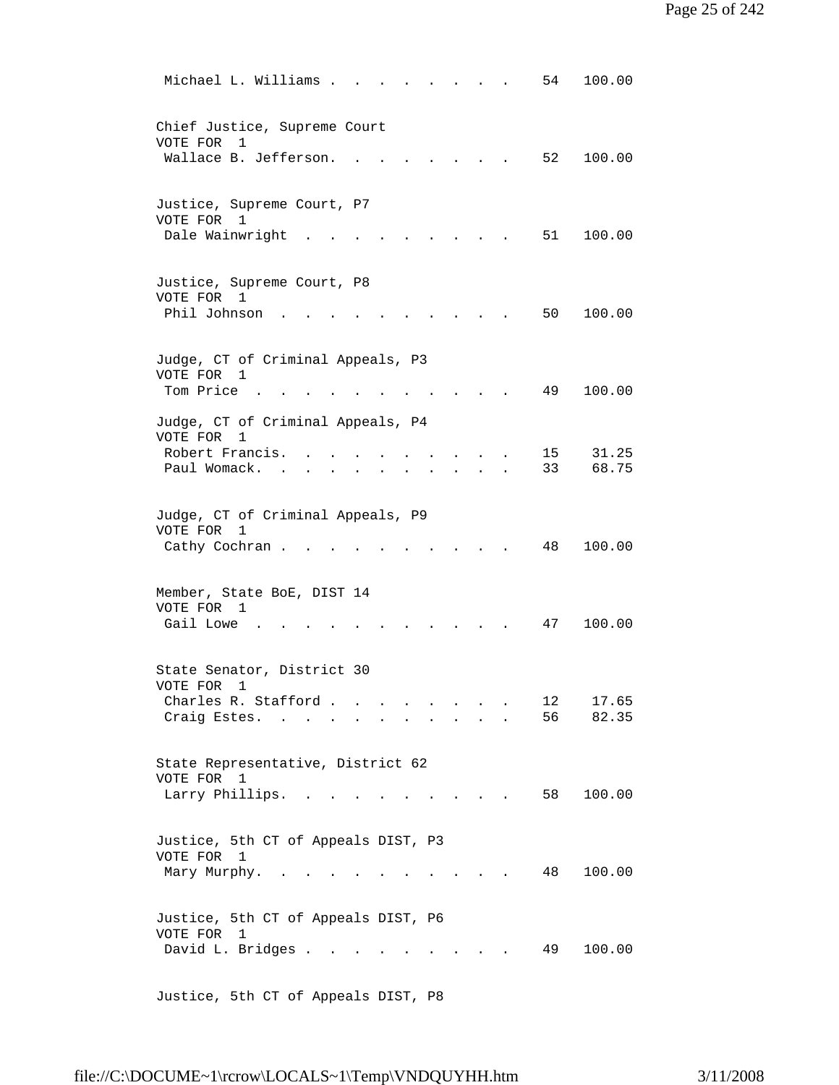| Michael L. Williams .<br>100.00<br>54                                                                                                        |  |
|----------------------------------------------------------------------------------------------------------------------------------------------|--|
| Chief Justice, Supreme Court<br>VOTE FOR<br>1<br>52<br>Wallace B. Jefferson.<br>100.00                                                       |  |
| Justice, Supreme Court, P7<br>VOTE FOR 1<br>Dale Wainwright<br>51<br>100.00                                                                  |  |
| Justice, Supreme Court, P8<br>VOTE FOR 1<br>Phil Johnson<br>50<br>100.00                                                                     |  |
| Judge, CT of Criminal Appeals, P3<br>VOTE FOR 1<br>Tom Price .<br>49<br>100.00                                                               |  |
| Judge, CT of Criminal Appeals, P4<br>VOTE FOR<br>1<br>Robert Francis.<br>15 <sub>1</sub><br>31.25<br>33<br>68.75<br>Paul Womack.             |  |
| Judge, CT of Criminal Appeals, P9<br>VOTE FOR<br>1<br>48<br>Cathy Cochran.<br>100.00                                                         |  |
| Member, State BoE, DIST 14<br>VOTE FOR 1<br>Gail Lowe<br>47<br>100.00                                                                        |  |
| State Senator, District 30<br>VOTE FOR<br>1<br>12<br>Charles R. Stafford.<br>17.65<br>and the contract of the<br>56<br>82.35<br>Craig Estes. |  |
| State Representative, District 62<br>VOTE FOR 1<br>Larry Phillips.<br>58<br>100.00                                                           |  |
| Justice, 5th CT of Appeals DIST, P3<br>VOTE FOR 1<br>48<br>100.00<br>Mary Murphy.<br>$\mathbf{r}$ . The set of $\mathbf{r}$                  |  |
| Justice, 5th CT of Appeals DIST, P6<br>VOTE FOR 1<br>David L. Bridges<br>49<br>100.00                                                        |  |
|                                                                                                                                              |  |

Justice, 5th CT of Appeals DIST, P8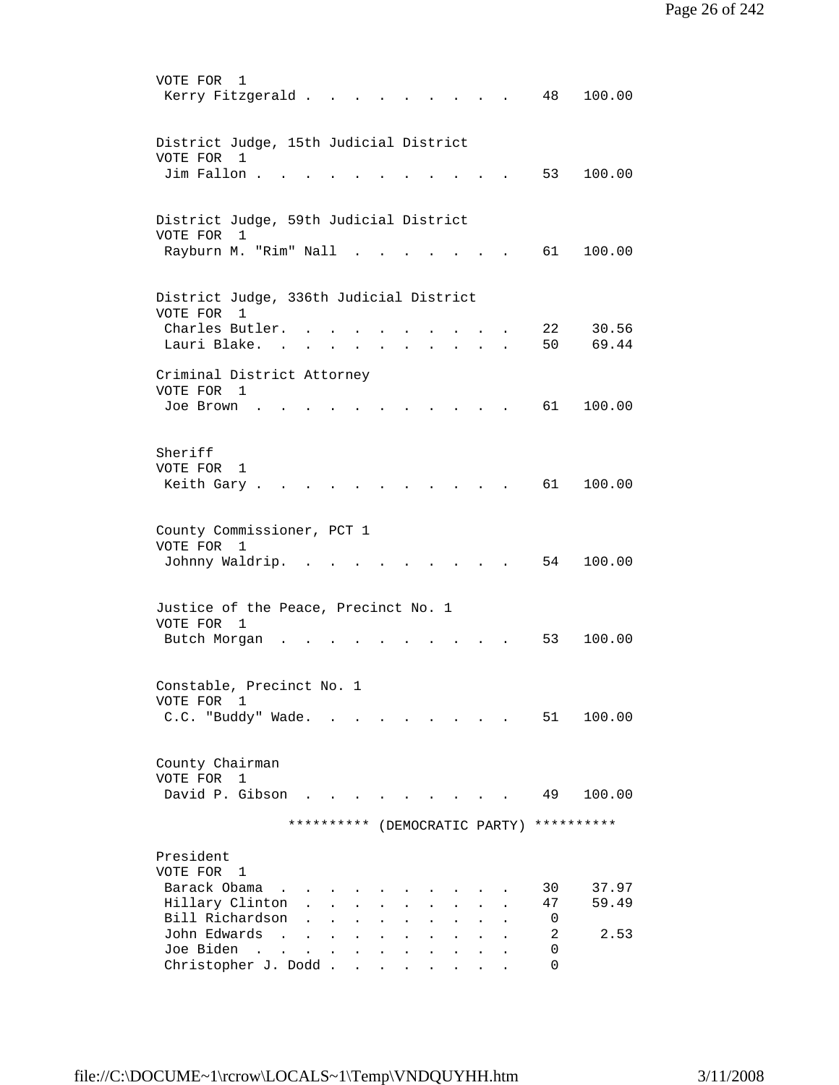| VOTE FOR<br>1<br>Kerry Fitzgerald<br>48<br>100.00                                                                   |
|---------------------------------------------------------------------------------------------------------------------|
| District Judge, 15th Judicial District<br>VOTE FOR<br>$\mathbf{1}$                                                  |
| Jim Fallon<br>53<br>100.00                                                                                          |
| District Judge, 59th Judicial District<br>VOTE FOR<br>$\mathbf{1}$                                                  |
| Rayburn M. "Rim" Nall<br>61 —<br>100.00                                                                             |
| District Judge, 336th Judicial District<br>VOTE FOR<br>$\mathbf{1}$                                                 |
| 30.56<br>Charles Butler.<br>22<br>Lauri Blake.<br>50<br>69.44<br>$\sim$                                             |
| Criminal District Attorney                                                                                          |
| VOTE FOR 1<br>61<br>100.00<br>Joe Brown                                                                             |
| Sheriff                                                                                                             |
| VOTE FOR<br>1<br>61 —<br>100.00<br>Keith Gary.                                                                      |
| County Commissioner, PCT 1                                                                                          |
| VOTE FOR<br>1<br>Johnny Waldrip.<br>54<br>100.00<br><b>Contract Contract</b>                                        |
| Justice of the Peace, Precinct No. 1                                                                                |
| VOTE FOR 1                                                                                                          |
| 53<br>100.00<br>Butch Morgan                                                                                        |
| Constable, Precinct No. 1<br>VOTE FOR 1                                                                             |
| C.C. "Buddy" Wade.<br>100.00<br>51 —                                                                                |
| County Chairman<br>VOTE FOR<br>$\mathbf{1}$                                                                         |
| David P. Gibson<br>49<br>100.00                                                                                     |
| **********<br>**********<br>(DEMOCRATIC PARTY)                                                                      |
| President                                                                                                           |
| VOTE FOR 1<br>Barack Obama<br>30<br>37.97                                                                           |
| Hillary Clinton<br>47<br>59.49<br>$\mathbf{A}^{\mathbf{r}}$                                                         |
| Bill Richardson<br>0                                                                                                |
| John Edwards<br>2<br>2.53<br>$\sim$ $\sim$ $\sim$ $\sim$ $\sim$<br>$\sim$<br>$\sim$<br>$\mathbf{L}$<br>$\mathbf{r}$ |
| Joe Biden<br>0<br><b>Carl Carl Corporation</b><br>$\mathbf{L}$<br>$\ddot{\phantom{a}}$<br>Christopher J. Dodd<br>0  |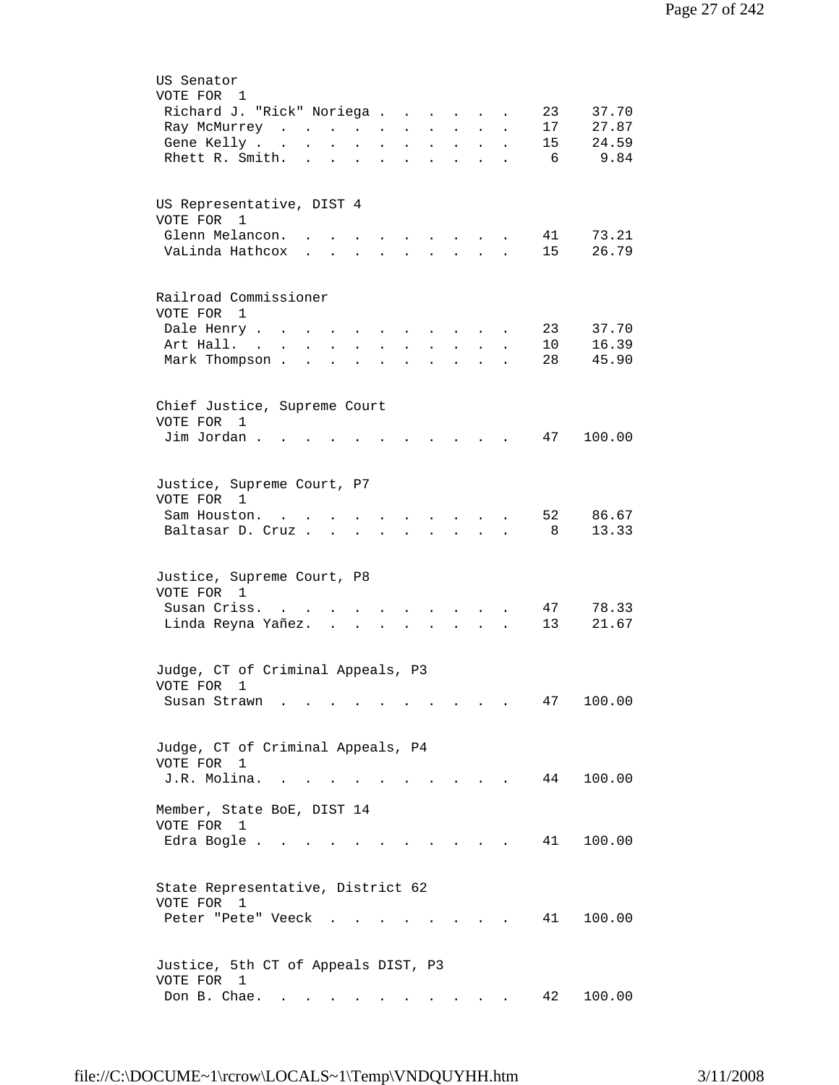| US Senator                                                                                                                                                                                                                                                                                                                                                                                                                                                                      |
|---------------------------------------------------------------------------------------------------------------------------------------------------------------------------------------------------------------------------------------------------------------------------------------------------------------------------------------------------------------------------------------------------------------------------------------------------------------------------------|
| VOTE FOR 1                                                                                                                                                                                                                                                                                                                                                                                                                                                                      |
| Richard J. "Rick" Noriega<br>37.70<br>23                                                                                                                                                                                                                                                                                                                                                                                                                                        |
| 17<br>27.87<br>Ray McMurrey<br>$\ddot{\phantom{a}}$<br>$\ddot{\phantom{a}}$                                                                                                                                                                                                                                                                                                                                                                                                     |
| 15<br>24.59<br>Gene Kelly<br>$\sim 100$<br>$\ddot{\phantom{a}}$<br>$\bullet$<br>$\bullet$<br>$\sim$ 100 $\pm$<br>$\mathbf{L}^{\text{max}}$<br>$\bullet$                                                                                                                                                                                                                                                                                                                         |
| 9.84<br>Rhett R. Smith.<br>- 6<br>$\mathbf{L}$<br>$\mathbf{L}$<br>$\sim$ $\sim$<br>$\ddot{\phantom{a}}$<br>$\ddot{\phantom{a}}$<br>$\bullet$ .<br><br><br><br><br><br><br><br><br><br><br><br><br>$\bullet$<br>$\bullet$                                                                                                                                                                                                                                                        |
|                                                                                                                                                                                                                                                                                                                                                                                                                                                                                 |
|                                                                                                                                                                                                                                                                                                                                                                                                                                                                                 |
| US Representative, DIST 4                                                                                                                                                                                                                                                                                                                                                                                                                                                       |
| VOTE FOR 1                                                                                                                                                                                                                                                                                                                                                                                                                                                                      |
| Glenn Melancon.<br>73.21<br>41<br>$\sim$ $\sim$<br>$\mathbf{r} = \mathbf{r} + \mathbf{r} + \mathbf{r} + \mathbf{r} + \mathbf{r} + \mathbf{r} + \mathbf{r} + \mathbf{r} + \mathbf{r} + \mathbf{r} + \mathbf{r} + \mathbf{r} + \mathbf{r} + \mathbf{r} + \mathbf{r} + \mathbf{r} + \mathbf{r} + \mathbf{r} + \mathbf{r} + \mathbf{r} + \mathbf{r} + \mathbf{r} + \mathbf{r} + \mathbf{r} + \mathbf{r} + \mathbf{r} + \mathbf{r} + \mathbf{r} + \mathbf{r} + \mathbf{r} + \mathbf$ |
| 26.79<br>VaLinda Hathcox<br>15<br>$\mathbf{r}$ , $\mathbf{r}$ , $\mathbf{r}$<br>$\cdot$ $\cdot$ $\cdot$ $\cdot$ $\cdot$                                                                                                                                                                                                                                                                                                                                                         |
|                                                                                                                                                                                                                                                                                                                                                                                                                                                                                 |
| Railroad Commissioner                                                                                                                                                                                                                                                                                                                                                                                                                                                           |
| VOTE FOR 1                                                                                                                                                                                                                                                                                                                                                                                                                                                                      |
| Dale Henry<br>23<br>37.70<br>$\ddot{\phantom{a}}$<br>$\ddot{\phantom{0}}$<br>$\ddot{\phantom{a}}$<br>$\blacksquare$                                                                                                                                                                                                                                                                                                                                                             |
| 16.39<br>Art Hall. .<br>10<br>$\mathcal{L}^{\text{max}}$<br>$\ddot{\phantom{0}}$<br>$\ddot{\phantom{a}}$                                                                                                                                                                                                                                                                                                                                                                        |
| 45.90<br>Mark Thompson .<br>28<br>$\mathbf{L}$                                                                                                                                                                                                                                                                                                                                                                                                                                  |
|                                                                                                                                                                                                                                                                                                                                                                                                                                                                                 |
| Chief Justice, Supreme Court                                                                                                                                                                                                                                                                                                                                                                                                                                                    |
| VOTE FOR 1                                                                                                                                                                                                                                                                                                                                                                                                                                                                      |
| Jim Jordan.<br>47<br>100.00                                                                                                                                                                                                                                                                                                                                                                                                                                                     |
|                                                                                                                                                                                                                                                                                                                                                                                                                                                                                 |
|                                                                                                                                                                                                                                                                                                                                                                                                                                                                                 |
| Justice, Supreme Court, P7                                                                                                                                                                                                                                                                                                                                                                                                                                                      |
| VOTE FOR 1                                                                                                                                                                                                                                                                                                                                                                                                                                                                      |
| 52<br>86.67<br>Sam Houston.<br>and the state of the state of the                                                                                                                                                                                                                                                                                                                                                                                                                |
| 13.33<br>Baltasar D. Cruz<br>-8<br>$\mathbf{r} = \mathbf{r} \cdot \mathbf{r}$                                                                                                                                                                                                                                                                                                                                                                                                   |
|                                                                                                                                                                                                                                                                                                                                                                                                                                                                                 |
| Justice, Supreme Court, P8                                                                                                                                                                                                                                                                                                                                                                                                                                                      |
| VOTE FOR 1                                                                                                                                                                                                                                                                                                                                                                                                                                                                      |
| Susan Criss.<br>78.33<br>47                                                                                                                                                                                                                                                                                                                                                                                                                                                     |
| Linda Reyna Yañez.<br>13<br>21.67<br>$\sim$                                                                                                                                                                                                                                                                                                                                                                                                                                     |
|                                                                                                                                                                                                                                                                                                                                                                                                                                                                                 |
| Judge, CT of Criminal Appeals, P3                                                                                                                                                                                                                                                                                                                                                                                                                                               |
| VOTE FOR<br>$\mathbf{1}$                                                                                                                                                                                                                                                                                                                                                                                                                                                        |
| 47<br>100.00<br>Susan Strawn                                                                                                                                                                                                                                                                                                                                                                                                                                                    |
|                                                                                                                                                                                                                                                                                                                                                                                                                                                                                 |
|                                                                                                                                                                                                                                                                                                                                                                                                                                                                                 |
| Judge, CT of Criminal Appeals, P4                                                                                                                                                                                                                                                                                                                                                                                                                                               |
| VOTE FOR<br>$\mathbf 1$                                                                                                                                                                                                                                                                                                                                                                                                                                                         |
| J.R. Molina.<br>44<br>100.00                                                                                                                                                                                                                                                                                                                                                                                                                                                    |
| Member, State BoE, DIST 14                                                                                                                                                                                                                                                                                                                                                                                                                                                      |
| VOTE FOR<br>1                                                                                                                                                                                                                                                                                                                                                                                                                                                                   |
| 41<br>100.00<br>Edra Bogle                                                                                                                                                                                                                                                                                                                                                                                                                                                      |
|                                                                                                                                                                                                                                                                                                                                                                                                                                                                                 |
|                                                                                                                                                                                                                                                                                                                                                                                                                                                                                 |
| State Representative, District 62                                                                                                                                                                                                                                                                                                                                                                                                                                               |
| VOTE FOR 1                                                                                                                                                                                                                                                                                                                                                                                                                                                                      |
| 41<br>100.00<br>Peter "Pete" Veeck.                                                                                                                                                                                                                                                                                                                                                                                                                                             |
|                                                                                                                                                                                                                                                                                                                                                                                                                                                                                 |
| Justice, 5th CT of Appeals DIST, P3                                                                                                                                                                                                                                                                                                                                                                                                                                             |
| VOTE FOR 1                                                                                                                                                                                                                                                                                                                                                                                                                                                                      |
| Don B. Chae.<br>100.00<br>42<br>$\mathbf{a}$ .                                                                                                                                                                                                                                                                                                                                                                                                                                  |
|                                                                                                                                                                                                                                                                                                                                                                                                                                                                                 |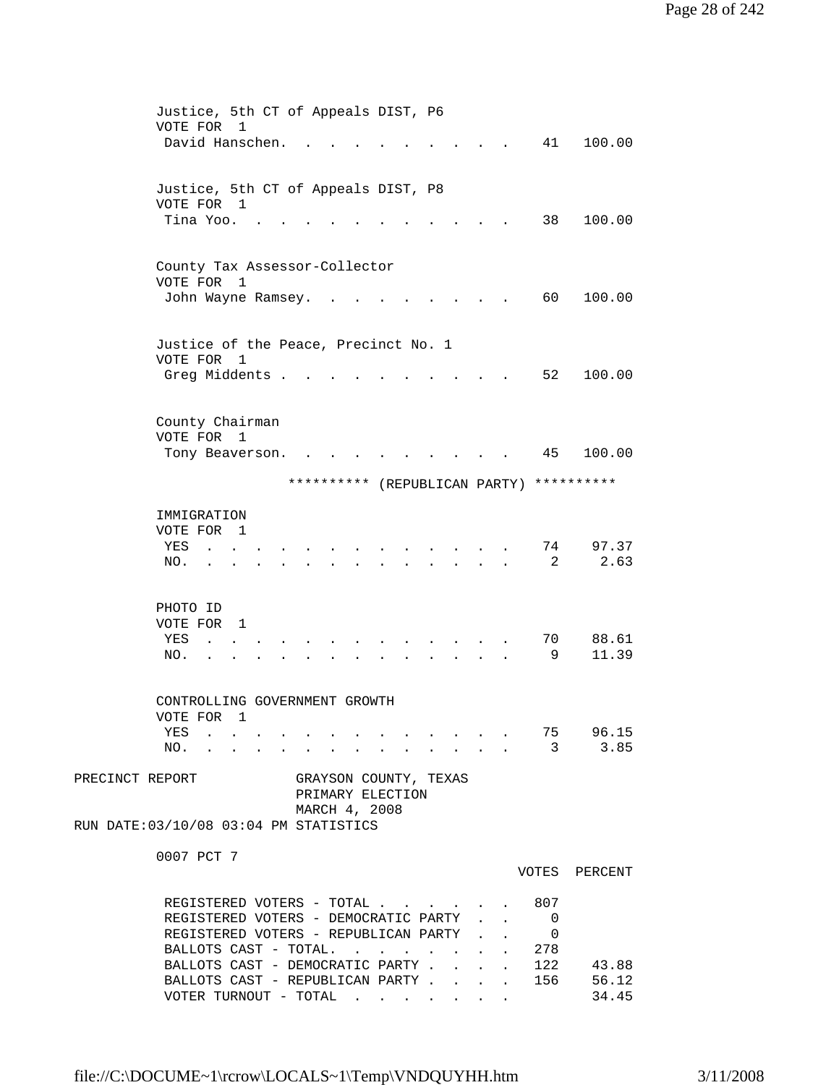|                 | Justice, 5th CT of Appeals DIST, P6<br>VOTE FOR<br>1<br>David Hanschen.        |                              | 100.00<br>41                      |
|-----------------|--------------------------------------------------------------------------------|------------------------------|-----------------------------------|
|                 |                                                                                |                              |                                   |
|                 | Justice, 5th CT of Appeals DIST, P8<br>VOTE FOR 1<br>Tina Yoo. .               |                              | 100.00<br>38                      |
|                 |                                                                                |                              |                                   |
|                 | County Tax Assessor-Collector                                                  |                              |                                   |
|                 | VOTE FOR 1                                                                     |                              |                                   |
|                 | John Wayne Ramsey.                                                             |                              | 60<br>100.00                      |
|                 | Justice of the Peace, Precinct No. 1                                           |                              |                                   |
|                 | VOTE FOR 1                                                                     |                              |                                   |
|                 | Greg Middents .                                                                |                              | 52<br>100.00                      |
|                 |                                                                                |                              |                                   |
|                 | County Chairman<br>VOTE FOR 1                                                  |                              |                                   |
|                 | Tony Beaverson.<br>$\sim$ $\sim$                                               |                              | 100.00<br>45                      |
|                 | ********** (REPUBLICAN PARTY)                                                  |                              | **********                        |
|                 | IMMIGRATION                                                                    |                              |                                   |
|                 | VOTE FOR 1                                                                     |                              |                                   |
|                 | YES                                                                            |                              | 97.37<br>74                       |
|                 | NO.                                                                            |                              | 2.63<br>2                         |
|                 | PHOTO ID                                                                       |                              |                                   |
|                 | VOTE FOR<br>$\overline{1}$                                                     |                              |                                   |
|                 | YES<br>$\ddot{\phantom{0}}$                                                    |                              | 70<br>88.61                       |
|                 | NO.<br>$\bullet$ .<br><br><br><br><br><br><br><br><br><br><br><br>             |                              | 9<br>11.39                        |
|                 | CONTROLLING GOVERNMENT GROWTH                                                  |                              |                                   |
|                 | VOTE FOR 1                                                                     |                              |                                   |
|                 | YES 75 96.15                                                                   |                              |                                   |
|                 | NO. 3 3.85                                                                     |                              |                                   |
| PRECINCT REPORT | GRAYSON COUNTY, TEXAS                                                          |                              |                                   |
|                 | PRIMARY ELECTION<br>MARCH 4, 2008                                              |                              |                                   |
|                 | RUN DATE: 03/10/08 03:04 PM STATISTICS                                         |                              |                                   |
|                 | 0007 PCT 7                                                                     |                              |                                   |
|                 |                                                                                |                              | VOTES PERCENT                     |
|                 | REGISTERED VOTERS - TOTAL 807                                                  |                              |                                   |
|                 | REGISTERED VOTERS - DEMOCRATIC PARTY<br>REGISTERED VOTERS - REPUBLICAN PARTY . | $\mathbf{L}$<br>$\mathbf{L}$ | 0                                 |
|                 | BALLOTS CAST - TOTAL.                                                          |                              | $\overline{\phantom{0}}$<br>. 278 |
|                 |                                                                                |                              | 43.88                             |
|                 | BALLOTS CAST - DEMOCRATIC PARTY 122<br>BALLOTS CAST - REPUBLICAN PARTY 156     |                              | 56.12                             |
|                 | VOTER TURNOUT - TOTAL $\cdot \cdot \cdot \cdot \cdot \cdot$                    |                              | 34.45                             |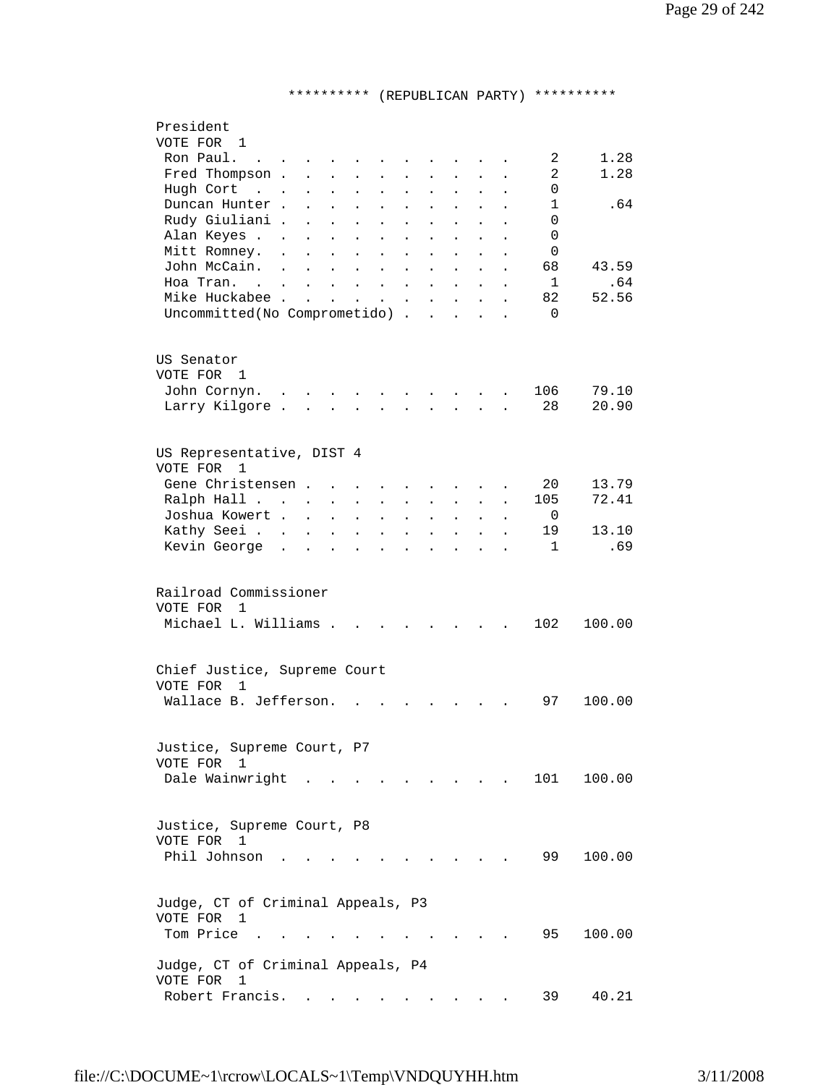## \*\*\*\*\*\*\*\*\*\* (REPUBLICAN PARTY) \*\*\*\*\*\*\*\*\*\*

| President<br>VOTE FOR 1                                                                                                                                                                                                                       |  |
|-----------------------------------------------------------------------------------------------------------------------------------------------------------------------------------------------------------------------------------------------|--|
| Ron Paul.<br>2<br>1.28<br>$\mathbf{L}$ . The set of $\mathbf{L}$                                                                                                                                                                              |  |
| $\overline{2}$<br>1.28<br>Fred Thompson.<br>$\ddot{\phantom{a}}$                                                                                                                                                                              |  |
| Hugh Cort<br>$\Omega$<br>$\cdot$ $\cdot$<br>$\bullet$<br>$\ddot{\phantom{0}}$                                                                                                                                                                 |  |
| Duncan Hunter.<br>$\mathbf 1$<br>. 64<br>$\ddot{\phantom{a}}$                                                                                                                                                                                 |  |
| $\Omega$<br>Rudy Giuliani .<br>$\mathbf{r}$                                                                                                                                                                                                   |  |
| Alan Keyes<br>$\Omega$<br>$\ddot{\phantom{a}}$<br>$\ddot{\phantom{a}}$                                                                                                                                                                        |  |
| Mitt Romney.<br>$\Omega$<br>$\ddot{\phantom{a}}$<br>$\mathbf{r}$<br>$\mathbf{r}$<br>$\ddot{\phantom{a}}$<br>$\ddot{\phantom{a}}$<br>$\ddot{\phantom{a}}$<br>$\ddot{\phantom{a}}$<br>$\ddot{\phantom{a}}$                                      |  |
| John McCain.<br>68<br>43.59<br>$\sim 100$ km s $^{-1}$<br>$\ddot{\phantom{a}}$                                                                                                                                                                |  |
| $\mathbf{L}$<br>$\ddot{\phantom{a}}$<br>$\sim$<br>$\ddot{\phantom{a}}$<br>$\ddot{\phantom{a}}$<br>$\ddot{\phantom{a}}$<br>$\ddot{\phantom{0}}$<br>$\mathbf{1}$<br>.64<br>Hoa Tran. .<br>$\mathbf{L}$ and $\mathbf{L}$<br>$\ddot{\phantom{a}}$ |  |
| $\sim$ 100 $\sim$<br>$\ddot{\phantom{a}}$<br>$\ddot{\phantom{a}}$<br>$\ddot{\phantom{a}}$<br>Mike Huckabee<br>52.56<br>82                                                                                                                     |  |
| $\mathbf{L} = \mathbf{L}$<br>$\ddot{\phantom{0}}$<br>$\mathbf{L}^{\text{max}}$<br>$\sim$ 100 $\pm$<br>$\ddot{\phantom{a}}$<br>Uncommitted (No Comprometido)<br>$\Omega$                                                                       |  |
|                                                                                                                                                                                                                                               |  |
| US Senator                                                                                                                                                                                                                                    |  |
| VOTE FOR 1                                                                                                                                                                                                                                    |  |
| 106<br>79.10<br>John Cornyn.<br>$\mathbf{r}$ , $\mathbf{r}$ , $\mathbf{r}$                                                                                                                                                                    |  |
| 20.90<br>Larry Kilgore.<br>28<br>$\mathbf{L} = \mathbf{L} \mathbf{L}$<br>$\mathbf{L}$<br>$\mathbf{L}$<br>$\overline{a}$<br>$\mathbf{r}$<br>$\overline{a}$                                                                                     |  |
|                                                                                                                                                                                                                                               |  |
| US Representative, DIST 4<br>VOTE FOR<br>1                                                                                                                                                                                                    |  |
| Gene Christensen.<br>20<br>13.79<br>$\ddot{\phantom{a}}$                                                                                                                                                                                      |  |
| 72.41<br>Ralph Hall<br>105<br>$\ddot{\phantom{a}}$<br>$\ddot{\phantom{a}}$                                                                                                                                                                    |  |
| Joshua Kowert .<br>- 0<br>$\sim$<br>$\ddot{\phantom{0}}$<br>$\ddot{\phantom{a}}$<br>$\ddot{\phantom{a}}$                                                                                                                                      |  |
| Kathy Seei<br>13.10<br>19<br>$\sim$<br>$\mathbf{L}$<br>$\mathbf{r}$<br>$\ddot{\phantom{a}}$<br>$\ddot{\phantom{a}}$<br>$\ddot{\phantom{a}}$<br>$\ddot{\phantom{a}}$<br>$\ddot{\phantom{a}}$                                                   |  |
| Kevin George.<br>.69<br>$\mathbf{1}$<br>$\mathbf{r}$<br>$\mathbf{L}$<br>$\sim$<br>$\ddot{\phantom{a}}$<br>$\ddot{\phantom{a}}$<br>$\overline{a}$<br>$\ddot{\phantom{a}}$                                                                      |  |
|                                                                                                                                                                                                                                               |  |
| Railroad Commissioner                                                                                                                                                                                                                         |  |
| VOTE FOR<br>$\mathbf{1}$                                                                                                                                                                                                                      |  |
| Michael L. Williams .<br>102<br>100.00                                                                                                                                                                                                        |  |
|                                                                                                                                                                                                                                               |  |
| Chief Justice, Supreme Court                                                                                                                                                                                                                  |  |
| VOTE FOR<br>1                                                                                                                                                                                                                                 |  |
| Wallace B. Jefferson.<br>97<br>100.00                                                                                                                                                                                                         |  |
|                                                                                                                                                                                                                                               |  |
| Justice, Supreme Court, P7                                                                                                                                                                                                                    |  |
| VOTE FOR 1                                                                                                                                                                                                                                    |  |
| Dale Wainwright<br>101<br>100.00                                                                                                                                                                                                              |  |
|                                                                                                                                                                                                                                               |  |
| Justice, Supreme Court, P8                                                                                                                                                                                                                    |  |
| VOTE FOR 1                                                                                                                                                                                                                                    |  |
| Phil Johnson.<br>99<br>100.00                                                                                                                                                                                                                 |  |
|                                                                                                                                                                                                                                               |  |
| Judge, CT of Criminal Appeals, P3                                                                                                                                                                                                             |  |
| VOTE FOR 1                                                                                                                                                                                                                                    |  |
| Tom Price<br>95<br>100.00                                                                                                                                                                                                                     |  |
|                                                                                                                                                                                                                                               |  |
| Judge, CT of Criminal Appeals, P4                                                                                                                                                                                                             |  |
| VOTE FOR<br>1                                                                                                                                                                                                                                 |  |
| Robert Francis.<br>40.21<br>39                                                                                                                                                                                                                |  |
|                                                                                                                                                                                                                                               |  |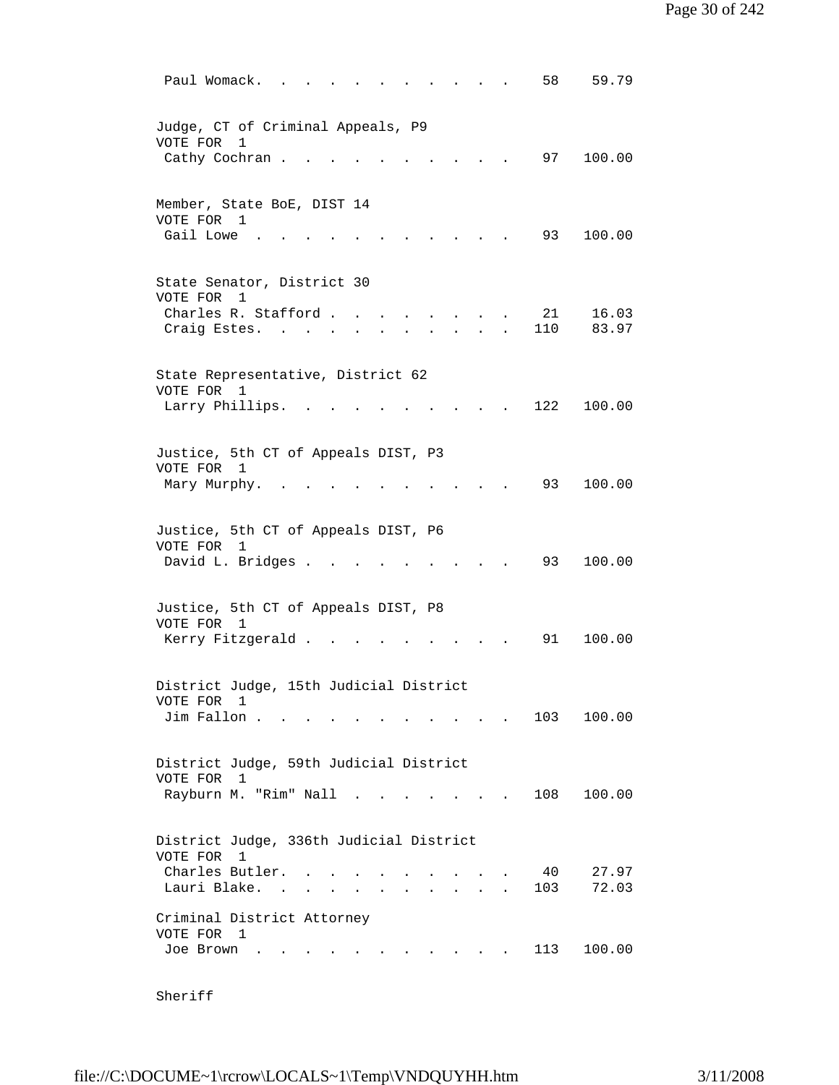| 59.79<br>Paul Womack.<br>58                                                                                                        |
|------------------------------------------------------------------------------------------------------------------------------------|
| Judge, CT of Criminal Appeals, P9<br>VOTE FOR<br>1<br>Cathy Cochran.<br>97<br>100.00                                               |
| Member, State BoE, DIST 14<br>VOTE FOR 1<br>Gail Lowe<br>93<br>100.00                                                              |
| State Senator, District 30<br>VOTE FOR<br>1<br>Charles R. Stafford<br>21<br>16.03<br>$\sim$ $\sim$<br>110<br>83.97<br>Craig Estes. |
| State Representative, District 62<br>VOTE FOR<br>$\overline{1}$<br>122<br>100.00<br>Larry Phillips.                                |
| Justice, 5th CT of Appeals DIST, P3<br>VOTE FOR 1<br>93<br>100.00<br>Mary Murphy.                                                  |
| Justice, 5th CT of Appeals DIST, P6<br>VOTE FOR<br>1<br>David L. Bridges .<br>93<br>100.00                                         |
| Justice, 5th CT of Appeals DIST, P8<br>VOTE FOR<br>$\overline{1}$<br>Kerry Fitzgerald.<br>91<br>100.00                             |
| District Judge, 15th Judicial District<br>VOTE FOR<br>1<br>103 100.00<br>Jim Fallon                                                |
| District Judge, 59th Judicial District<br>VOTE FOR 1<br>Rayburn M. "Rim" Nall<br>100.00<br>108<br>$\sim$                           |
| District Judge, 336th Judicial District<br>VOTE FOR 1<br>Charles Butler.<br>40<br>27.97<br>Lauri Blake.<br>103<br>72.03            |
| Criminal District Attorney<br>VOTE FOR 1<br>113<br>100.00<br>Joe Brown<br>$\cdot$ $\cdot$ $\cdot$ $\cdot$ $\cdot$                  |

Sheriff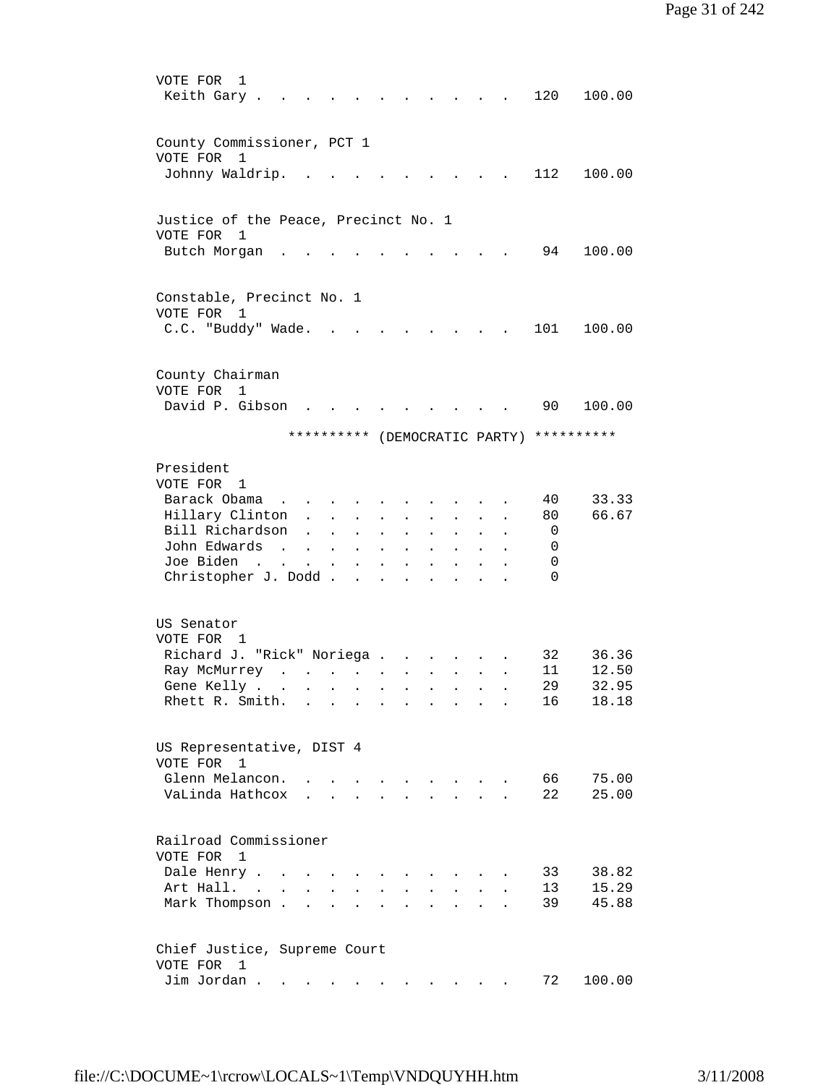| VOTE FOR<br>1<br>Keith Gary.                                           |                                                                                                                                                                                                                                   |                               |                                                                                             |                                        |                                                                 |                           |                                                           |                        | 120      | 100.00                        |
|------------------------------------------------------------------------|-----------------------------------------------------------------------------------------------------------------------------------------------------------------------------------------------------------------------------------|-------------------------------|---------------------------------------------------------------------------------------------|----------------------------------------|-----------------------------------------------------------------|---------------------------|-----------------------------------------------------------|------------------------|----------|-------------------------------|
| County Commissioner, PCT 1                                             |                                                                                                                                                                                                                                   |                               |                                                                                             |                                        |                                                                 |                           |                                                           |                        |          |                               |
| VOTE FOR 1<br>Johnny Waldrip.                                          |                                                                                                                                                                                                                                   |                               |                                                                                             |                                        |                                                                 |                           |                                                           |                        | 112      | 100.00                        |
| Justice of the Peace, Precinct No. 1                                   |                                                                                                                                                                                                                                   |                               |                                                                                             |                                        |                                                                 |                           |                                                           |                        |          |                               |
| VOTE FOR 1<br>Butch Morgan                                             |                                                                                                                                                                                                                                   |                               |                                                                                             |                                        |                                                                 |                           |                                                           |                        | 94       | 100.00                        |
| Constable, Precinct No. 1                                              |                                                                                                                                                                                                                                   |                               |                                                                                             |                                        |                                                                 |                           |                                                           |                        |          |                               |
| VOTE FOR 1<br>C.C. "Buddy" Wade.                                       |                                                                                                                                                                                                                                   |                               |                                                                                             |                                        |                                                                 | $\mathbf{r}$              |                                                           |                        | 101      | 100.00                        |
|                                                                        |                                                                                                                                                                                                                                   |                               |                                                                                             |                                        |                                                                 |                           | $\sim$                                                    |                        |          |                               |
| County Chairman<br>VOTE FOR<br>$\mathbf{1}$                            |                                                                                                                                                                                                                                   |                               |                                                                                             |                                        |                                                                 |                           |                                                           |                        |          |                               |
| David P. Gibson                                                        |                                                                                                                                                                                                                                   |                               |                                                                                             |                                        |                                                                 |                           |                                                           |                        | 90       | 100.00                        |
|                                                                        | **********                                                                                                                                                                                                                        |                               |                                                                                             |                                        |                                                                 |                           |                                                           |                        |          | (DEMOCRATIC PARTY) ********** |
| President<br>VOTE FOR 1                                                |                                                                                                                                                                                                                                   |                               |                                                                                             |                                        |                                                                 |                           |                                                           |                        |          |                               |
| Barack Obama<br>$\ddot{\phantom{a}}$<br>Hillary Clinton                | $\mathbf{L}$                                                                                                                                                                                                                      |                               | $\mathbf{L} = \mathbf{L} \mathbf{L}$                                                        |                                        | $\ddot{\phantom{a}}$                                            | $\sim$                    | $\sim$                                                    | $\ddot{\phantom{a}}$   | 40<br>80 | 33.33<br>66.67                |
| Bill Richardson<br>John Edwards<br>$\sim$                              | $\ddot{\phantom{0}}$                                                                                                                                                                                                              | $\ddot{\phantom{a}}$          | $\sim 10^{-10}$                                                                             | $\bullet$                              | $\ddot{\phantom{0}}$                                            | $\mathbf{L}^{\text{max}}$ | $\mathbf{L} = \mathbf{0}$                                 | $\bullet$              | 0<br>0   |                               |
| Joe Biden<br>$\mathcal{L}(\mathbf{z})$ , and $\mathcal{L}(\mathbf{z})$ | $\ddot{\phantom{0}}$                                                                                                                                                                                                              | $\sim 100$                    | $\mathbf{r} = \mathbf{r} + \mathbf{r}$ , where $\mathbf{r} = \mathbf{r}$<br>$\sim 10^{-11}$ | $\blacksquare$<br>$\ddot{\phantom{a}}$ | $\ddot{\phantom{0}}$<br>$\ddot{\phantom{0}}$                    | $\bullet$                 | $\ddot{\phantom{0}}$                                      | $\bullet$<br>$\bullet$ | 0        |                               |
| Christopher J. Dodd                                                    |                                                                                                                                                                                                                                   |                               |                                                                                             |                                        | $\ddot{\phantom{a}}$                                            |                           |                                                           |                        | $\Omega$ |                               |
| US Senator<br>VOTE FOR 1                                               |                                                                                                                                                                                                                                   |                               |                                                                                             |                                        |                                                                 |                           |                                                           |                        |          |                               |
| Richard J. "Rick" Noriega                                              |                                                                                                                                                                                                                                   |                               |                                                                                             |                                        |                                                                 |                           |                                                           |                        | 32       | 36.36                         |
| Ray McMurrey                                                           | $\mathbf{r}$ . The contract of the contract of the contract of the contract of the contract of the contract of the contract of the contract of the contract of the contract of the contract of the contract of the contract of th |                               |                                                                                             |                                        |                                                                 |                           | $\mathbf{z} = \mathbf{z} + \mathbf{z}$ . The $\mathbf{z}$ |                        | 11       | 12.50                         |
| Gene Kelly                                                             |                                                                                                                                                                                                                                   |                               |                                                                                             |                                        |                                                                 |                           |                                                           |                        | 29       | 32.95                         |
| Rhett R. Smith.                                                        | $\mathbf{r}$ . The set of $\mathbf{r}$                                                                                                                                                                                            |                               | $\sim$                                                                                      |                                        |                                                                 | $\bullet$                 |                                                           |                        | 16       | 18.18                         |
| US Representative, DIST 4<br>VOTE FOR<br>$\overline{1}$                |                                                                                                                                                                                                                                   |                               |                                                                                             |                                        |                                                                 |                           |                                                           |                        |          |                               |
| Glenn Melancon.                                                        |                                                                                                                                                                                                                                   |                               |                                                                                             |                                        | $\overline{a}$                                                  | $\sim$ $\sim$ $\sim$      |                                                           |                        | 66       | 75.00                         |
| VaLinda Hathcox                                                        |                                                                                                                                                                                                                                   | $\mathbf{r}$ and $\mathbf{r}$ |                                                                                             |                                        |                                                                 |                           |                                                           |                        | 22       | 25.00                         |
| Railroad Commissioner                                                  |                                                                                                                                                                                                                                   |                               |                                                                                             |                                        |                                                                 |                           |                                                           |                        |          |                               |
| VOTE FOR<br>1                                                          |                                                                                                                                                                                                                                   |                               |                                                                                             |                                        |                                                                 |                           |                                                           |                        |          |                               |
| Dale Henry<br>Art Hall. .<br>$\ddot{\phantom{a}}$                      |                                                                                                                                                                                                                                   |                               |                                                                                             |                                        |                                                                 |                           |                                                           |                        | 33<br>13 | 38.82<br>15.29                |
| Mark Thompson.                                                         | $\mathbf{r}$                                                                                                                                                                                                                      | $\overline{a}$                |                                                                                             |                                        |                                                                 |                           |                                                           |                        | 39       | 45.88                         |
| Chief Justice, Supreme Court                                           |                                                                                                                                                                                                                                   |                               |                                                                                             |                                        |                                                                 |                           |                                                           |                        |          |                               |
| VOTE FOR<br>- 1<br>Jim Jordan.                                         | $\mathbf{a}^{\prime}$ , and $\mathbf{a}^{\prime}$ , and $\mathbf{a}^{\prime}$ , and $\mathbf{a}^{\prime}$ , and $\mathbf{a}^{\prime}$                                                                                             |                               |                                                                                             |                                        | $\bullet$ .<br><br><br><br><br><br><br><br><br><br><br><br><br> |                           |                                                           |                        | 72       | 100.00                        |
|                                                                        |                                                                                                                                                                                                                                   |                               |                                                                                             |                                        |                                                                 |                           |                                                           |                        |          |                               |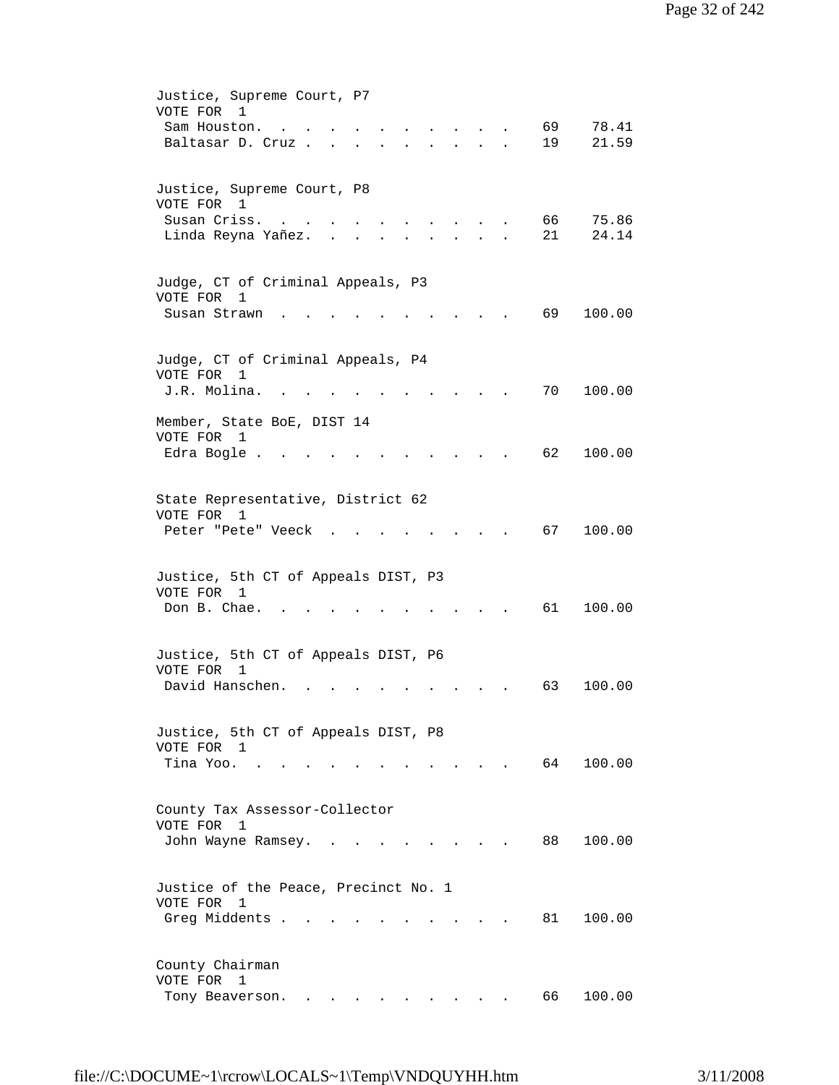| Justice, Supreme Court, P7<br>VOTE FOR 1                                             |
|--------------------------------------------------------------------------------------|
| 69<br>78.41<br>Sam Houston.                                                          |
| 19<br>21.59<br>Baltasar D. Cruz.                                                     |
|                                                                                      |
| Justice, Supreme Court, P8                                                           |
| VOTE FOR 1                                                                           |
| Susan Criss.<br>66<br>75.86                                                          |
| 21<br>24.14<br>Linda Reyna Yañez.                                                    |
|                                                                                      |
| Judge, CT of Criminal Appeals, P3<br>VOTE FOR<br>1                                   |
| 69<br>Susan Strawn<br>100.00                                                         |
|                                                                                      |
|                                                                                      |
| Judge, CT of Criminal Appeals, P4<br>VOTE FOR<br>1                                   |
| J.R. Molina.<br>70<br>100.00                                                         |
|                                                                                      |
| Member, State BoE, DIST 14<br>VOTE FOR<br>1                                          |
| 62<br>100.00<br>Edra Bogle.                                                          |
|                                                                                      |
|                                                                                      |
| State Representative, District 62<br>VOTE FOR 1                                      |
| 67<br>100.00<br>Peter "Pete" Veeck                                                   |
|                                                                                      |
|                                                                                      |
| Justice, 5th CT of Appeals DIST, P3<br>VOTE FOR 1                                    |
| Don B. Chae.<br>61<br>100.00                                                         |
|                                                                                      |
| Justice, 5th CT of Appeals DIST, P6                                                  |
| VOTE FOR<br>1                                                                        |
| David Hanschen.<br>63<br>100.00                                                      |
|                                                                                      |
| Justice, 5th CT of Appeals DIST, P8                                                  |
| VOTE FOR 1                                                                           |
| 64<br>Tina Yoo. .<br>100.00                                                          |
|                                                                                      |
| County Tax Assessor-Collector                                                        |
| VOTE FOR<br>1                                                                        |
| 100.00<br>88 —<br>John Wayne Ramsey. .<br>and the state of the state of the state of |
|                                                                                      |
| Justice of the Peace, Precinct No. 1                                                 |
| VOTE FOR<br>1                                                                        |
| Greg Middents<br>81 —<br>100.00                                                      |
|                                                                                      |
| County Chairman                                                                      |
| VOTE FOR<br>1                                                                        |
| 66<br>100.00<br>Tony Beaverson.                                                      |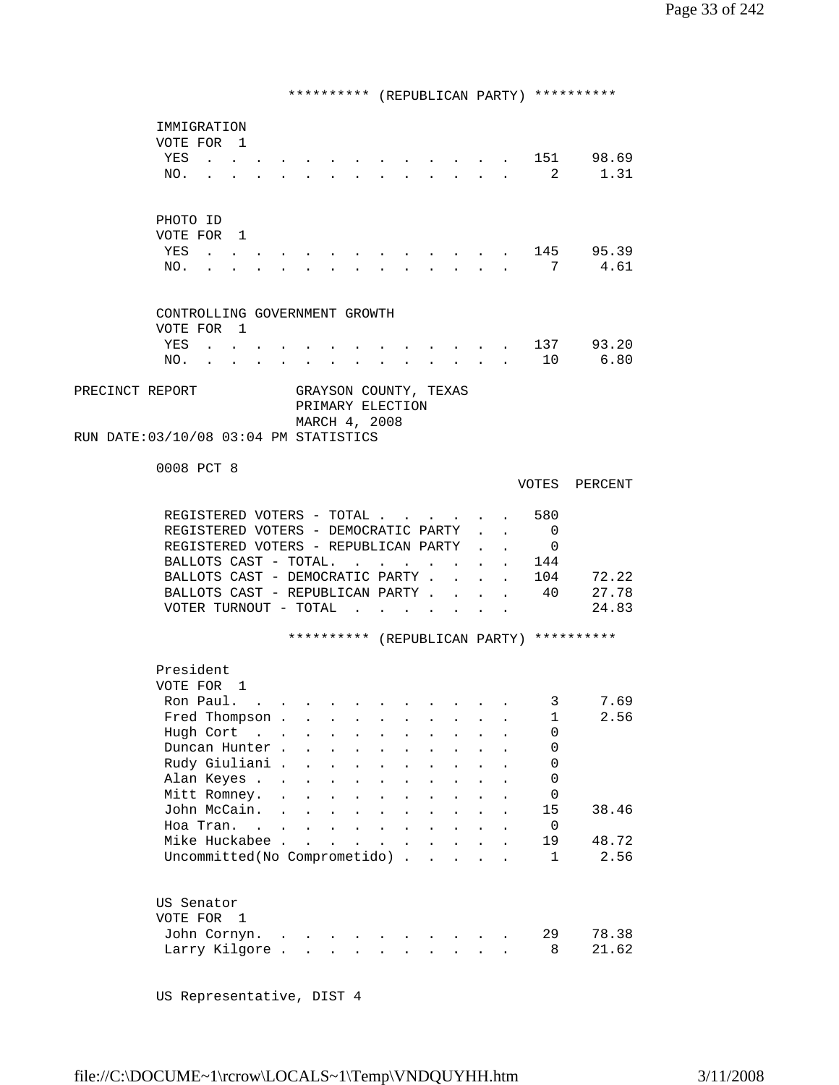\*\*\*\*\*\*\*\*\*\* (REPUBLICAN PARTY) \*\*\*\*\*\*\*\*\*\* IMMIGRATION VOTE FOR 1 YES . . . . . . . . . . . . . 151 98.69 NO. . . . . . . . . . . . . . 2 1.31 PHOTO ID VOTE FOR 1 YES . . . . . . . . . . . . . 145 95.39 NO. . . . . . . . . . . . . . 7 4.61 CONTROLLING GOVERNMENT GROWTH VOTE FOR 1<br>YES . . VERT . . . . . . . . . . . . 137 93.20<br>10 6.80 NO. . . . . . . . . . . . . 10 6.80 PRECINCT REPORT GRAYSON COUNTY, TEXAS PRIMARY ELECTION MARCH 4, 2008 RUN DATE:03/10/08 03:04 PM STATISTICS 0008 PCT 8 VOTES PERCENT REGISTERED VOTERS - TOTAL . . . . . . 580 REGISTERED VOTERS - DEMOCRATIC PARTY . . 0 REGISTERED VOTERS - REPUBLICAN PARTY . . 0 BALLOTS CAST - TOTAL. . . . . . . . 144 BALLOTS CAST - DEMOCRATIC PARTY . . . . 104 72.22<br>BALLOTS CAST - REPUBLICAN PARTY . . . . 40 27.78 BALLOTS CAST - REPUBLICAN PARTY  $\cdot \cdot \cdot \cdot$ VOTER TURNOUT - TOTAL . . . . . . . 24.83 \*\*\*\*\*\*\*\*\*\* (REPUBLICAN PARTY) \*\*\*\*\*\*\*\*\*\* President VOTE FOR 1 Ron Paul. . . . . . . . . . . . . 3 7.69 Fred Thompson . . . . . . . . . . . 1 2.56 Hugh Cort . . . . . . . . . . . 0 Duncan Hunter . . . . . . . . . 0 Rudy Giuliani . . . . . . . . . . 0 Alan Keyes . . . . . . . . . . . 0 Mitt Romney. . . . . . . . . . . 0 John McCain. . . . . . . . . . . 15 38.46 Hoa Tran. . . . . . . . . . . . 0 Mike Huckabee . . . . . . . . . . 19 48.72 Uncommitted(No Comprometido) . . . . . 1 2.56 US Senator VOTE FOR 1 John Cornyn. . . . . . . . . . . 29 78.38 Larry Kilgore . . . . . . . . . . 8 21.62

US Representative, DIST 4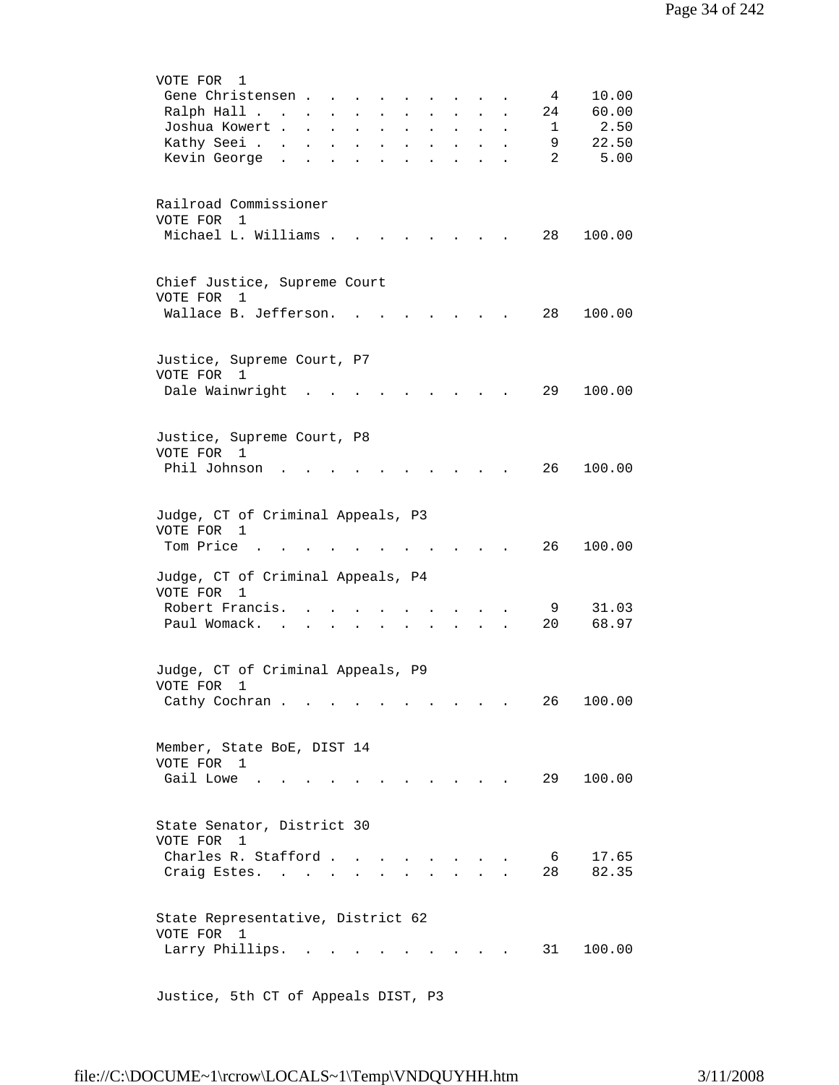| VOTE FOR<br>1<br>Gene Christensen<br>Ralph Hall<br>Joshua Kowert<br>Kathy Seei<br>Kevin George. | $\mathbf{z} = \mathbf{z} + \mathbf{z}$ . The $\mathbf{z}$<br>$\bullet$<br>$\ddot{\phantom{a}}$ | $\sim 100$<br>$\bullet$<br>$\bullet$ | $\mathbf{r} = \mathbf{r} + \mathbf{r}$<br>$\mathbf{A}^{\text{max}}$ | $\ddot{\phantom{1}}$<br>$\ddot{\phantom{0}}$ | 4<br>24<br>1<br>9<br>$\overline{2}$ | 10.00<br>60.00<br>2.50<br>22.50<br>5.00 |
|-------------------------------------------------------------------------------------------------|------------------------------------------------------------------------------------------------|--------------------------------------|---------------------------------------------------------------------|----------------------------------------------|-------------------------------------|-----------------------------------------|
| Railroad Commissioner<br>VOTE FOR 1<br>Michael L. Williams .                                    |                                                                                                |                                      |                                                                     |                                              | 28                                  | 100.00                                  |
| Chief Justice, Supreme Court<br>VOTE FOR<br>$\mathbf{1}$<br>Wallace B. Jefferson.               |                                                                                                |                                      |                                                                     |                                              | 28                                  | 100.00                                  |
| Justice, Supreme Court, P7<br>VOTE FOR 1<br>Dale Wainwright                                     |                                                                                                |                                      |                                                                     |                                              | 29                                  | 100.00                                  |
| Justice, Supreme Court, P8<br>VOTE FOR 1<br>Phil Johnson                                        |                                                                                                |                                      |                                                                     |                                              | 26                                  | 100.00                                  |
| Judge, CT of Criminal Appeals, P3<br>VOTE FOR 1<br>Tom Price                                    |                                                                                                |                                      |                                                                     |                                              | 26                                  | 100.00                                  |
| Judge, CT of Criminal Appeals, P4<br>VOTE FOR<br>1<br>Robert Francis.<br>Paul Womack.           |                                                                                                |                                      |                                                                     |                                              | - 9<br>20                           | 31.03<br>68.97                          |
| Judge, CT of Criminal Appeals, P9<br>VOTE FOR<br>$\mathbf{1}$<br>Cathy Cochran                  |                                                                                                | $\sim$ 100 $\pm$                     |                                                                     |                                              | 26                                  | 100.00                                  |
| Member, State BoE, DIST 14<br>VOTE FOR 1<br>Gail Lowe                                           |                                                                                                |                                      |                                                                     |                                              | 29                                  | 100.00                                  |
| State Senator, District 30<br>VOTE FOR<br>1<br>Charles R. Stafford<br>Craig Estes.              |                                                                                                | $\ddot{\phantom{a}}$                 |                                                                     |                                              | 6<br>28                             | 17.65<br>82.35                          |
| State Representative, District 62<br>VOTE FOR 1<br>Larry Phillips.                              |                                                                                                |                                      |                                                                     |                                              | 31                                  | 100.00                                  |

Justice, 5th CT of Appeals DIST, P3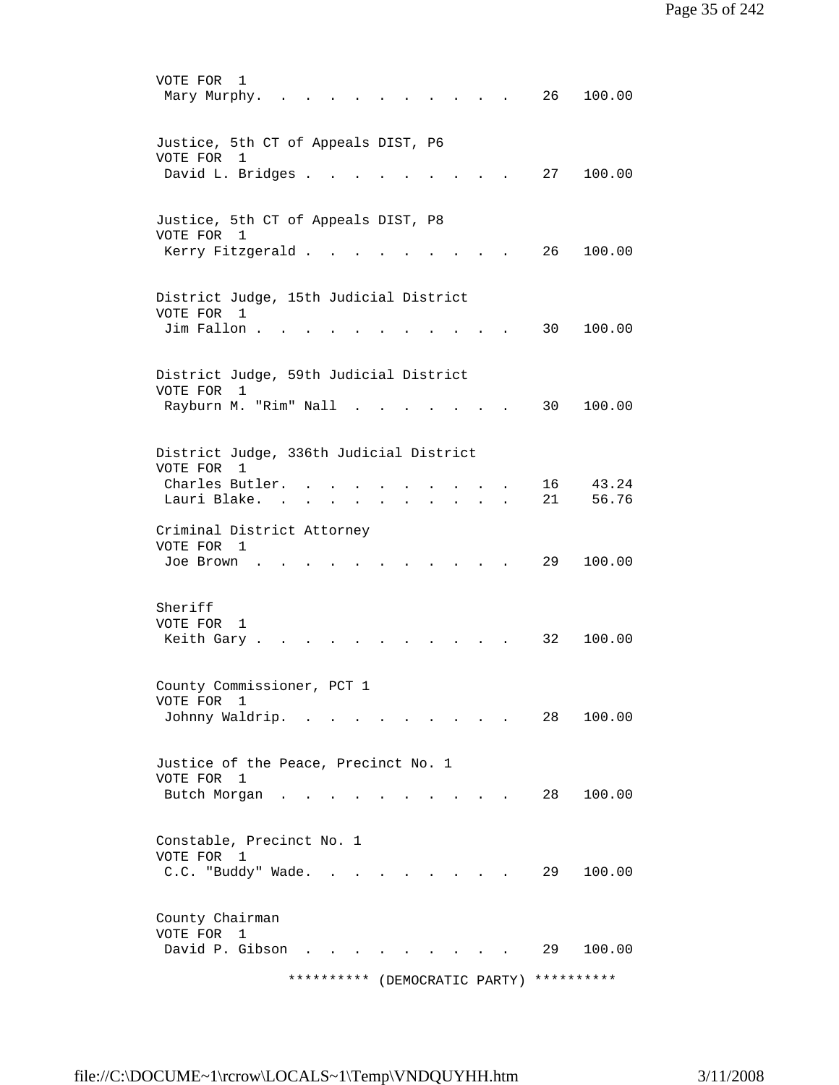VOTE FOR 1 Mary Murphy. . . . . . . . . . . 26 100.00 Justice, 5th CT of Appeals DIST, P6 VOTE FOR 1 David L. Bridges . . . . . . . . . 27 100.00 Justice, 5th CT of Appeals DIST, P8 VOTE FOR 1 Kerry Fitzgerald . . . . . . . . . 26 100.00 District Judge, 15th Judicial District VOTE FOR 1 Jim Fallon . . . . . . . . . . . 30 100.00 District Judge, 59th Judicial District VOTE FOR 1 Rayburn M. "Rim" Nall . . . . . . . 30 100.00 District Judge, 336th Judicial District VOTE FOR 1 Charles Butler. . . . . . . . . . 16 43.24 Lauri Blake. . . . . . . . . . . 21 56.76 Criminal District Attorney VOTE FOR 1 Joe Brown . . . . . . . . . . . 29 100.00 Sheriff VOTE FOR 1 Keith Gary . . . . . . . . . . . 32 100.00 County Commissioner, PCT 1 VOTE FOR 1 Johnny Waldrip. . . . . . . . . . 28 100.00 Justice of the Peace, Precinct No. 1 VOTE FOR 1 Butch Morgan . . . . . . . . . . 28 100.00 Constable, Precinct No. 1 VOTE FOR 1 C.C. "Buddy" Wade. . . . . . . . . 29 100.00 County Chairman VOTE FOR 1 David P. Gibson . . . . . . . . . 29 100.00 \*\*\*\*\*\*\*\*\*\* (DEMOCRATIC PARTY) \*\*\*\*\*\*\*\*\*\*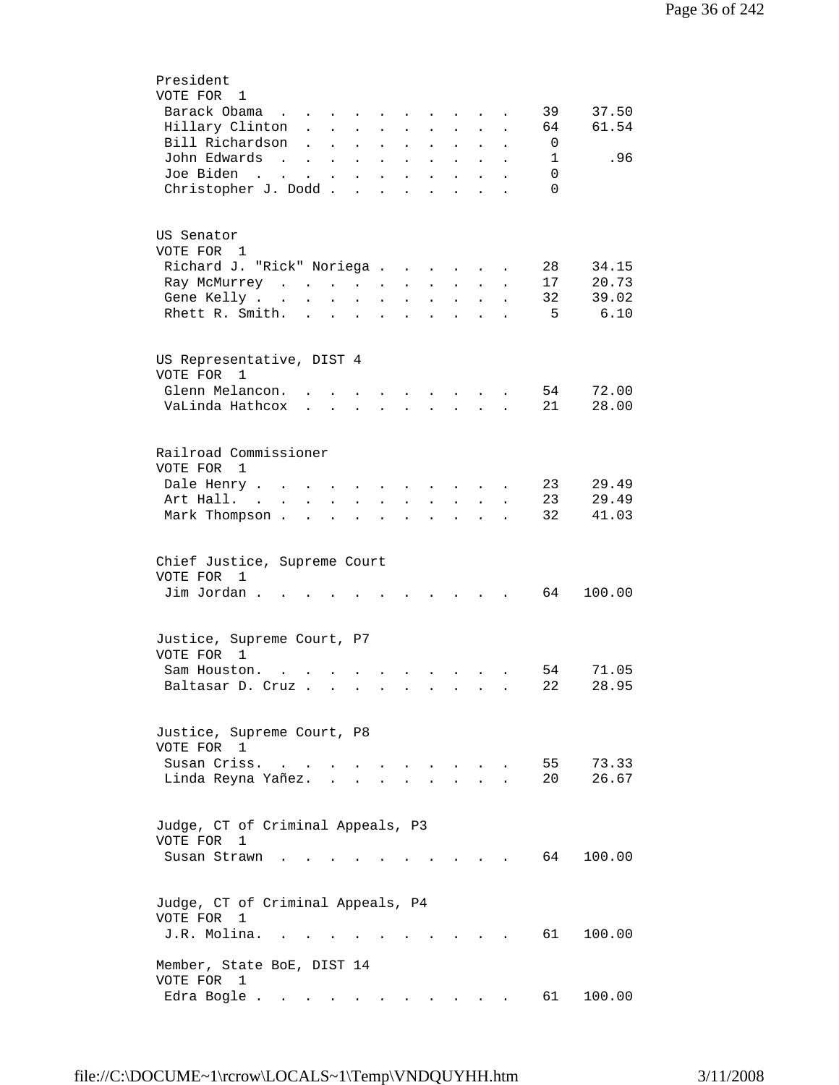| President                                                                                                                                                                                                                                                              |
|------------------------------------------------------------------------------------------------------------------------------------------------------------------------------------------------------------------------------------------------------------------------|
| VOTE FOR 1                                                                                                                                                                                                                                                             |
| Barack Obama<br>39<br>37.50<br>the contract of the contract of the contract of the contract of the contract of the contract of the contract of                                                                                                                         |
| 61.54<br>Hillary Clinton<br>64<br>$\mathbf{L}$ and $\mathbf{L}$<br>$\mathbf{L}$<br>$\mathbf{L}$                                                                                                                                                                        |
| Bill Richardson<br>0<br>$\mathbf{L}$<br>$\mathbf{L}$<br>$\mathbf{L}^{\text{max}}$<br>$\mathbf{L}^{\text{max}}$<br>$\mathcal{L}^{\text{max}}$<br>$\ddot{\phantom{0}}$<br>$\ddot{\phantom{0}}$<br>$\ddot{\phantom{a}}$                                                   |
| John Edwards<br>.96<br>$\mathbf{1}$<br><b>Contract Contract</b><br>$\mathbf{z} = \mathbf{z} + \mathbf{z}$ .<br>$\mathbf{L}^{\text{max}}$<br>$\mathbf{L}^{\text{max}}$<br>$\ddot{\phantom{0}}$<br>$\ddot{\phantom{1}}$                                                  |
| Joe Biden<br>$\mathbf 0$<br>$\mathcal{L}(\mathcal{A})$ . The contribution of $\mathcal{A}(\mathcal{A})$<br>$\Delta \phi = \Delta \phi$ and $\Delta \phi = 0$<br>$\ddot{\phantom{a}}$<br>$\ddot{\phantom{a}}$<br>$\bullet$                                              |
| Christopher J. Dodd<br>$\Omega$<br><b>Contract Contract</b><br>$\ddot{\phantom{a}}$<br>$\ddot{\phantom{a}}$<br>$\ddot{\phantom{a}}$                                                                                                                                    |
|                                                                                                                                                                                                                                                                        |
|                                                                                                                                                                                                                                                                        |
| US Senator                                                                                                                                                                                                                                                             |
| VOTE FOR 1                                                                                                                                                                                                                                                             |
| 34.15                                                                                                                                                                                                                                                                  |
| 28<br>Richard J. "Rick" Noriega                                                                                                                                                                                                                                        |
| 17<br>20.73<br>Ray McMurrey<br>$\sim 10^{-11}$<br>$\mathbf{L}^{\text{max}}$<br>$\mathcal{L}^{\text{max}}$<br>$\mathbf{L}^{\text{max}}$<br>$\ddot{\phantom{a}}$                                                                                                         |
| 39.02<br>Gene Kelly<br>32<br>$\ddot{\phantom{0}}$<br>$\ddot{\phantom{0}}$<br>$\mathbf{A}$ and $\mathbf{A}$<br>$\bullet$                                                                                                                                                |
| 6.10<br>Rhett R. Smith.<br>- 5<br>$\sim$ $\sim$<br>$\bullet$<br>$\ddot{\phantom{0}}$                                                                                                                                                                                   |
|                                                                                                                                                                                                                                                                        |
|                                                                                                                                                                                                                                                                        |
| US Representative, DIST 4                                                                                                                                                                                                                                              |
| VOTE FOR<br>1                                                                                                                                                                                                                                                          |
| Glenn Melancon.<br>54<br>72.00<br><u>in the community of the community of the community of the community of the community of the community of the community of the community of the community of the community of the community of the community of the community </u> |
| 21<br>28.00<br>VaLinda Hathcox<br>$\mathbf{r}$ , $\mathbf{r}$ , $\mathbf{r}$ , $\mathbf{r}$                                                                                                                                                                            |
|                                                                                                                                                                                                                                                                        |
|                                                                                                                                                                                                                                                                        |
| Railroad Commissioner                                                                                                                                                                                                                                                  |
| VOTE FOR<br>1                                                                                                                                                                                                                                                          |
| 23<br>29.49<br>Dale Henry<br>$\mathbf{r} = \mathbf{r}$<br>$\ddot{\phantom{a}}$<br>$\sim$ $\sim$ $\sim$ $\sim$ $\sim$                                                                                                                                                   |
| 29.49<br>Art Hall. .<br>23<br>$\sim$ $-$<br>$\sim$<br>$\ddot{\phantom{0}}$<br>$\ddot{\phantom{0}}$<br>$\ddot{\phantom{0}}$<br>$\mathbf{L}$                                                                                                                             |
| 32<br>41.03<br>Mark Thompson.<br>$\mathbf{L} = \mathbf{L} \mathbf{L}$<br>$\ddot{\phantom{0}}$<br>$\sim$<br>$\mathbf{r}$<br>$\ddot{\phantom{0}}$<br>$\ddot{\phantom{a}}$<br>$\overline{a}$                                                                              |
|                                                                                                                                                                                                                                                                        |
|                                                                                                                                                                                                                                                                        |
| Chief Justice, Supreme Court                                                                                                                                                                                                                                           |
| VOTE FOR 1                                                                                                                                                                                                                                                             |
| Jim Jordan.<br>64<br>100.00                                                                                                                                                                                                                                            |
|                                                                                                                                                                                                                                                                        |
|                                                                                                                                                                                                                                                                        |
| Justice, Supreme Court, P7                                                                                                                                                                                                                                             |
| VOTE FOR 1                                                                                                                                                                                                                                                             |
| 71.05<br>Sam Houston.<br>54                                                                                                                                                                                                                                            |
| $\mathbf{z} = \mathbf{z} + \mathbf{z}$ . The $\mathbf{z}$<br>22<br>28.95<br>Baltasar D. Cruz                                                                                                                                                                           |
| $\sim$ $\sim$ $\sim$ $\sim$                                                                                                                                                                                                                                            |
|                                                                                                                                                                                                                                                                        |
|                                                                                                                                                                                                                                                                        |
| Justice, Supreme Court, P8                                                                                                                                                                                                                                             |
| VOTE FOR 1                                                                                                                                                                                                                                                             |
| 55<br>73.33<br>Susan Criss.                                                                                                                                                                                                                                            |
| 26.67<br>Linda Reyna Yañez.<br>20                                                                                                                                                                                                                                      |
|                                                                                                                                                                                                                                                                        |
|                                                                                                                                                                                                                                                                        |
| Judge, CT of Criminal Appeals, P3                                                                                                                                                                                                                                      |
| VOTE FOR<br>1                                                                                                                                                                                                                                                          |
| 64<br>100.00<br>Susan Strawn                                                                                                                                                                                                                                           |
|                                                                                                                                                                                                                                                                        |
|                                                                                                                                                                                                                                                                        |
| Judge, CT of Criminal Appeals, P4                                                                                                                                                                                                                                      |
| VOTE FOR<br>1                                                                                                                                                                                                                                                          |
| J.R. Molina.<br>61<br>100.00                                                                                                                                                                                                                                           |
|                                                                                                                                                                                                                                                                        |
| Member, State BoE, DIST 14                                                                                                                                                                                                                                             |
| VOTE FOR<br>1                                                                                                                                                                                                                                                          |
| Edra Bogle .<br>61 —<br>100.00                                                                                                                                                                                                                                         |
|                                                                                                                                                                                                                                                                        |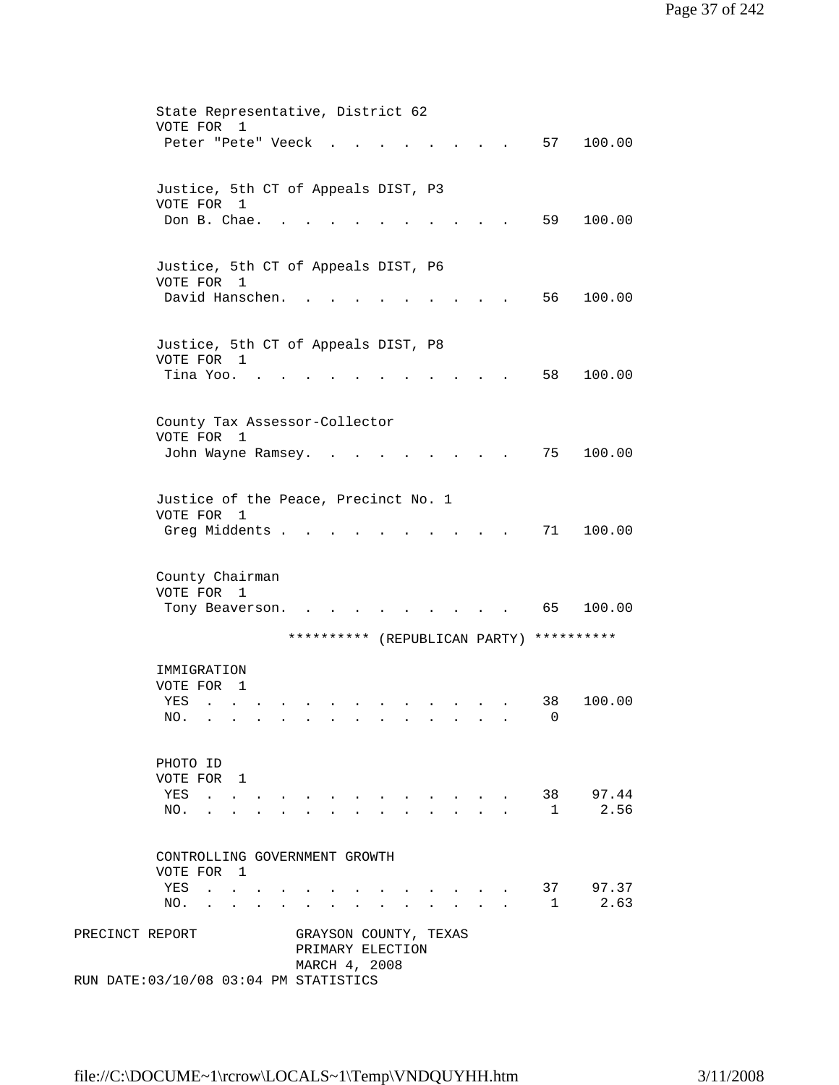|                 | State Representative, District 62                                                                                                                                                                                |
|-----------------|------------------------------------------------------------------------------------------------------------------------------------------------------------------------------------------------------------------|
|                 | VOTE FOR<br>1                                                                                                                                                                                                    |
|                 | 57<br>100.00<br>Peter "Pete" Veeck                                                                                                                                                                               |
|                 |                                                                                                                                                                                                                  |
|                 | Justice, 5th CT of Appeals DIST, P3                                                                                                                                                                              |
|                 | VOTE FOR 1                                                                                                                                                                                                       |
|                 | Don B. Chae.<br>59<br>100.00                                                                                                                                                                                     |
|                 |                                                                                                                                                                                                                  |
|                 |                                                                                                                                                                                                                  |
|                 | Justice, 5th CT of Appeals DIST, P6                                                                                                                                                                              |
|                 | VOTE FOR 1                                                                                                                                                                                                       |
|                 | David Hanschen.<br>56<br>100.00                                                                                                                                                                                  |
|                 |                                                                                                                                                                                                                  |
|                 |                                                                                                                                                                                                                  |
|                 | Justice, 5th CT of Appeals DIST, P8<br>VOTE FOR 1                                                                                                                                                                |
|                 | Tina Yoo.<br>58<br>100.00                                                                                                                                                                                        |
|                 |                                                                                                                                                                                                                  |
|                 |                                                                                                                                                                                                                  |
|                 | County Tax Assessor-Collector                                                                                                                                                                                    |
|                 | VOTE FOR<br>1                                                                                                                                                                                                    |
|                 | 75<br>100.00<br>John Wayne Ramsey.                                                                                                                                                                               |
|                 |                                                                                                                                                                                                                  |
|                 |                                                                                                                                                                                                                  |
|                 | Justice of the Peace, Precinct No. 1                                                                                                                                                                             |
|                 | VOTE FOR 1                                                                                                                                                                                                       |
|                 | Greg Middents .<br>71<br>100.00                                                                                                                                                                                  |
|                 |                                                                                                                                                                                                                  |
|                 | County Chairman                                                                                                                                                                                                  |
|                 | VOTE FOR<br>1                                                                                                                                                                                                    |
|                 |                                                                                                                                                                                                                  |
|                 |                                                                                                                                                                                                                  |
|                 | 65<br>100.00<br>Tony Beaverson.                                                                                                                                                                                  |
|                 | ********** (REPUBLICAN PARTY) **********                                                                                                                                                                         |
|                 |                                                                                                                                                                                                                  |
|                 | IMMIGRATION                                                                                                                                                                                                      |
|                 | VOTE FOR<br>$\mathbf{1}$                                                                                                                                                                                         |
|                 | 100.00<br>38<br>YES<br>$\sim$<br>$\ddot{\phantom{0}}$                                                                                                                                                            |
|                 | NO.<br>0                                                                                                                                                                                                         |
|                 |                                                                                                                                                                                                                  |
|                 |                                                                                                                                                                                                                  |
|                 | PHOTO ID                                                                                                                                                                                                         |
|                 | VOTE FOR 1                                                                                                                                                                                                       |
|                 | 38 97.44<br>YES .<br>$\sim$<br>$\mathbf{r}$ , $\mathbf{r}$ , $\mathbf{r}$ , $\mathbf{r}$<br>$\mathbf{r} = \mathbf{r} + \mathbf{r}$ .<br>$\sim 10^{-10}$ m $^{-1}$<br>2.56<br>$\mathbf{1}$<br>NO.<br>$\mathbf{A}$ |
|                 |                                                                                                                                                                                                                  |
|                 |                                                                                                                                                                                                                  |
|                 | CONTROLLING GOVERNMENT GROWTH                                                                                                                                                                                    |
|                 | VOTE FOR 1                                                                                                                                                                                                       |
|                 | 37 97.37<br>YES<br>$\mathbf{r}$ , $\mathbf{r}$ , $\mathbf{r}$ , $\mathbf{r}$                                                                                                                                     |
|                 | 2.63<br>1<br>NO.<br>$\sim$ $\sim$ $\sim$ $\sim$ $\sim$                                                                                                                                                           |
|                 |                                                                                                                                                                                                                  |
| PRECINCT REPORT | GRAYSON COUNTY, TEXAS                                                                                                                                                                                            |
|                 | PRIMARY ELECTION                                                                                                                                                                                                 |
|                 | MARCH 4, 2008<br>RUN DATE: 03/10/08 03:04 PM STATISTICS                                                                                                                                                          |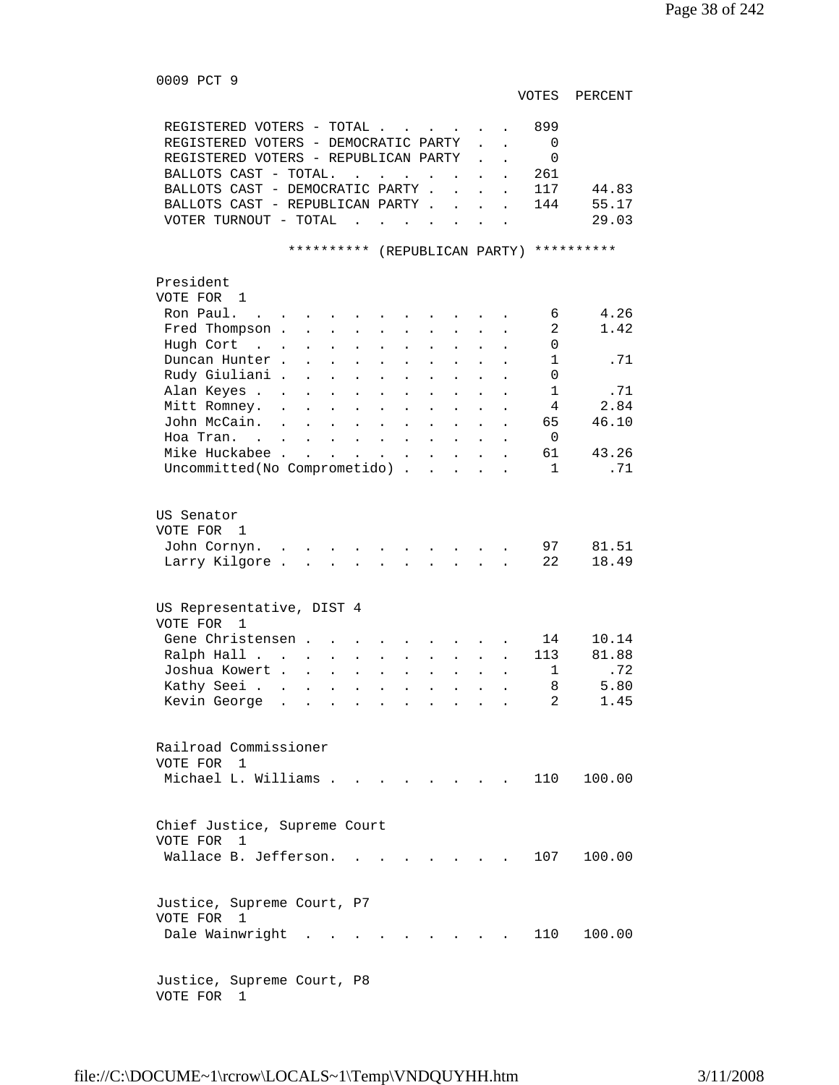0009 PCT 9

VOTES PERCENT

| REGISTERED VOTERS - TOTAL.<br>$\sim$                                                                                                   |                                              |                    | 899                 |
|----------------------------------------------------------------------------------------------------------------------------------------|----------------------------------------------|--------------------|---------------------|
| REGISTERED VOTERS - DEMOCRATIC PARTY                                                                                                   |                                              |                    | 0                   |
| REGISTERED VOTERS - REPUBLICAN PARTY                                                                                                   |                                              |                    | 0                   |
| BALLOTS CAST - TOTAL.<br>$\mathbf{L}^{\text{max}}$ , and $\mathbf{L}^{\text{max}}$                                                     |                                              |                    | 261                 |
| BALLOTS CAST - DEMOCRATIC PARTY .                                                                                                      |                                              | $\mathbf{r}$       | 44.83<br>117        |
| BALLOTS CAST - REPUBLICAN PARTY .                                                                                                      | $\ddot{\phantom{a}}$                         |                    | 144<br>55.17        |
| VOTER TURNOUT - TOTAL<br>$\sim$<br>$\mathbf{r}$ , $\mathbf{r}$ , $\mathbf{r}$ , $\mathbf{r}$                                           |                                              |                    | 29.03               |
|                                                                                                                                        |                                              |                    |                     |
| * * * * * * * * * *                                                                                                                    |                                              | (REPUBLICAN PARTY) | **********          |
|                                                                                                                                        |                                              |                    |                     |
| President<br>VOTE FOR 1                                                                                                                |                                              |                    |                     |
| Ron Paul.                                                                                                                              |                                              |                    | 4.26<br>6           |
| Fred Thompson .<br>$\mathbf{r}$                                                                                                        |                                              |                    | 2<br>1.42           |
| Hugh Cort<br>$\mathbf{r}$ . The set of $\mathbf{r}$                                                                                    |                                              |                    | $\Omega$            |
| $\ddot{\phantom{a}}$<br>$\ddot{\phantom{a}}$<br>$\ddot{\phantom{a}}$<br>$\ddot{\phantom{a}}$<br>$\ddot{\phantom{a}}$<br>Duncan Hunter. | $\ddot{\phantom{a}}$<br>$\ddot{\phantom{a}}$ |                    | $\mathbf{1}$<br>.71 |
| $\ddot{\phantom{a}}$<br>Rudy Giuliani .                                                                                                |                                              |                    | $\Omega$            |
| $\ddot{\phantom{a}}$<br>$\mathbf{L}^{\text{max}}$<br>$\ddot{\phantom{a}}$<br>$\ddot{\phantom{0}}$<br>Alan Keyes .                      | $\ddot{\phantom{0}}$                         |                    | $\mathbf{1}$<br>.71 |
| $\ddot{\phantom{0}}$<br>$\bullet$<br>Mitt Romney.                                                                                      |                                              |                    | 2.84<br>4           |
| $\ddot{\phantom{0}}$<br>$\ddot{\phantom{0}}$<br>John McCain.                                                                           |                                              |                    | 46.10<br>65         |
| $\ddot{\phantom{0}}$<br>Hoa Tran                                                                                                       |                                              |                    | 0                   |
| $\ddot{\phantom{a}}$<br>$\ddot{\phantom{a}}$<br>Mike Huckabee .                                                                        |                                              |                    | 61<br>43.26         |
| $\ddot{\phantom{a}}$<br>Uncommitted(No Comprometido) .                                                                                 | $\overline{a}$<br>$\overline{a}$             | $\overline{a}$     | .71<br>$\mathbf{1}$ |
|                                                                                                                                        |                                              |                    |                     |
|                                                                                                                                        |                                              |                    |                     |
| US Senator                                                                                                                             |                                              |                    |                     |
| VOTE FOR 1                                                                                                                             |                                              |                    |                     |
| John Cornyn.                                                                                                                           |                                              |                    | 81.51<br>97         |
| Larry Kilgore.                                                                                                                         |                                              |                    | 22<br>18.49         |
|                                                                                                                                        |                                              |                    |                     |
|                                                                                                                                        |                                              |                    |                     |
| US Representative, DIST 4                                                                                                              |                                              |                    |                     |
| VOTE FOR<br>$\overline{1}$                                                                                                             |                                              |                    |                     |
| Gene Christensen.                                                                                                                      |                                              |                    | 14<br>10.14         |
| Ralph Hall<br>$\ddot{\phantom{0}}$<br>$\ddot{\phantom{0}}$<br>$\sim$ $\sim$<br>$\mathbf{L}^{\text{max}}$                               | $\ddot{\phantom{0}}$                         |                    | 113<br>81.88        |
| Joshua Kowert .<br>$\ddot{\phantom{0}}$                                                                                                |                                              |                    | .72<br>1            |
| Kathy Seei .<br>$\ddot{\phantom{0}}$<br>$\ddot{\phantom{0}}$<br>$\ddot{\phantom{a}}$                                                   |                                              |                    | 5.80<br>8           |
| Kevin George                                                                                                                           |                                              |                    | 2<br>1.45           |
|                                                                                                                                        |                                              |                    |                     |
|                                                                                                                                        |                                              |                    |                     |
| Railroad Commissioner                                                                                                                  |                                              |                    |                     |
| VOTE FOR 1                                                                                                                             |                                              |                    |                     |
| Michael L. Williams.                                                                                                                   |                                              |                    | 110 100.00          |
|                                                                                                                                        |                                              |                    |                     |
|                                                                                                                                        |                                              |                    |                     |
| Chief Justice, Supreme Court                                                                                                           |                                              |                    |                     |
| VOTE FOR<br>$\overline{1}$                                                                                                             |                                              |                    |                     |
| Wallace B. Jefferson.                                                                                                                  |                                              |                    | 107<br>100.00       |
|                                                                                                                                        |                                              |                    |                     |
|                                                                                                                                        |                                              |                    |                     |
| Justice, Supreme Court, P7                                                                                                             |                                              |                    |                     |
| VOTE FOR 1                                                                                                                             |                                              |                    |                     |
| Dale Wainwright                                                                                                                        |                                              |                    | 110<br>100.00       |
|                                                                                                                                        |                                              |                    |                     |
|                                                                                                                                        |                                              |                    |                     |
| Justice, Supreme Court, P8                                                                                                             |                                              |                    |                     |

VOTE FOR 1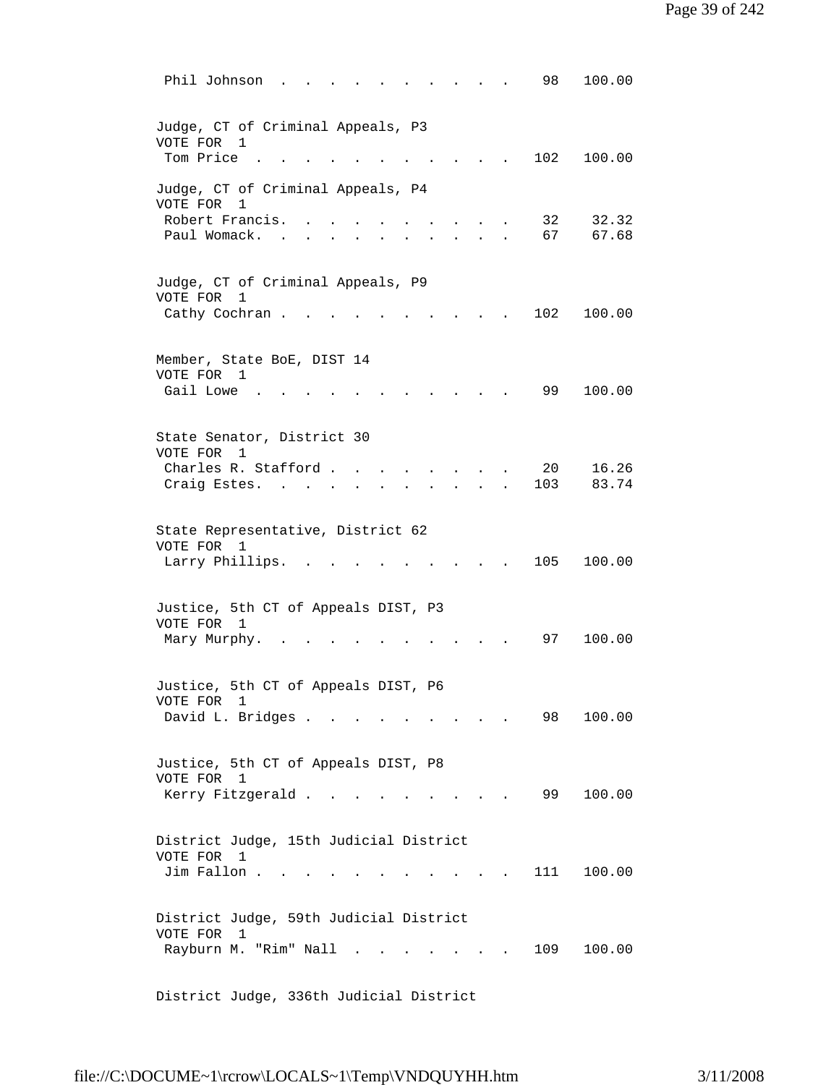| Phil Johnson<br>100.00<br>98                                                                                                                     |
|--------------------------------------------------------------------------------------------------------------------------------------------------|
| Judge, CT of Criminal Appeals, P3<br>VOTE FOR<br>1<br>Tom Price<br>102<br>100.00                                                                 |
| Judge, CT of Criminal Appeals, P4<br>VOTE FOR<br>1<br>Robert Francis.<br>32<br>32.32<br>Paul Womack.<br>67<br>67.68                              |
| Judge, CT of Criminal Appeals, P9<br>VOTE FOR<br>1<br>Cathy Cochran.<br>102<br>100.00                                                            |
| Member, State BoE, DIST 14<br>VOTE FOR<br>1<br>Gail Lowe<br>99<br>100.00                                                                         |
| State Senator, District 30<br>VOTE FOR 1<br>16.26<br>Charles R. Stafford.<br>20<br>83.74<br>Craig Estes.<br>103                                  |
| State Representative, District 62<br>VOTE FOR 1<br>Larry Phillips.<br>100.00<br>105                                                              |
| Justice, 5th CT of Appeals DIST, P3<br>VOTE FOR 1<br>97<br>100.00<br>Mary Murphy.                                                                |
| Justice, 5th CT of Appeals DIST, P6<br>VOTE FOR<br>1<br>David L. Bridges<br>100.00<br>98                                                         |
| Justice, 5th CT of Appeals DIST, P8<br>VOTE FOR 1<br>Kerry Fitzgerald<br>99<br>100.00                                                            |
| District Judge, 15th Judicial District<br>VOTE FOR<br>1<br>Jim Fallon.<br>111<br>100.00                                                          |
| District Judge, 59th Judicial District<br>VOTE FOR<br>1<br>Rayburn M. "Rim" Nall<br>109<br>100.00<br>$\sim$<br><b>Contract Contract Contract</b> |

District Judge, 336th Judicial District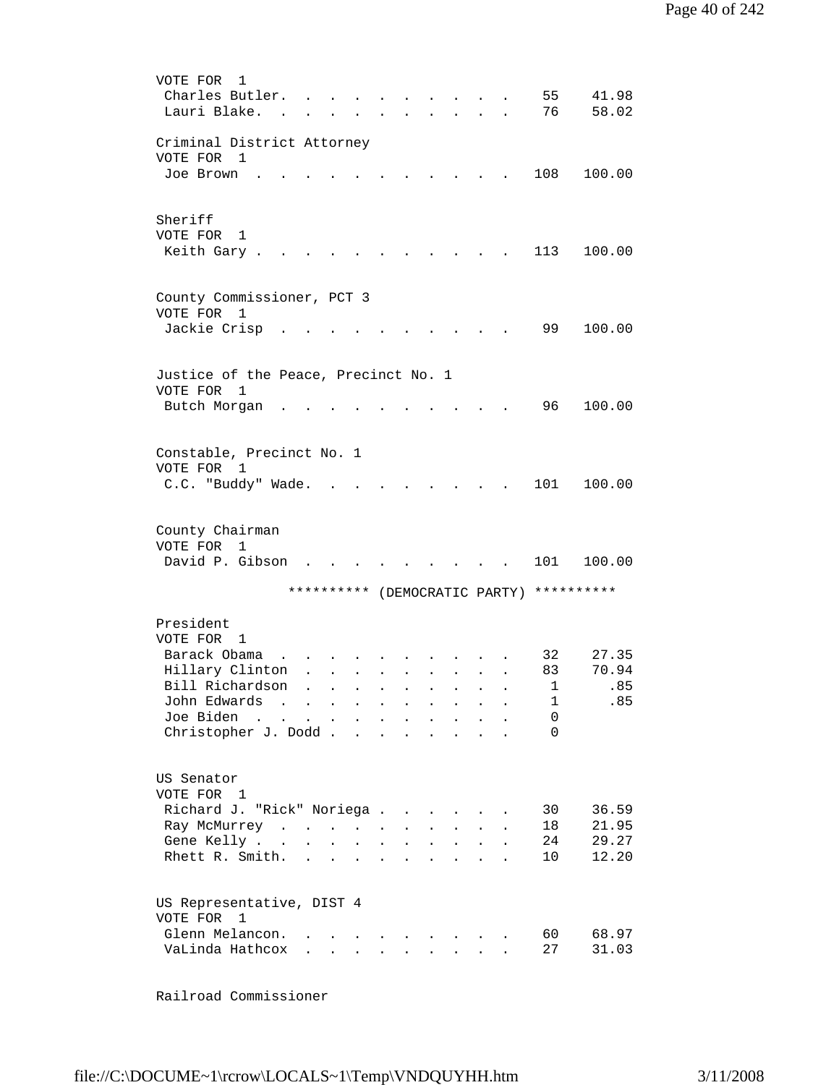```
 VOTE FOR 1 
         Charles Butler. . . . . . . . . . 55 41.98
         Lauri Blake. . . . . . . . . . . . 76 58.02
         Criminal District Attorney 
         VOTE FOR 1 
         Joe Brown . . . . . . . . . . . 108 100.00
         Sheriff 
         VOTE FOR 1 
         Keith Gary . . . . . . . . . . . 113 100.00
         County Commissioner, PCT 3 
         VOTE FOR 1 
         Jackie Crisp............. 99 100.00
         Justice of the Peace, Precinct No. 1 
         VOTE FOR 1 
         Butch Morgan . . . . . . . . . . 96 100.00
         Constable, Precinct No. 1 
         VOTE FOR 1 
         C.C. "Buddy" Wade. . . . . . . . . 101 100.00
         County Chairman 
         VOTE FOR 1 
         David P. Gibson . . . . . . . . . 101 100.00
                        ********** (DEMOCRATIC PARTY) ********** 
         President 
         VOTE FOR 1 
         Barack Obama . . . . . . . . . . 32 27.35
         Hillary Clinton . . . . . . . . . 83 70.94<br>Bill Richardson . . . . . . . . . 1 .85<br>John Edwards . . . . . . . . . . 1 .85
         Bill Richardson . . . . . . . . . .
         John Edwards . . . . . . . . . .
         Joe Biden . . . . . . . . . . . . 0<br>Christopher J. Dodd . . . . . . . . 0
         Christopher J. Dodd . . . . . . . .
         US Senator 
         VOTE FOR 1 
 Richard J. "Rick" Noriega . . . . . . 30 36.59 
 Ray McMurrey . . . . . . . . . . 18 21.95 
         Gene Kelly . . . . . . . . . . . 24 29.27
         Rhett R. Smith. . . . . . . . . . 10 12.20
         US Representative, DIST 4 
         VOTE FOR 1 
         Glenn Melancon. . . . . . . . . . . 60 68.97
         VaLinda Hathcox . . . . . . . . . 27 31.03
```
Railroad Commissioner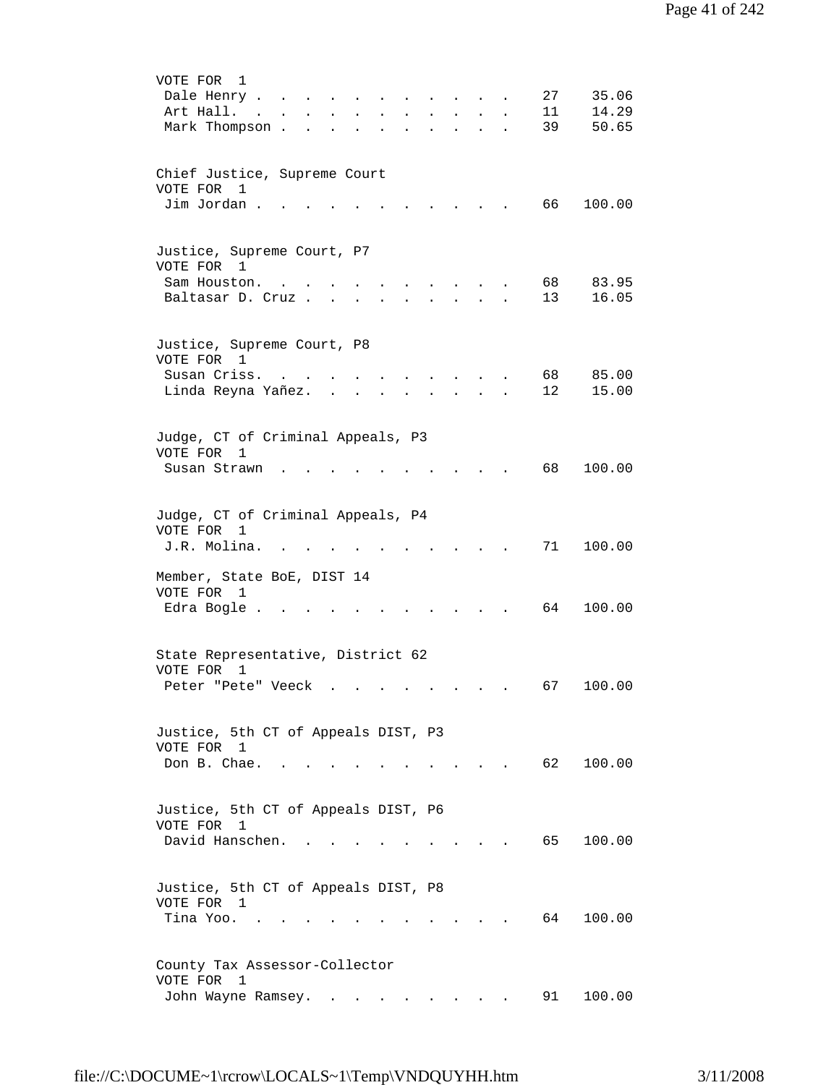| VOTE FOR<br>1<br>27<br>35.06<br>Dale Henry .<br>14.29<br>Art Hall.<br>11<br>$\mathbf{r}$ , $\mathbf{r}$ , $\mathbf{r}$ , $\mathbf{r}$<br><b>Contract Contract Contract</b><br>$\ddot{\phantom{a}}$<br>39<br>50.65<br>Mark Thompson.<br>$\sim 100$<br>$\mathcal{L}^{\text{max}}$ and $\mathcal{L}^{\text{max}}$<br>$\mathbf{L} = \mathbf{0}$<br>$\bullet$<br>$\bullet$<br>$\ddot{\phantom{a}}$ |  |
|-----------------------------------------------------------------------------------------------------------------------------------------------------------------------------------------------------------------------------------------------------------------------------------------------------------------------------------------------------------------------------------------------|--|
| Chief Justice, Supreme Court<br>VOTE FOR 1<br>Jim Jordan.<br>66<br>100.00                                                                                                                                                                                                                                                                                                                     |  |
| Justice, Supreme Court, P7<br>VOTE FOR 1<br>68<br>83.95<br>Sam Houston.<br>Baltasar D. Cruz.<br>13<br>16.05                                                                                                                                                                                                                                                                                   |  |
| Justice, Supreme Court, P8<br>VOTE FOR 1<br>Susan Criss.<br>68 —<br>85.00<br>$\sim$<br>$\mathbf{r} = \mathbf{r} + \mathbf{r} + \mathbf{r}$<br>Linda Reyna Yañez.<br>12<br>15.00<br>$\mathbf{L} = \mathbf{L}$<br><b>All Andre</b><br>$\sim$<br>$\sim$<br>$\ddot{\phantom{0}}$                                                                                                                  |  |
| Judge, CT of Criminal Appeals, P3<br>VOTE FOR<br>1<br>68<br>100.00<br>Susan Strawn                                                                                                                                                                                                                                                                                                            |  |
| Judge, CT of Criminal Appeals, P4<br>VOTE FOR<br>1<br>71<br>J.R. Molina.<br>100.00                                                                                                                                                                                                                                                                                                            |  |
| Member, State BoE, DIST 14<br>VOTE FOR 1<br>Edra Bogle .<br>64<br>100.00                                                                                                                                                                                                                                                                                                                      |  |
| State Representative, District 62<br>VOTE FOR<br>1<br>100.00<br>Peter "Pete" Veeck<br>67<br>the contract of the contract of the contract of the contract of the contract of the contract of the contract of                                                                                                                                                                                   |  |
| Justice, 5th CT of Appeals DIST, P3<br>VOTE FOR 1<br>Don B. Chae.<br>62 100.00<br>$\mathcal{L}(\mathcal{A})$ , and $\mathcal{L}(\mathcal{A})$ , and $\mathcal{L}(\mathcal{A})$                                                                                                                                                                                                                |  |
| Justice, 5th CT of Appeals DIST, P6<br>VOTE FOR<br>1<br>David Hanschen.<br>65 —<br>100.00<br>$\sim$ $\sim$ $\sim$                                                                                                                                                                                                                                                                             |  |
| Justice, 5th CT of Appeals DIST, P8<br>VOTE FOR 1<br>Tina Yoo<br>64<br>100.00                                                                                                                                                                                                                                                                                                                 |  |
| County Tax Assessor-Collector<br>VOTE FOR<br>$\mathbf{1}$<br>100.00<br>John Wayne Ramsey.<br>91                                                                                                                                                                                                                                                                                               |  |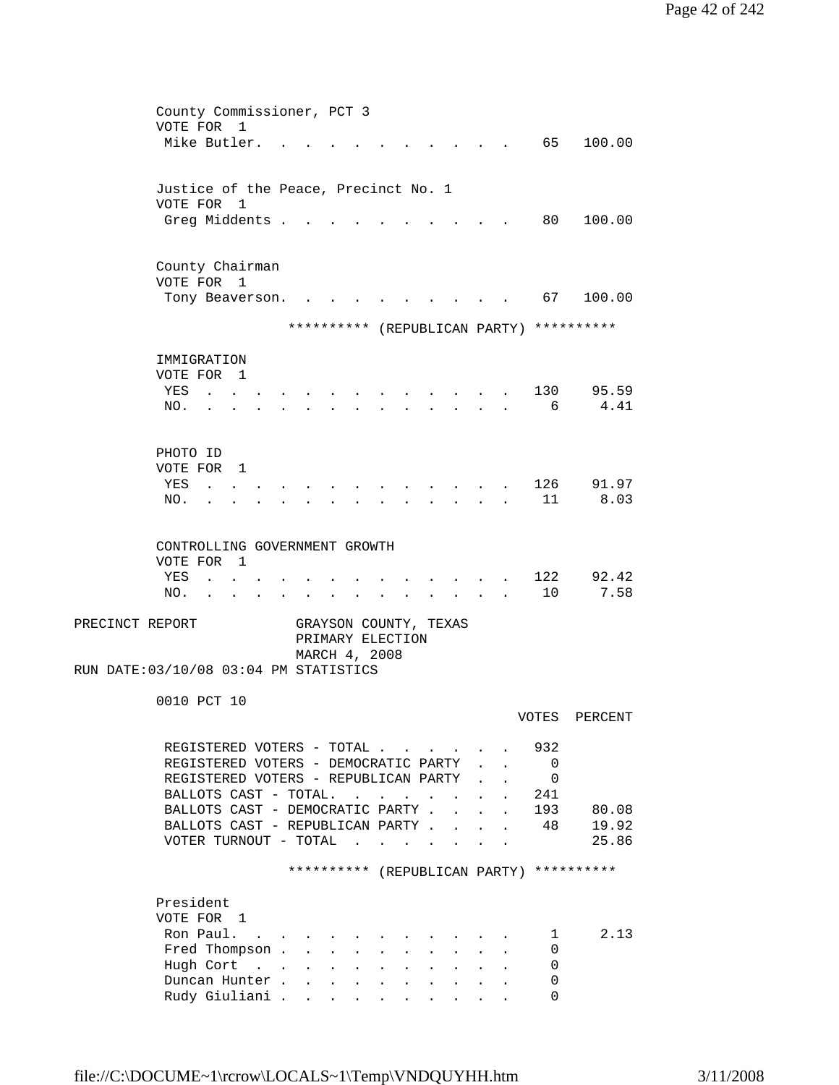| County Commissioner, PCT 3                                                                                                 |                                            |  |              |         |  |  |  |  |  |  |  |  |
|----------------------------------------------------------------------------------------------------------------------------|--------------------------------------------|--|--------------|---------|--|--|--|--|--|--|--|--|
| VOTE FOR<br>1                                                                                                              |                                            |  |              |         |  |  |  |  |  |  |  |  |
| Mike Butler.                                                                                                               |                                            |  | 65 —         | 100.00  |  |  |  |  |  |  |  |  |
|                                                                                                                            |                                            |  |              |         |  |  |  |  |  |  |  |  |
|                                                                                                                            |                                            |  |              |         |  |  |  |  |  |  |  |  |
| Justice of the Peace, Precinct No. 1                                                                                       |                                            |  |              |         |  |  |  |  |  |  |  |  |
| VOTE FOR 1                                                                                                                 |                                            |  |              |         |  |  |  |  |  |  |  |  |
| Greg Middents .                                                                                                            |                                            |  | 80           | 100.00  |  |  |  |  |  |  |  |  |
|                                                                                                                            |                                            |  |              |         |  |  |  |  |  |  |  |  |
|                                                                                                                            |                                            |  |              |         |  |  |  |  |  |  |  |  |
| County Chairman                                                                                                            |                                            |  |              |         |  |  |  |  |  |  |  |  |
| VOTE FOR 1                                                                                                                 |                                            |  |              |         |  |  |  |  |  |  |  |  |
| Tony Beaverson.                                                                                                            |                                            |  | 67           | 100.00  |  |  |  |  |  |  |  |  |
|                                                                                                                            |                                            |  |              |         |  |  |  |  |  |  |  |  |
| ********** (REPUBLICAN PARTY) **********                                                                                   |                                            |  |              |         |  |  |  |  |  |  |  |  |
| IMMIGRATION                                                                                                                |                                            |  |              |         |  |  |  |  |  |  |  |  |
| VOTE FOR 1                                                                                                                 |                                            |  |              |         |  |  |  |  |  |  |  |  |
| YES                                                                                                                        |                                            |  | 130          | 95.59   |  |  |  |  |  |  |  |  |
| $\sim$<br><b>Contract Contract</b>                                                                                         |                                            |  | 6            | 4.41    |  |  |  |  |  |  |  |  |
| NO.                                                                                                                        |                                            |  |              |         |  |  |  |  |  |  |  |  |
|                                                                                                                            |                                            |  |              |         |  |  |  |  |  |  |  |  |
|                                                                                                                            |                                            |  |              |         |  |  |  |  |  |  |  |  |
| PHOTO ID                                                                                                                   |                                            |  |              |         |  |  |  |  |  |  |  |  |
| VOTE FOR 1                                                                                                                 |                                            |  |              |         |  |  |  |  |  |  |  |  |
| YES                                                                                                                        |                                            |  | 126          | 91.97   |  |  |  |  |  |  |  |  |
| NO.                                                                                                                        |                                            |  | 11           | 8.03    |  |  |  |  |  |  |  |  |
|                                                                                                                            |                                            |  |              |         |  |  |  |  |  |  |  |  |
| CONTROLLING GOVERNMENT GROWTH                                                                                              |                                            |  |              |         |  |  |  |  |  |  |  |  |
|                                                                                                                            |                                            |  |              |         |  |  |  |  |  |  |  |  |
| VOTE FOR<br>$\overline{1}$                                                                                                 |                                            |  |              |         |  |  |  |  |  |  |  |  |
| YES                                                                                                                        |                                            |  | 122          | 92.42   |  |  |  |  |  |  |  |  |
| NO.<br>$\sim$<br>$\bullet$ .<br><br><br><br><br><br><br><br><br><br><br><br><br>$\bullet$ . $\bullet$                      |                                            |  | 10           | 7.58    |  |  |  |  |  |  |  |  |
|                                                                                                                            |                                            |  |              |         |  |  |  |  |  |  |  |  |
| PRECINCT REPORT<br>GRAYSON COUNTY, TEXAS<br>PRIMARY ELECTION                                                               |                                            |  |              |         |  |  |  |  |  |  |  |  |
| MARCH 4, 2008                                                                                                              |                                            |  |              |         |  |  |  |  |  |  |  |  |
| RUN DATE: 03/10/08 03:04 PM STATISTICS                                                                                     |                                            |  |              |         |  |  |  |  |  |  |  |  |
|                                                                                                                            |                                            |  |              |         |  |  |  |  |  |  |  |  |
|                                                                                                                            |                                            |  |              |         |  |  |  |  |  |  |  |  |
| 0010 PCT 10                                                                                                                |                                            |  |              |         |  |  |  |  |  |  |  |  |
|                                                                                                                            |                                            |  | VOTES        | PERCENT |  |  |  |  |  |  |  |  |
| REGISTERED VOTERS - TOTAL                                                                                                  |                                            |  | 932          |         |  |  |  |  |  |  |  |  |
|                                                                                                                            |                                            |  | 0            |         |  |  |  |  |  |  |  |  |
| REGISTERED VOTERS - DEMOCRATIC PARTY                                                                                       |                                            |  |              |         |  |  |  |  |  |  |  |  |
| REGISTERED VOTERS - REPUBLICAN PARTY                                                                                       |                                            |  | $\Omega$     |         |  |  |  |  |  |  |  |  |
| BALLOTS CAST - TOTAL.<br>$\ddot{\phantom{a}}$<br>$\ddot{\phantom{a}}$                                                      |                                            |  | 241          |         |  |  |  |  |  |  |  |  |
| BALLOTS CAST - DEMOCRATIC PARTY.                                                                                           | $\mathbf{r} = \mathbf{r} \cdot \mathbf{r}$ |  | 193          | 80.08   |  |  |  |  |  |  |  |  |
| BALLOTS CAST - REPUBLICAN PARTY                                                                                            |                                            |  | 48           | 19.92   |  |  |  |  |  |  |  |  |
| VOTER TURNOUT - TOTAL<br>and the contract of the contract of the contract of the contract of the contract of               |                                            |  |              | 25.86   |  |  |  |  |  |  |  |  |
|                                                                                                                            |                                            |  |              |         |  |  |  |  |  |  |  |  |
| ********** (REPUBLICAN PARTY) **********                                                                                   |                                            |  |              |         |  |  |  |  |  |  |  |  |
|                                                                                                                            |                                            |  |              |         |  |  |  |  |  |  |  |  |
| President                                                                                                                  |                                            |  |              |         |  |  |  |  |  |  |  |  |
| VOTE FOR 1                                                                                                                 |                                            |  |              |         |  |  |  |  |  |  |  |  |
| Ron Paul.<br><b>College</b>                                                                                                |                                            |  | $\mathbf{1}$ | 2.13    |  |  |  |  |  |  |  |  |
| Fred Thompson .<br>$\mathbf{r}$<br>$\mathbf{L}$<br>$\mathbf{A}$                                                            |                                            |  | 0            |         |  |  |  |  |  |  |  |  |
| Hugh Cort<br>$\mathbf{L}$<br>$\ddot{\phantom{a}}$<br>$\mathbf{L}$<br>$\ddot{\phantom{a}}$                                  |                                            |  | 0            |         |  |  |  |  |  |  |  |  |
| Duncan Hunter .<br>$\mathbf{r}$<br>$\cdot$ $\cdot$ $\cdot$<br>$\mathbf{L}$<br>$\ddot{\phantom{a}}$                         |                                            |  | 0            |         |  |  |  |  |  |  |  |  |
| Rudy Giuliani .<br>$\mathbf{r} = \mathbf{r} + \mathbf{r} + \mathbf{r} + \mathbf{r} + \mathbf{r} + \mathbf{r} + \mathbf{r}$ |                                            |  | 0            |         |  |  |  |  |  |  |  |  |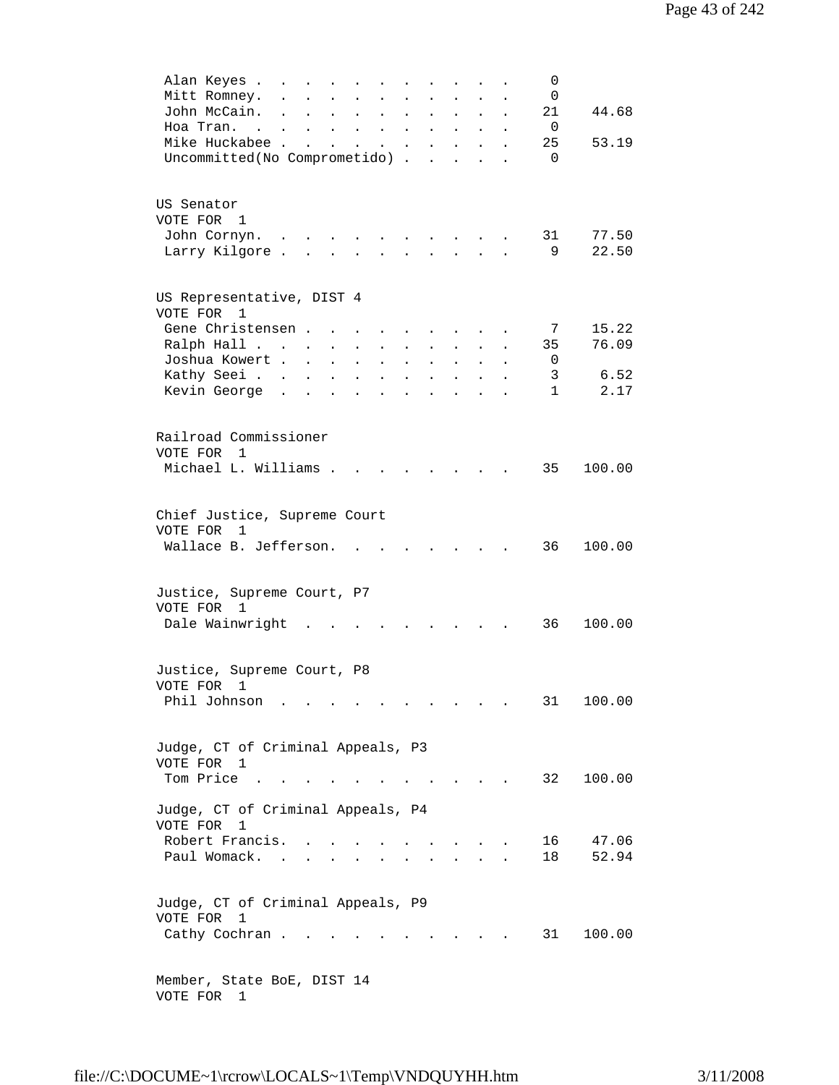| Alan Keyes .                      | and the contract of the state of                                                                                |                                                                              |                           |                                                           | $\ddot{\phantom{a}}$      | <b>Contract Contract</b>                                                          |                                          |                      | 0            |        |
|-----------------------------------|-----------------------------------------------------------------------------------------------------------------|------------------------------------------------------------------------------|---------------------------|-----------------------------------------------------------|---------------------------|-----------------------------------------------------------------------------------|------------------------------------------|----------------------|--------------|--------|
| Mitt Romney.                      | $\ddot{\phantom{a}}$                                                                                            | $\sim$                                                                       | $\mathbf{L} = \mathbf{L}$ |                                                           | $\ddot{\phantom{a}}$      |                                                                                   | <b>All Strategies</b>                    |                      | 0            |        |
| John McCain.                      | $\sim$                                                                                                          | $\mathbf{r}$ , $\mathbf{r}$ , $\mathbf{r}$                                   |                           | $\mathbf{L}^{\text{max}}$ , and $\mathbf{L}^{\text{max}}$ | $\mathbf{L}^{\text{max}}$ |                                                                                   | $\mathbf{L} = \mathbf{L}$                | $\ddot{\phantom{a}}$ | 21           | 44.68  |
| Hoa Tran.                         | the contract of the contract of the contract of the contract of the contract of the contract of the contract of |                                                                              |                           |                                                           |                           |                                                                                   |                                          | $\bullet$            | 0            |        |
| Mike Huckabee                     |                                                                                                                 |                                                                              |                           | <b>All Carl Carl Co.</b>                                  |                           |                                                                                   | $\mathbf{z} = \mathbf{z} + \mathbf{z}$ . | $\ddot{\phantom{a}}$ | 25           | 53.19  |
| Uncommitted(No Comprometido).     |                                                                                                                 |                                                                              |                           |                                                           |                           | $\ddot{\phantom{a}}$                                                              | $\sim 10$                                |                      | $\Omega$     |        |
|                                   |                                                                                                                 |                                                                              |                           |                                                           |                           |                                                                                   |                                          |                      |              |        |
|                                   |                                                                                                                 |                                                                              |                           |                                                           |                           |                                                                                   |                                          |                      |              |        |
| US Senator                        |                                                                                                                 |                                                                              |                           |                                                           |                           |                                                                                   |                                          |                      |              |        |
| VOTE FOR 1                        |                                                                                                                 |                                                                              |                           |                                                           |                           |                                                                                   |                                          |                      |              |        |
| John Cornyn.                      |                                                                                                                 |                                                                              |                           |                                                           |                           |                                                                                   |                                          |                      | 31           | 77.50  |
| Larry Kilgore                     |                                                                                                                 |                                                                              |                           |                                                           |                           |                                                                                   |                                          | $\ddot{\phantom{a}}$ | 9            | 22.50  |
|                                   |                                                                                                                 |                                                                              |                           |                                                           |                           |                                                                                   |                                          |                      |              |        |
|                                   |                                                                                                                 |                                                                              |                           |                                                           |                           |                                                                                   |                                          |                      |              |        |
| US Representative, DIST 4         |                                                                                                                 |                                                                              |                           |                                                           |                           |                                                                                   |                                          |                      |              |        |
| VOTE FOR 1                        |                                                                                                                 |                                                                              |                           |                                                           |                           |                                                                                   |                                          |                      |              |        |
| Gene Christensen                  |                                                                                                                 |                                                                              |                           | $\mathbf{r} = \mathbf{r} + \mathbf{r}$ .                  |                           | <b>All Cards</b>                                                                  |                                          | $\sim 100$           | 7            | 15.22  |
| Ralph Hall                        |                                                                                                                 | $\mathcal{L}^{\text{max}}$                                                   | $\sim$                    | $\ddot{\phantom{0}}$                                      | $\ddot{\phantom{0}}$      | $\ddot{\phantom{0}}$                                                              |                                          | $\ddot{\phantom{0}}$ | 35           | 76.09  |
| Joshua Kowert                     |                                                                                                                 |                                                                              |                           | $\mathbf{L}$ and $\mathbf{L}$                             |                           | $\mathbf{r} = \mathbf{r} \mathbf{r}$ , where $\mathbf{r} = \mathbf{r} \mathbf{r}$ |                                          | $\mathbf{L}$         | 0            |        |
| Kathy Seei.                       |                                                                                                                 |                                                                              |                           |                                                           |                           |                                                                                   |                                          | $\mathbf{L}$         | 3            | 6.52   |
| Kevin George                      |                                                                                                                 |                                                                              |                           |                                                           |                           |                                                                                   |                                          | $\ddot{\phantom{a}}$ | $\mathbf{1}$ | 2.17   |
|                                   |                                                                                                                 |                                                                              |                           |                                                           |                           |                                                                                   |                                          |                      |              |        |
|                                   |                                                                                                                 |                                                                              |                           |                                                           |                           |                                                                                   |                                          |                      |              |        |
| Railroad Commissioner             |                                                                                                                 |                                                                              |                           |                                                           |                           |                                                                                   |                                          |                      |              |        |
| VOTE FOR 1                        |                                                                                                                 |                                                                              |                           |                                                           |                           |                                                                                   |                                          |                      |              |        |
| Michael L. Williams               |                                                                                                                 |                                                                              |                           |                                                           |                           |                                                                                   |                                          |                      | 35           | 100.00 |
|                                   |                                                                                                                 |                                                                              |                           |                                                           |                           |                                                                                   |                                          |                      |              |        |
|                                   |                                                                                                                 |                                                                              |                           |                                                           |                           |                                                                                   |                                          |                      |              |        |
| Chief Justice, Supreme Court      |                                                                                                                 |                                                                              |                           |                                                           |                           |                                                                                   |                                          |                      |              |        |
| VOTE FOR<br>1                     |                                                                                                                 |                                                                              |                           |                                                           |                           |                                                                                   |                                          |                      |              |        |
| Wallace B. Jefferson.             |                                                                                                                 |                                                                              |                           |                                                           |                           | $\sim$                                                                            | <b>Contract Contract</b>                 |                      | 36           | 100.00 |
|                                   |                                                                                                                 |                                                                              |                           |                                                           |                           |                                                                                   |                                          |                      |              |        |
|                                   |                                                                                                                 |                                                                              |                           |                                                           |                           |                                                                                   |                                          |                      |              |        |
| Justice, Supreme Court, P7        |                                                                                                                 |                                                                              |                           |                                                           |                           |                                                                                   |                                          |                      |              |        |
| VOTE FOR 1                        |                                                                                                                 |                                                                              |                           |                                                           |                           |                                                                                   |                                          |                      |              |        |
| Dale Wainwright                   |                                                                                                                 |                                                                              |                           |                                                           |                           |                                                                                   |                                          |                      | 36           | 100.00 |
|                                   |                                                                                                                 |                                                                              |                           |                                                           |                           |                                                                                   |                                          |                      |              |        |
|                                   |                                                                                                                 |                                                                              |                           |                                                           |                           |                                                                                   |                                          |                      |              |        |
| Justice, Supreme Court, P8        |                                                                                                                 |                                                                              |                           |                                                           |                           |                                                                                   |                                          |                      |              |        |
| VOTE FOR 1                        |                                                                                                                 |                                                                              |                           |                                                           |                           |                                                                                   |                                          |                      |              |        |
|                                   |                                                                                                                 |                                                                              |                           |                                                           |                           |                                                                                   |                                          |                      |              |        |
| Phil Johnson                      | the contract of the contract of the contract of the contract of the contract of the contract of the contract of |                                                                              |                           |                                                           |                           |                                                                                   |                                          |                      | 31           | 100.00 |
|                                   |                                                                                                                 |                                                                              |                           |                                                           |                           |                                                                                   |                                          |                      |              |        |
|                                   |                                                                                                                 |                                                                              |                           |                                                           |                           |                                                                                   |                                          |                      |              |        |
| Judge, CT of Criminal Appeals, P3 |                                                                                                                 |                                                                              |                           |                                                           |                           |                                                                                   |                                          |                      |              |        |
| VOTE FOR 1                        |                                                                                                                 |                                                                              |                           |                                                           |                           |                                                                                   |                                          |                      |              |        |
| Tom Price                         |                                                                                                                 |                                                                              |                           | $\ddot{\phantom{a}}$                                      | $\sim$                    | $\mathbf{r}$ , $\mathbf{r}$ , $\mathbf{r}$ , $\mathbf{r}$                         |                                          |                      | 32           | 100.00 |
|                                   |                                                                                                                 |                                                                              |                           |                                                           |                           |                                                                                   |                                          |                      |              |        |
| Judge, CT of Criminal Appeals, P4 |                                                                                                                 |                                                                              |                           |                                                           |                           |                                                                                   |                                          |                      |              |        |
| VOTE FOR<br>1                     |                                                                                                                 |                                                                              |                           |                                                           |                           |                                                                                   |                                          |                      |              |        |
| Robert Francis.                   |                                                                                                                 | $\mathbf{L} = \mathbf{L}$                                                    | $\ddot{\phantom{a}}$      |                                                           |                           |                                                                                   |                                          |                      | 16           | 47.06  |
| Paul Womack.                      | $\sim$                                                                                                          | $\mathbf{r} = \mathbf{r} \cdot \mathbf{r}$ , where $\mathbf{r} = \mathbf{r}$ |                           | $\ddot{\phantom{0}}$                                      |                           |                                                                                   |                                          |                      | 18           | 52.94  |
|                                   |                                                                                                                 |                                                                              |                           |                                                           |                           |                                                                                   |                                          |                      |              |        |
|                                   |                                                                                                                 |                                                                              |                           |                                                           |                           |                                                                                   |                                          |                      |              |        |
| Judge, CT of Criminal Appeals, P9 |                                                                                                                 |                                                                              |                           |                                                           |                           |                                                                                   |                                          |                      |              |        |
| VOTE FOR<br>1                     |                                                                                                                 |                                                                              |                           |                                                           |                           |                                                                                   |                                          |                      |              |        |
| Cathy Cochran                     |                                                                                                                 |                                                                              |                           |                                                           |                           |                                                                                   |                                          |                      | 31           | 100.00 |
|                                   |                                                                                                                 |                                                                              |                           |                                                           |                           |                                                                                   |                                          |                      |              |        |
|                                   |                                                                                                                 |                                                                              |                           |                                                           |                           |                                                                                   |                                          |                      |              |        |
| Member, State BoE, DIST 14        |                                                                                                                 |                                                                              |                           |                                                           |                           |                                                                                   |                                          |                      |              |        |
| VOTE FOR 1                        |                                                                                                                 |                                                                              |                           |                                                           |                           |                                                                                   |                                          |                      |              |        |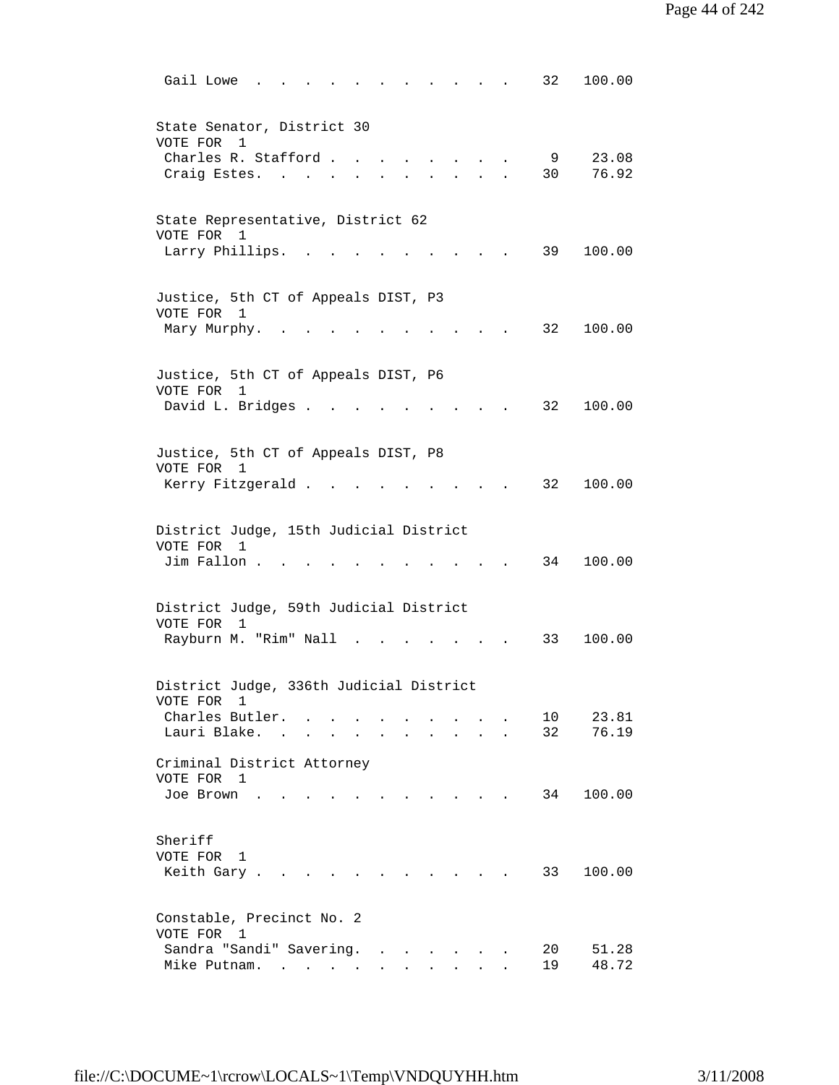| 100.00<br>Gail Lowe<br>32                                                                                                    |
|------------------------------------------------------------------------------------------------------------------------------|
| State Senator, District 30<br>VOTE FOR<br>1                                                                                  |
| Charles R. Stafford.<br>9<br>23.08<br>76.92<br>30<br>Craig Estes. .                                                          |
| State Representative, District 62<br>VOTE FOR 1                                                                              |
| Larry Phillips.<br>39<br>100.00<br><b>Contract Contract Contract Contract</b>                                                |
| Justice, 5th CT of Appeals DIST, P3<br>VOTE FOR 1<br>32<br>100.00<br>Mary Murphy.                                            |
|                                                                                                                              |
| Justice, 5th CT of Appeals DIST, P6<br>VOTE FOR<br>1<br>David L. Bridges<br>32<br>100.00                                     |
| Justice, 5th CT of Appeals DIST, P8                                                                                          |
| VOTE FOR 1<br>Kerry Fitzgerald.<br>32<br>100.00                                                                              |
| District Judge, 15th Judicial District<br>VOTE FOR 1                                                                         |
| 100.00<br>Jim Fallon<br>34                                                                                                   |
| District Judge, 59th Judicial District<br>VOTE FOR<br>$\mathbf{1}$                                                           |
| Rayburn M. "Rim" Nall<br>33<br>100.00<br>$\sim$                                                                              |
| District Judge, 336th Judicial District<br>VOTE FOR<br>1                                                                     |
| Charles Butler.<br>10<br>23.81<br>76.19<br>Lauri Blake.<br>32<br>$\sim$                                                      |
| Criminal District Attorney<br>VOTE FOR 1<br>100.00<br>34<br>Joe Brown<br>$\sim$ $\sim$ $\sim$<br>$\sim$ $\sim$ $\sim$ $\sim$ |
|                                                                                                                              |
| Sheriff<br>VOTE FOR 1<br>33<br>100.00<br>Keith Gary.                                                                         |
| Constable, Precinct No. 2<br>VOTE FOR 1                                                                                      |
| Sandra "Sandi" Savering.<br>20<br>51.28<br>48.72<br>Mike Putnam.<br>19                                                       |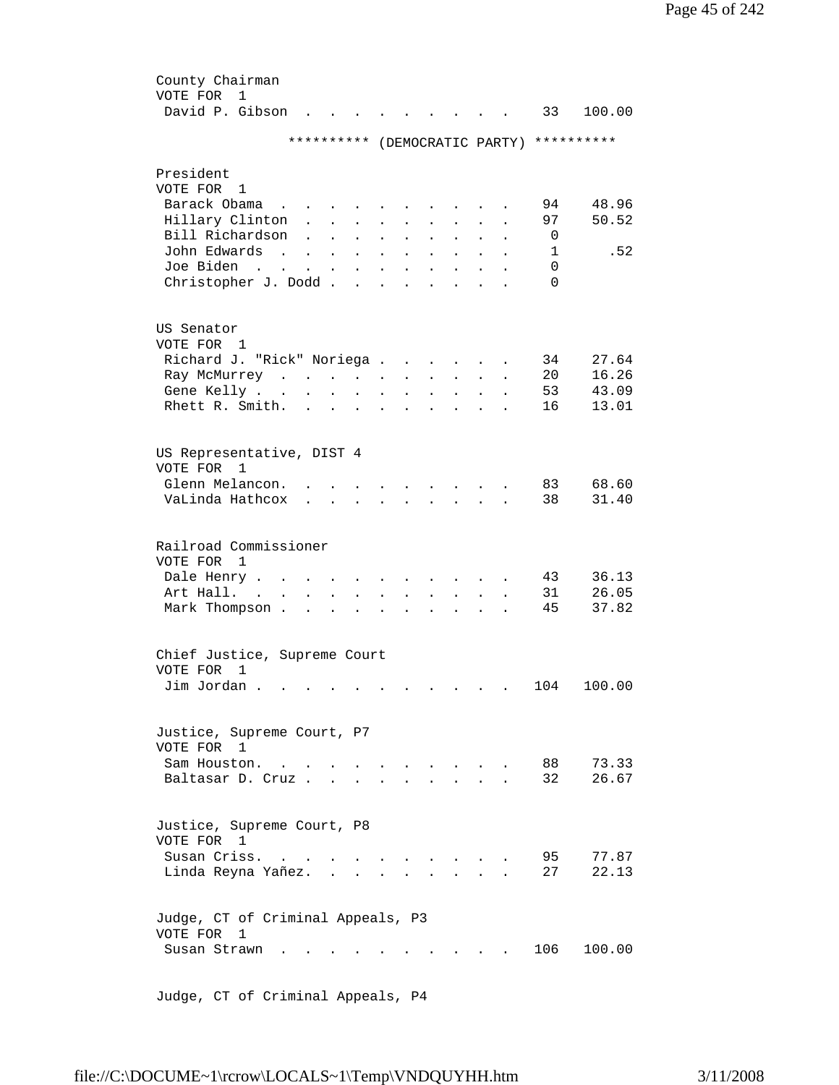| County Chairman                   |                                                                                                                                                                                                                                   |                            |                      |                                                                                         |                      |                      |                                            |                      |                      |                      |          |                               |
|-----------------------------------|-----------------------------------------------------------------------------------------------------------------------------------------------------------------------------------------------------------------------------------|----------------------------|----------------------|-----------------------------------------------------------------------------------------|----------------------|----------------------|--------------------------------------------|----------------------|----------------------|----------------------|----------|-------------------------------|
| VOTE FOR<br>$\mathbf{1}$          |                                                                                                                                                                                                                                   |                            |                      |                                                                                         |                      |                      |                                            |                      |                      |                      |          |                               |
| David P. Gibson                   |                                                                                                                                                                                                                                   |                            |                      |                                                                                         |                      |                      |                                            |                      |                      |                      | 33       | 100.00                        |
|                                   |                                                                                                                                                                                                                                   |                            |                      |                                                                                         |                      |                      |                                            |                      |                      |                      |          |                               |
|                                   |                                                                                                                                                                                                                                   | **********                 |                      |                                                                                         |                      |                      |                                            |                      |                      |                      |          | (DEMOCRATIC PARTY) ********** |
|                                   |                                                                                                                                                                                                                                   |                            |                      |                                                                                         |                      |                      |                                            |                      |                      |                      |          |                               |
| President                         |                                                                                                                                                                                                                                   |                            |                      |                                                                                         |                      |                      |                                            |                      |                      |                      |          |                               |
| VOTE FOR<br>1                     |                                                                                                                                                                                                                                   |                            |                      |                                                                                         |                      |                      |                                            |                      |                      |                      |          |                               |
| Barack Obama                      | $\mathbf{r}$ , $\mathbf{r}$ , $\mathbf{r}$                                                                                                                                                                                        |                            | $\sim$               |                                                                                         |                      |                      |                                            |                      |                      |                      | 94       | 48.96                         |
| Hillary Clinton                   |                                                                                                                                                                                                                                   | $\mathcal{L}^{\text{max}}$ | $\sim$               | $\sim$                                                                                  |                      | $\ddot{\phantom{0}}$ | $\ddot{\phantom{0}}$                       | $\ddot{\phantom{0}}$ |                      |                      | 97       | 50.52                         |
| Bill Richardson                   |                                                                                                                                                                                                                                   | $\mathbf{L}$               | $\sim 10^{-10}$      | $\mathcal{L}^{\text{max}}$                                                              | $\ddot{\phantom{a}}$ | $\sim$               | $\sim$                                     | $\ddot{\phantom{0}}$ | $\ddot{\phantom{a}}$ | $\ddot{\phantom{a}}$ | 0        |                               |
| John Edwards                      | $\mathbf{r}$ , $\mathbf{r}$ , $\mathbf{r}$ , $\mathbf{r}$                                                                                                                                                                         |                            |                      |                                                                                         | $\ddot{\phantom{a}}$ | $\sim$               | $\ddot{\phantom{a}}$                       | $\sim$               | $\ddot{\phantom{a}}$ |                      | 1        | .52                           |
| Joe Biden                         | $\mathbf{r}$ . The set of the set of the set of the set of the set of the set of the set of the set of the set of the set of the set of the set of the set of the set of the set of the set of the set of the set of the set of t |                            |                      |                                                                                         | $\sim 10^{-10}$      |                      | $\mathbf{L} = \mathbf{L}$                  | $\ddot{\phantom{0}}$ | $\ddot{\phantom{a}}$ |                      | 0        |                               |
| Christopher J. Dodd               |                                                                                                                                                                                                                                   |                            |                      |                                                                                         |                      |                      | $\cdot$ $\cdot$ $\cdot$ $\cdot$ $\cdot$    |                      |                      |                      | $\Omega$ |                               |
|                                   |                                                                                                                                                                                                                                   |                            |                      |                                                                                         |                      |                      |                                            |                      |                      |                      |          |                               |
|                                   |                                                                                                                                                                                                                                   |                            |                      |                                                                                         |                      |                      |                                            |                      |                      |                      |          |                               |
| US Senator                        |                                                                                                                                                                                                                                   |                            |                      |                                                                                         |                      |                      |                                            |                      |                      |                      |          |                               |
| VOTE FOR 1                        |                                                                                                                                                                                                                                   |                            |                      |                                                                                         |                      |                      |                                            |                      |                      |                      |          |                               |
| Richard J. "Rick" Noriega         |                                                                                                                                                                                                                                   |                            |                      |                                                                                         |                      |                      |                                            |                      | $\sim$ $-$           |                      | 34       | 27.64                         |
| Ray McMurrey                      |                                                                                                                                                                                                                                   |                            |                      |                                                                                         |                      |                      |                                            |                      | $\sim$               | $\ddot{\phantom{a}}$ | 20       | 16.26                         |
| Gene Kelly                        |                                                                                                                                                                                                                                   |                            |                      |                                                                                         | $\ddot{\phantom{a}}$ | $\ddot{\phantom{a}}$ | $\mathbf{r}$ , $\mathbf{r}$ , $\mathbf{r}$ |                      | $\ddot{\phantom{a}}$ |                      | 53       | 43.09                         |
| Rhett R. Smith.                   |                                                                                                                                                                                                                                   |                            |                      | $\mathbf{r}$ , $\mathbf{r}$ , $\mathbf{r}$ , $\mathbf{r}$ , $\mathbf{r}$ , $\mathbf{r}$ |                      |                      |                                            |                      |                      |                      | 16       | 13.01                         |
|                                   |                                                                                                                                                                                                                                   |                            |                      |                                                                                         |                      |                      |                                            |                      |                      |                      |          |                               |
|                                   |                                                                                                                                                                                                                                   |                            |                      |                                                                                         |                      |                      |                                            |                      |                      |                      |          |                               |
| US Representative, DIST 4         |                                                                                                                                                                                                                                   |                            |                      |                                                                                         |                      |                      |                                            |                      |                      |                      |          |                               |
| VOTE FOR<br>1                     |                                                                                                                                                                                                                                   |                            |                      |                                                                                         |                      |                      |                                            |                      |                      |                      |          |                               |
| Glenn Melancon.                   |                                                                                                                                                                                                                                   |                            |                      |                                                                                         |                      |                      |                                            |                      |                      |                      | 83       | 68.60                         |
| VaLinda Hathcox                   |                                                                                                                                                                                                                                   |                            |                      |                                                                                         |                      |                      |                                            |                      |                      |                      | 38       | 31.40                         |
|                                   |                                                                                                                                                                                                                                   |                            |                      |                                                                                         |                      |                      |                                            |                      |                      |                      |          |                               |
|                                   |                                                                                                                                                                                                                                   |                            |                      |                                                                                         |                      |                      |                                            |                      |                      |                      |          |                               |
| Railroad Commissioner             |                                                                                                                                                                                                                                   |                            |                      |                                                                                         |                      |                      |                                            |                      |                      |                      |          |                               |
| VOTE FOR<br>1                     |                                                                                                                                                                                                                                   |                            |                      |                                                                                         |                      |                      |                                            |                      |                      |                      |          |                               |
| Dale Henry                        |                                                                                                                                                                                                                                   |                            |                      |                                                                                         |                      |                      |                                            |                      |                      |                      | 43       | 36.13                         |
| Art Hall.                         |                                                                                                                                                                                                                                   | $\mathbf{L}^{\text{max}}$  | $\bullet$            | $\ddot{\phantom{0}}$                                                                    |                      |                      |                                            |                      |                      |                      | 31       | 26.05                         |
| Mark Thompson .                   |                                                                                                                                                                                                                                   | $\ddot{\phantom{a}}$       | $\ddot{\phantom{a}}$ |                                                                                         |                      |                      |                                            |                      |                      |                      | 45       | 37.82                         |
|                                   |                                                                                                                                                                                                                                   |                            |                      |                                                                                         |                      |                      |                                            |                      |                      |                      |          |                               |
|                                   |                                                                                                                                                                                                                                   |                            |                      |                                                                                         |                      |                      |                                            |                      |                      |                      |          |                               |
| Chief Justice, Supreme Court      |                                                                                                                                                                                                                                   |                            |                      |                                                                                         |                      |                      |                                            |                      |                      |                      |          |                               |
| VOTE FOR<br>1                     |                                                                                                                                                                                                                                   |                            |                      |                                                                                         |                      |                      |                                            |                      |                      |                      |          |                               |
| Jim Jordan                        |                                                                                                                                                                                                                                   |                            |                      |                                                                                         |                      |                      |                                            |                      |                      |                      | 104      | 100.00                        |
|                                   |                                                                                                                                                                                                                                   |                            |                      |                                                                                         |                      |                      |                                            |                      |                      |                      |          |                               |
|                                   |                                                                                                                                                                                                                                   |                            |                      |                                                                                         |                      |                      |                                            |                      |                      |                      |          |                               |
| Justice, Supreme Court, P7        |                                                                                                                                                                                                                                   |                            |                      |                                                                                         |                      |                      |                                            |                      |                      |                      |          |                               |
| VOTE FOR 1                        |                                                                                                                                                                                                                                   |                            |                      |                                                                                         |                      |                      |                                            |                      |                      |                      |          |                               |
| Sam Houston.                      |                                                                                                                                                                                                                                   |                            |                      |                                                                                         |                      |                      | $\mathbf{L} = \mathbf{L} \mathbf{L}$       |                      |                      |                      | 88       | 73.33                         |
| Baltasar D. Cruz.                 |                                                                                                                                                                                                                                   |                            |                      |                                                                                         |                      |                      |                                            |                      |                      |                      | 32       | 26.67                         |
|                                   |                                                                                                                                                                                                                                   |                            |                      |                                                                                         |                      |                      |                                            |                      |                      |                      |          |                               |
|                                   |                                                                                                                                                                                                                                   |                            |                      |                                                                                         |                      |                      |                                            |                      |                      |                      |          |                               |
| Justice, Supreme Court, P8        |                                                                                                                                                                                                                                   |                            |                      |                                                                                         |                      |                      |                                            |                      |                      |                      |          |                               |
| VOTE FOR<br>1                     |                                                                                                                                                                                                                                   |                            |                      |                                                                                         |                      |                      |                                            |                      |                      |                      |          |                               |
| Susan Criss.                      | $\mathbf{r}$ . The set of $\mathbf{r}$                                                                                                                                                                                            |                            |                      |                                                                                         |                      |                      |                                            |                      |                      |                      | 95       | 77.87                         |
| Linda Reyna Yañez. .              |                                                                                                                                                                                                                                   |                            |                      | $\sim$                                                                                  |                      |                      |                                            |                      |                      |                      | 27       | 22.13                         |
|                                   |                                                                                                                                                                                                                                   |                            |                      |                                                                                         |                      |                      |                                            |                      |                      |                      |          |                               |
|                                   |                                                                                                                                                                                                                                   |                            |                      |                                                                                         |                      |                      |                                            |                      |                      |                      |          |                               |
| Judge, CT of Criminal Appeals, P3 |                                                                                                                                                                                                                                   |                            |                      |                                                                                         |                      |                      |                                            |                      |                      |                      |          |                               |
| VOTE FOR<br>1                     |                                                                                                                                                                                                                                   |                            |                      |                                                                                         |                      |                      |                                            |                      |                      |                      |          |                               |
| Susan Strawn                      |                                                                                                                                                                                                                                   |                            |                      |                                                                                         |                      |                      |                                            |                      |                      |                      | 106      | 100.00                        |
|                                   |                                                                                                                                                                                                                                   |                            |                      |                                                                                         |                      |                      |                                            |                      |                      |                      |          |                               |
|                                   |                                                                                                                                                                                                                                   |                            |                      |                                                                                         |                      |                      |                                            |                      |                      |                      |          |                               |

Judge, CT of Criminal Appeals, P4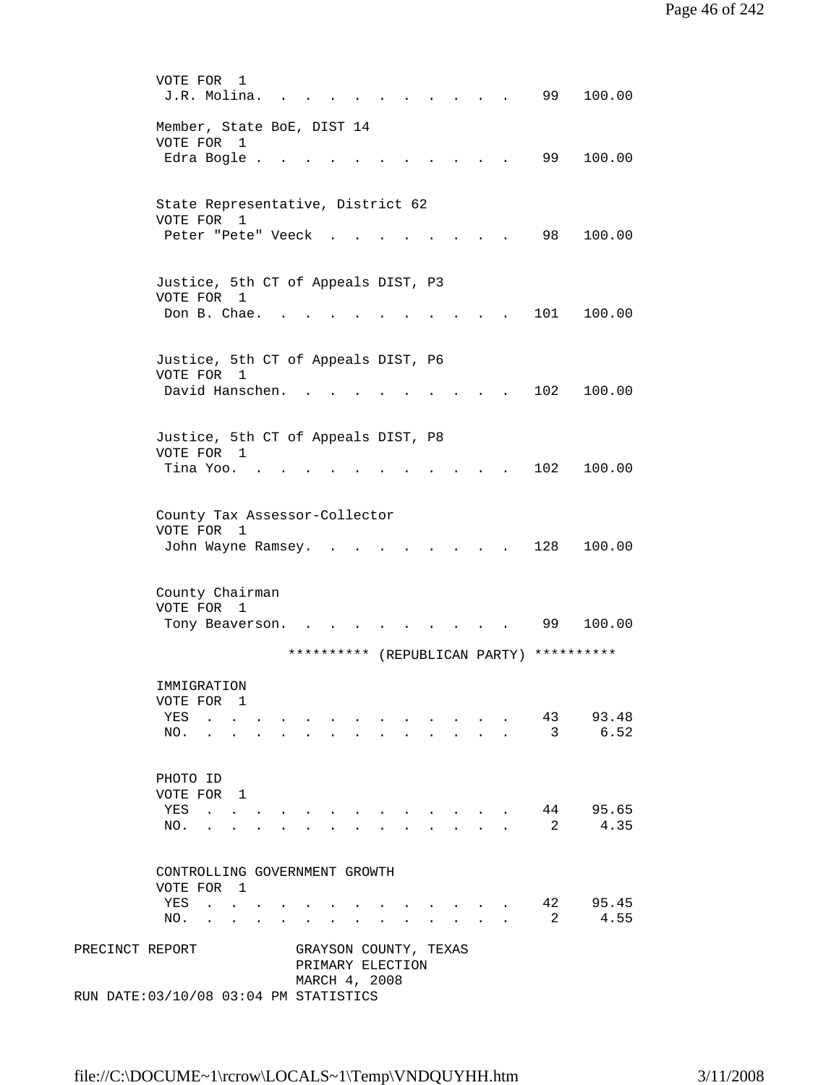|                 | VOTE FOR<br>1<br>99<br>100.00<br>J.R. Molina.                                                                                                                                                                                                                                                                                                                                                                                                                                                                                                                   |  |
|-----------------|-----------------------------------------------------------------------------------------------------------------------------------------------------------------------------------------------------------------------------------------------------------------------------------------------------------------------------------------------------------------------------------------------------------------------------------------------------------------------------------------------------------------------------------------------------------------|--|
|                 | Member, State BoE, DIST 14<br>VOTE FOR<br>$\mathbf{1}$<br>99<br>100.00<br>Edra Bogle .                                                                                                                                                                                                                                                                                                                                                                                                                                                                          |  |
|                 | State Representative, District 62                                                                                                                                                                                                                                                                                                                                                                                                                                                                                                                               |  |
|                 | VOTE FOR 1<br>98<br>Peter "Pete" Veeck<br>100.00                                                                                                                                                                                                                                                                                                                                                                                                                                                                                                                |  |
|                 | Justice, 5th CT of Appeals DIST, P3<br>VOTE FOR 1<br>Don B. Chae.<br>100.00<br>101                                                                                                                                                                                                                                                                                                                                                                                                                                                                              |  |
|                 | Justice, 5th CT of Appeals DIST, P6                                                                                                                                                                                                                                                                                                                                                                                                                                                                                                                             |  |
|                 | VOTE FOR 1<br>David Hanschen.<br>102<br>100.00                                                                                                                                                                                                                                                                                                                                                                                                                                                                                                                  |  |
|                 | Justice, 5th CT of Appeals DIST, P8                                                                                                                                                                                                                                                                                                                                                                                                                                                                                                                             |  |
|                 | VOTE FOR 1<br>Tina Yoo.<br>102<br>100.00                                                                                                                                                                                                                                                                                                                                                                                                                                                                                                                        |  |
|                 | County Tax Assessor-Collector<br>VOTE FOR<br>1<br>John Wayne Ramsey.<br>128<br>100.00<br>$\mathbf{L} = \mathbf{L}$                                                                                                                                                                                                                                                                                                                                                                                                                                              |  |
|                 | County Chairman<br>VOTE FOR 1<br>99<br>100.00<br>Tony Beaverson.                                                                                                                                                                                                                                                                                                                                                                                                                                                                                                |  |
|                 | **********<br>**********<br>(REPUBLICAN PARTY)                                                                                                                                                                                                                                                                                                                                                                                                                                                                                                                  |  |
|                 | IMMIGRATION<br>VOTE FOR 1                                                                                                                                                                                                                                                                                                                                                                                                                                                                                                                                       |  |
|                 | 93.48<br>YES<br>43<br>6.52<br>$\overline{3}$<br>NO.                                                                                                                                                                                                                                                                                                                                                                                                                                                                                                             |  |
|                 | PHOTO ID<br>VOTE FOR 1                                                                                                                                                                                                                                                                                                                                                                                                                                                                                                                                          |  |
|                 | 44 95.65<br>YES<br>$\mathcal{L}(\mathcal{L}(\mathcal{L}(\mathcal{L}(\mathcal{L}(\mathcal{L}(\mathcal{L}(\mathcal{L}(\mathcal{L}(\mathcal{L}(\mathcal{L}(\mathcal{L}(\mathcal{L}(\mathcal{L}(\mathcal{L}(\mathcal{L}(\mathcal{L}(\mathcal{L}(\mathcal{L}(\mathcal{L}(\mathcal{L}(\mathcal{L}(\mathcal{L}(\mathcal{L}(\mathcal{L}(\mathcal{L}(\mathcal{L}(\mathcal{L}(\mathcal{L}(\mathcal{L}(\mathcal{L}(\mathcal{L}(\mathcal{L}(\mathcal{L}(\mathcal{L}(\mathcal{L}(\mathcal{$<br>4.35<br>$\overline{2}$<br>NO.<br>$\ddot{\phantom{0}}$<br>$\ddot{\phantom{a}}$ |  |
|                 | CONTROLLING GOVERNMENT GROWTH<br>VOTE FOR 1                                                                                                                                                                                                                                                                                                                                                                                                                                                                                                                     |  |
|                 | 42<br>95.45<br>YES<br><b>Contract Contract Contract</b><br>4.55<br>$\overline{2}$<br>NO.<br>$\sim$<br>$\mathbf{r} = \mathbf{r}$                                                                                                                                                                                                                                                                                                                                                                                                                                 |  |
| PRECINCT REPORT | GRAYSON COUNTY, TEXAS<br>PRIMARY ELECTION                                                                                                                                                                                                                                                                                                                                                                                                                                                                                                                       |  |
|                 | MARCH 4, 2008<br>RUN DATE: 03/10/08 03:04 PM STATISTICS                                                                                                                                                                                                                                                                                                                                                                                                                                                                                                         |  |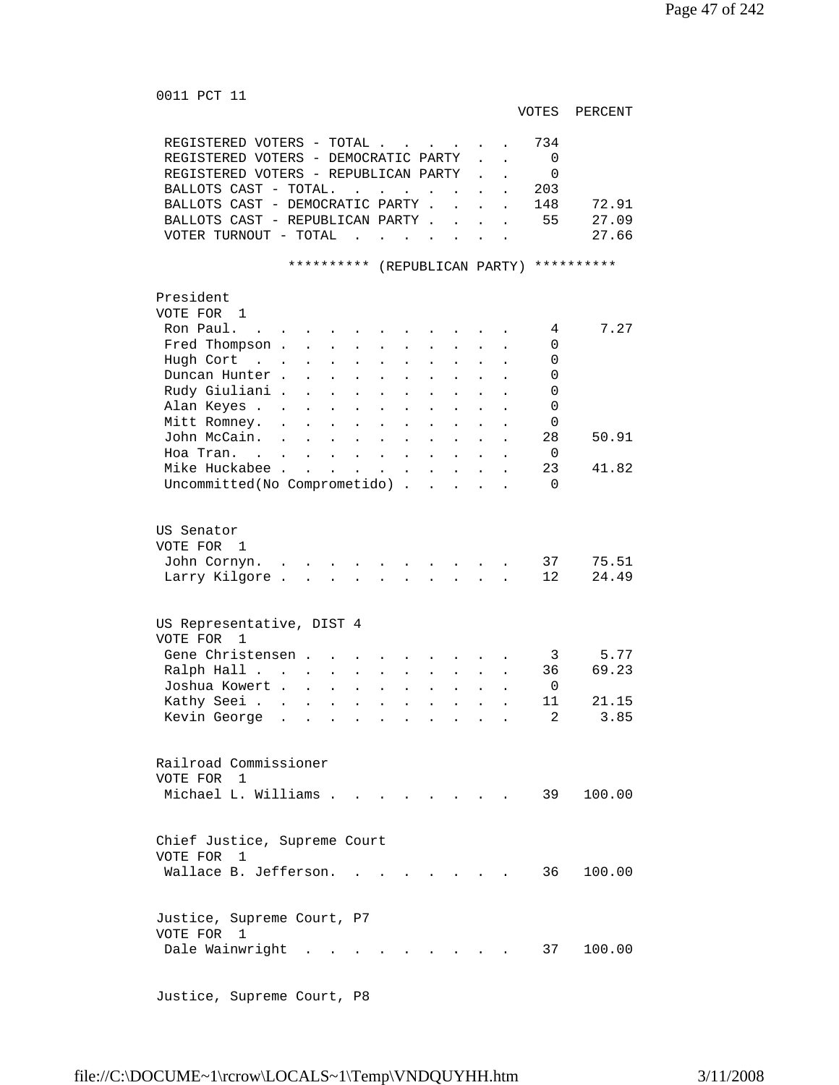0011 PCT 11 VOTES PERCENT REGISTERED VOTERS - TOTAL . . . . . . 734<br>REGISTERED VOTERS - DEMOCRATIC PARTY . . 0 REGISTERED VOTERS - DEMOCRATIC PARTY . . REGISTERED VOTERS - REPUBLICAN PARTY . . 0 BALLOTS CAST - TOTAL. . . . . . . . 203 BALLOTS CAST - DEMOCRATIC PARTY . . . . 148 72.91 BALLOTS CAST - REPUBLICAN PARTY . . . . 55 27.09 VOTER TURNOUT - TOTAL . . . . . . . 27.66 \*\*\*\*\*\*\*\*\*\* (REPUBLICAN PARTY) \*\*\*\*\*\*\*\*\*\* President VOTE FOR 1 Ron Paul. . . . . . . . . . . . 4 7.27 Fred Thompson . . . . . . . . . . 0 Hugh Cort . . . . . . . . . . . 0 Duncan Hunter . . . . . . . . . . 0 Rudy Giuliani . . . . . . . . . . 0 Alan Keyes . . . . . . . . . . . 0 Mitt Romney. . . . . . . . . . . 0 John McCain. . . . . . . . . . . 28 50.91 Hoa Tran. . . . . . . . . . . . 0<br>Mike Huckabee . . . . . . . . . . 23 41.82 Mike Huckabee . . . . . . . . . . . Uncommitted(No Comprometido) . . . . . 0 US Senator VOTE FOR 1 John Cornyn. . . . . . . . . . . 37 75.51 Larry Kilgore . . . . . . . . . . 12 24.49 US Representative, DIST 4 VOTE FOR 1 Gene Christensen . . . . . . . . . . 3 5.77<br>Ralph Hall . . . . . . . . . . . 36 69.23  ${\tt Ralph\ Hall\ \ldots\ \ldots\ \ldots\ \ldots\ \ldots\ \ldots}$ 10shua Kowert . . . . . . . . . . . 0<br>Kathy Seei . . . . . . . . . . . . 11 21.15 Exathy Seei . . . . . . . . . . . . 11 21.15<br>
Kevin George . . . . . . . . . . 2 3.85 Kevin George . . . . . . . . . . . Railroad Commissioner VOTE FOR 1 Michael L. Williams . . . . . . . . 39 100.00 Chief Justice, Supreme Court VOTE FOR 1 Wallace B. Jefferson. . . . . . . . 36 100.00 Justice, Supreme Court, P7 VOTE FOR 1 Dale Wainwright . . . . . . . . . 37 100.00

Justice, Supreme Court, P8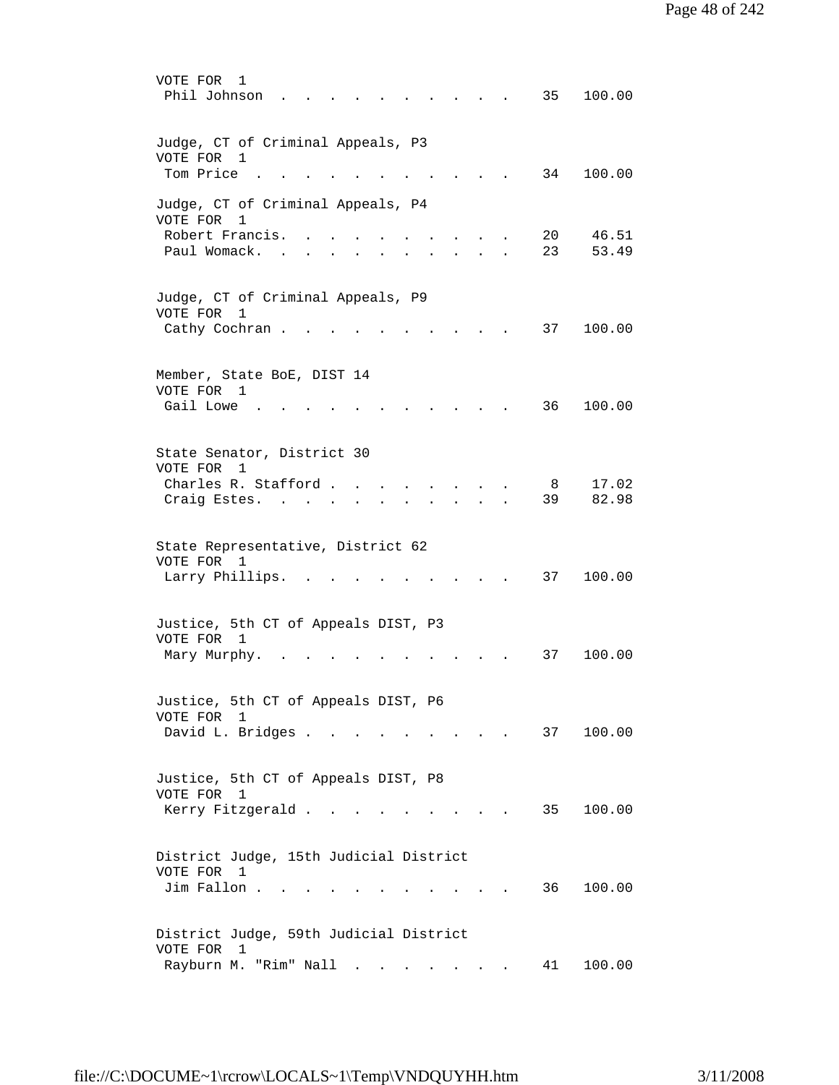| VOTE FOR<br>1<br>Phil Johnson<br>100.00<br>35                                                                            |
|--------------------------------------------------------------------------------------------------------------------------|
| Judge, CT of Criminal Appeals, P3<br>VOTE FOR<br>1<br>Tom Price<br>34<br>100.00                                          |
| Judge, CT of Criminal Appeals, P4<br>VOTE FOR<br>1<br>Robert Francis.<br>20<br>46.51                                     |
| Paul Womack.<br>23<br>53.49                                                                                              |
| Judge, CT of Criminal Appeals, P9<br>VOTE FOR<br>1<br>Cathy Cochran.<br>100.00<br>37                                     |
| Member, State BoE, DIST 14<br>VOTE FOR<br>1<br>Gail Lowe<br>36<br>100.00                                                 |
| State Senator, District 30<br>VOTE FOR 1<br>Charles R. Stafford.<br>17.02<br>8<br>39<br>82.98<br>Craig Estes.            |
| State Representative, District 62<br>VOTE FOR 1<br>Larry Phillips.<br>37<br>100.00                                       |
| Justice, 5th CT of Appeals DIST, P3<br>VOTE FOR 1<br>100.00<br>Mary Murphy.<br>37                                        |
| Justice, 5th CT of Appeals DIST, P6<br>VOTE FOR<br>1<br>David L. Bridges<br>100.00<br>37<br><b><i>Contract State</i></b> |
| Justice, 5th CT of Appeals DIST, P8<br>VOTE FOR 1<br>Kerry Fitzgerald<br>100.00<br>35                                    |
| District Judge, 15th Judicial District<br>VOTE FOR 1<br>Jim Fallon.<br>36<br>100.00                                      |
| District Judge, 59th Judicial District<br>VOTE FOR<br>$\mathbf{1}$<br>Rayburn M. "Rim" Nall<br>100.00<br>41              |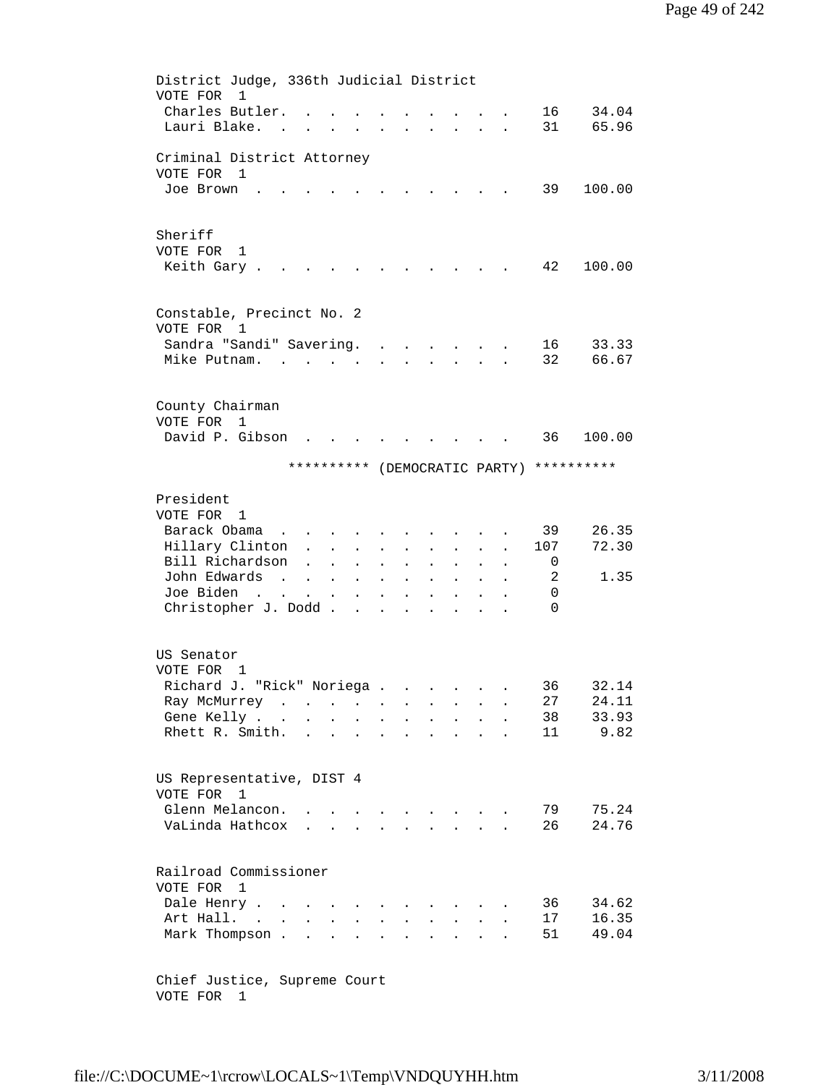```
 District Judge, 336th Judicial District 
          VOTE FOR 1 
 Charles Butler. . . . . . . . . . 16 34.04 
 Lauri Blake. . . . . . . . . . . 31 65.96 
          Criminal District Attorney 
          VOTE FOR 1 
          Joe Brown . . . . . . . . . . . 39 100.00
          Sheriff 
          VOTE FOR 1 
          Keith Gary . . . . . . . . . . . . 42 100.00
          Constable, Precinct No. 2 
          VOTE FOR 1 
          Sandra "Sandi" Savering. . . . . . . 16 33.33<br>Mike Putnam. . . . . . . . . . . . 32 66.67
          Mike Putnam. . . . . . . . . . .
          County Chairman 
          VOTE FOR 1 
          David P. Gibson . . . . . . . . . 36 100.00
                         ********** (DEMOCRATIC PARTY) **********
          President 
          VOTE FOR 1 
          Barack Obama . . . . . . . . . . 39 26.35
          Hillary Clinton . . . . . . . . . 107 72.30
          Bill Richardson . . . . . . . . . 0<br>John Edwards . . . . . . . . . . 2
          John Edwards . . . . . . . . . . . 2 1.35<br>Joe Biden . . . . . . . . . . . 0
                             \mathcal{A} , and \mathcal{A} . In the set of the set of the set of the \mathcal{A}Christopher J. Dodd . . . . . . . . 0
          US Senator 
          VOTE FOR 1 
 Richard J. "Rick" Noriega . . . . . . 36 32.14 
 Ray McMurrey . . . . . . . . . . 27 24.11 
          Gene Kelly . . . . . . . . . . . 38 33.93
          Rhett R. Smith. . . . . . . . . . 11 9.82
          US Representative, DIST 4 
          VOTE FOR 1 
          Glenn Melancon. . . . . . . . . . 79 75.24<br>VaLinda Hathcox . . . . . . . . . 26 24.76
          VaLinda Hathcox . . . . . . . . .
          Railroad Commissioner 
          VOTE FOR 1 
          Dale Henry . . . . . . . . . . . . 36 34.62<br>Art Hall. . . . . . . . . . . . 17 16.35
          Art Hall. . . . . . . . . . . . .
          Mark Thompson . . . . . . . . . . . 51 49.04
```
 Chief Justice, Supreme Court VOTE FOR 1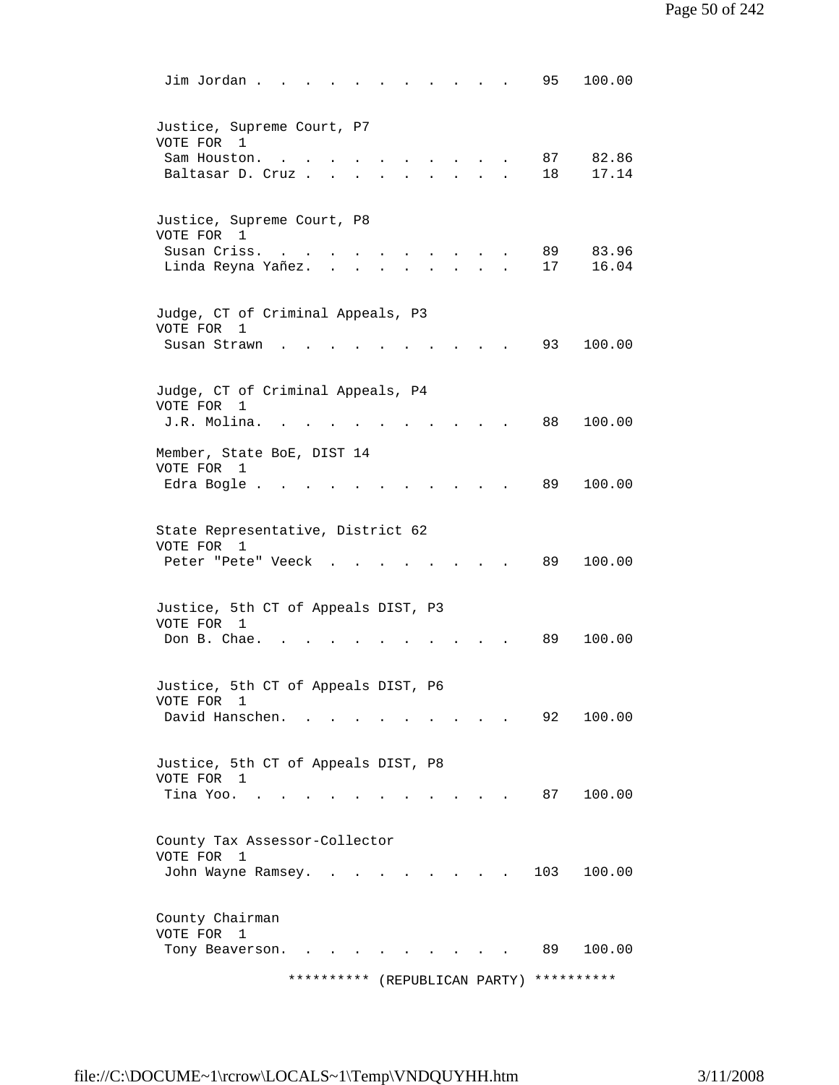| Jim Jordan.                                                                          |                                            | 95         | 100.00 |
|--------------------------------------------------------------------------------------|--------------------------------------------|------------|--------|
| Justice, Supreme Court, P7<br>VOTE FOR<br>$\mathbf{1}$<br>Sam Houston.               |                                            | 87         | 82.86  |
| $\bullet$<br>Baltasar D. Cruz.                                                       |                                            | 18         | 17.14  |
| Justice, Supreme Court, P8<br>VOTE FOR 1<br>Susan Criss.<br><b>Contract Contract</b> | and the state of the state of              | 89         | 83.96  |
| Linda Reyna Yañez.                                                                   | $\mathbf{r}$ , $\mathbf{r}$ , $\mathbf{r}$ | 17         | 16.04  |
| Judge, CT of Criminal Appeals, P3<br>VOTE FOR<br>1<br>Susan Strawn                   |                                            | 93         | 100.00 |
|                                                                                      |                                            |            |        |
| Judge, CT of Criminal Appeals, P4<br>VOTE FOR<br>1<br>J.R. Molina.                   |                                            | 88         | 100.00 |
| Member, State BoE, DIST 14<br>VOTE FOR 1<br>Edra Bogle .                             |                                            | 89         | 100.00 |
| State Representative, District 62<br>VOTE FOR 1<br>Peter "Pete" Veeck                |                                            | 89         | 100.00 |
| Justice, 5th CT of Appeals DIST, P3<br>VOTE FOR 1                                    |                                            | 89         | 100.00 |
| Don B. Chae.                                                                         |                                            |            |        |
| Justice, 5th CT of Appeals DIST, P6<br>VOTE FOR<br>1<br>David Hanschen.              |                                            | 92         | 100.00 |
| Justice, 5th CT of Appeals DIST, P8<br>VOTE FOR 1<br>Tina Yoo.                       |                                            | 87         | 100.00 |
| County Tax Assessor-Collector                                                        |                                            |            |        |
| VOTE FOR<br>1<br>John Wayne Ramsey.                                                  |                                            | 103        | 100.00 |
| County Chairman<br>VOTE FOR<br>1<br>Tony Beaverson.                                  |                                            | 89         | 100.00 |
| ********** (REPUBLICAN PARTY)                                                        |                                            | ********** |        |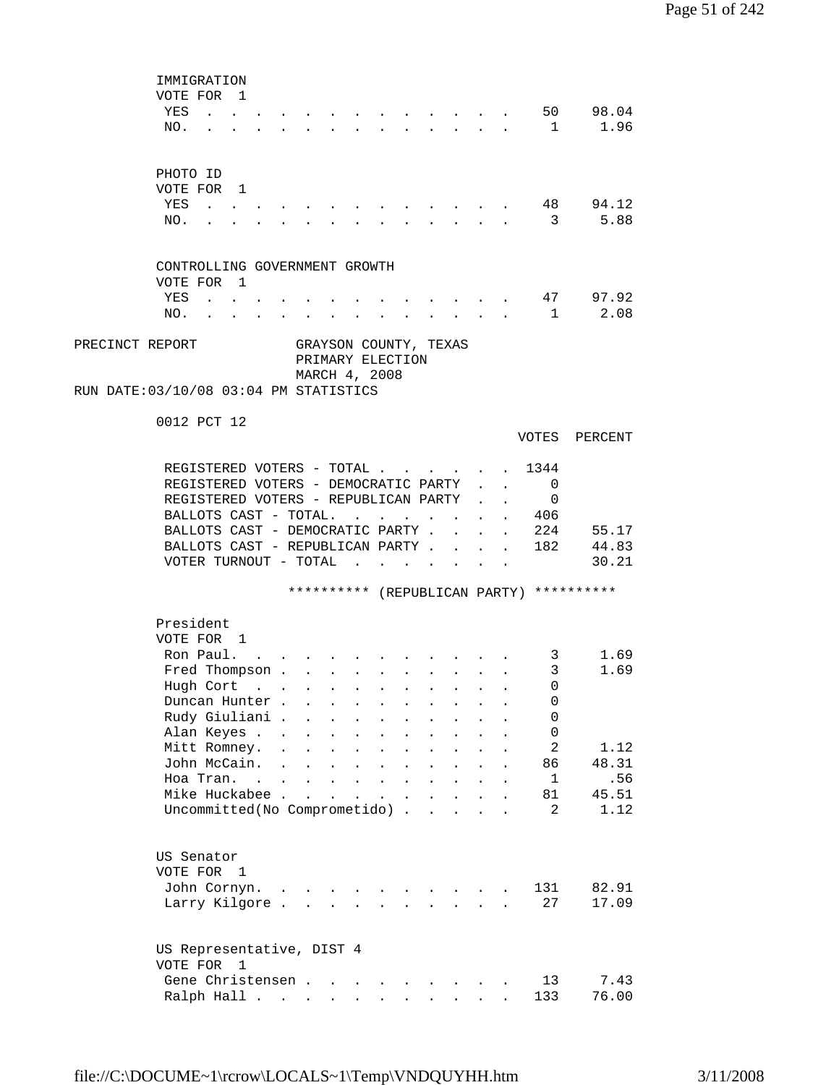|                 | IMMIGRATION                                                                  |                             |                         |                                                                          |                                          |                                                             |                      |                            |                                                                 |              |                           |                                          |                                           |  |
|-----------------|------------------------------------------------------------------------------|-----------------------------|-------------------------|--------------------------------------------------------------------------|------------------------------------------|-------------------------------------------------------------|----------------------|----------------------------|-----------------------------------------------------------------|--------------|---------------------------|------------------------------------------|-------------------------------------------|--|
|                 | VOTE FOR 1                                                                   |                             |                         |                                                                          |                                          |                                                             |                      |                            |                                                                 |              |                           |                                          |                                           |  |
|                 | YES<br><b>Contract Contract</b>                                              |                             |                         |                                                                          |                                          |                                                             |                      |                            |                                                                 |              |                           |                                          | 50 98.04                                  |  |
|                 | NO.                                                                          |                             |                         |                                                                          |                                          |                                                             |                      |                            |                                                                 | $\mathbf{L}$ | $\sim$                    | $\mathbf{1}$                             | 1.96                                      |  |
|                 |                                                                              |                             |                         |                                                                          |                                          |                                                             |                      |                            |                                                                 |              |                           |                                          |                                           |  |
|                 |                                                                              |                             |                         |                                                                          |                                          |                                                             |                      |                            |                                                                 |              |                           |                                          |                                           |  |
|                 | PHOTO ID                                                                     |                             |                         |                                                                          |                                          |                                                             |                      |                            |                                                                 |              |                           |                                          |                                           |  |
|                 | VOTE FOR 1                                                                   |                             |                         |                                                                          |                                          |                                                             |                      |                            |                                                                 |              |                           |                                          |                                           |  |
|                 | YES<br>NO.                                                                   |                             |                         |                                                                          |                                          |                                                             |                      |                            |                                                                 |              |                           | $\overline{\mathbf{3}}$                  | 48 94.12<br>5.88                          |  |
|                 |                                                                              |                             |                         |                                                                          |                                          |                                                             |                      |                            |                                                                 |              |                           |                                          |                                           |  |
|                 |                                                                              |                             |                         |                                                                          |                                          |                                                             |                      |                            |                                                                 |              |                           |                                          |                                           |  |
|                 | CONTROLLING GOVERNMENT GROWTH                                                |                             |                         |                                                                          |                                          |                                                             |                      |                            |                                                                 |              |                           |                                          |                                           |  |
|                 | VOTE FOR 1                                                                   |                             |                         |                                                                          |                                          |                                                             |                      |                            |                                                                 |              |                           |                                          |                                           |  |
|                 | YES                                                                          | $\sim$ $\sim$ $\sim$ $\sim$ |                         |                                                                          |                                          |                                                             |                      |                            |                                                                 |              |                           |                                          | 47 97.92                                  |  |
|                 | NO.                                                                          |                             | <b>All Card Control</b> |                                                                          | $\bullet$ . In the set of the $\bullet$  |                                                             |                      |                            | and a strong control of the strong strong and                   |              |                           |                                          | 1 2.08                                    |  |
|                 |                                                                              |                             |                         |                                                                          |                                          |                                                             |                      |                            |                                                                 |              |                           |                                          |                                           |  |
| PRECINCT REPORT |                                                                              |                             |                         | GRAYSON COUNTY, TEXAS                                                    |                                          |                                                             |                      |                            |                                                                 |              |                           |                                          |                                           |  |
|                 |                                                                              |                             |                         | PRIMARY ELECTION                                                         |                                          |                                                             |                      |                            |                                                                 |              |                           |                                          |                                           |  |
|                 |                                                                              |                             |                         | MARCH 4, 2008                                                            |                                          |                                                             |                      |                            |                                                                 |              |                           |                                          |                                           |  |
|                 | RUN DATE: 03/10/08 03:04 PM STATISTICS                                       |                             |                         |                                                                          |                                          |                                                             |                      |                            |                                                                 |              |                           |                                          |                                           |  |
|                 |                                                                              |                             |                         |                                                                          |                                          |                                                             |                      |                            |                                                                 |              |                           |                                          |                                           |  |
|                 | 0012 PCT 12                                                                  |                             |                         |                                                                          |                                          |                                                             |                      |                            |                                                                 |              |                           |                                          |                                           |  |
|                 |                                                                              |                             |                         |                                                                          |                                          |                                                             |                      |                            |                                                                 |              |                           |                                          | VOTES PERCENT                             |  |
|                 |                                                                              |                             |                         |                                                                          |                                          |                                                             |                      |                            |                                                                 |              |                           |                                          |                                           |  |
|                 | REGISTERED VOTERS - TOTAL                                                    |                             |                         |                                                                          |                                          |                                                             |                      |                            |                                                                 |              |                           | 1344<br>$\Omega$                         |                                           |  |
|                 | REGISTERED VOTERS - DEMOCRATIC PARTY<br>REGISTERED VOTERS - REPUBLICAN PARTY |                             |                         |                                                                          |                                          |                                                             |                      |                            |                                                                 |              | $\ddot{\phantom{0}}$      | 0                                        |                                           |  |
|                 | BALLOTS CAST - TOTAL.                                                        |                             |                         |                                                                          |                                          |                                                             |                      |                            |                                                                 |              | $\mathbf{L}^{\text{max}}$ | 406                                      |                                           |  |
|                 | BALLOTS CAST - DEMOCRATIC PARTY.                                             |                             |                         |                                                                          |                                          |                                                             | $\mathbf{r}$         |                            | $\mathbf{L}$                                                    | $\mathbf{L}$ | $\mathbf{L}^{\text{max}}$ |                                          | 224 55.17                                 |  |
|                 |                                                                              |                             |                         |                                                                          |                                          |                                                             |                      |                            |                                                                 |              |                           |                                          | BALLOTS CAST - REPUBLICAN PARTY 182 44.83 |  |
|                 | VOTER TURNOUT - TOTAL                                                        |                             |                         |                                                                          |                                          |                                                             |                      |                            |                                                                 |              |                           |                                          | 30.21                                     |  |
|                 |                                                                              |                             |                         |                                                                          |                                          |                                                             |                      |                            |                                                                 |              |                           |                                          |                                           |  |
|                 |                                                                              |                             |                         |                                                                          |                                          |                                                             |                      |                            |                                                                 |              |                           | ********** (REPUBLICAN PARTY) ********** |                                           |  |
|                 |                                                                              |                             |                         |                                                                          |                                          |                                                             |                      |                            |                                                                 |              |                           |                                          |                                           |  |
|                 | President                                                                    |                             |                         |                                                                          |                                          |                                                             |                      |                            |                                                                 |              |                           |                                          |                                           |  |
|                 | VOTE FOR 1                                                                   |                             |                         |                                                                          |                                          |                                                             |                      |                            |                                                                 |              |                           |                                          |                                           |  |
|                 | Ron Paul.                                                                    |                             |                         |                                                                          |                                          |                                                             |                      |                            |                                                                 |              |                           | $3^{\circ}$                              | 1.69                                      |  |
|                 | Fred Thompson .                                                              |                             |                         | $\sim 10^{-10}$<br>$\sim$                                                | $\sim$                                   |                                                             |                      |                            |                                                                 |              |                           | 3                                        | 1.69                                      |  |
|                 | Hugh Cort                                                                    |                             |                         |                                                                          |                                          |                                                             |                      |                            |                                                                 |              |                           | $\Omega$                                 |                                           |  |
|                 | Duncan Hunter.                                                               |                             |                         |                                                                          |                                          |                                                             |                      |                            |                                                                 |              |                           | 0                                        |                                           |  |
|                 | Rudy Giuliani .                                                              |                             |                         | $\mathbf{r}$ , $\mathbf{r}$ , $\mathbf{r}$ , $\mathbf{r}$ , $\mathbf{r}$ |                                          |                                                             |                      | $\mathbf{L}^{\text{max}}$  | $\mathbf{L}^{\text{max}}$                                       | $\sim$       |                           | 0                                        |                                           |  |
|                 | Alan Keyes                                                                   |                             |                         | $\mathbf{L}^{\text{max}}$                                                | $\mathbf{z} = \mathbf{z} + \mathbf{z}$ . | $\bullet$ .<br><br><br><br><br><br><br><br><br><br><br><br> | $\bullet$            | $\blacksquare$             | $\bullet$ .<br><br><br><br><br><br><br><br><br><br><br><br><br> | $\bullet$    |                           | 0                                        |                                           |  |
|                 | Mitt Romney.                                                                 |                             | $\bullet$               | $\ddot{\phantom{a}}$<br>$\ddot{\phantom{a}}$                             | $\sim$                                   | $\ddot{\phantom{0}}$                                        | $\ddot{\phantom{a}}$ |                            |                                                                 |              |                           | $\mathbf{2}$                             | 1.12                                      |  |
|                 | John McCain.                                                                 |                             | $\ddot{\phantom{a}}$    | $\ddot{\phantom{a}}$                                                     | $\mathbf{L} = \mathbf{L}$                | $\ddot{\phantom{a}}$                                        | $\ddot{\phantom{a}}$ |                            |                                                                 |              |                           | 86                                       | 48.31                                     |  |
|                 | Hoa Tran. .                                                                  |                             |                         | $\ddot{\phantom{a}}$<br>$\ddot{\phantom{0}}$                             |                                          | $\mathbf{r}$ , $\mathbf{r}$                                 |                      |                            |                                                                 |              |                           | $\mathbf{1}$                             | .56                                       |  |
|                 | Mike Huckabee .                                                              |                             |                         | $\mathbf{r}$<br>$\ddot{\phantom{0}}$                                     | $\ddot{\phantom{a}}$                     | $\sim 10^{-11}$                                             | $\blacksquare$       | $\ddot{\phantom{0}}$       | $\ddot{\phantom{a}}$                                            |              |                           | 81                                       | 45.51                                     |  |
|                 | Uncommitted(No Comprometido).                                                |                             |                         |                                                                          |                                          |                                                             |                      | $\mathcal{L}^{\text{max}}$ | $\ddot{\phantom{a}}$                                            |              |                           | 2                                        | 1.12                                      |  |
|                 |                                                                              |                             |                         |                                                                          |                                          |                                                             |                      |                            |                                                                 |              |                           |                                          |                                           |  |
|                 |                                                                              |                             |                         |                                                                          |                                          |                                                             |                      |                            |                                                                 |              |                           |                                          |                                           |  |
|                 | US Senator                                                                   |                             |                         |                                                                          |                                          |                                                             |                      |                            |                                                                 |              |                           |                                          |                                           |  |
|                 | VOTE FOR 1                                                                   |                             |                         |                                                                          |                                          |                                                             |                      |                            |                                                                 |              |                           |                                          |                                           |  |
|                 | John Cornyn.<br>Larry Kilgore                                                |                             |                         |                                                                          |                                          |                                                             |                      |                            | the contract of the contract of the contract of                 |              |                           | 131<br>27                                | 82.91<br>17.09                            |  |
|                 |                                                                              |                             |                         |                                                                          |                                          |                                                             |                      |                            |                                                                 |              |                           |                                          |                                           |  |
|                 |                                                                              |                             |                         |                                                                          |                                          |                                                             |                      |                            |                                                                 |              |                           |                                          |                                           |  |
|                 | US Representative, DIST 4                                                    |                             |                         |                                                                          |                                          |                                                             |                      |                            |                                                                 |              |                           |                                          |                                           |  |
|                 | VOTE FOR 1                                                                   |                             |                         |                                                                          |                                          |                                                             |                      |                            |                                                                 |              |                           |                                          |                                           |  |
|                 | Gene Christensen                                                             |                             |                         |                                                                          |                                          |                                                             |                      |                            |                                                                 |              |                           | 13                                       | 7.43                                      |  |
|                 | Ralph Hall                                                                   |                             |                         |                                                                          |                                          |                                                             |                      |                            |                                                                 |              |                           | 133                                      | 76.00                                     |  |
|                 |                                                                              |                             |                         |                                                                          |                                          |                                                             |                      |                            |                                                                 |              |                           |                                          |                                           |  |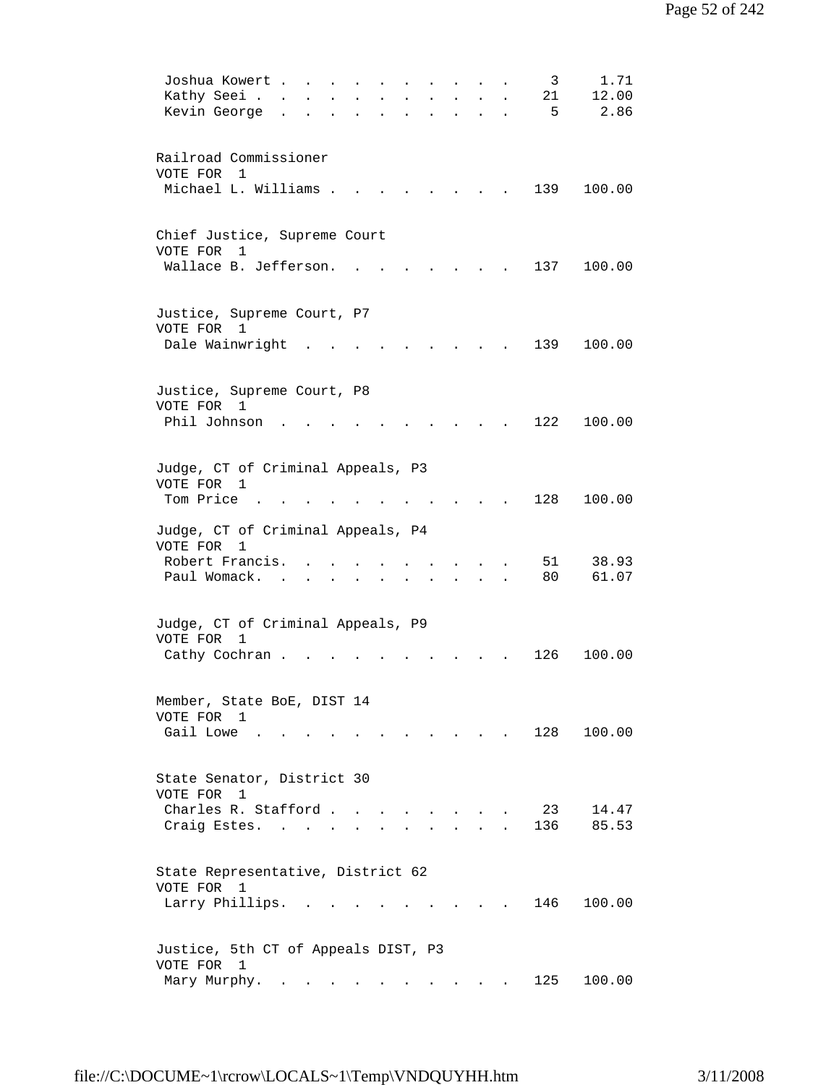| 1.71<br>Joshua Kowert<br>3                                                                                               |
|--------------------------------------------------------------------------------------------------------------------------|
| 12.00<br>Kathy Seei .<br>21                                                                                              |
| 2.86<br>Kevin George<br>5                                                                                                |
|                                                                                                                          |
|                                                                                                                          |
| Railroad Commissioner                                                                                                    |
| VOTE FOR 1                                                                                                               |
| Michael L. Williams .<br>139<br>100.00                                                                                   |
|                                                                                                                          |
|                                                                                                                          |
| Chief Justice, Supreme Court                                                                                             |
| VOTE FOR<br>1                                                                                                            |
| Wallace B. Jefferson.<br>137<br>100.00                                                                                   |
|                                                                                                                          |
|                                                                                                                          |
|                                                                                                                          |
| Justice, Supreme Court, P7<br>VOTE FOR 1                                                                                 |
|                                                                                                                          |
| Dale Wainwright<br>139<br>100.00                                                                                         |
|                                                                                                                          |
|                                                                                                                          |
| Justice, Supreme Court, P8                                                                                               |
| VOTE FOR<br>1                                                                                                            |
| 122<br>Phil Johnson<br>100.00                                                                                            |
|                                                                                                                          |
|                                                                                                                          |
| Judge, CT of Criminal Appeals, P3                                                                                        |
| VOTE FOR 1                                                                                                               |
| Tom Price<br>128<br>100.00                                                                                               |
|                                                                                                                          |
| Judge, CT of Criminal Appeals, P4                                                                                        |
| VOTE FOR<br>1                                                                                                            |
| Robert Francis.<br>38.93<br>51                                                                                           |
| Paul Womack.<br>80<br>61.07                                                                                              |
|                                                                                                                          |
|                                                                                                                          |
| Judge, CT of Criminal Appeals, P9                                                                                        |
| VOTE FOR<br>$\mathbf{1}$                                                                                                 |
| 126<br>100.00<br>Cathy Cochran.                                                                                          |
|                                                                                                                          |
|                                                                                                                          |
| Member, State BoE, DIST 14                                                                                               |
| VOTE FOR 1                                                                                                               |
| Gail Lowe<br>128<br>100.00                                                                                               |
|                                                                                                                          |
|                                                                                                                          |
| State Senator, District 30                                                                                               |
| VOTE FOR<br>$\mathbf{1}$                                                                                                 |
| Charles R. Stafford<br>23<br>14.47                                                                                       |
| 136<br>85.53<br>Craig Estes.                                                                                             |
|                                                                                                                          |
|                                                                                                                          |
| State Representative, District 62                                                                                        |
| VOTE FOR 1                                                                                                               |
| Larry Phillips.<br>146<br>100.00                                                                                         |
|                                                                                                                          |
|                                                                                                                          |
| Justice, 5th CT of Appeals DIST, P3                                                                                      |
| VOTE FOR 1                                                                                                               |
| 125<br>100.00<br>Mary Murphy.<br>the contract of the contract of the<br>$\bullet$<br>and the contract of the contract of |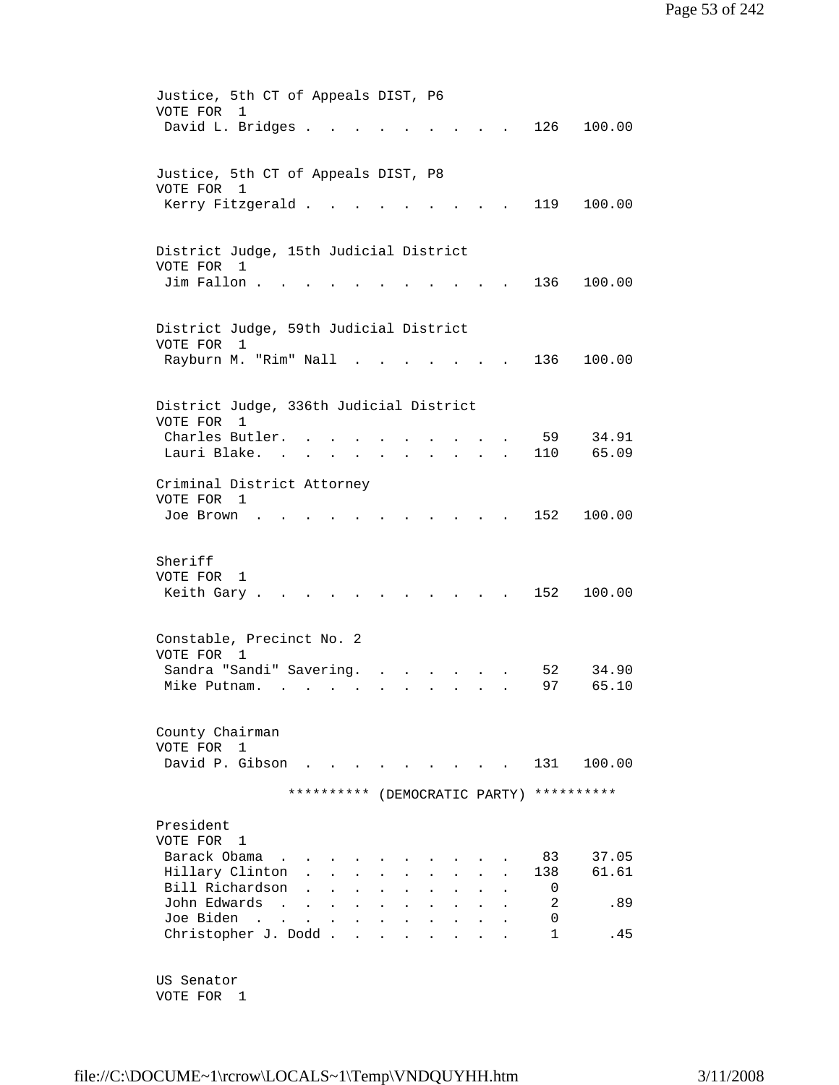| Justice, 5th CT of Appeals DIST, P6<br>VOTE FOR<br>$\mathbf{1}$                                                                                                                                                      |  |
|----------------------------------------------------------------------------------------------------------------------------------------------------------------------------------------------------------------------|--|
| David L. Bridges .<br>126<br>100.00                                                                                                                                                                                  |  |
| Justice, 5th CT of Appeals DIST, P8                                                                                                                                                                                  |  |
| VOTE FOR<br>-1<br>Kerry Fitzgerald<br>119<br>100.00                                                                                                                                                                  |  |
| District Judge, 15th Judicial District                                                                                                                                                                               |  |
| VOTE FOR<br>$\mathbf{1}$                                                                                                                                                                                             |  |
| Jim Fallon.<br>136<br>100.00                                                                                                                                                                                         |  |
| District Judge, 59th Judicial District<br>VOTE FOR<br>1                                                                                                                                                              |  |
| Rayburn M. "Rim" Nall<br>136<br>100.00                                                                                                                                                                               |  |
| District Judge, 336th Judicial District                                                                                                                                                                              |  |
| VOTE FOR<br>1                                                                                                                                                                                                        |  |
| Charles Butler.<br>59<br>34.91<br>65.09<br>Lauri Blake.<br>110<br><b>All Strategies</b><br>$\ddot{\phantom{0}}$<br>$\bullet$ .<br><br><br><br><br><br><br><br><br><br><br><br><br><br>$\sim$<br>$\ddot{\phantom{0}}$ |  |
| Criminal District Attorney<br>VOTE FOR 1                                                                                                                                                                             |  |
| 152<br>100.00<br>Joe Brown                                                                                                                                                                                           |  |
| Sheriff                                                                                                                                                                                                              |  |
| VOTE FOR<br>1<br>152<br>Keith Gary.<br>100.00                                                                                                                                                                        |  |
| Constable, Precinct No. 2                                                                                                                                                                                            |  |
| VOTE FOR 1                                                                                                                                                                                                           |  |
| Sandra "Sandi" Savering.<br>34.90<br>52<br>97<br>65.10<br>Mike Putnam.                                                                                                                                               |  |
|                                                                                                                                                                                                                      |  |
| County Chairman                                                                                                                                                                                                      |  |
| VOTE FOR<br>1<br>David P. Gibson<br>100.00<br>131                                                                                                                                                                    |  |
| ********** (DEMOCRATIC PARTY)<br>**********                                                                                                                                                                          |  |
|                                                                                                                                                                                                                      |  |
| President<br>VOTE FOR<br>$\mathbf{1}$                                                                                                                                                                                |  |
| Barack Obama<br>37.05<br>83                                                                                                                                                                                          |  |
| Hillary Clinton<br>61.61<br>138                                                                                                                                                                                      |  |
| Bill Richardson<br>0                                                                                                                                                                                                 |  |
| John Edwards<br>2<br>.89<br>$\ddot{\phantom{0}}$<br>$\bullet$                                                                                                                                                        |  |
| Joe Biden<br>0<br>$\sim$<br>$\mathbf{A}$<br>$\ddot{\phantom{0}}$                                                                                                                                                     |  |
| Christopher J. Dodd.<br>$\mathbf{1}$<br>. 45                                                                                                                                                                         |  |
| US Senator                                                                                                                                                                                                           |  |
|                                                                                                                                                                                                                      |  |

VOTE FOR 1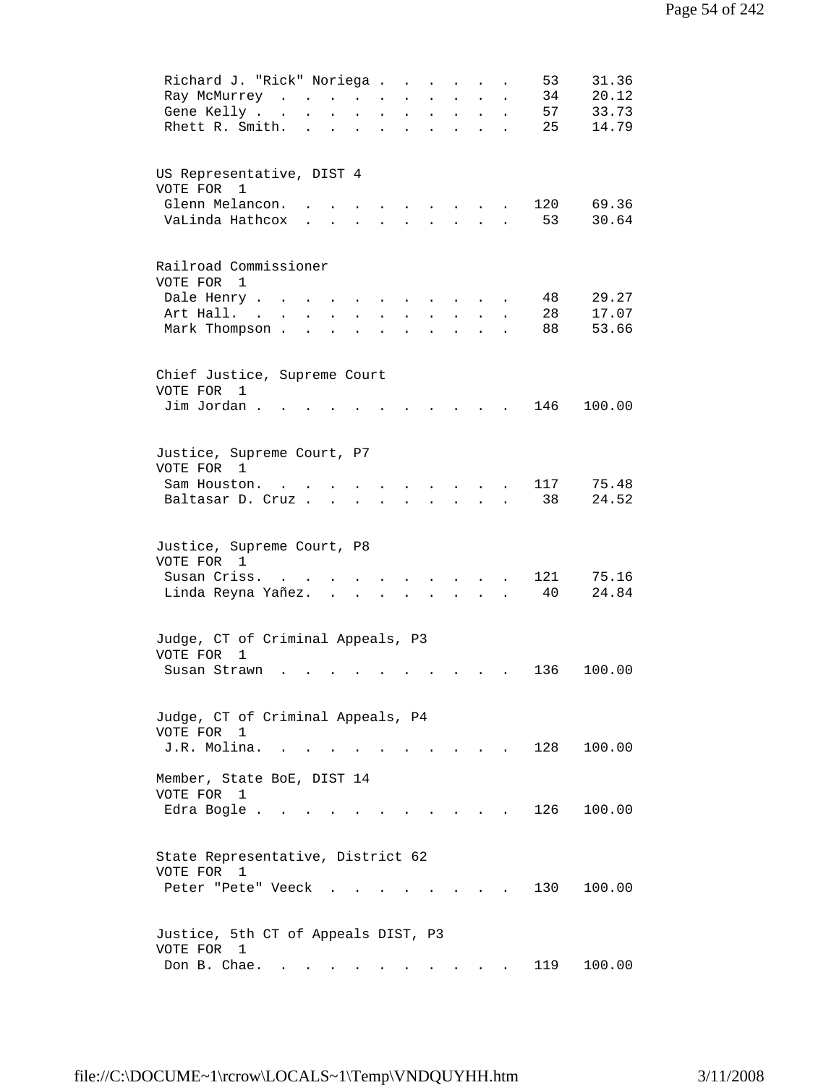| 31.36<br>Richard J. "Rick" Noriega.<br>53<br>$\ddot{\phantom{a}}$<br>$\ddot{\phantom{a}}$                                                                                                      |  |
|------------------------------------------------------------------------------------------------------------------------------------------------------------------------------------------------|--|
| Ray McMurrey<br>20.12<br>34<br>$\sim$<br>$\sim$<br>$\ddot{\phantom{0}}$                                                                                                                        |  |
| 33.73<br>Gene Kelly<br>57<br>$\ddot{\phantom{a}}$<br>$\ddot{\phantom{a}}$<br>$\mathbf{L}^{\text{max}}$<br>$\mathbf{L}$<br>$\ddot{\phantom{a}}$<br>$\ddot{\phantom{0}}$<br>$\ddot{\phantom{0}}$ |  |
| 14.79<br>Rhett R. Smith.<br>25<br>$\ddot{\phantom{a}}$<br>$\bullet$<br>$\mathbf{L} = \mathbf{0}$<br>$\ddot{\phantom{a}}$<br>$\bullet$<br>$\ddot{\phantom{0}}$<br>$\bullet$                     |  |
| US Representative, DIST 4<br>VOTE FOR 1                                                                                                                                                        |  |
| Glenn Melancon.<br>120<br>69.36                                                                                                                                                                |  |
| VaLinda Hathcox<br>53<br>30.64                                                                                                                                                                 |  |
|                                                                                                                                                                                                |  |
| Railroad Commissioner<br>VOTE FOR 1                                                                                                                                                            |  |
| Dale Henry<br>29.27<br>48                                                                                                                                                                      |  |
| 17.07<br>Art Hall. .<br>28<br>$\ddot{\phantom{a}}$                                                                                                                                             |  |
| Mark Thompson .<br>88<br>53.66                                                                                                                                                                 |  |
| Chief Justice, Supreme Court                                                                                                                                                                   |  |
| VOTE FOR 1                                                                                                                                                                                     |  |
| Jim Jordan.<br>146<br>100.00<br>$\ddot{\phantom{a}}$                                                                                                                                           |  |
| Justice, Supreme Court, P7                                                                                                                                                                     |  |
| VOTE FOR 1                                                                                                                                                                                     |  |
| 117<br>75.48<br>Sam Houston.                                                                                                                                                                   |  |
| 38<br>24.52<br>Baltasar D. Cruz.                                                                                                                                                               |  |
| Justice, Supreme Court, P8                                                                                                                                                                     |  |
| VOTE FOR 1                                                                                                                                                                                     |  |
| Susan Criss.<br>121<br>75.16<br>24.84<br>Linda Reyna Yañez.<br>40                                                                                                                              |  |
|                                                                                                                                                                                                |  |
| Judge, CT of Criminal Appeals, P3                                                                                                                                                              |  |
| VOTE FOR<br>1<br>136<br>100.00<br>Susan Strawn                                                                                                                                                 |  |
|                                                                                                                                                                                                |  |
| Judge, CT of Criminal Appeals, P4                                                                                                                                                              |  |
| VOTE FOR 1                                                                                                                                                                                     |  |
| J.R. Molina.<br>128<br>100.00<br>$\sim$ $\sim$                                                                                                                                                 |  |
| Member, State BoE, DIST 14                                                                                                                                                                     |  |
| VOTE FOR<br>1<br>126<br>Edra Bogle<br>100.00                                                                                                                                                   |  |
|                                                                                                                                                                                                |  |
| State Representative, District 62                                                                                                                                                              |  |
| VOTE FOR 1                                                                                                                                                                                     |  |
| 130<br>Peter "Pete" Veeck<br>100.00                                                                                                                                                            |  |
| Justice, 5th CT of Appeals DIST, P3                                                                                                                                                            |  |
| VOTE FOR 1                                                                                                                                                                                     |  |
| 100.00<br>Don B. Chae.<br>119<br>$\sim$ 100 $\pm$                                                                                                                                              |  |
|                                                                                                                                                                                                |  |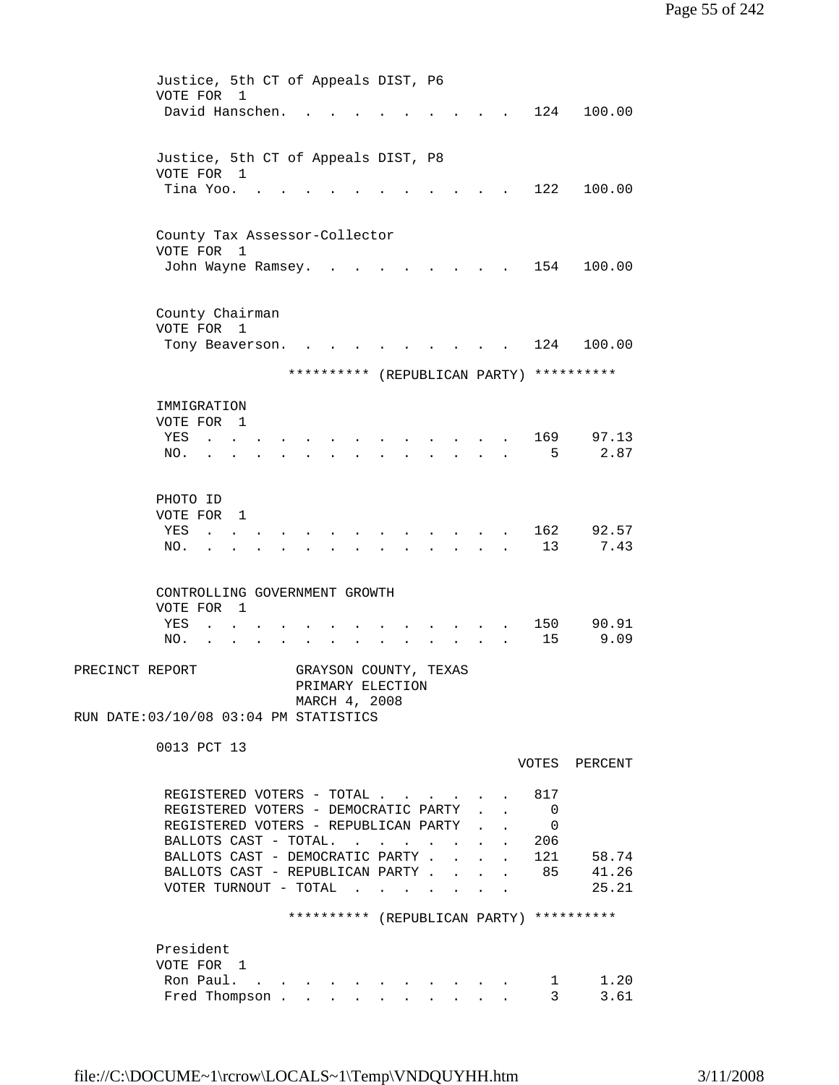```
 Justice, 5th CT of Appeals DIST, P6 
         VOTE FOR 1 
        David Hanschen. . . . . . . . . . 124 100.00
         Justice, 5th CT of Appeals DIST, P8 
         VOTE FOR 1 
         Tina Yoo. . . . . . . . . . . . 122 100.00
         County Tax Assessor-Collector 
         VOTE FOR 1 
        John Wayne Ramsey. . . . . . . . . 154 100.00
         County Chairman 
         VOTE FOR 1 
        Tony Beaverson. . . . . . . . . . 124 100.00
                      ********** (REPUBLICAN PARTY) **********
         IMMIGRATION 
         VOTE FOR 1 
        YES . . . . . . . . . . . . . 169 97.13
        NO. . . . . . . . . . . . . . . 5 2.87
         PHOTO ID 
         VOTE FOR 1 
        YES . . . . . . . . . . . . . 162 92.57
        NO. . . . . . . . . . . . . . 13 7.43
         CONTROLLING GOVERNMENT GROWTH 
         VOTE FOR 1 
        YES . . . . . . . . . . . . . 150 90.91
        NO. . . . . . . . . . . . . . 15 9.09
PRECINCT REPORT GRAYSON COUNTY, TEXAS
                       PRIMARY ELECTION 
                       MARCH 4, 2008 
RUN DATE:03/10/08 03:04 PM STATISTICS 
         0013 PCT 13 
                                             VOTES PERCENT 
         REGISTERED VOTERS - TOTAL . . . . . . 817
         REGISTERED VOTERS - DEMOCRATIC PARTY . . 0
         REGISTERED VOTERS - REPUBLICAN PARTY . . 0
         BALLOTS CAST - TOTAL. . . . . . . . 206
         BALLOTS CAST - DEMOCRATIC PARTY . . . . 121 58.74
         BALLOTS CAST - REPUBLICAN PARTY . . . . 85 41.26
         \verb|VOTER TURNOUT - TOTAL . . . . . . . . | 25.21 ********** (REPUBLICAN PARTY) ********** 
         President 
         VOTE FOR 1 
 Ron Paul. . . . . . . . . . . . 1 1.20 
Fred Thompson . . . . . . . . . . . 3 3.61
```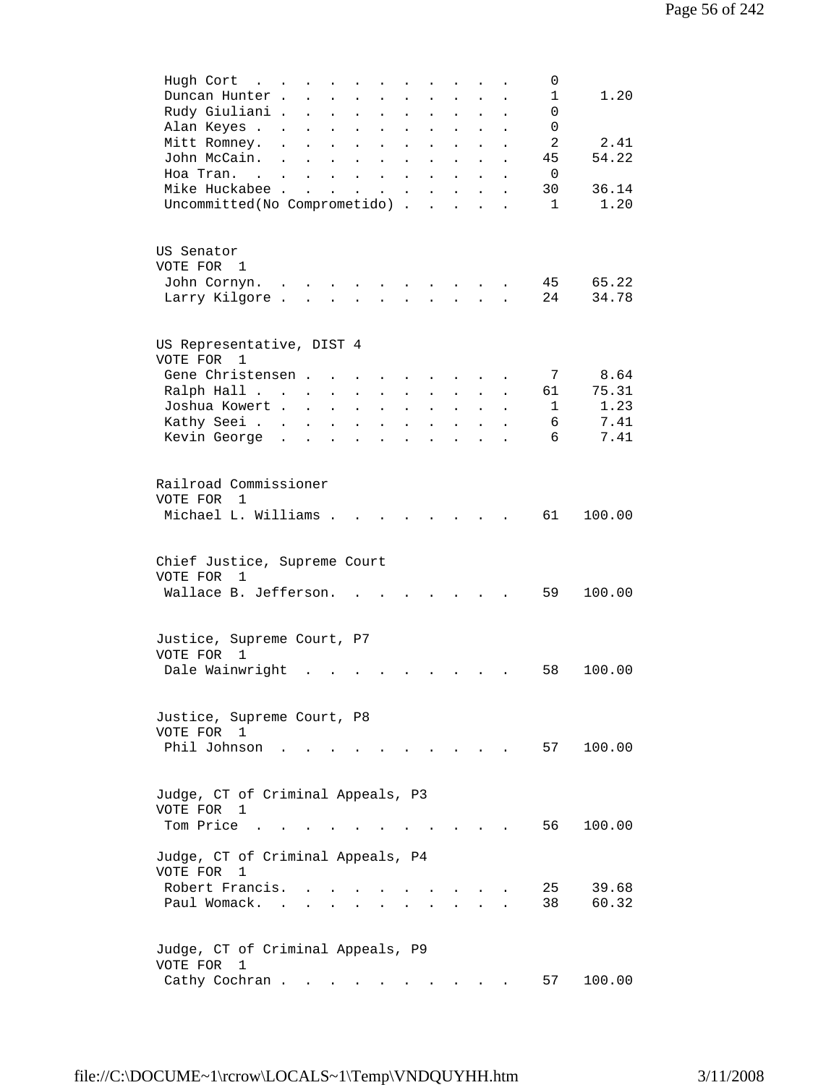| Hugh Cort<br>0<br>$\sim$ $\sim$ $\sim$                                                                                                                                                                                  |
|-------------------------------------------------------------------------------------------------------------------------------------------------------------------------------------------------------------------------|
| 1.20<br>Duncan Hunter.<br>1<br>$\ddot{\phantom{a}}$<br>$\ddot{\phantom{0}}$                                                                                                                                             |
| Rudy Giuliani .<br>0<br>$\ddot{\phantom{a}}$<br>$\ddot{\phantom{a}}$<br>$\ddot{\phantom{a}}$<br>$\ddot{\phantom{a}}$<br>$\ddot{\phantom{a}}$                                                                            |
| Alan Keyes .<br>0<br>$\ddot{\phantom{0}}$<br>$\ddot{\phantom{a}}$<br>$\ddot{\phantom{a}}$<br>$\ddot{\phantom{0}}$<br>$\ddot{\phantom{a}}$<br>$\ddot{\phantom{0}}$<br>$\ddot{\phantom{a}}$<br>$\ddot{\phantom{0}}$       |
| $\overline{a}$<br>2.41<br>Mitt Romney.<br>$\ddot{\phantom{0}}$<br>$\ddot{\phantom{0}}$<br>$\ddot{\phantom{0}}$<br>$\ddot{\phantom{0}}$                                                                                  |
| 54.22<br>John McCain.<br>45<br>$\ddot{\phantom{a}}$<br>$\ddot{\phantom{a}}$<br>$\ddot{\phantom{0}}$<br>$\ddot{\phantom{0}}$<br>$\bullet$<br>$\ddot{\phantom{0}}$                                                        |
| 0<br>Hoa Tran<br>$\ddot{\phantom{a}}$<br>$\ddot{\phantom{a}}$<br>$\ddot{\phantom{a}}$                                                                                                                                   |
| Mike Huckabee.<br>30<br>36.14<br>$\mathbf{r}$                                                                                                                                                                           |
| $\ddot{\phantom{a}}$<br>1.20<br>$\mathbf{1}$                                                                                                                                                                            |
| Uncommitted(No Comprometido).<br>$\mathbf{r}$                                                                                                                                                                           |
| US Senator                                                                                                                                                                                                              |
| VOTE FOR 1                                                                                                                                                                                                              |
| 65.22<br>45<br>John Cornyn.                                                                                                                                                                                             |
| 24<br>Larry Kilgore.<br>34.78<br>$\ddot{\phantom{a}}$                                                                                                                                                                   |
|                                                                                                                                                                                                                         |
| US Representative, DIST 4<br>VOTE FOR<br>1                                                                                                                                                                              |
| 8.64<br>Gene Christensen.<br>7<br>$\sim$                                                                                                                                                                                |
| 75.31<br>Ralph Hall<br>61<br>$\mathbf{L}^{\text{max}}$<br>$\mathcal{L}^{\text{max}}$<br>$\mathbf{L}^{\text{max}}$<br>$\ddot{\phantom{a}}$<br>$\mathbf{L}$<br>$\ddot{\phantom{a}}$                                       |
| 1.23<br>Joshua Kowert.<br>1<br>$\sim$<br>$\ddot{\phantom{a}}$<br>$\ddot{\phantom{a}}$<br>$\mathbf{L}^{\text{max}}$<br>$\mathbf{L}^{\text{max}}$<br>$\ddot{\phantom{0}}$<br>$\ddot{\phantom{a}}$<br>$\ddot{\phantom{0}}$ |
| 7.41<br>Kathy Seei<br>6<br>$\ddot{\phantom{0}}$<br>$\bullet$<br>$\ddot{\phantom{a}}$<br>$\ddot{\phantom{a}}$<br>$\blacksquare$                                                                                          |
| 6<br>7.41<br>Kevin George .                                                                                                                                                                                             |
|                                                                                                                                                                                                                         |
| Railroad Commissioner                                                                                                                                                                                                   |
| VOTE FOR<br>$\overline{1}$                                                                                                                                                                                              |
| Michael L. Williams .<br>61<br>100.00                                                                                                                                                                                   |
| Chief Justice, Supreme Court                                                                                                                                                                                            |
|                                                                                                                                                                                                                         |
| VOTE FOR<br>1                                                                                                                                                                                                           |
| Wallace B. Jefferson.<br>59<br>100.00                                                                                                                                                                                   |
|                                                                                                                                                                                                                         |
| Justice, Supreme Court, P7                                                                                                                                                                                              |
| VOTE FOR<br>1                                                                                                                                                                                                           |
| Dale Wainwright<br>100.00<br>58                                                                                                                                                                                         |
|                                                                                                                                                                                                                         |
| Justice, Supreme Court, P8                                                                                                                                                                                              |
|                                                                                                                                                                                                                         |
| VOTE FOR 1                                                                                                                                                                                                              |
| Phil Johnson<br>57<br>100.00                                                                                                                                                                                            |
|                                                                                                                                                                                                                         |
| Judge, CT of Criminal Appeals, P3                                                                                                                                                                                       |
| VOTE FOR<br>1                                                                                                                                                                                                           |
| Tom Price<br>100.00<br>56 —<br>$\sim$                                                                                                                                                                                   |
| Judge, CT of Criminal Appeals, P4                                                                                                                                                                                       |
| VOTE FOR<br>1                                                                                                                                                                                                           |
|                                                                                                                                                                                                                         |
| Robert Francis.<br>25<br>39.68                                                                                                                                                                                          |
| 60.32<br>Paul Womack.<br>38                                                                                                                                                                                             |
|                                                                                                                                                                                                                         |
| Judge, CT of Criminal Appeals, P9                                                                                                                                                                                       |
| VOTE FOR<br>1                                                                                                                                                                                                           |
| Cathy Cochran<br>100.00<br>57                                                                                                                                                                                           |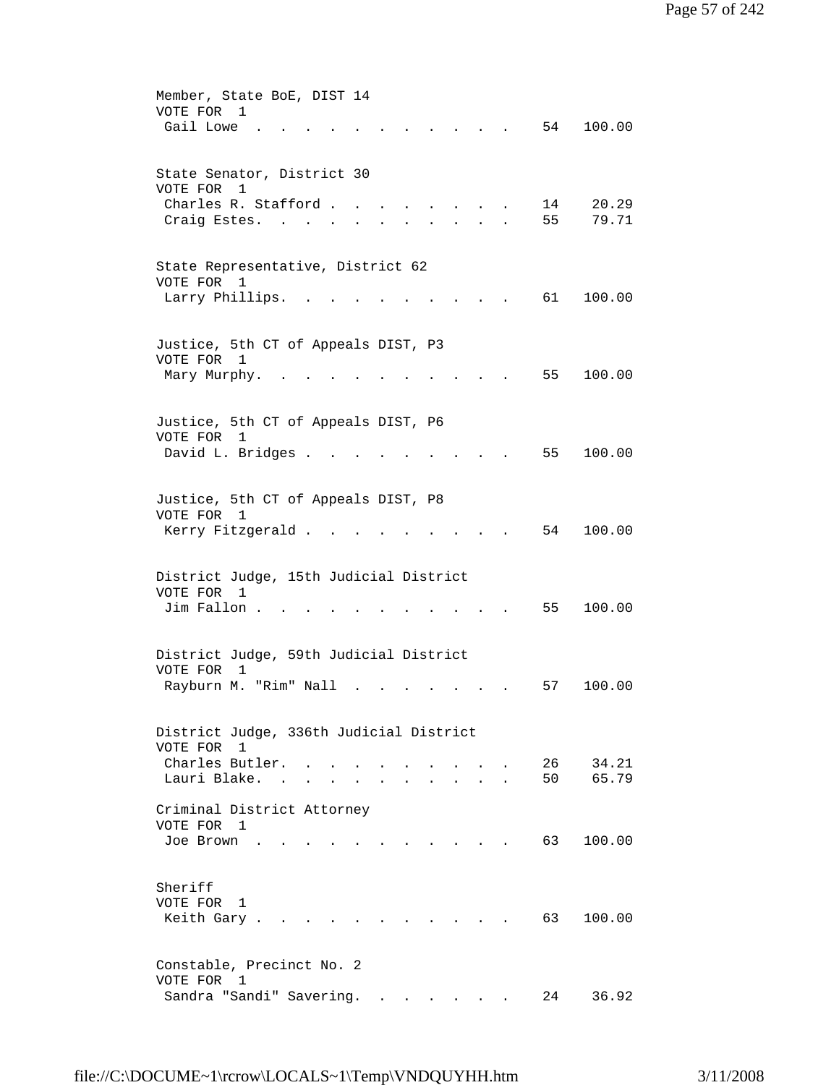| Member, State BoE, DIST 14<br>VOTE FOR<br>$\mathbf{1}$<br>Gail Lowe<br>54<br>100.00    |
|----------------------------------------------------------------------------------------|
|                                                                                        |
| State Senator, District 30<br>VOTE FOR<br>1                                            |
| Charles R. Stafford.<br>14<br>20.29<br>55<br>79.71<br>Craig Estes.                     |
| State Representative, District 62<br>VOTE FOR 1                                        |
| Larry Phillips.<br>61 —<br>100.00                                                      |
| Justice, 5th CT of Appeals DIST, P3<br>VOTE FOR<br>$\overline{1}$                      |
| 55<br>100.00<br>Mary Murphy.                                                           |
| Justice, 5th CT of Appeals DIST, P6<br>VOTE FOR<br>1                                   |
| David L. Bridges .<br>55<br>100.00                                                     |
| Justice, 5th CT of Appeals DIST, P8<br>VOTE FOR 1                                      |
| Kerry Fitzgerald .<br>54<br>100.00                                                     |
| District Judge, 15th Judicial District<br>VOTE FOR<br>1                                |
| Jim Fallon.<br>55<br>100.00                                                            |
| District Judge, 59th Judicial District<br>VOTE FOR<br>1                                |
| Rayburn M. "Rim" Nall<br>100.00<br>57                                                  |
| District Judge, 336th Judicial District<br>VOTE FOR 1                                  |
| 34.21<br>Charles Butler. .<br>26<br>65.79<br>Lauri Blake. .<br>50<br>$\sim$            |
| Criminal District Attorney<br>VOTE FOR 1                                               |
| 63<br>100.00<br>Joe Brown<br>$\mathbf{r} = \mathbf{r}$ , and $\mathbf{r} = \mathbf{r}$ |
| Sheriff<br>VOTE FOR 1                                                                  |
| Keith Gary.<br>63<br>100.00                                                            |
| Constable, Precinct No. 2<br>VOTE FOR 1                                                |
| Sandra "Sandi" Savering.<br>36.92<br>24                                                |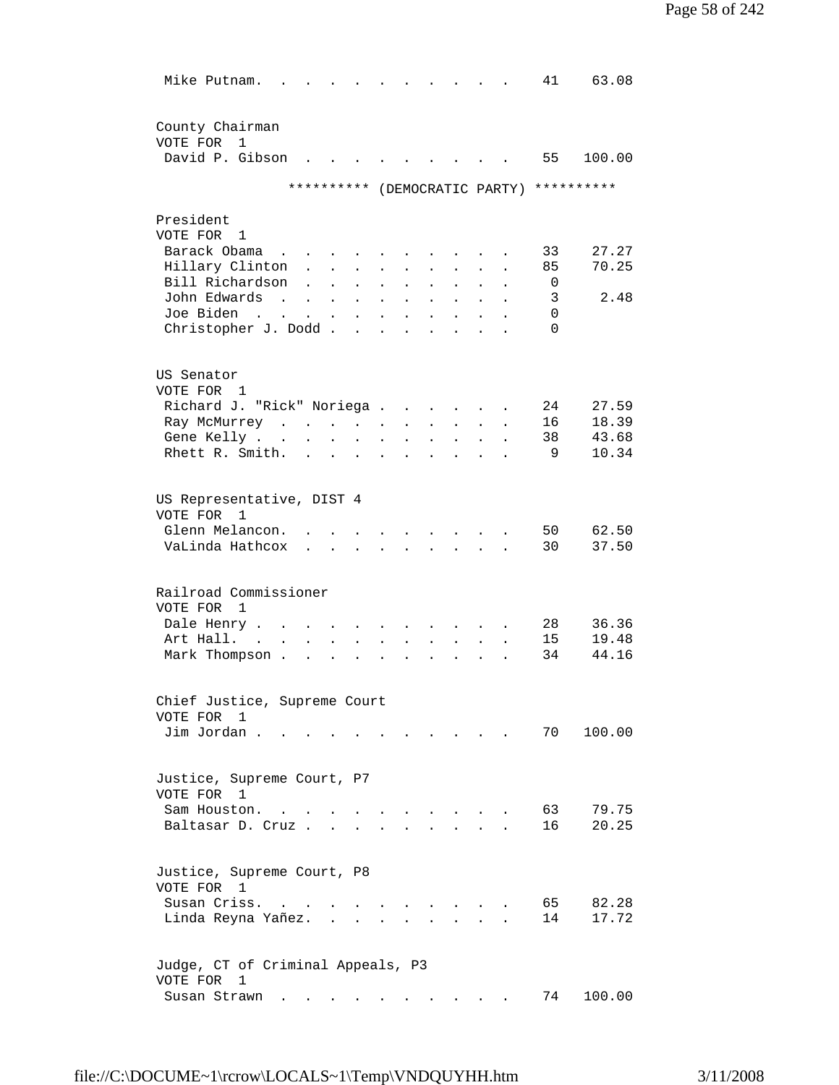| Mike Putnam.                                       |                      |                           |                           |                      |           |                      |                                         |                      |                               | 41       | 63.08      |
|----------------------------------------------------|----------------------|---------------------------|---------------------------|----------------------|-----------|----------------------|-----------------------------------------|----------------------|-------------------------------|----------|------------|
|                                                    |                      |                           |                           |                      |           |                      |                                         |                      |                               |          |            |
| County Chairman                                    |                      |                           |                           |                      |           |                      |                                         |                      |                               |          |            |
| VOTE FOR<br>1<br>David P. Gibson                   |                      |                           |                           |                      |           |                      |                                         |                      |                               | 55       | 100.00     |
|                                                    |                      |                           |                           |                      |           |                      |                                         |                      |                               |          |            |
|                                                    |                      |                           |                           |                      |           |                      |                                         |                      | ********** (DEMOCRATIC PARTY) |          | ********** |
| President                                          |                      |                           |                           |                      |           |                      |                                         |                      |                               |          |            |
| VOTE FOR 1                                         |                      |                           |                           |                      |           |                      |                                         |                      |                               |          |            |
| Barack Obama<br>$\sim$ $\sim$                      |                      |                           |                           |                      |           |                      |                                         |                      |                               | 33       | 27.27      |
| Hillary Clinton                                    | $\ddot{\phantom{0}}$ | $\ddot{\phantom{a}}$      | $\ddot{\phantom{a}}$      |                      |           |                      |                                         |                      |                               | 85       | 70.25      |
| Bill Richardson                                    | $\ddot{\phantom{a}}$ |                           | $\bullet$                 | $\ddot{\phantom{a}}$ |           |                      |                                         |                      |                               | 0        |            |
| John Edwards<br>$\sim$ 100 $\sim$                  | $\ddot{\phantom{a}}$ | $\ddot{\phantom{a}}$      | $\ddot{\phantom{a}}$      | $\bullet$            |           |                      |                                         |                      |                               | 3        | 2.48       |
| Joe Biden<br>$\sim$                                |                      | $\ddot{\phantom{a}}$      | $\ddot{\phantom{a}}$      |                      |           |                      |                                         |                      |                               | 0        |            |
| Christopher J. Dodd.                               |                      |                           | $\mathbf{r}$              |                      |           |                      |                                         |                      |                               | $\Omega$ |            |
| US Senator                                         |                      |                           |                           |                      |           |                      |                                         |                      |                               |          |            |
| VOTE FOR 1                                         |                      |                           |                           |                      |           |                      |                                         |                      |                               |          |            |
| Richard J. "Rick" Noriega .                        |                      |                           |                           |                      | $\bullet$ | $\ddot{\phantom{0}}$ |                                         |                      |                               | 24       | 27.59      |
| Ray McMurrey                                       |                      |                           |                           |                      |           |                      |                                         |                      |                               | 16       | 18.39      |
| Gene Kelly                                         | $\bullet$            | $\bullet$                 | $\ddot{\phantom{0}}$      |                      |           |                      |                                         |                      |                               | 38       | 43.68      |
| Rhett R. Smith.                                    |                      |                           |                           |                      |           |                      |                                         |                      |                               | 9        | 10.34      |
|                                                    |                      |                           |                           |                      |           |                      |                                         |                      |                               |          |            |
| US Representative, DIST 4                          |                      |                           |                           |                      |           |                      |                                         |                      |                               |          |            |
| VOTE FOR<br>1                                      |                      |                           |                           |                      |           |                      |                                         |                      |                               |          |            |
| Glenn Melancon.                                    |                      |                           |                           |                      |           |                      |                                         |                      |                               | 50       | 62.50      |
| VaLinda Hathcox                                    |                      | $\mathbf{r} = \mathbf{r}$ | $\sim$                    | $\sim$               |           |                      | $\cdot$ $\cdot$ $\cdot$ $\cdot$ $\cdot$ | $\ddot{\phantom{a}}$ |                               | 30       | 37.50      |
| Railroad Commissioner                              |                      |                           |                           |                      |           |                      |                                         |                      |                               |          |            |
| VOTE FOR<br>1                                      |                      |                           |                           |                      |           |                      |                                         |                      |                               |          |            |
| Dale Henry.                                        |                      |                           |                           |                      |           |                      |                                         |                      |                               | 28       | 36.36      |
| Art Hall.<br>$\ddot{\phantom{a}}$                  | $\ddot{\phantom{a}}$ |                           |                           |                      |           |                      |                                         |                      |                               | 15       | 19.48      |
| Mark Thompson.                                     | $\ddot{\phantom{a}}$ | $\ddot{\phantom{0}}$      | $\ddot{\phantom{a}}$      | $\ddot{\phantom{a}}$ |           |                      |                                         |                      |                               | 34       | 44.16      |
| Chief Justice, Supreme Court                       |                      |                           |                           |                      |           |                      |                                         |                      |                               |          |            |
| VOTE FOR<br>$\mathbf{1}$                           |                      |                           |                           |                      |           |                      |                                         |                      |                               |          |            |
| Jim Jordan.                                        |                      |                           |                           |                      |           |                      |                                         |                      |                               | 70       | 100.00     |
|                                                    |                      |                           |                           |                      |           |                      |                                         |                      |                               |          |            |
| Justice, Supreme Court, P7                         |                      |                           |                           |                      |           |                      |                                         |                      |                               |          |            |
| VOTE FOR 1                                         |                      |                           |                           |                      |           |                      |                                         |                      |                               |          |            |
| Sam Houston.                                       |                      |                           |                           |                      |           |                      |                                         |                      |                               | 63       | 79.75      |
| Baltasar D. Cruz                                   |                      |                           |                           |                      |           |                      |                                         |                      |                               | 16       | 20.25      |
|                                                    |                      |                           |                           |                      |           |                      |                                         |                      |                               |          |            |
| Justice, Supreme Court, P8                         |                      |                           |                           |                      |           |                      |                                         |                      |                               |          |            |
| VOTE FOR 1                                         |                      |                           |                           |                      |           |                      |                                         |                      |                               |          |            |
| Susan Criss.<br>$\sim$                             | $\sim$               | $\mathbf{r}$              |                           |                      |           |                      |                                         |                      |                               | 65       | 82.28      |
| Linda Reyna Yañez.                                 |                      |                           | $\mathbf{r} = \mathbf{r}$ |                      |           |                      |                                         |                      |                               | 14       | 17.72      |
|                                                    |                      |                           |                           |                      |           |                      |                                         |                      |                               |          |            |
| Judge, CT of Criminal Appeals, P3<br>VOTE FOR<br>1 |                      |                           |                           |                      |           |                      |                                         |                      |                               |          |            |
| Susan Strawn                                       |                      |                           |                           |                      |           |                      |                                         |                      |                               | 74       | 100.00     |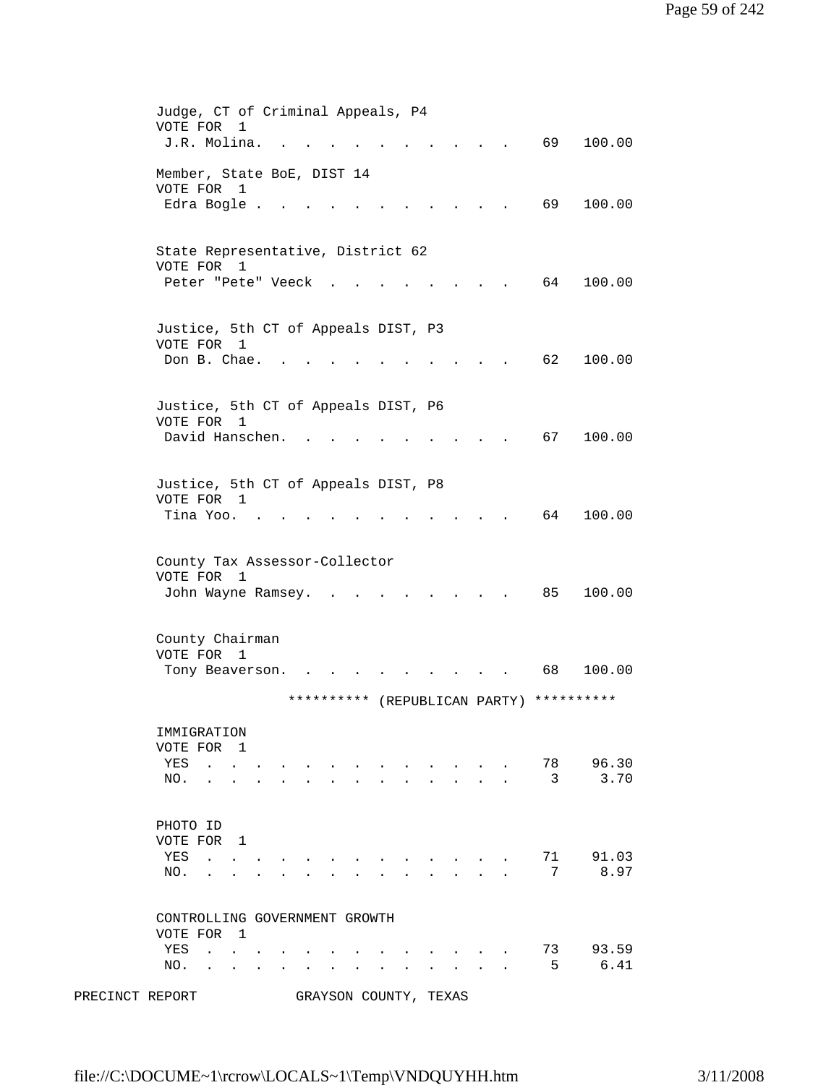|                 | Judge, CT of Criminal Appeals, P4                                                                                                                                                                           |
|-----------------|-------------------------------------------------------------------------------------------------------------------------------------------------------------------------------------------------------------|
|                 | VOTE FOR<br>$\mathbf{1}$                                                                                                                                                                                    |
|                 | J.R. Molina.<br>69<br>100.00                                                                                                                                                                                |
|                 | Member, State BoE, DIST 14                                                                                                                                                                                  |
|                 | VOTE FOR 1                                                                                                                                                                                                  |
|                 | 69<br>100.00<br>Edra Bogle                                                                                                                                                                                  |
|                 |                                                                                                                                                                                                             |
|                 |                                                                                                                                                                                                             |
|                 | State Representative, District 62                                                                                                                                                                           |
|                 | VOTE FOR 1                                                                                                                                                                                                  |
|                 | 64<br>Peter "Pete" Veeck<br>100.00                                                                                                                                                                          |
|                 |                                                                                                                                                                                                             |
|                 | Justice, 5th CT of Appeals DIST, P3                                                                                                                                                                         |
|                 | VOTE FOR 1                                                                                                                                                                                                  |
|                 | Don B. Chae.<br>62<br>100.00                                                                                                                                                                                |
|                 |                                                                                                                                                                                                             |
|                 |                                                                                                                                                                                                             |
|                 | Justice, 5th CT of Appeals DIST, P6                                                                                                                                                                         |
|                 | VOTE FOR<br>1                                                                                                                                                                                               |
|                 | David Hanschen.<br>67<br>100.00                                                                                                                                                                             |
|                 |                                                                                                                                                                                                             |
|                 |                                                                                                                                                                                                             |
|                 | Justice, 5th CT of Appeals DIST, P8<br>VOTE FOR 1                                                                                                                                                           |
|                 | Tina Yoo.<br>64<br>100.00                                                                                                                                                                                   |
|                 |                                                                                                                                                                                                             |
|                 |                                                                                                                                                                                                             |
|                 | County Tax Assessor-Collector                                                                                                                                                                               |
|                 | VOTE FOR<br>1                                                                                                                                                                                               |
|                 | 100.00<br>John Wayne Ramsey.<br>85                                                                                                                                                                          |
|                 |                                                                                                                                                                                                             |
|                 | County Chairman                                                                                                                                                                                             |
|                 | VOTE FOR 1                                                                                                                                                                                                  |
|                 | 100.00<br>68<br>Tony Beaverson.<br>$\bullet$ . The set of $\bullet$                                                                                                                                         |
|                 |                                                                                                                                                                                                             |
|                 | **********<br>**********<br>(REPUBLICAN PARTY)                                                                                                                                                              |
|                 |                                                                                                                                                                                                             |
|                 | IMMIGRATION                                                                                                                                                                                                 |
|                 | VOTE FOR 1                                                                                                                                                                                                  |
|                 | 96.30<br>78<br>YES<br>$\sim$ $\sim$<br>3<br>3.70                                                                                                                                                            |
|                 | NO.<br>$\ddot{\phantom{a}}$                                                                                                                                                                                 |
|                 |                                                                                                                                                                                                             |
|                 | PHOTO ID                                                                                                                                                                                                    |
|                 | VOTE FOR 1                                                                                                                                                                                                  |
|                 | 71<br>91.03<br>YES<br>and the state of the state of                                                                                                                                                         |
|                 | 7<br>8.97<br>NO.<br>$\mathbf{L} = \mathbf{L} \mathbf{L} = \mathbf{L} \mathbf{L}$<br>$\ddot{\phantom{a}}$<br>$\ddot{\phantom{a}}$                                                                            |
|                 |                                                                                                                                                                                                             |
|                 |                                                                                                                                                                                                             |
|                 | CONTROLLING GOVERNMENT GROWTH                                                                                                                                                                               |
|                 | VOTE FOR 1                                                                                                                                                                                                  |
|                 | 93.59<br>73<br>YES<br><b>Contract Contract Contract</b><br>$\mathbf{r} = \mathbf{r} \cdot \mathbf{r}$<br>5<br>6.41                                                                                          |
|                 | NO.<br>$\mathbf{r} = \mathbf{r}$<br>$\sim$ $\sim$ $\sim$ $\sim$<br>$\ddot{\phantom{a}}$<br>$\ddot{\phantom{a}}$<br>$\ddot{\phantom{a}}$<br>$\ddot{\phantom{a}}$<br>$\ddot{\phantom{a}}$<br>$\sim$<br>$\sim$ |
| PRECINCT REPORT | GRAYSON COUNTY, TEXAS                                                                                                                                                                                       |
|                 |                                                                                                                                                                                                             |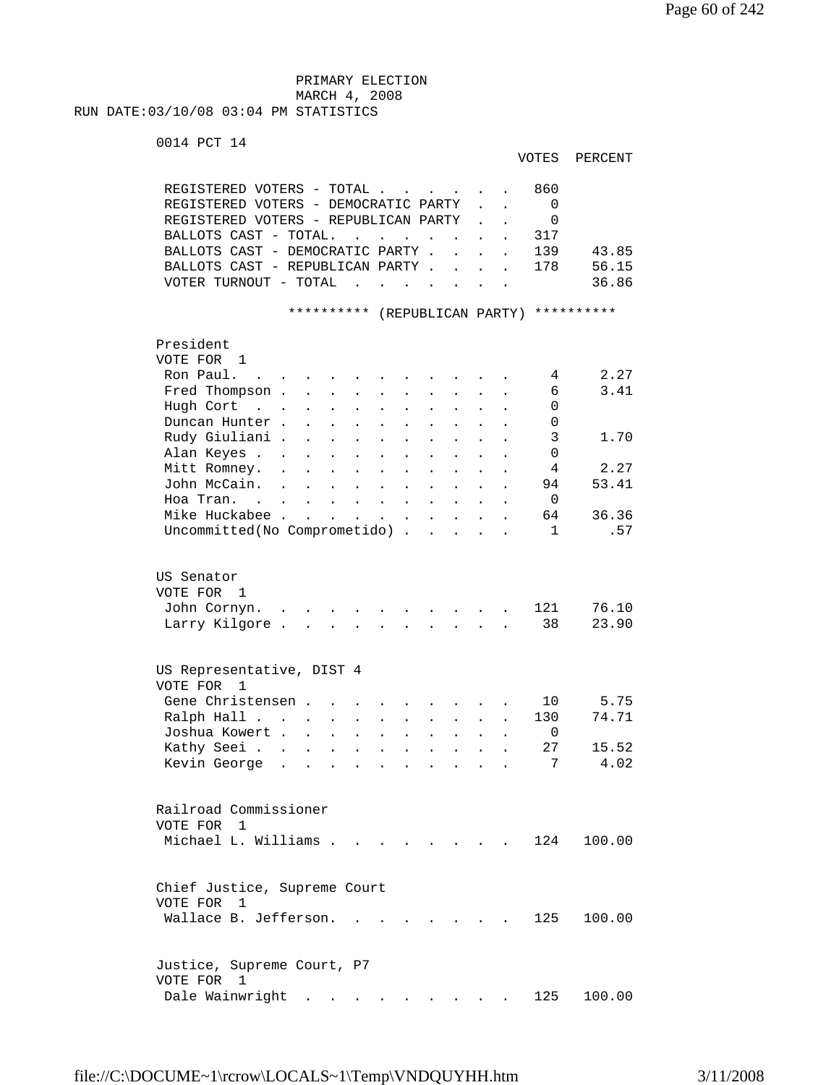PRIMARY ELECTION MARCH 4, 2008 RUN DATE:03/10/08 03:04 PM STATISTICS

```
 0014 PCT 14
```

|                                                                            |                      |                                              |                      |                           |                      |                                                                          |                                                             |                      |                      | VOTES           | PERCENT                                  |  |
|----------------------------------------------------------------------------|----------------------|----------------------------------------------|----------------------|---------------------------|----------------------|--------------------------------------------------------------------------|-------------------------------------------------------------|----------------------|----------------------|-----------------|------------------------------------------|--|
| REGISTERED VOTERS - TOTAL                                                  |                      |                                              |                      |                           |                      |                                                                          |                                                             |                      |                      | 860             |                                          |  |
| REGISTERED VOTERS - DEMOCRATIC PARTY                                       |                      |                                              |                      |                           |                      |                                                                          |                                                             |                      |                      | 0               |                                          |  |
| REGISTERED VOTERS - REPUBLICAN PARTY                                       |                      |                                              |                      |                           |                      |                                                                          |                                                             |                      |                      | $\mathbf{0}$    |                                          |  |
| BALLOTS CAST - TOTAL.                                                      |                      |                                              |                      |                           |                      |                                                                          |                                                             |                      |                      | 317             |                                          |  |
| BALLOTS CAST - DEMOCRATIC PARTY .                                          |                      |                                              |                      |                           |                      |                                                                          | $\mathbf{A}$                                                | $\sim$               | $\overline{a}$       | 139             | 43.85                                    |  |
| BALLOTS CAST - REPUBLICAN PARTY                                            |                      |                                              |                      |                           |                      |                                                                          |                                                             |                      |                      | 178             | 56.15                                    |  |
| VOTER TURNOUT - TOTAL                                                      |                      |                                              | $\sim$               |                           |                      | $\mathbf{r}$ , $\mathbf{r}$ , $\mathbf{r}$ , $\mathbf{r}$ , $\mathbf{r}$ |                                                             |                      | $\ddot{\phantom{a}}$ |                 | 36.86                                    |  |
|                                                                            |                      |                                              |                      |                           |                      |                                                                          |                                                             |                      |                      |                 | ********** (REPUBLICAN PARTY) ********** |  |
| President                                                                  |                      |                                              |                      |                           |                      |                                                                          |                                                             |                      |                      |                 |                                          |  |
| VOTE FOR 1                                                                 |                      |                                              |                      |                           |                      |                                                                          |                                                             |                      |                      |                 |                                          |  |
| Ron Paul.                                                                  |                      |                                              |                      |                           |                      |                                                                          |                                                             |                      |                      | 4               | 2.27                                     |  |
| Fred Thompson                                                              |                      |                                              |                      | $\sim$                    | $\ddot{\phantom{0}}$ | $\mathbf{L}$                                                             | $\sim$                                                      | $\mathbf{r}$         |                      | 6               | 3.41                                     |  |
| Hugh Cort<br>$\mathcal{L}^{\text{max}}$ , where $\mathcal{L}^{\text{max}}$ |                      | $\mathbf{L}$                                 | $\cdot$ $\cdot$      | $\ddot{\phantom{a}}$      | $\ddot{\phantom{a}}$ | $\ddot{\phantom{a}}$                                                     |                                                             |                      |                      | 0               |                                          |  |
| Duncan Hunter.                                                             |                      | $\ddot{\phantom{a}}$<br>$\ddot{\phantom{a}}$ | $\sim$ 100 $\sim$    | $\ddot{\phantom{a}}$      | $\ddot{\phantom{a}}$ | $\ddot{\phantom{a}}$                                                     |                                                             |                      |                      | 0               |                                          |  |
| Rudy Giuliani.                                                             |                      | $\ddot{\phantom{a}}$<br>$\ddot{\phantom{0}}$ | $\sim$ $-$           | $\ddot{\phantom{0}}$      | $\bullet$            | $\bullet$                                                                |                                                             |                      |                      | 3               | 1.70                                     |  |
| Alan Keyes                                                                 |                      |                                              | $\bullet$            |                           |                      |                                                                          |                                                             |                      |                      | $\mathbf 0$     |                                          |  |
| Mitt Romney.                                                               |                      |                                              |                      |                           | $\bullet$            |                                                                          |                                                             |                      |                      | 4               | 2.27                                     |  |
|                                                                            | $\ddot{\phantom{a}}$ | $\ddot{\phantom{0}}$                         | $\bullet$            | $\ddot{\phantom{0}}$      |                      |                                                                          |                                                             |                      |                      |                 |                                          |  |
| John McCain.                                                               | $\ddot{\phantom{a}}$ | $\ddot{\phantom{a}}$                         |                      | $\ddot{\phantom{0}}$      |                      |                                                                          |                                                             |                      |                      | 94              | 53.41                                    |  |
| Hoa Tran. .                                                                | $\ddot{\phantom{0}}$ | $\ddot{\phantom{0}}$<br>$\ddot{\phantom{a}}$ | $\ddot{\phantom{0}}$ | $\blacksquare$            | $\ddot{\phantom{a}}$ |                                                                          | $\ddot{\phantom{a}}$                                        |                      |                      | 0               |                                          |  |
| Mike Huckabee                                                              |                      | $\ddot{\phantom{0}}$                         |                      | $\mathbf{L}^{\text{max}}$ | $\bullet$            |                                                                          | $\ddot{\phantom{a}}$                                        |                      |                      | 64              | 36.36                                    |  |
| Uncommitted(No Comprometido)                                               |                      |                                              |                      |                           |                      |                                                                          | $\ddot{\phantom{a}}$                                        | $\ddot{\phantom{a}}$ | $\overline{a}$       | $\mathbf{1}$    | .57                                      |  |
| US Senator                                                                 |                      |                                              |                      |                           |                      |                                                                          |                                                             |                      |                      |                 |                                          |  |
| VOTE FOR 1                                                                 |                      |                                              |                      |                           |                      |                                                                          |                                                             |                      |                      |                 |                                          |  |
| John Cornyn. .                                                             |                      |                                              |                      |                           |                      |                                                                          |                                                             |                      |                      | 121             | 76.10                                    |  |
| Larry Kilgore.                                                             |                      |                                              |                      |                           |                      |                                                                          |                                                             |                      |                      | 38              | 23.90                                    |  |
|                                                                            |                      |                                              |                      |                           |                      |                                                                          |                                                             |                      |                      |                 |                                          |  |
| US Representative, DIST 4                                                  |                      |                                              |                      |                           |                      |                                                                          |                                                             |                      |                      |                 |                                          |  |
| VOTE FOR 1                                                                 |                      |                                              |                      |                           |                      |                                                                          |                                                             |                      |                      |                 |                                          |  |
| Gene Christensen                                                           |                      |                                              |                      |                           |                      |                                                                          |                                                             |                      |                      | 10              | 5.75                                     |  |
| Ralph Hall                                                                 |                      |                                              |                      | $\mathbf{z} = \mathbf{z}$ | $\bullet$            | $\mathbf{z} = \mathbf{z}$                                                | $\bullet$ .<br><br><br><br><br><br><br><br><br><br><br><br> |                      | $\bullet$            | 130             | 74.71                                    |  |
| Joshua Kowert                                                              |                      |                                              | $\bullet$            | $\ddot{\phantom{0}}$      | $\bullet$            |                                                                          |                                                             |                      |                      | 0               |                                          |  |
| Kathy Seei.                                                                |                      |                                              | $\bullet$            | $\mathbf{z} = \mathbf{z}$ | $\bullet$            | $\bullet$                                                                | $\bullet$                                                   |                      |                      | 27              | 15.52                                    |  |
| Kevin George                                                               |                      |                                              |                      |                           |                      |                                                                          |                                                             |                      |                      | $7\overline{ }$ | 4.02                                     |  |
| Railroad Commissioner                                                      |                      |                                              |                      |                           |                      |                                                                          |                                                             |                      |                      |                 |                                          |  |
| VOTE FOR 1                                                                 |                      |                                              |                      |                           |                      |                                                                          |                                                             |                      |                      |                 |                                          |  |
| Michael L. Williams .                                                      |                      |                                              |                      |                           |                      |                                                                          |                                                             |                      |                      | 124             | 100.00                                   |  |
| Chief Justice, Supreme Court                                               |                      |                                              |                      |                           |                      |                                                                          |                                                             |                      |                      |                 |                                          |  |
| VOTE FOR 1                                                                 |                      |                                              |                      |                           |                      |                                                                          |                                                             |                      |                      |                 |                                          |  |
| Wallace B. Jefferson.                                                      |                      |                                              |                      |                           |                      |                                                                          |                                                             |                      |                      | 125             | 100.00                                   |  |
| Justice, Supreme Court, P7<br>VOTE FOR 1                                   |                      |                                              |                      |                           |                      |                                                                          |                                                             |                      |                      |                 |                                          |  |
| Dale Wainwright                                                            |                      |                                              |                      |                           |                      | the contract of the contract of the contract of                          |                                                             |                      |                      | 125             | 100.00                                   |  |
|                                                                            |                      |                                              |                      |                           |                      |                                                                          |                                                             |                      |                      |                 |                                          |  |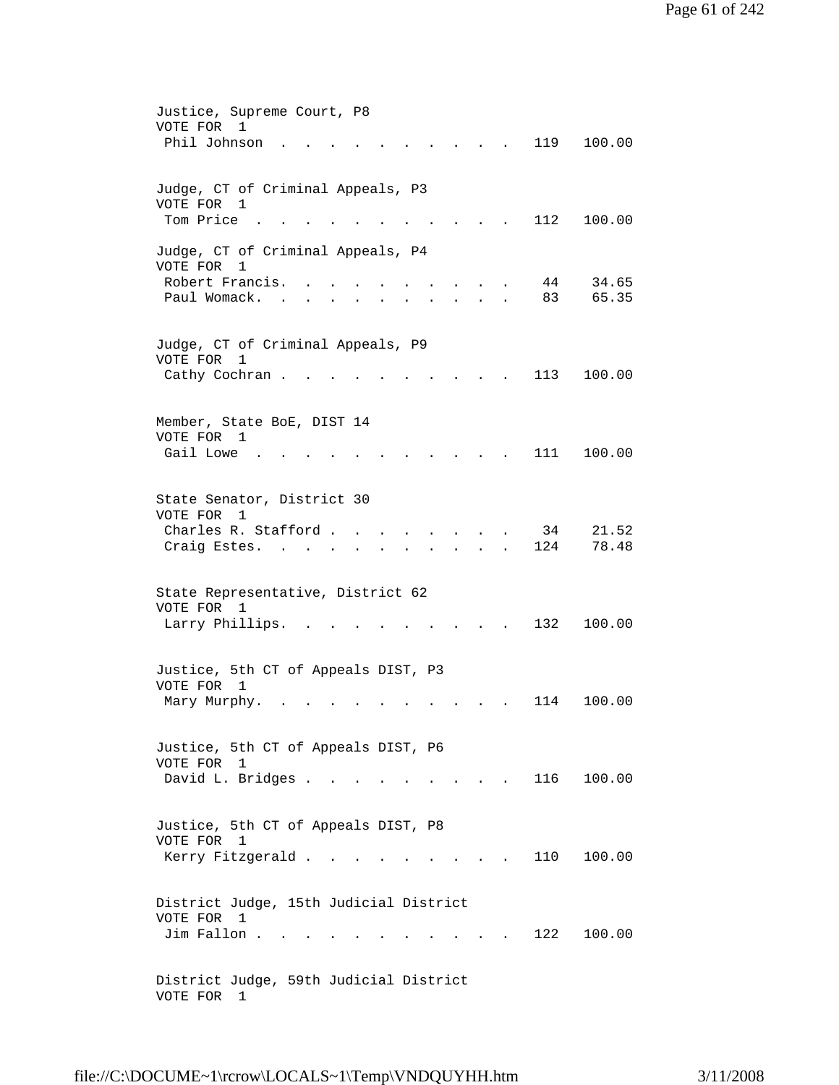| Justice, Supreme Court, P8<br>VOTE FOR<br>1                                                                                                  |
|----------------------------------------------------------------------------------------------------------------------------------------------|
| Phil Johnson<br>119<br>100.00                                                                                                                |
| Judge, CT of Criminal Appeals, P3<br>VOTE FOR 1<br>Tom Price<br>112<br>100.00                                                                |
| Judge, CT of Criminal Appeals, P4                                                                                                            |
| VOTE FOR<br>1<br>Robert Francis.<br>44<br>34.65<br>Paul Womack.<br>83<br>65.35<br>$\sim 100$<br>$\ddot{\phantom{0}}$<br>$\ddot{\phantom{0}}$ |
|                                                                                                                                              |
| Judge, CT of Criminal Appeals, P9<br>VOTE FOR<br>1                                                                                           |
| Cathy Cochran.<br>100.00<br>113                                                                                                              |
| Member, State BoE, DIST 14<br>VOTE FOR 1                                                                                                     |
| Gail Lowe.<br>111<br>100.00                                                                                                                  |
| State Senator, District 30<br>VOTE FOR 1                                                                                                     |
| Charles R. Stafford<br>34<br>21.52<br>78.48<br>Craig Estes.<br>124                                                                           |
|                                                                                                                                              |
| State Representative, District 62<br>VOTE FOR 1                                                                                              |
| 132<br>Larry Phillips.<br>100.00                                                                                                             |
| Justice, 5th CT of Appeals DIST, P3<br>VOTE FOR 1                                                                                            |
| 100.00<br>Mary Murphy.<br>114                                                                                                                |
| Justice, 5th CT of Appeals DIST, P6<br>VOTE FOR 1                                                                                            |
| David L. Bridges<br>116 100.00                                                                                                               |
| Justice, 5th CT of Appeals DIST, P8<br>VOTE FOR 1                                                                                            |
| Kerry Fitzgerald<br>110<br>100.00<br>and the state of the state of                                                                           |
| District Judge, 15th Judicial District<br>VOTE FOR 1                                                                                         |
| Jim Fallon.<br>122<br>100.00                                                                                                                 |
| District Judge, 59th Judicial District<br>VOTE FOR<br>$\mathbf{1}$                                                                           |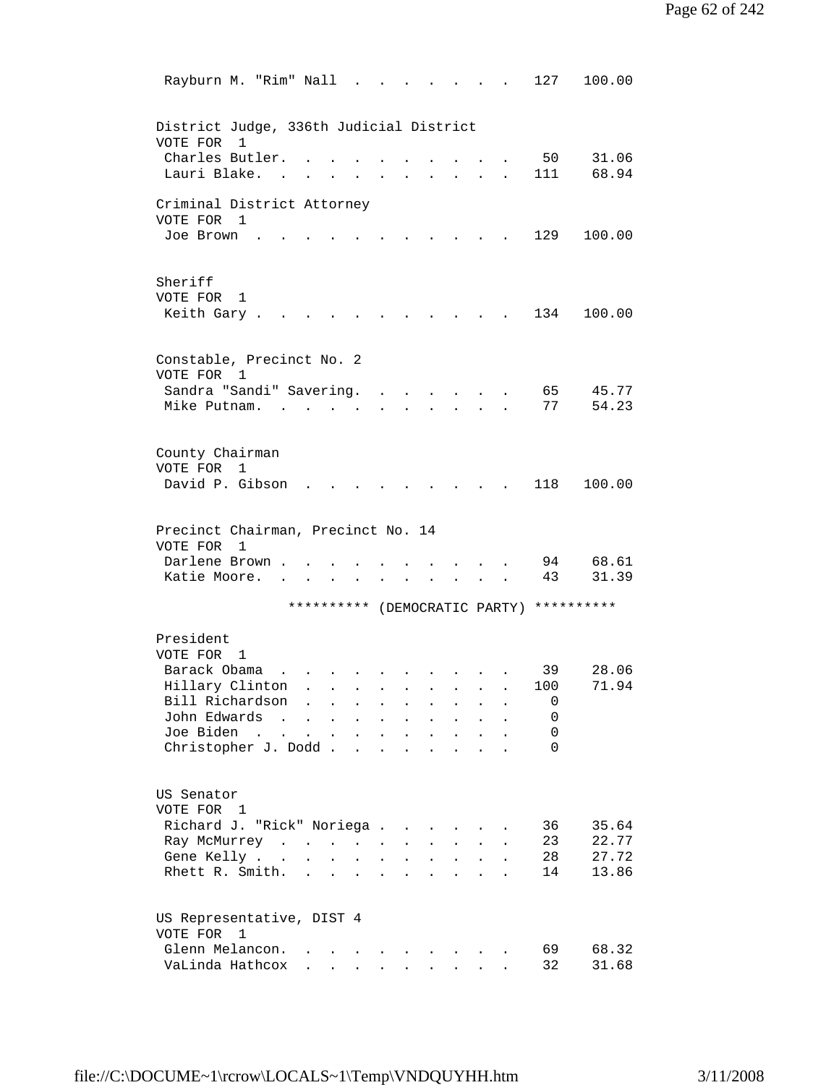| Rayburn M. "Rim" Nall .                             |                      |                      |                      |                      |                      |                           |                           |                |                               | 127      | 100.00         |
|-----------------------------------------------------|----------------------|----------------------|----------------------|----------------------|----------------------|---------------------------|---------------------------|----------------|-------------------------------|----------|----------------|
| District Judge, 336th Judicial District             |                      |                      |                      |                      |                      |                           |                           |                |                               |          |                |
| VOTE FOR<br>1<br>Charles Butler.                    |                      |                      |                      |                      |                      |                           |                           |                |                               | 50       | 31.06          |
| Lauri Blake.                                        |                      |                      |                      |                      |                      |                           |                           |                |                               | 111      | 68.94          |
| Criminal District Attorney<br>VOTE FOR 1            |                      |                      |                      |                      |                      |                           |                           |                |                               |          |                |
| Joe Brown                                           |                      |                      |                      |                      |                      |                           |                           |                |                               | 129      | 100.00         |
| Sheriff                                             |                      |                      |                      |                      |                      |                           |                           |                |                               |          |                |
| VOTE FOR 1                                          |                      |                      |                      |                      |                      |                           |                           |                |                               |          |                |
| Keith Gary.                                         |                      |                      |                      |                      |                      |                           |                           |                |                               | 134      | 100.00         |
| Constable, Precinct No. 2<br>VOTE FOR 1             |                      |                      |                      |                      |                      |                           |                           |                |                               |          |                |
| Sandra "Sandi" Savering.                            |                      |                      |                      |                      |                      |                           |                           |                |                               | 65       | 45.77          |
| Mike Putnam.                                        |                      |                      |                      |                      |                      |                           |                           |                |                               | 77       | 54.23          |
| County Chairman                                     |                      |                      |                      |                      |                      |                           |                           |                |                               |          |                |
| VOTE FOR 1                                          |                      |                      |                      |                      |                      |                           |                           |                |                               |          |                |
| David P. Gibson                                     |                      |                      |                      |                      |                      |                           |                           |                |                               | 118      | 100.00         |
| Precinct Chairman, Precinct No. 14<br>VOTE FOR<br>1 |                      |                      |                      |                      |                      |                           |                           |                |                               |          |                |
| Darlene Brown.                                      |                      |                      |                      |                      |                      |                           |                           |                |                               | 94       | 68.61          |
| Katie Moore.                                        |                      |                      |                      |                      |                      |                           |                           |                |                               | 43       | 31.39          |
|                                                     |                      |                      |                      |                      |                      |                           |                           |                | ********** (DEMOCRATIC PARTY) |          | **********     |
| President                                           |                      |                      |                      |                      |                      |                           |                           |                |                               |          |                |
| VOTE FOR<br>1<br>Barack Obama                       |                      |                      |                      |                      |                      |                           |                           |                |                               | 39       | 28.06          |
| Hillary Clinton .                                   |                      |                      | $\ddot{\phantom{0}}$ |                      |                      |                           |                           |                |                               | 100      | 71.94          |
| Bill Richardson                                     |                      |                      |                      |                      |                      |                           |                           |                |                               | 0        |                |
| John Edwards<br>$\sim$ $\sim$                       | $\ddot{\phantom{a}}$ | $\ddot{\phantom{a}}$ | $\ddot{\phantom{a}}$ | $\ddot{\phantom{a}}$ | $\ddot{\phantom{a}}$ | $\ddot{\phantom{a}}$      |                           |                |                               | 0        |                |
| Joe Biden<br>$\sim$ $\sim$ $\sim$ $\sim$            | $\mathbf{L}$         | $\sim$               | $\bullet$            | $\ddot{\phantom{a}}$ | $\ddot{\phantom{a}}$ | $\ddot{\phantom{a}}$      |                           |                |                               | 0        |                |
| Christopher J. Dodd.                                |                      |                      | $\ddot{\phantom{a}}$ | $\sim$               | $\mathbf{r}$         | $\mathbf{r}$              | $\mathbf{A}^{\mathbf{r}}$ | $\overline{a}$ |                               | $\Omega$ |                |
| US Senator                                          |                      |                      |                      |                      |                      |                           |                           |                |                               |          |                |
| VOTE FOR 1                                          |                      |                      |                      |                      |                      |                           |                           |                |                               |          |                |
| Richard J. "Rick" Noriega.                          |                      |                      |                      |                      | $\sim$ 100 $\pm$     |                           |                           |                |                               | 36       | 35.64          |
| Ray McMurrey                                        |                      |                      |                      |                      |                      |                           |                           |                |                               | 23       | 22.77          |
| Gene Kelly .<br>$\sim$                              | $\ddot{\phantom{a}}$ | $\ddot{\phantom{a}}$ | $\ddot{\phantom{a}}$ |                      |                      |                           | $\ddot{\phantom{0}}$      |                |                               | 28       | 27.72          |
| Rhett R. Smith.                                     | $\ddot{\phantom{0}}$ | $\overline{a}$       |                      |                      |                      |                           |                           |                |                               | 14       | 13.86          |
| US Representative, DIST 4                           |                      |                      |                      |                      |                      |                           |                           |                |                               |          |                |
| VOTE FOR<br>1                                       |                      |                      |                      |                      |                      |                           |                           |                |                               |          |                |
|                                                     |                      |                      |                      |                      |                      |                           |                           |                |                               |          |                |
| Glenn Melancon.<br>VaLinda Hathcox                  |                      |                      |                      |                      |                      | $\mathbf{L}^{\text{max}}$ |                           |                |                               | 69<br>32 | 68.32<br>31.68 |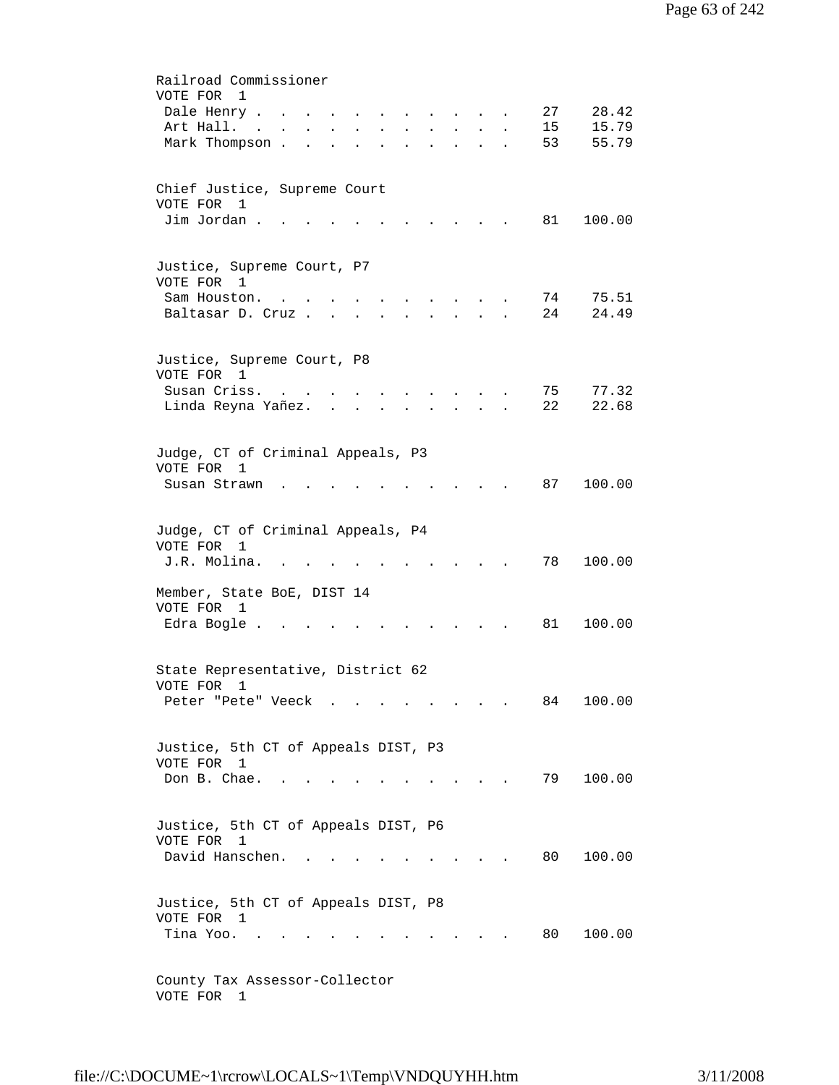| Railroad Commissioner                                                                                                                                                                                            |
|------------------------------------------------------------------------------------------------------------------------------------------------------------------------------------------------------------------|
| VOTE FOR<br>$\overline{1}$                                                                                                                                                                                       |
| 27<br>28.42<br>Dale Henry<br>$\mathbf{r}$ $\mathbf{r}$<br>$\mathbf{r} = \mathbf{r}$ , and $\mathbf{r} = \mathbf{r}$ , and $\mathbf{r} = \mathbf{r}$                                                              |
| 15.79<br>Art Hall.<br>15<br>the contract of the contract of<br>$\mathbf{r}$ . The set of $\mathbf{r}$<br>$\ddot{\phantom{a}}$                                                                                    |
| Mark Thompson.<br>53<br>55.79<br><b>Contractor</b><br>$\ddot{\phantom{a}}$<br><b>All Contracts</b><br>$\sim$<br>$\ddot{\phantom{a}}$<br>$\bullet$ .<br><br><br><br><br><br><br><br><br><br><br><br><br>$\bullet$ |
|                                                                                                                                                                                                                  |
|                                                                                                                                                                                                                  |
| Chief Justice, Supreme Court<br>VOTE FOR 1                                                                                                                                                                       |
| Jim Jordan.<br>81<br>100.00                                                                                                                                                                                      |
|                                                                                                                                                                                                                  |
|                                                                                                                                                                                                                  |
| Justice, Supreme Court, P7                                                                                                                                                                                       |
| VOTE FOR 1                                                                                                                                                                                                       |
| 74<br>75.51<br>Sam Houston.<br>$\sim$ 10 $\pm$                                                                                                                                                                   |
| 24<br>24.49<br>Baltasar D. Cruz<br>$\ddot{\phantom{a}}$<br>$\ddot{\phantom{a}}$                                                                                                                                  |
|                                                                                                                                                                                                                  |
|                                                                                                                                                                                                                  |
| Justice, Supreme Court, P8                                                                                                                                                                                       |
| VOTE FOR 1                                                                                                                                                                                                       |
| Susan Criss.<br>77.32<br>75<br>$\sim$ $\sim$ $\sim$ $\sim$ $\sim$ $\sim$ $\sim$                                                                                                                                  |
| 22<br>22.68<br>Linda Reyna Yañez.<br>$\mathbf{r}$ , $\mathbf{r}$ , $\mathbf{r}$ , $\mathbf{r}$<br>$\mathbf{r}$ and $\mathbf{r}$ and $\mathbf{r}$                                                                 |
|                                                                                                                                                                                                                  |
| Judge, CT of Criminal Appeals, P3                                                                                                                                                                                |
| VOTE FOR<br>1                                                                                                                                                                                                    |
| 87<br>100.00<br>Susan Strawn                                                                                                                                                                                     |
|                                                                                                                                                                                                                  |
|                                                                                                                                                                                                                  |
| Judge, CT of Criminal Appeals, P4                                                                                                                                                                                |
| VOTE FOR 1                                                                                                                                                                                                       |
| J.R. Molina.<br>78<br>100.00                                                                                                                                                                                     |
|                                                                                                                                                                                                                  |
| Member, State BoE, DIST 14                                                                                                                                                                                       |
| VOTE FOR 1<br>100.00                                                                                                                                                                                             |
| Edra Bogle .<br>81                                                                                                                                                                                               |
|                                                                                                                                                                                                                  |
| State Representative, District 62                                                                                                                                                                                |
| VOTE FOR 1                                                                                                                                                                                                       |
| Peter "Pete" Veeck<br>84<br>100.00                                                                                                                                                                               |
|                                                                                                                                                                                                                  |
|                                                                                                                                                                                                                  |
| Justice, 5th CT of Appeals DIST, P3                                                                                                                                                                              |
| VOTE FOR 1                                                                                                                                                                                                       |
| Don B. Chae.<br>79<br>100.00<br>$\sim$                                                                                                                                                                           |
|                                                                                                                                                                                                                  |
|                                                                                                                                                                                                                  |
| Justice, 5th CT of Appeals DIST, P6                                                                                                                                                                              |
| VOTE FOR 1<br>David Hanschen.<br>100.00<br>80 -                                                                                                                                                                  |
| $\mathbf{r}$ . The set of $\mathbf{r}$                                                                                                                                                                           |
|                                                                                                                                                                                                                  |
| Justice, 5th CT of Appeals DIST, P8                                                                                                                                                                              |
| VOTE FOR 1                                                                                                                                                                                                       |
| 80<br>100.00<br>Tina Yoo. .                                                                                                                                                                                      |
|                                                                                                                                                                                                                  |
|                                                                                                                                                                                                                  |
| County Tax Assessor-Collector                                                                                                                                                                                    |
| VOTE FOR<br>1                                                                                                                                                                                                    |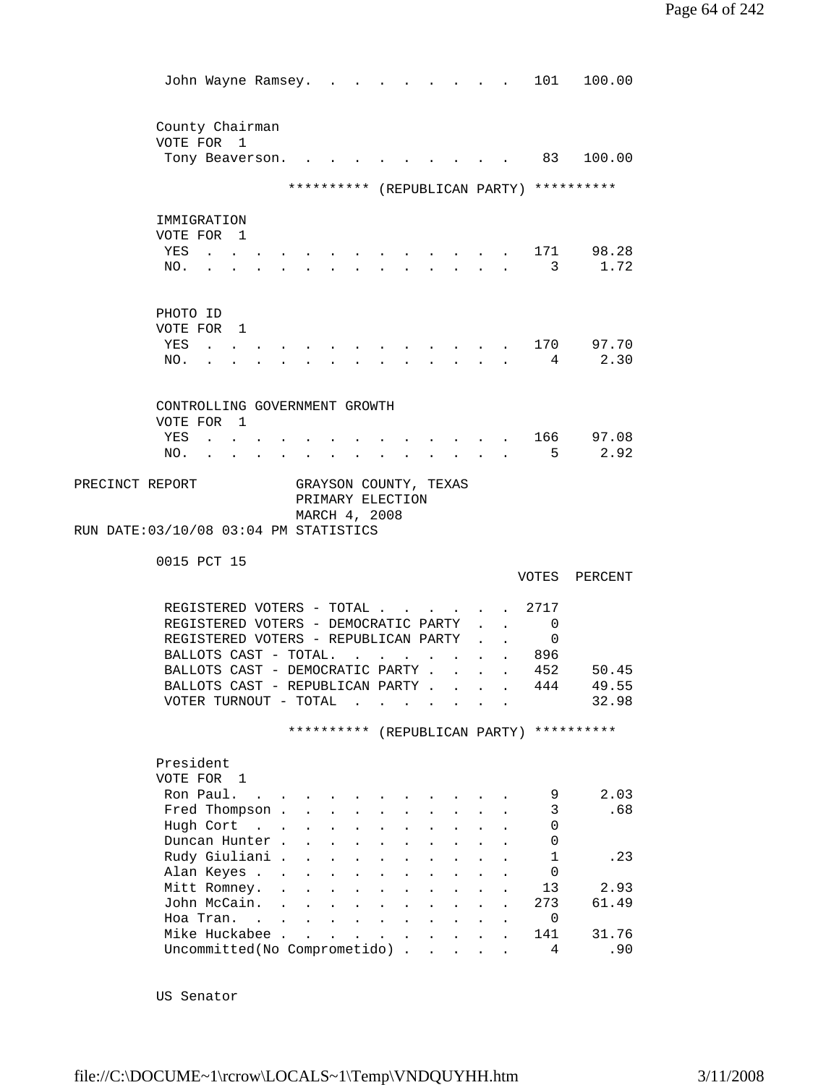| John Wayne Ramsey.                                                                                                                                   |                   |                                              |                                         |                                 |                      |        |              | 101                                | 100.00                                   |
|------------------------------------------------------------------------------------------------------------------------------------------------------|-------------------|----------------------------------------------|-----------------------------------------|---------------------------------|----------------------|--------|--------------|------------------------------------|------------------------------------------|
|                                                                                                                                                      |                   |                                              |                                         |                                 |                      |        |              |                                    |                                          |
|                                                                                                                                                      |                   |                                              |                                         |                                 |                      |        |              |                                    |                                          |
| County Chairman<br>VOTE FOR 1                                                                                                                        |                   |                                              |                                         |                                 |                      |        |              |                                    |                                          |
| Tony Beaverson.                                                                                                                                      |                   |                                              |                                         |                                 |                      |        |              |                                    | . 83 100.00                              |
|                                                                                                                                                      |                   |                                              |                                         |                                 |                      |        |              |                                    |                                          |
|                                                                                                                                                      |                   |                                              |                                         |                                 |                      |        |              |                                    | ********** (REPUBLICAN PARTY) ********** |
|                                                                                                                                                      |                   |                                              |                                         |                                 |                      |        |              |                                    |                                          |
| IMMIGRATION                                                                                                                                          |                   |                                              |                                         |                                 |                      |        |              |                                    |                                          |
| VOTE FOR 1                                                                                                                                           |                   |                                              |                                         |                                 |                      |        |              |                                    |                                          |
| YES<br>$\mathbf{1}^{\prime}$ , $\mathbf{1}^{\prime}$ , $\mathbf{1}^{\prime}$ , $\mathbf{1}^{\prime}$ , $\mathbf{1}^{\prime}$ , $\mathbf{1}^{\prime}$ |                   |                                              |                                         |                                 |                      |        |              |                                    | 171 98.28                                |
| NO.                                                                                                                                                  |                   |                                              |                                         |                                 |                      |        |              | 3                                  | 1.72                                     |
|                                                                                                                                                      |                   |                                              |                                         |                                 |                      |        |              |                                    |                                          |
| PHOTO ID                                                                                                                                             |                   |                                              |                                         |                                 |                      |        |              |                                    |                                          |
| VOTE FOR 1                                                                                                                                           |                   |                                              |                                         |                                 |                      |        |              |                                    |                                          |
| YES<br>$\sim$ $\sim$ $\sim$ $\sim$                                                                                                                   |                   |                                              |                                         |                                 |                      |        |              |                                    | . 170 97.70                              |
| NO.<br>$\mathbf{r}$ and $\mathbf{r}$                                                                                                                 |                   |                                              |                                         | $\mathbf{r}$ , and $\mathbf{r}$ |                      |        |              | $\cdot$ $\cdot$ $\cdot$ $\cdot$ 4  | 2.30                                     |
|                                                                                                                                                      |                   |                                              |                                         |                                 |                      |        |              |                                    |                                          |
|                                                                                                                                                      |                   |                                              |                                         |                                 |                      |        |              |                                    |                                          |
| CONTROLLING GOVERNMENT GROWTH<br>VOTE FOR 1                                                                                                          |                   |                                              |                                         |                                 |                      |        |              |                                    |                                          |
| YES<br>$\sim$ $\sim$                                                                                                                                 |                   |                                              |                                         |                                 |                      |        |              |                                    | . 166 97.08                              |
| NO.                                                                                                                                                  |                   |                                              |                                         |                                 | $\mathbf{L}$         | $\sim$ | $\mathbf{L}$ | 5                                  | 2.92                                     |
|                                                                                                                                                      |                   |                                              |                                         |                                 |                      |        |              |                                    |                                          |
| PRECINCT REPORT                                                                                                                                      |                   | GRAYSON COUNTY, TEXAS                        |                                         |                                 |                      |        |              |                                    |                                          |
|                                                                                                                                                      |                   | PRIMARY ELECTION                             |                                         |                                 |                      |        |              |                                    |                                          |
| RUN DATE: 03/10/08 03:04 PM STATISTICS                                                                                                               |                   | MARCH 4, 2008                                |                                         |                                 |                      |        |              |                                    |                                          |
|                                                                                                                                                      |                   |                                              |                                         |                                 |                      |        |              |                                    |                                          |
| 0015 PCT 15                                                                                                                                          |                   |                                              |                                         |                                 |                      |        |              |                                    |                                          |
|                                                                                                                                                      |                   |                                              |                                         |                                 |                      |        |              |                                    | VOTES PERCENT                            |
|                                                                                                                                                      |                   |                                              |                                         |                                 |                      |        |              |                                    |                                          |
| REGISTERED VOTERS - TOTAL .                                                                                                                          |                   |                                              |                                         |                                 |                      |        |              | . 2717                             |                                          |
| REGISTERED VOTERS - DEMOCRATIC PARTY                                                                                                                 |                   |                                              |                                         |                                 |                      |        |              | 0<br>$\mathbf{L}$ and $\mathbf{L}$ |                                          |
| REGISTERED VOTERS - REPUBLICAN PARTY                                                                                                                 |                   |                                              |                                         |                                 |                      |        |              | 0                                  |                                          |
| BALLOTS CAST - TOTAL.<br>BALLOTS CAST - DEMOCRATIC PARTY .                                                                                           |                   |                                              |                                         |                                 |                      |        |              | . 896<br>452                       | 50.45                                    |
| BALLOTS CAST - REPUBLICAN PARTY .                                                                                                                    |                   |                                              |                                         |                                 | $\sim$ 100 $\pm$     |        | $\mathbf{L}$ | 444                                | 49.55                                    |
| VOTER TURNOUT - TOTAL                                                                                                                                |                   | $\sim$                                       |                                         |                                 |                      |        |              |                                    | 32.98                                    |
|                                                                                                                                                      |                   |                                              |                                         |                                 |                      |        |              |                                    |                                          |
|                                                                                                                                                      |                   | ********** (REPUBLICAN PARTY)                |                                         |                                 |                      |        |              |                                    | **********                               |
|                                                                                                                                                      |                   |                                              |                                         |                                 |                      |        |              |                                    |                                          |
| President                                                                                                                                            |                   |                                              |                                         |                                 |                      |        |              |                                    |                                          |
| VOTE FOR 1<br>Ron Paul.                                                                                                                              |                   |                                              |                                         |                                 |                      |        |              |                                    | 2.03                                     |
| Fred Thompson .                                                                                                                                      | $\sim$            |                                              |                                         |                                 |                      |        |              | 9<br>3                             | .68                                      |
| Hugh Cort                                                                                                                                            | $\sim$ 100 $\sim$ |                                              |                                         |                                 |                      |        |              | 0                                  |                                          |
| Duncan Hunter.                                                                                                                                       |                   |                                              |                                         |                                 |                      |        |              | 0                                  |                                          |
| Rudy Giuliani .                                                                                                                                      |                   |                                              |                                         |                                 |                      |        |              | 1                                  | .23                                      |
| Alan Keyes                                                                                                                                           |                   |                                              |                                         |                                 |                      |        |              | $\Omega$                           |                                          |
| Mitt Romney.                                                                                                                                         |                   |                                              |                                         |                                 |                      |        |              |                                    |                                          |
|                                                                                                                                                      |                   |                                              |                                         |                                 | $\ddot{\phantom{a}}$ |        |              | 13                                 | 2.93                                     |
| John McCain.                                                                                                                                         |                   |                                              |                                         |                                 |                      |        |              | 273                                | 61.49                                    |
| Hoa Tran.                                                                                                                                            | $\sim$            |                                              |                                         |                                 |                      |        |              | 0                                  |                                          |
| Mike Huckabee .<br>Uncommitted(No Comprometido) .                                                                                                    | $\mathbf{L}$      | $\ddot{\phantom{a}}$<br>$\ddot{\phantom{a}}$ | $\sim 10^{-11}$<br>$\ddot{\phantom{a}}$ |                                 |                      |        |              | 141<br>4                           | 31.76<br>.90                             |

US Senator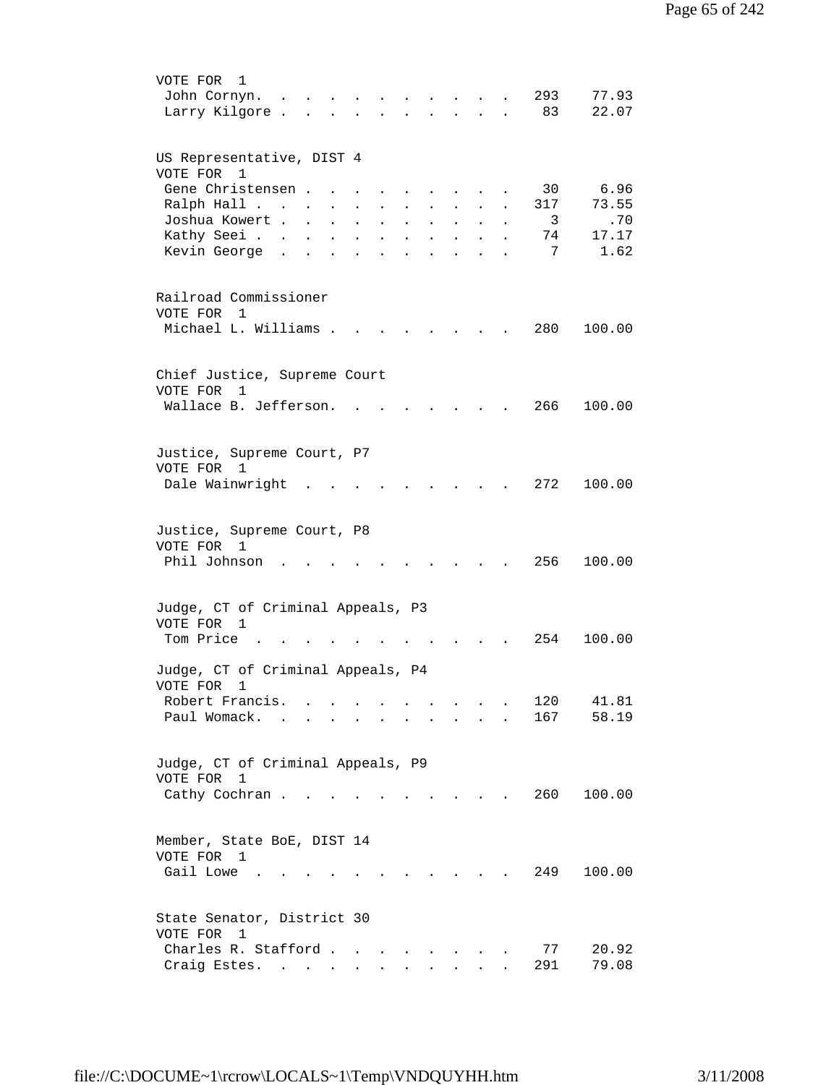| VOTE FOR<br>1<br>293<br>77.93<br>John Cornyn.<br>83<br>22.07<br>Larry Kilgore.<br>$\mathbf{r}$ , $\mathbf{r}$ , $\mathbf{r}$<br>$\mathbf{L}$                                                                                                                                                                                                                                                                                                                                                                                                                |
|-------------------------------------------------------------------------------------------------------------------------------------------------------------------------------------------------------------------------------------------------------------------------------------------------------------------------------------------------------------------------------------------------------------------------------------------------------------------------------------------------------------------------------------------------------------|
| US Representative, DIST 4<br>VOTE FOR 1                                                                                                                                                                                                                                                                                                                                                                                                                                                                                                                     |
| Gene Christensen.<br>30<br>6.96<br>73.55<br>Ralph Hall<br>317<br>$\ddot{\phantom{a}}$<br>$\ddot{\phantom{a}}$<br>$\ddot{\phantom{0}}$<br>$\ddot{\phantom{0}}$<br>$\ddot{\phantom{a}}$<br>$\ddot{\phantom{0}}$                                                                                                                                                                                                                                                                                                                                               |
| Joshua Kowert .<br>3<br>.70<br>$\mathbf{L} = \mathbf{L} \mathbf{L}$<br>$\ddot{\phantom{0}}$<br>$\ddot{\phantom{a}}$<br>$\ddot{\phantom{0}}$<br>$\sim$<br>$\sim$<br>$\ddot{\phantom{a}}$<br>Kathy Seei<br>17.17<br>74<br>$\mathbf{L} = \mathbf{L}$<br>$\sim$ $\sim$<br>$\mathbf{L}$<br>$\ddot{\phantom{0}}$<br>$\ddot{\phantom{a}}$<br>$\ddot{\phantom{a}}$<br>7<br>1.62<br>Kevin George<br>$\sim$<br>$\ddot{\phantom{0}}$<br>$\sim$<br>$\ddot{\phantom{a}}$<br>$\ddot{\phantom{a}}$<br>$\ddot{\phantom{a}}$<br>$\ddot{\phantom{a}}$<br>$\ddot{\phantom{a}}$ |
| Railroad Commissioner<br>VOTE FOR 1                                                                                                                                                                                                                                                                                                                                                                                                                                                                                                                         |
| Michael L. Williams .<br>280<br>100.00                                                                                                                                                                                                                                                                                                                                                                                                                                                                                                                      |
| Chief Justice, Supreme Court<br>VOTE FOR<br>1                                                                                                                                                                                                                                                                                                                                                                                                                                                                                                               |
| Wallace B. Jefferson.<br>266<br>100.00                                                                                                                                                                                                                                                                                                                                                                                                                                                                                                                      |
| Justice, Supreme Court, P7<br>VOTE FOR 1<br>272<br>Dale Wainwright<br>100.00                                                                                                                                                                                                                                                                                                                                                                                                                                                                                |
|                                                                                                                                                                                                                                                                                                                                                                                                                                                                                                                                                             |
| Justice, Supreme Court, P8<br>VOTE FOR 1<br>Phil Johnson<br>256<br>100.00                                                                                                                                                                                                                                                                                                                                                                                                                                                                                   |
| Judge, CT of Criminal Appeals, P3<br>VOTE FOR 1                                                                                                                                                                                                                                                                                                                                                                                                                                                                                                             |
| Tom Price<br>254<br>100.00                                                                                                                                                                                                                                                                                                                                                                                                                                                                                                                                  |
| Judge, CT of Criminal Appeals, P4<br>VOTE FOR<br>1<br>120<br>41.81<br>Robert Francis.                                                                                                                                                                                                                                                                                                                                                                                                                                                                       |
| 58.19<br>Paul Womack.<br>167<br>$\sim$<br>$\bullet$                                                                                                                                                                                                                                                                                                                                                                                                                                                                                                         |
| Judge, CT of Criminal Appeals, P9<br>VOTE FOR<br>$\mathbf 1$                                                                                                                                                                                                                                                                                                                                                                                                                                                                                                |
| 260<br>100.00<br>Cathy Cochran<br>$\sim$                                                                                                                                                                                                                                                                                                                                                                                                                                                                                                                    |
| Member, State BoE, DIST 14<br>VOTE FOR 1<br>Gail Lowe .<br>249<br>100.00                                                                                                                                                                                                                                                                                                                                                                                                                                                                                    |
| State Senator, District 30<br>VOTE FOR 1                                                                                                                                                                                                                                                                                                                                                                                                                                                                                                                    |
| 77<br>Charles R. Stafford<br>20.92<br>291<br>79.08<br>Craig Estes.<br>$\sim$<br>$\sim$<br>$\ddot{\phantom{0}}$<br>$\bullet$ .<br><br><br><br><br><br><br><br><br><br><br><br>                                                                                                                                                                                                                                                                                                                                                                               |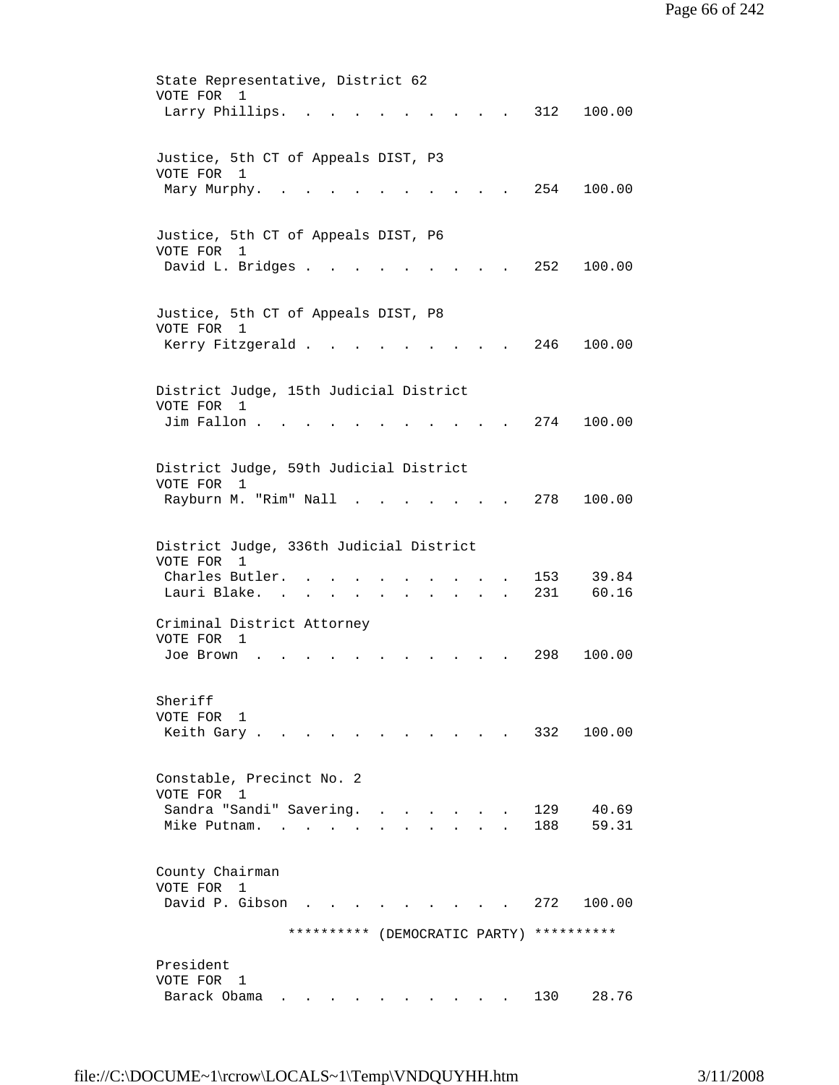State Representative, District 62 VOTE FOR 1 Larry Phillips. . . . . . . . . . 312 100.00 Justice, 5th CT of Appeals DIST, P3 VOTE FOR 1 Mary Murphy. . . . . . . . . . . 254 100.00 Justice, 5th CT of Appeals DIST, P6 VOTE FOR 1 David L. Bridges . . . . . . . . . 252 100.00 Justice, 5th CT of Appeals DIST, P8 VOTE FOR 1 Kerry Fitzgerald . . . . . . . . . 246 100.00 District Judge, 15th Judicial District VOTE FOR 1 Jim Fallon . . . . . . . . . . . 274 100.00 District Judge, 59th Judicial District VOTE FOR 1 Rayburn M. "Rim" Nall . . . . . . . 278 100.00 District Judge, 336th Judicial District VOTE FOR 1 Charles Butler. . . . . . . . . . 153 39.84<br>Lauri Blake. . . . . . . . . . . 231 60.16 Lauri Blake. . . . . . . Criminal District Attorney VOTE FOR 1 Joe Brown . . . . . . . . . . . 298 100.00 Sheriff VOTE FOR 1 Keith Gary . . . . . . . . . . . 332 100.00 Constable, Precinct No. 2 VOTE FOR 1 Sandra "Sandi" Savering. . . . . . . 129 40.69 Mike Putnam. . . . . . . . . . . 188 59.31 County Chairman VOTE FOR 1 David P. Gibson . . . . . . . . . 272 100.00 \*\*\*\*\*\*\*\*\*\* (DEMOCRATIC PARTY) \*\*\*\*\*\*\*\*\*\* President VOTE FOR 1 Barack Obama . . . . . . . . . . 130 28.76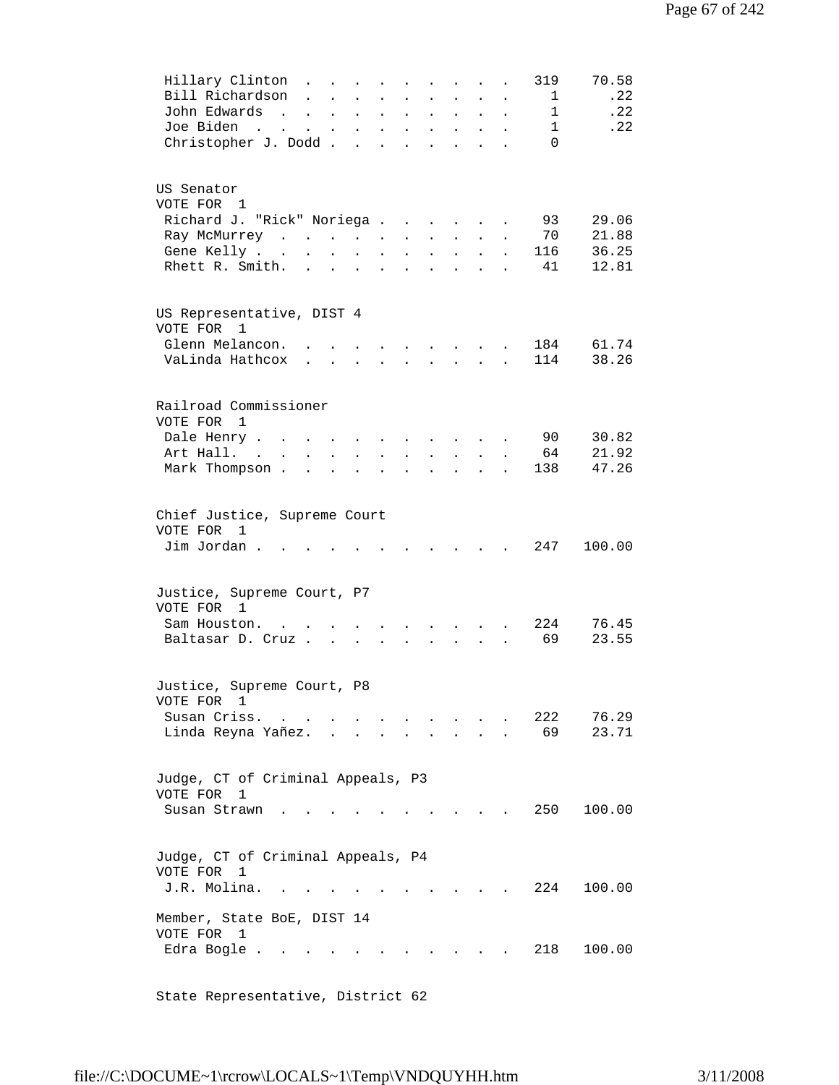| Hillary Clinton<br>Bill Richardson<br>John Edwards<br>$\sim$ $\sim$<br>Joe Biden<br>the contract of the contract of the contract of the contract of the contract of the contract of the contract of<br>Christopher J. Dodd | $\ddot{\phantom{a}}$ | $\ddot{\phantom{a}}$                       | $\ddot{\phantom{a}}$ | $\ddot{\phantom{0}}$<br>and a series of the contract of the series of the series of the series of the series of the series of the series of the series of the series of the series of the series of the series of the series of the series of the seri |                           | $\mathbf{r}$ , and $\mathbf{r}$ , and $\mathbf{r}$<br><b>Contract Contract Contract</b> |                | $\mathbf{L}$ | $\ddot{\phantom{a}}$ | 319<br>1<br>1<br>1<br>$\Omega$ | 70.58<br>.22<br>.22<br>.22 |
|----------------------------------------------------------------------------------------------------------------------------------------------------------------------------------------------------------------------------|----------------------|--------------------------------------------|----------------------|--------------------------------------------------------------------------------------------------------------------------------------------------------------------------------------------------------------------------------------------------------|---------------------------|-----------------------------------------------------------------------------------------|----------------|--------------|----------------------|--------------------------------|----------------------------|
| US Senator<br>VOTE FOR 1<br>Richard J. "Rick" Noriega                                                                                                                                                                      |                      |                                            |                      |                                                                                                                                                                                                                                                        |                           |                                                                                         |                |              |                      | 93                             | 29.06                      |
| Ray McMurrey                                                                                                                                                                                                               |                      |                                            |                      |                                                                                                                                                                                                                                                        |                           |                                                                                         |                |              |                      | 70                             | 21.88                      |
| Gene Kelly                                                                                                                                                                                                                 |                      |                                            |                      |                                                                                                                                                                                                                                                        |                           |                                                                                         |                |              | $\ddot{\phantom{0}}$ | 116                            | 36.25                      |
| Rhett R. Smith.                                                                                                                                                                                                            |                      |                                            |                      | and a series of the contract of the series of the series of the series of the series of the series of the series of the series of the series of the series of the series of the series of the series of the series of the seri                         |                           |                                                                                         |                |              |                      | 41                             | 12.81                      |
| US Representative, DIST 4<br>VOTE FOR 1                                                                                                                                                                                    |                      |                                            |                      |                                                                                                                                                                                                                                                        |                           |                                                                                         |                |              |                      |                                |                            |
| Glenn Melancon.                                                                                                                                                                                                            |                      |                                            |                      |                                                                                                                                                                                                                                                        | $\mathbf{r} = \mathbf{r}$ |                                                                                         |                |              |                      | 184                            | 61.74                      |
| VaLinda Hathcox                                                                                                                                                                                                            |                      | $\mathbf{r} = \mathbf{r} \cdot \mathbf{r}$ |                      | $\sim$                                                                                                                                                                                                                                                 | $\mathbf{r}$              | $\mathbf{r}$                                                                            | $\mathbf{L}$   | $\mathbf{A}$ | $\mathbf{r}$         | 114                            | 38.26                      |
| Railroad Commissioner<br>VOTE FOR<br>1                                                                                                                                                                                     |                      |                                            |                      |                                                                                                                                                                                                                                                        |                           |                                                                                         |                |              |                      |                                |                            |
| Dale Henry                                                                                                                                                                                                                 |                      |                                            | $\ddot{\phantom{a}}$ | $\bullet$                                                                                                                                                                                                                                              | $\bullet$                 | $\sim$ $\sim$                                                                           |                | $\sim 100$   |                      | 90                             | 30.82                      |
| Art Hall. .<br>$\sim$                                                                                                                                                                                                      | $\sim$               | $\ddot{\phantom{0}}$                       | $\ddot{\phantom{a}}$ |                                                                                                                                                                                                                                                        | $\ddot{\phantom{a}}$      |                                                                                         |                |              |                      | 64                             | 21.92                      |
| Mark Thompson.                                                                                                                                                                                                             | $\ddot{\phantom{0}}$ |                                            |                      |                                                                                                                                                                                                                                                        |                           |                                                                                         |                |              |                      | 138                            | 47.26                      |
| Chief Justice, Supreme Court<br>VOTE FOR 1                                                                                                                                                                                 |                      |                                            |                      |                                                                                                                                                                                                                                                        |                           |                                                                                         |                |              |                      |                                |                            |
| Jim Jordan .                                                                                                                                                                                                               |                      |                                            |                      | the contract of the contract of the contract of the contract of the contract of                                                                                                                                                                        |                           |                                                                                         |                |              |                      | 247                            | 100.00                     |
| Justice, Supreme Court, P7<br>VOTE FOR 1                                                                                                                                                                                   |                      |                                            |                      |                                                                                                                                                                                                                                                        |                           |                                                                                         |                |              |                      |                                |                            |
| Sam Houston                                                                                                                                                                                                                |                      |                                            |                      |                                                                                                                                                                                                                                                        |                           |                                                                                         |                |              |                      | 224                            | 76.45                      |
| Baltasar D. Cruz                                                                                                                                                                                                           |                      |                                            |                      | $\sim$                                                                                                                                                                                                                                                 |                           | $\mathbf{r}$                                                                            | $\overline{a}$ |              |                      | 69                             | 23.55                      |
| Justice, Supreme Court, P8<br>VOTE FOR 1                                                                                                                                                                                   |                      |                                            |                      |                                                                                                                                                                                                                                                        |                           |                                                                                         |                |              |                      |                                |                            |
| Susan Criss.<br><b>Contract Contract Contract</b>                                                                                                                                                                          |                      |                                            |                      |                                                                                                                                                                                                                                                        |                           |                                                                                         |                |              |                      | 222                            | 76.29                      |
| Linda Reyna Yañez.                                                                                                                                                                                                         |                      |                                            |                      |                                                                                                                                                                                                                                                        |                           |                                                                                         |                |              |                      | 69                             | 23.71                      |
| Judge, CT of Criminal Appeals, P3<br>VOTE FOR<br>1                                                                                                                                                                         |                      |                                            |                      |                                                                                                                                                                                                                                                        |                           |                                                                                         |                |              |                      |                                |                            |
| Susan Strawn.                                                                                                                                                                                                              |                      |                                            |                      |                                                                                                                                                                                                                                                        |                           |                                                                                         |                |              |                      | 250                            | 100.00                     |
| Judge, CT of Criminal Appeals, P4<br>VOTE FOR<br>$\mathbf{1}$                                                                                                                                                              |                      |                                            |                      |                                                                                                                                                                                                                                                        |                           |                                                                                         |                |              |                      |                                |                            |
| J.R. Molina.                                                                                                                                                                                                               |                      |                                            |                      |                                                                                                                                                                                                                                                        |                           |                                                                                         |                |              |                      | 224                            | 100.00                     |
| Member, State BoE, DIST 14<br>VOTE FOR 1<br>Edra Bogle .                                                                                                                                                                   |                      |                                            |                      |                                                                                                                                                                                                                                                        |                           |                                                                                         |                |              |                      | 218                            | 100.00                     |
|                                                                                                                                                                                                                            |                      |                                            |                      |                                                                                                                                                                                                                                                        |                           |                                                                                         |                |              |                      |                                |                            |

State Representative, District 62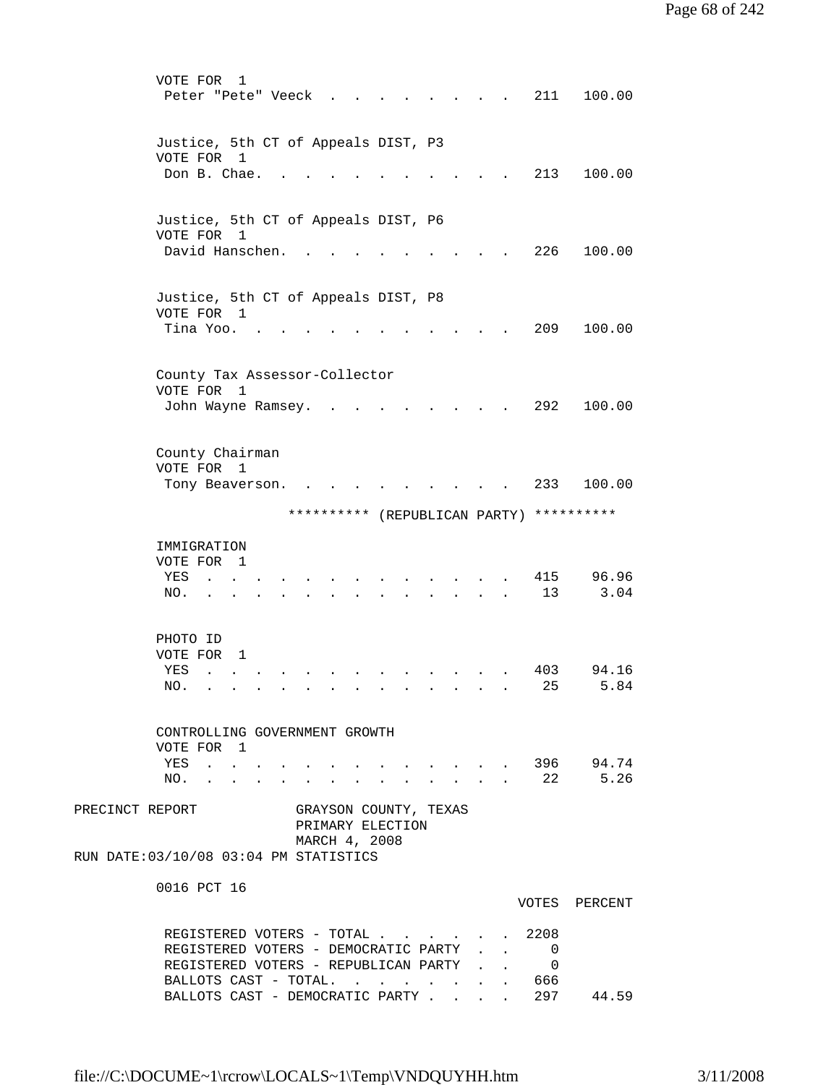| VOTE FOR<br>1<br>Peter "Pete" Veeck                                                                            |                                 | 211                        | 100.00        |
|----------------------------------------------------------------------------------------------------------------|---------------------------------|----------------------------|---------------|
| Justice, 5th CT of Appeals DIST, P3<br>VOTE FOR<br>1<br>Don B. Chae.                                           |                                 | 213                        | 100.00        |
|                                                                                                                |                                 |                            |               |
| Justice, 5th CT of Appeals DIST, P6<br>VOTE FOR 1                                                              |                                 |                            |               |
| David Hanschen.                                                                                                |                                 | 226                        | 100.00        |
| Justice, 5th CT of Appeals DIST, P8<br>VOTE FOR 1                                                              |                                 |                            |               |
| Tina Yoo.                                                                                                      |                                 | 209                        | 100.00        |
| County Tax Assessor-Collector<br>VOTE FOR<br>$\overline{\phantom{0}}$                                          |                                 |                            |               |
| John Wayne Ramsey.                                                                                             |                                 | 292                        | 100.00        |
| County Chairman<br>VOTE FOR 1                                                                                  |                                 |                            |               |
| Tony Beaverson.                                                                                                |                                 | 233                        | 100.00        |
| ********** (REPUBLICAN PARTY) **********                                                                       |                                 |                            |               |
| IMMIGRATION<br>VOTE FOR<br>$\mathbf{1}$                                                                        |                                 |                            |               |
| YES<br>NO.                                                                                                     |                                 | 415<br>13                  | 96.96<br>3.04 |
| PHOTO ID<br>VOTE FOR<br>1                                                                                      |                                 |                            |               |
| YES<br>$\ddot{\phantom{a}}$<br>NO.                                                                             |                                 | 403<br>25                  | 94.16<br>5.84 |
| CONTROLLING GOVERNMENT GROWTH                                                                                  |                                 |                            |               |
| VOTE FOR 1<br>$\cdot$ 396 94.74<br>YES .<br>$\sim$<br>NO.                                                      | $\cdot$ $\cdot$ $\cdot$ $\cdot$ |                            | 22 5.26       |
| PRECINCT REPORT GRAYSON COUNTY, TEXAS<br>PRIMARY ELECTION<br>MARCH 4, 2008                                     |                                 |                            |               |
| RUN DATE: 03/10/08 03:04 PM STATISTICS                                                                         |                                 |                            |               |
| 0016 PCT 16                                                                                                    |                                 |                            | VOTES PERCENT |
| REGISTERED VOTERS - TOTAL 2208<br>REGISTERED VOTERS - DEMOCRATIC PARTY<br>REGISTERED VOTERS - REPUBLICAN PARTY |                                 | $\overline{0}$<br>$\Omega$ |               |
| BALLOTS CAST - TOTAL. 666<br>BALLOTS CAST - DEMOCRATIC PARTY 297                                               |                                 |                            | 44.59         |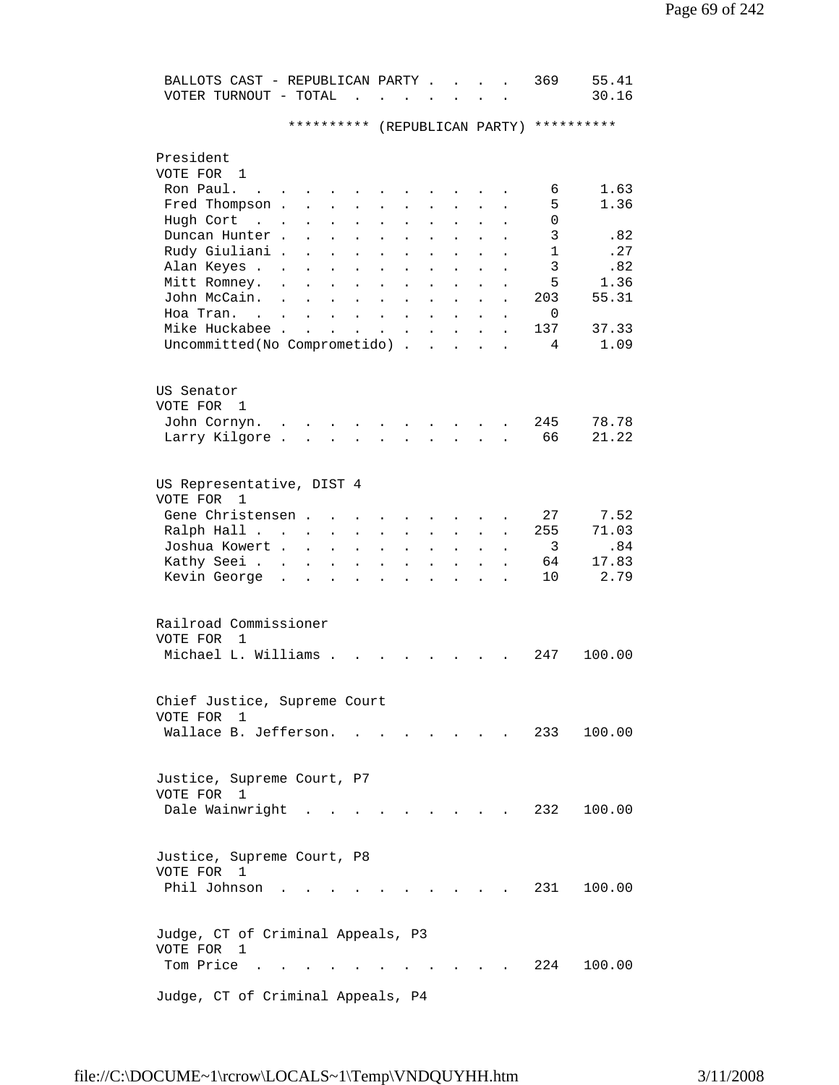| BALLOTS CAST - REPUBLICAN PARTY.<br>VOTER TURNOUT - TOTAL<br>$\sim$                                                                                                                                                                                                          | 55.41<br>369<br>30.16         |
|------------------------------------------------------------------------------------------------------------------------------------------------------------------------------------------------------------------------------------------------------------------------------|-------------------------------|
| **********                                                                                                                                                                                                                                                                   | (REPUBLICAN PARTY) ********** |
| President                                                                                                                                                                                                                                                                    |                               |
| VOTE FOR 1                                                                                                                                                                                                                                                                   |                               |
| Ron Paul.                                                                                                                                                                                                                                                                    | 1.63<br>6                     |
| Fred Thompson .                                                                                                                                                                                                                                                              | 5<br>1.36                     |
| Hugh Cort<br>$\sim$<br>$\ddot{\phantom{a}}$<br>$\ddot{\phantom{0}}$                                                                                                                                                                                                          | 0                             |
| Duncan Hunter.                                                                                                                                                                                                                                                               | 3<br>.82<br>$\mathbf{1}$      |
| Rudy Giuliani .<br>$\ddot{\phantom{0}}$<br>$\ddot{\phantom{0}}$                                                                                                                                                                                                              | .27<br>3                      |
| Alan Keyes .<br>Mitt Romney.                                                                                                                                                                                                                                                 | .82<br>5<br>1.36              |
| John McCain.                                                                                                                                                                                                                                                                 | 55.31<br>203                  |
| Hoa Tran                                                                                                                                                                                                                                                                     | 0                             |
| $\ddot{\phantom{a}}$<br>$\mathbf{L}$<br>$\ddot{\phantom{a}}$<br>$\ddot{\phantom{a}}$<br>$\overline{a}$<br>$\ddot{\phantom{a}}$<br>$\mathbf{r}$<br>Mike Huckabee .<br><b>Contract</b><br>$\ddot{\phantom{a}}$<br>$\ddot{\phantom{a}}$<br>$\ddot{\phantom{a}}$<br>$\mathbf{L}$ | 137<br>37.33                  |
| $\ddot{\phantom{a}}$<br>Uncommitted(No Comprometido).<br>$\ddot{\phantom{a}}$<br>$\ddot{\phantom{a}}$<br>$\ddot{\phantom{a}}$                                                                                                                                                | 1.09<br>4                     |
|                                                                                                                                                                                                                                                                              |                               |
| US Senator                                                                                                                                                                                                                                                                   |                               |
| VOTE FOR<br>1                                                                                                                                                                                                                                                                |                               |
| John Cornyn.                                                                                                                                                                                                                                                                 | 78.78<br>245                  |
| Larry Kilgore.                                                                                                                                                                                                                                                               | 66<br>21.22                   |
|                                                                                                                                                                                                                                                                              |                               |
| US Representative, DIST 4                                                                                                                                                                                                                                                    |                               |
| VOTE FOR<br>1                                                                                                                                                                                                                                                                |                               |
| Gene Christensen.                                                                                                                                                                                                                                                            | 27<br>7.52                    |
| Ralph Hall<br>$\bullet$<br>$\ddot{\phantom{0}}$<br>$\ddot{\phantom{0}}$                                                                                                                                                                                                      | 71.03<br>255                  |
| Joshua Kowert .<br>$\ddot{\phantom{a}}$<br>$\ddot{\phantom{0}}$                                                                                                                                                                                                              | 3<br>.84                      |
| Kathy Seei .                                                                                                                                                                                                                                                                 | 17.83<br>64<br>2.79           |
| Kevin George                                                                                                                                                                                                                                                                 | 10                            |
| Railroad Commissioner                                                                                                                                                                                                                                                        |                               |
| VOTE FOR<br>1                                                                                                                                                                                                                                                                |                               |
| Michael L. Williams .                                                                                                                                                                                                                                                        | 247<br>100.00                 |
|                                                                                                                                                                                                                                                                              |                               |
| Chief Justice, Supreme Court                                                                                                                                                                                                                                                 |                               |
| VOTE FOR 1                                                                                                                                                                                                                                                                   |                               |
| Wallace B. Jefferson.                                                                                                                                                                                                                                                        | 233<br>100.00                 |
|                                                                                                                                                                                                                                                                              |                               |
| Justice, Supreme Court, P7                                                                                                                                                                                                                                                   |                               |
| VOTE FOR 1                                                                                                                                                                                                                                                                   |                               |
| Dale Wainwright                                                                                                                                                                                                                                                              | 232<br>100.00                 |
|                                                                                                                                                                                                                                                                              |                               |
| Justice, Supreme Court, P8                                                                                                                                                                                                                                                   |                               |
| VOTE FOR 1                                                                                                                                                                                                                                                                   |                               |
| Phil Johnson                                                                                                                                                                                                                                                                 | 100.00<br>231                 |
|                                                                                                                                                                                                                                                                              |                               |
| Judge, CT of Criminal Appeals, P3                                                                                                                                                                                                                                            |                               |
| VOTE FOR<br>1                                                                                                                                                                                                                                                                |                               |
| Tom Price                                                                                                                                                                                                                                                                    | 224<br>100.00                 |
|                                                                                                                                                                                                                                                                              |                               |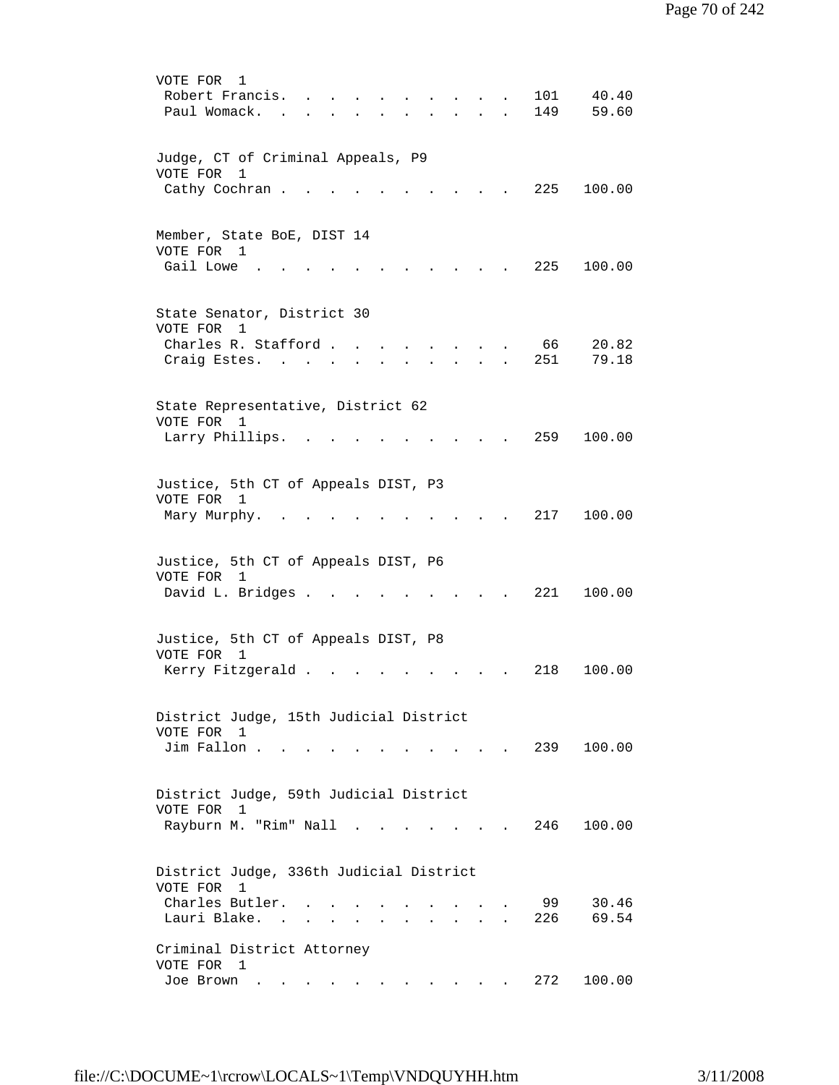| VOTE FOR<br>1<br>Robert Francis.<br>101<br>40.40<br>59.60<br>Paul Womack.<br>149                                                              |  |
|-----------------------------------------------------------------------------------------------------------------------------------------------|--|
| Judge, CT of Criminal Appeals, P9<br>VOTE FOR<br>1                                                                                            |  |
| Cathy Cochran.<br>225<br>100.00                                                                                                               |  |
| Member, State BoE, DIST 14<br>VOTE FOR 1<br>Gail Lowe<br>225<br>100.00                                                                        |  |
| State Senator, District 30<br>VOTE FOR<br>1                                                                                                   |  |
| Charles R. Stafford<br>66<br>20.82<br>251<br>79.18<br>Craig Estes.                                                                            |  |
| State Representative, District 62<br>VOTE FOR 1                                                                                               |  |
| 259<br>100.00<br>Larry Phillips.                                                                                                              |  |
| Justice, 5th CT of Appeals DIST, P3<br>VOTE FOR 1<br>217<br>100.00<br>Mary Murphy.                                                            |  |
| Justice, 5th CT of Appeals DIST, P6<br>VOTE FOR 1                                                                                             |  |
| David L. Bridges .<br>221<br>100.00                                                                                                           |  |
| Justice, 5th CT of Appeals DIST, P8<br>VOTE FOR<br>$\overline{1}$                                                                             |  |
| Kerry Fitzgerald .<br>218<br>100.00                                                                                                           |  |
| District Judge, 15th Judicial District<br>VOTE FOR<br>$\mathbf{1}$<br>Jim Fallon.<br>239 100.00                                               |  |
|                                                                                                                                               |  |
| District Judge, 59th Judicial District<br>VOTE FOR<br>1<br>Rayburn M. "Rim" Nall<br>100.00<br>246<br>$\sim$<br>$\sim$ $\sim$ $\sim$           |  |
| District Judge, 336th Judicial District<br>VOTE FOR 1                                                                                         |  |
| Charles Butler.<br>30.46<br>99<br>Lauri Blake. .<br>69.54<br>226                                                                              |  |
| Criminal District Attorney<br>VOTE FOR 1                                                                                                      |  |
| Joe Brown<br>272<br>100.00<br>the contract of the contract of the contract of the contract of the contract of the contract of the contract of |  |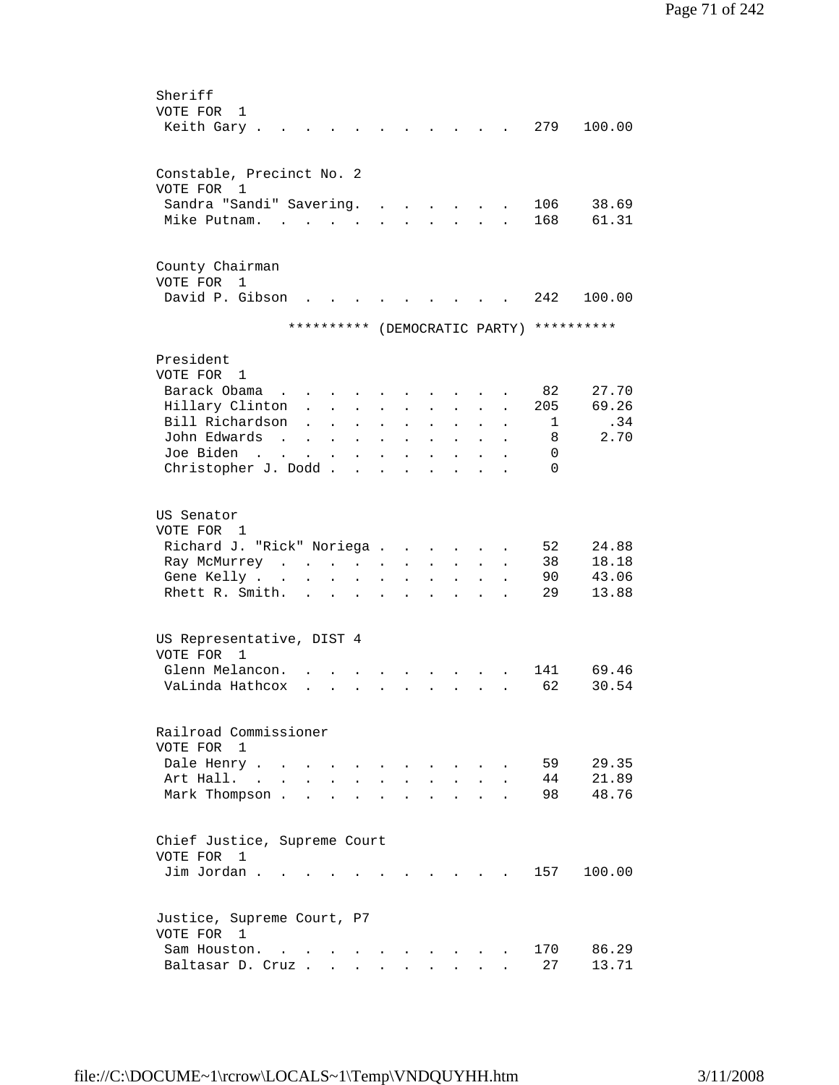| Sheriff                                                 |                                                                                                                       |                      |                           |                                            |                      |                      |                                   |                      |                      |                                          |        |
|---------------------------------------------------------|-----------------------------------------------------------------------------------------------------------------------|----------------------|---------------------------|--------------------------------------------|----------------------|----------------------|-----------------------------------|----------------------|----------------------|------------------------------------------|--------|
| VOTE FOR<br>1                                           |                                                                                                                       |                      |                           |                                            |                      |                      |                                   |                      |                      |                                          |        |
| Keith Gary.                                             |                                                                                                                       |                      |                           |                                            |                      |                      |                                   |                      |                      | 279                                      | 100.00 |
|                                                         |                                                                                                                       |                      |                           |                                            |                      |                      |                                   |                      |                      |                                          |        |
|                                                         |                                                                                                                       |                      |                           |                                            |                      |                      |                                   |                      |                      |                                          |        |
| Constable, Precinct No. 2                               |                                                                                                                       |                      |                           |                                            |                      |                      |                                   |                      |                      |                                          |        |
| VOTE FOR 1                                              |                                                                                                                       |                      |                           |                                            |                      |                      |                                   |                      |                      |                                          |        |
| Sandra "Sandi" Savering.                                |                                                                                                                       |                      |                           |                                            |                      |                      |                                   |                      |                      | 106                                      | 38.69  |
| Mike Putnam.                                            |                                                                                                                       |                      | $\sim$                    |                                            |                      |                      |                                   |                      |                      | 168                                      | 61.31  |
|                                                         |                                                                                                                       |                      |                           |                                            |                      |                      |                                   |                      |                      |                                          |        |
|                                                         |                                                                                                                       |                      |                           |                                            |                      |                      |                                   |                      |                      |                                          |        |
| County Chairman<br>VOTE FOR                             |                                                                                                                       |                      |                           |                                            |                      |                      |                                   |                      |                      |                                          |        |
| $\mathbf{1}$<br>David P. Gibson                         |                                                                                                                       |                      |                           |                                            |                      |                      |                                   |                      |                      |                                          |        |
|                                                         |                                                                                                                       |                      |                           |                                            |                      |                      |                                   |                      |                      | 242                                      | 100.00 |
|                                                         |                                                                                                                       |                      |                           |                                            |                      |                      |                                   |                      |                      | ********** (DEMOCRATIC PARTY) ********** |        |
|                                                         |                                                                                                                       |                      |                           |                                            |                      |                      |                                   |                      |                      |                                          |        |
| President                                               |                                                                                                                       |                      |                           |                                            |                      |                      |                                   |                      |                      |                                          |        |
| VOTE FOR 1                                              |                                                                                                                       |                      |                           |                                            |                      |                      |                                   |                      |                      |                                          |        |
| Barack Obama                                            |                                                                                                                       |                      |                           |                                            |                      |                      |                                   |                      |                      | 82                                       | 27.70  |
|                                                         |                                                                                                                       |                      |                           | $\mathbf{r}$ , $\mathbf{r}$ , $\mathbf{r}$ |                      |                      |                                   |                      |                      |                                          |        |
| Hillary Clinton                                         |                                                                                                                       |                      | $\mathbf{L} = \mathbf{L}$ |                                            | $\ddot{\phantom{a}}$ | $\ddot{\phantom{a}}$ | $\mathbf{L}$                      | $\mathbf{L}$         | $\ddot{\phantom{a}}$ | 205                                      | 69.26  |
| Bill Richardson                                         |                                                                                                                       |                      |                           | $\ddot{\phantom{a}}$                       |                      |                      |                                   | $\ddot{\phantom{0}}$ |                      | 1                                        | .34    |
| John Edwards                                            | $\sim$                                                                                                                | $\ddot{\phantom{a}}$ | $\bullet$                 | $\bullet$                                  | $\bullet$            | $\ddot{\phantom{0}}$ | $\bullet$                         | $\ddot{\phantom{0}}$ | $\bullet$            | 8                                        | 2.70   |
| Joe Biden                                               | <b>Contract Contract Contract Contract</b>                                                                            |                      | $\ddot{\phantom{a}}$      | $\ddot{\phantom{0}}$                       | $\bullet$            | $\ddot{\phantom{0}}$ |                                   |                      |                      | $\Omega$                                 |        |
| Christopher J. Dodd.                                    |                                                                                                                       |                      |                           | $\ddot{\phantom{a}}$                       | $\ddot{\phantom{a}}$ | $\ddot{\phantom{0}}$ |                                   |                      |                      | $\Omega$                                 |        |
|                                                         |                                                                                                                       |                      |                           |                                            |                      |                      |                                   |                      |                      |                                          |        |
| US Senator                                              |                                                                                                                       |                      |                           |                                            |                      |                      |                                   |                      |                      |                                          |        |
| VOTE FOR 1                                              |                                                                                                                       |                      |                           |                                            |                      |                      |                                   |                      |                      |                                          |        |
|                                                         |                                                                                                                       |                      |                           |                                            |                      |                      |                                   |                      |                      |                                          |        |
| Richard J. "Rick" Noriega                               |                                                                                                                       |                      |                           |                                            |                      |                      | <b>Contract Contract Contract</b> |                      |                      | 52                                       | 24.88  |
| Ray McMurrey                                            | $\mathcal{A}^{\mathcal{A}}$ , $\mathcal{A}^{\mathcal{A}}$ , $\mathcal{A}^{\mathcal{A}}$ , $\mathcal{A}^{\mathcal{A}}$ |                      |                           |                                            |                      | $\ddot{\phantom{0}}$ | $\mathbf{L}$                      | $\mathbf{L}$         |                      | 38                                       | 18.18  |
| Gene Kelly                                              |                                                                                                                       |                      |                           | $\bullet$                                  | $\ddot{\phantom{a}}$ | $\ddot{\phantom{0}}$ | $\ddot{\phantom{0}}$              | $\ddot{\phantom{0}}$ | $\bullet$            | 90                                       | 43.06  |
| Rhett R. Smith.                                         |                                                                                                                       | $\ddot{\phantom{0}}$ |                           |                                            |                      |                      |                                   |                      |                      | 29                                       | 13.88  |
|                                                         |                                                                                                                       |                      |                           |                                            |                      |                      |                                   |                      |                      |                                          |        |
|                                                         |                                                                                                                       |                      |                           |                                            |                      |                      |                                   |                      |                      |                                          |        |
| US Representative, DIST 4<br>VOTE FOR<br>$\overline{1}$ |                                                                                                                       |                      |                           |                                            |                      |                      |                                   |                      |                      |                                          |        |
| Glenn Melancon.                                         |                                                                                                                       |                      |                           |                                            |                      |                      |                                   |                      |                      | 141                                      | 69.46  |
| VaLinda Hathcox                                         |                                                                                                                       |                      |                           |                                            |                      |                      |                                   |                      |                      | 62                                       | 30.54  |
|                                                         |                                                                                                                       |                      |                           |                                            |                      |                      |                                   |                      |                      |                                          |        |
|                                                         |                                                                                                                       |                      |                           |                                            |                      |                      |                                   |                      |                      |                                          |        |
| Railroad Commissioner                                   |                                                                                                                       |                      |                           |                                            |                      |                      |                                   |                      |                      |                                          |        |
| VOTE FOR 1                                              |                                                                                                                       |                      |                           |                                            |                      |                      |                                   |                      |                      |                                          |        |
| Dale Henry                                              |                                                                                                                       |                      |                           |                                            |                      | $\ddot{\phantom{a}}$ |                                   |                      |                      | 59                                       | 29.35  |
| Art Hall. .                                             |                                                                                                                       |                      |                           |                                            |                      |                      |                                   |                      |                      | 44                                       | 21.89  |
| Mark Thompson.                                          | $\ddot{\phantom{a}}$                                                                                                  |                      |                           |                                            |                      |                      |                                   |                      |                      | 98                                       | 48.76  |
|                                                         |                                                                                                                       |                      |                           |                                            |                      |                      |                                   |                      |                      |                                          |        |
|                                                         |                                                                                                                       |                      |                           |                                            |                      |                      |                                   |                      |                      |                                          |        |
| Chief Justice, Supreme Court                            |                                                                                                                       |                      |                           |                                            |                      |                      |                                   |                      |                      |                                          |        |
| VOTE FOR<br>1                                           |                                                                                                                       |                      |                           |                                            |                      |                      |                                   |                      |                      |                                          |        |
| Jim Jordan                                              |                                                                                                                       |                      |                           |                                            |                      |                      |                                   |                      |                      | 157                                      | 100.00 |
|                                                         |                                                                                                                       |                      |                           |                                            |                      |                      |                                   |                      |                      |                                          |        |
|                                                         |                                                                                                                       |                      |                           |                                            |                      |                      |                                   |                      |                      |                                          |        |
| Justice, Supreme Court, P7                              |                                                                                                                       |                      |                           |                                            |                      |                      |                                   |                      |                      |                                          |        |
| VOTE FOR 1                                              |                                                                                                                       |                      |                           |                                            |                      |                      |                                   |                      |                      |                                          |        |
| Sam Houston.                                            |                                                                                                                       |                      | $\sim$ $\sim$             |                                            |                      |                      |                                   |                      |                      | 170                                      | 86.29  |
| Baltasar D. Cruz                                        |                                                                                                                       |                      |                           |                                            | $\mathbf{L}$         |                      | $\ddot{\phantom{0}}$              | $\mathbf{L}$         |                      | 27                                       | 13.71  |
|                                                         |                                                                                                                       |                      |                           |                                            |                      |                      |                                   |                      |                      |                                          |        |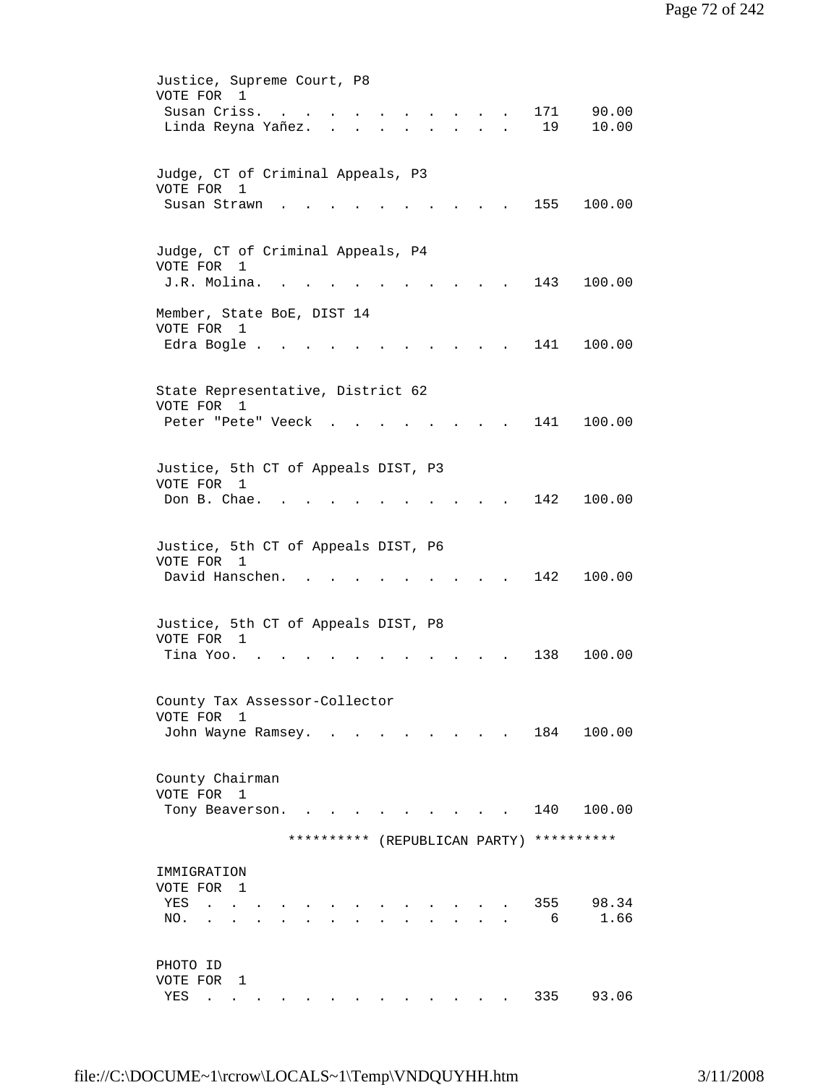| Justice, Supreme Court, P8<br>VOTE FOR 1<br>90.00<br>Susan Criss.<br>171<br>$\ddot{\phantom{a}}$<br>$\mathbf{r} = \mathbf{r} + \mathbf{r}$<br>Linda Reyna Yañez.<br>19<br>10.00<br>$\cdot$ $\cdot$ $\cdot$ $\cdot$<br>$\mathbf{r} = \mathbf{r}$ , and $\mathbf{r} = \mathbf{r}$ |  |
|---------------------------------------------------------------------------------------------------------------------------------------------------------------------------------------------------------------------------------------------------------------------------------|--|
| Judge, CT of Criminal Appeals, P3<br>VOTE FOR 1<br>155<br>100.00<br>Susan Strawn                                                                                                                                                                                                |  |
| Judge, CT of Criminal Appeals, P4<br>VOTE FOR 1<br>J.R. Molina.<br>143<br>100.00                                                                                                                                                                                                |  |
| Member, State BoE, DIST 14<br>VOTE FOR 1<br>Edra Bogle.<br>141<br>100.00                                                                                                                                                                                                        |  |
| State Representative, District 62<br>VOTE FOR<br>1<br>141<br>100.00<br>Peter "Pete" Veeck                                                                                                                                                                                       |  |
| Justice, 5th CT of Appeals DIST, P3<br>VOTE FOR 1<br>Don B. Chae.<br>142<br>100.00                                                                                                                                                                                              |  |
| Justice, 5th CT of Appeals DIST, P6<br>VOTE FOR 1<br>David Hanschen.<br>142<br>100.00                                                                                                                                                                                           |  |
| Justice, 5th CT of Appeals DIST, P8<br>VOTE FOR 1<br>138<br>100.00<br>Tina Yoo.                                                                                                                                                                                                 |  |
| County Tax Assessor-Collector<br>VOTE FOR 1<br>184 100.00<br>John Wayne Ramsey. .<br>$\mathbf{r} = \mathbf{r} + \mathbf{r} + \mathbf{r} + \mathbf{r}$                                                                                                                           |  |
| County Chairman<br>VOTE FOR 1<br>140 100.00<br>Tony Beaverson.<br>**********<br>**********<br>(REPUBLICAN PARTY)                                                                                                                                                                |  |
| IMMIGRATION<br>VOTE FOR 1<br>355<br>98.34<br>YES<br>$\sim$ $\sim$<br>1.66<br>6<br>NO.                                                                                                                                                                                           |  |
| PHOTO ID<br>VOTE FOR 1<br>335<br>93.06<br>YES<br>. As a set of the set of the set of the set of the set of $\mathcal{A}$<br>$\bullet$ .<br><br><br><br><br><br><br><br><br><br><br><br>                                                                                         |  |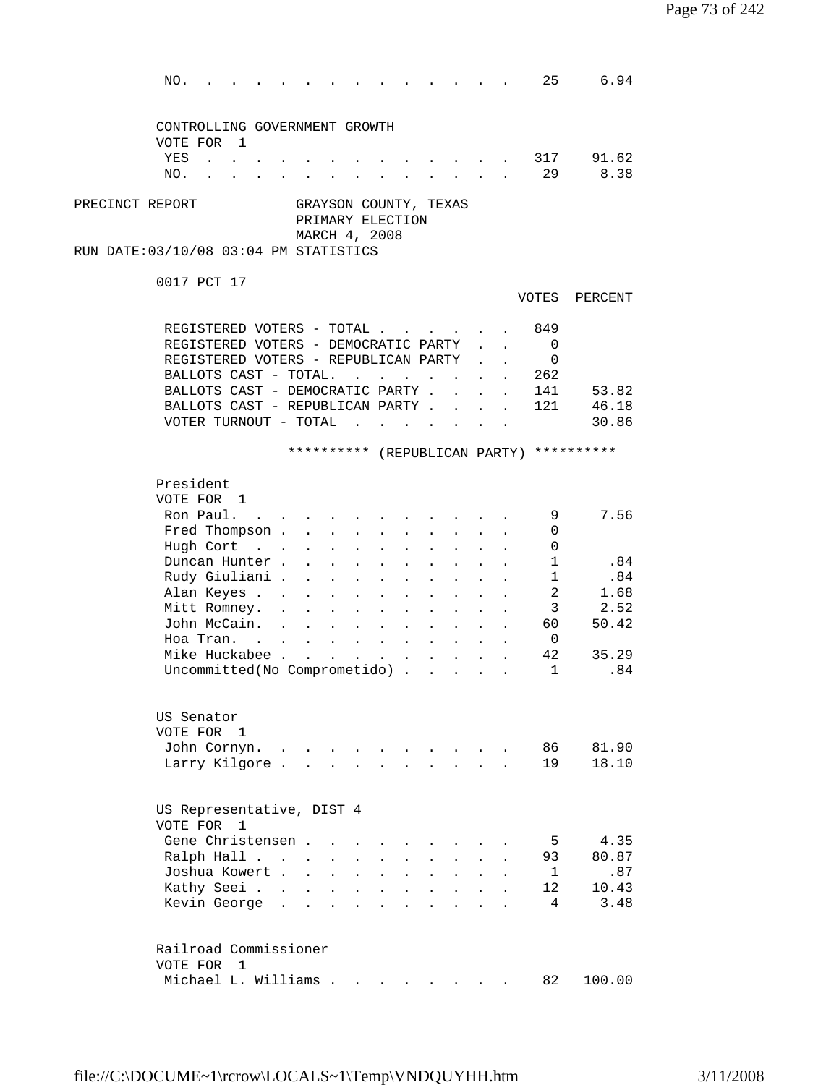NO. . . . . . . . . . . . . . 25 6.94 CONTROLLING GOVERNMENT GROWTH VOTE FOR 1 YES . . . . . . . . . . . . . 317 91.62 NO. . . . . . . . . . . . . . 29 8.38 PRECINCT REPORT GRAYSON COUNTY, TEXAS PRIMARY ELECTION MARCH 4, 2008 RUN DATE:03/10/08 03:04 PM STATISTICS 0017 PCT 17 VOTES PERCENT REGISTERED VOTERS - TOTAL . . . . . . 849 REGISTERED VOTERS - DEMOCRATIC PARTY . . 0 REGISTERED VOTERS - REPUBLICAN PARTY . . 0 BALLOTS CAST - TOTAL. . . . . . . . 262 BALLOTS CAST - DEMOCRATIC PARTY . . . . 141 53.82 BALLOTS CAST - REPUBLICAN PARTY . . . . 121 46.18 VOTER TURNOUT - TOTAL . . . . . . . 30.86 \*\*\*\*\*\*\*\*\*\* (REPUBLICAN PARTY) \*\*\*\*\*\*\*\*\*\* President VOTE FOR 1 Ron Paul. . . . . . . . . . . . . 9 7.56 Fred Thompson . . . . . . . . . . 0 Hugh Cort . . . . . . . . . . . 0 Duncan Hunter . . . . . . . . . . 1 .84 Rudy Giuliani . . . . . . . . . . 1 .84 Alan Keyes . . . . . . . . . . . 2 1.68 Mitt Romney. . . . . . . . . . . 3 2.52 John McCain. . . . . . . . . . . 60 50.42 Hoa Tran. . . . . . . . . . . . 0 Mike Huckabee . . . . . . . . . . . 42 35.29 Uncommitted(No Comprometido) . . . . . 1 .84 US Senator VOTE FOR 1 John Cornyn. . . . . . . . . . . 86 81.90 Larry Kilgore . . . . . . . . . . 19 18.10 US Representative, DIST 4 VOTE FOR 1 Gene Christensen . . . . . . . . . . 5 4.35 Ralph Hall . . . . . . . . . . . 93 80.87 Joshua Kowert . . . . . . . . . . 1 .87 Kathy Seei . . . . . . . . . . . 12 10.43 All Xathy Seei . . . . . . . . . . . . 12 10.43<br>Kevin George . . . . . . . . . . . 4 3.48 Railroad Commissioner VOTE FOR 1 Michael L. Williams . . . . . . . . 82 100.00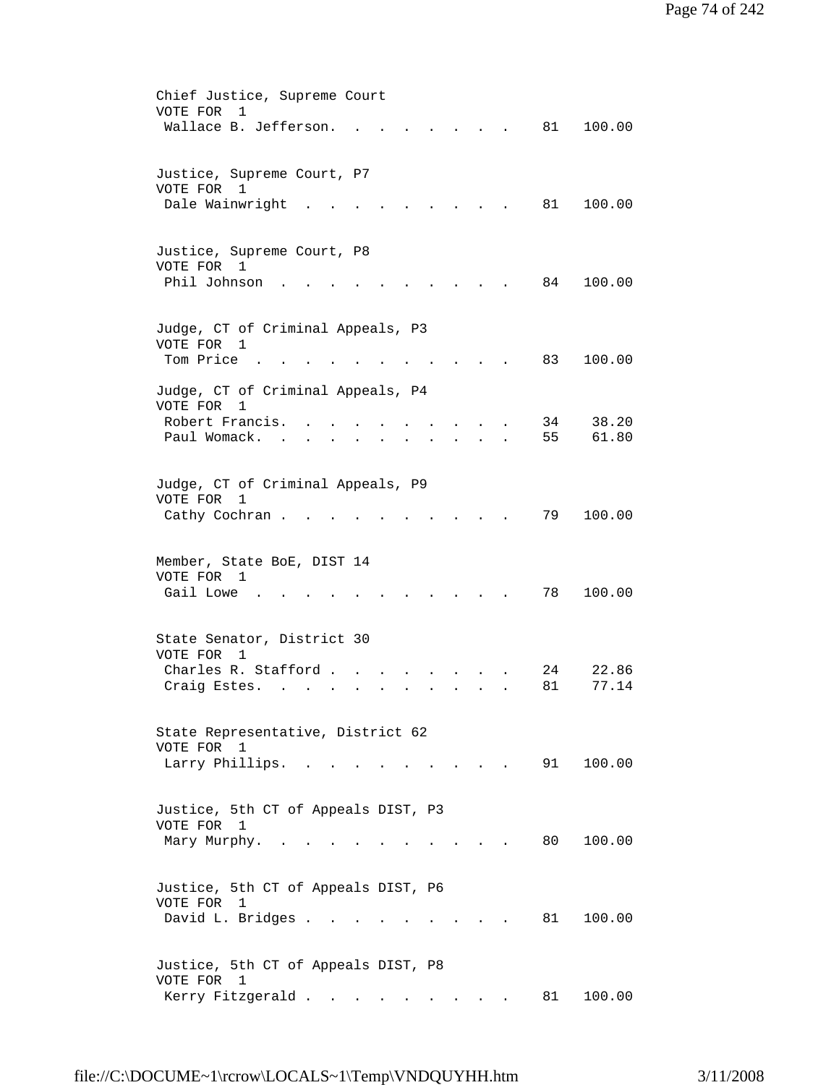| Chief Justice, Supreme Court                                                                   |
|------------------------------------------------------------------------------------------------|
| VOTE FOR<br>$\mathbf{1}$                                                                       |
| Wallace B. Jefferson.<br>81<br>100.00                                                          |
|                                                                                                |
|                                                                                                |
| Justice, Supreme Court, P7<br>VOTE FOR<br>$\overline{1}$                                       |
| Dale Wainwright<br>81<br>100.00                                                                |
|                                                                                                |
|                                                                                                |
| Justice, Supreme Court, P8                                                                     |
| VOTE FOR 1                                                                                     |
| Phil Johnson<br>84<br>100.00                                                                   |
|                                                                                                |
|                                                                                                |
| Judge, CT of Criminal Appeals, P3                                                              |
| VOTE FOR 1                                                                                     |
| Tom Price<br>83<br>100.00                                                                      |
|                                                                                                |
| Judge, CT of Criminal Appeals, P4                                                              |
| VOTE FOR<br>$\mathbf{1}$<br>Robert Francis.<br>38.20                                           |
| 34<br>Paul Womack.<br>55<br>61.80                                                              |
| $\sim$                                                                                         |
|                                                                                                |
| Judge, CT of Criminal Appeals, P9                                                              |
| VOTE FOR<br>1                                                                                  |
| 79<br>100.00<br>Cathy Cochran.                                                                 |
|                                                                                                |
|                                                                                                |
| Member, State BoE, DIST 14                                                                     |
| VOTE FOR 1                                                                                     |
| Gail Lowe<br>78<br>100.00                                                                      |
|                                                                                                |
|                                                                                                |
| State Senator, District 30<br>VOTE FOR 1                                                       |
| 22.86<br>Charles R. Stafford.<br>24                                                            |
| 77.14<br>Craig Estes.<br>81                                                                    |
|                                                                                                |
|                                                                                                |
| State Representative, District 62                                                              |
| VOTE FOR 1                                                                                     |
| Larry Phillips. .<br>91<br>100.00<br>$\mathbf{r}$ , $\mathbf{r}$ , $\mathbf{r}$ , $\mathbf{r}$ |
|                                                                                                |
|                                                                                                |
| Justice, 5th CT of Appeals DIST, P3                                                            |
| VOTE FOR 1                                                                                     |
| Mary Murphy.<br>80 —<br>100.00<br>$\sim$                                                       |
|                                                                                                |
|                                                                                                |
| Justice, 5th CT of Appeals DIST, P6<br>VOTE FOR<br>1                                           |
| David L. Bridges<br>81<br>100.00                                                               |
|                                                                                                |
|                                                                                                |
| Justice, 5th CT of Appeals DIST, P8                                                            |
| VOTE FOR 1                                                                                     |
| Kerry Fitzgerald<br>81<br>100.00                                                               |
|                                                                                                |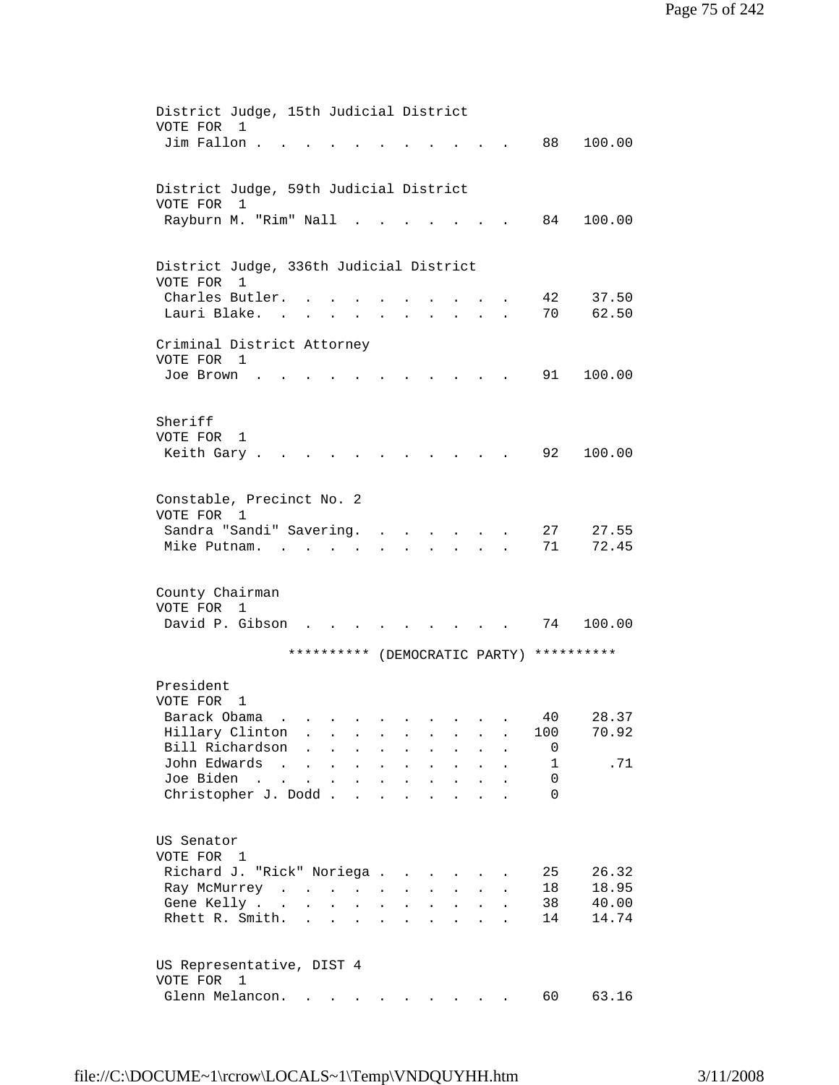| District Judge, 15th Judicial District                                                                                                |        |
|---------------------------------------------------------------------------------------------------------------------------------------|--------|
| VOTE FOR<br>1                                                                                                                         |        |
| Jim Fallon.<br>88                                                                                                                     | 100.00 |
|                                                                                                                                       |        |
| District Judge, 59th Judicial District                                                                                                |        |
| VOTE FOR<br>1                                                                                                                         |        |
| Rayburn M. "Rim" Nall<br>84                                                                                                           | 100.00 |
|                                                                                                                                       |        |
|                                                                                                                                       |        |
| District Judge, 336th Judicial District                                                                                               |        |
| VOTE FOR<br>1                                                                                                                         |        |
| Charles Butler.<br>42                                                                                                                 | 37.50  |
| 70<br>Lauri Blake.<br>$\sim$<br><b>Contract Contract Contract</b><br>$\mathbf{r} = \mathbf{r} + \mathbf{r}$ .<br>$\ddot{\phantom{0}}$ | 62.50  |
|                                                                                                                                       |        |
| Criminal District Attorney                                                                                                            |        |
| VOTE FOR 1                                                                                                                            |        |
| 91<br>Joe Brown                                                                                                                       | 100.00 |
|                                                                                                                                       |        |
|                                                                                                                                       |        |
| Sheriff                                                                                                                               |        |
| VOTE FOR<br>1                                                                                                                         |        |
| 92<br>Keith Gary.                                                                                                                     | 100.00 |
|                                                                                                                                       |        |
|                                                                                                                                       |        |
| Constable, Precinct No. 2                                                                                                             |        |
| VOTE FOR 1                                                                                                                            |        |
| Sandra "Sandi" Savering.<br>27<br>$\cdot$ $\cdot$ $\cdot$                                                                             | 27.55  |
| Mike Putnam.<br>71                                                                                                                    | 72.45  |
|                                                                                                                                       |        |
|                                                                                                                                       |        |
| County Chairman                                                                                                                       |        |
| VOTE FOR 1                                                                                                                            |        |
| David P. Gibson<br>74                                                                                                                 | 100.00 |
| ********** (DEMOCRATIC PARTY) **********                                                                                              |        |
|                                                                                                                                       |        |
| President                                                                                                                             |        |
| VOTE FOR<br>1                                                                                                                         |        |
| Barack Obama<br>40<br>.                                                                                                               | 28.37  |
| Hillary Clinton<br>100<br>$\ddot{\phantom{a}}$                                                                                        | 70.92  |
| Bill Richardson<br>0<br>$\ddot{\phantom{a}}$                                                                                          |        |
| $\mathbf{1}$<br>John Edwards<br>$\sim$ 100 $\sim$<br>$\ddot{\phantom{a}}$<br>$\ddot{\phantom{a}}$                                     | .71    |
| Joe Biden<br>0<br>$\sim$ $\sim$<br>$\mathbf{r}$<br>$\ddot{\phantom{a}}$<br>$\ddot{\phantom{a}}$<br>$\ddot{\phantom{a}}$               |        |
| Christopher J. Dodd.<br>$\Omega$<br>$\ddot{\phantom{a}}$                                                                              |        |
|                                                                                                                                       |        |
|                                                                                                                                       |        |
| US Senator                                                                                                                            |        |
| VOTE FOR 1                                                                                                                            |        |
| Richard J. "Rick" Noriega.<br>25<br>$\ddot{\phantom{a}}$                                                                              | 26.32  |
| 18<br>Ray McMurrey<br>$\ddot{\phantom{0}}$                                                                                            | 18.95  |
| 38<br>Gene Kelly<br>$\ddot{\phantom{a}}$<br>$\ddot{\phantom{a}}$                                                                      | 40.00  |
| Rhett R. Smith.<br>14<br>$\sim$                                                                                                       | 14.74  |
|                                                                                                                                       |        |
|                                                                                                                                       |        |
| US Representative, DIST 4                                                                                                             |        |
| VOTE FOR<br>$\overline{1}$                                                                                                            |        |
| Glenn Melancon.<br>60<br>$\mathbf{r}$ , $\mathbf{r}$ , $\mathbf{r}$ , $\mathbf{r}$ , $\mathbf{r}$                                     | 63.16  |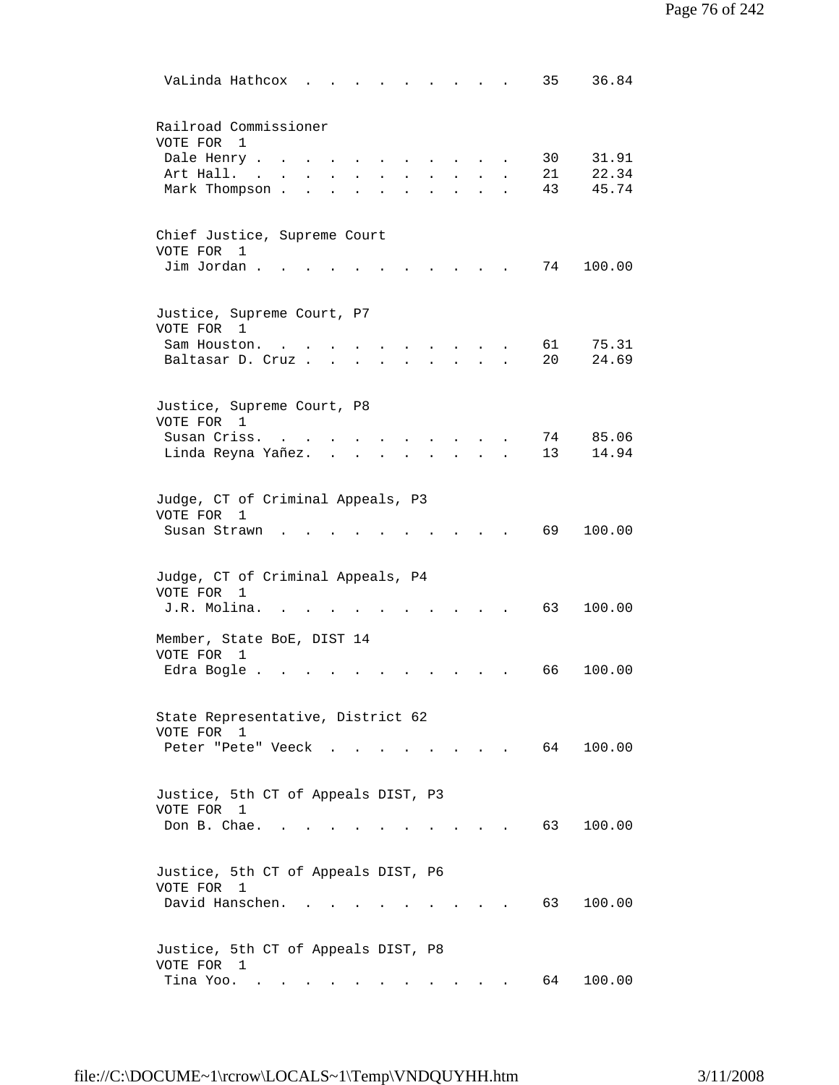| VaLinda Hathcox<br>35<br>36.84                                                                                                                                                                                                                  |  |
|-------------------------------------------------------------------------------------------------------------------------------------------------------------------------------------------------------------------------------------------------|--|
| Railroad Commissioner<br>VOTE FOR<br>$\mathbf{1}$<br>30<br>31.91<br>Dale Henry.<br>21<br>22.34<br>Art Hall.<br>$\sim$<br>45.74<br>Mark Thompson.<br>43                                                                                          |  |
| Chief Justice, Supreme Court<br>VOTE FOR<br>1<br>Jim Jordan.<br>74<br>100.00<br>$\ddot{\phantom{a}}$                                                                                                                                            |  |
| Justice, Supreme Court, P7<br>VOTE FOR 1<br>61<br>75.31<br>Sam Houston.<br>$\sim$<br>20<br>24.69<br>Baltasar D. Cruz.                                                                                                                           |  |
| Justice, Supreme Court, P8<br>VOTE FOR 1<br>Susan Criss.<br>85.06<br>74<br>13<br>14.94<br>Linda Reyna Yañez.                                                                                                                                    |  |
| Judge, CT of Criminal Appeals, P3<br>VOTE FOR<br>$\mathbf{1}$<br>69<br>100.00<br>Susan Strawn                                                                                                                                                   |  |
| Judge, CT of Criminal Appeals, P4<br>VOTE FOR<br>1<br>J.R. Molina.<br>63<br>100.00                                                                                                                                                              |  |
| Member, State BoE, DIST 14<br>VOTE FOR<br>1<br>100.00<br>Edra Bogle.<br>66                                                                                                                                                                      |  |
| State Representative, District 62<br>VOTE FOR<br>1<br>64<br>100.00<br>Peter "Pete" Veeck.                                                                                                                                                       |  |
| Justice, 5th CT of Appeals DIST, P3<br>VOTE FOR 1<br>Don B. Chae.<br>63<br>100.00                                                                                                                                                               |  |
| Justice, 5th CT of Appeals DIST, P6<br>VOTE FOR 1<br>David Hanschen.<br>63<br>100.00                                                                                                                                                            |  |
| Justice, 5th CT of Appeals DIST, P8<br>VOTE FOR 1<br>Tina Yoo.<br>64<br>100.00<br>the contract of the contract of the contract of the contract of the contract of the contract of the contract of<br><b>Contract Contract Contract Contract</b> |  |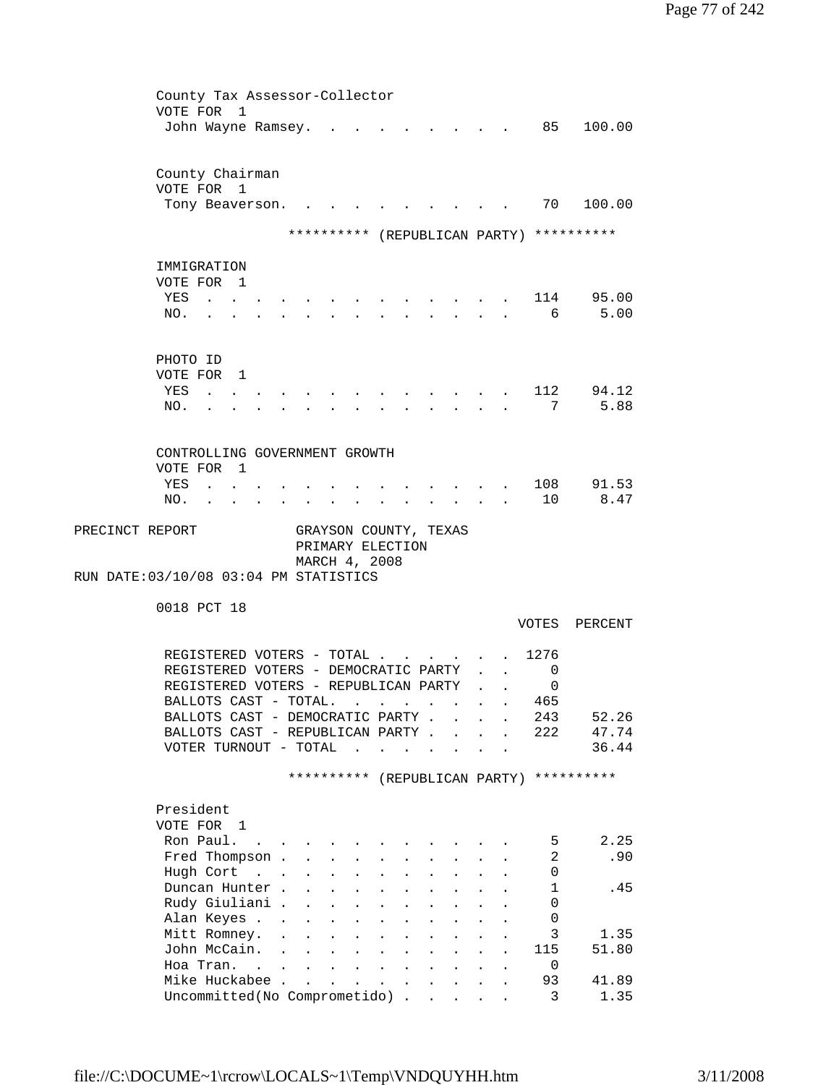| County Tax Assessor-Collector                                                                |                                           |                                                         |                                                                                          |                           |                           |                                          |                                                                                                                 |                         |                                          |
|----------------------------------------------------------------------------------------------|-------------------------------------------|---------------------------------------------------------|------------------------------------------------------------------------------------------|---------------------------|---------------------------|------------------------------------------|-----------------------------------------------------------------------------------------------------------------|-------------------------|------------------------------------------|
| VOTE FOR 1                                                                                   |                                           |                                                         |                                                                                          |                           |                           |                                          |                                                                                                                 |                         |                                          |
| John Wayne Ramsey.                                                                           |                                           |                                                         |                                                                                          |                           |                           |                                          | and the state of the state of the state of the state of the state of the state of the state of the state of the | 85                      | 100.00                                   |
|                                                                                              |                                           |                                                         |                                                                                          |                           |                           |                                          |                                                                                                                 |                         |                                          |
| County Chairman                                                                              |                                           |                                                         |                                                                                          |                           |                           |                                          |                                                                                                                 |                         |                                          |
| VOTE FOR 1                                                                                   |                                           |                                                         |                                                                                          |                           |                           |                                          |                                                                                                                 |                         |                                          |
| Tony Beaverson.                                                                              |                                           |                                                         |                                                                                          |                           |                           |                                          |                                                                                                                 | 70                      | 100.00                                   |
|                                                                                              |                                           |                                                         |                                                                                          |                           |                           |                                          |                                                                                                                 |                         |                                          |
|                                                                                              |                                           |                                                         |                                                                                          |                           |                           |                                          |                                                                                                                 |                         | ********** (REPUBLICAN PARTY) ********** |
|                                                                                              |                                           |                                                         |                                                                                          |                           |                           |                                          |                                                                                                                 |                         |                                          |
| IMMIGRATION                                                                                  |                                           |                                                         |                                                                                          |                           |                           |                                          |                                                                                                                 |                         |                                          |
| VOTE FOR 1<br>YES<br><b>Contract Contract Contract</b>                                       |                                           |                                                         |                                                                                          |                           |                           |                                          |                                                                                                                 |                         | 114 95.00                                |
| NO.<br>$\sim$ $\sim$                                                                         |                                           | $\mathbf{r}$<br>$\sim$                                  | $\sim$                                                                                   |                           |                           | $\mathbf{r} = \mathbf{r}$                |                                                                                                                 | 6                       | 5.00                                     |
|                                                                                              |                                           |                                                         |                                                                                          |                           |                           |                                          |                                                                                                                 |                         |                                          |
|                                                                                              |                                           |                                                         |                                                                                          |                           |                           |                                          |                                                                                                                 |                         |                                          |
| PHOTO ID                                                                                     |                                           |                                                         |                                                                                          |                           |                           |                                          |                                                                                                                 |                         |                                          |
| VOTE FOR 1                                                                                   |                                           |                                                         |                                                                                          |                           |                           |                                          |                                                                                                                 |                         |                                          |
| YES<br><b>Contract Contract Contract</b>                                                     |                                           |                                                         |                                                                                          |                           |                           |                                          |                                                                                                                 | 112                     | 94.12                                    |
| NO.                                                                                          |                                           |                                                         |                                                                                          |                           |                           |                                          |                                                                                                                 | 7                       | 5.88                                     |
|                                                                                              |                                           |                                                         |                                                                                          |                           |                           |                                          |                                                                                                                 |                         |                                          |
|                                                                                              |                                           |                                                         |                                                                                          |                           |                           |                                          |                                                                                                                 |                         |                                          |
| CONTROLLING GOVERNMENT GROWTH                                                                |                                           |                                                         |                                                                                          |                           |                           |                                          |                                                                                                                 |                         |                                          |
| VOTE FOR 1                                                                                   |                                           |                                                         |                                                                                          |                           |                           |                                          |                                                                                                                 |                         |                                          |
| YES<br>$\mathbf{L}$ , and $\mathbf{L}$ , and $\mathbf{L}$                                    |                                           |                                                         |                                                                                          |                           |                           |                                          |                                                                                                                 |                         | 108 91.53<br>8.47                        |
| NO.<br>the contract of the contract of the                                                   |                                           | $\mathbf{r} = \mathbf{r} + \mathbf{r}$ .                |                                                                                          |                           |                           | $\mathbf{z} = \mathbf{z} + \mathbf{z}$ . |                                                                                                                 | 10                      |                                          |
| PRECINCT REPORT                                                                              |                                           | GRAYSON COUNTY, TEXAS                                   |                                                                                          |                           |                           |                                          |                                                                                                                 |                         |                                          |
|                                                                                              |                                           | PRIMARY ELECTION                                        |                                                                                          |                           |                           |                                          |                                                                                                                 |                         |                                          |
|                                                                                              |                                           | MARCH 4, 2008                                           |                                                                                          |                           |                           |                                          |                                                                                                                 |                         |                                          |
| RUN DATE: 03/10/08 03:04 PM STATISTICS                                                       |                                           |                                                         |                                                                                          |                           |                           |                                          |                                                                                                                 |                         |                                          |
|                                                                                              |                                           |                                                         |                                                                                          |                           |                           |                                          |                                                                                                                 |                         |                                          |
| 0018 PCT 18                                                                                  |                                           |                                                         |                                                                                          |                           |                           |                                          |                                                                                                                 |                         |                                          |
|                                                                                              |                                           |                                                         |                                                                                          |                           |                           |                                          |                                                                                                                 | VOTES                   | PERCENT                                  |
|                                                                                              |                                           |                                                         |                                                                                          |                           |                           |                                          |                                                                                                                 | 1276                    |                                          |
| REGISTERED VOTERS - TOTAL                                                                    |                                           |                                                         |                                                                                          |                           |                           |                                          |                                                                                                                 | 0                       |                                          |
| REGISTERED VOTERS - DEMOCRATIC PARTY<br>REGISTERED VOTERS - REPUBLICAN PARTY                 |                                           |                                                         |                                                                                          |                           |                           |                                          |                                                                                                                 | 0                       |                                          |
| BALLOTS CAST - TOTAL.                                                                        |                                           |                                                         |                                                                                          |                           |                           |                                          |                                                                                                                 | 465                     |                                          |
| BALLOTS CAST - DEMOCRATIC PARTY                                                              |                                           |                                                         |                                                                                          |                           |                           |                                          |                                                                                                                 | 243                     | 52.26                                    |
| BALLOTS CAST - REPUBLICAN PARTY                                                              |                                           |                                                         |                                                                                          |                           |                           |                                          |                                                                                                                 | 222                     | 47.74                                    |
| VOTER TURNOUT - TOTAL                                                                        |                                           |                                                         | $\mathbf{r}$ , and $\mathbf{r}$ , and $\mathbf{r}$ , and $\mathbf{r}$ , and $\mathbf{r}$ |                           |                           |                                          |                                                                                                                 |                         | 36.44                                    |
|                                                                                              |                                           |                                                         |                                                                                          |                           |                           |                                          |                                                                                                                 |                         |                                          |
|                                                                                              |                                           |                                                         |                                                                                          |                           |                           |                                          |                                                                                                                 |                         | ********** (REPUBLICAN PARTY) ********** |
|                                                                                              |                                           |                                                         |                                                                                          |                           |                           |                                          |                                                                                                                 |                         |                                          |
| President                                                                                    |                                           |                                                         |                                                                                          |                           |                           |                                          |                                                                                                                 |                         |                                          |
| VOTE FOR 1                                                                                   |                                           |                                                         |                                                                                          |                           |                           |                                          |                                                                                                                 |                         |                                          |
| Ron Paul.<br>the contract of the contract of the contract of the contract of the contract of |                                           |                                                         |                                                                                          |                           |                           |                                          |                                                                                                                 | 5                       | 2.25                                     |
| Fred Thompson                                                                                |                                           |                                                         | $\mathbf{L} = \mathbf{L} \mathbf{L}$                                                     |                           |                           |                                          |                                                                                                                 | 2                       | .90                                      |
| Hugh Cort                                                                                    |                                           |                                                         | $\mathbf{r} = \mathbf{r}$                                                                |                           | $\mathbf{L} = \mathbf{L}$ | <b>Contract Contract Contract</b>        |                                                                                                                 | 0                       |                                          |
| Duncan Hunter.                                                                               |                                           | $\mathbf{r}$ and $\mathbf{r}$ and $\mathbf{r}$          |                                                                                          | $\mathbf{L}$              |                           | <b>Contract Contract</b>                 |                                                                                                                 | 1                       | .45                                      |
| Rudy Giuliani .                                                                              | $\ddot{\phantom{a}}$                      | $\mathbf{L}^{\text{max}}$ and $\mathbf{L}^{\text{max}}$ | $\sim 10^{-11}$                                                                          | $\ddot{\phantom{0}}$      | $\bullet$                 | $\sim 10^{-10}$                          |                                                                                                                 | 0                       |                                          |
| Alan Keyes                                                                                   |                                           | $\bullet$<br>$\ddot{\phantom{0}}$                       |                                                                                          |                           |                           |                                          |                                                                                                                 | 0                       |                                          |
| Mitt Romney.<br>$\ddot{\phantom{a}}$                                                         |                                           | $\mathbf{L}^{\text{max}}$<br>$\ddot{\phantom{0}}$       |                                                                                          |                           |                           |                                          |                                                                                                                 | 3                       | 1.35                                     |
| John McCain.<br>$\ddot{\phantom{a}}$<br>Hoa Tran.                                            | $\ddot{\phantom{a}}$                      | $\ddot{\phantom{0}}$                                    |                                                                                          |                           |                           |                                          |                                                                                                                 | 115                     | 51.80                                    |
| $\sim$ $\sim$<br>Mike Huckabee .                                                             | $\mathbf{L}^{\text{max}}$<br>$\mathbf{r}$ | $\mathbf{L}$<br>$\mathbf{L}$                            | $\mathbf{L}^{\text{max}}$                                                                | $\mathbf{L}^{\text{max}}$ | $\sim$                    |                                          |                                                                                                                 | 0<br>93                 | 41.89                                    |
| Uncommitted (No Comprometido)                                                                |                                           | $\ddot{\phantom{0}}$                                    |                                                                                          | $\ddot{\phantom{0}}$      | $\sim$                    |                                          |                                                                                                                 | $\overline{\mathbf{3}}$ | 1.35                                     |
|                                                                                              |                                           |                                                         |                                                                                          |                           |                           |                                          |                                                                                                                 |                         |                                          |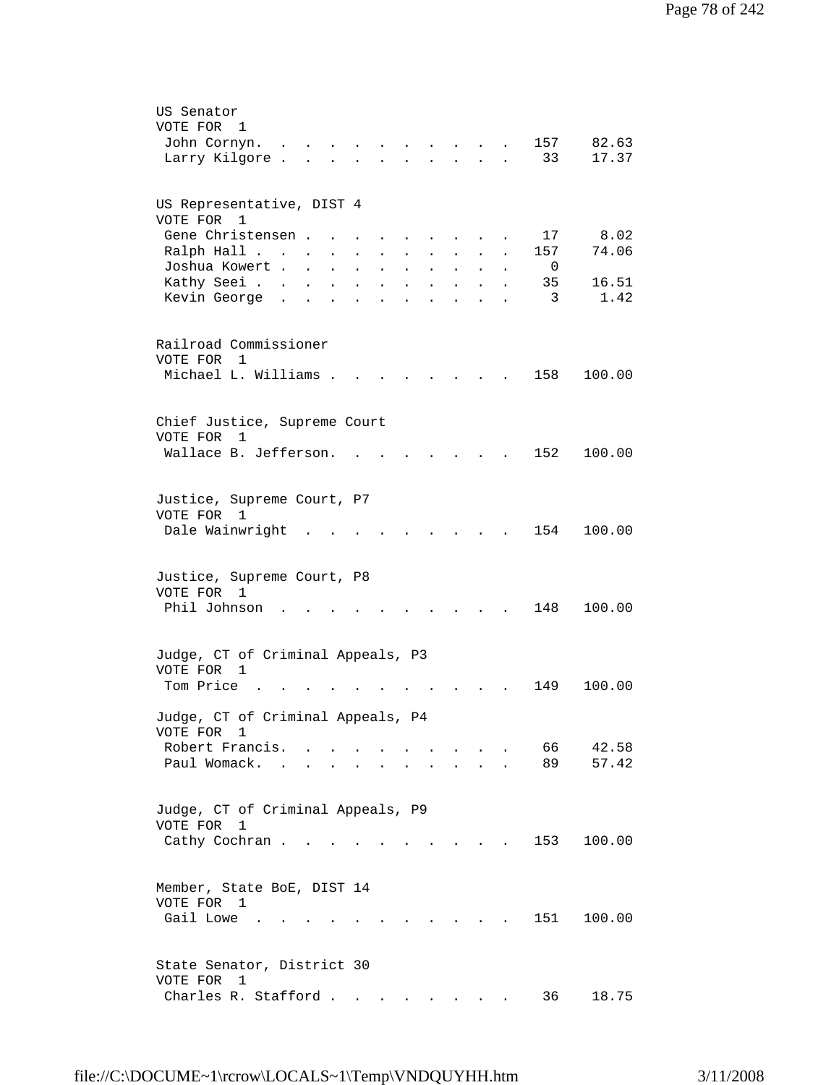| US Senator                                                                                                                                                                                                         |
|--------------------------------------------------------------------------------------------------------------------------------------------------------------------------------------------------------------------|
| VOTE FOR<br>1                                                                                                                                                                                                      |
| 157<br>82.63<br>John Cornyn.                                                                                                                                                                                       |
| Larry Kilgore.<br>33<br>17.37<br>$\mathbf{r} = \mathbf{r}$<br>$\sim$ $\sim$ $\sim$<br>$\mathbf{L} = \mathbf{L} \mathbf{L} = \mathbf{L} \mathbf{L}$<br>$\mathbf{r}$<br>$\ddot{\phantom{a}}$                         |
|                                                                                                                                                                                                                    |
| US Representative, DIST 4                                                                                                                                                                                          |
| VOTE FOR 1                                                                                                                                                                                                         |
| Gene Christensen<br>8.02<br>17<br>$\ddot{\phantom{0}}$                                                                                                                                                             |
| 74.06<br>Ralph Hall<br>157<br>$\mathcal{L}^{\text{max}}$<br>$\mathcal{L}^{\text{max}}$<br>$\sim$ $\sim$<br>$\mathcal{L}^{\text{max}}$<br>$\sim 10^{-11}$<br>$\ddot{\phantom{a}}$<br>$\sim$<br>$\ddot{\phantom{0}}$ |
| Joshua Kowert<br>$\overline{0}$<br>$\ddot{\phantom{0}}$<br>$\mathcal{L}^{\text{max}}$<br>$\mathbf{L} = \mathbf{L}$<br>$\sim$ 100 $\pm$<br>$\ddot{\phantom{a}}$                                                     |
| Kathy Seei.<br>16.51<br>35<br><b>Contractor</b><br>$\mathbf{L}$ and $\mathbf{L}$<br>$\mathbf{L}$<br>$\ddot{\phantom{a}}$                                                                                           |
| Kevin George.<br>3<br>1.42<br>$\mathbf{L}$<br>$\mathbf{L}$<br>$\ddot{\phantom{a}}$<br>$\bullet$<br>$\ddot{\phantom{a}}$<br>$\ddot{\phantom{a}}$<br>$\sim$<br>$\ddot{\phantom{a}}$                                  |
|                                                                                                                                                                                                                    |
| Railroad Commissioner                                                                                                                                                                                              |
| VOTE FOR 1                                                                                                                                                                                                         |
| Michael L. Williams .<br>158<br>100.00                                                                                                                                                                             |
|                                                                                                                                                                                                                    |
|                                                                                                                                                                                                                    |
| Chief Justice, Supreme Court<br>VOTE FOR<br>1                                                                                                                                                                      |
| Wallace B. Jefferson.<br>152<br>100.00                                                                                                                                                                             |
|                                                                                                                                                                                                                    |
|                                                                                                                                                                                                                    |
| Justice, Supreme Court, P7                                                                                                                                                                                         |
| VOTE FOR 1                                                                                                                                                                                                         |
| Dale Wainwright<br>154<br>100.00                                                                                                                                                                                   |
|                                                                                                                                                                                                                    |
|                                                                                                                                                                                                                    |
| Justice, Supreme Court, P8                                                                                                                                                                                         |
| VOTE FOR 1                                                                                                                                                                                                         |
| Phil Johnson<br>148<br>100.00                                                                                                                                                                                      |
|                                                                                                                                                                                                                    |
| Judge, CT of Criminal Appeals, P3                                                                                                                                                                                  |
| VOTE FOR<br>1                                                                                                                                                                                                      |
| Tom Price<br>100.00<br>149                                                                                                                                                                                         |
|                                                                                                                                                                                                                    |
| Judge, CT of Criminal Appeals, P4                                                                                                                                                                                  |
| VOTE FOR 1                                                                                                                                                                                                         |
| Robert Francis. .<br>66<br>42.58                                                                                                                                                                                   |
| Paul Womack.<br>89<br>57.42                                                                                                                                                                                        |
|                                                                                                                                                                                                                    |
|                                                                                                                                                                                                                    |
| Judge, CT of Criminal Appeals, P9                                                                                                                                                                                  |
| VOTE FOR<br>1                                                                                                                                                                                                      |
| 100.00<br>Cathy Cochran<br>153<br>$\mathbf{r} = \mathbf{r} + \mathbf{r} + \mathbf{r} + \mathbf{r}$                                                                                                                 |
|                                                                                                                                                                                                                    |
| Member, State BoE, DIST 14                                                                                                                                                                                         |
| VOTE FOR 1                                                                                                                                                                                                         |
| Gail Lowe<br>151<br>100.00                                                                                                                                                                                         |
|                                                                                                                                                                                                                    |
|                                                                                                                                                                                                                    |
| State Senator, District 30                                                                                                                                                                                         |
| VOTE FOR<br>- 1                                                                                                                                                                                                    |
| Charles R. Stafford<br>36<br>18.75                                                                                                                                                                                 |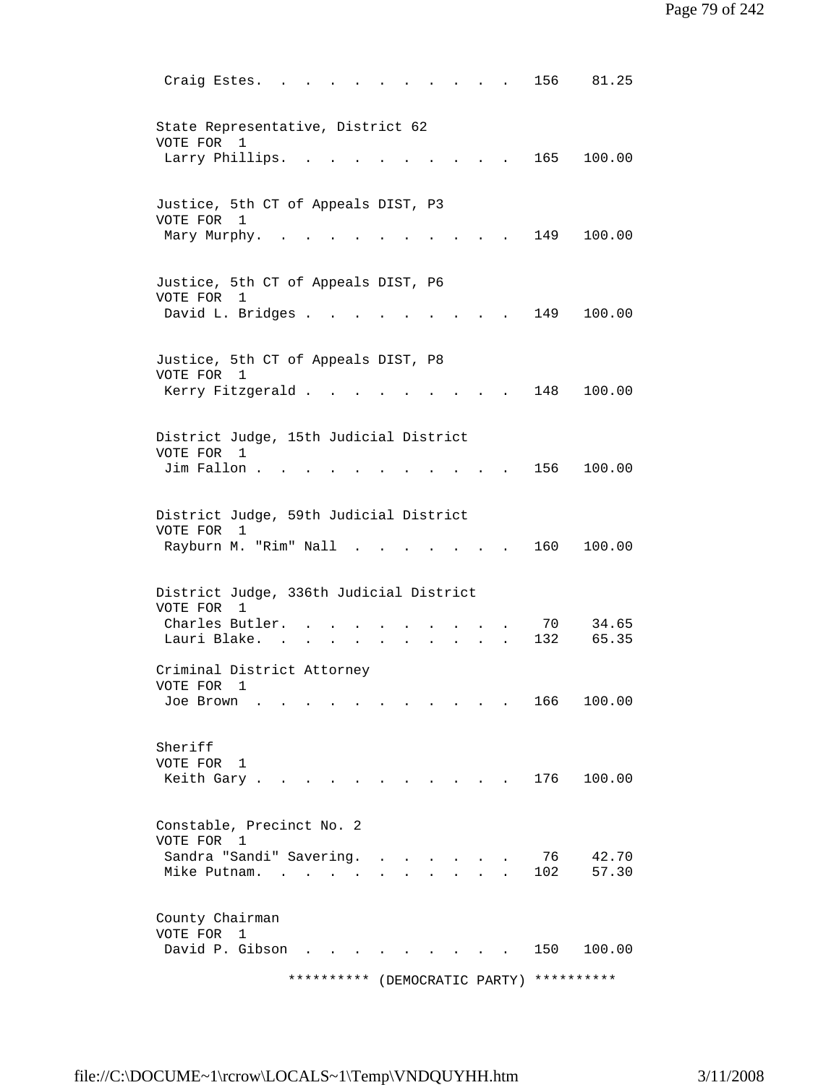| Craig Estes.                                                                             |                                   |                                  |        |  |                                   |  | 156       | 81.25          |
|------------------------------------------------------------------------------------------|-----------------------------------|----------------------------------|--------|--|-----------------------------------|--|-----------|----------------|
| State Representative, District 62<br>VOTE FOR<br>Larry Phillips.                         | 1                                 |                                  |        |  |                                   |  | 165       | 100.00         |
| Justice, 5th CT of Appeals DIST, P3<br>VOTE FOR 1<br>Mary Murphy.                        |                                   |                                  |        |  |                                   |  | 149       | 100.00         |
| Justice, 5th CT of Appeals DIST, P6<br>VOTE FOR<br>David L. Bridges .                    | 1                                 |                                  |        |  |                                   |  | 149       | 100.00         |
| Justice, 5th CT of Appeals DIST, P8<br>VOTE FOR 1<br>Kerry Fitzgerald .                  |                                   |                                  |        |  |                                   |  | 148       | 100.00         |
| District Judge, 15th Judicial District<br>VOTE FOR 1<br>Jim Fallon.                      |                                   |                                  |        |  |                                   |  | 156       | 100.00         |
| District Judge, 59th Judicial District<br>VOTE FOR<br>Rayburn M. "Rim" Nall              | 1                                 |                                  |        |  |                                   |  | 160       | 100.00         |
| District Judge, 336th Judicial District<br>VOTE FOR 1<br>Charles Butler.<br>Lauri Blake. |                                   |                                  | $\sim$ |  |                                   |  | 70<br>132 | 34.65<br>65.35 |
| Criminal District Attorney<br>VOTE FOR<br>Joe Brown                                      | 1                                 |                                  |        |  |                                   |  | 166       | 100.00         |
| Sheriff<br>VOTE FOR<br>Keith Gary.                                                       | 1                                 |                                  |        |  |                                   |  | 176       | 100.00         |
| Constable, Precinct No. 2<br>VOTE FOR 1<br>Sandra "Sandi" Savering.<br>Mike Putnam.      | <b>Contract Contract Contract</b> | $\Delta \sim 10^{-11}$<br>$\sim$ |        |  |                                   |  | 76<br>102 | 42.70<br>57.30 |
| County Chairman<br>VOTE FOR<br>David P. Gibson                                           | $\mathbf{1}$                      |                                  |        |  | <b>Contract Contract Contract</b> |  | 150       | 100.00         |

\*\*\*\*\*\*\*\*\*\* (DEMOCRATIC PARTY) \*\*\*\*\*\*\*\*\*\*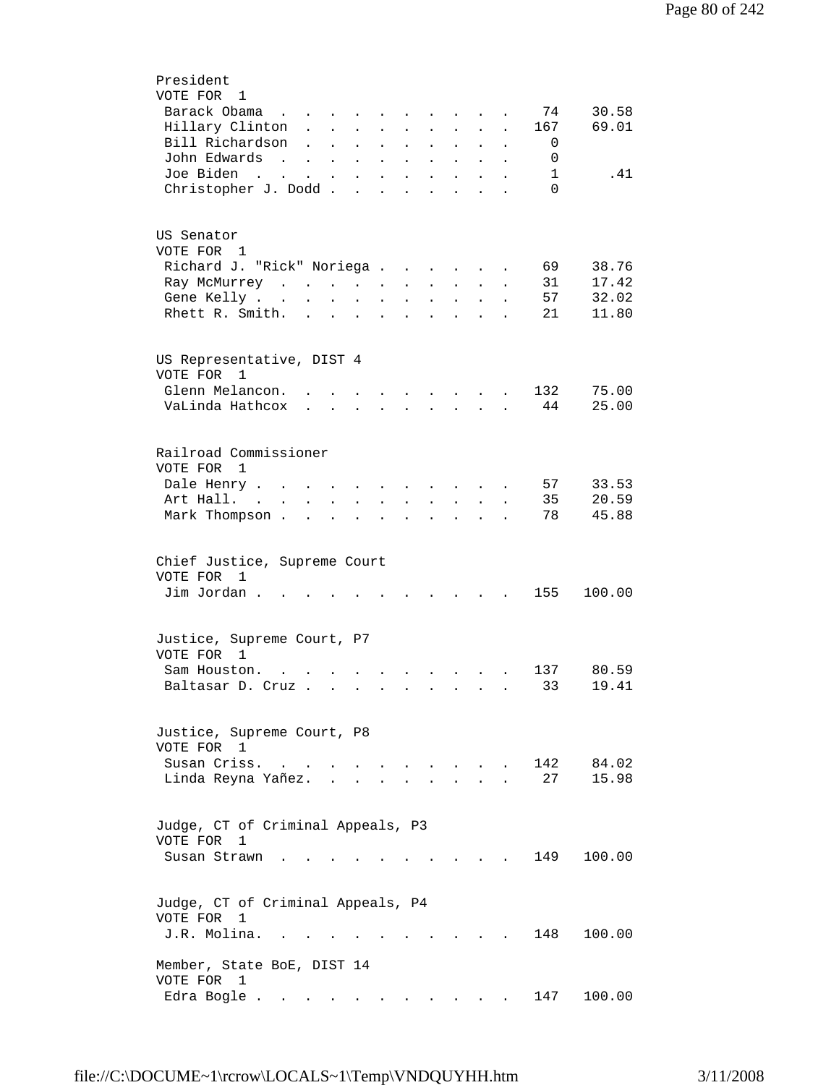| President                                                                                                                                                                                                                |
|--------------------------------------------------------------------------------------------------------------------------------------------------------------------------------------------------------------------------|
| VOTE FOR 1                                                                                                                                                                                                               |
| Barack Obama<br>30.58<br>74<br>$\mathbf{r}$ , $\mathbf{r}$ , $\mathbf{r}$ , $\mathbf{r}$ , $\mathbf{r}$                                                                                                                  |
| 69.01<br>Hillary Clinton<br>167<br>$\mathbf{L}$ and $\mathbf{L}$<br>$\mathbf{L}$<br>$\ddot{\phantom{a}}$                                                                                                                 |
| Bill Richardson<br>0<br>$\mathbf{L}$<br>$\mathbf{L}^{\text{max}}$<br>$\mathcal{L}^{\text{max}}$<br>$\mathbf{L} = \mathbf{L}$<br>$\ddot{\phantom{0}}$<br>$\ddot{\phantom{0}}$<br>$\bullet$<br>$\ddot{\phantom{a}}$        |
| John Edwards<br>0                                                                                                                                                                                                        |
| <b>Contract Contract Contract</b><br>$\Delta \phi = \Delta \phi$ and $\Delta \phi = 0$<br>$\bullet$<br>$\bullet$<br>$\mathbf{A}^{\text{max}}$<br>$\ddot{\phantom{a}}$                                                    |
| Joe Biden<br>1<br>.41<br>$\mathcal{A}(\mathcal{A})$ . The contribution of $\mathcal{A}(\mathcal{A})$<br>$\mathbf{A}^{(1)}$ and $\mathbf{A}^{(2)}$ .<br>$\bullet$<br>$\ddot{\phantom{0}}$<br>$\bullet$                    |
| Christopher J. Dodd<br>$\Omega$<br>$\sim$<br>$\ddot{\phantom{a}}$<br>$\ddot{\phantom{a}}$<br>$\ddot{\phantom{a}}$                                                                                                        |
|                                                                                                                                                                                                                          |
|                                                                                                                                                                                                                          |
| US Senator                                                                                                                                                                                                               |
| VOTE FOR 1                                                                                                                                                                                                               |
| Richard J. "Rick" Noriega<br>69<br>38.76                                                                                                                                                                                 |
| 17.42<br>31<br>Ray McMurrey<br>$\mathbf{z} = \mathbf{z} + \mathbf{z}$ .<br>$\bullet$ .<br><br><br><br><br><br><br><br><br><br><br><br><br>$\mathbf{L}^{\text{max}}$<br>$\bullet$                                         |
| 57<br>32.02<br>Gene Kelly                                                                                                                                                                                                |
| $\ddot{\phantom{0}}$<br>$\ddot{\phantom{0}}$<br>$\sim$ 100 $\mu$<br>$\bullet$                                                                                                                                            |
| Rhett R. Smith.<br>21<br>11.80<br>$\mathbf{r} = \mathbf{r} \cdot \mathbf{r}$ , where $\mathbf{r} = \mathbf{r} \cdot \mathbf{r}$<br><b>Contract Contract</b><br>$\ddot{\phantom{a}}$<br>$\ddot{\phantom{0}}$<br>$\bullet$ |
|                                                                                                                                                                                                                          |
|                                                                                                                                                                                                                          |
| US Representative, DIST 4                                                                                                                                                                                                |
| VOTE FOR<br>1                                                                                                                                                                                                            |
| Glenn Melancon.<br>75.00<br>132<br>and the state of the state of the state of                                                                                                                                            |
| VaLinda Hathcox<br>44<br>25.00<br>$\mathbf{r}$ , $\mathbf{r}$ , $\mathbf{r}$ , $\mathbf{r}$                                                                                                                              |
|                                                                                                                                                                                                                          |
|                                                                                                                                                                                                                          |
| Railroad Commissioner                                                                                                                                                                                                    |
| VOTE FOR 1                                                                                                                                                                                                               |
| Dale Henry<br>57<br>33.53                                                                                                                                                                                                |
| $\sim$ $\sim$<br>$\cdots$ $\cdots$<br>$\sim$<br>$\sim$                                                                                                                                                                   |
| 20.59<br>Art Hall. .<br>35<br>$\sim$<br>$\sim$<br>$\ddot{\phantom{0}}$<br>$\ddot{\phantom{0}}$<br>$\ddot{\phantom{0}}$<br>$\ddot{\phantom{0}}$<br>$\sim$<br>$\ddot{\phantom{0}}$                                         |
| Mark Thompson.<br>78<br>45.88<br>$\mathbf{r}$ . The set of $\mathbf{r}$<br>$\sim$<br>$\ddot{\phantom{a}}$<br>$\ddot{\phantom{0}}$<br>$\ddot{\phantom{a}}$<br>$\ddot{\phantom{0}}$                                        |
|                                                                                                                                                                                                                          |
|                                                                                                                                                                                                                          |
| Chief Justice, Supreme Court                                                                                                                                                                                             |
| VOTE FOR 1                                                                                                                                                                                                               |
| Jim Jordan.<br>155<br>100.00<br><b>Contractor</b>                                                                                                                                                                        |
|                                                                                                                                                                                                                          |
|                                                                                                                                                                                                                          |
| Justice, Supreme Court, P7                                                                                                                                                                                               |
| VOTE FOR 1                                                                                                                                                                                                               |
| 80.59<br>Sam Houston.<br>137                                                                                                                                                                                             |
| $\mathbf{z} = \mathbf{z} + \mathbf{z}$ . The $\mathbf{z}$                                                                                                                                                                |
| 33<br>19.41<br>Baltasar D. Cruz                                                                                                                                                                                          |
|                                                                                                                                                                                                                          |
|                                                                                                                                                                                                                          |
| Justice, Supreme Court, P8                                                                                                                                                                                               |
| VOTE FOR 1                                                                                                                                                                                                               |
| Susan Criss.<br>142<br>84.02<br>$\mathbf{r}$ and $\mathbf{r}$ and $\mathbf{r}$                                                                                                                                           |
| 27<br>15.98<br>Linda Reyna Yañez.                                                                                                                                                                                        |
|                                                                                                                                                                                                                          |
|                                                                                                                                                                                                                          |
| Judge, CT of Criminal Appeals, P3                                                                                                                                                                                        |
| VOTE FOR<br>1                                                                                                                                                                                                            |
| 149<br>100.00<br>Susan Strawn                                                                                                                                                                                            |
|                                                                                                                                                                                                                          |
|                                                                                                                                                                                                                          |
| Judge, CT of Criminal Appeals, P4                                                                                                                                                                                        |
|                                                                                                                                                                                                                          |
| VOTE FOR<br>1                                                                                                                                                                                                            |
| J.R. Molina.<br>148<br>100.00                                                                                                                                                                                            |
|                                                                                                                                                                                                                          |
| Member, State BoE, DIST 14                                                                                                                                                                                               |
| VOTE FOR<br>-1                                                                                                                                                                                                           |
| 147<br>100.00<br>Edra Bogle .<br>the contract of the contract of                                                                                                                                                         |
|                                                                                                                                                                                                                          |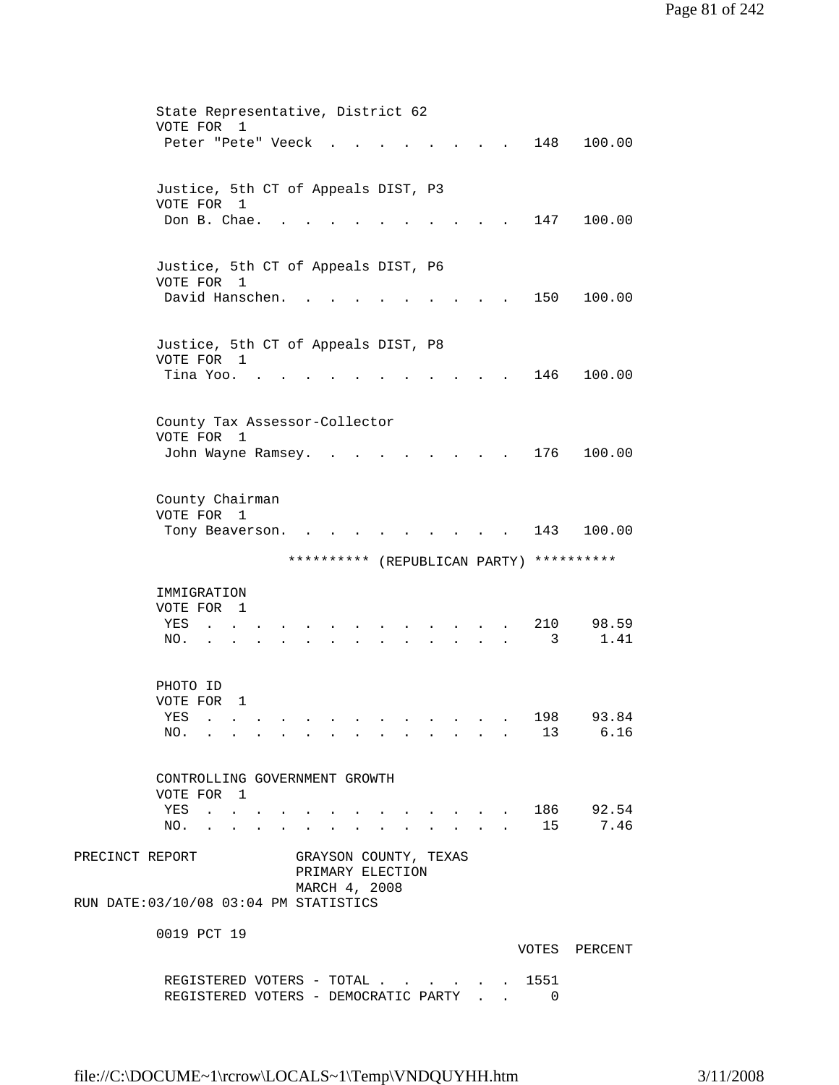|                                        |                                     |                                                                             |                |  | State Representative, District 62 |  |  |                               |                                 |       |                                          |
|----------------------------------------|-------------------------------------|-----------------------------------------------------------------------------|----------------|--|-----------------------------------|--|--|-------------------------------|---------------------------------|-------|------------------------------------------|
|                                        | VOTE FOR                            |                                                                             | 1              |  |                                   |  |  |                               |                                 |       |                                          |
|                                        | Peter "Pete" Veeck                  |                                                                             |                |  |                                   |  |  |                               |                                 | 148   | 100.00                                   |
|                                        |                                     |                                                                             |                |  |                                   |  |  |                               |                                 |       |                                          |
|                                        |                                     |                                                                             |                |  |                                   |  |  |                               |                                 |       |                                          |
|                                        | Justice, 5th CT of Appeals DIST, P3 |                                                                             |                |  |                                   |  |  |                               |                                 |       |                                          |
|                                        | VOTE FOR 1                          |                                                                             |                |  |                                   |  |  |                               |                                 |       |                                          |
|                                        | Don B. Chae.                        |                                                                             |                |  |                                   |  |  |                               |                                 | 147   | 100.00                                   |
|                                        |                                     |                                                                             |                |  |                                   |  |  |                               |                                 |       |                                          |
|                                        |                                     |                                                                             |                |  |                                   |  |  |                               |                                 |       |                                          |
|                                        | Justice, 5th CT of Appeals DIST, P6 |                                                                             |                |  |                                   |  |  |                               |                                 |       |                                          |
|                                        | VOTE FOR 1                          |                                                                             |                |  |                                   |  |  |                               |                                 |       |                                          |
|                                        | David Hanschen.                     |                                                                             |                |  |                                   |  |  |                               |                                 | 150   | 100.00                                   |
|                                        |                                     |                                                                             |                |  |                                   |  |  |                               |                                 |       |                                          |
|                                        |                                     |                                                                             |                |  |                                   |  |  |                               |                                 |       |                                          |
|                                        | Justice, 5th CT of Appeals DIST, P8 |                                                                             |                |  |                                   |  |  |                               |                                 |       |                                          |
|                                        | VOTE FOR 1                          |                                                                             |                |  |                                   |  |  |                               |                                 |       |                                          |
|                                        | Tina Yoo.                           |                                                                             |                |  |                                   |  |  |                               |                                 | 146   | 100.00                                   |
|                                        |                                     |                                                                             |                |  |                                   |  |  |                               |                                 |       |                                          |
|                                        |                                     |                                                                             |                |  |                                   |  |  |                               |                                 |       |                                          |
|                                        | County Tax Assessor-Collector       |                                                                             |                |  |                                   |  |  |                               |                                 |       |                                          |
|                                        | VOTE FOR                            |                                                                             | $\overline{1}$ |  |                                   |  |  |                               |                                 |       |                                          |
|                                        | John Wayne Ramsey.                  |                                                                             |                |  |                                   |  |  |                               |                                 | 176   | 100.00                                   |
|                                        |                                     |                                                                             |                |  |                                   |  |  |                               |                                 |       |                                          |
|                                        |                                     |                                                                             |                |  |                                   |  |  |                               |                                 |       |                                          |
|                                        | County Chairman                     |                                                                             |                |  |                                   |  |  |                               |                                 |       |                                          |
|                                        | VOTE FOR 1                          |                                                                             |                |  |                                   |  |  |                               |                                 |       |                                          |
|                                        | Tony Beaverson.                     |                                                                             |                |  |                                   |  |  |                               |                                 | 143   | 100.00                                   |
|                                        |                                     |                                                                             |                |  |                                   |  |  |                               |                                 |       |                                          |
|                                        |                                     |                                                                             |                |  |                                   |  |  |                               |                                 |       |                                          |
|                                        |                                     |                                                                             |                |  |                                   |  |  |                               |                                 |       |                                          |
|                                        |                                     |                                                                             |                |  |                                   |  |  |                               |                                 |       | ********** (REPUBLICAN PARTY) ********** |
|                                        |                                     |                                                                             |                |  |                                   |  |  |                               |                                 |       |                                          |
|                                        | IMMIGRATION                         |                                                                             |                |  |                                   |  |  |                               |                                 |       |                                          |
|                                        | VOTE FOR 1                          |                                                                             |                |  |                                   |  |  |                               |                                 |       |                                          |
|                                        | YES                                 |                                                                             |                |  |                                   |  |  |                               |                                 | 210   | 98.59                                    |
|                                        | NO.                                 |                                                                             |                |  |                                   |  |  |                               |                                 | 3     | 1.41                                     |
|                                        |                                     |                                                                             |                |  |                                   |  |  |                               |                                 |       |                                          |
|                                        |                                     |                                                                             |                |  |                                   |  |  |                               |                                 |       |                                          |
|                                        | PHOTO ID                            |                                                                             |                |  |                                   |  |  |                               |                                 |       |                                          |
|                                        | VOTE FOR                            |                                                                             | 1              |  |                                   |  |  |                               |                                 |       |                                          |
|                                        | YES                                 |                                                                             |                |  | .                                 |  |  |                               |                                 | 198   | 93.84                                    |
|                                        | NO.                                 | $\mathcal{L}(\mathbf{r})$ . The set of the set of $\mathcal{L}(\mathbf{r})$ |                |  |                                   |  |  |                               | the contract of the contract of |       | 13 6.16                                  |
|                                        |                                     |                                                                             |                |  |                                   |  |  |                               |                                 |       |                                          |
|                                        |                                     |                                                                             |                |  |                                   |  |  |                               |                                 |       |                                          |
|                                        | CONTROLLING GOVERNMENT GROWTH       |                                                                             |                |  |                                   |  |  |                               |                                 |       |                                          |
|                                        | VOTE FOR 1                          |                                                                             |                |  |                                   |  |  |                               |                                 |       |                                          |
|                                        | YES                                 | <b>Contract Contract</b>                                                    |                |  |                                   |  |  |                               |                                 | . 186 | 92.54                                    |
|                                        | NO.                                 |                                                                             | $\sim$ $\sim$  |  |                                   |  |  | $\mathbf{r}$ and $\mathbf{r}$ |                                 | 15    | 7.46                                     |
|                                        |                                     |                                                                             |                |  |                                   |  |  |                               |                                 |       |                                          |
| PRECINCT REPORT                        |                                     |                                                                             |                |  | GRAYSON COUNTY, TEXAS             |  |  |                               |                                 |       |                                          |
|                                        |                                     |                                                                             |                |  | PRIMARY ELECTION                  |  |  |                               |                                 |       |                                          |
|                                        |                                     |                                                                             |                |  | MARCH 4, 2008                     |  |  |                               |                                 |       |                                          |
| RUN DATE: 03/10/08 03:04 PM STATISTICS |                                     |                                                                             |                |  |                                   |  |  |                               |                                 |       |                                          |
|                                        |                                     |                                                                             |                |  |                                   |  |  |                               |                                 |       |                                          |
|                                        | 0019 PCT 19                         |                                                                             |                |  |                                   |  |  |                               |                                 |       |                                          |
|                                        |                                     |                                                                             |                |  |                                   |  |  |                               |                                 |       | VOTES PERCENT                            |
|                                        |                                     |                                                                             |                |  | REGISTERED VOTERS - TOTAL         |  |  |                               |                                 | 1551  |                                          |

REGISTERED VOTERS - DEMOCRATIC PARTY . . 0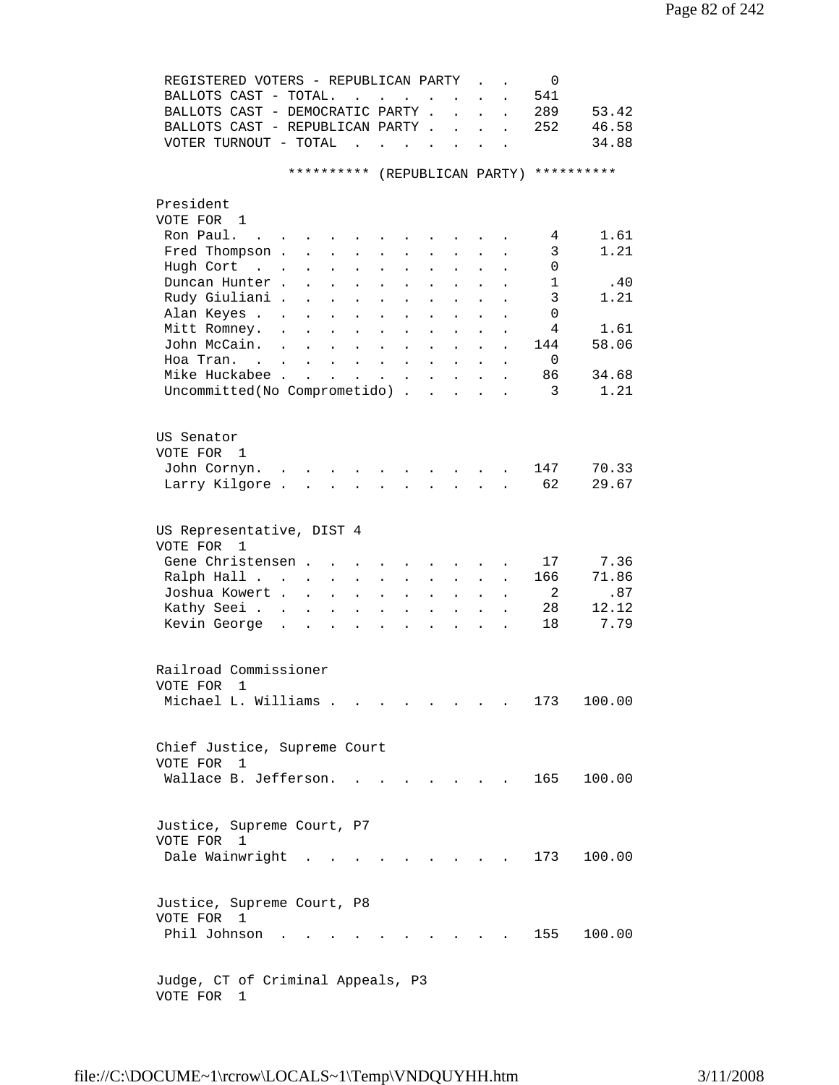| REGISTERED VOTERS - REPUBLICAN PARTY                |                                                           |                                              |                      |                      |           |                                        |                      |                      | 0   |            |
|-----------------------------------------------------|-----------------------------------------------------------|----------------------------------------------|----------------------|----------------------|-----------|----------------------------------------|----------------------|----------------------|-----|------------|
| BALLOTS CAST - TOTAL.                               |                                                           | $\mathbf{L} = \mathbf{L}$                    |                      | $\ddot{\phantom{a}}$ | $\sim$    |                                        |                      |                      | 541 |            |
| BALLOTS CAST - DEMOCRATIC PARTY .                   |                                                           |                                              |                      |                      |           | $\ddot{\phantom{a}}$                   | $\ddot{\phantom{a}}$ | $\ddot{\phantom{a}}$ | 289 | 53.42      |
| BALLOTS CAST - REPUBLICAN PARTY.                    |                                                           |                                              |                      |                      |           | $\ddot{\phantom{a}}$                   | $\ddot{\phantom{a}}$ | $\ddot{\phantom{a}}$ | 252 | 46.58      |
| VOTER TURNOUT - TOTAL                               |                                                           | $\ddot{\phantom{a}}$                         | $\sim$               |                      | $\sim$    |                                        |                      |                      |     | 34.88      |
|                                                     | * * * * * * * * * *                                       |                                              |                      |                      |           |                                        |                      | (REPUBLICAN PARTY)   |     | ********** |
| President                                           |                                                           |                                              |                      |                      |           |                                        |                      |                      |     |            |
| VOTE FOR 1                                          |                                                           |                                              |                      |                      |           |                                        |                      |                      |     |            |
| Ron Paul.<br>$\mathbf{r}$ . The set of $\mathbf{r}$ |                                                           |                                              |                      |                      |           |                                        |                      |                      | 4   | 1.61       |
| Fred Thompson .                                     | $\mathbf{L}^{\text{max}}$                                 | $\mathbf{L}$ and $\mathbf{L}$                |                      |                      |           |                                        |                      |                      | 3   | 1.21       |
| Hugh Cort<br>$\sim$ $\sim$ $\sim$                   | $\ddot{\phantom{0}}$                                      | $\ddot{\phantom{a}}$<br>$\bullet$            | $\bullet$            | $\ddot{\phantom{0}}$ | $\bullet$ |                                        |                      |                      | 0   |            |
| Duncan Hunter.                                      |                                                           | $\ddot{\phantom{0}}$                         |                      |                      |           |                                        |                      |                      | 1   | .40        |
| Rudy Giuliani.                                      |                                                           |                                              |                      |                      |           |                                        |                      |                      | 3   | 1.21       |
| Alan Keyes                                          |                                                           |                                              |                      |                      |           |                                        |                      |                      | 0   |            |
| Mitt Romney.                                        |                                                           | $\ddot{\phantom{a}}$                         |                      |                      |           |                                        |                      |                      | 4   | 1.61       |
| John McCain.<br>$\ddot{\phantom{a}}$                | $\mathbf{L}$                                              | $\mathbf{L}$                                 |                      |                      |           |                                        |                      |                      | 144 | 58.06      |
| Hoa Tran. .                                         | $\mathbf{L}$ and $\mathbf{L}$                             | $\mathbf{L} = \mathbf{L}$                    | $\ddot{\phantom{a}}$ | $\ddot{\phantom{a}}$ | $\sim$    | $\mathbf{L}^{\text{max}}$              | $\ddot{\phantom{a}}$ | $\ddot{\phantom{0}}$ | 0   |            |
| Mike Huckabee.                                      | $\mathbf{r}$ , $\mathbf{r}$ , $\mathbf{r}$ , $\mathbf{r}$ |                                              | $\sim 10^{-10}$      | $\ddot{\bullet}$     |           | $\mathbf{r}$ . The set of $\mathbf{r}$ | $\ddot{\phantom{a}}$ |                      | 86  | 34.68      |
| Uncommitted (No Comprometido)                       |                                                           |                                              |                      |                      |           |                                        |                      | $\ddot{\phantom{0}}$ | 3   | 1.21       |
|                                                     |                                                           |                                              |                      |                      |           |                                        |                      |                      |     |            |
| US Senator                                          |                                                           |                                              |                      |                      |           |                                        |                      |                      |     |            |
| VOTE FOR 1                                          |                                                           |                                              |                      |                      |           |                                        |                      |                      |     |            |
| John Cornyn.                                        |                                                           |                                              |                      |                      |           |                                        | $\sim$               |                      | 147 | 70.33      |
| Larry Kilgore.                                      |                                                           |                                              |                      | $\mathbf{r}$         | $\sim$    | $\mathbf{L}$                           |                      |                      | 62  | 29.67      |
| US Representative, DIST 4                           |                                                           |                                              |                      |                      |           |                                        |                      |                      |     |            |
| VOTE FOR 1                                          |                                                           |                                              |                      |                      |           |                                        |                      |                      |     |            |
| Gene Christensen.                                   |                                                           |                                              |                      |                      |           |                                        |                      |                      | 17  | 7.36       |
| Ralph Hall                                          |                                                           | $\sim 10^{-11}$<br>$\ddot{\phantom{a}}$      |                      |                      |           |                                        |                      |                      | 166 | 71.86      |
| Joshua Kowert .                                     | $\mathbf{r}$                                              | $\ddot{\phantom{a}}$                         |                      |                      |           |                                        |                      |                      | 2   | .87        |
| Kathy Seei                                          | $\ddot{\phantom{0}}$                                      | $\ddot{\phantom{a}}$<br>$\ddot{\phantom{a}}$ |                      |                      |           |                                        |                      |                      | 28  | 12.12      |
| Kevin George.                                       | $\ddot{\phantom{a}}$                                      |                                              |                      |                      |           |                                        |                      |                      | 18  | 7.79       |
|                                                     |                                                           |                                              |                      |                      |           |                                        |                      |                      |     |            |
| Railroad Commissioner                               |                                                           |                                              |                      |                      |           |                                        |                      |                      |     |            |
| VOTE FOR<br>1                                       |                                                           |                                              |                      |                      |           |                                        |                      |                      |     |            |
| Michael L. Williams                                 |                                                           |                                              |                      | $\sim$ $\sim$        |           |                                        |                      |                      | 173 | 100.00     |
|                                                     |                                                           |                                              |                      |                      |           |                                        |                      |                      |     |            |
| Chief Justice, Supreme Court<br>VOTE FOR 1          |                                                           |                                              |                      |                      |           |                                        |                      |                      |     |            |
| Wallace B. Jefferson.                               |                                                           |                                              |                      |                      |           |                                        |                      |                      | 165 | 100.00     |
|                                                     |                                                           |                                              |                      |                      |           |                                        |                      |                      |     |            |
| Justice, Supreme Court, P7                          |                                                           |                                              |                      |                      |           |                                        |                      |                      |     |            |
| VOTE FOR 1                                          |                                                           |                                              |                      |                      |           |                                        |                      |                      |     |            |
| Dale Wainwright .                                   |                                                           |                                              |                      |                      |           |                                        |                      |                      | 173 | 100.00     |
|                                                     |                                                           |                                              |                      |                      |           |                                        |                      |                      |     |            |
| Justice, Supreme Court, P8                          |                                                           |                                              |                      |                      |           |                                        |                      |                      |     |            |
| VOTE FOR 1                                          |                                                           |                                              |                      |                      |           |                                        |                      |                      |     |            |
| Phil Johnson                                        |                                                           |                                              |                      |                      |           |                                        |                      |                      | 155 | 100.00     |
|                                                     |                                                           |                                              |                      |                      |           |                                        |                      |                      |     |            |
| Judge, CT of Criminal Appeals, P3                   |                                                           |                                              |                      |                      |           |                                        |                      |                      |     |            |
| VOTE FOR 1                                          |                                                           |                                              |                      |                      |           |                                        |                      |                      |     |            |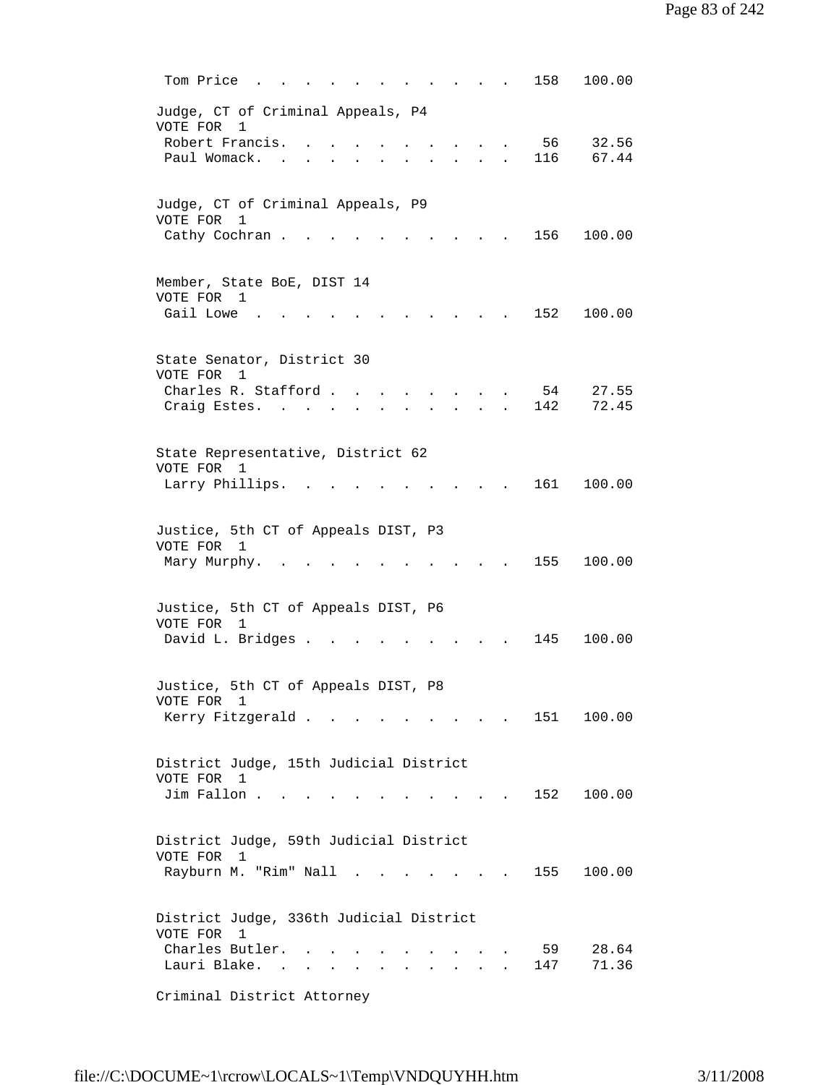|          | Tom Price                                            |  |                                                                                                                                               | 158       | 100.00         |
|----------|------------------------------------------------------|--|-----------------------------------------------------------------------------------------------------------------------------------------------|-----------|----------------|
| VOTE FOR | Judge, CT of Criminal Appeals, P4<br>1               |  |                                                                                                                                               |           |                |
|          | Robert Francis.<br>Paul Womack.                      |  |                                                                                                                                               | 56<br>116 | 32.56<br>67.44 |
| VOTE FOR | Judge, CT of Criminal Appeals, P9<br>1               |  |                                                                                                                                               |           |                |
|          | Cathy Cochran.                                       |  |                                                                                                                                               | 156       | 100.00         |
|          | Member, State BoE, DIST 14<br>VOTE FOR 1             |  |                                                                                                                                               |           |                |
|          | Gail Lowe                                            |  |                                                                                                                                               | 152       | 100.00         |
| VOTE FOR | State Senator, District 30<br>1                      |  |                                                                                                                                               |           |                |
|          | Charles R. Stafford.<br>Craig Estes. .               |  |                                                                                                                                               | 54<br>142 | 27.55<br>72.45 |
|          | State Representative, District 62                    |  |                                                                                                                                               |           |                |
|          | VOTE FOR 1<br>Larry Phillips.                        |  |                                                                                                                                               | 161       | 100.00         |
| VOTE FOR | Justice, 5th CT of Appeals DIST, P3<br>1             |  |                                                                                                                                               |           |                |
|          | Mary Murphy.                                         |  |                                                                                                                                               | 155       | 100.00         |
|          | Justice, 5th CT of Appeals DIST, P6<br>VOTE FOR 1    |  |                                                                                                                                               |           |                |
|          | David L. Bridges .                                   |  |                                                                                                                                               | 145       | 100.00         |
|          | Justice, 5th CT of Appeals DIST, P8<br>VOTE FOR 1    |  |                                                                                                                                               |           |                |
|          | Kerry Fitzgerald                                     |  | $\begin{array}{cccccccccccccc} \bullet & \bullet & \bullet & \bullet & \bullet & \bullet & \bullet & \bullet & \bullet & \bullet \end{array}$ | 151       | 100.00         |
|          | District Judge, 15th Judicial District               |  |                                                                                                                                               |           |                |
|          | VOTE FOR 1<br>Jim Fallon                             |  | the contract of the contract of the contract of the contract of the contract of                                                               | 152       | 100.00         |
|          | District Judge, 59th Judicial District<br>VOTE FOR 1 |  |                                                                                                                                               |           |                |
|          | Rayburn M. "Rim" Nall                                |  | $\mathbf{r}$ , $\mathbf{r}$ , $\mathbf{r}$                                                                                                    | 155       | 100.00         |
|          | District Judge, 336th Judicial District              |  |                                                                                                                                               |           |                |
| VOTE FOR | $\mathbf{1}$<br>Charles Butler.<br>Lauri Blake.      |  |                                                                                                                                               | 59<br>147 | 28.64<br>71.36 |
|          | Criminal District Attorney                           |  |                                                                                                                                               |           |                |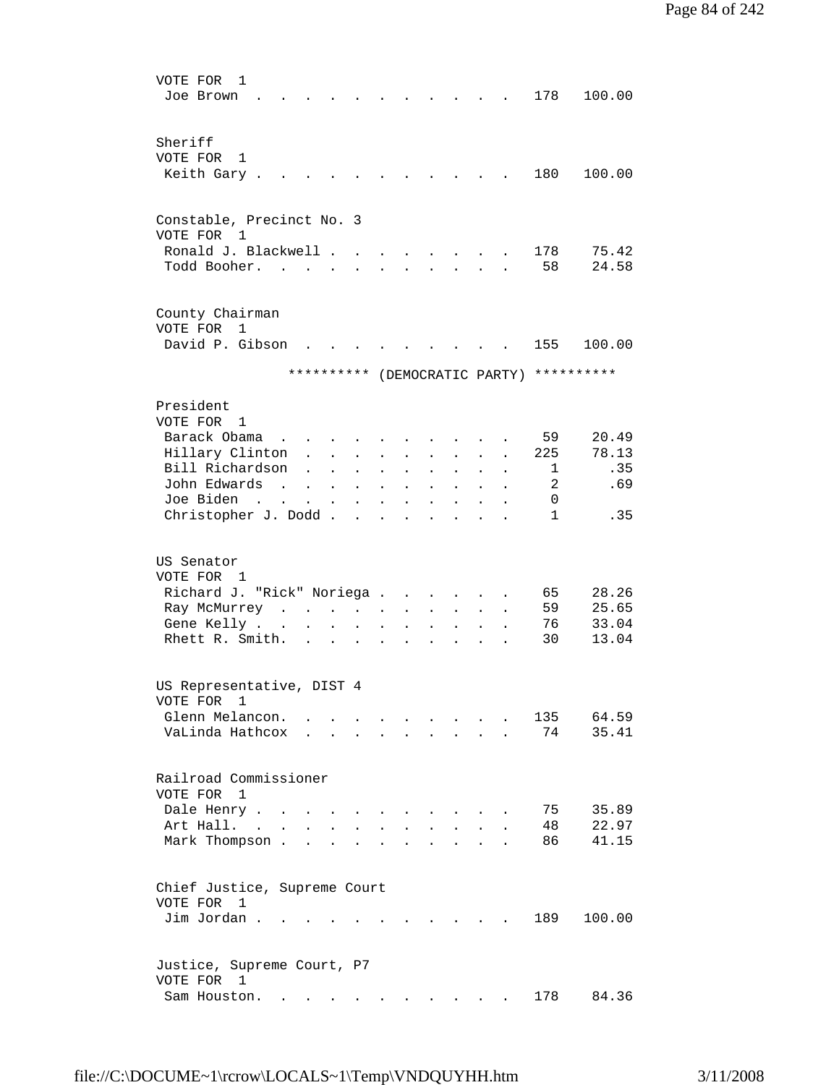| VOTE FOR<br>1                           |                                                     |                      |                                                                                 |                      |                      |                             |                           |                      |              |                                          |
|-----------------------------------------|-----------------------------------------------------|----------------------|---------------------------------------------------------------------------------|----------------------|----------------------|-----------------------------|---------------------------|----------------------|--------------|------------------------------------------|
| Joe Brown                               |                                                     |                      |                                                                                 |                      |                      |                             |                           |                      | 178          | 100.00                                   |
|                                         |                                                     |                      |                                                                                 |                      |                      |                             |                           |                      |              |                                          |
| Sheriff                                 |                                                     |                      |                                                                                 |                      |                      |                             |                           |                      |              |                                          |
| VOTE FOR 1                              |                                                     |                      |                                                                                 |                      |                      |                             |                           |                      |              |                                          |
| Keith Gary.                             |                                                     |                      |                                                                                 |                      |                      |                             |                           |                      | 180          | 100.00                                   |
|                                         |                                                     |                      |                                                                                 |                      |                      |                             |                           |                      |              |                                          |
|                                         |                                                     |                      |                                                                                 |                      |                      |                             |                           |                      |              |                                          |
| Constable, Precinct No. 3<br>VOTE FOR 1 |                                                     |                      |                                                                                 |                      |                      |                             |                           |                      |              |                                          |
| Ronald J. Blackwell                     |                                                     |                      |                                                                                 |                      |                      |                             |                           |                      | 178          | 75.42                                    |
| Todd Booher.                            |                                                     |                      |                                                                                 |                      |                      |                             |                           |                      | 58           | 24.58                                    |
|                                         |                                                     |                      |                                                                                 |                      |                      |                             |                           |                      |              |                                          |
|                                         |                                                     |                      |                                                                                 |                      |                      |                             |                           |                      |              |                                          |
| County Chairman                         |                                                     |                      |                                                                                 |                      |                      |                             |                           |                      |              |                                          |
| VOTE FOR 1                              |                                                     |                      |                                                                                 |                      |                      |                             |                           |                      |              |                                          |
| David P. Gibson                         |                                                     |                      |                                                                                 |                      |                      |                             |                           |                      | 155          | 100.00                                   |
|                                         |                                                     |                      |                                                                                 |                      |                      |                             |                           |                      |              | ********** (DEMOCRATIC PARTY) ********** |
|                                         |                                                     |                      |                                                                                 |                      |                      |                             |                           |                      |              |                                          |
| President                               |                                                     |                      |                                                                                 |                      |                      |                             |                           |                      |              |                                          |
| VOTE FOR 1                              |                                                     |                      |                                                                                 |                      |                      |                             |                           |                      |              |                                          |
| Barack Obama<br>$\sim$                  |                                                     |                      |                                                                                 |                      |                      |                             |                           |                      | 59           | 20.49                                    |
| Hillary Clinton                         | $\ddot{\phantom{0}}$                                | $\sim$               | $\ddot{\phantom{a}}$                                                            |                      | $\ddot{\phantom{a}}$ |                             |                           | $\ddot{\phantom{a}}$ | 225          | 78.13                                    |
| Bill Richardson                         |                                                     | $\mathbf{r}$         | $\ddot{\phantom{a}}$                                                            | $\ddot{\phantom{0}}$ | $\ddot{\phantom{a}}$ | $\ddot{\phantom{a}}$        |                           |                      | 1            | .35                                      |
| John Edwards<br>$\sim$ $\sim$           | $\mathbf{L}$                                        | $\ddot{\phantom{a}}$ | $\mathbf{L}$                                                                    | $\ddot{\phantom{a}}$ | $\ddot{\phantom{a}}$ | $\ddot{\phantom{0}}$        | $\ddot{\phantom{0}}$      |                      | 2            | .69                                      |
| Joe Biden                               | $\mathbf{L}$                                        |                      | $\mathbf{r} = \mathbf{r}$                                                       | $\sim$               | $\mathbf{L}$         | $\sim$                      | $\mathbf{L}$              | $\ddot{\phantom{a}}$ | 0            |                                          |
| Christopher J. Dodd.                    |                                                     |                      | $\mathcal{L}(\mathcal{A})$ . The contribution of the $\mathcal{L}(\mathcal{A})$ |                      |                      |                             |                           |                      | $\mathbf{1}$ | .35                                      |
| US Senator<br>VOTE FOR 1                |                                                     |                      |                                                                                 |                      |                      |                             |                           |                      |              |                                          |
| Richard J. "Rick" Noriega               |                                                     |                      |                                                                                 |                      |                      |                             | $\sim$ $\sim$             |                      | 65           | 28.26                                    |
| Ray McMurrey                            |                                                     |                      |                                                                                 | $\sim$               | $\sim 100$           | $\mathcal{L}^{\mathcal{L}}$ | $\mathbf{L}^{\text{max}}$ | $\ddot{\phantom{a}}$ | 59           | 25.65                                    |
| Gene Kelly                              | $\ddot{\phantom{0}}$                                | $\sim$               | $\ddot{\phantom{0}}$                                                            | $\ddot{\phantom{0}}$ |                      | $\ddot{\phantom{a}}$        | $\ddot{\phantom{0}}$      |                      | 76           | 33.04                                    |
| Rhett R. Smith.                         |                                                     |                      | $\mathbf{r} = \mathbf{r} \cdot \mathbf{r}$                                      | $\ddot{\phantom{a}}$ | $\ddot{\phantom{a}}$ | $\ddot{\phantom{a}}$        | $\ddot{\phantom{a}}$      |                      | 30           | 13.04                                    |
|                                         |                                                     |                      |                                                                                 |                      |                      |                             |                           |                      |              |                                          |
| US Representative, DIST 4               |                                                     |                      |                                                                                 |                      |                      |                             |                           |                      |              |                                          |
| VOTE FOR 1                              |                                                     |                      |                                                                                 |                      |                      |                             |                           |                      |              |                                          |
| Glenn Melancon.                         |                                                     |                      |                                                                                 |                      |                      |                             |                           |                      | 135          | 64.59                                    |
| VaLinda Hathcox                         |                                                     |                      |                                                                                 |                      |                      |                             |                           |                      | 74           | 35.41                                    |
|                                         |                                                     |                      |                                                                                 |                      |                      |                             |                           |                      |              |                                          |
| Railroad Commissioner                   |                                                     |                      |                                                                                 |                      |                      |                             |                           |                      |              |                                          |
| VOTE FOR 1                              |                                                     |                      |                                                                                 |                      |                      |                             |                           |                      |              |                                          |
| Dale Henry                              |                                                     |                      |                                                                                 |                      |                      |                             |                           |                      | 75           | 35.89                                    |
| Art Hall.                               |                                                     | $\sim$               |                                                                                 |                      |                      |                             |                           |                      | 48           | 22.97                                    |
| Mark Thompson.                          | <b>Contract</b>                                     | $\ddot{\phantom{a}}$ |                                                                                 |                      |                      |                             |                           |                      | 86           | 41.15                                    |
|                                         |                                                     |                      |                                                                                 |                      |                      |                             |                           |                      |              |                                          |
|                                         |                                                     |                      |                                                                                 |                      |                      |                             |                           |                      |              |                                          |
| Chief Justice, Supreme Court            |                                                     |                      |                                                                                 |                      |                      |                             |                           |                      |              |                                          |
| VOTE FOR 1                              |                                                     |                      |                                                                                 |                      |                      |                             |                           |                      |              |                                          |
| Jim Jordan.                             |                                                     |                      |                                                                                 |                      |                      |                             |                           |                      | 189          | 100.00                                   |
|                                         |                                                     |                      |                                                                                 |                      |                      |                             |                           |                      |              |                                          |
| Justice, Supreme Court, P7              |                                                     |                      |                                                                                 |                      |                      |                             |                           |                      |              |                                          |
| VOTE FOR 1                              |                                                     |                      |                                                                                 |                      |                      |                             |                           |                      |              |                                          |
| Sam Houston.                            | $\mathbf{r} = \mathbf{r} + \mathbf{r} + \mathbf{r}$ |                      |                                                                                 |                      |                      |                             |                           |                      | 178          | 84.36                                    |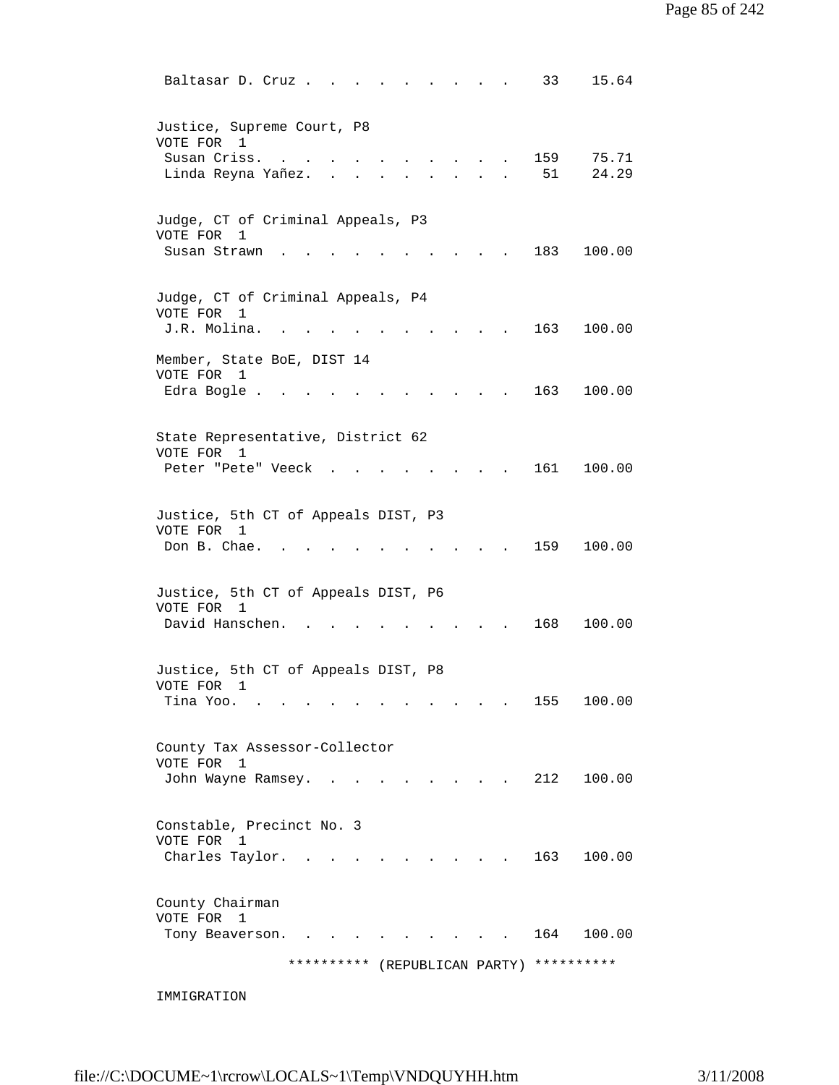| Judge, CT of Criminal Appeals, P3<br>VOTE FOR<br>1<br>Susan Strawn            |                                          |  |                                                                                          | 183 | 100.00 |
|-------------------------------------------------------------------------------|------------------------------------------|--|------------------------------------------------------------------------------------------|-----|--------|
| Judge, CT of Criminal Appeals, P4<br>VOTE FOR<br>$\mathbf{1}$<br>J.R. Molina. |                                          |  |                                                                                          | 163 | 100.00 |
| Member, State BoE, DIST 14<br>VOTE FOR<br>$\overline{1}$<br>Edra Bogle .      |                                          |  |                                                                                          | 163 | 100.00 |
| State Representative, District 62<br>VOTE FOR 1<br>Peter "Pete" Veeck         |                                          |  |                                                                                          | 161 | 100.00 |
| Justice, 5th CT of Appeals DIST, P3<br>VOTE FOR 1<br>Don B. Chae.             |                                          |  |                                                                                          | 159 | 100.00 |
| Justice, 5th CT of Appeals DIST, P6<br>VOTE FOR 1<br>David Hanschen.          |                                          |  |                                                                                          | 168 | 100.00 |
| Justice, 5th CT of Appeals DIST, P8<br>VOTE FOR<br>1<br>Tina Yoo.             |                                          |  | $\mathcal{L}(\mathcal{A})$ and $\mathcal{A}(\mathcal{A})$ and $\mathcal{A}(\mathcal{A})$ | 155 | 100.00 |
| County Tax Assessor-Collector<br>VOTE FOR 1<br>John Wayne Ramsey.             |                                          |  | $\sim$ $\sim$ $\sim$ $\sim$ $\sim$ $\sim$                                                | 212 | 100.00 |
| Constable, Precinct No. 3<br>VOTE FOR 1<br>Charles Taylor.                    |                                          |  |                                                                                          | 163 | 100.00 |
| County Chairman<br>VOTE FOR 1<br>Tony Beaverson.                              | $\mathbf{r}$ .                           |  |                                                                                          | 164 | 100.00 |
|                                                                               | ********** (REPUBLICAN PARTY) ********** |  |                                                                                          |     |        |

IMMIGRATION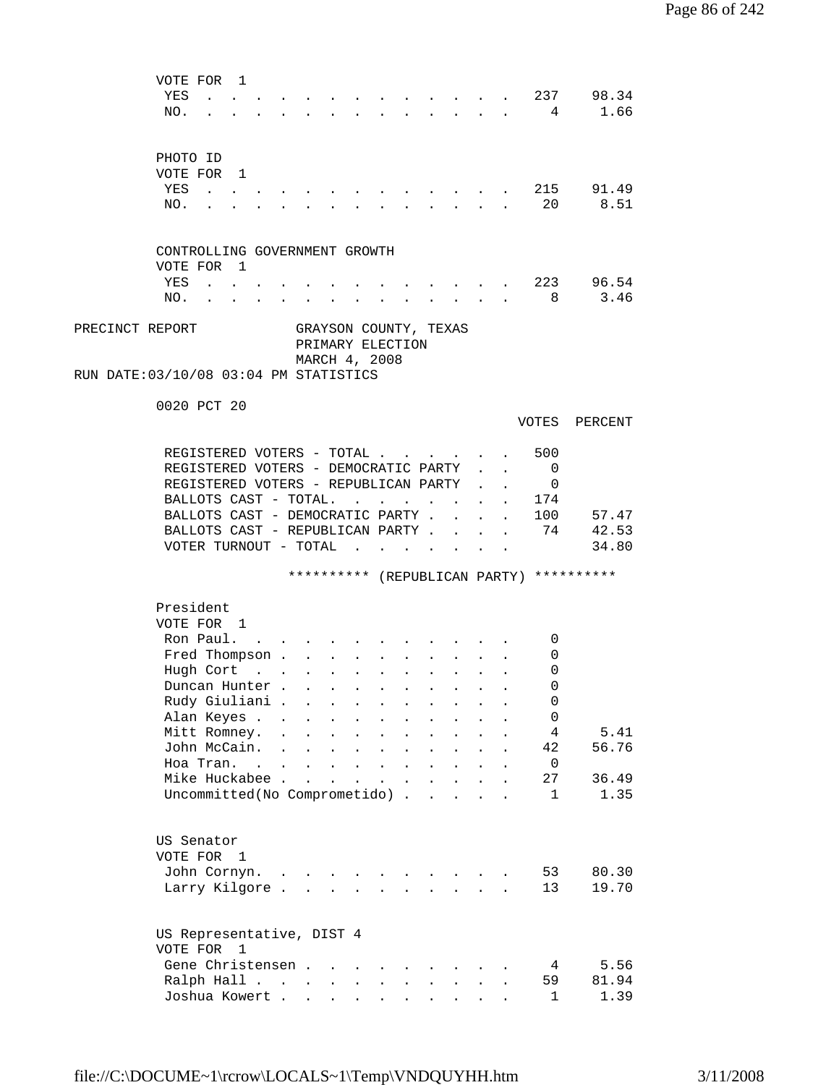|                 | VOTE FOR<br>YES                       | $\mathbf{1}$            |                      |                           |                      |                                                                          |                                            |                      | and the state of the state of the state of the state of the state of the state of the state of the state of the                                                                                                                      |                                            |              |                      |                                          | 237 98.34      |  |
|-----------------|---------------------------------------|-------------------------|----------------------|---------------------------|----------------------|--------------------------------------------------------------------------|--------------------------------------------|----------------------|--------------------------------------------------------------------------------------------------------------------------------------------------------------------------------------------------------------------------------------|--------------------------------------------|--------------|----------------------|------------------------------------------|----------------|--|
|                 | NO.                                   |                         |                      |                           |                      |                                                                          |                                            |                      | <u>in the contract of the contract of the contract of the contract of the contract of the contract of the contract of the contract of the contract of the contract of the contract of the contract of the contract of the contra</u> |                                            |              |                      | 4                                        | 1.66           |  |
|                 |                                       |                         |                      |                           |                      |                                                                          |                                            |                      |                                                                                                                                                                                                                                      |                                            |              |                      |                                          |                |  |
|                 |                                       |                         |                      |                           |                      |                                                                          |                                            |                      |                                                                                                                                                                                                                                      |                                            |              |                      |                                          |                |  |
|                 | PHOTO ID                              |                         |                      |                           |                      |                                                                          |                                            |                      |                                                                                                                                                                                                                                      |                                            |              |                      |                                          |                |  |
|                 | VOTE FOR 1                            |                         |                      |                           |                      |                                                                          |                                            |                      |                                                                                                                                                                                                                                      |                                            |              |                      |                                          |                |  |
|                 | YES                                   |                         |                      |                           |                      |                                                                          |                                            |                      |                                                                                                                                                                                                                                      |                                            |              |                      |                                          | 215 91.49      |  |
|                 | NO.                                   |                         |                      |                           |                      |                                                                          |                                            |                      |                                                                                                                                                                                                                                      |                                            |              |                      | -20                                      | 8.51           |  |
|                 |                                       |                         |                      |                           |                      |                                                                          |                                            |                      |                                                                                                                                                                                                                                      |                                            |              |                      |                                          |                |  |
|                 |                                       |                         |                      |                           |                      |                                                                          |                                            |                      |                                                                                                                                                                                                                                      |                                            |              |                      |                                          |                |  |
|                 | CONTROLLING GOVERNMENT GROWTH         |                         |                      |                           |                      |                                                                          |                                            |                      |                                                                                                                                                                                                                                      |                                            |              |                      |                                          |                |  |
|                 | VOTE FOR 1                            |                         |                      |                           |                      |                                                                          |                                            |                      |                                                                                                                                                                                                                                      |                                            |              |                      |                                          |                |  |
|                 | YES                                   | $\cdot$ $\cdot$ $\cdot$ |                      |                           |                      |                                                                          |                                            |                      |                                                                                                                                                                                                                                      |                                            |              |                      |                                          | . 223 96.54    |  |
|                 | NO.                                   |                         |                      |                           |                      | $\mathbf{z} = \mathbf{z} + \mathbf{z}$ , where $\mathbf{z} = \mathbf{z}$ |                                            |                      |                                                                                                                                                                                                                                      |                                            |              |                      |                                          | $\cdot$ 8 3.46 |  |
|                 |                                       |                         |                      |                           |                      |                                                                          |                                            |                      |                                                                                                                                                                                                                                      |                                            |              |                      |                                          |                |  |
| PRECINCT REPORT |                                       |                         |                      |                           |                      |                                                                          |                                            |                      | GRAYSON COUNTY, TEXAS                                                                                                                                                                                                                |                                            |              |                      |                                          |                |  |
|                 |                                       |                         |                      |                           |                      |                                                                          | PRIMARY ELECTION                           |                      |                                                                                                                                                                                                                                      |                                            |              |                      |                                          |                |  |
|                 |                                       |                         |                      |                           |                      |                                                                          | MARCH 4, 2008                              |                      |                                                                                                                                                                                                                                      |                                            |              |                      |                                          |                |  |
|                 | RUN DATE:03/10/08 03:04 PM STATISTICS |                         |                      |                           |                      |                                                                          |                                            |                      |                                                                                                                                                                                                                                      |                                            |              |                      |                                          |                |  |
|                 | 0020 PCT 20                           |                         |                      |                           |                      |                                                                          |                                            |                      |                                                                                                                                                                                                                                      |                                            |              |                      |                                          |                |  |
|                 |                                       |                         |                      |                           |                      |                                                                          |                                            |                      |                                                                                                                                                                                                                                      |                                            |              |                      | VOTES                                    | PERCENT        |  |
|                 |                                       |                         |                      |                           |                      |                                                                          |                                            |                      |                                                                                                                                                                                                                                      |                                            |              |                      |                                          |                |  |
|                 | REGISTERED VOTERS - TOTAL             |                         |                      |                           |                      |                                                                          |                                            |                      |                                                                                                                                                                                                                                      |                                            |              |                      | 500                                      |                |  |
|                 | REGISTERED VOTERS - DEMOCRATIC PARTY  |                         |                      |                           |                      |                                                                          |                                            |                      |                                                                                                                                                                                                                                      |                                            |              |                      | 0                                        |                |  |
|                 | REGISTERED VOTERS - REPUBLICAN PARTY  |                         |                      |                           |                      |                                                                          |                                            |                      |                                                                                                                                                                                                                                      |                                            |              |                      | 0                                        |                |  |
|                 | BALLOTS CAST - TOTAL.                 |                         |                      |                           |                      |                                                                          | <b>Contract Contract Contract</b>          |                      |                                                                                                                                                                                                                                      |                                            |              |                      | 174                                      |                |  |
|                 | BALLOTS CAST - DEMOCRATIC PARTY .     |                         |                      |                           |                      |                                                                          |                                            |                      |                                                                                                                                                                                                                                      | $\mathbf{r}$                               |              | $\ddot{\phantom{a}}$ |                                          | 100 57.47      |  |
|                 | BALLOTS CAST - REPUBLICAN PARTY.      |                         |                      |                           |                      |                                                                          |                                            |                      |                                                                                                                                                                                                                                      | <b>Contract Contract Contract Contract</b> |              | $\ddot{\phantom{a}}$ | 74                                       | 42.53          |  |
|                 | VOTER TURNOUT - TOTAL                 |                         |                      |                           |                      |                                                                          |                                            |                      | $\mathbf{r} = \mathbf{r} \cdot \mathbf{r}$                                                                                                                                                                                           |                                            |              |                      |                                          | 34.80          |  |
|                 |                                       |                         |                      |                           |                      |                                                                          |                                            |                      |                                                                                                                                                                                                                                      |                                            |              |                      |                                          |                |  |
|                 |                                       |                         |                      |                           |                      |                                                                          |                                            |                      |                                                                                                                                                                                                                                      |                                            |              |                      | ********** (REPUBLICAN PARTY) ********** |                |  |
|                 |                                       |                         |                      |                           |                      |                                                                          |                                            |                      |                                                                                                                                                                                                                                      |                                            |              |                      |                                          |                |  |
|                 | President                             |                         |                      |                           |                      |                                                                          |                                            |                      |                                                                                                                                                                                                                                      |                                            |              |                      |                                          |                |  |
|                 | VOTE FOR 1                            |                         |                      |                           |                      |                                                                          |                                            |                      |                                                                                                                                                                                                                                      |                                            |              |                      |                                          |                |  |
|                 | Ron Paul.                             |                         |                      |                           |                      |                                                                          |                                            |                      |                                                                                                                                                                                                                                      |                                            |              |                      | 0                                        |                |  |
|                 | Fred Thompson                         |                         |                      |                           |                      |                                                                          | $\mathbf{r} = \mathbf{r} \cdot \mathbf{r}$ | $\sim$               |                                                                                                                                                                                                                                      | $\mathbf{r} = \mathbf{r}$                  |              |                      | 0                                        |                |  |
|                 | Hugh Cort                             |                         |                      | $\mathbf{L}^{\text{max}}$ | $\mathcal{L}^{\pm}$  | <b><i>College College</i></b>                                            |                                            | <b>Contractor</b>    |                                                                                                                                                                                                                                      | <b>Service</b> State                       |              |                      | 0                                        |                |  |
|                 | Duncan Hunter                         |                         |                      |                           |                      |                                                                          |                                            |                      |                                                                                                                                                                                                                                      |                                            |              |                      | 0                                        |                |  |
|                 | Rudy Giuliani .                       |                         |                      |                           | $\ddot{\phantom{a}}$ |                                                                          |                                            |                      |                                                                                                                                                                                                                                      |                                            |              |                      | 0                                        |                |  |
|                 | Alan Keyes .                          |                         | $\ddot{\phantom{a}}$ |                           |                      |                                                                          |                                            |                      |                                                                                                                                                                                                                                      |                                            |              |                      | $\mathbf 0$                              |                |  |
|                 | Mitt Romney.                          |                         |                      |                           |                      |                                                                          |                                            |                      |                                                                                                                                                                                                                                      |                                            |              |                      | 4                                        | 5.41           |  |
|                 | John McCain.                          |                         | $\mathbf{r}$         | $\ddot{\phantom{a}}$      |                      | $\ddot{\phantom{a}}$                                                     |                                            |                      |                                                                                                                                                                                                                                      |                                            |              |                      | 42                                       | 56.76          |  |
|                 | Hoa Tran. .                           |                         |                      | $\mathbf{r}$              |                      |                                                                          |                                            |                      |                                                                                                                                                                                                                                      |                                            |              |                      | $\overline{0}$                           |                |  |
|                 | Mike Huckabee                         |                         |                      |                           | $\ddot{\phantom{0}}$ | $\ddot{\phantom{a}}$                                                     | $\mathbf{L}^{\text{max}}$                  | $\ddot{\phantom{a}}$ | $\ddot{\phantom{a}}$                                                                                                                                                                                                                 | $\ddot{\phantom{a}}$                       |              |                      | 27                                       | 36.49          |  |
|                 | Uncommitted(No Comprometido).         |                         |                      |                           |                      |                                                                          |                                            |                      | $\mathbf{r}$                                                                                                                                                                                                                         | $\mathbf{L}$                               | $\mathbf{r}$ |                      | $\mathbf{1}$                             | 1.35           |  |
|                 |                                       |                         |                      |                           |                      |                                                                          |                                            |                      |                                                                                                                                                                                                                                      |                                            |              |                      |                                          |                |  |
|                 |                                       |                         |                      |                           |                      |                                                                          |                                            |                      |                                                                                                                                                                                                                                      |                                            |              |                      |                                          |                |  |
|                 | US Senator                            |                         |                      |                           |                      |                                                                          |                                            |                      |                                                                                                                                                                                                                                      |                                            |              |                      |                                          |                |  |
|                 | VOTE FOR 1                            |                         |                      |                           |                      |                                                                          |                                            |                      |                                                                                                                                                                                                                                      |                                            |              |                      |                                          |                |  |
|                 | John Cornyn.                          |                         | $\cdot$ $\cdot$      |                           |                      |                                                                          |                                            |                      |                                                                                                                                                                                                                                      |                                            |              |                      | 53                                       | 80.30          |  |
|                 | Larry Kilgore                         |                         |                      |                           |                      | $\sim$                                                                   | $\ddot{\phantom{a}}$                       |                      | $\ddot{\phantom{a}}$                                                                                                                                                                                                                 | $\mathbf{L}$                               |              |                      | 13                                       | 19.70          |  |
|                 |                                       |                         |                      |                           |                      |                                                                          |                                            |                      |                                                                                                                                                                                                                                      |                                            |              |                      |                                          |                |  |
|                 |                                       |                         |                      |                           |                      |                                                                          |                                            |                      |                                                                                                                                                                                                                                      |                                            |              |                      |                                          |                |  |
|                 | US Representative, DIST 4             |                         |                      |                           |                      |                                                                          |                                            |                      |                                                                                                                                                                                                                                      |                                            |              |                      |                                          |                |  |
|                 | VOTE FOR 1                            |                         |                      |                           |                      |                                                                          |                                            |                      |                                                                                                                                                                                                                                      |                                            |              |                      |                                          |                |  |
|                 | Gene Christensen                      |                         |                      |                           |                      |                                                                          |                                            |                      |                                                                                                                                                                                                                                      |                                            |              |                      | 4                                        | 5.56           |  |
|                 | Ralph Hall                            |                         |                      |                           |                      | $\mathbf{z} = \mathbf{z}$                                                |                                            |                      |                                                                                                                                                                                                                                      |                                            |              |                      | 59                                       | 81.94          |  |
|                 | Joshua Kowert                         |                         |                      |                           |                      |                                                                          |                                            |                      |                                                                                                                                                                                                                                      |                                            |              |                      | $\mathbf{1}$                             | 1.39           |  |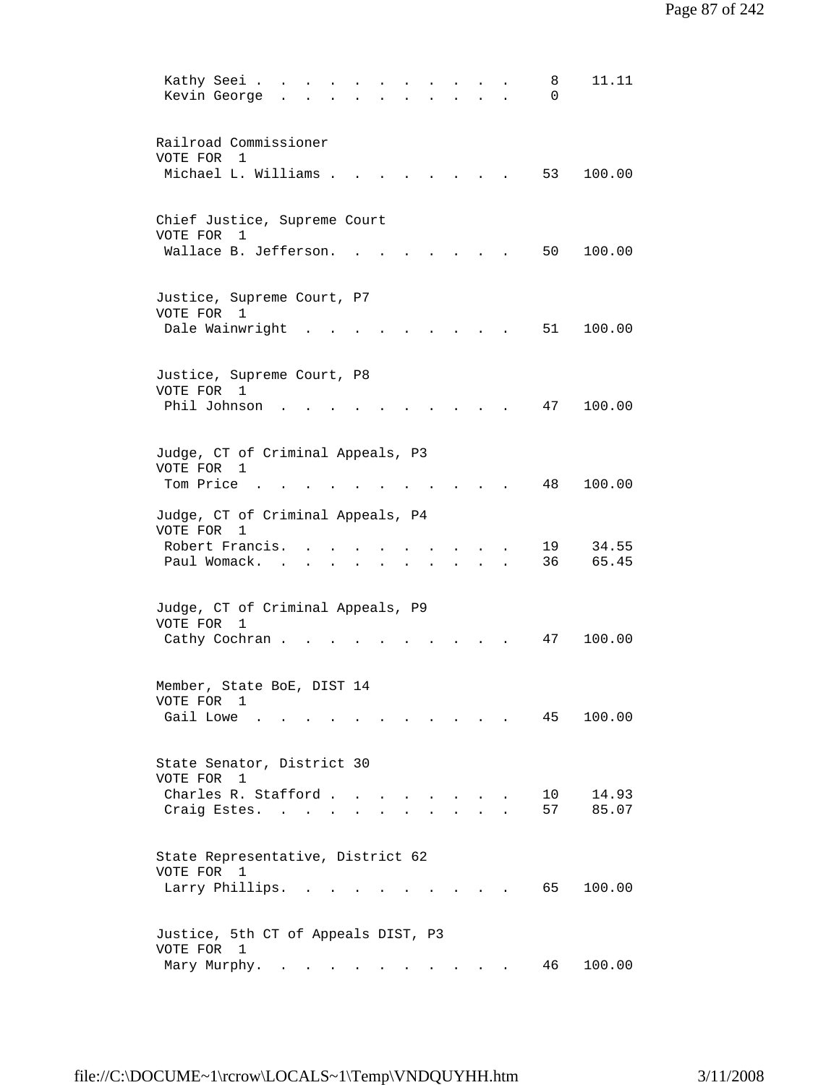| 11.11<br>Kathy Seei .<br>8<br>Kevin George<br>$\Omega$                               |
|--------------------------------------------------------------------------------------|
| Railroad Commissioner<br>VOTE FOR<br>1                                               |
| Michael L. Williams .<br>53<br>100.00                                                |
| Chief Justice, Supreme Court<br>VOTE FOR<br>1                                        |
| Wallace B. Jefferson.<br>50<br>100.00                                                |
| Justice, Supreme Court, P7<br>VOTE FOR 1                                             |
| Dale Wainwright<br>51<br>100.00                                                      |
| Justice, Supreme Court, P8<br>VOTE FOR 1                                             |
| Phil Johnson<br>100.00<br>47                                                         |
| Judge, CT of Criminal Appeals, P3<br>VOTE FOR 1                                      |
| Tom Price<br>48<br>100.00                                                            |
| Judge, CT of Criminal Appeals, P4<br>VOTE FOR<br>1<br>Robert Francis.<br>34.55<br>19 |
| 36<br>Paul Womack.<br>65.45<br>$\sim$                                                |
| Judge, CT of Criminal Appeals, P9<br>VOTE FOR 1                                      |
| Cathy Cochran.<br>47<br>100.00                                                       |
| Member, State BoE, DIST 14<br>VOTE FOR 1                                             |
| Gail Lowe .<br>100.00<br>45                                                          |
| State Senator, District 30<br>VOTE FOR 1                                             |
| Charles R. Stafford<br>14.93<br>10<br>57<br>85.07<br>Craig Estes.                    |
| State Representative, District 62<br>VOTE FOR 1                                      |
| Larry Phillips.<br>65<br>100.00                                                      |
| Justice, 5th CT of Appeals DIST, P3<br>VOTE FOR 1                                    |
| 100.00<br>Mary Murphy.<br>46                                                         |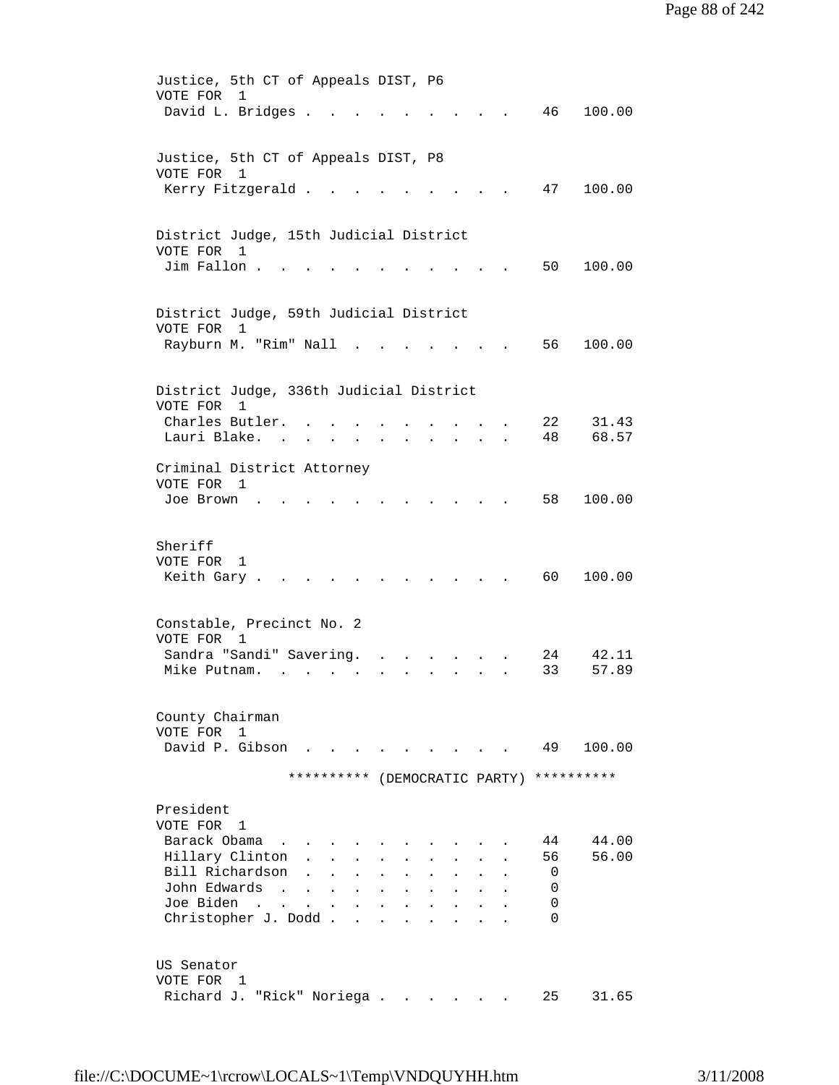| Justice, 5th CT of Appeals DIST, P6                                                                                        |
|----------------------------------------------------------------------------------------------------------------------------|
| VOTE FOR<br>$\mathbf{1}$                                                                                                   |
| David L. Bridges .<br>46<br>100.00                                                                                         |
|                                                                                                                            |
| Justice, 5th CT of Appeals DIST, P8                                                                                        |
| VOTE FOR 1                                                                                                                 |
| Kerry Fitzgerald.<br>47<br>100.00                                                                                          |
|                                                                                                                            |
| District Judge, 15th Judicial District                                                                                     |
| VOTE FOR 1                                                                                                                 |
| Jim Fallon.<br>50<br>100.00                                                                                                |
|                                                                                                                            |
|                                                                                                                            |
| District Judge, 59th Judicial District                                                                                     |
| VOTE FOR<br>$\overline{1}$                                                                                                 |
| Rayburn M. "Rim" Nall<br>56<br>100.00                                                                                      |
|                                                                                                                            |
| District Judge, 336th Judicial District                                                                                    |
| VOTE FOR<br>1                                                                                                              |
| Charles Butler.<br>22<br>31.43                                                                                             |
| 68.57<br>Lauri Blake.<br>48<br>$\mathbf{z} = \mathbf{z}$                                                                   |
| Criminal District Attorney                                                                                                 |
| VOTE FOR 1                                                                                                                 |
| 58<br>100.00<br>Joe Brown                                                                                                  |
|                                                                                                                            |
|                                                                                                                            |
| Sheriff                                                                                                                    |
| VOTE FOR<br>1<br>60 —<br>Keith Gary.<br>100.00                                                                             |
|                                                                                                                            |
|                                                                                                                            |
| Constable, Precinct No. 2                                                                                                  |
| VOTE FOR 1                                                                                                                 |
| Sandra "Sandi" Savering.<br>42.11<br>24                                                                                    |
| Mike Putnam.<br>33<br>57.89                                                                                                |
|                                                                                                                            |
| County Chairman                                                                                                            |
| VOTE FOR<br>$\mathbf{1}$                                                                                                   |
| David P. Gibson<br>49<br>100.00                                                                                            |
| ********** (DEMOCRATIC PARTY) **********                                                                                   |
|                                                                                                                            |
| President                                                                                                                  |
| VOTE FOR 1                                                                                                                 |
| Barack Obama<br>44.00<br>44                                                                                                |
| Hillary Clinton<br>56<br>56.00                                                                                             |
| Bill Richardson<br>0<br>John Edwards                                                                                       |
| 0<br>$\sim$<br>$\ddot{\phantom{a}}$<br>Joe Biden .<br>0<br>$\sim$                                                          |
| $\ddot{\phantom{a}}$<br>Christopher J. Dodd.<br>$\Omega$<br>$\mathbf{r}$<br>$\mathbf{L}$<br>$\overline{a}$<br>$\mathbf{r}$ |
|                                                                                                                            |
|                                                                                                                            |
| US Senator                                                                                                                 |
| VOTE FOR 1                                                                                                                 |
| Richard J. "Rick" Noriega<br>25<br>31.65                                                                                   |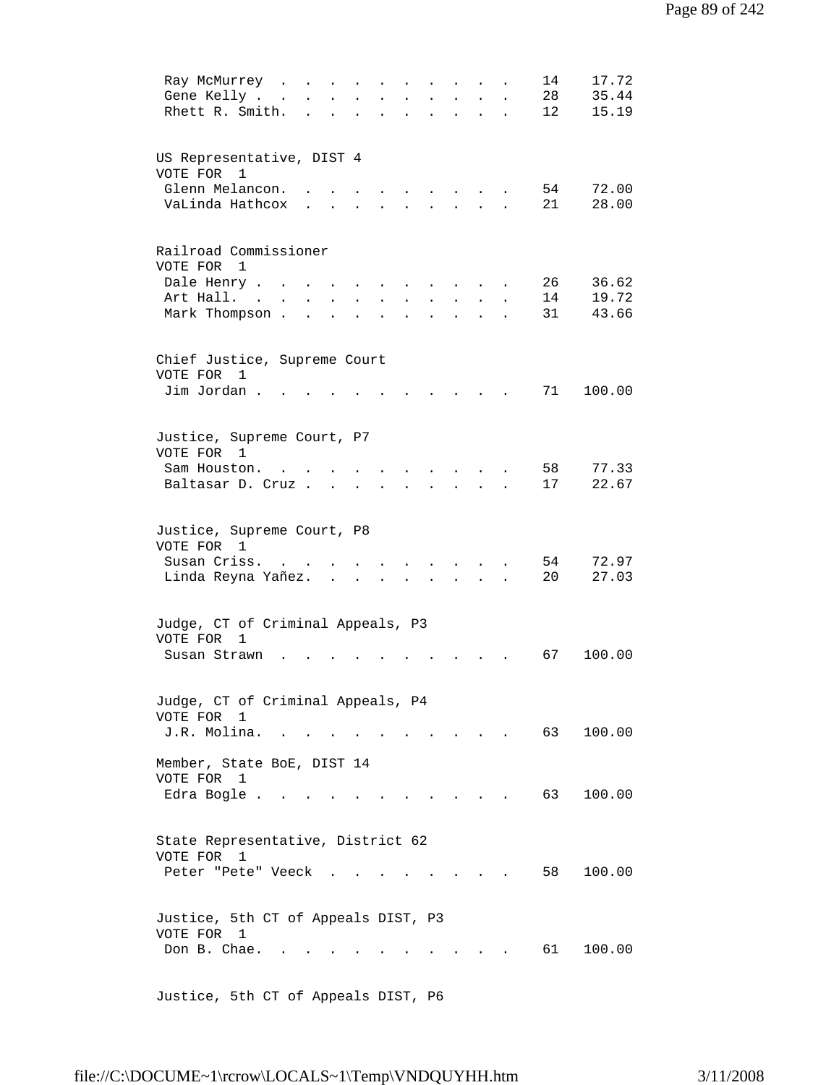| 17.72<br>14<br>Ray McMurrey<br>$\sim$<br>$\mathbf{L} = \mathbf{L} \mathbf{L}$<br>$\ddot{\phantom{a}}$<br>$\bullet$<br>$\bullet$<br>$\bullet$<br>$\bullet$ |
|-----------------------------------------------------------------------------------------------------------------------------------------------------------|
| 28<br>35.44<br>Gene Kelly .<br>$\ddot{\phantom{a}}$                                                                                                       |
| Rhett R. Smith.<br>15.19<br>12<br>$\mathbf{r}$<br>$\ddot{\phantom{a}}$<br>$\ddot{\phantom{0}}$                                                            |
|                                                                                                                                                           |
|                                                                                                                                                           |
|                                                                                                                                                           |
| US Representative, DIST 4                                                                                                                                 |
| VOTE FOR 1                                                                                                                                                |
| Glenn Melancon.<br>54<br>72.00                                                                                                                            |
| 28.00<br>VaLinda Hathcox<br>21                                                                                                                            |
|                                                                                                                                                           |
|                                                                                                                                                           |
| Railroad Commissioner                                                                                                                                     |
| VOTE FOR 1                                                                                                                                                |
| 26<br>36.62<br>Dale Henry .                                                                                                                               |
|                                                                                                                                                           |
| 14<br>19.72<br>Art Hall. .<br>$\bullet$                                                                                                                   |
| Mark Thompson.<br>31<br>43.66                                                                                                                             |
|                                                                                                                                                           |
|                                                                                                                                                           |
| Chief Justice, Supreme Court                                                                                                                              |
| VOTE FOR 1                                                                                                                                                |
| Jim Jordan.<br>71<br>100.00                                                                                                                               |
|                                                                                                                                                           |
|                                                                                                                                                           |
|                                                                                                                                                           |
| Justice, Supreme Court, P7                                                                                                                                |
| VOTE FOR 1                                                                                                                                                |
| 58<br>77.33<br>Sam Houston                                                                                                                                |
| 22.67<br>17<br>Baltasar D. Cruz.                                                                                                                          |
|                                                                                                                                                           |
|                                                                                                                                                           |
| Justice, Supreme Court, P8                                                                                                                                |
| VOTE FOR 1                                                                                                                                                |
| Susan Criss.<br>54<br>72.97                                                                                                                               |
|                                                                                                                                                           |
| 20<br>27.03<br>Linda Reyna Yañez.<br>$\ddot{\phantom{a}}$                                                                                                 |
|                                                                                                                                                           |
|                                                                                                                                                           |
| Judge, CT of Criminal Appeals, P3                                                                                                                         |
| VOTE FOR<br>$\mathbf{1}$                                                                                                                                  |
| 67<br>100.00<br>Susan Strawn                                                                                                                              |
|                                                                                                                                                           |
|                                                                                                                                                           |
| Judge, CT of Criminal Appeals, P4                                                                                                                         |
| VOTE FOR                                                                                                                                                  |
| 1                                                                                                                                                         |
| J.R. Molina.<br>63<br>100.00<br>$\sim$ $\sim$                                                                                                             |
|                                                                                                                                                           |
| Member, State BoE, DIST 14                                                                                                                                |
| VOTE FOR 1                                                                                                                                                |
| Edra Bogle<br>63<br>100.00                                                                                                                                |
|                                                                                                                                                           |
|                                                                                                                                                           |
| State Representative, District 62                                                                                                                         |
| VOTE FOR<br>1                                                                                                                                             |
| 58<br>100.00                                                                                                                                              |
| Peter "Pete" Veeck                                                                                                                                        |
|                                                                                                                                                           |
|                                                                                                                                                           |
| Justice, 5th CT of Appeals DIST, P3                                                                                                                       |
| VOTE FOR 1                                                                                                                                                |
| Don B. Chae.<br>61 —<br>100.00                                                                                                                            |
|                                                                                                                                                           |
|                                                                                                                                                           |
| Justice, 5th CT of Appeals DIST, P6                                                                                                                       |
|                                                                                                                                                           |

file://C:\DOCUME~1\rcrow\LOCALS~1\Temp\VNDQUYHH.htm 3/11/2008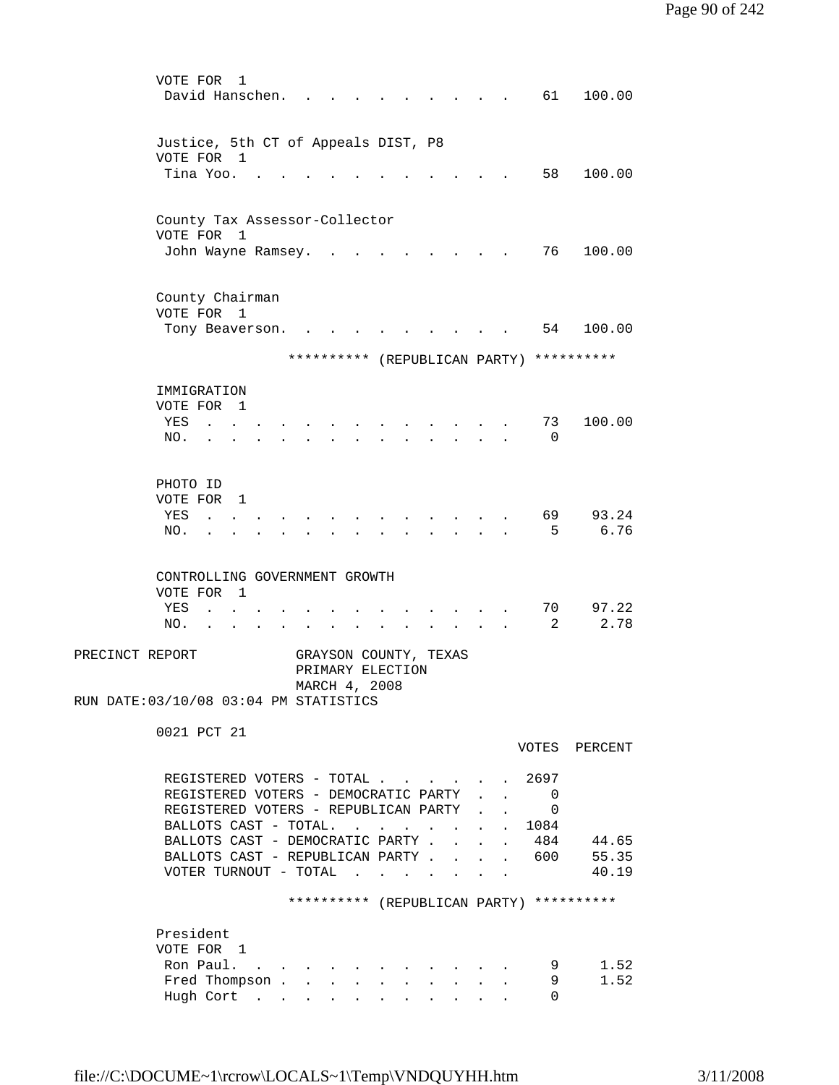| VOTE FOR<br>1                                                                      |                                                                |                                                    |  |
|------------------------------------------------------------------------------------|----------------------------------------------------------------|----------------------------------------------------|--|
| David Hanschen.                                                                    |                                                                | 61 —<br>100.00                                     |  |
|                                                                                    |                                                                |                                                    |  |
| Justice, 5th CT of Appeals DIST, P8                                                |                                                                |                                                    |  |
| VOTE FOR 1                                                                         |                                                                |                                                    |  |
| Tina Yoo.                                                                          |                                                                | 58<br>100.00                                       |  |
|                                                                                    |                                                                |                                                    |  |
| County Tax Assessor-Collector                                                      |                                                                |                                                    |  |
| VOTE FOR 1                                                                         |                                                                |                                                    |  |
| John Wayne Ramsey.                                                                 |                                                                | 76 —<br>100.00                                     |  |
|                                                                                    |                                                                |                                                    |  |
|                                                                                    |                                                                |                                                    |  |
| County Chairman<br>VOTE FOR 1                                                      |                                                                |                                                    |  |
| Tony Beaverson.                                                                    |                                                                | 54 100.00                                          |  |
|                                                                                    |                                                                |                                                    |  |
| ********** (REPUBLICAN PARTY) **********                                           |                                                                |                                                    |  |
|                                                                                    |                                                                |                                                    |  |
| IMMIGRATION<br>VOTE FOR<br>$\mathbf{1}$                                            |                                                                |                                                    |  |
| YES<br>$\ddot{\phantom{a}}$                                                        |                                                                | 73<br>100.00                                       |  |
| NO.                                                                                |                                                                | $\Omega$                                           |  |
|                                                                                    |                                                                |                                                    |  |
|                                                                                    |                                                                |                                                    |  |
| PHOTO ID                                                                           |                                                                |                                                    |  |
| VOTE FOR 1<br>YES                                                                  |                                                                | 69<br>93.24                                        |  |
| $\mathbf{r}$<br>NO.<br>$\ddot{\phantom{a}}$                                        |                                                                | -5<br>6.76                                         |  |
|                                                                                    |                                                                |                                                    |  |
|                                                                                    |                                                                |                                                    |  |
| CONTROLLING GOVERNMENT GROWTH                                                      |                                                                |                                                    |  |
| VOTE FOR 1<br>YES                                                                  |                                                                | 97.22<br>70                                        |  |
| $\ddot{\phantom{a}}$<br>NO.                                                        |                                                                | 2.78<br>2                                          |  |
|                                                                                    |                                                                |                                                    |  |
| PRECINCT REPORT<br>GRAYSON COUNTY, TEXAS                                           |                                                                |                                                    |  |
| PRIMARY ELECTION                                                                   |                                                                |                                                    |  |
| MARCH 4, 2008                                                                      |                                                                |                                                    |  |
| RUN DATE: 03/10/08 03:04 PM STATISTICS                                             |                                                                |                                                    |  |
| 0021 PCT 21                                                                        |                                                                |                                                    |  |
|                                                                                    |                                                                | VOTES PERCENT                                      |  |
|                                                                                    |                                                                |                                                    |  |
| REGISTERED VOTERS - TOTAL 2697                                                     |                                                                |                                                    |  |
| REGISTERED VOTERS - DEMOCRATIC PARTY<br>REGISTERED VOTERS - REPUBLICAN PARTY       |                                                                | - 0<br>$1 - 1 - 1 = 1$<br>$\overline{\phantom{0}}$ |  |
| BALLOTS CAST - TOTAL.<br>$\mathbf{r}$ , $\mathbf{r}$ , $\mathbf{r}$ , $\mathbf{r}$ | $\mathbf{L}$ and $\mathbf{L}$<br>$\mathbf{L}$ and $\mathbf{L}$ | . 1084                                             |  |
| BALLOTS CAST - DEMOCRATIC PARTY.<br>$\ddot{\phantom{a}}$                           | $\mathbf{L}$                                                   | . 484<br>44.65                                     |  |
| BALLOTS CAST - REPUBLICAN PARTY                                                    |                                                                | 55.35<br>600                                       |  |
| VOTER TURNOUT - TOTAL<br>$\mathbf{L} = \mathbf{L} \mathbf{L}$                      |                                                                | 40.19                                              |  |
|                                                                                    |                                                                |                                                    |  |
| ********** (REPUBLICAN PARTY) **********                                           |                                                                |                                                    |  |
| President                                                                          |                                                                |                                                    |  |
| VOTE FOR 1                                                                         |                                                                |                                                    |  |
| Ron Paul.                                                                          |                                                                | 1.52<br>9                                          |  |
| Fred Thompson                                                                      |                                                                | 9<br>1.52                                          |  |
| Hugh Cort                                                                          |                                                                | $\Omega$                                           |  |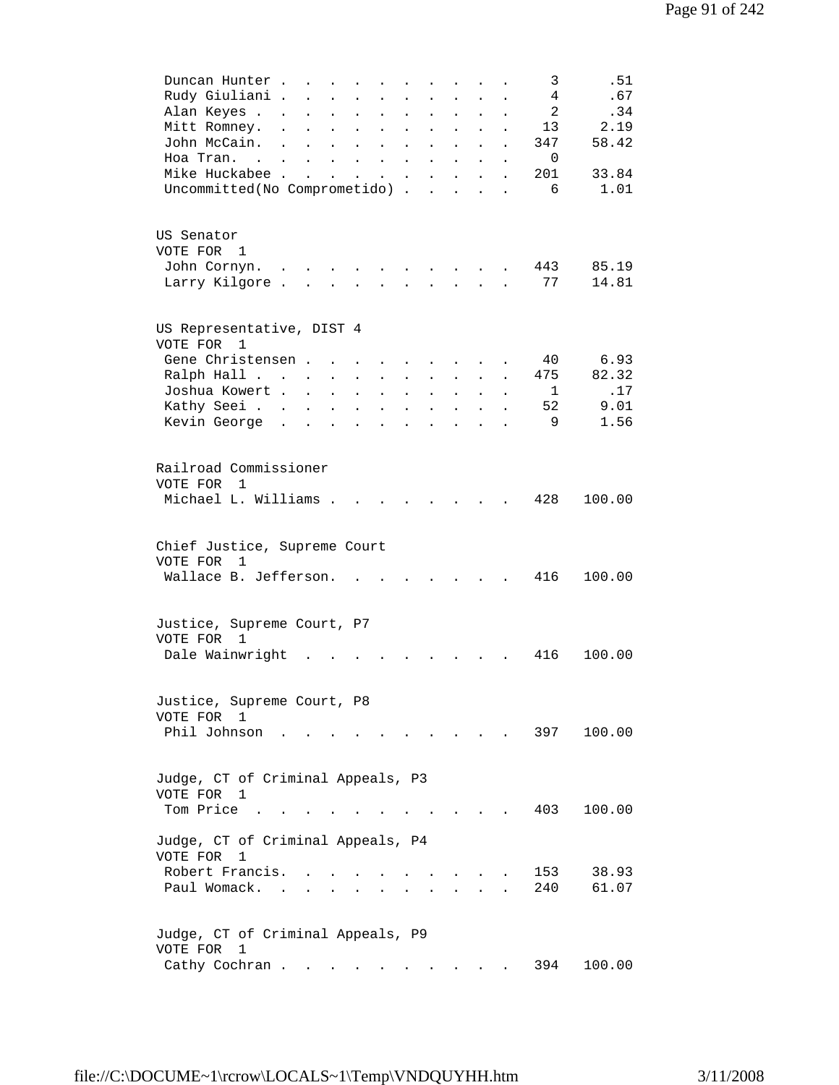|          | Duncan Hunter.                       | $\ddot{\phantom{0}}$      | $\mathbf{A}$               | $\ddot{\phantom{a}}$      |                                          |                           |                           |                           |                      | 3            | .51    |
|----------|--------------------------------------|---------------------------|----------------------------|---------------------------|------------------------------------------|---------------------------|---------------------------|---------------------------|----------------------|--------------|--------|
|          | Rudy Giuliani .                      |                           | $\mathbf{L}$               | $\ddot{\phantom{a}}$      | $\ddot{\phantom{a}}$                     |                           | $\ddot{\phantom{a}}$      |                           |                      | 4            | .67    |
|          | Alan Keyes .<br>$\ddot{\phantom{0}}$ | $\ddot{\phantom{a}}$      | $\ddot{\phantom{a}}$       | $\ddot{\phantom{a}}$      | $\ddot{\phantom{a}}$                     | $\ddot{\phantom{a}}$      | $\ddot{\phantom{a}}$      | $\ddot{\phantom{a}}$      | $\ddot{\phantom{a}}$ | 2            | .34    |
|          | Mitt Romney.<br>$\ddot{\phantom{0}}$ | $\ddot{\phantom{a}}$      | $\ddot{\phantom{0}}$       | $\ddot{\phantom{0}}$      | $\ddot{\phantom{a}}$                     | $\ddot{\phantom{0}}$      | $\bullet$                 | $\ddot{\phantom{a}}$      | $\ddot{\phantom{0}}$ | 13           | 2.19   |
|          | John McCain.<br>$\sim$               | $\ddot{\phantom{a}}$      | $\ddot{\phantom{a}}$       | $\ddot{\phantom{a}}$      | $\bullet$                                | $\ddot{\phantom{0}}$      | $\ddot{\phantom{a}}$      | $\ddot{\phantom{0}}$      | $\ddot{\phantom{a}}$ | 347          | 58.42  |
|          | Hoa Tran                             |                           | $\ddot{\phantom{0}}$       |                           | $\mathbf{z} = \mathbf{z} + \mathbf{z}$ . | $\ddot{\phantom{a}}$      | $\ddot{\phantom{a}}$      |                           |                      | $\Omega$     |        |
|          | Mike Huckabee .                      | $\mathbf{r}$              |                            |                           |                                          |                           |                           |                           |                      | 201          | 33.84  |
|          |                                      |                           |                            |                           |                                          | $\ddot{\phantom{0}}$      | $\ddot{\phantom{a}}$      |                           |                      |              |        |
|          | Uncommitted(No Comprometido).        |                           |                            |                           |                                          |                           | $\mathbf{r}$              |                           |                      | 6            | 1.01   |
|          |                                      |                           |                            |                           |                                          |                           |                           |                           |                      |              |        |
|          |                                      |                           |                            |                           |                                          |                           |                           |                           |                      |              |        |
|          | US Senator                           |                           |                            |                           |                                          |                           |                           |                           |                      |              |        |
|          | VOTE FOR 1                           |                           |                            |                           |                                          |                           |                           |                           |                      |              |        |
|          | John Cornyn.<br>$\ddot{\phantom{0}}$ |                           |                            |                           |                                          |                           |                           |                           |                      | 443          | 85.19  |
|          | Larry Kilgore.                       | $\mathbf{L}$              |                            |                           |                                          |                           | $\ddot{\phantom{a}}$      |                           |                      | 77           | 14.81  |
|          |                                      |                           |                            |                           |                                          |                           |                           |                           |                      |              |        |
|          |                                      |                           |                            |                           |                                          |                           |                           |                           |                      |              |        |
|          | US Representative, DIST 4            |                           |                            |                           |                                          |                           |                           |                           |                      |              |        |
|          | VOTE FOR 1                           |                           |                            |                           |                                          |                           |                           |                           |                      |              |        |
|          | Gene Christensen.                    |                           |                            |                           |                                          | $\mathbf{L} = \mathbf{L}$ |                           |                           |                      | 40           | 6.93   |
|          | Ralph Hall                           |                           |                            | $\mathbf{L}^{\text{max}}$ | $\mathbf{L}$                             | $\mathbf{L}$              | $\mathbf{L}^{\text{max}}$ | $\mathbf{L}^{\text{max}}$ |                      | 475          | 82.32  |
|          | Joshua Kowert .                      | $\ddot{\phantom{a}}$      | $\mathcal{L}^{\text{max}}$ | $\ddot{\phantom{0}}$      | $\mathcal{L}^{\text{max}}$               | $\ddot{\phantom{a}}$      | $\mathbf{L}^{\text{max}}$ | $\ddot{\phantom{0}}$      | $\ddot{\phantom{a}}$ | $\mathbf{1}$ | .17    |
|          | Kathy Seei                           |                           | $\mathbf{L}^{\text{max}}$  |                           |                                          |                           |                           |                           |                      | 52           | 9.01   |
|          | Kevin George.                        | $\mathbf{L}^{\text{max}}$ |                            | $\ddot{\phantom{a}}$      | $\sim$                                   | $\ddot{\phantom{a}}$      | $\mathbf{L}^{\text{max}}$ | $\bullet$                 | $\ddot{\phantom{0}}$ | 9            | 1.56   |
|          |                                      | $\ddot{\phantom{a}}$      | $\ddot{\phantom{a}}$       | $\ddot{\phantom{a}}$      | $\ddot{\phantom{a}}$                     | $\ddot{\phantom{0}}$      |                           |                           |                      |              |        |
|          |                                      |                           |                            |                           |                                          |                           |                           |                           |                      |              |        |
|          | Railroad Commissioner                |                           |                            |                           |                                          |                           |                           |                           |                      |              |        |
|          |                                      |                           |                            |                           |                                          |                           |                           |                           |                      |              |        |
|          | VOTE FOR 1                           |                           |                            |                           |                                          |                           |                           |                           |                      |              |        |
|          | Michael L. Williams .                |                           |                            |                           |                                          |                           |                           |                           |                      | 428          | 100.00 |
|          |                                      |                           |                            |                           |                                          |                           |                           |                           |                      |              |        |
|          |                                      |                           |                            |                           |                                          |                           |                           |                           |                      |              |        |
|          | Chief Justice, Supreme Court         |                           |                            |                           |                                          |                           |                           |                           |                      |              |        |
| VOTE FOR | 1                                    |                           |                            |                           |                                          |                           |                           |                           |                      |              |        |
|          | Wallace B. Jefferson.                |                           |                            |                           |                                          |                           |                           |                           |                      | 416          | 100.00 |
|          |                                      |                           |                            |                           |                                          |                           |                           |                           |                      |              |        |
|          |                                      |                           |                            |                           |                                          |                           |                           |                           |                      |              |        |
|          | Justice, Supreme Court, P7           |                           |                            |                           |                                          |                           |                           |                           |                      |              |        |
|          | VOTE FOR 1                           |                           |                            |                           |                                          |                           |                           |                           |                      |              |        |
|          | Dale Wainwright                      |                           |                            |                           |                                          |                           |                           |                           |                      | 416          | 100.00 |
|          |                                      |                           |                            |                           |                                          |                           |                           |                           |                      |              |        |
|          |                                      |                           |                            |                           |                                          |                           |                           |                           |                      |              |        |
|          |                                      |                           |                            |                           |                                          |                           |                           |                           |                      |              |        |
|          | Justice, Supreme Court, P8           |                           |                            |                           |                                          |                           |                           |                           |                      |              |        |
|          | VOTE FOR 1                           |                           |                            |                           |                                          |                           |                           |                           |                      |              |        |
|          | Phil Johnson                         |                           |                            |                           |                                          |                           |                           |                           |                      | 397          | 100.00 |
|          |                                      |                           |                            |                           |                                          |                           |                           |                           |                      |              |        |
|          |                                      |                           |                            |                           |                                          |                           |                           |                           |                      |              |        |
|          | Judge, CT of Criminal Appeals, P3    |                           |                            |                           |                                          |                           |                           |                           |                      |              |        |
|          | VOTE FOR 1                           |                           |                            |                           |                                          |                           |                           |                           |                      |              |        |
|          | Tom Price                            |                           |                            |                           |                                          |                           |                           |                           |                      | 403          | 100.00 |
|          |                                      |                           |                            |                           |                                          |                           |                           |                           |                      |              |        |
|          | Judge, CT of Criminal Appeals, P4    |                           |                            |                           |                                          |                           |                           |                           |                      |              |        |
| VOTE FOR | 1                                    |                           |                            |                           |                                          |                           |                           |                           |                      |              |        |
|          | Robert Francis.                      |                           |                            |                           |                                          |                           |                           |                           |                      | 153          | 38.93  |
|          | Paul Womack.                         |                           |                            |                           |                                          |                           |                           |                           |                      | 240          | 61.07  |
|          |                                      |                           |                            |                           |                                          |                           |                           |                           |                      |              |        |
|          |                                      |                           |                            |                           |                                          |                           |                           |                           |                      |              |        |
|          | Judge, CT of Criminal Appeals, P9    |                           |                            |                           |                                          |                           |                           |                           |                      |              |        |
| VOTE FOR | 1                                    |                           |                            |                           |                                          |                           |                           |                           |                      |              |        |
|          |                                      |                           |                            |                           |                                          |                           |                           |                           |                      |              |        |
|          | Cathy Cochran                        |                           |                            |                           | $\mathbf{L} = \mathbf{L}$                |                           |                           |                           |                      | 394          | 100.00 |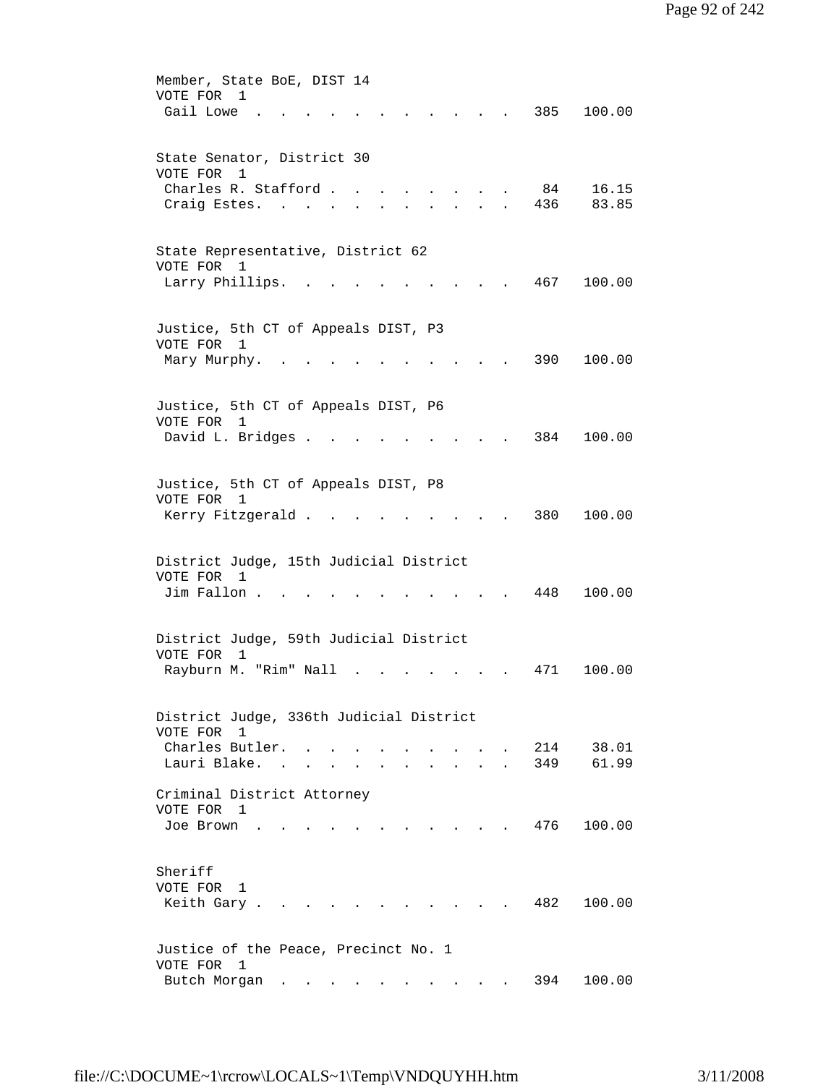| Member, State BoE, DIST 14<br>VOTE FOR<br>$\overline{1}$                                                                   |
|----------------------------------------------------------------------------------------------------------------------------|
| Gail Lowe<br>385<br>100.00                                                                                                 |
| State Senator, District 30<br>VOTE FOR 1                                                                                   |
| Charles R. Stafford.<br>84<br>16.15                                                                                        |
| 436<br>83.85<br>Craig Estes.<br>$\sim$                                                                                     |
| State Representative, District 62                                                                                          |
| VOTE FOR 1                                                                                                                 |
| 467<br>Larry Phillips.<br>100.00                                                                                           |
| Justice, 5th CT of Appeals DIST, P3                                                                                        |
| VOTE FOR 1                                                                                                                 |
| 390<br>100.00<br>Mary Murphy.                                                                                              |
| Justice, 5th CT of Appeals DIST, P6                                                                                        |
| VOTE FOR<br>1                                                                                                              |
| David L. Bridges .<br>384<br>100.00<br>$\ddot{\phantom{a}}$<br>$\bullet$ .<br><br><br><br><br><br><br><br><br><br><br><br> |
| Justice, 5th CT of Appeals DIST, P8                                                                                        |
| VOTE FOR 1                                                                                                                 |
| 380<br>100.00<br>Kerry Fitzgerald.                                                                                         |
|                                                                                                                            |
| District Judge, 15th Judicial District<br>VOTE FOR 1                                                                       |
| 100.00<br>Jim Fallon.<br>448                                                                                               |
|                                                                                                                            |
| District Judge, 59th Judicial District                                                                                     |
| VOTE FOR<br>$\mathbf{1}$<br>Rayburn M. "Rim" Nall<br>100.00<br>471                                                         |
|                                                                                                                            |
| District Judge, 336th Judicial District                                                                                    |
| VOTE FOR 1                                                                                                                 |
| Charles Butler.<br>38.01<br>214<br>61.99<br>Lauri Blake. .<br>349                                                          |
|                                                                                                                            |
| Criminal District Attorney                                                                                                 |
| VOTE FOR 1                                                                                                                 |
| 100.00<br>476<br>Joe Brown<br>$\mathbf{r}$ , $\mathbf{r}$ , $\mathbf{r}$ , $\mathbf{r}$ , $\mathbf{r}$                     |
| Sheriff                                                                                                                    |
| VOTE FOR 1                                                                                                                 |
| 482<br>Keith Gary .<br>100.00<br>$\sim$                                                                                    |
| Justice of the Peace, Precinct No. 1                                                                                       |
| VOTE FOR 1                                                                                                                 |
| Butch Morgan<br>394<br>100.00<br>$\mathbf{r}$ , $\mathbf{r}$ , $\mathbf{r}$ , $\mathbf{r}$ , $\mathbf{r}$                  |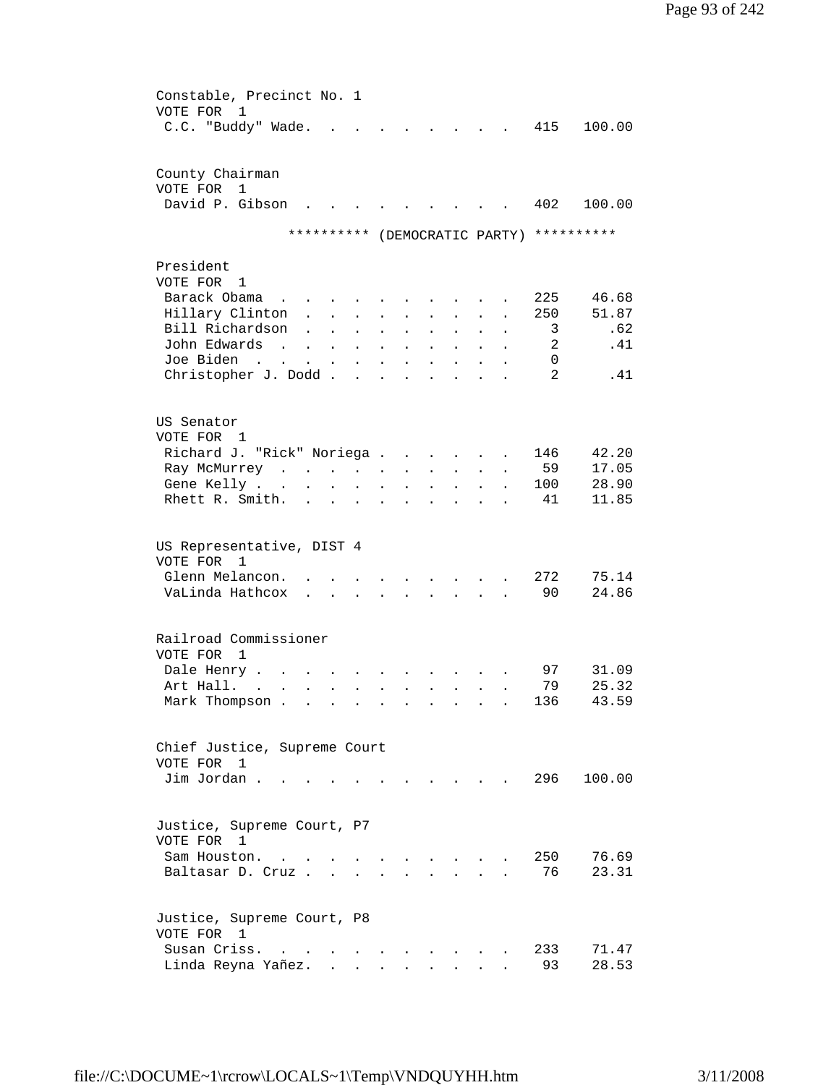| Constable, Precinct No. 1<br>VOTE FOR<br>1                                                                                                                                                                               |  |
|--------------------------------------------------------------------------------------------------------------------------------------------------------------------------------------------------------------------------|--|
| C.C. "Buddy" Wade.<br>415<br>100.00                                                                                                                                                                                      |  |
| County Chairman<br>VOTE FOR<br>$\mathbf{1}$                                                                                                                                                                              |  |
| David P. Gibson<br>100.00<br>402                                                                                                                                                                                         |  |
| (DEMOCRATIC PARTY) **********<br>**********                                                                                                                                                                              |  |
|                                                                                                                                                                                                                          |  |
| President<br>VOTE FOR 1                                                                                                                                                                                                  |  |
| Barack Obama<br>225<br>46.68<br>and the contract of the state of                                                                                                                                                         |  |
| Hillary Clinton.<br>51.87<br>250<br>$\mathbf{r} = \mathbf{r} + \mathbf{r}$<br>$\sim$                                                                                                                                     |  |
| Bill Richardson<br>.62<br>3<br>$\ddot{\phantom{a}}$<br>$\mathbf{r} = \mathbf{r} + \mathbf{r}$ .<br>$\ddot{\phantom{0}}$<br>$\ddot{\phantom{0}}$<br>$\ddot{\phantom{0}}$<br>$\ddot{\phantom{0}}$                          |  |
| John Edwards<br>2<br>.41<br>$\mathbf{r}$ , $\mathbf{r}$ , $\mathbf{r}$ , $\mathbf{r}$<br>$\mathbf{r} = \mathbf{r} + \mathbf{r}$ .<br>$\ddot{\phantom{0}}$<br>$\ddot{\phantom{0}}$                                        |  |
| Joe Biden<br>0<br>$\mathcal{L}(\mathbf{z})$ , and $\mathcal{L}(\mathbf{z})$<br>$\mathbf{z} = \mathbf{z} + \mathbf{z}$ .<br>$\mathbf{u} = \mathbf{u} \cdot \mathbf{u}$<br>$\ddot{\phantom{0}}$<br>$\ddot{\phantom{0}}$    |  |
| 2<br>Christopher J. Dodd<br>.41<br>$\ddot{\phantom{a}}$                                                                                                                                                                  |  |
| US Senator                                                                                                                                                                                                               |  |
| VOTE FOR 1                                                                                                                                                                                                               |  |
| 42.20<br>Richard J. "Rick" Noriega<br>146                                                                                                                                                                                |  |
| 59<br>17.05<br>Ray McMurrey<br>$\mathbf{z} = \mathbf{z} + \mathbf{z}$ .<br>$\bullet$                                                                                                                                     |  |
| 28.90<br>Gene Kelly<br>100<br>$\mathbf{z} = \mathbf{z} + \mathbf{z}$<br>$\sim 10^{-11}$<br>$\bullet$ .<br>$\ddot{\phantom{0}}$<br>$\bullet$                                                                              |  |
| Rhett R. Smith.<br>41<br>11.85<br>$\begin{array}{cccccccccccccc} \bullet & \bullet & \bullet & \bullet & \bullet & \bullet & \bullet & \bullet \end{array}$<br>$\ddot{\phantom{a}}$<br>$\ddot{\phantom{0}}$<br>$\bullet$ |  |
| US Representative, DIST 4<br>VOTE FOR 1                                                                                                                                                                                  |  |
| Glenn Melancon.<br>272<br>75.14                                                                                                                                                                                          |  |
| 90<br>VaLinda Hathcox<br>24.86<br>$\mathbf{r} = \mathbf{r}$<br>$\sim$                                                                                                                                                    |  |
| Railroad Commissioner                                                                                                                                                                                                    |  |
| VOTE FOR<br>1                                                                                                                                                                                                            |  |
| 31.09<br>Dale Henry.<br>97                                                                                                                                                                                               |  |
| Art Hall.<br>79<br>25.32<br>$\sim$<br>$\ddot{\phantom{0}}$<br>$\bullet$<br>$\ddot{\phantom{a}}$                                                                                                                          |  |
| 43.59<br>Mark Thompson .<br>136                                                                                                                                                                                          |  |
| Chief Justice, Supreme Court                                                                                                                                                                                             |  |
| VOTE FOR 1                                                                                                                                                                                                               |  |
| Jim Jordan.<br>296<br>100.00                                                                                                                                                                                             |  |
| Justice, Supreme Court, P7                                                                                                                                                                                               |  |
| VOTE FOR 1                                                                                                                                                                                                               |  |
| 76.69<br>250<br>Sam Houston.                                                                                                                                                                                             |  |
| 76<br>23.31<br>Baltasar D. Cruz.                                                                                                                                                                                         |  |
| Justice, Supreme Court, P8<br>VOTE FOR 1                                                                                                                                                                                 |  |
| Susan Criss.<br>233<br>71.47<br>$\sim$ $\sim$                                                                                                                                                                            |  |
| 28.53<br>Linda Reyna Yañez.<br>93                                                                                                                                                                                        |  |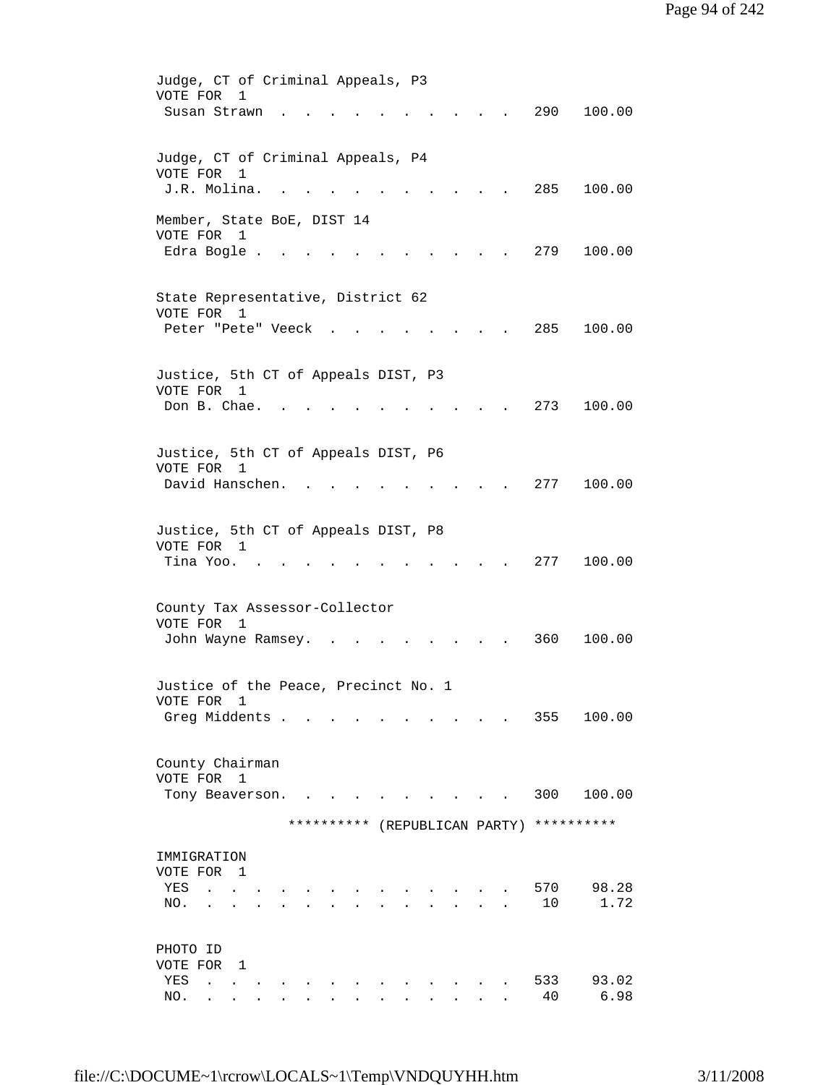| Judge, CT of Criminal Appeals, P3<br>VOTE FOR               | 1 |                                     |  |  |  |                                          |               |
|-------------------------------------------------------------|---|-------------------------------------|--|--|--|------------------------------------------|---------------|
| Susan Strawn                                                |   |                                     |  |  |  | 290                                      | 100.00        |
|                                                             |   |                                     |  |  |  |                                          |               |
| Judge, CT of Criminal Appeals, P4                           |   |                                     |  |  |  |                                          |               |
| VOTE FOR<br>J.R. Molina.                                    | 1 | $\sim 10^{-10}$ and $\sim 10^{-10}$ |  |  |  | 285                                      | 100.00        |
|                                                             |   |                                     |  |  |  |                                          |               |
| Member, State BoE, DIST 14<br>VOTE FOR 1                    |   |                                     |  |  |  |                                          |               |
| Edra Bogle.                                                 |   |                                     |  |  |  | 279                                      | 100.00        |
|                                                             |   |                                     |  |  |  |                                          |               |
| State Representative, District 62<br>VOTE FOR 1             |   |                                     |  |  |  |                                          |               |
| Peter "Pete" Veeck.                                         |   |                                     |  |  |  | 285                                      | 100.00        |
|                                                             |   |                                     |  |  |  |                                          |               |
| Justice, 5th CT of Appeals DIST, P3                         |   |                                     |  |  |  |                                          |               |
| VOTE FOR 1<br>Don B. Chae.                                  |   |                                     |  |  |  | 273                                      | 100.00        |
|                                                             |   |                                     |  |  |  |                                          |               |
| Justice, 5th CT of Appeals DIST, P6                         |   |                                     |  |  |  |                                          |               |
| VOTE FOR 1                                                  |   |                                     |  |  |  |                                          |               |
| David Hanschen.                                             |   |                                     |  |  |  | 277                                      | 100.00        |
| Justice, 5th CT of Appeals DIST, P8                         |   |                                     |  |  |  |                                          |               |
| VOTE FOR 1                                                  |   |                                     |  |  |  |                                          |               |
| Tina Yoo.                                                   |   |                                     |  |  |  | 277                                      | 100.00        |
|                                                             |   |                                     |  |  |  |                                          |               |
| County Tax Assessor-Collector<br>VOTE FOR<br>$\overline{1}$ |   |                                     |  |  |  |                                          |               |
| John Wayne Ramsey.                                          |   |                                     |  |  |  | 360                                      | 100.00        |
|                                                             |   |                                     |  |  |  |                                          |               |
| Justice of the Peace, Precinct No. 1<br>VOTE FOR 1          |   |                                     |  |  |  |                                          |               |
| Greg Middents .                                             |   |                                     |  |  |  | 355                                      | 100.00        |
|                                                             |   |                                     |  |  |  |                                          |               |
| County Chairman                                             |   |                                     |  |  |  |                                          |               |
| VOTE FOR 1<br>Tony Beaverson.                               |   |                                     |  |  |  | 300                                      | 100.00        |
|                                                             |   |                                     |  |  |  | ********** (REPUBLICAN PARTY) ********** |               |
|                                                             |   |                                     |  |  |  |                                          |               |
| IMMIGRATION<br>VOTE FOR 1                                   |   |                                     |  |  |  |                                          |               |
| YES                                                         |   |                                     |  |  |  | 570                                      | 98.28         |
| NO.                                                         |   |                                     |  |  |  | 10                                       | 1.72          |
|                                                             |   |                                     |  |  |  |                                          |               |
| PHOTO ID<br>VOTE FOR 1                                      |   |                                     |  |  |  |                                          |               |
| YES<br>$\ddot{\phantom{0}}$                                 |   |                                     |  |  |  | 533<br>40                                | 93.02<br>6.98 |
| NO.                                                         |   |                                     |  |  |  |                                          |               |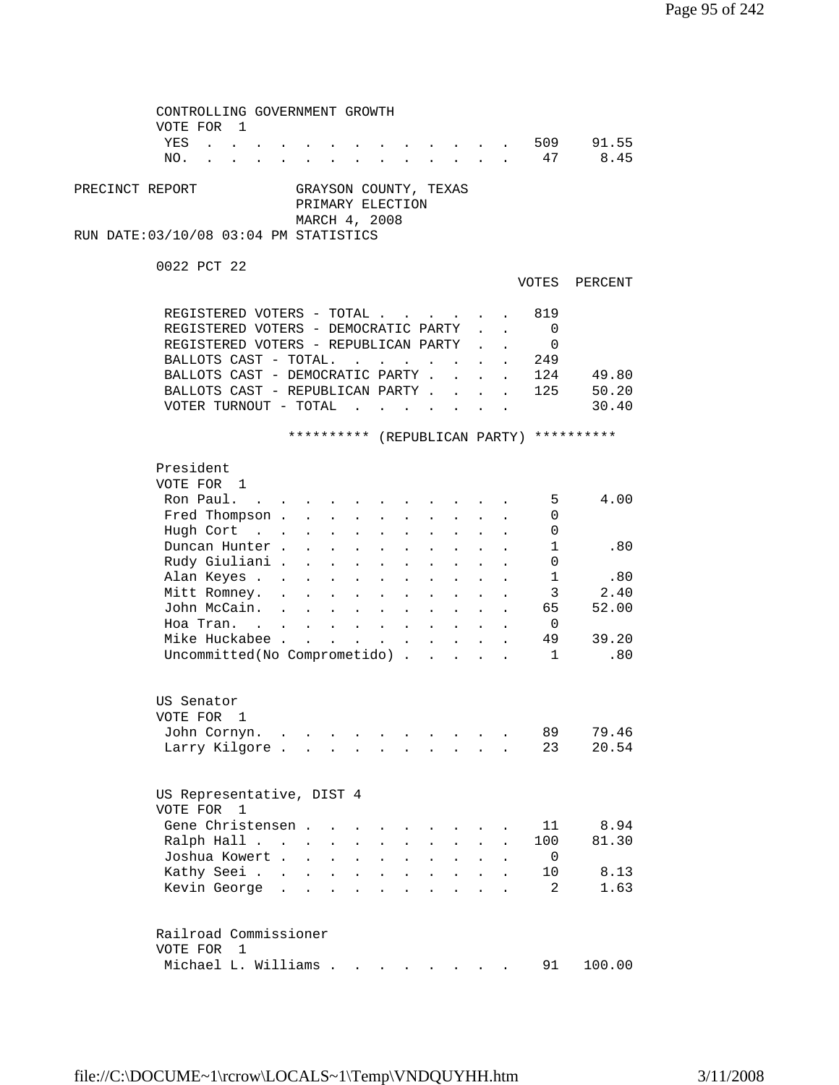| CONTROLLING GOVERNMENT GROWTH<br>VOTE FOR 1 |                           |                                                                                                                                 |                                     |                           |              |                                                              |                           |                           |                          |                                          |  |
|---------------------------------------------|---------------------------|---------------------------------------------------------------------------------------------------------------------------------|-------------------------------------|---------------------------|--------------|--------------------------------------------------------------|---------------------------|---------------------------|--------------------------|------------------------------------------|--|
| YES                                         |                           |                                                                                                                                 |                                     |                           |              |                                                              |                           |                           | 509                      | 91.55                                    |  |
| $\mathbf{r}$ , $\mathbf{r}$ , $\mathbf{r}$  |                           |                                                                                                                                 |                                     |                           |              | <b>All Card Corporation</b>                                  |                           |                           |                          |                                          |  |
| NO.                                         | $\mathbf{r} = \mathbf{r}$ |                                                                                                                                 |                                     |                           |              | $\mathbf{r} = \mathbf{r} + \mathbf{r} + \mathbf{r}$          |                           |                           | 47                       | 8.45                                     |  |
| PRECINCT REPORT                             |                           | GRAYSON COUNTY, TEXAS<br>PRIMARY ELECTION<br>MARCH 4, 2008                                                                      |                                     |                           |              |                                                              |                           |                           |                          |                                          |  |
| RUN DATE:03/10/08 03:04 PM STATISTICS       |                           |                                                                                                                                 |                                     |                           |              |                                                              |                           |                           |                          |                                          |  |
| 0022 PCT 22                                 |                           |                                                                                                                                 |                                     |                           |              |                                                              |                           |                           |                          |                                          |  |
|                                             |                           |                                                                                                                                 |                                     |                           |              |                                                              |                           |                           |                          | VOTES PERCENT                            |  |
| REGISTERED VOTERS - TOTAL                   |                           |                                                                                                                                 |                                     |                           |              |                                                              |                           |                           | 819                      |                                          |  |
| REGISTERED VOTERS - DEMOCRATIC PARTY        |                           |                                                                                                                                 |                                     |                           |              |                                                              |                           | $\mathbf{r} = \mathbf{r}$ | 0                        |                                          |  |
| REGISTERED VOTERS - REPUBLICAN PARTY        |                           |                                                                                                                                 |                                     |                           |              |                                                              |                           |                           | 0                        |                                          |  |
| BALLOTS CAST - TOTAL.                       |                           |                                                                                                                                 | the contract of the contract of the |                           |              |                                                              |                           |                           | 249                      |                                          |  |
| BALLOTS CAST - DEMOCRATIC PARTY.            |                           |                                                                                                                                 |                                     |                           |              | $\sim 10^{-10}$                                              |                           | $\mathbf{z} = \mathbf{z}$ | 124                      | 49.80                                    |  |
| BALLOTS CAST - REPUBLICAN PARTY             |                           |                                                                                                                                 |                                     |                           |              |                                                              |                           |                           | 125                      | 50.20                                    |  |
| VOTER TURNOUT - TOTAL                       |                           |                                                                                                                                 |                                     |                           |              |                                                              |                           |                           |                          | 30.40                                    |  |
|                                             |                           |                                                                                                                                 |                                     |                           |              |                                                              |                           |                           |                          |                                          |  |
|                                             |                           |                                                                                                                                 |                                     |                           |              |                                                              |                           |                           |                          | ********** (REPUBLICAN PARTY) ********** |  |
| President                                   |                           |                                                                                                                                 |                                     |                           |              |                                                              |                           |                           |                          |                                          |  |
| VOTE FOR 1                                  |                           |                                                                                                                                 |                                     |                           |              |                                                              |                           |                           |                          |                                          |  |
| Ron Paul.                                   |                           | $\bullet$ .<br><br><br><br><br><br><br><br><br><br><br><br><br><br><br><br><br><br><br><br><br><br><br><br><br><br><br><br><br> |                                     |                           |              |                                                              |                           |                           | 5                        | 4.00                                     |  |
| Fred Thompson                               |                           |                                                                                                                                 |                                     | $\mathbf{z} = \mathbf{z}$ |              |                                                              |                           |                           | 0                        |                                          |  |
| Hugh Cort                                   |                           |                                                                                                                                 |                                     |                           |              |                                                              |                           |                           | 0                        |                                          |  |
| Duncan Hunter                               |                           | $\Delta \sim 10^{-11}$<br>$\Delta \sim 100$                                                                                     | $\mathbf{L}$                        | $\sim$                    |              |                                                              |                           |                           | 1                        | .80                                      |  |
| Rudy Giuliani .                             | $\sim$                    | <b>Service</b> State                                                                                                            | $\sim 10^{-10}$                     |                           |              |                                                              |                           |                           | 0                        |                                          |  |
|                                             |                           |                                                                                                                                 |                                     | $\sim$ 10 $\pm$           |              |                                                              |                           |                           |                          | .80                                      |  |
| Alan Keyes                                  |                           |                                                                                                                                 |                                     |                           | $\mathbf{L}$ |                                                              | $\mathbf{L} = \mathbf{L}$ |                           | 1                        |                                          |  |
| Mitt Romney.                                |                           |                                                                                                                                 |                                     |                           |              | $\mathbf{r}$ , $\mathbf{r}$ , $\mathbf{r}$                   |                           |                           | 3                        | 2.40                                     |  |
| John McCain.                                |                           |                                                                                                                                 |                                     |                           |              |                                                              |                           |                           | 65 —                     | 52.00                                    |  |
| Hoa Tran.                                   |                           |                                                                                                                                 |                                     |                           |              |                                                              |                           |                           | $\overline{\phantom{0}}$ |                                          |  |
| Mike Huckabee                               |                           |                                                                                                                                 |                                     |                           |              |                                                              |                           |                           | 49                       | 39.20                                    |  |
| Uncommitted(No Comprometido)                |                           |                                                                                                                                 |                                     |                           |              |                                                              |                           |                           | $\sim$ 1                 | .80                                      |  |
|                                             |                           |                                                                                                                                 |                                     |                           |              |                                                              |                           |                           |                          |                                          |  |
| US Senator                                  |                           |                                                                                                                                 |                                     |                           |              |                                                              |                           |                           |                          |                                          |  |
| VOTE FOR 1                                  |                           |                                                                                                                                 |                                     |                           |              |                                                              |                           |                           |                          |                                          |  |
| John Cornyn.                                |                           |                                                                                                                                 |                                     |                           |              | <b>All Card Corporation</b>                                  |                           |                           | 89                       | 79.46                                    |  |
| Larry Kilgore                               |                           |                                                                                                                                 |                                     |                           |              |                                                              |                           |                           | 23                       | 20.54                                    |  |
|                                             |                           |                                                                                                                                 |                                     |                           |              |                                                              |                           |                           |                          |                                          |  |
| US Representative, DIST 4<br>VOTE FOR 1     |                           |                                                                                                                                 |                                     |                           |              |                                                              |                           |                           |                          |                                          |  |
| Gene Christensen.                           |                           |                                                                                                                                 |                                     |                           |              |                                                              |                           |                           | 11                       | 8.94                                     |  |
| Ralph Hall                                  |                           |                                                                                                                                 |                                     |                           |              |                                                              |                           |                           | 100                      | 81.30                                    |  |
| Joshua Kowert                               |                           |                                                                                                                                 |                                     |                           |              |                                                              |                           |                           |                          |                                          |  |
|                                             |                           | $\mathbf{L} = \mathbf{L} \mathbf{L}$                                                                                            | $\sim$                              | $\sim$                    | $\mathbf{L}$ | $\mathbf{A}$                                                 | $\mathbf{L}$              | $\ddot{\phantom{a}}$      | 0                        |                                          |  |
| Kathy Seei                                  |                           |                                                                                                                                 |                                     |                           |              | $\mathbf{r}$ and $\mathbf{r}$                                | $\mathbf{r}$              |                           | 10                       | 8.13                                     |  |
| Kevin George                                |                           |                                                                                                                                 |                                     |                           |              | $\mathbf{L} = \mathbf{L} \mathbf{L} = \mathbf{L} \mathbf{L}$ |                           |                           | 2                        | 1.63                                     |  |
| Railroad Commissioner                       |                           |                                                                                                                                 |                                     |                           |              |                                                              |                           |                           |                          |                                          |  |
| VOTE FOR 1                                  |                           |                                                                                                                                 |                                     |                           |              |                                                              |                           |                           |                          |                                          |  |
| Michael L. Williams                         |                           |                                                                                                                                 |                                     |                           |              |                                                              |                           |                           | 91                       | 100.00                                   |  |
|                                             |                           |                                                                                                                                 |                                     |                           |              |                                                              |                           |                           |                          |                                          |  |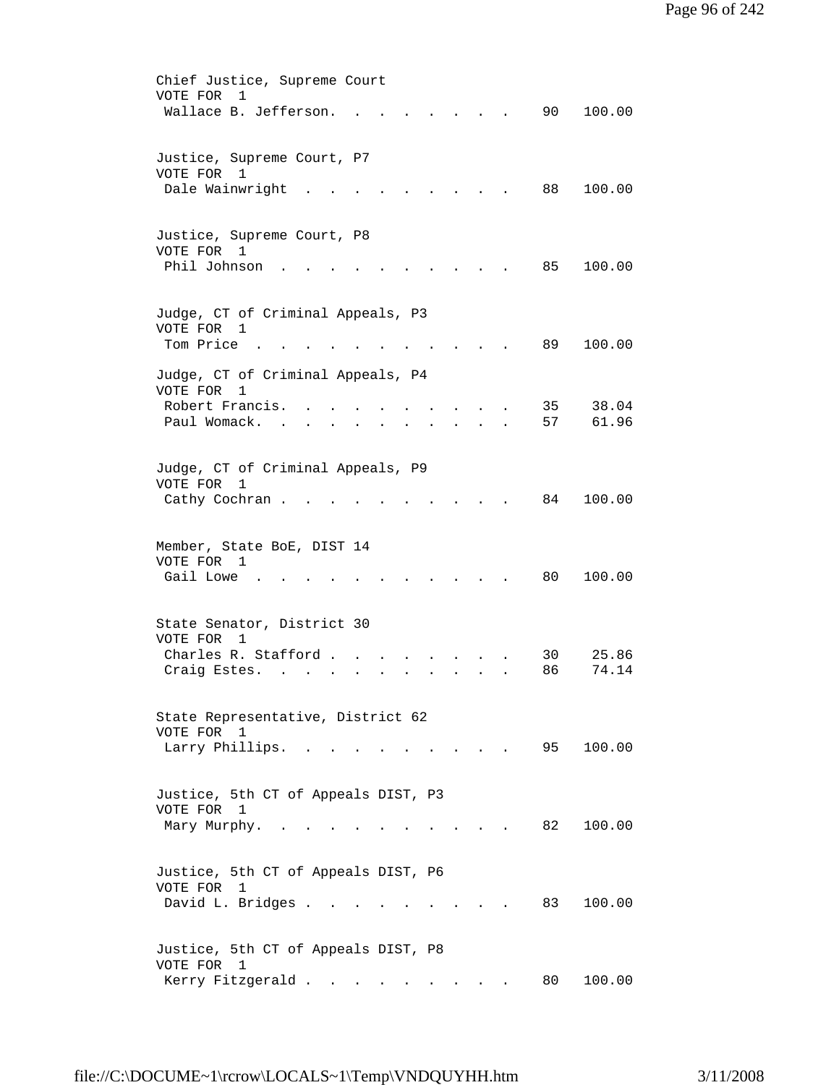| Chief Justice, Supreme Court<br>VOTE FOR<br>1                                                     |
|---------------------------------------------------------------------------------------------------|
| Wallace B. Jefferson.<br>90<br>100.00                                                             |
|                                                                                                   |
| Justice, Supreme Court, P7<br>VOTE FOR<br>1                                                       |
| Dale Wainwright<br>100.00<br>88                                                                   |
| Justice, Supreme Court, P8                                                                        |
| VOTE FOR 1<br>Phil Johnson<br>85<br>100.00                                                        |
|                                                                                                   |
| Judge, CT of Criminal Appeals, P3<br>VOTE FOR 1                                                   |
| Tom Price<br>89<br>100.00                                                                         |
| Judge, CT of Criminal Appeals, P4                                                                 |
| VOTE FOR<br>1<br>38.04<br>Robert Francis.<br>35                                                   |
| Paul Womack.<br>57<br>61.96                                                                       |
|                                                                                                   |
| Judge, CT of Criminal Appeals, P9                                                                 |
| VOTE FOR<br>1<br>84<br>100.00<br>Cathy Cochran.                                                   |
|                                                                                                   |
| Member, State BoE, DIST 14                                                                        |
| VOTE FOR 1<br>Gail Lowe<br>80<br>100.00                                                           |
|                                                                                                   |
| State Senator, District 30                                                                        |
| VOTE FOR<br>1<br>Charles R. Stafford.<br>30<br>25.86                                              |
| 86<br>74.14<br>Craig Estes.                                                                       |
|                                                                                                   |
| State Representative, District 62                                                                 |
| VOTE FOR 1<br>95<br>100.00<br>Larry Phillips.<br>$\sim$ $\sim$<br><b>Contract Contract Street</b> |
|                                                                                                   |
| Justice, 5th CT of Appeals DIST, P3                                                               |
| VOTE FOR 1<br>82<br>100.00<br>Mary Murphy.<br>$\sim$                                              |
|                                                                                                   |
| Justice, 5th CT of Appeals DIST, P6                                                               |
| VOTE FOR<br>1<br>David L. Bridges<br>100.00<br>83                                                 |
|                                                                                                   |
| Justice, 5th CT of Appeals DIST, P8                                                               |
| VOTE FOR<br>$\overline{1}$                                                                        |
| Kerry Fitzgerald<br>100.00<br>80 -                                                                |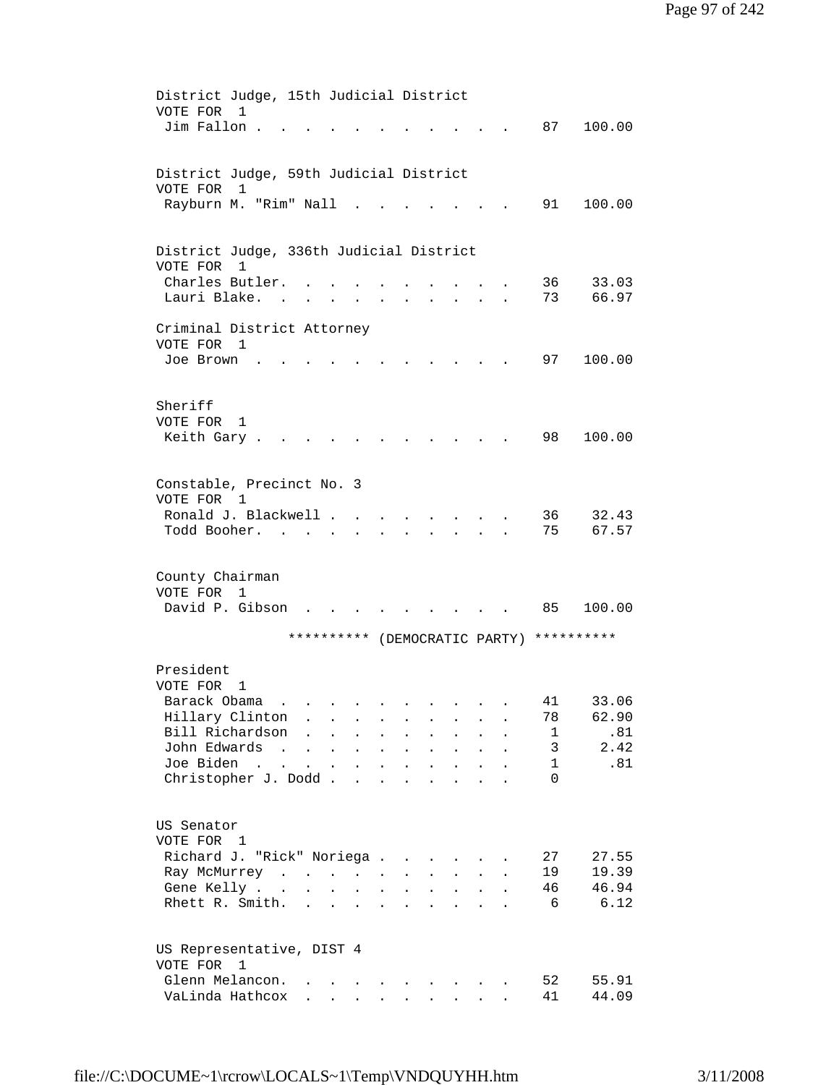| District Judge, 15th Judicial District  |                                                                                                                                                                                                                                                                                                                                                                                                                                                             |                                            |                                                                  |                                                                                                                |                            |                                   |                             |                           |                                          |        |
|-----------------------------------------|-------------------------------------------------------------------------------------------------------------------------------------------------------------------------------------------------------------------------------------------------------------------------------------------------------------------------------------------------------------------------------------------------------------------------------------------------------------|--------------------------------------------|------------------------------------------------------------------|----------------------------------------------------------------------------------------------------------------|----------------------------|-----------------------------------|-----------------------------|---------------------------|------------------------------------------|--------|
| VOTE FOR<br>1                           |                                                                                                                                                                                                                                                                                                                                                                                                                                                             |                                            |                                                                  |                                                                                                                |                            |                                   |                             |                           |                                          |        |
| Jim Fallon.                             |                                                                                                                                                                                                                                                                                                                                                                                                                                                             |                                            |                                                                  |                                                                                                                |                            |                                   |                             |                           | 87                                       | 100.00 |
|                                         |                                                                                                                                                                                                                                                                                                                                                                                                                                                             |                                            |                                                                  |                                                                                                                |                            |                                   |                             |                           |                                          |        |
| District Judge, 59th Judicial District  |                                                                                                                                                                                                                                                                                                                                                                                                                                                             |                                            |                                                                  |                                                                                                                |                            |                                   |                             |                           |                                          |        |
| VOTE FOR<br>1                           |                                                                                                                                                                                                                                                                                                                                                                                                                                                             |                                            |                                                                  |                                                                                                                |                            |                                   |                             |                           |                                          |        |
| Rayburn M. "Rim" Nall                   |                                                                                                                                                                                                                                                                                                                                                                                                                                                             |                                            |                                                                  |                                                                                                                |                            |                                   |                             |                           | 91                                       | 100.00 |
|                                         |                                                                                                                                                                                                                                                                                                                                                                                                                                                             |                                            |                                                                  |                                                                                                                |                            |                                   |                             |                           |                                          |        |
|                                         |                                                                                                                                                                                                                                                                                                                                                                                                                                                             |                                            |                                                                  |                                                                                                                |                            |                                   |                             |                           |                                          |        |
| District Judge, 336th Judicial District |                                                                                                                                                                                                                                                                                                                                                                                                                                                             |                                            |                                                                  |                                                                                                                |                            |                                   |                             |                           |                                          |        |
| VOTE FOR<br>1                           |                                                                                                                                                                                                                                                                                                                                                                                                                                                             |                                            |                                                                  |                                                                                                                |                            |                                   |                             |                           |                                          |        |
| Charles Butler.                         |                                                                                                                                                                                                                                                                                                                                                                                                                                                             |                                            |                                                                  |                                                                                                                |                            |                                   |                             |                           | 36                                       | 33.03  |
| Lauri Blake.                            |                                                                                                                                                                                                                                                                                                                                                                                                                                                             |                                            | $\mathbf{r}$ , $\mathbf{r}$ , $\mathbf{r}$                       | $\sim$                                                                                                         |                            | <b>Contract Contract Contract</b> |                             | $\ddot{\phantom{a}}$      | 73                                       | 66.97  |
| Criminal District Attorney              |                                                                                                                                                                                                                                                                                                                                                                                                                                                             |                                            |                                                                  |                                                                                                                |                            |                                   |                             |                           |                                          |        |
| VOTE FOR<br>$\mathbf{1}$                |                                                                                                                                                                                                                                                                                                                                                                                                                                                             |                                            |                                                                  |                                                                                                                |                            |                                   |                             |                           |                                          |        |
| Joe Brown                               |                                                                                                                                                                                                                                                                                                                                                                                                                                                             |                                            |                                                                  |                                                                                                                |                            |                                   |                             |                           | 97                                       | 100.00 |
|                                         |                                                                                                                                                                                                                                                                                                                                                                                                                                                             |                                            |                                                                  |                                                                                                                |                            |                                   |                             |                           |                                          |        |
|                                         |                                                                                                                                                                                                                                                                                                                                                                                                                                                             |                                            |                                                                  |                                                                                                                |                            |                                   |                             |                           |                                          |        |
| Sheriff                                 |                                                                                                                                                                                                                                                                                                                                                                                                                                                             |                                            |                                                                  |                                                                                                                |                            |                                   |                             |                           |                                          |        |
| VOTE FOR<br>1                           |                                                                                                                                                                                                                                                                                                                                                                                                                                                             |                                            |                                                                  |                                                                                                                |                            |                                   |                             |                           |                                          |        |
| Keith Gary.                             |                                                                                                                                                                                                                                                                                                                                                                                                                                                             |                                            |                                                                  |                                                                                                                |                            |                                   |                             |                           | 98                                       | 100.00 |
|                                         |                                                                                                                                                                                                                                                                                                                                                                                                                                                             |                                            |                                                                  |                                                                                                                |                            |                                   |                             |                           |                                          |        |
| Constable, Precinct No. 3               |                                                                                                                                                                                                                                                                                                                                                                                                                                                             |                                            |                                                                  |                                                                                                                |                            |                                   |                             |                           |                                          |        |
| VOTE FOR 1                              |                                                                                                                                                                                                                                                                                                                                                                                                                                                             |                                            |                                                                  |                                                                                                                |                            |                                   |                             |                           |                                          |        |
| Ronald J. Blackwell                     |                                                                                                                                                                                                                                                                                                                                                                                                                                                             |                                            |                                                                  |                                                                                                                |                            |                                   |                             |                           | 36                                       | 32.43  |
| Todd Booher.                            |                                                                                                                                                                                                                                                                                                                                                                                                                                                             | $\sim$                                     |                                                                  |                                                                                                                |                            |                                   |                             |                           | 75                                       | 67.57  |
|                                         |                                                                                                                                                                                                                                                                                                                                                                                                                                                             |                                            |                                                                  |                                                                                                                |                            |                                   |                             |                           |                                          |        |
|                                         |                                                                                                                                                                                                                                                                                                                                                                                                                                                             |                                            |                                                                  |                                                                                                                |                            |                                   |                             |                           |                                          |        |
| County Chairman                         |                                                                                                                                                                                                                                                                                                                                                                                                                                                             |                                            |                                                                  |                                                                                                                |                            |                                   |                             |                           |                                          |        |
| VOTE FOR 1                              |                                                                                                                                                                                                                                                                                                                                                                                                                                                             |                                            |                                                                  |                                                                                                                |                            |                                   |                             |                           |                                          |        |
| David P. Gibson                         |                                                                                                                                                                                                                                                                                                                                                                                                                                                             |                                            |                                                                  |                                                                                                                |                            |                                   |                             |                           | 85                                       | 100.00 |
|                                         |                                                                                                                                                                                                                                                                                                                                                                                                                                                             |                                            |                                                                  |                                                                                                                |                            |                                   |                             |                           | ********** (DEMOCRATIC PARTY) ********** |        |
|                                         |                                                                                                                                                                                                                                                                                                                                                                                                                                                             |                                            |                                                                  |                                                                                                                |                            |                                   |                             |                           |                                          |        |
| President                               |                                                                                                                                                                                                                                                                                                                                                                                                                                                             |                                            |                                                                  |                                                                                                                |                            |                                   |                             |                           |                                          |        |
| VOTE FOR<br>1                           |                                                                                                                                                                                                                                                                                                                                                                                                                                                             |                                            |                                                                  |                                                                                                                |                            |                                   |                             |                           |                                          |        |
| Barack Obama                            |                                                                                                                                                                                                                                                                                                                                                                                                                                                             |                                            |                                                                  |                                                                                                                |                            |                                   |                             |                           | 41                                       | 33.06  |
| Hillary Clinton                         |                                                                                                                                                                                                                                                                                                                                                                                                                                                             |                                            |                                                                  |                                                                                                                | $\bullet$                  | $\sim 100$                        |                             |                           | 78                                       | 62.90  |
| Bill Richardson                         |                                                                                                                                                                                                                                                                                                                                                                                                                                                             | $\ddot{\phantom{a}}$                       |                                                                  | $\bullet$ .<br>$\ddot{\phantom{0}}$                                                                            |                            |                                   |                             |                           | 1                                        | .81    |
| John Edwards                            | $\mathcal{L}(\mathcal{L}(\mathcal{L}(\mathcal{L}(\mathcal{L}(\mathcal{L}(\mathcal{L}(\mathcal{L}(\mathcal{L}(\mathcal{L}(\mathcal{L}(\mathcal{L}(\mathcal{L}(\mathcal{L}(\mathcal{L}(\mathcal{L}(\mathcal{L}(\mathcal{L}(\mathcal{L}(\mathcal{L}(\mathcal{L}(\mathcal{L}(\mathcal{L}(\mathcal{L}(\mathcal{L}(\mathcal{L}(\mathcal{L}(\mathcal{L}(\mathcal{L}(\mathcal{L}(\mathcal{L}(\mathcal{L}(\mathcal{L}(\mathcal{L}(\mathcal{L}(\mathcal{L}(\mathcal{$ |                                            |                                                                  | $\mathbf{r} = \mathbf{r} \cdot \mathbf{r}$ .                                                                   | $\ddot{\phantom{a}}$       | $\ddot{\phantom{a}}$              | $\mathbf{L}^{\text{max}}$   |                           | 3                                        | 2.42   |
| Joe Biden<br>Christopher J. Dodd.       | $\sim$ 100 $\sim$<br>$\mathbf{L}^{\text{max}}$                                                                                                                                                                                                                                                                                                                                                                                                              | $\mathbf{r} = \mathbf{r} \cdot \mathbf{r}$ |                                                                  | <b>Contract Contract</b>                                                                                       | $\ddot{\phantom{0}}$       | $\ddot{\phantom{a}}$              |                             |                           | $\mathbf{1}$<br>$\Omega$                 | .81    |
|                                         |                                                                                                                                                                                                                                                                                                                                                                                                                                                             |                                            | $\sim$                                                           | $\sim$                                                                                                         | $\ddot{\phantom{a}}$       | $\ddot{\phantom{a}}$              |                             |                           |                                          |        |
|                                         |                                                                                                                                                                                                                                                                                                                                                                                                                                                             |                                            |                                                                  |                                                                                                                |                            |                                   |                             |                           |                                          |        |
| US Senator                              |                                                                                                                                                                                                                                                                                                                                                                                                                                                             |                                            |                                                                  |                                                                                                                |                            |                                   |                             |                           |                                          |        |
| VOTE FOR 1                              |                                                                                                                                                                                                                                                                                                                                                                                                                                                             |                                            |                                                                  |                                                                                                                |                            |                                   |                             |                           |                                          |        |
| Richard J. "Rick" Noriega               |                                                                                                                                                                                                                                                                                                                                                                                                                                                             |                                            |                                                                  |                                                                                                                |                            | $\sim$                            | $\sim$ $\sim$               |                           | 27                                       | 27.55  |
| Ray McMurrey                            |                                                                                                                                                                                                                                                                                                                                                                                                                                                             |                                            |                                                                  |                                                                                                                | $\mathcal{L}^{\text{max}}$ | $\mathbf{L}^{\text{max}}$         | $\mathbf{A}^{\mathrm{max}}$ | $\mathbf{L}^{\text{max}}$ | 19                                       | 19.39  |
| Gene Kelly                              |                                                                                                                                                                                                                                                                                                                                                                                                                                                             |                                            |                                                                  |                                                                                                                | $\ddot{\phantom{a}}$       | $\mathbf{L}^{\text{max}}$         | $\sim 100$                  | $\ddot{\phantom{a}}$      | 46                                       | 46.94  |
| Rhett R. Smith.                         |                                                                                                                                                                                                                                                                                                                                                                                                                                                             |                                            | $\mathbf{r} = \mathbf{r} + \mathbf{r} + \mathbf{r} + \mathbf{r}$ |                                                                                                                | $\ddot{\phantom{a}}$       | $\ddot{\phantom{a}}$              | $\ddot{\phantom{a}}$        |                           | 6                                        | 6.12   |
|                                         |                                                                                                                                                                                                                                                                                                                                                                                                                                                             |                                            |                                                                  |                                                                                                                |                            |                                   |                             |                           |                                          |        |
| US Representative, DIST 4               |                                                                                                                                                                                                                                                                                                                                                                                                                                                             |                                            |                                                                  |                                                                                                                |                            |                                   |                             |                           |                                          |        |
| VOTE FOR 1                              |                                                                                                                                                                                                                                                                                                                                                                                                                                                             |                                            |                                                                  |                                                                                                                |                            |                                   |                             |                           |                                          |        |
| Glenn Melancon.                         |                                                                                                                                                                                                                                                                                                                                                                                                                                                             |                                            |                                                                  | and a series of the series of the series of the series of the series of the series of the series of the series |                            |                                   |                             |                           | 52                                       | 55.91  |
|                                         |                                                                                                                                                                                                                                                                                                                                                                                                                                                             |                                            |                                                                  |                                                                                                                |                            |                                   |                             |                           |                                          |        |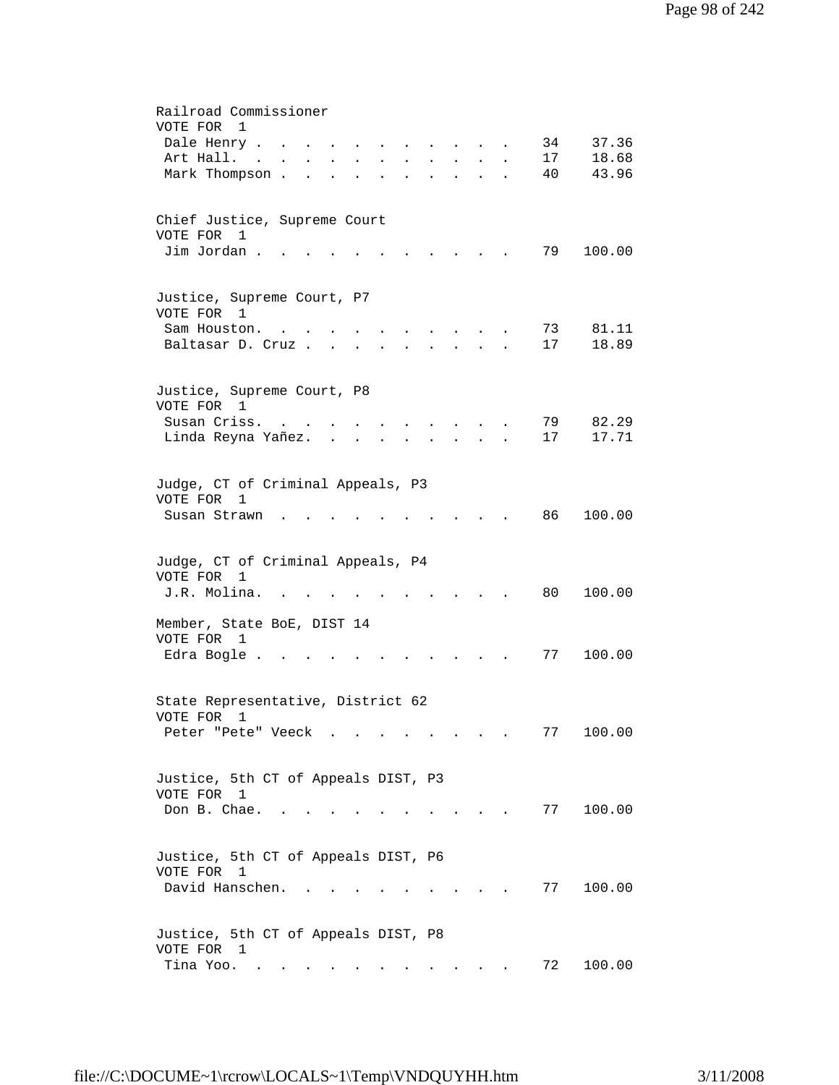| Railroad Commissioner<br>VOTE FOR 1                                                                                                   |
|---------------------------------------------------------------------------------------------------------------------------------------|
| 37.36<br>Dale Henry<br>34<br>$\sim$<br>$\ddot{\phantom{a}}$<br>$\ddot{\phantom{a}}$<br>$\sim$<br>$\mathbf{L} = \mathbf{L} \mathbf{L}$ |
| 18.68<br>Art Hall. .<br>17<br>$\sim$                                                                                                  |
| Mark Thompson.<br>40<br>43.96<br>$\mathbf{L}$                                                                                         |
|                                                                                                                                       |
| Chief Justice, Supreme Court                                                                                                          |
| VOTE FOR<br>1<br>Jim Jordan.<br>79<br>100.00                                                                                          |
|                                                                                                                                       |
| Justice, Supreme Court, P7<br>VOTE FOR 1                                                                                              |
| 81.11<br>Sam Houston.<br>73<br>$\cdots$ $\cdots$<br><b>Contract Contract</b>                                                          |
| 17<br>18.89<br>Baltasar D. Cruz<br>$\mathbf{L}$                                                                                       |
|                                                                                                                                       |
| Justice, Supreme Court, P8<br>VOTE FOR 1                                                                                              |
| Susan Criss.<br>82.29<br>79                                                                                                           |
| Linda Reyna Yañez.<br>17<br>17.71                                                                                                     |
|                                                                                                                                       |
| Judge, CT of Criminal Appeals, P3<br>VOTE FOR<br>1                                                                                    |
| 86<br>100.00<br>Susan Strawn                                                                                                          |
| Judge, CT of Criminal Appeals, P4<br>VOTE FOR 1<br>J.R. Molina.<br>80<br>100.00                                                       |
|                                                                                                                                       |
| Member, State BoE, DIST 14<br>VOTE FOR 1                                                                                              |
| 77<br>100.00<br>Edra Bogle.                                                                                                           |
| State Representative, District 62                                                                                                     |
| VOTE FOR 1<br>100.00<br>77<br>Peter "Pete" Veeck                                                                                      |
|                                                                                                                                       |
| Justice, 5th CT of Appeals DIST, P3                                                                                                   |
| VOTE FOR 1                                                                                                                            |
| Don B. Chae.<br>77<br>100.00<br>the contract of the contract of the<br>and the state of the state of                                  |
|                                                                                                                                       |
| Justice, 5th CT of Appeals DIST, P6<br>VOTE FOR 1                                                                                     |
| David Hanschen.<br>100.00<br>77<br>and the state of the state of the                                                                  |
|                                                                                                                                       |
| Justice, 5th CT of Appeals DIST, P8                                                                                                   |
| VOTE FOR 1                                                                                                                            |
| Tina Yoo.<br>72<br>100.00                                                                                                             |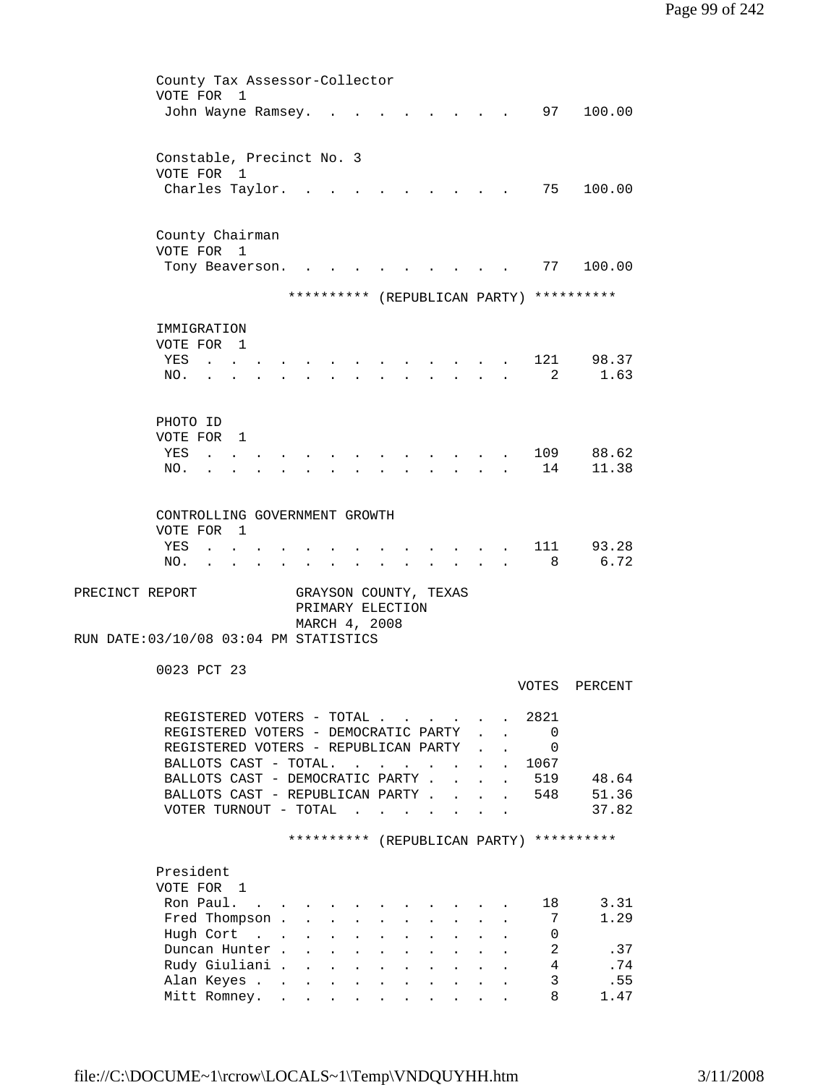|                 | County Tax Assessor-Collector<br>VOTE FOR<br>-1                                                                                              |  |
|-----------------|----------------------------------------------------------------------------------------------------------------------------------------------|--|
|                 | 97<br>100.00<br>John Wayne Ramsey.                                                                                                           |  |
|                 | Constable, Precinct No. 3<br>VOTE FOR 1                                                                                                      |  |
|                 | 75<br>100.00<br>Charles Taylor.                                                                                                              |  |
|                 | County Chairman                                                                                                                              |  |
|                 | VOTE FOR 1<br>100.00<br>77<br>Tony Beaverson.                                                                                                |  |
|                 | ********** (REPUBLICAN PARTY) **********                                                                                                     |  |
|                 | IMMIGRATION                                                                                                                                  |  |
|                 | VOTE FOR<br>$\overline{1}$                                                                                                                   |  |
|                 | 121<br>98.37<br>YES<br>2<br>1.63<br>NO.                                                                                                      |  |
|                 |                                                                                                                                              |  |
|                 | PHOTO ID                                                                                                                                     |  |
|                 | VOTE FOR 1<br>88.62<br>YES                                                                                                                   |  |
|                 | 109<br>14<br>11.38<br>NO.                                                                                                                    |  |
|                 |                                                                                                                                              |  |
|                 | CONTROLLING GOVERNMENT GROWTH                                                                                                                |  |
|                 | VOTE FOR<br>$\overline{1}$                                                                                                                   |  |
|                 | 111<br>93.28<br>YES<br>6.72<br>8<br>NO.                                                                                                      |  |
| PRECINCT REPORT | GRAYSON COUNTY, TEXAS                                                                                                                        |  |
|                 | PRIMARY ELECTION                                                                                                                             |  |
|                 | MARCH 4, 2008<br>RUN DATE: 03/10/08 03:04 PM STATISTICS                                                                                      |  |
|                 |                                                                                                                                              |  |
|                 | 0023 PCT 23<br>VOTES<br>PERCENT                                                                                                              |  |
|                 |                                                                                                                                              |  |
|                 | REGISTERED VOTERS - TOTAL<br>2821<br>REGISTERED VOTERS - DEMOCRATIC PARTY<br>$\mathbf{0}$<br>$\mathbf{r} = \mathbf{r}$                       |  |
|                 | REGISTERED VOTERS - REPUBLICAN PARTY<br>$\Omega$<br>$\mathbf{L} = \mathbf{L}$                                                                |  |
|                 | BALLOTS CAST - TOTAL.<br>1067<br>$\mathcal{A}^{\mathcal{A}}$ . The set of the set of the set of $\mathcal{A}^{\mathcal{A}}$                  |  |
|                 | BALLOTS CAST - DEMOCRATIC PARTY.<br>519<br>48.64<br>$\mathcal{L}^{\text{max}}$<br>$\ddot{\phantom{a}}$                                       |  |
|                 | BALLOTS CAST - REPUBLICAN PARTY<br>51.36<br>. 548<br>37.82<br>VOTER TURNOUT - TOTAL $\cdot \cdot \cdot \cdot$                                |  |
|                 |                                                                                                                                              |  |
|                 | ********** (REPUBLICAN PARTY) **********                                                                                                     |  |
|                 | President                                                                                                                                    |  |
|                 | VOTE FOR 1                                                                                                                                   |  |
|                 | Ron Paul.<br>3.31<br>18<br>1.29<br>Fred Thompson .<br>7<br>$\ddot{\phantom{0}}$<br>$\bullet$<br>$\ddot{\phantom{0}}$<br>$\ddot{\phantom{0}}$ |  |
|                 | Hugh Cort<br>0<br>$\ddot{\phantom{0}}$<br>$\bullet$                                                                                          |  |
|                 | $\overline{a}$<br>Duncan Hunter.<br>.37<br>$\ddot{\phantom{0}}$                                                                              |  |
|                 | $\overline{4}$<br>Rudy Giuliani .<br>.74<br>$\mathbf{L}$<br>$\mathbf{L}^{\text{max}}$<br>$\ddot{\phantom{a}}$<br>$\ddot{\phantom{a}}$        |  |
|                 | 3<br>.55<br>Alan Keyes<br>$\mathbf{L}^{\text{max}}$<br>$\sim$<br>$\ddot{\phantom{a}}$<br>8                                                   |  |
|                 | Mitt Romney.<br>1.47                                                                                                                         |  |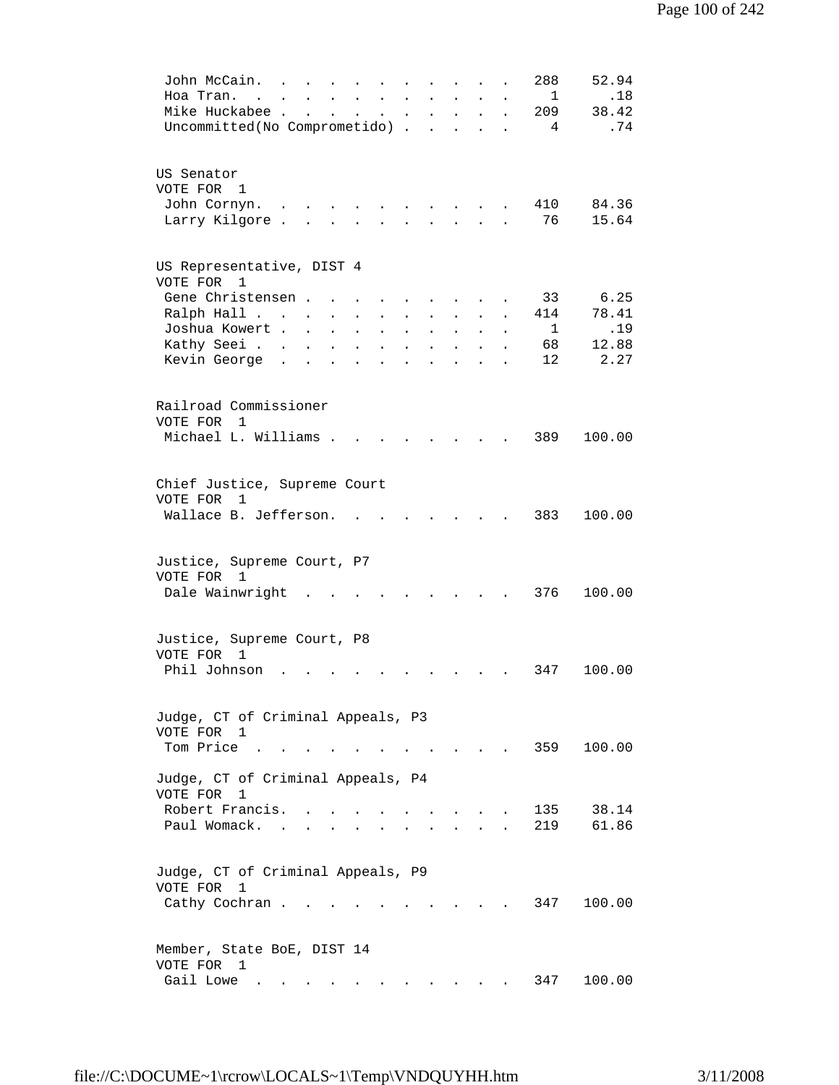| 52.94<br>288<br>John McCain.<br>Hoa Tran.<br>.18<br>$\mathbf{1}$<br>$\sim$<br>Mike Huckabee.<br>38.42<br>209<br>$\mathbf{L}^{\text{max}}$<br>$\ddot{\phantom{a}}$<br>$\ddot{\phantom{a}}$<br>$\bullet$ .<br>$\ddot{\phantom{0}}$<br>$\ddot{\phantom{0}}$<br>$\ddot{\phantom{0}}$<br>$\ddot{\phantom{0}}$<br>Uncommitted(No Comprometido) .<br>.74<br>4<br>$\ddot{\phantom{a}}$                                                                                                                                                                                                                                                                                                                                                                  |  |
|-------------------------------------------------------------------------------------------------------------------------------------------------------------------------------------------------------------------------------------------------------------------------------------------------------------------------------------------------------------------------------------------------------------------------------------------------------------------------------------------------------------------------------------------------------------------------------------------------------------------------------------------------------------------------------------------------------------------------------------------------|--|
| US Senator<br>VOTE FOR 1<br>410<br>84.36<br>John Cornyn.<br>76<br>Larry Kilgore.<br>15.64<br>$\ddot{\phantom{a}}$                                                                                                                                                                                                                                                                                                                                                                                                                                                                                                                                                                                                                               |  |
| US Representative, DIST 4<br>VOTE FOR<br>1<br>6.25<br>Gene Christensen.<br>33<br>78.41<br>Ralph Hall<br>414<br>$\ddot{\phantom{a}}$<br>$\ddot{\phantom{0}}$<br>.19<br>Joshua Kowert .<br>1<br>$\mathbf{L}$<br>$\ddot{\phantom{a}}$<br>$\ddot{\phantom{a}}$<br>$\ddot{\phantom{a}}$<br>$\ddot{\phantom{a}}$<br>$\ddot{\phantom{a}}$<br>$\ddot{\phantom{a}}$<br>$\ddot{\phantom{a}}$<br>$\ddot{\phantom{a}}$<br>Kathy Seei<br>12.88<br>68<br>$\ddot{\phantom{a}}$<br>$\ddot{\phantom{a}}$<br>$\ddot{\phantom{a}}$<br>$\ddot{\phantom{a}}$<br>$\ddot{\phantom{a}}$<br>$\ddot{\phantom{a}}$<br>$\ddot{\phantom{a}}$<br>$\ddot{\phantom{a}}$<br>12<br>2.27<br>Kevin George<br>$\sim$<br>$\mathbf{r}$<br>$\ddot{\phantom{a}}$<br>$\ddot{\phantom{a}}$ |  |
| Railroad Commissioner<br>VOTE FOR<br>1<br>Michael L. Williams .<br>389<br>100.00                                                                                                                                                                                                                                                                                                                                                                                                                                                                                                                                                                                                                                                                |  |
| Chief Justice, Supreme Court<br>VOTE FOR<br>$\mathbf{1}$<br>Wallace B. Jefferson.<br>383<br>100.00                                                                                                                                                                                                                                                                                                                                                                                                                                                                                                                                                                                                                                              |  |
| Justice, Supreme Court, P7<br>VOTE FOR 1<br>376<br>Dale Wainwright<br>100.00                                                                                                                                                                                                                                                                                                                                                                                                                                                                                                                                                                                                                                                                    |  |
| Justice, Supreme Court, P8<br>VOTE FOR<br>1<br>Phil Johnson<br>347<br>100.00                                                                                                                                                                                                                                                                                                                                                                                                                                                                                                                                                                                                                                                                    |  |
| Judge, CT of Criminal Appeals, P3<br>VOTE FOR 1<br>Tom Price<br>359<br>100.00                                                                                                                                                                                                                                                                                                                                                                                                                                                                                                                                                                                                                                                                   |  |
| Judge, CT of Criminal Appeals, P4<br>VOTE FOR<br>$\mathbf{1}$<br>Robert Francis.<br>38.14<br>135<br>61.86<br>Paul Womack. .<br>219                                                                                                                                                                                                                                                                                                                                                                                                                                                                                                                                                                                                              |  |
| Judge, CT of Criminal Appeals, P9<br>VOTE FOR<br>$\mathbf{1}$<br>100.00<br>Cathy Cochran.<br>347<br>and the state of the state of the                                                                                                                                                                                                                                                                                                                                                                                                                                                                                                                                                                                                           |  |
| Member, State BoE, DIST 14<br>VOTE FOR 1<br>Gail Lowe<br>100.00<br>347                                                                                                                                                                                                                                                                                                                                                                                                                                                                                                                                                                                                                                                                          |  |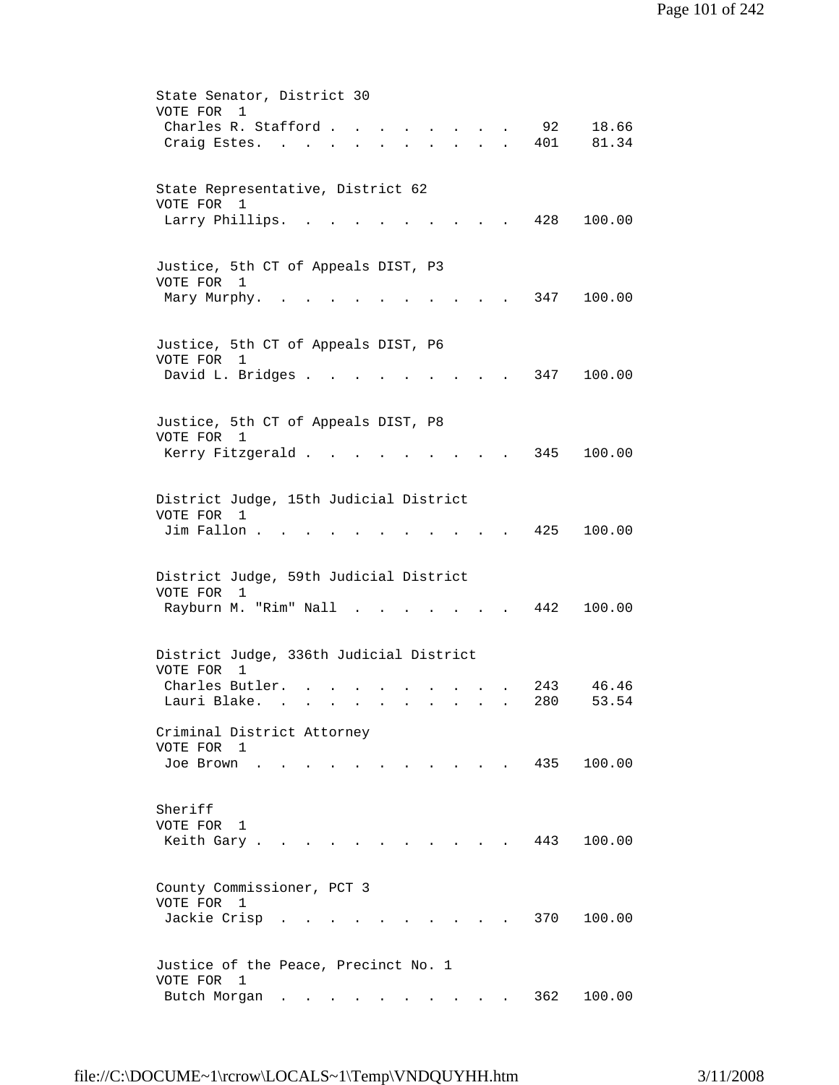|                                                                                      | State Senator, District 30                                                                                                                                                                                    |  |  |  |
|--------------------------------------------------------------------------------------|---------------------------------------------------------------------------------------------------------------------------------------------------------------------------------------------------------------|--|--|--|
|                                                                                      | VOTE FOR<br>$\mathbf{1}$                                                                                                                                                                                      |  |  |  |
|                                                                                      | Charles R. Stafford.<br>92<br>18.66<br>$\mathbf{r} = \mathbf{r}$ and $\mathbf{r} = \mathbf{r}$                                                                                                                |  |  |  |
|                                                                                      | 81.34<br>Craig Estes. .<br>401<br>$\begin{array}{cccccccccccccc} \bullet & \bullet & \bullet & \bullet & \bullet & \bullet & \bullet & \bullet & \bullet \end{array}$<br>$\mathbf{L} = \mathbf{L} \mathbf{L}$ |  |  |  |
|                                                                                      |                                                                                                                                                                                                               |  |  |  |
|                                                                                      |                                                                                                                                                                                                               |  |  |  |
|                                                                                      | State Representative, District 62<br>VOTE FOR 1                                                                                                                                                               |  |  |  |
|                                                                                      | 428<br>100.00                                                                                                                                                                                                 |  |  |  |
|                                                                                      | Larry Phillips.                                                                                                                                                                                               |  |  |  |
|                                                                                      |                                                                                                                                                                                                               |  |  |  |
|                                                                                      | Justice, 5th CT of Appeals DIST, P3                                                                                                                                                                           |  |  |  |
|                                                                                      | VOTE FOR 1                                                                                                                                                                                                    |  |  |  |
|                                                                                      | 347<br>100.00<br>Mary Murphy.                                                                                                                                                                                 |  |  |  |
|                                                                                      |                                                                                                                                                                                                               |  |  |  |
|                                                                                      |                                                                                                                                                                                                               |  |  |  |
|                                                                                      | Justice, 5th CT of Appeals DIST, P6                                                                                                                                                                           |  |  |  |
|                                                                                      | VOTE FOR 1                                                                                                                                                                                                    |  |  |  |
|                                                                                      | David L. Bridges .<br>347<br>100.00                                                                                                                                                                           |  |  |  |
|                                                                                      |                                                                                                                                                                                                               |  |  |  |
|                                                                                      |                                                                                                                                                                                                               |  |  |  |
|                                                                                      | Justice, 5th CT of Appeals DIST, P8                                                                                                                                                                           |  |  |  |
|                                                                                      | VOTE FOR 1                                                                                                                                                                                                    |  |  |  |
|                                                                                      | 345<br>100.00<br>Kerry Fitzgerald                                                                                                                                                                             |  |  |  |
|                                                                                      |                                                                                                                                                                                                               |  |  |  |
|                                                                                      |                                                                                                                                                                                                               |  |  |  |
| District Judge, 15th Judicial District<br>VOTE FOR 1<br>Jim Fallon.<br>425<br>100.00 |                                                                                                                                                                                                               |  |  |  |
|                                                                                      |                                                                                                                                                                                                               |  |  |  |
|                                                                                      |                                                                                                                                                                                                               |  |  |  |
|                                                                                      |                                                                                                                                                                                                               |  |  |  |
|                                                                                      | District Judge, 59th Judicial District                                                                                                                                                                        |  |  |  |
|                                                                                      | VOTE FOR<br>1                                                                                                                                                                                                 |  |  |  |
|                                                                                      | Rayburn M. "Rim" Nall .<br>100.00<br>442                                                                                                                                                                      |  |  |  |
|                                                                                      |                                                                                                                                                                                                               |  |  |  |
|                                                                                      |                                                                                                                                                                                                               |  |  |  |
|                                                                                      | District Judge, 336th Judicial District                                                                                                                                                                       |  |  |  |
|                                                                                      | VOTE FOR<br>1                                                                                                                                                                                                 |  |  |  |
|                                                                                      | 46.46<br>Charles Butler.<br>243                                                                                                                                                                               |  |  |  |
|                                                                                      | Lauri Blake.<br>280<br>53.54                                                                                                                                                                                  |  |  |  |
|                                                                                      |                                                                                                                                                                                                               |  |  |  |
|                                                                                      | Criminal District Attorney                                                                                                                                                                                    |  |  |  |
|                                                                                      | VOTE FOR 1                                                                                                                                                                                                    |  |  |  |
|                                                                                      | $\cdot$ , . 435 100.00<br>Joe Brown                                                                                                                                                                           |  |  |  |
|                                                                                      |                                                                                                                                                                                                               |  |  |  |
|                                                                                      |                                                                                                                                                                                                               |  |  |  |
|                                                                                      | Sheriff                                                                                                                                                                                                       |  |  |  |
|                                                                                      | VOTE FOR<br>1                                                                                                                                                                                                 |  |  |  |
|                                                                                      | 443<br>100.00<br>Keith Gary.                                                                                                                                                                                  |  |  |  |
|                                                                                      |                                                                                                                                                                                                               |  |  |  |
|                                                                                      | County Commissioner, PCT 3                                                                                                                                                                                    |  |  |  |
|                                                                                      | VOTE FOR 1                                                                                                                                                                                                    |  |  |  |
|                                                                                      | Jackie Crisp<br>370<br>100.00                                                                                                                                                                                 |  |  |  |
|                                                                                      |                                                                                                                                                                                                               |  |  |  |
|                                                                                      |                                                                                                                                                                                                               |  |  |  |
|                                                                                      | Justice of the Peace, Precinct No. 1                                                                                                                                                                          |  |  |  |
|                                                                                      | VOTE FOR 1                                                                                                                                                                                                    |  |  |  |
|                                                                                      | 362<br>100.00<br>Butch Morgan                                                                                                                                                                                 |  |  |  |
|                                                                                      |                                                                                                                                                                                                               |  |  |  |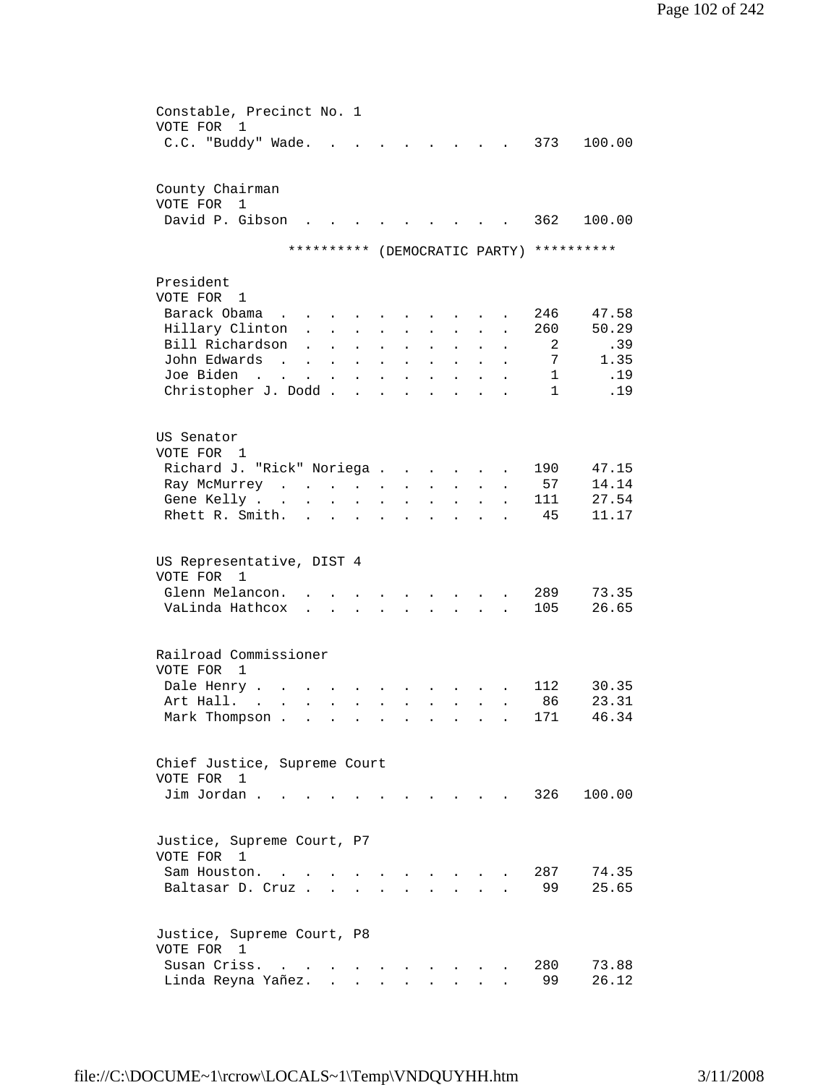| Constable, Precinct No. 1                                                                                                                             |                                                       |
|-------------------------------------------------------------------------------------------------------------------------------------------------------|-------------------------------------------------------|
| VOTE FOR<br>1                                                                                                                                         |                                                       |
| C.C. "Buddy" Wade.                                                                                                                                    | 373<br>100.00<br><b>Contract</b>                      |
|                                                                                                                                                       |                                                       |
|                                                                                                                                                       |                                                       |
| County Chairman                                                                                                                                       |                                                       |
|                                                                                                                                                       |                                                       |
| VOTE FOR 1                                                                                                                                            |                                                       |
| David P. Gibson                                                                                                                                       | 362<br>100.00                                         |
|                                                                                                                                                       |                                                       |
| ********** (DEMOCRATIC PARTY)                                                                                                                         | **********                                            |
|                                                                                                                                                       |                                                       |
| President                                                                                                                                             |                                                       |
|                                                                                                                                                       |                                                       |
| VOTE FOR 1                                                                                                                                            |                                                       |
| Barack Obama<br>$\sim$ $-$                                                                                                                            | 246<br>47.58                                          |
| Hillary Clinton                                                                                                                                       | 50.29<br>260                                          |
| Bill Richardson<br>$\ddot{\phantom{a}}$<br>$\bullet$                                                                                                  | .39<br>2                                              |
| John Edwards                                                                                                                                          | 1.35<br>7                                             |
| <b>Contract</b><br>$\mathbf{L}^{\text{max}}$ and $\mathbf{L}^{\text{max}}$<br>$\sim$<br>$\mathbf{L}$<br>$\ddot{\phantom{a}}$                          | $\ddot{\phantom{a}}$                                  |
| Joe Biden<br>$\sim$ $\sim$<br>$\Delta \sim 100$<br>$\sim$<br>$\sim 100$ km s $^{-1}$<br>$\mathcal{L}^{\mathcal{L}}$<br>$\sim$<br>$\ddot{\phantom{0}}$ | .19<br>$\mathbf{1}$<br>$\ddot{\phantom{a}}$           |
| Christopher J. Dodd<br><b>Contract</b><br>$\ddot{\phantom{a}}$                                                                                        | .19<br>$\mathbf{1}$<br>$\mathbf{r}$<br>$\overline{a}$ |
|                                                                                                                                                       |                                                       |
|                                                                                                                                                       |                                                       |
| US Senator                                                                                                                                            |                                                       |
|                                                                                                                                                       |                                                       |
| VOTE FOR 1                                                                                                                                            |                                                       |
| Richard J. "Rick" Noriega                                                                                                                             | 190<br>47.15<br><b>Contractor</b>                     |
| Ray McMurrey<br>$\bullet$                                                                                                                             | 14.14<br>57                                           |
| Gene Kelly<br>$\sim$<br>$\ddot{\phantom{0}}$<br>$\ddot{\phantom{a}}$                                                                                  | 27.54<br>111                                          |
| Rhett R. Smith.                                                                                                                                       | 11.17<br>-45                                          |
| $\mathbf{r}$                                                                                                                                          |                                                       |
|                                                                                                                                                       |                                                       |
|                                                                                                                                                       |                                                       |
| US Representative, DIST 4                                                                                                                             |                                                       |
| VOTE FOR 1                                                                                                                                            |                                                       |
| Glenn Melancon.                                                                                                                                       | 289<br>73.35                                          |
|                                                                                                                                                       |                                                       |
| VaLinda Hathcox                                                                                                                                       | 105<br>26.65                                          |
|                                                                                                                                                       |                                                       |
|                                                                                                                                                       |                                                       |
| Railroad Commissioner                                                                                                                                 |                                                       |
| VOTE FOR<br>$\overline{1}$                                                                                                                            |                                                       |
|                                                                                                                                                       |                                                       |
| Dale Henry.                                                                                                                                           | 30.35<br>112                                          |
| Art Hall.<br>$\sim$<br>$\ddot{\phantom{0}}$<br>$\mathbf{L}^{\text{max}}$<br>$\mathbf{r} = \mathbf{r}$                                                 | 86<br>23.31<br>$\mathbf{L} = \mathbf{L} \mathbf{L}$   |
| Mark Thompson                                                                                                                                         | 46.34<br>171                                          |
|                                                                                                                                                       |                                                       |
|                                                                                                                                                       |                                                       |
|                                                                                                                                                       |                                                       |
| Chief Justice, Supreme Court                                                                                                                          |                                                       |
| VOTE FOR 1                                                                                                                                            |                                                       |
| Jim Jordan.                                                                                                                                           | 326<br>100.00                                         |
|                                                                                                                                                       |                                                       |
|                                                                                                                                                       |                                                       |
|                                                                                                                                                       |                                                       |
| Justice, Supreme Court, P7                                                                                                                            |                                                       |
| VOTE FOR<br>1                                                                                                                                         |                                                       |
| Sam Houston.                                                                                                                                          | 287<br>74.35                                          |
| Baltasar D. Cruz                                                                                                                                      | 99<br>25.65                                           |
|                                                                                                                                                       |                                                       |
|                                                                                                                                                       |                                                       |
|                                                                                                                                                       |                                                       |
| Justice, Supreme Court, P8                                                                                                                            |                                                       |
| VOTE FOR 1                                                                                                                                            |                                                       |
| Susan Criss.<br>$\sim$ $\sim$<br>$\mathbf{r} = \mathbf{r} + \mathbf{r}$                                                                               | 280<br>73.88                                          |
| Linda Reyna Yañez.<br>$\sim$ $\sim$                                                                                                                   | 99<br>26.12                                           |
| $\ddot{\phantom{0}}$                                                                                                                                  | $\ddot{\phantom{a}}$                                  |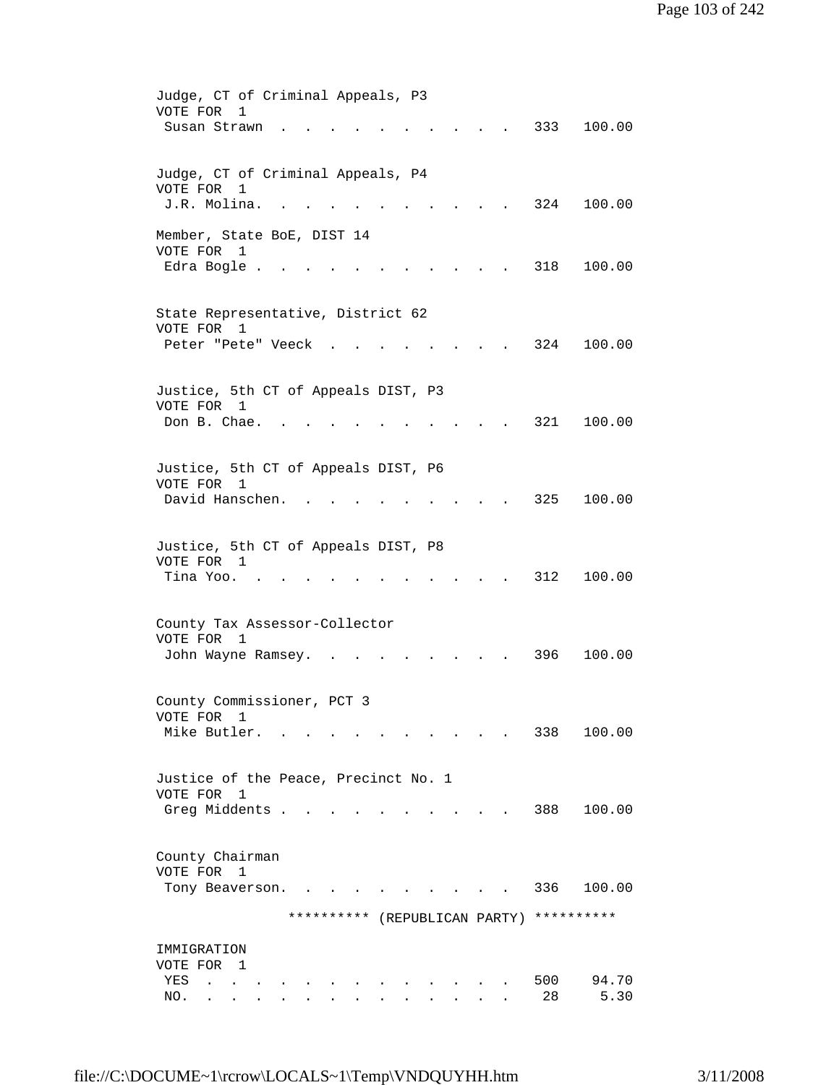| Judge, CT of Criminal Appeals, P3                    |
|------------------------------------------------------|
| VOTE FOR<br>1<br>333<br>100.00<br>Susan Strawn       |
|                                                      |
|                                                      |
| Judge, CT of Criminal Appeals, P4                    |
| VOTE FOR<br>1<br>J.R. Molina.<br>324<br>100.00       |
|                                                      |
| Member, State BoE, DIST 14                           |
| VOTE FOR 1                                           |
| 318<br>Edra Bogle .<br>100.00                        |
|                                                      |
| State Representative, District 62                    |
| VOTE FOR 1                                           |
| Peter "Pete" Veeck<br>324<br>100.00                  |
|                                                      |
| Justice, 5th CT of Appeals DIST, P3                  |
| VOTE FOR 1                                           |
| 321<br>100.00<br>Don B. Chae.                        |
|                                                      |
| Justice, 5th CT of Appeals DIST, P6                  |
| VOTE FOR 1                                           |
| David Hanschen.<br>325<br>100.00                     |
|                                                      |
| Justice, 5th CT of Appeals DIST, P8                  |
| VOTE FOR 1<br>Tina Yoo. .<br>312<br>100.00           |
|                                                      |
|                                                      |
| County Tax Assessor-Collector                        |
| VOTE FOR<br>1<br>396<br>100.00<br>John Wayne Ramsey. |
|                                                      |
|                                                      |
| County Commissioner, PCT 3<br>VOTE FOR               |
| ı<br>Mike Butler.<br>338<br>100.00                   |
|                                                      |
|                                                      |
| Justice of the Peace, Precinct No. 1<br>VOTE FOR 1   |
| Greg Middents .<br>388<br>100.00                     |
|                                                      |
|                                                      |
| County Chairman<br>VOTE FOR 1                        |
| 336<br>100.00<br>Tony Beaverson.                     |
|                                                      |
| ********** (REPUBLICAN PARTY)<br>**********          |
| IMMIGRATION                                          |
| VOTE FOR 1                                           |
| 94.70<br>500<br>YES                                  |
| 28<br>5.30<br>NO.                                    |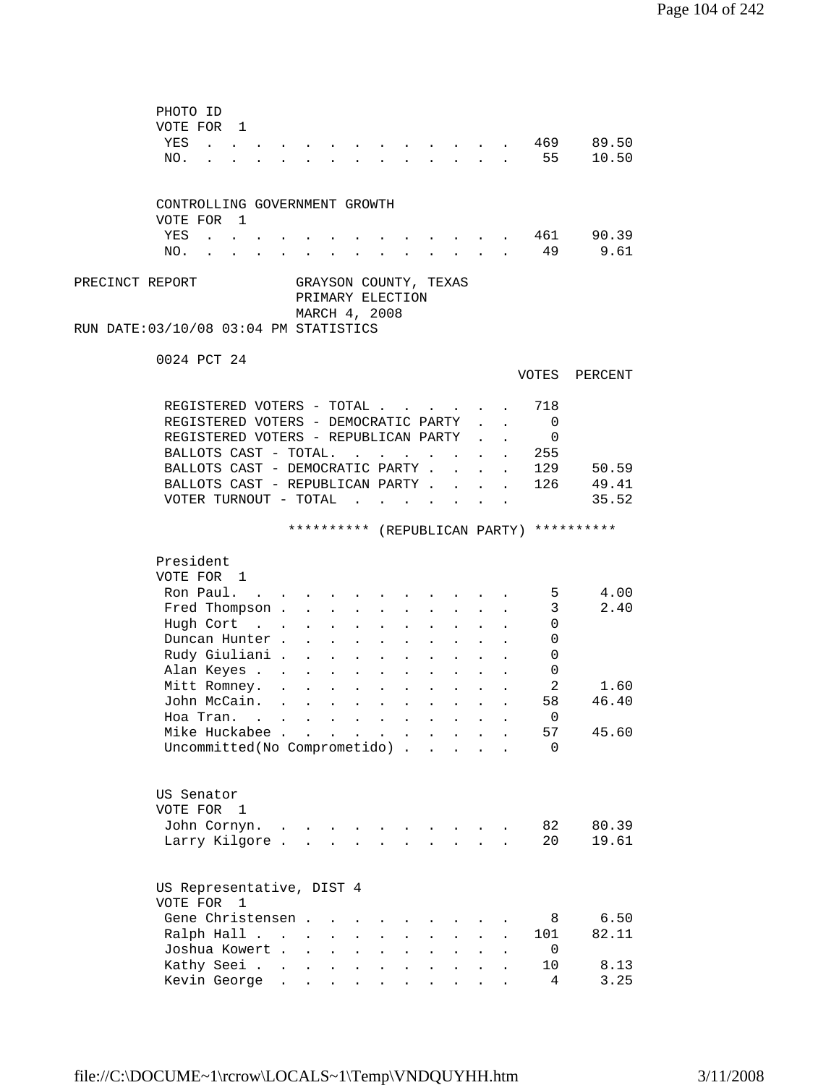|                 | PHOTO ID<br>VOTE FOR 1<br>YES<br><b>Contract Contract Contract</b><br>NO.                                                                                                                                                                   |                                                                         |                                                                                                                |                                                                                                                      |                                                                                    | $\mathbf{r}$                                                                                                                     | $\sim$ $\sim$                                                                                             | $\ddot{\phantom{1}}$ |              | 55                                                         | 469 89.50<br>10.50                       |
|-----------------|---------------------------------------------------------------------------------------------------------------------------------------------------------------------------------------------------------------------------------------------|-------------------------------------------------------------------------|----------------------------------------------------------------------------------------------------------------|----------------------------------------------------------------------------------------------------------------------|------------------------------------------------------------------------------------|----------------------------------------------------------------------------------------------------------------------------------|-----------------------------------------------------------------------------------------------------------|----------------------|--------------|------------------------------------------------------------|------------------------------------------|
|                 | CONTROLLING GOVERNMENT GROWTH                                                                                                                                                                                                               |                                                                         |                                                                                                                |                                                                                                                      |                                                                                    |                                                                                                                                  |                                                                                                           |                      |              |                                                            |                                          |
|                 | VOTE FOR 1<br>YES<br>$\mathbf{r}$ , $\mathbf{r}$ , $\mathbf{r}$<br>NO.<br><b>Contract Contract Contract</b><br>$\sim$                                                                                                                       |                                                                         | and a series of the series of the series of the series of the series of the series of the series of the series |                                                                                                                      |                                                                                    |                                                                                                                                  |                                                                                                           |                      |              | 461                                                        | 90.39<br>49 9.61                         |
| PRECINCT REPORT | RUN DATE:03/10/08 03:04 PM STATISTICS                                                                                                                                                                                                       |                                                                         | GRAYSON COUNTY, TEXAS<br>PRIMARY ELECTION<br>MARCH 4, 2008                                                     |                                                                                                                      |                                                                                    |                                                                                                                                  |                                                                                                           |                      |              |                                                            |                                          |
|                 | 0024 PCT 24                                                                                                                                                                                                                                 |                                                                         |                                                                                                                |                                                                                                                      |                                                                                    |                                                                                                                                  |                                                                                                           |                      |              |                                                            | VOTES PERCENT                            |
|                 | REGISTERED VOTERS - TOTAL<br>REGISTERED VOTERS - DEMOCRATIC PARTY<br>REGISTERED VOTERS - REPUBLICAN PARTY<br>BALLOTS CAST - TOTAL.<br>BALLOTS CAST - DEMOCRATIC PARTY .<br>BALLOTS CAST - REPUBLICAN PARTY<br>VOTER TURNOUT - TOTAL $\cdot$ |                                                                         |                                                                                                                |                                                                                                                      |                                                                                    |                                                                                                                                  | $\mathbf{L}$                                                                                              | $\mathbf{r}$         | $\mathbf{r}$ | 718<br>$\overline{0}$<br>$\mathbf{0}$<br>255<br>129<br>126 | 50.59<br>49.41<br>35.52                  |
|                 |                                                                                                                                                                                                                                             |                                                                         |                                                                                                                |                                                                                                                      |                                                                                    |                                                                                                                                  |                                                                                                           |                      |              |                                                            | ********** (REPUBLICAN PARTY) ********** |
|                 | President<br>VOTE FOR 1<br>Ron Paul.<br>Fred Thompson<br>Hugh Cort<br>Duncan Hunter.<br>Rudy Giuliani .<br>Alan Keyes                                                                                                                       | $\mathbf{L}$<br>$\mathbf{L}$<br>$\mathbf{L}^{\text{max}}$<br>$\sim 100$ | $\sim$<br>$\mathbf{L}$<br>$\sim$<br>$\ddot{\phantom{a}}$<br>$\sim$ 100 $\sim$<br>$\bullet$<br>$\bullet$        | $\sim$<br>$\ddot{\phantom{a}}$<br>$\sim 10^{-11}$<br>$\mathbf{L} = \mathbf{0}$<br>$\sim$ $-$<br>$\ddot{\phantom{0}}$ | $\sim$<br>$\ddot{\phantom{a}}$<br>$\ddot{\phantom{a}}$<br>$\bullet$<br>$\bullet$   | $\mathbf{L}$<br>$\ddot{\phantom{a}}$<br>$\bullet$ .<br><br><br><br><br><br><br><br><br><br><br><br><br>$\mathbf{a} = \mathbf{a}$ | $\mathcal{L}^{\text{max}}$<br>$\mathbf{L}$<br>$\bullet$ .<br><br><br><br><br><br><br><br><br><br><br><br> | $\mathbf{r}$         |              | 5 <sub>5</sub><br>3<br>0<br>0<br>0<br>0                    | 4.00<br>2.40                             |
|                 | Mitt Romney. .<br>John McCain.<br>Hoa Tran. $\ldots$<br>Mike Huckabee<br>Uncommitted(No Comprometido).                                                                                                                                      | $\sim 10^{-11}$                                                         | $\ddot{\phantom{a}}$<br>$\Delta \sim 10^{-11}$<br>$\sim$                                                       | $\sim 100$<br>$\mathbf{L}^{\text{max}}$<br>$\sim$ $-$                                                                | $\blacksquare$<br>$\mathbf{r} = \mathbf{r} + \mathbf{r} + \mathbf{r}$<br>$\bullet$ | $\bullet$<br>$\sim$                                                                                                              | $\mathbf{L}$                                                                                              | $\sim$               |              | 2<br>58<br>$\overline{0}$<br>57<br>$\Omega$                | 1.60<br>46.40<br>45.60                   |
|                 | US Senator<br>VOTE FOR 1<br>John Cornyn.<br>Larry Kilgore.                                                                                                                                                                                  | $\ddot{\phantom{a}}$                                                    |                                                                                                                |                                                                                                                      |                                                                                    |                                                                                                                                  |                                                                                                           |                      |              | 82<br>20                                                   | 80.39<br>19.61                           |
|                 | US Representative, DIST 4<br>VOTE FOR<br>1<br>Gene Christensen.<br>Ralph Hall<br>Joshua Kowert .<br>Kathy Seei<br>Kevin George                                                                                                              | $\sim$<br>$\sim$<br>$\bullet$<br>$\ddot{\phantom{a}}$                   | $\mathbf{L}^{\text{max}}$<br>$\ddot{\phantom{a}}$<br>$\mathbf{L}^{\text{max}}$<br>$\bullet$                    | $\ddot{\phantom{0}}$<br>$\ddot{\phantom{0}}$                                                                         |                                                                                    |                                                                                                                                  |                                                                                                           |                      |              | 8<br>101<br>0<br>10<br>4                                   | 6.50<br>82.11<br>8.13<br>3.25            |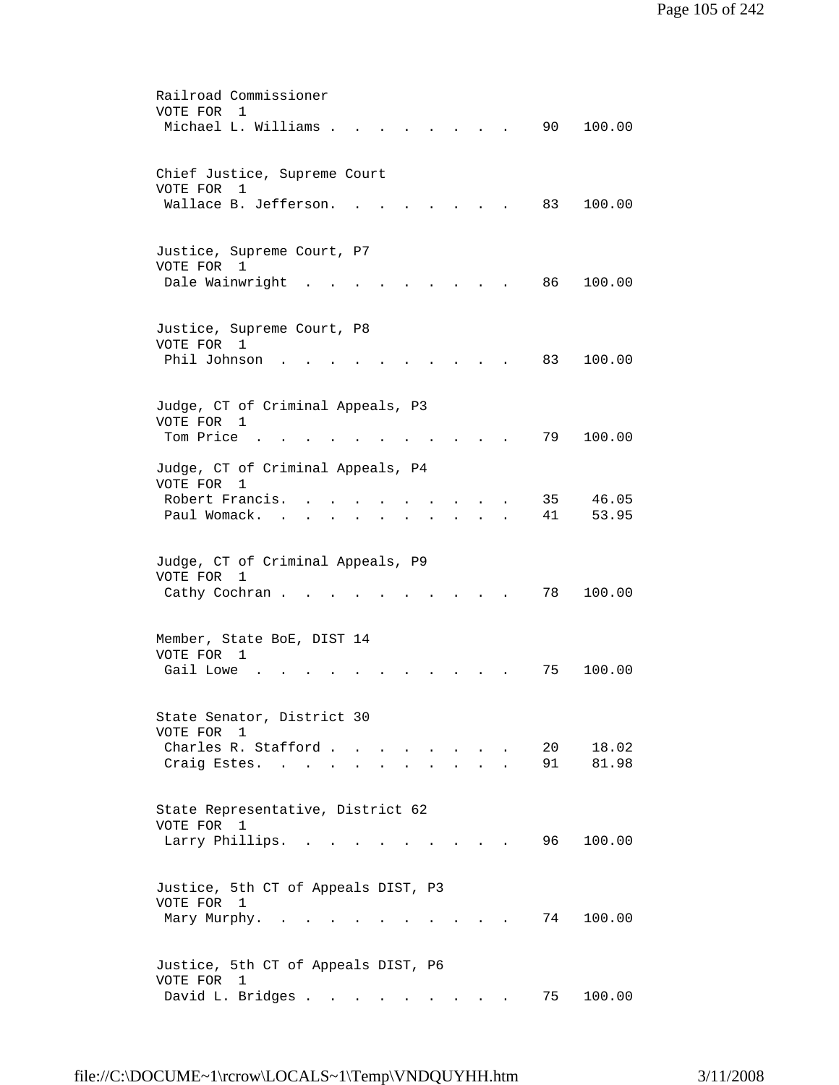| Railroad Commissioner                                                                                                           |
|---------------------------------------------------------------------------------------------------------------------------------|
| VOTE FOR<br>1                                                                                                                   |
| Michael L. Williams .<br>90<br>100.00                                                                                           |
|                                                                                                                                 |
|                                                                                                                                 |
| Chief Justice, Supreme Court                                                                                                    |
| VOTE FOR<br>1                                                                                                                   |
| Wallace B. Jefferson.<br>83<br>100.00                                                                                           |
|                                                                                                                                 |
|                                                                                                                                 |
| Justice, Supreme Court, P7                                                                                                      |
| VOTE FOR 1                                                                                                                      |
| Dale Wainwright<br>86 —<br>100.00                                                                                               |
|                                                                                                                                 |
|                                                                                                                                 |
| Justice, Supreme Court, P8                                                                                                      |
| VOTE FOR 1                                                                                                                      |
| Phil Johnson<br>83<br>100.00                                                                                                    |
|                                                                                                                                 |
|                                                                                                                                 |
|                                                                                                                                 |
| Judge, CT of Criminal Appeals, P3<br>VOTE FOR                                                                                   |
| 1<br>Tom Price.<br>79<br>100.00                                                                                                 |
|                                                                                                                                 |
| Judge, CT of Criminal Appeals, P4                                                                                               |
| VOTE FOR                                                                                                                        |
| 1                                                                                                                               |
| Robert Francis.<br>35<br>46.05                                                                                                  |
| Paul Womack.<br>41<br>53.95                                                                                                     |
|                                                                                                                                 |
|                                                                                                                                 |
| Judge, CT of Criminal Appeals, P9                                                                                               |
| VOTE FOR<br>1                                                                                                                   |
| Cathy Cochran.<br>78<br>100.00                                                                                                  |
|                                                                                                                                 |
|                                                                                                                                 |
| Member, State BoE, DIST 14                                                                                                      |
| VOTE FOR<br>1                                                                                                                   |
| Gail Lowe<br>100.00<br>75                                                                                                       |
|                                                                                                                                 |
|                                                                                                                                 |
| State Senator, District 30                                                                                                      |
| VOTE FOR<br>1                                                                                                                   |
| Charles R. Stafford<br>20<br>18.02                                                                                              |
| Craig Estes. .<br>91<br>81.98                                                                                                   |
|                                                                                                                                 |
|                                                                                                                                 |
| State Representative, District 62                                                                                               |
| VOTE FOR 1                                                                                                                      |
| 96<br>100.00<br>Larry Phillips.<br>$\sim$ $\sim$                                                                                |
|                                                                                                                                 |
|                                                                                                                                 |
| Justice, 5th CT of Appeals DIST, P3                                                                                             |
| VOTE FOR 1                                                                                                                      |
| Mary Murphy.<br>74<br>100.00                                                                                                    |
|                                                                                                                                 |
|                                                                                                                                 |
| Justice, 5th CT of Appeals DIST, P6                                                                                             |
| VOTE FOR 1                                                                                                                      |
| David L. Bridges<br>100.00<br>75<br>$\sim$<br>$\ddot{\phantom{a}}$<br>$\mathbf{r}$ , $\mathbf{r}$ , $\mathbf{r}$ , $\mathbf{r}$ |
|                                                                                                                                 |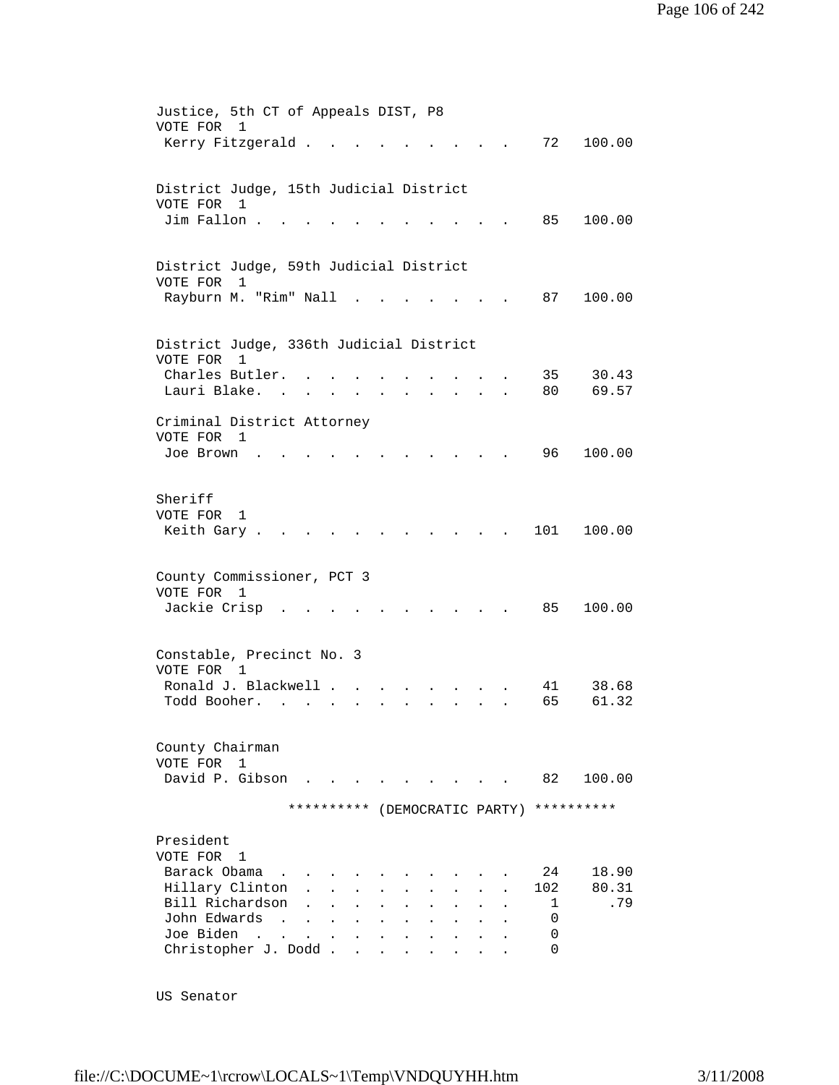| VOTE FOR 1                         | Justice, 5th CT of Appeals DIST, P8<br>Kerry Fitzgerald                             |                                                                                                     |                                                    | 72                 | 100.00                |
|------------------------------------|-------------------------------------------------------------------------------------|-----------------------------------------------------------------------------------------------------|----------------------------------------------------|--------------------|-----------------------|
| VOTE FOR 1<br>Jim Fallon.          | District Judge, 15th Judicial District                                              |                                                                                                     |                                                    | 85                 | 100.00                |
|                                    | District Judge, 59th Judicial District                                              |                                                                                                     |                                                    |                    |                       |
| VOTE FOR 1                         | Rayburn M. "Rim" Nall                                                               |                                                                                                     |                                                    | 87                 | 100.00                |
| VOTE FOR 1                         | District Judge, 336th Judicial District                                             |                                                                                                     |                                                    |                    |                       |
| Charles Butler.<br>Lauri Blake.    |                                                                                     |                                                                                                     |                                                    | 35<br>80           | 30.43<br>69.57        |
| VOTE FOR 1<br>Joe Brown            | Criminal District Attorney                                                          |                                                                                                     |                                                    | 96 —               | 100.00                |
| Sheriff<br>VOTE FOR<br>Keith Gary. | 1                                                                                   |                                                                                                     |                                                    | 101                | 100.00                |
| VOTE FOR 1<br>Jackie Crisp         | County Commissioner, PCT 3                                                          |                                                                                                     |                                                    | 85                 | 100.00                |
|                                    | Constable, Precinct No. 3                                                           |                                                                                                     |                                                    |                    |                       |
| VOTE FOR<br>Todd Booher.           | 1<br>Ronald J. Blackwell .                                                          |                                                                                                     |                                                    | 41<br>65           | 38.68<br>61.32        |
| County Chairman<br>VOTE FOR        | 1<br>David P. Gibson                                                                |                                                                                                     | <b>The Committee Committee Committee Committee</b> | 82                 | 100.00                |
|                                    |                                                                                     | ********** (DEMOCRATIC PARTY)                                                                       |                                                    |                    | **********            |
| President<br>VOTE FOR              | $\mathbf{1}$                                                                        |                                                                                                     |                                                    |                    |                       |
| Barack Obama                       | Hillary Clinton<br>Bill Richardson                                                  |                                                                                                     |                                                    | 24<br>102<br>1     | 18.90<br>80.31<br>.79 |
| John Edwards<br>Joe Biden          | $\sim$<br>$\ddot{\phantom{a}}$<br><b>Contract</b><br>$\sim$<br>Christopher J. Dodd. | $\ddot{\phantom{a}}$<br>$\ddot{\phantom{0}}$<br>$\mathbf{z} = \mathbf{z} + \mathbf{z}$<br>$\bullet$ |                                                    | $\Omega$<br>0<br>0 |                       |

US Senator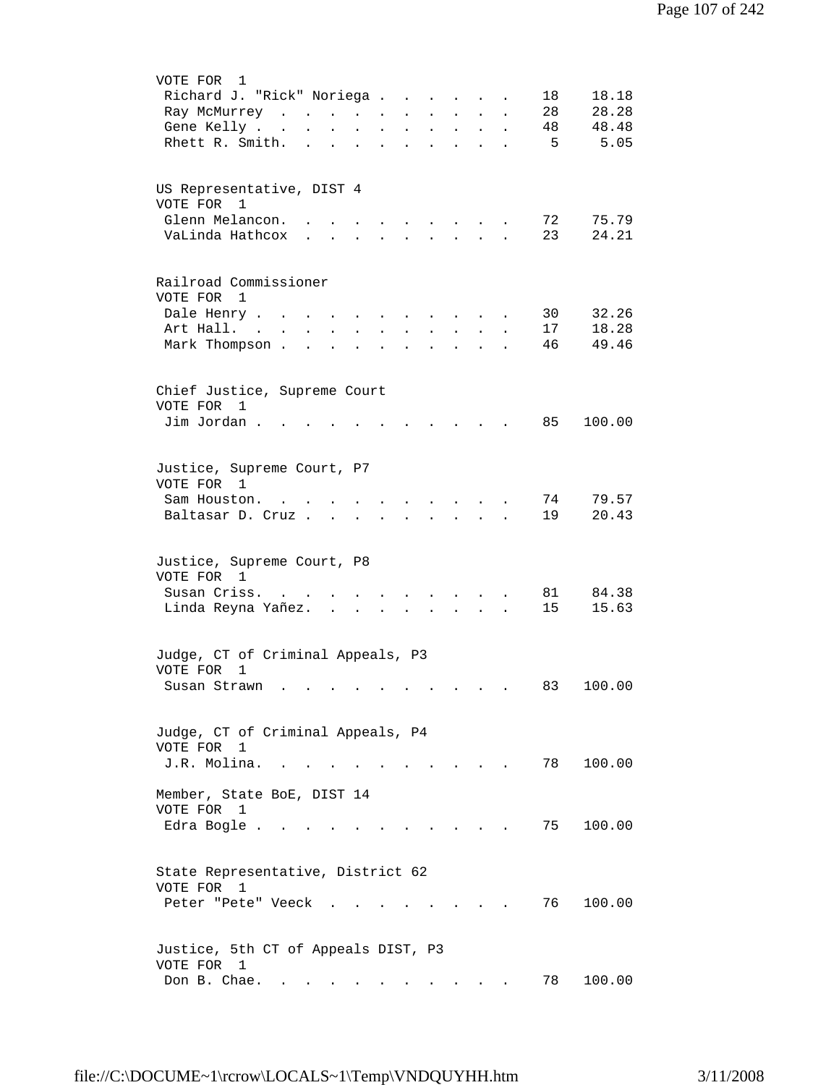| VOTE FOR<br>1                                                                                                                                                                  |
|--------------------------------------------------------------------------------------------------------------------------------------------------------------------------------|
| Richard J. "Rick" Noriega<br>18.18<br>18                                                                                                                                       |
| 28<br>28.28<br>Ray McMurrey<br>$\mathbf{r} = \mathbf{r} + \mathbf{r}$<br>$\mathbf{L}$                                                                                          |
| 48<br>48.48<br>Gene Kelly<br>$\mathbf{L}^{\text{max}}$<br>$\bullet$<br>$\blacksquare$<br>$\ddot{\phantom{0}}$<br>$\ddot{\phantom{0}}$<br>$\bullet$<br>$\bullet$                |
| 5.05<br>Rhett R. Smith.<br>- 5<br>$\ddot{\phantom{a}}$<br>$\ddot{\phantom{a}}$<br>$\ddot{\phantom{a}}$<br>$\ddot{\phantom{a}}$<br>$\ddot{\phantom{a}}$<br>$\ddot{\phantom{a}}$ |
|                                                                                                                                                                                |
|                                                                                                                                                                                |
| US Representative, DIST 4                                                                                                                                                      |
| VOTE FOR 1                                                                                                                                                                     |
| Glenn Melancon.<br>72<br>75.79<br>$\ddot{\phantom{a}}$<br>$\sim$ $\sim$ $\sim$ $\sim$                                                                                          |
| VaLinda Hathcox<br>23<br>24.21<br>$\mathbf{r}$<br>$\ddot{\phantom{a}}$<br>$\mathbf{L}$<br>$\mathbf{A}$                                                                         |
|                                                                                                                                                                                |
|                                                                                                                                                                                |
| Railroad Commissioner                                                                                                                                                          |
| VOTE FOR 1                                                                                                                                                                     |
| 32.26<br>Dale Henry<br>30                                                                                                                                                      |
| $\ddot{\phantom{0}}$<br>$\ddot{\phantom{1}}$<br>18.28<br>Art Hall. .<br>17                                                                                                     |
| $\ddot{\phantom{a}}$<br>49.46                                                                                                                                                  |
| Mark Thompson.<br>46<br>$\ddot{\phantom{a}}$                                                                                                                                   |
|                                                                                                                                                                                |
|                                                                                                                                                                                |
| Chief Justice, Supreme Court                                                                                                                                                   |
| VOTE FOR<br>1                                                                                                                                                                  |
| Jim Jordan.<br>85<br>100.00                                                                                                                                                    |
|                                                                                                                                                                                |
|                                                                                                                                                                                |
| Justice, Supreme Court, P7                                                                                                                                                     |
| VOTE FOR 1                                                                                                                                                                     |
| 74<br>79.57<br>Sam Houston.<br>$\mathbf{L}$<br>$\sim$                                                                                                                          |
| 19<br>20.43<br>Baltasar D. Cruz<br>$\mathbf{L}$<br>$\mathbf{L}$                                                                                                                |
|                                                                                                                                                                                |
|                                                                                                                                                                                |
| Justice, Supreme Court, P8                                                                                                                                                     |
| VOTE FOR 1                                                                                                                                                                     |
| Susan Criss.<br>84.38<br>81                                                                                                                                                    |
| Linda Reyna Yañez.<br>15<br>15.63<br>$\sim$                                                                                                                                    |
|                                                                                                                                                                                |
|                                                                                                                                                                                |
| Judge, CT of Criminal Appeals, P3                                                                                                                                              |
| VOTE FOR<br>1                                                                                                                                                                  |
| 100.00<br>Susan Strawn<br>83                                                                                                                                                   |
|                                                                                                                                                                                |
|                                                                                                                                                                                |
| Judge, CT of Criminal Appeals, P4                                                                                                                                              |
| VOTE FOR<br>1                                                                                                                                                                  |
| J.R. Molina.<br>78<br>100.00                                                                                                                                                   |
|                                                                                                                                                                                |
| Member, State BoE, DIST 14                                                                                                                                                     |
| VOTE FOR 1                                                                                                                                                                     |
| 100.00<br>Edra Bogle<br>75                                                                                                                                                     |
|                                                                                                                                                                                |
|                                                                                                                                                                                |
| State Representative, District 62                                                                                                                                              |
| VOTE FOR 1                                                                                                                                                                     |
| 76<br>Peter "Pete" Veeck<br>100.00                                                                                                                                             |
|                                                                                                                                                                                |
|                                                                                                                                                                                |
|                                                                                                                                                                                |
| Justice, 5th CT of Appeals DIST, P3                                                                                                                                            |
| VOTE FOR 1                                                                                                                                                                     |
| Don B. Chae.<br>100.00<br>78<br>$\bullet$ .<br><br><br><br><br><br><br><br><br><br><br><br><br>$\sim$                                                                          |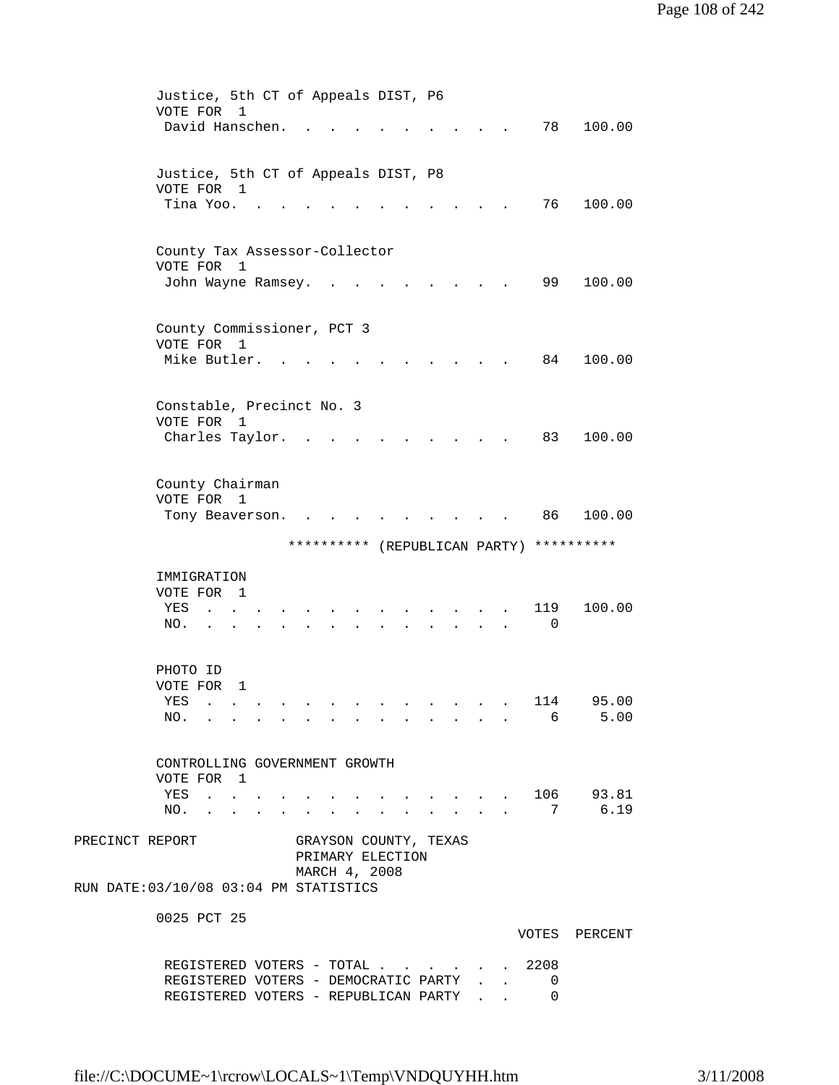|                 | Justice, 5th CT of Appeals DIST, P6<br>$\mathbf{1}$<br>VOTE FOR              |                                    |                                      |               |                     |
|-----------------|------------------------------------------------------------------------------|------------------------------------|--------------------------------------|---------------|---------------------|
|                 | David Hanschen.                                                              |                                    |                                      | 78            | 100.00              |
|                 | Justice, 5th CT of Appeals DIST, P8<br>VOTE FOR 1                            |                                    |                                      |               |                     |
|                 | Tina Yoo. .                                                                  |                                    |                                      | 76            | 100.00              |
|                 | County Tax Assessor-Collector<br>VOTE FOR<br>$\overline{1}$                  |                                    |                                      |               |                     |
|                 | John Wayne Ramsey.                                                           |                                    |                                      | 99            | 100.00              |
|                 | County Commissioner, PCT 3<br>VOTE FOR 1                                     |                                    |                                      |               |                     |
|                 | Mike Butler.                                                                 |                                    |                                      | 84            | 100.00              |
|                 | Constable, Precinct No. 3<br>VOTE FOR<br>1                                   |                                    |                                      |               |                     |
|                 | Charles Taylor.                                                              |                                    |                                      | 83            | 100.00              |
|                 | County Chairman<br>VOTE FOR 1                                                |                                    |                                      |               |                     |
|                 | Tony Beaverson.                                                              |                                    |                                      | 86            | 100.00              |
|                 | ********** (REPUBLICAN PARTY)                                                |                                    |                                      |               | **********          |
|                 | IMMIGRATION                                                                  |                                    |                                      |               |                     |
|                 | VOTE FOR<br>$\overline{\phantom{0}}$<br>YES                                  |                                    |                                      | 119           | 100.00              |
|                 | NO.                                                                          |                                    |                                      | 0             |                     |
|                 | PHOTO ID<br>VOTE FOR<br>1                                                    |                                    |                                      |               |                     |
|                 | <b>YES</b><br>NO. 6                                                          |                                    |                                      | 114           | 95.00<br>5.00       |
|                 |                                                                              |                                    |                                      |               |                     |
|                 | CONTROLLING GOVERNMENT GROWTH<br>VOTE FOR 1                                  |                                    |                                      |               |                     |
|                 | YES .<br>NO.                                                                 | <b>Contract Contract</b><br>$\sim$ | $\mathcal{L}^{\text{max}}$<br>$\sim$ | 7             | . 106 93.81<br>6.19 |
| PRECINCT REPORT | GRAYSON COUNTY, TEXAS                                                        |                                    |                                      |               |                     |
|                 | PRIMARY ELECTION<br>MARCH 4, 2008<br>RUN DATE: 03/10/08 03:04 PM STATISTICS  |                                    |                                      |               |                     |
|                 | 0025 PCT 25                                                                  |                                    |                                      |               |                     |
|                 |                                                                              |                                    |                                      |               | VOTES PERCENT       |
|                 | REGISTERED VOTERS - TOTAL 2208                                               |                                    |                                      |               |                     |
|                 | REGISTERED VOTERS - DEMOCRATIC PARTY<br>REGISTERED VOTERS - REPUBLICAN PARTY |                                    |                                      | 0<br>$\Omega$ |                     |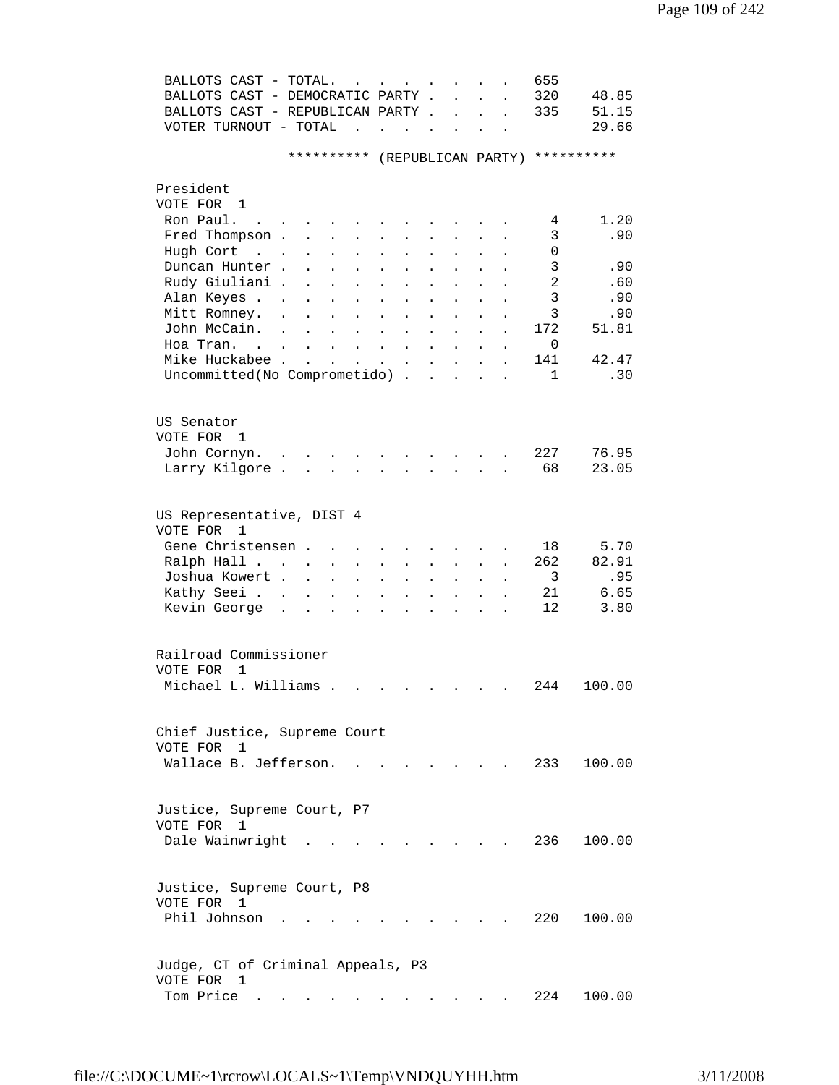| BALLOTS CAST - TOTAL.<br>BALLOTS CAST - DEMOCRATIC PARTY.<br>BALLOTS CAST - REPUBLICAN PARTY. |                                        |                                                                                             |                                   |                                   |                                                                                       |                      | $\mathbf{L}$ and $\mathbf{L}$<br>$\mathbf{L} = \mathbf{L} \mathbf{L}$ | $\ddot{\phantom{a}}$<br>$\ddot{\phantom{a}}$ | 655<br>320<br>335                        | 48.85<br>51.15 |
|-----------------------------------------------------------------------------------------------|----------------------------------------|---------------------------------------------------------------------------------------------|-----------------------------------|-----------------------------------|---------------------------------------------------------------------------------------|----------------------|-----------------------------------------------------------------------|----------------------------------------------|------------------------------------------|----------------|
| VOTER TURNOUT - TOTAL $\cdot \cdot \cdot \cdot$                                               |                                        |                                                                                             |                                   |                                   |                                                                                       |                      |                                                                       |                                              |                                          | 29.66          |
|                                                                                               |                                        |                                                                                             |                                   |                                   |                                                                                       |                      |                                                                       |                                              | ********** (REPUBLICAN PARTY) ********** |                |
| President                                                                                     |                                        |                                                                                             |                                   |                                   |                                                                                       |                      |                                                                       |                                              |                                          |                |
| VOTE FOR 1<br>Ron Paul.                                                                       |                                        |                                                                                             |                                   |                                   |                                                                                       |                      |                                                                       |                                              |                                          | 1.20           |
| $\sim$ 100 $\sim$<br>Fred Thompson .                                                          |                                        | $\mathbf{r} = \mathbf{r} + \mathbf{r} + \mathbf{r} + \mathbf{r}$                            |                                   |                                   | $\cdot$ $\cdot$ $\cdot$                                                               |                      |                                                                       |                                              | 4<br>3                                   | .90            |
| Hugh Cort                                                                                     | $\mathbf{z} = \mathbf{z}$<br>$\bullet$ | $\mathbf{L}^{\text{max}}$<br>$\mathbf{z} = \mathbf{z}$<br>$\bullet$<br>$\ddot{\phantom{a}}$ | $\bullet$<br>$\ddot{\phantom{0}}$ | $\bullet$<br>$\ddot{\phantom{0}}$ | $\sim 100$                                                                            |                      |                                                                       |                                              | 0                                        |                |
| Duncan Hunter.                                                                                |                                        |                                                                                             |                                   | $\ddot{\phantom{0}}$              |                                                                                       |                      |                                                                       |                                              | 3                                        | .90            |
| Rudy Giuliani .                                                                               | $\ddot{\phantom{a}}$                   | $\ddot{\phantom{a}}$<br>$\ddot{\phantom{a}}$                                                | $\ddot{\phantom{a}}$              |                                   |                                                                                       |                      |                                                                       |                                              | 2                                        | .60            |
| Alan Keyes                                                                                    |                                        | $\ddot{\phantom{a}}$<br>$\ddot{\phantom{a}}$                                                | $\ddot{\phantom{a}}$              | $\ddot{\phantom{a}}$              |                                                                                       |                      |                                                                       |                                              | 3                                        | .90            |
| Mitt Romney.                                                                                  | $\ddot{\phantom{a}}$<br>$\mathbf{A}$   | $\ddot{\phantom{a}}$<br>$\mathbf{L}$                                                        | $\ddot{\phantom{0}}$              | $\ddot{\phantom{a}}$              | $\ddot{\phantom{a}}$                                                                  | $\ddot{\phantom{a}}$ | $\ddot{\phantom{a}}$                                                  |                                              | 3                                        | .90            |
| John McCain. .                                                                                | <b>Contract</b>                        | $\sim 100$ km s $^{-1}$<br>$\ddot{\phantom{a}}$                                             | $\ddot{\phantom{a}}$              | $\ddot{\phantom{a}}$              | $\sim$ 100 $\sim$                                                                     | $\mathbf{L}$         |                                                                       |                                              | 172                                      | 51.81          |
| Hoa Tran.                                                                                     |                                        |                                                                                             |                                   |                                   | $\mathbf{r}$ , $\mathbf{r}$ , $\mathbf{r}$                                            |                      | $\ddot{\phantom{a}}$                                                  |                                              | 0                                        |                |
| Mike Huckabee                                                                                 |                                        | and a strong control of the state of the                                                    |                                   |                                   |                                                                                       |                      |                                                                       | $\ddot{\phantom{a}}$                         | 141                                      | 42.47          |
| Uncommitted(No Comprometido)                                                                  |                                        |                                                                                             |                                   |                                   |                                                                                       |                      |                                                                       | $\ddot{\phantom{a}}$                         | $\mathbf{1}$                             | .30            |
|                                                                                               |                                        |                                                                                             |                                   |                                   |                                                                                       |                      |                                                                       |                                              |                                          |                |
|                                                                                               |                                        |                                                                                             |                                   |                                   |                                                                                       |                      |                                                                       |                                              |                                          |                |
| US Senator<br>VOTE FOR 1                                                                      |                                        |                                                                                             |                                   |                                   |                                                                                       |                      |                                                                       |                                              |                                          |                |
| John Cornyn.                                                                                  |                                        |                                                                                             |                                   |                                   |                                                                                       |                      |                                                                       |                                              | 227                                      | 76.95          |
| Larry Kilgore.                                                                                |                                        | $\mathbf{r}$ , and $\mathbf{r}$ , and $\mathbf{r}$ , and $\mathbf{r}$ , and $\mathbf{r}$    |                                   |                                   |                                                                                       |                      |                                                                       |                                              | 68                                       | 23.05          |
|                                                                                               |                                        |                                                                                             |                                   |                                   |                                                                                       |                      |                                                                       |                                              |                                          |                |
| US Representative, DIST 4<br>VOTE FOR<br>$\overline{1}$                                       |                                        |                                                                                             |                                   |                                   |                                                                                       |                      |                                                                       |                                              |                                          |                |
| Gene Christensen                                                                              |                                        |                                                                                             |                                   |                                   |                                                                                       |                      |                                                                       |                                              | 18                                       | 5.70           |
| Ralph Hall                                                                                    |                                        |                                                                                             |                                   |                                   |                                                                                       |                      |                                                                       |                                              | 262                                      | 82.91          |
| Joshua Kowert .                                                                               | $\sim 100$<br>$\sim$                   | $\ddot{\phantom{a}}$<br>$\mathbf{L}^{\text{max}}$                                           |                                   | $\ddot{\phantom{a}}$              | $\ddot{\phantom{0}}$                                                                  |                      | $\mathbf{L}^{\text{max}}$                                             |                                              | $\overline{\mathbf{3}}$                  | .95            |
| Kathy Seei                                                                                    | $\sim$ $\sim$                          | $\ddot{\phantom{0}}$<br>$\ddot{\phantom{a}}$                                                | $\ddot{\phantom{a}}$              | $\ddot{\phantom{a}}$              | $\ddot{\phantom{a}}$                                                                  |                      |                                                                       |                                              | 21                                       | 6.65           |
| Kevin George<br>$\sim$                                                                        | $\ddot{\phantom{a}}$                   | $\mathbf{L}$<br>$\ddot{\phantom{a}}$<br>$\ddot{\phantom{a}}$                                | $\ddot{\phantom{0}}$              | $\ddot{\phantom{a}}$              | <b>Contract Contract</b><br>$\mathbf{r}$ , $\mathbf{r}$ , $\mathbf{r}$ , $\mathbf{r}$ | $\cdot$ $\cdot$      |                                                                       |                                              | 12 <sup>°</sup>                          | 3.80           |
|                                                                                               |                                        |                                                                                             |                                   |                                   |                                                                                       |                      |                                                                       |                                              |                                          |                |
|                                                                                               |                                        |                                                                                             |                                   |                                   |                                                                                       |                      |                                                                       |                                              |                                          |                |
| Railroad Commissioner<br>VOTE FOR 1                                                           |                                        |                                                                                             |                                   |                                   |                                                                                       |                      |                                                                       |                                              |                                          |                |
| Michael L. Williams .                                                                         |                                        |                                                                                             |                                   |                                   |                                                                                       |                      |                                                                       |                                              |                                          | 244 100.00     |
|                                                                                               |                                        |                                                                                             |                                   |                                   |                                                                                       |                      |                                                                       |                                              |                                          |                |
|                                                                                               |                                        |                                                                                             |                                   |                                   |                                                                                       |                      |                                                                       |                                              |                                          |                |
| Chief Justice, Supreme Court<br>VOTE FOR 1                                                    |                                        |                                                                                             |                                   |                                   |                                                                                       |                      |                                                                       |                                              |                                          |                |
| Wallace B. Jefferson.                                                                         |                                        |                                                                                             |                                   |                                   |                                                                                       |                      |                                                                       |                                              | 233                                      | 100.00         |
|                                                                                               |                                        |                                                                                             |                                   |                                   |                                                                                       |                      |                                                                       |                                              |                                          |                |
|                                                                                               |                                        |                                                                                             |                                   |                                   |                                                                                       |                      |                                                                       |                                              |                                          |                |
| Justice, Supreme Court, P7                                                                    |                                        |                                                                                             |                                   |                                   |                                                                                       |                      |                                                                       |                                              |                                          |                |
| VOTE FOR 1                                                                                    |                                        |                                                                                             |                                   |                                   |                                                                                       |                      |                                                                       |                                              |                                          |                |
| Dale Wainwright                                                                               |                                        |                                                                                             |                                   |                                   |                                                                                       |                      |                                                                       |                                              | 236                                      | 100.00         |
|                                                                                               |                                        |                                                                                             |                                   |                                   |                                                                                       |                      |                                                                       |                                              |                                          |                |
|                                                                                               |                                        |                                                                                             |                                   |                                   |                                                                                       |                      |                                                                       |                                              |                                          |                |
| Justice, Supreme Court, P8                                                                    |                                        |                                                                                             |                                   |                                   |                                                                                       |                      |                                                                       |                                              |                                          |                |
| VOTE FOR 1                                                                                    |                                        |                                                                                             |                                   |                                   |                                                                                       |                      |                                                                       |                                              |                                          |                |
| Phil Johnson                                                                                  |                                        |                                                                                             |                                   |                                   |                                                                                       |                      |                                                                       |                                              | 220                                      | 100.00         |
|                                                                                               |                                        |                                                                                             |                                   |                                   |                                                                                       |                      |                                                                       |                                              |                                          |                |
|                                                                                               |                                        |                                                                                             |                                   |                                   |                                                                                       |                      |                                                                       |                                              |                                          |                |
| Judge, CT of Criminal Appeals, P3                                                             |                                        |                                                                                             |                                   |                                   |                                                                                       |                      |                                                                       |                                              |                                          |                |
| VOTE FOR 1                                                                                    |                                        |                                                                                             |                                   |                                   |                                                                                       |                      |                                                                       |                                              |                                          |                |
| Tom Price                                                                                     |                                        |                                                                                             |                                   |                                   |                                                                                       |                      |                                                                       |                                              | 224                                      | 100.00         |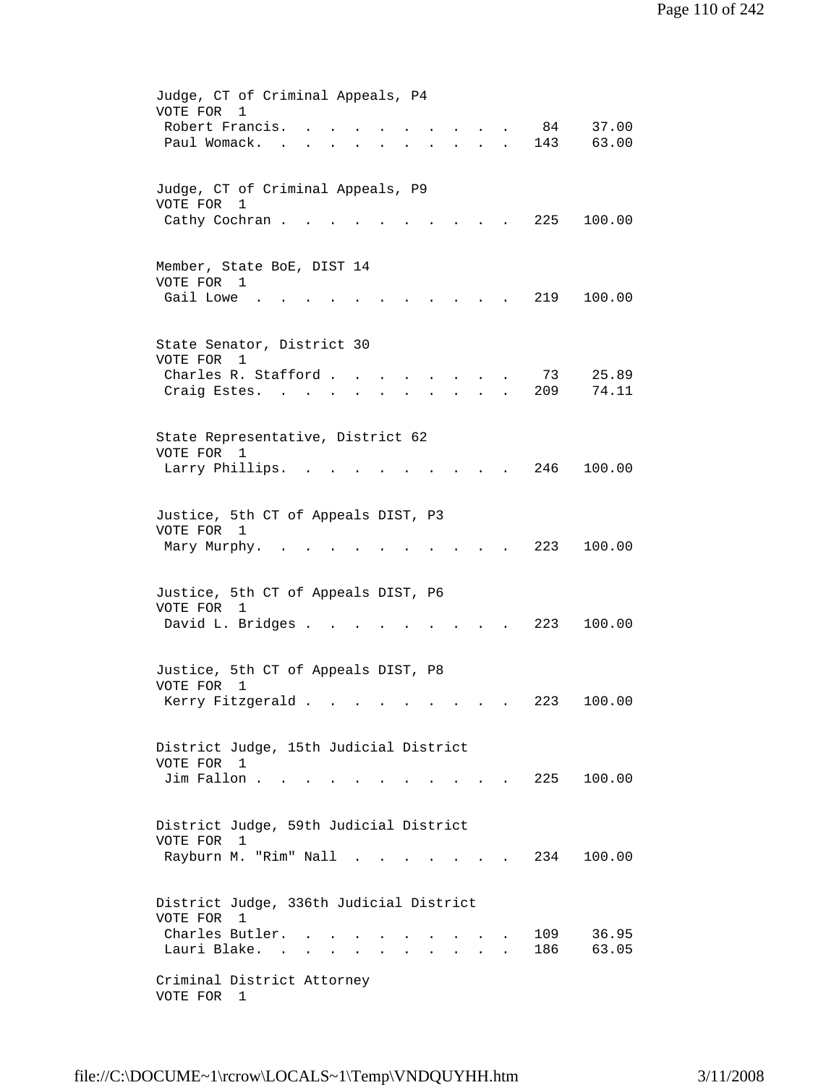| Judge, CT of Criminal Appeals, P4<br>VOTE FOR<br>$\mathbf{1}$<br>Robert Francis.<br>84<br>37.00<br>Paul Womack.<br>143<br>63.00<br>$\mathbf{r} = \mathbf{r} \cdot \mathbf{r}$<br>$\ddot{\phantom{0}}$<br>$\mathbf{r}$                                                                                                                    |
|------------------------------------------------------------------------------------------------------------------------------------------------------------------------------------------------------------------------------------------------------------------------------------------------------------------------------------------|
| Judge, CT of Criminal Appeals, P9<br>VOTE FOR<br>1<br>Cathy Cochran.<br>225<br>100.00                                                                                                                                                                                                                                                    |
| Member, State BoE, DIST 14<br>VOTE FOR 1<br>Gail Lowe<br>219<br>100.00                                                                                                                                                                                                                                                                   |
| State Senator, District 30<br>VOTE FOR 1<br>Charles R. Stafford<br>25.89<br>73<br>209<br>74.11<br>Craig Estes. .                                                                                                                                                                                                                         |
| State Representative, District 62<br>VOTE FOR<br>1<br>246<br>100.00<br>Larry Phillips.                                                                                                                                                                                                                                                   |
| Justice, 5th CT of Appeals DIST, P3<br>VOTE FOR 1<br>223<br>Mary Murphy.<br>100.00                                                                                                                                                                                                                                                       |
| Justice, 5th CT of Appeals DIST, P6<br>VOTE FOR 1<br>David L. Bridges .<br>223<br>100.00                                                                                                                                                                                                                                                 |
| Justice, 5th CT of Appeals DIST, P8<br>VOTE FOR 1<br>Kerry Fitzgerald<br>100.00<br>223                                                                                                                                                                                                                                                   |
| District Judge, 15th Judicial District<br>VOTE FOR 1<br>Jim Fallon<br>225<br>100.00<br>the contract of the contract of the con-                                                                                                                                                                                                          |
| District Judge, 59th Judicial District<br>VOTE FOR<br>1<br>Rayburn M. "Rim" Nall<br>234<br>100.00                                                                                                                                                                                                                                        |
| District Judge, 336th Judicial District<br>VOTE FOR 1<br>Charles Butler.<br>36.95<br>109<br>the contract of the contract of the contract of the contract of the contract of the contract of the contract of<br>Lauri Blake.<br>and a series of the contract of the<br>186<br>63.05<br>$\sim$<br>Criminal District Attorney<br>VOTE FOR 1 |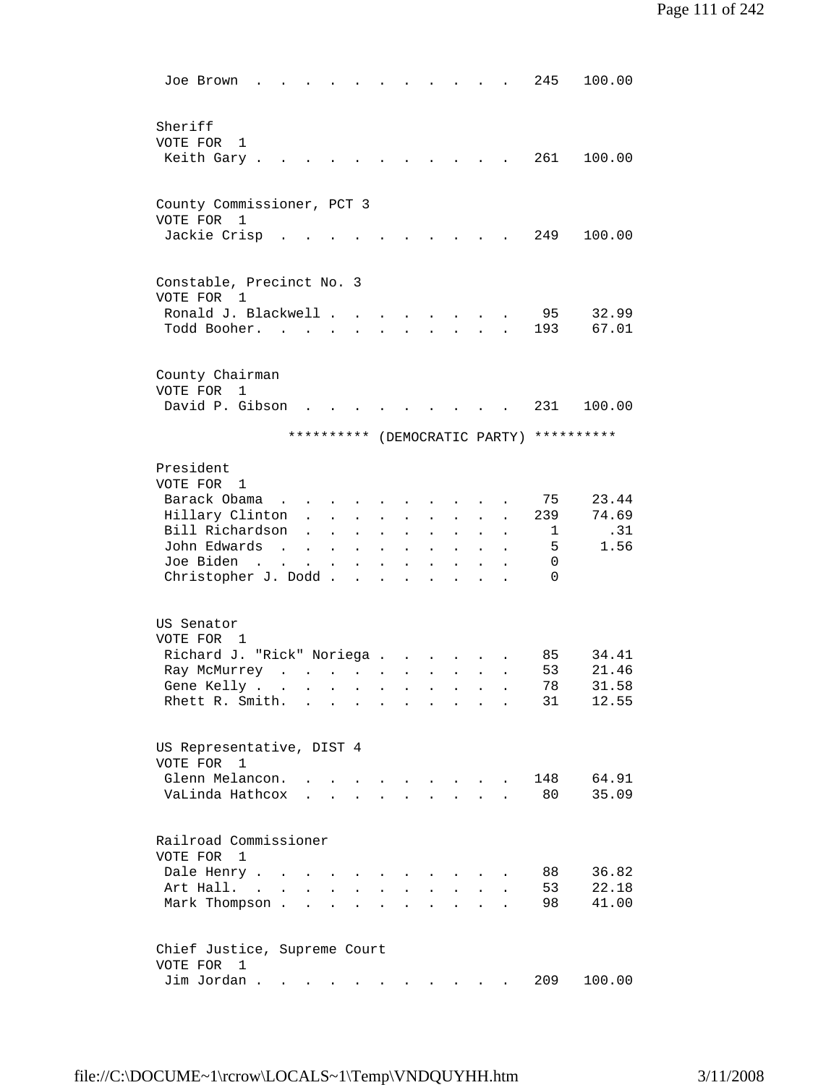| Joe Brown                                                            |                                                                                                                                                                                                                                   |                      |                                                         |                      |                           |                      |                                          |                      | 245           | 100.00                        |
|----------------------------------------------------------------------|-----------------------------------------------------------------------------------------------------------------------------------------------------------------------------------------------------------------------------------|----------------------|---------------------------------------------------------|----------------------|---------------------------|----------------------|------------------------------------------|----------------------|---------------|-------------------------------|
| Sheriff<br>VOTE FOR<br>1<br>Keith Gary.                              |                                                                                                                                                                                                                                   |                      |                                                         |                      |                           |                      |                                          |                      | 261           | 100.00                        |
| County Commissioner, PCT 3<br>VOTE FOR 1                             |                                                                                                                                                                                                                                   |                      |                                                         |                      |                           |                      |                                          |                      |               |                               |
| Jackie Crisp                                                         |                                                                                                                                                                                                                                   |                      |                                                         |                      |                           |                      |                                          |                      | 249           | 100.00                        |
| Constable, Precinct No. 3<br>VOTE FOR<br>1                           |                                                                                                                                                                                                                                   |                      |                                                         |                      |                           |                      |                                          |                      |               |                               |
| Ronald J. Blackwell .<br>Todd Booher. .                              |                                                                                                                                                                                                                                   |                      | $\mathbf{r}$                                            |                      |                           |                      |                                          |                      | 95<br>193     | 32.99<br>67.01                |
| County Chairman<br>VOTE FOR<br>1                                     |                                                                                                                                                                                                                                   |                      |                                                         |                      |                           |                      |                                          |                      |               |                               |
| David P. Gibson                                                      |                                                                                                                                                                                                                                   |                      |                                                         |                      |                           |                      |                                          |                      | 231           | 100.00                        |
|                                                                      | **********                                                                                                                                                                                                                        |                      |                                                         |                      |                           |                      |                                          |                      |               | (DEMOCRATIC PARTY) ********** |
| President<br>VOTE FOR 1                                              |                                                                                                                                                                                                                                   |                      |                                                         |                      |                           |                      |                                          |                      |               |                               |
| Barack Obama                                                         |                                                                                                                                                                                                                                   |                      |                                                         |                      |                           |                      |                                          |                      | 75            | 23.44                         |
| Hillary Clinton                                                      | $\mathbf{L}$                                                                                                                                                                                                                      |                      | $\ddot{\phantom{0}}$                                    |                      |                           | $\sim$               |                                          |                      | 239           | 74.69                         |
| Bill Richardson                                                      | $\ddot{\phantom{a}}$                                                                                                                                                                                                              | $\ddot{\phantom{a}}$ | $\bullet$                                               | $\bullet$            | $\ddot{\phantom{0}}$      | $\ddot{\phantom{0}}$ |                                          | $\bullet$            | 1             | .31                           |
| John Edwards<br>$\sim$                                               | $\sim$                                                                                                                                                                                                                            | $\sim$               | $\mathbf{L}$                                            | $\ddot{\phantom{a}}$ | $\ddot{\phantom{0}}$      | $\ddot{\phantom{0}}$ |                                          |                      | 5             | 1.56                          |
| Joe Biden<br>$\mathcal{L}(\mathbf{z})$ and $\mathcal{L}(\mathbf{z})$ | $\ddot{\phantom{a}}$                                                                                                                                                                                                              | $\sim$ 100 $\pm$     | $\blacksquare$                                          | $\bullet$            |                           |                      |                                          |                      | 0<br>$\Omega$ |                               |
| Christopher J. Dodd                                                  |                                                                                                                                                                                                                                   |                      |                                                         |                      | $\ddot{\phantom{0}}$      |                      |                                          |                      |               |                               |
| US Senator<br>VOTE FOR 1                                             |                                                                                                                                                                                                                                   |                      |                                                         |                      |                           |                      |                                          |                      |               |                               |
| Richard J. "Rick" Noriega                                            |                                                                                                                                                                                                                                   |                      |                                                         |                      |                           |                      |                                          |                      | 85            | 34.41                         |
| Ray McMurrey                                                         | $\mathbf{r}$ . The set of the set of the set of the set of the set of the set of the set of the set of the set of the set of the set of the set of the set of the set of the set of the set of the set of the set of the set of t |                      |                                                         |                      | $\mathbf{z} = \mathbf{z}$ |                      | $\mathbf{z} = \mathbf{z} + \mathbf{z}$ . | $\ddot{\phantom{0}}$ | 53            | 21.46                         |
| Gene Kelly                                                           |                                                                                                                                                                                                                                   |                      |                                                         |                      |                           |                      |                                          |                      | 78            | 31.58                         |
| Rhett R. Smith.                                                      | $\mathbf{L}$                                                                                                                                                                                                                      |                      | $\sim$                                                  |                      |                           | $\ddot{\phantom{a}}$ |                                          |                      | 31            | 12.55                         |
| US Representative, DIST 4<br>VOTE FOR<br>$\overline{1}$              |                                                                                                                                                                                                                                   |                      |                                                         |                      |                           |                      |                                          |                      |               |                               |
| Glenn Melancon.                                                      |                                                                                                                                                                                                                                   |                      |                                                         |                      | $\mathbf{A}$              |                      | and the state of the state of the        |                      | 148           | 64.91                         |
| VaLinda Hathcox                                                      |                                                                                                                                                                                                                                   |                      | $\mathbf{r} = \mathbf{r}$ and $\mathbf{r} = \mathbf{r}$ |                      |                           | $\mathbf{r}$         |                                          |                      | 80            | 35.09                         |
| Railroad Commissioner<br>VOTE FOR<br>$\mathbf{1}$                    |                                                                                                                                                                                                                                   |                      |                                                         |                      |                           |                      |                                          |                      |               |                               |
| Dale Henry .<br>$\sim$                                               |                                                                                                                                                                                                                                   |                      |                                                         |                      |                           |                      |                                          |                      | 88            | 36.82                         |
| Art Hall. .                                                          |                                                                                                                                                                                                                                   |                      |                                                         |                      |                           |                      |                                          |                      | 53            | 22.18                         |
| Mark Thompson.                                                       | $\mathbf{r}$                                                                                                                                                                                                                      | $\overline{a}$       |                                                         |                      |                           |                      |                                          |                      | 98            | 41.00                         |
| Chief Justice, Supreme Court<br>VOTE FOR<br>1                        |                                                                                                                                                                                                                                   |                      |                                                         |                      |                           |                      |                                          |                      |               |                               |
| Jim Jordan                                                           |                                                                                                                                                                                                                                   |                      |                                                         |                      |                           |                      |                                          |                      | 209           | 100.00                        |
|                                                                      |                                                                                                                                                                                                                                   |                      |                                                         |                      |                           |                      |                                          |                      |               |                               |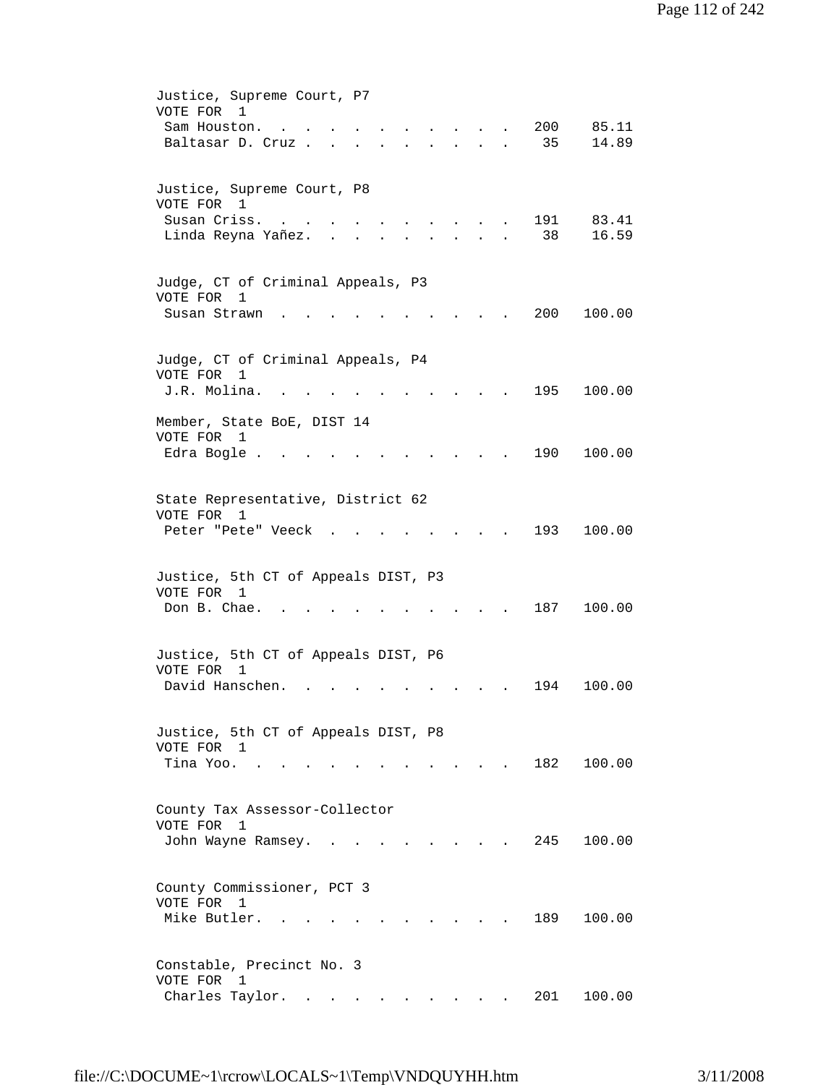| Justice, Supreme Court, P7<br>VOTE FOR 1<br>200<br>85.11<br>Sam Houston.<br>14.89<br>Baltasar D. Cruz.<br>35<br><b>Service</b> |  |
|--------------------------------------------------------------------------------------------------------------------------------|--|
| Justice, Supreme Court, P8<br>VOTE FOR 1<br>Susan Criss.<br>191<br>83.41<br>38<br>16.59<br>Linda Reyna Yañez.                  |  |
| Judge, CT of Criminal Appeals, P3<br>VOTE FOR<br>1<br>200<br>Susan Strawn<br>100.00                                            |  |
| Judge, CT of Criminal Appeals, P4<br>VOTE FOR 1<br>J.R. Molina.<br>195<br>100.00                                               |  |
| Member, State BoE, DIST 14<br>VOTE FOR<br>1<br>190<br>100.00<br>Edra Bogle.                                                    |  |
| State Representative, District 62<br>VOTE FOR 1<br>193<br>100.00<br>Peter "Pete" Veeck                                         |  |
| Justice, 5th CT of Appeals DIST, P3<br>VOTE FOR 1<br>Don B. Chae.<br>187<br>100.00                                             |  |
| Justice, 5th CT of Appeals DIST, P6<br>VOTE FOR 1<br>David Hanschen.<br>100.00<br>194                                          |  |
| Justice, 5th CT of Appeals DIST, P8<br>VOTE FOR 1<br>Tina Yoo.<br>182 100.00                                                   |  |
| County Tax Assessor-Collector<br>VOTE FOR<br>1<br>John Wayne Ramsey.<br>245<br>100.00                                          |  |
| County Commissioner, PCT 3<br>VOTE FOR 1<br>Mike Butler.<br>189<br>100.00                                                      |  |
| Constable, Precinct No. 3<br>VOTE FOR<br>$\mathbf{1}$<br>Charles Taylor.<br>201<br>100.00                                      |  |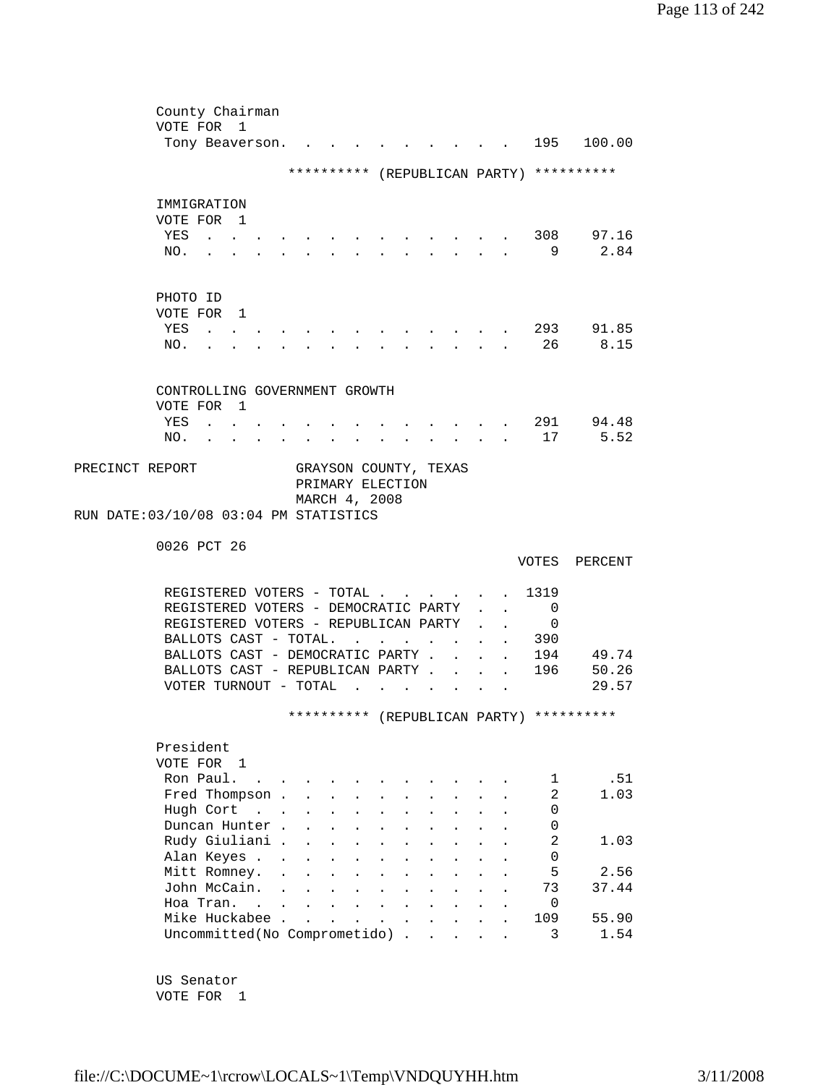|                                        |             | County Chairman                                              |                                  |                      |                                      |                                               |                      |                      |               |        |                           |                |                                          |
|----------------------------------------|-------------|--------------------------------------------------------------|----------------------------------|----------------------|--------------------------------------|-----------------------------------------------|----------------------|----------------------|---------------|--------|---------------------------|----------------|------------------------------------------|
|                                        | VOTE FOR 1  |                                                              |                                  |                      |                                      |                                               |                      |                      |               |        |                           |                |                                          |
|                                        |             | Tony Beaverson.                                              |                                  |                      |                                      |                                               |                      |                      |               |        |                           | 195            | 100.00                                   |
|                                        |             |                                                              |                                  |                      |                                      |                                               |                      |                      |               |        |                           |                |                                          |
|                                        |             |                                                              |                                  |                      |                                      |                                               |                      |                      |               |        |                           |                | ********** (REPUBLICAN PARTY) ********** |
|                                        |             |                                                              |                                  |                      |                                      |                                               |                      |                      |               |        |                           |                |                                          |
|                                        | IMMIGRATION |                                                              |                                  |                      |                                      |                                               |                      |                      |               |        |                           |                |                                          |
|                                        | VOTE FOR 1  |                                                              |                                  |                      |                                      |                                               |                      |                      |               |        |                           |                |                                          |
|                                        | YES         | $\sim$ $\sim$                                                |                                  |                      |                                      |                                               |                      |                      |               |        |                           |                | 308 97.16                                |
|                                        | NO.         | $\sim$                                                       |                                  |                      | $\mathbf{r}$                         | $\mathbf{L}$                                  |                      |                      |               |        |                           | - 9            | 2.84                                     |
|                                        |             |                                                              |                                  |                      |                                      |                                               |                      |                      |               |        |                           |                |                                          |
|                                        |             |                                                              |                                  |                      |                                      |                                               |                      |                      |               |        |                           |                |                                          |
|                                        | PHOTO ID    |                                                              |                                  |                      |                                      |                                               |                      |                      |               |        |                           |                |                                          |
|                                        | VOTE FOR 1  |                                                              |                                  |                      |                                      |                                               |                      |                      |               |        |                           |                |                                          |
|                                        | YES         | $\mathbf{r}$ , $\mathbf{r}$ , $\mathbf{r}$ , $\mathbf{r}$    |                                  |                      |                                      |                                               |                      |                      |               |        |                           | 293            | 91.85                                    |
|                                        | NO.         |                                                              |                                  |                      |                                      |                                               |                      |                      |               |        |                           | 26             | 8.15                                     |
|                                        |             |                                                              |                                  |                      |                                      |                                               |                      |                      |               |        |                           |                |                                          |
|                                        |             | CONTROLLING GOVERNMENT GROWTH                                |                                  |                      |                                      |                                               |                      |                      |               |        |                           |                |                                          |
|                                        | VOTE FOR 1  |                                                              |                                  |                      |                                      |                                               |                      |                      |               |        |                           |                |                                          |
|                                        | YES         | $\mathbf{L} = \mathbf{L} \mathbf{L} = \mathbf{L} \mathbf{L}$ |                                  |                      |                                      |                                               |                      |                      |               |        |                           |                | 291 94.48                                |
|                                        | NO.         |                                                              |                                  |                      |                                      | and a strong control of the strong strong and |                      |                      |               |        |                           | 17             | 5.52                                     |
|                                        |             | $\mathbf{r} = \mathbf{r}$                                    | $\bullet$ . The set of $\bullet$ |                      | <b>All Card Corporation</b>          |                                               |                      |                      |               |        |                           |                |                                          |
| PRECINCT REPORT                        |             |                                                              |                                  |                      | GRAYSON COUNTY, TEXAS                |                                               |                      |                      |               |        |                           |                |                                          |
|                                        |             |                                                              |                                  |                      | PRIMARY ELECTION                     |                                               |                      |                      |               |        |                           |                |                                          |
|                                        |             |                                                              |                                  |                      | MARCH 4, 2008                        |                                               |                      |                      |               |        |                           |                |                                          |
| RUN DATE: 03/10/08 03:04 PM STATISTICS |             |                                                              |                                  |                      |                                      |                                               |                      |                      |               |        |                           |                |                                          |
|                                        |             |                                                              |                                  |                      |                                      |                                               |                      |                      |               |        |                           |                |                                          |
|                                        | 0026 PCT 26 |                                                              |                                  |                      |                                      |                                               |                      |                      |               |        |                           |                |                                          |
|                                        |             |                                                              |                                  |                      |                                      |                                               |                      |                      |               |        |                           |                | VOTES PERCENT                            |
|                                        |             |                                                              |                                  |                      |                                      |                                               |                      |                      |               |        |                           |                |                                          |
|                                        |             | REGISTERED VOTERS - TOTAL                                    |                                  |                      |                                      |                                               |                      |                      |               |        |                           | 1319           |                                          |
|                                        |             | REGISTERED VOTERS - DEMOCRATIC PARTY                         |                                  |                      |                                      |                                               |                      |                      |               |        | $\ddot{\phantom{0}}$      | $\overline{0}$ |                                          |
|                                        |             | REGISTERED VOTERS - REPUBLICAN PARTY                         |                                  |                      |                                      |                                               |                      |                      |               |        |                           | $\mathbf 0$    |                                          |
|                                        |             | BALLOTS CAST - TOTAL.                                        |                                  |                      |                                      | $\mathbf{r}$ . The set of $\mathbf{r}$        |                      |                      | $\mathbf{r}$  |        |                           | . 390          |                                          |
|                                        |             | BALLOTS CAST - DEMOCRATIC PARTY .                            |                                  |                      |                                      |                                               |                      |                      | $\mathbf{L}$  | $\sim$ | $\mathbf{L}$              | 194            | 49.74                                    |
|                                        |             | BALLOTS CAST - REPUBLICAN PARTY 196                          |                                  |                      |                                      |                                               |                      |                      |               |        |                           |                | 50.26                                    |
|                                        |             | VOTER TURNOUT - TOTAL                                        |                                  |                      |                                      | $\sim$ $\sim$ $\sim$                          |                      |                      |               |        |                           |                | 29.57                                    |
|                                        |             |                                                              |                                  |                      |                                      |                                               |                      | $\sim$               | $\sim$ $\sim$ |        | $\mathbf{r} = \mathbf{r}$ |                |                                          |
|                                        |             |                                                              |                                  |                      |                                      |                                               |                      |                      |               |        |                           |                | ********** (REPUBLICAN PARTY) ********** |
|                                        |             |                                                              |                                  |                      |                                      |                                               |                      |                      |               |        |                           |                |                                          |
|                                        | President   |                                                              |                                  |                      |                                      |                                               |                      |                      |               |        |                           |                |                                          |
|                                        | VOTE FOR 1  |                                                              |                                  |                      |                                      |                                               |                      |                      |               |        |                           |                |                                          |
|                                        |             | Ron Paul.                                                    |                                  |                      |                                      |                                               |                      |                      |               |        |                           | 1              | .51                                      |
|                                        |             | Fred Thompson .                                              |                                  |                      |                                      |                                               |                      |                      |               |        |                           | 2              | 1.03                                     |
|                                        |             | Hugh Cort                                                    |                                  | $\mathbf{L}$         | $\mathbf{L}$<br>$\ddot{\phantom{a}}$ | $\ddot{\phantom{a}}$                          | $\ddot{\phantom{a}}$ | $\ddot{\phantom{0}}$ |               |        |                           | 0              |                                          |
|                                        |             | Duncan Hunter.                                               |                                  | $\ddot{\phantom{a}}$ | $\ddot{\phantom{a}}$                 |                                               |                      |                      |               |        |                           | 0              |                                          |
|                                        |             | Rudy Giuliani .                                              |                                  |                      |                                      |                                               |                      |                      |               |        |                           | $\overline{a}$ | 1.03                                     |
|                                        |             |                                                              |                                  |                      | $\ddot{\phantom{0}}$                 |                                               |                      |                      |               |        |                           |                |                                          |
|                                        |             | Alan Keyes .                                                 | $\ddot{\phantom{a}}$             |                      |                                      |                                               |                      |                      |               |        |                           | 0              |                                          |
|                                        |             | Mitt Romney.                                                 | $\ddot{\phantom{a}}$             |                      |                                      |                                               |                      |                      |               |        |                           | 5              | 2.56                                     |
|                                        |             | John McCain.                                                 | $\ddot{\phantom{a}}$             |                      |                                      |                                               |                      |                      |               |        |                           | 73             | 37.44                                    |
|                                        |             | Hoa Tran. .                                                  |                                  |                      |                                      |                                               |                      |                      |               |        |                           | $\mathbf 0$    |                                          |
|                                        |             | Mike Huckabee .                                              |                                  | $\overline{a}$       |                                      |                                               |                      |                      |               |        |                           | 109            | 55.90                                    |
|                                        |             | Uncommitted(No Comprometido).                                |                                  |                      |                                      |                                               |                      | $\mathbf{r}$         |               |        |                           | 3              | 1.54                                     |
|                                        |             |                                                              |                                  |                      |                                      |                                               |                      |                      |               |        |                           |                |                                          |

 US Senator VOTE FOR 1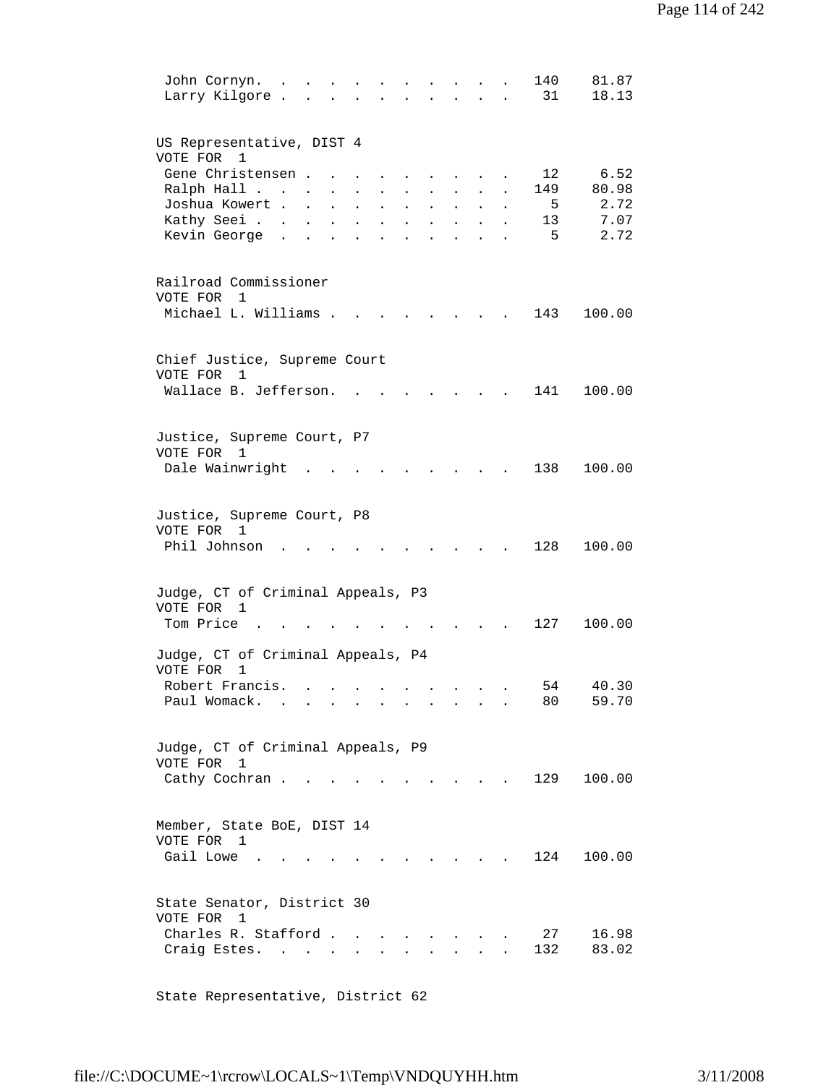| John Cornyn.<br>Larry Kilgore.                                                     |                                                |                      |                                                        |                                      |                                          |                                        | 140<br>31           | 81.87<br>18.13                |
|------------------------------------------------------------------------------------|------------------------------------------------|----------------------|--------------------------------------------------------|--------------------------------------|------------------------------------------|----------------------------------------|---------------------|-------------------------------|
| US Representative, DIST 4<br>VOTE FOR 1<br>Gene Christensen.                       |                                                |                      |                                                        |                                      |                                          |                                        | 12                  | 6.52                          |
| Ralph Hall<br>Joshua Kowert .<br>Kathy Seei.<br>Kevin George                       | $\sim$ $-$<br>$\sim$<br>$\mathbf{L}$<br>$\sim$ | $\ddot{\phantom{a}}$ | $\ddot{\phantom{a}}$<br>$\ddot{\phantom{a}}$<br>$\sim$ | $\ddot{\phantom{0}}$<br>$\mathbf{r}$ | $\ddot{\phantom{a}}$<br>$\sim$           | $\ddot{\phantom{0}}$<br>$\overline{a}$ | 149<br>5<br>13<br>5 | 80.98<br>2.72<br>7.07<br>2.72 |
| Railroad Commissioner<br>VOTE FOR 1<br>Michael L. Williams .                       |                                                |                      |                                                        |                                      |                                          |                                        | 143                 | 100.00                        |
| Chief Justice, Supreme Court                                                       |                                                |                      |                                                        |                                      |                                          |                                        |                     |                               |
| VOTE FOR<br>1<br>Wallace B. Jefferson.                                             |                                                |                      |                                                        |                                      |                                          |                                        | 141                 | 100.00                        |
| Justice, Supreme Court, P7<br>VOTE FOR 1<br>Dale Wainwright                        |                                                |                      |                                                        |                                      |                                          |                                        | 138                 | 100.00                        |
| Justice, Supreme Court, P8<br>VOTE FOR 1<br>Phil Johnson                           |                                                |                      |                                                        |                                      |                                          |                                        | 128                 | 100.00                        |
| Judge, CT of Criminal Appeals, P3<br>VOTE FOR 1<br>Tom Price                       |                                                |                      |                                                        |                                      |                                          |                                        | 127                 | 100.00                        |
| Judge, CT of Criminal Appeals, P4<br>VOTE FOR<br>1                                 |                                                |                      |                                                        |                                      |                                          |                                        |                     |                               |
| Robert Francis.<br>Paul Womack.                                                    | $\sim$                                         | $\bullet$            |                                                        |                                      |                                          |                                        | 54<br>80            | 40.30<br>59.70                |
| Judge, CT of Criminal Appeals, P9<br>VOTE FOR 1<br>Cathy Cochran.                  |                                                |                      |                                                        |                                      |                                          |                                        | 129                 | 100.00                        |
| Member, State BoE, DIST 14<br>VOTE FOR 1<br>Gail Lowe                              |                                                |                      |                                                        |                                      |                                          |                                        | 124                 | 100.00                        |
| State Senator, District 30<br>VOTE FOR 1<br>Charles R. Stafford.<br>Craig Estes. . | $\sim 10^{-10}$                                | <b>All Cards</b>     |                                                        |                                      | $\mathbf{z} = \mathbf{z} + \mathbf{z}$ . |                                        | 27<br>132           | 16.98<br>83.02                |

State Representative, District 62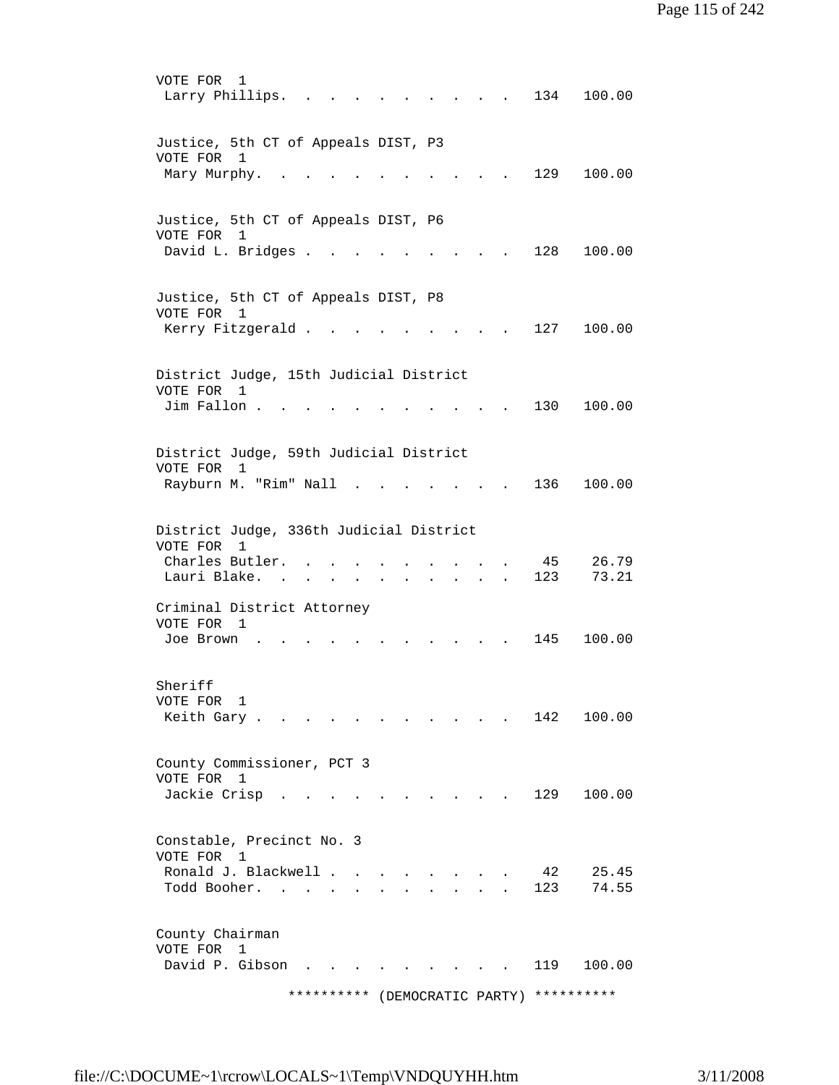VOTE FOR 1 Larry Phillips. . . . . . . . . . 134 100.00 Justice, 5th CT of Appeals DIST, P3 VOTE FOR 1 Mary Murphy. . . . . . . . . . . 129 100.00 Justice, 5th CT of Appeals DIST, P6 VOTE FOR 1 David L. Bridges . . . . . . . . . 128 100.00 Justice, 5th CT of Appeals DIST, P8 VOTE FOR 1 Kerry Fitzgerald . . . . . . . . . 127 100.00 District Judge, 15th Judicial District VOTE FOR 1 Jim Fallon . . . . . . . . . . . 130 100.00 District Judge, 59th Judicial District VOTE FOR 1 Rayburn M. "Rim" Nall . . . . . . . 136 100.00 District Judge, 336th Judicial District VOTE FOR 1 Charles Butler. . . . . . . . . . 45 26.79 Lauri Blake. . . . . . . . . . . 123 73.21 Criminal District Attorney VOTE FOR 1 Joe Brown . . . . . . . . . . . 145 100.00 Sheriff VOTE FOR 1 Keith Gary . . . . . . . . . . . 142 100.00 County Commissioner, PCT 3 VOTE FOR 1 Jackie Crisp . . . . . . . . . . 129 100.00 Constable, Precinct No. 3 VOTE FOR 1 Ronald J. Blackwell . . . . . . . . 42 25.45 Todd Booher. . . . . . . . . . . 123 74.55 County Chairman VOTE FOR 1 David P. Gibson . . . . . . . . . 119 100.00 \*\*\*\*\*\*\*\*\*\* (DEMOCRATIC PARTY) \*\*\*\*\*\*\*\*\*\*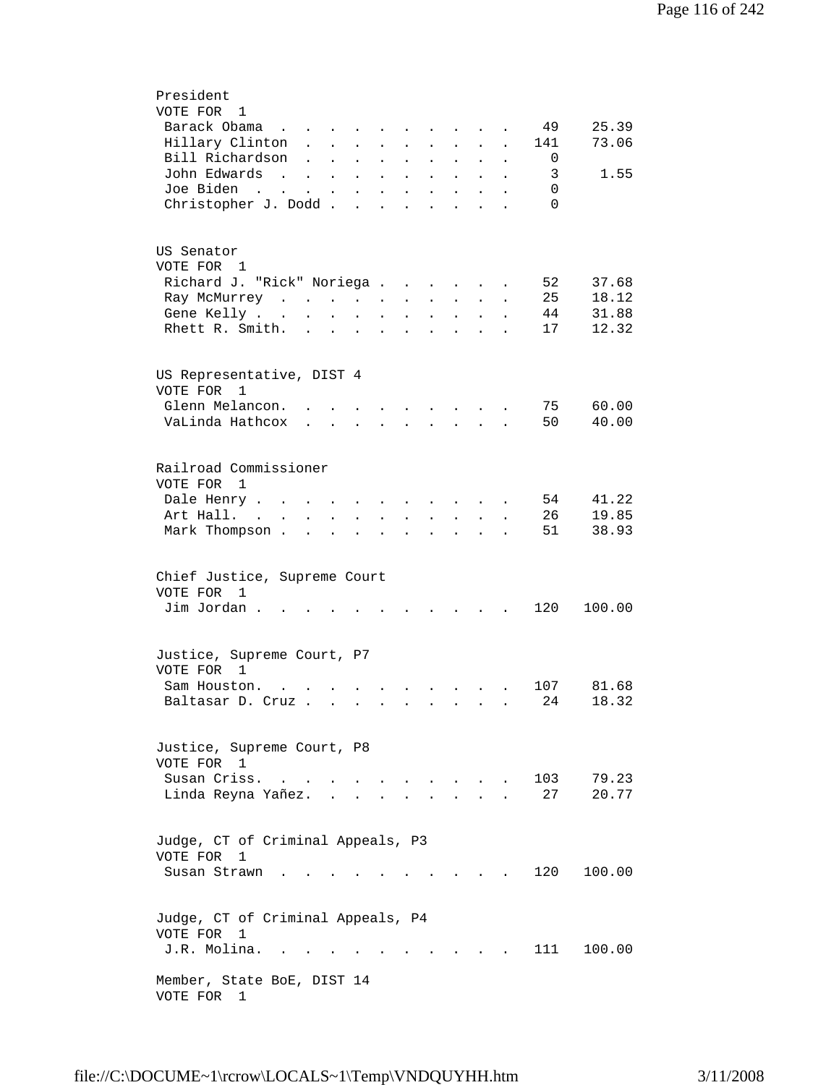| President<br>VOTE FOR<br>1<br>Barack Obama<br>Hillary Clinton<br>Bill Richardson<br>John Edwards<br><b>Contract</b><br>Joe Biden<br>$\sim$ $\sim$<br>$\mathbf{L}^{\text{max}}$<br>Christopher J. Dodd. | <b>Contract Contract</b><br>$\ddot{\phantom{0}}$<br>$\ddot{\phantom{a}}$<br>$\ddot{\phantom{a}}$<br>$\ddot{\phantom{a}}$ | $\ddot{\phantom{a}}$<br>$\bullet$ | $\ddot{\phantom{a}}$<br>$\ddot{\phantom{a}}$<br>$\mathbf{r}$ | $\ddot{\phantom{a}}$     |                      |                                                                  |                      |                      | 49<br>141<br>0<br>3<br>0<br>$\Omega$ | 25.39<br>73.06<br>1.55 |
|--------------------------------------------------------------------------------------------------------------------------------------------------------------------------------------------------------|--------------------------------------------------------------------------------------------------------------------------|-----------------------------------|--------------------------------------------------------------|--------------------------|----------------------|------------------------------------------------------------------|----------------------|----------------------|--------------------------------------|------------------------|
| US Senator                                                                                                                                                                                             |                                                                                                                          |                                   |                                                              |                          |                      |                                                                  |                      |                      |                                      |                        |
| VOTE FOR 1<br>Richard J. "Rick" Noriega                                                                                                                                                                |                                                                                                                          |                                   |                                                              |                          |                      | $\sim$                                                           | $\ddot{\phantom{a}}$ |                      | 52                                   | 37.68                  |
| Ray McMurrey                                                                                                                                                                                           |                                                                                                                          |                                   |                                                              |                          | $\ddot{\phantom{a}}$ | $\ddot{\phantom{0}}$                                             |                      |                      | 25                                   | 18.12                  |
| Gene Kelly                                                                                                                                                                                             | $\ddot{\phantom{a}}$                                                                                                     | $\ddot{\phantom{a}}$              |                                                              | $\ddot{\phantom{a}}$     |                      |                                                                  |                      |                      | 44                                   | 31.88                  |
| Rhett R. Smith.                                                                                                                                                                                        |                                                                                                                          |                                   |                                                              |                          |                      |                                                                  |                      |                      | 17                                   | 12.32                  |
| US Representative, DIST 4<br>VOTE FOR<br>1                                                                                                                                                             |                                                                                                                          |                                   |                                                              |                          |                      |                                                                  |                      |                      |                                      |                        |
| Glenn Melancon.                                                                                                                                                                                        |                                                                                                                          |                                   |                                                              |                          |                      |                                                                  |                      |                      | 75                                   | 60.00                  |
| VaLinda Hathcox                                                                                                                                                                                        |                                                                                                                          | $\cdot$ $\cdot$ $\cdot$           |                                                              | $\ddot{\phantom{a}}$     | $\ddot{\phantom{a}}$ | $\ddot{\phantom{0}}$                                             | $\sim$ $\sim$        |                      | 50                                   | 40.00                  |
|                                                                                                                                                                                                        |                                                                                                                          |                                   |                                                              |                          |                      |                                                                  |                      |                      |                                      |                        |
| Railroad Commissioner<br>VOTE FOR<br>1                                                                                                                                                                 |                                                                                                                          |                                   |                                                              |                          |                      |                                                                  |                      |                      |                                      |                        |
| Dale Henry .<br>$\mathbf{r}$ , $\mathbf{r}$ , $\mathbf{r}$ , $\mathbf{r}$                                                                                                                              |                                                                                                                          |                                   | $\ddot{\phantom{a}}$                                         | <b>Contract Contract</b> |                      | <b>Contract Contract Contract</b>                                |                      |                      | 54                                   | 41.22                  |
| Art Hall.<br>$\sim$ $\sim$ $\sim$<br>$\mathbf{L}$                                                                                                                                                      |                                                                                                                          | $\mathbf{L} = \mathbf{L}$         |                                                              | $\ddot{\phantom{0}}$     | $\ddot{\phantom{a}}$ | $\ddot{\phantom{0}}$                                             | $\sim$ 100 $\pm$     |                      | 26                                   | 19.85                  |
| Mark Thompson.                                                                                                                                                                                         | $\sim$ $\sim$                                                                                                            | <b>Contract Contract</b>          | $\bullet$                                                    | $\bullet$                | $\ddot{\phantom{0}}$ | $\ddot{\phantom{0}}$                                             | $\bullet$            | $\ddot{\phantom{0}}$ | 51                                   | 38.93                  |
| Chief Justice, Supreme Court<br>VOTE FOR 1<br>Jim Jordan.                                                                                                                                              |                                                                                                                          |                                   |                                                              |                          |                      |                                                                  |                      |                      | 120                                  | 100.00                 |
| Justice, Supreme Court, P7                                                                                                                                                                             |                                                                                                                          |                                   |                                                              |                          |                      |                                                                  |                      |                      |                                      |                        |
| VOTE FOR<br>1                                                                                                                                                                                          |                                                                                                                          |                                   |                                                              |                          |                      |                                                                  |                      |                      |                                      |                        |
| Sam Houston.<br>$\ddot{\phantom{a}}$                                                                                                                                                                   |                                                                                                                          |                                   |                                                              |                          |                      | $\mathbf{r} = \mathbf{r} + \mathbf{r} + \mathbf{r} + \mathbf{r}$ |                      |                      | 107                                  | 81.68                  |
| Baltasar D. Cruz                                                                                                                                                                                       |                                                                                                                          |                                   |                                                              |                          |                      |                                                                  |                      |                      | 24                                   | 18.32                  |
| Justice, Supreme Court, P8<br>VOTE FOR 1                                                                                                                                                               |                                                                                                                          |                                   |                                                              |                          |                      |                                                                  |                      |                      |                                      |                        |
| Susan Criss.<br>$\cdot$ $\cdot$<br>Linda Reyna Yañez.                                                                                                                                                  |                                                                                                                          |                                   |                                                              |                          |                      |                                                                  |                      |                      | 103<br>27                            | 79.23<br>20.77         |
|                                                                                                                                                                                                        |                                                                                                                          |                                   |                                                              |                          |                      |                                                                  |                      |                      |                                      |                        |
| Judge, CT of Criminal Appeals, P3<br>VOTE FOR<br>1                                                                                                                                                     |                                                                                                                          |                                   |                                                              |                          |                      |                                                                  |                      |                      |                                      |                        |
| Susan Strawn                                                                                                                                                                                           |                                                                                                                          |                                   |                                                              |                          |                      |                                                                  |                      |                      | 120                                  | 100.00                 |
| Judge, CT of Criminal Appeals, P4<br>VOTE FOR<br>1                                                                                                                                                     |                                                                                                                          |                                   |                                                              |                          |                      |                                                                  |                      |                      |                                      |                        |
| J.R. Molina.                                                                                                                                                                                           |                                                                                                                          |                                   |                                                              |                          |                      |                                                                  |                      |                      | 111 —                                | 100.00                 |
| Member, State BoE, DIST 14<br>VOTE FOR<br>1                                                                                                                                                            |                                                                                                                          |                                   |                                                              |                          |                      |                                                                  |                      |                      |                                      |                        |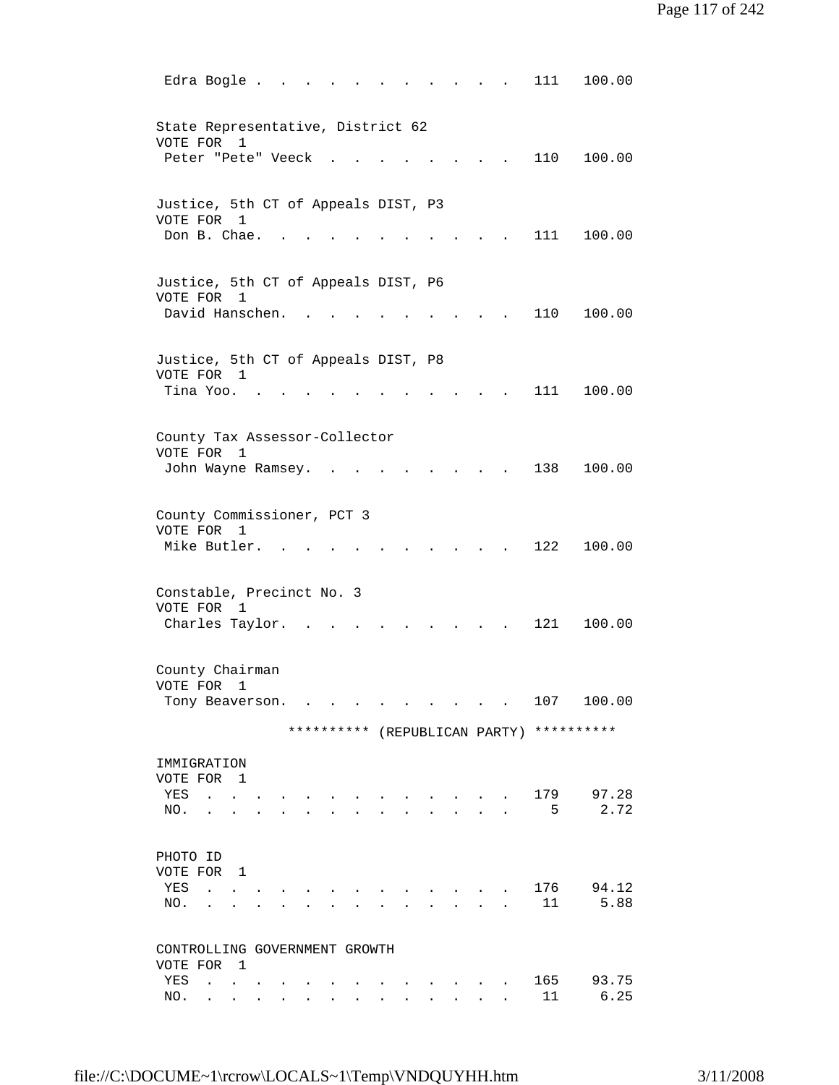| Edra Bogle.<br>111<br>100.00                                                                                                     |  |
|----------------------------------------------------------------------------------------------------------------------------------|--|
| State Representative, District 62<br>VOTE FOR 1                                                                                  |  |
| Peter "Pete" Veeck<br>110<br>100.00<br><b>Contract Contract Contract</b>                                                         |  |
| Justice, 5th CT of Appeals DIST, P3<br>VOTE FOR 1                                                                                |  |
| Don B. Chae.<br>111<br>100.00<br>$\sim$                                                                                          |  |
| Justice, 5th CT of Appeals DIST, P6<br>VOTE FOR 1<br>David Hanschen.<br>110<br>100.00                                            |  |
| Justice, 5th CT of Appeals DIST, P8                                                                                              |  |
| VOTE FOR 1<br>Tina Yoo. .<br>111<br>100.00                                                                                       |  |
| County Tax Assessor-Collector                                                                                                    |  |
| VOTE FOR 1<br>138<br>100.00<br>John Wayne Ramsey.<br>$\sim$ $\sim$                                                               |  |
| County Commissioner, PCT 3<br>VOTE FOR<br>1                                                                                      |  |
| Mike Butler. .<br>122<br>100.00                                                                                                  |  |
| Constable, Precinct No. 3<br>VOTE FOR 1                                                                                          |  |
| Charles Taylor.<br>121<br>100.00                                                                                                 |  |
| County Chairman<br>VOTE FOR 1<br>107                                                                                             |  |
| 100.00<br>Tony Beaverson.<br>and the state of the state of the<br><b>Contract Contract</b>                                       |  |
| ********** (REPUBLICAN PARTY) **********                                                                                         |  |
| IMMIGRATION<br>VOTE FOR 1                                                                                                        |  |
| 179<br>97.28<br>YES<br><b>Carl Carl Carl</b><br>2.72<br>5<br>NO.<br>$\ddot{\phantom{a}}$<br>$\ddot{\phantom{a}}$                 |  |
| PHOTO ID                                                                                                                         |  |
| VOTE FOR 1<br>94.12<br>176<br>YES<br>$\mathbf{r}$ , $\mathbf{r}$ , $\mathbf{r}$ , $\mathbf{r}$<br>$\sim$ $\sim$                  |  |
| 11<br>5.88<br>NO.<br><b>Contract Contract Contract</b>                                                                           |  |
| CONTROLLING GOVERNMENT GROWTH<br>VOTE FOR 1                                                                                      |  |
| 165<br>93.75<br>YES<br><b>All Contracts</b><br>6.25<br>11<br>NO.<br>$\mathbf{L}$<br><b>Contract Contract</b><br>$\sim$<br>$\sim$ |  |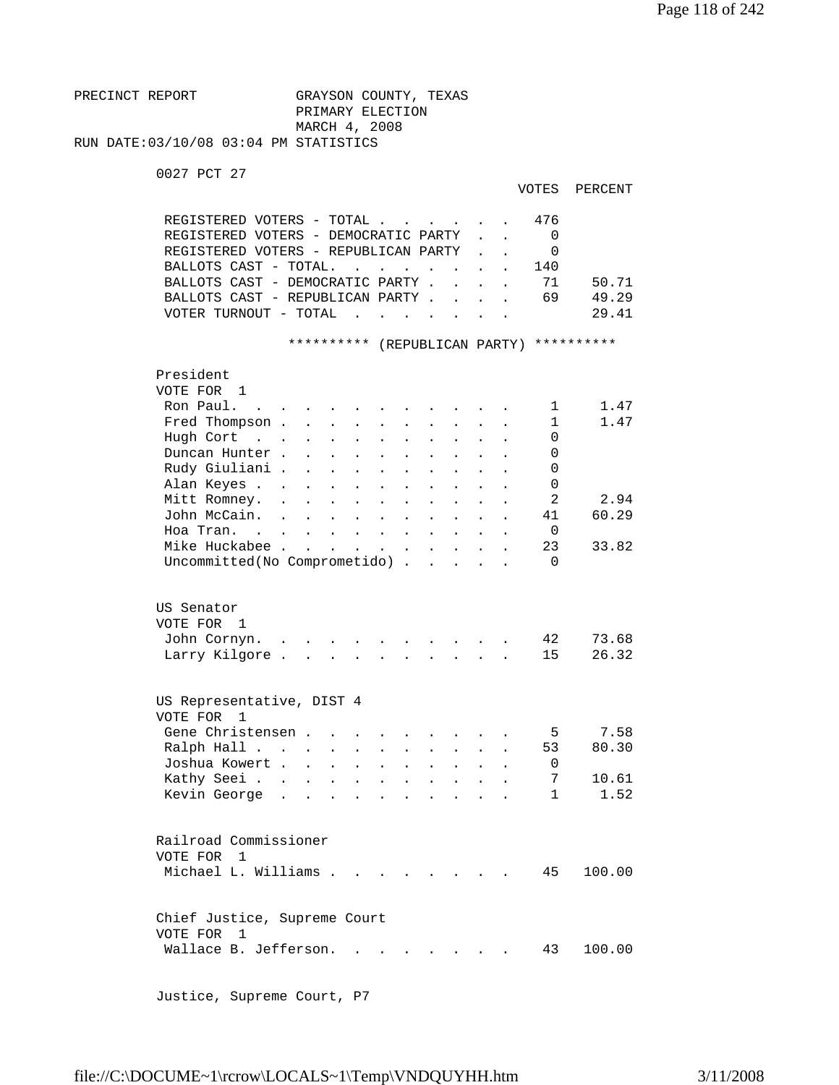```
PRECINCT REPORT GRAYSON COUNTY, TEXAS
                         PRIMARY ELECTION 
                         MARCH 4, 2008 
RUN DATE:03/10/08 03:04 PM STATISTICS
```
0027 PCT 27

```
 VOTES PERCENT
```

| REGISTERED VOTERS - TOTAL.<br>REGISTERED VOTERS - DEMOCRATIC PARTY<br>REGISTERED VOTERS - REPUBLICAN PARTY<br>BALLOTS CAST - TOTAL.<br>BALLOTS CAST - DEMOCRATIC PARTY .<br>BALLOTS CAST - REPUBLICAN PARTY .<br>VOTER TURNOUT - TOTAL                                 | $\overline{a}$                                                                                                                                                                               | $\mathbf{r}$ , $\mathbf{r}$ , $\mathbf{r}$                                                                                  | $\ddot{\phantom{a}}$                                                                                                                                                  |                                   | 476<br>0<br>$\Omega$<br>140<br>71<br>69                                        | 50.71<br>49.29<br>29.41                |
|------------------------------------------------------------------------------------------------------------------------------------------------------------------------------------------------------------------------------------------------------------------------|----------------------------------------------------------------------------------------------------------------------------------------------------------------------------------------------|-----------------------------------------------------------------------------------------------------------------------------|-----------------------------------------------------------------------------------------------------------------------------------------------------------------------|-----------------------------------|--------------------------------------------------------------------------------|----------------------------------------|
|                                                                                                                                                                                                                                                                        | ********** (REPUBLICAN PARTY)                                                                                                                                                                |                                                                                                                             |                                                                                                                                                                       |                                   | **********                                                                     |                                        |
| President<br>VOTE FOR 1<br>Ron Paul.<br>$\sim$ $\sim$<br>Fred Thompson .<br>Hugh Cort<br>$\mathbf{r}$ . $\mathbf{r}$<br>Duncan Hunter.<br>Rudy Giuliani .<br>Alan Keyes<br>Mitt Romney.<br>John McCain.<br>Hoa Tran.<br>Mike Huckabee.<br>Uncommitted(No Comprometido) | $\ddot{\phantom{a}}$<br>$\ddot{\phantom{a}}$<br>$\mathbf{L}$<br>$\mathbf{A}$<br>$\ddot{\phantom{a}}$<br>$\sim 100$ km s $^{-1}$<br>$\mathbf{r}$ , $\mathbf{r}$ , $\mathbf{r}$ , $\mathbf{r}$ | $\mathbf{r}$<br>$\ddot{\phantom{a}}$<br>$\ddot{\phantom{a}}$<br>$\bullet$ .<br><br><br><br><br><br><br><br><br><br><br><br> | $\ddot{\phantom{a}}$<br>$\ddot{\phantom{0}}$<br>$\bullet$ .<br><br><br><br><br><br><br><br><br><br><br><br><br>$\mathbf{L}^{\text{max}}$<br>$\mathbf{L}^{\text{max}}$ | $\ddot{\phantom{a}}$<br>$\bullet$ | 1<br>$\mathbf{1}$<br>0<br>0<br>$\Omega$<br>0<br>2<br>41<br>0<br>23<br>$\Omega$ | 1.47<br>1.47<br>2.94<br>60.29<br>33.82 |
|                                                                                                                                                                                                                                                                        |                                                                                                                                                                                              |                                                                                                                             |                                                                                                                                                                       |                                   |                                                                                |                                        |
| US Senator<br>VOTE FOR 1<br>John Cornyn.<br>Larry Kilgore.                                                                                                                                                                                                             |                                                                                                                                                                                              |                                                                                                                             | $\mathbf{r}$ , $\mathbf{r}$ , $\mathbf{r}$                                                                                                                            |                                   | 42<br>15                                                                       | 73.68<br>26.32                         |
|                                                                                                                                                                                                                                                                        |                                                                                                                                                                                              |                                                                                                                             |                                                                                                                                                                       |                                   |                                                                                |                                        |
| US Representative, DIST 4<br>VOTE FOR<br>$\mathbf{1}$<br>Gene Christensen.<br>Ralph Hall<br>Joshua Kowert .<br>Kathy Seei<br>Kevin George                                                                                                                              | $\mathbf{A}$<br>$\ddot{\phantom{a}}$<br>$\ddot{\phantom{a}}$<br>$\ddot{\phantom{a}}$<br>$\ddot{\phantom{a}}$                                                                                 | $\ddot{\phantom{a}}$                                                                                                        |                                                                                                                                                                       |                                   | 5<br>53<br>0<br>7<br>1                                                         | 7.58<br>80.30<br>10.61<br>1.52         |
| Railroad Commissioner<br>VOTE FOR<br>-1<br>Michael L. Williams                                                                                                                                                                                                         |                                                                                                                                                                                              |                                                                                                                             |                                                                                                                                                                       |                                   | 45                                                                             | 100.00                                 |
| Chief Justice, Supreme Court<br>VOTE FOR<br>1<br>Wallace B. Jefferson.                                                                                                                                                                                                 |                                                                                                                                                                                              |                                                                                                                             | the contract of the contract of the contract of the contract of the contract of the contract of the contract of                                                       |                                   | 43                                                                             | 100.00                                 |

Justice, Supreme Court, P7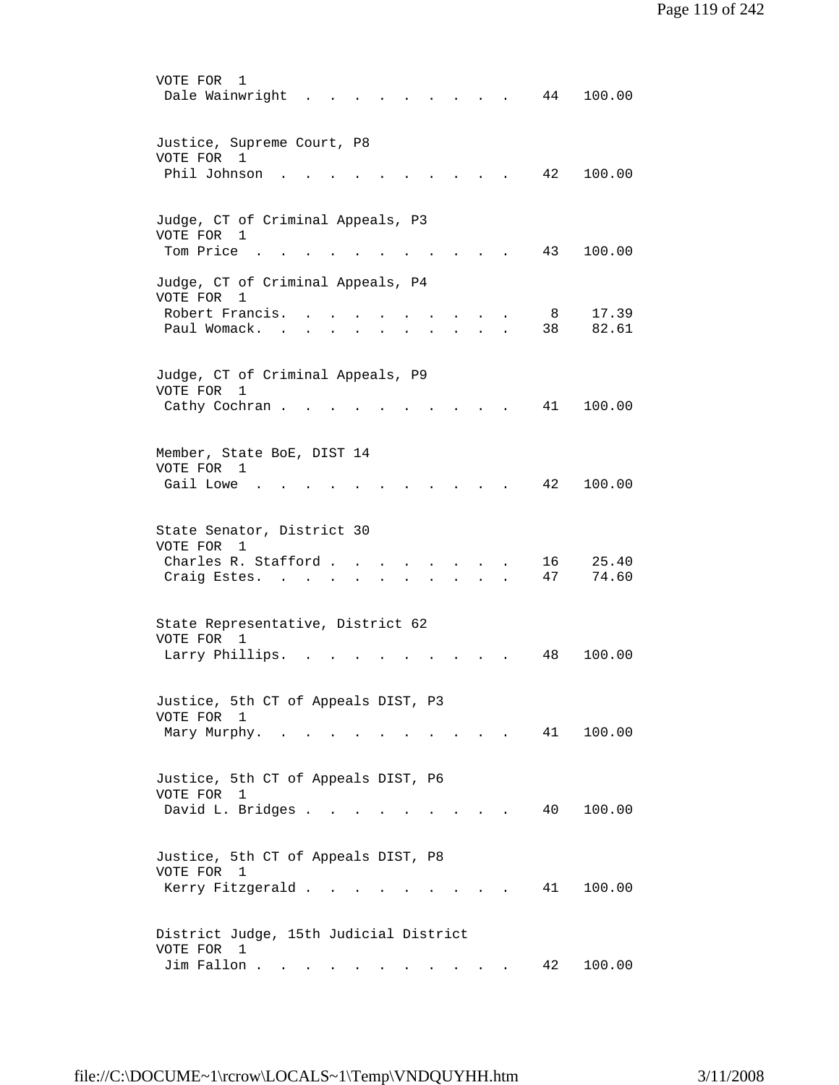| VOTE FOR<br>1<br>Dale Wainwright<br>44<br>100.00                                                                                                                                                                                                                      |
|-----------------------------------------------------------------------------------------------------------------------------------------------------------------------------------------------------------------------------------------------------------------------|
| Justice, Supreme Court, P8<br>VOTE FOR<br>$\mathbf{1}$<br>Phil Johnson<br>42<br>100.00                                                                                                                                                                                |
|                                                                                                                                                                                                                                                                       |
| Judge, CT of Criminal Appeals, P3<br>VOTE FOR 1<br>Tom Price<br>43<br>100.00                                                                                                                                                                                          |
|                                                                                                                                                                                                                                                                       |
| Judge, CT of Criminal Appeals, P4<br>VOTE FOR<br>1                                                                                                                                                                                                                    |
| Robert Francis.<br>17.39<br>8<br>Paul Womack.<br>82.61<br>38                                                                                                                                                                                                          |
| Judge, CT of Criminal Appeals, P9                                                                                                                                                                                                                                     |
| VOTE FOR<br>$\mathbf 1$<br>41<br>100.00<br>Cathy Cochran.                                                                                                                                                                                                             |
| Member, State BoE, DIST 14<br>VOTE FOR 1                                                                                                                                                                                                                              |
| Gail Lowe<br>42<br>100.00                                                                                                                                                                                                                                             |
| State Senator, District 30<br>VOTE FOR<br>1                                                                                                                                                                                                                           |
| Charles R. Stafford.<br>25.40<br>16<br>47<br>74.60<br>Craig Estes.                                                                                                                                                                                                    |
| State Representative, District 62                                                                                                                                                                                                                                     |
| VOTE FOR 1<br>Larry Phillips.<br>48<br>100.00                                                                                                                                                                                                                         |
|                                                                                                                                                                                                                                                                       |
| Justice, 5th CT of Appeals DIST, P3<br>VOTE FOR 1                                                                                                                                                                                                                     |
| 41 100.00<br>Mary Murphy.<br>$\sim$ $\sim$ $\sim$ $\sim$ $\sim$ $\sim$<br>$\sim$ $\sim$ $\sim$ $\sim$ $\sim$ $\sim$                                                                                                                                                   |
| Justice, 5th CT of Appeals DIST, P6<br>VOTE FOR<br>1                                                                                                                                                                                                                  |
| David L. Bridges<br>100.00<br>40<br>$\mathbf{r}$ . The set of the set of the set of the set of the set of the set of the set of the set of the set of the set of the set of the set of the set of the set of the set of the set of the set of the set of the set of t |
| Justice, 5th CT of Appeals DIST, P8<br>VOTE FOR 1                                                                                                                                                                                                                     |
| 41<br>Kerry Fitzgerald<br>100.00                                                                                                                                                                                                                                      |
| District Judge, 15th Judicial District<br>VOTE FOR 1                                                                                                                                                                                                                  |
| Jim Fallon<br>42<br>100.00                                                                                                                                                                                                                                            |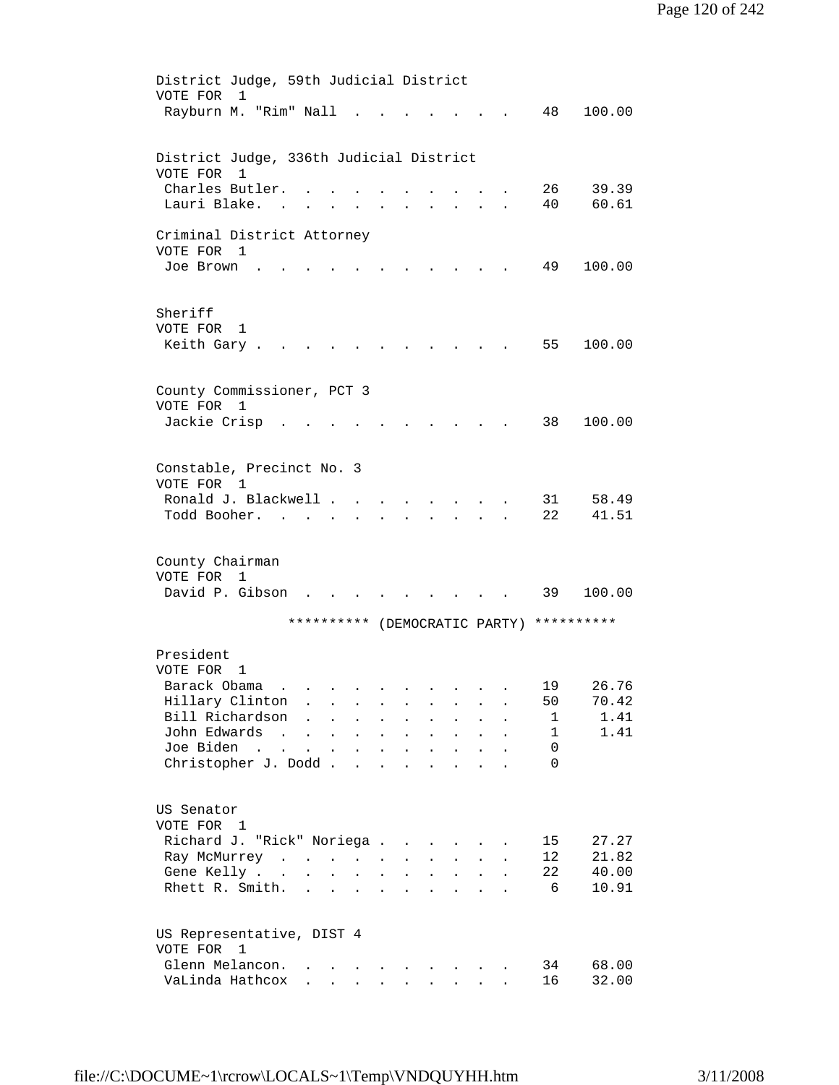| District Judge, 59th Judicial District                                                                                                                                                                                                       |    |        |
|----------------------------------------------------------------------------------------------------------------------------------------------------------------------------------------------------------------------------------------------|----|--------|
| VOTE FOR<br>1                                                                                                                                                                                                                                |    |        |
| Rayburn M. "Rim" Nall                                                                                                                                                                                                                        | 48 | 100.00 |
|                                                                                                                                                                                                                                              |    |        |
| District Judge, 336th Judicial District                                                                                                                                                                                                      |    |        |
| VOTE FOR<br>1                                                                                                                                                                                                                                |    |        |
| Charles Butler.                                                                                                                                                                                                                              | 26 | 39.39  |
| Lauri Blake.                                                                                                                                                                                                                                 | 40 | 60.61  |
|                                                                                                                                                                                                                                              |    |        |
| Criminal District Attorney                                                                                                                                                                                                                   |    |        |
| VOTE FOR 1<br>Joe Brown                                                                                                                                                                                                                      | 49 | 100.00 |
|                                                                                                                                                                                                                                              |    |        |
|                                                                                                                                                                                                                                              |    |        |
| Sheriff                                                                                                                                                                                                                                      |    |        |
| VOTE FOR<br>1                                                                                                                                                                                                                                |    |        |
| Keith Gary.                                                                                                                                                                                                                                  | 55 | 100.00 |
|                                                                                                                                                                                                                                              |    |        |
|                                                                                                                                                                                                                                              |    |        |
| County Commissioner, PCT 3<br>VOTE FOR<br>1                                                                                                                                                                                                  |    |        |
| Jackie Crisp                                                                                                                                                                                                                                 | 38 | 100.00 |
|                                                                                                                                                                                                                                              |    |        |
|                                                                                                                                                                                                                                              |    |        |
| Constable, Precinct No. 3                                                                                                                                                                                                                    |    |        |
| VOTE FOR<br>1                                                                                                                                                                                                                                |    |        |
| Ronald J. Blackwell .                                                                                                                                                                                                                        | 31 | 58.49  |
| Todd Booher.                                                                                                                                                                                                                                 | 22 | 41.51  |
|                                                                                                                                                                                                                                              |    |        |
| County Chairman                                                                                                                                                                                                                              |    |        |
| VOTE FOR 1                                                                                                                                                                                                                                   |    |        |
| David P. Gibson<br>$\cdot$ $\cdot$                                                                                                                                                                                                           | 39 | 100.00 |
|                                                                                                                                                                                                                                              |    |        |
| ********** (DEMOCRATIC PARTY) **********                                                                                                                                                                                                     |    |        |
|                                                                                                                                                                                                                                              |    |        |
| President<br>VOTE FOR<br>1                                                                                                                                                                                                                   |    |        |
| Barack Obama                                                                                                                                                                                                                                 | 19 | 26.76  |
| Hillary Clinton                                                                                                                                                                                                                              | 50 | 70.42  |
| Bill Richardson<br>$\ddot{\phantom{a}}$<br>$\bullet$ .<br><br><br><br><br><br><br><br><br><br><br><br><br>$\sim 10^{-10}$<br>$\mathbf{L}^{\mathbf{r}}$<br>$\ddot{\phantom{0}}$<br>$\bullet$<br>$\bullet$<br>$\bullet$                        | 1  | 1.41   |
| John Edwards<br><b>Contract Contract Contract</b><br>$\mathbf{z} = \mathbf{z} + \mathbf{z}$ .<br>$\bullet$<br>$\mathbf{L}^{\text{max}}$<br>$\mathbf{z} = \mathbf{z}$<br>$\bullet$                                                            | 1  | 1.41   |
| Joe Biden<br>$\mathcal{L}(\mathbf{z})$ , $\mathcal{L}(\mathbf{z})$ ,<br>$\mathbf{r} = \left\{ \mathbf{r}_1, \ldots, \mathbf{r}_n \right\}$ , where<br>$\bullet$<br>$\ddot{\phantom{0}}$<br>$\mathbf{a} = \mathbf{a}$<br>$\ddot{\phantom{0}}$ | 0  |        |
| Christopher J. Dodd<br>$\ddot{\phantom{a}}$<br>$\ddot{\phantom{a}}$                                                                                                                                                                          | 0  |        |
|                                                                                                                                                                                                                                              |    |        |
| US Senator                                                                                                                                                                                                                                   |    |        |
| VOTE FOR 1                                                                                                                                                                                                                                   |    |        |
| Richard J. "Rick" Noriega<br>$\ddot{\phantom{a}}$                                                                                                                                                                                            | 15 | 27.27  |
| Ray McMurrey<br>$\mathbf{L}^{\text{max}}$                                                                                                                                                                                                    | 12 | 21.82  |
| Gene Kelly<br>$\bullet$ .<br><b>All Contracts</b>                                                                                                                                                                                            | 22 | 40.00  |
| Rhett R. Smith.<br><b>Contract Contract</b><br>$\bullet$                                                                                                                                                                                     | 6  | 10.91  |
|                                                                                                                                                                                                                                              |    |        |
|                                                                                                                                                                                                                                              |    |        |
| US Representative, DIST 4<br>VOTE FOR 1                                                                                                                                                                                                      |    |        |
| Glenn Melancon.                                                                                                                                                                                                                              | 34 | 68.00  |
| VaLinda Hathcox<br>$\cdot$ $\cdot$ $\cdot$ $\cdot$<br>$\mathbf{r}$ and $\mathbf{r}$ and $\mathbf{r}$<br>$\mathbf{L}^{\text{max}}$<br>$\sim$                                                                                                  | 16 | 32.00  |
|                                                                                                                                                                                                                                              |    |        |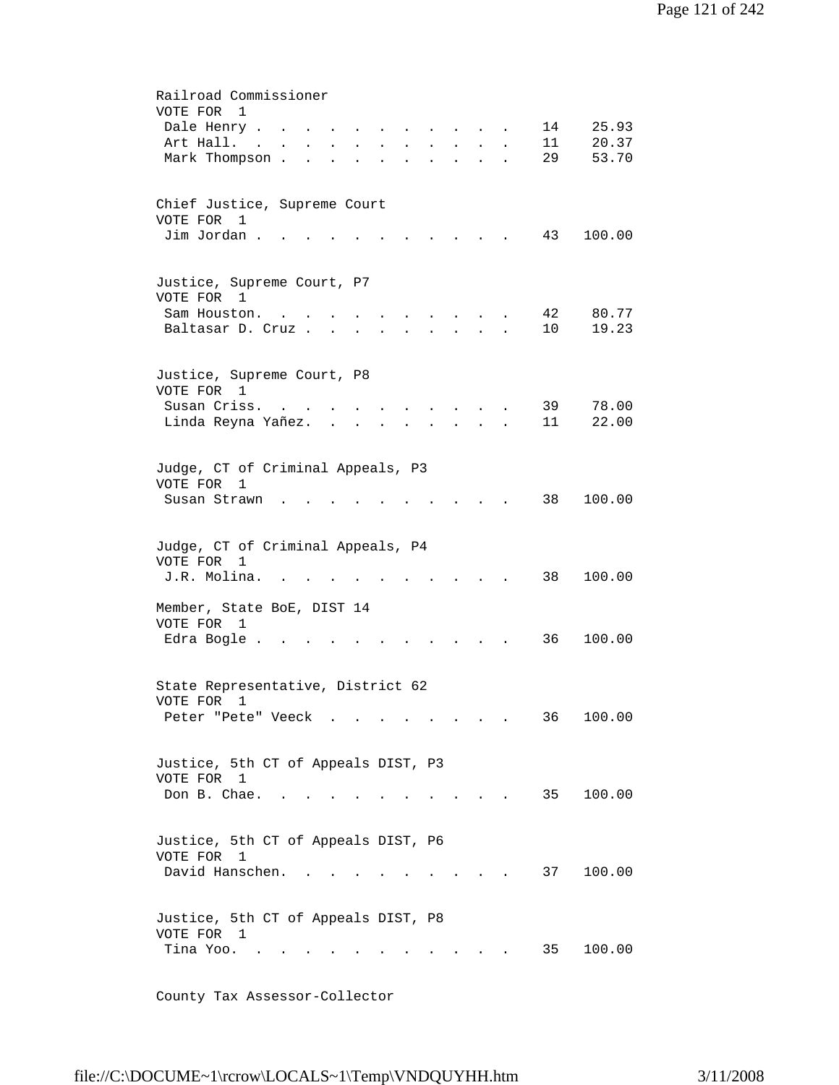| Railroad Commissioner<br>VOTE FOR<br>1<br>25.93<br>Dale Henry .<br>14<br>11<br>20.37<br>Art Hall.<br>$\sim$<br>$\mathbf{z} = \mathbf{z} + \mathbf{z}$ , where $\mathbf{z} = \mathbf{z}$<br>$\sim$<br>$\ddot{\phantom{0}}$<br>$\ddot{\phantom{0}}$<br>$\ddot{\phantom{0}}$<br>$\bullet$<br>29<br>53.70<br>Mark Thompson<br>$\ddot{\phantom{a}}$<br>$\ddot{\phantom{a}}$ |
|------------------------------------------------------------------------------------------------------------------------------------------------------------------------------------------------------------------------------------------------------------------------------------------------------------------------------------------------------------------------|
| Chief Justice, Supreme Court<br>VOTE FOR 1<br>Jim Jordan.<br>43<br>100.00                                                                                                                                                                                                                                                                                              |
| Justice, Supreme Court, P7<br>VOTE FOR 1<br>42<br>80.77<br>Sam Houston.<br>10<br>19.23<br>Baltasar D. Cruz.                                                                                                                                                                                                                                                            |
| Justice, Supreme Court, P8<br>VOTE FOR 1<br>Susan Criss.<br>39<br>78.00<br>$\mathcal{A}=\mathcal{A}=\mathcal{A}=\mathcal{A}=\mathcal{A}$ .<br><b>Contract Contract Contract Contract</b><br>Linda Reyna Yañez<br>11<br>22.00<br>$\mathbf{r} = \mathbf{r} + \mathbf{r}$<br>$\sim$                                                                                       |
| Judge, CT of Criminal Appeals, P3<br>VOTE FOR<br>1<br>38<br>100.00<br>Susan Strawn                                                                                                                                                                                                                                                                                     |
| Judge, CT of Criminal Appeals, P4<br>VOTE FOR<br>1<br>38<br>100.00<br>J.R. Molina.                                                                                                                                                                                                                                                                                     |
| Member, State BoE, DIST 14<br>VOTE FOR 1<br>Edra Bogle .<br>36<br>100.00                                                                                                                                                                                                                                                                                               |
| State Representative, District 62<br>VOTE FOR<br>1<br>100.00<br>Peter "Pete" Veeck<br>36                                                                                                                                                                                                                                                                               |
| Justice, 5th CT of Appeals DIST, P3<br>VOTE FOR 1<br>Don B. Chae.<br>35<br>100.00<br>$\sim$<br>$\cdots$ $\cdots$                                                                                                                                                                                                                                                       |
| Justice, 5th CT of Appeals DIST, P6<br>VOTE FOR<br>$\mathbf{1}$<br>David Hanschen.<br>37<br>100.00<br>$\sim$ $\sim$                                                                                                                                                                                                                                                    |
| Justice, 5th CT of Appeals DIST, P8<br>VOTE FOR 1<br>Tina Yoo.<br>35<br>100.00                                                                                                                                                                                                                                                                                         |

County Tax Assessor-Collector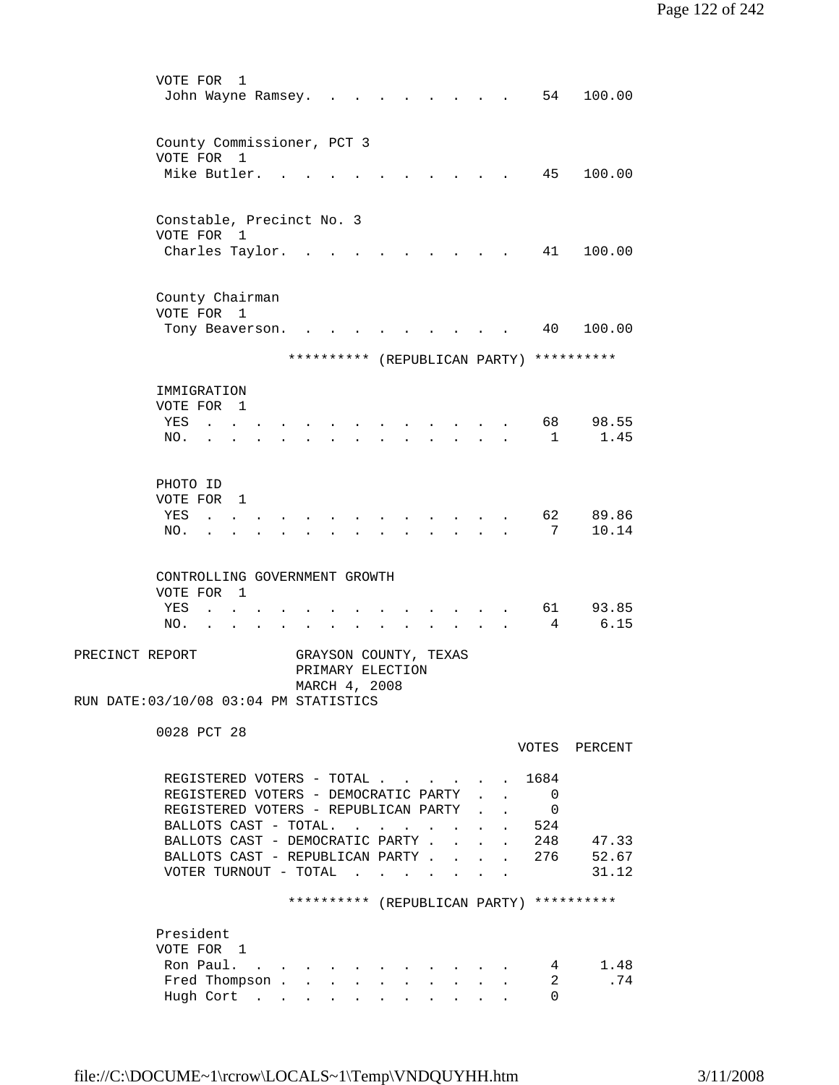| VOTE FOR<br>John Wayne Ramsey. .                                  | 1 |                               |                                                                                                 |        |  |                           | 54                                       | 100.00        |  |
|-------------------------------------------------------------------|---|-------------------------------|-------------------------------------------------------------------------------------------------|--------|--|---------------------------|------------------------------------------|---------------|--|
|                                                                   |   |                               |                                                                                                 |        |  |                           |                                          |               |  |
| County Commissioner, PCT 3                                        |   |                               |                                                                                                 |        |  |                           |                                          |               |  |
| VOTE FOR 1<br>Mike Butler.                                        |   |                               |                                                                                                 |        |  |                           | 45                                       | 100.00        |  |
|                                                                   |   |                               |                                                                                                 |        |  |                           |                                          |               |  |
| Constable, Precinct No. 3                                         |   |                               |                                                                                                 |        |  |                           |                                          |               |  |
| VOTE FOR                                                          | 1 |                               |                                                                                                 |        |  |                           |                                          |               |  |
| Charles Taylor.                                                   |   |                               |                                                                                                 |        |  |                           | 41                                       | 100.00        |  |
| County Chairman                                                   |   |                               |                                                                                                 |        |  |                           |                                          |               |  |
| VOTE FOR 1                                                        |   |                               |                                                                                                 |        |  |                           |                                          |               |  |
| Tony Beaverson.                                                   |   |                               |                                                                                                 |        |  |                           | 40                                       | 100.00        |  |
|                                                                   |   |                               |                                                                                                 |        |  |                           |                                          |               |  |
|                                                                   |   | ********** (REPUBLICAN PARTY) |                                                                                                 |        |  |                           |                                          | **********    |  |
| IMMIGRATION                                                       |   |                               |                                                                                                 |        |  |                           |                                          |               |  |
| VOTE FOR 1                                                        |   |                               |                                                                                                 |        |  |                           |                                          |               |  |
| YES<br>NO.                                                        |   |                               |                                                                                                 |        |  |                           | 68<br>$\mathbf{1}$                       | 98.55<br>1.45 |  |
|                                                                   |   |                               |                                                                                                 |        |  |                           |                                          |               |  |
| PHOTO ID                                                          |   |                               |                                                                                                 |        |  |                           |                                          |               |  |
| VOTE FOR 1                                                        |   |                               |                                                                                                 |        |  |                           |                                          |               |  |
| YES<br>$\mathbf{L} = \mathbf{L}$                                  |   |                               |                                                                                                 |        |  |                           | 62                                       | 89.86         |  |
| NO.<br>$\ddot{\phantom{a}}$                                       |   |                               |                                                                                                 |        |  |                           | 7                                        | 10.14         |  |
|                                                                   |   |                               |                                                                                                 |        |  |                           |                                          |               |  |
| CONTROLLING GOVERNMENT GROWTH<br>VOTE FOR 1                       |   |                               |                                                                                                 |        |  |                           |                                          |               |  |
| YES<br>$\sim$                                                     |   |                               |                                                                                                 |        |  |                           | 61                                       | 93.85         |  |
| NO.                                                               |   |                               |                                                                                                 |        |  |                           | 4                                        | 6.15          |  |
| PRECINCT REPORT                                                   |   | GRAYSON COUNTY, TEXAS         |                                                                                                 |        |  |                           |                                          |               |  |
|                                                                   |   | PRIMARY ELECTION              |                                                                                                 |        |  |                           |                                          |               |  |
| RUN DATE: 03/10/08 03:04 PM STATISTICS                            |   | MARCH 4, 2008                 |                                                                                                 |        |  |                           |                                          |               |  |
|                                                                   |   |                               |                                                                                                 |        |  |                           |                                          |               |  |
| 0028 PCT 28                                                       |   |                               |                                                                                                 |        |  |                           |                                          | VOTES PERCENT |  |
|                                                                   |   |                               |                                                                                                 |        |  |                           |                                          |               |  |
| REGISTERED VOTERS - TOTAL<br>REGISTERED VOTERS - DEMOCRATIC PARTY |   |                               |                                                                                                 |        |  | $\mathbf{r} = \mathbf{r}$ | 1684<br>$\overline{\phantom{0}}$         |               |  |
| REGISTERED VOTERS - REPUBLICAN PARTY .                            |   |                               |                                                                                                 |        |  | $\ddot{\phantom{a}}$      | $\overline{\phantom{0}}$                 |               |  |
| BALLOTS CAST - TOTAL.                                             |   |                               | $\mathcal{A}^{\mathcal{A}}$ , and $\mathcal{A}^{\mathcal{A}}$ , and $\mathcal{A}^{\mathcal{A}}$ |        |  |                           | 524                                      |               |  |
| BALLOTS CAST - DEMOCRATIC PARTY .                                 |   |                               |                                                                                                 |        |  |                           | 248                                      | 47.33         |  |
| BALLOTS CAST - REPUBLICAN PARTY.                                  |   |                               |                                                                                                 |        |  |                           | 276                                      | 52.67         |  |
| VOTER TURNOUT - TOTAL $\cdot$ .                                   |   |                               |                                                                                                 | $\sim$ |  |                           |                                          | 31.12         |  |
|                                                                   |   |                               |                                                                                                 |        |  |                           | ********** (REPUBLICAN PARTY) ********** |               |  |
| President                                                         |   |                               |                                                                                                 |        |  |                           |                                          |               |  |
| VOTE FOR 1                                                        |   |                               |                                                                                                 |        |  |                           |                                          |               |  |
| Ron Paul.                                                         |   |                               |                                                                                                 |        |  |                           | $\overline{4}$<br>$\mathbf{2}$           | 1.48<br>.74   |  |
| Fred Thompson<br>Hugh Cort                                        |   |                               |                                                                                                 |        |  |                           | $\Omega$                                 |               |  |
|                                                                   |   |                               |                                                                                                 |        |  |                           |                                          |               |  |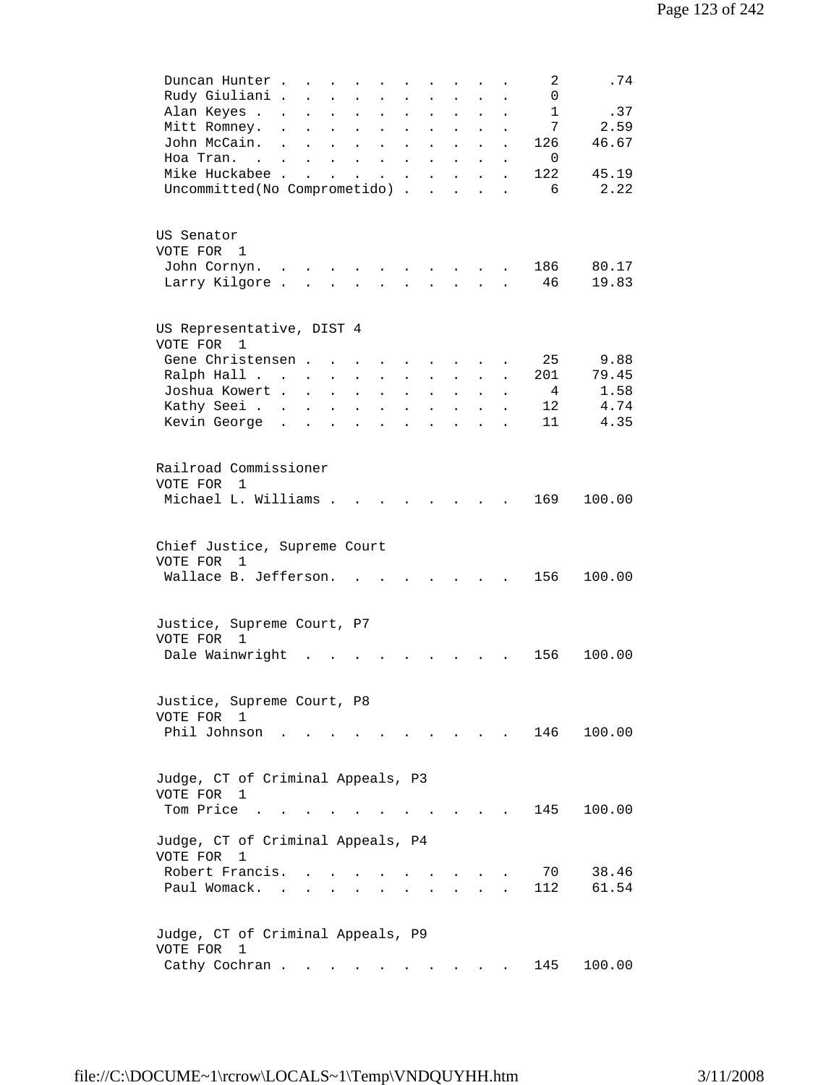| Duncan Hunter<br>Rudy Giuliani .<br>Alan Keyes<br>Mitt Romney.<br>John McCain. .<br>Hoa Tran.<br>Mike Huckabee<br>Uncommitted (No Comprometido). | $\sim$ $\sim$<br>$\sim$ $\sim$<br>$\mathbf{L} = \mathbf{L}$<br>$\mathbf{L}^{\text{max}}$ | $\ddot{\phantom{0}}$<br>$\ddot{\phantom{a}}$<br>$\ddot{\phantom{a}}$<br>$\ddot{\phantom{a}}$<br>$\ddot{\phantom{a}}$<br>$\ddot{\phantom{a}}$<br>$\mathbf{L}^{\text{max}}$ | $\ddot{\phantom{0}}$<br>$\ddot{\phantom{0}}$<br>$\ddot{\phantom{a}}$<br><b>All Contracts</b> | $\ddot{\phantom{a}}$<br>$\ddot{\phantom{a}}$<br>$\mathbf{L}^{\text{max}}$                | $\ddot{\phantom{a}}$<br>$\ddot{\phantom{a}}$<br>$\ddot{\phantom{a}}$<br>$\bullet$ .<br><br><br><br><br><br><br><br><br><br><br><br><br>$\bullet$ .<br><br><br><br><br><br><br><br><br><br><br><br><br>$\ddot{\phantom{a}}$ | $\ddot{\phantom{a}}$<br>$\ddot{\phantom{a}}$<br>$\ddot{\phantom{a}}$<br>$\bullet$<br>$\bullet$<br>$\ddot{\phantom{a}}$<br>$\bullet$<br>$\ddot{\phantom{a}}$<br>$\ddot{\phantom{a}}$ | $\ddot{\phantom{a}}$                                      | 2<br>0<br>1<br>7<br>126<br>0<br>122<br>6 | .74<br>.37<br>2.59<br>46.67<br>45.19<br>2.22 |  |
|--------------------------------------------------------------------------------------------------------------------------------------------------|------------------------------------------------------------------------------------------|---------------------------------------------------------------------------------------------------------------------------------------------------------------------------|----------------------------------------------------------------------------------------------|------------------------------------------------------------------------------------------|----------------------------------------------------------------------------------------------------------------------------------------------------------------------------------------------------------------------------|-------------------------------------------------------------------------------------------------------------------------------------------------------------------------------------|-----------------------------------------------------------|------------------------------------------|----------------------------------------------|--|
| US Senator<br>VOTE FOR 1<br>John Cornyn.<br>Larry Kilgore                                                                                        |                                                                                          |                                                                                                                                                                           |                                                                                              |                                                                                          |                                                                                                                                                                                                                            |                                                                                                                                                                                     |                                                           | 186<br>46                                | 80.17<br>19.83                               |  |
| US Representative, DIST 4<br>VOTE FOR<br>$\overline{1}$<br>Gene Christensen<br>Ralph Hall<br>Joshua Kowert<br>Kathy Seei<br>Kevin George         |                                                                                          | $\sim$<br>$\mathbf{L}$<br>$\ddot{\phantom{a}}$<br>$\ddot{\phantom{a}}$                                                                                                    | $\ddot{\phantom{a}}$<br>$\ddot{\phantom{0}}$<br>$\ddot{\phantom{a}}$                         | $\ddot{\phantom{a}}$<br>$\ddot{\phantom{a}}$<br>$\ddot{\phantom{a}}$<br>$\sim$ 100 $\pm$ | $\ddot{\phantom{a}}$<br>$\ddot{\phantom{a}}$<br>$\ddot{\phantom{a}}$<br>$\sim$<br>$\mathbf{L} = \mathbf{L}$                                                                                                                | $\ddot{\phantom{0}}$<br>$\ddot{\phantom{a}}$<br>$\ddot{\phantom{a}}$<br>$\ddot{\phantom{a}}$<br>$\ddot{\phantom{0}}$                                                                | $\ddot{\phantom{0}}$                                      | 25<br>201<br>$\overline{4}$<br>12<br>11  | 9.88<br>79.45<br>1.58<br>4.74<br>4.35        |  |
| Railroad Commissioner<br>VOTE FOR 1<br>Michael L. Williams                                                                                       |                                                                                          |                                                                                                                                                                           |                                                                                              |                                                                                          |                                                                                                                                                                                                                            |                                                                                                                                                                                     |                                                           | 169                                      | 100.00                                       |  |
| Chief Justice, Supreme Court<br>VOTE FOR<br>$\mathbf{1}$<br>Wallace B. Jefferson.                                                                |                                                                                          |                                                                                                                                                                           | $\mathbf{r}$ , $\mathbf{r}$ , $\mathbf{r}$ , $\mathbf{r}$ , $\mathbf{r}$                     |                                                                                          |                                                                                                                                                                                                                            |                                                                                                                                                                                     |                                                           | 156                                      | 100.00                                       |  |
| Justice, Supreme Court, P7<br>VOTE FOR 1<br>Dale Wainwright                                                                                      |                                                                                          |                                                                                                                                                                           |                                                                                              |                                                                                          |                                                                                                                                                                                                                            |                                                                                                                                                                                     |                                                           | 156                                      | 100.00                                       |  |
| Justice, Supreme Court, P8<br>VOTE FOR 1<br>Phil Johnson                                                                                         |                                                                                          |                                                                                                                                                                           |                                                                                              |                                                                                          |                                                                                                                                                                                                                            |                                                                                                                                                                                     | $\mathbf{r}$ , $\mathbf{r}$ , $\mathbf{r}$ , $\mathbf{r}$ | 146                                      | 100.00                                       |  |
| Judge, CT of Criminal Appeals, P3<br>VOTE FOR 1<br>Tom Price                                                                                     |                                                                                          |                                                                                                                                                                           |                                                                                              |                                                                                          |                                                                                                                                                                                                                            |                                                                                                                                                                                     |                                                           | 145                                      | 100.00                                       |  |
| Judge, CT of Criminal Appeals, P4<br>VOTE FOR<br>1<br>Robert Francis.<br>Paul Womack                                                             |                                                                                          |                                                                                                                                                                           |                                                                                              |                                                                                          |                                                                                                                                                                                                                            |                                                                                                                                                                                     |                                                           | 70<br>112                                | 38.46<br>61.54                               |  |
| Judge, CT of Criminal Appeals, P9<br>VOTE FOR<br>1<br>Cathy Cochran                                                                              |                                                                                          |                                                                                                                                                                           |                                                                                              |                                                                                          |                                                                                                                                                                                                                            |                                                                                                                                                                                     |                                                           | 145                                      | 100.00                                       |  |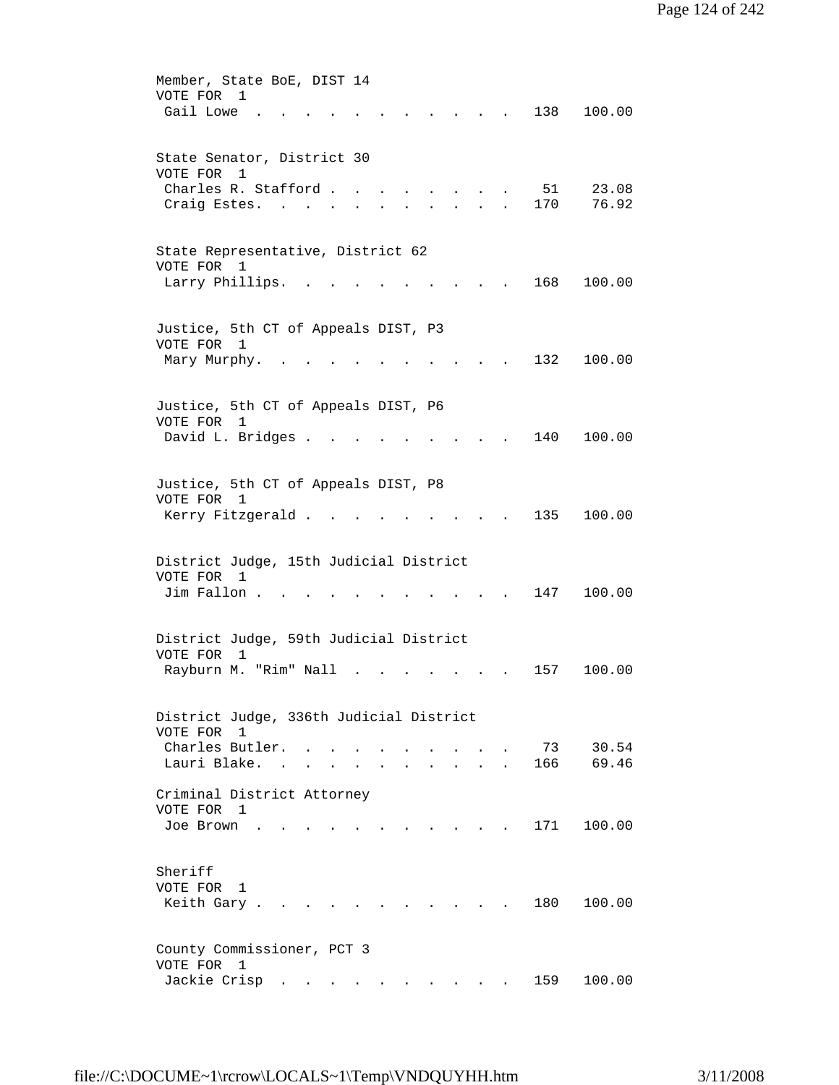| Member, State BoE, DIST 14<br>VOTE FOR<br>1                        |  |
|--------------------------------------------------------------------|--|
| Gail Lowe.<br>138<br>100.00                                        |  |
| State Senator, District 30<br>VOTE FOR 1                           |  |
| Charles R. Stafford<br>51<br>23.08                                 |  |
| 76.92<br>170<br>Craig Estes.<br>$\sim$ 100                         |  |
| State Representative, District 62<br>VOTE FOR 1                    |  |
| Larry Phillips.<br>168<br>100.00<br><b>Contract Contract</b>       |  |
| Justice, 5th CT of Appeals DIST, P3                                |  |
| VOTE FOR 1                                                         |  |
| 100.00<br>Mary Murphy.<br>132                                      |  |
| Justice, 5th CT of Appeals DIST, P6                                |  |
| VOTE FOR<br>1<br>David L. Bridges .<br>140<br>100.00               |  |
|                                                                    |  |
| Justice, 5th CT of Appeals DIST, P8                                |  |
| VOTE FOR 1                                                         |  |
| 135<br>100.00<br>Kerry Fitzgerald.                                 |  |
| District Judge, 15th Judicial District                             |  |
| VOTE FOR<br>$\overline{1}$                                         |  |
| Jim Fallon.<br>147<br>100.00                                       |  |
|                                                                    |  |
| District Judge, 59th Judicial District<br>VOTE FOR<br>$\mathbf{1}$ |  |
| Rayburn M. "Rim" Nall<br>157<br>100.00                             |  |
| District Judge, 336th Judicial District                            |  |
| VOTE FOR 1                                                         |  |
| 30.54<br>Charles Butler.<br>73<br>69.46<br>Lauri Blake. .          |  |
| 166                                                                |  |
| Criminal District Attorney                                         |  |
| VOTE FOR 1                                                         |  |
| 171<br>100.00<br>Joe Brown                                         |  |
| Sheriff                                                            |  |
| VOTE FOR 1<br>180<br>Keith Gary.<br>100.00                         |  |
|                                                                    |  |
| County Commissioner, PCT 3<br>VOTE FOR<br>$\mathbf{1}$             |  |
| Jackie Crisp<br>100.00<br>159                                      |  |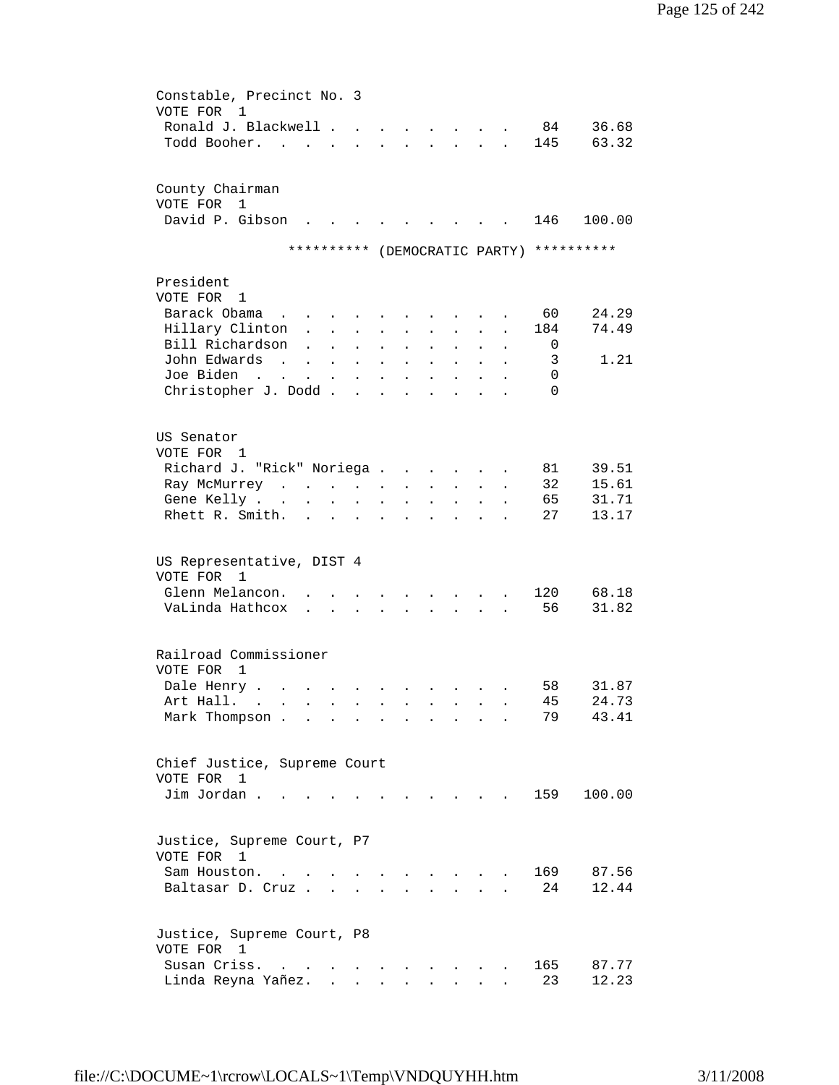| VOTE FOR<br>Todd Booher.                | Constable, Precinct No. 3<br>1<br>Ronald J. Blackwell .<br>$\sim$<br>$\overline{a}$                                                             |                                                                                                                                                                                                                                      |                                                                           | $\mathbf{L} = \mathbf{L}$                                            |                      | <b>Contract Contract Contract</b><br>$\mathbf{L}$ | $\mathbf{r}$ | 84<br>145               | 36.68<br>63.32                           |
|-----------------------------------------|-------------------------------------------------------------------------------------------------------------------------------------------------|--------------------------------------------------------------------------------------------------------------------------------------------------------------------------------------------------------------------------------------|---------------------------------------------------------------------------|----------------------------------------------------------------------|----------------------|---------------------------------------------------|--------------|-------------------------|------------------------------------------|
| VOTE FOR                                | County Chairman<br>1<br>David P. Gibson                                                                                                         |                                                                                                                                                                                                                                      |                                                                           |                                                                      |                      |                                                   |              | 146                     | 100.00                                   |
|                                         |                                                                                                                                                 |                                                                                                                                                                                                                                      |                                                                           |                                                                      |                      |                                                   |              |                         | ********** (DEMOCRATIC PARTY) ********** |
| President<br>VOTE FOR 1<br>Barack Obama | $\sim$<br>Hillary Clinton<br>$\ddot{\phantom{a}}$                                                                                               |                                                                                                                                                                                                                                      | $\ddot{\phantom{0}}$                                                      | $\ddot{\phantom{a}}$                                                 |                      |                                                   |              | 60<br>184               | 24.29<br>74.49                           |
| John Edwards<br>Joe Biden               | Bill Richardson<br>$\ddot{\phantom{a}}$<br>$\sim$<br>$\ddot{\phantom{a}}$<br>$\sim$ $\sim$<br>$\mathbf{L}^{\text{max}}$<br>Christopher J. Dodd. | $\ddot{\phantom{0}}$<br>$\ddot{\phantom{0}}$                                                                                                                                                                                         | $\ddot{\phantom{a}}$<br>$\bullet$<br>$\ddot{\phantom{a}}$<br>$\mathbf{r}$ | $\ddot{\phantom{0}}$<br>$\ddot{\phantom{a}}$<br>$\ddot{\phantom{a}}$ |                      |                                                   |              | 0<br>3<br>0<br>$\Omega$ | 1.21                                     |
| US Senator<br>VOTE FOR 1<br>Gene Kelly. | Richard J. "Rick" Noriega .<br>Ray McMurrey<br>Rhett R. Smith.<br>$\ddot{\phantom{a}}$                                                          |                                                                                                                                                                                                                                      |                                                                           | $\ddot{\phantom{0}}$                                                 | $\ddot{\phantom{a}}$ |                                                   |              | 81<br>32<br>65<br>27    | 39.51<br>15.61<br>31.71<br>13.17         |
| VOTE FOR                                | US Representative, DIST 4<br>1<br>Glenn Melancon.<br>VaLinda Hathcox<br>$\ddot{\phantom{a}}$                                                    | $\sim$ $\sim$                                                                                                                                                                                                                        |                                                                           |                                                                      |                      |                                                   |              | 120<br>56               | 68.18<br>31.82                           |
| VOTE FOR<br>Dale Henry .<br>Art Hall.   | Railroad Commissioner<br>1<br>and the state of the state of the<br>$\sim$ $\sim$ $\sim$<br>Mark Thompson.<br>$\ddot{\phantom{a}}$               |                                                                                                                                                                                                                                      | $\sim$ $\sim$                                                             |                                                                      |                      | $\sim$ $\sim$ $\sim$ $\sim$                       |              | 58<br>45<br>79          | 31.87<br>24.73<br>43.41                  |
| VOTE FOR 1<br>Jim Jordan.               | Chief Justice, Supreme Court                                                                                                                    |                                                                                                                                                                                                                                      |                                                                           |                                                                      |                      |                                                   |              | 159                     | 100.00                                   |
| VOTE FOR 1<br>Sam Houston.              | Justice, Supreme Court, P7<br>$\sim$ $\sim$<br>Baltasar D. Cruz                                                                                 |                                                                                                                                                                                                                                      |                                                                           |                                                                      |                      |                                                   |              | 169<br>24               | 87.56<br>12.44                           |
| VOTE FOR 1<br>Susan Criss.              | Justice, Supreme Court, P8<br>$\sim$<br>Linda Reyna Yañez.                                                                                      | <u>in the contract of the contract of the contract of the contract of the contract of the contract of the contract of the contract of the contract of the contract of the contract of the contract of the contract of the contra</u> |                                                                           |                                                                      |                      |                                                   |              | 165<br>23               | 87.77<br>12.23                           |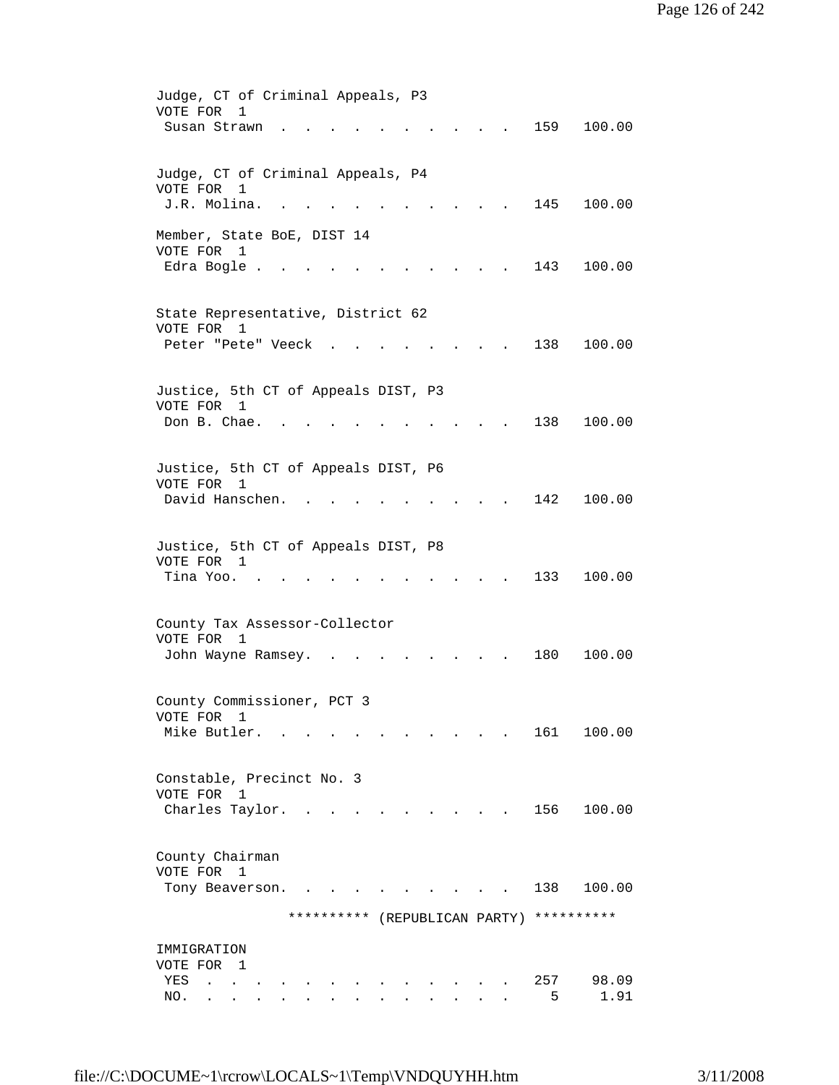| Judge, CT of Criminal Appeals, P3              |
|------------------------------------------------|
| VOTE FOR<br>1                                  |
| 159<br>100.00<br>Susan Strawn                  |
|                                                |
| Judge, CT of Criminal Appeals, P4              |
| VOTE FOR<br>1                                  |
| J.R. Molina.<br>145<br>100.00                  |
|                                                |
| Member, State BoE, DIST 14<br>VOTE FOR 1       |
| Edra Bogle .<br>143<br>100.00                  |
|                                                |
|                                                |
| State Representative, District 62              |
| VOTE FOR 1                                     |
| Peter "Pete" Veeck<br>138<br>100.00            |
|                                                |
| Justice, 5th CT of Appeals DIST, P3            |
| VOTE FOR 1                                     |
| Don B. Chae.<br>138<br>100.00                  |
|                                                |
| Justice, 5th CT of Appeals DIST, P6            |
| VOTE FOR 1                                     |
| David Hanschen.<br>142<br>100.00               |
|                                                |
|                                                |
| Justice, 5th CT of Appeals DIST, P8            |
| VOTE FOR 1<br>100.00<br>Tina Yoo. .<br>133     |
|                                                |
|                                                |
| County Tax Assessor-Collector                  |
| VOTE FOR<br>1                                  |
| 180<br>100.00<br>John Wayne Ramsey.            |
|                                                |
| County Commissioner, PCT 3                     |
| VOTE FOR<br>ı                                  |
| Mike Butler.<br>161<br>100.00                  |
|                                                |
| Constable, Precinct No. 3                      |
| VOTE FOR 1                                     |
| 156<br>100.00<br>Charles Taylor.               |
|                                                |
|                                                |
| County Chairman                                |
| VOTE FOR 1<br>100.00<br>138<br>Tony Beaverson. |
|                                                |
| ********** (REPUBLICAN PARTY)<br>**********    |
|                                                |
| IMMIGRATION                                    |
| VOTE FOR 1                                     |
| 257<br>98.09<br>YES<br>5<br>1.91               |
| NO.                                            |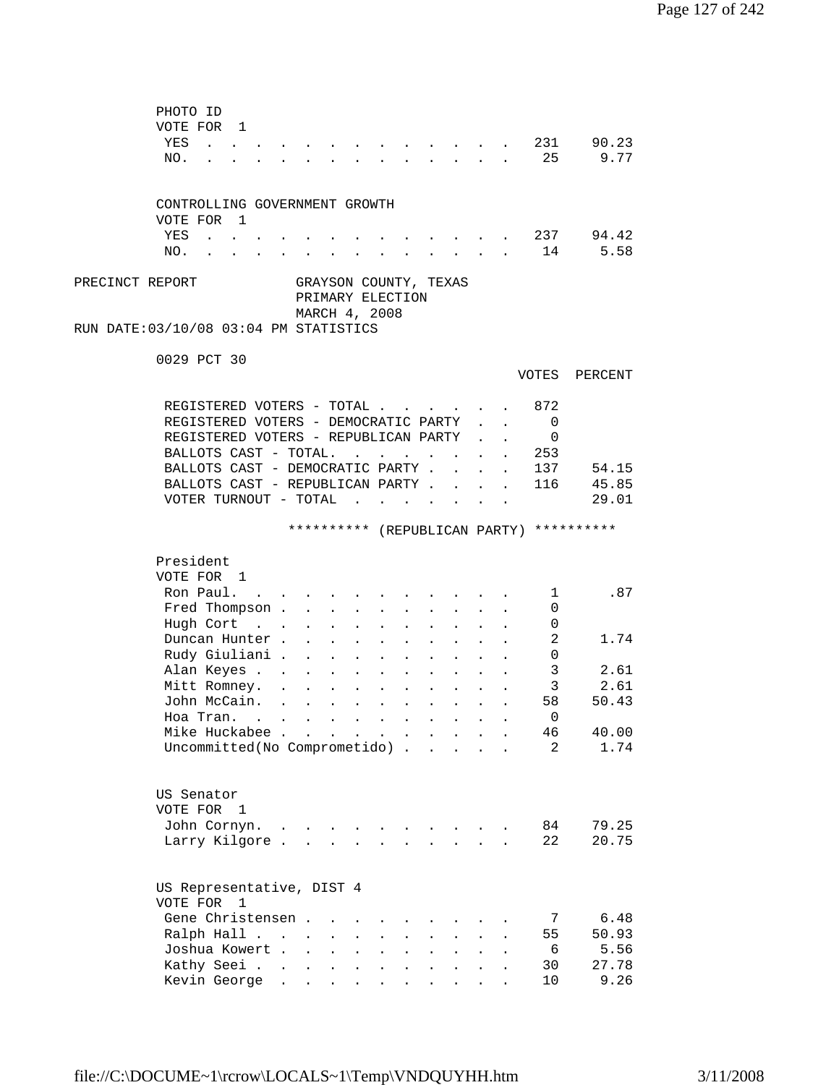| PHOTO ID<br>VOTE FOR 1<br>YES<br>$\mathbf{r}$ , $\mathbf{r}$ , $\mathbf{r}$ , $\mathbf{r}$<br>NO. |                                          |                           |                      |                           |                                                                                                                                     |                               | $\sim$                                   |                                                              | <b>Contract</b>           |              | 231<br>25                | 90.23<br>9.77                            |
|---------------------------------------------------------------------------------------------------|------------------------------------------|---------------------------|----------------------|---------------------------|-------------------------------------------------------------------------------------------------------------------------------------|-------------------------------|------------------------------------------|--------------------------------------------------------------|---------------------------|--------------|--------------------------|------------------------------------------|
| CONTROLLING GOVERNMENT GROWTH                                                                     |                                          |                           |                      |                           |                                                                                                                                     |                               |                                          |                                                              |                           |              |                          |                                          |
| VOTE FOR 1                                                                                        |                                          |                           |                      |                           |                                                                                                                                     |                               |                                          |                                                              |                           |              |                          |                                          |
| YES<br>$\mathcal{L}(\mathcal{A})$ , and $\mathcal{L}(\mathcal{A})$ , and                          |                                          |                           |                      |                           |                                                                                                                                     |                               |                                          |                                                              |                           |              | . 237                    | 94.42                                    |
| NO.<br>$\sim$ $\sim$                                                                              |                                          |                           |                      |                           | and a strong control of the strong                                                                                                  | $\mathbf{A}$ and $\mathbf{A}$ |                                          | $\mathbf{L} = \mathbf{L} \mathbf{L} + \mathbf{L} \mathbf{L}$ |                           |              | 14                       | 5.58                                     |
| PRECINCT REPORT<br>RUN DATE:03/10/08 03:04 PM STATISTICS                                          |                                          |                           |                      |                           | PRIMARY ELECTION<br>MARCH 4, 2008                                                                                                   |                               |                                          | GRAYSON COUNTY, TEXAS                                        |                           |              |                          |                                          |
| 0029 PCT 30                                                                                       |                                          |                           |                      |                           |                                                                                                                                     |                               |                                          |                                                              |                           |              | VOTES                    | PERCENT                                  |
|                                                                                                   |                                          |                           |                      |                           |                                                                                                                                     |                               |                                          |                                                              |                           |              |                          |                                          |
| REGISTERED VOTERS - TOTAL                                                                         |                                          |                           |                      |                           |                                                                                                                                     |                               |                                          |                                                              |                           |              | 872                      |                                          |
| REGISTERED VOTERS - DEMOCRATIC PARTY                                                              |                                          |                           |                      |                           |                                                                                                                                     |                               |                                          |                                                              |                           |              | $\overline{\phantom{0}}$ |                                          |
| REGISTERED VOTERS - REPUBLICAN PARTY<br>BALLOTS CAST - TOTAL.                                     |                                          |                           |                      |                           |                                                                                                                                     |                               |                                          |                                                              |                           |              | $\mathbf 0$<br>253       |                                          |
| BALLOTS CAST - DEMOCRATIC PARTY.                                                                  |                                          |                           |                      |                           |                                                                                                                                     |                               |                                          | $\sim$                                                       | $\mathbf{L}$              | $\mathbf{r}$ | 137                      | 54.15                                    |
| BALLOTS CAST - REPUBLICAN PARTY                                                                   |                                          |                           |                      |                           |                                                                                                                                     |                               |                                          |                                                              |                           |              | 116                      | 45.85                                    |
| VOTER TURNOUT - TOTAL $\cdot \cdot \cdot \cdot \cdot \cdot$                                       |                                          |                           |                      |                           |                                                                                                                                     |                               |                                          |                                                              |                           |              |                          | 29.01                                    |
|                                                                                                   |                                          |                           |                      |                           |                                                                                                                                     |                               |                                          |                                                              |                           |              |                          | ********** (REPUBLICAN PARTY) ********** |
| President<br>VOTE FOR 1                                                                           |                                          |                           |                      |                           |                                                                                                                                     |                               |                                          |                                                              |                           |              |                          |                                          |
| Ron Paul. .                                                                                       |                                          |                           |                      |                           |                                                                                                                                     |                               |                                          |                                                              |                           |              | $\mathbf{1}$             | .87                                      |
| Fred Thompson                                                                                     |                                          |                           |                      | $\sim$ $\sim$             | $\sim$                                                                                                                              |                               | $\mathbf{L}$ and $\mathbf{L}$            |                                                              | $\mathbf{L} = \mathbf{L}$ |              | 0                        |                                          |
| Hugh Cort.                                                                                        |                                          | $\mathbf{L}$              | $\mathbf{L}$         | $\sim$                    | $\sim$                                                                                                                              | $\ddot{\phantom{a}}$          | $\sim$                                   | $\mathbf{L}^{\text{max}}$                                    |                           |              | 0                        |                                          |
| Duncan Hunter.                                                                                    |                                          | $\ddot{\phantom{a}}$      |                      | <b>Contract Contract</b>  |                                                                                                                                     | $\ddot{\phantom{a}}$          | $\sim$ $\sim$ $\sim$                     |                                                              |                           |              | 2                        | 1.74                                     |
| Rudy Giuliani .                                                                                   |                                          | $\mathbf{L}^{\text{max}}$ | $\ddot{\phantom{a}}$ | $\mathbf{L}^{\text{max}}$ | $\mathbf{L}^{\text{max}}$                                                                                                           | $\bullet$                     | <b>Contractor</b>                        | $\mathbf{L}$                                                 |                           |              | 0                        |                                          |
| Alan Keyes                                                                                        |                                          |                           | $\bullet$            | $\mathbf{L}^{\text{max}}$ | $\mathbf{z} = \mathbf{z}$                                                                                                           |                               | $\mathbf{z} = \mathbf{z} + \mathbf{z}$ . |                                                              |                           |              | $\mathbf{3}$             | 2.61                                     |
| Mitt Romney.                                                                                      | $\mathbf{r} = \mathbf{r} + \mathbf{r}$ . |                           | $\bullet$            | <b>Contractor</b>         | $\mathbf{L}^{\text{max}}$                                                                                                           |                               | $\ddot{\phantom{0}}$                     |                                                              |                           |              | $\overline{3}$           | 2.61                                     |
| John McCain.                                                                                      |                                          |                           |                      |                           | $\begin{array}{cccccccccccccc} \bullet & \bullet & \bullet & \bullet & \bullet & \bullet & \bullet & \bullet & \bullet \end{array}$ |                               |                                          | $\bullet$                                                    |                           |              | 58<br>$\overline{0}$     | 50.43                                    |
| Hoa Tran. $\ldots$ $\ldots$ $\ldots$ .<br>Mike Huckabee                                           |                                          |                           |                      |                           | $\mathbf{z} = \mathbf{z} + \mathbf{z}$ , where $\mathbf{z} = \mathbf{z}$                                                            | $\bullet$ .                   | $\ddot{\phantom{a}}$                     |                                                              |                           |              | 46                       | 40.00                                    |
| Uncommitted(No Comprometido).                                                                     |                                          |                           |                      |                           |                                                                                                                                     |                               | $\sim$ $\sim$                            | $\sim$ $\sim$                                                |                           |              | 2                        | 1.74                                     |
| US Senator<br>VOTE FOR 1<br>John Cornyn.                                                          |                                          |                           |                      |                           |                                                                                                                                     |                               |                                          |                                                              |                           |              |                          |                                          |
|                                                                                                   |                                          |                           |                      |                           |                                                                                                                                     |                               |                                          |                                                              |                           |              |                          |                                          |
| Larry Kilgore.                                                                                    | $\bullet$                                |                           |                      |                           |                                                                                                                                     |                               |                                          |                                                              |                           |              | 84<br>22                 | 79.25<br>20.75                           |
| US Representative, DIST 4<br>VOTE FOR<br>$\overline{1}$                                           |                                          |                           |                      |                           |                                                                                                                                     |                               |                                          |                                                              |                           |              |                          |                                          |
| Gene Christensen.                                                                                 |                                          |                           |                      |                           |                                                                                                                                     |                               |                                          |                                                              |                           |              | 7                        | 6.48                                     |
| Ralph Hall                                                                                        |                                          | $\bullet$                 | $\bullet$            |                           |                                                                                                                                     |                               |                                          |                                                              |                           |              | 55                       | 50.93                                    |
| Joshua Kowert .                                                                                   |                                          | $\ddot{\phantom{a}}$      | $\ddot{\phantom{a}}$ |                           |                                                                                                                                     |                               |                                          |                                                              |                           |              | 6                        | 5.56                                     |
| Kathy Seei .<br>Kevin George                                                                      | $\bullet$                                | $\bullet$                 | $\bullet$            | $\ddot{\phantom{0}}$      |                                                                                                                                     |                               |                                          |                                                              |                           |              | 30<br>10                 | 27.78<br>9.26                            |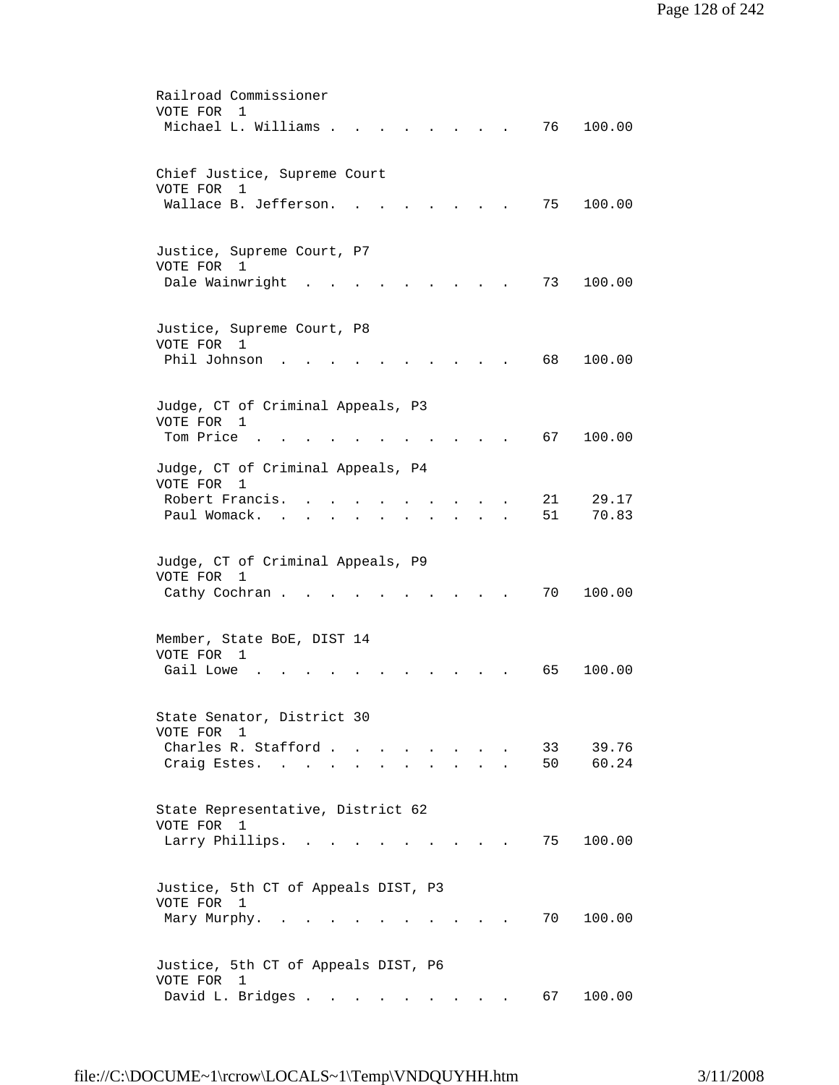| Railroad Commissioner<br>VOTE FOR<br>1                                                             |
|----------------------------------------------------------------------------------------------------|
| Michael L. Williams .<br>76<br>100.00                                                              |
| Chief Justice, Supreme Court<br>VOTE FOR<br>1                                                      |
| Wallace B. Jefferson.<br>75<br>100.00                                                              |
| Justice, Supreme Court, P7<br>VOTE FOR 1                                                           |
| Dale Wainwright<br>73<br>100.00                                                                    |
| Justice, Supreme Court, P8<br>VOTE FOR 1                                                           |
| Phil Johnson<br>100.00<br>68                                                                       |
| Judge, CT of Criminal Appeals, P3<br>VOTE FOR<br>1                                                 |
| Tom Price.<br>67<br>100.00                                                                         |
| Judge, CT of Criminal Appeals, P4<br>VOTE FOR<br>$\mathbf{1}$                                      |
| Robert Francis.<br>21<br>29.17<br>51<br>70.83<br>Paul Womack.                                      |
| Judge, CT of Criminal Appeals, P9                                                                  |
| VOTE FOR<br>-1<br>Cathy Cochran.<br>70<br>100.00                                                   |
| Member, State BoE, DIST 14                                                                         |
| VOTE FOR<br>1<br>100.00<br>Gail Lowe<br>65                                                         |
| State Senator, District 30                                                                         |
| VOTE FOR 1<br>Charles R. Stafford<br>33<br>39.76<br>$\sim$ $\sim$<br>60.24<br>50<br>Craig Estes. . |
|                                                                                                    |
| State Representative, District 62<br>VOTE FOR 1                                                    |
| Larry Phillips.<br>75<br>100.00<br>$\ddot{\phantom{a}}$                                            |
| Justice, 5th CT of Appeals DIST, P3<br>VOTE FOR 1                                                  |
| 70<br>Mary Murphy.<br>100.00                                                                       |
| Justice, 5th CT of Appeals DIST, P6<br>VOTE FOR 1                                                  |
| David L. Bridges<br>100.00<br>67 —                                                                 |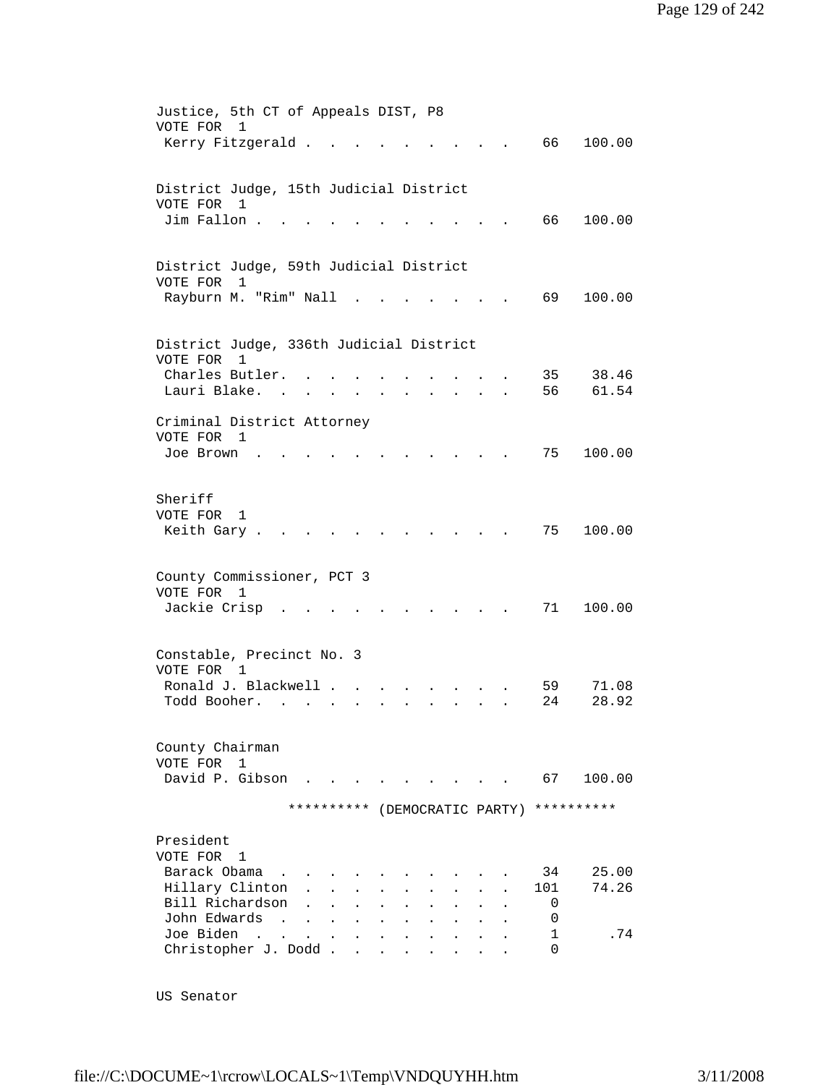| VOTE FOR 1            | Justice, 5th CT of Appeals DIST, P8<br>Kerry Fitzgerald.                        |                                                                                                                 |  |                    | 66 —                     | 100.00         |
|-----------------------|---------------------------------------------------------------------------------|-----------------------------------------------------------------------------------------------------------------|--|--------------------|--------------------------|----------------|
|                       |                                                                                 |                                                                                                                 |  |                    |                          |                |
| VOTE FOR              | District Judge, 15th Judicial District<br>1<br>Jim Fallon.                      |                                                                                                                 |  |                    | 66                       | 100.00         |
|                       |                                                                                 |                                                                                                                 |  |                    |                          |                |
| VOTE FOR              | District Judge, 59th Judicial District<br>$\mathbf{1}$<br>Rayburn M. "Rim" Nall |                                                                                                                 |  |                    | 69                       | 100.00         |
|                       |                                                                                 |                                                                                                                 |  |                    |                          |                |
| VOTE FOR              | District Judge, 336th Judicial District<br>1                                    |                                                                                                                 |  |                    |                          |                |
|                       | Charles Butler.<br>Lauri Blake.                                                 |                                                                                                                 |  |                    | 35<br>56                 | 38.46<br>61.54 |
| VOTE FOR 1            | Criminal District Attorney                                                      |                                                                                                                 |  |                    |                          |                |
| Joe Brown             |                                                                                 |                                                                                                                 |  |                    | 75                       | 100.00         |
| Sheriff<br>VOTE FOR 1 |                                                                                 |                                                                                                                 |  |                    |                          |                |
|                       | Keith Gary.                                                                     |                                                                                                                 |  |                    | 75                       | 100.00         |
| VOTE FOR 1            | County Commissioner, PCT 3                                                      |                                                                                                                 |  |                    |                          |                |
|                       | Jackie Crisp                                                                    |                                                                                                                 |  |                    | 71                       | 100.00         |
| VOTE FOR 1            | Constable, Precinct No. 3                                                       |                                                                                                                 |  |                    |                          |                |
|                       | Ronald J. Blackwell<br>Todd Booher.<br>$\sim$                                   |                                                                                                                 |  |                    | 59<br>24                 | 71.08<br>28.92 |
| VOTE FOR              | County Chairman<br>$\mathbf{1}$                                                 |                                                                                                                 |  |                    |                          |                |
|                       | David P. Gibson                                                                 | the contract of the contract of the contract of the contract of the contract of the contract of the contract of |  |                    | 67                       | 100.00         |
|                       |                                                                                 | **********                                                                                                      |  | (DEMOCRATIC PARTY) |                          | **********     |
| President<br>VOTE FOR | $\mathbf{1}$                                                                    |                                                                                                                 |  |                    |                          |                |
|                       | Barack Obama<br>Hillary Clinton                                                 |                                                                                                                 |  |                    | 34<br>101                | 25.00<br>74.26 |
|                       | Bill Richardson<br>John Edwards                                                 |                                                                                                                 |  |                    | 0<br>0                   |                |
| Joe Biden             | $\sim$ $\sim$<br>Christopher J. Dodd.                                           | $\ddot{\phantom{a}}$<br>$\mathbf{r}$                                                                            |  |                    | $\mathbf{1}$<br>$\Omega$ | .74            |

US Senator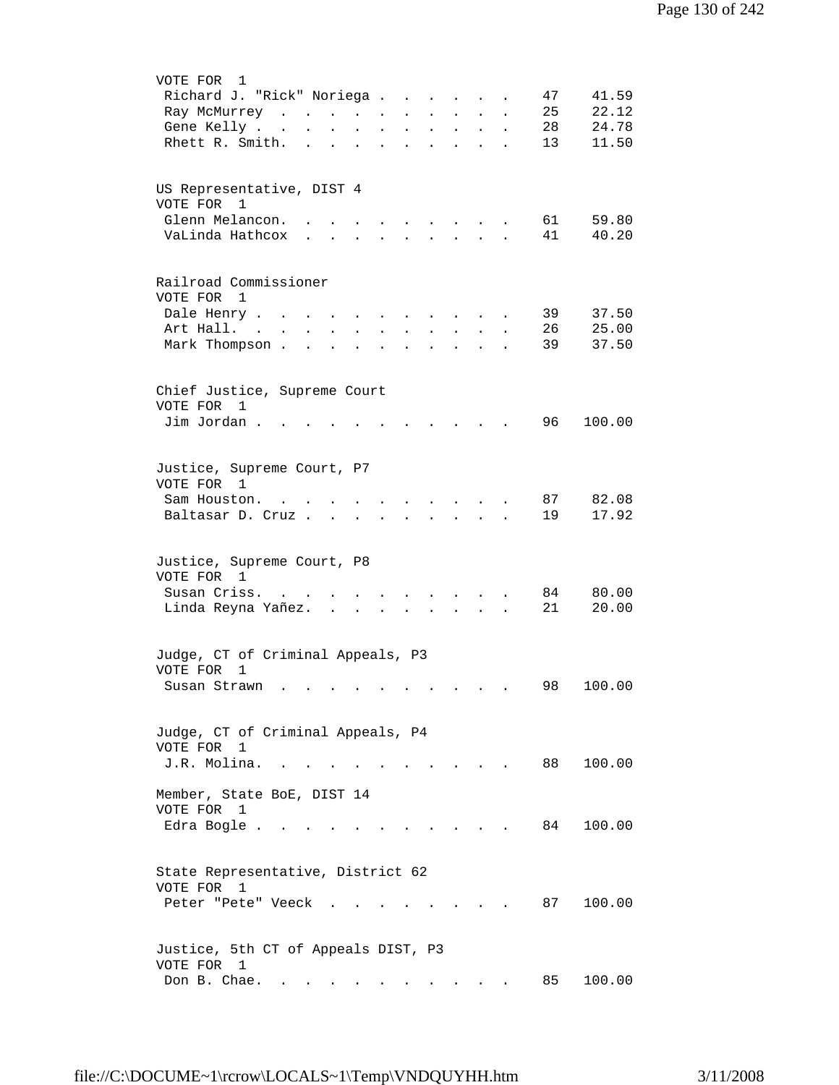| VOTE FOR<br>1                                                                                                                                                                               |
|---------------------------------------------------------------------------------------------------------------------------------------------------------------------------------------------|
| 41.59<br>Richard J. "Rick" Noriega<br>47                                                                                                                                                    |
| 22.12<br>25<br>Ray McMurrey<br>$\mathbf{r} = \mathbf{r} \mathbf{r}$ , where $\mathbf{r} = \mathbf{r} \mathbf{r}$<br>$\mathbf{L}$                                                            |
| 24.78<br>28<br>Gene Kelly<br>$\mathbf{L}^{\text{max}}$<br>$\ddot{\phantom{a}}$<br>$\bullet$<br>$\ddot{\phantom{0}}$<br>$\ddot{\phantom{0}}$<br>$\ddot{\phantom{0}}$<br>$\ddot{\phantom{0}}$ |
| 11.50<br>Rhett R. Smith.<br>13<br>$\ddot{\phantom{a}}$<br>$\bullet$<br>$\ddot{\phantom{a}}$<br>$\ddot{\phantom{a}}$                                                                         |
|                                                                                                                                                                                             |
|                                                                                                                                                                                             |
| US Representative, DIST 4                                                                                                                                                                   |
| VOTE FOR 1                                                                                                                                                                                  |
| Glenn Melancon.<br>61<br>59.80<br>$\ddot{\phantom{a}}$<br><b>Contract Contract Contract</b><br>$\mathbf{r}$ .                                                                               |
| VaLinda Hathcox<br>41<br>40.20<br>$\mathbf{r}$<br>$\mathbf{r}$                                                                                                                              |
|                                                                                                                                                                                             |
|                                                                                                                                                                                             |
| Railroad Commissioner                                                                                                                                                                       |
| VOTE FOR 1                                                                                                                                                                                  |
| Dale Henry<br>39<br>37.50                                                                                                                                                                   |
| $\ddot{\phantom{1}}$<br>Art Hall. .<br>26<br>25.00                                                                                                                                          |
| $\ddot{\phantom{a}}$                                                                                                                                                                        |
| 37.50<br>Mark Thompson.<br>39                                                                                                                                                               |
|                                                                                                                                                                                             |
|                                                                                                                                                                                             |
| Chief Justice, Supreme Court                                                                                                                                                                |
| VOTE FOR<br>1                                                                                                                                                                               |
| Jim Jordan.<br>96 -<br>100.00                                                                                                                                                               |
|                                                                                                                                                                                             |
|                                                                                                                                                                                             |
| Justice, Supreme Court, P7                                                                                                                                                                  |
| VOTE FOR 1                                                                                                                                                                                  |
| 82.08<br>Sam Houston.<br>87 —<br>$\ddot{\phantom{0}}$<br>$\sim$ 10 $\pm$                                                                                                                    |
| 19<br>17.92<br>Baltasar D. Cruz .<br>$\mathbf{L} = \mathbf{L}$<br>$\mathbf{r}$<br>$\mathbf{L}$                                                                                              |
|                                                                                                                                                                                             |
|                                                                                                                                                                                             |
| Justice, Supreme Court, P8                                                                                                                                                                  |
| VOTE FOR 1                                                                                                                                                                                  |
| Susan Criss.<br>80.00<br>84                                                                                                                                                                 |
| 21<br>Linda Reyna Yañez.<br>20.00<br>$\sim$                                                                                                                                                 |
|                                                                                                                                                                                             |
|                                                                                                                                                                                             |
| Judge, CT of Criminal Appeals, P3                                                                                                                                                           |
| VOTE FOR<br>1                                                                                                                                                                               |
| 100.00<br>98<br>Susan Strawn                                                                                                                                                                |
|                                                                                                                                                                                             |
|                                                                                                                                                                                             |
| Judge, CT of Criminal Appeals, P4                                                                                                                                                           |
| VOTE FOR 1                                                                                                                                                                                  |
| J.R. Molina.<br>88<br>100.00                                                                                                                                                                |
|                                                                                                                                                                                             |
| Member, State BoE, DIST 14                                                                                                                                                                  |
| VOTE FOR 1                                                                                                                                                                                  |
| 100.00<br>Edra Bogle<br>84                                                                                                                                                                  |
|                                                                                                                                                                                             |
|                                                                                                                                                                                             |
|                                                                                                                                                                                             |
| State Representative, District 62<br>VOTE FOR 1                                                                                                                                             |
|                                                                                                                                                                                             |
| 87<br>Peter "Pete" Veeck<br>100.00                                                                                                                                                          |
|                                                                                                                                                                                             |
|                                                                                                                                                                                             |
| Justice, 5th CT of Appeals DIST, P3                                                                                                                                                         |
| VOTE FOR 1                                                                                                                                                                                  |
| Don B. Chae.<br>100.00<br>85<br>the contract of the contract of the                                                                                                                         |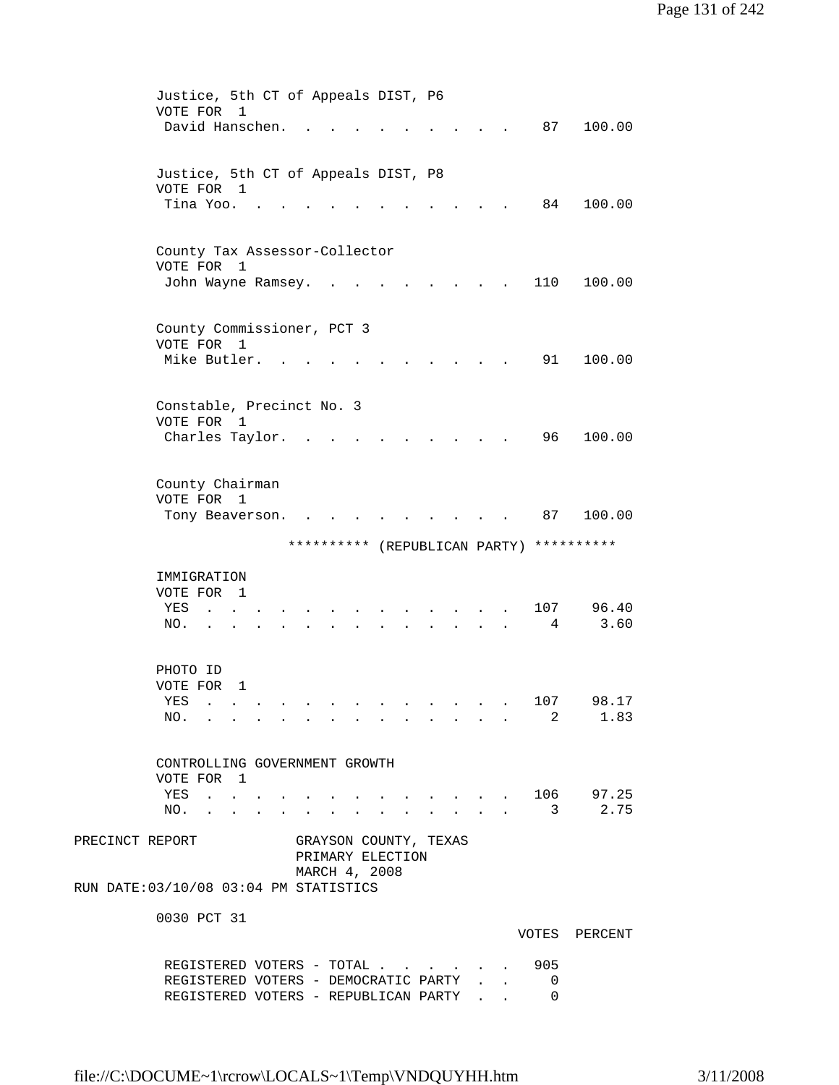| Justice, 5th CT of Appeals DIST, P6         |  |  |                                                         |             |                   |
|---------------------------------------------|--|--|---------------------------------------------------------|-------------|-------------------|
| VOTE FOR<br>$\mathbf{1}$<br>David Hanschen. |  |  |                                                         | 87          | 100.00            |
|                                             |  |  |                                                         |             |                   |
|                                             |  |  |                                                         |             |                   |
| Justice, 5th CT of Appeals DIST, P8         |  |  |                                                         |             |                   |
| VOTE FOR 1                                  |  |  |                                                         |             |                   |
| Tina Yoo.                                   |  |  |                                                         | 84          | 100.00            |
|                                             |  |  |                                                         |             |                   |
| County Tax Assessor-Collector               |  |  |                                                         |             |                   |
| VOTE FOR<br>1                               |  |  |                                                         |             |                   |
| John Wayne Ramsey.                          |  |  |                                                         | 110         | 100.00            |
|                                             |  |  |                                                         |             |                   |
|                                             |  |  |                                                         |             |                   |
| County Commissioner, PCT 3<br>VOTE FOR 1    |  |  |                                                         |             |                   |
| Mike Butler.                                |  |  |                                                         | 91          | 100.00            |
|                                             |  |  |                                                         |             |                   |
|                                             |  |  |                                                         |             |                   |
| Constable, Precinct No. 3                   |  |  |                                                         |             |                   |
| VOTE FOR<br>1                               |  |  |                                                         |             |                   |
| Charles Taylor.                             |  |  |                                                         | 96          | 100.00            |
|                                             |  |  |                                                         |             |                   |
| County Chairman                             |  |  |                                                         |             |                   |
| VOTE FOR<br>$\overline{\phantom{0}}$        |  |  |                                                         |             |                   |
| Tony Beaverson.                             |  |  |                                                         | 87          | 100.00            |
| ********** (REPUBLICAN PARTY)               |  |  |                                                         |             | **********        |
|                                             |  |  |                                                         |             |                   |
| IMMIGRATION                                 |  |  |                                                         |             |                   |
| VOTE FOR 1                                  |  |  |                                                         |             |                   |
| YES                                         |  |  |                                                         | 107         | 96.40             |
| NO.                                         |  |  |                                                         | 4           | 3.60              |
|                                             |  |  |                                                         |             |                   |
| PHOTO ID                                    |  |  |                                                         |             |                   |
| VOTE FOR<br>1                               |  |  |                                                         |             |                   |
| YES<br>.                                    |  |  |                                                         | 107         | 98.17             |
| NO.                                         |  |  |                                                         | $2^{\circ}$ | 1.83              |
|                                             |  |  |                                                         |             |                   |
| CONTROLLING GOVERNMENT GROWTH               |  |  |                                                         |             |                   |
| VOTE FOR 1                                  |  |  |                                                         |             |                   |
| YES                                         |  |  |                                                         |             | $\cdot$ 106 97.25 |
| NO.<br><b>Contract Contract Contract</b>    |  |  | $\mathbf{r} = \mathbf{r}$ and $\mathbf{r} = \mathbf{r}$ | 3           | 2.75              |
|                                             |  |  |                                                         |             |                   |
| PRECINCT REPORT<br>GRAYSON COUNTY, TEXAS    |  |  |                                                         |             |                   |
| PRIMARY ELECTION<br>MARCH 4, 2008           |  |  |                                                         |             |                   |
| RUN DATE: 03/10/08 03:04 PM STATISTICS      |  |  |                                                         |             |                   |
|                                             |  |  |                                                         |             |                   |
| 0030 PCT 31                                 |  |  |                                                         |             |                   |
|                                             |  |  |                                                         |             | VOTES PERCENT     |
|                                             |  |  |                                                         |             |                   |
| REGISTERED VOTERS - TOTAL 905               |  |  |                                                         |             |                   |
| REGISTERED VOTERS - DEMOCRATIC PARTY        |  |  |                                                         | 0           |                   |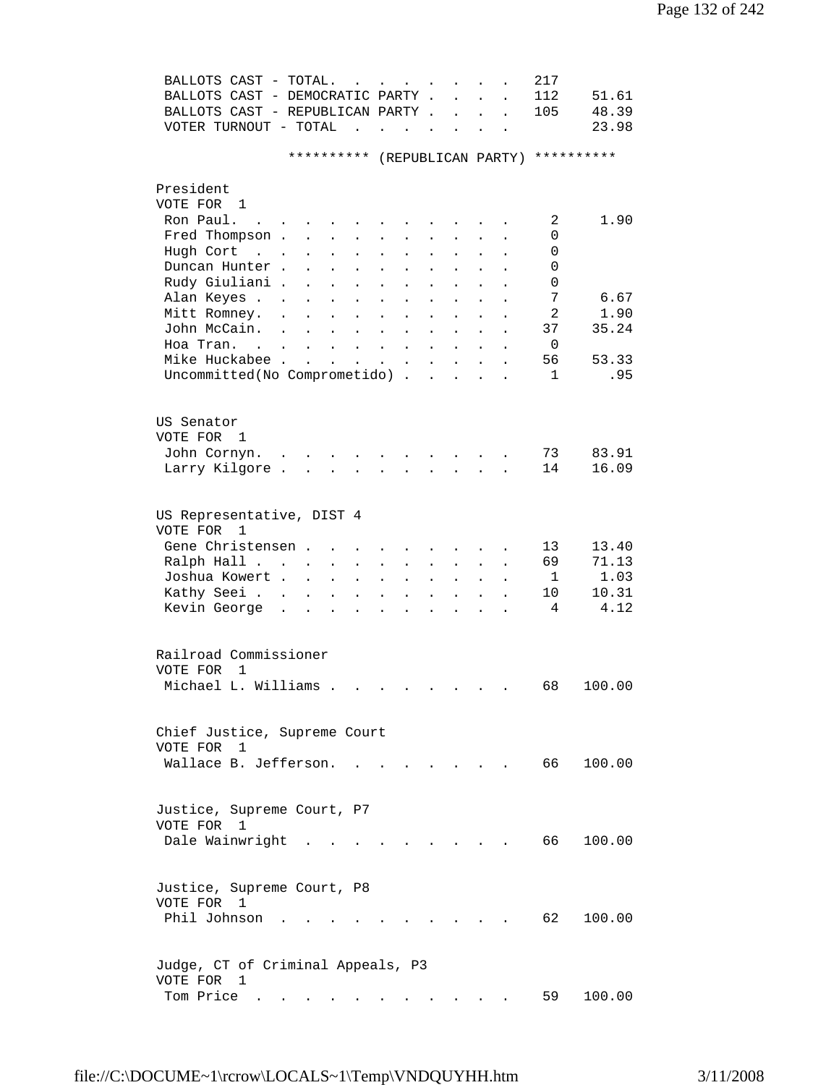| BALLOTS CAST - TOTAL.                               |                                                                      | $\sim$                            | $\mathbf{L}$ and $\mathbf{L}$ and $\mathbf{L}$                           |                      |                      | $\ddot{\phantom{a}}$     |                      | 217          |        |  |
|-----------------------------------------------------|----------------------------------------------------------------------|-----------------------------------|--------------------------------------------------------------------------|----------------------|----------------------|--------------------------|----------------------|--------------|--------|--|
| BALLOTS CAST - DEMOCRATIC PARTY .                   |                                                                      |                                   |                                                                          |                      | $\ddot{\phantom{a}}$ | $\ddot{\phantom{0}}$     |                      | 112          | 51.61  |  |
| BALLOTS CAST - REPUBLICAN PARTY.                    |                                                                      |                                   |                                                                          |                      | $\ddot{\phantom{a}}$ | $\ddot{\phantom{0}}$     | $\ddot{\phantom{a}}$ | 105          | 48.39  |  |
| VOTER TURNOUT - TOTAL                               | $\ddot{\phantom{a}}$                                                 |                                   |                                                                          | $\sim$               | $\ddot{\phantom{a}}$ |                          |                      |              | 23.98  |  |
|                                                     | **********                                                           |                                   | (REPUBLICAN PARTY)                                                       |                      |                      |                          |                      | **********   |        |  |
| President                                           |                                                                      |                                   |                                                                          |                      |                      |                          |                      |              |        |  |
| VOTE FOR 1                                          |                                                                      |                                   |                                                                          |                      |                      |                          |                      |              |        |  |
| Ron Paul.<br>$\mathbf{r}$ . The set of $\mathbf{r}$ |                                                                      |                                   |                                                                          |                      |                      |                          |                      | 2            | 1.90   |  |
| Fred Thompson.                                      | $\mathbf{L} = \mathbf{L}$                                            |                                   | $\mathbf{A}^{\text{max}}$<br>$\ddot{\phantom{0}}$                        | $\sim$               |                      |                          |                      | 0            |        |  |
| Hugh Cort<br>$\sim 10^{-11}$ km s $^{-1}$           | $\ddot{\phantom{0}}$<br>$\ddot{\phantom{0}}$                         | $\blacksquare$                    | $\bullet$<br>$\ddot{\phantom{0}}$                                        | $\bullet$            |                      | $\ddot{\phantom{0}}$     |                      | 0            |        |  |
| Duncan Hunter.                                      | $\ddot{\phantom{a}}$                                                 | $\bullet$                         | $\bullet$                                                                |                      |                      |                          |                      | 0            |        |  |
| Rudy Giuliani.                                      |                                                                      | $\bullet$                         | $\ddot{\phantom{0}}$                                                     | $\bullet$            |                      |                          |                      | 0            |        |  |
| Alan Keyes .                                        |                                                                      |                                   | $\bullet$<br>$\ddot{\phantom{0}}$                                        |                      |                      |                          |                      | 7            | 6.67   |  |
| Mitt Romney.                                        | $\ddot{\phantom{a}}$                                                 | $\ddot{\phantom{0}}$              | $\ddot{\phantom{0}}$                                                     |                      |                      |                          |                      | 2            | 1.90   |  |
| John McCain.                                        |                                                                      | $\ddot{\phantom{a}}$              |                                                                          |                      |                      |                          |                      | 37           | 35.24  |  |
|                                                     |                                                                      | $\ddot{\phantom{a}}$              | $\ddot{\phantom{a}}$                                                     |                      |                      |                          |                      |              |        |  |
| Hoa Tran. .                                         |                                                                      | $\ddot{\phantom{a}}$              | $\sim$<br>$\ddot{\phantom{a}}$                                           | $\ddot{\phantom{0}}$ | $\ddot{\phantom{a}}$ |                          |                      | 0            |        |  |
| Mike Huckabee.                                      | $\sim$ $\sim$<br>$\ddot{\phantom{a}}$                                | <b>Contract Contract Contract</b> | $\mathcal{L}^{\text{max}}$<br>$\bullet$                                  | $\mathbf{L}$         | $\sim 100$           | $\ddot{\phantom{a}}$     |                      | 56           | 53.33  |  |
| Uncommitted(No Comprometido) .                      |                                                                      |                                   |                                                                          |                      |                      |                          |                      | $\mathbf{1}$ | .95    |  |
| US Senator                                          |                                                                      |                                   |                                                                          |                      |                      |                          |                      |              |        |  |
| VOTE FOR 1                                          |                                                                      |                                   |                                                                          |                      |                      |                          |                      |              |        |  |
|                                                     |                                                                      |                                   |                                                                          |                      |                      |                          |                      | 73           | 83.91  |  |
| John Cornyn. .                                      |                                                                      |                                   |                                                                          |                      |                      |                          |                      | 14           | 16.09  |  |
| Larry Kilgore.                                      |                                                                      |                                   |                                                                          | $\mathbf{L}$         | $\mathbf{r}$         |                          |                      |              |        |  |
| US Representative, DIST 4<br>VOTE FOR<br>1          |                                                                      |                                   |                                                                          |                      |                      |                          |                      |              |        |  |
| Gene Christensen.                                   | $\ddot{\phantom{a}}$                                                 |                                   |                                                                          |                      |                      |                          |                      | 13           | 13.40  |  |
| Ralph Hall                                          | $\bullet$                                                            | $\bullet$                         | $\bullet$<br>$\ddot{\phantom{0}}$                                        |                      |                      |                          |                      | 69           | 71.13  |  |
| Joshua Kowert .                                     | $\bullet$                                                            | $\ddot{\phantom{a}}$              | $\bullet$<br>$\ddot{\phantom{0}}$                                        |                      |                      |                          |                      | $\mathbf{1}$ | 1.03   |  |
| Kathy Seei                                          |                                                                      |                                   |                                                                          |                      |                      |                          |                      | 10           | 10.31  |  |
| Kevin George                                        | $\ddot{\phantom{a}}$<br>$\ddot{\phantom{a}}$<br>$\ddot{\phantom{0}}$ | $\bullet$                         | $\bullet$                                                                |                      |                      |                          |                      | 4            | 4.12   |  |
| Railroad Commissioner                               |                                                                      |                                   |                                                                          |                      |                      |                          |                      |              |        |  |
| VOTE FOR<br>1                                       |                                                                      |                                   |                                                                          |                      |                      |                          |                      |              |        |  |
|                                                     |                                                                      |                                   |                                                                          |                      |                      |                          |                      | 68           |        |  |
| Michael L. Williams                                 |                                                                      |                                   | . As we can also a set of the set of the set of the set of $\mathcal{A}$ |                      |                      |                          |                      |              | 100.00 |  |
| Chief Justice, Supreme Court                        |                                                                      |                                   |                                                                          |                      |                      |                          |                      |              |        |  |
| VOTE FOR 1                                          |                                                                      |                                   |                                                                          |                      |                      |                          |                      |              |        |  |
| Wallace B. Jefferson.                               |                                                                      |                                   |                                                                          |                      |                      | <b>Contract Contract</b> |                      | 66 —         | 100.00 |  |
|                                                     |                                                                      |                                   |                                                                          |                      |                      |                          |                      |              |        |  |
| Justice, Supreme Court, P7                          |                                                                      |                                   |                                                                          |                      |                      |                          |                      |              |        |  |
| VOTE FOR 1                                          |                                                                      |                                   |                                                                          |                      |                      |                          |                      |              |        |  |
| Dale Wainwright                                     |                                                                      |                                   |                                                                          |                      |                      |                          |                      | 66 —         | 100.00 |  |
| Justice, Supreme Court, P8                          |                                                                      |                                   |                                                                          |                      |                      |                          |                      |              |        |  |
| VOTE FOR 1                                          |                                                                      |                                   |                                                                          |                      |                      |                          |                      |              |        |  |
| Phil Johnson                                        |                                                                      |                                   |                                                                          |                      |                      |                          |                      | 62           | 100.00 |  |
|                                                     |                                                                      |                                   |                                                                          |                      |                      |                          |                      |              |        |  |
| Judge, CT of Criminal Appeals, P3                   |                                                                      |                                   |                                                                          |                      |                      |                          |                      |              |        |  |
| VOTE FOR 1                                          |                                                                      |                                   |                                                                          |                      |                      |                          |                      |              |        |  |
| Tom Price $\cdots$ $\cdots$ $\cdots$ $\cdots$       |                                                                      |                                   |                                                                          |                      |                      |                          |                      | 59 —         | 100.00 |  |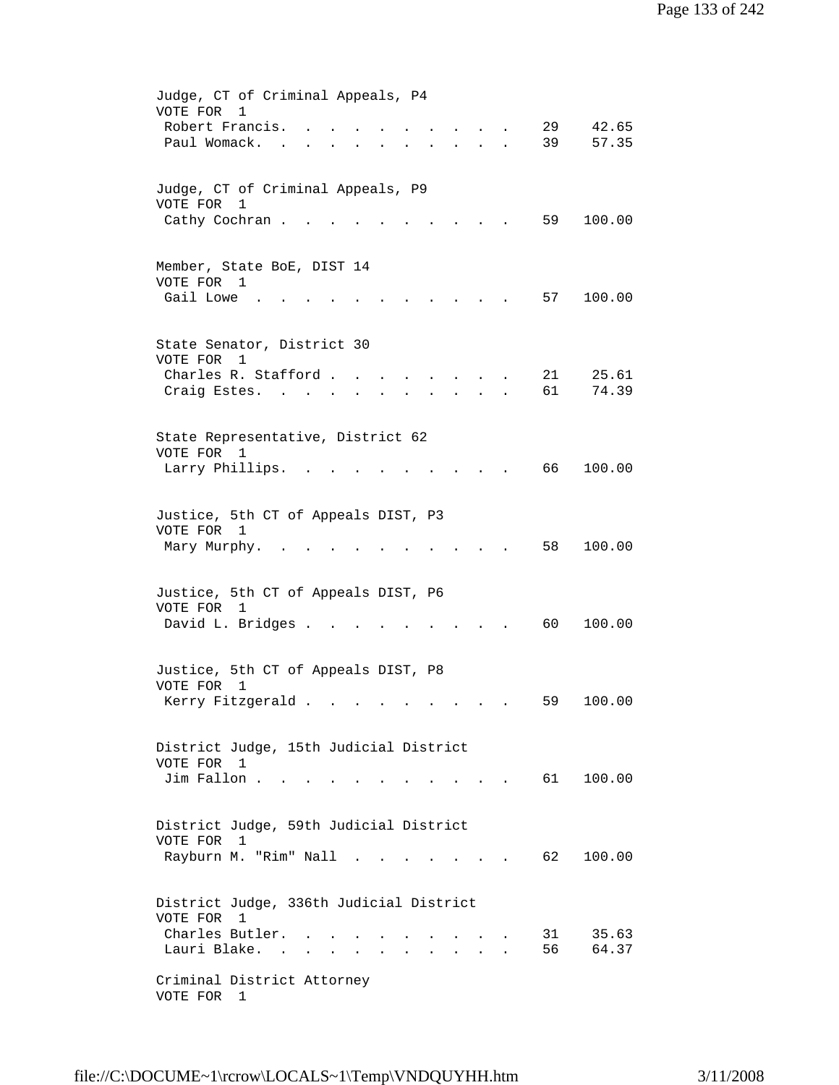| Judge, CT of Criminal Appeals, P4<br>VOTE FOR<br>$\mathbf{1}$<br>Robert Francis.<br>29<br>42.65<br>Paul Womack.<br>39<br>57.35<br>$\mathbf{r} = \mathbf{r} \cdot \mathbf{r}$<br>$\ddot{\phantom{0}}$                                                                                                                                                                                                   |
|--------------------------------------------------------------------------------------------------------------------------------------------------------------------------------------------------------------------------------------------------------------------------------------------------------------------------------------------------------------------------------------------------------|
| Judge, CT of Criminal Appeals, P9<br>VOTE FOR<br>1<br>59<br>Cathy Cochran.<br>100.00                                                                                                                                                                                                                                                                                                                   |
| Member, State BoE, DIST 14<br>VOTE FOR 1<br>Gail Lowe<br>57<br>100.00                                                                                                                                                                                                                                                                                                                                  |
| State Senator, District 30<br>VOTE FOR 1<br>Charles R. Stafford<br>21<br>25.61<br>$\sim$ $\sim$<br>61<br>74.39<br>Craig Estes.                                                                                                                                                                                                                                                                         |
| State Representative, District 62<br>VOTE FOR<br>1<br>66<br>100.00<br>Larry Phillips.                                                                                                                                                                                                                                                                                                                  |
| Justice, 5th CT of Appeals DIST, P3<br>VOTE FOR 1<br>58<br>100.00<br>Mary Murphy.                                                                                                                                                                                                                                                                                                                      |
| Justice, 5th CT of Appeals DIST, P6<br>VOTE FOR 1<br>David L. Bridges .<br>60<br>100.00                                                                                                                                                                                                                                                                                                                |
| Justice, 5th CT of Appeals DIST, P8<br>VOTE FOR 1<br>Kerry Fitzgerald<br>100.00<br>59                                                                                                                                                                                                                                                                                                                  |
| District Judge, 15th Judicial District<br>VOTE FOR 1<br>Jim Fallon<br>100.00<br>61 —<br>and a strong control of the strong strong                                                                                                                                                                                                                                                                      |
| District Judge, 59th Judicial District<br>VOTE FOR<br>1<br>Rayburn M. "Rim" Nall<br>62<br>100.00                                                                                                                                                                                                                                                                                                       |
| District Judge, 336th Judicial District<br>VOTE FOR 1<br>Charles Butler.<br>31<br>35.63<br>Lauri Blake. .<br>56<br>64.37<br>and a strong control of the state of the state of the state of the state of the state of the state of the state of the state of the state of the state of the state of the state of the state of the state of the state of the<br>Criminal District Attorney<br>VOTE FOR 1 |
|                                                                                                                                                                                                                                                                                                                                                                                                        |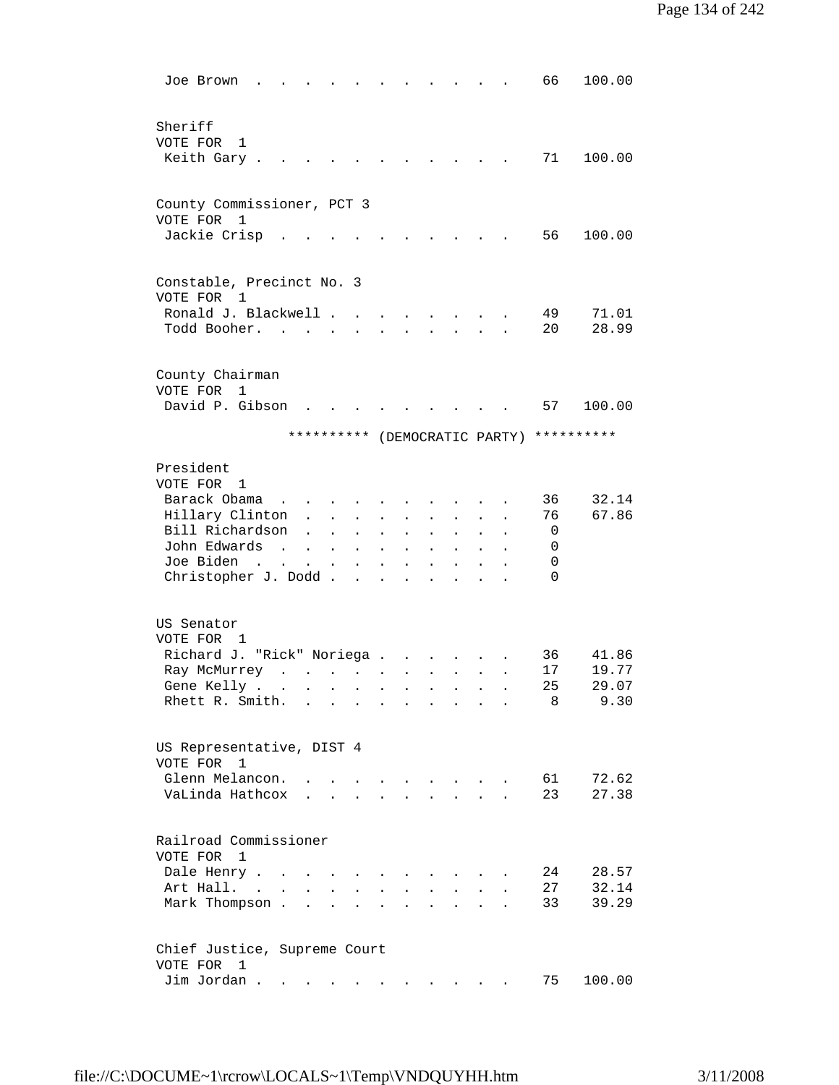| Joe Brown                                                                      |                                                             |                      |                                                         |                |                           |                                                           |                                          |                      |                    | 66       | 100.00         |
|--------------------------------------------------------------------------------|-------------------------------------------------------------|----------------------|---------------------------------------------------------|----------------|---------------------------|-----------------------------------------------------------|------------------------------------------|----------------------|--------------------|----------|----------------|
| Sheriff<br>VOTE FOR<br>1<br>Keith Gary.                                        |                                                             |                      |                                                         |                |                           |                                                           |                                          |                      |                    | 71       | 100.00         |
|                                                                                |                                                             |                      |                                                         |                |                           |                                                           |                                          |                      |                    |          |                |
| County Commissioner, PCT 3<br>VOTE FOR 1                                       |                                                             |                      |                                                         |                |                           |                                                           |                                          |                      |                    |          |                |
| Jackie Crisp                                                                   |                                                             |                      |                                                         |                |                           |                                                           |                                          |                      |                    | 56       | 100.00         |
| Constable, Precinct No. 3<br>VOTE FOR<br>1                                     |                                                             |                      |                                                         |                |                           |                                                           |                                          |                      |                    |          |                |
| Ronald J. Blackwell                                                            |                                                             |                      |                                                         |                |                           |                                                           |                                          |                      |                    | 49       | 71.01          |
| Todd Booher. .                                                                 |                                                             |                      |                                                         |                |                           |                                                           |                                          |                      |                    | 20       | 28.99          |
| County Chairman<br>VOTE FOR<br>1                                               |                                                             |                      |                                                         |                |                           |                                                           |                                          |                      |                    |          |                |
| David P. Gibson                                                                |                                                             |                      |                                                         |                |                           |                                                           |                                          |                      |                    | 57       | 100.00         |
|                                                                                |                                                             |                      | **********                                              |                |                           |                                                           |                                          |                      | (DEMOCRATIC PARTY) |          | **********     |
| President                                                                      |                                                             |                      |                                                         |                |                           |                                                           |                                          |                      |                    |          |                |
| VOTE FOR 1                                                                     |                                                             |                      |                                                         |                |                           |                                                           |                                          |                      |                    |          |                |
| Barack Obama                                                                   |                                                             |                      |                                                         |                |                           |                                                           |                                          |                      |                    | 36       | 32.14          |
| Hillary Clinton                                                                | $\mathbf{L}$                                                | $\ddot{\phantom{a}}$ | $\ddot{\phantom{0}}$                                    |                |                           | $\sim$                                                    |                                          |                      |                    | 76       | 67.86          |
| Bill Richardson                                                                | $\ddot{\phantom{a}}$                                        | $\ddot{\phantom{a}}$ | $\bullet$                                               | $\bullet$      | $\ddot{\phantom{0}}$      | $\ddot{\phantom{a}}$                                      | $\ddot{\phantom{0}}$                     | $\ddot{\phantom{0}}$ |                    | 0        |                |
| John Edwards<br>$\sim$                                                         | $\sim$                                                      | $\sim$ 100 $\pm$     | $\mathbf{L}$                                            | $\blacksquare$ | $\ddot{\phantom{0}}$      | $\ddot{\phantom{0}}$                                      |                                          |                      |                    | 0        |                |
| Joe Biden<br>$\mathbf{r}$ , $\mathbf{r}$                                       | $\ddot{\phantom{0}}$                                        | $\sim$ 100 $\pm$     | $\mathbf{L}^{\text{max}}$                               | $\bullet$      |                           |                                                           |                                          |                      |                    | 0        |                |
| Christopher J. Dodd                                                            |                                                             |                      |                                                         |                | $\ddot{\phantom{0}}$      |                                                           |                                          |                      |                    | $\Omega$ |                |
| US Senator                                                                     |                                                             |                      |                                                         |                |                           |                                                           |                                          |                      |                    |          |                |
| VOTE FOR 1                                                                     |                                                             |                      |                                                         |                |                           |                                                           |                                          |                      |                    |          |                |
| Richard J. "Rick" Noriega                                                      |                                                             |                      |                                                         |                |                           |                                                           |                                          |                      |                    | 36       | 41.86          |
| Ray McMurrey<br>and the contract of the state of                               |                                                             |                      |                                                         |                | $\mathbf{z} = \mathbf{z}$ |                                                           | $\mathbf{z} = \mathbf{z} + \mathbf{z}$ . |                      |                    | 17       | 19.77          |
| Gene Kelly                                                                     |                                                             |                      |                                                         |                |                           |                                                           |                                          |                      |                    | 25       | 29.07          |
| Rhett R. Smith.                                                                | $\sim$ 100 $\sim$ 100 $\sim$                                |                      | $\sim 10$                                               | $\sim$         | $\bullet$                 | $\sim$ $\sim$                                             |                                          |                      |                    | 8        | 9.30           |
| US Representative, DIST 4                                                      |                                                             |                      |                                                         |                |                           |                                                           |                                          |                      |                    |          |                |
| VOTE FOR<br>1                                                                  |                                                             |                      |                                                         |                |                           |                                                           |                                          |                      |                    |          |                |
| Glenn Melancon.                                                                |                                                             |                      |                                                         |                |                           | $\mathbf{r} = \mathbf{r}$ , and $\mathbf{r} = \mathbf{r}$ |                                          |                      |                    | 61       | 72.62          |
| VaLinda Hathcox                                                                |                                                             |                      | $\mathbf{r} = \mathbf{r}$ and $\mathbf{r} = \mathbf{r}$ |                |                           |                                                           |                                          |                      |                    | 23       | 27.38          |
| Railroad Commissioner                                                          |                                                             |                      |                                                         |                |                           |                                                           |                                          |                      |                    |          |                |
| VOTE FOR<br>$\mathbf{1}$                                                       |                                                             |                      |                                                         |                |                           |                                                           |                                          |                      |                    |          |                |
| Dale Henry .<br>$\sim$<br>Art Hall. .                                          |                                                             |                      |                                                         |                |                           |                                                           |                                          |                      |                    | 24<br>27 | 28.57<br>32.14 |
| Mark Thompson.                                                                 | $\mathbf{r}$                                                | $\overline{a}$       | $\overline{a}$                                          |                |                           |                                                           |                                          |                      |                    | 33       | 39.29          |
| Chief Justice, Supreme Court                                                   |                                                             |                      |                                                         |                |                           |                                                           |                                          |                      |                    |          |                |
| VOTE FOR<br>1                                                                  |                                                             |                      |                                                         |                |                           |                                                           |                                          |                      |                    |          |                |
| Jim Jordan.<br>$\bullet$ .<br><br><br><br><br><br><br><br><br><br><br><br><br> | $\bullet$ .<br><br><br><br><br><br><br><br><br><br><br><br> |                      |                                                         |                |                           |                                                           |                                          |                      |                    | 75       | 100.00         |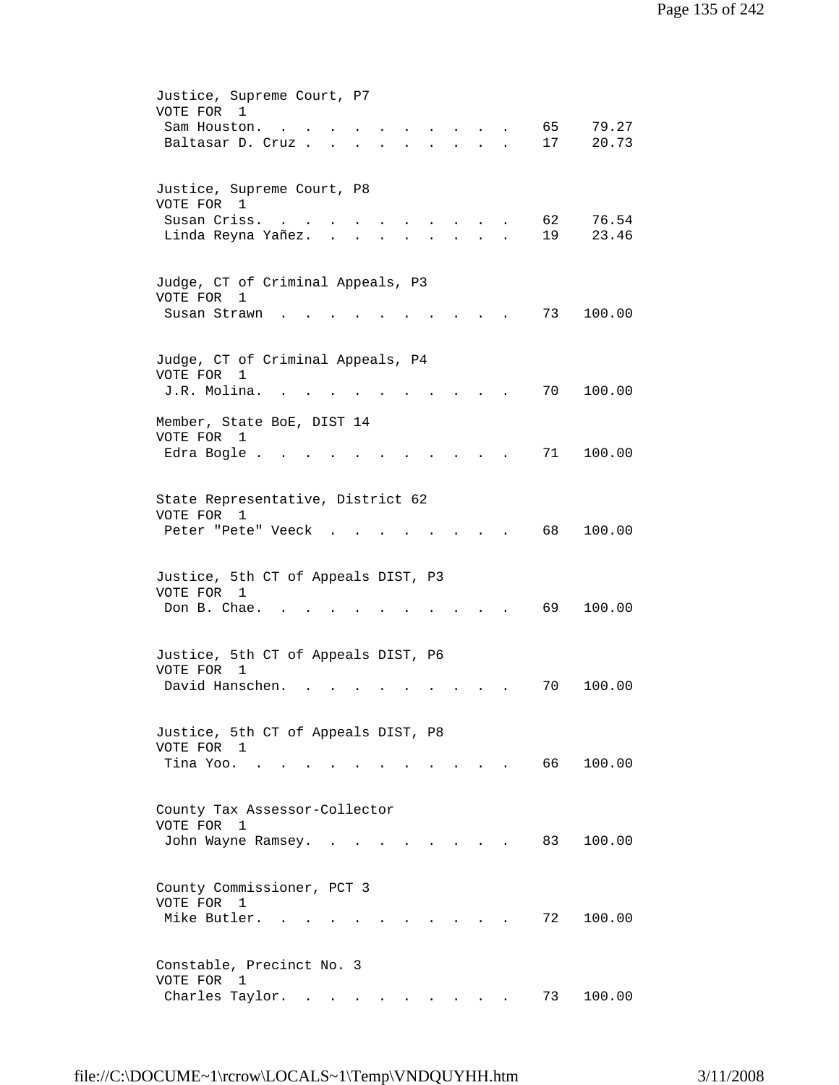| Justice, Supreme Court, P7<br>VOTE FOR 1<br>65<br>79.27<br>Sam Houston.<br>17<br>20.73<br>Baltasar D. Cruz.<br>$\sim$ $\sim$<br>$\ddot{\phantom{0}}$                                                        |
|-------------------------------------------------------------------------------------------------------------------------------------------------------------------------------------------------------------|
| Justice, Supreme Court, P8<br>VOTE FOR 1<br>62<br>76.54<br>Susan Criss.<br>23.46<br>19<br>Linda Reyna Yañez.                                                                                                |
| Judge, CT of Criminal Appeals, P3<br>VOTE FOR<br>1<br>Susan Strawn<br>73<br>100.00                                                                                                                          |
| Judge, CT of Criminal Appeals, P4<br>VOTE FOR<br>1<br>J.R. Molina.<br>100.00<br>70                                                                                                                          |
| Member, State BoE, DIST 14<br>VOTE FOR<br>1<br>71<br>100.00<br>Edra Bogle.                                                                                                                                  |
| State Representative, District 62<br>VOTE FOR 1<br>68<br>100.00<br>Peter "Pete" Veeck                                                                                                                       |
| Justice, 5th CT of Appeals DIST, P3<br>VOTE FOR 1<br>Don B. Chae.<br>69<br>100.00                                                                                                                           |
| Justice, 5th CT of Appeals DIST, P6<br>VOTE FOR<br>1<br>David Hanschen.<br>100.00<br>70                                                                                                                     |
| Justice, 5th CT of Appeals DIST, P8<br>VOTE FOR 1<br>Tina Yoo.<br>66 —<br>100.00                                                                                                                            |
| County Tax Assessor-Collector<br>VOTE FOR<br>1<br>100.00<br>John Wayne Ramsey.<br>83                                                                                                                        |
| County Commissioner, PCT 3<br>VOTE FOR 1<br>Mike Butler.<br>72<br>100.00                                                                                                                                    |
| Constable, Precinct No. 3<br>VOTE FOR<br>$\mathbf{1}$<br>Charles Taylor.<br>73<br>100.00<br>the contract of the contract of the contract of the contract of the contract of the contract of the contract of |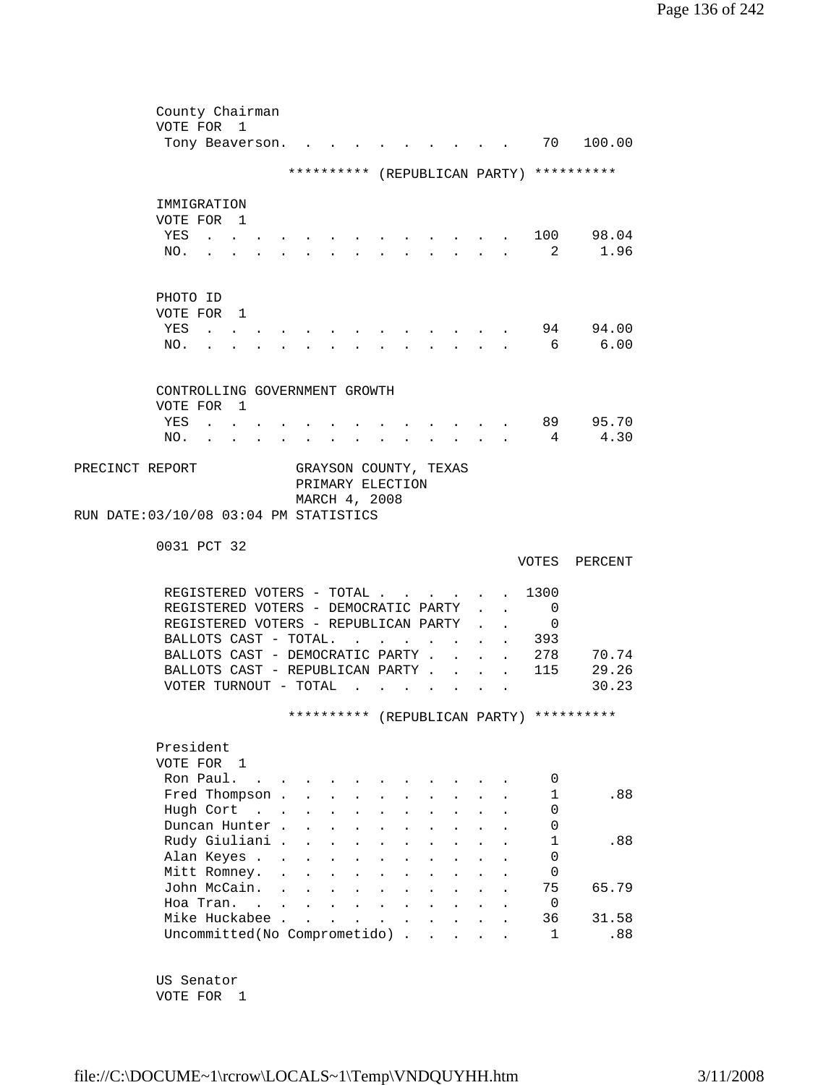|                                        | County Chairman               |                                            |                                                   |                                  |                             |                                        |                      |        |                                                                                            |        |                           |                                                                                                                                                                                                                                                                                                                                                                           |                                          |
|----------------------------------------|-------------------------------|--------------------------------------------|---------------------------------------------------|----------------------------------|-----------------------------|----------------------------------------|----------------------|--------|--------------------------------------------------------------------------------------------|--------|---------------------------|---------------------------------------------------------------------------------------------------------------------------------------------------------------------------------------------------------------------------------------------------------------------------------------------------------------------------------------------------------------------------|------------------------------------------|
|                                        | VOTE FOR 1                    |                                            |                                                   |                                  |                             |                                        |                      |        |                                                                                            |        |                           |                                                                                                                                                                                                                                                                                                                                                                           |                                          |
|                                        |                               | Tony Beaverson.                            |                                                   |                                  |                             |                                        |                      |        |                                                                                            |        |                           | 70                                                                                                                                                                                                                                                                                                                                                                        | 100.00                                   |
|                                        |                               |                                            |                                                   |                                  |                             |                                        |                      |        |                                                                                            |        |                           |                                                                                                                                                                                                                                                                                                                                                                           | ********** (REPUBLICAN PARTY) ********** |
|                                        |                               |                                            |                                                   |                                  |                             |                                        |                      |        |                                                                                            |        |                           |                                                                                                                                                                                                                                                                                                                                                                           |                                          |
|                                        | IMMIGRATION                   |                                            |                                                   |                                  |                             |                                        |                      |        |                                                                                            |        |                           |                                                                                                                                                                                                                                                                                                                                                                           |                                          |
|                                        | VOTE FOR 1                    |                                            |                                                   |                                  |                             |                                        |                      |        |                                                                                            |        |                           |                                                                                                                                                                                                                                                                                                                                                                           |                                          |
|                                        | YES                           |                                            |                                                   |                                  |                             |                                        |                      |        |                                                                                            |        |                           |                                                                                                                                                                                                                                                                                                                                                                           | 100 98.04                                |
|                                        |                               | $\sim$ $\sim$                              |                                                   |                                  |                             |                                        |                      |        |                                                                                            |        |                           | 2                                                                                                                                                                                                                                                                                                                                                                         | 1.96                                     |
|                                        | NO.                           | $\sim$                                     |                                                   |                                  | $\mathbf{r}$                |                                        |                      |        | $\mathbf{r} = \mathbf{r}$                                                                  |        |                           |                                                                                                                                                                                                                                                                                                                                                                           |                                          |
|                                        |                               |                                            |                                                   |                                  |                             |                                        |                      |        |                                                                                            |        |                           |                                                                                                                                                                                                                                                                                                                                                                           |                                          |
|                                        | PHOTO ID                      |                                            |                                                   |                                  |                             |                                        |                      |        |                                                                                            |        |                           |                                                                                                                                                                                                                                                                                                                                                                           |                                          |
|                                        | VOTE FOR 1                    |                                            |                                                   |                                  |                             |                                        |                      |        |                                                                                            |        |                           |                                                                                                                                                                                                                                                                                                                                                                           |                                          |
|                                        | YES                           |                                            |                                                   |                                  |                             |                                        |                      |        |                                                                                            |        |                           | 94                                                                                                                                                                                                                                                                                                                                                                        | 94.00                                    |
|                                        |                               | $\mathbf{r}$ , $\mathbf{r}$ , $\mathbf{r}$ |                                                   |                                  |                             |                                        |                      |        |                                                                                            |        |                           |                                                                                                                                                                                                                                                                                                                                                                           |                                          |
|                                        | NO.                           |                                            |                                                   |                                  |                             |                                        |                      |        |                                                                                            |        |                           | 6                                                                                                                                                                                                                                                                                                                                                                         | 6.00                                     |
|                                        |                               |                                            |                                                   |                                  |                             |                                        |                      |        |                                                                                            |        |                           |                                                                                                                                                                                                                                                                                                                                                                           |                                          |
|                                        | CONTROLLING GOVERNMENT GROWTH |                                            |                                                   |                                  |                             |                                        |                      |        |                                                                                            |        |                           |                                                                                                                                                                                                                                                                                                                                                                           |                                          |
|                                        | VOTE FOR 1                    |                                            |                                                   |                                  |                             |                                        |                      |        |                                                                                            |        |                           |                                                                                                                                                                                                                                                                                                                                                                           |                                          |
|                                        | YES                           | $\sim$ $\sim$ $\sim$ $\sim$                |                                                   |                                  |                             |                                        |                      |        |                                                                                            |        |                           |                                                                                                                                                                                                                                                                                                                                                                           | 89 95.70                                 |
|                                        | NO.                           |                                            |                                                   |                                  |                             |                                        |                      |        | $\mathbf{r} = \mathbf{r} + \mathbf{r} + \mathbf{r} + \mathbf{r} + \mathbf{r} + \mathbf{r}$ |        |                           | $4\phantom{.0000}\pm\phantom{.0000}\pm\phantom{.0000}\pm\phantom{.0000}\pm\phantom{.0000}\pm\phantom{.0000}\pm\phantom{.0000}\pm\phantom{.0000}\pm\phantom{.0000}\pm\phantom{.0000}\pm\phantom{.0000}\pm\phantom{.0000}\pm\phantom{.0000}\pm\phantom{.0000}\pm\phantom{.0000}\pm\phantom{.0000}\pm\phantom{.0000}\pm\phantom{.0000}\pm\phantom{.0000}\pm\phantom{.0000}\$ | 4.30                                     |
|                                        |                               |                                            | $\mathbf{r} = \mathbf{r}$                         | $\bullet$ . The set of $\bullet$ | <b>All Card Corporation</b> |                                        |                      |        |                                                                                            |        |                           |                                                                                                                                                                                                                                                                                                                                                                           |                                          |
| PRECINCT REPORT                        |                               |                                            |                                                   |                                  |                             |                                        |                      |        | GRAYSON COUNTY, TEXAS                                                                      |        |                           |                                                                                                                                                                                                                                                                                                                                                                           |                                          |
|                                        |                               |                                            |                                                   |                                  | PRIMARY ELECTION            |                                        |                      |        |                                                                                            |        |                           |                                                                                                                                                                                                                                                                                                                                                                           |                                          |
|                                        |                               |                                            |                                                   |                                  | MARCH 4, 2008               |                                        |                      |        |                                                                                            |        |                           |                                                                                                                                                                                                                                                                                                                                                                           |                                          |
| RUN DATE: 03/10/08 03:04 PM STATISTICS |                               |                                            |                                                   |                                  |                             |                                        |                      |        |                                                                                            |        |                           |                                                                                                                                                                                                                                                                                                                                                                           |                                          |
|                                        |                               |                                            |                                                   |                                  |                             |                                        |                      |        |                                                                                            |        |                           |                                                                                                                                                                                                                                                                                                                                                                           |                                          |
|                                        | 0031 PCT 32                   |                                            |                                                   |                                  |                             |                                        |                      |        |                                                                                            |        |                           |                                                                                                                                                                                                                                                                                                                                                                           |                                          |
|                                        |                               |                                            |                                                   |                                  |                             |                                        |                      |        |                                                                                            |        |                           |                                                                                                                                                                                                                                                                                                                                                                           | VOTES PERCENT                            |
|                                        |                               |                                            |                                                   |                                  |                             |                                        |                      |        |                                                                                            |        |                           |                                                                                                                                                                                                                                                                                                                                                                           |                                          |
|                                        |                               | REGISTERED VOTERS - TOTAL                  |                                                   |                                  |                             |                                        |                      |        |                                                                                            |        |                           | 1300                                                                                                                                                                                                                                                                                                                                                                      |                                          |
|                                        |                               | REGISTERED VOTERS - DEMOCRATIC PARTY       |                                                   |                                  |                             |                                        |                      |        |                                                                                            |        | $\ddot{\phantom{0}}$      | 0                                                                                                                                                                                                                                                                                                                                                                         |                                          |
|                                        |                               | REGISTERED VOTERS - REPUBLICAN PARTY       |                                                   |                                  |                             |                                        |                      |        |                                                                                            |        |                           | $\mathbf 0$                                                                                                                                                                                                                                                                                                                                                               |                                          |
|                                        |                               | BALLOTS CAST - TOTAL.                      |                                                   |                                  |                             | $\mathbf{r}$ . The set of $\mathbf{r}$ |                      |        | $\sim$                                                                                     |        |                           | . 393                                                                                                                                                                                                                                                                                                                                                                     |                                          |
|                                        |                               | BALLOTS CAST - DEMOCRATIC PARTY .          |                                                   |                                  |                             |                                        |                      |        | $\mathbf{L}$                                                                               | $\sim$ | $\mathbf{L}$              | 278                                                                                                                                                                                                                                                                                                                                                                       | 70.74                                    |
|                                        |                               | BALLOTS CAST - REPUBLICAN PARTY 115        |                                                   |                                  |                             |                                        |                      |        |                                                                                            |        |                           |                                                                                                                                                                                                                                                                                                                                                                           | 29.26                                    |
|                                        |                               | VOTER TURNOUT - TOTAL                      |                                                   |                                  |                             | $\sim$ $\sim$ $\sim$                   |                      |        |                                                                                            |        | $\mathbf{L} = \mathbf{L}$ |                                                                                                                                                                                                                                                                                                                                                                           | 30.23                                    |
|                                        |                               |                                            |                                                   |                                  |                             |                                        |                      | $\sim$ | <b>Contract Contract Contract</b>                                                          |        |                           |                                                                                                                                                                                                                                                                                                                                                                           |                                          |
|                                        |                               |                                            |                                                   |                                  |                             |                                        |                      |        |                                                                                            |        |                           |                                                                                                                                                                                                                                                                                                                                                                           | ********** (REPUBLICAN PARTY) ********** |
|                                        |                               |                                            |                                                   |                                  |                             |                                        |                      |        |                                                                                            |        |                           |                                                                                                                                                                                                                                                                                                                                                                           |                                          |
|                                        | President                     |                                            |                                                   |                                  |                             |                                        |                      |        |                                                                                            |        |                           |                                                                                                                                                                                                                                                                                                                                                                           |                                          |
|                                        | VOTE FOR 1                    |                                            |                                                   |                                  |                             |                                        |                      |        |                                                                                            |        |                           |                                                                                                                                                                                                                                                                                                                                                                           |                                          |
|                                        | Ron Paul.                     |                                            | $\mathcal{L}$ and $\mathcal{L}$ and $\mathcal{L}$ |                                  |                             |                                        |                      |        |                                                                                            |        |                           | 0                                                                                                                                                                                                                                                                                                                                                                         |                                          |
|                                        |                               | Fred Thompson .                            |                                                   |                                  |                             |                                        |                      |        |                                                                                            |        |                           | 1                                                                                                                                                                                                                                                                                                                                                                         | .88                                      |
|                                        |                               | Hugh Cort                                  |                                                   | $\mathbf{L}$                     | $\ddot{\phantom{0}}$        | $\ddot{\phantom{a}}$                   | $\ddot{\phantom{a}}$ |        |                                                                                            |        |                           | $\Omega$                                                                                                                                                                                                                                                                                                                                                                  |                                          |
|                                        |                               | Duncan Hunter.                             |                                                   | $\ddot{\phantom{a}}$             |                             |                                        |                      |        |                                                                                            |        |                           | 0                                                                                                                                                                                                                                                                                                                                                                         |                                          |
|                                        |                               | Rudy Giuliani .                            |                                                   |                                  |                             |                                        |                      |        |                                                                                            |        |                           | 1                                                                                                                                                                                                                                                                                                                                                                         | .88                                      |
|                                        |                               | Alan Keyes .                               |                                                   |                                  |                             |                                        |                      |        |                                                                                            |        |                           | 0                                                                                                                                                                                                                                                                                                                                                                         |                                          |
|                                        |                               |                                            |                                                   | $\ddot{\phantom{a}}$             |                             |                                        |                      |        |                                                                                            |        |                           |                                                                                                                                                                                                                                                                                                                                                                           |                                          |
|                                        |                               | Mitt Romney.                               |                                                   | $\ddot{\phantom{a}}$             |                             |                                        |                      |        |                                                                                            |        |                           | 0                                                                                                                                                                                                                                                                                                                                                                         |                                          |
|                                        |                               | John McCain.                               |                                                   |                                  |                             |                                        |                      |        |                                                                                            |        |                           | 75                                                                                                                                                                                                                                                                                                                                                                        | 65.79                                    |
|                                        |                               | Hoa Tran. .                                |                                                   |                                  |                             |                                        |                      |        |                                                                                            |        |                           | $\mathbf 0$                                                                                                                                                                                                                                                                                                                                                               |                                          |
|                                        |                               | Mike Huckabee .                            |                                                   | $\overline{a}$                   |                             |                                        |                      |        |                                                                                            |        |                           | 36                                                                                                                                                                                                                                                                                                                                                                        | 31.58                                    |
|                                        |                               | Uncommitted(No Comprometido).              |                                                   |                                  |                             |                                        |                      |        | $\mathbf{r}$                                                                               |        |                           | 1                                                                                                                                                                                                                                                                                                                                                                         | .88                                      |
|                                        |                               |                                            |                                                   |                                  |                             |                                        |                      |        |                                                                                            |        |                           |                                                                                                                                                                                                                                                                                                                                                                           |                                          |

 US Senator VOTE FOR 1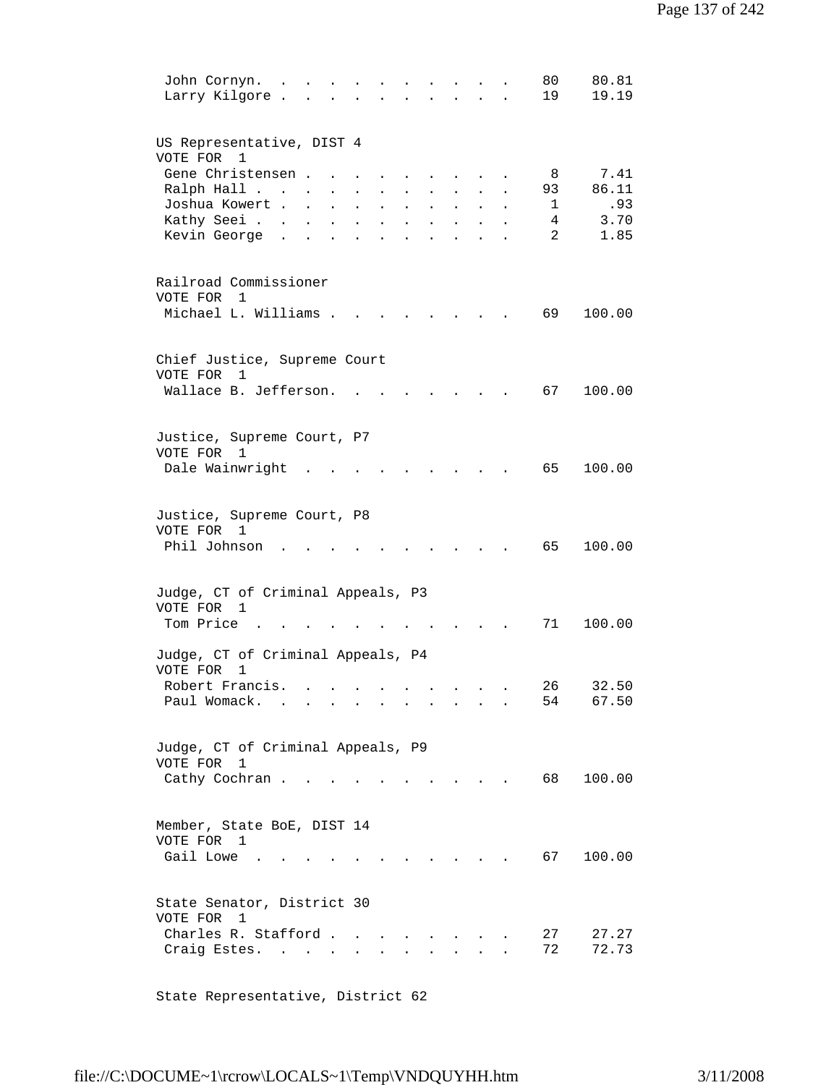| 80.81<br>80<br>John Cornyn.<br>Larry Kilgore.<br>19<br>19.19                                                                                                                                                                                                      |
|-------------------------------------------------------------------------------------------------------------------------------------------------------------------------------------------------------------------------------------------------------------------|
| US Representative, DIST 4<br>VOTE FOR<br>1                                                                                                                                                                                                                        |
| Gene Christensen.<br>7.41<br>8                                                                                                                                                                                                                                    |
| 86.11<br>Ralph Hall<br>93<br>$\sim 10^{-11}$                                                                                                                                                                                                                      |
| .93<br>Joshua Kowert<br>$\mathbf{1}$<br>$\ddot{\phantom{a}}$<br>$\ddot{\phantom{0}}$                                                                                                                                                                              |
| Kathy Seei<br>4<br>3.70<br>$\sim$ 100 $\pm$<br>$\mathbf{L}^{\text{max}}$<br>$\mathbf{L} = \mathbf{L}$<br>$\mathbf{L}$<br>$\ddot{\phantom{a}}$<br>$\ddot{\phantom{a}}$<br>$\overline{a}$<br>Kevin George<br>1.85<br>$\ddot{\phantom{a}}$<br>$\sim$<br>$\mathbf{L}$ |
|                                                                                                                                                                                                                                                                   |
| Railroad Commissioner<br>VOTE FOR<br>1                                                                                                                                                                                                                            |
| Michael L. Williams .<br>69<br>100.00                                                                                                                                                                                                                             |
| Chief Justice, Supreme Court<br>VOTE FOR<br>$\mathbf{1}$                                                                                                                                                                                                          |
| Wallace B. Jefferson.<br>67<br>100.00                                                                                                                                                                                                                             |
|                                                                                                                                                                                                                                                                   |
| Justice, Supreme Court, P7                                                                                                                                                                                                                                        |
| VOTE FOR 1<br>Dale Wainwright<br>65<br>100.00                                                                                                                                                                                                                     |
|                                                                                                                                                                                                                                                                   |
| Justice, Supreme Court, P8                                                                                                                                                                                                                                        |
| VOTE FOR 1                                                                                                                                                                                                                                                        |
| Phil Johnson<br>65<br>100.00                                                                                                                                                                                                                                      |
| Judge, CT of Criminal Appeals, P3                                                                                                                                                                                                                                 |
| VOTE FOR 1                                                                                                                                                                                                                                                        |
| Tom Price<br>71<br>100.00                                                                                                                                                                                                                                         |
| Judge, CT of Criminal Appeals, P4<br>VOTE FOR<br>1                                                                                                                                                                                                                |
| Robert Francis.<br>26<br>32.50                                                                                                                                                                                                                                    |
| Paul Womack.<br>54<br>67.50<br>$\mathcal{L}(\mathcal{A})$ . The contribution of the contribution of the contribution of $\mathcal{A}$                                                                                                                             |
| Judge, CT of Criminal Appeals, P9                                                                                                                                                                                                                                 |
| VOTE FOR<br>$\mathbf{1}$                                                                                                                                                                                                                                          |
| Cathy Cochran<br>68 —<br>100.00<br>$\sim$ $\sim$ $\sim$ $\sim$                                                                                                                                                                                                    |
| Member, State BoE, DIST 14                                                                                                                                                                                                                                        |
| VOTE FOR 1                                                                                                                                                                                                                                                        |
| Gail Lowe<br>67 —<br>100.00<br><b>Contract Contract</b>                                                                                                                                                                                                           |
|                                                                                                                                                                                                                                                                   |
| State Senator, District 30<br>VOTE FOR<br>1                                                                                                                                                                                                                       |
| Charles R. Stafford<br>27<br>27.27                                                                                                                                                                                                                                |
| 72<br>72.73<br>Craig Estes.<br><b>All Contracts</b><br>$\mathbf{L}$<br>$\ddot{\phantom{0}}$<br>$\ddot{\phantom{0}}$                                                                                                                                               |
|                                                                                                                                                                                                                                                                   |

State Representative, District 62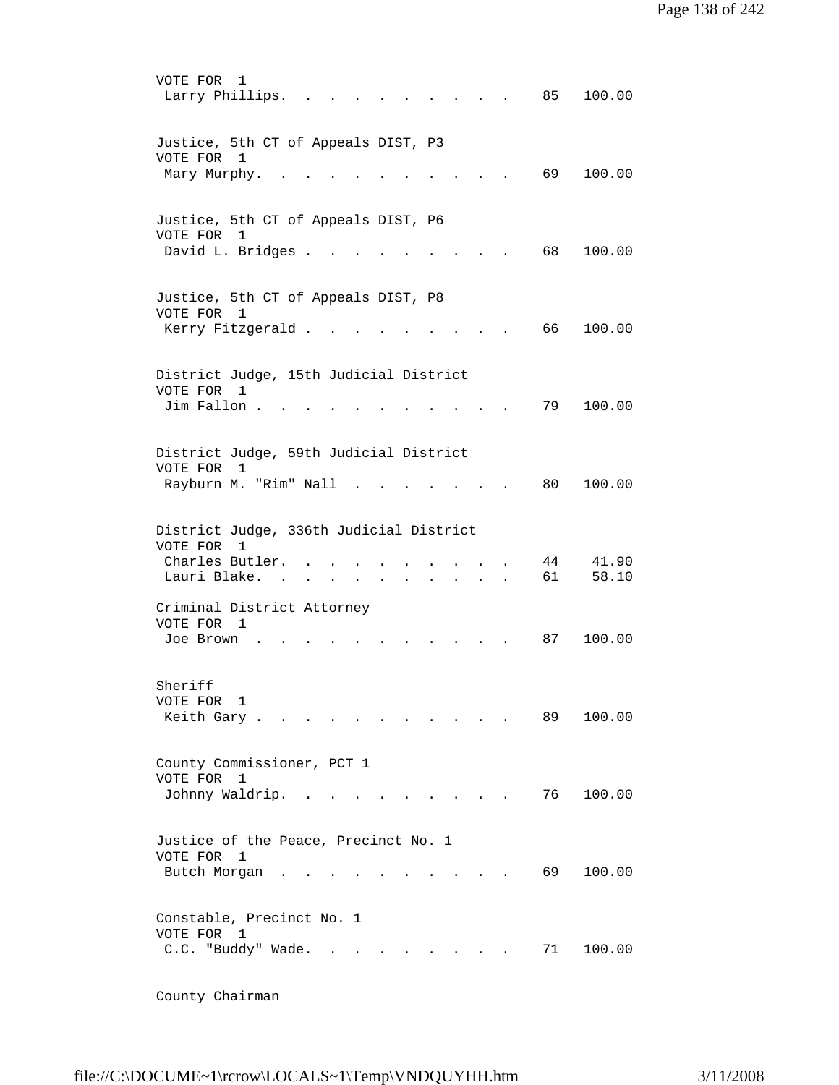VOTE FOR 1 Larry Phillips. . . . . . . . . . 85 100.00 Justice, 5th CT of Appeals DIST, P3 VOTE FOR 1 Mary Murphy. . . . . . . . . . . . 69 100.00 Justice, 5th CT of Appeals DIST, P6 VOTE FOR 1 David L. Bridges . . . . . . . . . . 68 100.00 Justice, 5th CT of Appeals DIST, P8 VOTE FOR 1 Kerry Fitzgerald . . . . . . . . . 66 100.00 District Judge, 15th Judicial District VOTE FOR 1 Jim Fallon . . . . . . . . . . . . 79 100.00 District Judge, 59th Judicial District VOTE FOR 1 Rayburn M. "Rim" Nall . . . . . . . 80 100.00 District Judge, 336th Judicial District VOTE FOR 1 Charles Butler. . . . . . . . . . 44 41.90 Lauri Blake. . . . . . . . . . . 61 58.10 Criminal District Attorney VOTE FOR 1 Joe Brown . . . . . . . . . . . 87 100.00 Sheriff VOTE FOR 1 Keith Gary . . . . . . . . . . . . 89 100.00 County Commissioner, PCT 1 VOTE FOR 1 Johnny Waldrip. . . . . . . . . . 76 100.00 Justice of the Peace, Precinct No. 1 VOTE FOR 1 Butch Morgan . . . . . . . . . . 69 100.00 Constable, Precinct No. 1 VOTE FOR 1 C.C. "Buddy" Wade. . . . . . . . . 71 100.00

County Chairman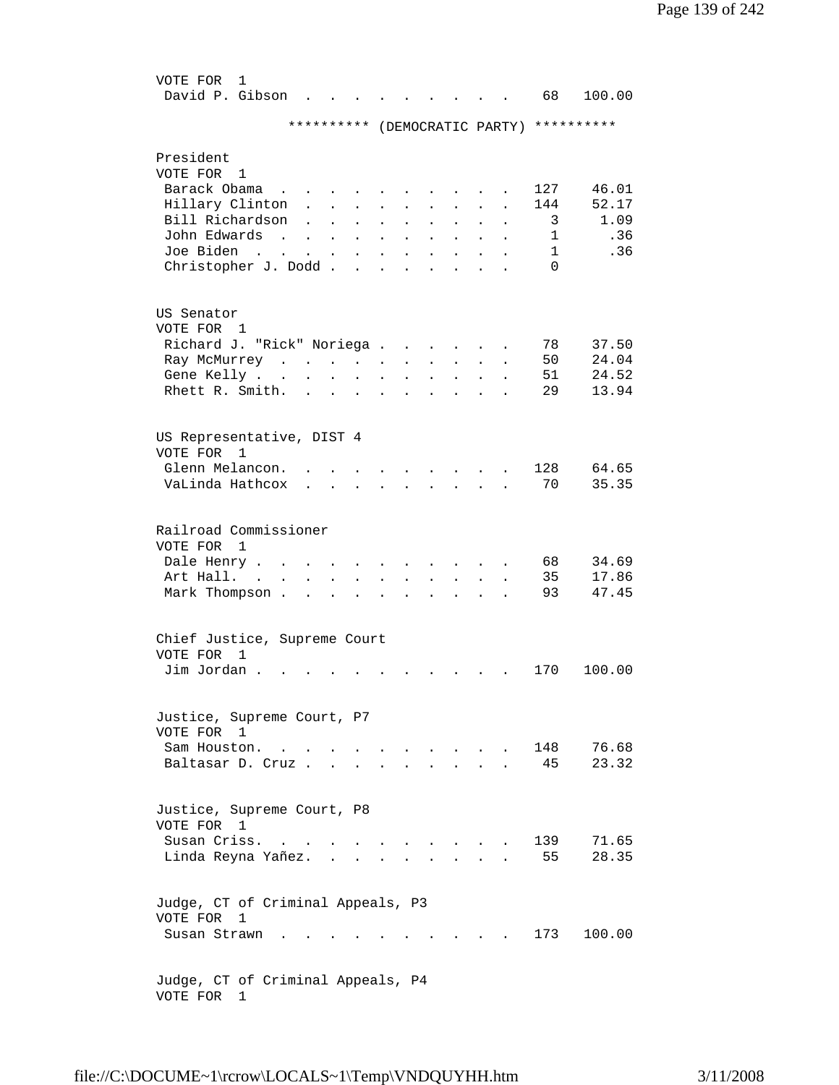| VOTE FOR<br>1<br>David P. Gibson         |                                                                                                                                |                           |                      |                             |                   |                        |                      | 68           | 100.00                                   |
|------------------------------------------|--------------------------------------------------------------------------------------------------------------------------------|---------------------------|----------------------|-----------------------------|-------------------|------------------------|----------------------|--------------|------------------------------------------|
|                                          |                                                                                                                                |                           |                      |                             |                   |                        |                      |              | ********** (DEMOCRATIC PARTY) ********** |
| President                                |                                                                                                                                |                           |                      |                             |                   |                        |                      |              |                                          |
| VOTE FOR<br>1                            |                                                                                                                                |                           |                      |                             |                   |                        |                      |              |                                          |
| Barack Obama                             | $\sim$ $\sim$ $\sim$ $\sim$                                                                                                    |                           |                      |                             |                   |                        |                      | 127          | 46.01                                    |
| Hillary Clinton                          |                                                                                                                                |                           |                      |                             |                   |                        |                      | 144          | 52.17                                    |
| Bill Richardson                          |                                                                                                                                |                           |                      | $\ddot{\phantom{0}}$        |                   |                        |                      | 3            | 1.09                                     |
| John Edwards<br>$\sim$                   |                                                                                                                                |                           | $\ddot{\phantom{0}}$ | $\ddot{\phantom{0}}$        |                   |                        |                      | 1            | .36                                      |
| Joe Biden<br>$\sim$ $\sim$               | $\bullet$ .<br><br><br><br><br><br><br><br><br><br><br><br><br>$\bullet$ .<br><br><br><br><br><br><br><br><br><br><br><br><br> | $\bullet$                 | $\ddot{\phantom{0}}$ | $\ddot{\phantom{0}}$        |                   |                        |                      | $\mathbf{1}$ | .36                                      |
| Christopher J. Dodd.                     |                                                                                                                                |                           |                      |                             |                   |                        |                      | $\Omega$     |                                          |
| US Senator                               |                                                                                                                                |                           |                      |                             |                   |                        |                      |              |                                          |
| VOTE FOR<br>1                            |                                                                                                                                |                           |                      |                             |                   |                        |                      |              |                                          |
| Richard J. "Rick" Noriega.               |                                                                                                                                |                           |                      |                             |                   |                        |                      | 78           | 37.50                                    |
| Ray McMurrey<br>$\sim$ $\sim$            | $\mathcal{L}^{\text{max}}$ , and $\mathcal{L}^{\text{max}}$                                                                    |                           |                      | $\ddot{\phantom{0}}$        |                   |                        |                      | 50           | 24.04                                    |
| Gene Kelly                               | $\bullet$                                                                                                                      | $\mathbf{L} = \mathbf{0}$ | $\ddot{\phantom{0}}$ |                             |                   |                        |                      | 51           | 24.52                                    |
| Rhett R. Smith.                          | $\ddot{\phantom{a}}$                                                                                                           | $\ddot{\phantom{0}}$      | $\bullet$            |                             |                   |                        |                      | 29           | 13.94                                    |
| US Representative, DIST 4                |                                                                                                                                |                           |                      |                             |                   |                        |                      |              |                                          |
| VOTE FOR<br>1                            |                                                                                                                                |                           |                      |                             |                   |                        |                      |              |                                          |
| Glenn Melancon.                          |                                                                                                                                |                           |                      |                             |                   |                        |                      | 128          | 64.65                                    |
| VaLinda Hathcox                          |                                                                                                                                | $\sim$ $\sim$             |                      |                             |                   |                        |                      | 70           | 35.35                                    |
| Railroad Commissioner                    |                                                                                                                                |                           |                      |                             |                   |                        |                      |              |                                          |
| VOTE FOR<br>1                            |                                                                                                                                |                           |                      |                             |                   |                        |                      |              |                                          |
| Dale Henry .                             |                                                                                                                                |                           |                      |                             |                   |                        |                      | 68           | 34.69                                    |
| Art Hall.<br>$\ddot{\phantom{a}}$        |                                                                                                                                |                           |                      |                             |                   |                        |                      | 35           | 17.86                                    |
| Mark Thompson.                           |                                                                                                                                |                           |                      |                             |                   |                        |                      | 93           | 47.45                                    |
| Chief Justice, Supreme Court             |                                                                                                                                |                           |                      |                             |                   |                        |                      |              |                                          |
| VOTE FOR<br>1                            |                                                                                                                                |                           |                      |                             |                   |                        |                      |              |                                          |
| Jim Jordan.                              |                                                                                                                                |                           |                      |                             |                   |                        |                      | 170          | 100.00                                   |
| Justice, Supreme Court, P7               |                                                                                                                                |                           |                      |                             |                   |                        |                      |              |                                          |
| VOTE FOR 1                               |                                                                                                                                |                           |                      |                             |                   |                        |                      |              |                                          |
| Sam Houston                              |                                                                                                                                |                           |                      | $\sim$ $\sim$ $\sim$ $\sim$ |                   | and the company of the |                      | 148          | 76.68                                    |
| Baltasar D. Cruz                         |                                                                                                                                |                           |                      | $\mathbf{r}$                | $\sim$ 100 $\sim$ | $\mathbf{L}$           | $\ddot{\phantom{a}}$ | 45           | 23.32                                    |
|                                          |                                                                                                                                |                           |                      |                             |                   |                        |                      |              |                                          |
| Justice, Supreme Court, P8<br>VOTE FOR 1 |                                                                                                                                |                           |                      |                             |                   |                        |                      |              |                                          |
| Susan Criss.<br>$\sim$                   |                                                                                                                                |                           |                      |                             |                   |                        |                      | 139          | 71.65                                    |
| Linda Reyna Yañez.                       |                                                                                                                                |                           |                      |                             |                   |                        |                      | 55           | 28.35                                    |
| Judge, CT of Criminal Appeals, P3        |                                                                                                                                |                           |                      |                             |                   |                        |                      |              |                                          |
| VOTE FOR<br>1                            |                                                                                                                                |                           |                      |                             |                   |                        |                      |              |                                          |
| Susan Strawn.                            |                                                                                                                                |                           |                      |                             |                   |                        |                      | 173          | 100.00                                   |
| Judge, CT of Criminal Appeals, P4        |                                                                                                                                |                           |                      |                             |                   |                        |                      |              |                                          |
|                                          |                                                                                                                                |                           |                      |                             |                   |                        |                      |              |                                          |

VOTE FOR 1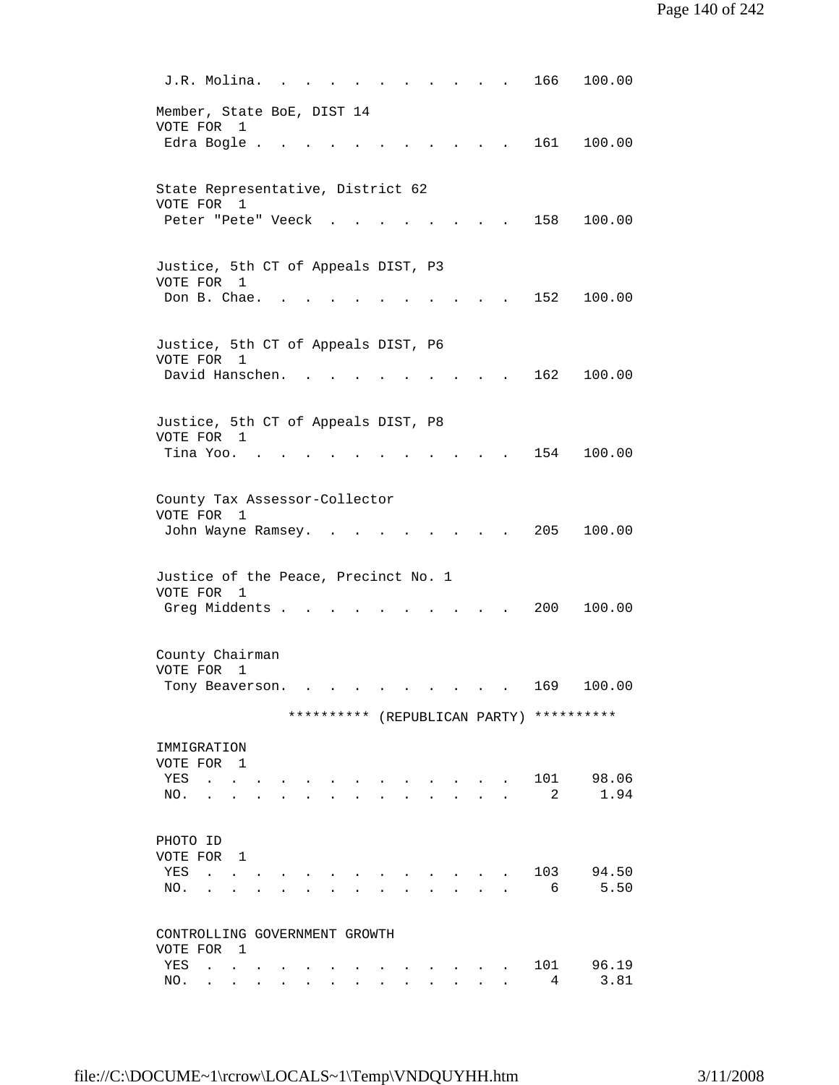| J.R. Molina.                                       |                             |                                                                                                                                                                                                                      |  |  |                                                                                          |  | 166                                      | 100.00        |
|----------------------------------------------------|-----------------------------|----------------------------------------------------------------------------------------------------------------------------------------------------------------------------------------------------------------------|--|--|------------------------------------------------------------------------------------------|--|------------------------------------------|---------------|
| Member, State BoE, DIST 14<br>VOTE FOR 1           |                             |                                                                                                                                                                                                                      |  |  |                                                                                          |  |                                          |               |
| Edra Bogle .                                       |                             |                                                                                                                                                                                                                      |  |  |                                                                                          |  |                                          | 161 100.00    |
| State Representative, District 62<br>VOTE FOR 1    |                             |                                                                                                                                                                                                                      |  |  |                                                                                          |  |                                          |               |
| Peter "Pete" Veeck                                 |                             |                                                                                                                                                                                                                      |  |  |                                                                                          |  | 158                                      | 100.00        |
| Justice, 5th CT of Appeals DIST, P3<br>VOTE FOR    | 1                           |                                                                                                                                                                                                                      |  |  |                                                                                          |  |                                          |               |
| Don B. Chae.                                       |                             |                                                                                                                                                                                                                      |  |  |                                                                                          |  | 152                                      | 100.00        |
| Justice, 5th CT of Appeals DIST, P6<br>VOTE FOR 1  |                             |                                                                                                                                                                                                                      |  |  |                                                                                          |  |                                          |               |
| David Hanschen.                                    |                             |                                                                                                                                                                                                                      |  |  |                                                                                          |  | 162                                      | 100.00        |
| Justice, 5th CT of Appeals DIST, P8<br>VOTE FOR 1  |                             |                                                                                                                                                                                                                      |  |  |                                                                                          |  |                                          |               |
| Tina Yoo.                                          |                             |                                                                                                                                                                                                                      |  |  |                                                                                          |  | 154                                      | 100.00        |
| County Tax Assessor-Collector<br>VOTE FOR 1        |                             |                                                                                                                                                                                                                      |  |  |                                                                                          |  |                                          |               |
| John Wayne Ramsey.                                 |                             |                                                                                                                                                                                                                      |  |  |                                                                                          |  | 205                                      | 100.00        |
| Justice of the Peace, Precinct No. 1<br>VOTE FOR 1 |                             |                                                                                                                                                                                                                      |  |  |                                                                                          |  |                                          |               |
| Greg Middents .                                    |                             |                                                                                                                                                                                                                      |  |  |                                                                                          |  | 200                                      | 100.00        |
| County Chairman<br>VOTE FOR                        | 1                           |                                                                                                                                                                                                                      |  |  |                                                                                          |  |                                          |               |
| Tony Beaverson.                                    |                             |                                                                                                                                                                                                                      |  |  | and a strong control of the state of the state of the state of the state of the state of |  | 169                                      | 100.00        |
|                                                    |                             |                                                                                                                                                                                                                      |  |  |                                                                                          |  | ********** (REPUBLICAN PARTY) ********** |               |
| IMMIGRATION<br>VOTE FOR 1                          |                             |                                                                                                                                                                                                                      |  |  |                                                                                          |  |                                          |               |
| YES<br>NO.                                         | $\sim$ $\sim$ $\sim$ $\sim$ |                                                                                                                                                                                                                      |  |  |                                                                                          |  | 101<br>2                                 | 98.06<br>1.94 |
| PHOTO ID<br>VOTE FOR 1                             |                             |                                                                                                                                                                                                                      |  |  |                                                                                          |  |                                          |               |
| YES<br>$\sim$ $\sim$<br>NO.                        |                             |                                                                                                                                                                                                                      |  |  |                                                                                          |  | 103<br>6                                 | 94.50<br>5.50 |
|                                                    |                             |                                                                                                                                                                                                                      |  |  |                                                                                          |  |                                          |               |
| CONTROLLING GOVERNMENT GROWTH<br>VOTE FOR 1        |                             |                                                                                                                                                                                                                      |  |  |                                                                                          |  |                                          |               |
| YES<br>NO.                                         |                             | $\mathcal{A}^{\mathcal{A}}$ . The contribution of the contribution of $\mathcal{A}^{\mathcal{A}}$<br>the contract of the contract of the contract of the contract of the contract of the contract of the contract of |  |  | and the contract of the contract of                                                      |  | 101<br>4                                 | 96.19<br>3.81 |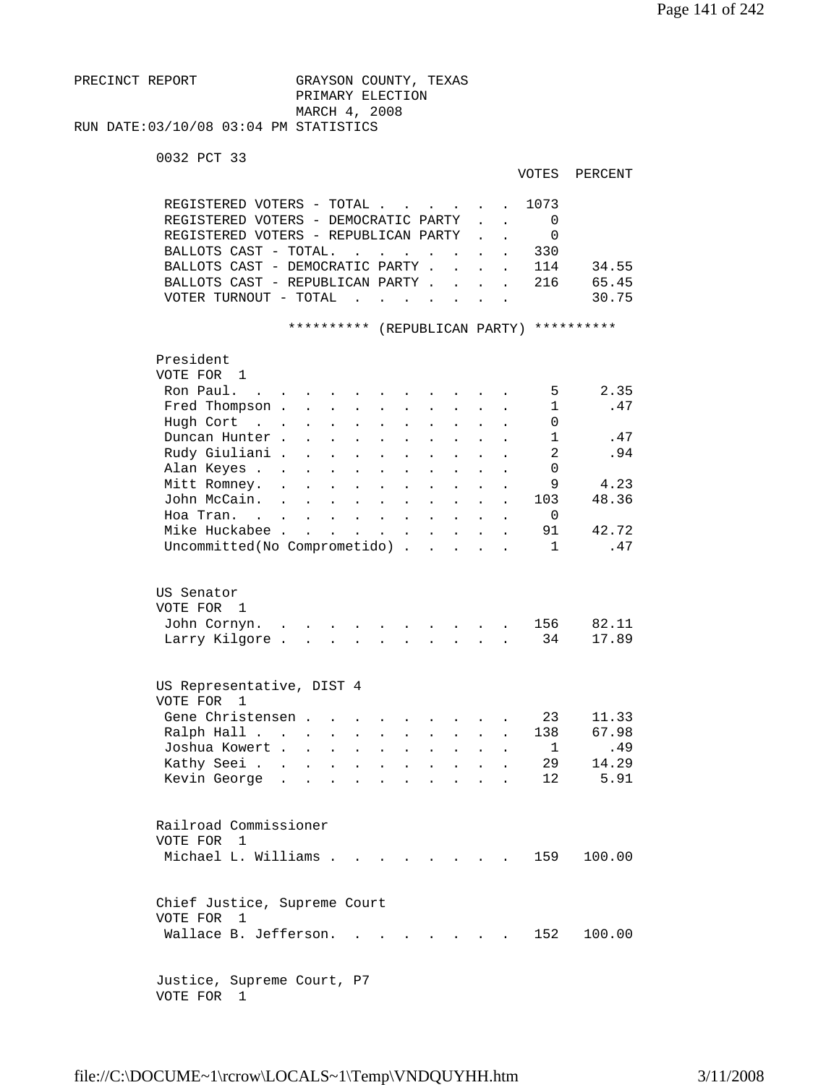PRECINCT REPORT GRAYSON COUNTY, TEXAS PRIMARY ELECTION MARCH 4, 2008 RUN DATE:03/10/08 03:04 PM STATISTICS

0032 PCT 33

| VOTES | PERCENT |
|-------|---------|
|       |         |

|                                                   | REGISTERED VOTERS - TOTAL<br>REGISTERED VOTERS - DEMOCRATIC PARTY<br>REGISTERED VOTERS - REPUBLICAN PARTY<br>BALLOTS CAST - TOTAL.<br>BALLOTS CAST - DEMOCRATIC PARTY.<br>BALLOTS CAST - REPUBLICAN PARTY.<br>VOTER TURNOUT - TOTAL |                                   |                                              | $\mathbf{L} = \mathbf{L} \mathbf{L}$ | $\ddot{\phantom{a}}$<br><b>Contract Contract</b> | $\ddot{\phantom{a}}$<br>$\ddot{\phantom{a}}$<br>$\mathbf{L}$<br>$\sim$ | $\ddot{\phantom{a}}$ | $\ddot{\phantom{a}}$<br>$\mathbf{r}$ | 1073<br>0<br>0<br>330<br>114<br>216 | 34.55<br>65.45<br>30.75                |
|---------------------------------------------------|-------------------------------------------------------------------------------------------------------------------------------------------------------------------------------------------------------------------------------------|-----------------------------------|----------------------------------------------|--------------------------------------|--------------------------------------------------|------------------------------------------------------------------------|----------------------|--------------------------------------|-------------------------------------|----------------------------------------|
|                                                   |                                                                                                                                                                                                                                     |                                   | **********                                   |                                      |                                                  |                                                                        |                      |                                      | (REPUBLICAN PARTY) **********       |                                        |
| President<br>VOTE FOR 1<br>Ron Paul.<br>Hugh Cort | Fred Thompson .<br>$\sim$ $\sim$ $\sim$<br>Duncan Hunter.<br>Rudy Giuliani .<br>Alan Keyes .<br>Mitt Romney.                                                                                                                        |                                   |                                              |                                      |                                                  |                                                                        |                      |                                      | 5<br>1<br>0<br>1<br>2<br>0<br>9     | 2.35<br>.47<br>.47<br>.94<br>4.23      |
|                                                   | John McCain.<br>Hoa Tran. .<br>Mike Huckabee.                                                                                                                                                                                       | $\sim$                            | $\ddot{\phantom{a}}$<br>$\ddot{\phantom{a}}$ | $\ddot{\phantom{0}}$                 | $\ddot{\phantom{a}}$<br>$\ddot{\phantom{a}}$     | $\ddot{\phantom{a}}$                                                   |                      |                                      | 103<br>0<br>91                      | 48.36<br>42.72                         |
|                                                   | Uncommitted(No Comprometido) .                                                                                                                                                                                                      |                                   |                                              |                                      | $\sim$                                           | $\sim$                                                                 | $\ddot{\phantom{a}}$ |                                      | $\mathbf{1}$                        | .47                                    |
| US Senator<br>VOTE FOR                            | 1<br>John Cornyn.<br>Larry Kilgore.                                                                                                                                                                                                 |                                   |                                              |                                      |                                                  |                                                                        |                      |                                      | 156<br>34                           | 82.11<br>17.89                         |
| VOTE FOR                                          | US Representative, DIST 4<br>$\mathbf{1}$                                                                                                                                                                                           |                                   |                                              |                                      |                                                  |                                                                        |                      |                                      |                                     |                                        |
|                                                   | Gene Christensen .<br>Ralph Hall .<br>$\sim$<br>Joshua Kowert .<br>Kathy Seei .<br>Kevin George                                                                                                                                     | $\bullet$<br>$\ddot{\phantom{a}}$ |                                              |                                      |                                                  |                                                                        |                      |                                      | 23<br>138<br>1<br>29<br>12          | 11.33<br>67.98<br>.49<br>14.29<br>5.91 |
| VOTE FOR 1                                        | Railroad Commissioner<br>Michael L. Williams                                                                                                                                                                                        |                                   |                                              |                                      |                                                  | <b>Contract Contract Contract</b>                                      |                      |                                      | 159                                 | 100.00                                 |
| VOTE FOR 1                                        | Chief Justice, Supreme Court<br>Wallace B. Jefferson.                                                                                                                                                                               |                                   |                                              |                                      |                                                  |                                                                        |                      |                                      | 152                                 | 100.00                                 |
|                                                   | Justice, Supreme Court, P7                                                                                                                                                                                                          |                                   |                                              |                                      |                                                  |                                                                        |                      |                                      |                                     |                                        |

VOTE FOR 1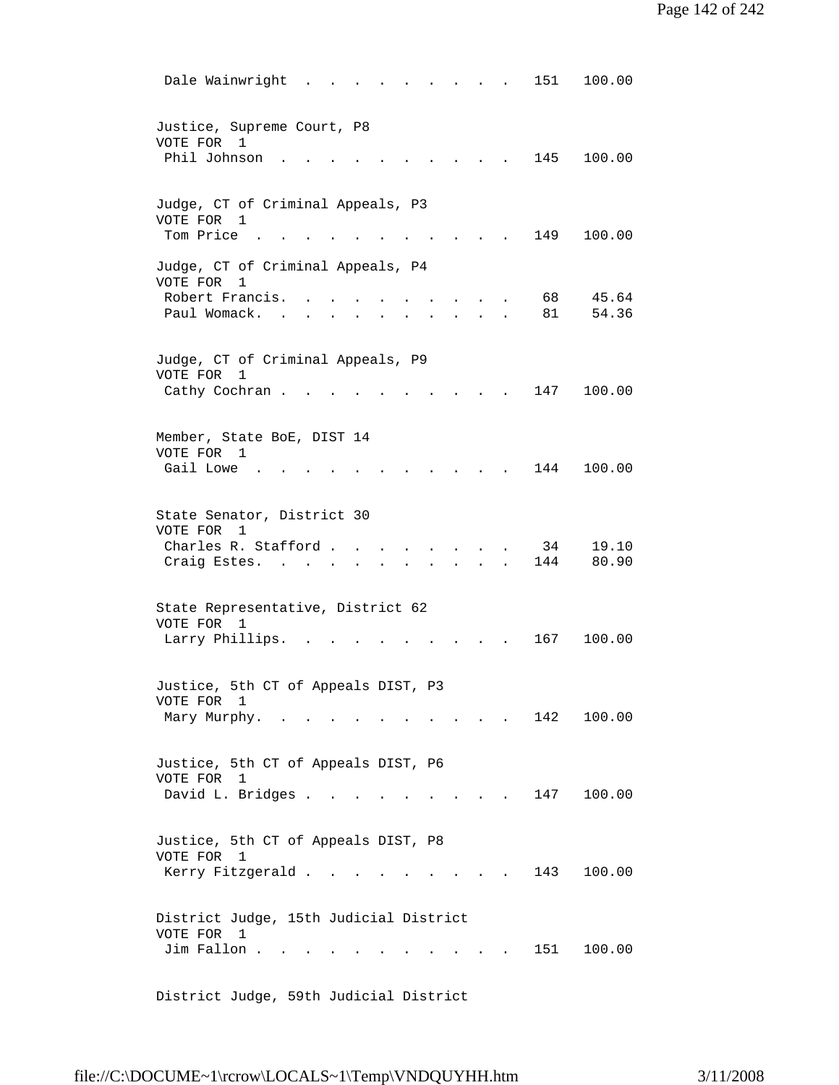| 100.00<br>Dale Wainwright<br>151                                                                                                                                                            |
|---------------------------------------------------------------------------------------------------------------------------------------------------------------------------------------------|
| Justice, Supreme Court, P8<br>VOTE FOR<br>$\mathbf{1}$<br>Phil Johnson<br>145<br>100.00                                                                                                     |
| Judge, CT of Criminal Appeals, P3<br>VOTE FOR 1<br>Tom Price<br>149<br>100.00                                                                                                               |
| Judge, CT of Criminal Appeals, P4<br>VOTE FOR<br>1<br>Robert Francis.<br>45.64<br>68<br>Paul Womack. .<br>81<br>54.36                                                                       |
| Judge, CT of Criminal Appeals, P9<br>VOTE FOR<br>1<br>147<br>100.00<br>Cathy Cochran.                                                                                                       |
| Member, State BoE, DIST 14<br>VOTE FOR 1<br>Gail Lowe<br>144<br>100.00                                                                                                                      |
| State Senator, District 30<br>VOTE FOR<br>1<br>Charles R. Stafford.<br>19.10<br>34<br>144<br>80.90<br>Craig Estes. .<br>$\sim$ $\sim$<br>$\sim$<br>$\mathbf{z} = \mathbf{z} - \mathbf{z}$ . |
| State Representative, District 62<br>VOTE FOR 1<br>Larry Phillips.<br>167<br>100.00                                                                                                         |
| Justice, 5th CT of Appeals DIST, P3<br>VOTE FOR 1<br>142<br>100.00<br>Mary Murphy.                                                                                                          |
| Justice, 5th CT of Appeals DIST, P6<br>VOTE FOR 1<br>David L. Bridges<br>100.00<br>147<br>$\sim$ $\sim$ $\sim$ $\sim$ $\sim$                                                                |
| Justice, 5th CT of Appeals DIST, P8<br>VOTE FOR 1<br>Kerry Fitzgerald<br>143<br>100.00<br>$\mathbf{r}$ $\mathbf{r}$<br>and the state of the state of                                        |
| District Judge, 15th Judicial District<br>VOTE FOR 1<br>Jim Fallon .<br>151<br>100.00<br>and the state of the state of                                                                      |

District Judge, 59th Judicial District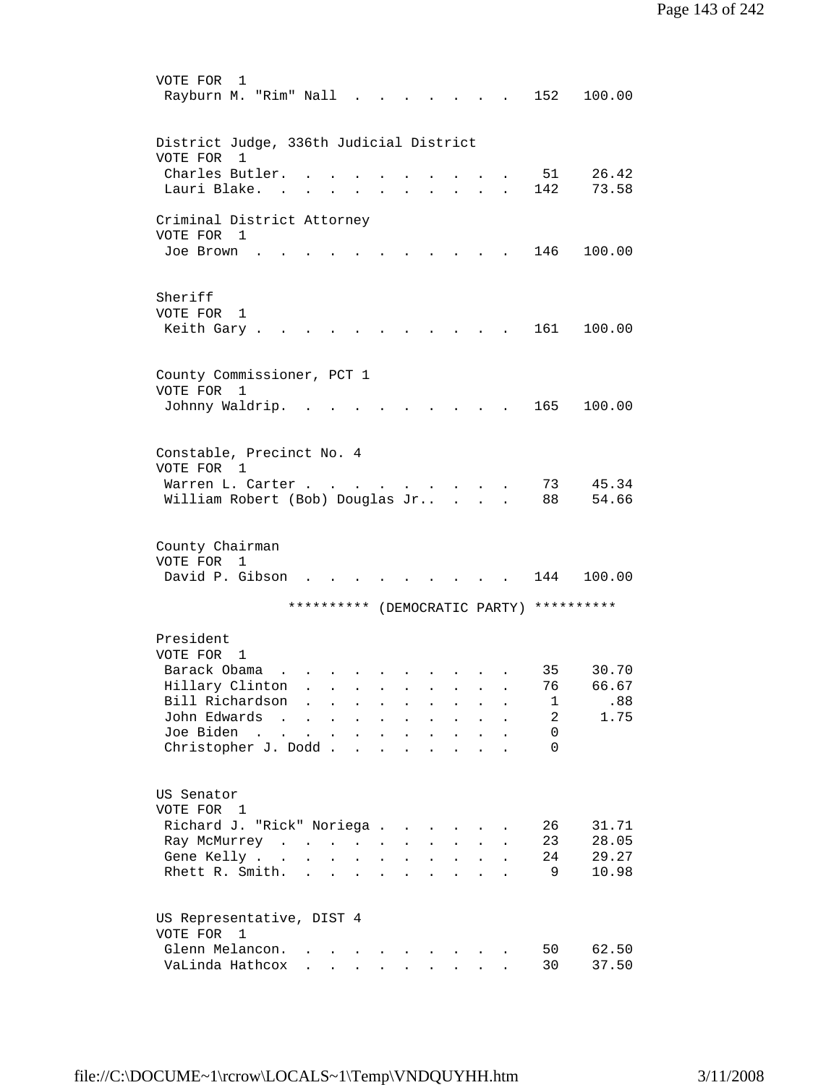```
 VOTE FOR 1 
        Rayburn M. "Rim" Nall . . . . . . . 152 100.00
         District Judge, 336th Judicial District 
         VOTE FOR 1 
          Charles Butler. . . . . . . . . . 51 26.42 
         Lauri Blake. . . . . . . . . . . 142 73.58
         Criminal District Attorney 
         VOTE FOR 1 
         Joe Brown . . . . . . . . . . . 146 100.00
         Sheriff 
         VOTE FOR 1 
        Keith Gary . . . . . . . . . . . 161 100.00
         County Commissioner, PCT 1 
         VOTE FOR 1 
         Johnny Waldrip. . . . . . . . . . 165 100.00 
         Constable, Precinct No. 4 
         VOTE FOR 1 
 Warren L. Carter . . . . . . . . . 73 45.34 
 William Robert (Bob) Douglas Jr.. . . . 88 54.66 
         County Chairman 
         VOTE FOR 1 
        David P. Gibson . . . . . . . . . 144 100.00
                       ********** (DEMOCRATIC PARTY) ********** 
         President 
         VOTE FOR 1 
Barack Obama . . . . . . . . . . . 35 30.70
 Hillary Clinton . . . . . . . . . 76 66.67 
         Bill Richardson . . . . . . . . . 1 .88<br>John Edwards . . . . . . . . . . 2 1.75
         John Edwards . . . . . . . . . . . 2<br>Joe Biden . . . . . . . . . . . . 0
         Joe Biden . . . . . . . . . . .
         Christopher J. Dodd . . . . . . . . 0
         US Senator 
         VOTE FOR 1 
        Richard J. "Rick" Noriega . . . . . . 26 31.71
         Ray McMurrey . . . . . . . . . . 23 28.05
         Gene Kelly . . . . . . . . . . . 24 29.27
         Rhett R. Smith. . . . . . . . . . . 9 10.98
         US Representative, DIST 4 
         VOTE FOR 1 
         Glenn Melancon. . . . . . . . . . 50 62.50
         VaLinda Hathcox . . . . . . . . . 30 37.50
```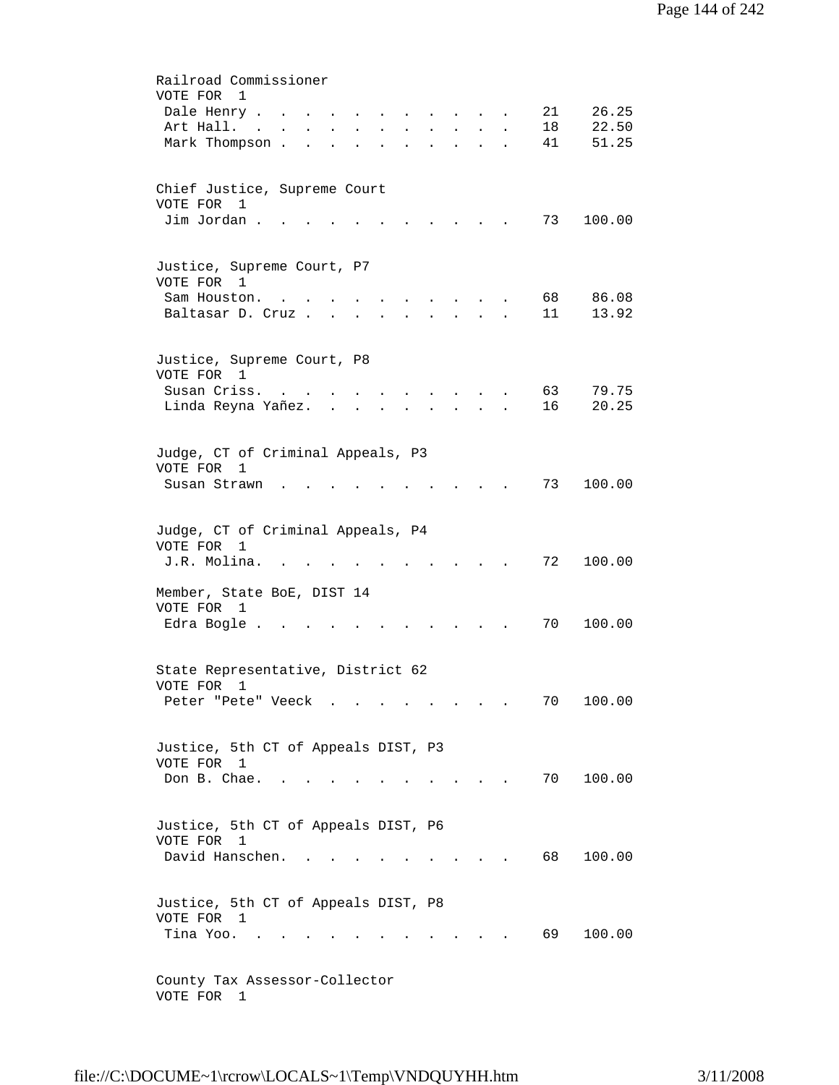| Railroad Commissioner                                                                                                                             |
|---------------------------------------------------------------------------------------------------------------------------------------------------|
| VOTE FOR<br>1                                                                                                                                     |
| 21<br>26.25<br>Dale Henry                                                                                                                         |
| 22.50<br>Art Hall.<br>18<br>$\mathbf{L}^{\text{max}}$<br>$\bullet$<br>$\bullet$<br>$\mathbf{A}^{\text{max}}$<br>$\ddot{\phantom{0}}$<br>$\bullet$ |
| Mark Thompson.<br>41<br>51.25<br><b>Contract Contract</b><br>$\ddot{\phantom{a}}$<br>$\ddot{\phantom{a}}$<br>$\ddot{\phantom{a}}$                 |
| Chief Justice, Supreme Court                                                                                                                      |
| VOTE FOR 1                                                                                                                                        |
| Jim Jordan.<br>73<br>100.00                                                                                                                       |
|                                                                                                                                                   |
| Justice, Supreme Court, P7                                                                                                                        |
| VOTE FOR 1                                                                                                                                        |
| 68<br>Sam Houston.<br>86.08                                                                                                                       |
| 11<br>13.92<br>Baltasar D. Cruz.                                                                                                                  |
| Justice, Supreme Court, P8                                                                                                                        |
| VOTE FOR 1                                                                                                                                        |
| Susan Criss.<br>63<br>79.75<br>$\sim$ $\sim$ $\sim$ $\sim$<br><b>Contract Contract</b><br>$\bullet$                                               |
| 20.25<br>Linda Reyna Yañez<br>16                                                                                                                  |
|                                                                                                                                                   |
| Judge, CT of Criminal Appeals, P3                                                                                                                 |
| VOTE FOR 1                                                                                                                                        |
| 73<br>100.00<br>Susan Strawn                                                                                                                      |
|                                                                                                                                                   |
| Judge, CT of Criminal Appeals, P4                                                                                                                 |
| VOTE FOR 1                                                                                                                                        |
| 72<br>J.R. Molina.<br>100.00                                                                                                                      |
|                                                                                                                                                   |
| Member, State BoE, DIST 14                                                                                                                        |
| VOTE FOR 1                                                                                                                                        |
| Edra Bogle.<br>70<br>100.00                                                                                                                       |
|                                                                                                                                                   |
| State Representative, District 62                                                                                                                 |
| VOTE FOR<br>1                                                                                                                                     |
| 70<br>Peter "Pete" Veeck<br>100.00<br>and the contract of the contract of                                                                         |
|                                                                                                                                                   |
| Justice, 5th CT of Appeals DIST, P3                                                                                                               |
| VOTE FOR 1                                                                                                                                        |
| Don B. Chae.<br>70<br>100.00<br>$\sim$<br>$\sim$ $\sim$                                                                                           |
|                                                                                                                                                   |
| Justice, 5th CT of Appeals DIST, P6                                                                                                               |
| VOTE FOR<br>$\mathbf{1}$                                                                                                                          |
| David Hanschen.<br>68<br>100.00                                                                                                                   |
|                                                                                                                                                   |
| Justice, 5th CT of Appeals DIST, P8                                                                                                               |
| VOTE FOR 1                                                                                                                                        |
| 69<br>Tina Yoo.<br>100.00                                                                                                                         |
|                                                                                                                                                   |
|                                                                                                                                                   |
| County Tax Assessor-Collector<br>VOTE FOR 1                                                                                                       |
|                                                                                                                                                   |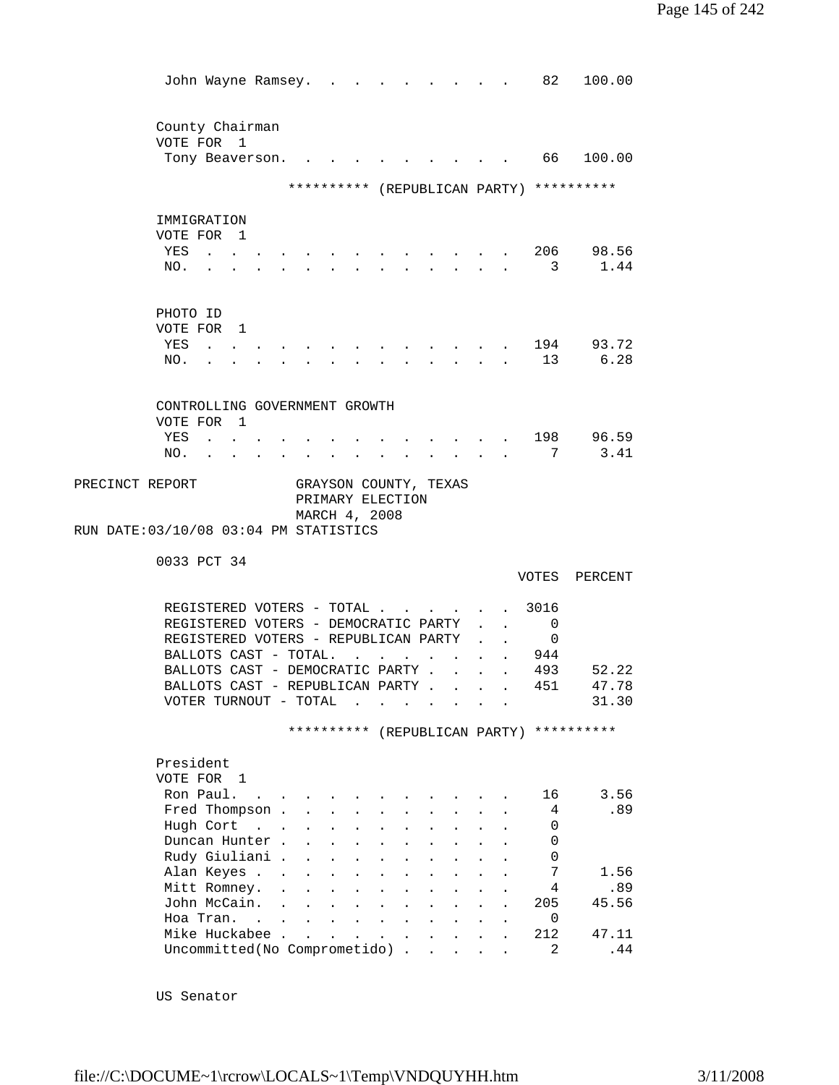| John Wayne Ramsey.                                                       |              |                                                            |                          |                                                           |                      |                                                                          |                                            |                  |                      | 82             | 100.00                                   |
|--------------------------------------------------------------------------|--------------|------------------------------------------------------------|--------------------------|-----------------------------------------------------------|----------------------|--------------------------------------------------------------------------|--------------------------------------------|------------------|----------------------|----------------|------------------------------------------|
| County Chairman                                                          |              |                                                            |                          |                                                           |                      |                                                                          |                                            |                  |                      |                |                                          |
| VOTE FOR 1                                                               |              |                                                            |                          |                                                           |                      |                                                                          |                                            |                  |                      |                |                                          |
| Tony Beaverson.                                                          |              |                                                            |                          |                                                           |                      |                                                                          |                                            |                  |                      | 66 —           | 100.00                                   |
|                                                                          |              |                                                            |                          |                                                           |                      |                                                                          |                                            |                  |                      |                | ********** (REPUBLICAN PARTY) ********** |
|                                                                          |              |                                                            |                          |                                                           |                      |                                                                          |                                            |                  |                      |                |                                          |
| IMMIGRATION                                                              |              |                                                            |                          |                                                           |                      |                                                                          |                                            |                  |                      |                |                                          |
| VOTE FOR 1                                                               |              |                                                            |                          |                                                           |                      |                                                                          |                                            |                  |                      |                |                                          |
| YES<br>$\mathbf{z} = \mathbf{z} + \mathbf{z}$ . $\mathbf{z}$             |              |                                                            |                          |                                                           |                      |                                                                          |                                            |                  |                      |                | 206 98.56                                |
| NO.                                                                      |              |                                                            | $\sim 100$               |                                                           |                      | $\mathbf{r} = \mathbf{r} + \mathbf{r}$ , where $\mathbf{r} = \mathbf{r}$ |                                            |                  |                      |                | 3 1.44                                   |
|                                                                          |              |                                                            |                          |                                                           |                      |                                                                          |                                            |                  |                      |                |                                          |
|                                                                          |              |                                                            |                          |                                                           |                      |                                                                          |                                            |                  |                      |                |                                          |
| PHOTO ID                                                                 |              |                                                            |                          |                                                           |                      |                                                                          |                                            |                  |                      |                |                                          |
| VOTE FOR 1                                                               |              |                                                            |                          |                                                           |                      |                                                                          |                                            |                  |                      |                |                                          |
| YES<br>$\cdots$ $\cdots$                                                 |              |                                                            |                          |                                                           |                      |                                                                          |                                            |                  |                      |                | 194 93.72                                |
| NO.                                                                      |              |                                                            |                          |                                                           |                      |                                                                          |                                            |                  |                      | 13             | 6.28                                     |
|                                                                          |              |                                                            |                          |                                                           |                      |                                                                          |                                            |                  |                      |                |                                          |
| CONTROLLING GOVERNMENT GROWTH                                            |              |                                                            |                          |                                                           |                      |                                                                          |                                            |                  |                      |                |                                          |
| VOTE FOR 1                                                               |              |                                                            |                          |                                                           |                      |                                                                          |                                            |                  |                      |                |                                          |
| YES                                                                      |              |                                                            |                          |                                                           |                      |                                                                          |                                            |                  |                      | 198            | 96.59                                    |
| NO.                                                                      |              |                                                            |                          |                                                           |                      |                                                                          |                                            |                  |                      | 7              | 3.41                                     |
| PRECINCT REPORT<br>RUN DATE: 03/10/08 03:04 PM STATISTICS<br>0033 PCT 34 |              | GRAYSON COUNTY, TEXAS<br>PRIMARY ELECTION<br>MARCH 4, 2008 |                          |                                                           |                      |                                                                          |                                            |                  |                      |                |                                          |
|                                                                          |              |                                                            |                          |                                                           |                      |                                                                          |                                            |                  |                      | VOTES          | PERCENT                                  |
|                                                                          |              |                                                            |                          |                                                           |                      |                                                                          |                                            |                  |                      |                |                                          |
| REGISTERED VOTERS - TOTAL                                                |              |                                                            |                          |                                                           |                      |                                                                          | $\sim 10^{-10}$                            | $\sim$           | $\mathbf{L}$         | 3016           |                                          |
| REGISTERED VOTERS - DEMOCRATIC PARTY                                     |              |                                                            |                          |                                                           |                      |                                                                          |                                            |                  | $\mathbf{r}$         | $\overline{0}$ |                                          |
| REGISTERED VOTERS - REPUBLICAN PARTY                                     |              |                                                            |                          |                                                           |                      |                                                                          |                                            |                  | $\ddot{\phantom{a}}$ | $\mathbf 0$    |                                          |
| BALLOTS CAST - TOTAL.                                                    |              |                                                            |                          | $\mathbf{r}$ , $\mathbf{r}$ , $\mathbf{r}$ , $\mathbf{r}$ |                      |                                                                          | $\mathbf{r}$ , $\mathbf{r}$ , $\mathbf{r}$ |                  |                      | . 944          |                                          |
| BALLOTS CAST - DEMOCRATIC PARTY 493                                      |              |                                                            |                          |                                                           |                      |                                                                          |                                            |                  |                      |                | 52.22                                    |
| BALLOTS CAST - REPUBLICAN PARTY                                          |              |                                                            |                          |                                                           |                      |                                                                          |                                            |                  |                      | 451            | 47.78                                    |
| VOTER TURNOUT - TOTAL                                                    |              |                                                            | $\sim$                   | and a series of the series of                             |                      |                                                                          |                                            |                  |                      |                | 31.30                                    |
|                                                                          |              | ********** (REPUBLICAN PARTY)                              |                          |                                                           |                      |                                                                          |                                            |                  |                      |                | **********                               |
|                                                                          |              |                                                            |                          |                                                           |                      |                                                                          |                                            |                  |                      |                |                                          |
| President                                                                |              |                                                            |                          |                                                           |                      |                                                                          |                                            |                  |                      |                |                                          |
| VOTE FOR 1                                                               |              |                                                            |                          |                                                           |                      |                                                                          |                                            |                  |                      |                |                                          |
| Ron Paul.                                                                |              |                                                            |                          |                                                           |                      |                                                                          |                                            |                  |                      | 16             | 3.56                                     |
| Fred Thompson.                                                           |              | $\ddot{\phantom{0}}$                                       |                          |                                                           |                      |                                                                          |                                            |                  |                      | 4              | .89                                      |
| Hugh Cort                                                                |              |                                                            |                          |                                                           |                      |                                                                          |                                            |                  |                      | 0              |                                          |
| Duncan Hunter .                                                          |              |                                                            |                          |                                                           |                      |                                                                          |                                            |                  |                      | $\Omega$       |                                          |
| Rudy Giuliani .                                                          |              |                                                            |                          |                                                           |                      |                                                                          |                                            |                  |                      | 0              |                                          |
| Alan Keyes .                                                             |              |                                                            |                          |                                                           |                      |                                                                          |                                            |                  |                      | 7              | 1.56                                     |
| Mitt Romney.                                                             |              |                                                            |                          |                                                           |                      |                                                                          |                                            |                  |                      |                |                                          |
|                                                                          |              |                                                            |                          |                                                           |                      |                                                                          |                                            |                  |                      | 4              | .89                                      |
| John McCain.                                                             | $\mathbf{r}$ | $\mathbf{L}$<br>$\mathbf{A}$                               |                          |                                                           |                      |                                                                          |                                            |                  |                      | 205            | 45.56                                    |
| Hoa Tran.                                                                | $\sim$       | $\mathbf{r}$ and $\mathbf{r}$                              | <b>Contract Contract</b> |                                                           | $\ddot{\phantom{a}}$ | $\mathbf{r}$                                                             | $\ddot{\phantom{a}}$                       |                  |                      | 0              |                                          |
| Mike Huckabee.<br>Uncommitted (No Comprometido)                          |              | $\mathbf{L}$<br>$\ddot{\phantom{a}}$                       | $\ddot{\phantom{a}}$     | $\mathbf{r}$                                              | $\ddot{\phantom{0}}$ | $\ddot{\phantom{a}}$                                                     | $\mathbf{L}^{\text{max}}$                  | $\sim$ 100 $\pm$ |                      | 212<br>2       | 47.11<br>.44                             |

US Senator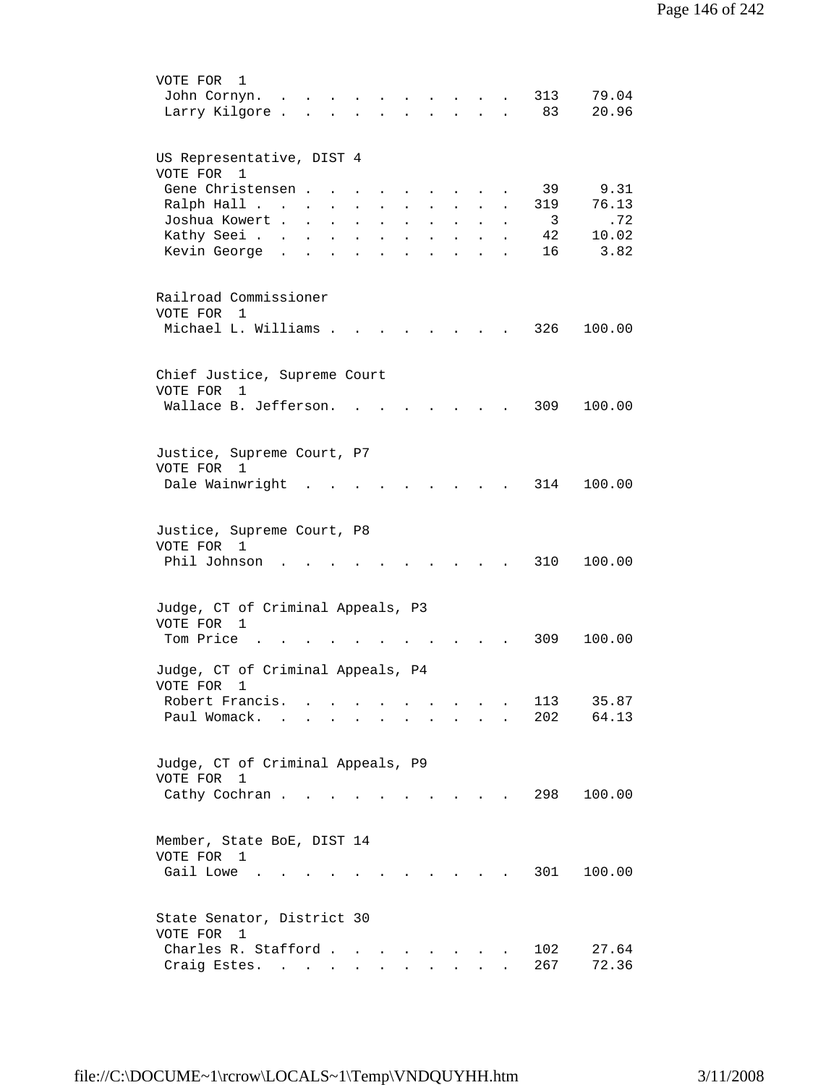| VOTE FOR<br>1                                                                                                                                                                                                          |
|------------------------------------------------------------------------------------------------------------------------------------------------------------------------------------------------------------------------|
| 313<br>79.04<br>John Cornyn.                                                                                                                                                                                           |
| 20.96<br>Larry Kilgore.<br>83<br>$\mathbf{r}$ , $\mathbf{r}$ , $\mathbf{r}$<br>$\sim$ $\sim$ $\sim$ $\sim$<br><b>Contract Contract</b>                                                                                 |
|                                                                                                                                                                                                                        |
| US Representative, DIST 4                                                                                                                                                                                              |
| VOTE FOR 1                                                                                                                                                                                                             |
| Gene Christensen.<br>39<br>9.31                                                                                                                                                                                        |
| 76.13<br>Ralph Hall<br>319<br>$\ddot{\phantom{0}}$                                                                                                                                                                     |
| Joshua Kowert .<br>3<br>.72<br>$\sim$ 100 $\sim$<br>$\sim 10^{-11}$<br>$\ddot{\phantom{a}}$<br>$\ddot{\phantom{0}}$<br>$\ddot{\phantom{a}}$<br>$\ddot{\phantom{a}}$<br>$\ddot{\phantom{0}}$<br>$\ddot{\phantom{a}}$    |
| 10.02<br>Kathy Seei<br>42<br>$\mathbf{L}^{\text{max}}$<br>$\mathbf{L}$<br>$\ddot{\phantom{a}}$<br>$\ddot{\phantom{a}}$<br>$\ddot{\phantom{a}}$<br>$\ddot{\phantom{a}}$<br>$\ddot{\phantom{0}}$<br>$\ddot{\phantom{a}}$ |
| Kevin George .<br>3.82<br>16<br>$\ddot{\phantom{a}}$<br>$\ddot{\phantom{a}}$<br>$\ddot{\phantom{a}}$<br>$\bullet$<br>$\ddot{\phantom{a}}$<br>$\ddot{\phantom{0}}$<br>$\ddot{\phantom{a}}$<br>$\bullet$                 |
|                                                                                                                                                                                                                        |
| Railroad Commissioner                                                                                                                                                                                                  |
| VOTE FOR 1                                                                                                                                                                                                             |
| Michael L. Williams .<br>326<br>100.00                                                                                                                                                                                 |
|                                                                                                                                                                                                                        |
|                                                                                                                                                                                                                        |
| Chief Justice, Supreme Court                                                                                                                                                                                           |
| VOTE FOR<br>1                                                                                                                                                                                                          |
| Wallace B. Jefferson.<br>309<br>100.00                                                                                                                                                                                 |
|                                                                                                                                                                                                                        |
| Justice, Supreme Court, P7                                                                                                                                                                                             |
| VOTE FOR 1                                                                                                                                                                                                             |
| Dale Wainwright<br>314<br>100.00                                                                                                                                                                                       |
|                                                                                                                                                                                                                        |
|                                                                                                                                                                                                                        |
| Justice, Supreme Court, P8                                                                                                                                                                                             |
| VOTE FOR 1                                                                                                                                                                                                             |
| Phil Johnson<br>310<br>100.00                                                                                                                                                                                          |
|                                                                                                                                                                                                                        |
| Judge, CT of Criminal Appeals, P3                                                                                                                                                                                      |
| VOTE FOR 1                                                                                                                                                                                                             |
| Tom Price<br>309<br>100.00                                                                                                                                                                                             |
|                                                                                                                                                                                                                        |
| Judge, CT of Criminal Appeals, P4                                                                                                                                                                                      |
| VOTE FOR<br>1                                                                                                                                                                                                          |
| Robert Francis.<br>35.87<br>113<br>$\ddot{\phantom{a}}$<br>$\ddot{\phantom{1}}$<br>64.13                                                                                                                               |
| Paul Womack.<br>202                                                                                                                                                                                                    |
|                                                                                                                                                                                                                        |
| Judge, CT of Criminal Appeals, P9                                                                                                                                                                                      |
| VOTE FOR 1                                                                                                                                                                                                             |
| 298<br>100.00<br>Cathy Cochran<br>$\sim$ $\sim$ $\sim$ $\sim$                                                                                                                                                          |
|                                                                                                                                                                                                                        |
|                                                                                                                                                                                                                        |
| Member, State BoE, DIST 14                                                                                                                                                                                             |
| VOTE FOR 1<br>301                                                                                                                                                                                                      |
| Gail Lowe .<br>100.00                                                                                                                                                                                                  |
|                                                                                                                                                                                                                        |
| State Senator, District 30                                                                                                                                                                                             |
| VOTE FOR 1                                                                                                                                                                                                             |
| Charles R. Stafford.<br>102<br>27.64<br>$\mathbf{r}$ , $\mathbf{r}$ , $\mathbf{r}$ , $\mathbf{r}$                                                                                                                      |
| 267<br>72.36<br>Craig Estes.<br>$\sim$                                                                                                                                                                                 |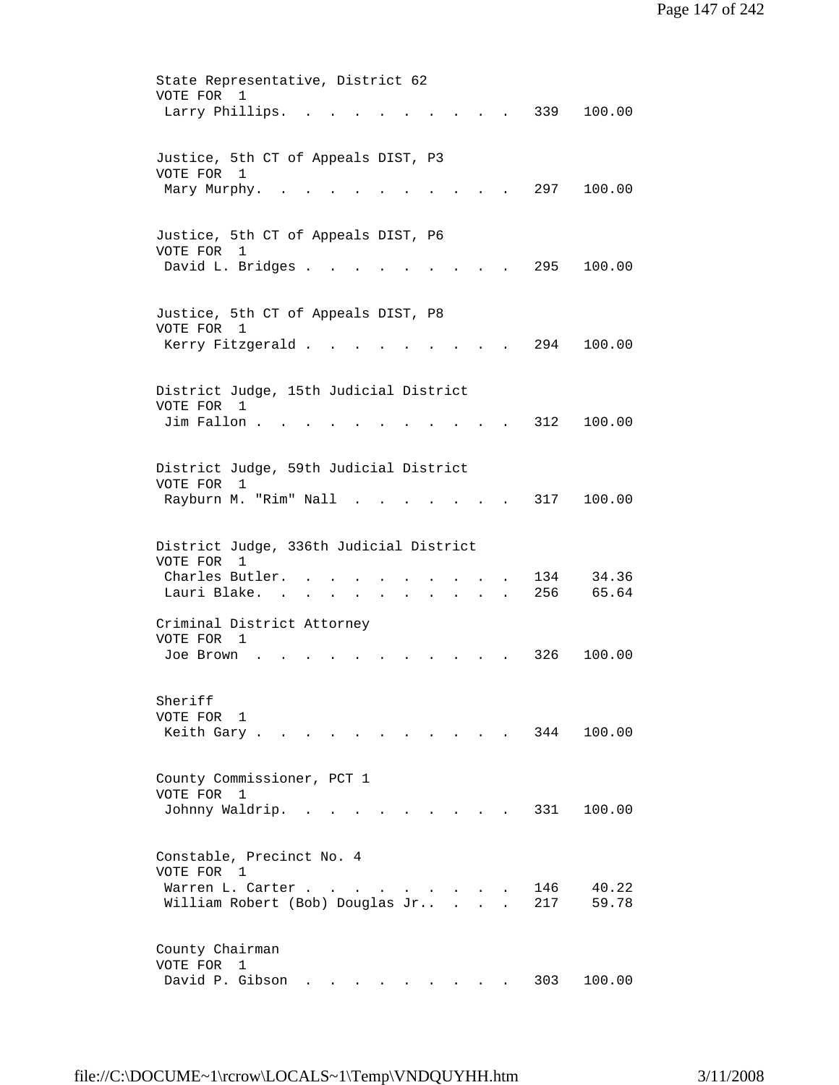State Representative, District 62 VOTE FOR 1 Larry Phillips. . . . . . . . . . 339 100.00 Justice, 5th CT of Appeals DIST, P3 VOTE FOR 1 Mary Murphy. . . . . . . . . . . 297 100.00 Justice, 5th CT of Appeals DIST, P6 VOTE FOR 1 David L. Bridges . . . . . . . . . 295 100.00 Justice, 5th CT of Appeals DIST, P8 VOTE FOR 1 Kerry Fitzgerald . . . . . . . . . 294 100.00 District Judge, 15th Judicial District VOTE FOR 1 Jim Fallon . . . . . . . . . . . 312 100.00 District Judge, 59th Judicial District VOTE FOR 1 Rayburn M. "Rim" Nall . . . . . . . 317 100.00 District Judge, 336th Judicial District VOTE FOR 1 Charles Butler. . . . . . . . . . 134 34.36<br>Lauri Blake. . . . . . . . . . . 256 65.64 Lauri Blake. . . . . . . Criminal District Attorney VOTE FOR 1 Joe Brown . . . . . . . . . . . 326 100.00 Sheriff VOTE FOR 1 Keith Gary . . . . . . . . . . . 344 100.00 County Commissioner, PCT 1 VOTE FOR 1 Johnny Waldrip. . . . . . . . . . 331 100.00 Constable, Precinct No. 4 VOTE FOR 1 Warren L. Carter . . . . . . . . . 146 40.22 William Robert (Bob) Douglas Jr.. . . . 217 59.78 County Chairman VOTE FOR 1 David P. Gibson . . . . . . . . . 303 100.00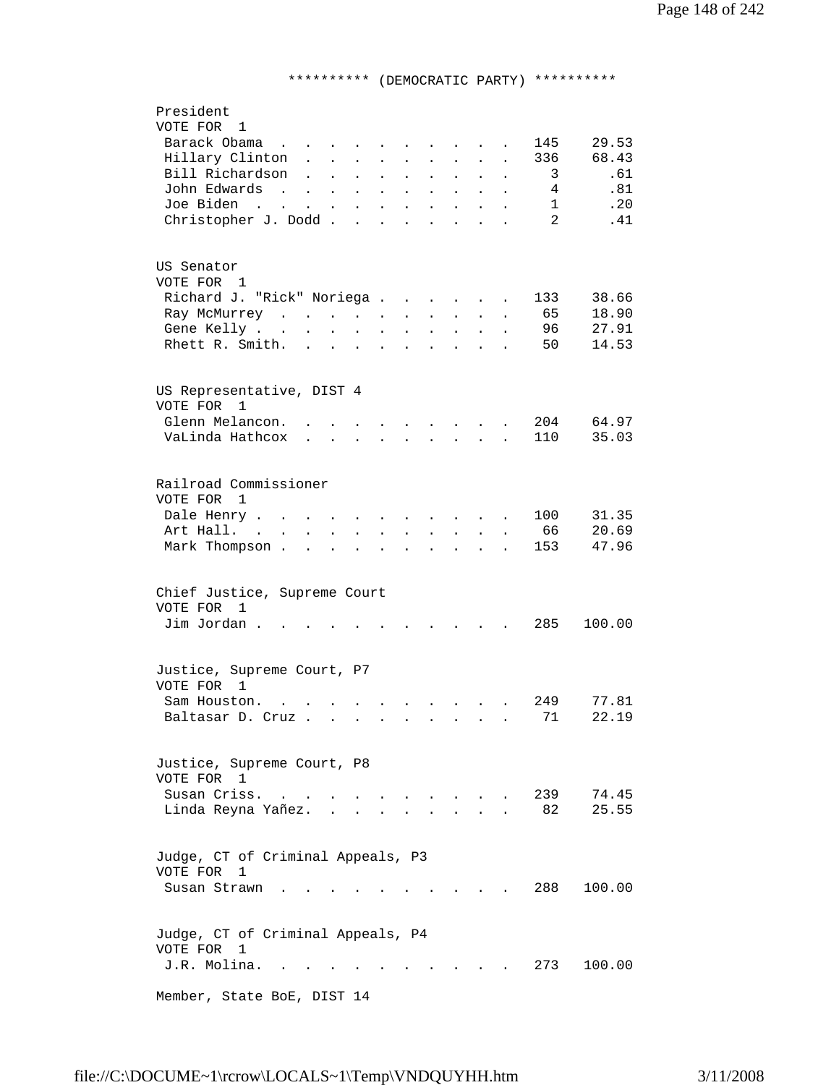## \*\*\*\*\*\*\*\*\*\* (DEMOCRATIC PARTY) \*\*\*\*\*\*\*\*\*\*

| President                                                                                                                                                                                                                                                                                                                                                             |
|-----------------------------------------------------------------------------------------------------------------------------------------------------------------------------------------------------------------------------------------------------------------------------------------------------------------------------------------------------------------------|
| VOTE FOR 1                                                                                                                                                                                                                                                                                                                                                            |
| Barack Obama<br>29.53<br>145<br>$\mathbf{r}$ , $\mathbf{r}$ , $\mathbf{r}$ , $\mathbf{r}$                                                                                                                                                                                                                                                                             |
| Hillary Clinton.<br>68.43<br>336<br>$\mathbf{L}^{\text{max}}$<br>$\mathbf{r} = \mathbf{r} + \mathbf{r}$ .<br>$\mathbf{r} = \mathbf{r} \mathbf{r}$ , where $\mathbf{r} = \mathbf{r} \mathbf{r}$<br>$\mathcal{L}^{\text{max}}$<br>$\sim$                                                                                                                                |
| Bill Richardson<br>.61<br>3<br>$\sim$<br>$\mathcal{L}^{\text{max}}$<br>$\ddot{\phantom{a}}$<br>$\ddot{\phantom{a}}$<br>$\bullet$ .<br>$\bullet$<br>$\ddot{\phantom{0}}$<br>$\ddot{\phantom{a}}$<br>$\ddot{\phantom{a}}$                                                                                                                                               |
| .81<br>John Edwards<br>$4\phantom{.00000000000000000000}$<br>$\mathcal{L}(\mathcal{L}^{\mathcal{L}}(\mathcal{L}^{\mathcal{L}}(\mathcal{L}^{\mathcal{L}}(\mathcal{L}^{\mathcal{L}}(\mathcal{L}^{\mathcal{L}})))$<br>$\Delta \phi = 0.0000$ and $\phi = 0.000$<br>$\blacksquare$<br>$\mathbf{L}^{\text{max}}$<br>$\mathbf{A}^{\text{max}}$<br>$\mathbf{z} = \mathbf{z}$ |
| .20<br>Joe Biden<br>1<br>$\sim 100$<br>$\ddot{\phantom{a}}$<br>$\ddot{\phantom{a}}$<br>$\sim$<br>$\bullet$                                                                                                                                                                                                                                                            |
| Christopher J. Dodd.<br>$\overline{2}$<br>.41<br>$\sim$<br>$\ddot{\phantom{a}}$<br>$\ddot{\phantom{a}}$                                                                                                                                                                                                                                                               |
|                                                                                                                                                                                                                                                                                                                                                                       |
|                                                                                                                                                                                                                                                                                                                                                                       |
| US Senator                                                                                                                                                                                                                                                                                                                                                            |
| VOTE FOR 1                                                                                                                                                                                                                                                                                                                                                            |
| Richard J. "Rick" Noriega<br>38.66<br>133<br><b>Contractor</b><br>$\sim$ 100 $\pm$                                                                                                                                                                                                                                                                                    |
| 65<br>18.90<br>Ray McMurrey<br>$\mathbf{L}^{\text{max}}$<br>$\mathbf{a} = \mathbf{b}$<br>$\bullet$<br>$\mathbf{L}^{\text{max}}$<br>$\ddot{\phantom{a}}$                                                                                                                                                                                                               |
| 96<br>27.91<br>Gene Kelly<br>$\ddot{\phantom{a}}$<br>$\mathcal{L}^{\text{max}}$<br>$\sim 10^{-11}$<br>$\sim 10^{-11}$<br>$\bullet$<br>$\bullet$                                                                                                                                                                                                                       |
| Rhett R. Smith.<br>14.53<br>50<br>$\mathbf{z} = \mathbf{z} + \mathbf{z}$ .<br>$\sim$ $\sim$<br>$\ddot{\phantom{a}}$<br><b>Contract Contract</b><br>$\bullet$<br>$\bullet$                                                                                                                                                                                             |
|                                                                                                                                                                                                                                                                                                                                                                       |
|                                                                                                                                                                                                                                                                                                                                                                       |
| US Representative, DIST 4                                                                                                                                                                                                                                                                                                                                             |
| VOTE FOR 1                                                                                                                                                                                                                                                                                                                                                            |
| Glenn Melancon.<br>204<br>64.97<br>and the state of the state of                                                                                                                                                                                                                                                                                                      |
| VaLinda Hathcox<br>110<br>35.03<br><b>All All Angeles</b><br>$\mathbf{L}^{\text{max}}$<br>$\mathbf{L}$                                                                                                                                                                                                                                                                |
|                                                                                                                                                                                                                                                                                                                                                                       |
|                                                                                                                                                                                                                                                                                                                                                                       |
| Railroad Commissioner                                                                                                                                                                                                                                                                                                                                                 |
| VOTE FOR 1                                                                                                                                                                                                                                                                                                                                                            |
| 31.35<br>Dale Henry<br>100                                                                                                                                                                                                                                                                                                                                            |
| $\mathbf{r}$ , $\mathbf{r}$ , $\mathbf{r}$ , $\mathbf{r}$ , $\mathbf{r}$<br>$\sim$ $\sim$ $\sim$<br>$\mathbf{L}^{\text{max}}$<br>$\sim$<br>$\ddot{\phantom{a}}$<br>$\ddot{\phantom{a}}$                                                                                                                                                                               |
| 20.69<br>Art Hall.<br>66<br>$\mathbf{L} = \mathbf{L}$<br>$\mathbf{L}^{\text{max}}$ , and $\mathbf{L}^{\text{max}}$<br>$\sim 10^{-11}$<br>$\mathbf{L} = \mathbf{L}$<br>$\sim$<br>$\ddot{\phantom{a}}$                                                                                                                                                                  |
| 47.96<br>Mark Thompson.<br>153<br>$\mathbf{r}$ and $\mathbf{r}$<br>$\mathbf{r}$ and $\mathbf{r}$ and $\mathbf{r}$<br>$\ddot{\phantom{a}}$<br>$\ddot{\phantom{a}}$<br>$\ddot{\phantom{a}}$<br>$\mathbf{r}$<br>$\mathbf{r}$                                                                                                                                             |
|                                                                                                                                                                                                                                                                                                                                                                       |
| Chief Justice, Supreme Court                                                                                                                                                                                                                                                                                                                                          |
| VOTE FOR 1                                                                                                                                                                                                                                                                                                                                                            |
| Jim Jordan.<br>285<br>100.00                                                                                                                                                                                                                                                                                                                                          |
| <b>Contractor</b>                                                                                                                                                                                                                                                                                                                                                     |
|                                                                                                                                                                                                                                                                                                                                                                       |
| Justice, Supreme Court, P7                                                                                                                                                                                                                                                                                                                                            |
| VOTE FOR 1                                                                                                                                                                                                                                                                                                                                                            |
| 77.81<br>Sam Houston.<br>249<br>$\mathbf{L}^{\text{max}}$                                                                                                                                                                                                                                                                                                             |
| Baltasar D. Cruz<br>71<br>22.19                                                                                                                                                                                                                                                                                                                                       |
|                                                                                                                                                                                                                                                                                                                                                                       |
|                                                                                                                                                                                                                                                                                                                                                                       |
| Justice, Supreme Court, P8                                                                                                                                                                                                                                                                                                                                            |
| VOTE FOR 1                                                                                                                                                                                                                                                                                                                                                            |
| Susan Criss.<br>239<br>74.45<br>$\mathbf{r} = \mathbf{r}$ , and the set of $\mathbf{r} = \mathbf{r}$                                                                                                                                                                                                                                                                  |
| 82<br>25.55<br>Linda Reyna Yañez.                                                                                                                                                                                                                                                                                                                                     |
|                                                                                                                                                                                                                                                                                                                                                                       |
|                                                                                                                                                                                                                                                                                                                                                                       |
| Judge, CT of Criminal Appeals, P3                                                                                                                                                                                                                                                                                                                                     |
| VOTE FOR<br>$\mathbf{1}$                                                                                                                                                                                                                                                                                                                                              |
| 288<br>Susan Strawn.<br>100.00                                                                                                                                                                                                                                                                                                                                        |
|                                                                                                                                                                                                                                                                                                                                                                       |
|                                                                                                                                                                                                                                                                                                                                                                       |
| Judge, CT of Criminal Appeals, P4                                                                                                                                                                                                                                                                                                                                     |
| VOTE FOR 1                                                                                                                                                                                                                                                                                                                                                            |
| J.R. Molina.<br>273<br>100.00                                                                                                                                                                                                                                                                                                                                         |
|                                                                                                                                                                                                                                                                                                                                                                       |
| Member, State BoE, DIST 14                                                                                                                                                                                                                                                                                                                                            |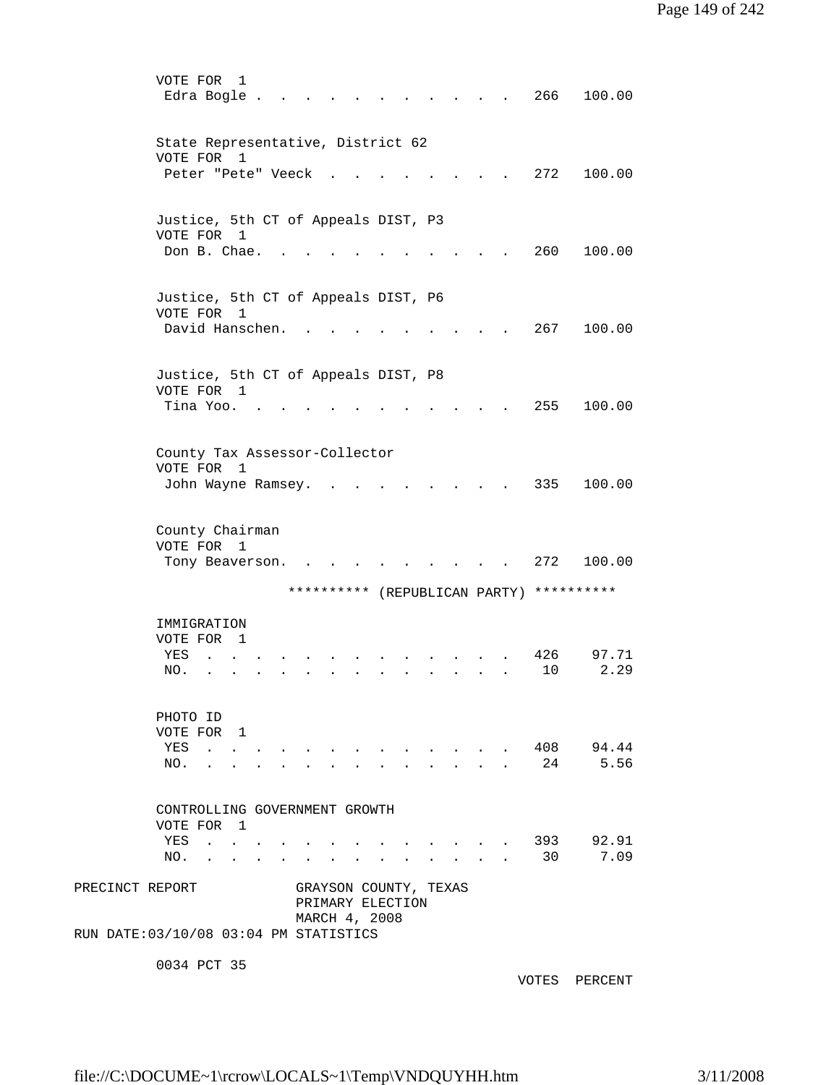|                 | VOTE FOR<br>1<br>Edra Bogle.                                                          |  |                                                            |        |                                                                  |                          |                  | 266        | 100.00            |
|-----------------|---------------------------------------------------------------------------------------|--|------------------------------------------------------------|--------|------------------------------------------------------------------|--------------------------|------------------|------------|-------------------|
|                 | State Representative, District 62<br>VOTE FOR<br>1                                    |  |                                                            |        |                                                                  |                          |                  |            |                   |
|                 | Peter "Pete" Veeck                                                                    |  |                                                            |        |                                                                  |                          |                  | 272        | 100.00            |
|                 | Justice, 5th CT of Appeals DIST, P3<br>VOTE FOR 1<br>Don B. Chae.                     |  |                                                            |        |                                                                  |                          |                  | 260        | 100.00            |
|                 | Justice, 5th CT of Appeals DIST, P6<br>VOTE FOR<br>$\overline{1}$                     |  |                                                            |        |                                                                  |                          |                  |            |                   |
|                 | David Hanschen.                                                                       |  |                                                            |        |                                                                  |                          |                  | 267        | 100.00            |
|                 | Justice, 5th CT of Appeals DIST, P8<br>VOTE FOR 1<br>Tina Yoo.                        |  |                                                            |        |                                                                  |                          |                  | 255        | 100.00            |
|                 | County Tax Assessor-Collector<br>VOTE FOR<br>1<br>John Wayne Ramsey.                  |  |                                                            |        |                                                                  |                          |                  | 335        | 100.00            |
|                 | County Chairman<br>VOTE FOR<br>1<br>Tony Beaverson.                                   |  |                                                            |        |                                                                  |                          |                  | 272        | 100.00            |
|                 |                                                                                       |  | ********** (REPUBLICAN PARTY)                              |        |                                                                  |                          |                  | ********** |                   |
|                 | IMMIGRATION<br>VOTE FOR<br>$\mathbf{1}$<br>YES<br>NO.                                 |  |                                                            |        |                                                                  |                          |                  | 426<br>10  | 97.71<br>2.29     |
|                 | PHOTO ID<br>VOTE FOR 1<br>YES<br>NO.<br>$\mathbf{r}$                                  |  | $\ddot{\phantom{a}}$                                       | $\sim$ | $\mathbf{A}^{(i)}$ and $\mathbf{A}^{(i)}$ and $\mathbf{A}^{(i)}$ | $\mathbf{L}$             | $\sim 10^{-11}$  | 24         | 408 94.44<br>5.56 |
|                 | CONTROLLING GOVERNMENT GROWTH<br>VOTE FOR 1<br>YES<br>the contract of the contract of |  |                                                            |        |                                                                  | <b>Contract Contract</b> | $\sim$ 100 $\mu$ | 393        | 92.91             |
|                 | NO.<br>$\mathbf{r} = \mathbf{r} + \mathbf{r}$ , where $\mathbf{r} = \mathbf{r}$       |  |                                                            |        |                                                                  |                          |                  | 30         | 7.09              |
| PRECINCT REPORT | RUN DATE: 03/10/08 03:04 PM STATISTICS                                                |  | GRAYSON COUNTY, TEXAS<br>PRIMARY ELECTION<br>MARCH 4, 2008 |        |                                                                  |                          |                  |            |                   |
|                 | 0034 PCT 35                                                                           |  |                                                            |        |                                                                  |                          |                  |            |                   |

VOTES PERCENT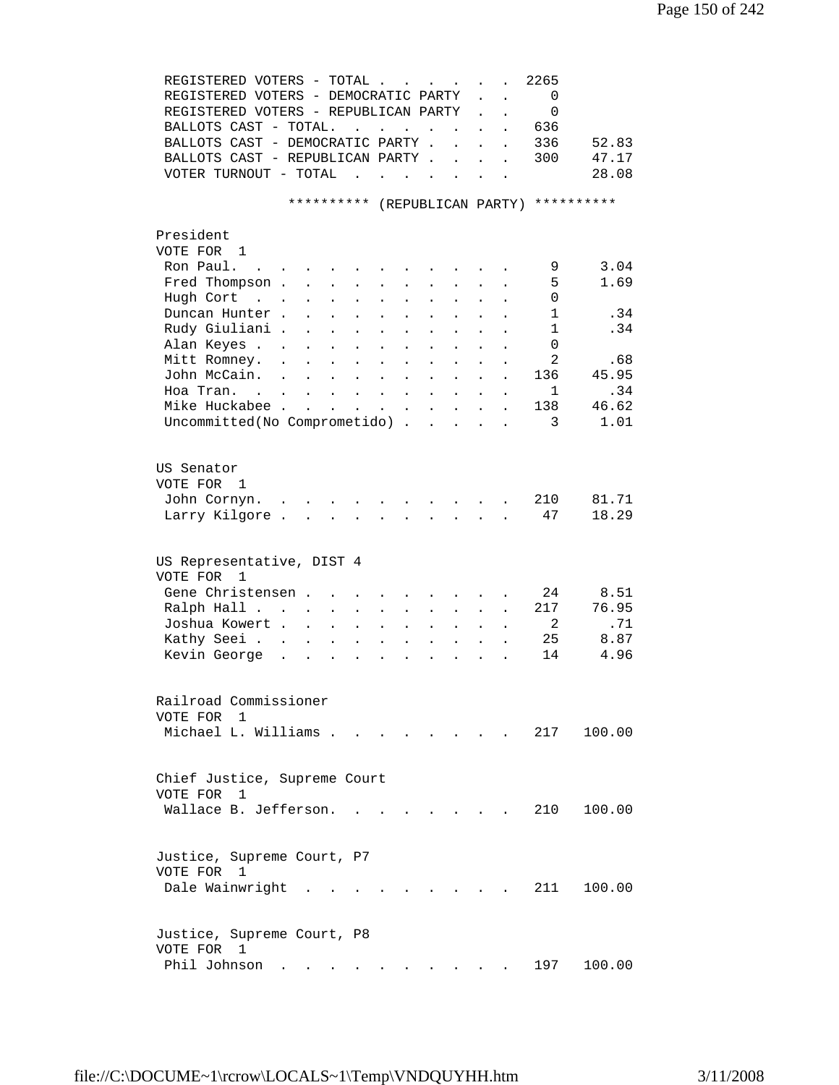| REGISTERED VOTERS - TOTAL                                                                                                                  |                                                                                                 |                                               |                      |                           | 2265                     |            |
|--------------------------------------------------------------------------------------------------------------------------------------------|-------------------------------------------------------------------------------------------------|-----------------------------------------------|----------------------|---------------------------|--------------------------|------------|
| REGISTERED VOTERS - DEMOCRATIC PARTY                                                                                                       |                                                                                                 |                                               |                      | $\mathbf{L}^{\text{max}}$ | $\overline{\phantom{0}}$ |            |
| REGISTERED VOTERS - REPUBLICAN PARTY                                                                                                       |                                                                                                 |                                               |                      | $\ddot{\phantom{a}}$      | $\mathbf 0$              |            |
| BALLOTS CAST - TOTAL.                                                                                                                      | $\mathcal{A}^{\mathcal{A}}$ , and $\mathcal{A}^{\mathcal{A}}$ , and $\mathcal{A}^{\mathcal{A}}$ | <b>Contract</b>                               | $\ddot{\phantom{a}}$ | $\ddot{\phantom{0}}$      | 636                      |            |
| BALLOTS CAST - DEMOCRATIC PARTY.                                                                                                           |                                                                                                 | $\mathbf{r}$                                  | $\ddot{\phantom{a}}$ | $\ddot{\phantom{a}}$      | 336                      | 52.83      |
| BALLOTS CAST - REPUBLICAN PARTY                                                                                                            |                                                                                                 |                                               |                      |                           | 300                      | 47.17      |
| VOTER TURNOUT - TOTAL<br>$\mathbf{r}$ , $\mathbf{r}$ , $\mathbf{r}$ , $\mathbf{r}$                                                         | $\mathbf{r}$                                                                                    |                                               |                      |                           |                          | 28.08      |
|                                                                                                                                            |                                                                                                 |                                               |                      |                           |                          |            |
| ********** (REPUBLICAN PARTY)                                                                                                              |                                                                                                 |                                               |                      |                           |                          | ********** |
| President                                                                                                                                  |                                                                                                 |                                               |                      |                           |                          |            |
| VOTE FOR 1                                                                                                                                 |                                                                                                 |                                               |                      |                           |                          |            |
| Ron Paul.<br><b>Service Control</b>                                                                                                        |                                                                                                 |                                               |                      |                           | 9                        | 3.04       |
| Fred Thompson .<br>$\sim$ 100 $\pm$<br>$\ddot{\phantom{a}}$<br>$\sim$ $-$                                                                  |                                                                                                 |                                               |                      |                           | 5                        | 1.69       |
| Hugh Cort<br>$\mathbf{r}$ and $\mathbf{r}$ and $\mathbf{r}$<br>$\ddot{\phantom{a}}$<br>$\bullet$                                           |                                                                                                 |                                               |                      |                           | 0                        |            |
| Duncan Hunter.                                                                                                                             |                                                                                                 |                                               |                      |                           | $\mathbf{1}$             | .34        |
| Rudy Giuliani.<br>$\mathbf{r}$<br>$\ddot{\phantom{0}}$<br>$\ddot{\phantom{a}}$                                                             |                                                                                                 |                                               |                      |                           | 1                        | .34        |
| Alan Keyes<br>$\ddot{\phantom{0}}$                                                                                                         | $\ddot{\phantom{a}}$                                                                            |                                               |                      |                           | 0                        |            |
| Mitt Romney.<br>$\ddot{\phantom{a}}$<br>$\ddot{\phantom{0}}$<br>$\mathbf{L}$                                                               | $\mathbf{L}$<br>$\ddot{\phantom{a}}$                                                            | $\sim$<br>$\mathbf{L}$                        | $\ddot{\phantom{a}}$ |                           | 2                        | .68        |
| John McCain.<br>$\sim$<br>$\mathbf{r}$ , $\mathbf{r}$ , $\mathbf{r}$ , $\mathbf{r}$ , $\mathbf{r}$                                         | $\ddot{\phantom{a}}$                                                                            | $\sim$ 100 $\sim$<br>$\mathbf{L}$             |                      |                           | 136                      | 45.95      |
| Hoa Tran.                                                                                                                                  |                                                                                                 |                                               | $\bullet$            | $\bullet$                 | 1                        | .34        |
| Mike Huckabee                                                                                                                              |                                                                                                 |                                               | $\sim$               | $\ddot{\phantom{0}}$      | 138                      | 46.62      |
| Uncommitted(No Comprometido)                                                                                                               |                                                                                                 |                                               | $\ddot{\phantom{a}}$ |                           | 3                        | 1.01       |
|                                                                                                                                            |                                                                                                 |                                               |                      |                           |                          |            |
| US Senator                                                                                                                                 |                                                                                                 |                                               |                      |                           |                          |            |
| VOTE FOR 1                                                                                                                                 |                                                                                                 |                                               |                      |                           |                          |            |
| John Cornyn.                                                                                                                               |                                                                                                 |                                               |                      |                           | 210                      | 81.71      |
| Larry Kilgore.<br>$\mathbf{r} = \mathbf{r} - \mathbf{r}$ , $\mathbf{r} = \mathbf{r} - \mathbf{r}$ , $\mathbf{r} = \mathbf{r} - \mathbf{r}$ |                                                                                                 |                                               |                      |                           | 47                       | 18.29      |
|                                                                                                                                            |                                                                                                 |                                               |                      |                           |                          |            |
| US Representative, DIST 4                                                                                                                  |                                                                                                 |                                               |                      |                           |                          |            |
| VOTE FOR 1                                                                                                                                 |                                                                                                 |                                               |                      |                           |                          |            |
| Gene Christensen.<br>$\mathbf{L} = \mathbf{L} \mathbf{L}$                                                                                  |                                                                                                 |                                               |                      |                           | 24                       | 8.51       |
| Ralph Hall<br>$\sim$<br>$\blacksquare$                                                                                                     | $\ddot{\phantom{a}}$                                                                            | $\ddot{\phantom{a}}$                          |                      |                           | 217                      | 76.95      |
| Joshua Kowert<br>$\sim$<br>$\ddot{\phantom{a}}$                                                                                            | $\ddot{\phantom{a}}$                                                                            | $\mathbf{L}$<br>$\ddot{\phantom{a}}$          |                      |                           | 2                        | .71        |
| Kathy Seei<br>$\mathbf{L}$ and $\mathbf{L}$                                                                                                | $\sim 10^{-10}$<br>$\mathbf{L}^{\text{max}}$                                                    | $\sim$ 100 $\pm$<br>$\mathbf{L}^{\text{max}}$ | $\ddot{\phantom{a}}$ |                           | 25                       | 8.87       |
| Kevin George<br>$\sim$<br>and the state of the state of the state                                                                          | $\ddot{\phantom{a}}$                                                                            | $\sim$<br>$\ddot{\phantom{a}}$                | $\ddot{\phantom{a}}$ |                           | 14                       | 4.96       |
|                                                                                                                                            |                                                                                                 |                                               |                      |                           |                          |            |
| Railroad Commissioner                                                                                                                      |                                                                                                 |                                               |                      |                           |                          |            |
| VOTE FOR 1                                                                                                                                 |                                                                                                 |                                               |                      |                           |                          |            |
| Michael L. Williams .                                                                                                                      |                                                                                                 |                                               |                      |                           | 217                      | 100.00     |
|                                                                                                                                            |                                                                                                 |                                               |                      |                           |                          |            |
| Chief Justice, Supreme Court                                                                                                               |                                                                                                 |                                               |                      |                           |                          |            |
| VOTE FOR<br>$\mathbf{1}$                                                                                                                   |                                                                                                 |                                               |                      |                           |                          |            |
| Wallace B. Jefferson.                                                                                                                      |                                                                                                 |                                               |                      |                           | 210                      | 100.00     |
|                                                                                                                                            |                                                                                                 |                                               |                      |                           |                          |            |
|                                                                                                                                            |                                                                                                 |                                               |                      |                           |                          |            |
| Justice, Supreme Court, P7<br>VOTE FOR 1                                                                                                   |                                                                                                 |                                               |                      |                           |                          |            |
| Dale Wainwright                                                                                                                            |                                                                                                 |                                               |                      |                           | 211                      | 100.00     |
|                                                                                                                                            |                                                                                                 |                                               |                      |                           |                          |            |
|                                                                                                                                            |                                                                                                 |                                               |                      |                           |                          |            |
| Justice, Supreme Court, P8<br>VOTE FOR 1                                                                                                   |                                                                                                 |                                               |                      |                           |                          |            |
| Phil Johnson                                                                                                                               |                                                                                                 |                                               |                      |                           | 197                      |            |
|                                                                                                                                            |                                                                                                 |                                               |                      |                           |                          | 100.00     |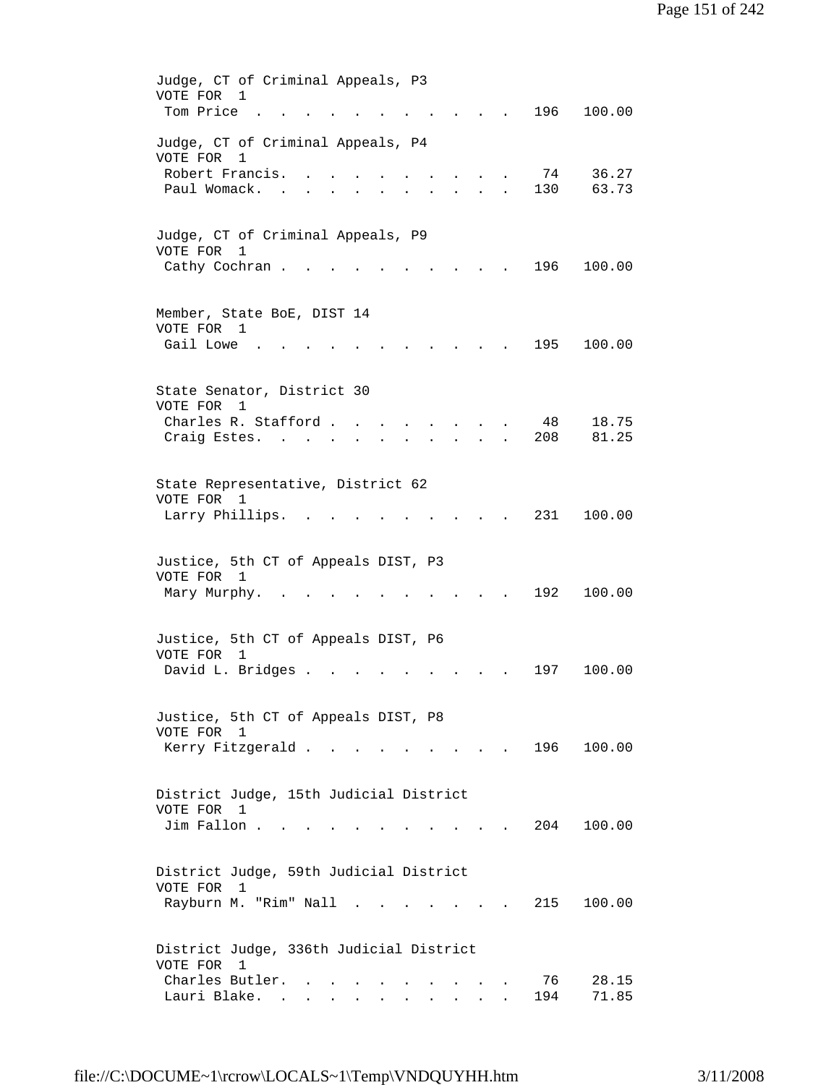| Judge, CT of Criminal Appeals, P3<br>VOTE FOR 1<br>Tom Price<br>196<br>100.00                                                                |  |
|----------------------------------------------------------------------------------------------------------------------------------------------|--|
| Judge, CT of Criminal Appeals, P4<br>VOTE FOR<br>1<br>Robert Francis.<br>74<br>36.27<br>Paul Womack.<br>130<br>63.73<br>$\sim$               |  |
| Judge, CT of Criminal Appeals, P9<br>VOTE FOR<br>$\mathbf{1}$<br>196<br>100.00<br>Cathy Cochran.                                             |  |
| Member, State BoE, DIST 14<br>VOTE FOR 1<br>Gail Lowe<br>195<br>100.00                                                                       |  |
| State Senator, District 30<br>VOTE FOR<br>1<br>48<br>18.75<br>Charles R. Stafford.<br>81.25<br>Craig Estes. .<br>208<br>$\ddot{\phantom{0}}$ |  |
| State Representative, District 62<br>VOTE FOR 1<br>231<br>100.00<br>Larry Phillips.                                                          |  |
| Justice, 5th CT of Appeals DIST, P3<br>VOTE FOR<br>1<br>192<br>100.00<br>Mary Murphy.                                                        |  |
| Justice, 5th CT of Appeals DIST, P6<br>VOTE FOR<br>1<br>David L. Bridges .<br>197<br>100.00                                                  |  |
| Justice, 5th CT of Appeals DIST, P8<br>VOTE FOR 1<br>196<br>Kerry Fitzgerald<br>100.00<br>$\sim$ $\sim$ $\sim$ $\sim$                        |  |
| District Judge, 15th Judicial District<br>VOTE FOR 1<br>Jim Fallon .<br>204<br>100.00                                                        |  |
| District Judge, 59th Judicial District<br>VOTE FOR<br>1<br>Rayburn M. "Rim" Nall .<br>215<br>100.00<br>$\mathbf{r} = \mathbf{r}$             |  |
| District Judge, 336th Judicial District<br>VOTE FOR<br>1<br>Charles Butler.<br>76<br>28.15<br>Lauri Blake.<br>194<br>71.85<br>$\sim$         |  |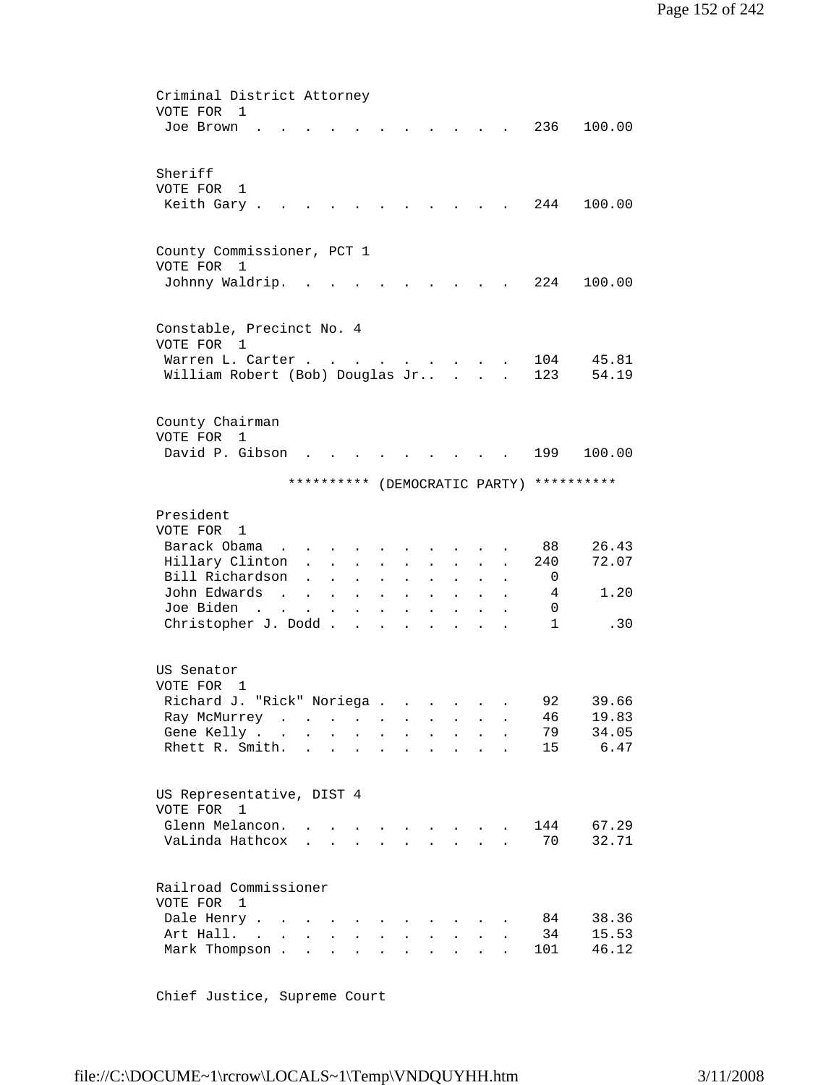| Criminal District Attorney                                                                                                                                                                                                                                                                                                                                                                                                                                                                                                                 |
|--------------------------------------------------------------------------------------------------------------------------------------------------------------------------------------------------------------------------------------------------------------------------------------------------------------------------------------------------------------------------------------------------------------------------------------------------------------------------------------------------------------------------------------------|
| VOTE FOR<br>$\mathbf{1}$                                                                                                                                                                                                                                                                                                                                                                                                                                                                                                                   |
| 236<br>100.00<br>Joe Brown                                                                                                                                                                                                                                                                                                                                                                                                                                                                                                                 |
|                                                                                                                                                                                                                                                                                                                                                                                                                                                                                                                                            |
|                                                                                                                                                                                                                                                                                                                                                                                                                                                                                                                                            |
| Sheriff                                                                                                                                                                                                                                                                                                                                                                                                                                                                                                                                    |
| VOTE FOR<br>1                                                                                                                                                                                                                                                                                                                                                                                                                                                                                                                              |
| Keith Gary.<br>244<br>100.00                                                                                                                                                                                                                                                                                                                                                                                                                                                                                                               |
|                                                                                                                                                                                                                                                                                                                                                                                                                                                                                                                                            |
|                                                                                                                                                                                                                                                                                                                                                                                                                                                                                                                                            |
|                                                                                                                                                                                                                                                                                                                                                                                                                                                                                                                                            |
| County Commissioner, PCT 1                                                                                                                                                                                                                                                                                                                                                                                                                                                                                                                 |
| VOTE FOR<br>1                                                                                                                                                                                                                                                                                                                                                                                                                                                                                                                              |
| 224<br>Johnny Waldrip.<br>100.00                                                                                                                                                                                                                                                                                                                                                                                                                                                                                                           |
|                                                                                                                                                                                                                                                                                                                                                                                                                                                                                                                                            |
|                                                                                                                                                                                                                                                                                                                                                                                                                                                                                                                                            |
| Constable, Precinct No. 4                                                                                                                                                                                                                                                                                                                                                                                                                                                                                                                  |
| VOTE FOR<br>1                                                                                                                                                                                                                                                                                                                                                                                                                                                                                                                              |
| 104<br>45.81<br>Warren L. Carter.<br>$\mathbf{1} \qquad \qquad \mathbf{1} \qquad \qquad \mathbf{1} \qquad \qquad \mathbf{1} \qquad \qquad \mathbf{1} \qquad \qquad \mathbf{1} \qquad \qquad \mathbf{1} \qquad \qquad \mathbf{1} \qquad \qquad \mathbf{1} \qquad \qquad \mathbf{1} \qquad \qquad \mathbf{1} \qquad \qquad \mathbf{1} \qquad \qquad \mathbf{1} \qquad \qquad \mathbf{1} \qquad \qquad \mathbf{1} \qquad \qquad \mathbf{1} \qquad \qquad \mathbf{1} \qquad \qquad \mathbf{1} \qquad \mathbf{1} \$<br><b>Contract Contract</b> |
| 54.19<br>William Robert (Bob) Douglas Jr<br>123<br>$\mathbf{L}$<br>$\mathbf{L}$                                                                                                                                                                                                                                                                                                                                                                                                                                                            |
|                                                                                                                                                                                                                                                                                                                                                                                                                                                                                                                                            |
|                                                                                                                                                                                                                                                                                                                                                                                                                                                                                                                                            |
|                                                                                                                                                                                                                                                                                                                                                                                                                                                                                                                                            |
| County Chairman                                                                                                                                                                                                                                                                                                                                                                                                                                                                                                                            |
| VOTE FOR<br>1                                                                                                                                                                                                                                                                                                                                                                                                                                                                                                                              |
| David P. Gibson<br>199<br>100.00                                                                                                                                                                                                                                                                                                                                                                                                                                                                                                           |
|                                                                                                                                                                                                                                                                                                                                                                                                                                                                                                                                            |
| **********<br>**********<br>(DEMOCRATIC PARTY)                                                                                                                                                                                                                                                                                                                                                                                                                                                                                             |
|                                                                                                                                                                                                                                                                                                                                                                                                                                                                                                                                            |
| President                                                                                                                                                                                                                                                                                                                                                                                                                                                                                                                                  |
| VOTE FOR 1                                                                                                                                                                                                                                                                                                                                                                                                                                                                                                                                 |
|                                                                                                                                                                                                                                                                                                                                                                                                                                                                                                                                            |
| Barack Obama<br>88<br>26.43<br><b>Contract Contract Contract</b>                                                                                                                                                                                                                                                                                                                                                                                                                                                                           |
| Hillary Clinton<br>72.07<br>240<br>$\mathbf{L}^{\text{max}}$<br>$\sim$<br>$\ddot{\phantom{a}}$<br>$\ddot{\phantom{0}}$                                                                                                                                                                                                                                                                                                                                                                                                                     |
| Bill Richardson<br>0<br>$\ddot{\phantom{a}}$<br>$\ddot{\phantom{a}}$<br>$\bullet$ .<br><br><br><br><br><br><br><br><br><br><br><br><br>$\mathbf{L}^{\text{max}}$<br>$\bullet$<br>$\ddot{\phantom{0}}$<br>$\ddot{\phantom{0}}$                                                                                                                                                                                                                                                                                                              |
| John Edwards<br>1.20<br>4<br>$\sim$<br>$\mathbf{L}^{\text{max}}$ and $\mathbf{L}^{\text{max}}$<br>$\mathbf{L}$<br>$\sim$                                                                                                                                                                                                                                                                                                                                                                                                                   |
| Joe Biden<br>0<br><b>Contract Contract</b><br>$\mathbf{A}^{(1)}$ and<br>$\bullet$<br>$\mathbf{z} = \mathbf{z} + \mathbf{z}$ .                                                                                                                                                                                                                                                                                                                                                                                                              |
| Christopher J. Dodd<br>$\mathbf{1}$<br>.30<br>$\ddot{\phantom{a}}$                                                                                                                                                                                                                                                                                                                                                                                                                                                                         |
|                                                                                                                                                                                                                                                                                                                                                                                                                                                                                                                                            |
|                                                                                                                                                                                                                                                                                                                                                                                                                                                                                                                                            |
| US Senator                                                                                                                                                                                                                                                                                                                                                                                                                                                                                                                                 |
|                                                                                                                                                                                                                                                                                                                                                                                                                                                                                                                                            |
| VOTE FOR<br>1                                                                                                                                                                                                                                                                                                                                                                                                                                                                                                                              |
| 92<br>"Rick" Noriega<br>39.66<br>Richard J.                                                                                                                                                                                                                                                                                                                                                                                                                                                                                                |
| 19.83<br>Ray McMurrey<br>46<br><b>Contractor</b><br>$\bullet$                                                                                                                                                                                                                                                                                                                                                                                                                                                                              |
| 34.05<br>Gene Kelly<br>79<br>$\mathbf{z} = \mathbf{z} + \mathbf{z}$ , where $\mathbf{z} = \mathbf{z}$<br>$\mathbf{L}^{\text{max}}$<br>$\mathbf{L} = \mathbf{0}$<br>$\bullet$<br>$\bullet$ .<br><br><br><br><br><br><br><br><br><br><br><br><br>$\mathbf{L}^{\text{max}}$                                                                                                                                                                                                                                                                   |
| 6.47<br>Rhett R. Smith.<br>15<br>and a series of the series of the series of the series of the series of the series of the series of the series<br>$\bullet$                                                                                                                                                                                                                                                                                                                                                                               |
|                                                                                                                                                                                                                                                                                                                                                                                                                                                                                                                                            |
|                                                                                                                                                                                                                                                                                                                                                                                                                                                                                                                                            |
| US Representative, DIST 4                                                                                                                                                                                                                                                                                                                                                                                                                                                                                                                  |
| VOTE FOR<br>1                                                                                                                                                                                                                                                                                                                                                                                                                                                                                                                              |
|                                                                                                                                                                                                                                                                                                                                                                                                                                                                                                                                            |
| Glenn Melancon.<br>67.29<br>144<br>$\mathbf{1} \qquad \qquad \mathbf{1} \qquad \qquad \mathbf{1} \qquad \qquad \mathbf{1} \qquad \qquad \mathbf{1} \qquad \qquad \mathbf{1} \qquad \qquad \mathbf{1} \qquad \qquad \mathbf{1} \qquad \qquad \mathbf{1} \qquad \qquad \mathbf{1} \qquad \qquad \mathbf{1} \qquad \qquad \mathbf{1} \qquad \qquad \mathbf{1} \qquad \qquad \mathbf{1} \qquad \qquad \mathbf{1} \qquad \qquad \mathbf{1} \qquad \qquad \mathbf{1} \qquad \qquad \mathbf{1} \qquad \mathbf{1} \$                               |
| 32.71<br>VaLinda Hathcox<br>70<br>$\mathbf{r}$ and $\mathbf{r}$ and $\mathbf{r}$ and $\mathbf{r}$<br>$\mathbf{r}$ , $\mathbf{r}$ , $\mathbf{r}$<br>$\ddot{\phantom{a}}$                                                                                                                                                                                                                                                                                                                                                                    |
|                                                                                                                                                                                                                                                                                                                                                                                                                                                                                                                                            |
|                                                                                                                                                                                                                                                                                                                                                                                                                                                                                                                                            |
|                                                                                                                                                                                                                                                                                                                                                                                                                                                                                                                                            |
| Railroad Commissioner                                                                                                                                                                                                                                                                                                                                                                                                                                                                                                                      |
| VOTE FOR<br>1                                                                                                                                                                                                                                                                                                                                                                                                                                                                                                                              |
| 38.36<br>84<br>$\ddot{\phantom{a}}$<br>$\sim 100$                                                                                                                                                                                                                                                                                                                                                                                                                                                                                          |
| Dale Henry                                                                                                                                                                                                                                                                                                                                                                                                                                                                                                                                 |
| 15.53<br>Art Hall.<br>34<br><b>Contract</b><br>$\ddot{\phantom{a}}$<br>$\ddot{\phantom{0}}$<br>$\ddot{\phantom{0}}$<br>$\ddot{\phantom{0}}$<br>$\ddot{\phantom{0}}$<br>$\ddot{\phantom{0}}$<br>$\ddot{\phantom{a}}$<br>46.12<br>Mark Thompson.<br>101<br>$\mathbf{L} = \mathbf{L}$<br>$\mathbf{L} = \mathbf{L}$<br>$\mathbf{L}$<br>$\mathbf{L}$<br>$\mathbf{A}$<br>$\ddot{\phantom{a}}$                                                                                                                                                    |

Chief Justice, Supreme Court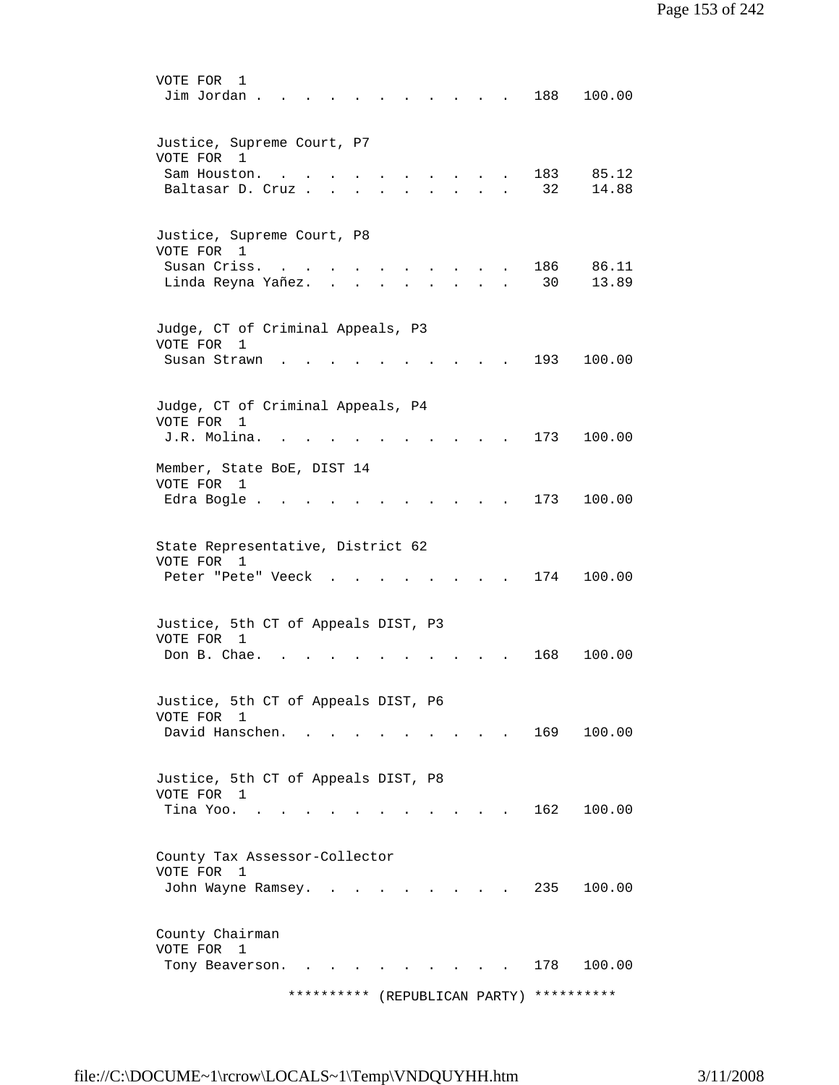| VOTE FOR<br>1<br>Jim Jordan .                                                                                     |                               | 188<br>100.00               |
|-------------------------------------------------------------------------------------------------------------------|-------------------------------|-----------------------------|
| Justice, Supreme Court, P7<br>VOTE FOR 1<br>Sam Houston.<br><b>Contract Contract</b><br>Baltasar D. Cruz.         |                               | 183<br>85.12<br>32<br>14.88 |
| Justice, Supreme Court, P8<br>VOTE FOR 1<br>Susan Criss.<br>Linda Reyna Yañez.<br>$\mathbf{r}$ , and $\mathbf{r}$ |                               | 186<br>86.11<br>30<br>13.89 |
| Judge, CT of Criminal Appeals, P3<br>VOTE FOR<br>1<br>Susan Strawn                                                |                               | 193<br>100.00               |
| Judge, CT of Criminal Appeals, P4<br>VOTE FOR<br>1<br>J.R. Molina.<br>Member, State BoE, DIST 14                  |                               | 173<br>100.00               |
| VOTE FOR 1<br>Edra Bogle .                                                                                        |                               | 173<br>100.00               |
| State Representative, District 62<br>VOTE FOR 1<br>Peter "Pete" Veeck                                             |                               | 174<br>100.00               |
| Justice, 5th CT of Appeals DIST, P3<br>VOTE FOR 1<br>Don B. Chae.                                                 |                               | 168<br>100.00               |
| Justice, 5th CT of Appeals DIST, P6<br>VOTE FOR 1<br>David Hanschen.                                              |                               | 169<br>100.00               |
| Justice, 5th CT of Appeals DIST, P8<br>VOTE FOR 1<br>Tina Yoo.<br><b>Contract Contract</b>                        |                               | 162<br>100.00               |
| County Tax Assessor-Collector<br>VOTE FOR<br>$\overline{1}$<br>John Wayne Ramsey.                                 |                               | 235<br>100.00               |
| County Chairman<br>VOTE FOR<br>1<br>Tony Beaverson.<br>$\sim$ 100 $\sim$                                          | ********** (REPUBLICAN PARTY) | 178<br>100.00<br>********** |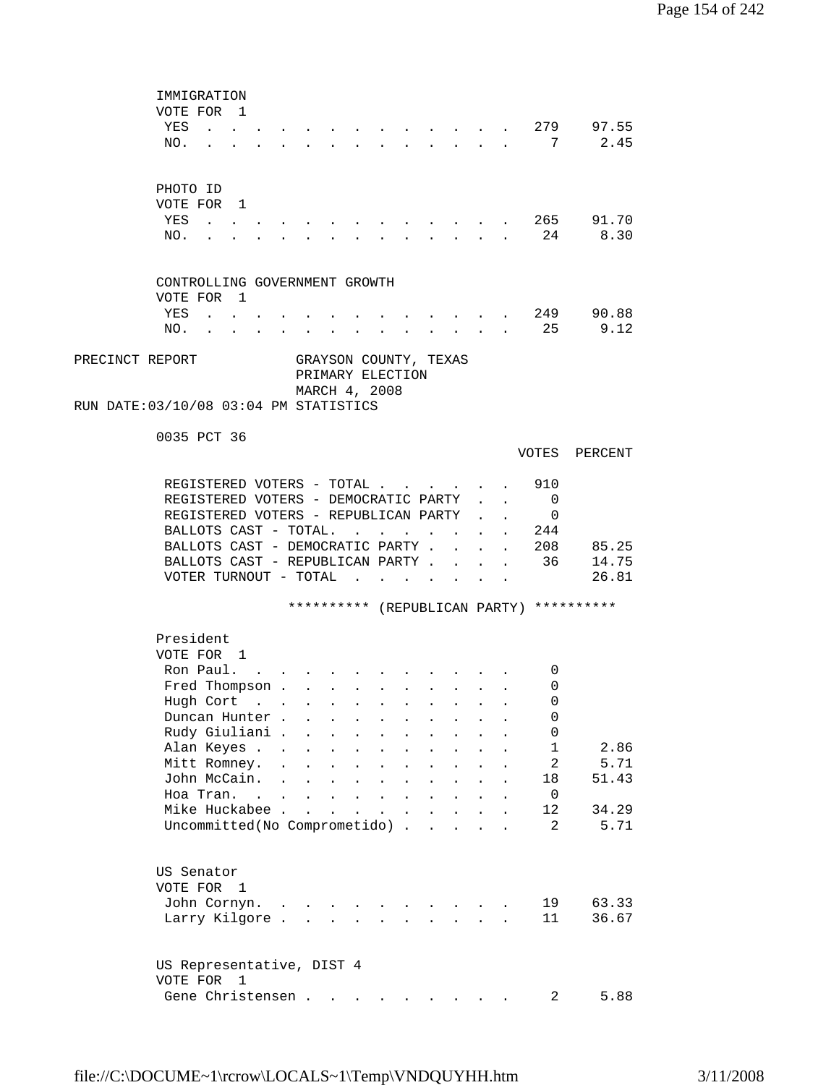| IMMIGRATION                                                             |                                                                                                                                                                                                                                                                                                                                                                                                                              |                      |                      |                                                                  |                      |                           |                                                                                      |                           |                           |                          |                                          |
|-------------------------------------------------------------------------|------------------------------------------------------------------------------------------------------------------------------------------------------------------------------------------------------------------------------------------------------------------------------------------------------------------------------------------------------------------------------------------------------------------------------|----------------------|----------------------|------------------------------------------------------------------|----------------------|---------------------------|--------------------------------------------------------------------------------------|---------------------------|---------------------------|--------------------------|------------------------------------------|
| VOTE FOR 1                                                              |                                                                                                                                                                                                                                                                                                                                                                                                                              |                      |                      |                                                                  |                      |                           |                                                                                      |                           |                           |                          |                                          |
| YES<br>$\mathbf{1}$ $\mathbf{1}$ $\mathbf{1}$ $\mathbf{1}$ $\mathbf{1}$ |                                                                                                                                                                                                                                                                                                                                                                                                                              |                      |                      |                                                                  |                      |                           |                                                                                      |                           |                           | 279                      | 97.55                                    |
| NO.                                                                     | $\mathbf{r} = \mathbf{r} + \mathbf{r} + \mathbf{r} + \mathbf{r} + \mathbf{r} + \mathbf{r} + \mathbf{r} + \mathbf{r} + \mathbf{r} + \mathbf{r} + \mathbf{r} + \mathbf{r} + \mathbf{r} + \mathbf{r} + \mathbf{r} + \mathbf{r} + \mathbf{r} + \mathbf{r} + \mathbf{r} + \mathbf{r} + \mathbf{r} + \mathbf{r} + \mathbf{r} + \mathbf{r} + \mathbf{r} + \mathbf{r} + \mathbf{r} + \mathbf{r} + \mathbf{r} + \mathbf{r} + \mathbf$ |                      |                      |                                                                  |                      |                           | $\mathbf{L} = \mathbf{L} \mathbf{L} + \mathbf{L} \mathbf{L}$                         |                           |                           | 7                        | 2.45                                     |
|                                                                         |                                                                                                                                                                                                                                                                                                                                                                                                                              |                      |                      |                                                                  |                      |                           |                                                                                      |                           |                           |                          |                                          |
|                                                                         |                                                                                                                                                                                                                                                                                                                                                                                                                              |                      |                      |                                                                  |                      |                           |                                                                                      |                           |                           |                          |                                          |
| PHOTO ID                                                                |                                                                                                                                                                                                                                                                                                                                                                                                                              |                      |                      |                                                                  |                      |                           |                                                                                      |                           |                           |                          |                                          |
| VOTE FOR 1                                                              |                                                                                                                                                                                                                                                                                                                                                                                                                              |                      |                      |                                                                  |                      |                           |                                                                                      |                           |                           |                          |                                          |
| YES<br>$\sim$ $\sim$                                                    |                                                                                                                                                                                                                                                                                                                                                                                                                              |                      |                      |                                                                  |                      |                           |                                                                                      |                           |                           |                          | . 265 91.70<br>8.30                      |
| NO.                                                                     |                                                                                                                                                                                                                                                                                                                                                                                                                              |                      |                      |                                                                  |                      |                           | $\mathbf{L} = \mathbf{L} \mathbf{L}$                                                 |                           |                           | 24                       |                                          |
|                                                                         |                                                                                                                                                                                                                                                                                                                                                                                                                              |                      |                      |                                                                  |                      |                           |                                                                                      |                           |                           |                          |                                          |
| CONTROLLING GOVERNMENT GROWTH                                           |                                                                                                                                                                                                                                                                                                                                                                                                                              |                      |                      |                                                                  |                      |                           |                                                                                      |                           |                           |                          |                                          |
| VOTE FOR 1                                                              |                                                                                                                                                                                                                                                                                                                                                                                                                              |                      |                      |                                                                  |                      |                           |                                                                                      |                           |                           |                          |                                          |
| YES                                                                     |                                                                                                                                                                                                                                                                                                                                                                                                                              |                      |                      |                                                                  |                      |                           |                                                                                      |                           |                           | 249                      | 90.88                                    |
| NO.                                                                     |                                                                                                                                                                                                                                                                                                                                                                                                                              |                      |                      |                                                                  |                      |                           |                                                                                      |                           |                           | 25                       | 9.12                                     |
|                                                                         |                                                                                                                                                                                                                                                                                                                                                                                                                              |                      |                      |                                                                  |                      |                           |                                                                                      |                           |                           |                          |                                          |
| PRECINCT REPORT                                                         | GRAYSON COUNTY, TEXAS                                                                                                                                                                                                                                                                                                                                                                                                        |                      |                      |                                                                  |                      |                           |                                                                                      |                           |                           |                          |                                          |
|                                                                         |                                                                                                                                                                                                                                                                                                                                                                                                                              | PRIMARY ELECTION     |                      |                                                                  |                      |                           |                                                                                      |                           |                           |                          |                                          |
|                                                                         |                                                                                                                                                                                                                                                                                                                                                                                                                              | MARCH 4, 2008        |                      |                                                                  |                      |                           |                                                                                      |                           |                           |                          |                                          |
| RUN DATE: 03/10/08 03:04 PM STATISTICS                                  |                                                                                                                                                                                                                                                                                                                                                                                                                              |                      |                      |                                                                  |                      |                           |                                                                                      |                           |                           |                          |                                          |
|                                                                         |                                                                                                                                                                                                                                                                                                                                                                                                                              |                      |                      |                                                                  |                      |                           |                                                                                      |                           |                           |                          |                                          |
| 0035 PCT 36                                                             |                                                                                                                                                                                                                                                                                                                                                                                                                              |                      |                      |                                                                  |                      |                           |                                                                                      |                           |                           |                          |                                          |
|                                                                         |                                                                                                                                                                                                                                                                                                                                                                                                                              |                      |                      |                                                                  |                      |                           |                                                                                      |                           |                           | VOTES                    | PERCENT                                  |
|                                                                         |                                                                                                                                                                                                                                                                                                                                                                                                                              |                      |                      |                                                                  |                      |                           |                                                                                      |                           |                           |                          |                                          |
| REGISTERED VOTERS - TOTAL                                               |                                                                                                                                                                                                                                                                                                                                                                                                                              |                      |                      |                                                                  |                      |                           |                                                                                      |                           | $\mathbf{L}^{\text{max}}$ | 910                      |                                          |
| REGISTERED VOTERS - DEMOCRATIC PARTY                                    |                                                                                                                                                                                                                                                                                                                                                                                                                              |                      |                      |                                                                  |                      |                           |                                                                                      |                           | $\mathbf{A}$              | $\overline{\phantom{0}}$ |                                          |
| REGISTERED VOTERS - REPUBLICAN PARTY                                    |                                                                                                                                                                                                                                                                                                                                                                                                                              |                      |                      |                                                                  |                      |                           |                                                                                      |                           | $\mathbf{L} = \mathbf{L}$ | $\overline{\phantom{0}}$ |                                          |
| BALLOTS CAST - TOTAL.                                                   |                                                                                                                                                                                                                                                                                                                                                                                                                              |                      |                      | $\mathbf{L}$ and $\mathbf{L}$                                    |                      | $\mathbf{L}$ $\mathbf{L}$ |                                                                                      |                           |                           | . 244                    |                                          |
| BALLOTS CAST - DEMOCRATIC PARTY.                                        |                                                                                                                                                                                                                                                                                                                                                                                                                              |                      |                      |                                                                  |                      |                           |                                                                                      | $\mathbf{r} = \mathbf{r}$ |                           | . 208                    | 85.25                                    |
| BALLOTS CAST - REPUBLICAN PARTY .                                       |                                                                                                                                                                                                                                                                                                                                                                                                                              |                      |                      |                                                                  |                      |                           | $\sim$ $\sim$                                                                        | $\ddot{\phantom{a}}$      |                           | . 36                     | 14.75                                    |
| VOTER TURNOUT - TOTAL                                                   |                                                                                                                                                                                                                                                                                                                                                                                                                              |                      |                      |                                                                  | $\ddot{\phantom{a}}$ |                           | <b>Contract Contract Contract</b>                                                    |                           |                           |                          | 26.81                                    |
|                                                                         |                                                                                                                                                                                                                                                                                                                                                                                                                              |                      |                      |                                                                  |                      |                           |                                                                                      |                           |                           |                          |                                          |
|                                                                         |                                                                                                                                                                                                                                                                                                                                                                                                                              |                      |                      |                                                                  |                      |                           |                                                                                      |                           |                           |                          | ********** (REPUBLICAN PARTY) ********** |
|                                                                         |                                                                                                                                                                                                                                                                                                                                                                                                                              |                      |                      |                                                                  |                      |                           |                                                                                      |                           |                           |                          |                                          |
| President                                                               |                                                                                                                                                                                                                                                                                                                                                                                                                              |                      |                      |                                                                  |                      |                           |                                                                                      |                           |                           |                          |                                          |
| VOTE FOR 1                                                              |                                                                                                                                                                                                                                                                                                                                                                                                                              |                      |                      |                                                                  |                      |                           |                                                                                      |                           |                           |                          |                                          |
| Ron Paul.                                                               |                                                                                                                                                                                                                                                                                                                                                                                                                              |                      |                      |                                                                  |                      |                           |                                                                                      |                           |                           | 0                        |                                          |
| Fred Thompson                                                           |                                                                                                                                                                                                                                                                                                                                                                                                                              |                      |                      |                                                                  |                      |                           | $\mathbf{L} = \mathbf{L} \mathbf{L} + \mathbf{L} \mathbf{L} + \mathbf{L} \mathbf{L}$ |                           |                           | 0                        |                                          |
| Hugh Cort                                                               |                                                                                                                                                                                                                                                                                                                                                                                                                              |                      |                      |                                                                  |                      |                           |                                                                                      |                           |                           | 0                        |                                          |
| Duncan Hunter.                                                          |                                                                                                                                                                                                                                                                                                                                                                                                                              |                      |                      |                                                                  |                      |                           |                                                                                      |                           |                           | 0                        |                                          |
| Rudy Giuliani.                                                          |                                                                                                                                                                                                                                                                                                                                                                                                                              |                      |                      |                                                                  |                      |                           |                                                                                      |                           |                           | 0                        |                                          |
| Alan Keyes                                                              |                                                                                                                                                                                                                                                                                                                                                                                                                              |                      |                      |                                                                  |                      |                           |                                                                                      |                           |                           | $\mathbf 1$              | 2.86                                     |
| Mitt Romney.                                                            | $\mathbf{r}$<br>$\ddot{\phantom{a}}$                                                                                                                                                                                                                                                                                                                                                                                         | $\ddot{\phantom{0}}$ |                      |                                                                  |                      |                           |                                                                                      |                           |                           | $\overline{a}$           | 5.71                                     |
| John McCain.                                                            | $\ddot{\phantom{a}}$<br>$\mathbf{L}$                                                                                                                                                                                                                                                                                                                                                                                         | $\ddot{\phantom{a}}$ | $\ddot{\phantom{a}}$ | $\ddot{\phantom{a}}$                                             |                      | $\ddot{\phantom{a}}$      |                                                                                      |                           |                           | 18                       | 51.43                                    |
| Hoa Tran. .                                                             | $\mathbf{L} = \mathbf{L} \mathbf{L}$                                                                                                                                                                                                                                                                                                                                                                                         |                      | $\overline{a}$       | $\mathbf{r}$                                                     | $\overline{a}$       | $\ddot{\phantom{0}}$      | $\ddot{\phantom{a}}$                                                                 | $\ddot{\phantom{0}}$      |                           | 0                        |                                          |
| Mike Huckabee                                                           |                                                                                                                                                                                                                                                                                                                                                                                                                              |                      |                      | $\mathbf{r} = \mathbf{r} + \mathbf{r} + \mathbf{r} + \mathbf{r}$ |                      |                           | $\sim$ 100 $\sim$                                                                    | $\ddot{\phantom{a}}$      |                           | 12                       | 34.29                                    |
| Uncommitted(No Comprometido)                                            |                                                                                                                                                                                                                                                                                                                                                                                                                              |                      |                      |                                                                  |                      |                           | $\sim$ $\sim$ $\sim$                                                                 | $\ddot{\phantom{a}}$      |                           | 2                        | 5.71                                     |
|                                                                         |                                                                                                                                                                                                                                                                                                                                                                                                                              |                      |                      |                                                                  |                      |                           |                                                                                      |                           |                           |                          |                                          |
|                                                                         |                                                                                                                                                                                                                                                                                                                                                                                                                              |                      |                      |                                                                  |                      |                           |                                                                                      |                           |                           |                          |                                          |
|                                                                         |                                                                                                                                                                                                                                                                                                                                                                                                                              |                      |                      |                                                                  |                      |                           |                                                                                      |                           |                           |                          |                                          |
| US Senator                                                              |                                                                                                                                                                                                                                                                                                                                                                                                                              |                      |                      |                                                                  |                      |                           |                                                                                      |                           |                           |                          |                                          |
| VOTE FOR 1                                                              |                                                                                                                                                                                                                                                                                                                                                                                                                              |                      |                      |                                                                  |                      |                           |                                                                                      |                           |                           |                          |                                          |
|                                                                         |                                                                                                                                                                                                                                                                                                                                                                                                                              |                      |                      |                                                                  |                      |                           |                                                                                      |                           |                           | 19                       | 63.33                                    |
| John Cornyn.                                                            |                                                                                                                                                                                                                                                                                                                                                                                                                              | $\sim$               | $\mathbf{r}$         | $\mathbf{r}$                                                     | $\mathbf{r}$         |                           | $\mathbf{r} = \mathbf{r}$                                                            | $\overline{a}$            |                           | 11                       |                                          |
| Larry Kilgore                                                           |                                                                                                                                                                                                                                                                                                                                                                                                                              |                      |                      |                                                                  |                      |                           |                                                                                      |                           |                           |                          | 36.67                                    |
|                                                                         |                                                                                                                                                                                                                                                                                                                                                                                                                              |                      |                      |                                                                  |                      |                           |                                                                                      |                           |                           |                          |                                          |
| US Representative, DIST 4                                               |                                                                                                                                                                                                                                                                                                                                                                                                                              |                      |                      |                                                                  |                      |                           |                                                                                      |                           |                           |                          |                                          |
| VOTE FOR 1                                                              |                                                                                                                                                                                                                                                                                                                                                                                                                              |                      |                      |                                                                  |                      |                           |                                                                                      |                           |                           |                          |                                          |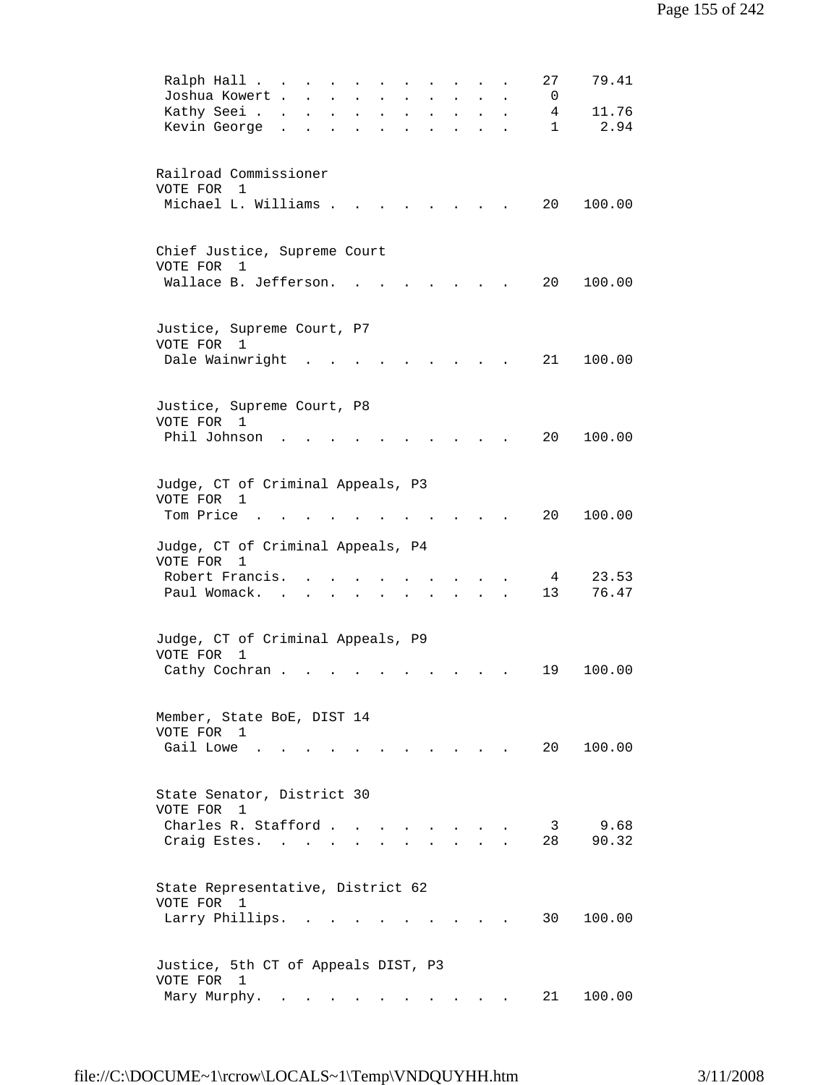| 79.41<br>Ralph Hall<br>27                                                                                                                                                                                                                                                                                                                                                                                                                                                                                                                                        |  |
|------------------------------------------------------------------------------------------------------------------------------------------------------------------------------------------------------------------------------------------------------------------------------------------------------------------------------------------------------------------------------------------------------------------------------------------------------------------------------------------------------------------------------------------------------------------|--|
| Joshua Kowert .<br>0<br>$\ddot{\phantom{a}}$                                                                                                                                                                                                                                                                                                                                                                                                                                                                                                                     |  |
| 11.76<br>Kathy Seei .<br>4<br>$\ddot{\phantom{0}}$<br>$\ddot{\phantom{a}}$<br>$\ddot{\phantom{a}}$<br>$\ddot{\phantom{a}}$<br>$\ddot{\phantom{0}}$                                                                                                                                                                                                                                                                                                                                                                                                               |  |
| 2.94<br>Kevin George<br>$\mathbf{1}$<br>$\ddot{\phantom{a}}$<br>$\ddot{\phantom{0}}$<br>$\ddot{\phantom{a}}$<br>$\ddot{\phantom{a}}$                                                                                                                                                                                                                                                                                                                                                                                                                             |  |
|                                                                                                                                                                                                                                                                                                                                                                                                                                                                                                                                                                  |  |
|                                                                                                                                                                                                                                                                                                                                                                                                                                                                                                                                                                  |  |
| Railroad Commissioner                                                                                                                                                                                                                                                                                                                                                                                                                                                                                                                                            |  |
| VOTE FOR 1                                                                                                                                                                                                                                                                                                                                                                                                                                                                                                                                                       |  |
| Michael L. Williams .<br>20<br>100.00                                                                                                                                                                                                                                                                                                                                                                                                                                                                                                                            |  |
|                                                                                                                                                                                                                                                                                                                                                                                                                                                                                                                                                                  |  |
|                                                                                                                                                                                                                                                                                                                                                                                                                                                                                                                                                                  |  |
| Chief Justice, Supreme Court                                                                                                                                                                                                                                                                                                                                                                                                                                                                                                                                     |  |
| VOTE FOR<br>1                                                                                                                                                                                                                                                                                                                                                                                                                                                                                                                                                    |  |
| Wallace B. Jefferson.<br>20<br>100.00                                                                                                                                                                                                                                                                                                                                                                                                                                                                                                                            |  |
|                                                                                                                                                                                                                                                                                                                                                                                                                                                                                                                                                                  |  |
|                                                                                                                                                                                                                                                                                                                                                                                                                                                                                                                                                                  |  |
| Justice, Supreme Court, P7                                                                                                                                                                                                                                                                                                                                                                                                                                                                                                                                       |  |
| VOTE FOR 1                                                                                                                                                                                                                                                                                                                                                                                                                                                                                                                                                       |  |
| Dale Wainwright<br>21<br>100.00                                                                                                                                                                                                                                                                                                                                                                                                                                                                                                                                  |  |
|                                                                                                                                                                                                                                                                                                                                                                                                                                                                                                                                                                  |  |
|                                                                                                                                                                                                                                                                                                                                                                                                                                                                                                                                                                  |  |
| Justice, Supreme Court, P8                                                                                                                                                                                                                                                                                                                                                                                                                                                                                                                                       |  |
| VOTE FOR<br>1                                                                                                                                                                                                                                                                                                                                                                                                                                                                                                                                                    |  |
| Phil Johnson<br>20<br>100.00                                                                                                                                                                                                                                                                                                                                                                                                                                                                                                                                     |  |
|                                                                                                                                                                                                                                                                                                                                                                                                                                                                                                                                                                  |  |
|                                                                                                                                                                                                                                                                                                                                                                                                                                                                                                                                                                  |  |
| Judge, CT of Criminal Appeals, P3                                                                                                                                                                                                                                                                                                                                                                                                                                                                                                                                |  |
| VOTE FOR 1                                                                                                                                                                                                                                                                                                                                                                                                                                                                                                                                                       |  |
| Tom Price<br>20<br>100.00                                                                                                                                                                                                                                                                                                                                                                                                                                                                                                                                        |  |
|                                                                                                                                                                                                                                                                                                                                                                                                                                                                                                                                                                  |  |
| Judge, CT of Criminal Appeals, P4                                                                                                                                                                                                                                                                                                                                                                                                                                                                                                                                |  |
| VOTE FOR<br>1                                                                                                                                                                                                                                                                                                                                                                                                                                                                                                                                                    |  |
| Robert Francis.<br>23.53<br>4                                                                                                                                                                                                                                                                                                                                                                                                                                                                                                                                    |  |
| 76.47<br>Paul Womack.<br>13                                                                                                                                                                                                                                                                                                                                                                                                                                                                                                                                      |  |
|                                                                                                                                                                                                                                                                                                                                                                                                                                                                                                                                                                  |  |
|                                                                                                                                                                                                                                                                                                                                                                                                                                                                                                                                                                  |  |
| Judge, CT of Criminal Appeals, P9                                                                                                                                                                                                                                                                                                                                                                                                                                                                                                                                |  |
| VOTE FOR<br>1                                                                                                                                                                                                                                                                                                                                                                                                                                                                                                                                                    |  |
| 100.00<br>Cathy Cochran.<br>19                                                                                                                                                                                                                                                                                                                                                                                                                                                                                                                                   |  |
|                                                                                                                                                                                                                                                                                                                                                                                                                                                                                                                                                                  |  |
|                                                                                                                                                                                                                                                                                                                                                                                                                                                                                                                                                                  |  |
| Member, State BoE, DIST 14                                                                                                                                                                                                                                                                                                                                                                                                                                                                                                                                       |  |
| VOTE FOR 1                                                                                                                                                                                                                                                                                                                                                                                                                                                                                                                                                       |  |
| Gail Lowe<br>20 100.00<br>the contract of the contract of the contract of the contract of the contract of                                                                                                                                                                                                                                                                                                                                                                                                                                                        |  |
|                                                                                                                                                                                                                                                                                                                                                                                                                                                                                                                                                                  |  |
|                                                                                                                                                                                                                                                                                                                                                                                                                                                                                                                                                                  |  |
| State Senator, District 30                                                                                                                                                                                                                                                                                                                                                                                                                                                                                                                                       |  |
| VOTE FOR<br>1                                                                                                                                                                                                                                                                                                                                                                                                                                                                                                                                                    |  |
| 9.68<br>Charles R. Stafford<br>3                                                                                                                                                                                                                                                                                                                                                                                                                                                                                                                                 |  |
| 90.32<br>28<br>Craig Estes.                                                                                                                                                                                                                                                                                                                                                                                                                                                                                                                                      |  |
|                                                                                                                                                                                                                                                                                                                                                                                                                                                                                                                                                                  |  |
|                                                                                                                                                                                                                                                                                                                                                                                                                                                                                                                                                                  |  |
| State Representative, District 62                                                                                                                                                                                                                                                                                                                                                                                                                                                                                                                                |  |
| VOTE FOR 1                                                                                                                                                                                                                                                                                                                                                                                                                                                                                                                                                       |  |
| 30<br>100.00<br>Larry Phillips.<br>and the state of the state of                                                                                                                                                                                                                                                                                                                                                                                                                                                                                                 |  |
|                                                                                                                                                                                                                                                                                                                                                                                                                                                                                                                                                                  |  |
|                                                                                                                                                                                                                                                                                                                                                                                                                                                                                                                                                                  |  |
| Justice, 5th CT of Appeals DIST, P3                                                                                                                                                                                                                                                                                                                                                                                                                                                                                                                              |  |
| VOTE FOR 1                                                                                                                                                                                                                                                                                                                                                                                                                                                                                                                                                       |  |
| 100.00<br>Mary Murphy.<br>21 —<br>$\mathbf{r} = \mathbf{r} + \mathbf{r} + \mathbf{r} + \mathbf{r} + \mathbf{r} + \mathbf{r} + \mathbf{r} + \mathbf{r} + \mathbf{r} + \mathbf{r} + \mathbf{r} + \mathbf{r} + \mathbf{r} + \mathbf{r} + \mathbf{r} + \mathbf{r} + \mathbf{r} + \mathbf{r} + \mathbf{r} + \mathbf{r} + \mathbf{r} + \mathbf{r} + \mathbf{r} + \mathbf{r} + \mathbf{r} + \mathbf{r} + \mathbf{r} + \mathbf{r} + \mathbf{r} + \mathbf{r} + \mathbf$<br>$\bullet$ .<br><br><br><br><br><br><br><br><br><br><br><br><br>the contract of the contract of |  |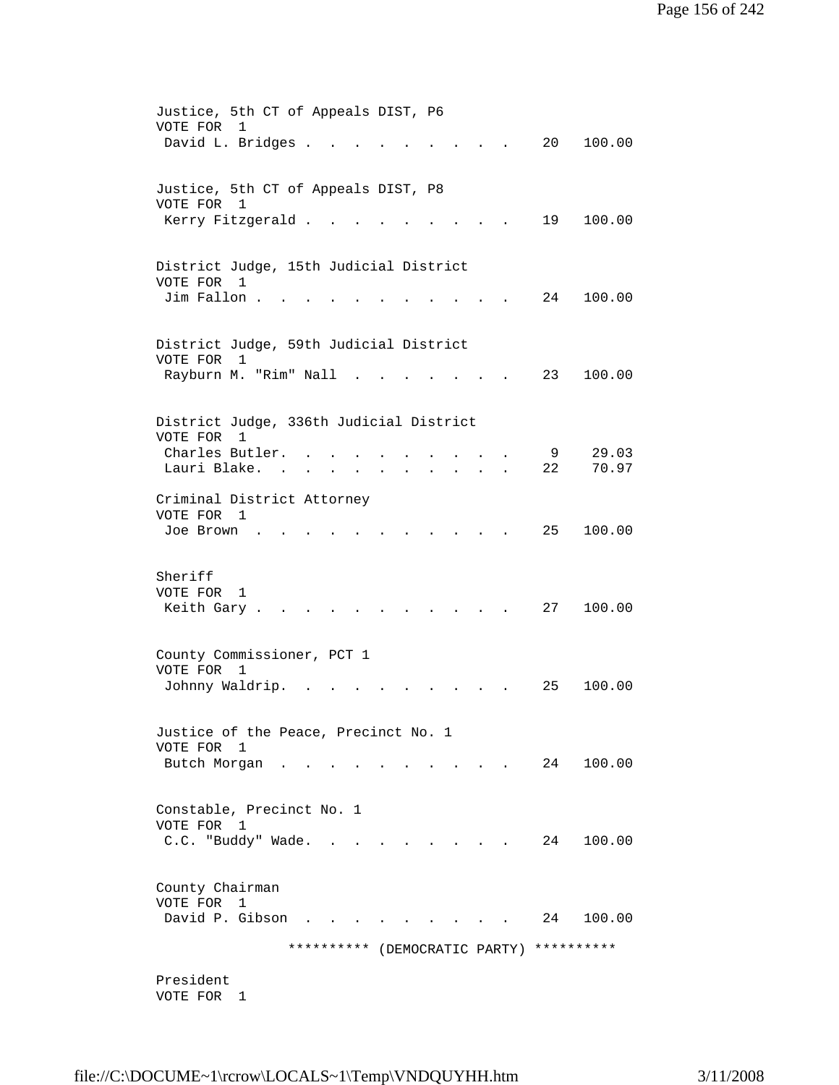| Justice, 5th CT of Appeals DIST, P6<br>VOTE FOR<br>1                          |
|-------------------------------------------------------------------------------|
| David L. Bridges .<br>20<br>100.00                                            |
|                                                                               |
|                                                                               |
| Justice, 5th CT of Appeals DIST, P8<br>VOTE FOR 1                             |
| Kerry Fitzgerald.<br>19<br>100.00                                             |
|                                                                               |
| District Judge, 15th Judicial District                                        |
| VOTE FOR 1                                                                    |
| Jim Fallon.<br>24<br>100.00                                                   |
|                                                                               |
| District Judge, 59th Judicial District                                        |
| VOTE FOR<br>1                                                                 |
| Rayburn M. "Rim" Nall<br>23<br>100.00                                         |
|                                                                               |
| District Judge, 336th Judicial District                                       |
| VOTE FOR<br>1                                                                 |
| Charles Butler.<br>9<br>29.03                                                 |
| 70.97<br>Lauri Blake.<br>22<br><b>Contract Contract</b>                       |
| Criminal District Attorney                                                    |
| VOTE FOR 1                                                                    |
| 25<br>100.00<br>Joe Brown                                                     |
|                                                                               |
| Sheriff                                                                       |
| VOTE FOR<br>1                                                                 |
| Keith Gary.<br>27<br>100.00                                                   |
|                                                                               |
| County Commissioner, PCT 1                                                    |
| VOTE FOR<br>1                                                                 |
| Johnny Waldrip.<br>100.00<br>25                                               |
|                                                                               |
| Justice of the Peace, Precinct No. 1                                          |
| VOTE FOR 1                                                                    |
| Butch Morgan.<br>24<br>100.00                                                 |
|                                                                               |
| Constable, Precinct No. 1                                                     |
| VOTE FOR 1<br>C.C. "Buddy" Wade.<br>24<br>100.00                              |
| $\mathbf{r} = \mathbf{r} + \mathbf{r} + \mathbf{r} + \mathbf{r} + \mathbf{r}$ |
|                                                                               |
| County Chairman                                                               |
| VOTE FOR 1<br>David P. Gibson<br>100.00<br>24                                 |
|                                                                               |
| ********** (DEMOCRATIC PARTY)<br>**********                                   |
| President                                                                     |
| VOTE FOR 1                                                                    |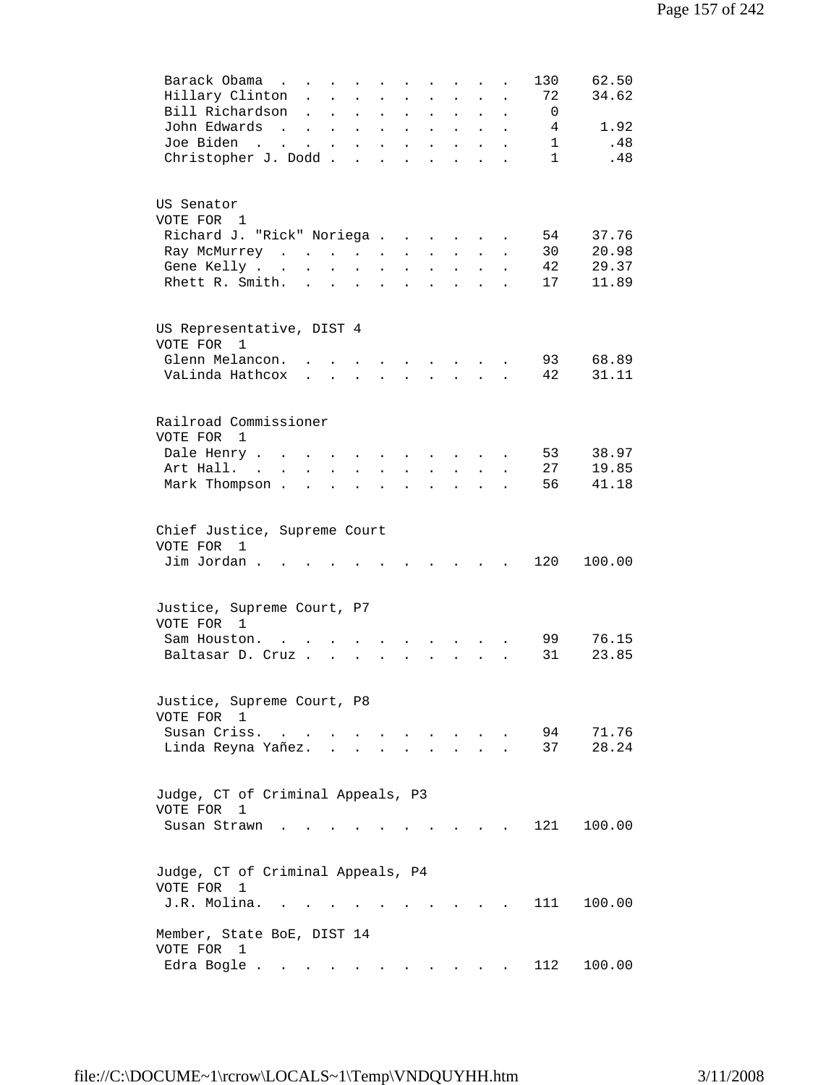| Barack Obama<br>130<br>62.50<br>$\cdots$ $\cdots$<br>Hillary Clinton<br>72<br>34.62<br>$\ddot{\phantom{a}}$<br>$\ddot{\phantom{a}}$<br>Bill Richardson<br>0<br>$\ddot{\phantom{a}}$<br>$\ddot{\phantom{a}}$<br>$\ddot{\phantom{a}}$<br>$\ddot{\phantom{a}}$<br>$\ddot{\phantom{a}}$<br>$\ddot{\phantom{a}}$<br>$\ddot{\phantom{a}}$<br>$\ddot{\phantom{a}}$<br>John Edwards<br>1.92<br>4<br>$\sim$ $\sim$<br>$\mathbf{L}$<br>$\ddot{\phantom{0}}$<br>$\ddot{\phantom{a}}$<br>$\bullet$<br>$\ddot{\phantom{0}}$<br>$\ddot{\phantom{0}}$<br>$\ddot{\phantom{0}}$<br>$\ddot{\phantom{0}}$<br>Joe Biden<br>.48<br>$\mathbf{1}$<br>$\mathcal{L}(\mathbf{z})$ and $\mathcal{L}(\mathbf{z})$ .<br>$\mathbf{L} = \mathbf{L}$<br>$\blacksquare$<br>$\bullet$<br>$\ddot{\phantom{0}}$<br>$\ddot{\phantom{a}}$<br>Christopher J. Dodd<br>$\mathbf{1}$<br>.48<br>$\bullet$ |  |
|----------------------------------------------------------------------------------------------------------------------------------------------------------------------------------------------------------------------------------------------------------------------------------------------------------------------------------------------------------------------------------------------------------------------------------------------------------------------------------------------------------------------------------------------------------------------------------------------------------------------------------------------------------------------------------------------------------------------------------------------------------------------------------------------------------------------------------------------------------------|--|
| US Senator<br>VOTE FOR 1<br>Richard J. "Rick" Noriega<br>37.76<br>54<br>30<br>20.98<br>Ray McMurrey<br>$\mathbf{1}$ and $\mathbf{1}$ and $\mathbf{1}$ and $\mathbf{1}$<br>$\ddot{\phantom{0}}$<br>$\ddot{\phantom{0}}$                                                                                                                                                                                                                                                                                                                                                                                                                                                                                                                                                                                                                                         |  |
| 42<br>29.37<br>Gene Kelly<br>$\sim$ $-$<br>$\ddot{\phantom{a}}$<br>$\mathbf{L}^{\text{max}}$<br>$\ddot{\phantom{a}}$<br>$\ddot{\phantom{0}}$<br>$\ddot{\phantom{0}}$<br>$\bullet$<br>11.89<br>Rhett R. Smith.<br>17<br>$\mathbf{L}$<br>$\ddot{\phantom{a}}$<br>$\ddot{\phantom{0}}$<br>$\bullet$<br>$\ddot{\phantom{0}}$<br>$\ddot{\phantom{a}}$<br>$\ddot{\phantom{0}}$<br>$\bullet$                                                                                                                                                                                                                                                                                                                                                                                                                                                                          |  |
| US Representative, DIST 4<br>VOTE FOR 1                                                                                                                                                                                                                                                                                                                                                                                                                                                                                                                                                                                                                                                                                                                                                                                                                        |  |
| Glenn Melancon.<br>93<br>68.89<br>$\sim$ $\sim$<br>$\ddot{\phantom{a}}$<br>$\sim$<br>$\sim$ $\sim$ $\sim$<br>VaLinda Hathcox<br>42<br>31.11<br>$\mathbf{r}$ and $\mathbf{r}$<br>$\mathbf{r}$ , $\mathbf{r}$ , $\mathbf{r}$<br>$\mathbf{r}$<br>$\ddot{\phantom{a}}$                                                                                                                                                                                                                                                                                                                                                                                                                                                                                                                                                                                             |  |
| Railroad Commissioner<br>VOTE FOR 1                                                                                                                                                                                                                                                                                                                                                                                                                                                                                                                                                                                                                                                                                                                                                                                                                            |  |
| 38.97<br>Dale Henry<br>53<br>$\ddot{\phantom{a}}$<br>$\ddot{\phantom{a}}$<br>19.85<br>Art Hall. .<br>27                                                                                                                                                                                                                                                                                                                                                                                                                                                                                                                                                                                                                                                                                                                                                        |  |
| $\ddot{\phantom{0}}$<br>41.18<br>Mark Thompson .<br>56<br>$\ddot{\phantom{a}}$<br>$\ddot{\phantom{a}}$                                                                                                                                                                                                                                                                                                                                                                                                                                                                                                                                                                                                                                                                                                                                                         |  |
| Chief Justice, Supreme Court<br>VOTE FOR<br>1                                                                                                                                                                                                                                                                                                                                                                                                                                                                                                                                                                                                                                                                                                                                                                                                                  |  |
| Jim Jordan.<br>120<br>100.00<br>$\ddot{\phantom{a}}$<br>$\ddot{\phantom{a}}$                                                                                                                                                                                                                                                                                                                                                                                                                                                                                                                                                                                                                                                                                                                                                                                   |  |
| Justice, Supreme Court, P7<br>VOTE FOR 1<br>99<br>76.15<br>Sam Houston.                                                                                                                                                                                                                                                                                                                                                                                                                                                                                                                                                                                                                                                                                                                                                                                        |  |
| 31<br>23.85<br>Baltasar D. Cruz.<br>$\ddot{\phantom{a}}$                                                                                                                                                                                                                                                                                                                                                                                                                                                                                                                                                                                                                                                                                                                                                                                                       |  |
| Justice, Supreme Court, P8<br>VOTE FOR 1                                                                                                                                                                                                                                                                                                                                                                                                                                                                                                                                                                                                                                                                                                                                                                                                                       |  |
| Susan Criss.<br>71.76<br>94<br>$\mathbf{r}$ , $\mathbf{r}$ , $\mathbf{r}$ , $\mathbf{r}$<br>$\ddot{\phantom{a}}$<br>28.24<br>Linda Reyna Yañez. .<br>37                                                                                                                                                                                                                                                                                                                                                                                                                                                                                                                                                                                                                                                                                                        |  |
| Judge, CT of Criminal Appeals, P3<br>VOTE FOR<br>1                                                                                                                                                                                                                                                                                                                                                                                                                                                                                                                                                                                                                                                                                                                                                                                                             |  |
| 121<br>100.00<br>Susan Strawn.                                                                                                                                                                                                                                                                                                                                                                                                                                                                                                                                                                                                                                                                                                                                                                                                                                 |  |
| Judge, CT of Criminal Appeals, P4<br>VOTE FOR<br>$\mathbf{1}$<br>J.R. Molina.<br>111<br>100.00<br>$\sim$                                                                                                                                                                                                                                                                                                                                                                                                                                                                                                                                                                                                                                                                                                                                                       |  |
| Member, State BoE, DIST 14<br>VOTE FOR<br>1                                                                                                                                                                                                                                                                                                                                                                                                                                                                                                                                                                                                                                                                                                                                                                                                                    |  |
| 112<br>100.00<br>Edra Bogle                                                                                                                                                                                                                                                                                                                                                                                                                                                                                                                                                                                                                                                                                                                                                                                                                                    |  |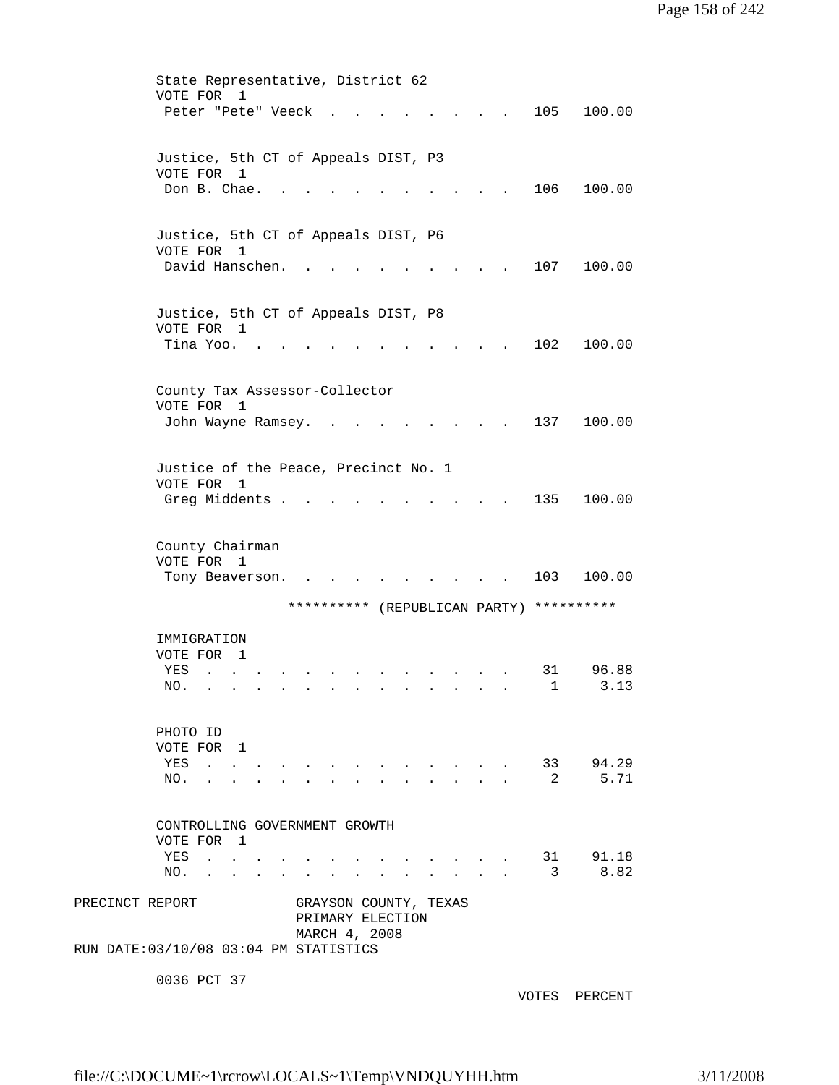|                 | State Representative, District 62                                                        |                       |                                                                               |                         |                                          |
|-----------------|------------------------------------------------------------------------------------------|-----------------------|-------------------------------------------------------------------------------|-------------------------|------------------------------------------|
|                 | VOTE FOR<br>1<br>Peter "Pete" Veeck                                                      |                       |                                                                               |                         | 105<br>100.00                            |
|                 |                                                                                          |                       |                                                                               |                         |                                          |
|                 |                                                                                          |                       |                                                                               |                         |                                          |
|                 | Justice, 5th CT of Appeals DIST, P3                                                      |                       |                                                                               |                         |                                          |
|                 | VOTE FOR 1<br>Don B. Chae.                                                               |                       |                                                                               |                         | 106<br>100.00                            |
|                 |                                                                                          |                       |                                                                               |                         |                                          |
|                 |                                                                                          |                       |                                                                               |                         |                                          |
|                 | Justice, 5th CT of Appeals DIST, P6<br>VOTE FOR 1                                        |                       |                                                                               |                         |                                          |
|                 | David Hanschen.                                                                          |                       |                                                                               |                         | 107<br>100.00                            |
|                 |                                                                                          |                       |                                                                               |                         |                                          |
|                 |                                                                                          |                       |                                                                               |                         |                                          |
|                 | Justice, 5th CT of Appeals DIST, P8<br>VOTE FOR 1                                        |                       |                                                                               |                         |                                          |
|                 | Tina Yoo.                                                                                |                       |                                                                               |                         | 102<br>100.00                            |
|                 |                                                                                          |                       |                                                                               |                         |                                          |
|                 |                                                                                          |                       |                                                                               |                         |                                          |
|                 | County Tax Assessor-Collector<br>VOTE FOR 1                                              |                       |                                                                               |                         |                                          |
|                 | John Wayne Ramsey.                                                                       |                       |                                                                               |                         | 137<br>100.00                            |
|                 |                                                                                          |                       |                                                                               |                         |                                          |
|                 |                                                                                          |                       |                                                                               |                         |                                          |
|                 | Justice of the Peace, Precinct No. 1<br>VOTE FOR 1                                       |                       |                                                                               |                         |                                          |
|                 | Greg Middents .                                                                          |                       |                                                                               |                         | 135<br>100.00                            |
|                 |                                                                                          |                       |                                                                               |                         |                                          |
|                 |                                                                                          |                       |                                                                               |                         |                                          |
|                 | County Chairman<br>VOTE FOR<br>$\overline{1}$                                            |                       |                                                                               |                         |                                          |
|                 | Tony Beaverson.                                                                          |                       |                                                                               |                         | 103<br>100.00                            |
|                 |                                                                                          |                       |                                                                               |                         |                                          |
|                 |                                                                                          |                       |                                                                               |                         | ********** (REPUBLICAN PARTY) ********** |
|                 | IMMIGRATION                                                                              |                       |                                                                               |                         |                                          |
|                 | VOTE FOR 1                                                                               |                       |                                                                               |                         |                                          |
|                 | YES<br>$\sim$<br><b>Contract Contract Contract</b>                                       |                       |                                                                               |                         | 96.88<br>31                              |
|                 | NO.                                                                                      |                       |                                                                               |                         | 1<br>3.13                                |
|                 |                                                                                          |                       |                                                                               |                         |                                          |
|                 | PHOTO ID                                                                                 |                       |                                                                               |                         |                                          |
|                 | VOTE FOR 1                                                                               |                       |                                                                               |                         |                                          |
|                 | YES                                                                                      | <b>All Contracts</b>  | $\mathbf{r} = \mathbf{r} = \mathbf{r} = \mathbf{r} = \mathbf{r} = \mathbf{r}$ |                         | 33 94.29                                 |
|                 | NO.                                                                                      |                       |                                                                               |                         | 5.71<br>-2                               |
|                 |                                                                                          |                       |                                                                               |                         |                                          |
|                 | CONTROLLING GOVERNMENT GROWTH                                                            |                       |                                                                               |                         |                                          |
|                 | VOTE FOR 1                                                                               |                       |                                                                               |                         |                                          |
|                 | YES<br>$\mathcal{A}^{\mathcal{A}}$ . The contribution of $\mathcal{A}^{\mathcal{A}}$     |                       |                                                                               |                         | 91.18<br>31<br>8.82                      |
|                 | NO.<br>$\mathbf{r}$ , $\mathbf{r}$ , $\mathbf{r}$ , $\mathbf{r}$<br>$\ddot{\phantom{a}}$ |                       |                                                                               | $\cdot$ $\cdot$ $\cdot$ | 3                                        |
| PRECINCT REPORT |                                                                                          | GRAYSON COUNTY, TEXAS |                                                                               |                         |                                          |
|                 |                                                                                          | PRIMARY ELECTION      |                                                                               |                         |                                          |
|                 |                                                                                          | MARCH 4, 2008         |                                                                               |                         |                                          |
|                 | RUN DATE: 03/10/08 03:04 PM STATISTICS                                                   |                       |                                                                               |                         |                                          |
|                 | 0036 PCT 37                                                                              |                       |                                                                               |                         |                                          |

VOTES PERCENT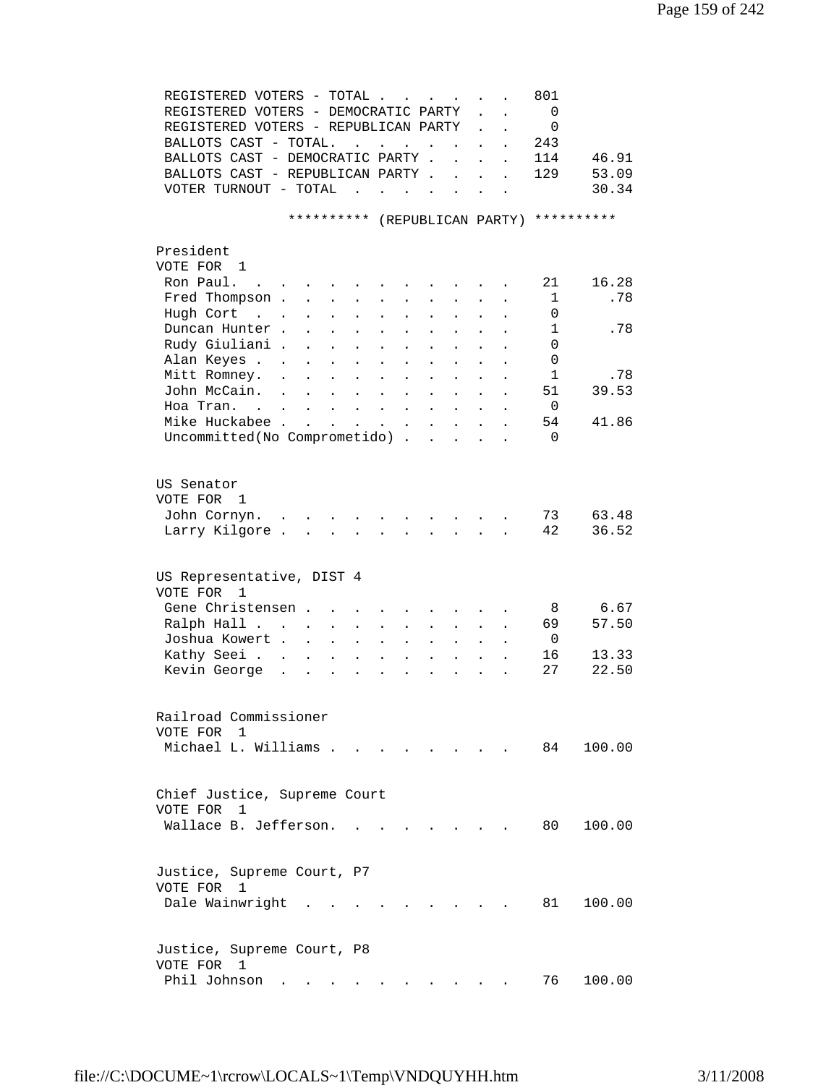| REGISTERED VOTERS - TOTAL                                                                                                                                                                                                                                          |                          |                      |                      | 801            |            |
|--------------------------------------------------------------------------------------------------------------------------------------------------------------------------------------------------------------------------------------------------------------------|--------------------------|----------------------|----------------------|----------------|------------|
| REGISTERED VOTERS - DEMOCRATIC PARTY                                                                                                                                                                                                                               |                          |                      |                      | $\overline{0}$ |            |
| REGISTERED VOTERS - REPUBLICAN PARTY                                                                                                                                                                                                                               |                          |                      | $\ddot{\phantom{a}}$ | $\mathbf{0}$   |            |
| BALLOTS CAST - TOTAL.<br>$\mathcal{A}^{\mathcal{A}}$ . The contract of the contract of the contract of the contract of the contract of the contract of the contract of the contract of the contract of the contract of the contract of the contract of the contrac | <b>Contract Contract</b> |                      |                      | 243            |            |
| BALLOTS CAST - DEMOCRATIC PARTY.                                                                                                                                                                                                                                   | $\ddot{\phantom{0}}$     | $\ddot{\phantom{a}}$ | $\ddot{\phantom{a}}$ | 114            | 46.91      |
| BALLOTS CAST - REPUBLICAN PARTY.                                                                                                                                                                                                                                   | $\ddot{\phantom{a}}$     |                      |                      | 129            | 53.09      |
| VOTER TURNOUT - TOTAL<br>$\sim$<br>$\mathbf{r}$                                                                                                                                                                                                                    |                          |                      |                      |                | 30.34      |
|                                                                                                                                                                                                                                                                    |                          |                      |                      |                |            |
| ********** (REPUBLICAN PARTY)                                                                                                                                                                                                                                      |                          |                      |                      |                | ********** |
|                                                                                                                                                                                                                                                                    |                          |                      |                      |                |            |
| President                                                                                                                                                                                                                                                          |                          |                      |                      |                |            |
| VOTE FOR 1                                                                                                                                                                                                                                                         |                          |                      |                      |                |            |
| Ron Paul.                                                                                                                                                                                                                                                          |                          |                      |                      | 21             | 16.28      |
| Fred Thompson .<br>$\mathbf{L}$<br>$\ddot{\phantom{0}}$<br>$\ddot{\phantom{a}}$                                                                                                                                                                                    |                          |                      |                      | 1              | .78        |
| Hugh Cort<br>$\mathcal{L}(\mathcal{L})$ and $\mathcal{L}(\mathcal{L})$                                                                                                                                                                                             |                          |                      |                      | 0              |            |
| Duncan Hunter.                                                                                                                                                                                                                                                     |                          |                      |                      | $\mathbf{1}$   | .78        |
| Rudy Giuliani.<br>$\ddot{\phantom{0}}$<br>$\ddot{\phantom{a}}$<br>$\ddot{\phantom{a}}$<br>$\ddot{\phantom{a}}$                                                                                                                                                     |                          |                      |                      | $\Omega$       |            |
| Alan Keyes<br>$\ddot{\phantom{0}}$<br>$\ddot{\phantom{0}}$                                                                                                                                                                                                         |                          |                      |                      | 0              |            |
| Mitt Romney.<br>$\ddot{\phantom{a}}$<br>$\mathbf{r}$<br>$\ddot{\phantom{a}}$<br>$\ddot{\phantom{0}}$<br>$\mathbf{L}$<br>$\ddot{\phantom{a}}$<br>$\ddot{\phantom{a}}$                                                                                               | $\ddot{\phantom{0}}$     | $\ddot{\phantom{a}}$ |                      | 1              | .78        |
| John McCain.<br>$\ddot{\phantom{a}}$<br>$\sim$ $\sim$<br>$\mathbf{L} = \mathbf{L}$<br>$\sim$ $\sim$ $\sim$<br>$\ddot{\phantom{a}}$<br><b>Contract Contract Contract</b>                                                                                            | $\mathbf{L}$             |                      |                      | 51             | 39.53      |
| Hoa Tran.                                                                                                                                                                                                                                                          |                          | $\ddot{\phantom{a}}$ |                      | 0              |            |
| Mike Huckabee                                                                                                                                                                                                                                                      |                          |                      | $\bullet$            | 54             | 41.86      |
| Uncommitted (No Comprometido)                                                                                                                                                                                                                                      |                          |                      |                      | $\Omega$       |            |
|                                                                                                                                                                                                                                                                    |                          |                      |                      |                |            |
|                                                                                                                                                                                                                                                                    |                          |                      |                      |                |            |
| US Senator                                                                                                                                                                                                                                                         |                          |                      |                      |                |            |
| VOTE FOR 1                                                                                                                                                                                                                                                         |                          |                      |                      |                |            |
| John Cornyn.                                                                                                                                                                                                                                                       |                          |                      |                      | 73             | 63.48      |
| Larry Kilgore.<br>$\mathbf{r}$ , and $\mathbf{r}$ , and $\mathbf{r}$ , and $\mathbf{r}$                                                                                                                                                                            |                          |                      |                      | 42             | 36.52      |
|                                                                                                                                                                                                                                                                    |                          |                      |                      |                |            |
|                                                                                                                                                                                                                                                                    |                          |                      |                      |                |            |
| US Representative, DIST 4                                                                                                                                                                                                                                          |                          |                      |                      |                |            |
| VOTE FOR<br>1                                                                                                                                                                                                                                                      |                          |                      |                      |                |            |
| Gene Christensen.<br>$\ddot{\phantom{1}}$<br>$\sim$                                                                                                                                                                                                                |                          |                      |                      | 8              | 6.67       |
| Ralph Hall<br>$\sim$<br>$\ddot{\phantom{a}}$<br>$\ddot{\phantom{a}}$                                                                                                                                                                                               |                          |                      |                      | 69             | 57.50      |
| Joshua Kowert<br>$\sim$<br>$\ddot{\phantom{a}}$                                                                                                                                                                                                                    |                          |                      |                      | $\overline{0}$ |            |
| Kathy Seei<br>$\mathbf{L}^{\text{max}}$<br>$\sim$<br>$\mathbf{L}^{\text{max}}$<br>$\sim$ 100 $\pm$<br>$\sim$<br>$\sim$ 100 $\pm$                                                                                                                                   | $\mathbf{L}$             | $\ddot{\phantom{a}}$ |                      | 16             | 13.33      |
| Kevin George<br>$\sim$ $\sim$<br>$\ddot{\phantom{a}}$<br>$\sim$                                                                                                                                                                                                    | $\mathbf{L}$             |                      |                      | 27             | 22.50      |
| $\ddot{\phantom{a}}$<br>$\ddot{\phantom{a}}$<br>$\ddot{\phantom{a}}$<br>$\sim$                                                                                                                                                                                     |                          | $\ddot{\phantom{a}}$ |                      |                |            |
|                                                                                                                                                                                                                                                                    |                          |                      |                      |                |            |
| Railroad Commissioner                                                                                                                                                                                                                                              |                          |                      |                      |                |            |
| VOTE FOR<br>-1                                                                                                                                                                                                                                                     |                          |                      |                      |                |            |
| Michael L. Williams                                                                                                                                                                                                                                                |                          |                      |                      | 84 -           | 100.00     |
|                                                                                                                                                                                                                                                                    |                          |                      |                      |                |            |
|                                                                                                                                                                                                                                                                    |                          |                      |                      |                |            |
| Chief Justice, Supreme Court                                                                                                                                                                                                                                       |                          |                      |                      |                |            |
| VOTE FOR<br>1                                                                                                                                                                                                                                                      |                          |                      |                      |                |            |
| Wallace B. Jefferson.                                                                                                                                                                                                                                              |                          |                      |                      |                |            |
|                                                                                                                                                                                                                                                                    |                          |                      |                      | 80             | 100.00     |
|                                                                                                                                                                                                                                                                    |                          |                      |                      |                |            |
|                                                                                                                                                                                                                                                                    |                          |                      |                      |                |            |
| Justice, Supreme Court, P7                                                                                                                                                                                                                                         |                          |                      |                      |                |            |
| VOTE FOR 1                                                                                                                                                                                                                                                         |                          |                      |                      |                |            |
| Dale Wainwright                                                                                                                                                                                                                                                    |                          |                      |                      | 81             | 100.00     |
|                                                                                                                                                                                                                                                                    |                          |                      |                      |                |            |
|                                                                                                                                                                                                                                                                    |                          |                      |                      |                |            |
| Justice, Supreme Court, P8                                                                                                                                                                                                                                         |                          |                      |                      |                |            |
| VOTE FOR 1                                                                                                                                                                                                                                                         |                          |                      |                      |                |            |
| Phil Johnson                                                                                                                                                                                                                                                       |                          |                      |                      | 76             | 100.00     |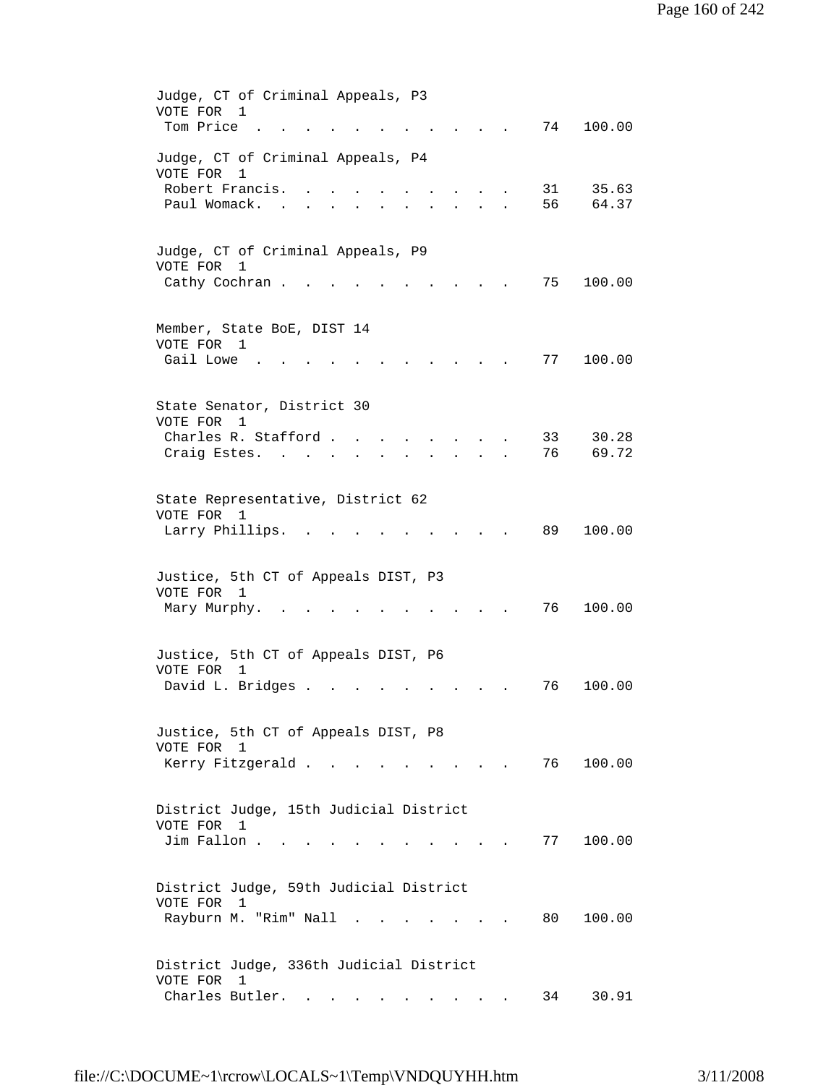| Judge, CT of Criminal Appeals, P3               |
|-------------------------------------------------|
| VOTE FOR<br>1                                   |
| Tom Price<br>74<br>100.00                       |
|                                                 |
| Judge, CT of Criminal Appeals, P4               |
| VOTE FOR<br>1                                   |
| Robert Francis.<br>31<br>35.63                  |
| 56<br>Paul Womack.<br>64.37                     |
|                                                 |
|                                                 |
| Judge, CT of Criminal Appeals, P9               |
| VOTE FOR<br>1                                   |
| Cathy Cochran.<br>75<br>100.00                  |
|                                                 |
|                                                 |
| Member, State BoE, DIST 14<br>VOTE FOR 1        |
| Gail Lowe<br>77<br>100.00                       |
|                                                 |
|                                                 |
| State Senator, District 30                      |
| VOTE FOR<br>1                                   |
| Charles R. Stafford.<br>33<br>30.28             |
| 76<br>69.72<br>Craig Estes.                     |
|                                                 |
|                                                 |
| State Representative, District 62               |
| VOTE FOR 1                                      |
| 89<br>100.00<br>Larry Phillips.                 |
|                                                 |
|                                                 |
| Justice, 5th CT of Appeals DIST, P3             |
| VOTE FOR<br>$\mathbf{1}$                        |
| 76<br>100.00<br>Mary Murphy.                    |
|                                                 |
|                                                 |
| Justice, 5th CT of Appeals DIST, P6             |
| VOTE FOR<br>$\mathbf{1}$                        |
| David L. Bridges .<br>76<br>100.00              |
|                                                 |
|                                                 |
| Justice, 5th CT of Appeals DIST, P8             |
| VOTE FOR 1                                      |
| Kerry Fitzgerald<br>76 100.00                   |
|                                                 |
|                                                 |
| District Judge, 15th Judicial District          |
| VOTE FOR<br>- 1                                 |
| Jim Fallon<br>100.00<br>77                      |
|                                                 |
|                                                 |
| District Judge, 59th Judicial District          |
| VOTE FOR 1                                      |
| Rayburn M. "Rim" Nall<br>80<br>100.00<br>$\sim$ |
|                                                 |
|                                                 |
| District Judge, 336th Judicial District         |
| VOTE FOR<br>$\overline{1}$                      |
| Charles Butler. .<br>30.91<br>34                |
|                                                 |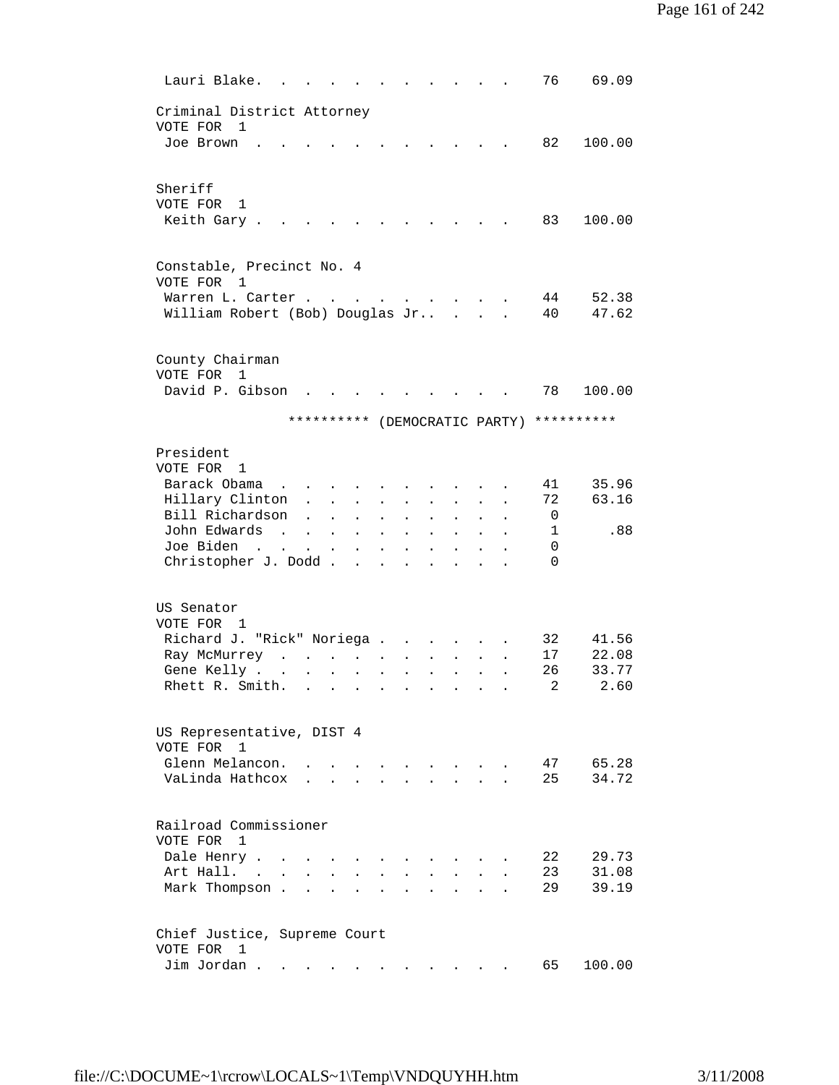| Lauri Blake.                                                                                                                            |                                                           |                                      |                                       |                                              |                                                                                                           |                                      |                                              |                                              |                               | 76             | 69.09          |
|-----------------------------------------------------------------------------------------------------------------------------------------|-----------------------------------------------------------|--------------------------------------|---------------------------------------|----------------------------------------------|-----------------------------------------------------------------------------------------------------------|--------------------------------------|----------------------------------------------|----------------------------------------------|-------------------------------|----------------|----------------|
| Criminal District Attorney<br>VOTE FOR 1<br>Joe Brown                                                                                   |                                                           |                                      |                                       |                                              |                                                                                                           |                                      |                                              |                                              |                               | 82             | 100.00         |
| Sheriff                                                                                                                                 |                                                           |                                      |                                       |                                              |                                                                                                           |                                      |                                              |                                              |                               |                |                |
| VOTE FOR<br>1<br>Keith Gary.                                                                                                            |                                                           |                                      |                                       |                                              |                                                                                                           |                                      |                                              |                                              |                               | 83             | 100.00         |
| Constable, Precinct No. 4<br>VOTE FOR<br>$\mathbf{1}$<br>Warren L. Carter.                                                              |                                                           |                                      | $\ddot{\phantom{1}}$                  |                                              |                                                                                                           |                                      | the contract of the contract of the          |                                              |                               | 44             | 52.38          |
| William Robert (Bob) Douglas Jr                                                                                                         |                                                           |                                      |                                       |                                              |                                                                                                           |                                      |                                              |                                              |                               | 40             | 47.62          |
| County Chairman<br>VOTE FOR 1<br>David P. Gibson                                                                                        |                                                           |                                      |                                       |                                              |                                                                                                           |                                      |                                              |                                              |                               | 78             | 100.00         |
|                                                                                                                                         |                                                           |                                      |                                       |                                              |                                                                                                           |                                      |                                              |                                              | ********** (DEMOCRATIC PARTY) |                | **********     |
| President<br>VOTE FOR<br>1                                                                                                              |                                                           |                                      |                                       |                                              |                                                                                                           |                                      |                                              |                                              |                               |                |                |
| Barack Obama<br>$\sim$<br>Hillary Clinton<br>Bill Richardson                                                                            | $\mathbf{A}$                                              | $\mathbf{r}$<br>$\ddot{\phantom{a}}$ | $\ddot{\phantom{a}}$                  |                                              |                                                                                                           |                                      |                                              |                                              |                               | 41<br>72<br>0  | 35.96<br>63.16 |
| John Edwards<br>$\sim$<br>Joe Biden<br>$\mathbf{r}$ , $\mathbf{r}$ , $\mathbf{r}$ , $\mathbf{r}$ , $\mathbf{r}$<br>Christopher J. Dodd. | $\mathbf{L}$                                              | $\ddot{\phantom{a}}$                 | $\ddot{\phantom{a}}$<br>$\sim$ $\sim$ | $\ddot{\phantom{a}}$<br>$\ddot{\phantom{a}}$ | $\ddot{\phantom{a}}$<br>$\ddot{\phantom{a}}$<br>$\mathbf{r}$ , $\mathbf{r}$ , $\mathbf{r}$ , $\mathbf{r}$ | $\ddot{\phantom{a}}$<br>$\mathbf{r}$ | $\mathbf{r}$<br>$\mathbf{r}$<br>$\mathbf{L}$ | $\ddot{\phantom{a}}$<br>$\ddot{\phantom{a}}$ |                               | 1<br>0<br>0    | .88            |
|                                                                                                                                         |                                                           |                                      |                                       |                                              |                                                                                                           |                                      |                                              |                                              |                               |                |                |
| US Senator<br>VOTE FOR 1<br>Richard J. "Rick" Noriega .                                                                                 |                                                           |                                      |                                       |                                              | $\ddot{\phantom{a}}$                                                                                      |                                      |                                              |                                              |                               | 32             | 41.56          |
| Ray McMurrey                                                                                                                            | $\mathbf{r}$ , $\mathbf{r}$ , $\mathbf{r}$ , $\mathbf{r}$ |                                      |                                       | $\ddot{\phantom{a}}$                         | $\ddot{\phantom{0}}$                                                                                      |                                      |                                              |                                              |                               | 17             | 22.08          |
| Gene Kelly .<br>$\ddot{\phantom{a}}$                                                                                                    | $\ddot{\phantom{a}}$                                      | $\sim$                               | $\ddot{\phantom{a}}$                  | $\ddot{\phantom{a}}$                         | $\ddot{\phantom{0}}$                                                                                      | $\ddot{\phantom{a}}$                 | $\ddot{\phantom{a}}$                         |                                              |                               | 26             | 33.77          |
| Rhett R. Smith.                                                                                                                         |                                                           |                                      |                                       |                                              |                                                                                                           |                                      |                                              |                                              |                               | $\overline{a}$ | 2.60           |
| US Representative, DIST 4<br>VOTE FOR<br>1                                                                                              |                                                           |                                      |                                       |                                              |                                                                                                           |                                      |                                              |                                              |                               |                |                |
| Glenn Melancon.<br>VaLinda Hathcox                                                                                                      |                                                           |                                      |                                       |                                              |                                                                                                           |                                      |                                              |                                              |                               | 47<br>25       | 65.28<br>34.72 |
| Railroad Commissioner<br>VOTE FOR<br>$\overline{1}$                                                                                     |                                                           |                                      |                                       |                                              |                                                                                                           |                                      |                                              |                                              |                               |                |                |
| Dale Henry .                                                                                                                            |                                                           |                                      |                                       |                                              |                                                                                                           |                                      |                                              |                                              |                               | 22             | 29.73          |
| Art Hall. .<br>$\ddot{\phantom{a}}$<br>Mark Thompson.                                                                                   |                                                           |                                      |                                       |                                              |                                                                                                           |                                      |                                              |                                              |                               | 23<br>29       | 31.08<br>39.19 |
| Chief Justice, Supreme Court<br>VOTE FOR<br>1                                                                                           |                                                           |                                      |                                       |                                              |                                                                                                           |                                      |                                              |                                              |                               |                |                |
| Jim Jordan.                                                                                                                             |                                                           |                                      |                                       |                                              |                                                                                                           |                                      |                                              |                                              |                               | 65             | 100.00         |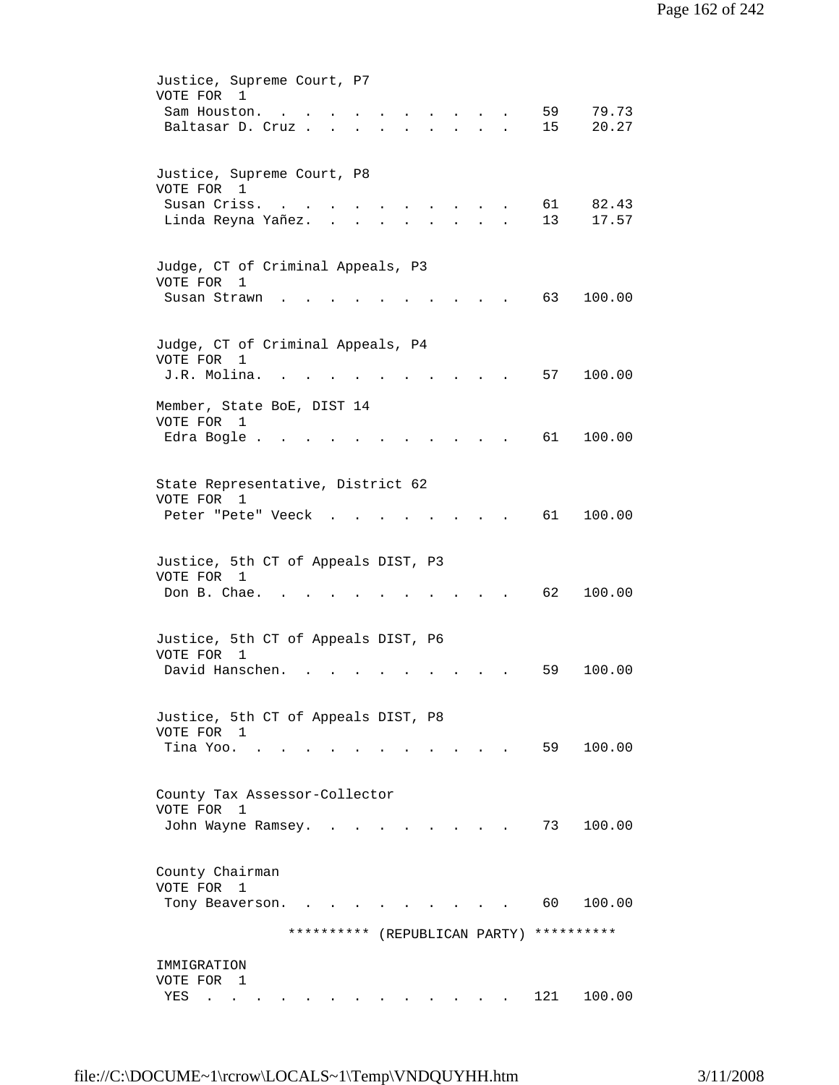| Justice, Supreme Court, P7<br>VOTE FOR 1<br>59<br>Sam Houston.<br>$\sim$<br>and the state of the state of the<br>Baltasar D. Cruz<br>15<br>$\mathbf{L}^{\text{in}}(\mathbf{L}^{\text{in}}(\mathbf{L}^{\text{in}}(\mathbf{L}^{\text{in}}(\mathbf{L}^{\text{in}}(\mathbf{L}^{\text{in}}(\mathbf{L}^{\text{in}}(\mathbf{L}^{\text{in}}(\mathbf{L}^{\text{in}}(\mathbf{L}^{\text{in}}(\mathbf{L}^{\text{in}}(\mathbf{L}^{\text{in}}(\mathbf{L}^{\text{in}}(\mathbf{L}^{\text{in}}(\mathbf{L}^{\text{in}}(\mathbf{L}^{\text{in}}(\mathbf{L}^{\text{in}}(\mathbf{L}^{\text{in}}(\mathbf{$ | 79.73<br>20.27 |
|-------------------------------------------------------------------------------------------------------------------------------------------------------------------------------------------------------------------------------------------------------------------------------------------------------------------------------------------------------------------------------------------------------------------------------------------------------------------------------------------------------------------------------------------------------------------------------------|----------------|
| Justice, Supreme Court, P8<br>VOTE FOR 1<br>Susan Criss.<br>61<br>Linda Reyna Yañez.<br>13<br>$\sim$ $\sim$<br>$\mathbf{r}$                                                                                                                                                                                                                                                                                                                                                                                                                                                         | 82.43<br>17.57 |
| Judge, CT of Criminal Appeals, P3<br>VOTE FOR<br>1<br>Susan Strawn<br>63<br>100.00                                                                                                                                                                                                                                                                                                                                                                                                                                                                                                  |                |
| Judge, CT of Criminal Appeals, P4<br>VOTE FOR 1<br>J.R. Molina.<br>57<br>100.00                                                                                                                                                                                                                                                                                                                                                                                                                                                                                                     |                |
| Member, State BoE, DIST 14<br>VOTE FOR<br>1<br>61<br>100.00<br>Edra Bogle.                                                                                                                                                                                                                                                                                                                                                                                                                                                                                                          |                |
| State Representative, District 62<br>VOTE FOR 1<br>61<br>Peter "Pete" Veeck<br>100.00                                                                                                                                                                                                                                                                                                                                                                                                                                                                                               |                |
| Justice, 5th CT of Appeals DIST, P3<br>VOTE FOR 1<br>Don B. Chae.<br>62<br>100.00                                                                                                                                                                                                                                                                                                                                                                                                                                                                                                   |                |
| Justice, 5th CT of Appeals DIST, P6<br>VOTE FOR<br>1<br>David Hanschen.<br>100.00<br>59                                                                                                                                                                                                                                                                                                                                                                                                                                                                                             |                |
| Justice, 5th CT of Appeals DIST, P8<br>VOTE FOR 1<br>59 100.00<br>Tina Yoo.                                                                                                                                                                                                                                                                                                                                                                                                                                                                                                         |                |
| County Tax Assessor-Collector<br>VOTE FOR<br>1<br>73<br>John Wayne Ramsey.<br>100.00                                                                                                                                                                                                                                                                                                                                                                                                                                                                                                |                |
| County Chairman<br>VOTE FOR<br>$\overline{\phantom{0}}$<br>60 —<br>100.00<br>Tony Beaverson.<br>$\mathbf{L} = \mathbf{L} \mathbf{L} = \mathbf{L} \mathbf{L}$                                                                                                                                                                                                                                                                                                                                                                                                                        |                |
| ********** (REPUBLICAN PARTY)<br>**********<br>IMMIGRATION                                                                                                                                                                                                                                                                                                                                                                                                                                                                                                                          |                |
| VOTE FOR 1<br>121<br>100.00<br>YES<br>$\sim$ $\sim$                                                                                                                                                                                                                                                                                                                                                                                                                                                                                                                                 |                |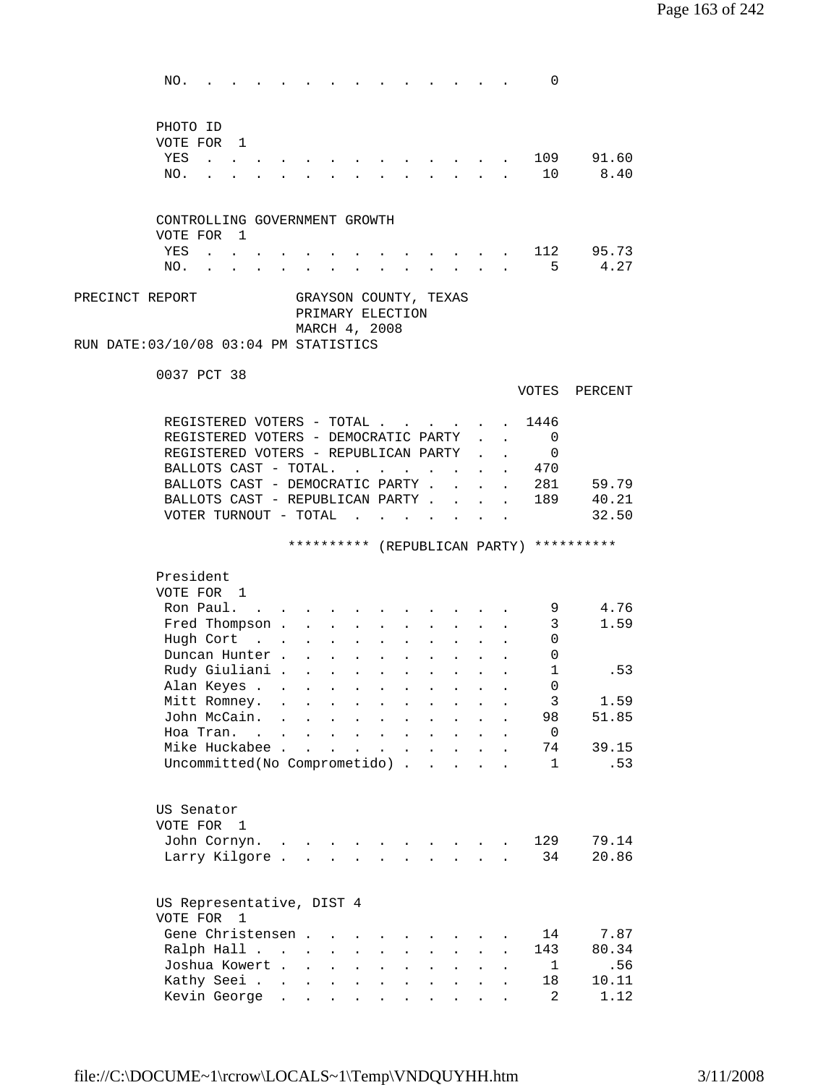| NO.                                                                          |                         |                                                           |                                     |                                            |                      |                                                           |                           |              |                            | 0                                        |             |
|------------------------------------------------------------------------------|-------------------------|-----------------------------------------------------------|-------------------------------------|--------------------------------------------|----------------------|-----------------------------------------------------------|---------------------------|--------------|----------------------------|------------------------------------------|-------------|
|                                                                              |                         |                                                           |                                     |                                            |                      |                                                           |                           |              |                            |                                          |             |
| PHOTO ID                                                                     |                         |                                                           |                                     |                                            |                      |                                                           |                           |              |                            |                                          |             |
| VOTE FOR 1                                                                   |                         |                                                           |                                     |                                            |                      |                                                           |                           |              |                            |                                          |             |
| YES                                                                          |                         |                                                           |                                     |                                            |                      |                                                           |                           |              |                            | 109                                      | 91.60       |
| NO.                                                                          |                         |                                                           |                                     |                                            |                      |                                                           |                           |              |                            | 10                                       | 8.40        |
|                                                                              |                         |                                                           |                                     |                                            |                      |                                                           |                           |              |                            |                                          |             |
| CONTROLLING GOVERNMENT GROWTH                                                |                         |                                                           |                                     |                                            |                      |                                                           |                           |              |                            |                                          |             |
| VOTE FOR 1                                                                   |                         |                                                           |                                     |                                            |                      |                                                           |                           |              |                            |                                          |             |
| YES<br>$\mathbf{r}$ , $\mathbf{r}$ , $\mathbf{r}$                            |                         |                                                           |                                     |                                            |                      |                                                           |                           |              |                            |                                          | . 112 95.73 |
| NO.                                                                          |                         | $\mathbf{r}$ , $\mathbf{r}$ , $\mathbf{r}$                |                                     |                                            |                      | $\mathbf{r}$ , and $\mathbf{r}$ , and $\mathbf{r}$        |                           |              |                            | 5                                        | 4.27        |
| PRECINCT REPORT                                                              |                         | GRAYSON COUNTY, TEXAS                                     |                                     |                                            |                      |                                                           |                           |              |                            |                                          |             |
|                                                                              |                         | PRIMARY ELECTION                                          |                                     |                                            |                      |                                                           |                           |              |                            |                                          |             |
|                                                                              |                         | MARCH 4, 2008                                             |                                     |                                            |                      |                                                           |                           |              |                            |                                          |             |
| RUN DATE: 03/10/08 03:04 PM STATISTICS                                       |                         |                                                           |                                     |                                            |                      |                                                           |                           |              |                            |                                          |             |
| 0037 PCT 38                                                                  |                         |                                                           |                                     |                                            |                      |                                                           |                           |              |                            |                                          |             |
|                                                                              |                         |                                                           |                                     |                                            |                      |                                                           |                           |              |                            | VOTES                                    | PERCENT     |
|                                                                              |                         |                                                           |                                     |                                            |                      |                                                           |                           |              |                            |                                          |             |
| REGISTERED VOTERS - TOTAL 1446                                               |                         |                                                           |                                     |                                            |                      |                                                           |                           |              |                            |                                          |             |
| REGISTERED VOTERS - DEMOCRATIC PARTY<br>REGISTERED VOTERS - REPUBLICAN PARTY |                         |                                                           |                                     |                                            |                      |                                                           |                           |              | $\mathcal{L}^{\text{max}}$ | $\overline{0}$<br>$\overline{0}$         |             |
| BALLOTS CAST - TOTAL.                                                        |                         |                                                           |                                     |                                            |                      |                                                           |                           |              |                            | . 470                                    |             |
| BALLOTS CAST - DEMOCRATIC PARTY.                                             |                         |                                                           |                                     |                                            |                      |                                                           |                           |              | $\mathbf{r}$               | 281                                      | 59.79       |
| BALLOTS CAST - REPUBLICAN PARTY.                                             |                         |                                                           |                                     |                                            |                      |                                                           | $\mathbf{r}$              | $\mathbf{r}$ | $\Delta \sim 10$           | 189                                      | 40.21       |
| VOTER TURNOUT - TOTAL                                                        |                         |                                                           |                                     |                                            |                      |                                                           | $\mathbf{L}$              |              |                            |                                          | 32.50       |
|                                                                              |                         |                                                           |                                     |                                            |                      |                                                           |                           |              |                            |                                          |             |
|                                                                              |                         |                                                           |                                     |                                            |                      |                                                           |                           |              |                            | ********** (REPUBLICAN PARTY) ********** |             |
| President                                                                    |                         |                                                           |                                     |                                            |                      |                                                           |                           |              |                            |                                          |             |
| VOTE FOR 1                                                                   |                         |                                                           |                                     |                                            |                      |                                                           |                           |              |                            |                                          |             |
| Ron Paul. .                                                                  |                         |                                                           |                                     |                                            |                      |                                                           |                           |              |                            | 9                                        | 4.76        |
| Fred Thompson .                                                              |                         |                                                           |                                     |                                            |                      |                                                           |                           |              |                            | 3                                        | 1.59        |
| Hugh Cort<br>$\mathbf{r}$ , $\mathbf{r}$ , $\mathbf{r}$ , $\mathbf{r}$       |                         |                                                           |                                     |                                            |                      |                                                           |                           |              |                            | 0                                        |             |
| Duncan Hunter                                                                |                         |                                                           |                                     | $\mathbf{r} = \mathbf{r} \cdot \mathbf{r}$ |                      | $\sim 10^{-10}$                                           | $\mathbf{r}$              |              |                            | 0                                        |             |
| Rudy Giuliani                                                                |                         |                                                           |                                     |                                            |                      |                                                           | $\mathbf{L}^{\text{max}}$ |              |                            | $\mathbf{1}$                             | .53         |
| Alan Keyes                                                                   |                         |                                                           |                                     |                                            |                      |                                                           |                           |              |                            | $\Omega$                                 |             |
| Mitt Romney.                                                                 | $\sim 100$ km s $^{-1}$ | $\ddot{\phantom{a}}$                                      |                                     |                                            |                      |                                                           |                           |              |                            | 3                                        | 1.59        |
| John McCain.<br>$\sim$                                                       |                         | $\ddot{\phantom{a}}$                                      | $\ddot{\phantom{a}}$                |                                            |                      |                                                           |                           |              |                            | 98                                       | 51.85       |
| Hoa Tran. .                                                                  | $\bullet$               | $\mathbf{z} = \mathbf{z} + \mathbf{z}$ . The $\mathbf{z}$ |                                     | $\mathbf{z} = \mathbf{z} + \mathbf{z}$ .   | $\ddot{\phantom{0}}$ | $\ddot{\phantom{a}}$                                      |                           | $\bullet$    |                            | $\overline{0}$                           |             |
| Mike Huckabee .                                                              |                         | s.<br>$\ddot{\phantom{a}}$                                | $\ddot{\phantom{0}}$                | $\mathbf{L}$                               | $\ddot{\phantom{a}}$ |                                                           |                           |              |                            | 74                                       | 39.15       |
| Uncommitted(No Comprometido).                                                |                         |                                                           |                                     |                                            |                      | $\mathbf{r}$                                              |                           |              |                            | 1                                        | .53         |
|                                                                              |                         |                                                           |                                     |                                            |                      |                                                           |                           |              |                            |                                          |             |
| US Senator                                                                   |                         |                                                           |                                     |                                            |                      |                                                           |                           |              |                            |                                          |             |
| VOTE FOR<br>$\mathbf{1}$                                                     |                         |                                                           |                                     |                                            |                      |                                                           |                           |              |                            |                                          |             |
| John Cornyn.                                                                 |                         |                                                           |                                     |                                            |                      |                                                           |                           |              |                            | 129                                      | 79.14       |
| Larry Kilgore                                                                |                         |                                                           |                                     |                                            |                      | $\mathbf{r} = \mathbf{r}$ , and $\mathbf{r} = \mathbf{r}$ |                           |              |                            | 34                                       | 20.86       |
|                                                                              |                         |                                                           |                                     |                                            |                      |                                                           |                           |              |                            |                                          |             |
| US Representative, DIST 4<br>VOTE FOR 1                                      |                         |                                                           |                                     |                                            |                      |                                                           |                           |              |                            |                                          |             |
| Gene Christensen.                                                            |                         |                                                           |                                     |                                            |                      |                                                           |                           |              |                            | 14                                       | 7.87        |
| Ralph Hall                                                                   |                         |                                                           | $\ddot{\phantom{a}}$                |                                            |                      |                                                           |                           |              |                            | 143                                      | 80.34       |
| Joshua Kowert                                                                |                         |                                                           | $\ddot{\phantom{0}}$                | $\ddot{\phantom{a}}$                       | $\ddot{\phantom{a}}$ | $\ddot{\phantom{a}}$                                      | $\ddot{\phantom{0}}$      | $\bullet$    | $\ddot{\phantom{a}}$       | 1                                        | .56         |
| Kathy Seei                                                                   |                         |                                                           | $\bullet$ .<br>$\ddot{\phantom{0}}$ | $\ddot{\phantom{a}}$                       | $\ddot{\phantom{0}}$ |                                                           |                           | $\bullet$ .  | $\ddot{\phantom{a}}$       | 18                                       | 10.11       |
|                                                                              |                         |                                                           |                                     |                                            |                      |                                                           |                           |              |                            | 2                                        | 1.12        |
| Kevin George                                                                 |                         |                                                           |                                     |                                            |                      |                                                           |                           |              |                            |                                          |             |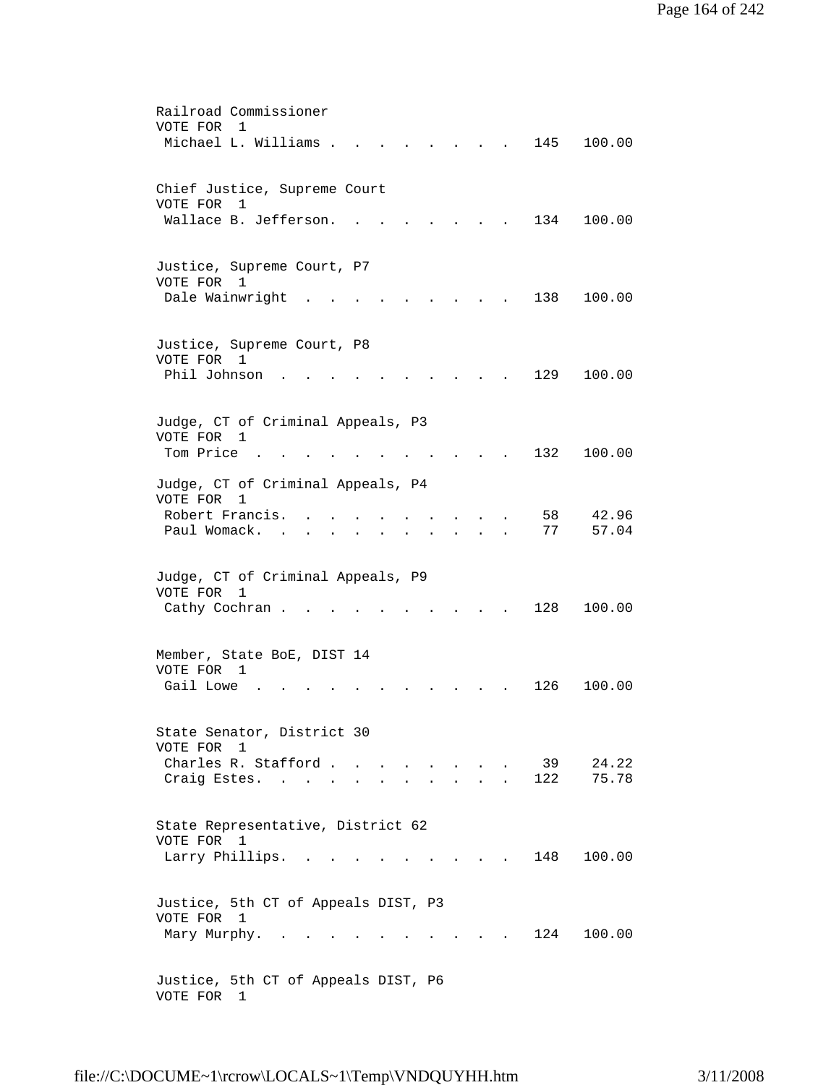| Railroad Commissioner<br>VOTE FOR<br>1                                                                                                   |
|------------------------------------------------------------------------------------------------------------------------------------------|
| Michael L. Williams .<br>145<br>100.00                                                                                                   |
| Chief Justice, Supreme Court                                                                                                             |
| VOTE FOR<br>1<br>Wallace B. Jefferson.<br>134<br>100.00                                                                                  |
|                                                                                                                                          |
| Justice, Supreme Court, P7<br>VOTE FOR 1                                                                                                 |
| Dale Wainwright<br>138<br>100.00                                                                                                         |
| Justice, Supreme Court, P8                                                                                                               |
| VOTE FOR 1                                                                                                                               |
| Phil Johnson<br>129<br>100.00                                                                                                            |
| Judge, CT of Criminal Appeals, P3                                                                                                        |
| VOTE FOR<br>1                                                                                                                            |
| Tom Price.<br>132<br>100.00                                                                                                              |
| Judge, CT of Criminal Appeals, P4                                                                                                        |
| VOTE FOR<br>1<br>Robert Francis.<br>42.96<br>58                                                                                          |
| 57.04<br>Paul Womack.<br>77                                                                                                              |
|                                                                                                                                          |
| Judge, CT of Criminal Appeals, P9                                                                                                        |
| VOTE FOR<br>1                                                                                                                            |
| Cathy Cochran.<br>128<br>100.00                                                                                                          |
| Member, State BoE, DIST 14                                                                                                               |
| VOTE FOR<br>1                                                                                                                            |
| Gail Lowe<br>126<br>100.00                                                                                                               |
| State Senator, District 30                                                                                                               |
| VOTE FOR 1                                                                                                                               |
| 24.22<br>Charles R. Stafford<br>39<br>$\mathbf{L} = \mathbf{L}$                                                                          |
| 75.78<br>Craig Estes. .<br>122<br>$\mathbf{L} = \mathbf{L} \mathbf{L}$                                                                   |
| State Representative, District 62                                                                                                        |
| VOTE FOR 1                                                                                                                               |
| 148<br>100.00<br>Larry Phillips.<br>$\mathbf{r}$ . The set of $\mathbf{r}$<br>$\ddot{\phantom{a}}$<br>$\sim$ $\sim$ $\sim$ $\sim$ $\sim$ |
| Justice, 5th CT of Appeals DIST, P3                                                                                                      |
| VOTE FOR 1                                                                                                                               |
| 124<br>100.00<br>Mary Murphy.                                                                                                            |
|                                                                                                                                          |
| Justice, 5th CT of Appeals DIST, P6<br>VOTE FOR 1                                                                                        |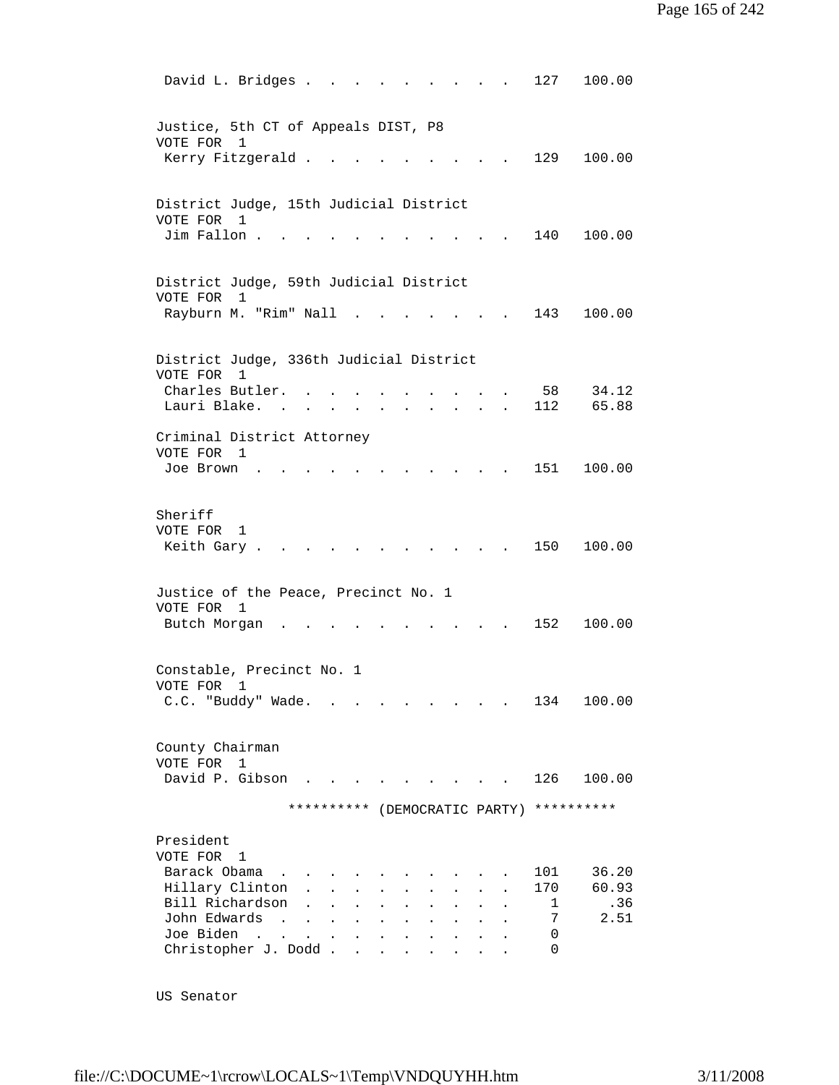David L. Bridges . . . . . . . . . 127 100.00 Justice, 5th CT of Appeals DIST, P8 VOTE FOR 1 Kerry Fitzgerald . . . . . . . . . 129 100.00 District Judge, 15th Judicial District VOTE FOR 1 Jim Fallon . . . . . . . . . . . 140 100.00 District Judge, 59th Judicial District VOTE FOR 1 Rayburn M. "Rim" Nall . . . . . . . 143 100.00 District Judge, 336th Judicial District VOTE FOR 1 Charles Butler. . . . . . . . . . 58 34.12 Lauri Blake. . . . . . . . . . . 112 65.88 Criminal District Attorney VOTE FOR 1 Joe Brown . . . . . . . . . . . 151 100.00 Sheriff VOTE FOR 1 Keith Gary . . . . . . . . . . . 150 100.00 Justice of the Peace, Precinct No. 1 VOTE FOR 1 Butch Morgan . . . . . . . . . . 152 100.00 Constable, Precinct No. 1 VOTE FOR 1 C.C. "Buddy" Wade. . . . . . . . . 134 100.00 County Chairman VOTE FOR 1 David P. Gibson . . . . . . . . . 126 100.00 \*\*\*\*\*\*\*\*\*\* (DEMOCRATIC PARTY) \*\*\*\*\*\*\*\*\*\* President VOTE FOR 1 Barack Obama . . . . . . . . . . . 101 36.20<br>Hillary Clinton . . . . . . . . . 170 60.93 Hillary Clinton . . . . . . . . . 170 60.93<br>
Bill Richardson . . . . . . . . . 1 .36<br>
John Edwards . . . . . . . . . . 7 2.51 Bill Richardson . . . . . . . John Edwards . . . . . . . . . . . Joe Biden . . . . . . . . . . . 0 Christopher J. Dodd . . . . . . . . 0

US Senator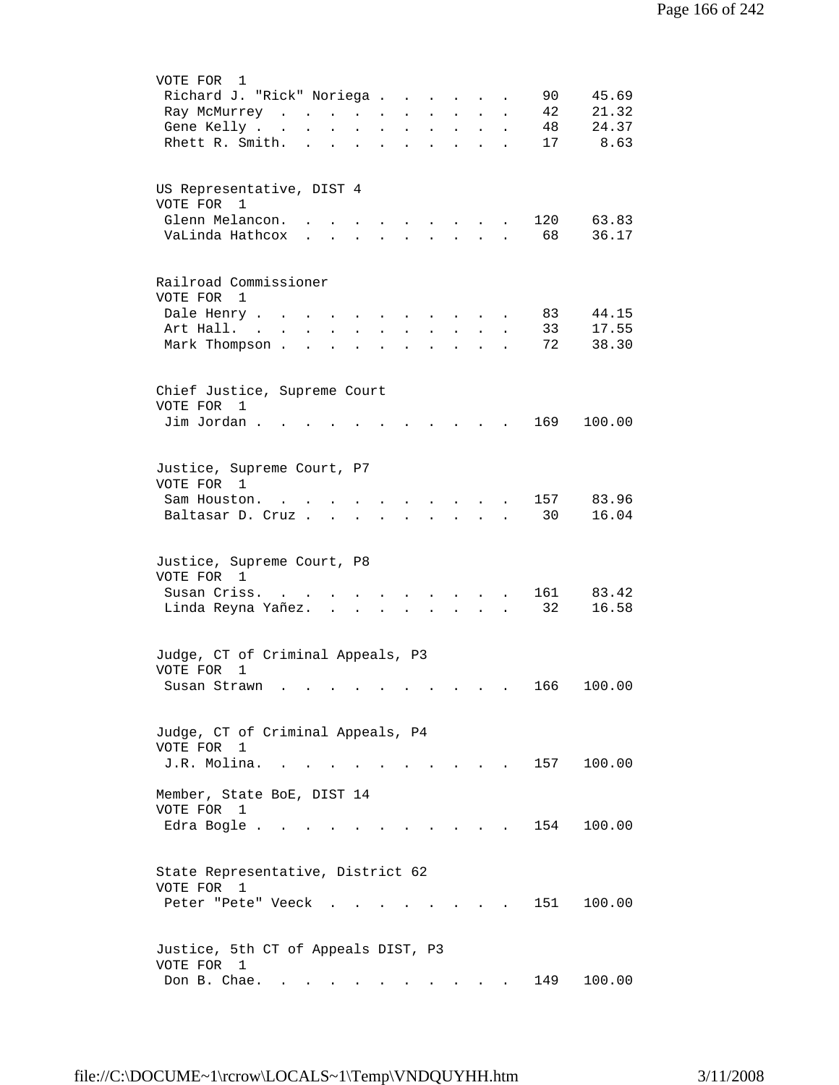| VOTE FOR<br>1                                                                                                                                                                                |
|----------------------------------------------------------------------------------------------------------------------------------------------------------------------------------------------|
| Richard J. "Rick" Noriega<br>90<br>45.69                                                                                                                                                     |
| 42<br>21.32<br>Ray McMurrey<br>$\mathbf{L} = \mathbf{L} \mathbf{L} + \mathbf{L} \mathbf{L}$<br>$\ddot{\phantom{0}}$                                                                          |
| 24.37<br>48<br>Gene Kelly<br>$\bullet$<br>$\mathcal{L}^{\text{max}}$<br>$\mathbf{L}^{\text{max}}$<br>$\ddot{\phantom{a}}$<br>$\mathbf{z} = \mathbf{z}$<br>$\bullet$<br>$\ddot{\phantom{0}}$  |
| 8.63<br>Rhett R. Smith.<br>17<br>$\ddot{\phantom{a}}$<br>$\ddot{\phantom{a}}$<br>$\bullet$<br>$\ddot{\phantom{a}}$<br>$\ddot{\phantom{a}}$<br>$\bullet$<br>$\ddot{\phantom{0}}$<br>$\bullet$ |
|                                                                                                                                                                                              |
|                                                                                                                                                                                              |
| US Representative, DIST 4                                                                                                                                                                    |
| VOTE FOR 1                                                                                                                                                                                   |
| Glenn Melancon.<br>120<br>63.83<br>$\sim$ $\sim$ $\sim$ $\sim$<br>$\ddot{\phantom{0}}$                                                                                                       |
| 68<br>VaLinda Hathcox<br>36.17<br>$\mathbf{L}$ $\mathbf{L}$<br>$\mathbf{r}$ and $\mathbf{r}$ and $\mathbf{r}$<br>$\ddot{\phantom{0}}$                                                        |
|                                                                                                                                                                                              |
|                                                                                                                                                                                              |
| Railroad Commissioner                                                                                                                                                                        |
| VOTE FOR 1                                                                                                                                                                                   |
| Dale Henry<br>44.15<br>83<br>$\ddot{\phantom{a}}$<br>$\ddot{\phantom{a}}$                                                                                                                    |
| 17.55<br>Art Hall. .<br>33<br>$\ddot{\phantom{0}}$                                                                                                                                           |
| 38.30<br>Mark Thompson .<br>72<br>$\ddot{\phantom{a}}$                                                                                                                                       |
|                                                                                                                                                                                              |
|                                                                                                                                                                                              |
| Chief Justice, Supreme Court                                                                                                                                                                 |
| VOTE FOR<br>1                                                                                                                                                                                |
| Jim Jordan.<br>169<br>100.00                                                                                                                                                                 |
|                                                                                                                                                                                              |
|                                                                                                                                                                                              |
| Justice, Supreme Court, P7                                                                                                                                                                   |
| VOTE FOR 1                                                                                                                                                                                   |
| 157<br>83.96<br>Sam Houston.                                                                                                                                                                 |
| $\sim$<br>30<br>16.04                                                                                                                                                                        |
| Baltasar D. Cruz<br>$\sim$ $\sim$ $\sim$                                                                                                                                                     |
|                                                                                                                                                                                              |
| Justice, Supreme Court, P8                                                                                                                                                                   |
| VOTE FOR 1                                                                                                                                                                                   |
| Susan Criss.<br>161<br>83.42                                                                                                                                                                 |
| 32                                                                                                                                                                                           |
| 16.58<br>Linda Reyna Yañez.<br>$\sim$                                                                                                                                                        |
|                                                                                                                                                                                              |
| Judge, CT of Criminal Appeals, P3                                                                                                                                                            |
| VOTE FOR<br>1                                                                                                                                                                                |
| 100.00<br>Susan Strawn<br>166                                                                                                                                                                |
|                                                                                                                                                                                              |
|                                                                                                                                                                                              |
| Judge, CT of Criminal Appeals, P4                                                                                                                                                            |
| VOTE FOR 1                                                                                                                                                                                   |
| J.R. Molina.<br>100.00<br>157                                                                                                                                                                |
|                                                                                                                                                                                              |
| Member, State BoE, DIST 14                                                                                                                                                                   |
| VOTE FOR 1                                                                                                                                                                                   |
| 154<br>100.00<br>Edra Bogle                                                                                                                                                                  |
|                                                                                                                                                                                              |
|                                                                                                                                                                                              |
| State Representative, District 62                                                                                                                                                            |
| VOTE FOR 1                                                                                                                                                                                   |
| 151<br>100.00<br>Peter "Pete" Veeck.                                                                                                                                                         |
|                                                                                                                                                                                              |
|                                                                                                                                                                                              |
| Justice, 5th CT of Appeals DIST, P3                                                                                                                                                          |
| VOTE FOR 1                                                                                                                                                                                   |
| Don B. Chae.<br>100.00<br>149                                                                                                                                                                |
| the contract of the contract of the<br>$\mathbf{r} = \mathbf{r} + \mathbf{r} + \mathbf{r}$ .<br>$\ddot{\phantom{0}}$                                                                         |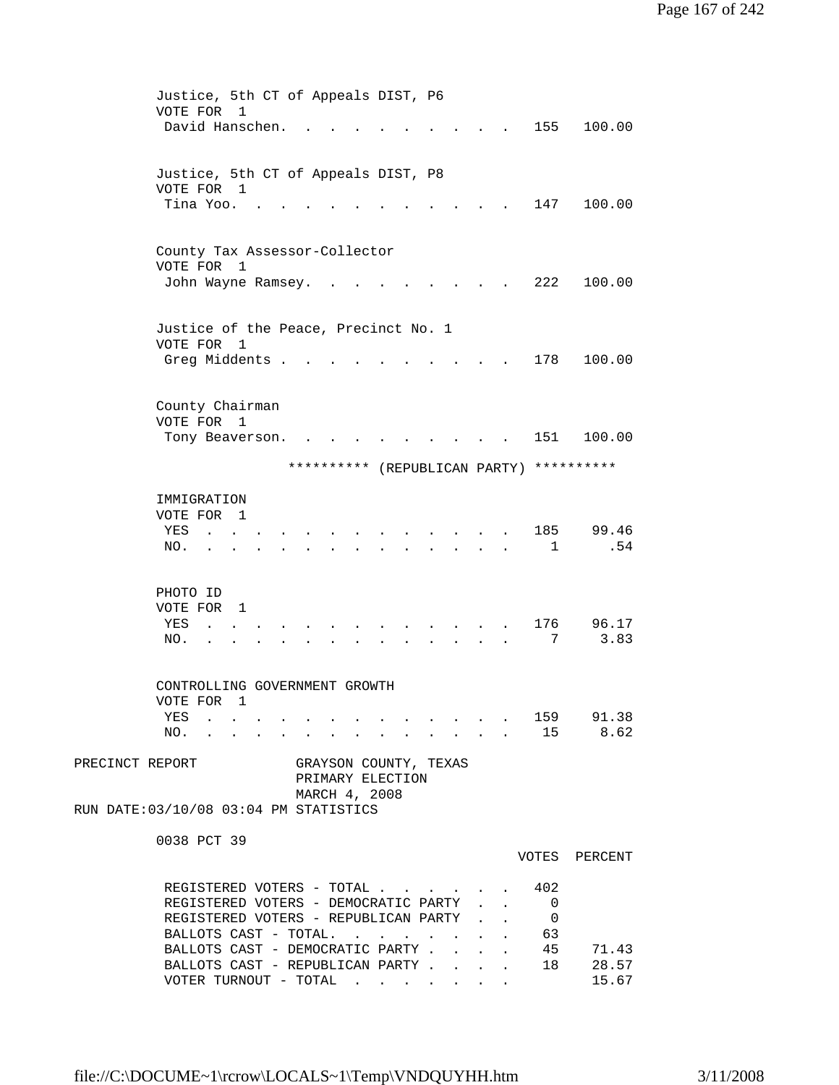|                 | Justice, 5th CT of Appeals DIST, P6                               |  |              |                                                         |
|-----------------|-------------------------------------------------------------------|--|--------------|---------------------------------------------------------|
|                 | VOTE FOR<br>1<br>David Hanschen.                                  |  |              | 155<br>100.00                                           |
|                 |                                                                   |  |              |                                                         |
|                 |                                                                   |  |              |                                                         |
|                 | Justice, 5th CT of Appeals DIST, P8<br>VOTE FOR 1                 |  |              |                                                         |
|                 | Tina Yoo. .                                                       |  |              | 147<br>100.00                                           |
|                 |                                                                   |  |              |                                                         |
|                 | County Tax Assessor-Collector                                     |  |              |                                                         |
|                 | VOTE FOR 1                                                        |  |              |                                                         |
|                 | John Wayne Ramsey.                                                |  |              | 222<br>100.00                                           |
|                 |                                                                   |  |              |                                                         |
|                 | Justice of the Peace, Precinct No. 1                              |  |              |                                                         |
|                 | VOTE FOR 1                                                        |  |              |                                                         |
|                 | Greg Middents .                                                   |  |              | 178<br>100.00                                           |
|                 |                                                                   |  |              |                                                         |
|                 | County Chairman                                                   |  |              |                                                         |
|                 | VOTE FOR 1                                                        |  |              |                                                         |
|                 | Tony Beaverson.                                                   |  |              | 100.00<br>151                                           |
|                 | ********** (REPUBLICAN PARTY)                                     |  |              | **********                                              |
|                 |                                                                   |  |              |                                                         |
|                 | IMMIGRATION<br>VOTE FOR 1                                         |  |              |                                                         |
|                 | YES                                                               |  |              | 185<br>99.46                                            |
|                 | NO.                                                               |  |              | .54<br>$\mathbf{1}$                                     |
|                 |                                                                   |  |              |                                                         |
|                 | PHOTO ID                                                          |  |              |                                                         |
|                 | VOTE FOR 1                                                        |  |              |                                                         |
|                 | YES<br>$\mathbf{L}$                                               |  |              | 176<br>96.17                                            |
|                 | NO.                                                               |  |              | 3.83<br>7                                               |
|                 |                                                                   |  |              |                                                         |
|                 | CONTROLLING GOVERNMENT GROWTH                                     |  |              |                                                         |
|                 | VOTE FOR 1<br>YES 159 91.38                                       |  |              |                                                         |
|                 | NO. 15 8.62                                                       |  |              |                                                         |
|                 |                                                                   |  |              |                                                         |
| PRECINCT REPORT | GRAYSON COUNTY, TEXAS<br>PRIMARY ELECTION                         |  |              |                                                         |
|                 | MARCH 4, 2008                                                     |  |              |                                                         |
|                 | RUN DATE: 03/10/08 03:04 PM STATISTICS                            |  |              |                                                         |
|                 | 0038 PCT 39                                                       |  |              |                                                         |
|                 |                                                                   |  |              | VOTES PERCENT                                           |
|                 |                                                                   |  |              |                                                         |
|                 | REGISTERED VOTERS - TOTAL<br>REGISTERED VOTERS - DEMOCRATIC PARTY |  |              | 402<br>$\mathbf{L} = \mathbf{L} \times \mathbf{R}$<br>0 |
|                 | REGISTERED VOTERS - REPUBLICAN PARTY .                            |  | $\mathbf{r}$ | $\mathbf{L}$<br>0                                       |
|                 | BALLOTS CAST - TOTAL.                                             |  |              | 63<br>$\mathbf{L}^{\text{max}}$                         |
|                 | BALLOTS CAST - DEMOCRATIC PARTY                                   |  | $\mathbf{L}$ | 45<br>71.43                                             |
|                 | BALLOTS CAST - REPUBLICAN PARTY<br>VOTER TURNOUT - TOTAL          |  |              | 28.57<br>18<br>15.67                                    |
|                 |                                                                   |  |              |                                                         |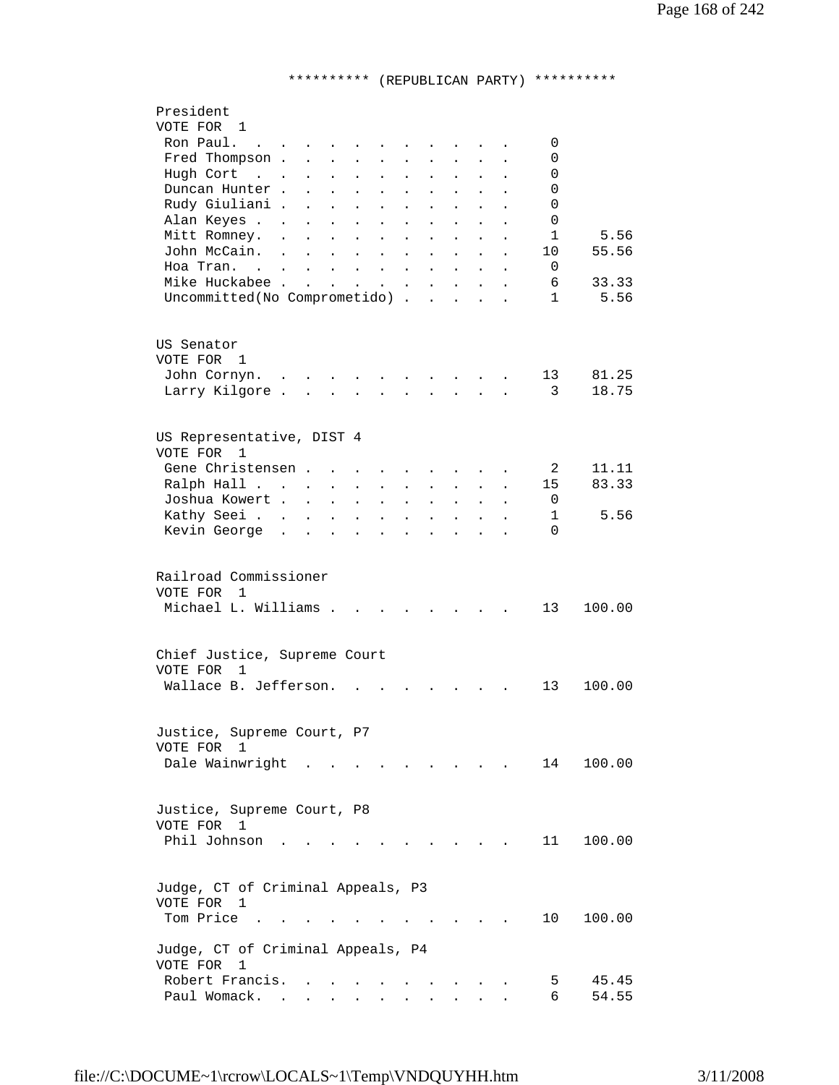## \*\*\*\*\*\*\*\*\*\* (REPUBLICAN PARTY) \*\*\*\*\*\*\*\*\*\*

| President                                                                                                                                                                                                                       |  |
|---------------------------------------------------------------------------------------------------------------------------------------------------------------------------------------------------------------------------------|--|
| VOTE FOR 1                                                                                                                                                                                                                      |  |
| Ron Paul.<br>0<br>$\sim$ $\sim$ $\sim$<br>$\sim$ $\sim$ $\sim$ $\sim$ $\sim$ $\sim$                                                                                                                                             |  |
| Fred Thompson<br>0<br>$\mathbf{L}$<br>$\sim 10^{-11}$<br>$\mathbf{z} = \mathbf{z}$<br>$\mathbf{L} = \mathbf{0}$                                                                                                                 |  |
| Hugh Cort<br>0<br>$\mathbf{r}$ , $\mathbf{r}$<br>$\bullet$<br>$\ddot{\phantom{0}}$<br>$\bullet$<br>$\bullet$<br>$\ddot{\phantom{0}}$<br>$\ddot{\phantom{0}}$<br>$\bullet$                                                       |  |
| Duncan Hunter.<br>0<br>$\ddot{\phantom{a}}$<br>$\ddot{\phantom{a}}$<br>$\bullet$<br>$\ddot{\phantom{a}}$<br>$\ddot{\phantom{0}}$<br>$\ddot{\phantom{0}}$<br>$\ddot{\phantom{a}}$                                                |  |
| Rudy Giuliani .<br>0<br>$\ddot{\phantom{a}}$<br>$\ddot{\phantom{0}}$<br>$\ddot{\phantom{a}}$                                                                                                                                    |  |
| Alan Keyes<br>0<br>$\ddot{\phantom{a}}$<br>$\ddot{\phantom{0}}$<br>$\ddot{\phantom{a}}$<br>$\ddot{\phantom{a}}$<br>$\ddot{\phantom{0}}$<br>$\ddot{\phantom{a}}$                                                                 |  |
| Mitt Romney.<br>5.56<br>1<br>$\sim$<br>$\ddot{\phantom{a}}$<br>$\ddot{\phantom{0}}$<br>$\ddot{\phantom{a}}$<br>$\ddot{\phantom{a}}$<br>$\ddot{\phantom{a}}$<br>$\ddot{\phantom{a}}$                                             |  |
| John McCain.<br>55.56<br>$\mathbf{r}$ , $\mathbf{r}$ , $\mathbf{r}$ , $\mathbf{r}$ , $\mathbf{r}$<br>10<br>$\ddot{\phantom{a}}$<br>$\ddot{\phantom{a}}$<br>$\ddot{\phantom{0}}$<br>$\ddot{\phantom{a}}$<br>$\ddot{\phantom{a}}$ |  |
| Hoa Tran.<br>0<br>$\mathbf{L}$                                                                                                                                                                                                  |  |
| Mike Huckabee<br>6<br>33.33<br>$\mathbf{L}$                                                                                                                                                                                     |  |
| 5.56<br>Uncommitted (No Comprometido)<br>$\mathbf{1}$                                                                                                                                                                           |  |
|                                                                                                                                                                                                                                 |  |
|                                                                                                                                                                                                                                 |  |
| US Senator                                                                                                                                                                                                                      |  |
| VOTE FOR 1                                                                                                                                                                                                                      |  |
| 81.25<br>John Cornyn.<br>13<br>$\mathcal{L}^{\text{max}}$ , and $\mathcal{L}^{\text{max}}$                                                                                                                                      |  |
| 3<br>18.75<br>Larry Kilgore<br>$\mathbf{L}$                                                                                                                                                                                     |  |
| $\mathbf{A}$<br>$\mathbf{r}$<br>$\mathbf{L}$<br>$\overline{a}$                                                                                                                                                                  |  |
|                                                                                                                                                                                                                                 |  |
|                                                                                                                                                                                                                                 |  |
| US Representative, DIST 4                                                                                                                                                                                                       |  |
| VOTE FOR<br>1                                                                                                                                                                                                                   |  |
| Gene Christensen<br>2<br>11.11                                                                                                                                                                                                  |  |
| 83.33<br>Ralph Hall<br>15<br>$\ddot{\phantom{a}}$<br>$\bullet$<br>$\sim 100$                                                                                                                                                    |  |
| Joshua Kowert<br>0<br>$\ddot{\phantom{a}}$<br>$\ddot{\phantom{a}}$<br>$\ddot{\phantom{0}}$<br>$\ddot{\phantom{0}}$<br>$\ddot{\phantom{a}}$                                                                                      |  |
| Kathy Seei<br>5.56<br>1<br>$\ddot{\phantom{0}}$<br>$\ddot{\phantom{0}}$<br>$\ddot{\phantom{a}}$<br>$\ddot{\phantom{a}}$<br>$\ddot{\phantom{a}}$                                                                                 |  |
| Kevin George<br>$\mathbf{r}$ , $\mathbf{r}$ , $\mathbf{r}$<br>$\Omega$<br>$\sim$<br>$\mathbf{r}$<br>$\sim$<br>$\ddot{\phantom{a}}$<br>$\ddot{\phantom{0}}$<br>$\overline{a}$                                                    |  |
|                                                                                                                                                                                                                                 |  |
|                                                                                                                                                                                                                                 |  |
| Railroad Commissioner                                                                                                                                                                                                           |  |
| VOTE FOR<br>$\mathbf{1}$                                                                                                                                                                                                        |  |
| Michael L. Williams<br>13<br>100.00                                                                                                                                                                                             |  |
|                                                                                                                                                                                                                                 |  |
|                                                                                                                                                                                                                                 |  |
| Chief Justice, Supreme Court                                                                                                                                                                                                    |  |
| VOTE FOR<br>1                                                                                                                                                                                                                   |  |
| Wallace B. Jefferson.<br>100.00<br>13                                                                                                                                                                                           |  |
|                                                                                                                                                                                                                                 |  |
|                                                                                                                                                                                                                                 |  |
| Justice, Supreme Court, P7                                                                                                                                                                                                      |  |
| VOTE FOR 1                                                                                                                                                                                                                      |  |
|                                                                                                                                                                                                                                 |  |
| Dale Wainwright<br>100.00<br>14<br>$\sim$ $\sim$ $\sim$ $\sim$ $\sim$                                                                                                                                                           |  |
|                                                                                                                                                                                                                                 |  |
|                                                                                                                                                                                                                                 |  |
| Justice, Supreme Court, P8                                                                                                                                                                                                      |  |
| VOTE FOR 1                                                                                                                                                                                                                      |  |
| Phil Johnson<br>100.00<br>11<br>and the state of the state of                                                                                                                                                                   |  |
|                                                                                                                                                                                                                                 |  |
|                                                                                                                                                                                                                                 |  |
| Judge, CT of Criminal Appeals, P3                                                                                                                                                                                               |  |
| VOTE FOR 1                                                                                                                                                                                                                      |  |
| Tom Price.<br>10<br>100.00                                                                                                                                                                                                      |  |
|                                                                                                                                                                                                                                 |  |
| Judge, CT of Criminal Appeals, P4                                                                                                                                                                                               |  |
| VOTE FOR<br>1                                                                                                                                                                                                                   |  |
| Robert Francis.<br>45.45<br>5                                                                                                                                                                                                   |  |
| Paul Womack.<br>6<br>54.55<br><b>Contract</b><br>$\mathbf{L}^{\text{max}}$<br>$\mathbf{z} = \mathbf{z} + \mathbf{z}$ .<br>$\ddot{\phantom{0}}$<br>$\mathbf{r} = \mathbf{r} \cdot \mathbf{r}$                                    |  |
|                                                                                                                                                                                                                                 |  |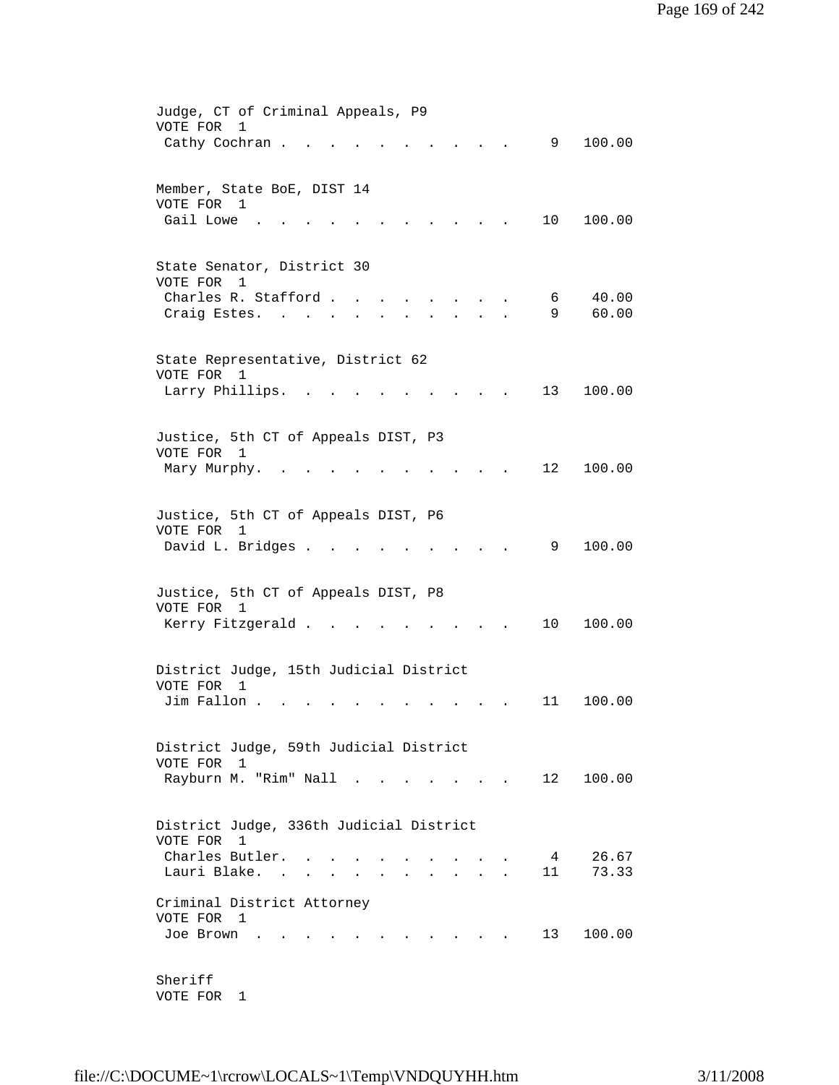| Judge, CT of Criminal Appeals, P9                                               |
|---------------------------------------------------------------------------------|
| VOTE FOR<br>$\mathbf{1}$                                                        |
| Cathy Cochran.<br>100.00<br>9                                                   |
|                                                                                 |
|                                                                                 |
| Member, State BoE, DIST 14                                                      |
| VOTE FOR 1                                                                      |
| Gail Lowe<br>10<br>100.00                                                       |
|                                                                                 |
|                                                                                 |
| State Senator, District 30                                                      |
| VOTE FOR<br>1                                                                   |
| 40.00<br>Charles R. Stafford.<br>6                                              |
| 9<br>60.00<br>Craig Estes. .                                                    |
|                                                                                 |
|                                                                                 |
| State Representative, District 62                                               |
| VOTE FOR<br>1                                                                   |
| Larry Phillips.<br>13<br>100.00                                                 |
|                                                                                 |
|                                                                                 |
| Justice, 5th CT of Appeals DIST, P3                                             |
| VOTE FOR<br>1                                                                   |
| 12<br>100.00<br>Mary Murphy.<br>$\sim$                                          |
|                                                                                 |
|                                                                                 |
| Justice, 5th CT of Appeals DIST, P6                                             |
| VOTE FOR<br>1                                                                   |
| David L. Bridges .<br>9<br>100.00                                               |
|                                                                                 |
|                                                                                 |
| Justice, 5th CT of Appeals DIST, P8                                             |
| VOTE FOR 1                                                                      |
| Kerry Fitzgerald<br>10<br>100.00                                                |
|                                                                                 |
|                                                                                 |
| District Judge, 15th Judicial District                                          |
| VOTE FOR<br>1                                                                   |
| Jim Fallon.<br>11<br>100.00                                                     |
|                                                                                 |
|                                                                                 |
| District Judge, 59th Judicial District                                          |
| VOTE FOR 1                                                                      |
| Rayburn M. "Rim" Nall<br>12<br>100.00<br>$\mathbf{r}$ . The set of $\mathbf{r}$ |
|                                                                                 |
|                                                                                 |
| District Judge, 336th Judicial District                                         |
| VOTE FOR<br>$\overline{1}$                                                      |
| Charles Butler.<br>26.67<br>$\overline{4}$                                      |
| Lauri Blake.<br>73.33<br>11                                                     |
|                                                                                 |
| Criminal District Attorney                                                      |
| VOTE FOR 1                                                                      |
| 13<br>100.00<br>Joe Brown                                                       |
|                                                                                 |
|                                                                                 |
| Sheriff                                                                         |
| VOTE FOR<br>1                                                                   |
|                                                                                 |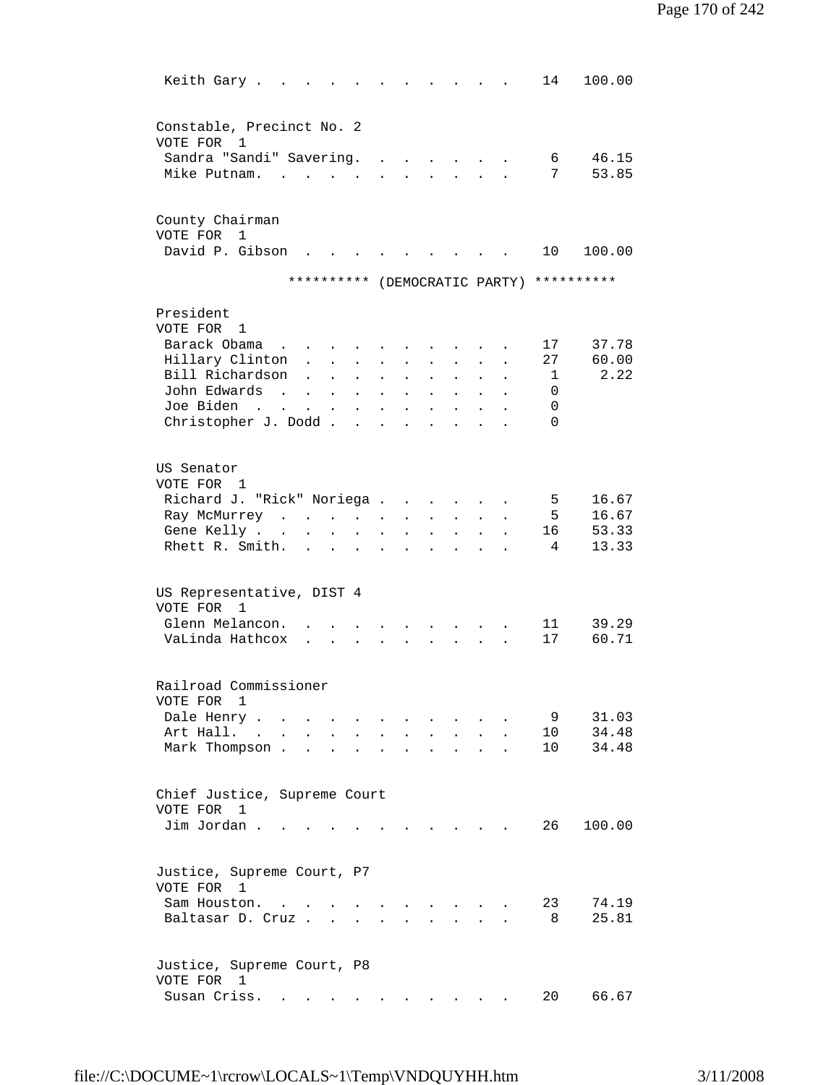| Keith Gary.                                                    |                                                                          |                      |                                            |                           |                        |                                                             |                           |                      | 14                    | 100.00                        |  |
|----------------------------------------------------------------|--------------------------------------------------------------------------|----------------------|--------------------------------------------|---------------------------|------------------------|-------------------------------------------------------------|---------------------------|----------------------|-----------------------|-------------------------------|--|
| Constable, Precinct No. 2<br>VOTE FOR 1                        |                                                                          |                      |                                            |                           |                        |                                                             |                           |                      |                       |                               |  |
| Sandra "Sandi" Savering.<br>Mike Putnam.                       |                                                                          |                      | $\mathbf{L} = \mathbf{L} \mathbf{L}$       |                           | <b>All Cards</b>       |                                                             |                           |                      | 6<br>7                | 46.15<br>53.85                |  |
| County Chairman<br>VOTE FOR<br>$\mathbf{1}$<br>David P. Gibson | $\mathbf{L}$                                                             |                      |                                            |                           |                        |                                                             |                           |                      | 10                    | 100.00                        |  |
|                                                                | **********                                                               |                      |                                            |                           |                        |                                                             |                           |                      |                       | (DEMOCRATIC PARTY) ********** |  |
|                                                                |                                                                          |                      |                                            |                           |                        |                                                             |                           |                      |                       |                               |  |
| President<br>VOTE FOR 1<br>Barack Obama                        |                                                                          |                      |                                            |                           |                        |                                                             |                           |                      | 17                    | 37.78                         |  |
| Hillary Clinton                                                |                                                                          |                      | $\mathbf{r} = \mathbf{r} \cdot \mathbf{r}$ | $\sim$                    | $\mathbf{L}$           | $\mathcal{L}^{\text{max}}$                                  | $\mathbf{L}$              | $\mathbf{L}$         | 27                    | 60.00                         |  |
| Bill Richardson                                                | $\mathbf{L}$                                                             |                      | $\mathbf{L} = \mathbf{L} \mathbf{L}$       | $\ddot{\phantom{0}}$      | $\bullet$              | $\sim$ $\sim$                                               |                           |                      | -1                    | 2.22                          |  |
| John Edwards                                                   | $\mathbf{r}$ , $\mathbf{r}$ , $\mathbf{r}$ , $\mathbf{r}$ , $\mathbf{r}$ |                      |                                            | $\mathbf{L}^{\text{max}}$ | $\bullet$              | $\blacksquare$                                              |                           |                      | $\Omega$              |                               |  |
| Joe Biden                                                      |                                                                          |                      |                                            |                           |                        |                                                             | $\ddot{\phantom{0}}$      | $\ddot{\phantom{0}}$ | 0                     |                               |  |
| Christopher J. Dodd                                            |                                                                          |                      |                                            | $\mathbf{a} = \mathbf{b}$ | $\bullet$<br>$\bullet$ | $\bullet$<br>$\ddot{\phantom{a}}$                           | $\ddot{\phantom{0}}$      | $\bullet$            | $\Omega$              |                               |  |
|                                                                |                                                                          |                      |                                            |                           |                        |                                                             |                           |                      |                       |                               |  |
| US Senator<br>VOTE FOR 1                                       |                                                                          |                      |                                            |                           |                        |                                                             |                           |                      |                       |                               |  |
| Richard J. "Rick" Noriega                                      |                                                                          |                      |                                            |                           |                        |                                                             |                           |                      | 5                     | 16.67                         |  |
| Ray McMurrey                                                   |                                                                          |                      |                                            |                           |                        | <b>All Carl Adams</b>                                       |                           | $\mathbf{L}$         | 5                     | 16.67                         |  |
| Gene Kelly                                                     |                                                                          |                      | $\bullet$                                  | $\bullet$                 | $\bullet$              | $\bullet$ .<br><br><br><br><br><br><br><br><br><br><br><br> | $\mathbf{L} = \mathbf{0}$ | $\bullet$            | 16 —                  | 53.33                         |  |
| Rhett R. Smith.                                                |                                                                          |                      |                                            |                           | $\bullet$              | $\bullet$                                                   | $\mathbf{L} = \mathbf{0}$ | $\bullet$            | 4                     | 13.33                         |  |
| US Representative, DIST 4<br>VOTE FOR 1                        |                                                                          |                      |                                            |                           |                        |                                                             |                           |                      |                       |                               |  |
| Glenn Melancon.                                                |                                                                          |                      |                                            |                           |                        |                                                             |                           |                      | 11                    | 39.29                         |  |
| VaLinda Hathcox                                                | $\mathbf{r}$                                                             |                      |                                            |                           |                        |                                                             |                           |                      | 17                    | 60.71                         |  |
| Railroad Commissioner                                          |                                                                          |                      |                                            |                           |                        |                                                             |                           |                      |                       |                               |  |
| VOTE FOR<br>1                                                  |                                                                          |                      |                                            |                           |                        |                                                             |                           |                      |                       |                               |  |
| Dale Henry<br>Art Hall. .                                      |                                                                          |                      |                                            |                           |                        |                                                             |                           |                      | 9                     | 31.03<br>34.48                |  |
| $\ddot{\phantom{a}}$                                           |                                                                          |                      |                                            |                           |                        |                                                             |                           |                      | 10<br>10 <sup>°</sup> | 34.48                         |  |
| Mark Thompson.                                                 |                                                                          |                      |                                            |                           |                        |                                                             |                           |                      |                       |                               |  |
| Chief Justice, Supreme Court<br>VOTE FOR 1                     |                                                                          |                      |                                            |                           |                        |                                                             |                           |                      |                       |                               |  |
| Jim Jordan.                                                    |                                                                          |                      |                                            |                           |                        |                                                             |                           |                      | 26                    | 100.00                        |  |
| Justice, Supreme Court, P7                                     |                                                                          |                      |                                            |                           |                        |                                                             |                           |                      |                       |                               |  |
| VOTE FOR 1<br>Sam Houston.                                     |                                                                          |                      |                                            |                           |                        | $\cdot$                                                     |                           |                      | 23                    | 74.19                         |  |
| Baltasar D. Cruz.                                              |                                                                          | $\sim$ $\sim$ $\sim$ |                                            |                           |                        |                                                             |                           |                      | 8                     | 25.81                         |  |
| Justice, Supreme Court, P8<br>VOTE FOR 1<br>Susan Criss.       |                                                                          |                      |                                            |                           |                        |                                                             |                           |                      | 20                    | 66.67                         |  |
|                                                                |                                                                          |                      |                                            |                           |                        |                                                             |                           |                      |                       |                               |  |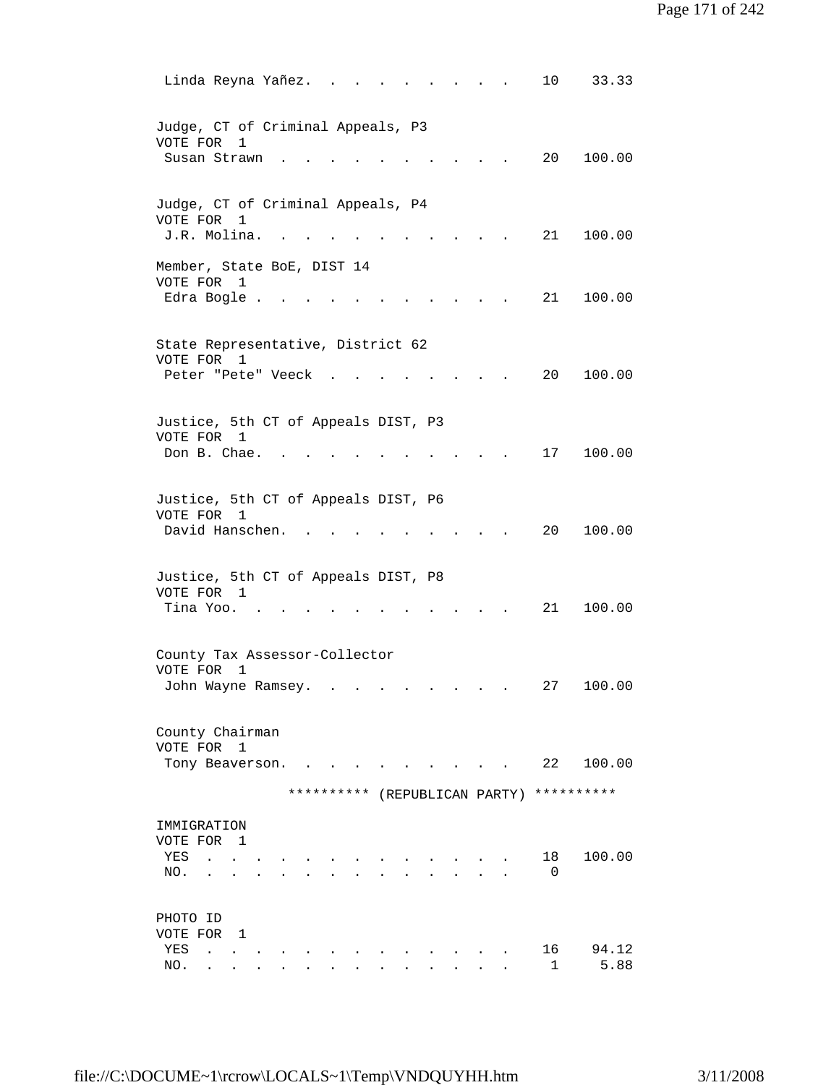|                                                              | Linda Reyna Yañez.                                       |                               |                      | 10                | 33.33         |  |
|--------------------------------------------------------------|----------------------------------------------------------|-------------------------------|----------------------|-------------------|---------------|--|
| VOTE FOR<br>Susan Strawn                                     | Judge, CT of Criminal Appeals, P3<br>1                   |                               | $\ddot{\phantom{0}}$ | 20                | 100.00        |  |
| VOTE FOR<br>J.R. Molina.                                     | Judge, CT of Criminal Appeals, P4<br>1                   |                               |                      | 21                | 100.00        |  |
| VOTE FOR 1                                                   | Member, State BoE, DIST 14<br>Edra Bogle                 |                               |                      | 21                | 100.00        |  |
| VOTE FOR 1                                                   | State Representative, District 62                        |                               |                      |                   |               |  |
|                                                              | Peter "Pete" Veeck                                       |                               |                      | 20                | 100.00        |  |
| VOTE FOR 1<br>Don B. Chae.                                   | Justice, 5th CT of Appeals DIST, P3                      |                               |                      | 17                | 100.00        |  |
| VOTE FOR 1                                                   | Justice, 5th CT of Appeals DIST, P6<br>David Hanschen.   |                               |                      | 20                | 100.00        |  |
| VOTE FOR<br>Tina Yoo. .                                      | Justice, 5th CT of Appeals DIST, P8<br>1                 |                               |                      | 21 —              | 100.00        |  |
| VOTE FOR                                                     | County Tax Assessor-Collector<br>1<br>John Wayne Ramsey. | $\bullet$                     |                      | 27                | 100.00        |  |
| County Chairman<br>VOTE FOR                                  | $\mathbf{1}$<br>Tony Beaverson.                          |                               |                      | 22                | 100.00        |  |
|                                                              |                                                          | ********** (REPUBLICAN PARTY) |                      |                   | **********    |  |
| IMMIGRATION<br>VOTE FOR 1<br>YES<br>NO.<br>$\bullet$         | $\mathbf{z} = \mathbf{z} + \mathbf{z}$                   |                               |                      | 18<br>$\Omega$    | 100.00        |  |
| PHOTO ID<br>VOTE FOR 1<br>YES<br>$\ddot{\phantom{a}}$<br>NO. |                                                          |                               |                      | 16<br>$\mathbf 1$ | 94.12<br>5.88 |  |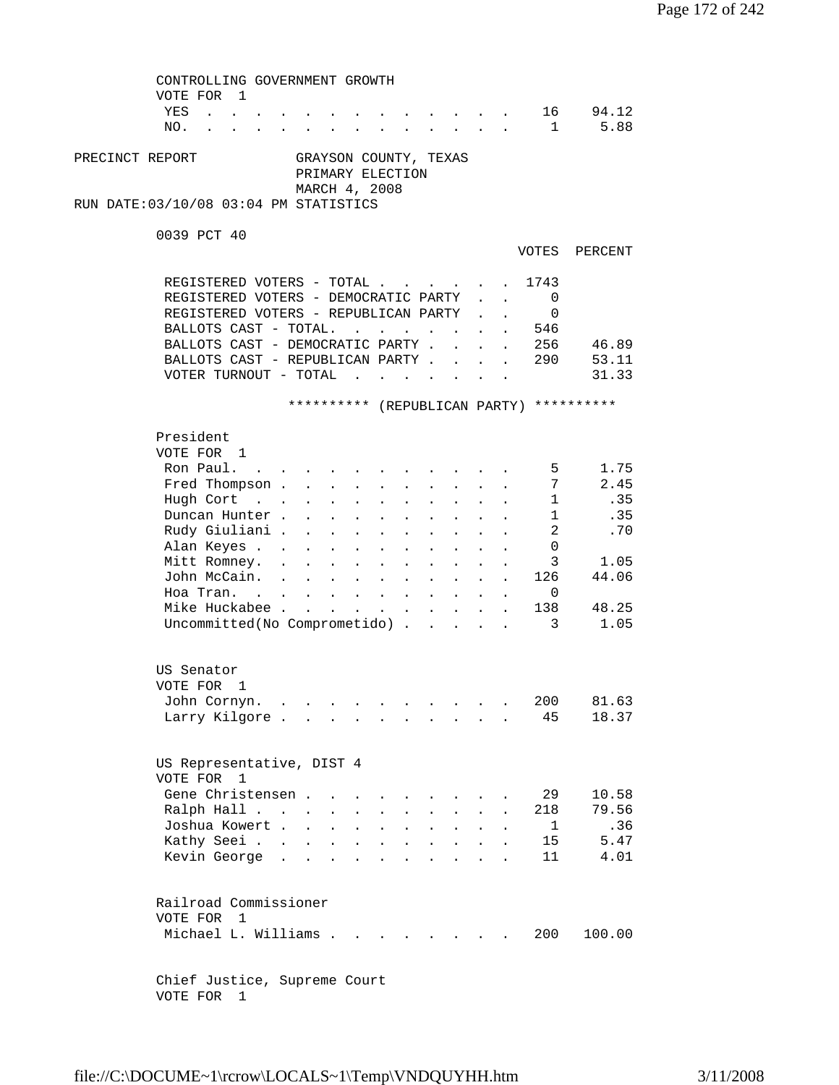CONTROLLING GOVERNMENT GROWTH VOTE FOR 1 YES . . . . . . . . . . . . . 16 94.12 NO. . . . . . . . . . . . . . . 1 5.88 PRECINCT REPORT GRAYSON COUNTY, TEXAS PRIMARY ELECTION MARCH 4, 2008 RUN DATE:03/10/08 03:04 PM STATISTICS 0039 PCT 40 VOTES PERCENT REGISTERED VOTERS - TOTAL . . . . . 1743 REGISTERED VOTERS - DEMOCRATIC PARTY . . 0 REGISTERED VOTERS - REPUBLICAN PARTY . . 0 BALLOTS CAST - TOTAL. . . . . . . . 546 BALLOTS CAST - DEMOCRATIC PARTY . . . . 256 46.89 BALLOTS CAST - REPUBLICAN PARTY . . . . 290 53.11 VOTER TURNOUT - TOTAL . . . . . . . . 31.33 \*\*\*\*\*\*\*\*\*\* (REPUBLICAN PARTY) \*\*\*\*\*\*\*\*\*\* President VOTE FOR 1 Ron Paul. . . . . . . . . . . . . 5 1.75<br>Fred Thompson . . . . . . . . . . 7 2.45 Fred Thompson . . . . . . . . . . . 7 2.45<br>Hugh Cort . . . . . . . . . . . 1 .35 Hugh Cort . . . . . . . . . . . 1 .35 Duncan Hunter . . . . . . . . . . . 1 . 35 Rudy Giuliani . . . . . . . . . . . 2 .70<br>Alan Keyes . . . . . . . . . . . 0<br>Mitt Romney. . . . . . . . . . . 3 1.05 Alan Keyes . . . . . . . . . . . . . Mitt Romney. . . . . . . . . . . . 3 1.05<br>John McCain. . . . . . . . . . 126 44.06 John McCain. . . . Hoa Tran. . . . . . . . . . . . 0<br>Mike Huckabee . . . . . . . . . . 138 . . . . . . . 138 48.25 Uncommitted(No Comprometido) . . . . . 3 1.05 US Senator VOTE FOR 1 John Cornyn. . . . . . . . . . . 200 81.63 Larry Kilgore . . . . . . . . . . 45 18.37 US Representative, DIST 4 VOTE FOR 1 Gene Christensen . . . . . . . . . 29 10.58<br>Ralph Hall . . . . . . . . . . . 218 79.56 Ralph Hall . . . . . . . . . . . 218 79.56<br>Joshua Kowert . . . . . . . . . . 1 .36 Joshua Kowert . . . . . . . . . . . Kathy Seei . . . . . . . . . . . 15 5.47<br>Kevin George . . . . . . . . . . 11 4.01 Kevin George . . . . . . . . . . . Railroad Commissioner VOTE FOR 1 Michael L. Williams . . . . . . . . 200 100.00 Chief Justice, Supreme Court

VOTE FOR 1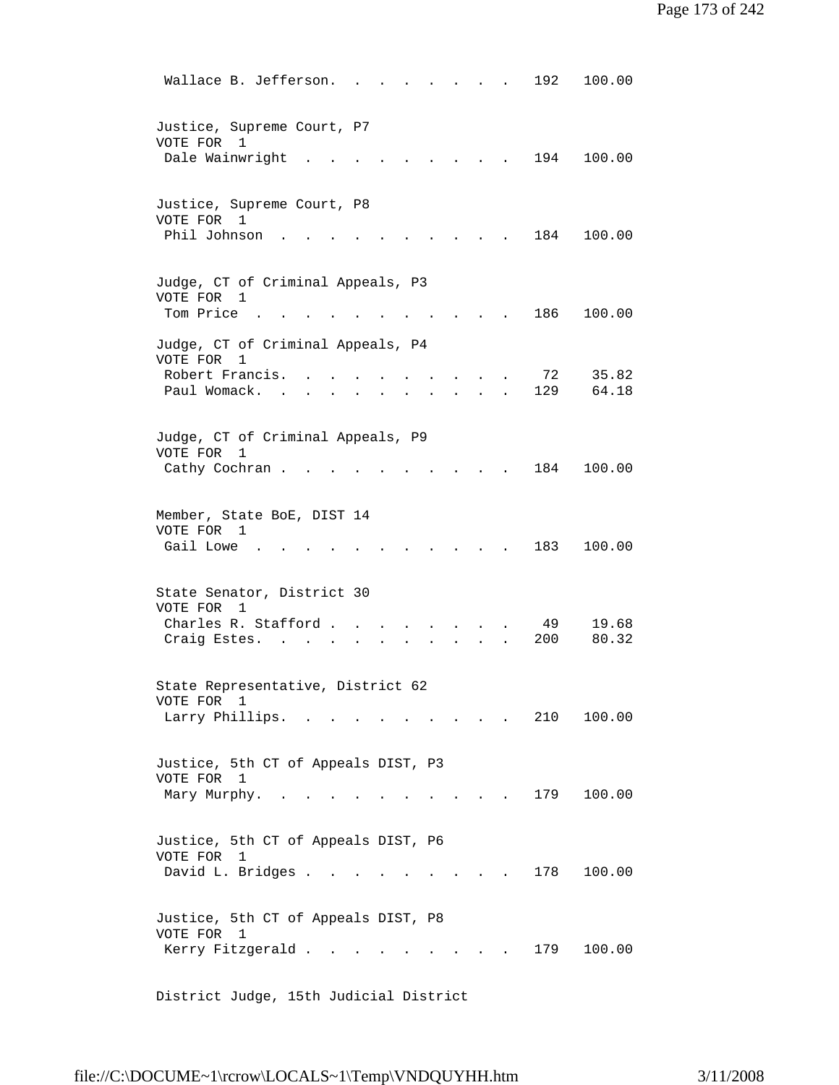Wallace B. Jefferson. . . . . . . . 192 100.00 Justice, Supreme Court, P7 VOTE FOR 1 Dale Wainwright . . . . . . . . . 194 100.00 Justice, Supreme Court, P8 VOTE FOR 1 Phil Johnson . . . . . . . . . . 184 100.00 Judge, CT of Criminal Appeals, P3 VOTE FOR 1 Tom Price . . . . . . . . . . . 186 100.00 Judge, CT of Criminal Appeals, P4 VOTE FOR 1 Robert Francis. . . . . . . . . . 72 35.82 Paul Womack. . . . . . . . . . . 129 64.18 Judge, CT of Criminal Appeals, P9 VOTE FOR 1 Cathy Cochran . . . . . . . . . . 184 100.00 Member, State BoE, DIST 14 VOTE FOR 1 Gail Lowe . . . . . . . . . . . 183 100.00 State Senator, District 30 VOTE FOR 1 Charles R. Stafford . . . . . . . . 49 19.68 Craig Estes. . . . . . . . . . . 200 80.32 State Representative, District 62 VOTE FOR 1 Larry Phillips. . . . . . . . . . 210 100.00 Justice, 5th CT of Appeals DIST, P3 VOTE FOR 1 Mary Murphy. . . . . . . . . . . 179 100.00 Justice, 5th CT of Appeals DIST, P6 VOTE FOR 1 David L. Bridges . . . . . . . . . 178 100.00 Justice, 5th CT of Appeals DIST, P8 VOTE FOR 1 Kerry Fitzgerald . . . . . . . . . 179 100.00

District Judge, 15th Judicial District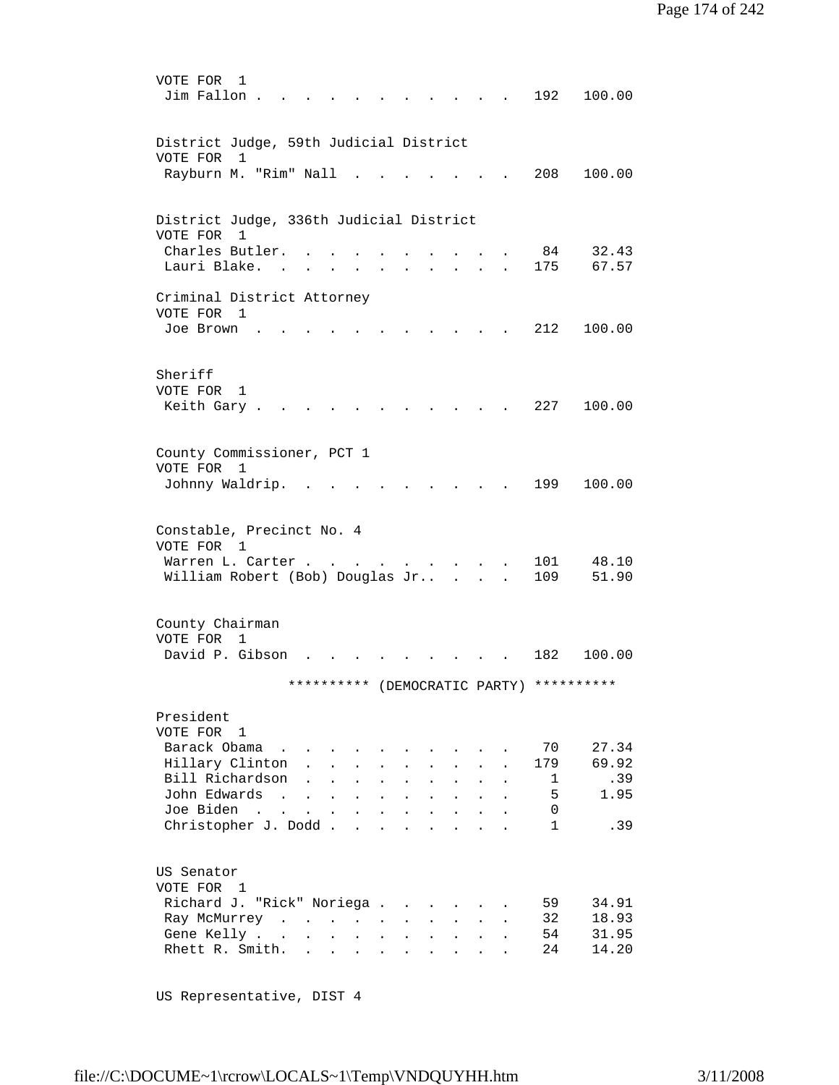```
 VOTE FOR 1 
         Jim Fallon . . . . . . . . . . . 192 100.00
         District Judge, 59th Judicial District 
         VOTE FOR 1 
         Rayburn M. "Rim" Nall . . . . . . . 208 100.00
         District Judge, 336th Judicial District 
         VOTE FOR 1 
         Charles Butler. . . . . . . . . . 84 32.43
         Lauri Blake. . . . . . . . . . . 175 67.57
         Criminal District Attorney 
         VOTE FOR 1 
          Joe Brown . . . . . . . . . . . 212 100.00 
         Sheriff 
         VOTE FOR 1 
         Keith Gary . . . . . . . . . . . 227 100.00
         County Commissioner, PCT 1 
         VOTE FOR 1 
          Johnny Waldrip. . . . . . . . . . 199 100.00 
         Constable, Precinct No. 4 
         VOTE FOR 1 
 Warren L. Carter . . . . . . . . . 101 48.10 
 William Robert (Bob) Douglas Jr.. . . . 109 51.90 
         County Chairman 
         VOTE FOR 1 
         David P. Gibson . . . . . . . . . 182 100.00
                       ********** (DEMOCRATIC PARTY) ********** 
         President 
         VOTE FOR 1 
         Barack Obama . . . . . . . . . . 70 27.34
         Hillary Clinton . . . . . . . . . 179 69.92<br>Bill Richardson . . . . . . . . . 1 .39
         Bill Richardson . . . . . . . . . . 1<br>John Edwards . . . . . . . . . . . 5
         John Edwards . . . . . . . . . . . 5 1.95<br>Joe Biden . . . . . . . . . . . 0
         Joe Biden . . . . . . . . . . .
         Christopher J. Dodd . . . . . . . . . 1 .39
         US Senator 
         VOTE FOR 1 
 Richard J. "Rick" Noriega . . . . . . 59 34.91 
 Ray McMurrey . . . . . . . . . . 32 18.93 
 Gene Kelly . . . . . . . . . . . 54 31.95 
         Rhett R. Smith. . . . . . . . . . 24 14.20
```
US Representative, DIST 4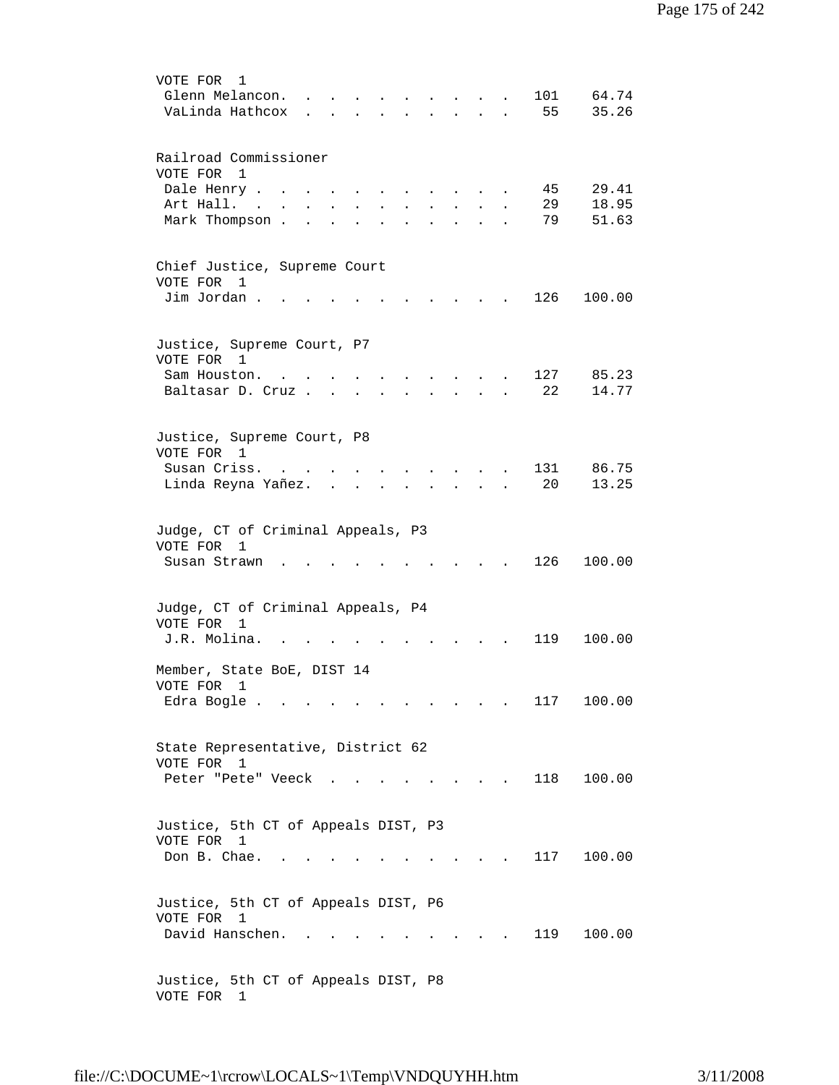| VOTE FOR<br>1<br>101<br>64.74<br>Glenn Melancon.<br>VaLinda Hathcox<br>55<br>35.26<br>$\mathbf{r}$ , $\mathbf{r}$ , $\mathbf{r}$<br>$\mathbf{r}$<br>$\mathbf{r}$                                               |  |
|----------------------------------------------------------------------------------------------------------------------------------------------------------------------------------------------------------------|--|
| Railroad Commissioner<br>VOTE FOR 1<br>Dale Henry .<br>29.41<br>45<br>18.95<br>29<br>Art Hall.<br>$\sim$<br>Mark Thompson.<br>79<br>51.63<br>$\ddot{\phantom{0}}$<br>$\overline{a}$<br>$\mathbf{r}$            |  |
| Chief Justice, Supreme Court<br>VOTE FOR<br>- 1<br>Jim Jordan.<br>126<br>100.00                                                                                                                                |  |
| Justice, Supreme Court, P7<br>VOTE FOR 1<br>127<br>85.23<br>Sam Houston.<br>$\sim$ $\sim$ $\sim$ $\sim$<br>Baltasar D. Cruz<br>22<br>14.77<br><b>All Cards</b><br>$\ddot{\phantom{0}}$<br>$\ddot{\phantom{0}}$ |  |
| Justice, Supreme Court, P8<br>VOTE FOR 1<br>131<br>86.75<br>Susan Criss.<br>20<br>13.25<br>Linda Reyna Yañez.                                                                                                  |  |
| Judge, CT of Criminal Appeals, P3<br>VOTE FOR<br>1<br>126<br>100.00<br>Susan Strawn                                                                                                                            |  |
| Judge, CT of Criminal Appeals, P4<br>VOTE FOR<br>1<br>J.R. Molina.<br>119<br>100.00                                                                                                                            |  |
| Member, State BoE, DIST 14<br>VOTE FOR<br>1<br>117<br>100.00<br>Edra Bogle                                                                                                                                     |  |
| State Representative, District 62<br>VOTE FOR 1<br>118<br>100.00<br>Peter "Pete" Veeck.<br>$\sim$ $\sim$ $\sim$ $\sim$                                                                                         |  |
| Justice, 5th CT of Appeals DIST, P3<br>VOTE FOR<br>1<br>117<br>Don B. Chae.<br>100.00                                                                                                                          |  |
| Justice, 5th CT of Appeals DIST, P6<br>VOTE FOR 1<br>David Hanschen.<br>119<br>100.00                                                                                                                          |  |
| Justice, 5th CT of Appeals DIST, P8<br>VOTE FOR 1                                                                                                                                                              |  |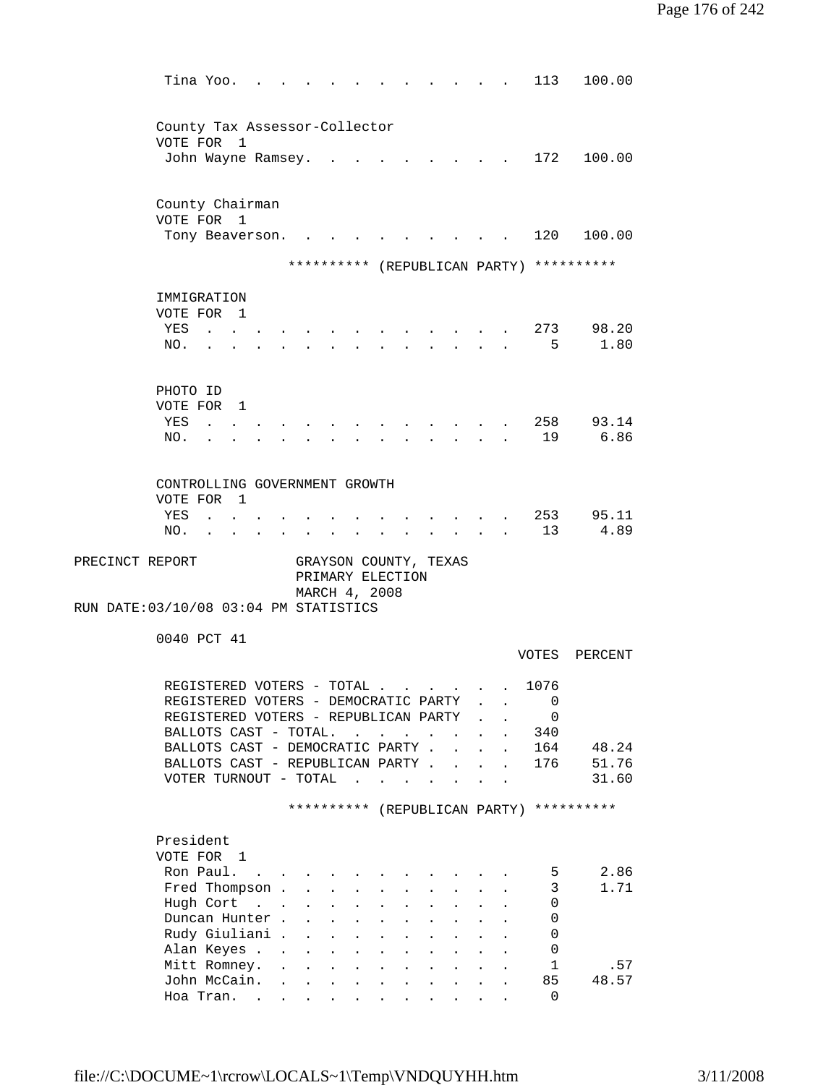| Tina Yoo.                                                                           |                                     |                                                                                                                                       |                                                                  |                                                                                 |                         |                           |                                      | 113                | 100.00            |
|-------------------------------------------------------------------------------------|-------------------------------------|---------------------------------------------------------------------------------------------------------------------------------------|------------------------------------------------------------------|---------------------------------------------------------------------------------|-------------------------|---------------------------|--------------------------------------|--------------------|-------------------|
| County Tax Assessor-Collector                                                       |                                     |                                                                                                                                       |                                                                  |                                                                                 |                         |                           |                                      |                    |                   |
| VOTE FOR 1<br>John Wayne Ramsey.                                                    |                                     |                                                                                                                                       |                                                                  |                                                                                 |                         |                           |                                      | 172                | 100.00            |
|                                                                                     |                                     |                                                                                                                                       |                                                                  |                                                                                 |                         |                           |                                      |                    |                   |
| County Chairman                                                                     |                                     |                                                                                                                                       |                                                                  |                                                                                 |                         |                           |                                      |                    |                   |
| VOTE FOR 1<br>Tony Beaverson.                                                       |                                     |                                                                                                                                       |                                                                  |                                                                                 |                         |                           |                                      | 120                | 100.00            |
|                                                                                     |                                     |                                                                                                                                       |                                                                  |                                                                                 |                         |                           |                                      |                    |                   |
|                                                                                     |                                     | ********** (REPUBLICAN PARTY) **********                                                                                              |                                                                  |                                                                                 |                         |                           |                                      |                    |                   |
| IMMIGRATION                                                                         |                                     |                                                                                                                                       |                                                                  |                                                                                 |                         |                           |                                      |                    |                   |
| VOTE FOR 1                                                                          |                                     |                                                                                                                                       |                                                                  |                                                                                 |                         |                           |                                      |                    |                   |
| YES<br>$\mathbf{r}$ , $\mathbf{r}$ , $\mathbf{r}$<br>NO.                            |                                     |                                                                                                                                       |                                                                  | the contract of the contract of the contract of the contract of the contract of |                         |                           |                                      | 5                  | 273 98.20<br>1.80 |
|                                                                                     |                                     |                                                                                                                                       |                                                                  |                                                                                 |                         |                           |                                      |                    |                   |
| PHOTO ID                                                                            |                                     |                                                                                                                                       |                                                                  |                                                                                 |                         |                           |                                      |                    |                   |
| VOTE FOR 1                                                                          |                                     |                                                                                                                                       |                                                                  |                                                                                 |                         |                           |                                      |                    |                   |
| YES<br><b>Contract Contract</b>                                                     |                                     |                                                                                                                                       |                                                                  |                                                                                 |                         |                           |                                      | 258                | 93.14             |
| NO.                                                                                 |                                     |                                                                                                                                       |                                                                  |                                                                                 |                         |                           |                                      | 19                 | 6.86              |
| CONTROLLING GOVERNMENT GROWTH                                                       |                                     |                                                                                                                                       |                                                                  |                                                                                 |                         |                           |                                      |                    |                   |
| VOTE FOR 1                                                                          |                                     |                                                                                                                                       |                                                                  |                                                                                 |                         |                           |                                      |                    |                   |
| YES<br>$\mathbf{z} = \mathbf{z} + \mathbf{z}$ , where $\mathbf{z}$                  |                                     |                                                                                                                                       |                                                                  |                                                                                 |                         |                           |                                      | 253                | 95.11             |
| NO.<br>$\mathbf{L}^{\text{max}}$ and $\mathbf{L}^{\text{max}}$<br><b>Contractor</b> |                                     | $\ddot{\phantom{0}}$                                                                                                                  |                                                                  |                                                                                 |                         |                           |                                      | 13 <sup>°</sup>    | 4.89              |
| PRECINCT REPORT<br>RUN DATE: 03/10/08 03:04 PM STATISTICS                           |                                     | GRAYSON COUNTY, TEXAS<br>PRIMARY ELECTION<br>MARCH 4, 2008                                                                            |                                                                  |                                                                                 |                         |                           |                                      |                    |                   |
| 0040 PCT 41                                                                         |                                     |                                                                                                                                       |                                                                  |                                                                                 |                         |                           |                                      |                    |                   |
|                                                                                     |                                     |                                                                                                                                       |                                                                  |                                                                                 |                         |                           |                                      | VOTES              | PERCENT           |
| REGISTERED VOTERS - TOTAL                                                           |                                     |                                                                                                                                       |                                                                  |                                                                                 |                         |                           |                                      | 1076               |                   |
| REGISTERED VOTERS - DEMOCRATIC PARTY                                                |                                     |                                                                                                                                       |                                                                  |                                                                                 |                         |                           |                                      | 0                  |                   |
| REGISTERED VOTERS - REPUBLICAN PARTY                                                |                                     |                                                                                                                                       |                                                                  |                                                                                 |                         |                           |                                      | 0                  |                   |
| BALLOTS CAST - TOTAL.                                                               |                                     |                                                                                                                                       | $\mathbf{r} = \mathbf{r} + \mathbf{r} + \mathbf{r} + \mathbf{r}$ |                                                                                 | $\sim 100$ km s $^{-1}$ |                           | $\ddot{\phantom{a}}$                 | 340<br>164         |                   |
| BALLOTS CAST - DEMOCRATIC PARTY.<br>BALLOTS CAST - REPUBLICAN PARTY                 |                                     |                                                                                                                                       |                                                                  |                                                                                 |                         | $\mathbf{r} = \mathbf{r}$ | $\ddot{\phantom{a}}$<br>$\mathbf{r}$ | 176                | 48.24<br>51.76    |
| VOTER TURNOUT - TOTAL                                                               |                                     |                                                                                                                                       | the contract of the contract of the                              |                                                                                 |                         |                           | $\ddot{\phantom{a}}$                 |                    | 31.60             |
|                                                                                     |                                     | ********** (REPUBLICAN PARTY) **********                                                                                              |                                                                  |                                                                                 |                         |                           |                                      |                    |                   |
|                                                                                     |                                     |                                                                                                                                       |                                                                  |                                                                                 |                         |                           |                                      |                    |                   |
| President                                                                           |                                     |                                                                                                                                       |                                                                  |                                                                                 |                         |                           |                                      |                    |                   |
| VOTE FOR 1<br>Ron Paul.                                                             |                                     |                                                                                                                                       |                                                                  |                                                                                 |                         |                           |                                      |                    | 2.86              |
| <b>Contract Contract</b><br>Fred Thompson .                                         |                                     | $\mathbf{r}$ , $\mathbf{r}$ , $\mathbf{r}$ , $\mathbf{r}$ , $\mathbf{r}$<br>$\mathbf{L}^{\text{max}}$ , and $\mathbf{L}^{\text{max}}$ | $\mathbf{L}$ and $\mathbf{L}$                                    | $\mathbf{L}$<br>$\ddot{\phantom{a}}$                                            | $\sim$ 100 $\sim$       |                           |                                      | 5<br>3             | 1.71              |
| Hugh Cort                                                                           | $\mathbf{L}$                        | $\mathbf{L}^{\text{max}}$                                                                                                             |                                                                  |                                                                                 |                         |                           |                                      | 0                  |                   |
| Duncan Hunter.                                                                      |                                     | $\ddot{\phantom{a}}$                                                                                                                  | $\ddot{\phantom{0}}$                                             |                                                                                 |                         |                           |                                      | 0                  |                   |
| Rudy Giuliani .                                                                     |                                     | $\mathcal{L}^{\text{max}}$<br>$\ddot{\phantom{0}}$                                                                                    |                                                                  |                                                                                 |                         |                           |                                      | 0                  |                   |
| Alan Keyes                                                                          |                                     | $\ddot{\phantom{0}}$<br>$\ddot{\phantom{0}}$                                                                                          |                                                                  |                                                                                 |                         |                           |                                      | 0                  |                   |
| Mitt Romney.<br>John McCain.                                                        | $\sim$<br>$\mathbf{L}^{\text{max}}$ |                                                                                                                                       |                                                                  |                                                                                 |                         |                           |                                      | $\mathbf{1}$<br>85 | .57<br>48.57      |
| Hoa Tran.                                                                           |                                     |                                                                                                                                       |                                                                  |                                                                                 | $\sim$ $\sim$           |                           |                                      | $\Omega$           |                   |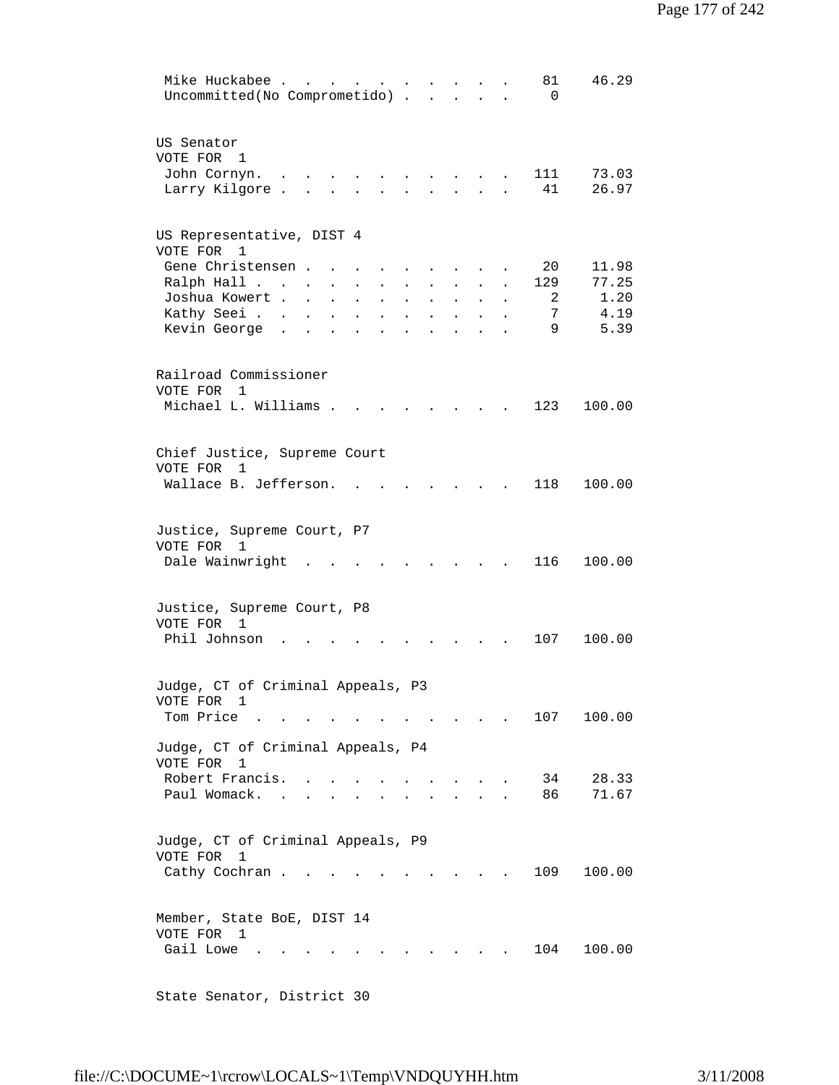| Mike Huckabee<br>46.29<br>81<br>Uncommitted(No Comprometido)<br>$\Omega$<br>$\ddot{\phantom{0}}$                                                                                                                                                                                                                                                                                                                                                |
|-------------------------------------------------------------------------------------------------------------------------------------------------------------------------------------------------------------------------------------------------------------------------------------------------------------------------------------------------------------------------------------------------------------------------------------------------|
| US Senator<br>VOTE FOR 1<br>73.03<br>John Cornyn.<br>111<br>$\mathbf{r}$ . The set of $\mathbf{r}$<br>$\sim$ $\sim$<br>$\sim$<br>26.97<br>Larry Kilgore.<br>41<br>$\sim$                                                                                                                                                                                                                                                                        |
| US Representative, DIST 4<br>VOTE FOR<br>1<br>Gene Christensen.<br>20<br>11.98<br>77.25<br>Ralph Hall<br>129<br>$\ddot{\phantom{0}}$<br>$\bullet$<br>$\sim$<br>1.20<br>Joshua Kowert .<br>$\overline{2}$<br>$\sim$ 100 $\sim$<br>$\ddot{\phantom{a}}$<br>$\ddot{\phantom{a}}$<br>$\ddot{\phantom{a}}$<br>4.19<br>Kathy Seei<br>7<br>$\ddot{\phantom{a}}$<br>$\ddot{\phantom{a}}$<br>$\ddot{\phantom{a}}$<br>9<br>5.39<br>Kevin George<br>$\sim$ |
| Railroad Commissioner<br>VOTE FOR<br>$\mathbf{1}$<br>Michael L. Williams .<br>123<br>100.00                                                                                                                                                                                                                                                                                                                                                     |
| Chief Justice, Supreme Court<br>VOTE FOR<br>$\overline{1}$<br>Wallace B. Jefferson.<br>118<br>100.00                                                                                                                                                                                                                                                                                                                                            |
| Justice, Supreme Court, P7<br>VOTE FOR<br>1<br>Dale Wainwright<br>116<br>100.00                                                                                                                                                                                                                                                                                                                                                                 |
| Justice, Supreme Court, P8<br>VOTE FOR 1<br>Phil Johnson<br>107<br>100.00                                                                                                                                                                                                                                                                                                                                                                       |
| Judge, CT of Criminal Appeals, P3<br>VOTE FOR 1<br>Tom Price .<br>107<br>100.00                                                                                                                                                                                                                                                                                                                                                                 |
| Judge, CT of Criminal Appeals, P4<br>VOTE FOR<br>1<br>Robert Francis.<br>34<br>28.33<br>71.67<br>Paul Womack.<br>86 —<br>$\mathbf{r}$ , $\mathbf{r}$ , $\mathbf{r}$ , $\mathbf{r}$                                                                                                                                                                                                                                                              |
| Judge, CT of Criminal Appeals, P9<br>VOTE FOR<br>$\mathbf{1}$<br>Cathy Cochran.<br>109<br>100.00                                                                                                                                                                                                                                                                                                                                                |
| Member, State BoE, DIST 14<br>VOTE FOR 1<br>Gail Lowe<br>100.00<br>104                                                                                                                                                                                                                                                                                                                                                                          |

State Senator, District 30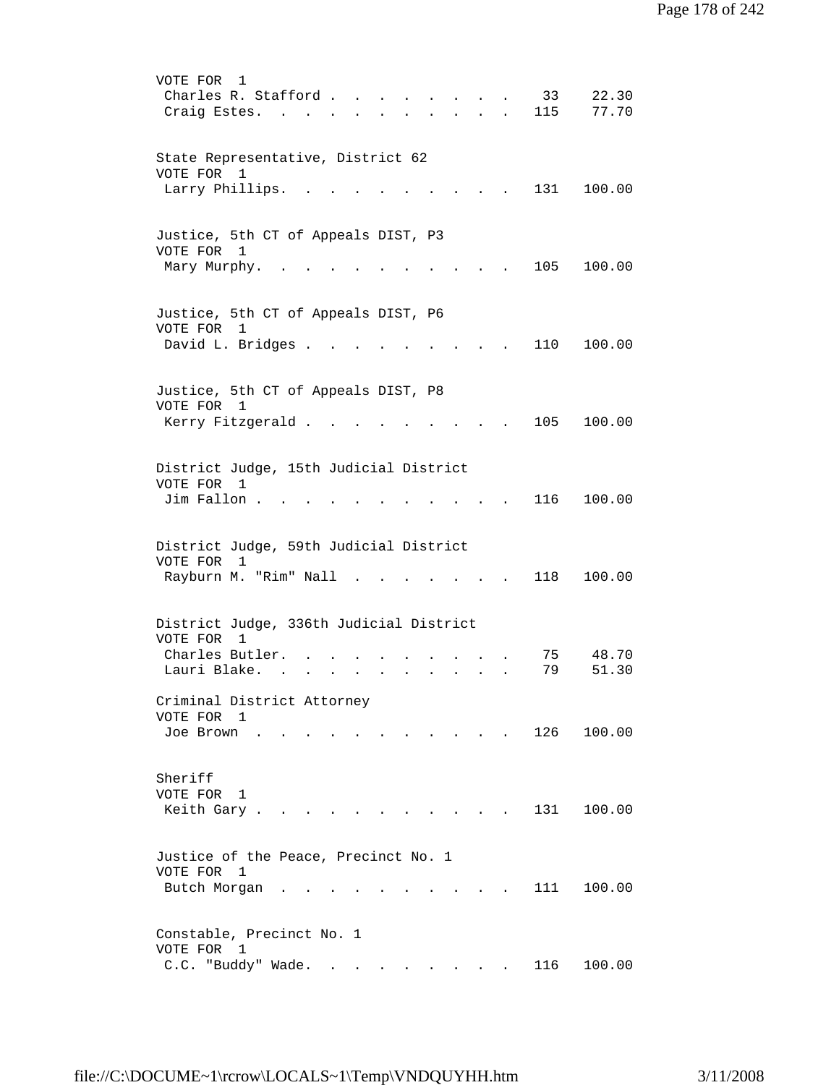VOTE FOR 1 Charles R. Stafford . . . . . . . . 33 22.30 Craig Estes. . . . . . . . . . . 115 77.70 State Representative, District 62 VOTE FOR 1 Larry Phillips. . . . . . . . . . 131 100.00 Justice, 5th CT of Appeals DIST, P3 VOTE FOR 1 Mary Murphy. . . . . . . . . . . 105 100.00 Justice, 5th CT of Appeals DIST, P6 VOTE FOR 1 David L. Bridges . . . . . . . . . 110 100.00 Justice, 5th CT of Appeals DIST, P8 VOTE FOR 1 Kerry Fitzgerald . . . . . . . . . 105 100.00 District Judge, 15th Judicial District VOTE FOR 1 Jim Fallon . . . . . . . . . . . 116 100.00 District Judge, 59th Judicial District VOTE FOR 1 Rayburn M. "Rim" Nall . . . . . . . 118 100.00 District Judge, 336th Judicial District VOTE FOR 1 Charles Butler. . . . . . . . . . . 75 48.70<br>Lauri Blake. . . . . . . . . . . 79 51.30 Lauri Blake. . . . . . . . . . . Criminal District Attorney VOTE FOR 1 Joe Brown . . . . . . . . . . . 126 100.00 Sheriff VOTE FOR 1 Keith Gary . . . . . . . . . . . 131 100.00 Justice of the Peace, Precinct No. 1 VOTE FOR 1 Butch Morgan . . . . . . . . . . 111 100.00 Constable, Precinct No. 1 VOTE FOR 1 C.C. "Buddy" Wade. . . . . . . . . 116 100.00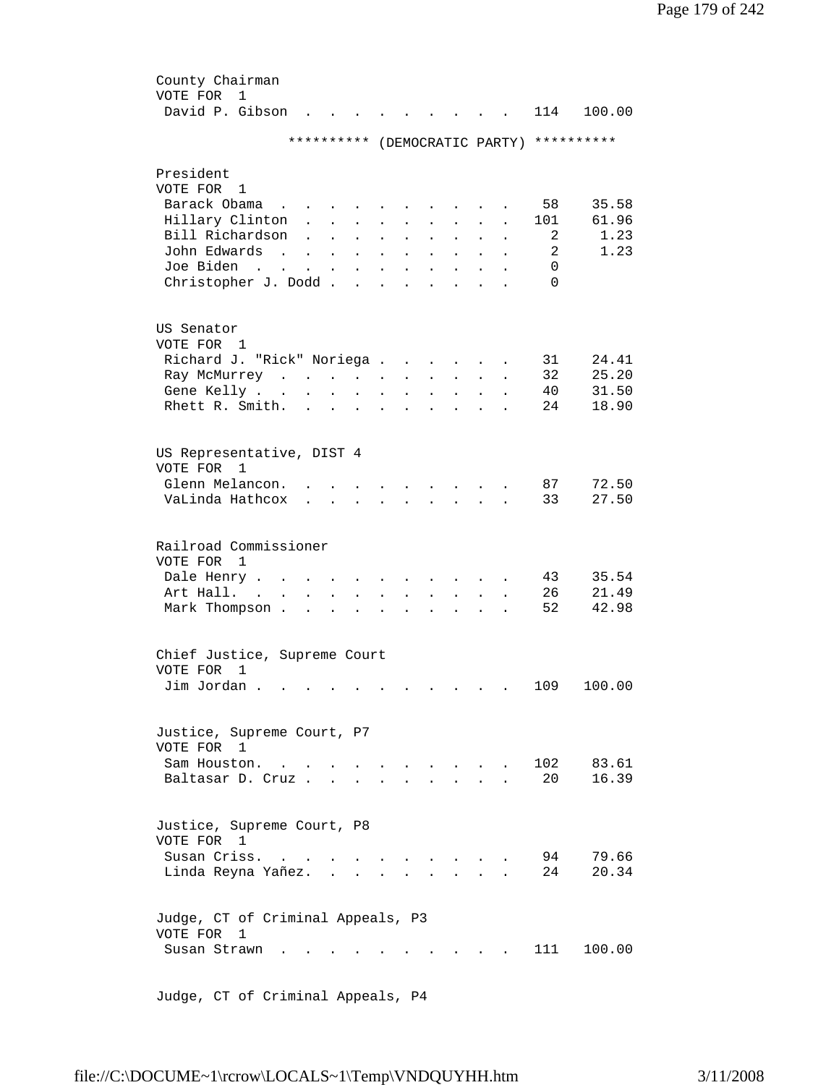| County Chairman                                 |                                                                          |                      |                                                                            |                  |                      |                               |                                                             |                           |                      |          |                               |
|-------------------------------------------------|--------------------------------------------------------------------------|----------------------|----------------------------------------------------------------------------|------------------|----------------------|-------------------------------|-------------------------------------------------------------|---------------------------|----------------------|----------|-------------------------------|
| VOTE FOR<br>1                                   |                                                                          |                      |                                                                            |                  |                      |                               |                                                             |                           |                      |          |                               |
| David P. Gibson                                 |                                                                          |                      |                                                                            |                  |                      |                               |                                                             |                           |                      | 114      | 100.00                        |
|                                                 |                                                                          |                      |                                                                            |                  |                      |                               |                                                             |                           |                      |          |                               |
|                                                 | * * * * * * * * * *                                                      |                      |                                                                            |                  |                      |                               |                                                             |                           |                      |          | (DEMOCRATIC PARTY) ********** |
|                                                 |                                                                          |                      |                                                                            |                  |                      |                               |                                                             |                           |                      |          |                               |
| President                                       |                                                                          |                      |                                                                            |                  |                      |                               |                                                             |                           |                      |          |                               |
| VOTE FOR 1                                      |                                                                          |                      |                                                                            |                  |                      |                               |                                                             |                           |                      |          |                               |
| Barack Obama                                    | $\mathbf{L} = \mathbf{L} \mathbf{L}$                                     |                      |                                                                            |                  |                      |                               |                                                             |                           |                      | 58       | 35.58                         |
| Hillary Clinton<br>Bill Richardson              |                                                                          |                      | $\mathbf{r} = \mathbf{r} + \mathbf{r}$                                     | $\sim$ 100 $\pm$ |                      | $\mathbf{L}$ and $\mathbf{L}$ | $\mathbf{L}$                                                | $\sim$                    | $\ddot{\phantom{0}}$ | 101      | 61.96<br>1.23                 |
| John Edwards                                    | $\mathbf{L}$                                                             |                      | $\mathbf{L} = \mathbf{L} \mathbf{L}$                                       | $\mathbf{L}$     | $\ddot{\phantom{a}}$ | $\sim$                        | $\ddot{\phantom{a}}$                                        | $\ddot{\phantom{a}}$      |                      | 2<br>2   | 1.23                          |
| Joe Biden                                       | $\mathbf{r}$ , $\mathbf{r}$ , $\mathbf{r}$ , $\mathbf{r}$ , $\mathbf{r}$ |                      |                                                                            | $\sim 10^{-11}$  | $\ddot{\phantom{0}}$ | $\bullet$                     | $\ddot{\phantom{0}}$                                        | $\bullet$                 | $\ddot{\phantom{a}}$ | $\Omega$ |                               |
| the contract of the contract of the contract of |                                                                          |                      |                                                                            |                  | $\bullet$            | $\bullet$                     | $\bullet$ .<br><br><br><br><br><br><br><br><br><br><br><br> | $\bullet$                 |                      | $\Omega$ |                               |
| Christopher J. Dodd                             |                                                                          |                      |                                                                            |                  |                      | $\ddot{\phantom{a}}$          | $\bullet$                                                   | $\sim 100$ km s $^{-1}$   |                      |          |                               |
|                                                 |                                                                          |                      |                                                                            |                  |                      |                               |                                                             |                           |                      |          |                               |
| US Senator                                      |                                                                          |                      |                                                                            |                  |                      |                               |                                                             |                           |                      |          |                               |
| VOTE FOR 1                                      |                                                                          |                      |                                                                            |                  |                      |                               |                                                             |                           |                      |          |                               |
| Richard J. "Rick" Noriega                       |                                                                          |                      |                                                                            |                  |                      |                               |                                                             |                           |                      | 31       | 24.41                         |
| Ray McMurrey                                    |                                                                          |                      |                                                                            |                  |                      |                               |                                                             | $\mathbf{L}^{\text{max}}$ |                      | 32       | 25.20                         |
| Gene Kelly                                      |                                                                          |                      |                                                                            | $\mathcal{L}$    | $\ddot{\phantom{0}}$ |                               | $\mathbf{L}$ and $\mathbf{L}$                               | $\bullet$                 | $\ddot{\phantom{a}}$ | 40       | 31.50                         |
| Rhett R. Smith.                                 |                                                                          |                      | $\mathbf{r} = \mathbf{r} \cdot \mathbf{r} = \mathbf{r} \cdot \mathbf{r}$ . |                  | $\bullet$            |                               | $\sim$ $\sim$ $\sim$ $\sim$ $\sim$                          |                           |                      | 24       | 18.90                         |
|                                                 |                                                                          |                      |                                                                            |                  |                      |                               |                                                             |                           |                      |          |                               |
|                                                 |                                                                          |                      |                                                                            |                  |                      |                               |                                                             |                           |                      |          |                               |
| US Representative, DIST 4                       |                                                                          |                      |                                                                            |                  |                      |                               |                                                             |                           |                      |          |                               |
| VOTE FOR 1                                      |                                                                          |                      |                                                                            |                  |                      |                               |                                                             |                           |                      |          |                               |
| Glenn Melancon.                                 |                                                                          |                      |                                                                            |                  |                      |                               |                                                             |                           |                      | 87       | 72.50                         |
| VaLinda Hathcox                                 | $\mathbf{r}$                                                             | $\sim$               | $\mathbf{r}$                                                               | $\mathbf{L}$     |                      |                               | $\mathbf{r} = \mathbf{r}$ , where $\mathbf{r} = \mathbf{r}$ | $\sim$                    |                      | 33       | 27.50                         |
|                                                 |                                                                          |                      |                                                                            |                  |                      |                               |                                                             |                           |                      |          |                               |
| Railroad Commissioner                           |                                                                          |                      |                                                                            |                  |                      |                               |                                                             |                           |                      |          |                               |
| VOTE FOR 1                                      |                                                                          |                      |                                                                            |                  |                      |                               |                                                             |                           |                      |          |                               |
| Dale Henry                                      |                                                                          |                      |                                                                            |                  |                      |                               |                                                             |                           |                      | 43       | 35.54                         |
| Art Hall. .                                     |                                                                          |                      |                                                                            |                  |                      |                               |                                                             |                           |                      | 26       | 21.49                         |
| $\mathbf{L}^{\text{max}}$<br>Mark Thompson .    | $\ddot{\phantom{a}}$                                                     |                      |                                                                            |                  |                      |                               |                                                             |                           |                      | 52       | 42.98                         |
|                                                 | $\ddot{\phantom{0}}$                                                     | $\ddot{\phantom{a}}$ |                                                                            |                  |                      |                               |                                                             |                           |                      |          |                               |
|                                                 |                                                                          |                      |                                                                            |                  |                      |                               |                                                             |                           |                      |          |                               |
| Chief Justice, Supreme Court                    |                                                                          |                      |                                                                            |                  |                      |                               |                                                             |                           |                      |          |                               |
| VOTE FOR<br>1                                   |                                                                          |                      |                                                                            |                  |                      |                               |                                                             |                           |                      |          |                               |
| $\text{Jim Jordan}$                             |                                                                          |                      |                                                                            |                  |                      |                               |                                                             |                           |                      | 109      | 100.00                        |
|                                                 |                                                                          |                      |                                                                            |                  |                      |                               |                                                             |                           |                      |          |                               |
|                                                 |                                                                          |                      |                                                                            |                  |                      |                               |                                                             |                           |                      |          |                               |
| Justice, Supreme Court, P7                      |                                                                          |                      |                                                                            |                  |                      |                               |                                                             |                           |                      |          |                               |
| VOTE FOR 1                                      |                                                                          |                      |                                                                            |                  |                      |                               |                                                             |                           |                      |          |                               |
| Sam Houston                                     |                                                                          |                      |                                                                            |                  |                      |                               |                                                             |                           |                      | 102      | 83.61                         |
| Baltasar D. Cruz.                               |                                                                          | $\mathbf{r}$         | $\sim$                                                                     |                  |                      |                               |                                                             |                           |                      | 20       | 16.39                         |
|                                                 |                                                                          |                      |                                                                            |                  |                      |                               |                                                             |                           |                      |          |                               |
| Justice, Supreme Court, P8                      |                                                                          |                      |                                                                            |                  |                      |                               |                                                             |                           |                      |          |                               |
| VOTE FOR 1                                      |                                                                          |                      |                                                                            |                  |                      |                               |                                                             |                           |                      |          |                               |
|                                                 |                                                                          |                      |                                                                            |                  |                      |                               |                                                             |                           |                      |          |                               |
| Susan Criss.                                    |                                                                          |                      |                                                                            |                  |                      |                               |                                                             |                           |                      | 94<br>24 | 79.66<br>20.34                |
| Linda Reyna Yañez.                              |                                                                          | $\mathbf{r}$         |                                                                            |                  |                      |                               |                                                             |                           |                      |          |                               |
|                                                 |                                                                          |                      |                                                                            |                  |                      |                               |                                                             |                           |                      |          |                               |
| Judge, CT of Criminal Appeals, P3               |                                                                          |                      |                                                                            |                  |                      |                               |                                                             |                           |                      |          |                               |
| VOTE FOR<br>1                                   |                                                                          |                      |                                                                            |                  |                      |                               |                                                             |                           |                      |          |                               |
| Susan Strawn                                    |                                                                          |                      |                                                                            |                  |                      |                               |                                                             |                           |                      | 111      | 100.00                        |
|                                                 |                                                                          |                      |                                                                            |                  |                      |                               |                                                             |                           |                      |          |                               |
|                                                 |                                                                          |                      |                                                                            |                  |                      |                               |                                                             |                           |                      |          |                               |

Judge, CT of Criminal Appeals, P4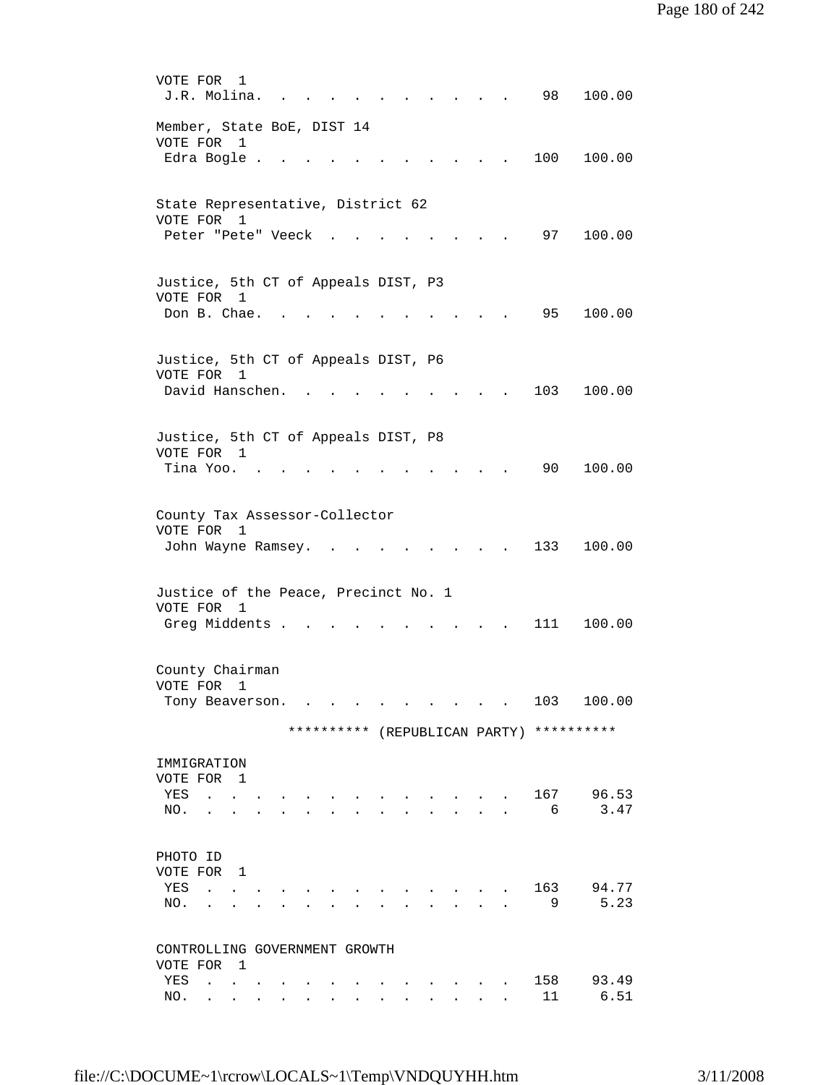VOTE FOR 1 J.R. Molina. . . . . . . . . . . 98 100.00 Member, State BoE, DIST 14 VOTE FOR 1 Edra Bogle . . . . . . . . . . . 100 100.00 State Representative, District 62 VOTE FOR 1 Peter "Pete" Veeck . . . . . . . . 97 100.00 Justice, 5th CT of Appeals DIST, P3 VOTE FOR 1 Don B. Chae. . . . . . . . . . . 95 100.00 Justice, 5th CT of Appeals DIST, P6 VOTE FOR 1 David Hanschen. . . . . . . . . . 103 100.00 Justice, 5th CT of Appeals DIST, P8 VOTE FOR 1 Tina Yoo. . . . . . . . . . . . . 90 100.00 County Tax Assessor-Collector VOTE FOR 1 John Wayne Ramsey. . . . . . . . . 133 100.00 Justice of the Peace, Precinct No. 1 VOTE FOR 1 Greg Middents . . . . . . . . . . 111 100.00 County Chairman VOTE FOR 1 Tony Beaverson. . . . . . . . . . 103 100.00 \*\*\*\*\*\*\*\*\*\* (REPUBLICAN PARTY) \*\*\*\*\*\*\*\*\*\* IMMIGRATION VOTE FOR 1 YES . . . . . . . . . . . . . 167 96.53 NO. . . . . . . . . . . . . . 6 3.47 PHOTO ID VOTE FOR 1 YES . . . . . . . . . . . . . 163 94.77<br>NO. . . . . . . . . . . . . . 9 5.23 NO. . . . . . . . . . . . . . . 9 5.23 CONTROLLING GOVERNMENT GROWTH VOTE FOR 1 YES . . . . . . . . . . . . . 158 93.49 NO. . . . . . . . . . . . . . 11 6.51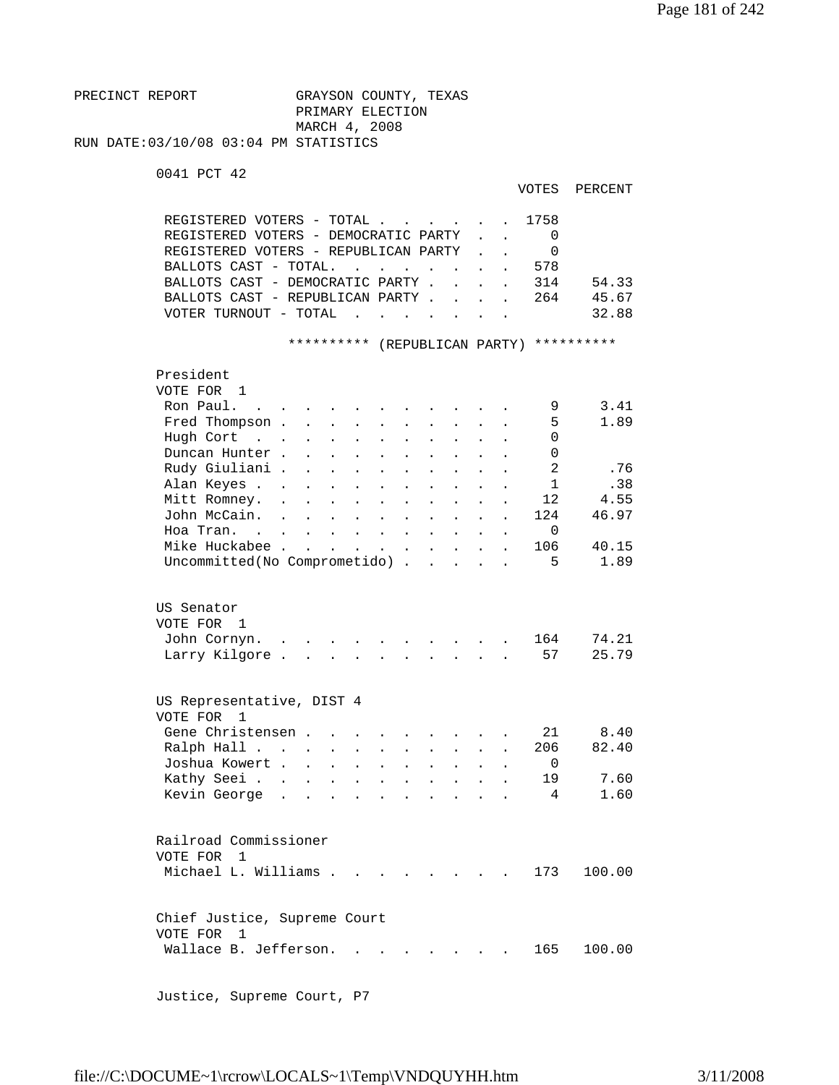PRECINCT REPORT GRAYSON COUNTY, TEXAS PRIMARY ELECTION MARCH 4, 2008 RUN DATE:03/10/08 03:04 PM STATISTICS

0041 PCT 42

```
 VOTES PERCENT
```

| REGISTERED VOTERS - TOTAL 1758       |  |     |       |
|--------------------------------------|--|-----|-------|
| REGISTERED VOTERS - DEMOCRATIC PARTY |  |     |       |
| REGISTERED VOTERS - REPUBLICAN PARTY |  |     |       |
| BALLOTS CAST - TOTAL.                |  | 578 |       |
| BALLOTS CAST - DEMOCRATIC PARTY 314  |  |     | 54.33 |
| BALLOTS CAST - REPUBLICAN PARTY      |  | 264 | 45.67 |
| VOTER TURNOUT - TOTAL                |  |     | 32.88 |
|                                      |  |     |       |

\*\*\*\*\*\*\*\*\*\* (REPUBLICAN PARTY) \*\*\*\*\*\*\*\*\*\*

| President<br>VOTE FOR | 1                                          |                      |                             |                           |                           |                         |                      |                      |                      |                      |                      |                |        |
|-----------------------|--------------------------------------------|----------------------|-----------------------------|---------------------------|---------------------------|-------------------------|----------------------|----------------------|----------------------|----------------------|----------------------|----------------|--------|
| Ron Paul.             | <b>Contract Contract Contract</b>          |                      |                             |                           |                           |                         |                      |                      |                      |                      |                      | 9              | 3.41   |
|                       | Fred Thompson.                             |                      | $\mathbf{r}$                |                           |                           |                         |                      |                      |                      |                      |                      | 5              | 1.89   |
| Hugh Cort             | $\mathbf{r}$ , $\mathbf{r}$ , $\mathbf{r}$ |                      |                             | $\mathbf{L}$              | $\mathbf{r}$              | $\ddot{\phantom{a}}$    | $\mathbf{r}$         | $\ddot{\phantom{a}}$ |                      | $\mathbf{r}$         |                      | $\Omega$       |        |
|                       | Duncan Hunter.                             |                      | $\mathbf{r}$                | $\mathbf{L}$              | $\mathbf{r}$              | <b>Contract</b>         | $\ddot{\phantom{a}}$ | $\ddot{\phantom{a}}$ | $\mathbf{r}$         | $\mathbf{r}$         |                      | $\Omega$       |        |
|                       | Rudy Giuliani .                            |                      | $\ddot{\phantom{a}}$        | $\mathbf{L}$              | $\ddot{\phantom{a}}$      | $\sim 100$ km s $^{-1}$ | $\ddot{\phantom{a}}$ | $\ddot{\phantom{a}}$ | $\ddot{\phantom{a}}$ | $\ddot{\phantom{a}}$ |                      | $\overline{2}$ | .76    |
|                       | Alan Keyes .                               | $\sim$               | $\ddot{\phantom{a}}$        | $\ddot{\phantom{0}}$      | $\ddot{\phantom{a}}$      | $\mathbf{L}$            | $\ddot{\phantom{a}}$ | $\ddot{\phantom{a}}$ | $\ddot{\phantom{a}}$ | $\ddot{\phantom{a}}$ |                      | $\mathbf{1}$   | .38    |
|                       | Mitt Romney.                               | $\ddot{\phantom{a}}$ |                             | $\ddot{\phantom{a}}$      | $\ddot{\phantom{a}}$      | $\ddot{\phantom{a}}$    | $\ddot{\phantom{a}}$ | $\ddot{\phantom{0}}$ | $\ddot{\phantom{0}}$ | $\ddot{\phantom{0}}$ |                      | 12             | 4.55   |
|                       | John McCain.                               | $\ddot{\phantom{a}}$ | $\ddot{\phantom{a}}$        | $\ddot{\phantom{a}}$      | $\ddot{\phantom{a}}$      | $\Box$                  | $\ddot{\phantom{a}}$ | $\ddot{\phantom{0}}$ | $\ddot{\phantom{a}}$ | $\ddot{\phantom{0}}$ | $\ddot{\phantom{a}}$ | 124            | 46.97  |
|                       | Hoa Tran                                   |                      |                             | $\ddot{\phantom{a}}$      | $\ddot{\phantom{a}}$      | $\sim$                  | $\ddot{\phantom{a}}$ | $\ddot{\phantom{a}}$ |                      |                      |                      | $\Omega$       |        |
|                       | Mike Huckabee .                            |                      | $\mathcal{L}^{\mathcal{L}}$ | $\overline{a}$            |                           | $\mathbf{r}$            | $\ddot{\phantom{a}}$ | $\overline{a}$       |                      |                      |                      | 106            | 40.15  |
|                       | Uncommitted(No Comprometido).              |                      |                             |                           |                           |                         |                      | $\mathbb{R}^2$       |                      |                      |                      | 5              | 1.89   |
|                       |                                            |                      |                             |                           |                           |                         |                      |                      |                      |                      |                      |                |        |
| US Senator            |                                            |                      |                             |                           |                           |                         |                      |                      |                      |                      |                      |                |        |
| VOTE FOR 1            |                                            |                      |                             |                           |                           |                         |                      |                      |                      |                      |                      | 164            | 74.21  |
|                       | John Cornyn.<br>Larry Kilgore.             |                      | $\ddot{\phantom{a}}$        |                           |                           |                         |                      |                      |                      |                      |                      | 57             | 25.79  |
|                       |                                            |                      |                             |                           |                           |                         |                      |                      |                      |                      |                      |                |        |
| VOTE FOR              | US Representative, DIST 4<br>1             |                      |                             |                           |                           |                         |                      |                      |                      |                      |                      |                |        |
|                       | Gene Christensen.                          |                      |                             |                           |                           |                         | $\ddot{\phantom{a}}$ | $\ddot{\phantom{a}}$ |                      |                      |                      | 21             | 8.40   |
|                       | Ralph Hall                                 |                      |                             | $\mathbf{L}^{\text{max}}$ | $\mathbf{L}^{\text{max}}$ | $\ddot{\phantom{a}}$    | $\ddot{\phantom{a}}$ | $\ddot{\phantom{a}}$ | $\ddot{\phantom{a}}$ | $\ddot{\phantom{a}}$ |                      | 206            | 82.40  |
|                       | Joshua Kowert                              |                      |                             | $\mathbf{L}$              | $\ddot{\phantom{a}}$      | $\ddot{\phantom{a}}$    | $\ddot{\phantom{a}}$ | $\ddot{\phantom{a}}$ | $\ddot{\phantom{a}}$ |                      |                      | $\Omega$       |        |
|                       | Kathy Seei                                 |                      | $\ddot{\phantom{a}}$        | $\ddot{\phantom{0}}$      | $\Box$                    | $\ddot{\phantom{0}}$    | $\ddot{\phantom{0}}$ |                      | $\ddot{\phantom{0}}$ |                      |                      | 19             | 7.60   |
|                       | Kevin George                               |                      |                             |                           |                           |                         |                      |                      |                      |                      |                      | 4              | 1.60   |
|                       |                                            |                      |                             |                           |                           |                         |                      |                      |                      |                      |                      |                |        |
|                       | Railroad Commissioner                      |                      |                             |                           |                           |                         |                      |                      |                      |                      |                      |                |        |
| VOTE FOR              | $\overline{1}$                             |                      |                             |                           |                           |                         |                      |                      |                      |                      |                      |                |        |
|                       | Michael L. Williams.                       |                      |                             |                           |                           |                         |                      |                      |                      |                      |                      | 173            | 100.00 |
|                       | Chief Justice, Supreme Court               |                      |                             |                           |                           |                         |                      |                      |                      |                      |                      |                |        |
| VOTE FOR              | $\overline{1}$                             |                      |                             |                           |                           |                         |                      |                      |                      |                      |                      |                |        |
|                       | Wallace B. Jefferson.                      |                      |                             |                           |                           |                         |                      |                      |                      |                      |                      | 165            | 100.00 |
|                       |                                            |                      |                             |                           |                           |                         |                      |                      |                      |                      |                      |                |        |
|                       |                                            |                      |                             |                           |                           |                         |                      |                      |                      |                      |                      |                |        |

Justice, Supreme Court, P7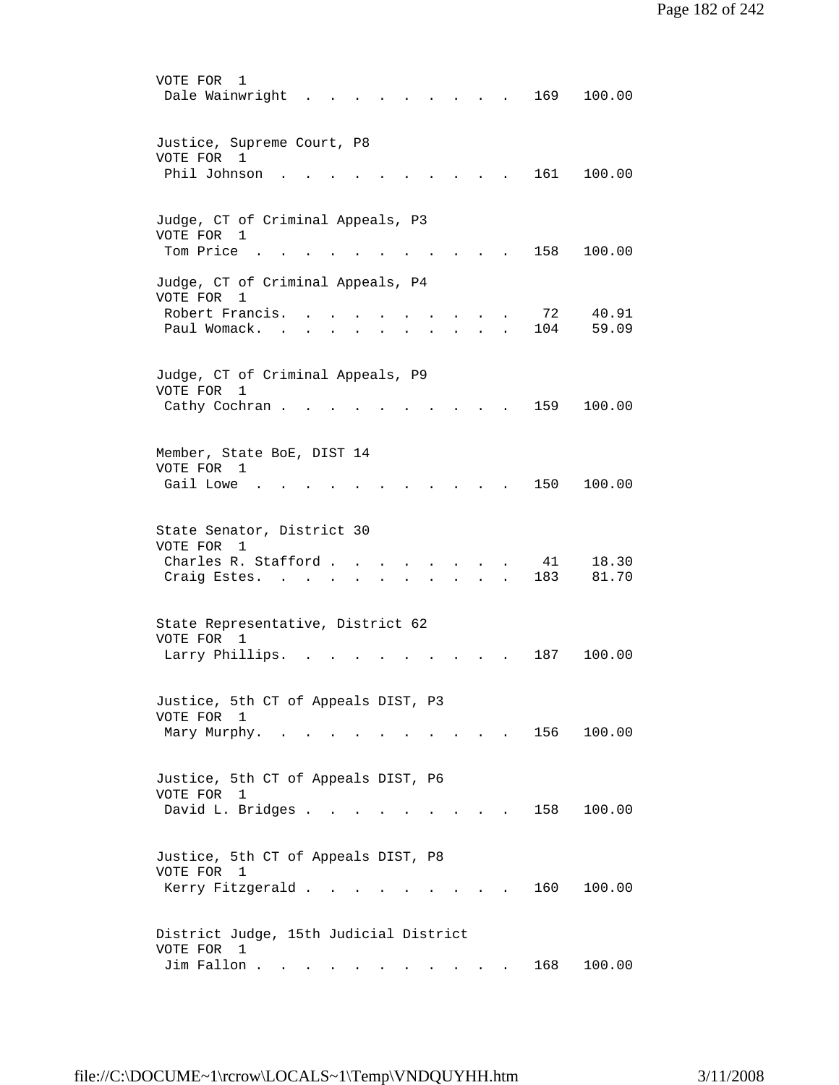| VOTE FOR<br>1<br>Dale Wainwright<br>169<br>100.00                                                                                                                   |
|---------------------------------------------------------------------------------------------------------------------------------------------------------------------|
| Justice, Supreme Court, P8<br>VOTE FOR 1                                                                                                                            |
| Phil Johnson<br>161<br>100.00                                                                                                                                       |
| Judge, CT of Criminal Appeals, P3                                                                                                                                   |
| VOTE FOR 1<br>Tom Price<br>158<br>100.00                                                                                                                            |
| Judge, CT of Criminal Appeals, P4<br>VOTE FOR<br>1                                                                                                                  |
| Robert Francis.<br>72<br>40.91<br>Paul Womack.<br>104<br>59.09                                                                                                      |
| Judge, CT of Criminal Appeals, P9                                                                                                                                   |
| VOTE FOR<br>1<br>159<br>100.00<br>Cathy Cochran.                                                                                                                    |
| Member, State BoE, DIST 14<br>VOTE FOR 1                                                                                                                            |
| Gail Lowe<br>150<br>100.00                                                                                                                                          |
| State Senator, District 30<br>VOTE FOR<br>1                                                                                                                         |
| Charles R. Stafford.<br>41<br>18.30<br>183<br>81.70<br>Craig Estes.                                                                                                 |
| State Representative, District 62                                                                                                                                   |
| VOTE FOR 1<br>Larry Phillips.<br>187<br>100.00                                                                                                                      |
| Justice, 5th CT of Appeals DIST, P3                                                                                                                                 |
| VOTE FOR 1                                                                                                                                                          |
| 156 100.00<br>Mary Murphy.<br>$\mathcal{L}(\mathcal{A})$ and $\mathcal{A}(\mathcal{A})$ and $\mathcal{A}(\mathcal{A})$<br>$\sim$ $\sim$ $\sim$ $\sim$ $\sim$ $\sim$ |
| Justice, 5th CT of Appeals DIST, P6<br>VOTE FOR<br>1                                                                                                                |
| David L. Bridges<br>100.00<br>158<br>$\sim$ $\sim$ $\sim$                                                                                                           |
| Justice, 5th CT of Appeals DIST, P8<br>VOTE FOR 1                                                                                                                   |
| 160<br>Kerry Fitzgerald<br>100.00                                                                                                                                   |
| District Judge, 15th Judicial District<br>VOTE FOR 1                                                                                                                |
| Jim Fallon<br>168<br>100.00                                                                                                                                         |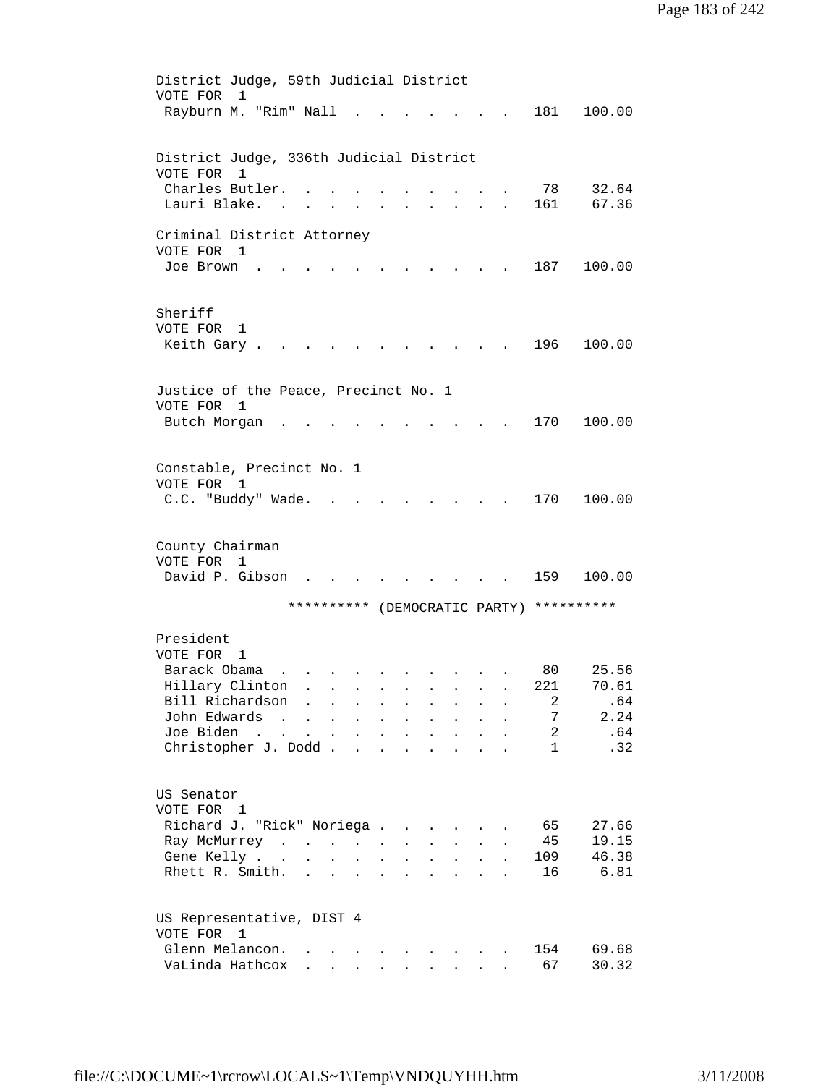```
 District Judge, 59th Judicial District 
        VOTE FOR 1 
         Rayburn M. "Rim" Nall . . . . . . . 181 100.00 
        District Judge, 336th Judicial District 
        VOTE FOR 1 
        Charles Butler. . . . . . . . . . 78 32.64
        Lauri Blake. . . . . . . . . . . 161 67.36
        Criminal District Attorney 
        VOTE FOR 1 
        Joe Brown . . . . . . . . . . . 187 100.00
        Sheriff 
        VOTE FOR 1 
        Keith Gary . . . . . . . . . . . 196 100.00
        Justice of the Peace, Precinct No. 1 
        VOTE FOR 1 
        Butch Morgan . . . . . . . . . . 170 100.00
        Constable, Precinct No. 1 
        VOTE FOR 1 
        C.C. "Buddy" Wade. . . . . . . . . 170 100.00
        County Chairman 
        VOTE FOR 1 
        David P. Gibson . . . . . . . . . 159 100.00
                     ********** (DEMOCRATIC PARTY) ********** 
        President 
        VOTE FOR 1 
 Barack Obama . . . . . . . . . . 80 25.56 
 Hillary Clinton . . . . . . . . . 221 70.61 
 Bill Richardson . . . . . . . . . 2 .64 
 John Edwards . . . . . . . . . . 7 2.24 
 Joe Biden . . . . . . . . . . . 2 .64 
Christopher J. Dodd . . . . . . . . . 1 . 32
        US Senator 
        VOTE FOR 1 
        Richard J. "Rick" Noriega . . . . . . 65 27.66
        Ray McMurrey . . . . . . . . . . 45 19.15
        Gene Kelly . . . . . . . . . . . 109 46.38
        Rhett R. Smith. . . . . . . . . . 16 6.81
        US Representative, DIST 4 
        VOTE FOR 1 
        Glenn Melancon. . . . . . . . . . 154 69.68
        VaLinda Hathcox . . . . . . . . . 67 30.32
```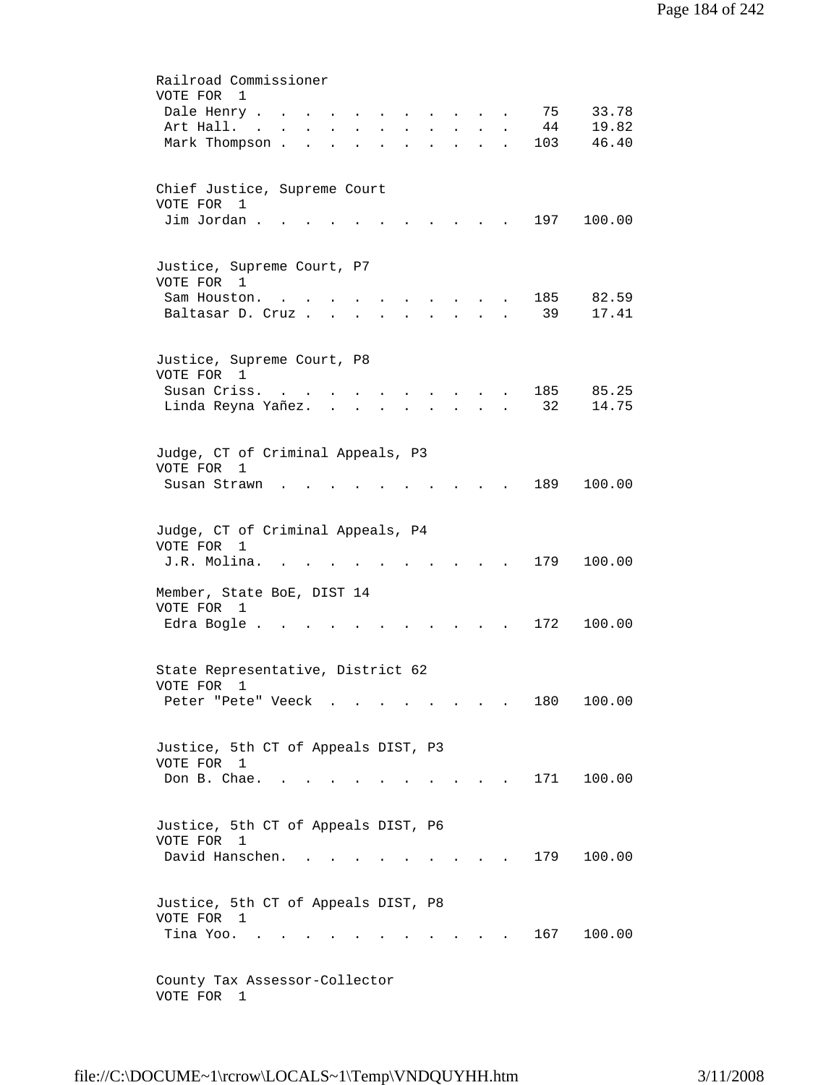| Railroad Commissioner                                                                                                                                                                |
|--------------------------------------------------------------------------------------------------------------------------------------------------------------------------------------|
| VOTE FOR<br>$\mathbf{1}$                                                                                                                                                             |
| 75<br>33.78<br>Dale Henry                                                                                                                                                            |
| 44<br>19.82<br>Art Hall.<br>$\mathbf{L}^{\text{max}}$<br>$\sim$<br>$\sim$ $-$<br>$\ddot{\phantom{0}}$<br>$\ddot{\phantom{0}}$<br><b>Contractor</b><br>$\bullet$                      |
| Mark Thompson.<br>103<br>46.40<br><b>Contractor</b><br>$\ddot{\phantom{a}}$<br>$\sim$ 100 $\pm$<br>$\ddot{\phantom{a}}$<br>$\ddot{\phantom{a}}$<br>$\ddot{\phantom{a}}$<br>$\bullet$ |
| Chief Justice, Supreme Court                                                                                                                                                         |
| VOTE FOR 1                                                                                                                                                                           |
| Jim Jordan.<br>197<br>100.00                                                                                                                                                         |
| Justice, Supreme Court, P7                                                                                                                                                           |
| VOTE FOR 1                                                                                                                                                                           |
| 82.59<br>Sam Houston.<br>185                                                                                                                                                         |
| 39<br>17.41<br>Baltasar D. Cruz.                                                                                                                                                     |
| Justice, Supreme Court, P8                                                                                                                                                           |
| VOTE FOR 1                                                                                                                                                                           |
| Susan Criss.<br>185<br>85.25<br>$\mathbf{r}$ , $\mathbf{r}$ , $\mathbf{r}$<br>$\sim$ $\sim$<br>$\bullet$ . In the case of the case of the $\bullet$                                  |
| Linda Reyna Yañez<br>32<br>14.75<br>$\mathbf{r} = \mathbf{r} + \mathbf{r} + \mathbf{r} + \mathbf{r}$                                                                                 |
| Judge, CT of Criminal Appeals, P3                                                                                                                                                    |
| VOTE FOR 1                                                                                                                                                                           |
| 189<br>100.00<br>Susan Strawn                                                                                                                                                        |
| Judge, CT of Criminal Appeals, P4                                                                                                                                                    |
| VOTE FOR 1                                                                                                                                                                           |
| 179<br>100.00<br>J.R. Molina.                                                                                                                                                        |
| Member, State BoE, DIST 14<br>VOTE FOR 1                                                                                                                                             |
| Edra Bogle.<br>172<br>100.00                                                                                                                                                         |
|                                                                                                                                                                                      |
| State Representative, District 62<br>VOTE FOR<br>1                                                                                                                                   |
| Peter "Pete" Veeck<br>180<br>100.00                                                                                                                                                  |
|                                                                                                                                                                                      |
| Justice, 5th CT of Appeals DIST, P3<br>VOTE FOR 1                                                                                                                                    |
| Don B. Chae. .<br>171<br>100.00<br>$\mathcal{L} = \mathcal{L} = \mathcal{L} = \mathcal{L}$                                                                                           |
|                                                                                                                                                                                      |
| Justice, 5th CT of Appeals DIST, P6                                                                                                                                                  |
| VOTE FOR 1                                                                                                                                                                           |
| David Hanschen.<br>179<br>100.00<br>$\sim$ $\sim$                                                                                                                                    |
| Justice, 5th CT of Appeals DIST, P8                                                                                                                                                  |
| VOTE FOR 1                                                                                                                                                                           |
| Tina Yoo.<br>167 100.00                                                                                                                                                              |
| County Tax Assessor-Collector                                                                                                                                                        |
| VOTE FOR 1                                                                                                                                                                           |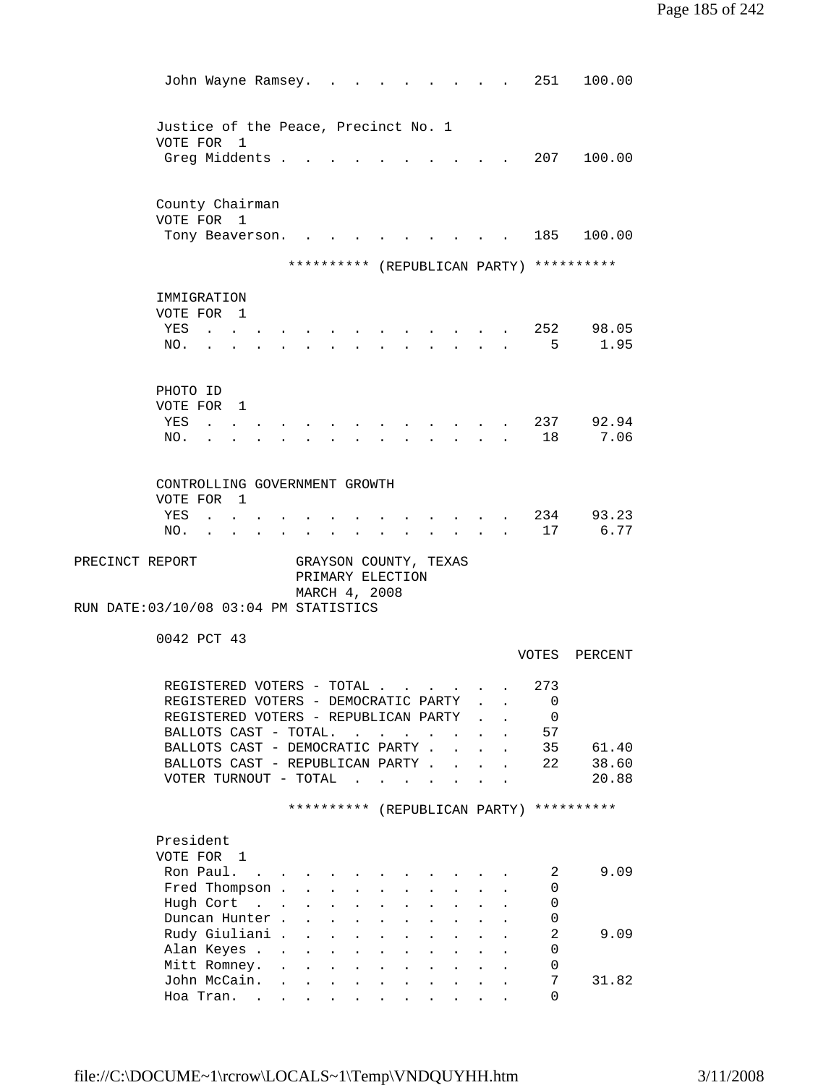| John Wayne Ramsey.                                                           |                                                                                     |                                                                                                   |                                                                          |                                              |                                                                                 |                           | 251                 | 100.00                                   |
|------------------------------------------------------------------------------|-------------------------------------------------------------------------------------|---------------------------------------------------------------------------------------------------|--------------------------------------------------------------------------|----------------------------------------------|---------------------------------------------------------------------------------|---------------------------|---------------------|------------------------------------------|
| Justice of the Peace, Precinct No. 1                                         |                                                                                     |                                                                                                   |                                                                          |                                              |                                                                                 |                           |                     |                                          |
| VOTE FOR 1<br>Greg Middents .                                                |                                                                                     |                                                                                                   |                                                                          |                                              |                                                                                 |                           |                     | 207 100.00                               |
| County Chairman<br>VOTE FOR 1                                                |                                                                                     |                                                                                                   |                                                                          |                                              |                                                                                 |                           |                     |                                          |
| Tony Beaverson.                                                              |                                                                                     |                                                                                                   |                                                                          |                                              |                                                                                 |                           |                     | 185 100.00                               |
|                                                                              |                                                                                     |                                                                                                   |                                                                          |                                              |                                                                                 |                           |                     | ********** (REPUBLICAN PARTY) ********** |
| IMMIGRATION                                                                  |                                                                                     |                                                                                                   |                                                                          |                                              |                                                                                 |                           |                     |                                          |
| VOTE FOR 1                                                                   |                                                                                     |                                                                                                   |                                                                          |                                              |                                                                                 |                           |                     |                                          |
| YES<br><b>Carl Carl Carl Contract Carl Carl</b><br>NO.                       |                                                                                     |                                                                                                   |                                                                          |                                              | the contract of the contract of the contract of the contract of the contract of |                           | 5                   | 252 98.05<br>1.95                        |
|                                                                              |                                                                                     |                                                                                                   |                                                                          |                                              |                                                                                 |                           |                     |                                          |
| PHOTO ID                                                                     |                                                                                     |                                                                                                   |                                                                          |                                              |                                                                                 |                           |                     |                                          |
| VOTE FOR 1                                                                   |                                                                                     |                                                                                                   |                                                                          |                                              |                                                                                 |                           |                     |                                          |
| YES<br><b>Contract Contract</b>                                              |                                                                                     |                                                                                                   |                                                                          |                                              |                                                                                 |                           | 237                 | 92.94<br>7.06                            |
| NO.                                                                          |                                                                                     |                                                                                                   |                                                                          |                                              |                                                                                 |                           | 18                  |                                          |
| CONTROLLING GOVERNMENT GROWTH                                                |                                                                                     |                                                                                                   |                                                                          |                                              |                                                                                 |                           |                     |                                          |
| VOTE FOR 1                                                                   |                                                                                     |                                                                                                   |                                                                          |                                              |                                                                                 |                           |                     |                                          |
| YES<br>$\mathbf{z} = \mathbf{z} + \mathbf{z}$ , where $\mathbf{z}$           |                                                                                     |                                                                                                   |                                                                          |                                              |                                                                                 |                           | 234                 | 93.23                                    |
| NO.<br><b>Contractor</b><br>$\mathbf{z} = \mathbf{z} + \mathbf{z}$           |                                                                                     |                                                                                                   |                                                                          |                                              |                                                                                 |                           | 17                  | 6.77                                     |
| PRECINCT REPORT<br>RUN DATE: 03/10/08 03:04 PM STATISTICS                    |                                                                                     | GRAYSON COUNTY, TEXAS<br>PRIMARY ELECTION<br>MARCH 4, 2008                                        |                                                                          |                                              |                                                                                 |                           |                     |                                          |
| 0042 PCT 43                                                                  |                                                                                     |                                                                                                   |                                                                          |                                              |                                                                                 |                           |                     |                                          |
|                                                                              |                                                                                     |                                                                                                   |                                                                          |                                              |                                                                                 |                           |                     | VOTES PERCENT                            |
| REGISTERED VOTERS - TOTAL                                                    |                                                                                     |                                                                                                   |                                                                          |                                              |                                                                                 |                           | 273                 |                                          |
| REGISTERED VOTERS - DEMOCRATIC PARTY<br>REGISTERED VOTERS - REPUBLICAN PARTY |                                                                                     |                                                                                                   |                                                                          |                                              |                                                                                 |                           | 0<br>0              |                                          |
| BALLOTS CAST - TOTAL.                                                        |                                                                                     |                                                                                                   | $\ddot{\phantom{a}}$                                                     | $\sim$                                       | $\sim$ 100 $\sim$                                                               |                           | 57                  |                                          |
| BALLOTS CAST - DEMOCRATIC PARTY.                                             |                                                                                     |                                                                                                   |                                                                          |                                              |                                                                                 | $\mathbf{r} = \mathbf{r}$ | 35                  | 61.40                                    |
| BALLOTS CAST - REPUBLICAN PARTY<br>VOTER TURNOUT - TOTAL                     |                                                                                     |                                                                                                   | $\mathbf{r}$ , $\mathbf{r}$ , $\mathbf{r}$ , $\mathbf{r}$ , $\mathbf{r}$ |                                              |                                                                                 |                           | 22                  | 38.60<br>20.88                           |
|                                                                              |                                                                                     |                                                                                                   |                                                                          |                                              |                                                                                 |                           |                     |                                          |
|                                                                              |                                                                                     | ********** (REPUBLICAN PARTY) **********                                                          |                                                                          |                                              |                                                                                 |                           |                     |                                          |
| President                                                                    |                                                                                     |                                                                                                   |                                                                          |                                              |                                                                                 |                           |                     |                                          |
| VOTE FOR 1<br>Ron Paul.                                                      | and the contract of the contract of the contract of the contract of the contract of |                                                                                                   |                                                                          |                                              |                                                                                 |                           | 2                   | 9.09                                     |
| Fred Thompson                                                                |                                                                                     |                                                                                                   | $\mathbf{L}$ and $\mathbf{L}$                                            | $\ddot{\phantom{a}}$<br>$\ddot{\phantom{0}}$ | $\sim$ $\sim$ $\sim$                                                            |                           | 0                   |                                          |
| Hugh Cort                                                                    | $\mathbf{L}$                                                                        | $\mathbf{L}$<br>$\ddot{\phantom{a}}$                                                              |                                                                          | $\ddot{\phantom{0}}$                         | $\mathbf{L}^{\text{max}}$                                                       |                           | 0                   |                                          |
| Duncan Hunter.                                                               |                                                                                     | $\ddot{\phantom{a}}$                                                                              |                                                                          | $\ddot{\phantom{0}}$                         | $\bullet$                                                                       |                           | 0                   |                                          |
| Rudy Giuliani .<br>Alan Keyes                                                |                                                                                     | $\mathcal{L}^{(1)}$<br>$\ddot{\phantom{0}}$<br>$\mathcal{L}^{\text{max}}$<br>$\ddot{\phantom{0}}$ |                                                                          |                                              |                                                                                 |                           | $\overline{2}$<br>0 | 9.09                                     |
| Mitt Romney. .                                                               |                                                                                     | $\ddot{\phantom{0}}$                                                                              |                                                                          |                                              |                                                                                 |                           | 0                   |                                          |
| John McCain.                                                                 | $\sim$<br>$\mathbf{L}$                                                              | $\ddot{\phantom{0}}$                                                                              |                                                                          |                                              |                                                                                 |                           | 7                   | 31.82                                    |
| Hoa Tran.                                                                    |                                                                                     |                                                                                                   |                                                                          |                                              | <b>Contract Contract</b>                                                        |                           | $\Omega$            |                                          |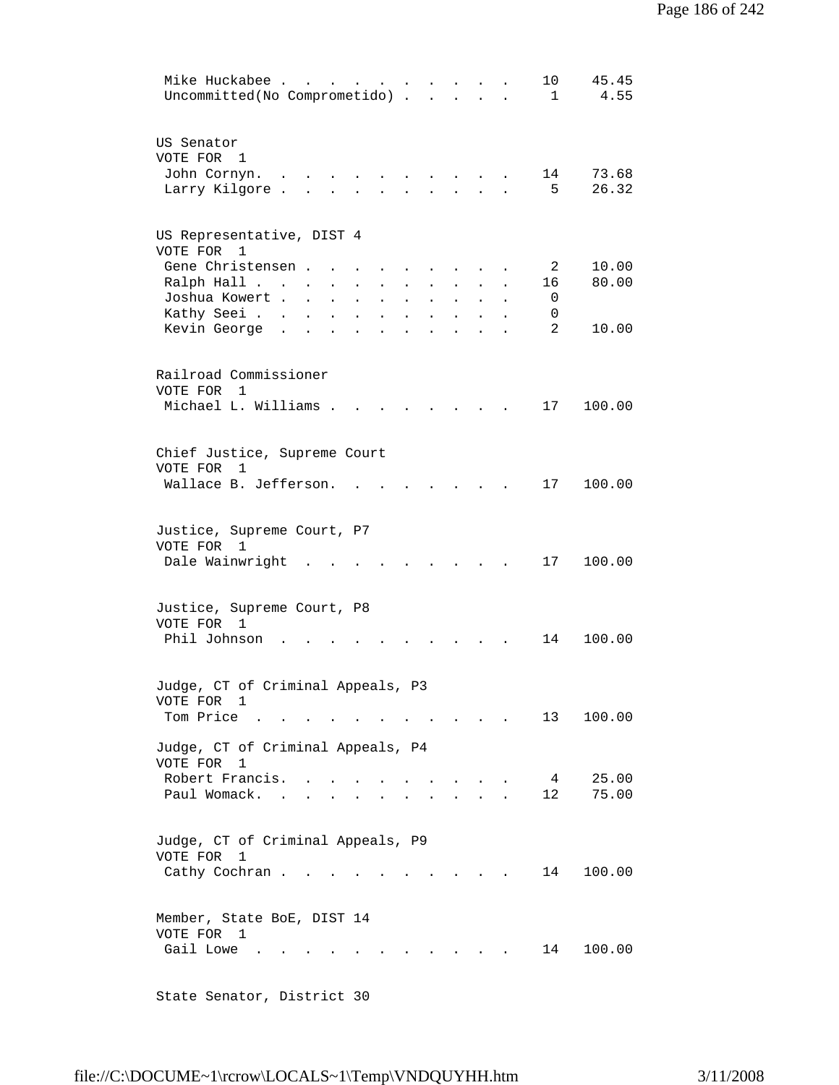| Mike Huckabee<br>45.45<br>10<br>$\sim$ $\sim$ $\sim$ $\sim$<br>Uncommitted (No Comprometido)<br>$\mathbf 1$<br>4.55                                                                                                                 |
|-------------------------------------------------------------------------------------------------------------------------------------------------------------------------------------------------------------------------------------|
| US Senator<br>VOTE FOR<br>1<br>John Cornyn.<br>73.68<br>14<br>$\ddot{\phantom{0}}$                                                                                                                                                  |
| 26.32<br>5<br>Larry Kilgore.                                                                                                                                                                                                        |
| US Representative, DIST 4<br>VOTE FOR 1                                                                                                                                                                                             |
| Gene Christensen.<br>10.00<br>2<br>$\sim$ 100 $\pm$<br>80.00<br>Ralph Hall<br>16<br>$\sim 10^{-10}$<br>$\bullet$<br>Joshua Kowert .<br>0<br>$\ddot{\phantom{a}}$<br>$\Box$<br>$\ddot{\phantom{a}}$<br>$\sim$ 100 $\pm$<br>$\bullet$ |
| Kathy Seei<br>0<br>$\mathbf{L}$<br>$\ddot{\phantom{a}}$<br>$\ddot{\phantom{a}}$<br>2<br>Kevin George<br>10.00<br>$\ddot{\phantom{a}}$                                                                                               |
| Railroad Commissioner<br>VOTE FOR<br>1                                                                                                                                                                                              |
| Michael L. Williams .<br>100.00<br>17<br>$\ddot{\phantom{a}}$<br>$\sim$                                                                                                                                                             |
| Chief Justice, Supreme Court<br>VOTE FOR 1                                                                                                                                                                                          |
| Wallace B. Jefferson.<br>17<br>100.00                                                                                                                                                                                               |
| Justice, Supreme Court, P7<br>VOTE FOR 1<br>Dale Wainwright<br>17<br>100.00                                                                                                                                                         |
| Justice, Supreme Court, P8<br>VOTE FOR 1<br>Phil Johnson<br>14<br>100.00                                                                                                                                                            |
| Judge, CT of Criminal Appeals, P3                                                                                                                                                                                                   |
| VOTE FOR 1<br>Tom Price $\ldots$ $\ldots$ $\ldots$ $\ldots$ $\ldots$<br>13<br>100.00                                                                                                                                                |
| Judge, CT of Criminal Appeals, P4<br>VOTE FOR 1<br>Robert Francis.<br>25.00<br>$4\overline{ }$<br>$\overline{a}$<br>$\mathbf{r} = \mathbf{r}$ , and $\mathbf{r} = \mathbf{r}$                                                       |
| 75.00<br>Paul Womack.<br>12<br>$\mathbf{r}$ , $\mathbf{r}$ , $\mathbf{r}$ , $\mathbf{r}$<br>$\mathbf{L} = \mathbf{L}$<br>$\sim$ $\sim$                                                                                              |
| Judge, CT of Criminal Appeals, P9<br>VOTE FOR<br>1<br>Cathy Cochran<br>14<br>100.00                                                                                                                                                 |
| Member, State BoE, DIST 14<br>VOTE FOR 1<br>Gail Lowe<br>14<br>100.00<br>$\sim$                                                                                                                                                     |
|                                                                                                                                                                                                                                     |

State Senator, District 30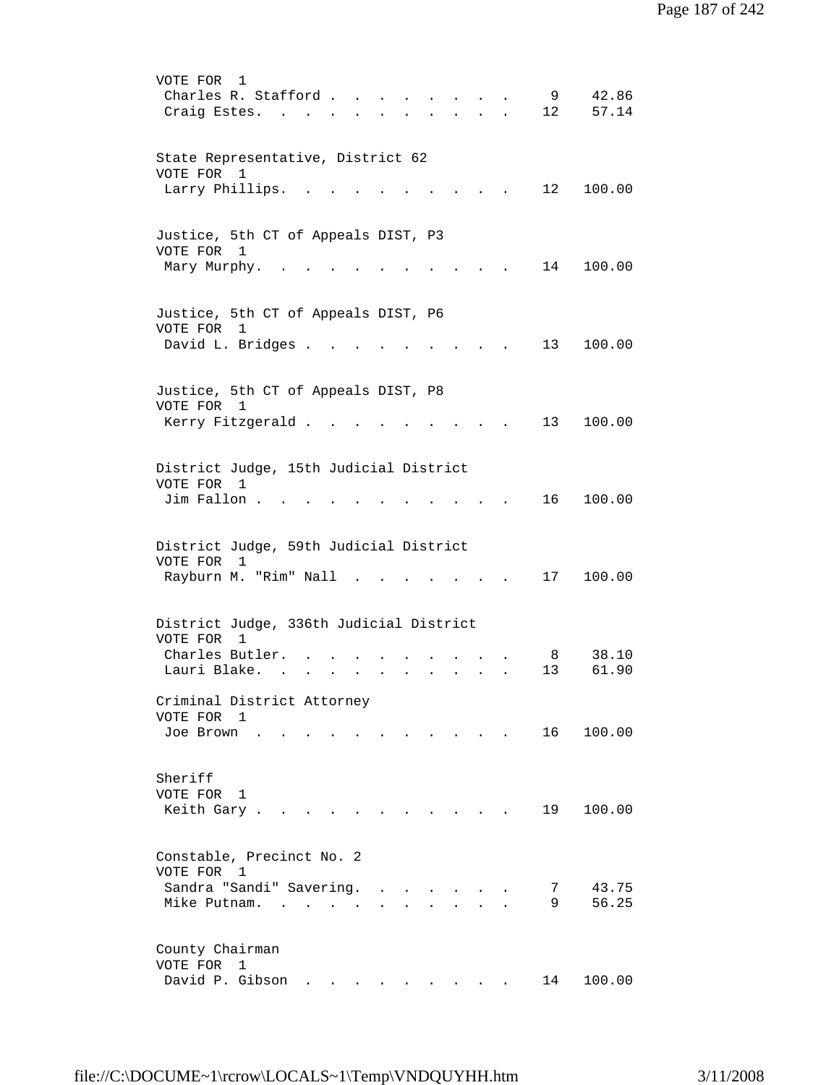VOTE FOR 1 Charles R. Stafford . . . . . . . . 9 42.86 Craig Estes. . . . . . . . . . . 12 57.14 State Representative, District 62 VOTE FOR 1 Larry Phillips. . . . . . . . . . 12 100.00 Justice, 5th CT of Appeals DIST, P3 VOTE FOR 1 Mary Murphy. . . . . . . . . . . 14 100.00 Justice, 5th CT of Appeals DIST, P6 VOTE FOR 1 David L. Bridges . . . . . . . . . 13 100.00 Justice, 5th CT of Appeals DIST, P8 VOTE FOR 1 Kerry Fitzgerald . . . . . . . . . 13 100.00 District Judge, 15th Judicial District VOTE FOR 1 Jim Fallon . . . . . . . . . . . . 16 100.00 District Judge, 59th Judicial District VOTE FOR 1 Rayburn M. "Rim" Nall . . . . . . . 17 100.00 District Judge, 336th Judicial District VOTE FOR 1 Charles Butler. . . . . . . . . . 8 38.10 Lauri Blake. . . . . . . . . . . 13 61.90 Criminal District Attorney VOTE FOR 1 Joe Brown . . . . . . . . . . . 16 100.00 Sheriff VOTE FOR 1 Keith Gary . . . . . . . . . . . 19 100.00 Constable, Precinct No. 2 VOTE FOR 1 Sandra "Sandi" Savering. . . . . . . 7 43.75 Mike Putnam. . . . . . . . . . . 9 56.25 County Chairman VOTE FOR 1 David P. Gibson . . . . . . . . . 14 100.00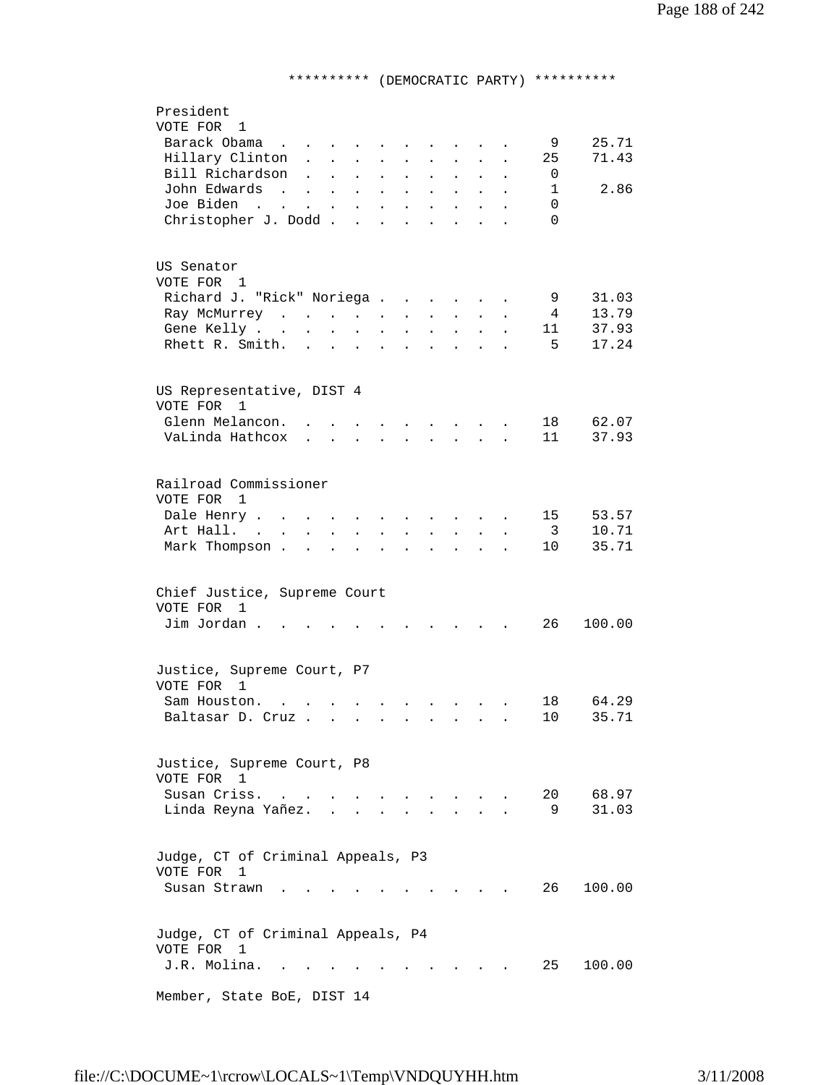## \*\*\*\*\*\*\*\*\*\* (DEMOCRATIC PARTY) \*\*\*\*\*\*\*\*\*\*

| President                                                                                                                                                                                                     |
|---------------------------------------------------------------------------------------------------------------------------------------------------------------------------------------------------------------|
| VOTE FOR 1                                                                                                                                                                                                    |
| Barack Obama<br>25.71<br>9<br>$\mathbf{r}$ , and $\mathbf{r}$ , and $\mathbf{r}$                                                                                                                              |
| 71.43<br>Hillary Clinton.<br>25<br>$\mathcal{L}^{\text{max}}$<br>$\sim 100$<br>$\mathbf{L}^{\text{max}}$<br>$\bullet$ .<br>$\ddot{\phantom{0}}$<br>$\ddot{\phantom{a}}$<br>$\ddot{\phantom{a}}$<br>$\bullet$  |
| Bill Richardson<br>0<br>$\ddot{\phantom{a}}$<br>$\mathbf{L}$<br>$\bullet$<br>$\bullet$<br>$\ddot{\phantom{0}}$<br>$\ddot{\phantom{0}}$<br>$\bullet$                                                           |
| John Edwards<br>$\mathbf{1}$<br>2.86<br><b>Carl Carl Carl</b><br>$\mathbf{L}^{\text{max}}$ , and $\mathbf{L}^{\text{max}}$<br>$\ddot{\phantom{0}}$<br>$\ddot{\phantom{0}}$<br>$\bullet$                       |
| Joe Biden<br>0<br>$\mathcal{L}(\mathbf{X})$ , and $\mathcal{L}(\mathbf{X})$ , and $\mathcal{L}(\mathbf{X})$<br>$\sim$ $\sim$<br>$\ddot{\phantom{a}}$                                                          |
| Christopher J. Dodd.<br>$\Omega$<br>$\ddot{\phantom{a}}$<br>$\ddot{\phantom{a}}$<br>$\ddot{\phantom{a}}$<br>$\ddot{\phantom{0}}$                                                                              |
|                                                                                                                                                                                                               |
|                                                                                                                                                                                                               |
| US Senator                                                                                                                                                                                                    |
| VOTE FOR 1                                                                                                                                                                                                    |
| 31.03<br>Richard J. "Rick" Noriega<br>9                                                                                                                                                                       |
| $\mathbf{a}$ and $\mathbf{a}$<br>13.79<br>4                                                                                                                                                                   |
| Ray McMurrey<br>$\ddot{\phantom{a}}$<br>$\ddot{\phantom{a}}$<br>$\bullet$<br>$\ddot{\phantom{a}}$                                                                                                             |
| 37.93<br>Gene Kelly<br>11<br>$\mathbf{L}^{\text{max}}$ and $\mathbf{L}^{\text{max}}$                                                                                                                          |
| Rhett R. Smith.<br>5<br>17.24<br>$\cdot$ $\cdot$ $\cdot$ $\cdot$ $\cdot$<br>$\ddot{\phantom{a}}$                                                                                                              |
|                                                                                                                                                                                                               |
|                                                                                                                                                                                                               |
| US Representative, DIST 4                                                                                                                                                                                     |
| VOTE FOR<br>1                                                                                                                                                                                                 |
| Glenn Melancon.<br>18<br>62.07<br>$\sim$ $\sim$ $\sim$<br>$\sim$ $\sim$ $\sim$ $\sim$                                                                                                                         |
| 37.93<br>VaLinda Hathcox<br>11<br>$\mathbf{r}$ , $\mathbf{r}$ , $\mathbf{r}$ , $\mathbf{r}$                                                                                                                   |
|                                                                                                                                                                                                               |
|                                                                                                                                                                                                               |
| Railroad Commissioner                                                                                                                                                                                         |
| VOTE FOR 1                                                                                                                                                                                                    |
| 53.57<br>Dale Henry<br>15<br>$\sim$ $\sim$<br><b>Contract Contract Contract</b>                                                                                                                               |
| Art Hall.<br>$\overline{\mathbf{3}}$<br>10.71<br>$\mathbf{L}$ and $\mathbf{L}$<br>$\mathbf{L} = \mathbf{L}$<br>$\cdot$ $\cdot$ $\cdot$<br>$\mathbf{r}$ and $\mathbf{r}$<br>$\ddot{\phantom{a}}$               |
| 35.71                                                                                                                                                                                                         |
| Mark Thompson.<br>10<br>$\mathbf{r}$ . The set of $\mathbf{r}$<br>$\sim$<br><b>Contract Contract Contract</b><br>$\ddot{\phantom{a}}$<br>$\ddot{\phantom{a}}$<br>$\ddot{\phantom{a}}$<br>$\ddot{\phantom{a}}$ |
|                                                                                                                                                                                                               |
|                                                                                                                                                                                                               |
| Chief Justice, Supreme Court                                                                                                                                                                                  |
| VOTE FOR 1                                                                                                                                                                                                    |
| Jim Jordan.<br>26<br>100.00                                                                                                                                                                                   |
|                                                                                                                                                                                                               |
|                                                                                                                                                                                                               |
| Justice, Supreme Court, P7                                                                                                                                                                                    |
| VOTE FOR 1                                                                                                                                                                                                    |
| 64.29<br>Sam Houston.<br>18<br>$\mathbf{z} = \mathbf{z} + \mathbf{z}$ , where $\mathbf{z}$<br>$\mathbf{r}$ , $\mathbf{r}$ , $\mathbf{r}$                                                                      |
| 10<br>35.71<br>Baltasar D. Cruz                                                                                                                                                                               |
|                                                                                                                                                                                                               |
|                                                                                                                                                                                                               |
| Justice, Supreme Court, P8                                                                                                                                                                                    |
| VOTE FOR 1                                                                                                                                                                                                    |
| 68.97<br>Susan Criss.<br>20                                                                                                                                                                                   |
| $\overline{a}$<br>31.03                                                                                                                                                                                       |
| Linda Reyna Yañez.<br>9                                                                                                                                                                                       |
|                                                                                                                                                                                                               |
|                                                                                                                                                                                                               |
| Judge, CT of Criminal Appeals, P3                                                                                                                                                                             |
| VOTE FOR<br>1                                                                                                                                                                                                 |
| Susan Strawn<br>26 —<br>100.00                                                                                                                                                                                |
|                                                                                                                                                                                                               |
|                                                                                                                                                                                                               |
| Judge, CT of Criminal Appeals, P4                                                                                                                                                                             |
| VOTE FOR<br>1                                                                                                                                                                                                 |
| J.R. Molina.<br>25<br>100.00                                                                                                                                                                                  |
|                                                                                                                                                                                                               |
| Member, State BoE, DIST 14                                                                                                                                                                                    |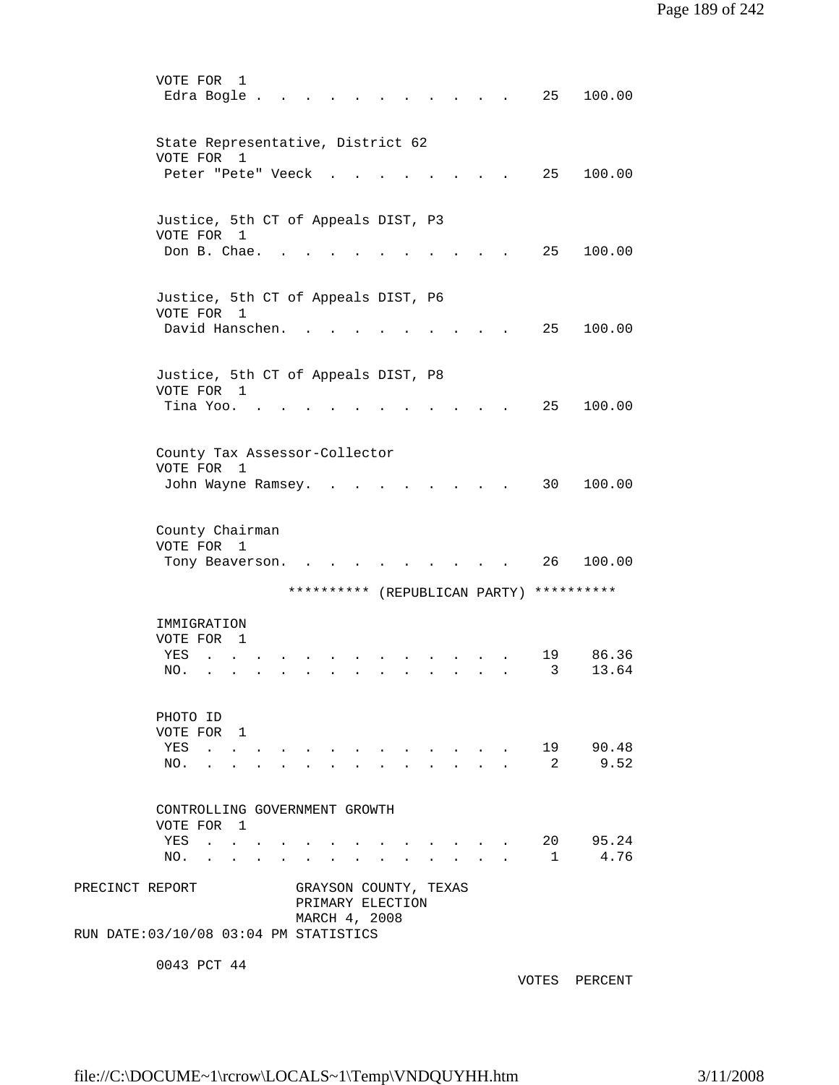|                                                           | VOTE FOR<br>Edra Bogle.                                              |                                                                                           | 1            |  |            |                                                                                    |  |  |                                                                               |                                                       |                                                                      | 25         | 100.00           |
|-----------------------------------------------------------|----------------------------------------------------------------------|-------------------------------------------------------------------------------------------|--------------|--|------------|------------------------------------------------------------------------------------|--|--|-------------------------------------------------------------------------------|-------------------------------------------------------|----------------------------------------------------------------------|------------|------------------|
|                                                           | State Representative, District 62<br>VOTE FOR                        |                                                                                           | 1            |  |            |                                                                                    |  |  |                                                                               |                                                       |                                                                      |            |                  |
|                                                           | Peter "Pete" Veeck                                                   |                                                                                           |              |  |            |                                                                                    |  |  |                                                                               |                                                       |                                                                      | 25         | 100.00           |
|                                                           | Justice, 5th CT of Appeals DIST, P3<br>VOTE FOR 1<br>Don B. Chae.    |                                                                                           |              |  |            |                                                                                    |  |  |                                                                               |                                                       |                                                                      | 25         | 100.00           |
|                                                           | Justice, 5th CT of Appeals DIST, P6<br>VOTE FOR 1<br>David Hanschen. |                                                                                           |              |  |            |                                                                                    |  |  |                                                                               |                                                       |                                                                      | 25         | 100.00           |
|                                                           | Justice, 5th CT of Appeals DIST, P8<br>VOTE FOR 1<br>Tina Yoo.       |                                                                                           |              |  |            |                                                                                    |  |  |                                                                               |                                                       |                                                                      | 25         | 100.00           |
|                                                           | County Tax Assessor-Collector<br>VOTE FOR<br>John Wayne Ramsey.      |                                                                                           | 1            |  |            |                                                                                    |  |  |                                                                               |                                                       |                                                                      | 30         | 100.00           |
|                                                           | County Chairman<br>VOTE FOR<br>Tony Beaverson.                       |                                                                                           | 1            |  |            |                                                                                    |  |  |                                                                               |                                                       |                                                                      | 26         | 100.00           |
|                                                           |                                                                      |                                                                                           |              |  |            |                                                                                    |  |  |                                                                               |                                                       | ********** (REPUBLICAN PARTY)                                        | ********** |                  |
|                                                           | IMMIGRATION<br>VOTE FOR<br>YES<br>NO.                                |                                                                                           | $\mathbf{1}$ |  |            |                                                                                    |  |  |                                                                               |                                                       |                                                                      | 19<br>3    | 86.36<br>13.64   |
|                                                           | PHOTO ID<br>VOTE FOR 1<br>YES<br>NO.                                 |                                                                                           |              |  |            |                                                                                    |  |  | $\mathbf{r} = \mathbf{r} + \mathbf{r} + \mathbf{r} + \mathbf{r} + \mathbf{r}$ |                                                       |                                                                      | 2          | 19 90.48<br>9.52 |
|                                                           | CONTROLLING GOVERNMENT GROWTH<br>VOTE FOR 1<br>YES                   | $\mathcal{A}(\mathbf{x})$ , and $\mathcal{A}(\mathbf{x})$ , and $\mathcal{A}(\mathbf{x})$ |              |  |            |                                                                                    |  |  |                                                                               | $\mathbf{a} = \mathbf{a} + \mathbf{a} + \mathbf{a}$ . |                                                                      |            | 20 95.24         |
| PRECINCT REPORT<br>RUN DATE: 03/10/08 03:04 PM STATISTICS | NO.                                                                  | the contract of the contract of the                                                       |              |  | $\sim 100$ | $\sim$ $\sim$ $\sim$<br>GRAYSON COUNTY, TEXAS<br>PRIMARY ELECTION<br>MARCH 4, 2008 |  |  |                                                                               |                                                       | $\mathbf{r} = \mathbf{r}$ , and the set of $\mathbf{r} = \mathbf{r}$ |            | 1 4.76           |
|                                                           | $0.012$ DOT $11$                                                     |                                                                                           |              |  |            |                                                                                    |  |  |                                                                               |                                                       |                                                                      |            |                  |

0043 PCT 44

VOTES PERCENT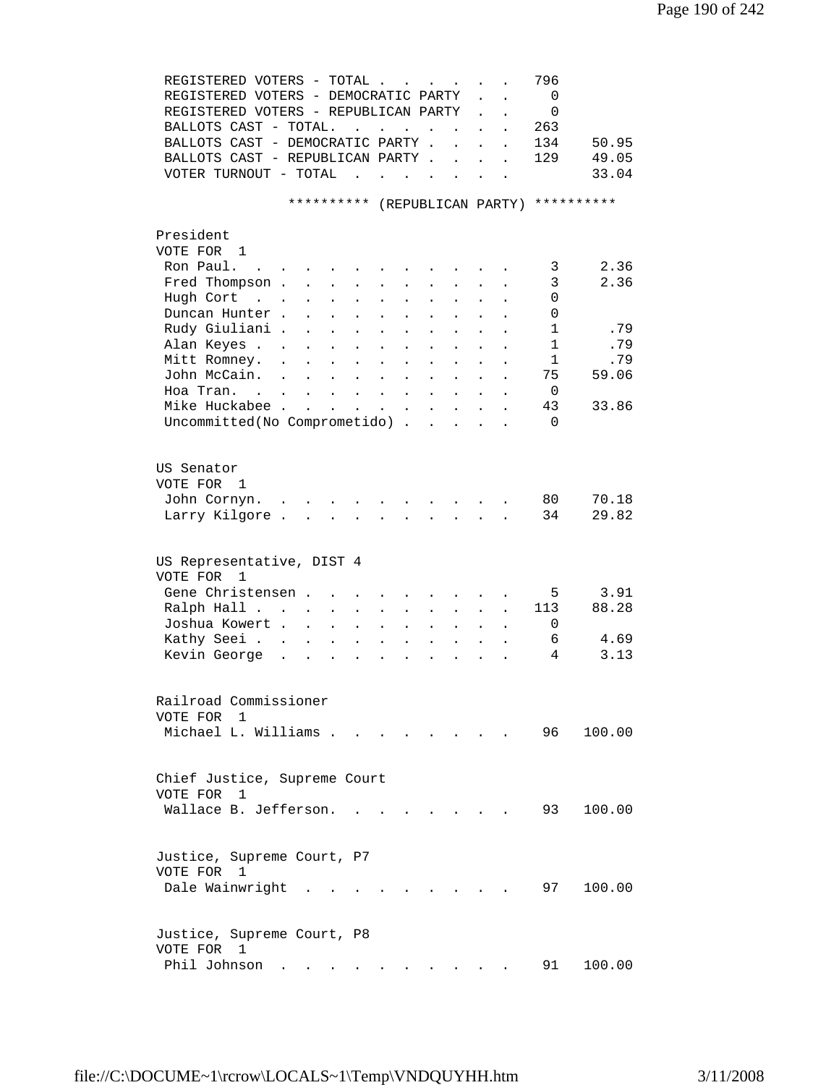| REGISTERED VOTERS - TOTAL                                                                                                                      |                                              |                                        | 796            |            |
|------------------------------------------------------------------------------------------------------------------------------------------------|----------------------------------------------|----------------------------------------|----------------|------------|
| REGISTERED VOTERS - DEMOCRATIC PARTY                                                                                                           |                                              |                                        | $\overline{0}$ |            |
| REGISTERED VOTERS - REPUBLICAN PARTY                                                                                                           |                                              |                                        | $\mathbf{0}$   |            |
| BALLOTS CAST - TOTAL.<br>the contract of the contract of                                                                                       |                                              |                                        | 263            |            |
| BALLOTS CAST - DEMOCRATIC PARTY.                                                                                                               | $\ddot{\phantom{0}}$<br>$\sim$               | $\ddot{\phantom{a}}$                   | 134            | 50.95      |
| BALLOTS CAST - REPUBLICAN PARTY                                                                                                                |                                              |                                        | 129            | 49.05      |
| VOTER TURNOUT - TOTAL<br>$\sim$ $\sim$<br>$\sim$<br>$\mathbf{L}$<br>$\sim$ $-$                                                                 |                                              |                                        |                | 33.04      |
|                                                                                                                                                |                                              |                                        |                |            |
| ********** (REPUBLICAN PARTY)                                                                                                                  |                                              |                                        |                | ********** |
|                                                                                                                                                |                                              |                                        |                |            |
| President                                                                                                                                      |                                              |                                        |                |            |
| VOTE FOR 1                                                                                                                                     |                                              |                                        |                |            |
| Ron Paul.<br><b>Contract Contract Contract</b>                                                                                                 |                                              |                                        | 3              | 2.36       |
| Fred Thompson .<br>$\mathbf{L}^{\text{max}}$<br>$\ddot{\phantom{0}}$<br>$\ddot{\phantom{a}}$                                                   |                                              |                                        | 3              | 2.36       |
| Hugh Cort<br>$\mathcal{L}(\mathbf{z})$ , $\mathcal{L}(\mathbf{z})$ ,                                                                           |                                              |                                        | 0              |            |
| Duncan Hunter.                                                                                                                                 |                                              |                                        |                |            |
| $\ddot{\phantom{a}}$                                                                                                                           |                                              |                                        | 0              |            |
| Rudy Giuliani .<br>$\mathbf{L}$<br>$\ddot{\phantom{a}}$                                                                                        |                                              |                                        | $\mathbf{1}$   | .79        |
| Alan Keyes<br>$\sim$<br>$\ddot{\phantom{0}}$<br>$\ddot{\phantom{0}}$<br>$\ddot{\phantom{0}}$                                                   |                                              |                                        | $\mathbf{1}$   | .79        |
| Mitt Romney.<br>$\ddot{\phantom{a}}$<br>$\mathbf{r}$<br>$\mathbf{r}$<br>$\ddot{\phantom{0}}$<br>$\mathbf{L}$<br>$\sim$<br>$\ddot{\phantom{a}}$ | $\ddot{\phantom{0}}$<br>$\ddot{\phantom{a}}$ |                                        | $\mathbf{1}$   | .79        |
| John McCain.<br>$\sim$<br>$\mathbf{r}$ , $\mathbf{r}$ , $\mathbf{r}$ , $\mathbf{r}$<br>$\mathbf{L} = \mathbf{L}$                               | $\mathbf{L}$<br>$\ddot{\phantom{a}}$         |                                        | 75             | 59.06      |
| Hoa Tran.                                                                                                                                      |                                              | $\mathbf{L}^{\text{max}}$<br>$\bullet$ | 0              |            |
| Mike Huckabee                                                                                                                                  |                                              |                                        | 43             | 33.86      |
| Uncommitted (No Comprometido)                                                                                                                  |                                              |                                        | $\Omega$       |            |
|                                                                                                                                                |                                              |                                        |                |            |
|                                                                                                                                                |                                              |                                        |                |            |
| US Senator                                                                                                                                     |                                              |                                        |                |            |
| VOTE FOR 1                                                                                                                                     |                                              |                                        |                |            |
| John Cornyn.                                                                                                                                   |                                              |                                        | 80             | 70.18      |
| Larry Kilgore.<br>$\mathbf{r}$ , and $\mathbf{r}$ , and $\mathbf{r}$ , and $\mathbf{r}$                                                        |                                              |                                        | 34             | 29.82      |
|                                                                                                                                                |                                              |                                        |                |            |
|                                                                                                                                                |                                              |                                        |                |            |
| US Representative, DIST 4                                                                                                                      |                                              |                                        |                |            |
| VOTE FOR<br>1                                                                                                                                  |                                              |                                        |                |            |
| Gene Christensen                                                                                                                               |                                              |                                        | 5              | 3.91       |
| Ralph Hall<br>$\ddot{\phantom{0}}$                                                                                                             |                                              |                                        | 113            | 88.28      |
| $\ddot{\phantom{a}}$                                                                                                                           |                                              |                                        |                |            |
| Joshua Kowert<br>$\mathcal{L}^{\text{max}}$<br>$\ddot{\phantom{a}}$<br>$\ddot{\phantom{0}}$<br>$\ddot{\phantom{a}}$<br>$\ddot{\phantom{a}}$    | $\sim$                                       |                                        | 0              |            |
| Kathy Seei<br>$\sim$ 100 $\pm$<br>$\sim$<br>$\sim$                                                                                             | $\sim$<br>$\mathbf{L}$                       |                                        | 6              | 4.69       |
| Kevin George.<br>$\sim$ $\sim$ $\sim$<br>$\mathbf{z} = \mathbf{z} + \mathbf{z} + \mathbf{z}$<br>$\ddot{\phantom{a}}$<br>$\sim$                 | $\mathbf{L}$<br>$\sim$                       |                                        | 4              | 3.13       |
|                                                                                                                                                |                                              |                                        |                |            |
|                                                                                                                                                |                                              |                                        |                |            |
| Railroad Commissioner                                                                                                                          |                                              |                                        |                |            |
| VOTE FOR<br>-1                                                                                                                                 |                                              |                                        |                |            |
| Michael L. Williams                                                                                                                            |                                              |                                        | 96             | 100.00     |
|                                                                                                                                                |                                              |                                        |                |            |
|                                                                                                                                                |                                              |                                        |                |            |
| Chief Justice, Supreme Court                                                                                                                   |                                              |                                        |                |            |
| VOTE FOR<br>$\mathbf{1}$                                                                                                                       |                                              |                                        |                |            |
| Wallace B. Jefferson.                                                                                                                          |                                              |                                        | 93             | 100.00     |
|                                                                                                                                                |                                              |                                        |                |            |
|                                                                                                                                                |                                              |                                        |                |            |
| Justice, Supreme Court, P7                                                                                                                     |                                              |                                        |                |            |
| VOTE FOR 1                                                                                                                                     |                                              |                                        |                |            |
| Dale Wainwright                                                                                                                                |                                              |                                        | 97             | 100.00     |
|                                                                                                                                                |                                              |                                        |                |            |
|                                                                                                                                                |                                              |                                        |                |            |
| Justice, Supreme Court, P8                                                                                                                     |                                              |                                        |                |            |
| VOTE FOR 1                                                                                                                                     |                                              |                                        |                |            |
| Phil Johnson                                                                                                                                   |                                              |                                        | 91             | 100.00     |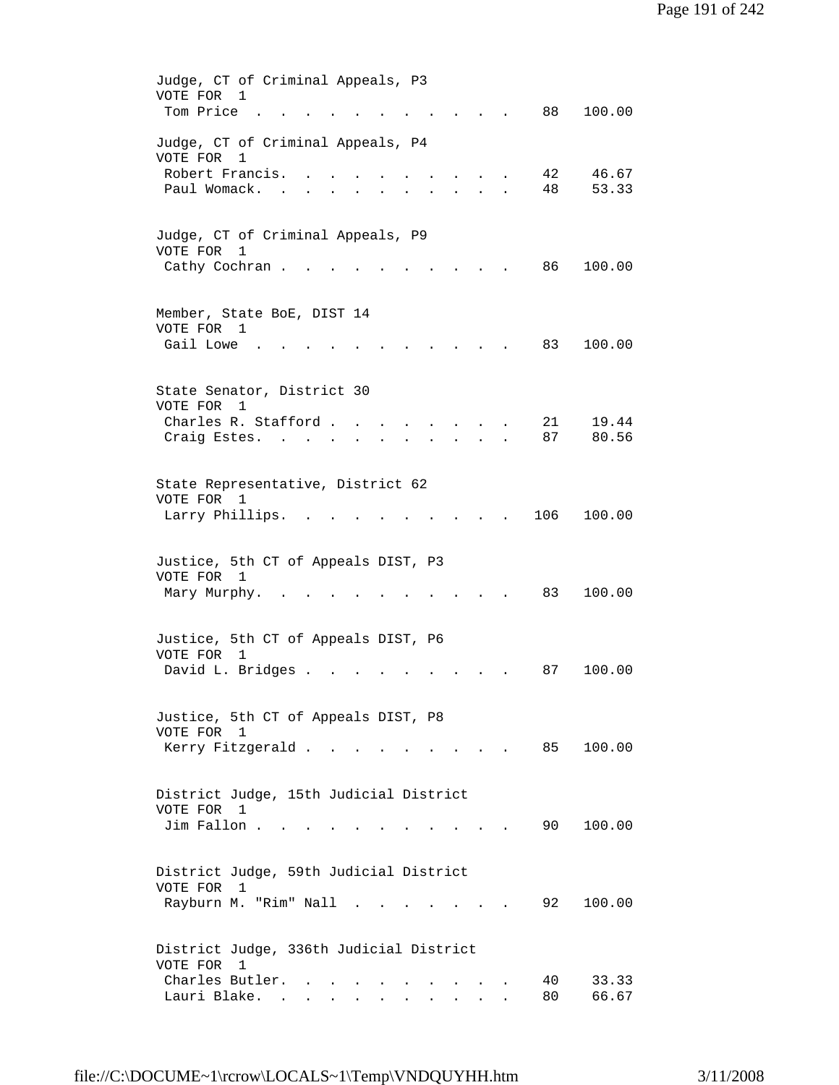| Judge, CT of Criminal Appeals, P3               |
|-------------------------------------------------|
| VOTE FOR<br>1                                   |
| Tom Price<br>88<br>100.00                       |
| Judge, CT of Criminal Appeals, P4               |
| VOTE FOR<br>1                                   |
| Robert Francis.<br>42<br>46.67                  |
| 53.33<br>Paul Womack.<br>48                     |
|                                                 |
|                                                 |
| Judge, CT of Criminal Appeals, P9               |
| VOTE FOR<br>1                                   |
| Cathy Cochran.<br>86<br>100.00                  |
|                                                 |
| Member, State BoE, DIST 14                      |
| VOTE FOR 1                                      |
| Gail Lowe<br>83<br>100.00                       |
|                                                 |
|                                                 |
| State Senator, District 30                      |
| VOTE FOR<br>1                                   |
| Charles R. Stafford.<br>21<br>19.44             |
| 87<br>80.56<br>Craig Estes.                     |
|                                                 |
|                                                 |
| State Representative, District 62<br>VOTE FOR 1 |
| 106<br>Larry Phillips.<br>100.00                |
|                                                 |
|                                                 |
| Justice, 5th CT of Appeals DIST, P3             |
| VOTE FOR<br>$\mathbf{1}$                        |
| Mary Murphy.<br>83<br>100.00                    |
|                                                 |
|                                                 |
| Justice, 5th CT of Appeals DIST, P6             |
| VOTE FOR<br>$\mathbf{1}$                        |
| David L. Bridges .<br>100.00<br>87              |
|                                                 |
| Justice, 5th CT of Appeals DIST, P8             |
| VOTE FOR 1                                      |
| Kerry Fitzgerald<br>85 100.00                   |
|                                                 |
|                                                 |
| District Judge, 15th Judicial District          |
| VOTE FOR<br>$\overline{1}$                      |
| Jim Fallon<br>90 —<br>100.00                    |
|                                                 |
| District Judge, 59th Judicial District          |
| VOTE FOR 1                                      |
| Rayburn M. "Rim" Nall<br>92<br>100.00<br>$\sim$ |
|                                                 |
|                                                 |
| District Judge, 336th Judicial District         |
| VOTE FOR 1                                      |
| Charles Butler.<br>40<br>33.33                  |
| Lauri Blake.<br>66.67<br>80<br>$\sim$           |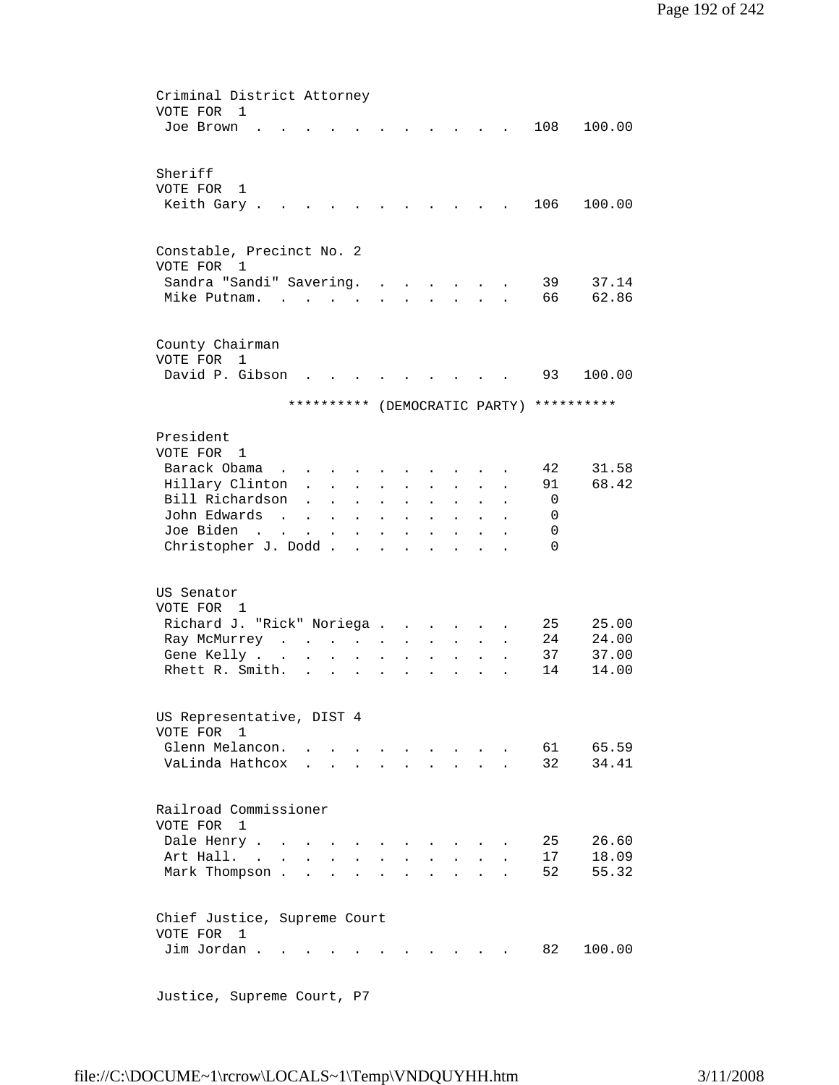```
 Criminal District Attorney 
 VOTE FOR 1 
Joe Brown . . . . . . . . . . . 108 100.00
 Sheriff 
 VOTE FOR 1 
Keith Gary . . . . . . . . . . . 106 100.00
 Constable, Precinct No. 2 
 VOTE FOR 1 
 Sandra "Sandi" Savering. . . . . . . 39 37.14
Mike Putnam. . . . . . . . . . . . 66 62.86
 County Chairman 
 VOTE FOR 1 
David P. Gibson . . . . . . . . . 93 100.00
               ********** (DEMOCRATIC PARTY) ********** 
 President 
 VOTE FOR 1 
Barack Obama . . . . . . . . . . . 42 31.58<br>Hillary Clinton . . . . . . . . . 91 68.42
Hillary Clinton . . . . . . . . .
 Bill Richardson . . . . . . . . . 0
 John Edwards . . . . . . . . . . 0
 Joe Biden . . . . . . . . . . . 0
 Christopher J. Dodd . . . . . . . . 0
 US Senator 
 VOTE FOR 1 
Richard J. "Rick" Noriega . . . . . . 25 25.00
Ray McMurrey . . . . . . . . . . 24 24.00
 Gene Kelly . . . . . . . . . . . 37 37.00
Rhett R. Smith. . . . . . . . . . 14 14.00
 US Representative, DIST 4 
 VOTE FOR 1 
Glenn Melancon. . . . . . . . . . . 61 65.59
VaLinda Hathcox . . . . . . . . . 32 34.41
 Railroad Commissioner 
 VOTE FOR 1 
Dale Henry . . . . . . . . . . . 25 26.60
Art Hall. . . . . . . . . . . . . 17 18.09<br>Mark Thompson . . . . . . . . . . 52 55.32
Mark Thompson . . . . . . . . . . .
 Chief Justice, Supreme Court 
 VOTE FOR 1 
Jim Jordan . . . . . . . . . . . . 82 100.00
```
file://C:\DOCUME~1\rcrow\LOCALS~1\Temp\VNDQUYHH.htm 3/11/2008

Justice, Supreme Court, P7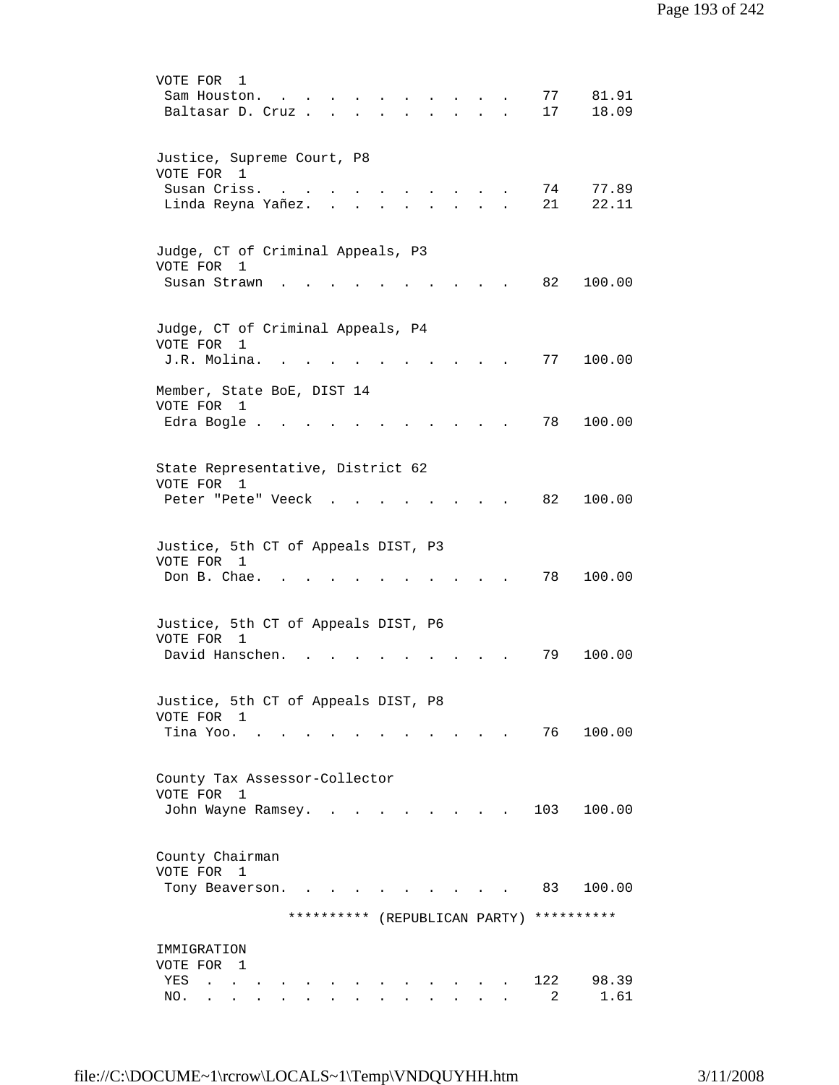| VOTE FOR<br>1<br>81.91<br>77<br>Sam Houston.<br>18.09<br>17<br>Baltasar D. Cruz<br>$\mathbf{r} = \mathbf{r}$<br>$\mathbf{r}$ |  |
|------------------------------------------------------------------------------------------------------------------------------|--|
| Justice, Supreme Court, P8<br>VOTE FOR 1<br>Susan Criss.<br>77.89<br>74<br>21<br>22.11<br>Linda Reyna Yañez.                 |  |
| Judge, CT of Criminal Appeals, P3<br>VOTE FOR<br>1<br>Susan Strawn<br>82<br>100.00                                           |  |
| Judge, CT of Criminal Appeals, P4<br>VOTE FOR<br>1<br>J.R. Molina.<br>77<br>100.00                                           |  |
| Member, State BoE, DIST 14<br>VOTE FOR<br>1<br>78<br>100.00<br>Edra Bogle                                                    |  |
| State Representative, District 62<br>VOTE FOR 1<br>82<br>100.00<br>Peter "Pete" Veeck                                        |  |
| Justice, 5th CT of Appeals DIST, P3<br>VOTE FOR 1<br>Don B. Chae.<br>78<br>100.00                                            |  |
| Justice, 5th CT of Appeals DIST, P6<br>VOTE FOR<br>1<br>David Hanschen.<br>100.00<br>79                                      |  |
| Justice, 5th CT of Appeals DIST, P8<br>VOTE FOR 1<br>Tina Yoo.<br>76 —<br>100.00                                             |  |
| County Tax Assessor-Collector<br>VOTE FOR<br>1<br>103<br>100.00<br>John Wayne Ramsey.                                        |  |
| County Chairman<br>VOTE FOR<br>$\mathbf{1}$<br>83<br>100.00<br>Tony Beaverson.                                               |  |
| **********<br>********** (REPUBLICAN PARTY)                                                                                  |  |
| IMMIGRATION<br>VOTE FOR 1<br>122<br>98.39<br>YES<br>2<br>1.61<br>NO.                                                         |  |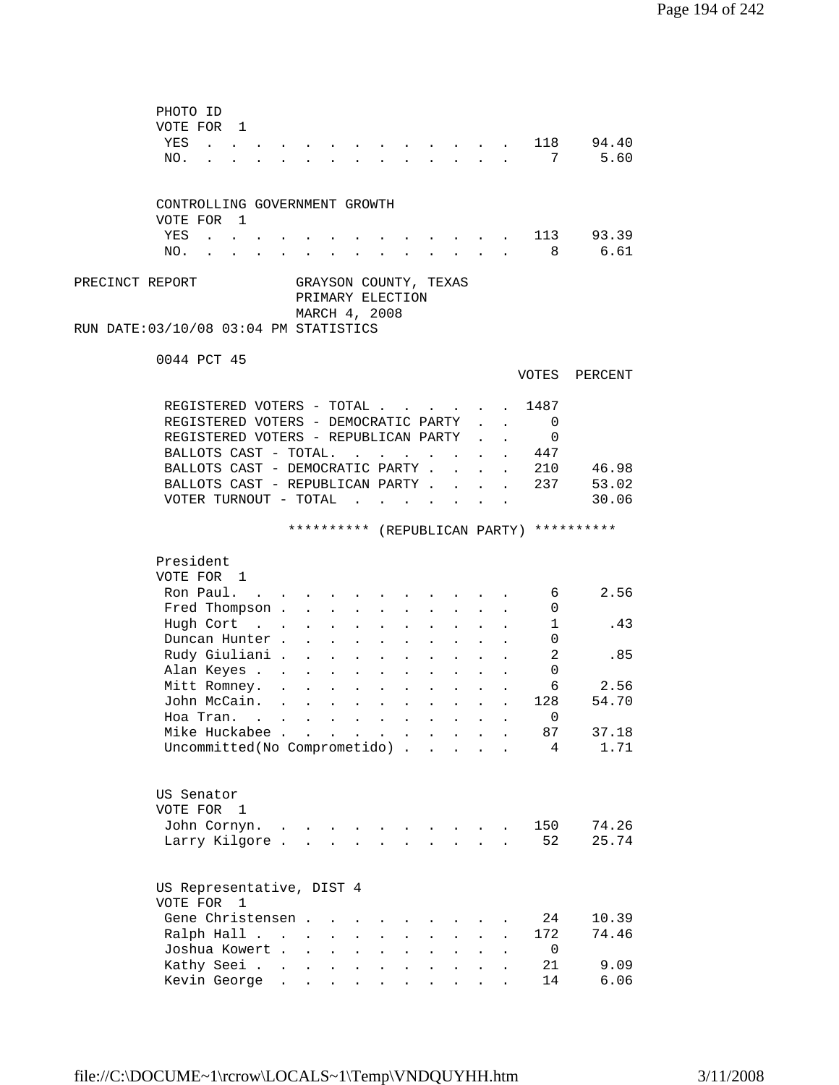| PHOTO ID<br>VOTE FOR 1<br>YES<br><b>Carl Carl Carl</b><br>NO.                                          |                      |                                                            |                           |                                      |                                                                          |                      | $\sim$                                   |                                                                                                              |                                                                 |              | 118<br>7       | 94.40<br>5.60                            |  |
|--------------------------------------------------------------------------------------------------------|----------------------|------------------------------------------------------------|---------------------------|--------------------------------------|--------------------------------------------------------------------------|----------------------|------------------------------------------|--------------------------------------------------------------------------------------------------------------|-----------------------------------------------------------------|--------------|----------------|------------------------------------------|--|
| CONTROLLING GOVERNMENT GROWTH                                                                          |                      |                                                            |                           |                                      |                                                                          |                      |                                          |                                                                                                              |                                                                 |              |                |                                          |  |
| VOTE FOR 1                                                                                             |                      |                                                            |                           |                                      |                                                                          |                      |                                          |                                                                                                              |                                                                 |              |                | 113 93.39                                |  |
| YES<br>$\mathbf{r}$ , $\mathbf{r}$ , $\mathbf{r}$<br>NO.<br>$\mathbf{r}$ , $\mathbf{r}$ , $\mathbf{r}$ | $\mathbf{L}$         | and a strong control of the state of                       |                           |                                      |                                                                          |                      |                                          | $\sim$ $\sim$ $\sim$ $\sim$<br>$\mathbf{1}$ $\mathbf{1}$ $\mathbf{1}$ $\mathbf{1}$ $\mathbf{1}$ $\mathbf{1}$ |                                                                 |              |                | 8 6.61                                   |  |
|                                                                                                        |                      |                                                            |                           |                                      |                                                                          |                      |                                          |                                                                                                              |                                                                 |              |                |                                          |  |
| PRECINCT REPORT<br>RUN DATE:03/10/08 03:04 PM STATISTICS                                               |                      | GRAYSON COUNTY, TEXAS<br>PRIMARY ELECTION<br>MARCH 4, 2008 |                           |                                      |                                                                          |                      |                                          |                                                                                                              |                                                                 |              |                |                                          |  |
|                                                                                                        |                      |                                                            |                           |                                      |                                                                          |                      |                                          |                                                                                                              |                                                                 |              |                |                                          |  |
| 0044 PCT 45                                                                                            |                      |                                                            |                           |                                      |                                                                          |                      |                                          |                                                                                                              |                                                                 |              | VOTES          | PERCENT                                  |  |
| REGISTERED VOTERS - TOTAL                                                                              |                      |                                                            |                           |                                      |                                                                          |                      |                                          |                                                                                                              |                                                                 |              | . 1487         |                                          |  |
| REGISTERED VOTERS - DEMOCRATIC PARTY                                                                   |                      |                                                            |                           |                                      |                                                                          |                      |                                          |                                                                                                              |                                                                 |              | $\overline{0}$ |                                          |  |
| REGISTERED VOTERS - REPUBLICAN PARTY                                                                   |                      |                                                            |                           |                                      |                                                                          |                      |                                          |                                                                                                              |                                                                 |              | 0              |                                          |  |
| BALLOTS CAST - TOTAL.                                                                                  |                      |                                                            |                           |                                      |                                                                          |                      |                                          |                                                                                                              |                                                                 |              | 447            |                                          |  |
| BALLOTS CAST - DEMOCRATIC PARTY.                                                                       |                      |                                                            |                           |                                      |                                                                          |                      |                                          | $\mathbf{L}$                                                                                                 | $\mathbf{L}$                                                    | $\mathbf{L}$ | 210            | 46.98                                    |  |
| BALLOTS CAST - REPUBLICAN PARTY                                                                        |                      |                                                            |                           |                                      |                                                                          |                      |                                          |                                                                                                              |                                                                 |              | 237            | 53.02                                    |  |
| VOTER TURNOUT - TOTAL                                                                                  |                      |                                                            |                           |                                      |                                                                          |                      |                                          |                                                                                                              |                                                                 |              |                | 30.06                                    |  |
|                                                                                                        |                      |                                                            |                           |                                      |                                                                          |                      |                                          |                                                                                                              |                                                                 |              |                | ********** (REPUBLICAN PARTY) ********** |  |
| President                                                                                              |                      |                                                            |                           |                                      |                                                                          |                      |                                          |                                                                                                              |                                                                 |              |                |                                          |  |
| VOTE FOR 1<br>Ron Paul. .                                                                              |                      |                                                            |                           |                                      |                                                                          |                      |                                          |                                                                                                              |                                                                 |              | 6              | 2.56                                     |  |
| Fred Thompson                                                                                          |                      |                                                            |                           |                                      | $\sim$ 100 $\pm$                                                         | $\sim$               | $\sim 10^{-11}$                          | $\sim$                                                                                                       |                                                                 |              | 0              |                                          |  |
| Hugh Cort                                                                                              |                      | $\mathbf{L}$                                               | $\mathbf{r}$              | $\sim$ 100 $\pm$                     | $\mathbf{L}$                                                             | $\ddot{\phantom{a}}$ | $\sim$                                   | $\mathbf{L}^{\text{max}}$                                                                                    | $\mathbf{L}$                                                    |              | 1              | .43                                      |  |
| Duncan Hunter.                                                                                         |                      | $\mathbf{r}$                                               |                           | $\mathbf{L} = \mathbf{L} \mathbf{L}$ |                                                                          | $\ddot{\phantom{a}}$ | $\sim$                                   |                                                                                                              |                                                                 |              | 0              |                                          |  |
| Rudy Giuliani .                                                                                        |                      | $\mathcal{L}^{\text{max}}$                                 | $\ddot{\phantom{0}}$      | $\sim 100$                           | $\mathbf{L}^{\text{max}}$                                                | $\blacksquare$       | $\sim$ 100 $\pm$                         | $\bullet$ .<br><br><br><br><br><br><br><br><br><br><br><br>                                                  | $\bullet$ .<br><br><br><br><br><br><br><br><br><br><br><br><br> |              | 2              | .85                                      |  |
| Alan Keyes                                                                                             |                      |                                                            | $\bullet$                 | <b>Contractor</b>                    | $\mathcal{L}^{\text{max}}$                                               |                      | $\mathbf{z} = \mathbf{z} + \mathbf{z}$ . |                                                                                                              |                                                                 |              | 0              |                                          |  |
| Mitt Romney.                                                                                           |                      | $\mathbf{L}^{\text{max}}$ , and $\mathbf{L}^{\text{max}}$  | $\mathbf{L}^{\text{max}}$ | $\sim 100$                           | $\bullet$ .<br><br><br><br><br><br><br><br><br><br><br><br>              |                      | $\mathbf{z} = \mathbf{z} + \mathbf{z}$ . |                                                                                                              |                                                                 |              | 6              | 2.56                                     |  |
| John McCain.                                                                                           |                      |                                                            |                           |                                      |                                                                          |                      |                                          | $\mathbf{z} = \mathbf{z}$                                                                                    |                                                                 | $\sim 100$   | 128            | 54.70                                    |  |
| Hoa Tran. $\cdot \cdot \cdot \cdot \cdot \cdot$                                                        |                      |                                                            |                           |                                      |                                                                          |                      |                                          |                                                                                                              |                                                                 |              | $\overline{0}$ |                                          |  |
| Mike Huckabee<br>Uncommitted(No Comprometido).                                                         |                      |                                                            |                           |                                      | $\mathbf{z} = \mathbf{z} + \mathbf{z}$ , where $\mathbf{z} = \mathbf{z}$ | $\sim$               | $\sim$ $\sim$                            | $\mathbb{Z}^2$ and $\mathbb{Z}^2$                                                                            |                                                                 |              | 87<br>4        | 37.18<br>1.71                            |  |
|                                                                                                        |                      |                                                            |                           |                                      |                                                                          |                      |                                          |                                                                                                              |                                                                 |              |                |                                          |  |
| US Senator<br>VOTE FOR 1                                                                               |                      |                                                            |                           |                                      |                                                                          |                      |                                          |                                                                                                              |                                                                 |              |                |                                          |  |
| John Cornyn.                                                                                           |                      |                                                            |                           |                                      |                                                                          |                      |                                          |                                                                                                              |                                                                 |              |                |                                          |  |
|                                                                                                        | $\ddot{\phantom{a}}$ |                                                            |                           |                                      |                                                                          |                      |                                          |                                                                                                              |                                                                 |              | 150            | 74.26                                    |  |
| Larry Kilgore.                                                                                         |                      |                                                            |                           |                                      |                                                                          |                      |                                          |                                                                                                              |                                                                 |              | 52             | 25.74                                    |  |
| US Representative, DIST 4<br>VOTE FOR 1                                                                |                      |                                                            |                           |                                      |                                                                          |                      |                                          |                                                                                                              |                                                                 |              |                |                                          |  |
| Gene Christensen.                                                                                      |                      |                                                            |                           |                                      |                                                                          |                      |                                          |                                                                                                              |                                                                 |              | 24             | 10.39                                    |  |
| Ralph Hall                                                                                             |                      | $\bullet$                                                  | $\mathbf{L}^{\text{max}}$ | $\ddot{\phantom{a}}$                 |                                                                          |                      |                                          |                                                                                                              |                                                                 |              | 172            | 74.46                                    |  |
| Joshua Kowert .                                                                                        |                      | $\ddot{\phantom{a}}$                                       | $\ddot{\phantom{a}}$      | $\ddot{\phantom{a}}$                 |                                                                          |                      |                                          |                                                                                                              |                                                                 |              | 0              |                                          |  |
| Kathy Seei .<br>Kevin George                                                                           | $\bullet$            | $\bullet$                                                  | $\mathbf{L}^{\text{max}}$ | $\bullet$                            |                                                                          |                      |                                          |                                                                                                              |                                                                 |              | 21<br>14       | 9.09<br>6.06                             |  |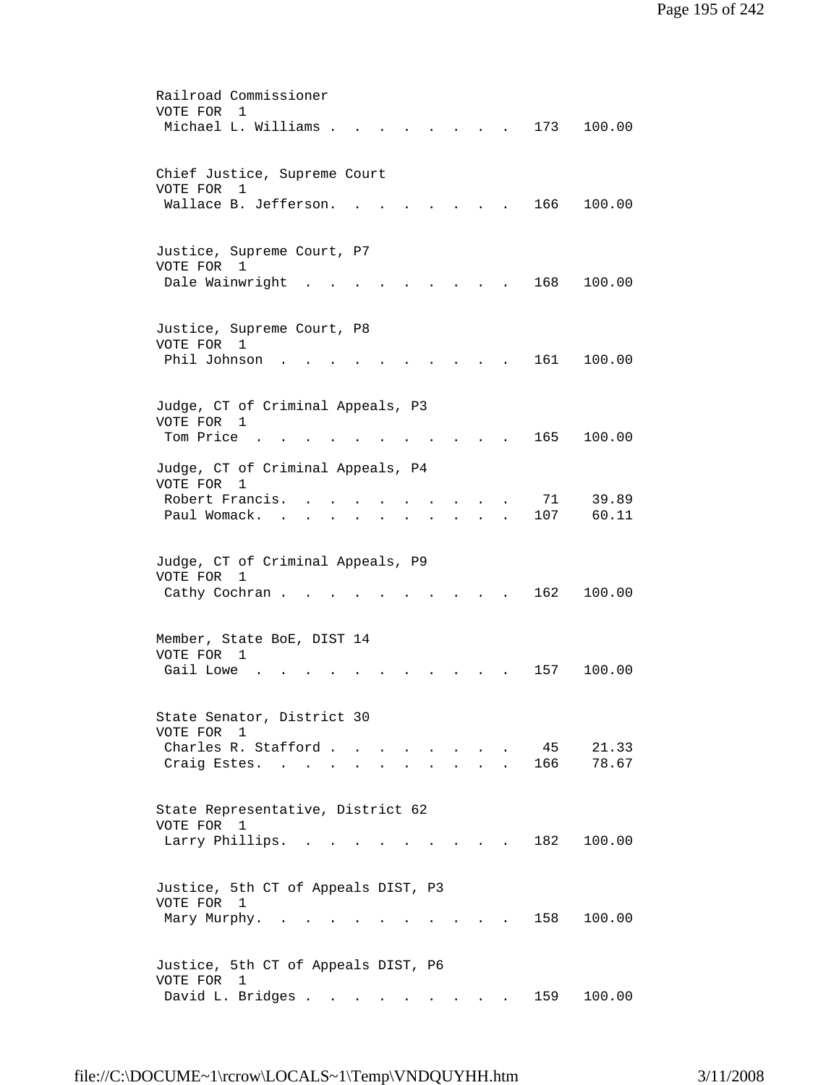| Railroad Commissioner                                                                                                            |
|----------------------------------------------------------------------------------------------------------------------------------|
| VOTE FOR<br>1                                                                                                                    |
| Michael L. Williams .<br>173<br>100.00                                                                                           |
|                                                                                                                                  |
|                                                                                                                                  |
| Chief Justice, Supreme Court                                                                                                     |
| VOTE FOR<br>1                                                                                                                    |
| Wallace B. Jefferson.<br>166<br>100.00                                                                                           |
|                                                                                                                                  |
|                                                                                                                                  |
| Justice, Supreme Court, P7                                                                                                       |
| VOTE FOR 1                                                                                                                       |
| Dale Wainwright<br>168<br>100.00                                                                                                 |
|                                                                                                                                  |
|                                                                                                                                  |
| Justice, Supreme Court, P8                                                                                                       |
| VOTE FOR 1                                                                                                                       |
| Phil Johnson<br>161<br>100.00                                                                                                    |
|                                                                                                                                  |
|                                                                                                                                  |
| Judge, CT of Criminal Appeals, P3                                                                                                |
| VOTE FOR<br>1                                                                                                                    |
| Tom Price.<br>165<br>100.00                                                                                                      |
|                                                                                                                                  |
| Judge, CT of Criminal Appeals, P4                                                                                                |
| VOTE FOR<br>$\mathbf{1}$                                                                                                         |
| Robert Francis.<br>39.89<br>71                                                                                                   |
| 107<br>60.11<br>Paul Womack.                                                                                                     |
|                                                                                                                                  |
|                                                                                                                                  |
| Judge, CT of Criminal Appeals, P9                                                                                                |
| VOTE FOR<br>1                                                                                                                    |
| Cathy Cochran.<br>162<br>100.00                                                                                                  |
|                                                                                                                                  |
|                                                                                                                                  |
| Member, State BoE, DIST 14                                                                                                       |
| VOTE FOR<br>1                                                                                                                    |
| Gail Lowe<br>100.00<br>157                                                                                                       |
|                                                                                                                                  |
|                                                                                                                                  |
| State Senator, District 30                                                                                                       |
| VOTE FOR<br>1                                                                                                                    |
| Charles R. Stafford<br>21.33<br>45<br>$\sim$                                                                                     |
| Craig Estes. .<br>166<br>78.67                                                                                                   |
|                                                                                                                                  |
|                                                                                                                                  |
| State Representative, District 62                                                                                                |
| VOTE FOR 1                                                                                                                       |
| Larry Phillips.<br>182<br>100.00                                                                                                 |
|                                                                                                                                  |
|                                                                                                                                  |
| Justice, 5th CT of Appeals DIST, P3                                                                                              |
| VOTE FOR 1                                                                                                                       |
| Mary Murphy.<br>158<br>100.00                                                                                                    |
|                                                                                                                                  |
|                                                                                                                                  |
| Justice, 5th CT of Appeals DIST, P6                                                                                              |
| VOTE FOR 1                                                                                                                       |
| David L. Bridges<br>159<br>100.00<br>$\sim$<br>$\mathbf{r}$ , $\mathbf{r}$ , $\mathbf{r}$ , $\mathbf{r}$<br>$\ddot{\phantom{a}}$ |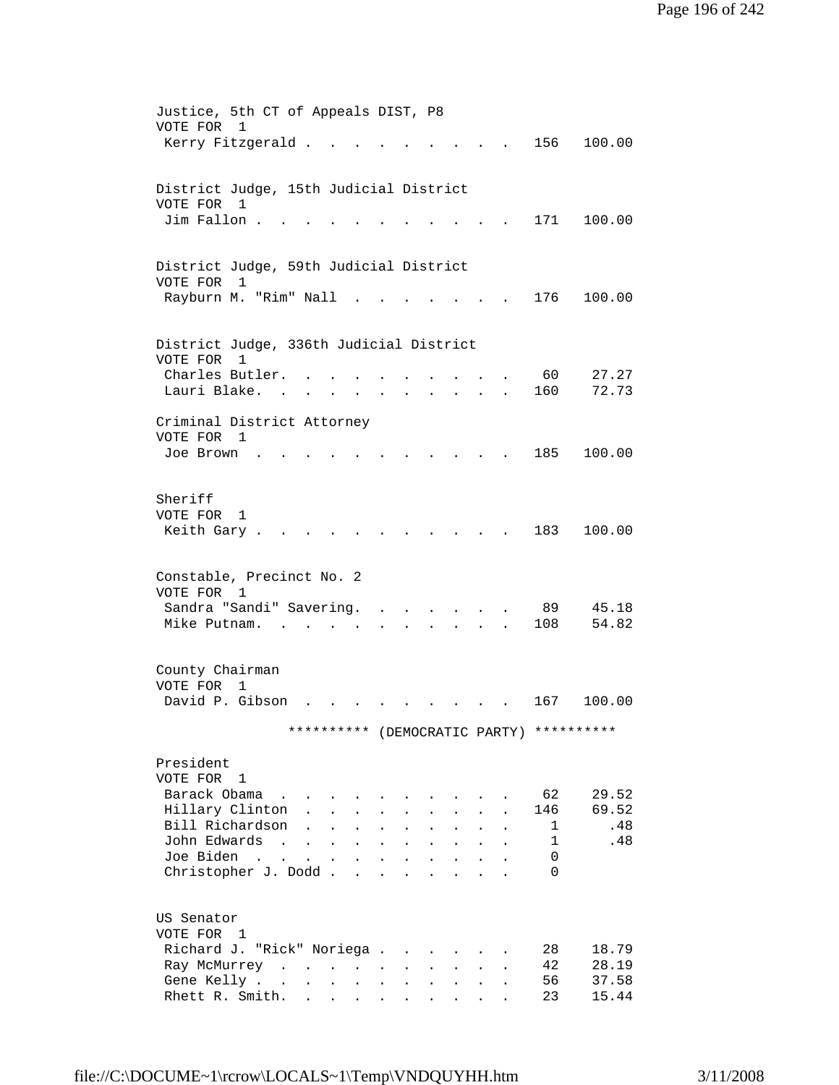| Justice, 5th CT of Appeals DIST, P8<br>VOTE FOR 1                                                                                                                                                                                                                               |                             |
|---------------------------------------------------------------------------------------------------------------------------------------------------------------------------------------------------------------------------------------------------------------------------------|-----------------------------|
| Kerry Fitzgerald .                                                                                                                                                                                                                                                              | 156<br>100.00               |
|                                                                                                                                                                                                                                                                                 |                             |
|                                                                                                                                                                                                                                                                                 |                             |
| District Judge, 15th Judicial District<br>VOTE FOR<br>1                                                                                                                                                                                                                         |                             |
| Jim Fallon.                                                                                                                                                                                                                                                                     | 171<br>100.00               |
|                                                                                                                                                                                                                                                                                 |                             |
|                                                                                                                                                                                                                                                                                 |                             |
| District Judge, 59th Judicial District                                                                                                                                                                                                                                          |                             |
| VOTE FOR<br>$\mathbf{1}$<br>Rayburn M. "Rim" Nall                                                                                                                                                                                                                               | 176<br>100.00               |
|                                                                                                                                                                                                                                                                                 |                             |
|                                                                                                                                                                                                                                                                                 |                             |
| District Judge, 336th Judicial District<br>VOTE FOR 1                                                                                                                                                                                                                           |                             |
| Charles Butler.                                                                                                                                                                                                                                                                 | 27.27<br>60                 |
| Lauri Blake.                                                                                                                                                                                                                                                                    | 72.73<br>160                |
|                                                                                                                                                                                                                                                                                 |                             |
| Criminal District Attorney<br>VOTE FOR 1                                                                                                                                                                                                                                        |                             |
| Joe Brown                                                                                                                                                                                                                                                                       | 185<br>100.00               |
|                                                                                                                                                                                                                                                                                 |                             |
|                                                                                                                                                                                                                                                                                 |                             |
| Sheriff<br>VOTE FOR 1                                                                                                                                                                                                                                                           |                             |
| Keith Gary.                                                                                                                                                                                                                                                                     | 183<br>100.00               |
|                                                                                                                                                                                                                                                                                 |                             |
|                                                                                                                                                                                                                                                                                 |                             |
| Constable, Precinct No. 2<br>VOTE FOR<br>1                                                                                                                                                                                                                                      |                             |
| Sandra "Sandi" Savering.                                                                                                                                                                                                                                                        | 89<br>45.18                 |
| Mike Putnam.                                                                                                                                                                                                                                                                    | 54.82<br>108                |
|                                                                                                                                                                                                                                                                                 |                             |
| County Chairman                                                                                                                                                                                                                                                                 |                             |
| VOTE FOR 1                                                                                                                                                                                                                                                                      |                             |
| David P. Gibson                                                                                                                                                                                                                                                                 | 100.00<br>167               |
| ********** (DEMOCRATIC PARTY) **********                                                                                                                                                                                                                                        |                             |
|                                                                                                                                                                                                                                                                                 |                             |
| President                                                                                                                                                                                                                                                                       |                             |
| VOTE FOR 1                                                                                                                                                                                                                                                                      |                             |
| Barack Obama<br><b>Contract Contract Contract Contract</b><br>Hillary Clinton<br>$\mathbf{r}$<br>$\mathbf{A}$                                                                                                                                                                   | 29.52<br>62<br>69.52<br>146 |
| Bill Richardson<br>$\mathbf{A}^{\mathbf{r}}$<br>$\mathbf{L}$<br>$\mathbf{r}$<br>$\ddot{\phantom{a}}$                                                                                                                                                                            | .48<br>$\mathbf{1}$         |
| John Edwards<br>$\mathbf{r}$ . The set of $\mathbf{r}$<br>$\sim$<br>$\ddot{\phantom{0}}$<br>$\ddot{\phantom{a}}$                                                                                                                                                                | $\mathbf{1}$<br>.48         |
| Joe Biden<br>and the contract of the contract of the contract of the contract of the contract of the contract of the contract of the contract of the contract of the contract of the contract of the contract of the contract of the contra<br>$\mathbf{L}$<br>$\sim$ 100 $\pm$ | $\Omega$                    |
| Christopher J. Dodd<br>$\ddot{\phantom{a}}$                                                                                                                                                                                                                                     | $\Omega$                    |
|                                                                                                                                                                                                                                                                                 |                             |
| US Senator                                                                                                                                                                                                                                                                      |                             |
| VOTE FOR 1                                                                                                                                                                                                                                                                      |                             |
| Richard J. "Rick" Noriega<br>$\ddot{\phantom{0}}$<br>Ray McMurrey                                                                                                                                                                                                               | 28<br>18.79<br>28.19<br>42  |
| $\ddot{\phantom{0}}$<br>Gene Kelly<br>$\mathbf{r} = \mathbf{r} + \mathbf{r} + \mathbf{r}$<br>$\mathbf{L}$ and $\mathbf{L}$<br>$\sim$ 100 $\mu$<br>$\ddot{\phantom{a}}$                                                                                                          | 56<br>37.58                 |
| Rhett R. Smith.<br>and the contract of the contract of the contract of the contract of the contract of the contract of the contract of the contract of the contract of the contract of the contract of the contract of the contract of the contra                               | 15.44<br>23                 |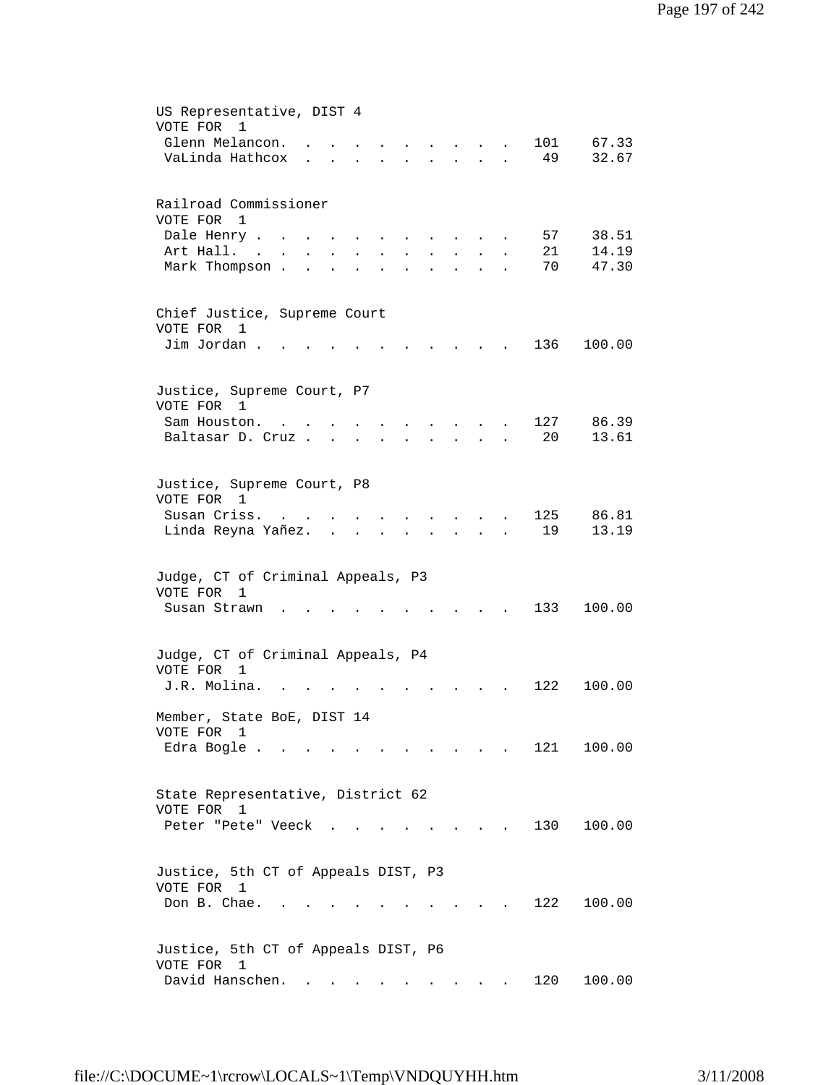| US Representative, DIST 4<br>VOTE FOR<br>1                                                                                                                        |
|-------------------------------------------------------------------------------------------------------------------------------------------------------------------|
| Glenn Melancon.<br>101<br>67.33                                                                                                                                   |
| 32.67<br>VaLinda Hathcox<br>49<br>$\mathbf{r}$ , and $\mathbf{r}$<br>$\ddot{\phantom{0}}$<br>$\ddot{\phantom{0}}$<br>$\ddot{\phantom{0}}$<br>$\ddot{\phantom{a}}$ |
|                                                                                                                                                                   |
| Railroad Commissioner                                                                                                                                             |
| VOTE FOR 1                                                                                                                                                        |
| 57<br>38.51<br>Dale Henry                                                                                                                                         |
| Art Hall.<br>21<br>14.19<br>$\mathbf{L} = \mathbf{L}$<br>$\sim$<br>$\mathbf{r}$<br>$\mathbf{A}$<br>$\mathbf{L}$<br>$\ddot{\phantom{a}}$<br>$\ddot{\phantom{a}}$   |
| Mark Thompson.<br>70<br>47.30<br>$\ddot{\phantom{a}}$<br>$\ddot{\phantom{a}}$<br>$\ddot{\phantom{a}}$                                                             |
| Chief Justice, Supreme Court                                                                                                                                      |
| VOTE FOR<br>$\overline{1}$                                                                                                                                        |
| Jim Jordan.<br>136<br>100.00                                                                                                                                      |
| Justice, Supreme Court, P7                                                                                                                                        |
| VOTE FOR 1                                                                                                                                                        |
| 127<br>86.39<br>Sam Houston.<br>$\overline{a}$                                                                                                                    |
| 13.61<br>Baltasar D. Cruz<br>20<br>$\mathbf{r} = \mathbf{r} \cdot \mathbf{r}$ , where $\mathbf{r} = \mathbf{r}$<br>$\bullet$                                      |
|                                                                                                                                                                   |
|                                                                                                                                                                   |
| Justice, Supreme Court, P8                                                                                                                                        |
| VOTE FOR 1                                                                                                                                                        |
| Susan Criss.<br>125<br>86.81                                                                                                                                      |
| Linda Reyna Yañez.<br>19<br>13.19                                                                                                                                 |
|                                                                                                                                                                   |
|                                                                                                                                                                   |
|                                                                                                                                                                   |
| Judge, CT of Criminal Appeals, P3                                                                                                                                 |
| VOTE FOR<br>1                                                                                                                                                     |
| 133<br>Susan Strawn<br>100.00                                                                                                                                     |
|                                                                                                                                                                   |
|                                                                                                                                                                   |
| Judge, CT of Criminal Appeals, P4                                                                                                                                 |
| VOTE FOR<br>$\mathbf{1}$                                                                                                                                          |
| J.R. Molina.<br>122<br>100.00                                                                                                                                     |
|                                                                                                                                                                   |
| Member, State BoE, DIST 14                                                                                                                                        |
| VOTE FOR 1                                                                                                                                                        |
| 121 100.00<br>Edra Bogle                                                                                                                                          |
|                                                                                                                                                                   |
|                                                                                                                                                                   |
| State Representative, District 62                                                                                                                                 |
| VOTE FOR 1                                                                                                                                                        |
| 100.00<br>130<br>Peter "Pete" Veeck                                                                                                                               |
|                                                                                                                                                                   |
|                                                                                                                                                                   |
| Justice, 5th CT of Appeals DIST, P3                                                                                                                               |
| VOTE FOR 1                                                                                                                                                        |
| Don B. Chae.<br>122<br>100.00                                                                                                                                     |
|                                                                                                                                                                   |
|                                                                                                                                                                   |
| Justice, 5th CT of Appeals DIST, P6                                                                                                                               |
| VOTE FOR 1                                                                                                                                                        |
| David Hanschen.<br>120<br>100.00                                                                                                                                  |
|                                                                                                                                                                   |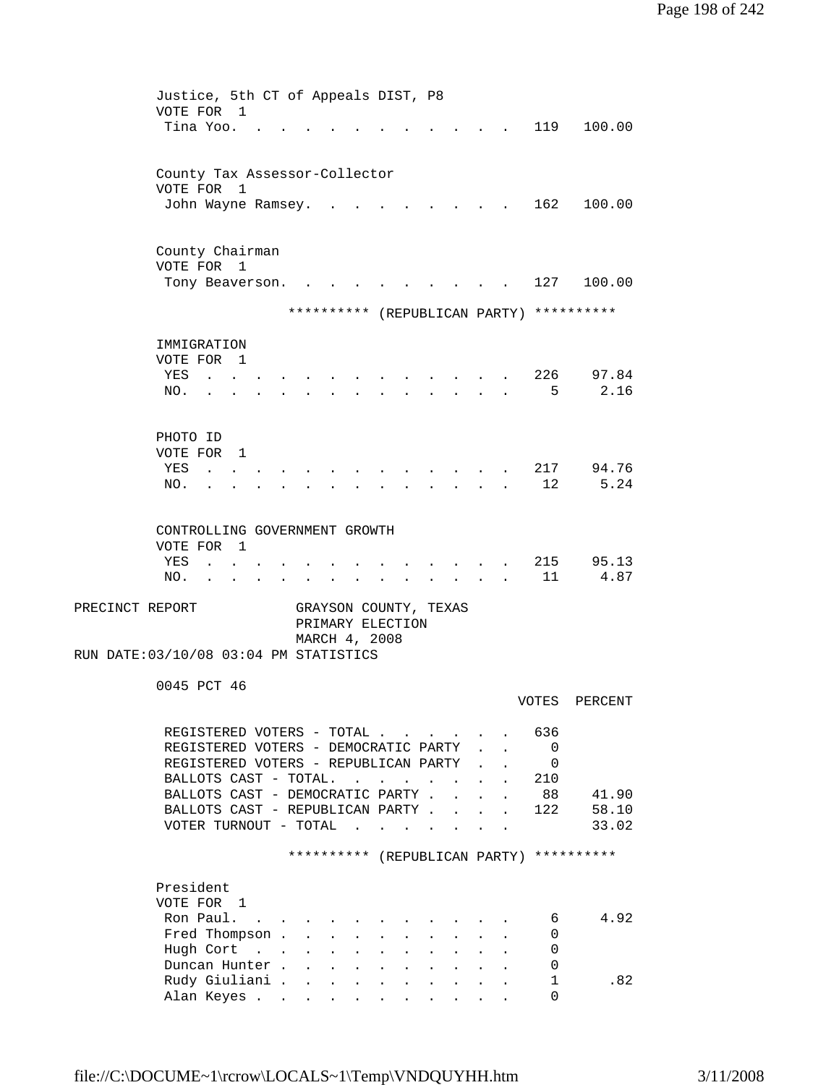| Justice, 5th CT of Appeals DIST, P8    |                      |                                              |                             |                      |                                            |                      |                            |               |                |                                          |
|----------------------------------------|----------------------|----------------------------------------------|-----------------------------|----------------------|--------------------------------------------|----------------------|----------------------------|---------------|----------------|------------------------------------------|
| VOTE FOR 1                             |                      |                                              |                             |                      |                                            |                      |                            |               |                |                                          |
| Tina Yoo.                              |                      |                                              |                             |                      |                                            |                      |                            |               | 119            | 100.00                                   |
|                                        |                      |                                              |                             |                      |                                            |                      |                            |               |                |                                          |
|                                        |                      |                                              |                             |                      |                                            |                      |                            |               |                |                                          |
| County Tax Assessor-Collector          |                      |                                              |                             |                      |                                            |                      |                            |               |                |                                          |
| VOTE FOR<br>$\mathbf{1}$               |                      |                                              |                             |                      |                                            |                      |                            |               |                |                                          |
| John Wayne Ramsey.                     |                      |                                              |                             |                      |                                            |                      |                            |               | 162            | 100.00                                   |
|                                        |                      |                                              |                             |                      |                                            |                      |                            |               |                |                                          |
|                                        |                      |                                              |                             |                      |                                            |                      |                            |               |                |                                          |
| County Chairman                        |                      |                                              |                             |                      |                                            |                      |                            |               |                |                                          |
| VOTE FOR 1                             |                      |                                              |                             |                      |                                            |                      |                            |               |                |                                          |
| Tony Beaverson.                        |                      |                                              |                             |                      |                                            |                      |                            |               | 127            | 100.00                                   |
|                                        |                      |                                              |                             |                      |                                            |                      |                            |               |                |                                          |
|                                        |                      |                                              |                             |                      |                                            |                      |                            |               |                | ********** (REPUBLICAN PARTY) ********** |
|                                        |                      |                                              |                             |                      |                                            |                      |                            |               |                |                                          |
|                                        |                      |                                              |                             |                      |                                            |                      |                            |               |                |                                          |
| IMMIGRATION                            |                      |                                              |                             |                      |                                            |                      |                            |               |                |                                          |
| VOTE FOR 1                             |                      |                                              |                             |                      |                                            |                      |                            |               |                |                                          |
| YES                                    |                      |                                              |                             |                      |                                            |                      |                            |               | 226            | 97.84                                    |
| NO.                                    |                      |                                              |                             |                      |                                            |                      |                            |               | 5              | 2.16                                     |
|                                        |                      |                                              |                             |                      |                                            |                      |                            |               |                |                                          |
|                                        |                      |                                              |                             |                      |                                            |                      |                            |               |                |                                          |
| PHOTO ID                               |                      |                                              |                             |                      |                                            |                      |                            |               |                |                                          |
| VOTE FOR<br>$\overline{1}$             |                      |                                              |                             |                      |                                            |                      |                            |               |                |                                          |
| YES                                    |                      |                                              |                             |                      |                                            |                      |                            |               | 217            | 94.76                                    |
| NO.                                    |                      |                                              |                             |                      |                                            |                      |                            |               | 12             | 5.24                                     |
|                                        |                      |                                              |                             |                      |                                            |                      |                            |               |                |                                          |
|                                        |                      |                                              |                             |                      |                                            |                      |                            |               |                |                                          |
| CONTROLLING GOVERNMENT GROWTH          |                      |                                              |                             |                      |                                            |                      |                            |               |                |                                          |
| VOTE FOR<br>$\overline{1}$             |                      |                                              |                             |                      |                                            |                      |                            |               |                |                                          |
| YES                                    |                      |                                              |                             |                      |                                            |                      |                            |               | 215            | 95.13                                    |
|                                        |                      |                                              |                             |                      |                                            |                      |                            |               | 11             | 4.87                                     |
| NO.                                    |                      |                                              |                             |                      |                                            | $\ddot{\phantom{0}}$ |                            |               |                |                                          |
|                                        |                      |                                              |                             |                      |                                            |                      |                            |               |                |                                          |
| PRECINCT REPORT                        |                      | GRAYSON COUNTY, TEXAS                        |                             |                      |                                            |                      |                            |               |                |                                          |
|                                        |                      | PRIMARY ELECTION                             |                             |                      |                                            |                      |                            |               |                |                                          |
|                                        |                      | MARCH 4, 2008                                |                             |                      |                                            |                      |                            |               |                |                                          |
| RUN DATE: 03/10/08 03:04 PM STATISTICS |                      |                                              |                             |                      |                                            |                      |                            |               |                |                                          |
|                                        |                      |                                              |                             |                      |                                            |                      |                            |               |                |                                          |
| 0045 PCT 46                            |                      |                                              |                             |                      |                                            |                      |                            |               |                |                                          |
|                                        |                      |                                              |                             |                      |                                            |                      |                            |               | VOTES          | PERCENT                                  |
|                                        |                      |                                              |                             |                      |                                            |                      |                            |               |                |                                          |
| REGISTERED VOTERS - TOTAL              |                      |                                              |                             |                      |                                            |                      |                            |               | 636            |                                          |
| REGISTERED VOTERS - DEMOCRATIC PARTY   |                      |                                              |                             |                      |                                            |                      |                            |               | $\overline{0}$ |                                          |
| REGISTERED VOTERS - REPUBLICAN PARTY   |                      |                                              |                             |                      |                                            |                      |                            |               | 0              |                                          |
| BALLOTS CAST - TOTAL.                  |                      |                                              |                             |                      |                                            | $\sim$ $\sim$        |                            | $\mathbf{L}$  | 210            |                                          |
| BALLOTS CAST - DEMOCRATIC PARTY .      |                      |                                              |                             |                      |                                            | $\mathbf{r}$         |                            |               | 88             | 41.90                                    |
| BALLOTS CAST - REPUBLICAN PARTY        |                      |                                              |                             |                      |                                            |                      | $\mathcal{L}^{\text{max}}$ | $\sim$        | 122            | 58.10                                    |
| VOTER TURNOUT - TOTAL                  |                      |                                              | $\sim$ $\sim$ $\sim$ $\sim$ |                      | $\mathbf{r}$ , $\mathbf{r}$ , $\mathbf{r}$ |                      |                            | $\sim$ $\sim$ |                | 33.02                                    |
|                                        |                      |                                              |                             |                      |                                            |                      |                            |               |                |                                          |
|                                        |                      |                                              |                             |                      |                                            |                      |                            |               |                | ********** (REPUBLICAN PARTY) ********** |
|                                        |                      |                                              |                             |                      |                                            |                      |                            |               |                |                                          |
|                                        |                      |                                              |                             |                      |                                            |                      |                            |               |                |                                          |
| President                              |                      |                                              |                             |                      |                                            |                      |                            |               |                |                                          |
| VOTE FOR 1                             |                      |                                              |                             |                      |                                            |                      |                            |               |                |                                          |
| Ron Paul.<br>$\sim$                    |                      |                                              |                             |                      |                                            |                      |                            |               | 6              | 4.92                                     |
| Fred Thompson .                        | $\mathbf{L}$         |                                              |                             |                      |                                            |                      |                            |               | 0              |                                          |
| Hugh Cort                              | $\ddot{\phantom{0}}$ | $\mathbf{L}$                                 | $\mathbf{r}$                |                      |                                            |                      |                            |               | 0              |                                          |
| Duncan Hunter.                         | $\ddot{\phantom{a}}$ | $\ddot{\phantom{a}}$<br>$\ddot{\phantom{a}}$ | $\ddot{\phantom{a}}$        |                      |                                            |                      |                            |               | 0              |                                          |
| Rudy Giuliani                          |                      |                                              |                             |                      |                                            |                      |                            |               |                |                                          |
|                                        |                      | $\mathbf{L}$<br>$\ddot{\phantom{a}}$         | $\mathbf{L}^{\text{max}}$   | $\ddot{\phantom{a}}$ | $\ddot{\phantom{a}}$                       | $\ddot{\phantom{0}}$ |                            |               | 1              | .82                                      |
| Alan Keyes                             |                      |                                              |                             |                      | and a strategic state                      |                      |                            |               | $\Omega$       |                                          |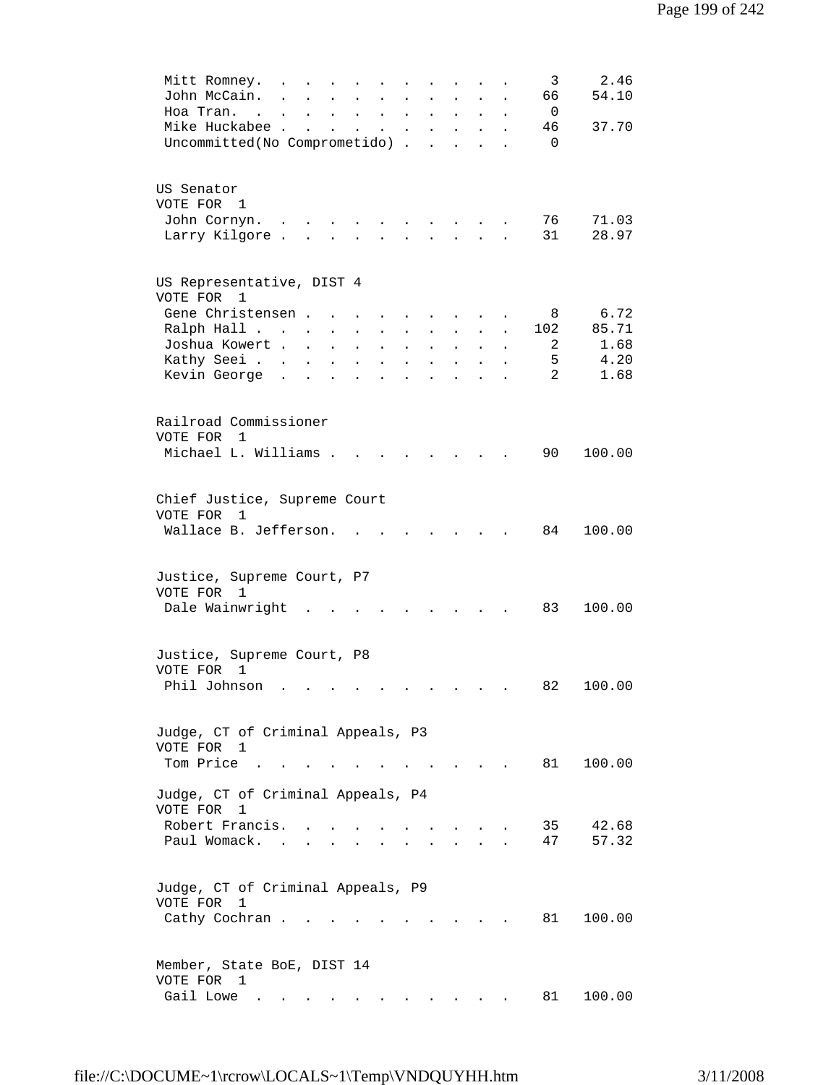| Mitt Romney.<br>John McCain.                                                 | $\ddot{\phantom{0}}$                            |                          |                                   | $\sim$                    |                                                                         |                        |                                                                                                     |                                                             |                             |                      | 3<br>66                                          | 2.46<br>54.10  |
|------------------------------------------------------------------------------|-------------------------------------------------|--------------------------|-----------------------------------|---------------------------|-------------------------------------------------------------------------|------------------------|-----------------------------------------------------------------------------------------------------|-------------------------------------------------------------|-----------------------------|----------------------|--------------------------------------------------|----------------|
| Hoa Tran.<br>Mike Huckabee .<br>Uncommitted(No Comprometido) .               | and the contract of the                         | <b>Contract Contract</b> | $\bullet$<br>$\ddot{\phantom{a}}$ | $\mathbf{L}^{\text{max}}$ | $\sim 100$<br>$\mathbf{z} = \mathbf{z} + \mathbf{z}$ . The $\mathbf{z}$ | $\bullet$<br>$\bullet$ | $\bullet$ .<br><br><br><br><br><br><br><br><br><br><br><br><br>$\mathcal{L}^{\text{max}}$<br>$\sim$ | $\bullet$ .<br><br><br><br><br><br><br><br><br><br><br><br> | $\bullet$                   |                      | $\overline{\phantom{0}}$<br>46<br>$\overline{0}$ | 37.70          |
| US Senator<br>VOTE FOR 1                                                     |                                                 |                          |                                   |                           |                                                                         |                        |                                                                                                     |                                                             |                             |                      |                                                  |                |
| John Cornyn.<br>Larry Kilgore                                                |                                                 |                          |                                   |                           | and a strong control of the strong strong and                           |                        |                                                                                                     |                                                             |                             |                      | 76 —<br>31                                       | 71.03<br>28.97 |
| US Representative, DIST 4<br>VOTE FOR<br>$\overline{1}$                      |                                                 |                          |                                   |                           |                                                                         |                        |                                                                                                     |                                                             |                             |                      |                                                  |                |
| Gene Christensen                                                             |                                                 |                          |                                   | $\mathbf{r}$              |                                                                         |                        |                                                                                                     |                                                             |                             |                      | 8                                                | 6.72           |
| Ralph Hall                                                                   |                                                 |                          | $\mathbf{L}^{\text{max}}$         | $\sim$                    | $\ddot{\phantom{a}}$                                                    | $\ddot{\phantom{a}}$   | $\ddot{\phantom{0}}$                                                                                | $\sim$                                                      | $\sim$                      |                      | 102                                              | 85.71          |
| Joshua Kowert                                                                |                                                 |                          |                                   | $\sim$                    | $\ddot{\phantom{a}}$                                                    | $\ddot{\phantom{a}}$   | $\ddot{\phantom{a}}$                                                                                | $\mathbf{L}$                                                | $\sim$                      | $\ddot{\phantom{0}}$ | 2                                                | 1.68           |
| Kathy Seei                                                                   |                                                 |                          | $\ddot{\phantom{a}}$              | $\ddot{\phantom{a}}$      | $\ddot{\phantom{a}}$                                                    | $\ddot{\phantom{a}}$   | $\ddot{\phantom{a}}$                                                                                | $\ddot{\phantom{a}}$                                        | $\ddot{\phantom{a}}$        |                      | 5                                                | 4.20           |
| Kevin George                                                                 |                                                 |                          | $\ddot{\phantom{a}}$              | $\ddot{\phantom{a}}$      | $\bullet$                                                               | $\bullet$              | $\ddot{\phantom{a}}$                                                                                | $\ddot{\phantom{a}}$                                        | $\bullet$                   |                      | 2                                                | 1.68           |
| Railroad Commissioner<br>VOTE FOR<br>$\overline{1}$<br>Michael L. Williams . |                                                 |                          |                                   |                           |                                                                         |                        |                                                                                                     | $\ddot{\phantom{a}}$                                        |                             |                      | 90                                               | 100.00         |
|                                                                              |                                                 |                          |                                   |                           |                                                                         |                        |                                                                                                     |                                                             |                             |                      |                                                  |                |
| Chief Justice, Supreme Court<br>VOTE FOR<br>1<br>Wallace B. Jefferson.       |                                                 |                          |                                   |                           |                                                                         |                        |                                                                                                     |                                                             |                             |                      | 84                                               | 100.00         |
| Justice, Supreme Court, P7<br>VOTE FOR<br>1<br>Dale Wainwright               |                                                 |                          |                                   |                           |                                                                         |                        | <b>Contract Contract</b>                                                                            |                                                             |                             |                      | 83                                               | 100.00         |
| Justice, Supreme Court, P8<br>VOTE FOR 1<br>Phil Johnson                     | the contract of the contract of the contract of |                          |                                   |                           |                                                                         |                        |                                                                                                     |                                                             |                             |                      | 82                                               | 100.00         |
| Judge, CT of Criminal Appeals, P3                                            |                                                 |                          |                                   |                           |                                                                         |                        |                                                                                                     |                                                             |                             |                      |                                                  |                |
| VOTE FOR 1<br>Tom Price.                                                     |                                                 |                          |                                   |                           |                                                                         |                        |                                                                                                     | $\sim$ $\sim$ $\sim$                                        |                             |                      | 81                                               | 100.00         |
| Judge, CT of Criminal Appeals, P4<br>VOTE FOR 1                              |                                                 |                          |                                   |                           |                                                                         |                        |                                                                                                     |                                                             |                             |                      |                                                  |                |
| Robert Francis.<br>Paul Womack. .                                            |                                                 |                          |                                   |                           |                                                                         |                        |                                                                                                     |                                                             |                             |                      | 35<br>47                                         | 42.68<br>57.32 |
| Judge, CT of Criminal Appeals, P9<br>VOTE FOR<br>1<br>Cathy Cochran          |                                                 |                          |                                   |                           |                                                                         |                        |                                                                                                     |                                                             | $\sim$ $\sim$ $\sim$ $\sim$ |                      | 81                                               | 100.00         |
| Member, State BoE, DIST 14                                                   |                                                 |                          |                                   |                           |                                                                         |                        |                                                                                                     |                                                             |                             |                      |                                                  |                |
| VOTE FOR 1<br>Gail Lowe .                                                    |                                                 |                          |                                   |                           |                                                                         |                        |                                                                                                     |                                                             |                             |                      | 81                                               | 100.00         |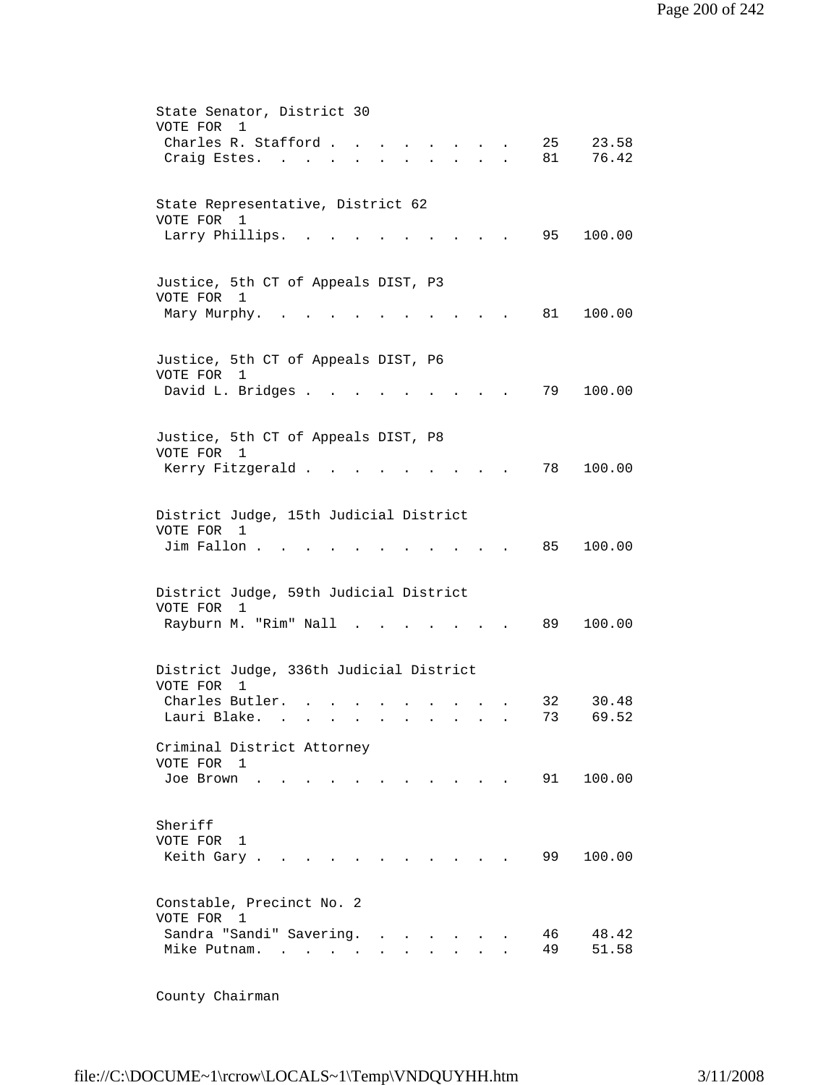| State Senator, District 30<br>VOTE FOR<br>1                       |                                    |                 |                  |  |          |                |
|-------------------------------------------------------------------|------------------------------------|-----------------|------------------|--|----------|----------------|
| Charles R. Stafford.<br>Craig Estes.<br>$\sim$                    |                                    |                 | $\sim$ 100 $\mu$ |  | 25<br>81 | 23.58<br>76.42 |
| State Representative, District 62<br>VOTE FOR 1                   |                                    |                 |                  |  |          |                |
| Larry Phillips.                                                   |                                    |                 |                  |  | 95       | 100.00         |
| Justice, 5th CT of Appeals DIST, P3<br>VOTE FOR 1<br>Mary Murphy. |                                    |                 |                  |  | 81 —     | 100.00         |
|                                                                   |                                    |                 |                  |  |          |                |
| Justice, 5th CT of Appeals DIST, P6<br>VOTE FOR<br>1              |                                    |                 |                  |  |          |                |
| David L. Bridges .                                                |                                    |                 |                  |  | 79       | 100.00         |
| Justice, 5th CT of Appeals DIST, P8<br>VOTE FOR 1                 |                                    |                 |                  |  |          |                |
| Kerry Fitzgerald                                                  |                                    |                 |                  |  | 78       | 100.00         |
| District Judge, 15th Judicial District<br>VOTE FOR 1              |                                    |                 |                  |  |          |                |
| Jim Fallon.                                                       |                                    |                 |                  |  | 85       | 100.00         |
| District Judge, 59th Judicial District                            |                                    |                 |                  |  |          |                |
| VOTE FOR<br>$\mathbf{1}$<br>Rayburn M. "Rim" Nall .               |                                    |                 |                  |  | 89       | 100.00         |
| District Judge, 336th Judicial District                           |                                    |                 |                  |  |          |                |
| VOTE FOR<br>1<br>Charles Butler.                                  |                                    |                 |                  |  | 32       | 30.48          |
| Lauri Blake.                                                      | $\cdot$                            |                 |                  |  | 73       | 69.52          |
| Criminal District Attorney<br>VOTE FOR 1                          |                                    |                 |                  |  |          |                |
| Joe Brown                                                         |                                    |                 |                  |  | 91       | 100.00         |
| Sheriff<br>VOTE FOR<br>1<br>Keith Gary.                           |                                    |                 |                  |  | 99       | 100.00         |
|                                                                   |                                    |                 |                  |  |          |                |
| Constable, Precinct No. 2<br>VOTE FOR 1                           |                                    |                 |                  |  |          |                |
| Sandra "Sandi" Savering.<br>Mike Putnam.                          | <b>Contract Contract</b><br>$\sim$ | and a strategic |                  |  | 46<br>49 | 48.42<br>51.58 |

County Chairman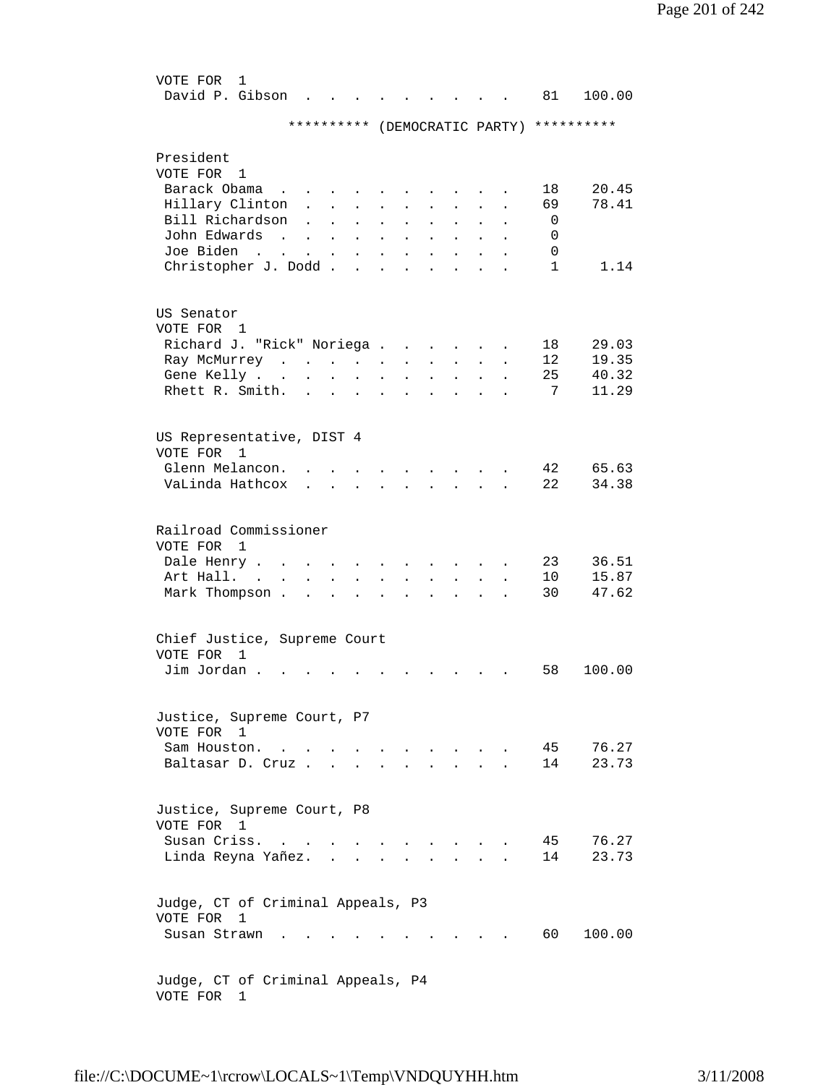| VOTE FOR<br>1<br>David P. Gibson         |                                         |                         |                      |                      |                      |                      |                      |  | 81           | 100.00                        |
|------------------------------------------|-----------------------------------------|-------------------------|----------------------|----------------------|----------------------|----------------------|----------------------|--|--------------|-------------------------------|
|                                          | **********                              |                         |                      |                      |                      |                      |                      |  |              | (DEMOCRATIC PARTY) ********** |
| President                                |                                         |                         |                      |                      |                      |                      |                      |  |              |                               |
| VOTE FOR<br>1                            |                                         |                         |                      |                      |                      |                      |                      |  |              |                               |
| Barack Obama                             |                                         |                         |                      |                      |                      |                      |                      |  | 18           | 20.45                         |
| Hillary Clinton                          | $\ddot{\phantom{0}}$                    |                         |                      | $\ddot{\phantom{a}}$ |                      |                      |                      |  | 69           | 78.41                         |
| Bill Richardson                          |                                         |                         |                      |                      |                      |                      |                      |  | 0            |                               |
| John Edwards                             | $\sim 10^{-10}$<br>$\ddot{\phantom{a}}$ | $\ddot{\phantom{0}}$    | $\ddot{\phantom{0}}$ | $\ddot{\phantom{0}}$ |                      |                      |                      |  | 0            |                               |
| Joe Biden<br><b>Contract</b>             |                                         | $\bullet$               | $\ddot{\phantom{0}}$ |                      |                      |                      |                      |  | 0            |                               |
| Christopher J. Dodd.                     |                                         |                         |                      |                      |                      |                      |                      |  | $\mathbf{1}$ | 1.14                          |
|                                          |                                         |                         |                      |                      |                      |                      |                      |  |              |                               |
| US Senator                               |                                         |                         |                      |                      |                      |                      |                      |  |              |                               |
| VOTE FOR 1                               |                                         |                         |                      |                      |                      |                      |                      |  |              |                               |
| Richard J. "Rick" Noriega.               |                                         |                         |                      |                      |                      |                      |                      |  | 18           | 29.03                         |
| Ray McMurrey .<br>Gene Kelly.            | $\mathbf{r}$ . The set of $\mathbf{r}$  |                         | $\sim$               | $\bullet$            |                      |                      |                      |  | 12<br>25     | 19.35<br>40.32                |
| <b>Contractor</b><br>Rhett R. Smith.     | $\bullet$                               | $\bullet$               | $\bullet$            |                      |                      |                      |                      |  | 7            | 11.29                         |
|                                          |                                         |                         |                      |                      |                      |                      |                      |  |              |                               |
| US Representative, DIST 4                |                                         |                         |                      |                      |                      |                      |                      |  |              |                               |
| VOTE FOR<br>1                            |                                         |                         |                      |                      |                      |                      |                      |  |              |                               |
| Glenn Melancon.                          |                                         |                         |                      |                      |                      |                      |                      |  | 42           | 65.63                         |
| VaLinda Hathcox                          |                                         | $\cdot$ $\cdot$ $\cdot$ | $\ddot{\phantom{0}}$ | $\ddot{\phantom{a}}$ | $\ddot{\phantom{a}}$ | $\ddot{\phantom{0}}$ | $\sim$               |  | 22           | 34.38                         |
|                                          |                                         |                         |                      |                      |                      |                      |                      |  |              |                               |
| Railroad Commissioner                    |                                         |                         |                      |                      |                      |                      |                      |  |              |                               |
| VOTE FOR 1                               |                                         |                         |                      |                      |                      |                      |                      |  |              |                               |
| Dale Henry.                              |                                         |                         |                      |                      |                      |                      |                      |  | 23           | 36.51                         |
| Art Hall. .                              | $\mathbf{r}$                            |                         |                      | $\ddot{\phantom{a}}$ |                      | $\ddot{\phantom{0}}$ | $\ddot{\phantom{0}}$ |  | 10           | 15.87                         |
| Mark Thompson.                           | $\ddot{\phantom{a}}$                    |                         |                      | $\ddot{\phantom{a}}$ |                      |                      | $\ddot{\phantom{a}}$ |  | 30           | 47.62                         |
|                                          |                                         |                         |                      |                      |                      |                      |                      |  |              |                               |
| Chief Justice, Supreme Court             |                                         |                         |                      |                      |                      |                      |                      |  |              |                               |
| VOTE FOR<br>1                            |                                         |                         |                      |                      |                      |                      |                      |  |              |                               |
| Jim Jordan.                              |                                         |                         |                      |                      |                      |                      |                      |  | 58           | 100.00                        |
|                                          |                                         |                         |                      |                      |                      |                      |                      |  |              |                               |
| Justice, Supreme Court, P7<br>VOTE FOR 1 |                                         |                         |                      |                      |                      |                      |                      |  |              |                               |
| Sam Houston.                             |                                         |                         |                      |                      |                      |                      |                      |  | 45           | 76.27                         |
| Baltasar D. Cruz                         | $\cdots$                                |                         |                      | $\mathbf{L}$         |                      | $\ddot{\phantom{0}}$ |                      |  | 14           | 23.73                         |
|                                          |                                         |                         |                      |                      |                      |                      |                      |  |              |                               |
| Justice, Supreme Court, P8               |                                         |                         |                      |                      |                      |                      |                      |  |              |                               |
| VOTE FOR 1                               |                                         |                         |                      |                      |                      |                      |                      |  |              |                               |
| Susan Criss.                             | $\overline{a}$                          |                         |                      |                      |                      |                      |                      |  | 45           | 76.27                         |
| Linda Reyna Yañez.                       |                                         |                         |                      |                      |                      |                      |                      |  | 14           | 23.73                         |
|                                          |                                         |                         |                      |                      |                      |                      |                      |  |              |                               |
| Judge, CT of Criminal Appeals, P3        |                                         |                         |                      |                      |                      |                      |                      |  |              |                               |
| VOTE FOR<br>1                            |                                         |                         |                      |                      |                      |                      |                      |  |              |                               |
| Susan Strawn                             |                                         |                         |                      |                      |                      |                      |                      |  | 60 —         | 100.00                        |
|                                          |                                         |                         |                      |                      |                      |                      |                      |  |              |                               |
| Judge, CT of Criminal Appeals, P4        |                                         |                         |                      |                      |                      |                      |                      |  |              |                               |

VOTE FOR 1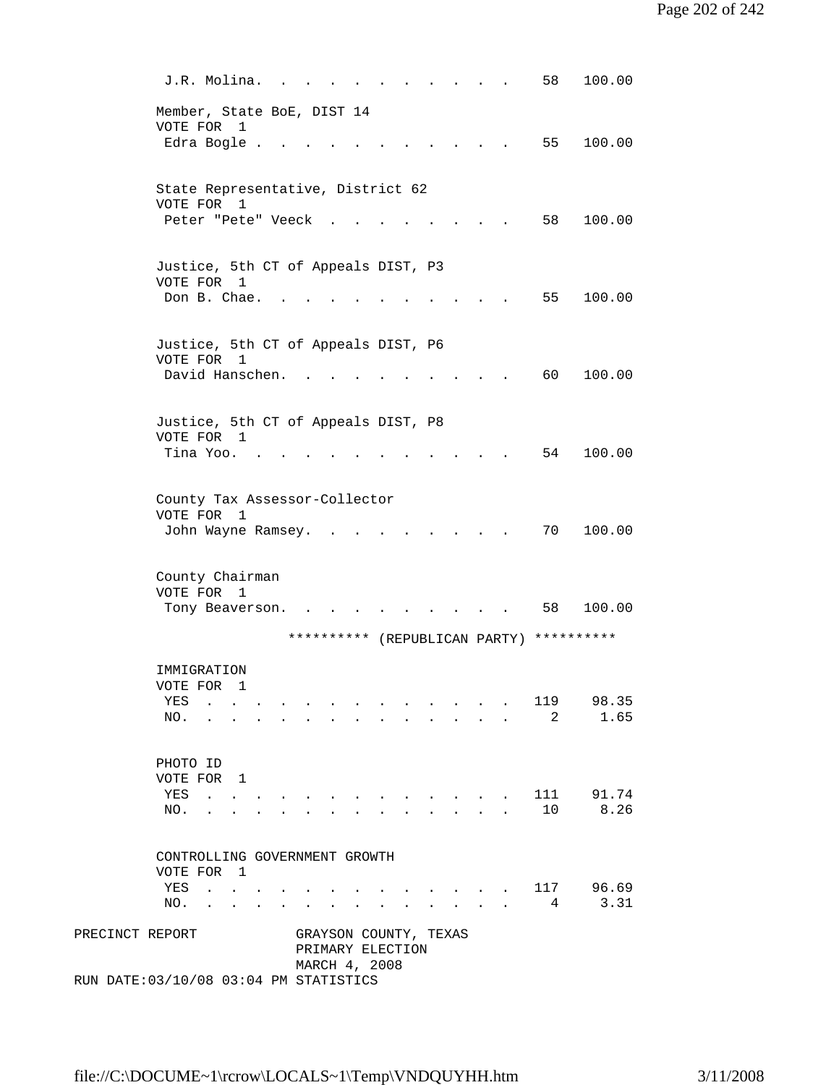| PRECINCT REPORT | GRAYSON COUNTY, TEXAS<br>PRIMARY ELECTION<br>MARCH 4, 2008<br>RUN DATE: 03/10/08 03:04 PM STATISTICS                                                                                                              |  |
|-----------------|-------------------------------------------------------------------------------------------------------------------------------------------------------------------------------------------------------------------|--|
|                 | VOTE FOR 1<br>96.69<br>117<br>YES<br>and the state of the state of the state of<br>3.31<br>4<br>NO.<br><b>Contract Contract Contract Contract</b><br>$\mathbf{r}$<br>$\ddot{\phantom{a}}$<br>$\ddot{\phantom{a}}$ |  |
|                 | CONTROLLING GOVERNMENT GROWTH                                                                                                                                                                                     |  |
|                 | PHOTO ID<br>VOTE FOR 1<br>111 91.74<br>YES<br><b>Contract Contract</b><br>10 8.26<br>NO.<br>$\mathbf{L}$ $\mathbf{L}$<br>$\ddot{\phantom{0}}$                                                                     |  |
|                 | IMMIGRATION<br>VOTE FOR 1<br>119<br>98.35<br>YES<br>2<br>1.65<br>NO.                                                                                                                                              |  |
|                 | **********<br>**********<br>(REPUBLICAN PARTY)                                                                                                                                                                    |  |
|                 | County Chairman<br>VOTE FOR<br>$\overline{1}$<br>58<br>100.00<br>Tony Beaverson.                                                                                                                                  |  |
|                 | County Tax Assessor-Collector<br>VOTE FOR<br>1<br>70<br>100.00<br>John Wayne Ramsey.                                                                                                                              |  |
|                 | Justice, 5th CT of Appeals DIST, P8<br>VOTE FOR 1<br>54<br>100.00<br>Tina Yoo.                                                                                                                                    |  |
|                 | Justice, 5th CT of Appeals DIST, P6<br>VOTE FOR<br>1<br>David Hanschen.<br>60<br>100.00                                                                                                                           |  |
|                 | Justice, 5th CT of Appeals DIST, P3<br>VOTE FOR 1<br>Don B. Chae.<br>55<br>100.00                                                                                                                                 |  |
|                 | State Representative, District 62<br>VOTE FOR<br>1<br>58<br>100.00<br>Peter "Pete" Veeck                                                                                                                          |  |
|                 | Member, State BoE, DIST 14<br>VOTE FOR 1<br>Edra Bogle .<br>55<br>100.00                                                                                                                                          |  |
|                 | J.R. Molina.<br>58<br>100.00                                                                                                                                                                                      |  |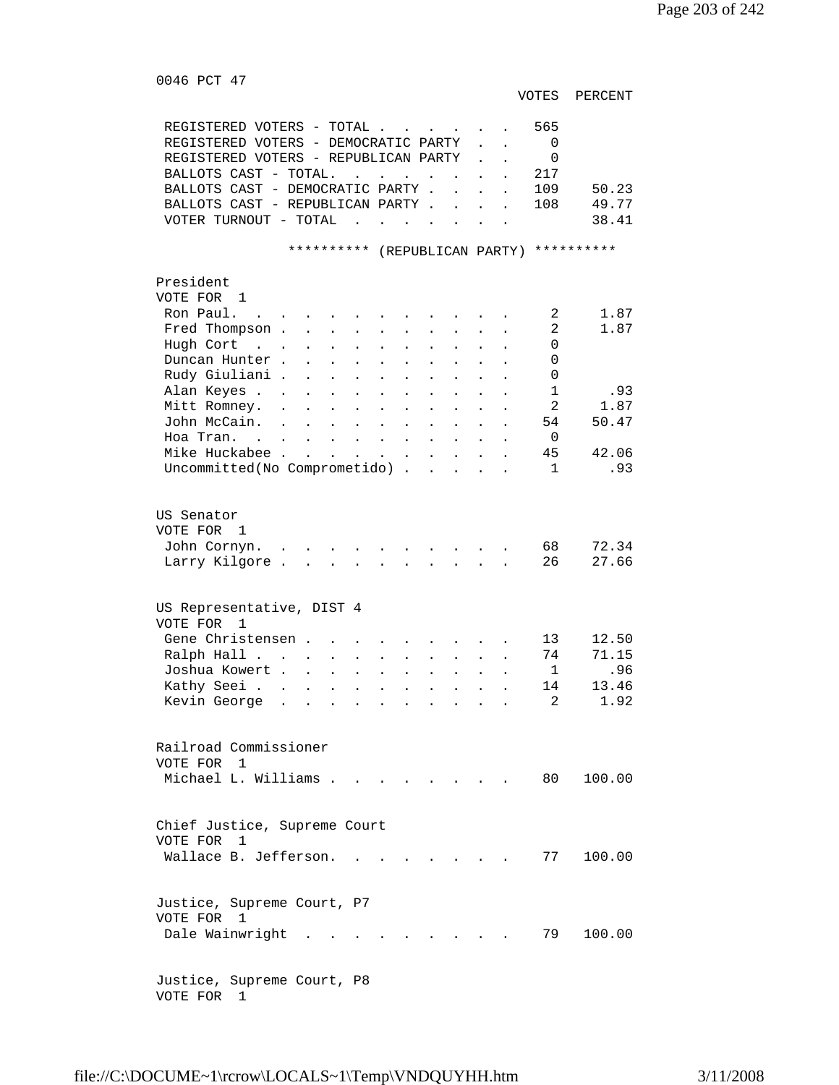0046 PCT 47

VOTES PERCENT

| REGISTERED VOTERS - TOTAL .<br>REGISTERED VOTERS - DEMOCRATIC PARTY<br>REGISTERED VOTERS - REPUBLICAN PARTY<br>BALLOTS CAST - TOTAL.<br>$\mathbf{L} = \mathbf{L} \times \mathbf{L} = \mathbf{L} \times \mathbf{L}$<br><b>Contract Contract Contract</b><br>BALLOTS CAST - DEMOCRATIC PARTY .<br>$\ddot{\phantom{a}}$<br>BALLOTS CAST - REPUBLICAN PARTY.<br>VOTER TURNOUT - TOTAL<br>the company of the company of the<br>**********<br>(REPUBLICAN PARTY) **********            | $\mathbf{L}$<br>$\ddot{\phantom{a}}$<br>$\ddot{\phantom{a}}$ | 565<br>0<br>$\Omega$<br>217<br>109<br>50.23<br>49.77<br>108<br>38.41                                        |
|----------------------------------------------------------------------------------------------------------------------------------------------------------------------------------------------------------------------------------------------------------------------------------------------------------------------------------------------------------------------------------------------------------------------------------------------------------------------------------|--------------------------------------------------------------|-------------------------------------------------------------------------------------------------------------|
|                                                                                                                                                                                                                                                                                                                                                                                                                                                                                  |                                                              |                                                                                                             |
| President<br>VOTE FOR 1<br>Ron Paul.<br>Fred Thompson .<br>$\mathbf{L}$<br>$\mathbf{L}$<br>$\ddot{\phantom{a}}$<br>Hugh Cort<br>$\mathbf{r}$ . The set of $\mathbf{r}$<br>$\ddot{\phantom{a}}$<br>$\ddot{\phantom{a}}$<br>$\ddot{\phantom{a}}$<br>$\ddot{\phantom{a}}$<br>$\ddot{\phantom{0}}$<br>Duncan Hunter.<br>$\ddot{\phantom{a}}$<br>$\ddot{\phantom{0}}$<br>Rudy Giuliani .<br>$\ddot{\phantom{a}}$<br>$\ddot{\phantom{0}}$<br>$\bullet$<br>Alan Keyes .<br>Mitt Romney. |                                                              | 1.87<br>2<br>$\overline{2}$<br>1.87<br>$\Omega$<br>$\Omega$<br>0<br>$\mathbf{1}$<br>.93<br>2<br>1.87        |
| John McCain.                                                                                                                                                                                                                                                                                                                                                                                                                                                                     |                                                              | 50.47<br>54                                                                                                 |
| Hoa Tran. .<br>$\mathbf{L}^{\text{max}}$<br>$\mathbf{L}$<br>$\mathbf{L}$<br>$\mathbf{r} = \mathbf{r}$<br>$\ddot{\phantom{a}}$<br>$\ddot{\phantom{a}}$<br>$\ddot{\phantom{a}}$                                                                                                                                                                                                                                                                                                    |                                                              | $\Omega$                                                                                                    |
| Mike Huckabee.<br><b>Contract Contract</b><br>$\ddot{\phantom{a}}$<br>$\ddot{\phantom{a}}$<br>$\mathbf{L}$<br>$\mathcal{L}^{\text{max}}$<br>$\ddot{\phantom{a}}$<br>$\ddot{\phantom{a}}$<br>Uncommitted(No Comprometido)                                                                                                                                                                                                                                                         | $\ddot{\phantom{a}}$<br>$\sim$ 100 $\mu$                     | 45<br>42.06<br>.93<br>$\mathbf{1}$                                                                          |
| US Senator<br>VOTE FOR<br>1<br>John Cornyn.<br>$\mathbf{r}$<br>Larry Kilgore.<br>US Representative, DIST 4<br>VOTE FOR<br>$\mathbf{1}$<br>Gene Christensen.<br>Ralph Hall<br>$\ddot{\phantom{0}}$<br>$\ddot{\phantom{0}}$<br>$\bullet$<br>Joshua Kowert .<br>$\ddot{\phantom{a}}$<br>Kathy Seei .<br>$\ddot{\phantom{a}}$<br>$\ddot{\phantom{a}}$<br>Kevin George                                                                                                                |                                                              | 72.34<br>68<br>27.66<br>26<br>12.50<br>13<br>71.15<br>74<br>$\mathbf{1}$<br>.96<br>14<br>13.46<br>2<br>1.92 |
| Railroad Commissioner<br>VOTE FOR<br>$\overline{1}$<br>Michael L. Williams                                                                                                                                                                                                                                                                                                                                                                                                       |                                                              | 80 —<br>100.00                                                                                              |
| Chief Justice, Supreme Court<br>VOTE FOR 1<br>Wallace B. Jefferson.<br>Justice, Supreme Court, P7                                                                                                                                                                                                                                                                                                                                                                                |                                                              | 77<br>100.00                                                                                                |
| VOTE FOR 1<br>Dale Wainwright .<br>Justice, Supreme Court, P8                                                                                                                                                                                                                                                                                                                                                                                                                    |                                                              | 79<br>100.00                                                                                                |

VOTE FOR 1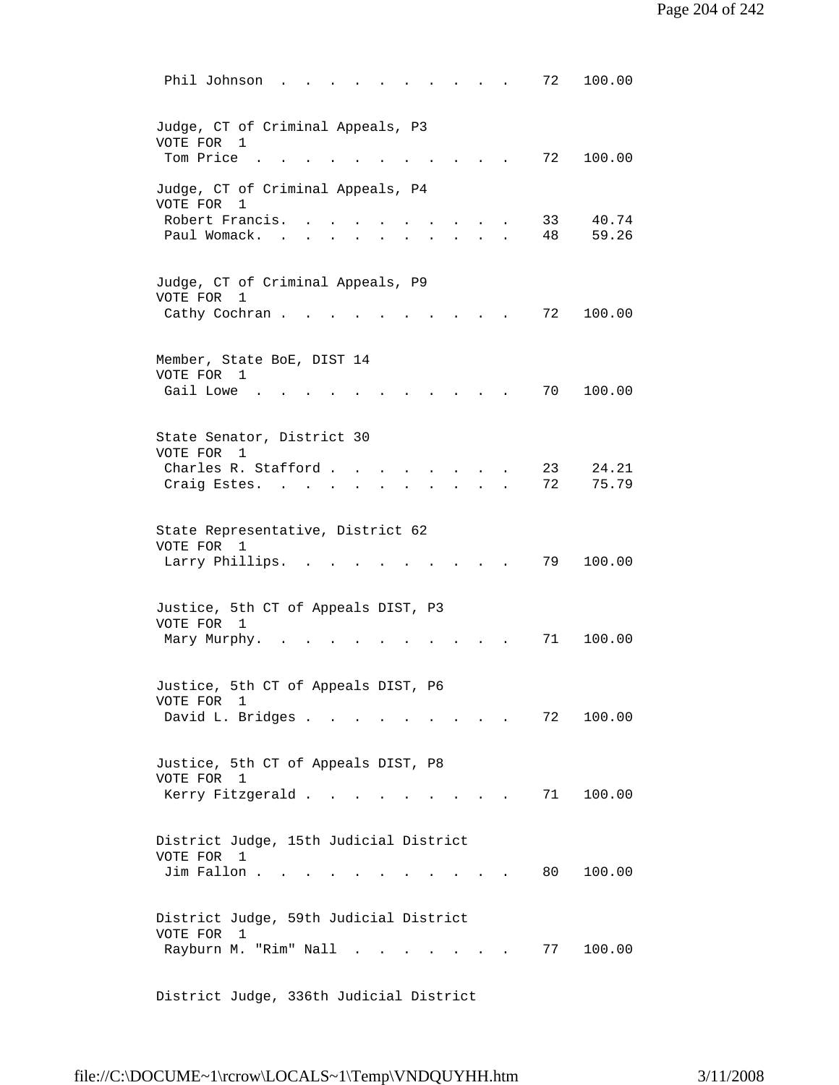| Phil Johnson<br>100.00<br>72                                                                                                       |
|------------------------------------------------------------------------------------------------------------------------------------|
| Judge, CT of Criminal Appeals, P3<br>VOTE FOR<br>1<br>Tom Price<br>72<br>100.00                                                    |
| Judge, CT of Criminal Appeals, P4<br>VOTE FOR<br>1<br>Robert Francis.<br>40.74<br>33<br>Paul Womack.<br>59.26<br>48                |
| Judge, CT of Criminal Appeals, P9<br>VOTE FOR<br>1<br>Cathy Cochran.<br>72<br>100.00                                               |
| Member, State BoE, DIST 14<br>VOTE FOR<br>1<br>Gail Lowe<br>70<br>100.00                                                           |
| State Senator, District 30<br>VOTE FOR<br>1<br>Charles R. Stafford.<br>24.21<br>23<br>72<br>75.79<br>Craig Estes.                  |
| State Representative, District 62<br>VOTE FOR 1<br>Larry Phillips.<br>79<br>100.00                                                 |
| Justice, 5th CT of Appeals DIST, P3<br>VOTE FOR<br>1<br>71<br>100.00<br>Mary Murphy.                                               |
| Justice, 5th CT of Appeals DIST, P6<br>VOTE FOR<br>1<br>David L. Bridges<br>72<br>100.00                                           |
| Justice, 5th CT of Appeals DIST, P8<br>VOTE FOR 1<br>Kerry Fitzgerald<br>100.00<br>71<br>and the state of the state of the         |
| District Judge, 15th Judicial District<br>VOTE FOR<br>1<br>Jim Fallon<br>100.00<br>80 —                                            |
| District Judge, 59th Judicial District<br>VOTE FOR<br>1<br>Rayburn M. "Rim" Nall<br>77<br>100.00<br>$\sim$<br>$\sim$ $\sim$ $\sim$ |

District Judge, 336th Judicial District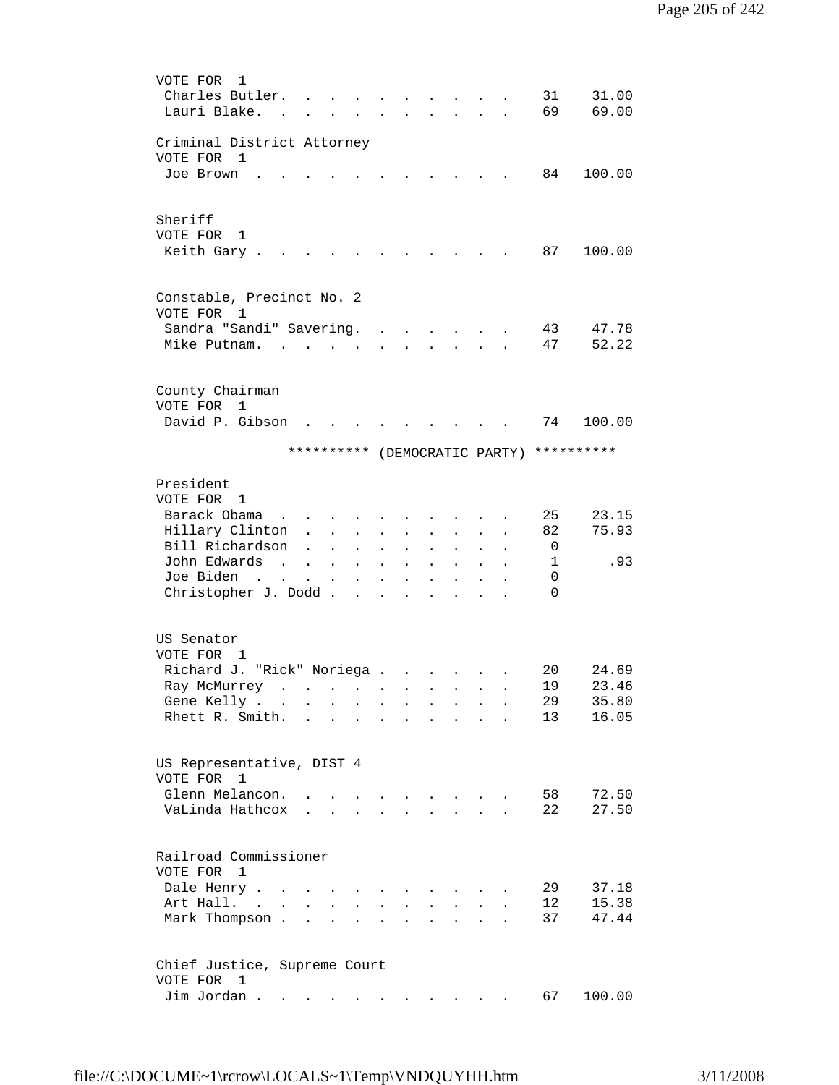```
 VOTE FOR 1 
        Charles Butler. . . . . . . . . . 31 31.00
        Lauri Blake. . . . . . . . . . . . 69 69.00
        Criminal District Attorney 
        VOTE FOR 1 
        Joe Brown . . . . . . . . . . . 84 100.00
        Sheriff 
        VOTE FOR 1 
        Keith Gary . . . . . . . . . . . . 87 100.00
        Constable, Precinct No. 2 
        VOTE FOR 1 
        Sandra "Sandi" Savering. . . . . . . 43 47.78
        Mike Putnam. . . . . . . . . . . 47 52.22
        County Chairman 
        VOTE FOR 1 
        David P. Gibson . . . . . . . . . 74 100.00
                     ********** (DEMOCRATIC PARTY) ********** 
        President 
        VOTE FOR 1 
        Barack Obama . . . . . . . . . . 25 23.15
         Hillary Clinton . . . . . . . . . 82 75.93 
        Bill Richardson . . . . . . . . . . 0<br>John Edwards . . . . . . . . . . . 1
         John Edwards . . . . . . . . . . 1 .93 
        Joe Biden . . . . . . . . . . .
        Christopher J. Dodd . . . . . . . . 0
        US Senator 
        VOTE FOR 1 
 Richard J. "Rick" Noriega . . . . . . 20 24.69 
 Ray McMurrey . . . . . . . . . . 19 23.46 
 Gene Kelly . . . . . . . . . . . 29 35.80 
        Rhett R. Smith. . . . . . . . . . 13 16.05
        US Representative, DIST 4 
 VOTE FOR 1 
 Glenn Melancon. . . . . . . . . . 58 72.50 
 VaLinda Hathcox . . . . . . . . . 22 27.50 
        Railroad Commissioner 
        VOTE FOR 1 
 Dale Henry . . . . . . . . . . . 29 37.18 
 Art Hall. . . . . . . . . . . . 12 15.38 
        Mark Thompson . . . . . . . . . . . 37 47.44
        Chief Justice, Supreme Court 
        VOTE FOR 1 
        Jim Jordan . . . . . . . . . . . . 67 100.00
```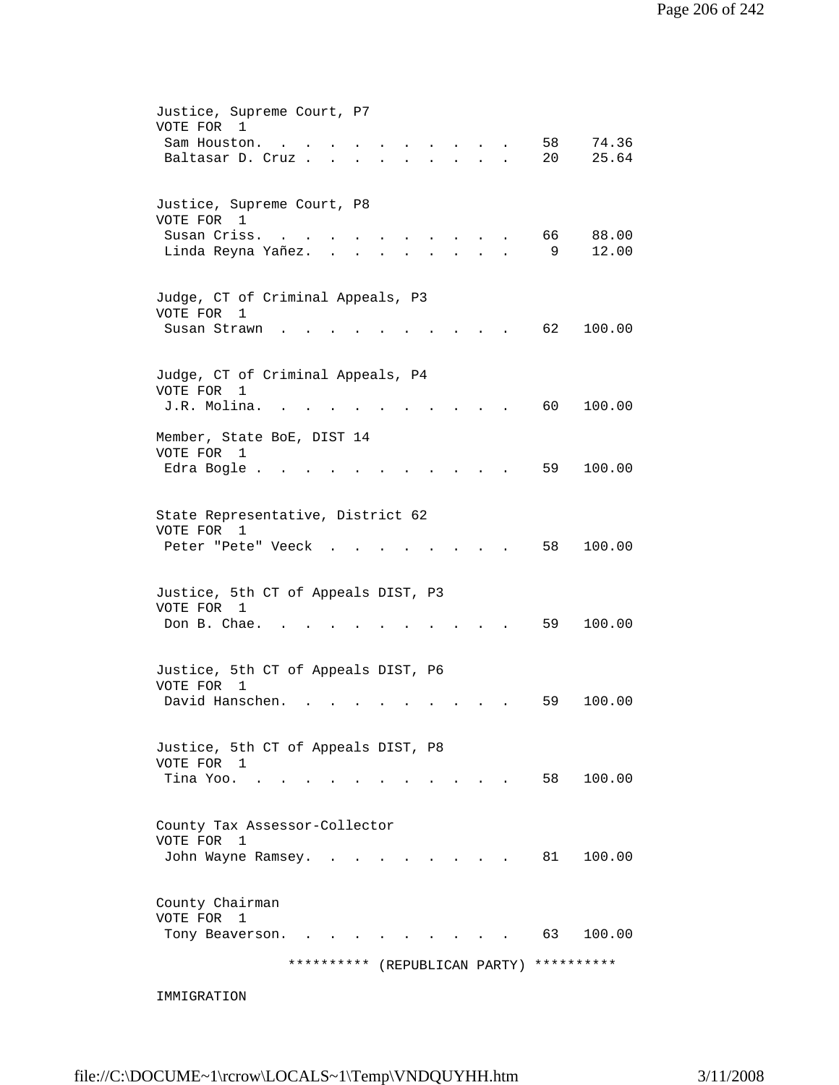| ********** (REPUBLICAN PARTY)                                                                                                                                                                                                                      | **********     |
|----------------------------------------------------------------------------------------------------------------------------------------------------------------------------------------------------------------------------------------------------|----------------|
| County Chairman<br>VOTE FOR<br>1<br>63<br>Tony Beaverson.                                                                                                                                                                                          | 100.00         |
| County Tax Assessor-Collector<br>VOTE FOR<br>1<br>John Wayne Ramsey.<br>81 —                                                                                                                                                                       | 100.00         |
| Justice, 5th CT of Appeals DIST, P8<br>VOTE FOR 1<br>Tina Yoo.<br>58                                                                                                                                                                               | 100.00         |
| Justice, 5th CT of Appeals DIST, P6<br>VOTE FOR<br>1<br>David Hanschen.<br>59                                                                                                                                                                      | 100.00         |
| Justice, 5th CT of Appeals DIST, P3<br>VOTE FOR 1<br>Don B. Chae.<br>59                                                                                                                                                                            | 100.00         |
| State Representative, District 62<br>VOTE FOR 1<br>58<br>Peter "Pete" Veeck                                                                                                                                                                        | 100.00         |
| Member, State BoE, DIST 14<br>VOTE FOR<br>1<br>59<br>Edra Bogle.                                                                                                                                                                                   | 100.00         |
| Judge, CT of Criminal Appeals, P4<br>VOTE FOR<br>$\mathbf{1}$<br>J.R. Molina.<br>60                                                                                                                                                                | 100.00         |
| Judge, CT of Criminal Appeals, P3<br>VOTE FOR<br>1<br>62<br>Susan Strawn                                                                                                                                                                           | 100.00         |
| Justice, Supreme Court, P8<br>VOTE FOR 1<br>Susan Criss.<br>66<br>9<br>Linda Reyna Yañez.<br>$\mathbf{L}^{\text{max}}$                                                                                                                             | 88.00<br>12.00 |
| Justice, Supreme Court, P7<br>VOTE FOR<br>$\overline{\phantom{0}}$<br>58<br>Sam Houston.<br>20<br>Baltasar D. Cruz<br>$\sim$<br>$\sim 10^{-10}$<br>$\sim$ 100 $\mu$<br>$\mathbf{r}$<br>$\bullet$ .<br><br><br><br><br><br><br><br><br><br><br><br> | 74.36<br>25.64 |

IMMIGRATION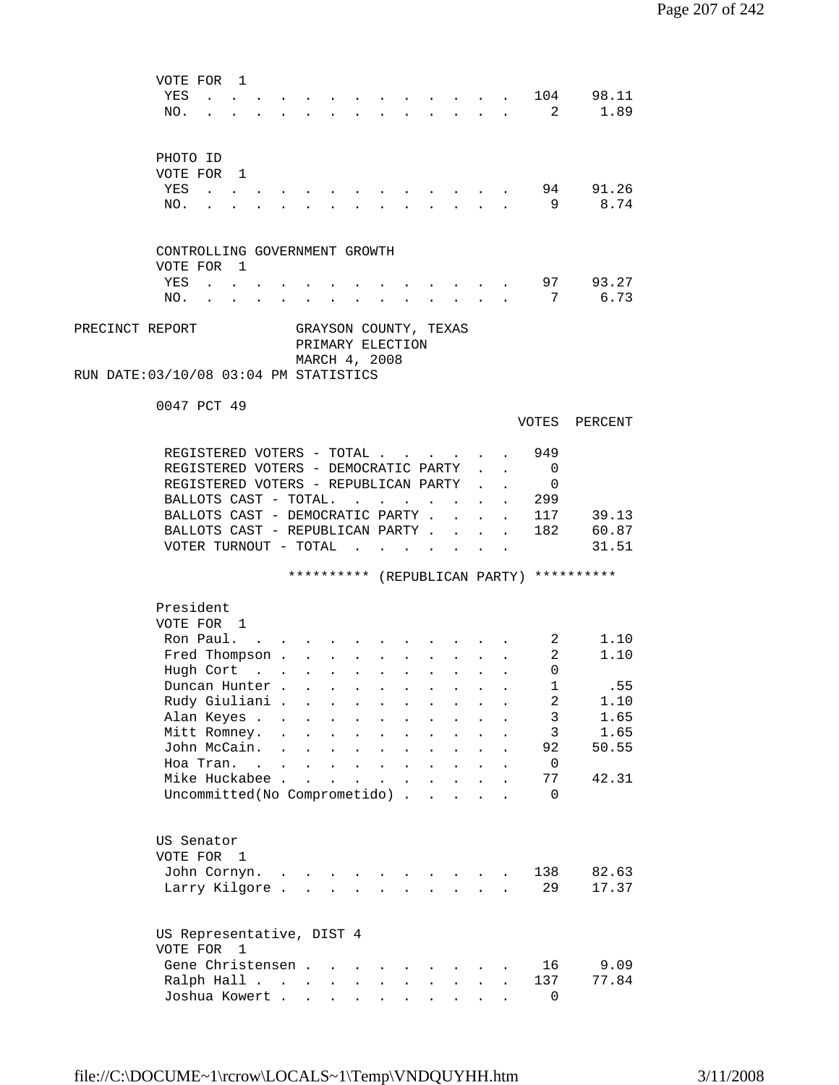|                 | VOTE FOR<br>YES<br>NO.                                   | $\mathbf{1}$                                              | the contract of the contract of the contract of the contract of the contract of the contract of the contract of |                           |                                              |                                                                              |                                        |                                              |                                                                                                                               |                                      |                      |                      | $\overline{2}$                           | 104 98.11<br>1.89  |  |
|-----------------|----------------------------------------------------------|-----------------------------------------------------------|-----------------------------------------------------------------------------------------------------------------|---------------------------|----------------------------------------------|------------------------------------------------------------------------------|----------------------------------------|----------------------------------------------|-------------------------------------------------------------------------------------------------------------------------------|--------------------------------------|----------------------|----------------------|------------------------------------------|--------------------|--|
|                 | PHOTO ID                                                 |                                                           |                                                                                                                 |                           |                                              |                                                                              |                                        |                                              |                                                                                                                               |                                      |                      |                      |                                          |                    |  |
|                 | VOTE FOR 1                                               |                                                           |                                                                                                                 |                           |                                              |                                                                              |                                        |                                              |                                                                                                                               |                                      |                      |                      |                                          |                    |  |
|                 | YES                                                      |                                                           |                                                                                                                 |                           |                                              |                                                                              |                                        |                                              |                                                                                                                               |                                      |                      |                      |                                          | 94 91.26           |  |
|                 | NO.                                                      |                                                           |                                                                                                                 |                           |                                              |                                                                              |                                        |                                              |                                                                                                                               |                                      |                      |                      | - 9                                      | 8.74               |  |
|                 | CONTROLLING GOVERNMENT GROWTH<br>VOTE FOR 1              |                                                           |                                                                                                                 |                           |                                              |                                                                              |                                        |                                              |                                                                                                                               |                                      |                      |                      |                                          |                    |  |
|                 | YES                                                      | $\cdot$ $\cdot$ $\cdot$                                   |                                                                                                                 |                           |                                              |                                                                              |                                        |                                              |                                                                                                                               |                                      |                      |                      |                                          | 97 93.27           |  |
|                 | NO.                                                      |                                                           |                                                                                                                 |                           | <b>Contract Contract</b>                     |                                                                              |                                        |                                              |                                                                                                                               |                                      |                      |                      | $7\overline{ }$                          | 6.73               |  |
| PRECINCT REPORT | RUN DATE:03/10/08 03:04 PM STATISTICS                    |                                                           |                                                                                                                 |                           |                                              | PRIMARY ELECTION<br>MARCH 4, 2008                                            |                                        |                                              | GRAYSON COUNTY, TEXAS                                                                                                         |                                      |                      |                      |                                          |                    |  |
|                 | 0047 PCT 49                                              |                                                           |                                                                                                                 |                           |                                              |                                                                              |                                        |                                              |                                                                                                                               |                                      |                      |                      | VOTES                                    | PERCENT            |  |
|                 | REGISTERED VOTERS - TOTAL                                |                                                           |                                                                                                                 |                           |                                              |                                                                              |                                        |                                              |                                                                                                                               |                                      |                      |                      | 949                                      |                    |  |
|                 | REGISTERED VOTERS - DEMOCRATIC PARTY                     |                                                           |                                                                                                                 |                           |                                              |                                                                              |                                        |                                              |                                                                                                                               |                                      |                      |                      | $\Omega$                                 |                    |  |
|                 | REGISTERED VOTERS - REPUBLICAN PARTY                     |                                                           |                                                                                                                 |                           |                                              |                                                                              |                                        |                                              |                                                                                                                               |                                      |                      |                      | 0                                        |                    |  |
|                 | BALLOTS CAST - TOTAL.                                    |                                                           |                                                                                                                 |                           |                                              | $\mathbf{L} = \mathbf{L}$                                                    |                                        |                                              | $\ddot{\phantom{0}}$                                                                                                          | $\sim$ $\sim$                        |                      |                      | 299                                      |                    |  |
|                 | BALLOTS CAST - DEMOCRATIC PARTY.                         |                                                           |                                                                                                                 |                           |                                              |                                                                              |                                        |                                              |                                                                                                                               | $\mathbf{r}$                         |                      | $\ddot{\phantom{a}}$ |                                          | 117 39.13          |  |
|                 | BALLOTS CAST - REPUBLICAN PARTY<br>VOTER TURNOUT - TOTAL |                                                           |                                                                                                                 |                           |                                              |                                                                              |                                        |                                              |                                                                                                                               |                                      | $\sim$ 100 $\pm$     | $\mathbf{L}$         |                                          | 182 60.87<br>31.51 |  |
|                 |                                                          |                                                           |                                                                                                                 |                           |                                              |                                                                              |                                        |                                              |                                                                                                                               |                                      |                      |                      | ********** (REPUBLICAN PARTY) ********** |                    |  |
|                 | President<br>VOTE FOR 1                                  |                                                           |                                                                                                                 |                           |                                              |                                                                              |                                        |                                              |                                                                                                                               |                                      |                      |                      |                                          |                    |  |
|                 | Ron Paul.                                                |                                                           |                                                                                                                 |                           |                                              |                                                                              |                                        |                                              |                                                                                                                               |                                      |                      |                      | 2                                        | 1.10               |  |
|                 | Fred Thompson .                                          |                                                           |                                                                                                                 |                           |                                              | $\mathbf{r} = \mathbf{r} \cdot \mathbf{r}$ , where $\mathbf{r} = \mathbf{r}$ |                                        |                                              | $\mathbf{r}$ , and $\mathbf{r}$ , and $\mathbf{r}$                                                                            |                                      |                      |                      | 2                                        | 1.10               |  |
|                 | Hugh Cort                                                | $\mathcal{L}(\mathbf{z})$ , and $\mathcal{L}(\mathbf{z})$ |                                                                                                                 | $\mathbf{a} = \mathbf{a}$ |                                              | $\mathbf{z} = \mathbf{z} + \mathbf{z}$ . The $\mathbf{z}$                    |                                        |                                              | $\mathbf{r} = \left\{ \mathbf{r} \in \mathbb{R}^d \mid \mathbf{r} \in \mathbb{R}^d \mid \mathbf{r} \in \mathbb{R}^d \right\}$ |                                      |                      | $\ddot{\phantom{a}}$ | 0                                        |                    |  |
|                 | Duncan Hunter.                                           |                                                           |                                                                                                                 |                           |                                              |                                                                              |                                        |                                              |                                                                                                                               |                                      |                      |                      | 1                                        | .55                |  |
|                 | Rudy Giuliani.                                           |                                                           |                                                                                                                 | $\ddot{\phantom{a}}$      |                                              |                                                                              |                                        |                                              |                                                                                                                               |                                      |                      |                      | 2                                        | 1.10               |  |
|                 | Alan Keyes                                               |                                                           |                                                                                                                 |                           |                                              |                                                                              |                                        |                                              |                                                                                                                               |                                      |                      |                      | 3                                        | 1.65               |  |
|                 | Mitt Romney.<br>John McCain.                             |                                                           | $\mathbf{r}$                                                                                                    |                           |                                              |                                                                              |                                        |                                              |                                                                                                                               |                                      |                      |                      | 3<br>92                                  | 1.65<br>50.55      |  |
|                 | Hoa Tran.                                                |                                                           | $\mathbf{r}$                                                                                                    | $\mathbf{r}$              | $\ddot{\phantom{a}}$<br>$\ddot{\phantom{a}}$ | $\mathbf{r}$<br>$\ddot{\phantom{a}}$                                         | $\ddot{\phantom{a}}$<br>$\overline{a}$ | $\ddot{\phantom{a}}$<br>$\ddot{\phantom{a}}$ | $\ddot{\phantom{a}}$                                                                                                          | $\ddot{\phantom{0}}$<br>$\mathbf{L}$ |                      |                      | $\mathbf 0$                              |                    |  |
|                 | Mike Huckabee                                            |                                                           |                                                                                                                 |                           |                                              |                                                                              |                                        |                                              |                                                                                                                               | $\mathbf{L} = \mathbf{L}$            | $\ddot{\phantom{a}}$ |                      | 77                                       | 42.31              |  |
|                 | Uncommitted (No Comprometido)                            |                                                           |                                                                                                                 |                           |                                              |                                                                              |                                        |                                              |                                                                                                                               |                                      | $\mathbf{r}$         |                      | $\mathbf{0}$                             |                    |  |
|                 | US Senator<br>VOTE FOR 1                                 |                                                           |                                                                                                                 |                           |                                              |                                                                              |                                        |                                              |                                                                                                                               |                                      |                      |                      |                                          |                    |  |
|                 | John Cornyn.                                             |                                                           |                                                                                                                 |                           |                                              |                                                                              |                                        |                                              |                                                                                                                               |                                      |                      |                      | 138                                      | 82.63              |  |
|                 | Larry Kilgore                                            |                                                           |                                                                                                                 |                           | $\sim$                                       |                                                                              |                                        |                                              |                                                                                                                               | $\mathbf{r} = \mathbf{r}$            |                      |                      | 29                                       | 17.37              |  |
|                 | US Representative, DIST 4<br>VOTE FOR 1                  |                                                           |                                                                                                                 |                           |                                              |                                                                              |                                        |                                              |                                                                                                                               |                                      |                      |                      |                                          |                    |  |
|                 | Gene Christensen                                         |                                                           |                                                                                                                 |                           |                                              |                                                                              |                                        |                                              |                                                                                                                               |                                      |                      |                      | 16                                       | 9.09               |  |
|                 | Ralph Hall                                               |                                                           |                                                                                                                 |                           |                                              |                                                                              | $\mathbf{z} = \mathbf{z}$              |                                              |                                                                                                                               |                                      |                      |                      | 137                                      | 77.84              |  |
|                 | Joshua Kowert                                            |                                                           |                                                                                                                 |                           |                                              |                                                                              |                                        |                                              |                                                                                                                               |                                      |                      |                      | $\Omega$                                 |                    |  |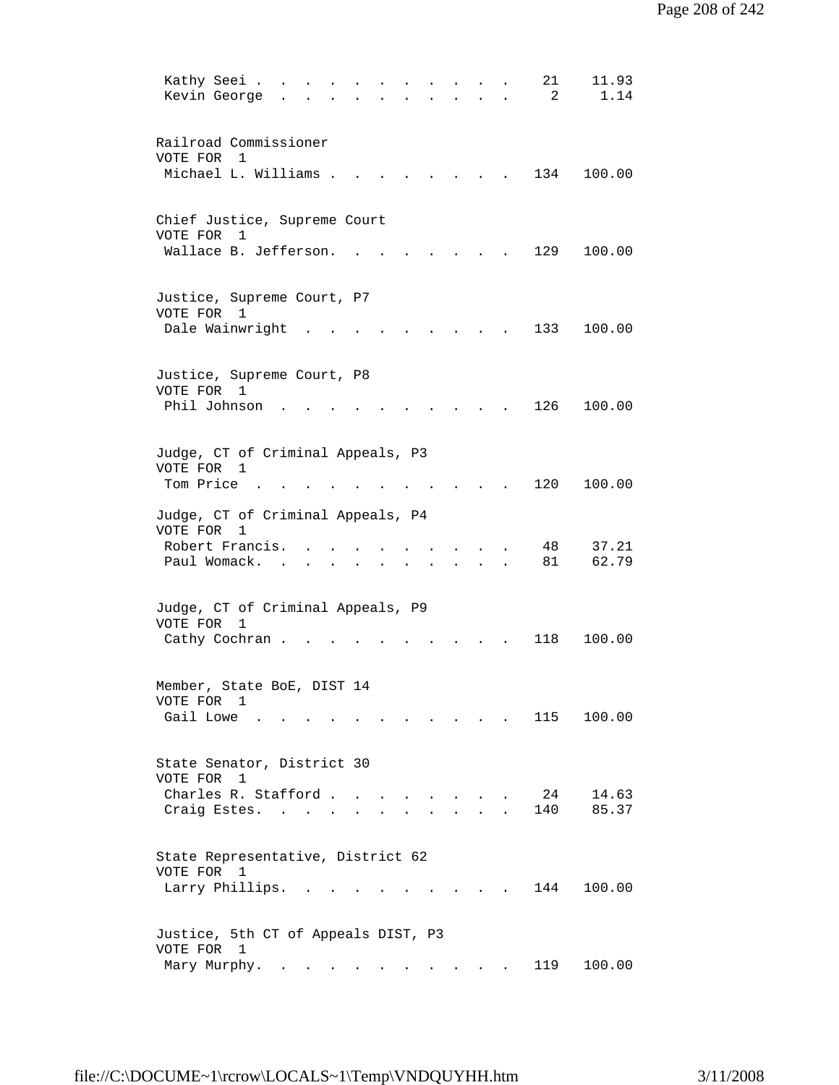| 21<br>Kathy Seei<br>11.93<br>Kevin George<br>1.14<br>2                                                                                                                                                                              |  |
|-------------------------------------------------------------------------------------------------------------------------------------------------------------------------------------------------------------------------------------|--|
| Railroad Commissioner<br>VOTE FOR 1<br>Michael L. Williams .<br>134<br>100.00                                                                                                                                                       |  |
| Chief Justice, Supreme Court<br>VOTE FOR 1<br>Wallace B. Jefferson.<br>129<br>100.00                                                                                                                                                |  |
| Justice, Supreme Court, P7<br>VOTE FOR<br>$\mathbf{1}$<br>Dale Wainwright<br>133<br>100.00                                                                                                                                          |  |
| Justice, Supreme Court, P8<br>VOTE FOR 1<br>Phil Johnson<br>126<br>100.00                                                                                                                                                           |  |
| Judge, CT of Criminal Appeals, P3<br>VOTE FOR 1<br>Tom Price.<br>120<br>100.00                                                                                                                                                      |  |
| Judge, CT of Criminal Appeals, P4<br>VOTE FOR<br>$\overline{1}$<br>37.21<br>Robert Francis.<br>48<br>62.79<br>Paul Womack.<br>81<br>$\mathbf{r}$ and $\mathbf{r}$<br>$\mathbf{L}$<br>$\mathbf{L}$<br>$\ddot{\phantom{a}}$<br>$\sim$ |  |
| Judge, CT of Criminal Appeals, P9<br>VOTE FOR<br>1<br>118<br>100.00<br>Cathy Cochran.                                                                                                                                               |  |
| Member, State BoE, DIST 14<br>VOTE FOR 1<br>Gail Lowe<br>115<br>100.00<br>$\sim$ $\sim$ $\sim$                                                                                                                                      |  |
| State Senator, District 30<br>VOTE FOR 1<br>Charles R. Stafford<br>24<br>14.63<br>140<br>85.37<br>Craig Estes.<br>$\mathbf{L}$<br>$\sim$                                                                                            |  |
| State Representative, District 62<br>VOTE FOR 1<br>Larry Phillips.<br>144<br>100.00<br>$\mathbf{r} = \mathbf{r} \cdot \mathbf{r}$                                                                                                   |  |
| Justice, 5th CT of Appeals DIST, P3<br>VOTE FOR 1<br>119<br>100.00<br>Mary Murphy. .                                                                                                                                                |  |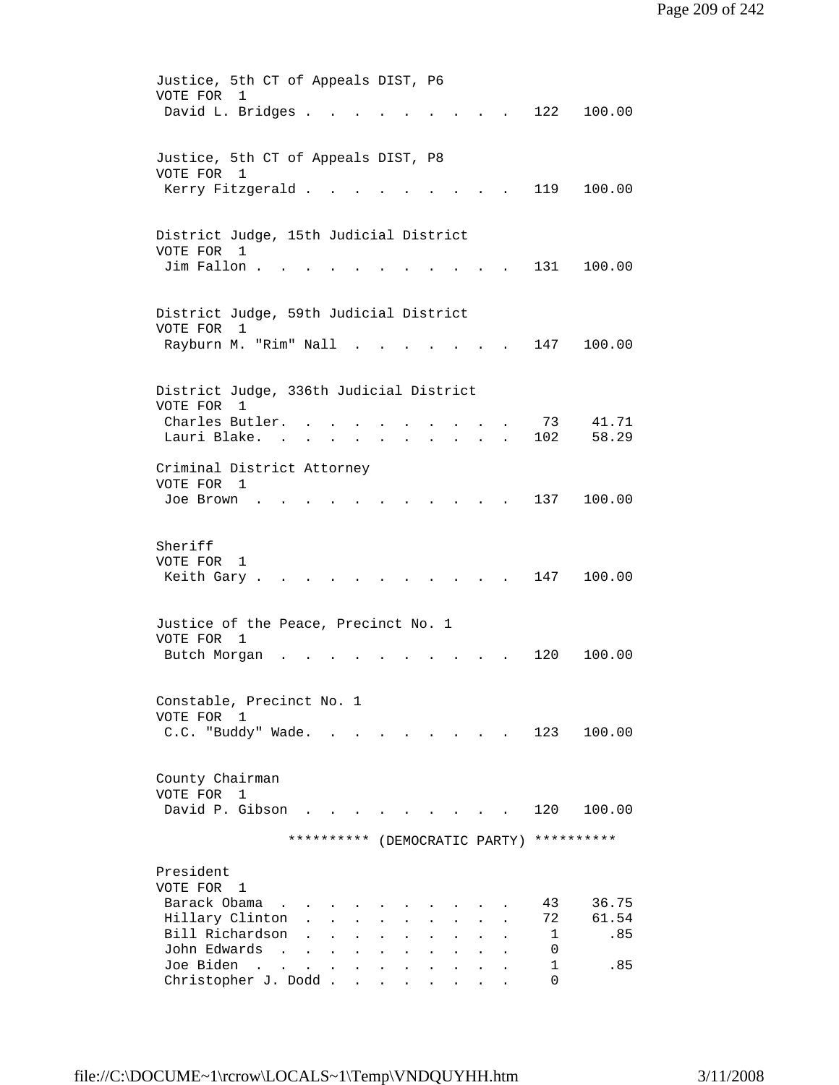| Justice, 5th CT of Appeals DIST, P6<br>VOTE FOR<br>$\mathbf{1}$<br>David L. Bridges .<br>122<br>100.00                                                                                                                                                                                                                                                                                                                                                     |
|------------------------------------------------------------------------------------------------------------------------------------------------------------------------------------------------------------------------------------------------------------------------------------------------------------------------------------------------------------------------------------------------------------------------------------------------------------|
| Justice, 5th CT of Appeals DIST, P8<br>VOTE FOR 1<br>Kerry Fitzgerald.<br>119<br>100.00                                                                                                                                                                                                                                                                                                                                                                    |
| District Judge, 15th Judicial District<br>VOTE FOR 1<br>Jim Fallon.<br>131<br>100.00                                                                                                                                                                                                                                                                                                                                                                       |
| District Judge, 59th Judicial District<br>VOTE FOR<br>1<br>Rayburn M. "Rim" Nall<br>147<br>100.00                                                                                                                                                                                                                                                                                                                                                          |
| District Judge, 336th Judicial District<br>VOTE FOR<br>$\overline{1}$<br>41.71<br>Charles Butler.<br>73<br>58.29<br>Lauri Blake.<br>102<br>$\sim$ 100 $\pm$                                                                                                                                                                                                                                                                                                |
| Criminal District Attorney<br>VOTE FOR 1<br>137<br>100.00<br>Joe Brown                                                                                                                                                                                                                                                                                                                                                                                     |
| Sheriff<br>VOTE FOR<br>1<br>Keith Gary.<br>147<br>100.00                                                                                                                                                                                                                                                                                                                                                                                                   |
| Justice of the Peace, Precinct No. 1<br>VOTE FOR 1<br>Butch Morgan<br>120<br>100.00                                                                                                                                                                                                                                                                                                                                                                        |
| Constable, Precinct No. 1<br>VOTE FOR<br>$\mathbf{1}$<br>C.C. "Buddy" Wade.<br>123<br>100.00<br>the contract of the contract of the contract of the contract of the contract of the contract of the contract of                                                                                                                                                                                                                                            |
| County Chairman<br>VOTE FOR 1<br>David P. Gibson<br>120<br>100.00                                                                                                                                                                                                                                                                                                                                                                                          |
| **********<br>**********<br>(DEMOCRATIC PARTY)                                                                                                                                                                                                                                                                                                                                                                                                             |
| President<br>VOTE FOR 1<br>Barack Obama<br>36.75<br>43<br>61.54<br>Hillary Clinton<br>72<br>Bill Richardson<br>.85<br>1<br>John Edwards<br>0<br>$\sim$<br>$\mathbf{A}$<br>$\ddot{\phantom{0}}$<br>$\ddot{\phantom{a}}$<br>$\sim$<br>Joe Biden<br>1<br>.85<br>$\sim 100$ km s $^{-1}$<br>$\mathbf{L}^{\text{max}}$<br>$\sim 10^{-10}$<br>$\mathbf{r}$<br>$\mathbf{r}$<br>$\sim$<br>$\mathbf{A}$<br>$\mathbf{L}$<br>$\mathbf{L}$<br>Christopher J. Dodd<br>0 |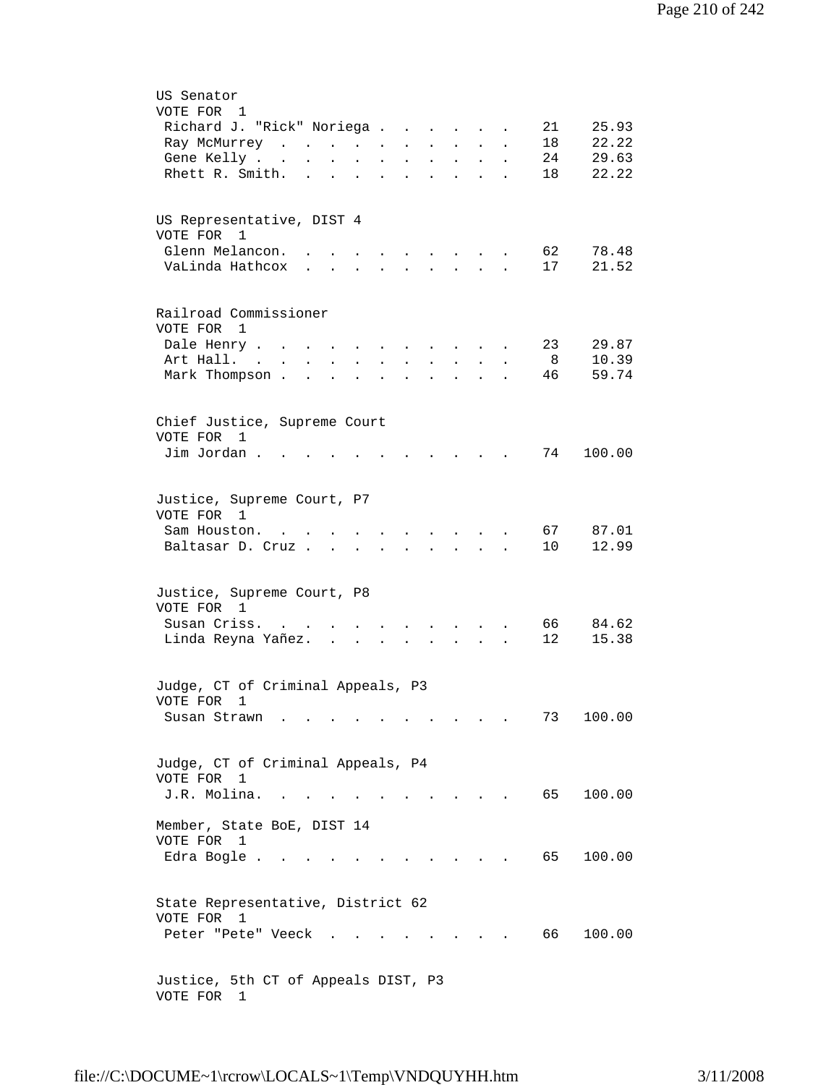| US Senator<br>VOTE FOR 1                                                                                                                              |
|-------------------------------------------------------------------------------------------------------------------------------------------------------|
| 21<br>25.93<br>Richard J. "Rick" Noriega<br>$\sim$ $\sim$ $\sim$                                                                                      |
| 18<br>22.22<br>Ray McMurrey<br>$\sim$ $\sim$<br>$\ddot{\phantom{0}}$                                                                                  |
| 29.63<br>24<br>Gene Kelly<br>$\sim 10^{-11}$<br>$\sim$<br>$\bullet$                                                                                   |
| 22.22<br>Rhett R. Smith.<br>18<br>$\ddot{\phantom{a}}$<br>$\ddot{\phantom{a}}$<br>$\ddot{\phantom{a}}$<br>$\ddot{\phantom{0}}$                        |
| US Representative, DIST 4<br>VOTE FOR<br>1                                                                                                            |
| Glenn Melancon.<br>62<br>78.48<br>$\sim$ $\sim$ $\sim$ $\sim$ $\sim$ $\sim$ $\sim$                                                                    |
| 21.52<br>VaLinda Hathcox<br>17<br>$\mathbf{r} = \mathbf{r} + \mathbf{r}$<br>$\mathbf{r}$ , $\mathbf{r}$ , $\mathbf{r}$ , $\mathbf{r}$<br>$\mathbf{L}$ |
|                                                                                                                                                       |
| Railroad Commissioner<br>VOTE FOR 1                                                                                                                   |
| 23<br>29.87<br>Dale Henry<br>$\ddot{\phantom{a}}$<br>$\mathbf{L}^{\text{max}}$                                                                        |
| 10.39<br>8<br>Art Hall. .                                                                                                                             |
| 46<br>59.74<br>Mark Thompson.<br>$\ddot{\phantom{a}}$<br>$\ddot{\phantom{a}}$<br>$\mathbf{r}$<br>$\mathbf{r}$                                         |
| Chief Justice, Supreme Court<br>VOTE FOR<br>$\mathbf{1}$                                                                                              |
| Jim Jordan.<br>74<br>100.00                                                                                                                           |
|                                                                                                                                                       |
| Justice, Supreme Court, P7                                                                                                                            |
| VOTE FOR 1                                                                                                                                            |
| 87.01<br>Sam Houston.<br>67<br>$\ddot{\phantom{a}}$<br>and the state of the state of the                                                              |
| 10<br>12.99<br>Baltasar D. Cruz<br>$\mathbf{r}$ , $\mathbf{r}$ , $\mathbf{r}$<br>$\mathbf{L}^{\text{max}}$                                            |
|                                                                                                                                                       |
| Justice, Supreme Court, P8<br>VOTE FOR 1                                                                                                              |
| 66<br>84.62<br>Susan Criss<br>$\mathbf{r}$                                                                                                            |
| 15.38<br>Linda Reyna Yañez.<br>$12 \overline{ }$                                                                                                      |
| Judge, CT of Criminal Appeals, P3                                                                                                                     |
| VOTE FOR 1                                                                                                                                            |
| 100.00<br>73<br>Susan Strawn                                                                                                                          |
| Judge, CT of Criminal Appeals, P4                                                                                                                     |
| VOTE FOR 1                                                                                                                                            |
| J.R. Molina.<br>65<br>100.00                                                                                                                          |
| Member, State BoE, DIST 14<br>VOTE FOR 1                                                                                                              |
| 65<br>Edra Bogle.<br>100.00                                                                                                                           |
| State Representative, District 62<br>VOTE FOR 1                                                                                                       |
| 66<br>100.00<br>Peter "Pete" Veeck                                                                                                                    |
| Justice, 5th CT of Appeals DIST, P3<br>VOTE FOR<br>$\mathbf{1}$                                                                                       |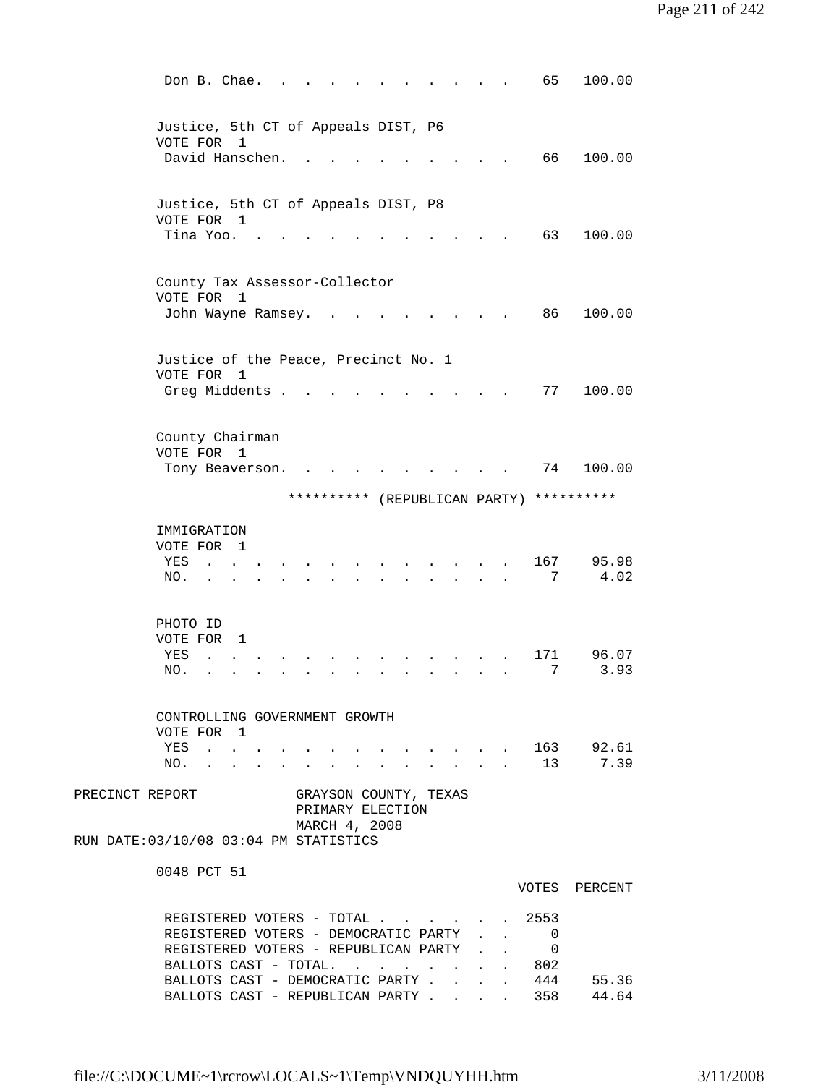| Don B. Chae.                                                                                                                 |  | 65                                                                                                                                                                                                                                                                                                                  | 100.00            |
|------------------------------------------------------------------------------------------------------------------------------|--|---------------------------------------------------------------------------------------------------------------------------------------------------------------------------------------------------------------------------------------------------------------------------------------------------------------------|-------------------|
| Justice, 5th CT of Appeals DIST, P6<br>VOTE FOR<br>1<br>David Hanschen.                                                      |  | 66                                                                                                                                                                                                                                                                                                                  | 100.00            |
|                                                                                                                              |  |                                                                                                                                                                                                                                                                                                                     |                   |
| Justice, 5th CT of Appeals DIST, P8<br>VOTE FOR 1                                                                            |  |                                                                                                                                                                                                                                                                                                                     |                   |
| Tina Yoo.                                                                                                                    |  | 63                                                                                                                                                                                                                                                                                                                  | 100.00            |
| County Tax Assessor-Collector<br>VOTE FOR<br>1                                                                               |  |                                                                                                                                                                                                                                                                                                                     |                   |
| John Wayne Ramsey.                                                                                                           |  | 86                                                                                                                                                                                                                                                                                                                  | 100.00            |
| Justice of the Peace, Precinct No. 1<br>VOTE FOR<br>1                                                                        |  |                                                                                                                                                                                                                                                                                                                     |                   |
| Greg Middents .                                                                                                              |  | 77                                                                                                                                                                                                                                                                                                                  | 100.00            |
| County Chairman<br>VOTE FOR<br>$\overline{1}$                                                                                |  |                                                                                                                                                                                                                                                                                                                     |                   |
| Tony Beaverson.                                                                                                              |  | 74                                                                                                                                                                                                                                                                                                                  | 100.00            |
| ********** (REPUBLICAN PARTY)                                                                                                |  |                                                                                                                                                                                                                                                                                                                     | **********        |
| IMMIGRATION                                                                                                                  |  |                                                                                                                                                                                                                                                                                                                     |                   |
| VOTE FOR 1<br>YES<br>$\ddot{\phantom{a}}$                                                                                    |  | 167                                                                                                                                                                                                                                                                                                                 | 95.98             |
| NO.                                                                                                                          |  | 7                                                                                                                                                                                                                                                                                                                   | 4.02              |
| PHOTO ID<br>VOTE FOR<br>1                                                                                                    |  |                                                                                                                                                                                                                                                                                                                     |                   |
| YES                                                                                                                          |  | 171                                                                                                                                                                                                                                                                                                                 | 96.07             |
| NO.                                                                                                                          |  | 7                                                                                                                                                                                                                                                                                                                   | 3.93              |
| CONTROLLING GOVERNMENT GROWTH<br>VOTE FOR 1                                                                                  |  |                                                                                                                                                                                                                                                                                                                     |                   |
| YES<br>$\mathbf{r}$ , $\mathbf{r}$ , $\mathbf{r}$ , $\mathbf{r}$                                                             |  | $\frac{1}{2}$ $\frac{1}{2}$ $\frac{1}{2}$ $\frac{1}{2}$ $\frac{1}{2}$ $\frac{1}{2}$ $\frac{1}{2}$ $\frac{1}{2}$ $\frac{1}{2}$ $\frac{1}{2}$ $\frac{1}{2}$ $\frac{1}{2}$ $\frac{1}{2}$ $\frac{1}{2}$ $\frac{1}{2}$ $\frac{1}{2}$ $\frac{1}{2}$ $\frac{1}{2}$ $\frac{1}{2}$ $\frac{1}{2}$ $\frac{1}{2}$ $\frac{1}{2}$ | $\cdot$ 163 92.61 |
| NO.<br>$\sim$                                                                                                                |  |                                                                                                                                                                                                                                                                                                                     | 7.39              |
| PRECINCT REPORT<br>GRAYSON COUNTY, TEXAS<br>PRIMARY ELECTION                                                                 |  |                                                                                                                                                                                                                                                                                                                     |                   |
| MARCH 4, 2008<br>RUN DATE: 03/10/08 03:04 PM STATISTICS                                                                      |  |                                                                                                                                                                                                                                                                                                                     |                   |
| 0048 PCT 51                                                                                                                  |  |                                                                                                                                                                                                                                                                                                                     | VOTES PERCENT     |
| REGISTERED VOTERS - TOTAL 2553                                                                                               |  |                                                                                                                                                                                                                                                                                                                     |                   |
| REGISTERED VOTERS - DEMOCRATIC PARTY 0                                                                                       |  |                                                                                                                                                                                                                                                                                                                     |                   |
| REGISTERED VOTERS - REPUBLICAN PARTY<br>BALLOTS CAST - TOTAL.<br>$\cdot$ $\cdot$ $\cdot$ $\cdot$ $\cdot$ $\cdot$ $\cdot$ 802 |  | $\mathbf{0}$                                                                                                                                                                                                                                                                                                        |                   |
| BALLOTS CAST - DEMOCRATIC PARTY.<br>$\sim$ $\sim$                                                                            |  | $\cdot$ $444$                                                                                                                                                                                                                                                                                                       | 55.36             |
| BALLOTS CAST - REPUBLICAN PARTY 358 44.64                                                                                    |  |                                                                                                                                                                                                                                                                                                                     |                   |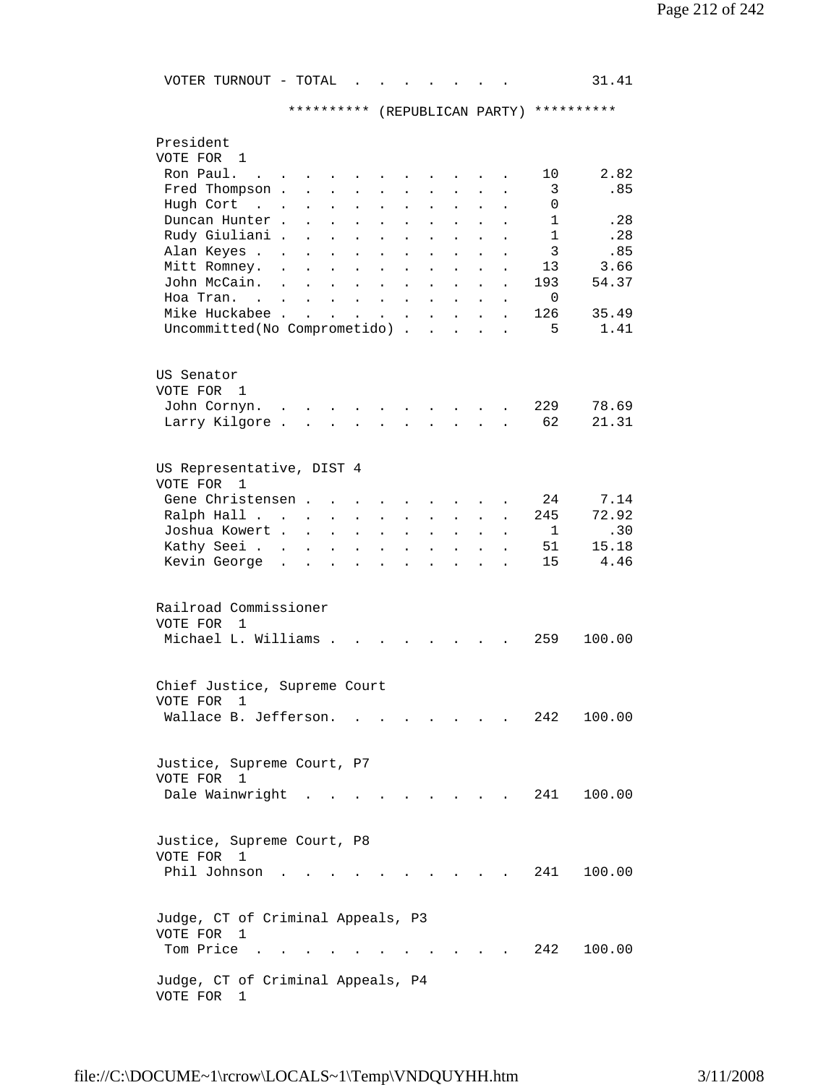VOTER TURNOUT - TOTAL . . . . . . . 31.41

\*\*\*\*\*\*\*\*\*\* (REPUBLICAN PARTY) \*\*\*\*\*\*\*\*\*\*

| President<br>VOTE FOR<br>1                                      |                                                           |                                              |                                      |                      |                      |                           |                      |              |        |
|-----------------------------------------------------------------|-----------------------------------------------------------|----------------------------------------------|--------------------------------------|----------------------|----------------------|---------------------------|----------------------|--------------|--------|
| Ron Paul.                                                       |                                                           |                                              |                                      |                      |                      |                           |                      | 10           | 2.82   |
| Fred Thompson.                                                  |                                                           |                                              |                                      |                      |                      |                           |                      | 3            | .85    |
| Hugh Cort<br>$\mathbf{r}$ . The set of $\mathbf{r}$             |                                                           |                                              | $\ddot{\phantom{a}}$                 |                      |                      |                           |                      | $\Omega$     |        |
| Duncan Hunter.                                                  | $\ddot{\phantom{a}}$                                      | $\mathbf{r}$<br>$\ddot{\phantom{a}}$         | $\mathbf{L}$                         |                      |                      | $\ddot{\phantom{a}}$      | $\ddot{\phantom{a}}$ | $\mathbf{1}$ | .28    |
| Rudy Giuliani .                                                 |                                                           |                                              |                                      | $\ddot{\phantom{a}}$ | $\ddot{\phantom{a}}$ |                           |                      | 1            | .28    |
|                                                                 | $\ddot{\phantom{a}}$                                      | $\mathbf{L}$<br>$\ddot{\phantom{a}}$         | $\sim$ $\sim$                        | $\ddot{\phantom{0}}$ | $\ddot{\phantom{a}}$ | $\ddot{\phantom{a}}$      |                      | 3            |        |
| Alan Keyes .                                                    | $\ddot{\phantom{a}}$<br>$\ddot{\phantom{a}}$              | $\ddot{\phantom{a}}$                         | $\ddot{\phantom{0}}$                 | $\ddot{\phantom{0}}$ | $\ddot{\phantom{0}}$ | $\ddot{\phantom{0}}$      | $\ddot{\phantom{0}}$ |              | .85    |
| Mitt Romney.                                                    | $\ddot{\phantom{a}}$                                      | $\ddot{\phantom{a}}$<br>$\ddot{\phantom{a}}$ | $\ddot{\phantom{a}}$                 | $\ddot{\phantom{0}}$ | $\ddot{\phantom{0}}$ | $\ddot{\phantom{a}}$      |                      | 13           | 3.66   |
| John McCain.                                                    | $\sim$<br>$\ddot{\phantom{a}}$                            | $\ddot{\phantom{a}}$<br>$\bullet$            | $\ddot{\phantom{a}}$                 | $\ddot{\phantom{0}}$ | $\ddot{\phantom{0}}$ | $\ddot{\phantom{0}}$      |                      | 193          | 54.37  |
| Hoa Tran. .                                                     |                                                           | $\ddot{\phantom{a}}$<br>$\ddot{\phantom{0}}$ | $\sim 10$                            | $\ddot{\phantom{0}}$ | $\ddot{\phantom{0}}$ |                           |                      | $\Omega$     |        |
| Mike Huckabee .                                                 | $\mathbf{r}$                                              |                                              | $\ddot{\phantom{0}}$                 | $\ddot{\phantom{a}}$ | $\ddot{\phantom{a}}$ |                           |                      | 126          | 35.49  |
| Uncommitted(No Comprometido) .                                  |                                                           |                                              |                                      |                      | $\mathbf{r}$         |                           |                      | 5            | 1.41   |
| US Senator<br>VOTE FOR 1                                        |                                                           |                                              |                                      |                      |                      |                           |                      |              |        |
| John Cornyn.                                                    | $\sim$                                                    |                                              |                                      |                      |                      |                           |                      | 229          | 78.69  |
| Larry Kilgore .                                                 | $\mathbf{L}^{\text{max}}$ , and $\mathbf{L}^{\text{max}}$ | $\ddot{\phantom{a}}$                         | $\ddot{\phantom{0}}$                 | $\ddot{\phantom{0}}$ | $\ddot{\phantom{a}}$ | $\sim$                    |                      | 62           | 21.31  |
|                                                                 |                                                           |                                              |                                      |                      |                      |                           |                      |              |        |
| US Representative, DIST 4<br>VOTE FOR<br>1                      |                                                           |                                              |                                      |                      |                      |                           |                      |              |        |
| Gene Christensen.                                               | <b>Contract Contract Contract</b>                         |                                              | $\mathbf{L} = \mathbf{L} \mathbf{L}$ | $\ddot{\phantom{a}}$ | $\ddot{\phantom{a}}$ |                           |                      | 24           | 7.14   |
| Ralph Hall                                                      |                                                           | $\ddot{\phantom{a}}$                         | $\ddot{\phantom{a}}$                 | $\ddot{\phantom{a}}$ | $\mathbf{L}$         | $\mathbf{L}^{\text{max}}$ |                      | 245          | 72.92  |
| Joshua Kowert.                                                  | $\sim$ $\sim$                                             | $\mathbf{L}$<br>$\ddot{\phantom{a}}$         | $\ddot{\phantom{0}}$                 | $\ddot{\phantom{0}}$ | $\ddot{\phantom{0}}$ | $\ddot{\phantom{a}}$      | $\ddot{\phantom{0}}$ | 1            | .30    |
| Kathy Seei                                                      | $\sim$ 100 $\pm$                                          | $\mathcal{L}^{\text{max}}$<br>$\bullet$      | $\bullet$                            | $\ddot{\phantom{0}}$ | $\ddot{\phantom{0}}$ | $\bullet$                 | $\ddot{\phantom{0}}$ | 51           | 15.18  |
| Kevin George.                                                   | $\ddot{\phantom{a}}$                                      | $\ddot{\phantom{0}}$<br>$\bullet$            | $\ddot{\phantom{0}}$                 | $\ddot{\phantom{a}}$ | $\ddot{\phantom{0}}$ | $\ddot{\phantom{a}}$      | $\ddot{\phantom{0}}$ | 15           | 4.46   |
|                                                                 |                                                           |                                              |                                      |                      |                      |                           |                      |              |        |
| Railroad Commissioner<br>VOTE FOR<br>1<br>Michael L. Williams . |                                                           |                                              |                                      |                      |                      |                           |                      | 259          | 100.00 |
| Chief Justice, Supreme Court<br>VOTE FOR<br>1                   |                                                           |                                              |                                      |                      |                      |                           |                      |              |        |
| Wallace B. Jefferson.                                           |                                                           |                                              |                                      |                      |                      |                           |                      | 242.         | 100.00 |
|                                                                 |                                                           |                                              |                                      |                      |                      |                           |                      |              |        |
| Justice, Supreme Court, P7<br>VOTE FOR 1<br>Dale Wainwright     |                                                           |                                              |                                      |                      |                      |                           |                      | 241          | 100.00 |
| Justice, Supreme Court, P8<br>VOTE FOR 1                        |                                                           |                                              |                                      |                      |                      |                           |                      |              |        |
| Phil Johnson                                                    |                                                           |                                              |                                      |                      |                      |                           |                      | 241          | 100.00 |
| Judge, CT of Criminal Appeals, P3                               |                                                           |                                              |                                      |                      |                      |                           |                      |              |        |
| VOTE FOR 1                                                      |                                                           |                                              |                                      |                      |                      |                           |                      |              |        |
| Tom Price                                                       |                                                           |                                              |                                      |                      |                      |                           |                      | 242          | 100.00 |
|                                                                 |                                                           |                                              |                                      |                      |                      |                           |                      |              |        |
| Judge, CT of Criminal Appeals, P4<br>VOTE FOR<br>1              |                                                           |                                              |                                      |                      |                      |                           |                      |              |        |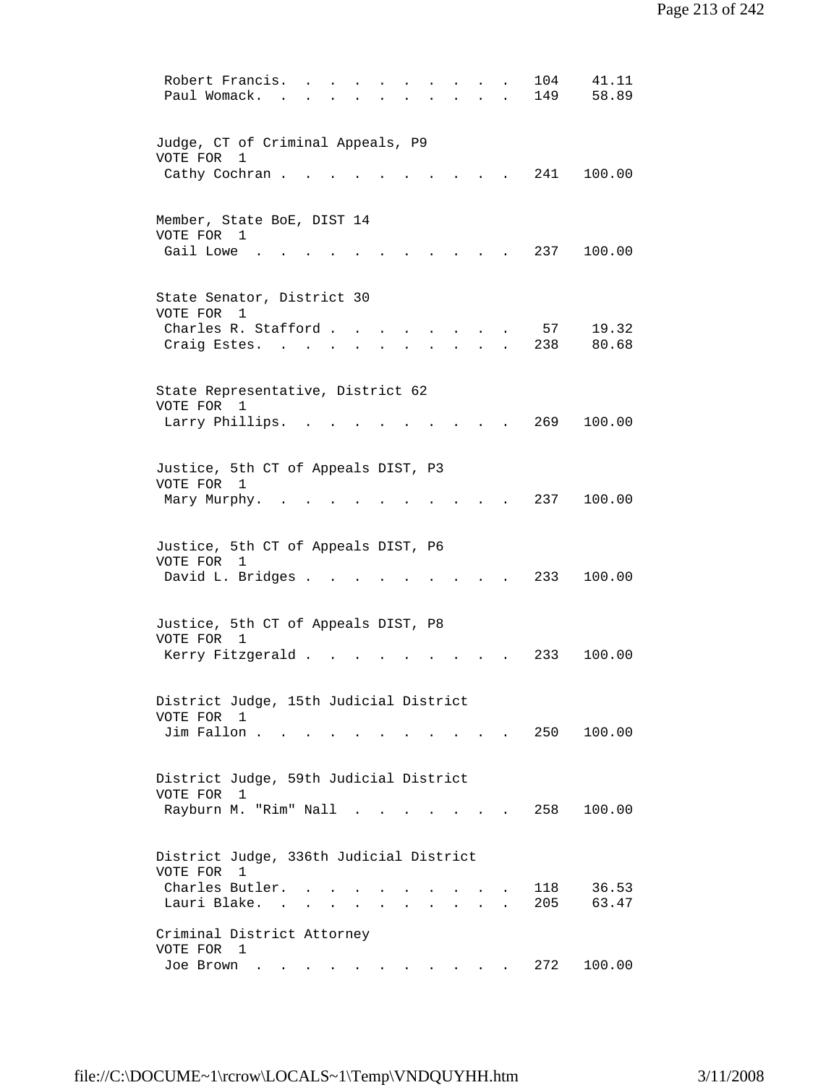| Robert Francis.<br>104<br>41.11<br>Paul Womack.<br>149<br>58.89                                                                                                                                                                                                |  |
|----------------------------------------------------------------------------------------------------------------------------------------------------------------------------------------------------------------------------------------------------------------|--|
| Judge, CT of Criminal Appeals, P9<br>VOTE FOR<br>1                                                                                                                                                                                                             |  |
| Cathy Cochran.<br>241 100.00                                                                                                                                                                                                                                   |  |
| Member, State BoE, DIST 14<br>VOTE FOR 1<br>Gail Lowe<br>237<br>100.00                                                                                                                                                                                         |  |
| State Senator, District 30                                                                                                                                                                                                                                     |  |
| VOTE FOR 1<br>Charles R. Stafford.<br>19.32<br>57<br>238<br>80.68<br>Craig Estes.<br>$\mathbf{r}$                                                                                                                                                              |  |
| State Representative, District 62                                                                                                                                                                                                                              |  |
| VOTE FOR 1<br>Larry Phillips.<br>269<br>100.00                                                                                                                                                                                                                 |  |
| Justice, 5th CT of Appeals DIST, P3<br>VOTE FOR 1<br>100.00<br>237                                                                                                                                                                                             |  |
| Mary Murphy.                                                                                                                                                                                                                                                   |  |
| Justice, 5th CT of Appeals DIST, P6<br>VOTE FOR<br>1                                                                                                                                                                                                           |  |
| 233<br>100.00<br>David L. Bridges .                                                                                                                                                                                                                            |  |
| Justice, 5th CT of Appeals DIST, P8<br>VOTE FOR 1                                                                                                                                                                                                              |  |
| Kerry Fitzgerald .<br>233<br>100.00                                                                                                                                                                                                                            |  |
| District Judge, 15th Judicial District                                                                                                                                                                                                                         |  |
| VOTE FOR 1<br>Jim Fallon.<br>250 100.00                                                                                                                                                                                                                        |  |
| District Judge, 59th Judicial District<br>VOTE FOR<br>$\mathbf{1}$                                                                                                                                                                                             |  |
| Rayburn M. "Rim" Nall .<br>258 100.00<br>$\mathbf{r} = \mathbf{r} + \mathbf{r}$ , where $\mathbf{r} = \mathbf{r}$                                                                                                                                              |  |
| District Judge, 336th Judicial District<br>VOTE FOR 1                                                                                                                                                                                                          |  |
| Charles Butler.<br>118<br>36.53<br>$\mathbf{r} = \mathbf{r}$ , and $\mathbf{r} = \mathbf{r}$<br>Lauri Blake.<br>205<br>63.47<br>$\mathbf{r} = \mathbf{r}$ and $\mathbf{r} = \mathbf{r}$<br>$\mathbf{r}$ , $\mathbf{r}$ , $\mathbf{r}$ , $\mathbf{r}$<br>$\sim$ |  |
| Criminal District Attorney<br>VOTE FOR 1                                                                                                                                                                                                                       |  |
| 272<br>100.00<br>Joe Brown<br>$\bullet$ . In the case of the $\sim$                                                                                                                                                                                            |  |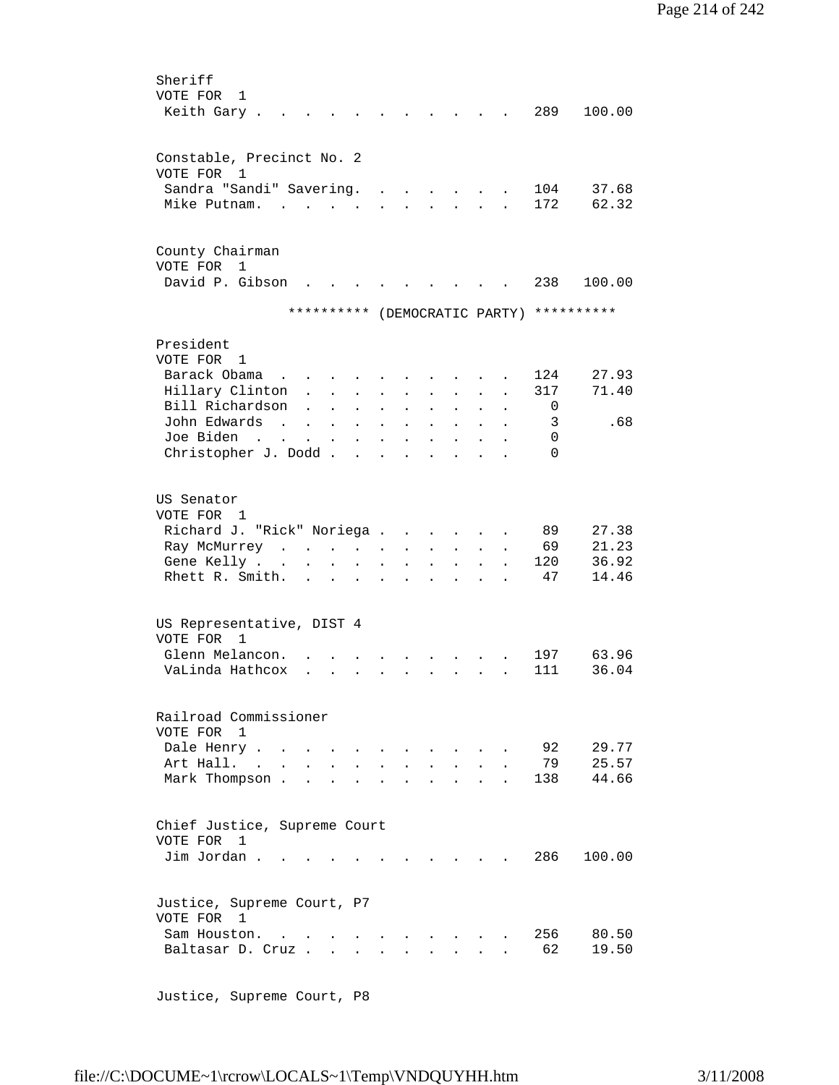| Sheriff                                                                                                                                                                                                                                           |               |
|---------------------------------------------------------------------------------------------------------------------------------------------------------------------------------------------------------------------------------------------------|---------------|
| VOTE FOR<br>1                                                                                                                                                                                                                                     |               |
| Keith Gary.                                                                                                                                                                                                                                       | 289<br>100.00 |
|                                                                                                                                                                                                                                                   |               |
|                                                                                                                                                                                                                                                   |               |
| Constable, Precinct No. 2                                                                                                                                                                                                                         |               |
| VOTE FOR<br>1                                                                                                                                                                                                                                     |               |
| Sandra "Sandi" Savering.                                                                                                                                                                                                                          | 104<br>37.68  |
| Mike Putnam.<br>$\sim$                                                                                                                                                                                                                            | 172<br>62.32  |
|                                                                                                                                                                                                                                                   |               |
|                                                                                                                                                                                                                                                   |               |
| County Chairman                                                                                                                                                                                                                                   |               |
| VOTE FOR<br>$\mathbf{1}$                                                                                                                                                                                                                          |               |
| David P. Gibson                                                                                                                                                                                                                                   | 238<br>100.00 |
|                                                                                                                                                                                                                                                   |               |
| ********** (DEMOCRATIC PARTY) **********                                                                                                                                                                                                          |               |
|                                                                                                                                                                                                                                                   |               |
|                                                                                                                                                                                                                                                   |               |
| President                                                                                                                                                                                                                                         |               |
| VOTE FOR 1                                                                                                                                                                                                                                        |               |
| Barack Obama                                                                                                                                                                                                                                      | 124<br>27.93  |
| Hillary Clinton<br>$\mathbf{L}$<br>$\mathbf{L}$<br>$\ddot{\phantom{a}}$<br>$\ddot{\phantom{a}}$                                                                                                                                                   | 71.40<br>317  |
| Bill Richardson<br>$\ddot{\phantom{0}}$<br>$\ddot{\phantom{0}}$                                                                                                                                                                                   | 0             |
| John Edwards<br>$\sim$<br>$\ddot{\phantom{a}}$<br>$\bullet$<br>$\bullet$<br>$\bullet$<br>$\ddot{\phantom{0}}$<br>$\bullet$<br>$\ddot{\phantom{0}}$                                                                                                | .68<br>3      |
| Joe Biden<br>$\bullet$<br>$\bullet$<br>$\ddot{\phantom{0}}$                                                                                                                                                                                       | 0             |
| Christopher J. Dodd.<br>$\ddot{\phantom{a}}$<br>$\ddot{\phantom{a}}$<br>$\ddot{\phantom{0}}$                                                                                                                                                      | $\Omega$      |
|                                                                                                                                                                                                                                                   |               |
|                                                                                                                                                                                                                                                   |               |
| US Senator                                                                                                                                                                                                                                        |               |
| VOTE FOR 1                                                                                                                                                                                                                                        |               |
| Richard J. "Rick" Noriega .                                                                                                                                                                                                                       | 89<br>27.38   |
| $\ddot{\phantom{a}}$                                                                                                                                                                                                                              |               |
| $\mathcal{L}(\mathcal{L}^{\mathcal{L}}(\mathcal{L}^{\mathcal{L}}(\mathcal{L}^{\mathcal{L}}(\mathcal{L}^{\mathcal{L}}(\mathcal{L}^{\mathcal{L}}(\mathcal{L}^{\mathcal{L}})))$<br>Ray McMurrey<br>$\mathbf{L}^{\text{max}}$<br>$\ddot{\phantom{0}}$ | 69<br>21.23   |
| Gene Kelly<br>$\bullet$<br>$\ddot{\phantom{0}}$<br>$\bullet$<br>$\ddot{\phantom{0}}$<br>$\bullet$<br>$\bullet$                                                                                                                                    | 120<br>36.92  |
| Rhett R. Smith.<br>$\mathbf{L}^{\text{max}}$ and $\mathbf{L}^{\text{max}}$                                                                                                                                                                        | 47<br>14.46   |
|                                                                                                                                                                                                                                                   |               |
|                                                                                                                                                                                                                                                   |               |
| US Representative, DIST 4                                                                                                                                                                                                                         |               |
| VOTE FOR<br>$\overline{1}$                                                                                                                                                                                                                        |               |
| Glenn Melancon.                                                                                                                                                                                                                                   | 197<br>63.96  |
| VaLinda Hathcox                                                                                                                                                                                                                                   | 111<br>36.04  |
|                                                                                                                                                                                                                                                   |               |
|                                                                                                                                                                                                                                                   |               |
| Railroad Commissioner                                                                                                                                                                                                                             |               |
| VOTE FOR 1                                                                                                                                                                                                                                        |               |
| Dale Henry<br>$\ddot{\phantom{a}}$                                                                                                                                                                                                                | 92<br>29.77   |
| Art Hall. .                                                                                                                                                                                                                                       | 79<br>25.57   |
| Mark Thompson.                                                                                                                                                                                                                                    | 138<br>44.66  |
|                                                                                                                                                                                                                                                   |               |
|                                                                                                                                                                                                                                                   |               |
| Chief Justice, Supreme Court                                                                                                                                                                                                                      |               |
| VOTE FOR<br>1                                                                                                                                                                                                                                     |               |
| Jim Jordan                                                                                                                                                                                                                                        | 286<br>100.00 |
|                                                                                                                                                                                                                                                   |               |
|                                                                                                                                                                                                                                                   |               |
|                                                                                                                                                                                                                                                   |               |
| Justice, Supreme Court, P7                                                                                                                                                                                                                        |               |
| VOTE FOR 1                                                                                                                                                                                                                                        |               |
| Sam Houston.<br>$\cdot$ $\cdot$ $\cdot$ $\cdot$ $\cdot$                                                                                                                                                                                           | 256<br>80.50  |
| Baltasar D. Cruz<br>$\mathbf{r}$<br>$\mathbf{r}$ and $\mathbf{r}$                                                                                                                                                                                 | 62<br>19.50   |
|                                                                                                                                                                                                                                                   |               |

Justice, Supreme Court, P8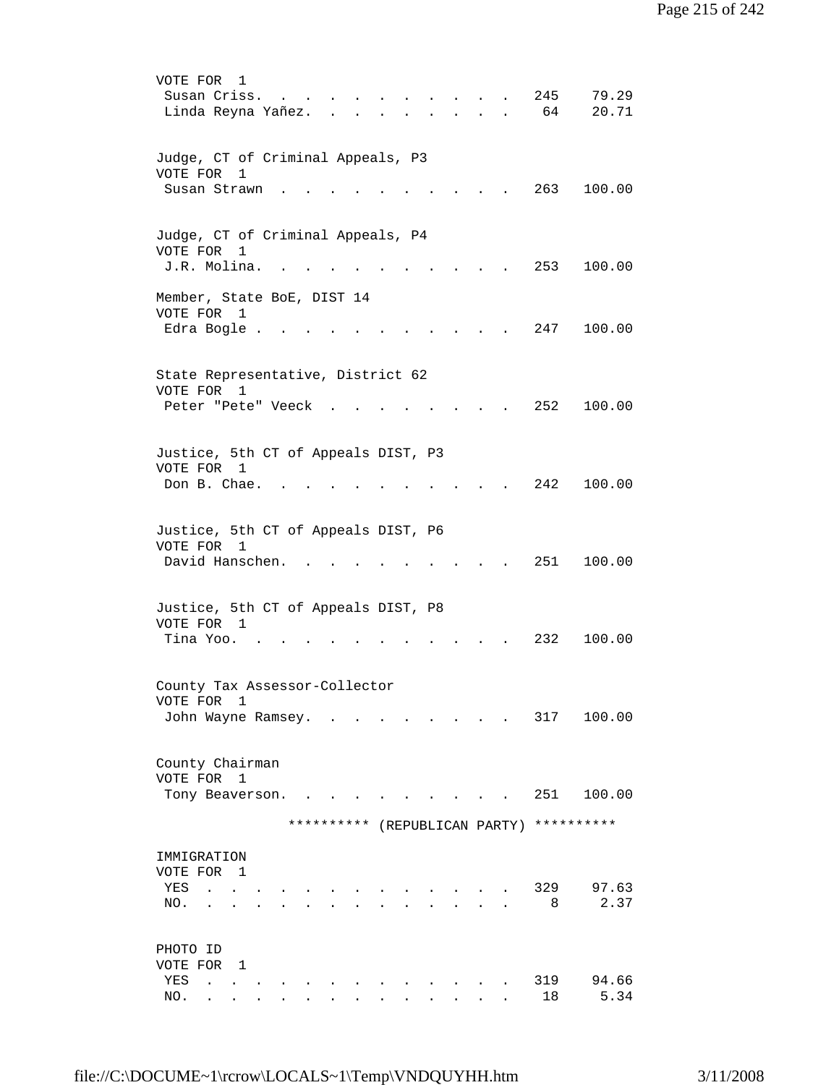| VOTE FOR<br>1<br>245<br>79.29<br>Susan Criss.<br>$\cdot$ $\cdot$ $\cdot$ $\cdot$<br>64<br>20.71<br>Linda Reyna Yañez.<br>$\mathbf{r}$ $\mathbf{r}$<br>$\sim$ $\sim$<br>$\sim$ $\sim$ |  |
|--------------------------------------------------------------------------------------------------------------------------------------------------------------------------------------|--|
| Judge, CT of Criminal Appeals, P3<br>VOTE FOR<br>1<br>Susan Strawn<br>263<br>100.00                                                                                                  |  |
| Judge, CT of Criminal Appeals, P4<br>VOTE FOR<br>1<br>J.R. Molina.<br>253<br>100.00                                                                                                  |  |
| Member, State BoE, DIST 14<br>VOTE FOR 1<br>Edra Bogle.<br>247<br>100.00                                                                                                             |  |
| State Representative, District 62<br>VOTE FOR<br>1<br>252<br>100.00<br>Peter "Pete" Veeck                                                                                            |  |
| Justice, 5th CT of Appeals DIST, P3<br>VOTE FOR 1<br>242<br>Don B. Chae.<br>100.00                                                                                                   |  |
| Justice, 5th CT of Appeals DIST, P6<br>VOTE FOR 1<br>David Hanschen.<br>251<br>100.00                                                                                                |  |
| Justice, 5th CT of Appeals DIST, P8<br>VOTE FOR 1<br>232<br>100.00<br>Tina Yoo.                                                                                                      |  |
| County Tax Assessor-Collector<br>VOTE FOR<br>1<br>317<br>John Wayne Ramsey.<br>100.00                                                                                                |  |
| County Chairman<br>VOTE FOR 1<br>251<br>100.00<br>Tony Beaverson.                                                                                                                    |  |
| (REPUBLICAN PARTY) **********<br>**********                                                                                                                                          |  |
| IMMIGRATION<br>VOTE FOR 1<br>329<br>97.63<br>YES<br>$\ddot{\phantom{a}}$<br>2.37<br>8<br>NO.                                                                                         |  |
| PHOTO ID<br>VOTE FOR<br>- 1<br>319<br>94.66<br>YES<br>$\ddot{\phantom{a}}$<br>18<br>5.34<br>NO.                                                                                      |  |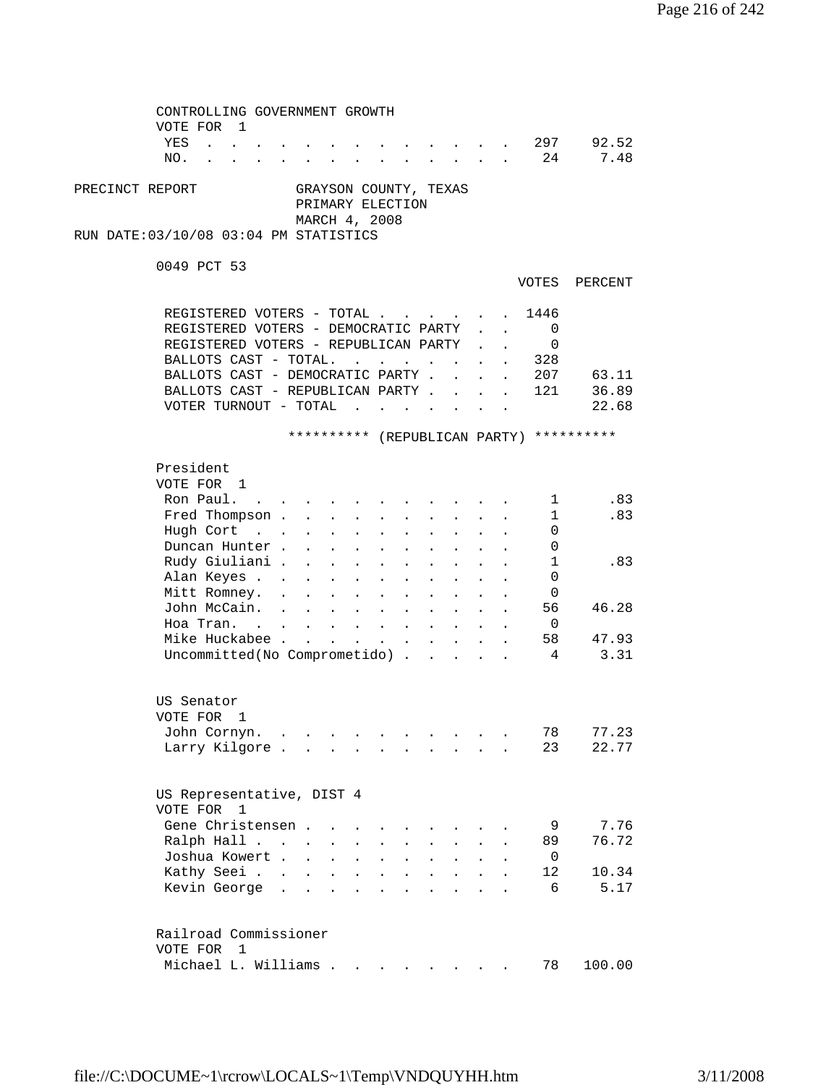| CONTROLLING GOVERNMENT GROWTH<br>VOTE FOR 1                                                                                                                                                                                                                         |                            |                                  |         |
|---------------------------------------------------------------------------------------------------------------------------------------------------------------------------------------------------------------------------------------------------------------------|----------------------------|----------------------------------|---------|
| YES<br>$\mathbf{r}$ , $\mathbf{r}$ , $\mathbf{r}$ , $\mathbf{r}$                                                                                                                                                                                                    |                            | 297                              | 92.52   |
| $\mathbf{r}$ , and $\mathbf{r}$ , and $\mathbf{r}$ , and $\mathbf{r}$                                                                                                                                                                                               |                            |                                  |         |
| NO.<br>$\mathbf{r} = \mathbf{r} + \mathbf{r} + \mathbf{r} + \mathbf{r} + \mathbf{r}$<br>$\mathbf{r}$ and $\mathbf{r}$ and $\mathbf{r}$ and $\mathbf{r}$                                                                                                             |                            | 24                               | 7.48    |
| PRECINCT REPORT<br>GRAYSON COUNTY, TEXAS<br>PRIMARY ELECTION<br>MARCH 4, 2008                                                                                                                                                                                       |                            |                                  |         |
| RUN DATE: 03/10/08 03:04 PM STATISTICS                                                                                                                                                                                                                              |                            |                                  |         |
|                                                                                                                                                                                                                                                                     |                            |                                  |         |
| 0049 PCT 53                                                                                                                                                                                                                                                         |                            | VOTES                            | PERCENT |
| REGISTERED VOTERS - TOTAL                                                                                                                                                                                                                                           |                            | 1446                             |         |
| REGISTERED VOTERS - DEMOCRATIC PARTY                                                                                                                                                                                                                                |                            | $\Omega$<br>$\ddot{\phantom{a}}$ |         |
| REGISTERED VOTERS - REPUBLICAN PARTY                                                                                                                                                                                                                                |                            | 0                                |         |
| BALLOTS CAST - TOTAL.<br>$\mathbf{r}$ , $\mathbf{r}$<br><b>Contract Contract Contract</b><br>$\bullet$                                                                                                                                                              | $\mathcal{L}^{\text{max}}$ | 328<br>$\ddot{\phantom{a}}$      |         |
| BALLOTS CAST - DEMOCRATIC PARTY.<br>$\mathbf{L}$                                                                                                                                                                                                                    |                            | 207                              | 63.11   |
| BALLOTS CAST - REPUBLICAN PARTY.<br>$\mathbf{r}$                                                                                                                                                                                                                    |                            | 121<br>$\mathbf{r}$              | 36.89   |
| VOTER TURNOUT - TOTAL $\ldots$                                                                                                                                                                                                                                      |                            |                                  | 22.68   |
| $\sim$ $\sim$                                                                                                                                                                                                                                                       |                            |                                  |         |
| ********** (REPUBLICAN PARTY) **********                                                                                                                                                                                                                            |                            |                                  |         |
| President                                                                                                                                                                                                                                                           |                            |                                  |         |
| VOTE FOR 1                                                                                                                                                                                                                                                          |                            |                                  |         |
| Ron Paul. .<br>$\mathbf{z} = \mathbf{z} + \mathbf{z}$ .<br>$\sim 100$                                                                                                                                                                                               |                            | $\mathbf{1}$                     | .83     |
| Fred Thompson<br>$\mathbf{L}^{\text{max}}$<br>$\mathcal{L}^{\text{max}}$<br>$\ddot{\phantom{a}}$                                                                                                                                                                    |                            | $\mathbf{1}$                     | .83     |
| Hugh Cort<br>$\mathcal{L}^{\text{max}}$<br>$\sim$ $-$<br>$\mathcal{L}^{\text{max}}$<br>$\bullet$                                                                                                                                                                    |                            | 0                                |         |
| Duncan Hunter.<br>$\mathbf{L}$                                                                                                                                                                                                                                      |                            | 0                                |         |
| $\sim$ $-$<br>$\mathcal{L}^{\text{max}}$<br>$\ddot{\phantom{a}}$                                                                                                                                                                                                    |                            |                                  | .83     |
| Rudy Giuliani .<br>$\mathbf{1}^{\prime}$ , $\mathbf{1}^{\prime}$ , $\mathbf{1}^{\prime}$ , $\mathbf{1}^{\prime}$<br>$\sim$ 100 $\pm$<br>$\mathbf{r}$<br>$\sim$<br>$\sim$ $\sim$                                                                                     |                            | 1                                |         |
| Alan Keyes<br>$\sim 10^{-10}$<br>$\ddot{\phantom{a}}$<br>$\sim$ $\sim$<br>$\sim$                                                                                                                                                                                    |                            | 0                                |         |
| Mitt Romney.                                                                                                                                                                                                                                                        |                            | 0                                |         |
| John McCain.                                                                                                                                                                                                                                                        |                            | 56                               | 46.28   |
| Hoa Tran.                                                                                                                                                                                                                                                           |                            | $\overline{\phantom{0}}$         |         |
| Mike Huckabee<br>$\mathbf{r} = \mathbf{r} \times \mathbf{r}$ , where $\mathbf{r} = \mathbf{r} \times \mathbf{r}$<br>$\sim 10^{-11}$                                                                                                                                 | $\sim$ 100 $\pm$           | 58                               | 47.93   |
| Uncommitted (No Comprometido)                                                                                                                                                                                                                                       |                            | $\overline{4}$                   | 3.31    |
| US Senator                                                                                                                                                                                                                                                          |                            |                                  |         |
| VOTE FOR 1                                                                                                                                                                                                                                                          |                            |                                  |         |
| John Cornyn<br>$\sim$ $\sim$ $\sim$ $\sim$<br>$\bullet$                                                                                                                                                                                                             |                            | 78                               | 77.23   |
| Larry Kilgore                                                                                                                                                                                                                                                       |                            | 23                               | 22.77   |
| US Representative, DIST 4                                                                                                                                                                                                                                           |                            |                                  |         |
| VOTE FOR 1                                                                                                                                                                                                                                                          |                            |                                  |         |
| Gene Christensen.                                                                                                                                                                                                                                                   |                            | 9                                | 7.76    |
| Ralph Hall<br>$\ddot{\phantom{a}}$                                                                                                                                                                                                                                  |                            | 89                               | 76.72   |
| Joshua Kowert<br>$\ddot{\phantom{a}}$<br>$\ddot{\phantom{a}}$<br>$\ddot{\phantom{a}}$<br>$\sim$ 100 $\pm$<br>$\ddot{\phantom{a}}$                                                                                                                                   | $\ddot{\phantom{a}}$       | 0                                |         |
| Kathy Seei<br>$\mathbf{r} = \mathbf{r}$<br>$\ddot{\phantom{a}}$<br>$\mathbf{L}$<br>$\ddot{\phantom{a}}$                                                                                                                                                             | $\ddot{\phantom{a}}$       | 12                               | 10.34   |
| Kevin George<br>$\ddot{\phantom{a}}$ . The contract of the contract of the contract of the contract of the contract of the contract of the contract of the contract of the contract of the contract of the contract of the contract of the contract of<br>$\bullet$ |                            | 6                                | 5.17    |
|                                                                                                                                                                                                                                                                     |                            |                                  |         |
| Railroad Commissioner                                                                                                                                                                                                                                               |                            |                                  |         |
| VOTE FOR<br>$\overline{1}$                                                                                                                                                                                                                                          |                            |                                  |         |
| Michael L. Williams                                                                                                                                                                                                                                                 |                            | 78                               | 100.00  |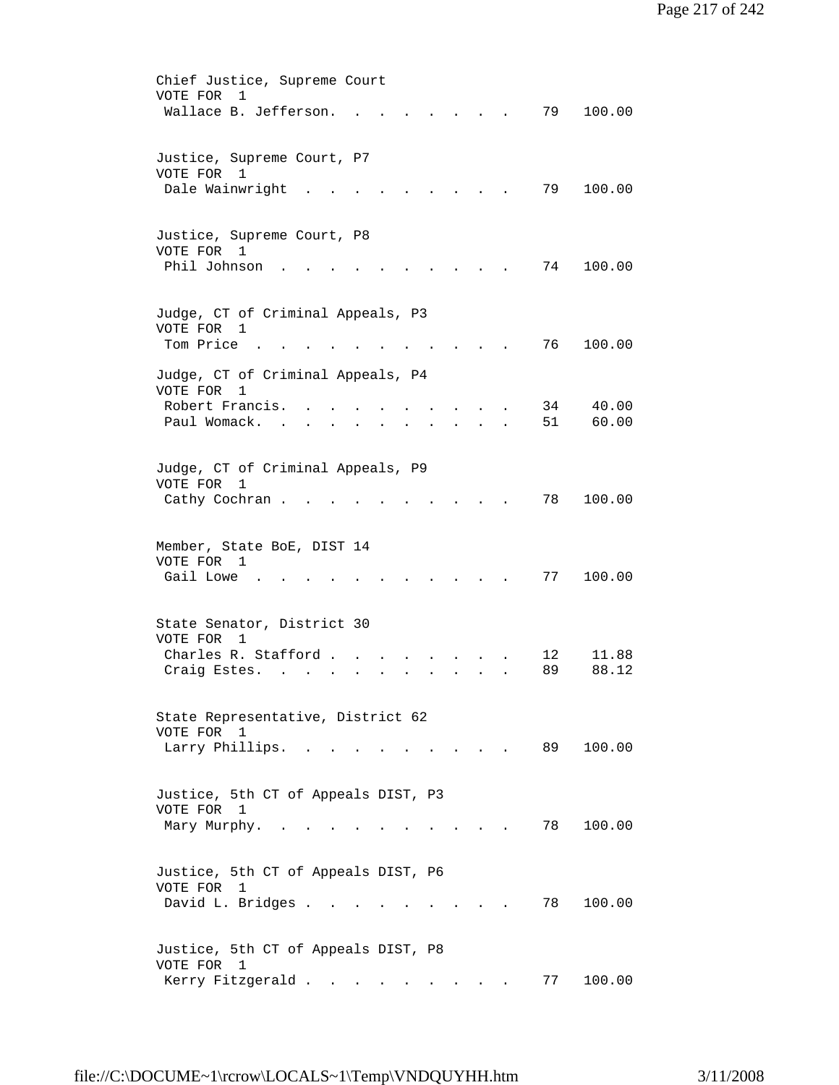| Chief Justice, Supreme Court<br>VOTE FOR<br>1            |
|----------------------------------------------------------|
| Wallace B. Jefferson.<br>79<br>100.00                    |
|                                                          |
|                                                          |
| Justice, Supreme Court, P7                               |
| VOTE FOR<br>1<br>Dale Wainwright<br>79<br>100.00         |
|                                                          |
|                                                          |
| Justice, Supreme Court, P8                               |
| VOTE FOR 1                                               |
| Phil Johnson<br>74<br>100.00                             |
|                                                          |
| Judge, CT of Criminal Appeals, P3                        |
| VOTE FOR<br>1                                            |
| Tom Price<br>76<br>100.00                                |
| Judge, CT of Criminal Appeals, P4                        |
| VOTE FOR<br>$\mathbf{1}$                                 |
| Robert Francis.<br>40.00<br>34                           |
| Paul Womack.<br>51<br>60.00                              |
|                                                          |
| Judge, CT of Criminal Appeals, P9                        |
| VOTE FOR<br>1                                            |
| 78<br>100.00<br>Cathy Cochran.                           |
|                                                          |
|                                                          |
| Member, State BoE, DIST 14<br>VOTE FOR<br>1              |
| Gail Lowe<br>77<br>100.00                                |
|                                                          |
|                                                          |
| State Senator, District 30<br>VOTE FOR<br>$\overline{1}$ |
| Charles R. Stafford.<br>11.88<br>12                      |
| 89<br>88.12<br>Craig Estes.                              |
|                                                          |
|                                                          |
| State Representative, District 62<br>VOTE FOR 1          |
| 100.00<br>Larry Phillips. .<br>89 —<br>$\sim$ $\sim$     |
|                                                          |
|                                                          |
| Justice, 5th CT of Appeals DIST, P3                      |
| VOTE FOR 1<br>78<br>100.00<br>Mary Murphy.<br>$\sim$     |
|                                                          |
|                                                          |
| Justice, 5th CT of Appeals DIST, P6                      |
| VOTE FOR<br>1                                            |
| David L. Bridges<br>78<br>100.00                         |
|                                                          |
| Justice, 5th CT of Appeals DIST, P8                      |
| VOTE FOR 1                                               |
| Kerry Fitzgerald<br>100.00<br>77                         |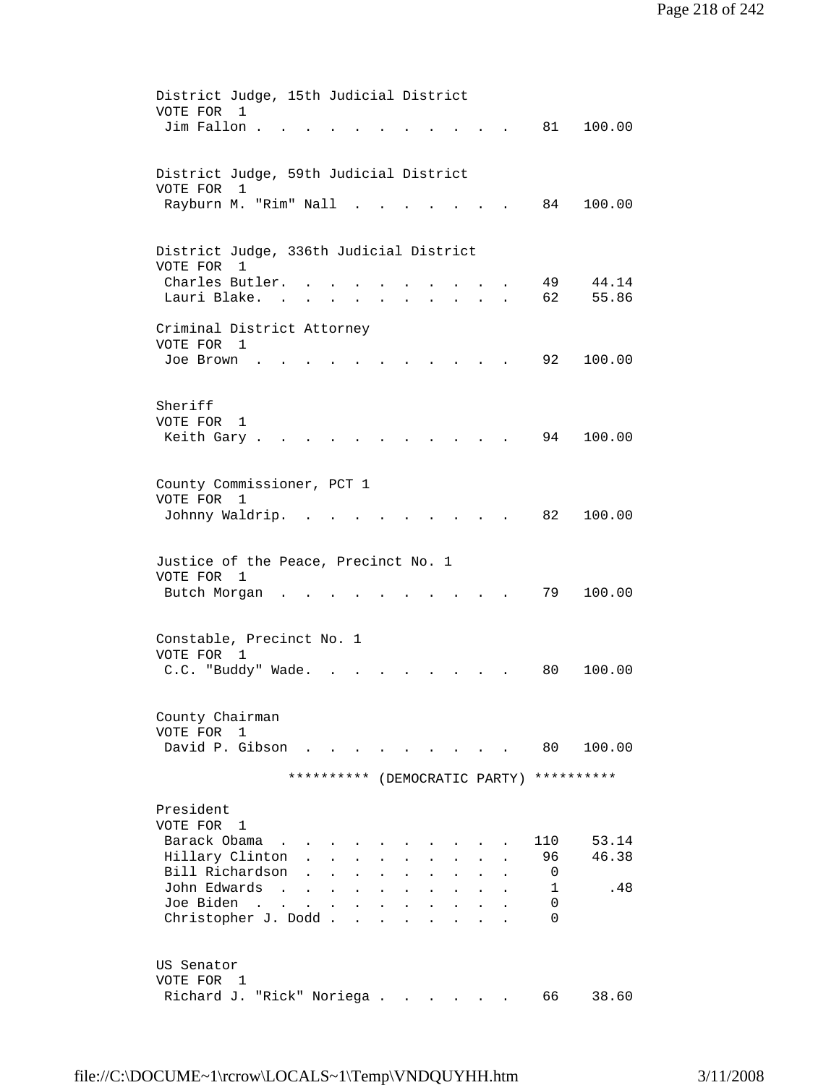District Judge, 15th Judicial District VOTE FOR 1 Jim Fallon . . . . . . . . . . . 81 100.00 District Judge, 59th Judicial District VOTE FOR 1 Rayburn M. "Rim" Nall . . . . . . . 84 100.00 District Judge, 336th Judicial District VOTE FOR 1 Charles Butler. . . . . . . . . . 49 44.14 Lauri Blake. . . . . . . . . . . . 62 55.86 Criminal District Attorney VOTE FOR 1<br>Joe Brown . . Joe Brown . . . . . . . . . . . 92 100.00 Sheriff VOTE FOR 1 Keith Gary . . . . . . . . . . . . 94 100.00 County Commissioner, PCT 1 VOTE FOR 1 Johnny Waldrip. . . . . . . . . . 82 100.00 Justice of the Peace, Precinct No. 1 VOTE FOR 1 Butch Morgan . . . . . . . . . . 79 100.00 Constable, Precinct No. 1 VOTE FOR 1 C.C. "Buddy" Wade. . . . . . . . . 80 100.00 County Chairman VOTE FOR 1 David P. Gibson . . . . . . . . . 80 100.00 \*\*\*\*\*\*\*\*\*\* (DEMOCRATIC PARTY) \*\*\*\*\*\*\*\*\*\* President VOTE FOR 1 Barack Obama . . . . . . . . . . 110 53.14 Hillary Clinton . . . . . . . . . 96 46.38 Bill Richardson . . . . . . . . . 0<br>John Edwards . . . . . . . . . . 1 John Edwards . . . . . . . . . . . 1 .48<br>Joe Biden . . . . . . . . . . . 0 Joe Biden . . . . . . . . . . . Christopher J. Dodd . . . . . . . . 0 US Senator VOTE FOR 1 Richard J. "Rick" Noriega . . . . . . 66 38.60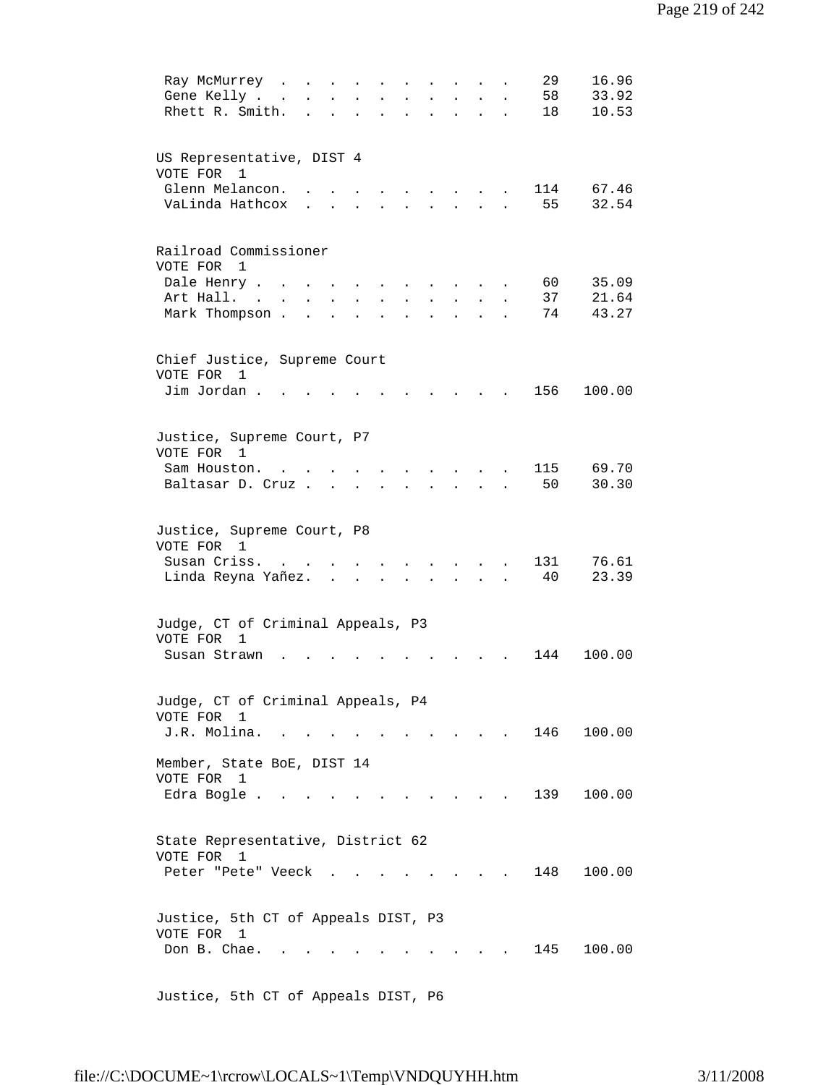| 16.96<br>29<br>Ray McMurrey<br>$\sim$ $\sim$<br>$\ddot{\phantom{a}}$<br>58<br>33.92<br>Gene Kelly.<br>$\sim$ $\sim$<br>10.53<br>Rhett R. Smith.<br>18                     |
|---------------------------------------------------------------------------------------------------------------------------------------------------------------------------|
| US Representative, DIST 4<br>VOTE FOR<br>1<br>Glenn Melancon.<br>114<br>67.46<br>$\sim$<br>VaLinda Hathcox<br>55<br>32.54<br><b>Contract Contract</b>                     |
| Railroad Commissioner<br>VOTE FOR<br>$\mathbf{1}$<br>35.09<br>Dale Henry<br>60 -<br>37<br>21.64<br>Art Hall.<br>$\sim$<br>Mark Thompson.<br>74<br>43.27<br>$\overline{a}$ |
| Chief Justice, Supreme Court<br>VOTE FOR<br>$\mathbf{1}$<br>Jim Jordan.<br>156<br>100.00                                                                                  |
| Justice, Supreme Court, P7<br>VOTE FOR 1<br>115<br>69.70<br>Sam Houston.<br>50<br>30.30<br>Baltasar D. Cruz<br>$\mathbf{L}$                                               |
| Justice, Supreme Court, P8<br>VOTE FOR 1<br>131<br>76.61<br>Susan Criss.<br>23.39<br>Linda Reyna Yañez.<br>40                                                             |
| Judge, CT of Criminal Appeals, P3<br>VOTE FOR<br>1<br>144<br>100.00<br>Susan Strawn                                                                                       |
| Judge, CT of Criminal Appeals, P4<br>VOTE FOR 1<br>J.R. Molina.<br>146<br>100.00                                                                                          |
| Member, State BoE, DIST 14<br>VOTE FOR 1<br>Edra Bogle<br>139 100.00                                                                                                      |
| State Representative, District 62<br>VOTE FOR 1<br>148<br>100.00<br>Peter "Pete" Veeck.<br>$\mathbf{r}$ and $\mathbf{r}$                                                  |
| Justice, 5th CT of Appeals DIST, P3<br>VOTE FOR 1<br>145<br>100.00<br>Don B. Chae.                                                                                        |
| Justice, 5th CT of Appeals DIST, P6                                                                                                                                       |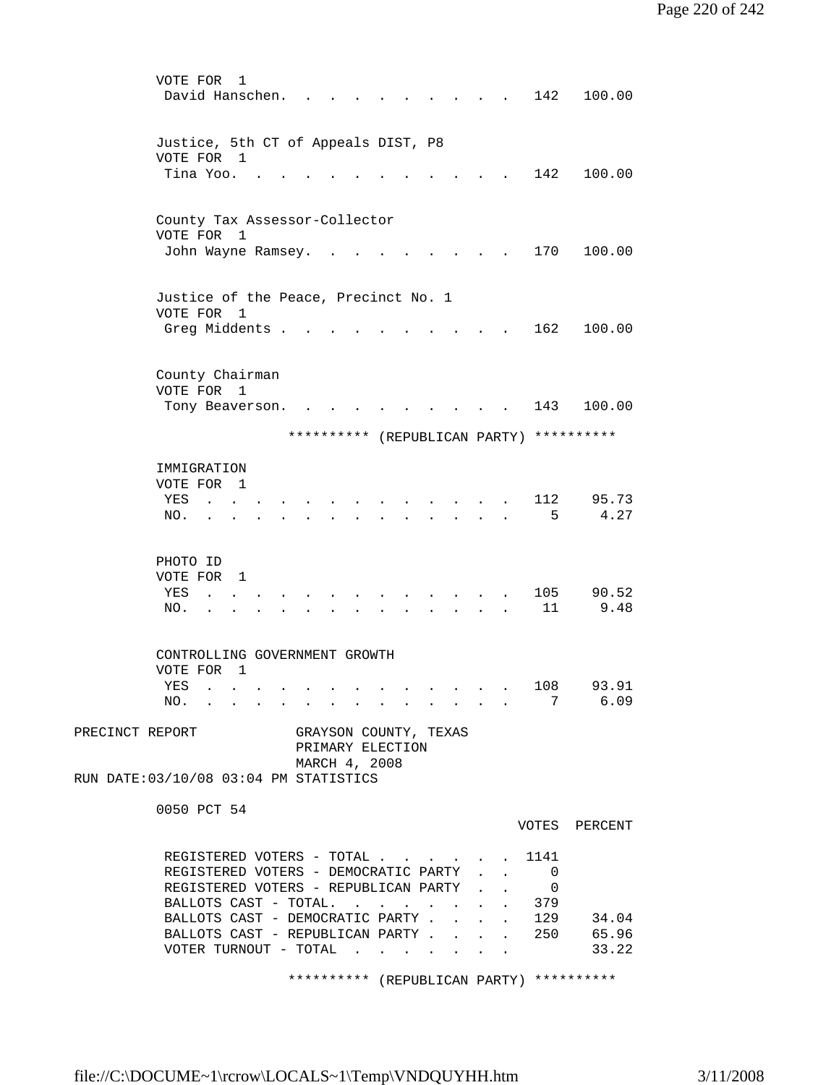| VOTE FOR<br>1<br>David Hanschen.                                              |                           |                                                              | 142                               | 100.00         |
|-------------------------------------------------------------------------------|---------------------------|--------------------------------------------------------------|-----------------------------------|----------------|
| Justice, 5th CT of Appeals DIST, P8<br>VOTE FOR 1<br>Tina Yoo                 |                           |                                                              | 142                               | 100.00         |
|                                                                               |                           |                                                              |                                   |                |
| County Tax Assessor-Collector<br>$\overline{1}$<br>VOTE FOR                   |                           |                                                              |                                   |                |
| John Wayne Ramsey.                                                            |                           |                                                              | 170                               | 100.00         |
| Justice of the Peace, Precinct No. 1<br>VOTE FOR 1                            |                           |                                                              |                                   |                |
| Greg Middents .                                                               |                           |                                                              | 162                               | 100.00         |
| County Chairman<br>VOTE FOR 1                                                 |                           |                                                              |                                   |                |
| Tony Beaverson.                                                               |                           |                                                              | 143                               | 100.00         |
| **********                                                                    |                           | (REPUBLICAN PARTY) **********                                |                                   |                |
| IMMIGRATION<br>VOTE FOR 1<br>YES                                              |                           |                                                              | 112                               | 95.73          |
| NO.                                                                           |                           |                                                              | 5                                 | 4.27           |
| PHOTO ID<br>VOTE FOR<br>$\overline{1}$                                        |                           |                                                              |                                   |                |
| YES<br>NO.                                                                    |                           |                                                              | 105<br>11                         | 90.52<br>9.48  |
|                                                                               |                           |                                                              |                                   |                |
| CONTROLLING GOVERNMENT GROWTH<br>VOTE FOR<br>$\overline{1}$                   |                           |                                                              |                                   |                |
| YES<br>NO. 7                                                                  |                           |                                                              | 108                               | 93.91<br>6.09  |
| PRECINCT REPORT<br>GRAYSON COUNTY, TEXAS<br>PRIMARY ELECTION<br>MARCH 4, 2008 |                           |                                                              |                                   |                |
| RUN DATE: 03/10/08 03:04 PM STATISTICS                                        |                           |                                                              |                                   |                |
| 0050 PCT 54                                                                   |                           |                                                              |                                   | VOTES PERCENT  |
| REGISTERED VOTERS - TOTAL 1141<br>REGISTERED VOTERS - DEMOCRATIC PARTY        |                           | $\sim$                                                       | 0                                 |                |
| REGISTERED VOTERS - REPUBLICAN PARTY .<br>BALLOTS CAST - TOTAL.               |                           |                                                              | $\overline{\phantom{0}}$<br>. 379 |                |
| BALLOTS CAST - DEMOCRATIC PARTY.<br>BALLOTS CAST - REPUBLICAN PARTY 250       |                           | $\mathbf{L} = \mathbf{L} \mathbf{L} = \mathbf{L} \mathbf{L}$ | 129                               | 34.04          |
| VOTER TURNOUT - TOTAL                                                         | $\mathbf{L}^{\text{max}}$ | $\sim$ $\sim$                                                |                                   | 65.96<br>33.22 |
| ********** (REPUBLICAN PARTY) **********                                      |                           |                                                              |                                   |                |

file://C:\DOCUME~1\rcrow\LOCALS~1\Temp\VNDQUYHH.htm 3/11/2008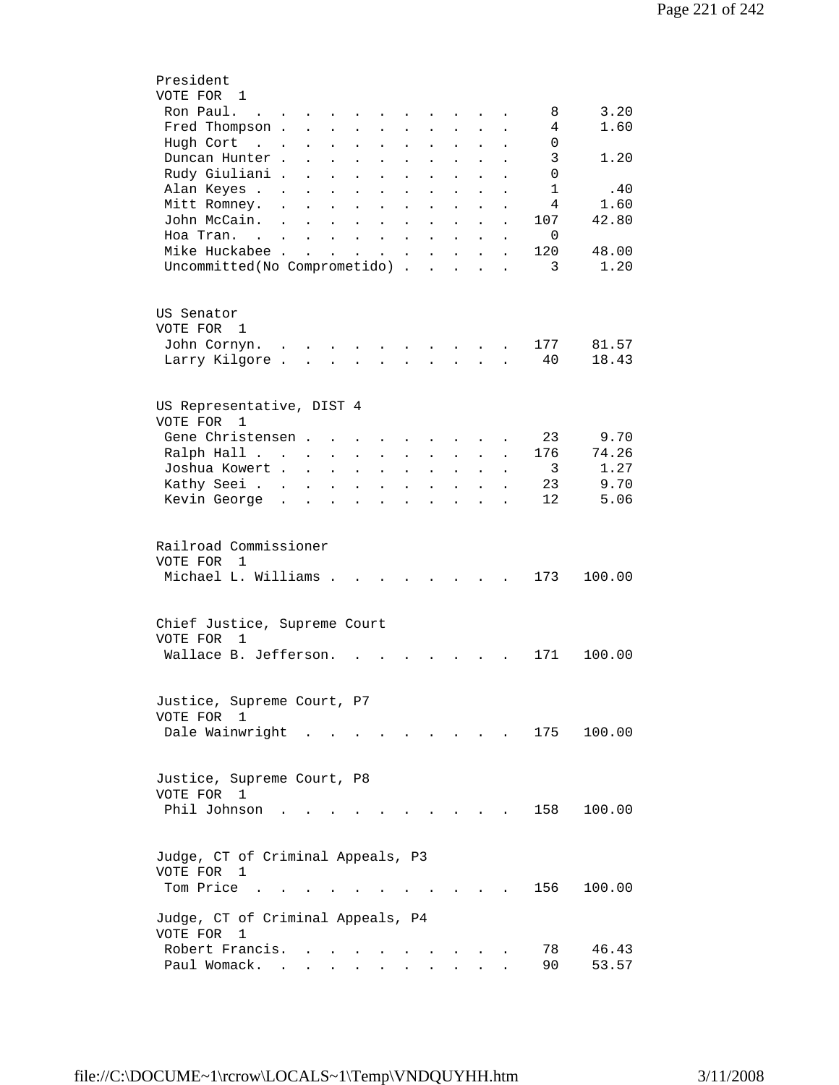| President                                                                                                                                                                                                                                  |
|--------------------------------------------------------------------------------------------------------------------------------------------------------------------------------------------------------------------------------------------|
| VOTE FOR 1                                                                                                                                                                                                                                 |
| 3.20<br>Ron Paul.<br>8<br>the contract of the contract of the<br>$\sim 100$                                                                                                                                                                |
| 1.60<br>Fred Thompson .<br>4<br>$\mathbf{r} = \mathbf{r} + \mathbf{r} + \mathbf{r}$<br>$\mathbf{L}$<br>$\ddot{\phantom{a}}$<br>$\mathbf{L}^{\text{max}}$<br>$\mathbf{L}$                                                                   |
| Hugh Cort<br>0<br>$\sim$ $\sim$<br>$\mathcal{L}^{\text{max}}$<br>$\ddot{\phantom{a}}$<br>$\ddot{\phantom{0}}$<br>$\mathbf{L}^{\text{max}}$<br>$\ddot{\phantom{0}}$<br>$\ddot{\phantom{0}}$<br>$\ddot{\phantom{0}}$<br>$\ddot{\phantom{0}}$ |
| 3<br>Duncan Hunter.<br>1.20<br>$\ddot{\phantom{0}}$<br>$\ddot{\phantom{a}}$<br>$\ddot{\phantom{0}}$<br>$\ddot{\phantom{0}}$<br>$\ddot{\phantom{0}}$                                                                                        |
| Rudy Giuliani .<br>$\Omega$<br>$\ddot{\phantom{a}}$<br>$\ddot{\phantom{0}}$<br>$\ddot{\phantom{0}}$<br>$\bullet$<br>$\ddot{\phantom{0}}$<br>$\ddot{\phantom{0}}$<br>$\ddot{\phantom{0}}$                                                   |
| Alan Keyes<br>$\mathbf{1}$<br>.40<br>$\ddot{\phantom{0}}$<br>$\ddot{\phantom{0}}$                                                                                                                                                          |
| 4<br>Mitt Romney.<br>1.60<br>$\ddot{\phantom{a}}$<br>$\ddot{\phantom{a}}$<br>$\ddot{\phantom{a}}$                                                                                                                                          |
| John McCain.<br>42.80<br>107<br>$\ddot{\phantom{a}}$<br>$\mathbf{L}$<br>$\ddot{\phantom{a}}$<br>$\ddot{\phantom{a}}$<br>$\ddot{\phantom{a}}$<br>$\ddot{\phantom{a}}$<br>$\ddot{\phantom{a}}$                                               |
| Hoa Tran. .<br>0<br>$\mathbf{r} = \mathbf{r} + \mathbf{r} + \mathbf{r}$<br>$\mathbf{L}$<br>$\mathbf{r}$<br>$\ddot{\phantom{a}}$<br>$\ddot{\phantom{a}}$<br>$\ddot{\phantom{a}}$<br>$\ddot{\phantom{a}}$                                    |
| Mike Huckabee.<br>120<br><b>Contract Contract Contract</b><br>48.00<br>$\mathbf{L}$ and $\mathbf{L}$<br>$\mathbf{L}$ and $\mathbf{L}$<br>$\mathbf{L}$                                                                                      |
| 1.20<br>3                                                                                                                                                                                                                                  |
| Uncommitted(No Comprometido)<br>$\ddot{\phantom{a}}$<br>$\sim$                                                                                                                                                                             |
|                                                                                                                                                                                                                                            |
|                                                                                                                                                                                                                                            |
| US Senator                                                                                                                                                                                                                                 |
| VOTE FOR<br>1                                                                                                                                                                                                                              |
| 81.57<br>John Cornyn.<br>177<br>$\sim$<br>$\sim$                                                                                                                                                                                           |
| Larry Kilgore.<br>40<br>18.43<br>$\mathbf{r}$                                                                                                                                                                                              |
|                                                                                                                                                                                                                                            |
|                                                                                                                                                                                                                                            |
| US Representative, DIST 4                                                                                                                                                                                                                  |
| VOTE FOR<br>1                                                                                                                                                                                                                              |
| 9.70<br>Gene Christensen.<br>23                                                                                                                                                                                                            |
| 74.26<br>176<br>Ralph Hall<br>$\ddot{\phantom{0}}$<br>$\bullet$<br>$\sim$<br>$\ddot{\phantom{a}}$<br>$\ddot{\phantom{0}}$<br>$\ddot{\phantom{0}}$                                                                                          |
| 1.27<br>Joshua Kowert<br>3<br>$\ddot{\phantom{0}}$<br>$\ddot{\phantom{a}}$<br>$\bullet$                                                                                                                                                    |
| 9.70<br>Kathy Seei<br>23<br>$\ddot{\phantom{a}}$<br>$\ddot{\phantom{a}}$<br>$\ddot{\phantom{a}}$                                                                                                                                           |
| 12<br>5.06<br>Kevin George                                                                                                                                                                                                                 |
|                                                                                                                                                                                                                                            |
|                                                                                                                                                                                                                                            |
| Railroad Commissioner                                                                                                                                                                                                                      |
| VOTE FOR<br>$\mathbf{1}$                                                                                                                                                                                                                   |
| Michael L. Williams .<br>173<br>100.00                                                                                                                                                                                                     |
|                                                                                                                                                                                                                                            |
|                                                                                                                                                                                                                                            |
| Chief Justice, Supreme Court                                                                                                                                                                                                               |
| VOTE FOR                                                                                                                                                                                                                                   |
| 1                                                                                                                                                                                                                                          |
| Wallace B. Jefferson.<br>171<br>100.00                                                                                                                                                                                                     |
|                                                                                                                                                                                                                                            |
|                                                                                                                                                                                                                                            |
| Justice, Supreme Court, P7                                                                                                                                                                                                                 |
| VOTE FOR 1                                                                                                                                                                                                                                 |
| Dale Wainwright<br>175<br>100.00                                                                                                                                                                                                           |
|                                                                                                                                                                                                                                            |
|                                                                                                                                                                                                                                            |
| Justice, Supreme Court, P8                                                                                                                                                                                                                 |
| VOTE FOR 1                                                                                                                                                                                                                                 |
| Phil Johnson<br>100.00<br>158                                                                                                                                                                                                              |
|                                                                                                                                                                                                                                            |
|                                                                                                                                                                                                                                            |
| Judge, CT of Criminal Appeals, P3                                                                                                                                                                                                          |
| VOTE FOR<br>1                                                                                                                                                                                                                              |
| Tom Price<br>156<br>100.00                                                                                                                                                                                                                 |
|                                                                                                                                                                                                                                            |
| Judge, CT of Criminal Appeals, P4                                                                                                                                                                                                          |
| VOTE FOR<br>1                                                                                                                                                                                                                              |
| Robert Francis.<br>78<br>46.43                                                                                                                                                                                                             |
| Paul Womack.<br>90<br>53.57<br><b>Contract</b><br>$\mathbf{r} = \mathbf{r} + \mathbf{r}$                                                                                                                                                   |
|                                                                                                                                                                                                                                            |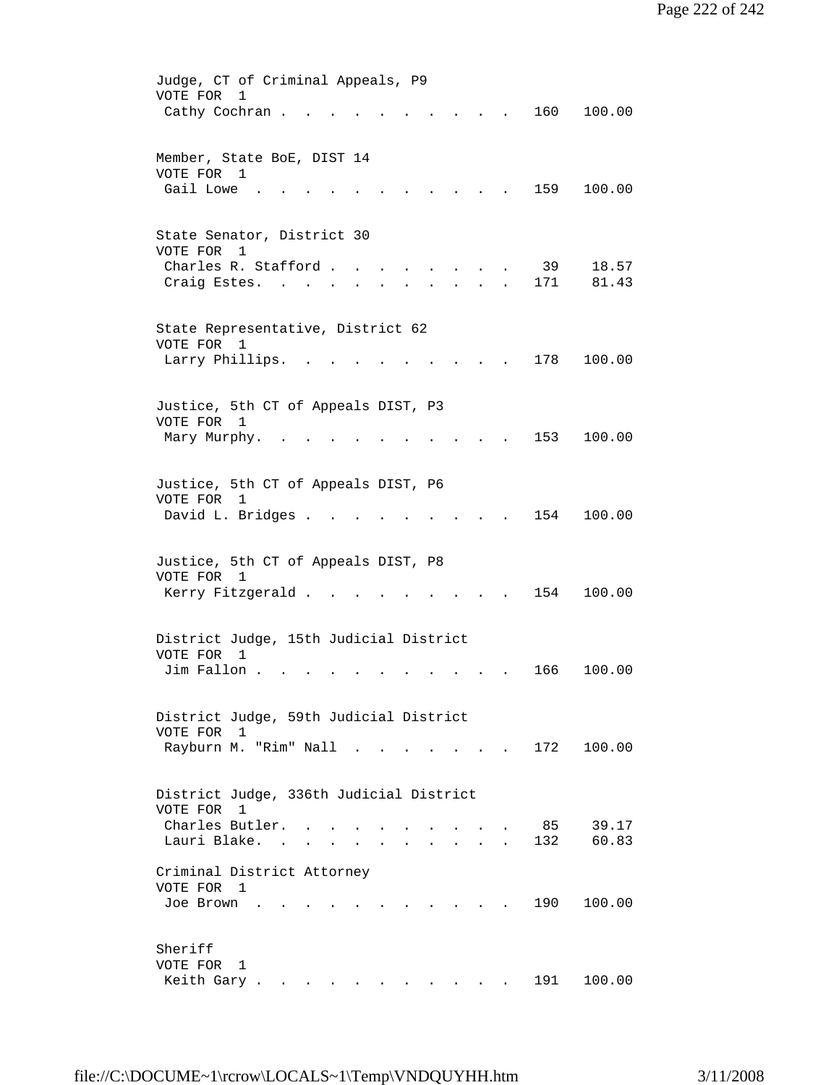| Judge, CT of Criminal Appeals, P9                                                                                            |
|------------------------------------------------------------------------------------------------------------------------------|
| VOTE FOR<br>1                                                                                                                |
| 160<br>100.00<br>Cathy Cochran .<br>$\sim$ $\sim$ $\sim$ $\sim$                                                              |
|                                                                                                                              |
|                                                                                                                              |
| Member, State BoE, DIST 14                                                                                                   |
| VOTE FOR 1                                                                                                                   |
| Gail Lowe<br>159<br>100.00                                                                                                   |
|                                                                                                                              |
|                                                                                                                              |
| State Senator, District 30                                                                                                   |
| VOTE FOR<br>1                                                                                                                |
| Charles R. Stafford<br>39<br>18.57                                                                                           |
| 81.43<br>Craig Estes.<br>171<br>$\mathbf{L}^{\text{max}}$ and $\mathbf{L}^{\text{max}}$<br><b>Contract Contract Contract</b> |
|                                                                                                                              |
|                                                                                                                              |
| State Representative, District 62                                                                                            |
| VOTE FOR 1                                                                                                                   |
| Larry Phillips.<br>178<br>100.00                                                                                             |
|                                                                                                                              |
|                                                                                                                              |
|                                                                                                                              |
| Justice, 5th CT of Appeals DIST, P3                                                                                          |
| VOTE FOR<br>1                                                                                                                |
| 153<br>Mary Murphy.<br>100.00<br>$\sim$                                                                                      |
|                                                                                                                              |
|                                                                                                                              |
| Justice, 5th CT of Appeals DIST, P6                                                                                          |
| VOTE FOR 1                                                                                                                   |
| David L. Bridges .<br>154<br>100.00                                                                                          |
|                                                                                                                              |
|                                                                                                                              |
| Justice, 5th CT of Appeals DIST, P8                                                                                          |
| VOTE FOR 1                                                                                                                   |
| Kerry Fitzgerald<br>154<br>100.00                                                                                            |
|                                                                                                                              |
|                                                                                                                              |
|                                                                                                                              |
| District Judge, 15th Judicial District                                                                                       |
| VOTE FOR<br>$\overline{1}$                                                                                                   |
| Jim Fallon.<br>100.00<br>166                                                                                                 |
|                                                                                                                              |
|                                                                                                                              |
| District Judge, 59th Judicial District                                                                                       |
| VOTE FOR 1                                                                                                                   |
| Rayburn M. "Rim" Nall .<br>172 100.00                                                                                        |
|                                                                                                                              |
|                                                                                                                              |
| District Judge, 336th Judicial District                                                                                      |
| VOTE FOR<br>1                                                                                                                |
| Charles Butler.<br>39.17<br>85                                                                                               |
| Lauri Blake. .<br>132<br>60.83<br>$\mathbf{r} = \mathbf{r} + \mathbf{r} + \mathbf{r}$ .                                      |
|                                                                                                                              |
| Criminal District Attorney                                                                                                   |
| VOTE FOR 1                                                                                                                   |
| 190<br>100.00<br>Joe Brown                                                                                                   |
|                                                                                                                              |
|                                                                                                                              |
| Sheriff                                                                                                                      |
| VOTE FOR                                                                                                                     |
| 1                                                                                                                            |
| Keith Gary<br>191<br>100.00                                                                                                  |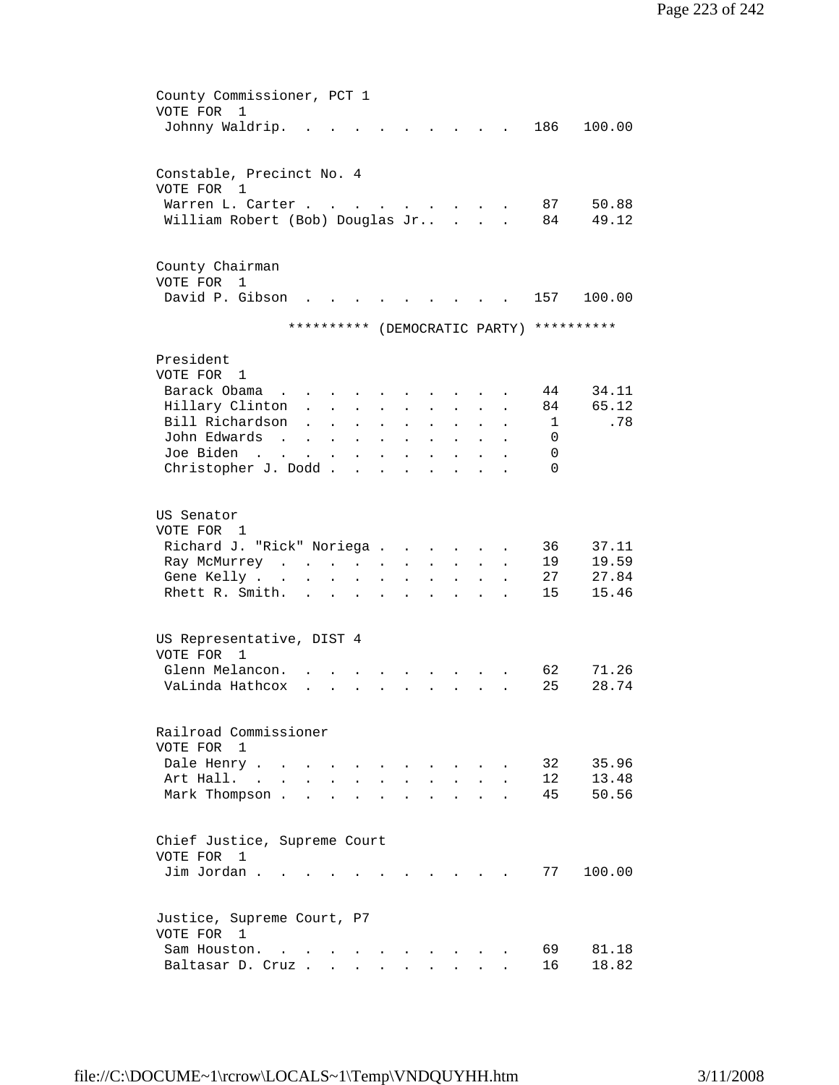| County Commissioner, PCT 1<br>VOTE FOR<br>1 |                                                                                                 |                           |                             |                      |                      |                      |                      |                      |                       |                                          |                |
|---------------------------------------------|-------------------------------------------------------------------------------------------------|---------------------------|-----------------------------|----------------------|----------------------|----------------------|----------------------|----------------------|-----------------------|------------------------------------------|----------------|
| Johnny Waldrip.                             |                                                                                                 |                           |                             |                      |                      |                      |                      |                      |                       | 186                                      | 100.00         |
| Constable, Precinct No. 4<br>VOTE FOR<br>1  |                                                                                                 |                           |                             |                      |                      |                      |                      |                      |                       |                                          |                |
| Warren L. Carter                            |                                                                                                 |                           |                             |                      |                      |                      |                      |                      |                       | 87                                       | 50.88          |
| William Robert (Bob) Douglas Jr             |                                                                                                 |                           |                             |                      |                      |                      |                      | $\mathbf{r}$         |                       | 84                                       | 49.12          |
| County Chairman<br>VOTE FOR<br>$\mathbf{1}$ |                                                                                                 |                           |                             |                      |                      |                      |                      |                      |                       |                                          |                |
| David P. Gibson                             |                                                                                                 |                           |                             |                      |                      |                      |                      |                      |                       | 157                                      | 100.00         |
|                                             |                                                                                                 |                           |                             |                      |                      |                      |                      |                      |                       | ********** (DEMOCRATIC PARTY) ********** |                |
| President<br>VOTE FOR 1                     |                                                                                                 |                           |                             |                      |                      |                      |                      |                      |                       |                                          |                |
| Barack Obama                                |                                                                                                 |                           | $\mathbf{r}$ , $\mathbf{r}$ |                      |                      |                      |                      |                      |                       | 44                                       | 34.11          |
| Hillary Clinton                             |                                                                                                 |                           | $\mathbf{L}$                | $\ddot{\phantom{a}}$ | $\ddot{\phantom{a}}$ | $\ddot{\phantom{a}}$ | $\ddot{\phantom{a}}$ | $\sim$               |                       | 84                                       | 65.12          |
| Bill Richardson                             |                                                                                                 |                           | $\ddot{\phantom{a}}$        | $\ddot{\phantom{0}}$ | $\ddot{\phantom{a}}$ |                      | $\ddot{\phantom{a}}$ |                      |                       | 1                                        | .78            |
| John Edwards                                | $\sim 100$ km s $^{-1}$                                                                         | $\sim$                    | $\sim$                      | $\bullet$            | $\ddot{\phantom{a}}$ | $\ddot{\phantom{0}}$ | $\ddot{\phantom{0}}$ | $\ddot{\phantom{0}}$ |                       | $\Omega$                                 |                |
| Joe Biden                                   | and the contract of the state of                                                                |                           |                             | $\bullet$            | $\bullet$            | $\ddot{\phantom{0}}$ |                      | $\ddot{\phantom{a}}$ |                       | 0                                        |                |
| Christopher J. Dodd.                        |                                                                                                 |                           |                             |                      | $\ddot{\phantom{a}}$ |                      |                      |                      |                       | $\Omega$                                 |                |
| US Senator                                  |                                                                                                 |                           |                             |                      |                      |                      |                      |                      |                       |                                          |                |
| VOTE FOR 1                                  |                                                                                                 |                           |                             |                      |                      |                      |                      |                      |                       |                                          |                |
| Richard J. "Rick" Noriega                   |                                                                                                 |                           |                             |                      |                      |                      | $\sim$               |                      |                       | 36                                       | 37.11          |
| Ray McMurrey                                | $\mathcal{A}^{\mathcal{A}}$ , and $\mathcal{A}^{\mathcal{A}}$ , and $\mathcal{A}^{\mathcal{A}}$ |                           |                             |                      | $\ddot{\phantom{a}}$ | $\ddot{\phantom{0}}$ | $\ddot{\phantom{0}}$ |                      |                       | 19                                       | 19.59          |
| Gene Kelly                                  |                                                                                                 |                           | $\sim 100$                  | $\bullet$            | $\ddot{\phantom{a}}$ | $\ddot{\phantom{0}}$ | $\ddot{\phantom{0}}$ | $\ddot{\phantom{0}}$ | $\ddot{\phantom{0}}$  | 27                                       | 27.84          |
| Rhett R. Smith.                             |                                                                                                 | $\mathbf{L} = \mathbf{L}$ |                             | $\ddot{\phantom{0}}$ | $\bullet$            |                      |                      |                      |                       | 15                                       | 15.46          |
| US Representative, DIST 4                   |                                                                                                 |                           |                             |                      |                      |                      |                      |                      |                       |                                          |                |
| VOTE FOR 1                                  |                                                                                                 |                           |                             |                      |                      |                      |                      |                      |                       |                                          |                |
| Glenn Melancon.                             |                                                                                                 |                           |                             |                      |                      |                      |                      |                      |                       | 62                                       | 71.26          |
| VaLinda Hathcox                             |                                                                                                 |                           |                             |                      |                      |                      |                      |                      |                       | 25                                       | 28.74          |
| Railroad Commissioner                       |                                                                                                 |                           |                             |                      |                      |                      |                      |                      |                       |                                          |                |
| VOTE FOR 1                                  |                                                                                                 |                           |                             |                      |                      |                      |                      |                      |                       |                                          |                |
| Dale Henry                                  |                                                                                                 |                           |                             | $\overline{a}$       |                      | $\ddot{\phantom{a}}$ |                      |                      |                       | 32                                       | 35.96          |
| Art Hall. .                                 |                                                                                                 |                           |                             |                      |                      |                      |                      |                      |                       | 12<br>45                                 | 13.48<br>50.56 |
| Mark Thompson.                              |                                                                                                 |                           |                             |                      |                      |                      |                      |                      |                       |                                          |                |
| Chief Justice, Supreme Court                |                                                                                                 |                           |                             |                      |                      |                      |                      |                      |                       |                                          |                |
| VOTE FOR<br>1<br>Jim Jordan                 |                                                                                                 |                           |                             |                      |                      |                      |                      |                      |                       | 77                                       | 100.00         |
|                                             |                                                                                                 |                           |                             | $\sim$               |                      |                      |                      |                      |                       |                                          |                |
| Justice, Supreme Court, P7<br>VOTE FOR 1    |                                                                                                 |                           |                             |                      |                      |                      |                      |                      |                       |                                          |                |
| Sam Houston.                                |                                                                                                 |                           |                             |                      |                      |                      |                      |                      |                       | 69                                       | 81.18          |
| Baltasar D. Cruz                            |                                                                                                 |                           |                             |                      |                      |                      |                      |                      | <b>All All Andrew</b> | 16                                       | 18.82          |
|                                             |                                                                                                 |                           |                             |                      |                      |                      |                      |                      |                       |                                          |                |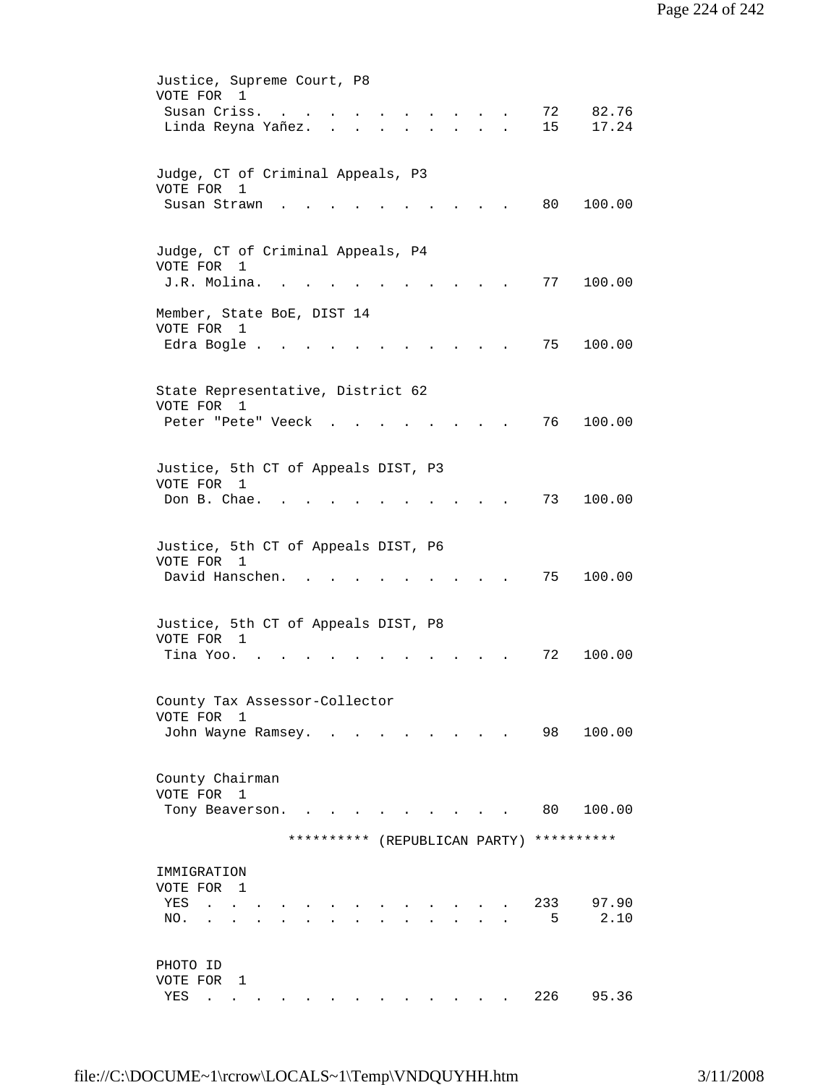| Justice, Supreme Court, P8<br>VOTE FOR 1<br>Susan Criss.<br>72<br>82.76<br>$\sim$<br>Linda Reyna Yañez.<br>15<br>17.24<br><b>Contract Contract Contract Contract</b><br>$\sim$<br>$\sim$<br>$\mathbf{r} = \mathbf{r}$ |  |
|-----------------------------------------------------------------------------------------------------------------------------------------------------------------------------------------------------------------------|--|
| Judge, CT of Criminal Appeals, P3<br>VOTE FOR 1<br>80<br>100.00<br>Susan Strawn                                                                                                                                       |  |
| Judge, CT of Criminal Appeals, P4<br>VOTE FOR 1<br>77<br>J.R. Molina.<br>100.00                                                                                                                                       |  |
| Member, State BoE, DIST 14<br>VOTE FOR 1<br>Edra Bogle.<br>75<br>100.00                                                                                                                                               |  |
| State Representative, District 62<br>VOTE FOR<br>1<br>76<br>100.00<br>Peter "Pete" Veeck.                                                                                                                             |  |
| Justice, 5th CT of Appeals DIST, P3<br>VOTE FOR 1<br>Don B. Chae.<br>73<br>100.00                                                                                                                                     |  |
| Justice, 5th CT of Appeals DIST, P6<br>VOTE FOR 1<br>David Hanschen.<br>75<br>100.00                                                                                                                                  |  |
| Justice, 5th CT of Appeals DIST, P8<br>VOTE FOR 1<br>100.00<br>Tina Yoo.<br>72                                                                                                                                        |  |
| County Tax Assessor-Collector<br>VOTE FOR 1<br>100.00<br>98<br>John Wayne Ramsey. .                                                                                                                                   |  |
| County Chairman<br>VOTE FOR 1<br>80<br>100.00<br>Tony Beaverson.                                                                                                                                                      |  |
| **********<br>**********<br>(REPUBLICAN PARTY)                                                                                                                                                                        |  |
| IMMIGRATION<br>VOTE FOR 1<br>233<br>97.90<br>YES<br><b>Contract Contract</b><br>-5<br>2.10<br>NO.<br>$\sim$                                                                                                           |  |
| PHOTO ID<br>VOTE FOR 1<br>226<br>95.36<br>YES<br>$\sim$ $\sim$ $\sim$ $\sim$                                                                                                                                          |  |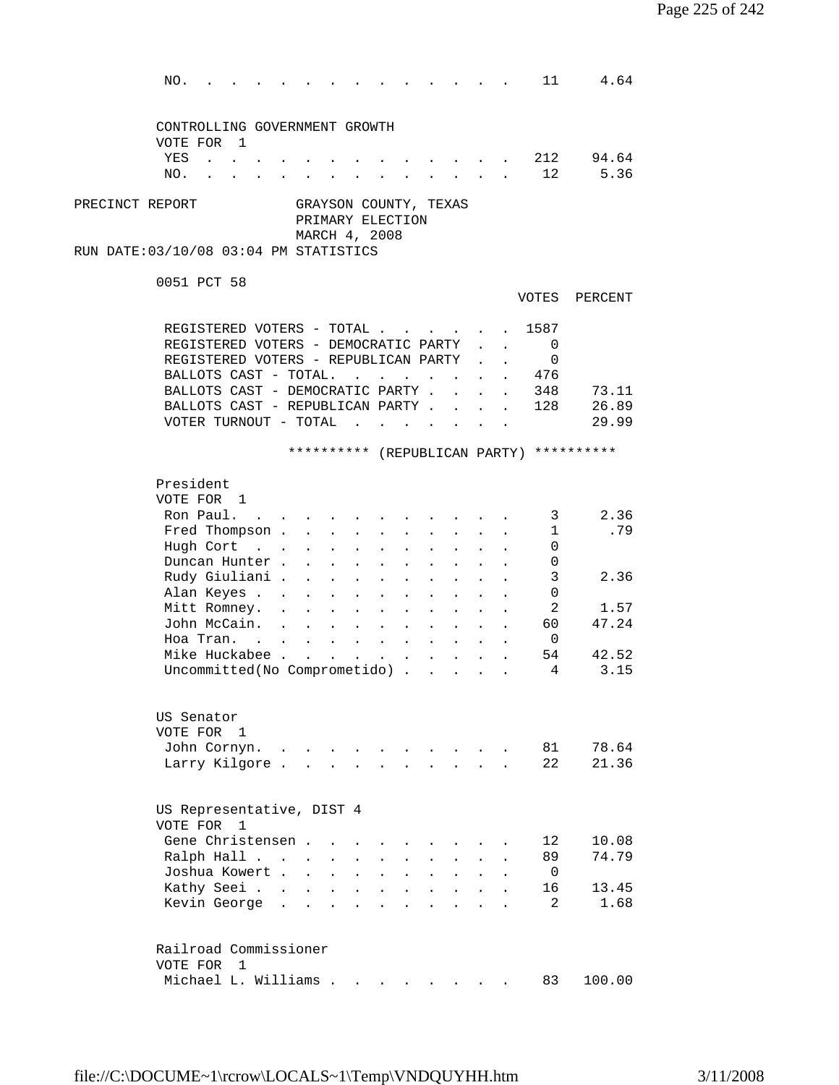NO. . . . . . . . . . . . . . 11 4.64 CONTROLLING GOVERNMENT GROWTH VOTE FOR 1 YES . . . . . . . . . . . . . 212 94.64 NO. . . . . . . . . . . . . . 12 5.36 PRECINCT REPORT GRAYSON COUNTY, TEXAS PRIMARY ELECTION MARCH 4, 2008 RUN DATE:03/10/08 03:04 PM STATISTICS 0051 PCT 58 VOTES PERCENT REGISTERED VOTERS - TOTAL . . . . . 1587 REGISTERED VOTERS - DEMOCRATIC PARTY . . 0 REGISTERED VOTERS - REPUBLICAN PARTY . . 0 BALLOTS CAST - TOTAL. . . . . . . . 476 BALLOTS CAST - DEMOCRATIC PARTY . . . . 348 73.11 BALLOTS CAST - REPUBLICAN PARTY . . . . 128 26.89 VOTER TURNOUT - TOTAL . . . . . . . 29.99 \*\*\*\*\*\*\*\*\*\* (REPUBLICAN PARTY) \*\*\*\*\*\*\*\*\*\* President VOTE FOR 1 Ron Paul. . . . . . . . . . . . . 3 2.36 Fred Thompson . . . . . . . . . . . 1 .79<br>Hugh Cort . . . . . . . . . . . . 0 Hugh Cort . . . . . . . . . . . 0 Duncan Hunter . . . . . . . . . . . 0 Rudy Giuliani . . . . . . . . . . 3 2.36 Alan Keyes . . . . . . . . . . . 0 Mitt Romney. . . . . . . . . . . 2 1.57 John McCain. . . . . . . . . . . 60 47.24 Hoa Tran. . . . . . . . . . . . 0 Mike Huckabee . . . . . . . . . . . 54 42.52 Uncommitted(No Comprometido) . . . . . 4 3.15 US Senator VOTE FOR 1 John Cornyn. . . . . . . . . . . 81 78.64 Larry Kilgore . . . . . . . . . . 22 21.36 US Representative, DIST 4 VOTE FOR 1 Gene Christensen . . . . . . . . . 12 10.08 Ralph Hall . . . . . . . . . . . 89 74.79 Joshua Kowert . . . . . . . . . . 0 Exathy Seei . . . . . . . . . . . . 16 13.45<br>
Kevin George . . . . . . . . . . . 2 1.68 Kevin George . . . . . . . . . . . 2 1.68 Railroad Commissioner VOTE FOR 1 Michael L. Williams . . . . . . . . 83 100.00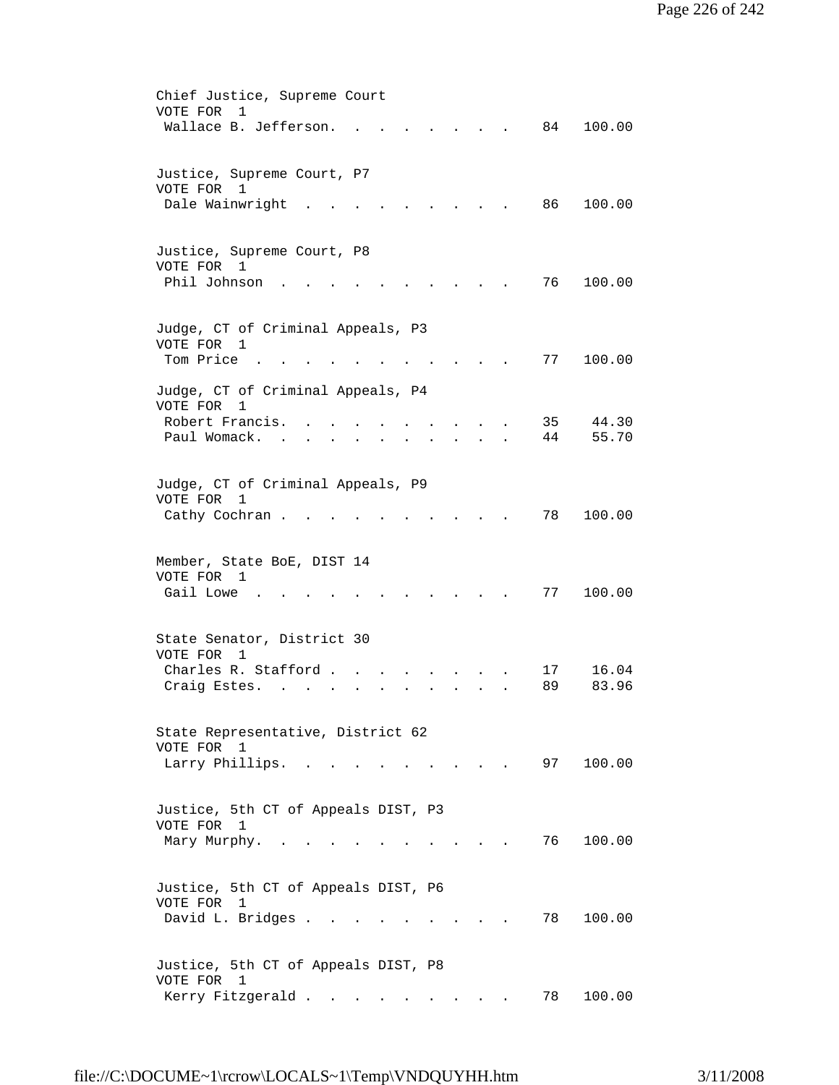| Chief Justice, Supreme Court                      |
|---------------------------------------------------|
| VOTE FOR<br>1                                     |
| Wallace B. Jefferson.<br>100.00<br>84             |
|                                                   |
|                                                   |
| Justice, Supreme Court, P7                        |
| VOTE FOR<br>1                                     |
| Dale Wainwright<br>86<br>100.00                   |
|                                                   |
| Justice, Supreme Court, P8                        |
| VOTE FOR 1                                        |
| Phil Johnson<br>76<br>100.00                      |
|                                                   |
|                                                   |
| Judge, CT of Criminal Appeals, P3                 |
| VOTE FOR 1                                        |
| Tom Price<br>77<br>100.00                         |
|                                                   |
| Judge, CT of Criminal Appeals, P4                 |
| VOTE FOR<br>$\mathbf{1}$                          |
| Robert Francis.<br>35<br>44.30                    |
| 55.70<br>Paul Womack.<br>44                       |
|                                                   |
|                                                   |
| Judge, CT of Criminal Appeals, P9                 |
| VOTE FOR<br>1                                     |
| 78<br>100.00<br>Cathy Cochran.                    |
|                                                   |
|                                                   |
| Member, State BoE, DIST 14                        |
| VOTE FOR 1                                        |
| Gail Lowe<br>77<br>100.00                         |
|                                                   |
| State Senator, District 30                        |
| VOTE FOR<br>$\overline{1}$                        |
| Charles R. Stafford.<br>16.04<br>17               |
| 83.96<br>89<br>Craig Estes.                       |
|                                                   |
|                                                   |
| State Representative, District 62                 |
| VOTE FOR 1                                        |
| Larry Phillips.<br>97<br>100.00                   |
|                                                   |
|                                                   |
| Justice, 5th CT of Appeals DIST, P3               |
| VOTE FOR 1                                        |
| 76<br>100.00<br>Mary Murphy. .                    |
|                                                   |
|                                                   |
| Justice, 5th CT of Appeals DIST, P6               |
| VOTE FOR<br>$\overline{1}$                        |
| David L. Bridges .<br>78<br>100.00                |
|                                                   |
|                                                   |
| Justice, 5th CT of Appeals DIST, P8<br>VOTE FOR 1 |
| Kerry Fitzgerald<br>78<br>100.00                  |
|                                                   |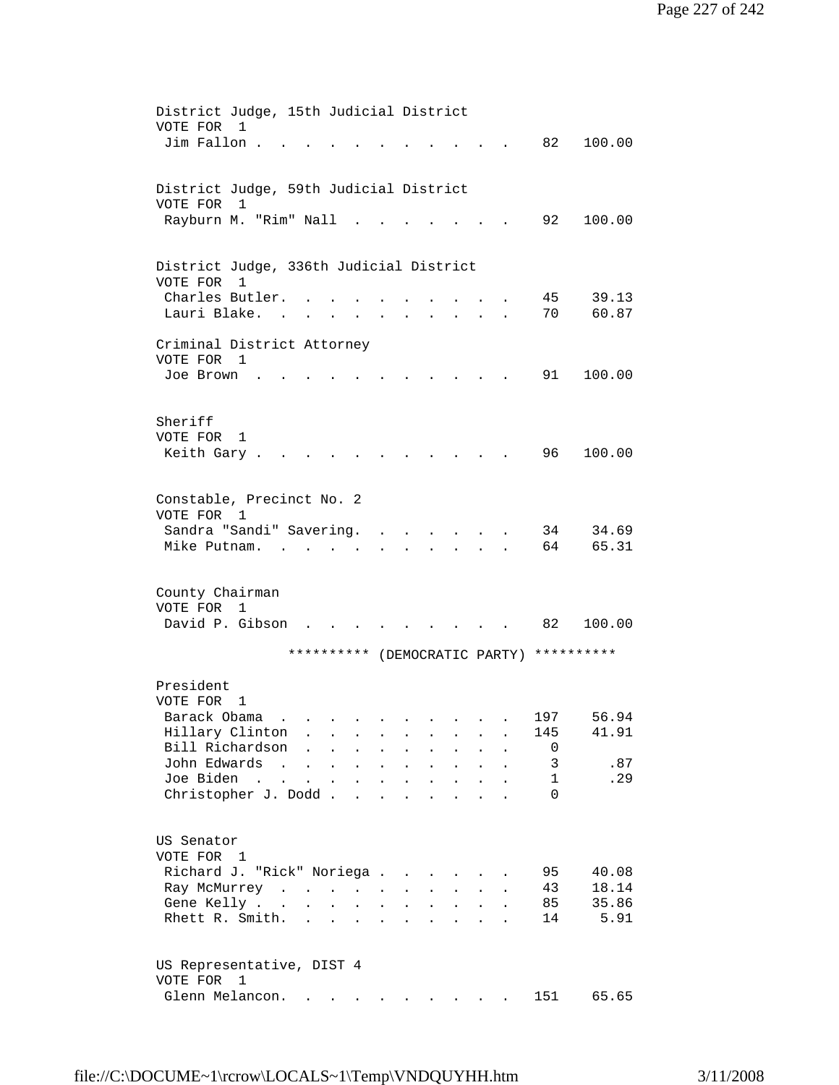| District Judge, 15th Judicial District                                                                                                                                      |
|-----------------------------------------------------------------------------------------------------------------------------------------------------------------------------|
| VOTE FOR<br>1                                                                                                                                                               |
| Jim Fallon.<br>82<br>100.00                                                                                                                                                 |
|                                                                                                                                                                             |
| District Judge, 59th Judicial District                                                                                                                                      |
| VOTE FOR<br>1                                                                                                                                                               |
| Rayburn M. "Rim" Nall<br>92<br>100.00                                                                                                                                       |
|                                                                                                                                                                             |
|                                                                                                                                                                             |
| District Judge, 336th Judicial District                                                                                                                                     |
| VOTE FOR<br>1                                                                                                                                                               |
| Charles Butler.<br>39.13<br>45<br>60.87<br>70<br>Lauri Blake. .                                                                                                             |
| <b>All Card Control</b><br>$\sim$                                                                                                                                           |
| Criminal District Attorney                                                                                                                                                  |
| VOTE FOR 1                                                                                                                                                                  |
| 91<br>100.00<br>Joe Brown                                                                                                                                                   |
|                                                                                                                                                                             |
|                                                                                                                                                                             |
| Sheriff                                                                                                                                                                     |
| VOTE FOR<br>1                                                                                                                                                               |
| 96 -<br>100.00<br>Keith Gary.                                                                                                                                               |
|                                                                                                                                                                             |
| Constable, Precinct No. 2                                                                                                                                                   |
| VOTE FOR 1                                                                                                                                                                  |
| Sandra "Sandi" Savering.<br>34<br>34.69<br>$\mathbf{L} = \mathbf{L} \mathbf{L} = \mathbf{L} \mathbf{L}$                                                                     |
| Mike Putnam.<br>64<br>65.31<br>$\mathbf{L}$                                                                                                                                 |
|                                                                                                                                                                             |
|                                                                                                                                                                             |
| County Chairman<br>VOTE FOR 1                                                                                                                                               |
| David P. Gibson<br>82<br>100.00                                                                                                                                             |
|                                                                                                                                                                             |
| ********** (DEMOCRATIC PARTY) **********                                                                                                                                    |
|                                                                                                                                                                             |
| President                                                                                                                                                                   |
| VOTE FOR<br>1                                                                                                                                                               |
| Barack Obama<br>56.94<br>197<br>Hillary Clinton<br>41.91<br>145<br>$\ddot{\phantom{a}}$                                                                                     |
| Bill Richardson<br>0                                                                                                                                                        |
| John Edwards<br>.87<br>3<br>$\sim$ $\sim$<br>$\ddot{\phantom{a}}$                                                                                                           |
| Joe Biden<br>.29<br>$\mathbf 1$<br>$\sim$<br>$\mathbf{L}^{\text{max}}$<br>$\mathbf{A}$<br>$\bullet$<br>$\ddot{\phantom{0}}$<br>$\ddot{\phantom{a}}$                         |
| Christopher J. Dodd.<br>$\Omega$<br>$\mathbf{r}$                                                                                                                            |
|                                                                                                                                                                             |
|                                                                                                                                                                             |
| US Senator                                                                                                                                                                  |
| VOTE FOR 1<br>95<br>40.08                                                                                                                                                   |
| Richard J. "Rick" Noriega<br>$\ddot{\phantom{a}}$<br>18.14<br>43<br>Ray McMurrey<br>$\ddot{\phantom{0}}$<br>$\sim$                                                          |
| 35.86<br>Gene Kelly.<br>85<br>$\ddot{\phantom{a}}$<br>$\sim$<br>$\ddot{\phantom{a}}$                                                                                        |
| Rhett R. Smith.<br>5.91<br>14<br>$\mathbf{r}$                                                                                                                               |
|                                                                                                                                                                             |
|                                                                                                                                                                             |
| US Representative, DIST 4                                                                                                                                                   |
| VOTE FOR 1                                                                                                                                                                  |
| Glenn Melancon.<br>151<br>65.65<br>$\mathbf{r} = \mathbf{r} + \mathbf{r} + \mathbf{r} + \mathbf{r} + \mathbf{r} + \mathbf{r}$<br><b>Contract Contract Contract Contract</b> |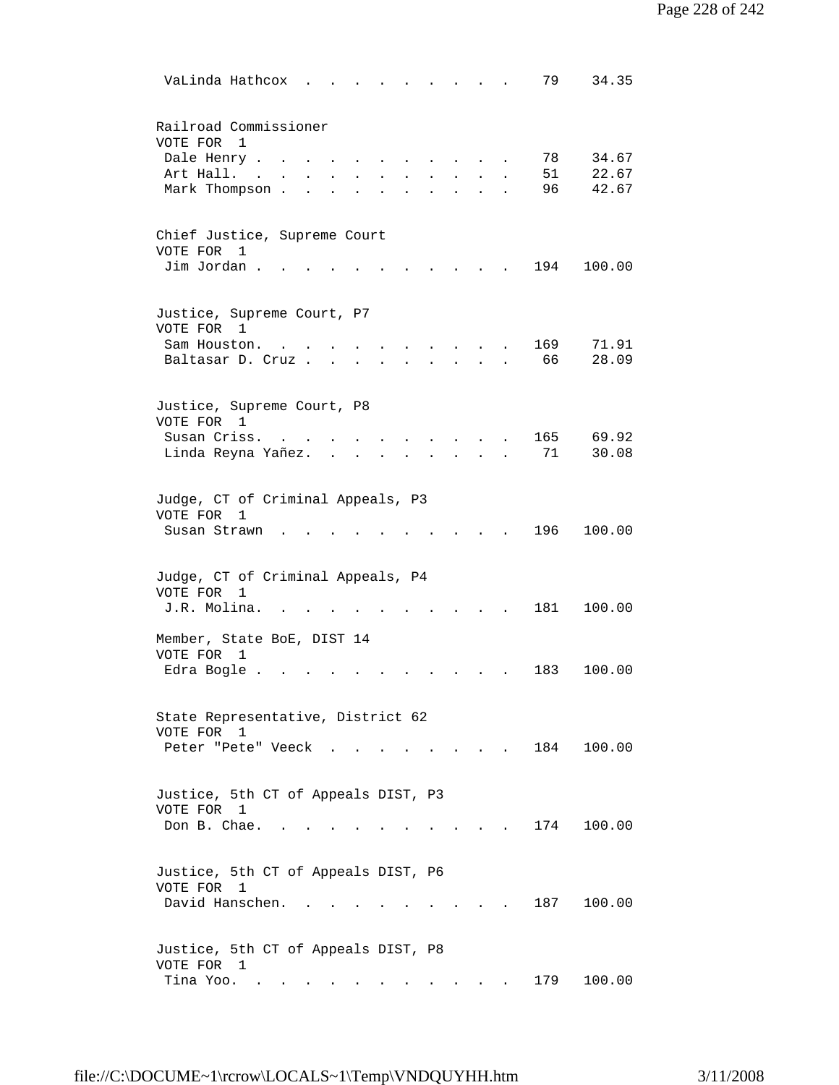| VaLinda Hathcox<br>79<br>34.35                                                                  |
|-------------------------------------------------------------------------------------------------|
| Railroad Commissioner<br>VOTE FOR<br>$\overline{1}$                                             |
| 34.67<br>Dale Henry .<br>78                                                                     |
| 51<br>22.67<br>Art Hall.                                                                        |
| 42.67<br>Mark Thompson.<br>96                                                                   |
|                                                                                                 |
| Chief Justice, Supreme Court                                                                    |
| VOTE FOR<br>1<br>Jim Jordan.<br>194<br>100.00                                                   |
|                                                                                                 |
| Justice, Supreme Court, P7<br>VOTE FOR 1                                                        |
| 169<br>71.91<br>Sam Houston.                                                                    |
| 28.09<br>Baltasar D. Cruz.<br>66                                                                |
|                                                                                                 |
| Justice, Supreme Court, P8<br>VOTE FOR 1                                                        |
| Susan Criss.<br>165<br>69.92                                                                    |
| 71<br>30.08<br>Linda Reyna Yañez.                                                               |
|                                                                                                 |
| Judge, CT of Criminal Appeals, P3<br>VOTE FOR<br>$\mathbf{1}$                                   |
| 196<br>100.00<br>Susan Strawn                                                                   |
|                                                                                                 |
| Judge, CT of Criminal Appeals, P4                                                               |
| VOTE FOR<br>1<br>J.R. Molina.<br>181<br>100.00                                                  |
|                                                                                                 |
| Member, State BoE, DIST 14<br>VOTE FOR<br>1                                                     |
| Edra Bogle.<br>183<br>100.00                                                                    |
|                                                                                                 |
| State Representative, District 62                                                               |
| VOTE FOR 1                                                                                      |
| 184<br>100.00<br>Peter "Pete" Veeck                                                             |
|                                                                                                 |
| Justice, 5th CT of Appeals DIST, P3                                                             |
| VOTE FOR 1                                                                                      |
| Don B. Chae.<br>174<br>100.00                                                                   |
|                                                                                                 |
|                                                                                                 |
| Justice, 5th CT of Appeals DIST, P6<br>VOTE FOR 1                                               |
| David Hanschen.<br>187<br>100.00<br>$\mathbf{r} = \mathbf{r}$ , where $\mathbf{r} = \mathbf{r}$ |
|                                                                                                 |
|                                                                                                 |
| Justice, 5th CT of Appeals DIST, P8                                                             |
| VOTE FOR 1<br>Tina Yoo.<br>179<br>100.00                                                        |
| $\bullet$ . In the case of the case of the $\sim$                                               |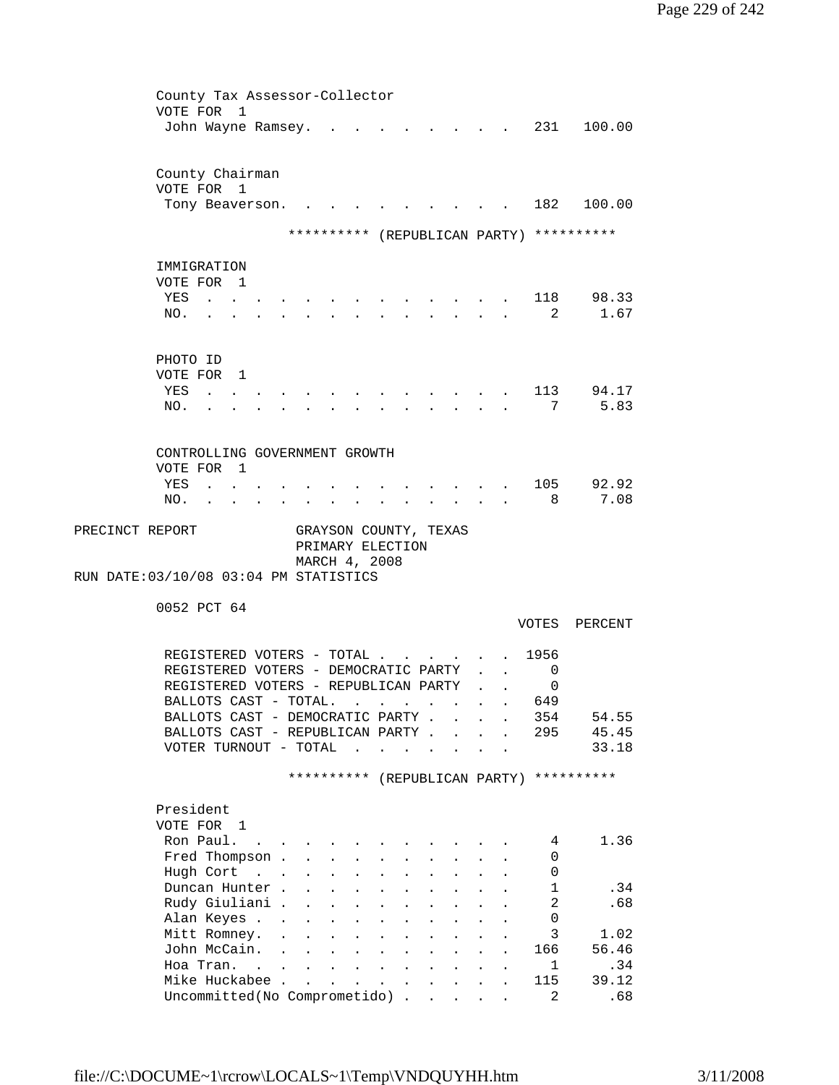|                                                                                 |                           | County Tax Assessor-Collector                                                        |                                                                       |                           |                                                                          |                           |                      |                      |                |                                          |
|---------------------------------------------------------------------------------|---------------------------|--------------------------------------------------------------------------------------|-----------------------------------------------------------------------|---------------------------|--------------------------------------------------------------------------|---------------------------|----------------------|----------------------|----------------|------------------------------------------|
| VOTE FOR 1                                                                      |                           |                                                                                      |                                                                       |                           |                                                                          |                           |                      |                      |                |                                          |
| John Wayne Ramsey.                                                              |                           |                                                                                      |                                                                       |                           |                                                                          |                           |                      |                      |                | $\cdot$ , . 231 100.00                   |
|                                                                                 |                           |                                                                                      |                                                                       |                           |                                                                          |                           |                      |                      |                |                                          |
|                                                                                 |                           |                                                                                      |                                                                       |                           |                                                                          |                           |                      |                      |                |                                          |
| County Chairman                                                                 |                           |                                                                                      |                                                                       |                           |                                                                          |                           |                      |                      |                |                                          |
| VOTE FOR 1                                                                      |                           |                                                                                      |                                                                       |                           |                                                                          |                           |                      |                      |                |                                          |
| Tony Beaverson.                                                                 |                           |                                                                                      |                                                                       |                           |                                                                          |                           |                      |                      |                | 182 100.00                               |
|                                                                                 |                           |                                                                                      |                                                                       |                           |                                                                          |                           |                      |                      |                |                                          |
|                                                                                 |                           |                                                                                      |                                                                       |                           |                                                                          |                           |                      |                      |                | ********** (REPUBLICAN PARTY) ********** |
|                                                                                 |                           |                                                                                      |                                                                       |                           |                                                                          |                           |                      |                      |                |                                          |
| IMMIGRATION                                                                     |                           |                                                                                      |                                                                       |                           |                                                                          |                           |                      |                      |                |                                          |
| VOTE FOR 1                                                                      |                           |                                                                                      |                                                                       |                           |                                                                          |                           |                      |                      |                |                                          |
| YES<br>$\sim$ $\sim$ $\sim$ $\sim$                                              |                           |                                                                                      |                                                                       |                           |                                                                          |                           |                      |                      |                | 118 98.33                                |
| NO.<br>$\cdot$ $\cdot$ $\cdot$                                                  |                           |                                                                                      | $\mathbf{r}$ , and $\mathbf{r}$ , and $\mathbf{r}$ , and $\mathbf{r}$ |                           |                                                                          |                           | $\ddot{\phantom{a}}$ |                      |                | 2 1.67                                   |
|                                                                                 |                           |                                                                                      |                                                                       |                           |                                                                          |                           |                      |                      |                |                                          |
| PHOTO ID                                                                        |                           |                                                                                      |                                                                       |                           |                                                                          |                           |                      |                      |                |                                          |
| VOTE FOR 1                                                                      |                           |                                                                                      |                                                                       |                           |                                                                          |                           |                      |                      |                |                                          |
|                                                                                 |                           |                                                                                      |                                                                       |                           |                                                                          |                           |                      |                      |                |                                          |
| YES<br>$\sim$ $\sim$                                                            |                           |                                                                                      |                                                                       |                           |                                                                          |                           |                      |                      | 113            | 94.17                                    |
| NO.                                                                             |                           |                                                                                      |                                                                       |                           |                                                                          |                           |                      |                      | 7              | 5.83                                     |
|                                                                                 |                           |                                                                                      |                                                                       |                           |                                                                          |                           |                      |                      |                |                                          |
| CONTROLLING GOVERNMENT GROWTH                                                   |                           |                                                                                      |                                                                       |                           |                                                                          |                           |                      |                      |                |                                          |
| VOTE FOR 1                                                                      |                           |                                                                                      |                                                                       |                           |                                                                          |                           |                      |                      |                |                                          |
|                                                                                 |                           |                                                                                      |                                                                       |                           |                                                                          |                           |                      |                      |                |                                          |
| YES<br>$\mathbf{z} = \mathbf{z} + \mathbf{z}$ , where $\mathbf{z} = \mathbf{z}$ |                           |                                                                                      |                                                                       |                           |                                                                          |                           |                      |                      | 105            | 92.92                                    |
| NO.<br><b>Contract Contract Contract Contract</b>                               | $\bullet$                 | $\bullet$ . $\bullet$<br>$\bullet$ .<br><br><br><br><br><br><br><br><br><br><br><br> |                                                                       |                           |                                                                          |                           |                      |                      | 8              | 7.08                                     |
| PRECINCT REPORT                                                                 |                           | GRAYSON COUNTY, TEXAS                                                                |                                                                       |                           |                                                                          |                           |                      |                      |                |                                          |
|                                                                                 |                           | PRIMARY ELECTION                                                                     |                                                                       |                           |                                                                          |                           |                      |                      |                |                                          |
|                                                                                 |                           |                                                                                      |                                                                       |                           |                                                                          |                           |                      |                      |                |                                          |
|                                                                                 |                           |                                                                                      |                                                                       |                           |                                                                          |                           |                      |                      |                |                                          |
|                                                                                 |                           | MARCH 4, 2008                                                                        |                                                                       |                           |                                                                          |                           |                      |                      |                |                                          |
| RUN DATE: 03/10/08 03:04 PM STATISTICS                                          |                           |                                                                                      |                                                                       |                           |                                                                          |                           |                      |                      |                |                                          |
|                                                                                 |                           |                                                                                      |                                                                       |                           |                                                                          |                           |                      |                      |                |                                          |
| 0052 PCT 64                                                                     |                           |                                                                                      |                                                                       |                           |                                                                          |                           |                      |                      |                |                                          |
|                                                                                 |                           |                                                                                      |                                                                       |                           |                                                                          |                           |                      |                      | VOTES          | PERCENT                                  |
|                                                                                 |                           |                                                                                      |                                                                       |                           |                                                                          |                           |                      |                      |                |                                          |
| REGISTERED VOTERS - TOTAL                                                       |                           |                                                                                      |                                                                       |                           |                                                                          |                           |                      |                      | 1956           |                                          |
| REGISTERED VOTERS - DEMOCRATIC PARTY                                            |                           |                                                                                      |                                                                       |                           |                                                                          |                           |                      | $\mathbf{A}$         | 0              |                                          |
| REGISTERED VOTERS - REPUBLICAN PARTY                                            |                           |                                                                                      |                                                                       |                           |                                                                          |                           |                      | $\ddot{\phantom{a}}$ | 0              |                                          |
| BALLOTS CAST - TOTAL. .                                                         |                           |                                                                                      |                                                                       |                           |                                                                          |                           |                      |                      | 649            |                                          |
| BALLOTS CAST - DEMOCRATIC PARTY                                                 |                           |                                                                                      |                                                                       |                           |                                                                          |                           |                      |                      | 354            | 54.55                                    |
| BALLOTS CAST - REPUBLICAN PARTY                                                 |                           |                                                                                      |                                                                       |                           |                                                                          |                           |                      |                      | 295            | 45.45                                    |
| VOTER TURNOUT - TOTAL                                                           |                           |                                                                                      | $\mathcal{A}$ is a set of the set of the set of $\mathcal{A}$ . Then  |                           |                                                                          |                           |                      |                      |                | 33.18                                    |
|                                                                                 |                           |                                                                                      |                                                                       |                           |                                                                          |                           |                      |                      |                |                                          |
|                                                                                 |                           |                                                                                      |                                                                       |                           |                                                                          |                           |                      |                      |                | ********** (REPUBLICAN PARTY) ********** |
| President                                                                       |                           |                                                                                      |                                                                       |                           |                                                                          |                           |                      |                      |                |                                          |
| VOTE FOR 1                                                                      |                           |                                                                                      |                                                                       |                           |                                                                          |                           |                      |                      |                |                                          |
| Ron Paul.                                                                       |                           |                                                                                      |                                                                       |                           |                                                                          |                           |                      |                      | 4              | 1.36                                     |
| Fred Thompson                                                                   |                           | . The contract of the contract of the contract of $\mathcal{O}(1)$                   |                                                                       |                           |                                                                          |                           |                      |                      | 0              |                                          |
| Hugh Cort                                                                       | $\mathbf{L}$              | $\mathbf{L}^{\text{max}}$                                                            | $\mathbf{L}$ and $\mathbf{L}$                                         | $\mathbf{L}$              | $\ddot{\phantom{0}}$                                                     | $\sim$ $\sim$ $\sim$      | $\ddot{\phantom{a}}$ |                      | 0              |                                          |
| Duncan Hunter.                                                                  | $\ddot{\phantom{a}}$      | $\mathbf{z} = \mathbf{z} + \mathbf{z}$ , where $\mathbf{z} = \mathbf{z}$             |                                                                       | $\mathbf{z} = \mathbf{z}$ | $\bullet$                                                                | $\sim 100$ km s $^{-1}$   |                      |                      | 1              | .34                                      |
| Rudy Giuliani .                                                                 | $\ddot{\phantom{a}}$      | $\mathbf{L}^{\text{max}}$<br>$\mathbf{a} = \mathbf{b}$                               | $\sim$ $-$                                                            | $\mathcal{L}^{\pm}$       | $\bullet$                                                                | $\mathbf{L}^{\text{max}}$ |                      |                      | $\overline{2}$ | .68                                      |
| Alan Keyes                                                                      |                           | $\mathbf{L}^{\text{max}}$<br>$\bullet$ .                                             | $\ddot{\phantom{a}}$                                                  | $\ddot{\phantom{0}}$      |                                                                          |                           |                      |                      | 0              |                                          |
| Mitt Romney.                                                                    |                           | $\bullet$                                                                            |                                                                       |                           |                                                                          |                           |                      |                      | 3              | 1.02                                     |
| John McCain.<br>$\ddot{\phantom{a}}$                                            | $\mathbf{L}^{\text{max}}$ | $\ddot{\phantom{0}}$<br>$\mathbf{L}$                                                 | $\sim$                                                                | $\ddot{\phantom{0}}$      | $\ddot{\phantom{0}}$                                                     |                           |                      |                      | 166            | 56.46                                    |
| Hoa Tran. .                                                                     | $\mathbf{L}$              | $\mathcal{L}^{\text{max}}$                                                           | $\mathcal{L}^{\text{max}}$ , and $\mathcal{L}^{\text{max}}$           |                           |                                                                          | $\mathbf{L} = \mathbf{L}$ |                      |                      | 1              | .34                                      |
| Mike Huckabee.                                                                  | $\sim$ 100 $\sim$         | $\mathbf{L}$<br>$\mathbf{L}$                                                         |                                                                       |                           | $\mathbf{r}$ , $\mathbf{r}$ , $\mathbf{r}$ , $\mathbf{r}$ , $\mathbf{r}$ |                           |                      | $\ddot{\phantom{a}}$ | 115            | 39.12                                    |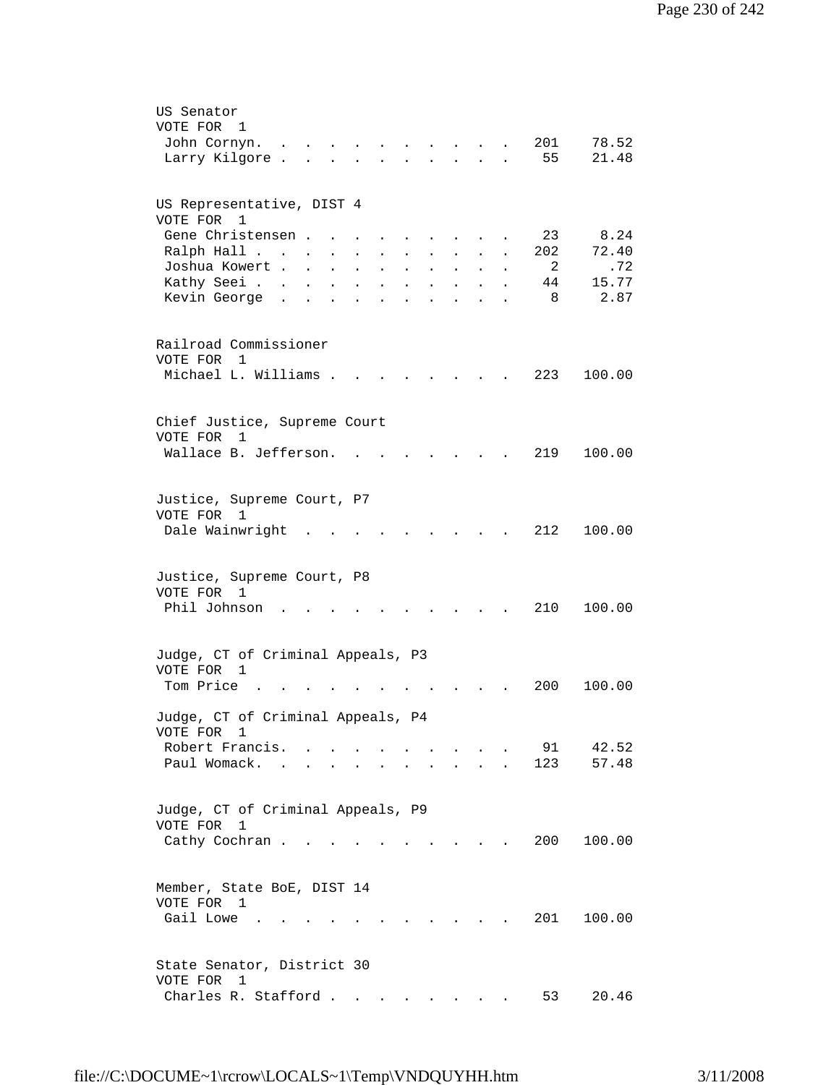| US Senator                                                                                                                                                                                 |
|--------------------------------------------------------------------------------------------------------------------------------------------------------------------------------------------|
| VOTE FOR<br>1                                                                                                                                                                              |
| 201<br>78.52<br>John Cornyn.<br>$\mathbf{r}$ , $\mathbf{r}$ , $\mathbf{r}$ , $\mathbf{r}$ , $\mathbf{r}$                                                                                   |
| 55<br>21.48<br>Larry Kilgore.<br>the contract of the contract of the contract of the contract of the contract of the contract of the contract of<br>$\bullet$                              |
|                                                                                                                                                                                            |
|                                                                                                                                                                                            |
| US Representative, DIST 4<br>VOTE FOR 1                                                                                                                                                    |
| 8.24<br>Gene Christensen<br>23                                                                                                                                                             |
| 202<br>72.40<br>Ralph Hall                                                                                                                                                                 |
| $\mathbf{L} = \mathbf{L}$<br>$\mathbf{L}$ and $\mathbf{L}$<br>$\sim$<br>$\sim$<br>$\ddot{\phantom{a}}$<br>Joshua Kowert<br>- 2<br>.72                                                      |
| $\mathbf{L}$<br>$\mathbf{L}^{\text{max}}$<br>$\ddot{\phantom{a}}$<br><b>Contract Contract</b><br>$\ddot{\phantom{a}}$<br>15.77                                                             |
| Kathy Seei<br>44<br>$\mathbf{L} = \mathbf{L}$<br><b>Contract Contract</b><br>$\sim$ $\sim$ $\sim$<br>$\mathbf{L}$<br>$\ddot{\phantom{a}}$<br>$\ddot{\phantom{a}}$<br>Kevin George.<br>2.87 |
| 8<br>$\ddot{\phantom{a}}$<br>$\sim$<br>$\bullet$<br>$\bullet$<br>$\bullet$<br>$\bullet$ .<br><br><br><br><br><br><br><br><br><br><br><br><br>$\mathbf{a}$ and $\mathbf{b}$<br>$\bullet$    |
|                                                                                                                                                                                            |
| Railroad Commissioner                                                                                                                                                                      |
| VOTE FOR 1                                                                                                                                                                                 |
| Michael L. Williams .<br>223<br>100.00                                                                                                                                                     |
|                                                                                                                                                                                            |
|                                                                                                                                                                                            |
| Chief Justice, Supreme Court<br>VOTE FOR<br>1                                                                                                                                              |
| Wallace B. Jefferson.<br>219<br>100.00                                                                                                                                                     |
|                                                                                                                                                                                            |
|                                                                                                                                                                                            |
| Justice, Supreme Court, P7                                                                                                                                                                 |
| VOTE FOR 1                                                                                                                                                                                 |
| Dale Wainwright<br>212<br>100.00                                                                                                                                                           |
|                                                                                                                                                                                            |
|                                                                                                                                                                                            |
| Justice, Supreme Court, P8                                                                                                                                                                 |
| VOTE FOR<br>$\overline{1}$                                                                                                                                                                 |
| Phil Johnson<br>210<br>100.00                                                                                                                                                              |
|                                                                                                                                                                                            |
| Judge, CT of Criminal Appeals, P3                                                                                                                                                          |
| VOTE FOR<br>1                                                                                                                                                                              |
| Tom Price<br>200<br>100.00                                                                                                                                                                 |
|                                                                                                                                                                                            |
| Judge, CT of Criminal Appeals, P4                                                                                                                                                          |
| VOTE FOR 1                                                                                                                                                                                 |
| Robert Francis. .<br>91<br>42.52<br>$\sim$                                                                                                                                                 |
| 123<br>Paul Womack. .<br>57.48                                                                                                                                                             |
|                                                                                                                                                                                            |
|                                                                                                                                                                                            |
| Judge, CT of Criminal Appeals, P9                                                                                                                                                          |
| VOTE FOR<br>1                                                                                                                                                                              |
| Cathy Cochran<br>200<br>100.00<br>and the state of the state of the                                                                                                                        |
|                                                                                                                                                                                            |
| Member, State BoE, DIST 14                                                                                                                                                                 |
| VOTE FOR 1                                                                                                                                                                                 |
| Gail Lowe<br>201<br>100.00                                                                                                                                                                 |
|                                                                                                                                                                                            |
|                                                                                                                                                                                            |
| State Senator, District 30                                                                                                                                                                 |
| VOTE FOR<br>1                                                                                                                                                                              |
| Charles R. Stafford<br>53<br>20.46<br>$\cdot$ $\cdot$                                                                                                                                      |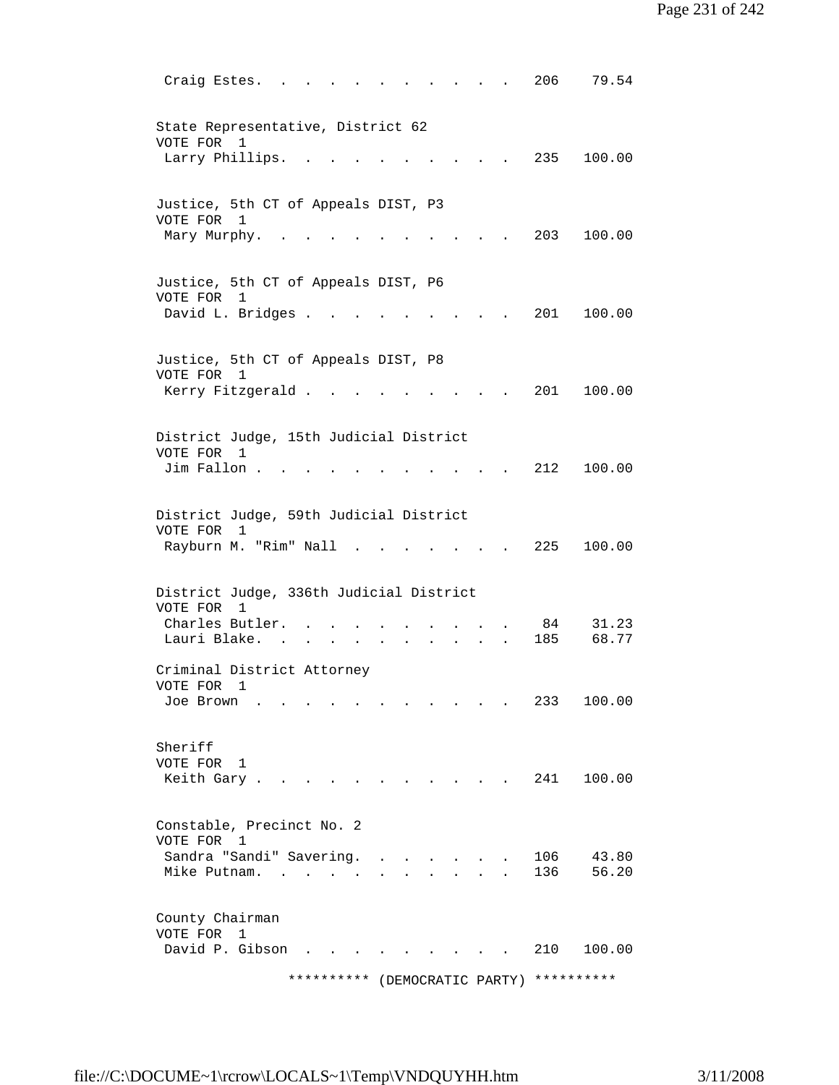|         | Craig Estes. .                                                                   |                     |                           |                    | 206        | 79.54          |
|---------|----------------------------------------------------------------------------------|---------------------|---------------------------|--------------------|------------|----------------|
|         | State Representative, District 62<br>VOTE FOR 1                                  |                     |                           |                    |            |                |
|         | Larry Phillips.                                                                  |                     |                           |                    |            | 235 100.00     |
|         | Justice, 5th CT of Appeals DIST, P3<br>VOTE FOR 1                                |                     |                           |                    |            |                |
|         | Mary Murphy.                                                                     |                     |                           |                    | 203        | 100.00         |
|         | Justice, 5th CT of Appeals DIST, P6<br>VOTE FOR<br>1<br>David L. Bridges .       |                     |                           |                    | 201        | 100.00         |
|         |                                                                                  |                     |                           |                    |            |                |
|         | Justice, 5th CT of Appeals DIST, P8<br>VOTE FOR 1<br>Kerry Fitzgerald.           |                     |                           |                    | 201        | 100.00         |
|         |                                                                                  |                     |                           |                    |            |                |
|         | District Judge, 15th Judicial District<br>VOTE FOR 1<br>Jim Fallon.              |                     |                           |                    | 212        | 100.00         |
|         |                                                                                  |                     |                           |                    |            |                |
|         | District Judge, 59th Judicial District<br>VOTE FOR<br>1<br>Rayburn M. "Rim" Nall |                     |                           |                    | 225        | 100.00         |
|         |                                                                                  |                     |                           |                    |            |                |
|         | District Judge, 336th Judicial District<br>VOTE FOR 1                            |                     |                           |                    |            |                |
|         | Charles Butler.                                                                  |                     |                           |                    | 84         | 31.23          |
|         | Lauri Blake.                                                                     |                     |                           |                    | 185        | 68.77          |
|         | Criminal District Attorney<br>VOTE FOR 1                                         |                     |                           |                    |            |                |
|         | Joe Brown                                                                        |                     |                           |                    | 233        | 100.00         |
| Sheriff | VOTE FOR 1                                                                       |                     |                           |                    |            |                |
|         | Keith Gary                                                                       |                     |                           |                    | 241        | 100.00         |
|         | Constable, Precinct No. 2<br>VOTE FOR 1                                          |                     |                           |                    |            |                |
|         | Sandra "Sandi" Savering.<br>Mike Putnam.                                         |                     | $\mathbf{r} = \mathbf{r}$ |                    | 106<br>136 | 43.80<br>56.20 |
|         | County Chairman<br>VOTE FOR 1                                                    |                     |                           |                    |            |                |
|         | David P. Gibson                                                                  |                     |                           |                    | 210        | 100.00         |
|         |                                                                                  | * * * * * * * * * * |                           | (DEMOCRATIC PARTY) | ********** |                |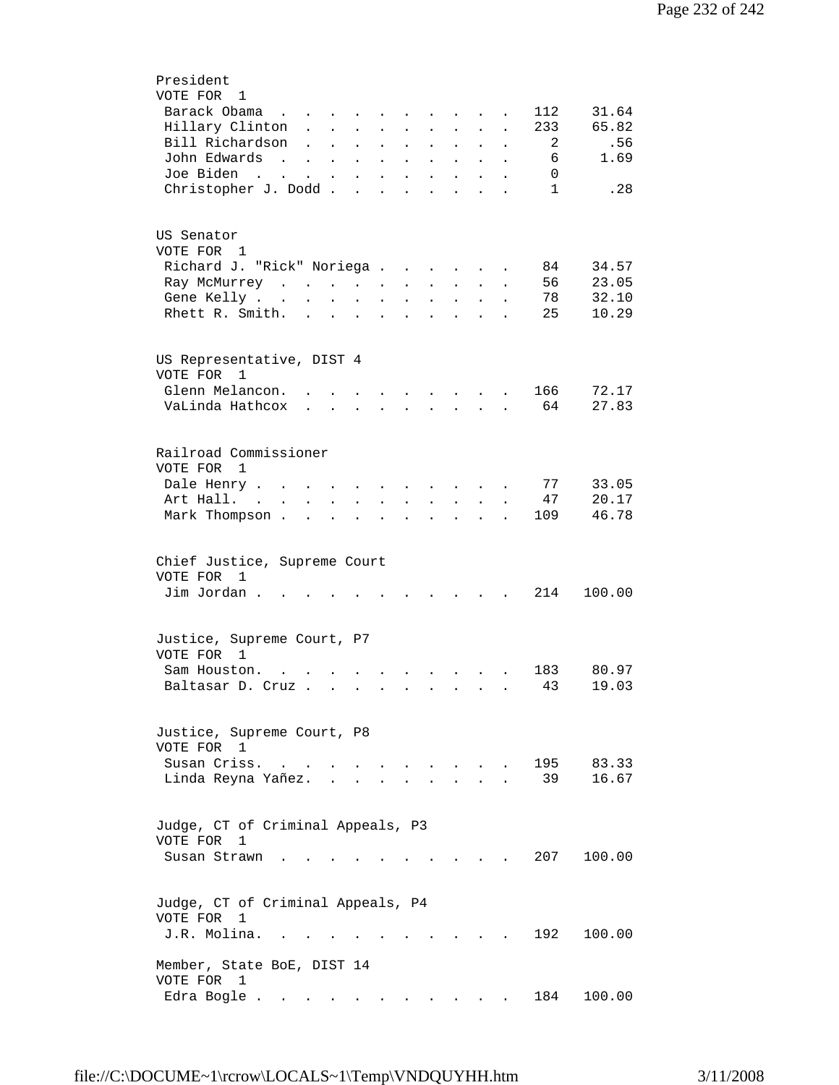| President                                                                                                                                                                                                                                                                                                                                                                                                                                                              |
|------------------------------------------------------------------------------------------------------------------------------------------------------------------------------------------------------------------------------------------------------------------------------------------------------------------------------------------------------------------------------------------------------------------------------------------------------------------------|
| VOTE FOR 1                                                                                                                                                                                                                                                                                                                                                                                                                                                             |
| Barack Obama<br>112<br>31.64<br>$\cdots$ $\cdots$                                                                                                                                                                                                                                                                                                                                                                                                                      |
| 65.82<br>Hillary Clinton.<br>233<br>$\mathcal{L}^{\text{max}}$<br>$\sim 10^{-10}$<br>$\mathbf{L}^{\text{max}}$<br>$\sim$ $\sim$<br>$\ddot{\phantom{0}}$<br>$\ddot{\phantom{0}}$<br>$\ddot{\phantom{a}}$<br>$\ddot{\phantom{0}}$                                                                                                                                                                                                                                        |
| Bill Richardson<br>2<br>.56<br>$\ddot{\phantom{a}}$<br>$\ddot{\phantom{0}}$<br>$\bullet$<br>$\bullet$<br>$\ddot{\phantom{0}}$<br>$\ddot{\phantom{0}}$<br>$\bullet$<br>$\ddot{\phantom{0}}$<br>$\ddot{\phantom{a}}$                                                                                                                                                                                                                                                     |
| John Edwards<br>1.69<br>6<br>$\mathcal{L}(\mathbf{r})$ , and $\mathcal{L}(\mathbf{r})$ , and $\mathcal{L}(\mathbf{r})$<br>$\mathbf{L}^{\text{max}}$ , $\mathbf{L}^{\text{max}}$<br>$\ddot{\phantom{0}}$<br>$\ddot{\phantom{0}}$                                                                                                                                                                                                                                        |
| Joe Biden<br>0<br>and the state of the state of the<br>$\ddot{\phantom{a}}$<br>$\ddot{\phantom{a}}$<br>$\ddot{\phantom{a}}$                                                                                                                                                                                                                                                                                                                                            |
| Christopher J. Dodd.<br>$\mathbf{1}$<br>.28<br>$\ddot{\phantom{a}}$<br>$\ddot{\phantom{a}}$<br>$\ddot{\phantom{a}}$<br>$\ddot{\phantom{a}}$                                                                                                                                                                                                                                                                                                                            |
|                                                                                                                                                                                                                                                                                                                                                                                                                                                                        |
|                                                                                                                                                                                                                                                                                                                                                                                                                                                                        |
| US Senator                                                                                                                                                                                                                                                                                                                                                                                                                                                             |
| VOTE FOR 1                                                                                                                                                                                                                                                                                                                                                                                                                                                             |
| Richard J. "Rick" Noriega<br>34.57<br>84                                                                                                                                                                                                                                                                                                                                                                                                                               |
| <b>Contractor</b><br>$\bullet$<br>56<br>23.05<br>Ray McMurrey                                                                                                                                                                                                                                                                                                                                                                                                          |
| $\ddot{\phantom{a}}$<br>$\ddot{\phantom{0}}$<br>$\bullet$<br>$\ddot{\phantom{a}}$<br>32.10<br>78<br>Gene Kelly                                                                                                                                                                                                                                                                                                                                                         |
| $\sim 100$<br>$\ddot{\phantom{a}}$                                                                                                                                                                                                                                                                                                                                                                                                                                     |
| 10.29<br>Rhett R. Smith.<br>25<br>$\mathbf{L} = \mathbf{L}$<br>$\ddot{\phantom{a}}$                                                                                                                                                                                                                                                                                                                                                                                    |
|                                                                                                                                                                                                                                                                                                                                                                                                                                                                        |
|                                                                                                                                                                                                                                                                                                                                                                                                                                                                        |
| US Representative, DIST 4                                                                                                                                                                                                                                                                                                                                                                                                                                              |
| VOTE FOR<br>1                                                                                                                                                                                                                                                                                                                                                                                                                                                          |
| Glenn Melancon.<br>166<br>72.17<br>$\sim$ $\sim$ $\sim$ $\sim$ $\sim$<br>$\sim 10^{-10}$                                                                                                                                                                                                                                                                                                                                                                               |
| 27.83<br>VaLinda Hathcox<br>64<br>$\mathbf{r} = \mathbf{r} + \mathbf{r}$<br>$\mathcal{L}^{\text{max}}$                                                                                                                                                                                                                                                                                                                                                                 |
|                                                                                                                                                                                                                                                                                                                                                                                                                                                                        |
|                                                                                                                                                                                                                                                                                                                                                                                                                                                                        |
| Railroad Commissioner                                                                                                                                                                                                                                                                                                                                                                                                                                                  |
| VOTE FOR 1                                                                                                                                                                                                                                                                                                                                                                                                                                                             |
| 77<br>33.05<br>Dale Henry<br><b>Contract Contract Contract</b>                                                                                                                                                                                                                                                                                                                                                                                                         |
| Art Hall.<br>47<br>20.17<br>$\mathbf{L} = \mathbf{L} \mathbf{L}$<br>$\mathbf{L} = \mathbf{L} \mathbf{L}$<br>$\mathbf{r} = \mathbf{r}$<br>$\ddot{\phantom{a}}$<br>$\ddot{\phantom{0}}$                                                                                                                                                                                                                                                                                  |
| Mark Thompson.<br>109<br>46.78<br>$\mathbf{r}$ . The set of $\mathbf{r}$<br>$\sim$ $\sim$ $\sim$<br>$\ddot{\phantom{a}}$<br>$\ddot{\phantom{a}}$<br>$\ddot{\phantom{a}}$<br>$\ddot{\phantom{a}}$<br>$\ddot{\phantom{a}}$                                                                                                                                                                                                                                               |
|                                                                                                                                                                                                                                                                                                                                                                                                                                                                        |
| Chief Justice, Supreme Court<br>VOTE FOR<br>$\overline{1}$<br>Jim Jordan.<br>214<br>100.00<br>$\mathbf{A}$ and $\mathbf{A}$<br>$\sim$                                                                                                                                                                                                                                                                                                                                  |
|                                                                                                                                                                                                                                                                                                                                                                                                                                                                        |
| Justice, Supreme Court, P7<br>VOTE FOR 1                                                                                                                                                                                                                                                                                                                                                                                                                               |
| 80.97<br>Sam Houston.<br>183<br>$\mathbf{r} = \mathbf{r} + \mathbf{r} + \mathbf{r}$ .                                                                                                                                                                                                                                                                                                                                                                                  |
| 43<br>19.03<br>Baltasar D. Cruz                                                                                                                                                                                                                                                                                                                                                                                                                                        |
|                                                                                                                                                                                                                                                                                                                                                                                                                                                                        |
|                                                                                                                                                                                                                                                                                                                                                                                                                                                                        |
| Justice, Supreme Court, P8<br>VOTE FOR 1                                                                                                                                                                                                                                                                                                                                                                                                                               |
| Susan Criss.<br>195<br>83.33<br>$\sim$<br>$\mathbf{r} = \mathbf{r} + \mathbf{r} + \mathbf{r} + \mathbf{r} + \mathbf{r} + \mathbf{r} + \mathbf{r} + \mathbf{r} + \mathbf{r} + \mathbf{r} + \mathbf{r} + \mathbf{r} + \mathbf{r} + \mathbf{r} + \mathbf{r} + \mathbf{r} + \mathbf{r} + \mathbf{r} + \mathbf{r} + \mathbf{r} + \mathbf{r} + \mathbf{r} + \mathbf{r} + \mathbf{r} + \mathbf{r} + \mathbf{r} + \mathbf{r} + \mathbf{r} + \mathbf{r} + \mathbf{r} + \mathbf$ |
| 16.67<br>Linda Reyna Yañez.<br>39<br>$\mathbf{r} = \mathbf{r}$                                                                                                                                                                                                                                                                                                                                                                                                         |
|                                                                                                                                                                                                                                                                                                                                                                                                                                                                        |
| Judge, CT of Criminal Appeals, P3<br>VOTE FOR<br>1                                                                                                                                                                                                                                                                                                                                                                                                                     |
| 207<br>Susan Strawn<br>100.00                                                                                                                                                                                                                                                                                                                                                                                                                                          |
|                                                                                                                                                                                                                                                                                                                                                                                                                                                                        |
|                                                                                                                                                                                                                                                                                                                                                                                                                                                                        |
| Judge, CT of Criminal Appeals, P4<br>VOTE FOR<br>1                                                                                                                                                                                                                                                                                                                                                                                                                     |
| J.R. Molina.<br>192<br>100.00                                                                                                                                                                                                                                                                                                                                                                                                                                          |
|                                                                                                                                                                                                                                                                                                                                                                                                                                                                        |
| Member, State BoE, DIST 14<br>VOTE FOR 1                                                                                                                                                                                                                                                                                                                                                                                                                               |
| Edra Bogle<br>184<br>100.00<br>$\sim 100$                                                                                                                                                                                                                                                                                                                                                                                                                              |
|                                                                                                                                                                                                                                                                                                                                                                                                                                                                        |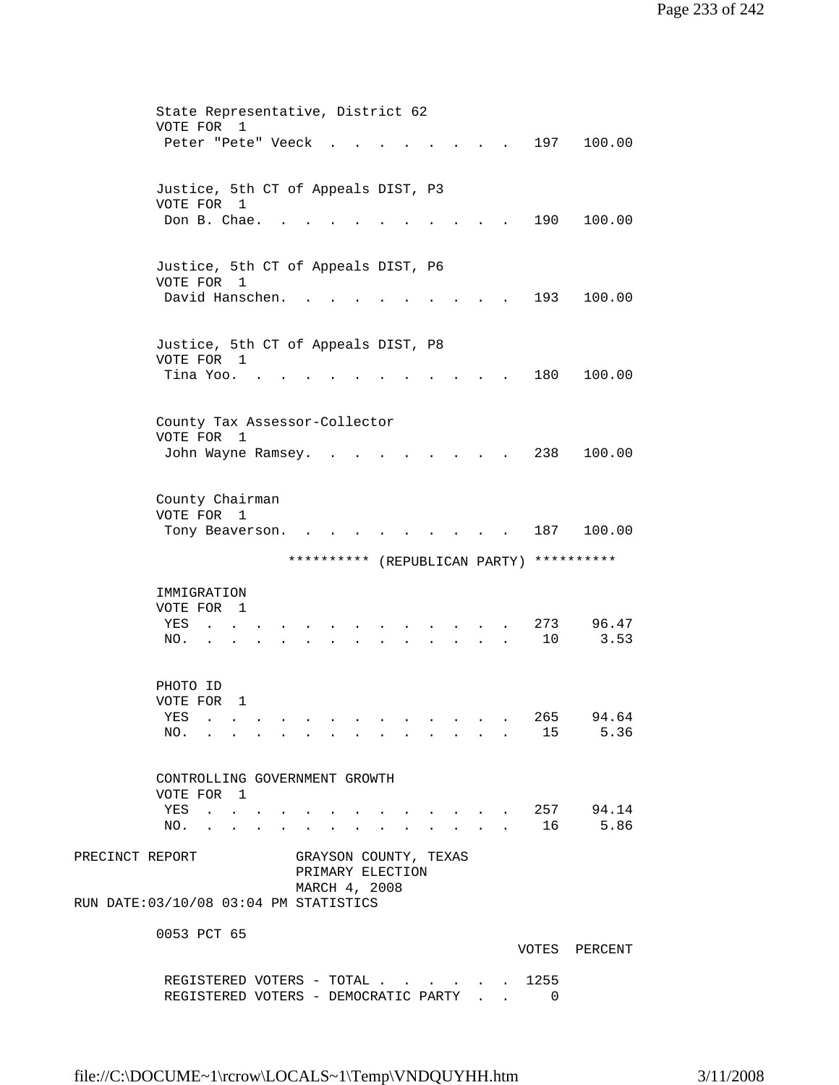|                                        |                                           |                                                                                                                 |                |  | State Representative, District 62 |               |                                                                                 |                           |           |                                          |
|----------------------------------------|-------------------------------------------|-----------------------------------------------------------------------------------------------------------------|----------------|--|-----------------------------------|---------------|---------------------------------------------------------------------------------|---------------------------|-----------|------------------------------------------|
|                                        | VOTE FOR                                  |                                                                                                                 | $\overline{1}$ |  |                                   |               |                                                                                 |                           |           |                                          |
|                                        |                                           | Peter "Pete" Veeck                                                                                              |                |  |                                   |               |                                                                                 |                           | 197       | 100.00                                   |
|                                        |                                           |                                                                                                                 |                |  |                                   |               |                                                                                 |                           |           |                                          |
|                                        | Justice, 5th CT of Appeals DIST, P3       |                                                                                                                 |                |  |                                   |               |                                                                                 |                           |           |                                          |
|                                        | VOTE FOR 1                                |                                                                                                                 |                |  |                                   |               |                                                                                 |                           |           |                                          |
|                                        |                                           | Don B. Chae.                                                                                                    |                |  |                                   |               |                                                                                 |                           | 190       | 100.00                                   |
|                                        |                                           |                                                                                                                 |                |  |                                   |               |                                                                                 |                           |           |                                          |
|                                        |                                           |                                                                                                                 |                |  |                                   |               |                                                                                 |                           |           |                                          |
|                                        | Justice, 5th CT of Appeals DIST, P6       |                                                                                                                 |                |  |                                   |               |                                                                                 |                           |           |                                          |
|                                        | VOTE FOR 1                                |                                                                                                                 |                |  |                                   |               |                                                                                 |                           |           |                                          |
|                                        |                                           | David Hanschen.                                                                                                 |                |  |                                   |               |                                                                                 |                           | 193       | 100.00                                   |
|                                        |                                           |                                                                                                                 |                |  |                                   |               |                                                                                 |                           |           |                                          |
|                                        |                                           |                                                                                                                 |                |  |                                   |               |                                                                                 |                           |           |                                          |
|                                        | Justice, 5th CT of Appeals DIST, P8       |                                                                                                                 |                |  |                                   |               |                                                                                 |                           |           |                                          |
|                                        | VOTE FOR 1                                |                                                                                                                 |                |  |                                   |               |                                                                                 |                           |           |                                          |
|                                        |                                           | Tina Yoo.                                                                                                       |                |  |                                   |               |                                                                                 |                           | 180       | 100.00                                   |
|                                        |                                           |                                                                                                                 |                |  |                                   |               |                                                                                 |                           |           |                                          |
|                                        |                                           |                                                                                                                 |                |  |                                   |               |                                                                                 |                           |           |                                          |
|                                        | County Tax Assessor-Collector<br>VOTE FOR |                                                                                                                 | $\overline{1}$ |  |                                   |               |                                                                                 |                           |           |                                          |
|                                        |                                           | John Wayne Ramsey.                                                                                              |                |  |                                   |               |                                                                                 |                           | 238       | 100.00                                   |
|                                        |                                           |                                                                                                                 |                |  |                                   |               |                                                                                 |                           |           |                                          |
|                                        |                                           |                                                                                                                 |                |  |                                   |               |                                                                                 |                           |           |                                          |
|                                        | County Chairman                           |                                                                                                                 |                |  |                                   |               |                                                                                 |                           |           |                                          |
|                                        | VOTE FOR 1                                |                                                                                                                 |                |  |                                   |               |                                                                                 |                           |           |                                          |
|                                        |                                           | Tony Beaverson.                                                                                                 |                |  |                                   |               |                                                                                 |                           | 187       | 100.00                                   |
|                                        |                                           |                                                                                                                 |                |  |                                   |               |                                                                                 |                           |           |                                          |
|                                        |                                           |                                                                                                                 |                |  |                                   |               |                                                                                 |                           |           |                                          |
|                                        |                                           |                                                                                                                 |                |  |                                   |               |                                                                                 |                           |           | ********** (REPUBLICAN PARTY) ********** |
|                                        |                                           |                                                                                                                 |                |  |                                   |               |                                                                                 |                           |           |                                          |
|                                        | IMMIGRATION                               |                                                                                                                 |                |  |                                   |               |                                                                                 |                           |           |                                          |
|                                        | VOTE FOR 1                                |                                                                                                                 |                |  |                                   |               |                                                                                 |                           |           |                                          |
|                                        | YES                                       |                                                                                                                 |                |  |                                   |               |                                                                                 |                           | 273       | 96.47                                    |
|                                        | NO.                                       |                                                                                                                 |                |  |                                   |               |                                                                                 |                           | 10        | 3.53                                     |
|                                        |                                           |                                                                                                                 |                |  |                                   |               |                                                                                 |                           |           |                                          |
|                                        |                                           |                                                                                                                 |                |  |                                   |               |                                                                                 |                           |           |                                          |
|                                        | PHOTO ID                                  |                                                                                                                 |                |  |                                   |               |                                                                                 |                           |           |                                          |
|                                        | VOTE FOR                                  |                                                                                                                 | 1              |  |                                   |               |                                                                                 |                           |           |                                          |
|                                        | YES<br>NO.                                | the contract of the contract of the contract of the contract of the contract of the contract of the contract of |                |  | .                                 | $\sim$ $\sim$ | the contract of the contract of the contract of the contract of the contract of |                           | 265<br>15 | 94.64<br>5.36                            |
|                                        |                                           |                                                                                                                 |                |  |                                   |               |                                                                                 |                           |           |                                          |
|                                        |                                           |                                                                                                                 |                |  |                                   |               |                                                                                 |                           |           |                                          |
|                                        |                                           |                                                                                                                 |                |  | CONTROLLING GOVERNMENT GROWTH     |               |                                                                                 |                           |           |                                          |
|                                        | VOTE FOR 1                                |                                                                                                                 |                |  |                                   |               |                                                                                 |                           |           |                                          |
|                                        | YES                                       | $\mathbf{r}$ , $\mathbf{r}$ , $\mathbf{r}$ , $\mathbf{r}$                                                       |                |  |                                   |               | and the state of the state of the state of                                      |                           |           | . 257 94.14                              |
|                                        | NO.                                       |                                                                                                                 |                |  |                                   |               |                                                                                 | $\mathbf{r} = \mathbf{r}$ | 16        | 5.86                                     |
|                                        |                                           |                                                                                                                 |                |  |                                   |               |                                                                                 |                           |           |                                          |
| PRECINCT REPORT                        |                                           |                                                                                                                 |                |  | GRAYSON COUNTY, TEXAS             |               |                                                                                 |                           |           |                                          |
|                                        |                                           |                                                                                                                 |                |  | PRIMARY ELECTION                  |               |                                                                                 |                           |           |                                          |
|                                        |                                           |                                                                                                                 |                |  | MARCH 4, 2008                     |               |                                                                                 |                           |           |                                          |
| RUN DATE: 03/10/08 03:04 PM STATISTICS |                                           |                                                                                                                 |                |  |                                   |               |                                                                                 |                           |           |                                          |
|                                        | 0053 PCT 65                               |                                                                                                                 |                |  |                                   |               |                                                                                 |                           |           |                                          |
|                                        |                                           |                                                                                                                 |                |  |                                   |               |                                                                                 |                           |           | VOTES PERCENT                            |
|                                        |                                           |                                                                                                                 |                |  | REGISTERED VOTERS - TOTAL         |               |                                                                                 |                           | 1255      |                                          |

REGISTERED VOTERS - DEMOCRATIC PARTY . . 0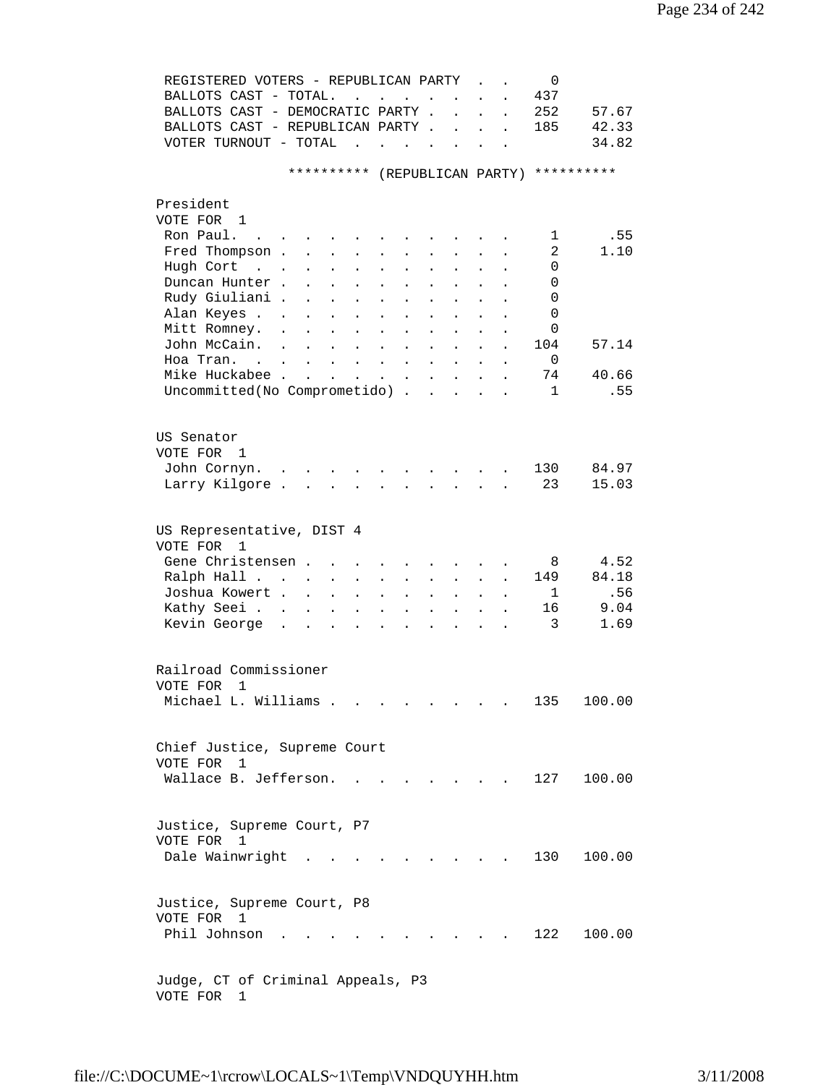|           | REGISTERED VOTERS - REPUBLICAN PARTY<br>BALLOTS CAST - TOTAL.<br>BALLOTS CAST - DEMOCRATIC PARTY.<br>BALLOTS CAST - REPUBLICAN PARTY.<br>VOTER TURNOUT - TOTAL |                                      | $\ddot{\phantom{a}}$<br><b>Contract Contract Contract</b>                                                                                                            | <b>Contract Contract Contract</b>            | $\mathbf{L}$<br>$\ddot{\phantom{a}}$                        | $\ddot{\phantom{a}}$       | $\ddot{\phantom{a}}$ |                      | 0<br>437<br>252<br>185        | 57.67<br>42.33<br>34.82 |
|-----------|----------------------------------------------------------------------------------------------------------------------------------------------------------------|--------------------------------------|----------------------------------------------------------------------------------------------------------------------------------------------------------------------|----------------------------------------------|-------------------------------------------------------------|----------------------------|----------------------|----------------------|-------------------------------|-------------------------|
|           |                                                                                                                                                                |                                      | **********                                                                                                                                                           |                                              |                                                             |                            |                      |                      | (REPUBLICAN PARTY) ********** |                         |
| President |                                                                                                                                                                |                                      |                                                                                                                                                                      |                                              |                                                             |                            |                      |                      |                               |                         |
|           | VOTE FOR 1                                                                                                                                                     |                                      |                                                                                                                                                                      |                                              |                                                             |                            |                      |                      |                               |                         |
|           | Ron Paul.                                                                                                                                                      |                                      |                                                                                                                                                                      |                                              |                                                             |                            |                      |                      | 1                             | .55                     |
|           | Fred Thompson .                                                                                                                                                | $\ddot{\phantom{a}}$                 | $\ddot{\phantom{0}}$<br>$\ddot{\phantom{0}}$                                                                                                                         | $\bullet$<br>$\ddot{\phantom{0}}$            |                                                             |                            |                      |                      | 2                             | 1.10                    |
|           | Hugh Cort<br>$\mathcal{L}(\mathcal{L}^{\text{max}})$ .                                                                                                         |                                      |                                                                                                                                                                      |                                              |                                                             |                            |                      |                      | 0                             |                         |
|           | Duncan Hunter.                                                                                                                                                 |                                      |                                                                                                                                                                      |                                              |                                                             |                            |                      |                      | 0                             |                         |
|           | Rudy Giuliani .                                                                                                                                                | $\ddot{\phantom{a}}$                 | $\ddot{\phantom{0}}$                                                                                                                                                 |                                              |                                                             |                            |                      |                      | 0                             |                         |
|           | Alan Keyes                                                                                                                                                     | $\ddot{\phantom{0}}$                 | $\ddot{\phantom{a}}$<br>$\ddot{\phantom{a}}$                                                                                                                         | $\ddot{\phantom{a}}$<br>$\ddot{\phantom{a}}$ | $\ddot{\phantom{a}}$                                        |                            |                      |                      | $\Omega$                      |                         |
|           | Mitt Romney.                                                                                                                                                   | $\ddot{\phantom{a}}$                 | $\ddot{\phantom{0}}$<br>$\ddot{\phantom{a}}$                                                                                                                         | $\ddot{\phantom{a}}$<br>$\ddot{\phantom{a}}$ | $\ddot{\phantom{a}}$                                        |                            |                      |                      | 0                             |                         |
|           | John McCain.                                                                                                                                                   | $\ddot{\phantom{a}}$<br>$\mathbf{r}$ | $\ddot{\phantom{a}}$<br>$\mathbf{L}$                                                                                                                                 | $\ddot{\phantom{a}}$<br>$\ddot{\phantom{a}}$ | $\ddot{\phantom{a}}$                                        |                            |                      |                      | 104                           | 57.14                   |
|           | Hoa Tran.                                                                                                                                                      |                                      | $\mathbf{r} = \mathbf{r} \cdot \mathbf{r} = \mathbf{r} \cdot \mathbf{r}$ .                                                                                           | $\ddot{\phantom{a}}$                         | $\mathbf{L}^{\text{max}}$                                   | $\mathcal{L}^{\text{max}}$ | $\bullet$            | $\bullet$            | 0                             |                         |
|           | Mike Huckabee                                                                                                                                                  |                                      | $\mathbf{z} = \left\{ \mathbf{z}_1, \ldots, \mathbf{z}_n \right\}$ , where                                                                                           | $\bullet$                                    | $\bullet$ .<br><br><br><br><br><br><br><br><br><br><br><br> | $\mathbf{L}^{\text{max}}$  | $\bullet$            |                      | 74                            | 40.66                   |
|           | Uncommitted (No Comprometido)                                                                                                                                  |                                      |                                                                                                                                                                      |                                              |                                                             | $\sim$                     | $\ddot{\phantom{a}}$ |                      | $\mathbf{1}$                  | .55                     |
|           | US Senator<br>VOTE FOR 1<br>John Cornyn.<br>Larry Kilgore.                                                                                                     |                                      | $\mathbf{r}$ , $\mathbf{r}$ , $\mathbf{r}$ , $\mathbf{r}$ , $\mathbf{r}$<br>$\mathbf{r}$ , and $\mathbf{r}$ , and $\mathbf{r}$ , and $\mathbf{r}$ , and $\mathbf{r}$ |                                              | $\sim$ $\sim$ $\sim$ $\sim$                                 |                            |                      |                      | 130<br>23                     | 84.97<br>15.03          |
|           |                                                                                                                                                                |                                      |                                                                                                                                                                      |                                              |                                                             |                            |                      |                      |                               |                         |
| VOTE FOR  | US Representative, DIST 4<br>1                                                                                                                                 |                                      |                                                                                                                                                                      |                                              |                                                             |                            |                      |                      |                               |                         |
|           | Gene Christensen.                                                                                                                                              |                                      |                                                                                                                                                                      |                                              |                                                             |                            |                      |                      | 8                             | 4.52                    |
|           | Ralph Hall                                                                                                                                                     | $\bullet$                            | $\ddot{\phantom{a}}$<br>$\ddot{\phantom{0}}$                                                                                                                         | $\ddot{\phantom{0}}$                         | $\bullet$                                                   | $\ddot{\phantom{0}}$       |                      | $\ddot{\phantom{a}}$ | 149                           | 84.18                   |
|           | Joshua Kowert .                                                                                                                                                | $\sim 100$ km s $^{-1}$              | $\ddot{\phantom{a}}$<br>$\ddot{\phantom{a}}$                                                                                                                         | $\ddot{\phantom{a}}$<br>$\ddot{\phantom{a}}$ | $\ddot{\phantom{a}}$                                        | $\ddot{\phantom{0}}$       | $\ddot{\phantom{a}}$ | $\ddot{\phantom{a}}$ | 1                             | .56                     |
|           | Kathy Seei                                                                                                                                                     | $\ddot{\phantom{0}}$                 | $\ddot{\phantom{a}}$<br>$\ddot{\phantom{a}}$                                                                                                                         | $\bullet$<br>$\ddot{\phantom{a}}$            | $\ddot{\phantom{a}}$                                        | $\mathbf{L}$               | $\ddot{\phantom{a}}$ |                      | 16                            | 9.04                    |
|           | Kevin George<br>$\sim$                                                                                                                                         | $\ddot{\phantom{a}}$                 | $\ddot{\phantom{a}}$<br>$\ddot{\phantom{a}}$                                                                                                                         | $\ddot{\phantom{a}}$<br>$\ddot{\phantom{a}}$ | $\sim$                                                      | $\mathbf{A}$               |                      |                      | 3                             | 1.69                    |
|           | Railroad Commissioner<br>VOTE FOR 1                                                                                                                            |                                      |                                                                                                                                                                      |                                              |                                                             |                            |                      |                      |                               |                         |
|           | Michael L. Williams                                                                                                                                            |                                      |                                                                                                                                                                      |                                              |                                                             |                            |                      |                      | 135                           | 100.00                  |
|           | Chief Justice, Supreme Court<br>VOTE FOR 1<br>Wallace B. Jefferson.                                                                                            |                                      | $\mathbf{r}$                                                                                                                                                         |                                              |                                                             |                            |                      |                      | 127                           | 100.00                  |
|           | Justice, Supreme Court, P7                                                                                                                                     |                                      |                                                                                                                                                                      |                                              |                                                             |                            |                      |                      |                               |                         |
|           | VOTE FOR 1<br>Dale Wainwright .                                                                                                                                |                                      |                                                                                                                                                                      |                                              |                                                             |                            |                      |                      | 130                           | 100.00                  |
|           | Justice, Supreme Court, P8<br>VOTE FOR 1                                                                                                                       |                                      |                                                                                                                                                                      |                                              |                                                             |                            |                      |                      |                               |                         |
|           | Phil Johnson                                                                                                                                                   |                                      |                                                                                                                                                                      |                                              |                                                             |                            |                      |                      | 122                           | 100.00                  |
|           | Judge, CT of Criminal Appeals, P3                                                                                                                              |                                      |                                                                                                                                                                      |                                              |                                                             |                            |                      |                      |                               |                         |

VOTE FOR 1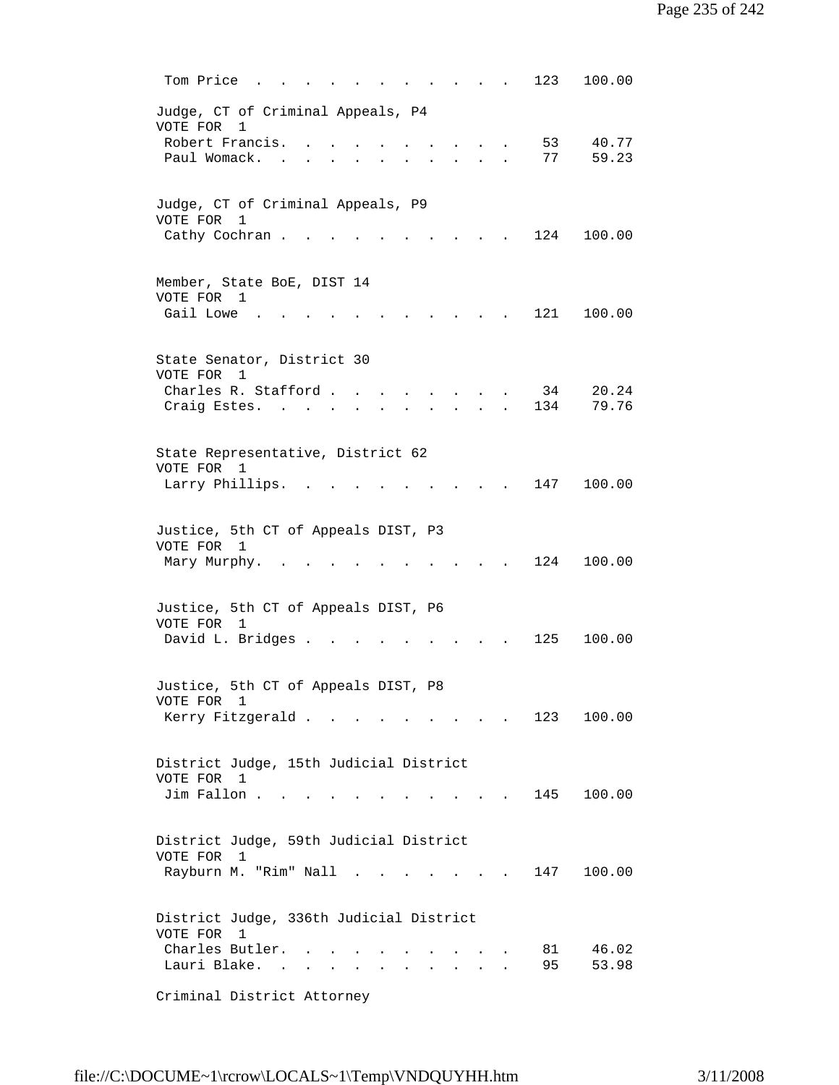| Tom Price<br>123<br>100.00                                                                                 |
|------------------------------------------------------------------------------------------------------------|
| Judge, CT of Criminal Appeals, P4<br>VOTE FOR<br>1                                                         |
| Robert Francis.<br>53<br>40.77                                                                             |
| 59.23<br>Paul Womack.<br>77                                                                                |
|                                                                                                            |
| Judge, CT of Criminal Appeals, P9<br>VOTE FOR<br>1                                                         |
| Cathy Cochran.<br>124<br>100.00                                                                            |
| Member, State BoE, DIST 14                                                                                 |
| VOTE FOR 1                                                                                                 |
| Gail Lowe<br>121<br>100.00                                                                                 |
| State Senator, District 30                                                                                 |
| VOTE FOR<br>1<br>Charles R. Stafford.<br>34<br>20.24<br>$\sim$ $\sim$ $\sim$ $\sim$                        |
| 79.76<br>134<br>Craig Estes. .                                                                             |
|                                                                                                            |
| State Representative, District 62                                                                          |
| VOTE FOR 1                                                                                                 |
| Larry Phillips.<br>100.00<br>147                                                                           |
| Justice, 5th CT of Appeals DIST, P3                                                                        |
| VOTE FOR<br>1                                                                                              |
| 124<br>100.00<br>Mary Murphy.                                                                              |
|                                                                                                            |
| Justice, 5th CT of Appeals DIST, P6                                                                        |
| VOTE FOR 1                                                                                                 |
| David L. Bridges .<br>125<br>100.00                                                                        |
| Justice, 5th CT of Appeals DIST, P8                                                                        |
| VOTE FOR 1                                                                                                 |
| Kerry Fitzgerald<br>123<br>100.00                                                                          |
|                                                                                                            |
| District Judge, 15th Judicial District<br>VOTE FOR 1                                                       |
| Jim Fallon<br>145 100.00<br>and the state of the state of                                                  |
|                                                                                                            |
| District Judge, 59th Judicial District                                                                     |
| VOTE FOR 1                                                                                                 |
| Rayburn M. "Rim" Nall .<br>147<br>100.00<br><b>Contract Contract Contract</b>                              |
| District Judge, 336th Judicial District                                                                    |
| VOTE FOR<br>1                                                                                              |
| Charles Butler.<br>46.02<br>81                                                                             |
| Lauri Blake. .<br>95<br>53.98<br><b>Contract Contract</b><br>and a strong control of the strong strong and |
| Criminal District Attorney                                                                                 |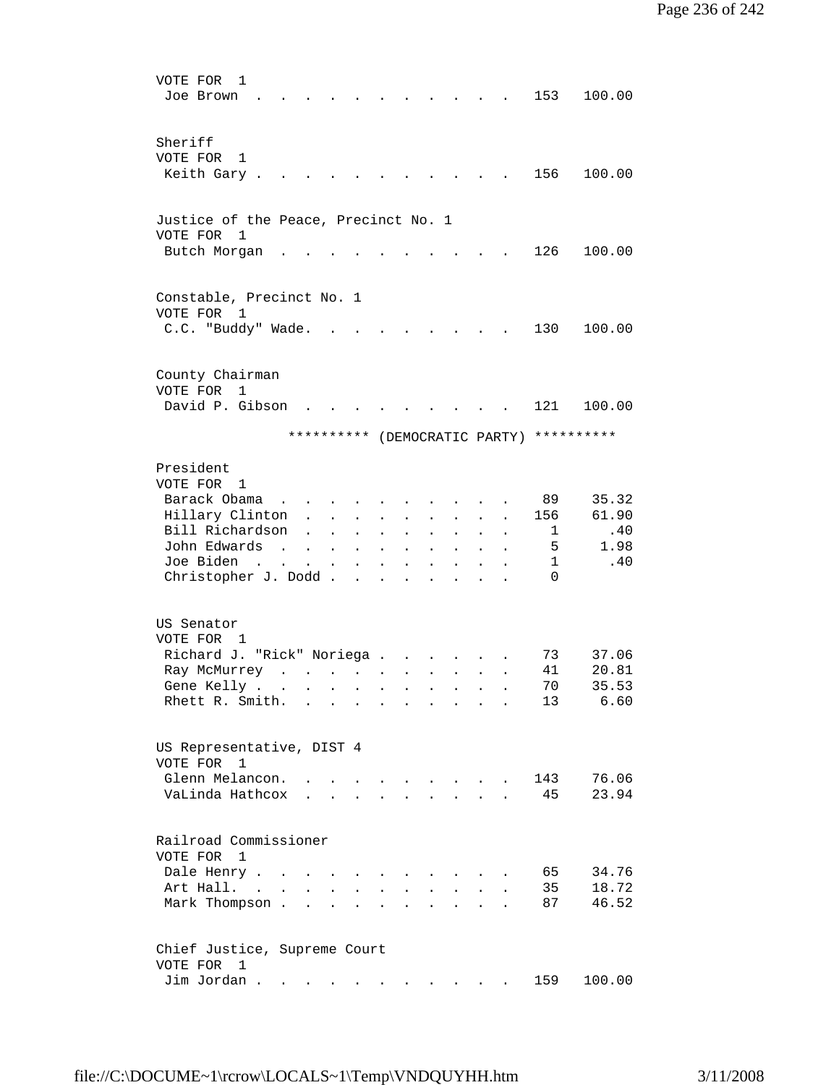| VOTE FOR<br>1<br>Joe Brown                                                                                                                                                                                                                                                                                                      |                                                                                                                                                                                      |                                                                                                                                   |                                                                                 |                                                          |                                                                                                                |                                                                         |                                                                                                                                                                        |                                                                        | 153                                                                                   | 100.00                                                                                    |
|---------------------------------------------------------------------------------------------------------------------------------------------------------------------------------------------------------------------------------------------------------------------------------------------------------------------------------|--------------------------------------------------------------------------------------------------------------------------------------------------------------------------------------|-----------------------------------------------------------------------------------------------------------------------------------|---------------------------------------------------------------------------------|----------------------------------------------------------|----------------------------------------------------------------------------------------------------------------|-------------------------------------------------------------------------|------------------------------------------------------------------------------------------------------------------------------------------------------------------------|------------------------------------------------------------------------|---------------------------------------------------------------------------------------|-------------------------------------------------------------------------------------------|
| Sheriff<br>VOTE FOR<br>1<br>Keith Gary.                                                                                                                                                                                                                                                                                         |                                                                                                                                                                                      |                                                                                                                                   |                                                                                 |                                                          |                                                                                                                |                                                                         |                                                                                                                                                                        |                                                                        | 156                                                                                   | 100.00                                                                                    |
|                                                                                                                                                                                                                                                                                                                                 |                                                                                                                                                                                      |                                                                                                                                   |                                                                                 |                                                          |                                                                                                                |                                                                         |                                                                                                                                                                        |                                                                        |                                                                                       |                                                                                           |
| Justice of the Peace, Precinct No. 1<br>VOTE FOR<br>1                                                                                                                                                                                                                                                                           |                                                                                                                                                                                      |                                                                                                                                   |                                                                                 |                                                          |                                                                                                                |                                                                         |                                                                                                                                                                        |                                                                        |                                                                                       |                                                                                           |
| Butch Morgan                                                                                                                                                                                                                                                                                                                    |                                                                                                                                                                                      |                                                                                                                                   |                                                                                 |                                                          |                                                                                                                |                                                                         |                                                                                                                                                                        |                                                                        | 126                                                                                   | 100.00                                                                                    |
| Constable, Precinct No. 1<br>VOTE FOR<br>1                                                                                                                                                                                                                                                                                      |                                                                                                                                                                                      |                                                                                                                                   |                                                                                 |                                                          |                                                                                                                |                                                                         |                                                                                                                                                                        |                                                                        |                                                                                       |                                                                                           |
| C.C. "Buddy" Wade.                                                                                                                                                                                                                                                                                                              |                                                                                                                                                                                      |                                                                                                                                   |                                                                                 |                                                          |                                                                                                                |                                                                         |                                                                                                                                                                        |                                                                        | 130                                                                                   | 100.00                                                                                    |
| County Chairman                                                                                                                                                                                                                                                                                                                 |                                                                                                                                                                                      |                                                                                                                                   |                                                                                 |                                                          |                                                                                                                |                                                                         |                                                                                                                                                                        |                                                                        |                                                                                       |                                                                                           |
| VOTE FOR<br>1<br>David P. Gibson                                                                                                                                                                                                                                                                                                |                                                                                                                                                                                      |                                                                                                                                   |                                                                                 |                                                          |                                                                                                                |                                                                         |                                                                                                                                                                        |                                                                        | 121                                                                                   | 100.00                                                                                    |
|                                                                                                                                                                                                                                                                                                                                 |                                                                                                                                                                                      | **********                                                                                                                        |                                                                                 |                                                          |                                                                                                                |                                                                         |                                                                                                                                                                        |                                                                        |                                                                                       | (DEMOCRATIC PARTY) **********                                                             |
| President<br>VOTE FOR 1<br>Barack Obama<br>Hillary Clinton<br>Bill Richardson<br>John Edwards<br>Joe Biden<br>Christopher J. Dodd<br>US Senator<br>VOTE FOR 1<br>Richard J. "Rick" Noriega<br>Ray McMurrey<br>Gene Kelly<br>Rhett R. Smith.<br>US Representative, DIST 4<br>VOTE FOR<br>1<br>Glenn Melancon.<br>VaLinda Hathcox | $\ddot{\phantom{a}}$<br>$\sim$<br>$\mathbf{L} = \mathbf{L}$<br>$\ddot{\phantom{a}}$<br>$\mathbf{r}$ , and $\mathbf{r}$ , and $\mathbf{r}$ , and $\mathbf{r}$<br>$\sim$ $\sim$ $\sim$ | $\mathbf{L}$<br>$\ddot{\phantom{a}}$<br>$\sim$<br>$\sim$ $-$<br>$\sim 100$<br>$\mathbf{1}$ $\mathbf{1}$ $\mathbf{1}$ $\mathbf{1}$ | $\ddot{\phantom{0}}$<br>$\bullet$<br>$\blacksquare$<br>$\blacksquare$<br>$\sim$ | $\bullet$<br>$\ddot{\phantom{a}}$<br>$\bullet$<br>$\sim$ | $\ddot{\phantom{0}}$<br>$\ddot{\phantom{0}}$<br>$\ddot{\phantom{a}}$<br>$\mathbf{L}^{\text{max}}$<br>$\bullet$ | $\sim$<br>$\ddot{\phantom{0}}$<br>$\ddot{\phantom{0}}$<br>$\sim$ $\sim$ | $\ddot{\phantom{0}}$<br>$\ddot{\phantom{0}}$<br>$\mathbf{z} = \mathbf{z} + \mathbf{z}$ . The $\mathbf{z}$<br>$\mathbf{r} = \mathbf{r}$ , and $\mathbf{r} = \mathbf{r}$ | $\ddot{\phantom{a}}$<br>$\bullet$<br>$\bullet$<br>$\ddot{\phantom{0}}$ | 89<br>156<br>ı.<br>5<br>$\mathbf{1}$<br>$\Omega$<br>73<br>41<br>70<br>13<br>143<br>45 | 35.32<br>61.90<br>.40<br>1.98<br>.40<br>37.06<br>20.81<br>35.53<br>6.60<br>76.06<br>23.94 |
| Railroad Commissioner<br>VOTE FOR<br>1<br>Dale Henry .<br>Art Hall. .<br>Mark Thompson.                                                                                                                                                                                                                                         | $\sim$<br>$\mathbf{r}$                                                                                                                                                               | $\overline{a}$                                                                                                                    | $\overline{a}$                                                                  |                                                          |                                                                                                                | $\overline{a}$                                                          |                                                                                                                                                                        |                                                                        | 65<br>35<br>87                                                                        | 34.76<br>18.72<br>46.52                                                                   |
| Chief Justice, Supreme Court<br>VOTE FOR<br>1<br>Jim Jordan.                                                                                                                                                                                                                                                                    | $\bullet$                                                                                                                                                                            |                                                                                                                                   |                                                                                 |                                                          |                                                                                                                |                                                                         |                                                                                                                                                                        |                                                                        | 159                                                                                   | 100.00                                                                                    |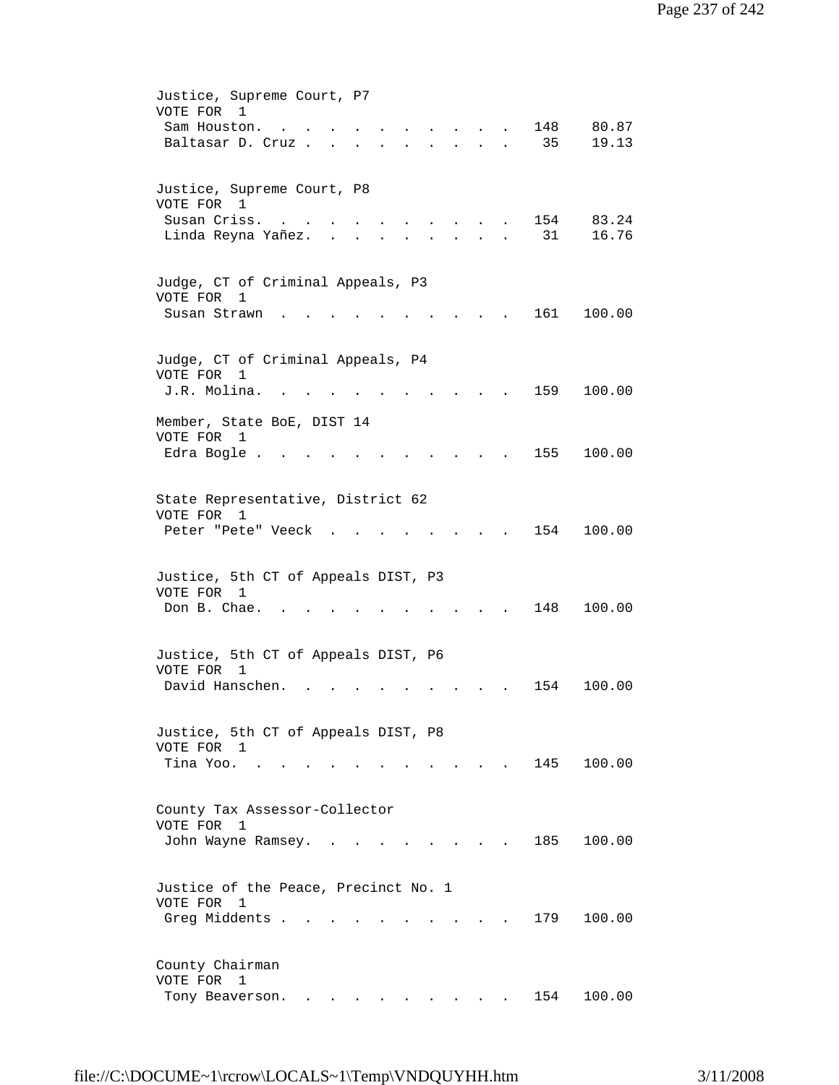| Justice, Supreme Court, P7<br>VOTE FOR 1<br>148<br>80.87<br>Sam Houston.<br>35<br>19.13<br>Baltasar D. Cruz<br>$\mathbf{r} = \mathbf{r} + \mathbf{r} + \mathbf{r}$ .<br>$\ddot{\phantom{0}}$                       |
|--------------------------------------------------------------------------------------------------------------------------------------------------------------------------------------------------------------------|
| Justice, Supreme Court, P8<br>VOTE FOR 1<br>Susan Criss.<br>154<br>83.24<br>31<br>Linda Reyna Yañez.<br>16.76<br>$\overline{a}$                                                                                    |
| Judge, CT of Criminal Appeals, P3<br>VOTE FOR<br>1<br>161<br>Susan Strawn<br>100.00                                                                                                                                |
| Judge, CT of Criminal Appeals, P4<br>VOTE FOR<br>$\mathbf{1}$<br>J.R. Molina.<br>159<br>100.00                                                                                                                     |
| Member, State BoE, DIST 14<br>VOTE FOR<br>1<br>155<br>100.00<br>Edra Bogle.                                                                                                                                        |
| State Representative, District 62<br>VOTE FOR 1<br>154<br>Peter "Pete" Veeck<br>100.00                                                                                                                             |
| Justice, 5th CT of Appeals DIST, P3<br>VOTE FOR 1<br>Don B. Chae.<br>100.00<br>148                                                                                                                                 |
| Justice, 5th CT of Appeals DIST, P6<br>VOTE FOR<br>1<br>David Hanschen.<br>154<br>100.00                                                                                                                           |
| Justice, 5th CT of Appeals DIST, P8<br>VOTE FOR 1<br>145 100.00<br>Tina Yoo.                                                                                                                                       |
| County Tax Assessor-Collector<br>VOTE FOR<br>1<br>185<br>John Wayne Ramsey. .<br>100.00                                                                                                                            |
| Justice of the Peace, Precinct No. 1<br>VOTE FOR 1                                                                                                                                                                 |
| Greg Middents .<br>179<br>100.00<br>County Chairman                                                                                                                                                                |
| VOTE FOR<br>$\mathbf{1}$<br>100.00<br>154<br>Tony Beaverson.<br>$\mathbf{a} = \mathbf{a} \cdot \mathbf{a}$ , and $\mathbf{a} = \mathbf{a} \cdot \mathbf{a}$ , and $\mathbf{a} = \mathbf{a} \cdot \mathbf{a}$ , and |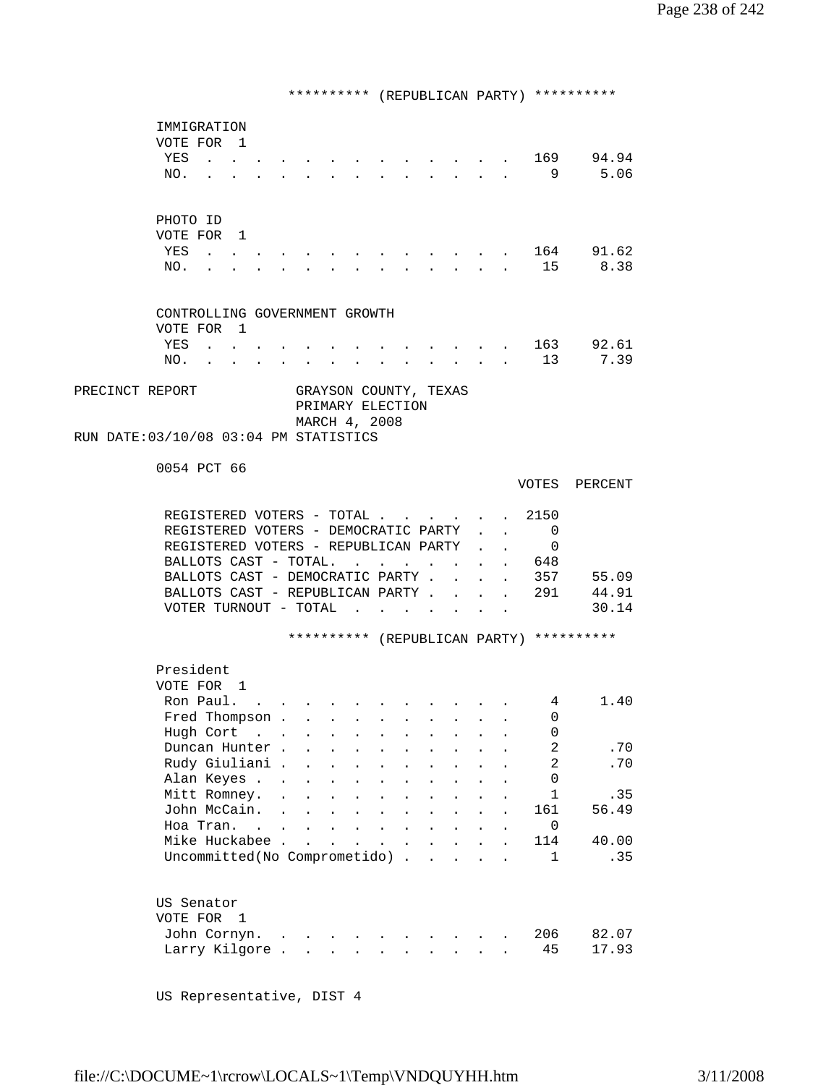\*\*\*\*\*\*\*\*\*\* (REPUBLICAN PARTY) \*\*\*\*\*\*\*\*\*\* IMMIGRATION VOTE FOR 1 YES . . . . . . . . . . . . . . 169 94.94<br>NO. . . . . . . . . . . . . . 9 5.06 NO. . . . . . . . . . . . . . . 9 5.06 PHOTO ID VOTE FOR 1 YES . . . . . . . . . . . . . 164 91.62 NO. . . . . . . . . . . . . . 15 8.38 CONTROLLING GOVERNMENT GROWTH VOTE FOR 1<br>YES . . (a) . . . . . . . . . . . . . 163 92.61<br>(a) . . . . . . . . . . 13 7.39 NO. . . . . . . . . . . . . 13 7.39 PRECINCT REPORT GRAYSON COUNTY, TEXAS PRIMARY ELECTION MARCH 4, 2008 RUN DATE:03/10/08 03:04 PM STATISTICS 0054 PCT 66 VOTES PERCENT REGISTERED VOTERS - TOTAL . . . . . 2150 REGISTERED VOTERS - DEMOCRATIC PARTY . . 0 REGISTERED VOTERS - REPUBLICAN PARTY . . 0 BALLOTS CAST - TOTAL. . . . . . . . 648<br>BALLOTS CAST - DEMOCRATIC PARTY . . . . 357 BALLOTS CAST - DEMOCRATIC PARTY . . . . 357 55.09<br>BALLOTS CAST - REPUBLICAN PARTY . . . . 291 44.91 BALLOTS CAST - REPUBLICAN PARTY . . . . 291 VOTER TURNOUT - TOTAL . . . . . . . . 30.14 \*\*\*\*\*\*\*\*\*\* (REPUBLICAN PARTY) \*\*\*\*\*\*\*\*\*\* President VOTE FOR 1 Ron Paul. . . . . . . . . . . . 4 1.40 Fred Thompson . . . . . . . . . . 0 Hugh Cort . . . . . . . . . . . 0 Duncan Hunter . . . . . . . . . . 2 .70 Rudy Giuliani . . . . . . . . . . 2 .70 Alan Keyes . . . . . . . . . . . . 0<br>Mitt Romnev. . . . . . . . . . . 1 Mitt Romney. . . . . . . . . . . . 1 .35<br>John McCain. . . . . . . . . . . 161 56.49 John McCain. . . . . . . Hoa Tran. . . . . . . . . . . . 0 Mike Huckabee . . . . . . . . . . 114 40.00 Uncommitted(No Comprometido) . . . . 1 .35 US Senator VOTE FOR 1 John Cornyn. . . . . . . . . . 206 82.07 Larry Kilgore . . . . . . . . . . 45 17.93

US Representative, DIST 4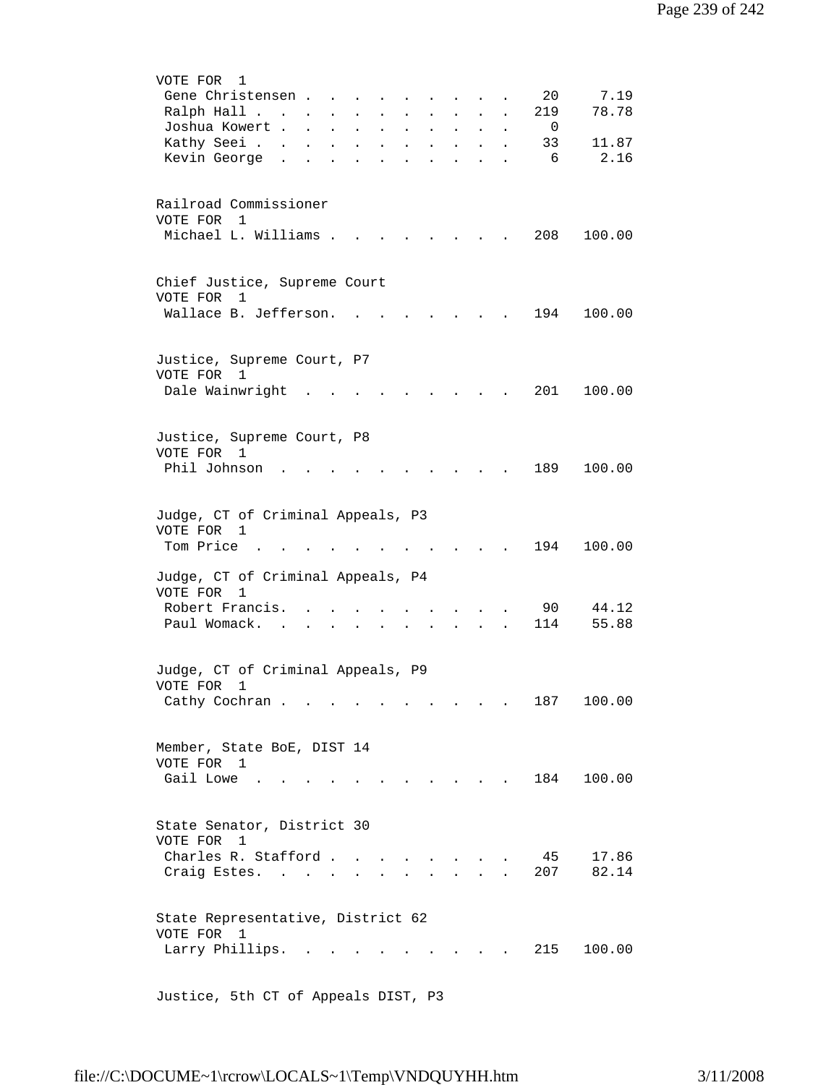| VOTE FOR<br>1                                                                                                                                                                                            |  |
|----------------------------------------------------------------------------------------------------------------------------------------------------------------------------------------------------------|--|
| 20<br>7.19<br>Gene Christensen                                                                                                                                                                           |  |
| 78.78<br>Ralph Hall<br>219<br>$\mathbf{r} = \mathbf{r} \cdot \mathbf{r}$<br>$\mathbf{L}$<br>$\mathbf{L}^{\text{max}}$<br>$\ddot{\phantom{a}}$                                                            |  |
| Joshua Kowert<br>- 0<br>$\mathbf{z} = \mathbf{z}$<br>$\mathbf{L}^{\text{max}}$<br>$\ddot{\phantom{a}}$<br>$\mathbf{L}^{\text{max}}$<br>$\sim 100$<br>$\ddot{\phantom{a}}$<br>$\bullet$                   |  |
| Kathy Seei<br>33<br>11.87<br>$\mathbf{L}^{\text{max}}$<br>$\ddot{\phantom{a}}$<br>$\bullet$<br>$\bullet$<br>$\ddot{\phantom{0}}$<br>$\ddot{\phantom{a}}$<br>$\ddot{\phantom{a}}$<br>$\ddot{\phantom{0}}$ |  |
| 2.16<br>Kevin George .<br>- 6                                                                                                                                                                            |  |
|                                                                                                                                                                                                          |  |
|                                                                                                                                                                                                          |  |
| Railroad Commissioner                                                                                                                                                                                    |  |
| VOTE FOR 1                                                                                                                                                                                               |  |
| Michael L. Williams .<br>208                                                                                                                                                                             |  |
| 100.00                                                                                                                                                                                                   |  |
|                                                                                                                                                                                                          |  |
|                                                                                                                                                                                                          |  |
| Chief Justice, Supreme Court                                                                                                                                                                             |  |
| VOTE FOR<br>1                                                                                                                                                                                            |  |
| Wallace B. Jefferson.<br>194<br>100.00                                                                                                                                                                   |  |
|                                                                                                                                                                                                          |  |
|                                                                                                                                                                                                          |  |
| Justice, Supreme Court, P7                                                                                                                                                                               |  |
| VOTE FOR<br>1                                                                                                                                                                                            |  |
| Dale Wainwright<br>201<br>100.00                                                                                                                                                                         |  |
|                                                                                                                                                                                                          |  |
|                                                                                                                                                                                                          |  |
| Justice, Supreme Court, P8                                                                                                                                                                               |  |
| VOTE FOR 1                                                                                                                                                                                               |  |
| Phil Johnson<br>189<br>100.00                                                                                                                                                                            |  |
|                                                                                                                                                                                                          |  |
|                                                                                                                                                                                                          |  |
|                                                                                                                                                                                                          |  |
| Judge, CT of Criminal Appeals, P3                                                                                                                                                                        |  |
| VOTE FOR 1                                                                                                                                                                                               |  |
| Tom Price<br>194<br>100.00                                                                                                                                                                               |  |
|                                                                                                                                                                                                          |  |
| Judge, CT of Criminal Appeals, P4                                                                                                                                                                        |  |
| VOTE FOR<br>$\mathbf{1}$                                                                                                                                                                                 |  |
| Robert Francis.<br>90<br>44.12                                                                                                                                                                           |  |
| 55.88<br>Paul Womack.<br>114<br>$\sim$                                                                                                                                                                   |  |
|                                                                                                                                                                                                          |  |
|                                                                                                                                                                                                          |  |
| Judge, CT of Criminal Appeals, P9                                                                                                                                                                        |  |
| VOTE FOR<br>1                                                                                                                                                                                            |  |
| Cathy Cochran<br>187<br>100.00                                                                                                                                                                           |  |
|                                                                                                                                                                                                          |  |
|                                                                                                                                                                                                          |  |
| Member, State BoE, DIST 14                                                                                                                                                                               |  |
| VOTE FOR 1                                                                                                                                                                                               |  |
|                                                                                                                                                                                                          |  |
| Gail Lowe<br>. 184<br>100.00                                                                                                                                                                             |  |
|                                                                                                                                                                                                          |  |
|                                                                                                                                                                                                          |  |
| State Senator, District 30                                                                                                                                                                               |  |
| VOTE FOR<br>1                                                                                                                                                                                            |  |
| Charles R. Stafford<br>17.86<br>45                                                                                                                                                                       |  |
| 82.14<br>207<br>Craig Estes. .<br>$\mathcal{L}^{\text{max}}$                                                                                                                                             |  |
|                                                                                                                                                                                                          |  |
|                                                                                                                                                                                                          |  |
| State Representative, District 62                                                                                                                                                                        |  |
| VOTE FOR 1                                                                                                                                                                                               |  |
| Larry Phillips.<br>215<br>100.00<br>$\ddot{\phantom{a}}$<br>$\sim$ $\sim$<br><b>Contract Contract Contract</b>                                                                                           |  |
|                                                                                                                                                                                                          |  |
|                                                                                                                                                                                                          |  |
|                                                                                                                                                                                                          |  |

Justice, 5th CT of Appeals DIST, P3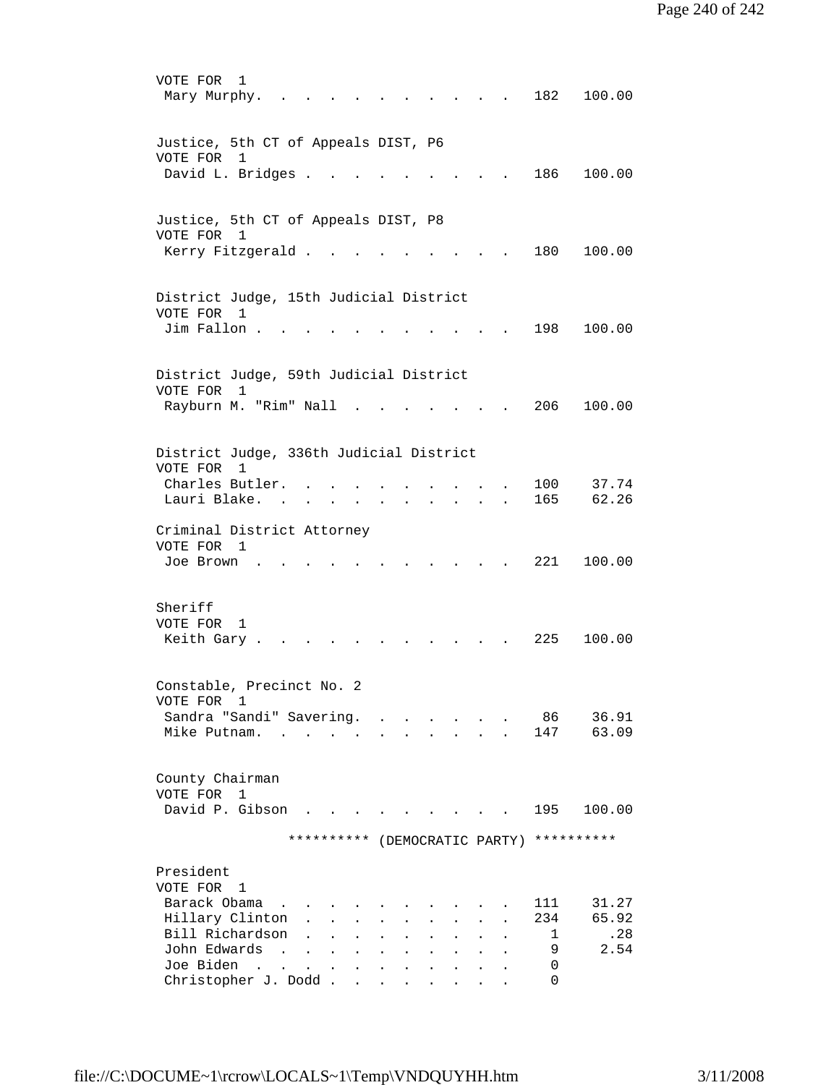VOTE FOR 1 Mary Murphy. . . . . . . . . . . 182 100.00 Justice, 5th CT of Appeals DIST, P6 VOTE FOR 1 David L. Bridges . . . . . . . . . 186 100.00 Justice, 5th CT of Appeals DIST, P8 VOTE FOR 1 Kerry Fitzgerald . . . . . . . . . 180 100.00 District Judge, 15th Judicial District VOTE FOR 1 Jim Fallon . . . . . . . . . . . . 198 100.00 District Judge, 59th Judicial District VOTE FOR 1 Rayburn M. "Rim" Nall . . . . . . . 206 100.00 District Judge, 336th Judicial District VOTE FOR 1 Charles Butler. . . . . . . . . . 100 37.74 Lauri Blake. . . . . . . . . . . 165 62.26 Criminal District Attorney VOTE FOR 1 Joe Brown . . . . . . . . . . . 221 100.00 Sheriff VOTE FOR 1 Keith Gary . . . . . . . . . . . 225 100.00 Constable, Precinct No. 2 VOTE FOR 1 Sandra "Sandi" Savering. . . . . . . 86 36.91 Mike Putnam. . . . . . . . . . . 147 63.09 County Chairman VOTE FOR 1 David P. Gibson . . . . . . . . . 195 100.00 \*\*\*\*\*\*\*\*\*\* (DEMOCRATIC PARTY) \*\*\*\*\*\*\*\*\*\* President VOTE FOR 1 Barack Obama . . . . . . . . . . . 111 31.27 Hillary Clinton . . . . . . . . . 234 65.92 Bill Richardson . . . . . . . . . . 1 .28<br>John Edwards . . . . . . . . . . 9 2.54 John Edwards . . . . . . . . . . . Joe Biden . . . . . . . . . . . . 0<br>Christopher J. Dodd . . . . . . . . 0 Christopher J. Dodd . . . . . .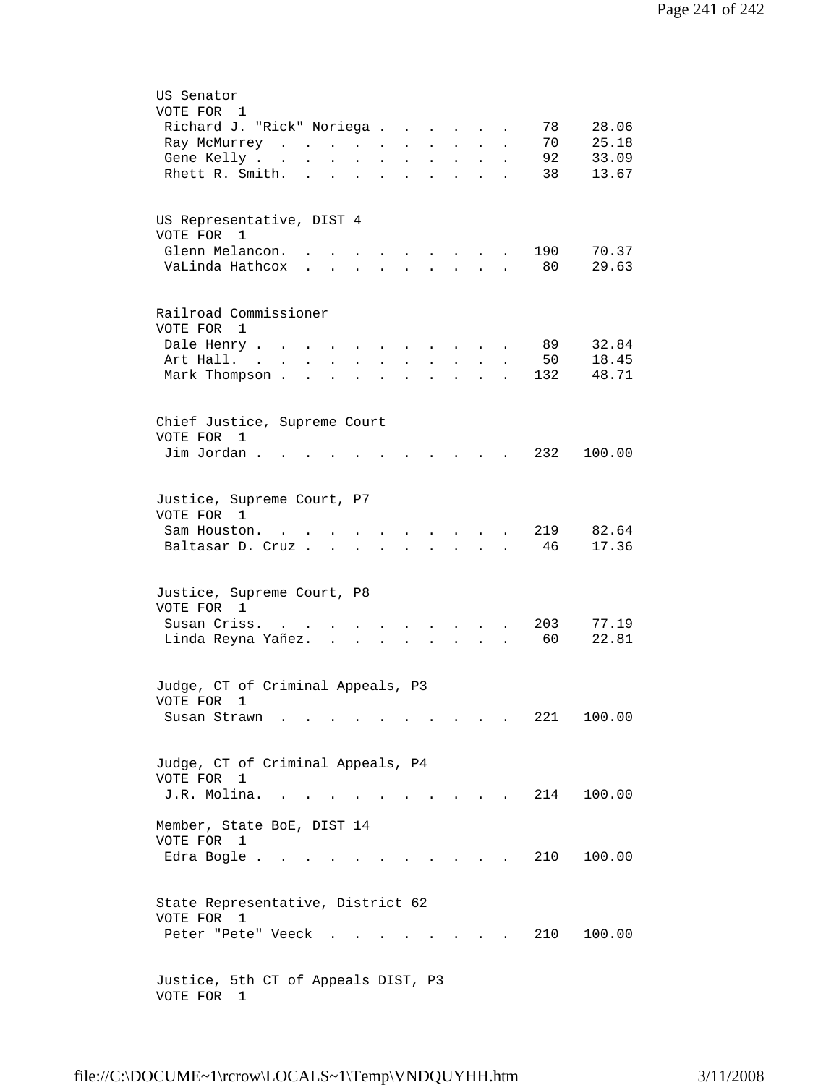| US Senator<br>VOTE FOR<br>$\mathbf{1}$                                                                                                                                                     |
|--------------------------------------------------------------------------------------------------------------------------------------------------------------------------------------------|
| 28.06<br>Richard J. "Rick" Noriega .<br>78<br>$\ddot{\phantom{a}}$<br>$\ddot{\phantom{a}}$                                                                                                 |
| 70<br>25.18<br>Ray McMurrey<br>$\bullet$                                                                                                                                                   |
| 92<br>33.09<br>Gene Kelly<br>$\ddot{\phantom{a}}$<br>$\ddot{\phantom{a}}$                                                                                                                  |
| 13.67<br>Rhett R. Smith.<br>38                                                                                                                                                             |
| US Representative, DIST 4<br>VOTE FOR<br>1                                                                                                                                                 |
| Glenn Melancon.<br>190<br>70.37<br>$\sim$<br>and the state of the state of                                                                                                                 |
| 29.63<br>VaLinda Hathcox<br>80<br>$\mathbf{L} = \mathbf{L}$<br>$\mathbf{z} = \mathbf{z} + \mathbf{z}$ .<br>$\ddot{\phantom{0}}$<br>$\sim$<br>$\sim$                                        |
| Railroad Commissioner<br>VOTE FOR 1                                                                                                                                                        |
| 32.84<br>89<br>Dale Henry .                                                                                                                                                                |
| Art Hall. .<br>50<br>18.45<br>$\mathbf{L}$<br>$\ddot{\phantom{a}}$<br>$\mathbf{L}$<br>$\ddot{\phantom{a}}$<br>$\mathbf{r}$<br>$\mathbf{L}$<br>$\ddot{\phantom{0}}$<br>$\ddot{\phantom{a}}$ |
| Mark Thompson.<br>132<br>48.71<br>$\ddot{\phantom{a}}$                                                                                                                                     |
| Chief Justice, Supreme Court<br>VOTE FOR<br>1                                                                                                                                              |
| Jim Jordan.<br>232<br>100.00                                                                                                                                                               |
| Justice, Supreme Court, P7                                                                                                                                                                 |
| VOTE FOR 1                                                                                                                                                                                 |
| 219<br>82.64<br>Sam Houston.<br>$\mathcal{L}(\mathbf{r})$ , and $\mathcal{L}(\mathbf{r})$ , and $\mathcal{L}(\mathbf{r})$<br><b>Contract Contract Contract</b>                             |
| 46<br>17.36<br>Baltasar D. Cruz<br>and a strategic state<br>$\ddot{\phantom{a}}$                                                                                                           |
|                                                                                                                                                                                            |
| Justice, Supreme Court, P8<br>VOTE FOR 1                                                                                                                                                   |
| 203<br>Susan Criss.<br>77.19<br>$\ddot{\phantom{a}}$                                                                                                                                       |
| Linda Reyna Yañez.<br>60<br>22.81<br>$\sim$ $\sim$<br>$\mathbf{r}$                                                                                                                         |
| Judge, CT of Criminal Appeals, P3                                                                                                                                                          |
| VOTE FOR 1<br>221<br>100.00<br>Susan Strawn.                                                                                                                                               |
|                                                                                                                                                                                            |
| Judge, CT of Criminal Appeals, P4                                                                                                                                                          |
| VOTE FOR 1                                                                                                                                                                                 |
| J.R. Molina.<br>214<br>100.00                                                                                                                                                              |
| Member, State BoE, DIST 14<br>VOTE FOR 1                                                                                                                                                   |
| Edra Bogle .<br>210<br>100.00<br>$\sim$ 10 $\pm$                                                                                                                                           |
| State Representative, District 62<br>VOTE FOR 1                                                                                                                                            |
| 210<br>100.00<br>Peter "Pete" Veeck                                                                                                                                                        |
| Justice, 5th CT of Appeals DIST, P3<br>VOTE FOR 1                                                                                                                                          |